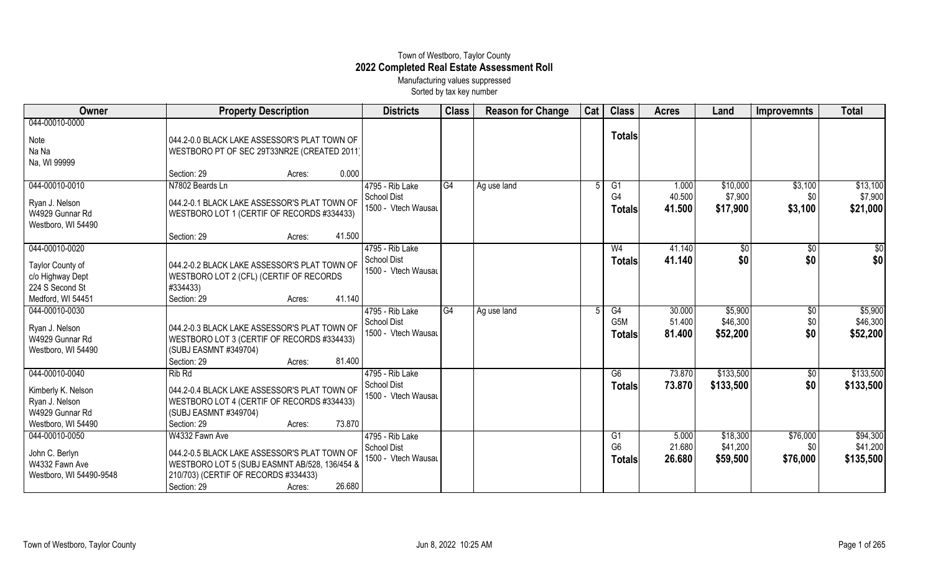## Town of Westboro, Taylor County **2022 Completed Real Estate Assessment Roll** Manufacturing values suppressed

Sorted by tax key number

| Owner                   | <b>Property Description</b>                   |        |        | <b>Districts</b>    | <b>Class</b> | <b>Reason for Change</b> | Cat | <b>Class</b>   | <b>Acres</b> | Land        | <b>Improvemnts</b> | <b>Total</b>    |
|-------------------------|-----------------------------------------------|--------|--------|---------------------|--------------|--------------------------|-----|----------------|--------------|-------------|--------------------|-----------------|
| 044-00010-0000          |                                               |        |        |                     |              |                          |     |                |              |             |                    |                 |
| Note                    | 044.2-0.0 BLACK LAKE ASSESSOR'S PLAT TOWN OF  |        |        |                     |              |                          |     | <b>Totals</b>  |              |             |                    |                 |
| Na Na                   | WESTBORO PT OF SEC 29T33NR2E (CREATED 2011)   |        |        |                     |              |                          |     |                |              |             |                    |                 |
| Na, WI 99999            |                                               |        |        |                     |              |                          |     |                |              |             |                    |                 |
|                         | Section: 29                                   | Acres: | 0.000  |                     |              |                          |     |                |              |             |                    |                 |
| 044-00010-0010          | N7802 Beards Ln                               |        |        | 4795 - Rib Lake     | G4           | Ag use land              |     | G1             | 1.000        | \$10,000    | \$3,100            | \$13,100        |
| Ryan J. Nelson          | 044.2-0.1 BLACK LAKE ASSESSOR'S PLAT TOWN OF  |        |        | School Dist         |              |                          |     | G4             | 40.500       | \$7,900     | \$0                | \$7,900         |
| W4929 Gunnar Rd         | WESTBORO LOT 1 (CERTIF OF RECORDS #334433)    |        |        | 1500 - Vtech Wausau |              |                          |     | <b>Totals</b>  | 41.500       | \$17,900    | \$3,100            | \$21,000        |
| Westboro, WI 54490      |                                               |        |        |                     |              |                          |     |                |              |             |                    |                 |
|                         | Section: 29                                   | Acres: | 41.500 |                     |              |                          |     |                |              |             |                    |                 |
| 044-00010-0020          |                                               |        |        | 4795 - Rib Lake     |              |                          |     | W <sub>4</sub> | 41.140       | $\sqrt{$0}$ | $\overline{50}$    | $\overline{50}$ |
|                         |                                               |        |        | School Dist         |              |                          |     | <b>Totals</b>  | 41.140       | \$0         | \$0                | \$0             |
| Taylor County of        | 044.2-0.2 BLACK LAKE ASSESSOR'S PLAT TOWN OF  |        |        | 1500 - Vtech Wausau |              |                          |     |                |              |             |                    |                 |
| c/o Highway Dept        | WESTBORO LOT 2 (CFL) (CERTIF OF RECORDS       |        |        |                     |              |                          |     |                |              |             |                    |                 |
| 224 S Second St         | #334433)                                      |        |        |                     |              |                          |     |                |              |             |                    |                 |
| Medford, WI 54451       | Section: 29                                   | Acres: | 41.140 |                     |              |                          |     |                |              |             |                    |                 |
| 044-00010-0030          |                                               |        |        | 4795 - Rib Lake     | G4           | Ag use land              |     | G4             | 30.000       | \$5,900     | $\sqrt{6}$         | \$5,900         |
| Ryan J. Nelson          | 044.2-0.3 BLACK LAKE ASSESSOR'S PLAT TOWN OF  |        |        | School Dist         |              |                          |     | G5M            | 51.400       | \$46,300    | \$0                | \$46,300        |
| W4929 Gunnar Rd         |                                               |        |        | 1500 - Vtech Wausau |              |                          |     | <b>Totals</b>  | 81.400       | \$52,200    | \$0                | \$52,200        |
|                         | WESTBORO LOT 3 (CERTIF OF RECORDS #334433)    |        |        |                     |              |                          |     |                |              |             |                    |                 |
| Westboro, WI 54490      | (SUBJ EASMNT #349704)<br>Section: 29          |        | 81.400 |                     |              |                          |     |                |              |             |                    |                 |
|                         |                                               | Acres: |        |                     |              |                          |     |                |              |             |                    |                 |
| 044-00010-0040          | Rib <sub>Rd</sub>                             |        |        | 4795 - Rib Lake     |              |                          |     | G6             | 73.870       | \$133,500   | \$0                | \$133,500       |
| Kimberly K. Nelson      | 044.2-0.4 BLACK LAKE ASSESSOR'S PLAT TOWN OF  |        |        | School Dist         |              |                          |     | <b>Totals</b>  | 73.870       | \$133,500   | \$0                | \$133,500       |
| Ryan J. Nelson          | WESTBORO LOT 4 (CERTIF OF RECORDS #334433)    |        |        | 1500 - Vtech Wausau |              |                          |     |                |              |             |                    |                 |
| W4929 Gunnar Rd         | (SUBJ EASMNT #349704)                         |        |        |                     |              |                          |     |                |              |             |                    |                 |
| Westboro, WI 54490      | Section: 29                                   | Acres: | 73.870 |                     |              |                          |     |                |              |             |                    |                 |
| 044-00010-0050          | W4332 Fawn Ave                                |        |        | 4795 - Rib Lake     |              |                          |     | G <sub>1</sub> | 5.000        | \$18,300    | \$76,000           | \$94,300        |
|                         |                                               |        |        | <b>School Dist</b>  |              |                          |     | G <sub>6</sub> | 21.680       | \$41,200    | \$0                | \$41,200        |
| John C. Berlyn          | 044.2-0.5 BLACK LAKE ASSESSOR'S PLAT TOWN OF  |        |        | 1500 - Vtech Wausau |              |                          |     | <b>Totals</b>  | 26.680       | \$59,500    | \$76,000           | \$135,500       |
| W4332 Fawn Ave          | WESTBORO LOT 5 (SUBJ EASMNT AB/528, 136/454 & |        |        |                     |              |                          |     |                |              |             |                    |                 |
| Westboro, WI 54490-9548 | 210/703) (CERTIF OF RECORDS #334433)          |        |        |                     |              |                          |     |                |              |             |                    |                 |
|                         | Section: 29                                   | Acres: | 26.680 |                     |              |                          |     |                |              |             |                    |                 |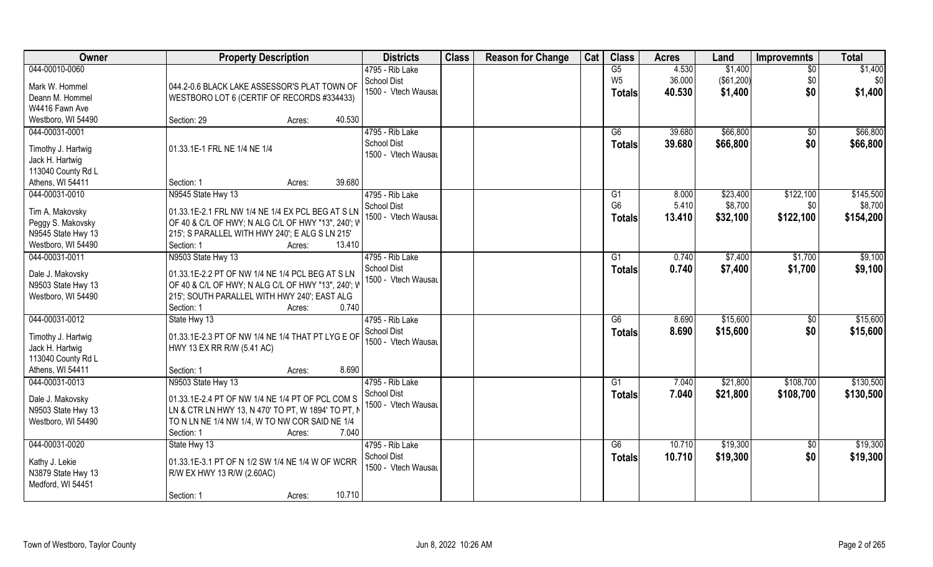| 044-00010-0060<br>4.530<br>\$1,400<br>4795 - Rib Lake<br>G5<br>$\overline{50}$<br>36.000<br>(\$61,200)<br>School Dist<br>W <sub>5</sub><br>\$0<br>Mark W. Hommel<br>044.2-0.6 BLACK LAKE ASSESSOR'S PLAT TOWN OF<br>\$0<br>1500 - Vtech Wausau<br>\$1,400<br>40.530<br><b>Totals</b><br>Deann M. Hommel<br>WESTBORO LOT 6 (CERTIF OF RECORDS #334433) | \$1,400<br>\$0<br>\$1,400 |
|-------------------------------------------------------------------------------------------------------------------------------------------------------------------------------------------------------------------------------------------------------------------------------------------------------------------------------------------------------|---------------------------|
|                                                                                                                                                                                                                                                                                                                                                       |                           |
|                                                                                                                                                                                                                                                                                                                                                       |                           |
|                                                                                                                                                                                                                                                                                                                                                       |                           |
| W4416 Fawn Ave                                                                                                                                                                                                                                                                                                                                        |                           |
| Westboro, WI 54490<br>Section: 29<br>40.530<br>Acres:                                                                                                                                                                                                                                                                                                 |                           |
| 044-00031-0001<br>4795 - Rib Lake<br>\$66,800<br>39.680<br>G6<br>\$0                                                                                                                                                                                                                                                                                  | \$66,800                  |
| <b>School Dist</b><br>\$66,800<br>\$0<br>39.680<br>Totals                                                                                                                                                                                                                                                                                             | \$66,800                  |
| 01.33.1E-1 FRL NE 1/4 NE 1/4<br>Timothy J. Hartwig<br>1500 - Vtech Wausau                                                                                                                                                                                                                                                                             |                           |
| Jack H. Hartwig                                                                                                                                                                                                                                                                                                                                       |                           |
| 113040 County Rd L                                                                                                                                                                                                                                                                                                                                    |                           |
| 39.680<br>Athens, WI 54411<br>Section: 1<br>Acres:                                                                                                                                                                                                                                                                                                    |                           |
| 044-00031-0010<br>N9545 State Hwy 13<br>4795 - Rib Lake<br>\$23,400<br>\$122,100<br>G <sub>1</sub><br>8.000<br>G <sub>6</sub>                                                                                                                                                                                                                         | \$145,500                 |
| 5.410<br>\$8,700<br>\$0\$<br>School Dist<br>01.33.1E-2.1 FRL NW 1/4 NE 1/4 EX PCL BEG AT S LN<br>Tim A. Makovsky<br>1500 - Vtech Wausau                                                                                                                                                                                                               | \$8,700                   |
| 13.410<br>\$32,100<br>\$122,100<br><b>Totals</b><br>OF 40 & C/L OF HWY; N ALG C/L OF HWY "13", 240'; W<br>Peggy S. Makovsky                                                                                                                                                                                                                           | \$154,200                 |
| 215'; S PARALLEL WITH HWY 240'; E ALG S LN 215'<br>N9545 State Hwy 13                                                                                                                                                                                                                                                                                 |                           |
| 13.410<br>Westboro, WI 54490<br>Section: 1<br>Acres:                                                                                                                                                                                                                                                                                                  |                           |
| 044-00031-0011<br>N9503 State Hwy 13<br>4795 - Rib Lake<br>\$7,400<br>\$1,700<br>G <sub>1</sub><br>0.740                                                                                                                                                                                                                                              | \$9,100                   |
| <b>School Dist</b><br>0.740<br>\$7,400<br>\$1,700<br><b>Totals</b><br>Dale J. Makovsky<br>01.33.1E-2.2 PT OF NW 1/4 NE 1/4 PCL BEG AT S LN                                                                                                                                                                                                            | \$9,100                   |
| 1500 - Vtech Wausau<br>N9503 State Hwy 13<br>OF 40 & C/L OF HWY; N ALG C/L OF HWY "13", 240'; W                                                                                                                                                                                                                                                       |                           |
| Westboro, WI 54490<br>215'; SOUTH PARALLEL WITH HWY 240'; EAST ALG                                                                                                                                                                                                                                                                                    |                           |
| 0.740<br>Section: 1<br>Acres:                                                                                                                                                                                                                                                                                                                         |                           |
| 044-00031-0012<br>8.690<br>\$15,600<br>State Hwy 13<br>4795 - Rib Lake<br>G6<br>\$0                                                                                                                                                                                                                                                                   | \$15,600                  |
| School Dist<br>\$15,600<br>8.690<br>\$0<br><b>Totals</b>                                                                                                                                                                                                                                                                                              | \$15,600                  |
| Timothy J. Hartwig<br>01.33.1E-2.3 PT OF NW 1/4 NE 1/4 THAT PT LYG E OF<br>1500 - Vtech Wausau                                                                                                                                                                                                                                                        |                           |
| Jack H. Hartwig<br>HWY 13 EX RR R/W (5.41 AC)                                                                                                                                                                                                                                                                                                         |                           |
| 113040 County Rd L                                                                                                                                                                                                                                                                                                                                    |                           |
| Athens, WI 54411<br>8.690<br>Section: 1<br>Acres:                                                                                                                                                                                                                                                                                                     |                           |
| 044-00031-0013<br>\$21,800<br>N9503 State Hwy 13<br>4795 - Rib Lake<br>7.040<br>\$108,700<br>G <sub>1</sub>                                                                                                                                                                                                                                           | \$130,500                 |
| 7.040<br>\$21,800<br>School Dist<br>\$108,700<br><b>Totals</b><br>01.33.1E-2.4 PT OF NW 1/4 NE 1/4 PT OF PCL COM S<br>Dale J. Makovsky                                                                                                                                                                                                                | \$130,500                 |
| 1500 - Vtech Wausau<br>LN & CTR LN HWY 13, N 470' TO PT, W 1894' TO PT, N<br>N9503 State Hwy 13                                                                                                                                                                                                                                                       |                           |
| TO N LN NE 1/4 NW 1/4, W TO NW COR SAID NE 1/4<br>Westboro, WI 54490                                                                                                                                                                                                                                                                                  |                           |
| 7.040<br>Section: 1<br>Acres:                                                                                                                                                                                                                                                                                                                         |                           |
| 044-00031-0020<br>\$19,300<br>State Hwy 13<br>4795 - Rib Lake<br>G6<br>10.710<br>$\overline{50}$                                                                                                                                                                                                                                                      | \$19,300                  |
| \$0<br><b>School Dist</b><br>10.710<br>\$19,300<br><b>Totals</b><br>01.33.1E-3.1 PT OF N 1/2 SW 1/4 NE 1/4 W OF WCRR                                                                                                                                                                                                                                  | \$19,300                  |
| Kathy J. Lekie<br>1500 - Vtech Wausau<br>N3879 State Hwy 13<br>R/W EX HWY 13 R/W (2.60AC)                                                                                                                                                                                                                                                             |                           |
| Medford, WI 54451                                                                                                                                                                                                                                                                                                                                     |                           |
| 10.710<br>Section: 1<br>Acres:                                                                                                                                                                                                                                                                                                                        |                           |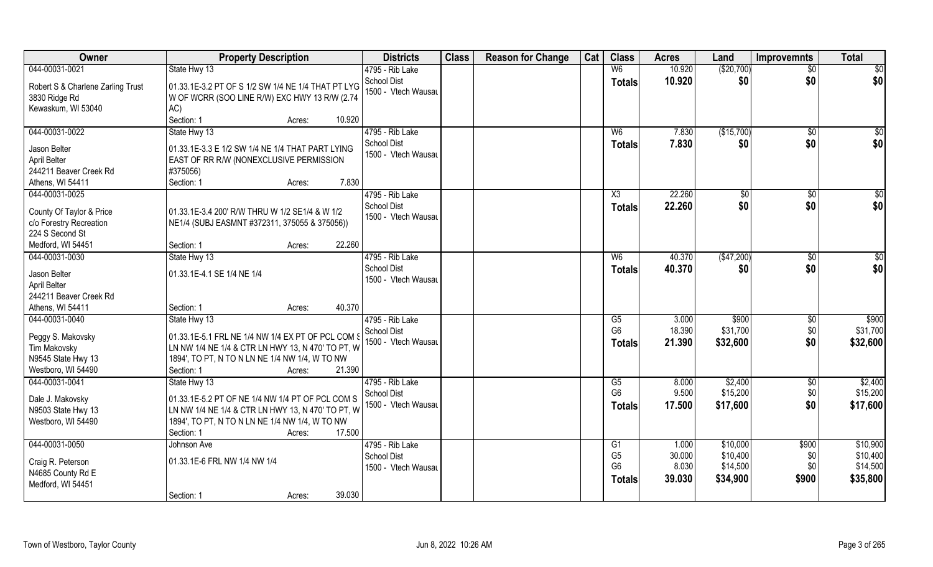| Owner                                                  | <b>Property Description</b>                                                                         | <b>Districts</b>                          | <b>Class</b> | <b>Reason for Change</b> | Cat | <b>Class</b>         | <b>Acres</b>   | Land                | <b>Improvemnts</b> | <b>Total</b>        |
|--------------------------------------------------------|-----------------------------------------------------------------------------------------------------|-------------------------------------------|--------------|--------------------------|-----|----------------------|----------------|---------------------|--------------------|---------------------|
| 044-00031-0021                                         | State Hwy 13                                                                                        | 4795 - Rib Lake                           |              |                          |     | W <sub>6</sub>       | 10.920         | (\$20,700)          | $\overline{50}$    | $\overline{50}$     |
| Robert S & Charlene Zarling Trust<br>3830 Ridge Rd     | 01.33.1E-3.2 PT OF S 1/2 SW 1/4 NE 1/4 THAT PT LYG<br>W OF WCRR (SOO LINE R/W) EXC HWY 13 R/W (2.74 | <b>School Dist</b><br>1500 - Vtech Wausau |              |                          |     | <b>Totals</b>        | 10.920         | \$0                 | \$0                | \$0                 |
| Kewaskum, WI 53040                                     | AC)<br>Section: 1<br>10.920<br>Acres:                                                               |                                           |              |                          |     |                      |                |                     |                    |                     |
| 044-00031-0022                                         | State Hwy 13                                                                                        | 4795 - Rib Lake                           |              |                          |     | W <sub>6</sub>       | 7.830          | (\$15,700)          | $\overline{50}$    | \$0                 |
|                                                        |                                                                                                     | <b>School Dist</b>                        |              |                          |     |                      | 7.830          | \$0                 | \$0                | \$0                 |
| Jason Belter                                           | 01.33.1E-3.3 E 1/2 SW 1/4 NE 1/4 THAT PART LYING                                                    | 1500 - Vtech Wausau                       |              |                          |     | <b>Totals</b>        |                |                     |                    |                     |
| April Belter                                           | EAST OF RR R/W (NONEXCLUSIVE PERMISSION                                                             |                                           |              |                          |     |                      |                |                     |                    |                     |
| 244211 Beaver Creek Rd                                 | #375056)                                                                                            |                                           |              |                          |     |                      |                |                     |                    |                     |
| Athens, WI 54411                                       | 7.830<br>Section: 1<br>Acres:                                                                       |                                           |              |                          |     |                      |                |                     |                    |                     |
| 044-00031-0025                                         |                                                                                                     | 4795 - Rib Lake                           |              |                          |     | X3                   | 22.260         | $\sqrt[6]{}$        | $\sqrt[6]{30}$     | \$0                 |
| County Of Taylor & Price                               | 01.33.1E-3.4 200' R/W THRU W 1/2 SE1/4 & W 1/2                                                      | <b>School Dist</b>                        |              |                          |     | <b>Totals</b>        | 22.260         | \$0                 | \$0                | \$0                 |
| c/o Forestry Recreation                                | NE1/4 (SUBJ EASMNT #372311, 375055 & 375056))                                                       | 1500 - Vtech Wausau                       |              |                          |     |                      |                |                     |                    |                     |
| 224 S Second St                                        |                                                                                                     |                                           |              |                          |     |                      |                |                     |                    |                     |
| Medford, WI 54451                                      | 22.260<br>Section: 1<br>Acres:                                                                      |                                           |              |                          |     |                      |                |                     |                    |                     |
| 044-00031-0030                                         | State Hwy 13                                                                                        | 4795 - Rib Lake                           |              |                          |     | W <sub>6</sub>       | 40.370         | (\$47,200)          | $\sqrt[6]{3}$      | \$0                 |
| Jason Belter<br>April Belter<br>244211 Beaver Creek Rd | 01.33.1E-4.1 SE 1/4 NE 1/4                                                                          | <b>School Dist</b><br>1500 - Vtech Wausau |              |                          |     | <b>Totals</b>        | 40.370         | \$0                 | \$0                | \$0                 |
| Athens, WI 54411                                       | 40.370<br>Section: 1<br>Acres:                                                                      |                                           |              |                          |     |                      |                |                     |                    |                     |
| 044-00031-0040                                         | State Hwy 13                                                                                        | 4795 - Rib Lake                           |              |                          |     | G5                   | 3.000          | \$900               | $\sqrt[6]{3}$      | \$900               |
|                                                        |                                                                                                     | <b>School Dist</b>                        |              |                          |     | G <sub>6</sub>       | 18.390         | \$31,700            | \$0                | \$31,700            |
| Peggy S. Makovsky                                      | 01.33.1E-5.1 FRL NE 1/4 NW 1/4 EX PT OF PCL COM S                                                   | 1500 - Vtech Wausau                       |              |                          |     | Totals               | 21.390         | \$32,600            | \$0                | \$32,600            |
| Tim Makovsky                                           | LN NW 1/4 NE 1/4 & CTR LN HWY 13, N 470' TO PT, W                                                   |                                           |              |                          |     |                      |                |                     |                    |                     |
| N9545 State Hwy 13                                     | 1894', TO PT, N TO N LN NE 1/4 NW 1/4, W TO NW                                                      |                                           |              |                          |     |                      |                |                     |                    |                     |
| Westboro, WI 54490                                     | 21.390<br>Section: 1<br>Acres:                                                                      |                                           |              |                          |     |                      |                |                     |                    |                     |
| 044-00031-0041                                         | State Hwy 13                                                                                        | 4795 - Rib Lake<br>School Dist            |              |                          |     | G5<br>G <sub>6</sub> | 8.000<br>9.500 | \$2,400<br>\$15,200 | \$0<br>\$0         | \$2,400<br>\$15,200 |
| Dale J. Makovsky                                       | 01.33.1E-5.2 PT OF NE 1/4 NW 1/4 PT OF PCL COM S                                                    | 1500 - Vtech Wausau                       |              |                          |     |                      | 17.500         | \$17,600            | \$0                | \$17,600            |
| N9503 State Hwy 13                                     | LN NW 1/4 NE 1/4 & CTR LN HWY 13, N 470' TO PT, W                                                   |                                           |              |                          |     | <b>Totals</b>        |                |                     |                    |                     |
| Westboro, WI 54490                                     | 1894', TO PT, N TO N LN NE 1/4 NW 1/4, W TO NW                                                      |                                           |              |                          |     |                      |                |                     |                    |                     |
|                                                        | 17.500<br>Section: 1<br>Acres:                                                                      |                                           |              |                          |     |                      |                |                     |                    |                     |
| 044-00031-0050                                         | Johnson Ave                                                                                         | 4795 - Rib Lake                           |              |                          |     | G1                   | 1.000          | \$10,000            | \$900              | \$10,900            |
| Craig R. Peterson                                      | 01.33.1E-6 FRL NW 1/4 NW 1/4                                                                        | <b>School Dist</b>                        |              |                          |     | G <sub>5</sub>       | 30.000         | \$10,400            | \$0                | \$10,400            |
| N4685 County Rd E                                      |                                                                                                     | 1500 - Vtech Wausau                       |              |                          |     | G <sub>6</sub>       | 8.030          | \$14,500            | \$0                | \$14,500            |
| Medford, WI 54451                                      |                                                                                                     |                                           |              |                          |     | <b>Totals</b>        | 39.030         | \$34,900            | \$900              | \$35,800            |
|                                                        | 39.030<br>Section: 1<br>Acres:                                                                      |                                           |              |                          |     |                      |                |                     |                    |                     |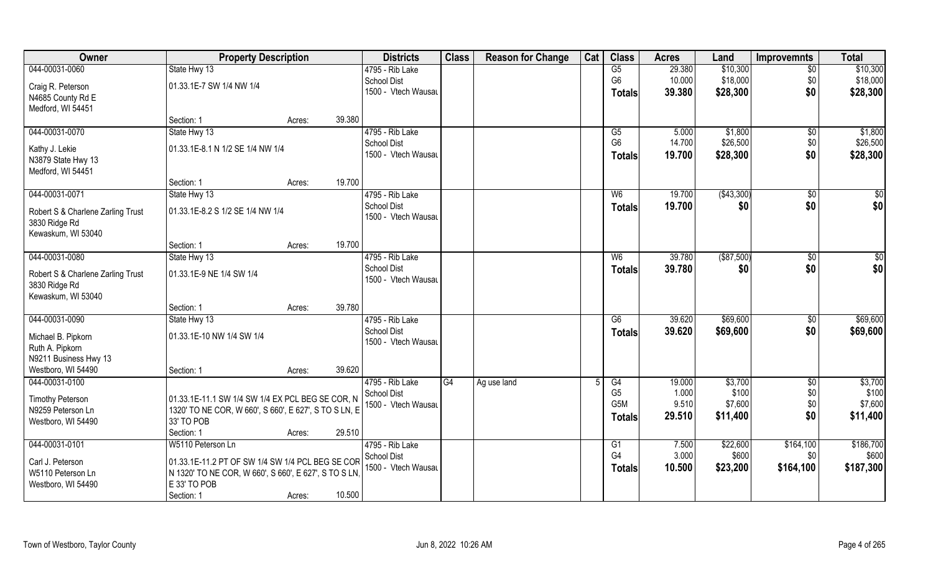| Owner                             | <b>Property Description</b>                           |        |        | <b>Districts</b>                          | <b>Class</b> | <b>Reason for Change</b> | Cat | <b>Class</b>         | <b>Acres</b>    | Land             | <b>Improvemnts</b> | <b>Total</b>     |
|-----------------------------------|-------------------------------------------------------|--------|--------|-------------------------------------------|--------------|--------------------------|-----|----------------------|-----------------|------------------|--------------------|------------------|
| 044-00031-0060                    | State Hwy 13                                          |        |        | 4795 - Rib Lake                           |              |                          |     | G5                   | 29.380          | \$10,300         | $\overline{50}$    | \$10,300         |
| Craig R. Peterson                 | 01.33.1E-7 SW 1/4 NW 1/4                              |        |        | <b>School Dist</b>                        |              |                          |     | G <sub>6</sub>       | 10.000          | \$18,000         | \$0                | \$18,000         |
| N4685 County Rd E                 |                                                       |        |        | 1500 - Vtech Wausau                       |              |                          |     | <b>Totals</b>        | 39.380          | \$28,300         | \$0                | \$28,300         |
| Medford, WI 54451                 |                                                       |        |        |                                           |              |                          |     |                      |                 |                  |                    |                  |
|                                   | Section: 1                                            | Acres: | 39.380 |                                           |              |                          |     |                      |                 |                  |                    |                  |
| 044-00031-0070                    | State Hwy 13                                          |        |        | 4795 - Rib Lake                           |              |                          |     | $\overline{G5}$      | 5.000           | \$1,800          | \$0                | \$1,800          |
|                                   |                                                       |        |        | <b>School Dist</b>                        |              |                          |     | G <sub>6</sub>       | 14.700          | \$26,500         | \$0                | \$26,500         |
| Kathy J. Lekie                    | 01.33.1E-8.1 N 1/2 SE 1/4 NW 1/4                      |        |        | 1500 - Vtech Wausau                       |              |                          |     | <b>Totals</b>        | 19.700          | \$28,300         | \$0                | \$28,300         |
| N3879 State Hwy 13                |                                                       |        |        |                                           |              |                          |     |                      |                 |                  |                    |                  |
| Medford, WI 54451                 |                                                       |        |        |                                           |              |                          |     |                      |                 |                  |                    |                  |
|                                   | Section: 1                                            | Acres: | 19.700 |                                           |              |                          |     |                      |                 |                  |                    |                  |
| 044-00031-0071                    | State Hwy 13                                          |        |        | 4795 - Rib Lake                           |              |                          |     | W <sub>6</sub>       | 19.700          | (\$43,300)       | \$0                | $\sqrt{50}$      |
| Robert S & Charlene Zarling Trust | 01.33.1E-8.2 S 1/2 SE 1/4 NW 1/4                      |        |        | <b>School Dist</b>                        |              |                          |     | <b>Totals</b>        | 19.700          | \$0              | \$0                | \$0              |
| 3830 Ridge Rd                     |                                                       |        |        | 1500 - Vtech Wausau                       |              |                          |     |                      |                 |                  |                    |                  |
| Kewaskum, WI 53040                |                                                       |        |        |                                           |              |                          |     |                      |                 |                  |                    |                  |
|                                   | Section: 1                                            | Acres: | 19.700 |                                           |              |                          |     |                      |                 |                  |                    |                  |
| 044-00031-0080                    | State Hwy 13                                          |        |        | 4795 - Rib Lake                           |              |                          |     | W <sub>6</sub>       | 39.780          | $($ \$87,500)    | $\overline{50}$    | $\sqrt{50}$      |
| Robert S & Charlene Zarling Trust | 01.33.1E-9 NE 1/4 SW 1/4                              |        |        | <b>School Dist</b>                        |              |                          |     | <b>Totals</b>        | 39.780          | \$0              | \$0                | \$0              |
| 3830 Ridge Rd                     |                                                       |        |        | 1500 - Vtech Wausau                       |              |                          |     |                      |                 |                  |                    |                  |
| Kewaskum, WI 53040                |                                                       |        |        |                                           |              |                          |     |                      |                 |                  |                    |                  |
|                                   | Section: 1                                            | Acres: | 39.780 |                                           |              |                          |     |                      |                 |                  |                    |                  |
| 044-00031-0090                    | State Hwy 13                                          |        |        | 4795 - Rib Lake                           |              |                          |     | $\overline{G6}$      | 39.620          | \$69,600         | $\overline{50}$    | \$69,600         |
|                                   |                                                       |        |        | <b>School Dist</b>                        |              |                          |     | Totals               | 39.620          | \$69,600         | \$0                | \$69,600         |
| Michael B. Pipkorn                | 01.33.1E-10 NW 1/4 SW 1/4                             |        |        | 1500 - Vtech Wausau                       |              |                          |     |                      |                 |                  |                    |                  |
| Ruth A. Pipkorn                   |                                                       |        |        |                                           |              |                          |     |                      |                 |                  |                    |                  |
| N9211 Business Hwy 13             |                                                       |        |        |                                           |              |                          |     |                      |                 |                  |                    |                  |
| Westboro, WI 54490                | Section: 1                                            | Acres: | 39.620 |                                           |              |                          |     |                      |                 |                  |                    |                  |
| 044-00031-0100                    |                                                       |        |        | 4795 - Rib Lake                           | G4           | Ag use land              |     | G4<br>G <sub>5</sub> | 19.000<br>1.000 | \$3,700<br>\$100 | $\sqrt{$0}$<br>\$0 | \$3,700<br>\$100 |
| <b>Timothy Peterson</b>           | 01.33.1E-11.1 SW 1/4 SW 1/4 EX PCL BEG SE COR, N      |        |        | <b>School Dist</b><br>1500 - Vtech Wausau |              |                          |     | G <sub>5</sub> M     | 9.510           | \$7,600          | \$0                | \$7,600          |
| N9259 Peterson Ln                 | 1320' TO NE COR, W 660', S 660', E 627', S TO S LN, E |        |        |                                           |              |                          |     |                      | 29.510          | \$11,400         | \$0                | \$11,400         |
| Westboro, WI 54490                | 33' TO POB                                            |        |        |                                           |              |                          |     | Totals               |                 |                  |                    |                  |
|                                   | Section: 1                                            | Acres: | 29.510 |                                           |              |                          |     |                      |                 |                  |                    |                  |
| 044-00031-0101                    | W5110 Peterson Ln                                     |        |        | 4795 - Rib Lake                           |              |                          |     | G1                   | 7.500           | \$22,600         | \$164,100          | \$186,700        |
| Carl J. Peterson                  | 01.33.1E-11.2 PT OF SW 1/4 SW 1/4 PCL BEG SE COR      |        |        | <b>School Dist</b>                        |              |                          |     | G4                   | 3.000           | \$600            | \$0\$              | \$600            |
| W5110 Peterson Ln                 | N 1320' TO NE COR, W 660', S 660', E 627', S TO S LN, |        |        | 1500 - Vtech Wausau                       |              |                          |     | <b>Totals</b>        | 10.500          | \$23,200         | \$164,100          | \$187,300        |
| Westboro, WI 54490                | E 33' TO POB                                          |        |        |                                           |              |                          |     |                      |                 |                  |                    |                  |
|                                   | Section: 1                                            | Acres: | 10.500 |                                           |              |                          |     |                      |                 |                  |                    |                  |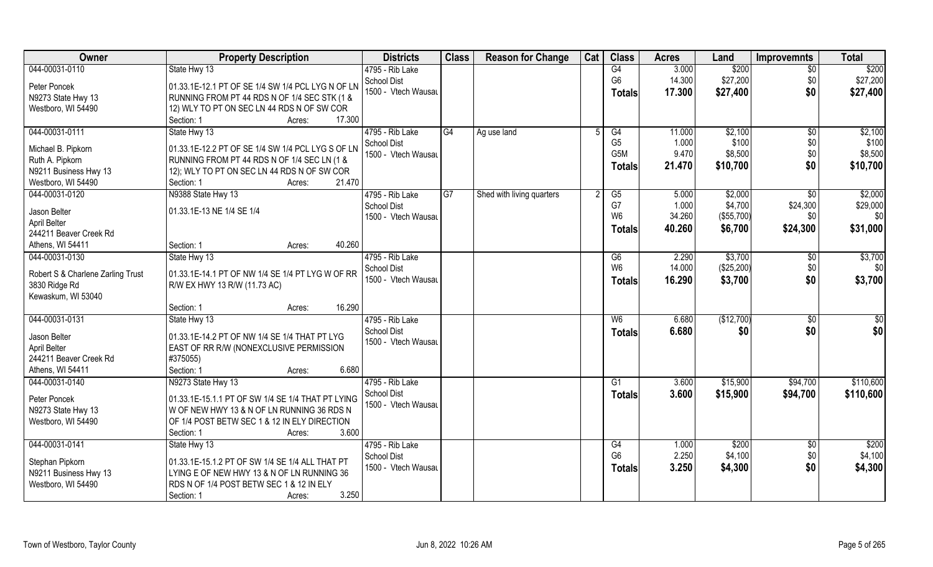| Owner                             | <b>Property Description</b>                               | <b>Districts</b>                          | <b>Class</b>    | <b>Reason for Change</b>  | Cat            | <b>Class</b>   | <b>Acres</b>   | Land               | <b>Improvemnts</b>     | <b>Total</b>    |
|-----------------------------------|-----------------------------------------------------------|-------------------------------------------|-----------------|---------------------------|----------------|----------------|----------------|--------------------|------------------------|-----------------|
| 044-00031-0110                    | State Hwy 13                                              | 4795 - Rib Lake                           |                 |                           |                | G4             | 3.000          | \$200              | $\overline{30}$        | \$200           |
| Peter Poncek                      | 01.33.1E-12.1 PT OF SE 1/4 SW 1/4 PCL LYG N OF LN         | <b>School Dist</b>                        |                 |                           |                | G <sub>6</sub> | 14.300         | \$27,200           | \$0                    | \$27,200        |
| N9273 State Hwy 13                | RUNNING FROM PT 44 RDS N OF 1/4 SEC STK (1 &              | 1500 - Vtech Wausau                       |                 |                           |                | <b>Totals</b>  | 17.300         | \$27,400           | \$0                    | \$27,400        |
| Westboro, WI 54490                | 12) WLY TO PT ON SEC LN 44 RDS N OF SW COR                |                                           |                 |                           |                |                |                |                    |                        |                 |
|                                   | 17.300<br>Section: 1<br>Acres:                            |                                           |                 |                           |                |                |                |                    |                        |                 |
| 044-00031-0111                    | State Hwy 13                                              | 4795 - Rib Lake                           | G4              | Ag use land               | .5             | G4             | 11.000         | \$2,100            | $\overline{50}$        | \$2,100         |
|                                   |                                                           | <b>School Dist</b>                        |                 |                           |                | G <sub>5</sub> | 1.000          | \$100              | \$0                    | \$100           |
| Michael B. Pipkorn                | 01.33.1E-12.2 PT OF SE 1/4 SW 1/4 PCL LYG S OF LN         | 1500 - Vtech Wausau                       |                 |                           |                | G5M            | 9.470          | \$8,500            | \$0                    | \$8,500         |
| Ruth A. Pipkorn                   | RUNNING FROM PT 44 RDS N OF 1/4 SEC LN (1 &               |                                           |                 |                           |                | <b>Totals</b>  | 21.470         | \$10,700           | \$0                    | \$10,700        |
| N9211 Business Hwy 13             | 12); WLY TO PT ON SEC LN 44 RDS N OF SW COR<br>21.470     |                                           |                 |                           |                |                |                |                    |                        |                 |
| Westboro, WI 54490                | Section: 1<br>Acres:                                      |                                           | $\overline{G7}$ |                           | $\mathfrak{p}$ |                |                |                    |                        | \$2,000         |
| 044-00031-0120                    | N9388 State Hwy 13                                        | 4795 - Rib Lake                           |                 | Shed with living quarters |                | G5<br>G7       | 5.000<br>1.000 | \$2,000<br>\$4,700 | $\sqrt{6}$<br>\$24,300 |                 |
| Jason Belter                      | 01.33.1E-13 NE 1/4 SE 1/4                                 | <b>School Dist</b><br>1500 - Vtech Wausau |                 |                           |                | W <sub>6</sub> | 34.260         | (\$55,700)         | \$0                    | \$29,000<br>\$0 |
| April Belter                      |                                                           |                                           |                 |                           |                |                |                |                    |                        |                 |
| 244211 Beaver Creek Rd            |                                                           |                                           |                 |                           |                | Totals         | 40.260         | \$6,700            | \$24,300               | \$31,000        |
| Athens, WI 54411                  | 40.260<br>Section: 1<br>Acres:                            |                                           |                 |                           |                |                |                |                    |                        |                 |
| 044-00031-0130                    | State Hwy 13                                              | 4795 - Rib Lake                           |                 |                           |                | G6             | 2.290          | \$3,700            | $\sqrt[6]{3}$          | \$3,700         |
| Robert S & Charlene Zarling Trust | 01.33.1E-14.1 PT OF NW 1/4 SE 1/4 PT LYG W OF RR          | <b>School Dist</b>                        |                 |                           |                | W <sub>6</sub> | 14.000         | (\$25,200)         | \$0                    | \$0             |
| 3830 Ridge Rd                     | R/W EX HWY 13 R/W (11.73 AC)                              | 1500 - Vtech Wausau                       |                 |                           |                | <b>Totals</b>  | 16.290         | \$3,700            | \$0                    | \$3,700         |
| Kewaskum, WI 53040                |                                                           |                                           |                 |                           |                |                |                |                    |                        |                 |
|                                   | 16.290<br>Section: 1<br>Acres:                            |                                           |                 |                           |                |                |                |                    |                        |                 |
| 044-00031-0131                    | State Hwy 13                                              | 4795 - Rib Lake                           |                 |                           |                | W6             | 6.680          | (\$12,700)         | \$0                    | $\overline{50}$ |
|                                   |                                                           | <b>School Dist</b>                        |                 |                           |                |                | 6.680          | \$0                | \$0                    | \$0             |
| Jason Belter                      | 01.33.1E-14.2 PT OF NW 1/4 SE 1/4 THAT PT LYG             | 1500 - Vtech Wausau                       |                 |                           |                | <b>Totals</b>  |                |                    |                        |                 |
| April Belter                      | EAST OF RR R/W (NONEXCLUSIVE PERMISSION                   |                                           |                 |                           |                |                |                |                    |                        |                 |
| 244211 Beaver Creek Rd            | #375055)                                                  |                                           |                 |                           |                |                |                |                    |                        |                 |
| Athens, WI 54411                  | 6.680<br>Section: 1<br>Acres:                             |                                           |                 |                           |                |                |                |                    |                        |                 |
| 044-00031-0140                    | N9273 State Hwy 13                                        | 4795 - Rib Lake                           |                 |                           |                | G1             | 3.600          | \$15,900           | \$94,700               | \$110,600       |
| Peter Poncek                      | $\vert$ 01.33.1E-15.1.1 PT OF SW 1/4 SE 1/4 THAT PT LYING | <b>School Dist</b>                        |                 |                           |                | <b>Totals</b>  | 3.600          | \$15,900           | \$94,700               | \$110,600       |
| N9273 State Hwy 13                | W OF NEW HWY 13 & N OF LN RUNNING 36 RDS N                | 1500 - Vtech Wausau                       |                 |                           |                |                |                |                    |                        |                 |
| Westboro, WI 54490                | OF 1/4 POST BETW SEC 1 & 12 IN ELY DIRECTION              |                                           |                 |                           |                |                |                |                    |                        |                 |
|                                   | 3.600<br>Section: 1<br>Acres:                             |                                           |                 |                           |                |                |                |                    |                        |                 |
| 044-00031-0141                    | State Hwy 13                                              | 4795 - Rib Lake                           |                 |                           |                | G4             | 1.000          | \$200              | $\sqrt{$0}$            | \$200           |
|                                   |                                                           | <b>School Dist</b>                        |                 |                           |                | G <sub>6</sub> | 2.250          | \$4,100            | \$0                    | \$4,100         |
| Stephan Pipkorn                   | 01.33.1E-15.1.2 PT OF SW 1/4 SE 1/4 ALL THAT PT           | 1500 - Vtech Wausau                       |                 |                           |                | <b>Totals</b>  | 3.250          | \$4,300            | \$0                    | \$4,300         |
| N9211 Business Hwy 13             | LYING E OF NEW HWY 13 & N OF LN RUNNING 36                |                                           |                 |                           |                |                |                |                    |                        |                 |
| Westboro, WI 54490                | RDS N OF 1/4 POST BETW SEC 1 & 12 IN ELY                  |                                           |                 |                           |                |                |                |                    |                        |                 |
|                                   | 3.250<br>Section: 1<br>Acres:                             |                                           |                 |                           |                |                |                |                    |                        |                 |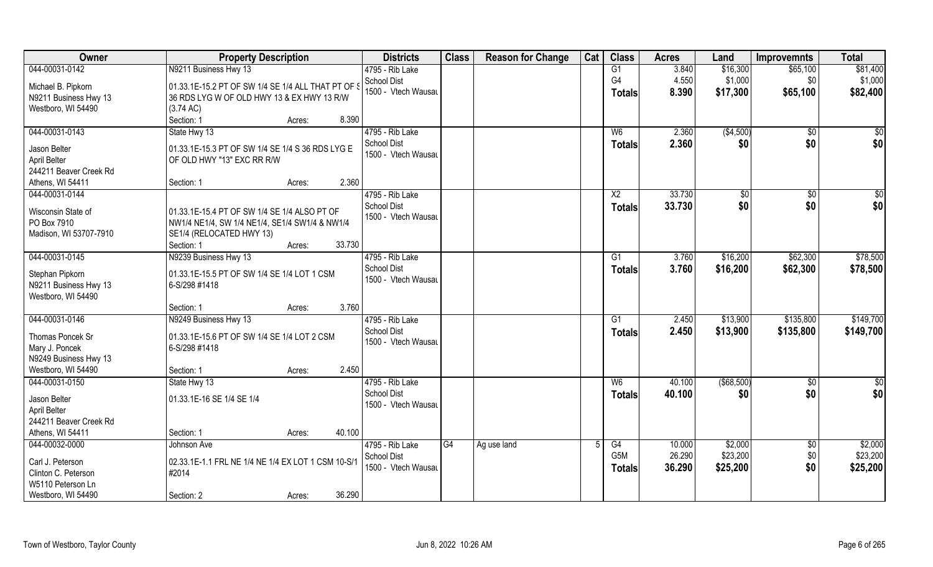| Owner                  | <b>Property Description</b>                        | <b>Districts</b>    | <b>Class</b> | <b>Reason for Change</b> | Cat | <b>Class</b>    | <b>Acres</b> | Land        | <b>Improvemnts</b> | <b>Total</b>    |
|------------------------|----------------------------------------------------|---------------------|--------------|--------------------------|-----|-----------------|--------------|-------------|--------------------|-----------------|
| 044-00031-0142         | N9211 Business Hwy 13                              | 4795 - Rib Lake     |              |                          |     | G1              | 3.840        | \$16,300    | \$65,100           | \$81,400        |
| Michael B. Pipkorn     | 01.33.1E-15.2 PT OF SW 1/4 SE 1/4 ALL THAT PT OF S | <b>School Dist</b>  |              |                          |     | G4              | 4.550        | \$1,000     | \$0                | \$1,000         |
| N9211 Business Hwy 13  | 36 RDS LYG W OF OLD HWY 13 & EX HWY 13 R/W         | 1500 - Vtech Wausau |              |                          |     | <b>Totals</b>   | 8.390        | \$17,300    | \$65,100           | \$82,400        |
| Westboro, WI 54490     | (3.74 AC)                                          |                     |              |                          |     |                 |              |             |                    |                 |
|                        | 8.390<br>Section: 1<br>Acres:                      |                     |              |                          |     |                 |              |             |                    |                 |
| 044-00031-0143         |                                                    | 4795 - Rib Lake     |              |                          |     | W <sub>6</sub>  | 2.360        |             |                    | $\overline{50}$ |
|                        | State Hwy 13                                       | <b>School Dist</b>  |              |                          |     |                 |              | ( \$4,500)  | \$0                |                 |
| Jason Belter           | 01.33.1E-15.3 PT OF SW 1/4 SE 1/4 S 36 RDS LYG E   | 1500 - Vtech Wausau |              |                          |     | Totals          | 2.360        | \$0         | \$0                | \$0             |
| April Belter           | OF OLD HWY "13" EXC RR R/W                         |                     |              |                          |     |                 |              |             |                    |                 |
| 244211 Beaver Creek Rd |                                                    |                     |              |                          |     |                 |              |             |                    |                 |
| Athens, WI 54411       | 2.360<br>Section: 1<br>Acres:                      |                     |              |                          |     |                 |              |             |                    |                 |
| 044-00031-0144         |                                                    | 4795 - Rib Lake     |              |                          |     | $\overline{X2}$ | 33.730       | \$0         | \$0                | $\overline{50}$ |
|                        |                                                    | <b>School Dist</b>  |              |                          |     | <b>Totals</b>   | 33.730       | \$0         | \$0                | \$0             |
| Wisconsin State of     | 01.33.1E-15.4 PT OF SW 1/4 SE 1/4 ALSO PT OF       | 1500 - Vtech Wausau |              |                          |     |                 |              |             |                    |                 |
| PO Box 7910            | NW1/4 NE1/4, SW 1/4 NE1/4, SE1/4 SW1/4 & NW1/4     |                     |              |                          |     |                 |              |             |                    |                 |
| Madison, WI 53707-7910 | SE1/4 (RELOCATED HWY 13)                           |                     |              |                          |     |                 |              |             |                    |                 |
|                        | 33.730<br>Section: 1<br>Acres:                     |                     |              |                          |     |                 |              |             |                    |                 |
| 044-00031-0145         | N9239 Business Hwy 13                              | 4795 - Rib Lake     |              |                          |     | G1              | 3.760        | \$16,200    | \$62,300           | \$78,500        |
| Stephan Pipkorn        | 01.33.1E-15.5 PT OF SW 1/4 SE 1/4 LOT 1 CSM        | <b>School Dist</b>  |              |                          |     | <b>Totals</b>   | 3.760        | \$16,200    | \$62,300           | \$78,500        |
| N9211 Business Hwy 13  | 6-S/298 #1418                                      | 1500 - Vtech Wausau |              |                          |     |                 |              |             |                    |                 |
| Westboro, WI 54490     |                                                    |                     |              |                          |     |                 |              |             |                    |                 |
|                        | 3.760<br>Section: 1<br>Acres:                      |                     |              |                          |     |                 |              |             |                    |                 |
| 044-00031-0146         | N9249 Business Hwy 13                              | 4795 - Rib Lake     |              |                          |     | G1              | 2.450        | \$13,900    | \$135,800          | \$149,700       |
|                        |                                                    | <b>School Dist</b>  |              |                          |     |                 | 2.450        | \$13,900    | \$135,800          | \$149,700       |
| Thomas Poncek Sr       | 01.33.1E-15.6 PT OF SW 1/4 SE 1/4 LOT 2 CSM        | 1500 - Vtech Wausau |              |                          |     | <b>Totals</b>   |              |             |                    |                 |
| Mary J. Poncek         | 6-S/298 #1418                                      |                     |              |                          |     |                 |              |             |                    |                 |
| N9249 Business Hwy 13  |                                                    |                     |              |                          |     |                 |              |             |                    |                 |
| Westboro, WI 54490     | 2.450<br>Section: 1<br>Acres:                      |                     |              |                          |     |                 |              |             |                    |                 |
| 044-00031-0150         | State Hwy 13                                       | 4795 - Rib Lake     |              |                          |     | W6              | 40.100       | ( \$68,500) | $\sqrt{$0}$        | $\overline{50}$ |
|                        |                                                    | <b>School Dist</b>  |              |                          |     | <b>Totals</b>   | 40.100       | \$0         | \$0                | \$0             |
| Jason Belter           | 01.33.1E-16 SE 1/4 SE 1/4                          | 1500 - Vtech Wausau |              |                          |     |                 |              |             |                    |                 |
| April Belter           |                                                    |                     |              |                          |     |                 |              |             |                    |                 |
| 244211 Beaver Creek Rd |                                                    |                     |              |                          |     |                 |              |             |                    |                 |
| Athens, WI 54411       | 40.100<br>Section: 1<br>Acres:                     |                     |              |                          |     |                 |              |             |                    |                 |
| 044-00032-0000         | Johnson Ave                                        | 4795 - Rib Lake     | G4           | Ag use land              |     | G4              | 10.000       | \$2,000     | $\overline{50}$    | \$2,000         |
| Carl J. Peterson       | 02.33.1E-1.1 FRL NE 1/4 NE 1/4 EX LOT 1 CSM 10-S/1 | <b>School Dist</b>  |              |                          |     | G5M             | 26.290       | \$23,200    | \$0                | \$23,200        |
| Clinton C. Peterson    | #2014                                              | 1500 - Vtech Wausau |              |                          |     | <b>Totals</b>   | 36.290       | \$25,200    | \$0                | \$25,200        |
| W5110 Peterson Ln      |                                                    |                     |              |                          |     |                 |              |             |                    |                 |
| Westboro, WI 54490     | 36.290<br>Section: 2<br>Acres:                     |                     |              |                          |     |                 |              |             |                    |                 |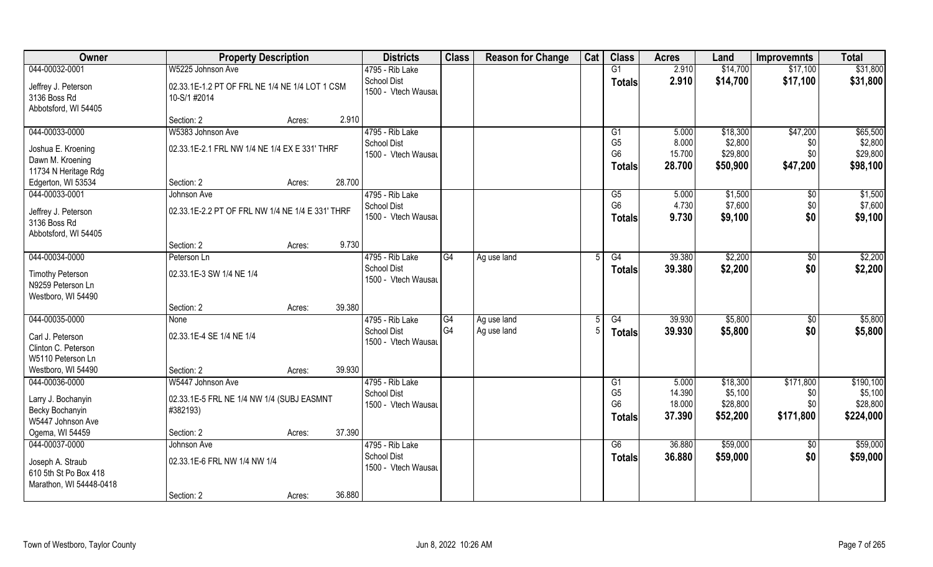| Owner                                                                                  | <b>Property Description</b>                                                |                  | <b>Districts</b>                                             | <b>Class</b>   | <b>Reason for Change</b> | Cat | <b>Class</b>                                            | <b>Acres</b>                        | Land                                        | <b>Improvemnts</b>                   | <b>Total</b>                                  |
|----------------------------------------------------------------------------------------|----------------------------------------------------------------------------|------------------|--------------------------------------------------------------|----------------|--------------------------|-----|---------------------------------------------------------|-------------------------------------|---------------------------------------------|--------------------------------------|-----------------------------------------------|
| 044-00032-0001                                                                         | W5225 Johnson Ave                                                          |                  | 4795 - Rib Lake                                              |                |                          |     | G1                                                      | 2.910                               | \$14,700                                    | \$17,100                             | \$31,800                                      |
| Jeffrey J. Peterson<br>3136 Boss Rd<br>Abbotsford, WI 54405                            | 02.33.1E-1.2 PT OF FRL NE 1/4 NE 1/4 LOT 1 CSM<br>10-S/1 #2014             |                  | School Dist<br>1500 - Vtech Wausau                           |                |                          |     | <b>Totals</b>                                           | 2.910                               | \$14,700                                    | \$17,100                             | \$31,800                                      |
|                                                                                        | Section: 2                                                                 | 2.910<br>Acres:  |                                                              |                |                          |     |                                                         |                                     |                                             |                                      |                                               |
| 044-00033-0000                                                                         | W5383 Johnson Ave                                                          |                  | 4795 - Rib Lake                                              |                |                          |     | G1                                                      | 5.000                               | \$18,300                                    | \$47,200                             | \$65,500                                      |
| Joshua E. Kroening<br>Dawn M. Kroening<br>11734 N Heritage Rdg                         | 02.33.1E-2.1 FRL NW 1/4 NE 1/4 EX E 331' THRF                              |                  | <b>School Dist</b><br>1500 - Vtech Wausau                    |                |                          |     | G <sub>5</sub><br>G <sub>6</sub><br><b>Totals</b>       | 8.000<br>15.700<br>28.700           | \$2,800<br>\$29,800<br>\$50,900             | \$0<br>\$0<br>\$47,200               | \$2,800<br>\$29,800<br>\$98,100               |
| Edgerton, WI 53534                                                                     | Section: 2                                                                 | 28.700<br>Acres: |                                                              |                |                          |     |                                                         |                                     |                                             |                                      |                                               |
| 044-00033-0001<br>Jeffrey J. Peterson<br>3136 Boss Rd<br>Abbotsford, WI 54405          | Johnson Ave<br>02.33.1E-2.2 PT OF FRL NW 1/4 NE 1/4 E 331' THRF            |                  | 4795 - Rib Lake<br>School Dist<br>1500 - Vtech Wausau        |                |                          |     | G5<br>G <sub>6</sub><br><b>Totals</b>                   | 5.000<br>4.730<br>9.730             | \$1,500<br>\$7,600<br>\$9,100               | \$0<br>\$0<br>\$0                    | \$1,500<br>\$7,600<br>\$9,100                 |
|                                                                                        | Section: 2                                                                 | 9.730<br>Acres:  |                                                              |                |                          |     |                                                         |                                     |                                             |                                      |                                               |
| 044-00034-0000                                                                         | Peterson Ln                                                                |                  | 4795 - Rib Lake                                              | G4             | Ag use land              |     | G4                                                      | 39.380                              | \$2,200                                     | $\sqrt[6]{3}$                        | \$2,200                                       |
| <b>Timothy Peterson</b><br>N9259 Peterson Ln<br>Westboro, WI 54490                     | 02.33.1E-3 SW 1/4 NE 1/4                                                   |                  | <b>School Dist</b><br>1500 - Vtech Wausau                    |                |                          |     | <b>Totals</b>                                           | 39.380                              | \$2,200                                     | \$0                                  | \$2,200                                       |
|                                                                                        | Section: 2                                                                 | 39.380<br>Acres: |                                                              |                |                          |     |                                                         |                                     |                                             |                                      |                                               |
| 044-00035-0000                                                                         | <b>None</b>                                                                |                  | 4795 - Rib Lake                                              | G4             | Ag use land              |     | G4                                                      | 39.930                              | \$5,800                                     | \$0                                  | \$5,800                                       |
| Carl J. Peterson<br>Clinton C. Peterson<br>W5110 Peterson Ln                           | 02.33.1E-4 SE 1/4 NE 1/4                                                   |                  | <b>School Dist</b><br>1500 - Vtech Wausau                    | G <sub>4</sub> | Ag use land              |     | <b>Totals</b>                                           | 39.930                              | \$5,800                                     | \$0                                  | \$5,800                                       |
| Westboro, WI 54490                                                                     | Section: 2                                                                 | 39.930<br>Acres: |                                                              |                |                          |     |                                                         |                                     |                                             |                                      |                                               |
| 044-00036-0000<br>Larry J. Bochanyin<br>Becky Bochanyin<br>W5447 Johnson Ave           | W5447 Johnson Ave<br>02.33.1E-5 FRL NE 1/4 NW 1/4 (SUBJ EASMNT<br>#382193) |                  | 4795 - Rib Lake<br><b>School Dist</b><br>1500 - Vtech Wausau |                |                          |     | G1<br>G <sub>5</sub><br>G <sub>6</sub><br><b>Totals</b> | 5.000<br>14.390<br>18.000<br>37.390 | \$18,300<br>\$5,100<br>\$28,800<br>\$52,200 | \$171,800<br>\$0<br>\$0<br>\$171,800 | \$190,100<br>\$5,100<br>\$28,800<br>\$224,000 |
| Ogema, WI 54459                                                                        | Section: 2                                                                 | 37.390<br>Acres: |                                                              |                |                          |     |                                                         |                                     |                                             |                                      |                                               |
| 044-00037-0000<br>Joseph A. Straub<br>610 5th St Po Box 418<br>Marathon, WI 54448-0418 | Johnson Ave<br>02.33.1E-6 FRL NW 1/4 NW 1/4<br>Section: 2                  | 36.880<br>Acres: | 4795 - Rib Lake<br><b>School Dist</b><br>1500 - Vtech Wausau |                |                          |     | G6<br><b>Totals</b>                                     | 36.880<br>36.880                    | \$59,000<br>\$59,000                        | $\overline{50}$<br>\$0               | \$59,000<br>\$59,000                          |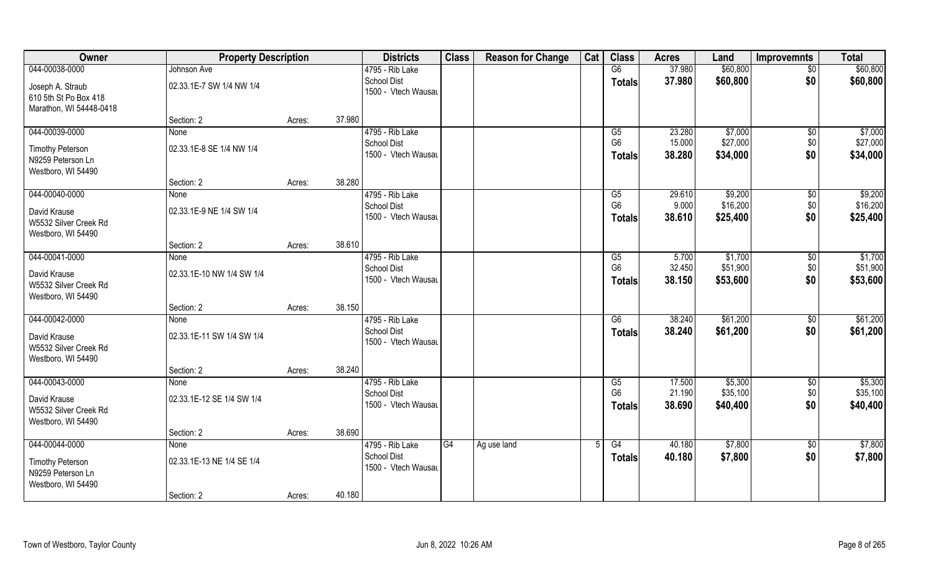| Owner                                                                | <b>Property Description</b> |        |        | <b>Districts</b>                          | <b>Class</b> | <b>Reason for Change</b> | Cat | <b>Class</b>                    | <b>Acres</b>     | Land                 | <b>Improvemnts</b> | <b>Total</b>         |
|----------------------------------------------------------------------|-----------------------------|--------|--------|-------------------------------------------|--------------|--------------------------|-----|---------------------------------|------------------|----------------------|--------------------|----------------------|
| 044-00038-0000                                                       | Johnson Ave                 |        |        | 4795 - Rib Lake                           |              |                          |     | G6                              | 37.980           | \$60,800             | $\overline{50}$    | \$60,800             |
| Joseph A. Straub<br>610 5th St Po Box 418<br>Marathon, WI 54448-0418 | 02.33.1E-7 SW 1/4 NW 1/4    |        |        | <b>School Dist</b><br>1500 - Vtech Wausau |              |                          |     | <b>Totals</b>                   | 37.980           | \$60,800             | \$0                | \$60,800             |
|                                                                      | Section: 2                  | Acres: | 37.980 |                                           |              |                          |     |                                 |                  |                      |                    |                      |
| 044-00039-0000                                                       | None                        |        |        | 4795 - Rib Lake                           |              |                          |     | G5                              | 23.280           | \$7,000              | $\sqrt{50}$        | \$7,000              |
| <b>Timothy Peterson</b><br>N9259 Peterson Ln<br>Westboro, WI 54490   | 02.33.1E-8 SE 1/4 NW 1/4    |        |        | <b>School Dist</b><br>1500 - Vtech Wausau |              |                          |     | G <sub>6</sub><br><b>Totals</b> | 15.000<br>38.280 | \$27,000<br>\$34,000 | \$0<br>\$0         | \$27,000<br>\$34,000 |
|                                                                      | Section: 2                  | Acres: | 38.280 |                                           |              |                          |     |                                 |                  |                      |                    |                      |
| 044-00040-0000                                                       | None                        |        |        | 4795 - Rib Lake                           |              |                          |     | G5                              | 29.610           | \$9,200              | $\sqrt[6]{30}$     | \$9,200              |
| David Krause<br>W5532 Silver Creek Rd<br>Westboro, WI 54490          | 02.33.1E-9 NE 1/4 SW 1/4    |        |        | <b>School Dist</b><br>1500 - Vtech Wausau |              |                          |     | G <sub>6</sub><br><b>Totals</b> | 9.000<br>38.610  | \$16,200<br>\$25,400 | \$0<br>\$0         | \$16,200<br>\$25,400 |
|                                                                      | Section: 2                  | Acres: | 38.610 |                                           |              |                          |     |                                 |                  |                      |                    |                      |
| 044-00041-0000                                                       | None                        |        |        | 4795 - Rib Lake                           |              |                          |     | G5                              | 5.700            | \$1,700              | $\sqrt[6]{3}$      | \$1,700              |
| David Krause<br>W5532 Silver Creek Rd<br>Westboro, WI 54490          | 02.33.1E-10 NW 1/4 SW 1/4   |        |        | <b>School Dist</b><br>1500 - Vtech Wausau |              |                          |     | G <sub>6</sub><br><b>Totals</b> | 32.450<br>38.150 | \$51,900<br>\$53,600 | \$0<br>\$0         | \$51,900<br>\$53,600 |
|                                                                      | Section: 2                  | Acres: | 38.150 |                                           |              |                          |     |                                 |                  |                      |                    |                      |
| 044-00042-0000                                                       | None                        |        |        | 4795 - Rib Lake                           |              |                          |     | $\overline{G6}$                 | 38.240           | \$61,200             | \$0                | \$61,200             |
| David Krause<br>W5532 Silver Creek Rd<br>Westboro, WI 54490          | 02.33.1E-11 SW 1/4 SW 1/4   |        |        | <b>School Dist</b><br>1500 - Vtech Wausau |              |                          |     | <b>Totals</b>                   | 38.240           | \$61,200             | \$0                | \$61,200             |
|                                                                      | Section: 2                  | Acres: | 38.240 |                                           |              |                          |     |                                 |                  |                      |                    |                      |
| 044-00043-0000                                                       | None                        |        |        | 4795 - Rib Lake                           |              |                          |     | G5                              | 17.500           | \$5,300              | \$0                | \$5,300              |
| David Krause<br>W5532 Silver Creek Rd<br>Westboro, WI 54490          | 02.33.1E-12 SE 1/4 SW 1/4   |        |        | <b>School Dist</b><br>1500 - Vtech Wausau |              |                          |     | G <sub>6</sub><br><b>Totals</b> | 21.190<br>38.690 | \$35,100<br>\$40,400 | \$0<br>\$0         | \$35,100<br>\$40,400 |
|                                                                      | Section: 2                  | Acres: | 38.690 |                                           |              |                          |     |                                 |                  |                      |                    |                      |
| 044-00044-0000                                                       | None                        |        |        | 4795 - Rib Lake                           | G4           | Ag use land              |     | G4                              | 40.180           | \$7,800              | $\sqrt{6}$         | \$7,800              |
| <b>Timothy Peterson</b><br>N9259 Peterson Ln<br>Westboro, WI 54490   | 02.33.1E-13 NE 1/4 SE 1/4   |        |        | <b>School Dist</b><br>1500 - Vtech Wausau |              |                          |     | <b>Totals</b>                   | 40.180           | \$7,800              | \$0                | \$7,800              |
|                                                                      | Section: 2                  | Acres: | 40.180 |                                           |              |                          |     |                                 |                  |                      |                    |                      |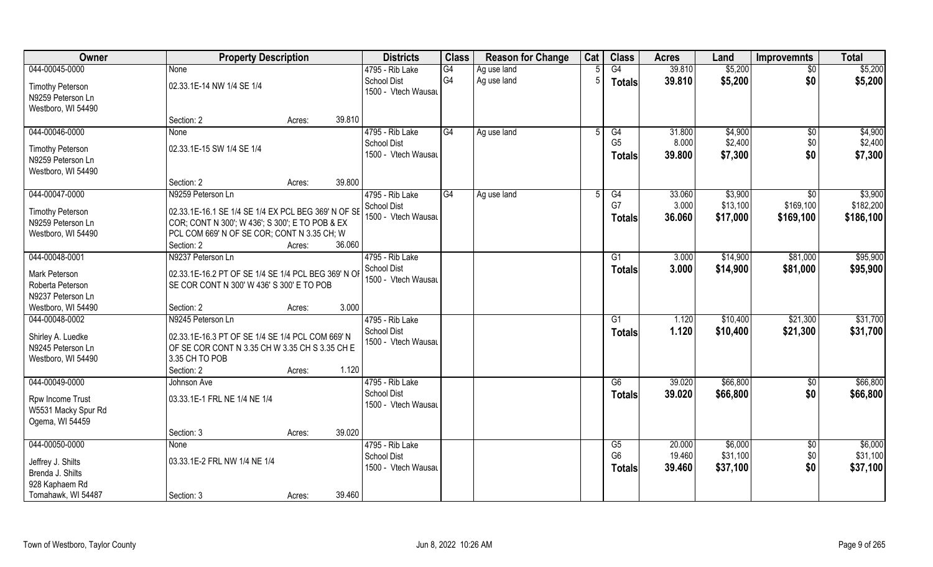| Owner                                        | <b>Property Description</b>                                                                    |                  | <b>Districts</b>                          | <b>Class</b>   | <b>Reason for Change</b> | Cat | <b>Class</b>    | <b>Acres</b> | Land     | <b>Improvemnts</b> | <b>Total</b> |
|----------------------------------------------|------------------------------------------------------------------------------------------------|------------------|-------------------------------------------|----------------|--------------------------|-----|-----------------|--------------|----------|--------------------|--------------|
| 044-00045-0000                               | None                                                                                           |                  | 4795 - Rib Lake                           | G4             | Ag use land              |     | G4              | 39.810       | \$5,200  | $\sqrt{$0}$        | \$5,200      |
| <b>Timothy Peterson</b>                      | 02.33.1E-14 NW 1/4 SE 1/4                                                                      |                  | <b>School Dist</b><br>1500 - Vtech Wausau | G <sub>4</sub> | Ag use land              |     | <b>Totals</b>   | 39.810       | \$5,200  | \$0                | \$5,200      |
| N9259 Peterson Ln                            |                                                                                                |                  |                                           |                |                          |     |                 |              |          |                    |              |
| Westboro, WI 54490                           |                                                                                                |                  |                                           |                |                          |     |                 |              |          |                    |              |
|                                              | Section: 2                                                                                     | 39.810<br>Acres: |                                           |                |                          |     |                 |              |          |                    |              |
| 044-00046-0000                               | <b>None</b>                                                                                    |                  | 4795 - Rib Lake                           | G4             | Ag use land              |     | G4              | 31.800       | \$4,900  | \$0                | \$4,900      |
| <b>Timothy Peterson</b>                      | 02.33.1E-15 SW 1/4 SE 1/4                                                                      |                  | <b>School Dist</b>                        |                |                          |     | G <sub>5</sub>  | 8.000        | \$2,400  | \$0                | \$2,400      |
| N9259 Peterson Ln                            |                                                                                                |                  | 1500 - Vtech Wausau                       |                |                          |     | <b>Totals</b>   | 39.800       | \$7,300  | \$0                | \$7,300      |
| Westboro, WI 54490                           |                                                                                                |                  |                                           |                |                          |     |                 |              |          |                    |              |
|                                              | Section: 2                                                                                     | 39.800<br>Acres: |                                           |                |                          |     |                 |              |          |                    |              |
| 044-00047-0000                               | N9259 Peterson Ln                                                                              |                  | 4795 - Rib Lake                           | G4             | Ag use land              |     | G4              | 33.060       | \$3,900  | $\overline{50}$    | \$3,900      |
|                                              |                                                                                                |                  | <b>School Dist</b>                        |                |                          |     | G7              | 3.000        | \$13,100 | \$169,100          | \$182,200    |
| <b>Timothy Peterson</b><br>N9259 Peterson Ln | 02.33.1E-16.1 SE 1/4 SE 1/4 EX PCL BEG 369' N OF SE                                            |                  | 1500 - Vtech Wausau                       |                |                          |     | <b>Totals</b>   | 36.060       | \$17,000 | \$169,100          | \$186,100    |
|                                              | COR; CONT N 300'; W 436'; S 300'; E TO POB & EX<br>PCL COM 669' N OF SE COR; CONT N 3.35 CH; W |                  |                                           |                |                          |     |                 |              |          |                    |              |
| Westboro, WI 54490                           | Section: 2                                                                                     | 36.060<br>Acres: |                                           |                |                          |     |                 |              |          |                    |              |
| 044-00048-0001                               | N9237 Peterson Ln                                                                              |                  | 4795 - Rib Lake                           |                |                          |     | G1              | 3.000        | \$14,900 | \$81,000           | \$95,900     |
|                                              |                                                                                                |                  | <b>School Dist</b>                        |                |                          |     |                 |              |          |                    |              |
| Mark Peterson                                | 02.33.1E-16.2 PT OF SE 1/4 SE 1/4 PCL BEG 369' N OF                                            |                  | 1500 - Vtech Wausau                       |                |                          |     | <b>Totals</b>   | 3.000        | \$14,900 | \$81,000           | \$95,900     |
| Roberta Peterson                             | SE COR CONT N 300' W 436' S 300' E TO POB                                                      |                  |                                           |                |                          |     |                 |              |          |                    |              |
| N9237 Peterson Ln                            |                                                                                                |                  |                                           |                |                          |     |                 |              |          |                    |              |
| Westboro, WI 54490                           | Section: 2                                                                                     | 3.000<br>Acres:  |                                           |                |                          |     |                 |              |          |                    |              |
| 044-00048-0002                               | N9245 Peterson Ln                                                                              |                  | 4795 - Rib Lake                           |                |                          |     | $\overline{G1}$ | 1.120        | \$10,400 | \$21,300           | \$31,700     |
| Shirley A. Luedke                            | 02.33.1E-16.3 PT OF SE 1/4 SE 1/4 PCL COM 669' N                                               |                  | <b>School Dist</b>                        |                |                          |     | Totals          | 1.120        | \$10,400 | \$21,300           | \$31,700     |
| N9245 Peterson Ln                            | OF SE COR CONT N 3.35 CH W 3.35 CH S 3.35 CH E                                                 |                  | 1500 - Vtech Wausau                       |                |                          |     |                 |              |          |                    |              |
| Westboro, WI 54490                           | 3.35 CH TO POB                                                                                 |                  |                                           |                |                          |     |                 |              |          |                    |              |
|                                              | Section: 2                                                                                     | 1.120<br>Acres:  |                                           |                |                          |     |                 |              |          |                    |              |
| 044-00049-0000                               | Johnson Ave                                                                                    |                  | 4795 - Rib Lake                           |                |                          |     | G6              | 39.020       | \$66,800 | $\sqrt{$0}$        | \$66,800     |
|                                              |                                                                                                |                  | <b>School Dist</b>                        |                |                          |     | <b>Totals</b>   | 39.020       | \$66,800 | \$0                | \$66,800     |
| Rpw Income Trust                             | 03.33.1E-1 FRL NE 1/4 NE 1/4                                                                   |                  | 1500 - Vtech Wausau                       |                |                          |     |                 |              |          |                    |              |
| W5531 Macky Spur Rd                          |                                                                                                |                  |                                           |                |                          |     |                 |              |          |                    |              |
| Ogema, WI 54459                              |                                                                                                |                  |                                           |                |                          |     |                 |              |          |                    |              |
|                                              | Section: 3                                                                                     | 39.020<br>Acres: |                                           |                |                          |     |                 |              |          |                    |              |
| 044-00050-0000                               | <b>None</b>                                                                                    |                  | 4795 - Rib Lake                           |                |                          |     | G5              | 20.000       | \$6,000  | $\sqrt{$0}$        | \$6,000      |
| Jeffrey J. Shilts                            | 03.33.1E-2 FRL NW 1/4 NE 1/4                                                                   |                  | <b>School Dist</b>                        |                |                          |     | G <sub>6</sub>  | 19.460       | \$31,100 | \$0                | \$31,100     |
| Brenda J. Shilts                             |                                                                                                |                  | 1500 - Vtech Wausau                       |                |                          |     | <b>Totals</b>   | 39.460       | \$37,100 | \$0                | \$37,100     |
| 928 Kaphaem Rd                               |                                                                                                |                  |                                           |                |                          |     |                 |              |          |                    |              |
| Tomahawk, WI 54487                           | Section: 3                                                                                     | 39.460<br>Acres: |                                           |                |                          |     |                 |              |          |                    |              |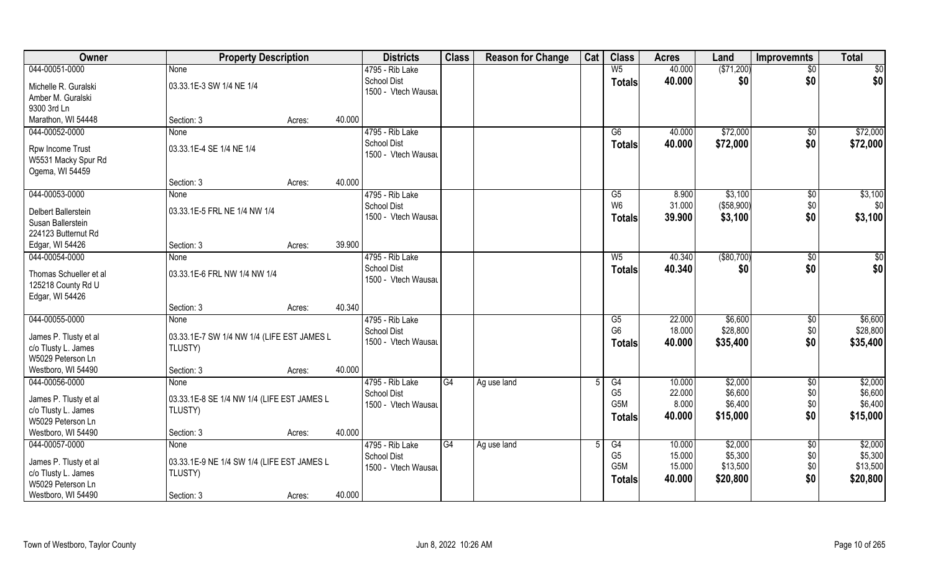| Owner                                                           | <b>Property Description</b>                           |        |        | <b>Districts</b>                          | <b>Class</b> | <b>Reason for Change</b> | Cat | <b>Class</b>           | <b>Acres</b>     | Land         | <b>Improvemnts</b> | <b>Total</b> |
|-----------------------------------------------------------------|-------------------------------------------------------|--------|--------|-------------------------------------------|--------------|--------------------------|-----|------------------------|------------------|--------------|--------------------|--------------|
| 044-00051-0000                                                  | None                                                  |        |        | 4795 - Rib Lake                           |              |                          |     | W <sub>5</sub>         | 40.000           | ( \$71,200)  | $\sqrt{6}$         | \$0          |
| Michelle R. Guralski<br>Amber M. Guralski                       | 03.33.1E-3 SW 1/4 NE 1/4                              |        |        | <b>School Dist</b><br>1500 - Vtech Wausau |              |                          |     | <b>Totals</b>          | 40.000           | \$0          | \$0                | \$0          |
| 9300 3rd Ln                                                     |                                                       |        |        |                                           |              |                          |     |                        |                  |              |                    |              |
| Marathon, WI 54448                                              | Section: 3                                            | Acres: | 40.000 |                                           |              |                          |     |                        |                  |              |                    |              |
| 044-00052-0000                                                  | <b>None</b>                                           |        |        | 4795 - Rib Lake                           |              |                          |     | G6                     | 40.000           | \$72,000     | \$0                | \$72,000     |
| Rpw Income Trust<br>W5531 Macky Spur Rd<br>Ogema, WI 54459      | 03.33.1E-4 SE 1/4 NE 1/4                              |        |        | <b>School Dist</b><br>1500 - Vtech Wausau |              |                          |     | <b>Totals</b>          | 40.000           | \$72,000     | \$0                | \$72,000     |
|                                                                 | Section: 3                                            | Acres: | 40.000 |                                           |              |                          |     |                        |                  |              |                    |              |
| 044-00053-0000                                                  | None                                                  |        |        | 4795 - Rib Lake                           |              |                          |     | G5                     | 8.900            | \$3,100      | \$0                | \$3,100      |
| Delbert Ballerstein                                             | 03.33.1E-5 FRL NE 1/4 NW 1/4                          |        |        | <b>School Dist</b>                        |              |                          |     | W <sub>6</sub>         | 31.000           | (\$58,900)   | \$0                | \$0          |
| Susan Ballerstein                                               |                                                       |        |        | 1500 - Vtech Wausau                       |              |                          |     | <b>Totals</b>          | 39.900           | \$3,100      | \$0                | \$3,100      |
| 224123 Butternut Rd                                             |                                                       |        |        |                                           |              |                          |     |                        |                  |              |                    |              |
| Edgar, WI 54426                                                 | Section: 3                                            | Acres: | 39.900 |                                           |              |                          |     |                        |                  |              |                    |              |
| 044-00054-0000                                                  | None                                                  |        |        | 4795 - Rib Lake                           |              |                          |     | W <sub>5</sub>         | 40.340           | ( \$80, 700) | \$0                | \$0          |
| Thomas Schueller et al<br>125218 County Rd U<br>Edgar, WI 54426 | 03.33.1E-6 FRL NW 1/4 NW 1/4                          |        |        | <b>School Dist</b><br>1500 - Vtech Wausau |              |                          |     | <b>Totals</b>          | 40.340           | \$0          | \$0                | \$0          |
|                                                                 | Section: 3                                            | Acres: | 40.340 |                                           |              |                          |     |                        |                  |              |                    |              |
| 044-00055-0000                                                  | None                                                  |        |        | 4795 - Rib Lake                           |              |                          |     | $\overline{\text{G5}}$ | 22.000           | \$6,600      | $\sqrt[6]{30}$     | \$6,600      |
|                                                                 |                                                       |        |        | <b>School Dist</b>                        |              |                          |     | G <sub>6</sub>         | 18.000           | \$28,800     | \$0                | \$28,800     |
| James P. Tlusty et al<br>c/o Tlusty L. James                    | 03.33.1E-7 SW 1/4 NW 1/4 (LIFE EST JAMES L<br>TLUSTY) |        |        | 1500 - Vtech Wausau                       |              |                          |     | <b>Totals</b>          | 40.000           | \$35,400     | \$0                | \$35,400     |
| W5029 Peterson Ln                                               |                                                       |        |        |                                           |              |                          |     |                        |                  |              |                    |              |
| Westboro, WI 54490                                              | Section: 3                                            | Acres: | 40.000 |                                           |              |                          |     |                        |                  |              |                    |              |
| 044-00056-0000                                                  | None                                                  |        |        | 4795 - Rib Lake                           | G4           | Ag use land              |     | G4                     | 10.000           | \$2,000      | $\sqrt{6}$         | \$2,000      |
|                                                                 |                                                       |        |        | <b>School Dist</b>                        |              |                          |     | G <sub>5</sub>         | 22.000           | \$6,600      | \$0\$              | \$6,600      |
| James P. Tlusty et al                                           | 03.33.1E-8 SE 1/4 NW 1/4 (LIFE EST JAMES L            |        |        | 1500 - Vtech Wausau                       |              |                          |     | G <sub>5</sub> M       | 8.000            | \$6,400      | \$0                | \$6,400      |
| c/o Tlusty L. James                                             | TLUSTY)                                               |        |        |                                           |              |                          |     | <b>Totals</b>          | 40.000           | \$15,000     | \$0                | \$15,000     |
| W5029 Peterson Ln                                               |                                                       |        |        |                                           |              |                          |     |                        |                  |              |                    |              |
| Westboro, WI 54490                                              | Section: 3                                            | Acres: | 40.000 |                                           |              |                          |     |                        |                  |              |                    |              |
| 044-00057-0000                                                  | None                                                  |        |        | 4795 - Rib Lake                           | G4           | Ag use land              |     | G4                     | 10.000           | \$2,000      | $\overline{50}$    | \$2,000      |
| James P. Tlusty et al                                           | 03.33.1E-9 NE 1/4 SW 1/4 (LIFE EST JAMES L            |        |        | <b>School Dist</b>                        |              |                          |     | G <sub>5</sub>         | 15.000<br>15.000 | \$5,300      | \$0                | \$5,300      |
| c/o Tlusty L. James                                             | TLUSTY)                                               |        |        | 1500 - Vtech Wausau                       |              |                          |     | G <sub>5</sub> M       |                  | \$13,500     | \$0                | \$13,500     |
| W5029 Peterson Ln                                               |                                                       |        |        |                                           |              |                          |     | <b>Totals</b>          | 40.000           | \$20,800     | \$0                | \$20,800     |
| Westboro, WI 54490                                              | Section: 3                                            | Acres: | 40.000 |                                           |              |                          |     |                        |                  |              |                    |              |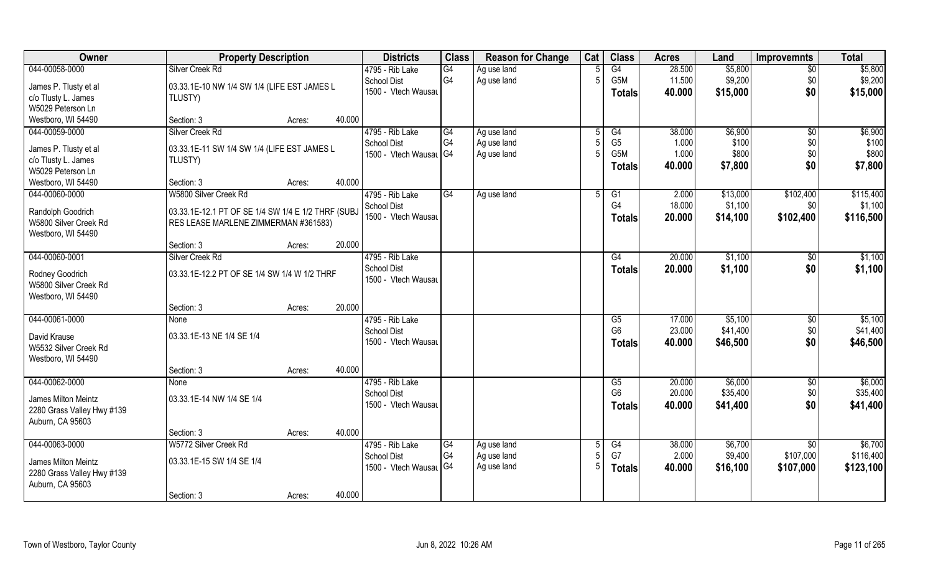| 044-00058-0000<br>\$5,800<br>Silver Creek Rd<br>G4<br>G4<br>28.500<br>\$5,800<br>4795 - Rib Lake<br>Ag use land<br>$\overline{30}$<br>G <sub>4</sub><br>G5M<br>11.500<br>\$9,200<br>\$0<br>\$9,200<br>School Dist<br>Ag use land<br>$\overline{5}$<br>03.33.1E-10 NW 1/4 SW 1/4 (LIFE EST JAMES L<br>James P. Tlusty et al<br>\$0<br>1500 - Vtech Wausau<br>\$15,000<br>40.000<br>\$15,000<br><b>Totals</b><br>c/o Tlusty L. James<br>TLUSTY)<br>W5029 Peterson Ln<br>40.000<br>Westboro, WI 54490<br>Section: 3<br>Acres:<br>044-00059-0000<br>4795 - Rib Lake<br>\$6,900<br>Silver Creek Rd<br>G4<br>G4<br>38.000<br>$\overline{50}$<br>Ag use land<br>G <sub>4</sub><br>G <sub>5</sub><br>Ag use land<br>1.000<br>\$100<br>\$0<br><b>School Dist</b><br>James P. Tlusty et al<br>03.33.1E-11 SW 1/4 SW 1/4 (LIFE EST JAMES L<br>G5M<br>\$800<br>\$0<br>\$800<br>1500 - Vtech Wausal G4<br>1.000<br>Ag use land<br>c/o Tlusty L. James<br>TLUSTY)<br>\$0<br>\$7,800<br>40.000<br>\$7,800<br><b>Totals</b><br>W5029 Peterson Ln<br>40.000<br>Westboro, WI 54490<br>Section: 3<br>Acres:<br>\$115,400<br>044-00060-0000<br>W5800 Silver Creek Rd<br>4795 - Rib Lake<br>\$13,000<br>\$102,400<br>G4<br>G1<br>2.000<br>Ag use land<br>.5<br>G <sub>4</sub><br>18.000<br>\$1,100<br><b>School Dist</b><br>\$0<br>03.33.1E-12.1 PT OF SE 1/4 SW 1/4 E 1/2 THRF (SUBJ<br>Randolph Goodrich<br>1500 - Vtech Wausau<br>\$14,100<br>\$102,400<br>\$116,500<br>20.000<br><b>Totals</b><br>W5800 Silver Creek Rd<br>RES LEASE MARLENE ZIMMERMAN #361583)<br>Westboro, WI 54490<br>20.000<br>Section: 3<br>Acres:<br>044-00060-0001<br>Silver Creek Rd<br>4795 - Rib Lake<br>20.000<br>\$1,100<br>G4<br>\$0<br><b>School Dist</b><br>\$0<br>20.000<br>\$1,100<br>\$1,100<br><b>Totals</b><br>03.33.1E-12.2 PT OF SE 1/4 SW 1/4 W 1/2 THRF<br>Rodney Goodrich<br>1500 - Vtech Wausau<br>W5800 Silver Creek Rd<br>Westboro, WI 54490<br>20.000<br>Section: 3<br>Acres:<br>044-00061-0000<br>4795 - Rib Lake<br>$\overline{\text{G5}}$<br>17.000<br>\$5,100<br>\$0<br>None<br>G <sub>6</sub><br>\$41,400<br>23.000<br>\$0<br><b>School Dist</b><br>03.33.1E-13 NE 1/4 SE 1/4<br>David Krause<br>\$0<br>\$46,500<br>1500 - Vtech Wausau<br>40.000<br>\$46,500<br>Totals<br>W5532 Silver Creek Rd<br>Westboro, WI 54490<br>40.000<br>Section: 3<br>Acres:<br>\$6,000<br>044-00062-0000<br>4795 - Rib Lake<br>\$6,000<br>G5<br>20.000<br>\$0<br>None<br>G <sub>6</sub><br>\$35,400<br>20.000<br>\$0<br><b>School Dist</b><br>03.33.1E-14 NW 1/4 SE 1/4<br>James Milton Meintz<br>\$0<br>1500 - Vtech Wausau<br>\$41,400<br>\$41,400<br>40.000<br><b>Totals</b><br>2280 Grass Valley Hwy #139<br>Auburn, CA 95603<br>40.000<br>Section: 3<br>Acres:<br>044-00063-0000<br>\$6,700<br>W5772 Silver Creek Rd<br>4795 - Rib Lake<br>\$6,700<br>G4<br>G4<br>38.000<br>\$0<br>Ag use land<br>G <sub>4</sub><br>G7<br>2.000<br>\$9,400<br>\$107,000<br>Ag use land<br><b>School Dist</b><br>03.33.1E-15 SW 1/4 SE 1/4<br>James Milton Meintz<br>1500 - Vtech Wausar G4<br>Ag use land<br>40.000<br>\$16,100<br>\$107,000<br>\$123,100<br><b>Totals</b><br>2280 Grass Valley Hwy #139<br>Auburn, CA 95603<br>40.000 | Owner | <b>Property Description</b> |        | <b>Districts</b> | <b>Class</b> | <b>Reason for Change</b> | Cat | <b>Class</b> | <b>Acres</b> | Land | <b>Improvemnts</b> | <b>Total</b> |
|-------------------------------------------------------------------------------------------------------------------------------------------------------------------------------------------------------------------------------------------------------------------------------------------------------------------------------------------------------------------------------------------------------------------------------------------------------------------------------------------------------------------------------------------------------------------------------------------------------------------------------------------------------------------------------------------------------------------------------------------------------------------------------------------------------------------------------------------------------------------------------------------------------------------------------------------------------------------------------------------------------------------------------------------------------------------------------------------------------------------------------------------------------------------------------------------------------------------------------------------------------------------------------------------------------------------------------------------------------------------------------------------------------------------------------------------------------------------------------------------------------------------------------------------------------------------------------------------------------------------------------------------------------------------------------------------------------------------------------------------------------------------------------------------------------------------------------------------------------------------------------------------------------------------------------------------------------------------------------------------------------------------------------------------------------------------------------------------------------------------------------------------------------------------------------------------------------------------------------------------------------------------------------------------------------------------------------------------------------------------------------------------------------------------------------------------------------------------------------------------------------------------------------------------------------------------------------------------------------------------------------------------------------------------------------------------------------------------------------------------------------------------------------------------------------------------------------------------------------------------------------------------------------------------------------------------------------------------------------------------------------------------------------------------------------------------------------------------------------------------------------------------------------------------------------------------|-------|-----------------------------|--------|------------------|--------------|--------------------------|-----|--------------|--------------|------|--------------------|--------------|
| \$6,900<br>\$100<br>\$1,100<br>\$1,100<br>\$5,100<br>\$116,400                                                                                                                                                                                                                                                                                                                                                                                                                                                                                                                                                                                                                                                                                                                                                                                                                                                                                                                                                                                                                                                                                                                                                                                                                                                                                                                                                                                                                                                                                                                                                                                                                                                                                                                                                                                                                                                                                                                                                                                                                                                                                                                                                                                                                                                                                                                                                                                                                                                                                                                                                                                                                                                                                                                                                                                                                                                                                                                                                                                                                                                                                                                            |       |                             |        |                  |              |                          |     |              |              |      |                    |              |
|                                                                                                                                                                                                                                                                                                                                                                                                                                                                                                                                                                                                                                                                                                                                                                                                                                                                                                                                                                                                                                                                                                                                                                                                                                                                                                                                                                                                                                                                                                                                                                                                                                                                                                                                                                                                                                                                                                                                                                                                                                                                                                                                                                                                                                                                                                                                                                                                                                                                                                                                                                                                                                                                                                                                                                                                                                                                                                                                                                                                                                                                                                                                                                                           |       |                             |        |                  |              |                          |     |              |              |      |                    |              |
|                                                                                                                                                                                                                                                                                                                                                                                                                                                                                                                                                                                                                                                                                                                                                                                                                                                                                                                                                                                                                                                                                                                                                                                                                                                                                                                                                                                                                                                                                                                                                                                                                                                                                                                                                                                                                                                                                                                                                                                                                                                                                                                                                                                                                                                                                                                                                                                                                                                                                                                                                                                                                                                                                                                                                                                                                                                                                                                                                                                                                                                                                                                                                                                           |       |                             |        |                  |              |                          |     |              |              |      |                    |              |
|                                                                                                                                                                                                                                                                                                                                                                                                                                                                                                                                                                                                                                                                                                                                                                                                                                                                                                                                                                                                                                                                                                                                                                                                                                                                                                                                                                                                                                                                                                                                                                                                                                                                                                                                                                                                                                                                                                                                                                                                                                                                                                                                                                                                                                                                                                                                                                                                                                                                                                                                                                                                                                                                                                                                                                                                                                                                                                                                                                                                                                                                                                                                                                                           |       |                             |        |                  |              |                          |     |              |              |      |                    |              |
|                                                                                                                                                                                                                                                                                                                                                                                                                                                                                                                                                                                                                                                                                                                                                                                                                                                                                                                                                                                                                                                                                                                                                                                                                                                                                                                                                                                                                                                                                                                                                                                                                                                                                                                                                                                                                                                                                                                                                                                                                                                                                                                                                                                                                                                                                                                                                                                                                                                                                                                                                                                                                                                                                                                                                                                                                                                                                                                                                                                                                                                                                                                                                                                           |       |                             |        |                  |              |                          |     |              |              |      |                    |              |
|                                                                                                                                                                                                                                                                                                                                                                                                                                                                                                                                                                                                                                                                                                                                                                                                                                                                                                                                                                                                                                                                                                                                                                                                                                                                                                                                                                                                                                                                                                                                                                                                                                                                                                                                                                                                                                                                                                                                                                                                                                                                                                                                                                                                                                                                                                                                                                                                                                                                                                                                                                                                                                                                                                                                                                                                                                                                                                                                                                                                                                                                                                                                                                                           |       |                             |        |                  |              |                          |     |              |              |      |                    |              |
|                                                                                                                                                                                                                                                                                                                                                                                                                                                                                                                                                                                                                                                                                                                                                                                                                                                                                                                                                                                                                                                                                                                                                                                                                                                                                                                                                                                                                                                                                                                                                                                                                                                                                                                                                                                                                                                                                                                                                                                                                                                                                                                                                                                                                                                                                                                                                                                                                                                                                                                                                                                                                                                                                                                                                                                                                                                                                                                                                                                                                                                                                                                                                                                           |       |                             |        |                  |              |                          |     |              |              |      |                    |              |
|                                                                                                                                                                                                                                                                                                                                                                                                                                                                                                                                                                                                                                                                                                                                                                                                                                                                                                                                                                                                                                                                                                                                                                                                                                                                                                                                                                                                                                                                                                                                                                                                                                                                                                                                                                                                                                                                                                                                                                                                                                                                                                                                                                                                                                                                                                                                                                                                                                                                                                                                                                                                                                                                                                                                                                                                                                                                                                                                                                                                                                                                                                                                                                                           |       |                             |        |                  |              |                          |     |              |              |      |                    |              |
|                                                                                                                                                                                                                                                                                                                                                                                                                                                                                                                                                                                                                                                                                                                                                                                                                                                                                                                                                                                                                                                                                                                                                                                                                                                                                                                                                                                                                                                                                                                                                                                                                                                                                                                                                                                                                                                                                                                                                                                                                                                                                                                                                                                                                                                                                                                                                                                                                                                                                                                                                                                                                                                                                                                                                                                                                                                                                                                                                                                                                                                                                                                                                                                           |       |                             |        |                  |              |                          |     |              |              |      |                    |              |
|                                                                                                                                                                                                                                                                                                                                                                                                                                                                                                                                                                                                                                                                                                                                                                                                                                                                                                                                                                                                                                                                                                                                                                                                                                                                                                                                                                                                                                                                                                                                                                                                                                                                                                                                                                                                                                                                                                                                                                                                                                                                                                                                                                                                                                                                                                                                                                                                                                                                                                                                                                                                                                                                                                                                                                                                                                                                                                                                                                                                                                                                                                                                                                                           |       |                             |        |                  |              |                          |     |              |              |      |                    |              |
|                                                                                                                                                                                                                                                                                                                                                                                                                                                                                                                                                                                                                                                                                                                                                                                                                                                                                                                                                                                                                                                                                                                                                                                                                                                                                                                                                                                                                                                                                                                                                                                                                                                                                                                                                                                                                                                                                                                                                                                                                                                                                                                                                                                                                                                                                                                                                                                                                                                                                                                                                                                                                                                                                                                                                                                                                                                                                                                                                                                                                                                                                                                                                                                           |       |                             |        |                  |              |                          |     |              |              |      |                    |              |
| \$41,400<br>\$35,400                                                                                                                                                                                                                                                                                                                                                                                                                                                                                                                                                                                                                                                                                                                                                                                                                                                                                                                                                                                                                                                                                                                                                                                                                                                                                                                                                                                                                                                                                                                                                                                                                                                                                                                                                                                                                                                                                                                                                                                                                                                                                                                                                                                                                                                                                                                                                                                                                                                                                                                                                                                                                                                                                                                                                                                                                                                                                                                                                                                                                                                                                                                                                                      |       |                             |        |                  |              |                          |     |              |              |      |                    |              |
|                                                                                                                                                                                                                                                                                                                                                                                                                                                                                                                                                                                                                                                                                                                                                                                                                                                                                                                                                                                                                                                                                                                                                                                                                                                                                                                                                                                                                                                                                                                                                                                                                                                                                                                                                                                                                                                                                                                                                                                                                                                                                                                                                                                                                                                                                                                                                                                                                                                                                                                                                                                                                                                                                                                                                                                                                                                                                                                                                                                                                                                                                                                                                                                           |       |                             |        |                  |              |                          |     |              |              |      |                    |              |
|                                                                                                                                                                                                                                                                                                                                                                                                                                                                                                                                                                                                                                                                                                                                                                                                                                                                                                                                                                                                                                                                                                                                                                                                                                                                                                                                                                                                                                                                                                                                                                                                                                                                                                                                                                                                                                                                                                                                                                                                                                                                                                                                                                                                                                                                                                                                                                                                                                                                                                                                                                                                                                                                                                                                                                                                                                                                                                                                                                                                                                                                                                                                                                                           |       |                             |        |                  |              |                          |     |              |              |      |                    |              |
|                                                                                                                                                                                                                                                                                                                                                                                                                                                                                                                                                                                                                                                                                                                                                                                                                                                                                                                                                                                                                                                                                                                                                                                                                                                                                                                                                                                                                                                                                                                                                                                                                                                                                                                                                                                                                                                                                                                                                                                                                                                                                                                                                                                                                                                                                                                                                                                                                                                                                                                                                                                                                                                                                                                                                                                                                                                                                                                                                                                                                                                                                                                                                                                           |       |                             |        |                  |              |                          |     |              |              |      |                    |              |
|                                                                                                                                                                                                                                                                                                                                                                                                                                                                                                                                                                                                                                                                                                                                                                                                                                                                                                                                                                                                                                                                                                                                                                                                                                                                                                                                                                                                                                                                                                                                                                                                                                                                                                                                                                                                                                                                                                                                                                                                                                                                                                                                                                                                                                                                                                                                                                                                                                                                                                                                                                                                                                                                                                                                                                                                                                                                                                                                                                                                                                                                                                                                                                                           |       |                             |        |                  |              |                          |     |              |              |      |                    |              |
|                                                                                                                                                                                                                                                                                                                                                                                                                                                                                                                                                                                                                                                                                                                                                                                                                                                                                                                                                                                                                                                                                                                                                                                                                                                                                                                                                                                                                                                                                                                                                                                                                                                                                                                                                                                                                                                                                                                                                                                                                                                                                                                                                                                                                                                                                                                                                                                                                                                                                                                                                                                                                                                                                                                                                                                                                                                                                                                                                                                                                                                                                                                                                                                           |       |                             |        |                  |              |                          |     |              |              |      |                    |              |
|                                                                                                                                                                                                                                                                                                                                                                                                                                                                                                                                                                                                                                                                                                                                                                                                                                                                                                                                                                                                                                                                                                                                                                                                                                                                                                                                                                                                                                                                                                                                                                                                                                                                                                                                                                                                                                                                                                                                                                                                                                                                                                                                                                                                                                                                                                                                                                                                                                                                                                                                                                                                                                                                                                                                                                                                                                                                                                                                                                                                                                                                                                                                                                                           |       |                             |        |                  |              |                          |     |              |              |      |                    |              |
|                                                                                                                                                                                                                                                                                                                                                                                                                                                                                                                                                                                                                                                                                                                                                                                                                                                                                                                                                                                                                                                                                                                                                                                                                                                                                                                                                                                                                                                                                                                                                                                                                                                                                                                                                                                                                                                                                                                                                                                                                                                                                                                                                                                                                                                                                                                                                                                                                                                                                                                                                                                                                                                                                                                                                                                                                                                                                                                                                                                                                                                                                                                                                                                           |       |                             |        |                  |              |                          |     |              |              |      |                    |              |
|                                                                                                                                                                                                                                                                                                                                                                                                                                                                                                                                                                                                                                                                                                                                                                                                                                                                                                                                                                                                                                                                                                                                                                                                                                                                                                                                                                                                                                                                                                                                                                                                                                                                                                                                                                                                                                                                                                                                                                                                                                                                                                                                                                                                                                                                                                                                                                                                                                                                                                                                                                                                                                                                                                                                                                                                                                                                                                                                                                                                                                                                                                                                                                                           |       |                             |        |                  |              |                          |     |              |              |      |                    |              |
|                                                                                                                                                                                                                                                                                                                                                                                                                                                                                                                                                                                                                                                                                                                                                                                                                                                                                                                                                                                                                                                                                                                                                                                                                                                                                                                                                                                                                                                                                                                                                                                                                                                                                                                                                                                                                                                                                                                                                                                                                                                                                                                                                                                                                                                                                                                                                                                                                                                                                                                                                                                                                                                                                                                                                                                                                                                                                                                                                                                                                                                                                                                                                                                           |       |                             |        |                  |              |                          |     |              |              |      |                    |              |
|                                                                                                                                                                                                                                                                                                                                                                                                                                                                                                                                                                                                                                                                                                                                                                                                                                                                                                                                                                                                                                                                                                                                                                                                                                                                                                                                                                                                                                                                                                                                                                                                                                                                                                                                                                                                                                                                                                                                                                                                                                                                                                                                                                                                                                                                                                                                                                                                                                                                                                                                                                                                                                                                                                                                                                                                                                                                                                                                                                                                                                                                                                                                                                                           |       |                             |        |                  |              |                          |     |              |              |      |                    |              |
|                                                                                                                                                                                                                                                                                                                                                                                                                                                                                                                                                                                                                                                                                                                                                                                                                                                                                                                                                                                                                                                                                                                                                                                                                                                                                                                                                                                                                                                                                                                                                                                                                                                                                                                                                                                                                                                                                                                                                                                                                                                                                                                                                                                                                                                                                                                                                                                                                                                                                                                                                                                                                                                                                                                                                                                                                                                                                                                                                                                                                                                                                                                                                                                           |       |                             |        |                  |              |                          |     |              |              |      |                    |              |
|                                                                                                                                                                                                                                                                                                                                                                                                                                                                                                                                                                                                                                                                                                                                                                                                                                                                                                                                                                                                                                                                                                                                                                                                                                                                                                                                                                                                                                                                                                                                                                                                                                                                                                                                                                                                                                                                                                                                                                                                                                                                                                                                                                                                                                                                                                                                                                                                                                                                                                                                                                                                                                                                                                                                                                                                                                                                                                                                                                                                                                                                                                                                                                                           |       |                             |        |                  |              |                          |     |              |              |      |                    |              |
|                                                                                                                                                                                                                                                                                                                                                                                                                                                                                                                                                                                                                                                                                                                                                                                                                                                                                                                                                                                                                                                                                                                                                                                                                                                                                                                                                                                                                                                                                                                                                                                                                                                                                                                                                                                                                                                                                                                                                                                                                                                                                                                                                                                                                                                                                                                                                                                                                                                                                                                                                                                                                                                                                                                                                                                                                                                                                                                                                                                                                                                                                                                                                                                           |       |                             |        |                  |              |                          |     |              |              |      |                    |              |
|                                                                                                                                                                                                                                                                                                                                                                                                                                                                                                                                                                                                                                                                                                                                                                                                                                                                                                                                                                                                                                                                                                                                                                                                                                                                                                                                                                                                                                                                                                                                                                                                                                                                                                                                                                                                                                                                                                                                                                                                                                                                                                                                                                                                                                                                                                                                                                                                                                                                                                                                                                                                                                                                                                                                                                                                                                                                                                                                                                                                                                                                                                                                                                                           |       |                             |        |                  |              |                          |     |              |              |      |                    |              |
|                                                                                                                                                                                                                                                                                                                                                                                                                                                                                                                                                                                                                                                                                                                                                                                                                                                                                                                                                                                                                                                                                                                                                                                                                                                                                                                                                                                                                                                                                                                                                                                                                                                                                                                                                                                                                                                                                                                                                                                                                                                                                                                                                                                                                                                                                                                                                                                                                                                                                                                                                                                                                                                                                                                                                                                                                                                                                                                                                                                                                                                                                                                                                                                           |       |                             |        |                  |              |                          |     |              |              |      |                    |              |
|                                                                                                                                                                                                                                                                                                                                                                                                                                                                                                                                                                                                                                                                                                                                                                                                                                                                                                                                                                                                                                                                                                                                                                                                                                                                                                                                                                                                                                                                                                                                                                                                                                                                                                                                                                                                                                                                                                                                                                                                                                                                                                                                                                                                                                                                                                                                                                                                                                                                                                                                                                                                                                                                                                                                                                                                                                                                                                                                                                                                                                                                                                                                                                                           |       |                             |        |                  |              |                          |     |              |              |      |                    |              |
|                                                                                                                                                                                                                                                                                                                                                                                                                                                                                                                                                                                                                                                                                                                                                                                                                                                                                                                                                                                                                                                                                                                                                                                                                                                                                                                                                                                                                                                                                                                                                                                                                                                                                                                                                                                                                                                                                                                                                                                                                                                                                                                                                                                                                                                                                                                                                                                                                                                                                                                                                                                                                                                                                                                                                                                                                                                                                                                                                                                                                                                                                                                                                                                           |       |                             |        |                  |              |                          |     |              |              |      |                    |              |
|                                                                                                                                                                                                                                                                                                                                                                                                                                                                                                                                                                                                                                                                                                                                                                                                                                                                                                                                                                                                                                                                                                                                                                                                                                                                                                                                                                                                                                                                                                                                                                                                                                                                                                                                                                                                                                                                                                                                                                                                                                                                                                                                                                                                                                                                                                                                                                                                                                                                                                                                                                                                                                                                                                                                                                                                                                                                                                                                                                                                                                                                                                                                                                                           |       |                             |        |                  |              |                          |     |              |              |      |                    |              |
|                                                                                                                                                                                                                                                                                                                                                                                                                                                                                                                                                                                                                                                                                                                                                                                                                                                                                                                                                                                                                                                                                                                                                                                                                                                                                                                                                                                                                                                                                                                                                                                                                                                                                                                                                                                                                                                                                                                                                                                                                                                                                                                                                                                                                                                                                                                                                                                                                                                                                                                                                                                                                                                                                                                                                                                                                                                                                                                                                                                                                                                                                                                                                                                           |       |                             |        |                  |              |                          |     |              |              |      |                    |              |
|                                                                                                                                                                                                                                                                                                                                                                                                                                                                                                                                                                                                                                                                                                                                                                                                                                                                                                                                                                                                                                                                                                                                                                                                                                                                                                                                                                                                                                                                                                                                                                                                                                                                                                                                                                                                                                                                                                                                                                                                                                                                                                                                                                                                                                                                                                                                                                                                                                                                                                                                                                                                                                                                                                                                                                                                                                                                                                                                                                                                                                                                                                                                                                                           |       |                             |        |                  |              |                          |     |              |              |      |                    |              |
|                                                                                                                                                                                                                                                                                                                                                                                                                                                                                                                                                                                                                                                                                                                                                                                                                                                                                                                                                                                                                                                                                                                                                                                                                                                                                                                                                                                                                                                                                                                                                                                                                                                                                                                                                                                                                                                                                                                                                                                                                                                                                                                                                                                                                                                                                                                                                                                                                                                                                                                                                                                                                                                                                                                                                                                                                                                                                                                                                                                                                                                                                                                                                                                           |       |                             |        |                  |              |                          |     |              |              |      |                    |              |
|                                                                                                                                                                                                                                                                                                                                                                                                                                                                                                                                                                                                                                                                                                                                                                                                                                                                                                                                                                                                                                                                                                                                                                                                                                                                                                                                                                                                                                                                                                                                                                                                                                                                                                                                                                                                                                                                                                                                                                                                                                                                                                                                                                                                                                                                                                                                                                                                                                                                                                                                                                                                                                                                                                                                                                                                                                                                                                                                                                                                                                                                                                                                                                                           |       |                             |        |                  |              |                          |     |              |              |      |                    |              |
|                                                                                                                                                                                                                                                                                                                                                                                                                                                                                                                                                                                                                                                                                                                                                                                                                                                                                                                                                                                                                                                                                                                                                                                                                                                                                                                                                                                                                                                                                                                                                                                                                                                                                                                                                                                                                                                                                                                                                                                                                                                                                                                                                                                                                                                                                                                                                                                                                                                                                                                                                                                                                                                                                                                                                                                                                                                                                                                                                                                                                                                                                                                                                                                           |       |                             |        |                  |              |                          |     |              |              |      |                    |              |
|                                                                                                                                                                                                                                                                                                                                                                                                                                                                                                                                                                                                                                                                                                                                                                                                                                                                                                                                                                                                                                                                                                                                                                                                                                                                                                                                                                                                                                                                                                                                                                                                                                                                                                                                                                                                                                                                                                                                                                                                                                                                                                                                                                                                                                                                                                                                                                                                                                                                                                                                                                                                                                                                                                                                                                                                                                                                                                                                                                                                                                                                                                                                                                                           |       |                             |        |                  |              |                          |     |              |              |      |                    |              |
|                                                                                                                                                                                                                                                                                                                                                                                                                                                                                                                                                                                                                                                                                                                                                                                                                                                                                                                                                                                                                                                                                                                                                                                                                                                                                                                                                                                                                                                                                                                                                                                                                                                                                                                                                                                                                                                                                                                                                                                                                                                                                                                                                                                                                                                                                                                                                                                                                                                                                                                                                                                                                                                                                                                                                                                                                                                                                                                                                                                                                                                                                                                                                                                           |       | Section: 3                  | Acres: |                  |              |                          |     |              |              |      |                    |              |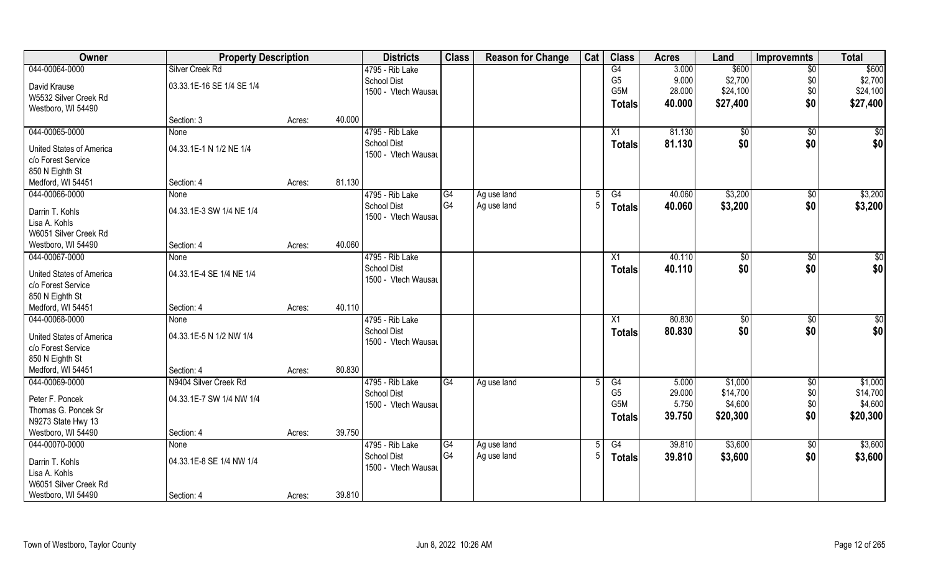| Owner                           | <b>Property Description</b> |        |        | <b>Districts</b>    | <b>Class</b> | <b>Reason for Change</b> | Cat | <b>Class</b>     | <b>Acres</b> | Land         | <b>Improvemnts</b> | <b>Total</b>    |
|---------------------------------|-----------------------------|--------|--------|---------------------|--------------|--------------------------|-----|------------------|--------------|--------------|--------------------|-----------------|
| 044-00064-0000                  | Silver Creek Rd             |        |        | 4795 - Rib Lake     |              |                          |     | G4               | 3.000        | \$600        | $\overline{30}$    | \$600           |
| David Krause                    | 03.33.1E-16 SE 1/4 SE 1/4   |        |        | <b>School Dist</b>  |              |                          |     | G <sub>5</sub>   | 9.000        | \$2,700      | \$0                | \$2,700         |
| W5532 Silver Creek Rd           |                             |        |        | 1500 - Vtech Wausau |              |                          |     | G5M              | 28.000       | \$24,100     | \$0                | \$24,100        |
| Westboro, WI 54490              |                             |        |        |                     |              |                          |     | Totals           | 40.000       | \$27,400     | \$0                | \$27,400        |
|                                 | Section: 3                  | Acres: | 40.000 |                     |              |                          |     |                  |              |              |                    |                 |
| 044-00065-0000                  | None                        |        |        | 4795 - Rib Lake     |              |                          |     | X1               | 81.130       | $\sqrt[6]{}$ | \$0                | \$0             |
| <b>United States of America</b> | 04.33.1E-1 N 1/2 NE 1/4     |        |        | School Dist         |              |                          |     | Totals           | 81.130       | \$0          | \$0                | \$0             |
| c/o Forest Service              |                             |        |        | 1500 - Vtech Wausau |              |                          |     |                  |              |              |                    |                 |
| 850 N Eighth St                 |                             |        |        |                     |              |                          |     |                  |              |              |                    |                 |
| Medford, WI 54451               | Section: 4                  | Acres: | 81.130 |                     |              |                          |     |                  |              |              |                    |                 |
| 044-00066-0000                  | None                        |        |        | 4795 - Rib Lake     | G4           | Ag use land              | 5   | G4               | 40.060       | \$3,200      | $\sqrt[6]{3}$      | \$3,200         |
| Darrin T. Kohls                 | 04.33.1E-3 SW 1/4 NE 1/4    |        |        | <b>School Dist</b>  | G4           | Ag use land              | -5  | <b>Totals</b>    | 40.060       | \$3,200      | \$0                | \$3,200         |
| Lisa A. Kohls                   |                             |        |        | 1500 - Vtech Wausau |              |                          |     |                  |              |              |                    |                 |
| W6051 Silver Creek Rd           |                             |        |        |                     |              |                          |     |                  |              |              |                    |                 |
| Westboro, WI 54490              | Section: 4                  | Acres: | 40.060 |                     |              |                          |     |                  |              |              |                    |                 |
| 044-00067-0000                  | None                        |        |        | 4795 - Rib Lake     |              |                          |     | X1               | 40.110       | \$0          | \$0                | \$0             |
| United States of America        | 04.33.1E-4 SE 1/4 NE 1/4    |        |        | <b>School Dist</b>  |              |                          |     | <b>Totals</b>    | 40.110       | \$0          | \$0                | \$0             |
| c/o Forest Service              |                             |        |        | 1500 - Vtech Wausau |              |                          |     |                  |              |              |                    |                 |
| 850 N Eighth St                 |                             |        |        |                     |              |                          |     |                  |              |              |                    |                 |
| Medford, WI 54451               | Section: 4                  | Acres: | 40.110 |                     |              |                          |     |                  |              |              |                    |                 |
| 044-00068-0000                  | None                        |        |        | 4795 - Rib Lake     |              |                          |     | X1               | 80.830       | \$0          | $\overline{50}$    | $\overline{50}$ |
| United States of America        | 04.33.1E-5 N 1/2 NW 1/4     |        |        | <b>School Dist</b>  |              |                          |     | <b>Totals</b>    | 80.830       | \$0          | \$0                | \$0             |
| c/o Forest Service              |                             |        |        | 1500 - Vtech Wausau |              |                          |     |                  |              |              |                    |                 |
| 850 N Eighth St                 |                             |        |        |                     |              |                          |     |                  |              |              |                    |                 |
| Medford, WI 54451               | Section: 4                  | Acres: | 80.830 |                     |              |                          |     |                  |              |              |                    |                 |
| 044-00069-0000                  | N9404 Silver Creek Rd       |        |        | 4795 - Rib Lake     | G4           | Ag use land              |     | G4               | 5.000        | \$1,000      | $\overline{50}$    | \$1,000         |
| Peter F. Poncek                 | 04.33.1E-7 SW 1/4 NW 1/4    |        |        | <b>School Dist</b>  |              |                          |     | G <sub>5</sub>   | 29.000       | \$14,700     | \$0                | \$14,700        |
| Thomas G. Poncek Sr             |                             |        |        | 1500 - Vtech Wausau |              |                          |     | G <sub>5</sub> M | 5.750        | \$4,600      | \$0                | \$4,600         |
| N9273 State Hwy 13              |                             |        |        |                     |              |                          |     | <b>Totals</b>    | 39.750       | \$20,300     | \$0                | \$20,300        |
| Westboro, WI 54490              | Section: 4                  | Acres: | 39.750 |                     |              |                          |     |                  |              |              |                    |                 |
| 044-00070-0000                  | <b>None</b>                 |        |        | 4795 - Rib Lake     | G4           | Ag use land              | 5   | G4               | 39.810       | \$3,600      | $\sqrt{$0}$        | \$3,600         |
| Darrin T. Kohls                 | 04.33.1E-8 SE 1/4 NW 1/4    |        |        | <b>School Dist</b>  | G4           | Ag use land              | 5   | <b>Totals</b>    | 39.810       | \$3,600      | \$0                | \$3,600         |
| Lisa A. Kohls                   |                             |        |        | 1500 - Vtech Wausau |              |                          |     |                  |              |              |                    |                 |
| W6051 Silver Creek Rd           |                             |        |        |                     |              |                          |     |                  |              |              |                    |                 |
| Westboro, WI 54490              | Section: 4                  | Acres: | 39.810 |                     |              |                          |     |                  |              |              |                    |                 |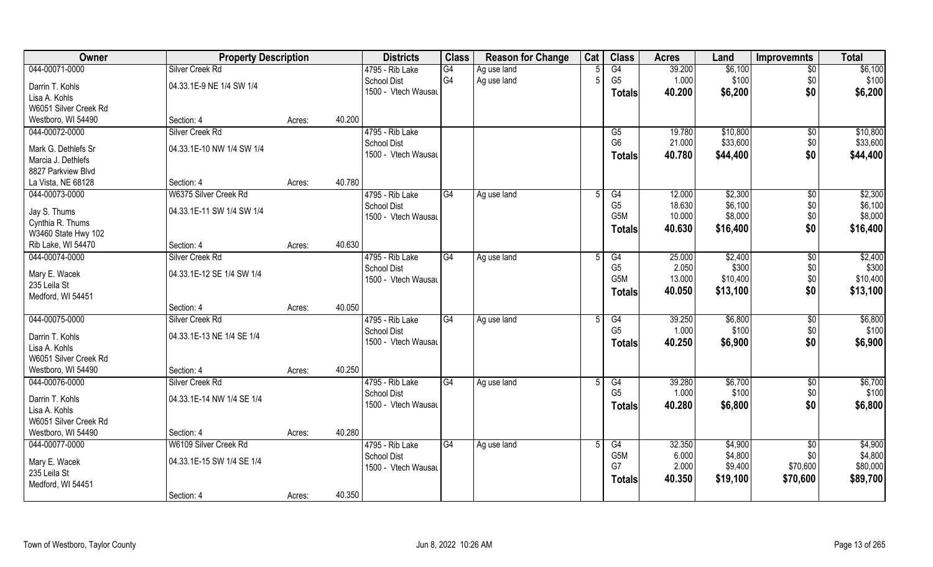| 044-00071-0000<br>\$6,100<br>\$6,100<br>Silver Creek Rd<br>G4<br>G4<br>39.200<br>4795 - Rib Lake<br>Ag use land<br>$\overline{50}$<br>G <sub>4</sub><br>G <sub>5</sub><br>Ag use land<br>1.000<br>\$100<br>\$0<br>\$100<br>F<br><b>School Dist</b><br>04.33.1E-9 NE 1/4 SW 1/4<br>Darrin T. Kohls<br>\$0<br>1500 - Vtech Wausau<br>\$6,200<br>40.200<br>\$6,200<br><b>Totals</b><br>Lisa A. Kohls<br>W6051 Silver Creek Rd<br>40.200<br>Westboro, WI 54490<br>Section: 4<br>Acres:<br>4795 - Rib Lake<br>\$10,800<br>044-00072-0000<br>Silver Creek Rd<br>19.780<br>\$0<br>\$10,800<br>G5<br>\$33,600<br>G <sub>6</sub><br>\$0<br>\$33,600<br>School Dist<br>21.000<br>04.33.1E-10 NW 1/4 SW 1/4<br>Mark G. Dethlefs Sr<br>\$0<br>1500 - Vtech Wausau<br>40.780<br>\$44,400<br>\$44,400<br><b>Totals</b><br>Marcia J. Dethlefs<br>8827 Parkview Blvd<br>40.780<br>La Vista, NE 68128<br>Section: 4<br>Acres:<br>044-00073-0000<br>W6375 Silver Creek Rd<br>4795 - Rib Lake<br>\$2,300<br>\$2,300<br>G4<br>G4<br>12.000<br>$\sqrt[6]{30}$<br>5<br>Ag use land<br>G <sub>5</sub><br>\$6,100<br>\$6,100<br>18.630<br>\$0<br><b>School Dist</b><br>04.33.1E-11 SW 1/4 SW 1/4<br>Jay S. Thums<br>G <sub>5</sub> M<br>\$8,000<br>\$0<br>\$8,000<br>10.000<br>1500 - Vtech Wausau<br>Cynthia R. Thums<br>\$0<br>\$16,400<br>40.630<br>\$16,400<br><b>Totals</b><br>W3460 State Hwy 102<br>40.630<br>Rib Lake, WI 54470<br>Section: 4<br>Acres:<br>044-00074-0000<br>4795 - Rib Lake<br>\$2,400<br>\$2,400<br>Silver Creek Rd<br>G4<br>G4<br>25.000<br>$\sqrt[6]{}$<br>Ag use land<br>$\overline{5}$<br>G <sub>5</sub><br>2.050<br>\$300<br>\$300<br>School Dist<br>\$0<br>04.33.1E-12 SE 1/4 SW 1/4<br>Mary E. Wacek<br>\$0<br>\$10,400<br>G <sub>5</sub> M<br>13.000<br>\$10,400<br>1500 - Vtech Wausau<br>235 Leila St<br>\$0<br>\$13,100<br>\$13,100<br>40.050<br><b>Totals</b><br>Medford, WI 54451<br>40.050<br>Section: 4<br>Acres: |
|------------------------------------------------------------------------------------------------------------------------------------------------------------------------------------------------------------------------------------------------------------------------------------------------------------------------------------------------------------------------------------------------------------------------------------------------------------------------------------------------------------------------------------------------------------------------------------------------------------------------------------------------------------------------------------------------------------------------------------------------------------------------------------------------------------------------------------------------------------------------------------------------------------------------------------------------------------------------------------------------------------------------------------------------------------------------------------------------------------------------------------------------------------------------------------------------------------------------------------------------------------------------------------------------------------------------------------------------------------------------------------------------------------------------------------------------------------------------------------------------------------------------------------------------------------------------------------------------------------------------------------------------------------------------------------------------------------------------------------------------------------------------------------------------------------------------------------------------------------------------------------------------------------------------------------|
|                                                                                                                                                                                                                                                                                                                                                                                                                                                                                                                                                                                                                                                                                                                                                                                                                                                                                                                                                                                                                                                                                                                                                                                                                                                                                                                                                                                                                                                                                                                                                                                                                                                                                                                                                                                                                                                                                                                                    |
|                                                                                                                                                                                                                                                                                                                                                                                                                                                                                                                                                                                                                                                                                                                                                                                                                                                                                                                                                                                                                                                                                                                                                                                                                                                                                                                                                                                                                                                                                                                                                                                                                                                                                                                                                                                                                                                                                                                                    |
|                                                                                                                                                                                                                                                                                                                                                                                                                                                                                                                                                                                                                                                                                                                                                                                                                                                                                                                                                                                                                                                                                                                                                                                                                                                                                                                                                                                                                                                                                                                                                                                                                                                                                                                                                                                                                                                                                                                                    |
|                                                                                                                                                                                                                                                                                                                                                                                                                                                                                                                                                                                                                                                                                                                                                                                                                                                                                                                                                                                                                                                                                                                                                                                                                                                                                                                                                                                                                                                                                                                                                                                                                                                                                                                                                                                                                                                                                                                                    |
|                                                                                                                                                                                                                                                                                                                                                                                                                                                                                                                                                                                                                                                                                                                                                                                                                                                                                                                                                                                                                                                                                                                                                                                                                                                                                                                                                                                                                                                                                                                                                                                                                                                                                                                                                                                                                                                                                                                                    |
|                                                                                                                                                                                                                                                                                                                                                                                                                                                                                                                                                                                                                                                                                                                                                                                                                                                                                                                                                                                                                                                                                                                                                                                                                                                                                                                                                                                                                                                                                                                                                                                                                                                                                                                                                                                                                                                                                                                                    |
|                                                                                                                                                                                                                                                                                                                                                                                                                                                                                                                                                                                                                                                                                                                                                                                                                                                                                                                                                                                                                                                                                                                                                                                                                                                                                                                                                                                                                                                                                                                                                                                                                                                                                                                                                                                                                                                                                                                                    |
|                                                                                                                                                                                                                                                                                                                                                                                                                                                                                                                                                                                                                                                                                                                                                                                                                                                                                                                                                                                                                                                                                                                                                                                                                                                                                                                                                                                                                                                                                                                                                                                                                                                                                                                                                                                                                                                                                                                                    |
|                                                                                                                                                                                                                                                                                                                                                                                                                                                                                                                                                                                                                                                                                                                                                                                                                                                                                                                                                                                                                                                                                                                                                                                                                                                                                                                                                                                                                                                                                                                                                                                                                                                                                                                                                                                                                                                                                                                                    |
|                                                                                                                                                                                                                                                                                                                                                                                                                                                                                                                                                                                                                                                                                                                                                                                                                                                                                                                                                                                                                                                                                                                                                                                                                                                                                                                                                                                                                                                                                                                                                                                                                                                                                                                                                                                                                                                                                                                                    |
|                                                                                                                                                                                                                                                                                                                                                                                                                                                                                                                                                                                                                                                                                                                                                                                                                                                                                                                                                                                                                                                                                                                                                                                                                                                                                                                                                                                                                                                                                                                                                                                                                                                                                                                                                                                                                                                                                                                                    |
|                                                                                                                                                                                                                                                                                                                                                                                                                                                                                                                                                                                                                                                                                                                                                                                                                                                                                                                                                                                                                                                                                                                                                                                                                                                                                                                                                                                                                                                                                                                                                                                                                                                                                                                                                                                                                                                                                                                                    |
|                                                                                                                                                                                                                                                                                                                                                                                                                                                                                                                                                                                                                                                                                                                                                                                                                                                                                                                                                                                                                                                                                                                                                                                                                                                                                                                                                                                                                                                                                                                                                                                                                                                                                                                                                                                                                                                                                                                                    |
|                                                                                                                                                                                                                                                                                                                                                                                                                                                                                                                                                                                                                                                                                                                                                                                                                                                                                                                                                                                                                                                                                                                                                                                                                                                                                                                                                                                                                                                                                                                                                                                                                                                                                                                                                                                                                                                                                                                                    |
|                                                                                                                                                                                                                                                                                                                                                                                                                                                                                                                                                                                                                                                                                                                                                                                                                                                                                                                                                                                                                                                                                                                                                                                                                                                                                                                                                                                                                                                                                                                                                                                                                                                                                                                                                                                                                                                                                                                                    |
|                                                                                                                                                                                                                                                                                                                                                                                                                                                                                                                                                                                                                                                                                                                                                                                                                                                                                                                                                                                                                                                                                                                                                                                                                                                                                                                                                                                                                                                                                                                                                                                                                                                                                                                                                                                                                                                                                                                                    |
|                                                                                                                                                                                                                                                                                                                                                                                                                                                                                                                                                                                                                                                                                                                                                                                                                                                                                                                                                                                                                                                                                                                                                                                                                                                                                                                                                                                                                                                                                                                                                                                                                                                                                                                                                                                                                                                                                                                                    |
|                                                                                                                                                                                                                                                                                                                                                                                                                                                                                                                                                                                                                                                                                                                                                                                                                                                                                                                                                                                                                                                                                                                                                                                                                                                                                                                                                                                                                                                                                                                                                                                                                                                                                                                                                                                                                                                                                                                                    |
|                                                                                                                                                                                                                                                                                                                                                                                                                                                                                                                                                                                                                                                                                                                                                                                                                                                                                                                                                                                                                                                                                                                                                                                                                                                                                                                                                                                                                                                                                                                                                                                                                                                                                                                                                                                                                                                                                                                                    |
|                                                                                                                                                                                                                                                                                                                                                                                                                                                                                                                                                                                                                                                                                                                                                                                                                                                                                                                                                                                                                                                                                                                                                                                                                                                                                                                                                                                                                                                                                                                                                                                                                                                                                                                                                                                                                                                                                                                                    |
|                                                                                                                                                                                                                                                                                                                                                                                                                                                                                                                                                                                                                                                                                                                                                                                                                                                                                                                                                                                                                                                                                                                                                                                                                                                                                                                                                                                                                                                                                                                                                                                                                                                                                                                                                                                                                                                                                                                                    |
| 044-00075-0000<br>\$6,800<br>39.250<br>\$6,800<br>\$0<br>Silver Creek Rd<br>4795 - Rib Lake<br>G4<br>G4<br>Ag use land<br>5                                                                                                                                                                                                                                                                                                                                                                                                                                                                                                                                                                                                                                                                                                                                                                                                                                                                                                                                                                                                                                                                                                                                                                                                                                                                                                                                                                                                                                                                                                                                                                                                                                                                                                                                                                                                        |
| G <sub>5</sub><br>\$100<br>1.000<br>\$100<br>\$0<br>School Dist                                                                                                                                                                                                                                                                                                                                                                                                                                                                                                                                                                                                                                                                                                                                                                                                                                                                                                                                                                                                                                                                                                                                                                                                                                                                                                                                                                                                                                                                                                                                                                                                                                                                                                                                                                                                                                                                    |
| 04.33.1E-13 NE 1/4 SE 1/4<br>Darrin T. Kohls<br>\$0<br>\$6,900<br>40.250<br>\$6,900<br>1500 - Vtech Wausau<br><b>Totals</b>                                                                                                                                                                                                                                                                                                                                                                                                                                                                                                                                                                                                                                                                                                                                                                                                                                                                                                                                                                                                                                                                                                                                                                                                                                                                                                                                                                                                                                                                                                                                                                                                                                                                                                                                                                                                        |
| Lisa A. Kohls                                                                                                                                                                                                                                                                                                                                                                                                                                                                                                                                                                                                                                                                                                                                                                                                                                                                                                                                                                                                                                                                                                                                                                                                                                                                                                                                                                                                                                                                                                                                                                                                                                                                                                                                                                                                                                                                                                                      |
| W6051 Silver Creek Rd                                                                                                                                                                                                                                                                                                                                                                                                                                                                                                                                                                                                                                                                                                                                                                                                                                                                                                                                                                                                                                                                                                                                                                                                                                                                                                                                                                                                                                                                                                                                                                                                                                                                                                                                                                                                                                                                                                              |
| 40.250<br>Westboro, WI 54490<br>Section: 4<br>Acres:                                                                                                                                                                                                                                                                                                                                                                                                                                                                                                                                                                                                                                                                                                                                                                                                                                                                                                                                                                                                                                                                                                                                                                                                                                                                                                                                                                                                                                                                                                                                                                                                                                                                                                                                                                                                                                                                               |
| 044-00076-0000<br>G4<br>\$6,700<br>\$6,700<br>Silver Creek Rd<br>4795 - Rib Lake<br>G4<br>39.280<br>\$0<br>Ag use land                                                                                                                                                                                                                                                                                                                                                                                                                                                                                                                                                                                                                                                                                                                                                                                                                                                                                                                                                                                                                                                                                                                                                                                                                                                                                                                                                                                                                                                                                                                                                                                                                                                                                                                                                                                                             |
| G <sub>5</sub><br>\$0<br>\$100<br>1.000<br>\$100<br>School Dist<br>04.33.1E-14 NW 1/4 SE 1/4<br>Darrin T. Kohls                                                                                                                                                                                                                                                                                                                                                                                                                                                                                                                                                                                                                                                                                                                                                                                                                                                                                                                                                                                                                                                                                                                                                                                                                                                                                                                                                                                                                                                                                                                                                                                                                                                                                                                                                                                                                    |
| \$0<br>\$6,800<br>1500 - Vtech Wausau<br>40.280<br>\$6,800<br><b>Totals</b><br>Lisa A. Kohls                                                                                                                                                                                                                                                                                                                                                                                                                                                                                                                                                                                                                                                                                                                                                                                                                                                                                                                                                                                                                                                                                                                                                                                                                                                                                                                                                                                                                                                                                                                                                                                                                                                                                                                                                                                                                                       |
| W6051 Silver Creek Rd                                                                                                                                                                                                                                                                                                                                                                                                                                                                                                                                                                                                                                                                                                                                                                                                                                                                                                                                                                                                                                                                                                                                                                                                                                                                                                                                                                                                                                                                                                                                                                                                                                                                                                                                                                                                                                                                                                              |
| 40.280<br>Westboro, WI 54490<br>Section: 4<br>Acres:                                                                                                                                                                                                                                                                                                                                                                                                                                                                                                                                                                                                                                                                                                                                                                                                                                                                                                                                                                                                                                                                                                                                                                                                                                                                                                                                                                                                                                                                                                                                                                                                                                                                                                                                                                                                                                                                               |
| 044-00077-0000<br>W6109 Silver Creek Rd<br>4795 - Rib Lake<br>G4<br>\$4,900<br>G4<br>32.350<br>\$4,900<br>$\overline{50}$<br>Ag use land                                                                                                                                                                                                                                                                                                                                                                                                                                                                                                                                                                                                                                                                                                                                                                                                                                                                                                                                                                                                                                                                                                                                                                                                                                                                                                                                                                                                                                                                                                                                                                                                                                                                                                                                                                                           |
| G <sub>5</sub> M<br>\$4,800<br>\$4,800<br>\$0<br>6.000<br><b>School Dist</b><br>Mary E. Wacek<br>04.33.1E-15 SW 1/4 SE 1/4                                                                                                                                                                                                                                                                                                                                                                                                                                                                                                                                                                                                                                                                                                                                                                                                                                                                                                                                                                                                                                                                                                                                                                                                                                                                                                                                                                                                                                                                                                                                                                                                                                                                                                                                                                                                         |
| G7<br>2.000<br>\$9,400<br>\$70,600<br>\$80,000<br>1500 - Vtech Wausau<br>235 Leila St                                                                                                                                                                                                                                                                                                                                                                                                                                                                                                                                                                                                                                                                                                                                                                                                                                                                                                                                                                                                                                                                                                                                                                                                                                                                                                                                                                                                                                                                                                                                                                                                                                                                                                                                                                                                                                              |
| \$70,600<br>\$89,700<br>40.350<br>\$19,100<br><b>Totals</b><br>Medford, WI 54451                                                                                                                                                                                                                                                                                                                                                                                                                                                                                                                                                                                                                                                                                                                                                                                                                                                                                                                                                                                                                                                                                                                                                                                                                                                                                                                                                                                                                                                                                                                                                                                                                                                                                                                                                                                                                                                   |
| 40.350<br>Section: 4<br>Acres:                                                                                                                                                                                                                                                                                                                                                                                                                                                                                                                                                                                                                                                                                                                                                                                                                                                                                                                                                                                                                                                                                                                                                                                                                                                                                                                                                                                                                                                                                                                                                                                                                                                                                                                                                                                                                                                                                                     |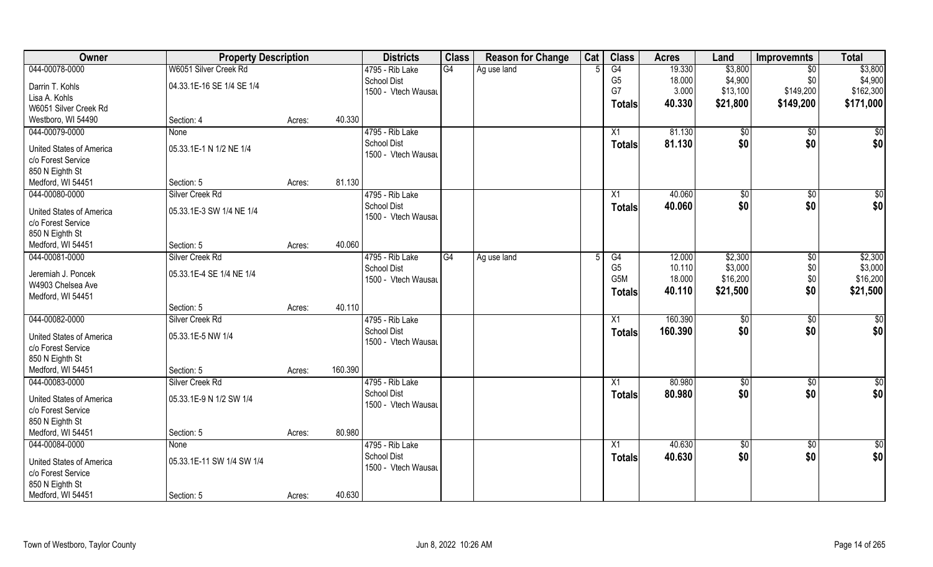| Owner                    | <b>Property Description</b> |        | <b>Districts</b>                      | <b>Class</b>    | <b>Reason for Change</b> | Cat | <b>Class</b>   | <b>Acres</b> | Land          | <b>Improvemnts</b> | <b>Total</b>     |
|--------------------------|-----------------------------|--------|---------------------------------------|-----------------|--------------------------|-----|----------------|--------------|---------------|--------------------|------------------|
| 044-00078-0000           | W6051 Silver Creek Rd       |        | 4795 - Rib Lake                       | G4              | Ag use land              |     | G4             | 19.330       | \$3,800       | \$0                | \$3,800          |
| Darrin T. Kohls          | 04.33.1E-16 SE 1/4 SE 1/4   |        | <b>School Dist</b>                    |                 |                          |     | G <sub>5</sub> | 18.000       | \$4,900       | \$0                | \$4,900          |
| Lisa A. Kohls            |                             |        | 1500 - Vtech Wausau                   |                 |                          |     | G7             | 3.000        | \$13,100      | \$149,200          | \$162,300        |
| W6051 Silver Creek Rd    |                             |        |                                       |                 |                          |     | <b>Totals</b>  | 40.330       | \$21,800      | \$149,200          | \$171,000        |
| Westboro, WI 54490       | Section: 4                  | Acres: | 40.330                                |                 |                          |     |                |              |               |                    |                  |
| 044-00079-0000           | <b>None</b>                 |        | 4795 - Rib Lake                       |                 |                          |     | X1             | 81.130       | \$0           | \$0                | $\overline{\$0}$ |
|                          |                             |        | <b>School Dist</b>                    |                 |                          |     | Totals         | 81.130       | \$0           | \$0                | \$0              |
| United States of America | 05.33.1E-1 N 1/2 NE 1/4     |        | 1500 - Vtech Wausau                   |                 |                          |     |                |              |               |                    |                  |
| c/o Forest Service       |                             |        |                                       |                 |                          |     |                |              |               |                    |                  |
| 850 N Eighth St          |                             |        |                                       |                 |                          |     |                |              |               |                    |                  |
| Medford, WI 54451        | Section: 5                  | Acres: | 81.130                                |                 |                          |     |                |              |               |                    |                  |
| 044-00080-0000           | Silver Creek Rd             |        | 4795 - Rib Lake                       |                 |                          |     | X1             | 40.060       | $\sqrt[6]{3}$ | $\sqrt[6]{3}$      | \$0              |
| United States of America | 05.33.1E-3 SW 1/4 NE 1/4    |        | <b>School Dist</b>                    |                 |                          |     | <b>Totals</b>  | 40.060       | \$0           | \$0                | \$0              |
| c/o Forest Service       |                             |        | 1500 - Vtech Wausau                   |                 |                          |     |                |              |               |                    |                  |
| 850 N Eighth St          |                             |        |                                       |                 |                          |     |                |              |               |                    |                  |
| Medford, WI 54451        | Section: 5                  | Acres: | 40.060                                |                 |                          |     |                |              |               |                    |                  |
| 044-00081-0000           | Silver Creek Rd             |        | 4795 - Rib Lake                       | $\overline{G4}$ | Ag use land              |     | G4             | 12.000       | \$2,300       | \$0                | \$2,300          |
|                          |                             |        | School Dist                           |                 |                          |     | G <sub>5</sub> | 10.110       | \$3,000       | \$0                | \$3,000          |
| Jeremiah J. Poncek       | 05.33.1E-4 SE 1/4 NE 1/4    |        | 1500 - Vtech Wausau                   |                 |                          |     | G5M            | 18.000       | \$16,200      | \$0                | \$16,200         |
| W4903 Chelsea Ave        |                             |        |                                       |                 |                          |     | <b>Totals</b>  | 40.110       | \$21,500      | \$0                | \$21,500         |
| Medford, WI 54451        | Section: 5                  |        | 40.110                                |                 |                          |     |                |              |               |                    |                  |
| 044-00082-0000           | Silver Creek Rd             | Acres: |                                       |                 |                          |     |                | 160.390      |               |                    |                  |
|                          |                             |        | 4795 - Rib Lake<br><b>School Dist</b> |                 |                          |     | X1             |              | $\sqrt[6]{3}$ | $\sqrt[6]{30}$     | $\overline{50}$  |
| United States of America | 05.33.1E-5 NW 1/4           |        | 1500 - Vtech Wausau                   |                 |                          |     | <b>Totals</b>  | 160.390      | \$0           | \$0                | \$0              |
| c/o Forest Service       |                             |        |                                       |                 |                          |     |                |              |               |                    |                  |
| 850 N Eighth St          |                             |        |                                       |                 |                          |     |                |              |               |                    |                  |
| Medford, WI 54451        | Section: 5                  | Acres: | 160.390                               |                 |                          |     |                |              |               |                    |                  |
| 044-00083-0000           | Silver Creek Rd             |        | 4795 - Rib Lake                       |                 |                          |     | X1             | 80.980       | $\sqrt{6}$    | $\sqrt{$0}$        | \$0              |
| United States of America | 05.33.1E-9 N 1/2 SW 1/4     |        | <b>School Dist</b>                    |                 |                          |     | <b>Totals</b>  | 80.980       | \$0           | \$0                | \$0              |
| c/o Forest Service       |                             |        | 1500 - Vtech Wausau                   |                 |                          |     |                |              |               |                    |                  |
| 850 N Eighth St          |                             |        |                                       |                 |                          |     |                |              |               |                    |                  |
| Medford, WI 54451        | Section: 5                  | Acres: | 80.980                                |                 |                          |     |                |              |               |                    |                  |
| 044-00084-0000           | None                        |        | 4795 - Rib Lake                       |                 |                          |     | X1             | 40.630       | \$0           | \$0                | $\frac{6}{3}$    |
|                          |                             |        | <b>School Dist</b>                    |                 |                          |     | <b>Totals</b>  | 40.630       | \$0           | \$0                | \$0              |
| United States of America | 05.33.1E-11 SW 1/4 SW 1/4   |        | 1500 - Vtech Wausau                   |                 |                          |     |                |              |               |                    |                  |
| c/o Forest Service       |                             |        |                                       |                 |                          |     |                |              |               |                    |                  |
| 850 N Eighth St          |                             |        |                                       |                 |                          |     |                |              |               |                    |                  |
| Medford, WI 54451        | Section: 5                  | Acres: | 40.630                                |                 |                          |     |                |              |               |                    |                  |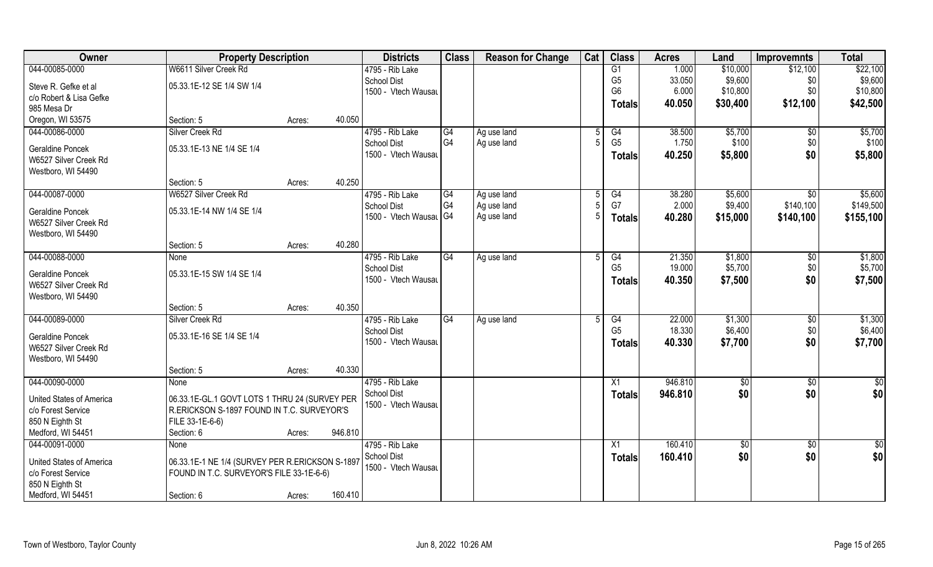| 044-00085-0000<br>W6611 Silver Creek Rd<br>G1<br>\$22,100<br>4795 - Rib Lake<br>1.000<br>\$10,000<br>\$12,100<br>\$9,600<br>\$9,600<br>G <sub>5</sub><br>33.050<br><b>School Dist</b><br>\$0<br>05.33.1E-12 SE 1/4 SW 1/4<br>Steve R. Gefke et al<br>G <sub>6</sub><br>6.000<br>\$10,800<br>\$0\$<br>\$10,800<br>1500 - Vtech Wausau<br>c/o Robert & Lisa Gefke<br>40.050<br>\$12,100<br>\$42,500<br>\$30,400<br><b>Totals</b><br>985 Mesa Dr<br>40.050<br>Oregon, WI 53575<br>Section: 5<br>Acres:<br>044-00086-0000<br>Silver Creek Rd<br>4795 - Rib Lake<br>G4<br>\$5,700<br>Ag use land<br>G4<br>38.500<br>$\sqrt{$0}$<br>G <sub>4</sub><br>G <sub>5</sub><br>Ag use land<br>1.750<br>\$100<br>\$0<br><b>School Dist</b><br>05.33.1E-13 NE 1/4 SE 1/4<br>Geraldine Poncek<br>1500 - Vtech Wausau<br>\$0<br>40.250<br>\$5,800<br><b>Totals</b><br>W6527 Silver Creek Rd<br>Westboro, WI 54490<br>40.250<br>Section: 5<br>Acres:<br>4795 - Rib Lake<br>044-00087-0000<br>W6527 Silver Creek Rd<br>\$5,600<br>G4<br>Ag use land<br>G4<br>38.280<br>$\sqrt{6}$<br>5<br>G <sub>4</sub><br>G7<br>2.000<br>\$9,400<br>\$140,100<br>Ag use land<br>School Dist<br>05.33.1E-14 NW 1/4 SE 1/4<br><b>Geraldine Poncek</b><br>1500 - Vtech Wausal G4<br>Ag use land<br>40.280<br>\$15,000<br>\$140,100<br>\$155,100<br><b>Totals</b><br>W6527 Silver Creek Rd<br>Westboro, WI 54490 |
|-----------------------------------------------------------------------------------------------------------------------------------------------------------------------------------------------------------------------------------------------------------------------------------------------------------------------------------------------------------------------------------------------------------------------------------------------------------------------------------------------------------------------------------------------------------------------------------------------------------------------------------------------------------------------------------------------------------------------------------------------------------------------------------------------------------------------------------------------------------------------------------------------------------------------------------------------------------------------------------------------------------------------------------------------------------------------------------------------------------------------------------------------------------------------------------------------------------------------------------------------------------------------------------------------------------------------------------------------------------------------------|
|                                                                                                                                                                                                                                                                                                                                                                                                                                                                                                                                                                                                                                                                                                                                                                                                                                                                                                                                                                                                                                                                                                                                                                                                                                                                                                                                                                             |
| \$5,700                                                                                                                                                                                                                                                                                                                                                                                                                                                                                                                                                                                                                                                                                                                                                                                                                                                                                                                                                                                                                                                                                                                                                                                                                                                                                                                                                                     |
|                                                                                                                                                                                                                                                                                                                                                                                                                                                                                                                                                                                                                                                                                                                                                                                                                                                                                                                                                                                                                                                                                                                                                                                                                                                                                                                                                                             |
|                                                                                                                                                                                                                                                                                                                                                                                                                                                                                                                                                                                                                                                                                                                                                                                                                                                                                                                                                                                                                                                                                                                                                                                                                                                                                                                                                                             |
|                                                                                                                                                                                                                                                                                                                                                                                                                                                                                                                                                                                                                                                                                                                                                                                                                                                                                                                                                                                                                                                                                                                                                                                                                                                                                                                                                                             |
| \$100<br>\$5,800<br>\$5,600<br>\$149,500                                                                                                                                                                                                                                                                                                                                                                                                                                                                                                                                                                                                                                                                                                                                                                                                                                                                                                                                                                                                                                                                                                                                                                                                                                                                                                                                    |
|                                                                                                                                                                                                                                                                                                                                                                                                                                                                                                                                                                                                                                                                                                                                                                                                                                                                                                                                                                                                                                                                                                                                                                                                                                                                                                                                                                             |
|                                                                                                                                                                                                                                                                                                                                                                                                                                                                                                                                                                                                                                                                                                                                                                                                                                                                                                                                                                                                                                                                                                                                                                                                                                                                                                                                                                             |
|                                                                                                                                                                                                                                                                                                                                                                                                                                                                                                                                                                                                                                                                                                                                                                                                                                                                                                                                                                                                                                                                                                                                                                                                                                                                                                                                                                             |
|                                                                                                                                                                                                                                                                                                                                                                                                                                                                                                                                                                                                                                                                                                                                                                                                                                                                                                                                                                                                                                                                                                                                                                                                                                                                                                                                                                             |
|                                                                                                                                                                                                                                                                                                                                                                                                                                                                                                                                                                                                                                                                                                                                                                                                                                                                                                                                                                                                                                                                                                                                                                                                                                                                                                                                                                             |
|                                                                                                                                                                                                                                                                                                                                                                                                                                                                                                                                                                                                                                                                                                                                                                                                                                                                                                                                                                                                                                                                                                                                                                                                                                                                                                                                                                             |
|                                                                                                                                                                                                                                                                                                                                                                                                                                                                                                                                                                                                                                                                                                                                                                                                                                                                                                                                                                                                                                                                                                                                                                                                                                                                                                                                                                             |
|                                                                                                                                                                                                                                                                                                                                                                                                                                                                                                                                                                                                                                                                                                                                                                                                                                                                                                                                                                                                                                                                                                                                                                                                                                                                                                                                                                             |
|                                                                                                                                                                                                                                                                                                                                                                                                                                                                                                                                                                                                                                                                                                                                                                                                                                                                                                                                                                                                                                                                                                                                                                                                                                                                                                                                                                             |
| 40.280<br>Section: 5<br>Acres:                                                                                                                                                                                                                                                                                                                                                                                                                                                                                                                                                                                                                                                                                                                                                                                                                                                                                                                                                                                                                                                                                                                                                                                                                                                                                                                                              |
| 044-00088-0000<br>4795 - Rib Lake<br>\$1,800<br>\$1,800<br>G4<br>Ag use land<br>G4<br>21.350<br>$\sqrt[6]{3}$<br>None                                                                                                                                                                                                                                                                                                                                                                                                                                                                                                                                                                                                                                                                                                                                                                                                                                                                                                                                                                                                                                                                                                                                                                                                                                                       |
| 19.000<br>\$5,700<br>\$5,700<br>G <sub>5</sub><br>\$0<br><b>School Dist</b><br><b>Geraldine Poncek</b><br>05.33.1E-15 SW 1/4 SE 1/4                                                                                                                                                                                                                                                                                                                                                                                                                                                                                                                                                                                                                                                                                                                                                                                                                                                                                                                                                                                                                                                                                                                                                                                                                                         |
| \$0<br>1500 - Vtech Wausau<br>40.350<br>\$7,500<br>\$7,500<br><b>Totals</b><br>W6527 Silver Creek Rd                                                                                                                                                                                                                                                                                                                                                                                                                                                                                                                                                                                                                                                                                                                                                                                                                                                                                                                                                                                                                                                                                                                                                                                                                                                                        |
| Westboro, WI 54490                                                                                                                                                                                                                                                                                                                                                                                                                                                                                                                                                                                                                                                                                                                                                                                                                                                                                                                                                                                                                                                                                                                                                                                                                                                                                                                                                          |
| 40.350<br>Section: 5<br>Acres:                                                                                                                                                                                                                                                                                                                                                                                                                                                                                                                                                                                                                                                                                                                                                                                                                                                                                                                                                                                                                                                                                                                                                                                                                                                                                                                                              |
| 044-00089-0000<br>G4<br>22.000<br>\$1,300<br>\$0<br>\$1,300<br>Silver Creek Rd<br>4795 - Rib Lake<br>G4<br>Ag use land                                                                                                                                                                                                                                                                                                                                                                                                                                                                                                                                                                                                                                                                                                                                                                                                                                                                                                                                                                                                                                                                                                                                                                                                                                                      |
| G <sub>5</sub><br>18.330<br>\$6,400<br>\$6,400<br>\$0<br><b>School Dist</b>                                                                                                                                                                                                                                                                                                                                                                                                                                                                                                                                                                                                                                                                                                                                                                                                                                                                                                                                                                                                                                                                                                                                                                                                                                                                                                 |
| 05.33.1E-16 SE 1/4 SE 1/4<br><b>Geraldine Poncek</b><br>\$0<br>40.330<br>\$7,700<br>1500 - Vtech Wausau<br>\$7,700<br><b>Totals</b>                                                                                                                                                                                                                                                                                                                                                                                                                                                                                                                                                                                                                                                                                                                                                                                                                                                                                                                                                                                                                                                                                                                                                                                                                                         |
| W6527 Silver Creek Rd                                                                                                                                                                                                                                                                                                                                                                                                                                                                                                                                                                                                                                                                                                                                                                                                                                                                                                                                                                                                                                                                                                                                                                                                                                                                                                                                                       |
| Westboro, WI 54490                                                                                                                                                                                                                                                                                                                                                                                                                                                                                                                                                                                                                                                                                                                                                                                                                                                                                                                                                                                                                                                                                                                                                                                                                                                                                                                                                          |
| 40.330<br>Section: 5<br>Acres:                                                                                                                                                                                                                                                                                                                                                                                                                                                                                                                                                                                                                                                                                                                                                                                                                                                                                                                                                                                                                                                                                                                                                                                                                                                                                                                                              |
| 946.810<br>$\overline{50}$<br>044-00090-0000<br>4795 - Rib Lake<br>X1<br>$\sqrt{6}$<br>$\sqrt{$0}$<br>None                                                                                                                                                                                                                                                                                                                                                                                                                                                                                                                                                                                                                                                                                                                                                                                                                                                                                                                                                                                                                                                                                                                                                                                                                                                                  |
| \$0 <br>\$0<br>\$0<br><b>School Dist</b><br>946.810<br><b>Totals</b><br>06.33.1E-GL.1 GOVT LOTS 1 THRU 24 (SURVEY PER<br>United States of America                                                                                                                                                                                                                                                                                                                                                                                                                                                                                                                                                                                                                                                                                                                                                                                                                                                                                                                                                                                                                                                                                                                                                                                                                           |
| 1500 - Vtech Wausau<br>R.ERICKSON S-1897 FOUND IN T.C. SURVEYOR'S<br>c/o Forest Service                                                                                                                                                                                                                                                                                                                                                                                                                                                                                                                                                                                                                                                                                                                                                                                                                                                                                                                                                                                                                                                                                                                                                                                                                                                                                     |
| FILE 33-1E-6-6)<br>850 N Eighth St                                                                                                                                                                                                                                                                                                                                                                                                                                                                                                                                                                                                                                                                                                                                                                                                                                                                                                                                                                                                                                                                                                                                                                                                                                                                                                                                          |
| 946.810<br>Medford, WI 54451<br>Section: 6<br>Acres:                                                                                                                                                                                                                                                                                                                                                                                                                                                                                                                                                                                                                                                                                                                                                                                                                                                                                                                                                                                                                                                                                                                                                                                                                                                                                                                        |
| 160.410<br>044-00091-0000<br>4795 - Rib Lake<br>$\sqrt{$0}$<br>X1<br>\$0<br>\$0<br>None                                                                                                                                                                                                                                                                                                                                                                                                                                                                                                                                                                                                                                                                                                                                                                                                                                                                                                                                                                                                                                                                                                                                                                                                                                                                                     |
| \$0<br>\$0<br>\$0 <br><b>School Dist</b><br>160.410<br><b>Totals</b>                                                                                                                                                                                                                                                                                                                                                                                                                                                                                                                                                                                                                                                                                                                                                                                                                                                                                                                                                                                                                                                                                                                                                                                                                                                                                                        |
| 06.33.1E-1 NE 1/4 (SURVEY PER R.ERICKSON S-1897<br>United States of America<br>1500 - Vtech Wausau<br>c/o Forest Service<br>FOUND IN T.C. SURVEYOR'S FILE 33-1E-6-6)                                                                                                                                                                                                                                                                                                                                                                                                                                                                                                                                                                                                                                                                                                                                                                                                                                                                                                                                                                                                                                                                                                                                                                                                        |
| 850 N Eighth St                                                                                                                                                                                                                                                                                                                                                                                                                                                                                                                                                                                                                                                                                                                                                                                                                                                                                                                                                                                                                                                                                                                                                                                                                                                                                                                                                             |
| Medford, WI 54451<br>160.410<br>Section: 6<br>Acres:                                                                                                                                                                                                                                                                                                                                                                                                                                                                                                                                                                                                                                                                                                                                                                                                                                                                                                                                                                                                                                                                                                                                                                                                                                                                                                                        |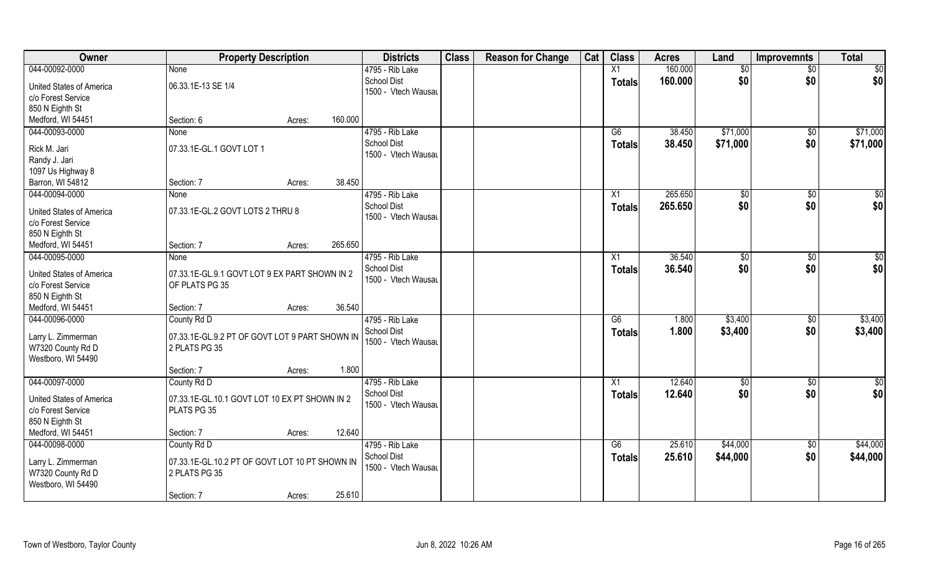| Owner                                          | <b>Property Description</b>                                     |        |         | <b>Districts</b>    | <b>Class</b> | <b>Reason for Change</b> | Cat | <b>Class</b>    | <b>Acres</b> | Land       | <b>Improvemnts</b> | <b>Total</b>    |
|------------------------------------------------|-----------------------------------------------------------------|--------|---------|---------------------|--------------|--------------------------|-----|-----------------|--------------|------------|--------------------|-----------------|
| 044-00092-0000                                 | None                                                            |        |         | 4795 - Rib Lake     |              |                          |     | X1              | 160.000      | \$0        | $\sqrt{$0}$        | $\sqrt{50}$     |
| United States of America                       | 06.33.1E-13 SE 1/4                                              |        |         | <b>School Dist</b>  |              |                          |     | <b>Totals</b>   | 160.000      | \$0        | \$0                | \$0             |
| c/o Forest Service                             |                                                                 |        |         | 1500 - Vtech Wausau |              |                          |     |                 |              |            |                    |                 |
| 850 N Eighth St                                |                                                                 |        |         |                     |              |                          |     |                 |              |            |                    |                 |
| Medford, WI 54451                              | Section: 6                                                      | Acres: | 160.000 |                     |              |                          |     |                 |              |            |                    |                 |
| 044-00093-0000                                 | None                                                            |        |         | 4795 - Rib Lake     |              |                          |     | G6              | 38.450       | \$71,000   | \$0                | \$71,000        |
|                                                |                                                                 |        |         | <b>School Dist</b>  |              |                          |     | Totals          | 38.450       | \$71,000   | \$0                | \$71,000        |
| Rick M. Jari                                   | 07.33.1E-GL.1 GOVT LOT 1                                        |        |         | 1500 - Vtech Wausar |              |                          |     |                 |              |            |                    |                 |
| Randy J. Jari                                  |                                                                 |        |         |                     |              |                          |     |                 |              |            |                    |                 |
| 1097 Us Highway 8                              |                                                                 |        |         |                     |              |                          |     |                 |              |            |                    |                 |
| Barron, WI 54812                               | Section: 7                                                      | Acres: | 38.450  |                     |              |                          |     |                 |              |            |                    |                 |
| 044-00094-0000                                 | None                                                            |        |         | 4795 - Rib Lake     |              |                          |     | X1              | 265,650      | \$0        | $\sqrt{6}$         | $\sqrt{50}$     |
| United States of America                       | 07.33.1E-GL.2 GOVT LOTS 2 THRU 8                                |        |         | <b>School Dist</b>  |              |                          |     | <b>Totals</b>   | 265.650      | \$0        | \$0                | \$0             |
| c/o Forest Service                             |                                                                 |        |         | 1500 - Vtech Wausau |              |                          |     |                 |              |            |                    |                 |
| 850 N Eighth St                                |                                                                 |        |         |                     |              |                          |     |                 |              |            |                    |                 |
| Medford, WI 54451                              | Section: 7                                                      | Acres: | 265.650 |                     |              |                          |     |                 |              |            |                    |                 |
| 044-00095-0000                                 | None                                                            |        |         | 4795 - Rib Lake     |              |                          |     | X1              | 36.540       | $ $ \$0    | $\sqrt[6]{3}$      | $\sqrt{50}$     |
|                                                |                                                                 |        |         | <b>School Dist</b>  |              |                          |     | <b>Totals</b>   | 36.540       | \$0        | \$0                | \$0             |
| United States of America<br>c/o Forest Service | 07.33.1E-GL.9.1 GOVT LOT 9 EX PART SHOWN IN 2<br>OF PLATS PG 35 |        |         | 1500 - Vtech Wausau |              |                          |     |                 |              |            |                    |                 |
| 850 N Eighth St                                |                                                                 |        |         |                     |              |                          |     |                 |              |            |                    |                 |
| Medford, WI 54451                              | Section: 7                                                      | Acres: | 36.540  |                     |              |                          |     |                 |              |            |                    |                 |
| 044-00096-0000                                 | County Rd D                                                     |        |         | 4795 - Rib Lake     |              |                          |     | $\overline{G6}$ | 1.800        | \$3,400    | \$0                | \$3,400         |
|                                                |                                                                 |        |         | <b>School Dist</b>  |              |                          |     |                 | 1.800        | \$3,400    | \$0                | \$3,400         |
| Larry L. Zimmerman                             | 07.33.1E-GL.9.2 PT OF GOVT LOT 9 PART SHOWN IN                  |        |         | 1500 - Vtech Wausau |              |                          |     | <b>Totals</b>   |              |            |                    |                 |
| W7320 County Rd D                              | 2 PLATS PG 35                                                   |        |         |                     |              |                          |     |                 |              |            |                    |                 |
| Westboro, WI 54490                             |                                                                 |        |         |                     |              |                          |     |                 |              |            |                    |                 |
|                                                | Section: 7                                                      | Acres: | 1.800   |                     |              |                          |     |                 |              |            |                    |                 |
| 044-00097-0000                                 | County Rd D                                                     |        |         | 4795 - Rib Lake     |              |                          |     | $\overline{X1}$ | 12.640       | $\sqrt{6}$ | $\sqrt{$0}$        | $\overline{50}$ |
| United States of America                       | 07.33.1E-GL.10.1 GOVT LOT 10 EX PT SHOWN IN 2                   |        |         | <b>School Dist</b>  |              |                          |     | <b>Totals</b>   | 12.640       | \$0        | \$0                | \$0             |
| c/o Forest Service                             | PLATS PG 35                                                     |        |         | 1500 - Vtech Wausau |              |                          |     |                 |              |            |                    |                 |
| 850 N Eighth St                                |                                                                 |        |         |                     |              |                          |     |                 |              |            |                    |                 |
| Medford, WI 54451                              | Section: 7                                                      | Acres: | 12.640  |                     |              |                          |     |                 |              |            |                    |                 |
| 044-00098-0000                                 | County Rd D                                                     |        |         | 4795 - Rib Lake     |              |                          |     | G6              | 25.610       | \$44,000   | \$0                | \$44,000        |
|                                                |                                                                 |        |         | <b>School Dist</b>  |              |                          |     | Totals          | 25.610       | \$44,000   | \$0                | \$44,000        |
| Larry L. Zimmerman<br>W7320 County Rd D        | 07.33.1E-GL.10.2 PT OF GOVT LOT 10 PT SHOWN IN<br>2 PLATS PG 35 |        |         | 1500 - Vtech Wausau |              |                          |     |                 |              |            |                    |                 |
| Westboro, WI 54490                             |                                                                 |        |         |                     |              |                          |     |                 |              |            |                    |                 |
|                                                | Section: 7                                                      | Acres: | 25.610  |                     |              |                          |     |                 |              |            |                    |                 |
|                                                |                                                                 |        |         |                     |              |                          |     |                 |              |            |                    |                 |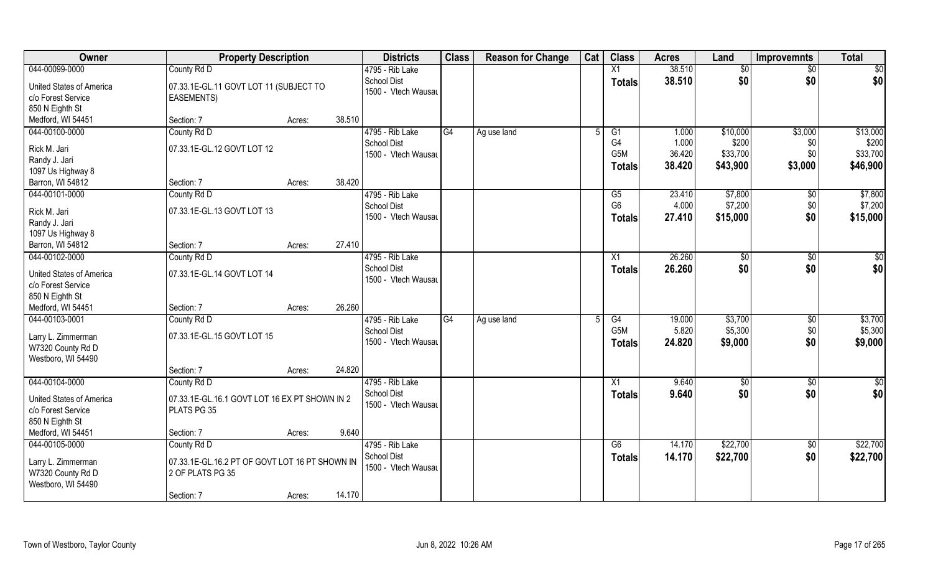| Owner                              | <b>Property Description</b>                    |                  | <b>Districts</b>                      | <b>Class</b> | <b>Reason for Change</b> | Cat | <b>Class</b>         | <b>Acres</b> | Land            | <b>Improvemnts</b> | <b>Total</b> |
|------------------------------------|------------------------------------------------|------------------|---------------------------------------|--------------|--------------------------|-----|----------------------|--------------|-----------------|--------------------|--------------|
| 044-00099-0000                     | County Rd D                                    |                  | 4795 - Rib Lake                       |              |                          |     | $\overline{X1}$      | 38.510       | $\overline{50}$ | $\overline{50}$    | \$0          |
| United States of America           | 07.33.1E-GL.11 GOVT LOT 11 (SUBJECT TO         |                  | <b>School Dist</b>                    |              |                          |     | <b>Totals</b>        | 38.510       | \$0             | \$0                | \$0          |
| c/o Forest Service                 | <b>EASEMENTS)</b>                              |                  | 1500 - Vtech Wausau                   |              |                          |     |                      |              |                 |                    |              |
| 850 N Eighth St                    |                                                |                  |                                       |              |                          |     |                      |              |                 |                    |              |
| Medford, WI 54451                  | Section: 7                                     | 38.510<br>Acres: |                                       |              |                          |     |                      |              |                 |                    |              |
| 044-00100-0000                     | County Rd D                                    |                  | 4795 - Rib Lake                       | G4           | Ag use land              |     | G1                   | 1.000        | \$10,000        | \$3,000            | \$13,000     |
|                                    |                                                |                  | <b>School Dist</b>                    |              |                          |     | G4                   | 1.000        | \$200           | \$0                | \$200        |
| Rick M. Jari                       | 07.33.1E-GL.12 GOVT LOT 12                     |                  | 1500 - Vtech Wausau                   |              |                          |     | G5M                  | 36.420       | \$33,700        | \$0                | \$33,700     |
| Randy J. Jari                      |                                                |                  |                                       |              |                          |     | <b>Totals</b>        | 38.420       | \$43,900        | \$3,000            | \$46,900     |
| 1097 Us Highway 8                  | Section: 7                                     | 38.420           |                                       |              |                          |     |                      |              |                 |                    |              |
| Barron, WI 54812<br>044-00101-0000 |                                                | Acres:           | 4795 - Rib Lake                       |              |                          |     |                      | 23.410       | \$7,800         |                    | \$7,800      |
|                                    | County Rd D                                    |                  | <b>School Dist</b>                    |              |                          |     | G5<br>G <sub>6</sub> | 4.000        | \$7,200         | \$0<br>\$0         | \$7,200      |
| Rick M. Jari                       | 07.33.1E-GL.13 GOVT LOT 13                     |                  | 1500 - Vtech Wausau                   |              |                          |     |                      | 27.410       | \$15,000        | \$0                | \$15,000     |
| Randy J. Jari                      |                                                |                  |                                       |              |                          |     | <b>Totals</b>        |              |                 |                    |              |
| 1097 Us Highway 8                  |                                                |                  |                                       |              |                          |     |                      |              |                 |                    |              |
| Barron, WI 54812                   | Section: 7                                     | 27.410<br>Acres: |                                       |              |                          |     |                      |              |                 |                    |              |
| 044-00102-0000                     | County Rd D                                    |                  | 4795 - Rib Lake                       |              |                          |     | X1                   | 26.260       | $\frac{1}{20}$  | \$0                | \$           |
| United States of America           | 07.33.1E-GL.14 GOVT LOT 14                     |                  | <b>School Dist</b>                    |              |                          |     | <b>Totals</b>        | 26.260       | \$0             | \$0                | \$0          |
| c/o Forest Service                 |                                                |                  | 1500 - Vtech Wausau                   |              |                          |     |                      |              |                 |                    |              |
| 850 N Eighth St                    |                                                |                  |                                       |              |                          |     |                      |              |                 |                    |              |
| Medford, WI 54451                  | Section: 7                                     | 26.260<br>Acres: |                                       |              |                          |     |                      |              |                 |                    |              |
| 044-00103-0001                     | County Rd D                                    |                  | 4795 - Rib Lake                       | G4           | Ag use land              |     | $\overline{G4}$      | 19.000       | \$3,700         | $\sqrt[6]{30}$     | \$3,700      |
|                                    |                                                |                  | <b>School Dist</b>                    |              |                          |     | G <sub>5</sub> M     | 5.820        | \$5,300         | \$0                | \$5,300      |
| Larry L. Zimmerman                 | 07.33.1E-GL.15 GOVT LOT 15                     |                  | 1500 - Vtech Wausau                   |              |                          |     | <b>Totals</b>        | 24.820       | \$9,000         | \$0                | \$9,000      |
| W7320 County Rd D                  |                                                |                  |                                       |              |                          |     |                      |              |                 |                    |              |
| Westboro, WI 54490                 |                                                | 24.820           |                                       |              |                          |     |                      |              |                 |                    |              |
|                                    | Section: 7                                     | Acres:           |                                       |              |                          |     |                      |              |                 |                    |              |
| 044-00104-0000                     | County Rd D                                    |                  | 4795 - Rib Lake<br><b>School Dist</b> |              |                          |     | X1                   | 9.640        | $\overline{60}$ | $\sqrt{$0}$        | \$0          |
| United States of America           | 07.33.1E-GL.16.1 GOVT LOT 16 EX PT SHOWN IN 2  |                  | 1500 - Vtech Wausau                   |              |                          |     | <b>Totals</b>        | 9.640        | \$0             | \$0                | \$0          |
| c/o Forest Service                 | PLATS PG 35                                    |                  |                                       |              |                          |     |                      |              |                 |                    |              |
| 850 N Eighth St                    |                                                |                  |                                       |              |                          |     |                      |              |                 |                    |              |
| Medford, WI 54451                  | Section: 7                                     | 9.640<br>Acres:  |                                       |              |                          |     |                      |              |                 |                    |              |
| 044-00105-0000                     | County Rd D                                    |                  | 4795 - Rib Lake                       |              |                          |     | G6                   | 14.170       | \$22,700        | \$0                | \$22,700     |
| Larry L. Zimmerman                 | 07.33.1E-GL.16.2 PT OF GOVT LOT 16 PT SHOWN IN |                  | <b>School Dist</b>                    |              |                          |     | <b>Totals</b>        | 14.170       | \$22,700        | \$0                | \$22,700     |
| W7320 County Rd D                  | 2 OF PLATS PG 35                               |                  | 1500 - Vtech Wausau                   |              |                          |     |                      |              |                 |                    |              |
| Westboro, WI 54490                 |                                                |                  |                                       |              |                          |     |                      |              |                 |                    |              |
|                                    | Section: 7                                     | 14.170<br>Acres: |                                       |              |                          |     |                      |              |                 |                    |              |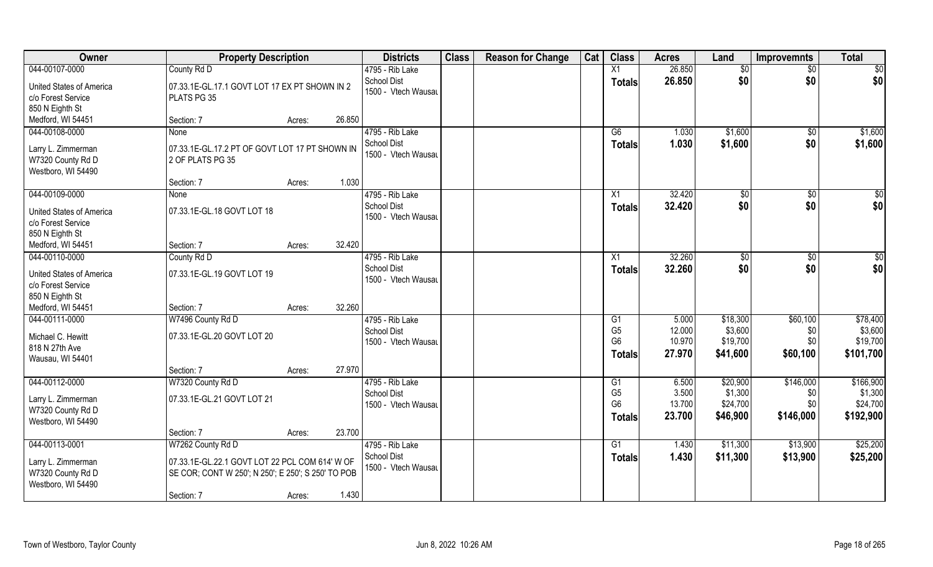| Owner                               | <b>Property Description</b>                        |                  | <b>Districts</b>    | <b>Class</b> | <b>Reason for Change</b> | Cat | <b>Class</b>   | <b>Acres</b> | Land                 | <b>Improvemnts</b> | <b>Total</b>    |
|-------------------------------------|----------------------------------------------------|------------------|---------------------|--------------|--------------------------|-----|----------------|--------------|----------------------|--------------------|-----------------|
| 044-00107-0000                      | County Rd D                                        |                  | 4795 - Rib Lake     |              |                          |     | X1             | 26.850       | \$0                  | $\overline{50}$    | $\overline{50}$ |
| United States of America            | 07.33.1E-GL.17.1 GOVT LOT 17 EX PT SHOWN IN 2      |                  | <b>School Dist</b>  |              |                          |     | <b>Totals</b>  | 26.850       | \$0                  | \$0                | \$0             |
| c/o Forest Service                  | PLATS PG 35                                        |                  | 1500 - Vtech Wausau |              |                          |     |                |              |                      |                    |                 |
| 850 N Eighth St                     |                                                    |                  |                     |              |                          |     |                |              |                      |                    |                 |
| Medford, WI 54451                   | Section: 7                                         | 26.850<br>Acres: |                     |              |                          |     |                |              |                      |                    |                 |
| 044-00108-0000                      | <b>None</b>                                        |                  | 4795 - Rib Lake     |              |                          |     | G6             | 1.030        | \$1,600              | \$0                | \$1,600         |
|                                     |                                                    |                  | <b>School Dist</b>  |              |                          |     | <b>Totals</b>  | 1.030        | \$1,600              | \$0                | \$1,600         |
| Larry L. Zimmerman                  | 07.33.1E-GL.17.2 PT OF GOVT LOT 17 PT SHOWN IN     |                  | 1500 - Vtech Wausau |              |                          |     |                |              |                      |                    |                 |
| W7320 County Rd D                   | 2 OF PLATS PG 35                                   |                  |                     |              |                          |     |                |              |                      |                    |                 |
| Westboro, WI 54490                  | Section: 7                                         | 1.030            |                     |              |                          |     |                |              |                      |                    |                 |
| 044-00109-0000                      | None                                               | Acres:           | 4795 - Rib Lake     |              |                          |     | X1             | 32.420       |                      | $\sqrt{6}$         | \$0             |
|                                     |                                                    |                  | <b>School Dist</b>  |              |                          |     |                |              | $\sqrt[6]{3}$<br>\$0 | \$0                | \$0             |
| United States of America            | 07.33.1E-GL.18 GOVT LOT 18                         |                  | 1500 - Vtech Wausau |              |                          |     | <b>Totals</b>  | 32.420       |                      |                    |                 |
| c/o Forest Service                  |                                                    |                  |                     |              |                          |     |                |              |                      |                    |                 |
| 850 N Eighth St                     |                                                    |                  |                     |              |                          |     |                |              |                      |                    |                 |
| Medford, WI 54451                   | Section: 7                                         | 32.420<br>Acres: |                     |              |                          |     |                |              |                      |                    |                 |
| 044-00110-0000                      | County Rd D                                        |                  | 4795 - Rib Lake     |              |                          |     | X1             | 32.260       | $\frac{1}{20}$       | \$0                | \$0             |
| United States of America            | 07.33.1E-GL.19 GOVT LOT 19                         |                  | School Dist         |              |                          |     | <b>Totals</b>  | 32.260       | \$0                  | \$0                | \$0             |
| c/o Forest Service                  |                                                    |                  | 1500 - Vtech Wausau |              |                          |     |                |              |                      |                    |                 |
| 850 N Eighth St                     |                                                    |                  |                     |              |                          |     |                |              |                      |                    |                 |
| Medford, WI 54451                   | Section: 7                                         | 32.260<br>Acres: |                     |              |                          |     |                |              |                      |                    |                 |
| 044-00111-0000                      | W7496 County Rd D                                  |                  | 4795 - Rib Lake     |              |                          |     | G1             | 5.000        | \$18,300             | \$60,100           | \$78,400        |
|                                     |                                                    |                  | <b>School Dist</b>  |              |                          |     | G <sub>5</sub> | 12.000       | \$3,600              | \$0                | \$3,600         |
| Michael C. Hewitt<br>818 N 27th Ave | 07.33.1E-GL.20 GOVT LOT 20                         |                  | 1500 - Vtech Wausau |              |                          |     | G <sub>6</sub> | 10.970       | \$19,700             | \$0                | \$19,700        |
| Wausau, WI 54401                    |                                                    |                  |                     |              |                          |     | <b>Totals</b>  | 27.970       | \$41,600             | \$60,100           | \$101,700       |
|                                     | Section: 7                                         | 27.970<br>Acres: |                     |              |                          |     |                |              |                      |                    |                 |
| 044-00112-0000                      | W7320 County Rd D                                  |                  | 4795 - Rib Lake     |              |                          |     | G1             | 6.500        | \$20,900             | \$146,000          | \$166,900       |
|                                     |                                                    |                  | <b>School Dist</b>  |              |                          |     | G <sub>5</sub> | 3.500        | \$1,300              | \$0                | \$1,300         |
| Larry L. Zimmerman                  | 07.33.1E-GL.21 GOVT LOT 21                         |                  | 1500 - Vtech Wausau |              |                          |     | G <sub>6</sub> | 13.700       | \$24,700             | \$0                | \$24,700        |
| W7320 County Rd D                   |                                                    |                  |                     |              |                          |     | <b>Totals</b>  | 23.700       | \$46,900             | \$146,000          | \$192,900       |
| Westboro, WI 54490                  |                                                    |                  |                     |              |                          |     |                |              |                      |                    |                 |
|                                     | Section: 7                                         | 23.700<br>Acres: |                     |              |                          |     |                |              |                      |                    |                 |
| 044-00113-0001                      | W7262 County Rd D                                  |                  | 4795 - Rib Lake     |              |                          |     | G1             | 1.430        | \$11,300             | \$13,900           | \$25,200        |
| Larry L. Zimmerman                  | 07.33.1E-GL.22.1 GOVT LOT 22 PCL COM 614' W OF     |                  | <b>School Dist</b>  |              |                          |     | <b>Totals</b>  | 1.430        | \$11,300             | \$13,900           | \$25,200        |
| W7320 County Rd D                   | SE COR; CONT W 250'; N 250'; E 250'; S 250' TO POB |                  | 1500 - Vtech Wausau |              |                          |     |                |              |                      |                    |                 |
| Westboro, WI 54490                  |                                                    |                  |                     |              |                          |     |                |              |                      |                    |                 |
|                                     | Section: 7                                         | 1.430<br>Acres:  |                     |              |                          |     |                |              |                      |                    |                 |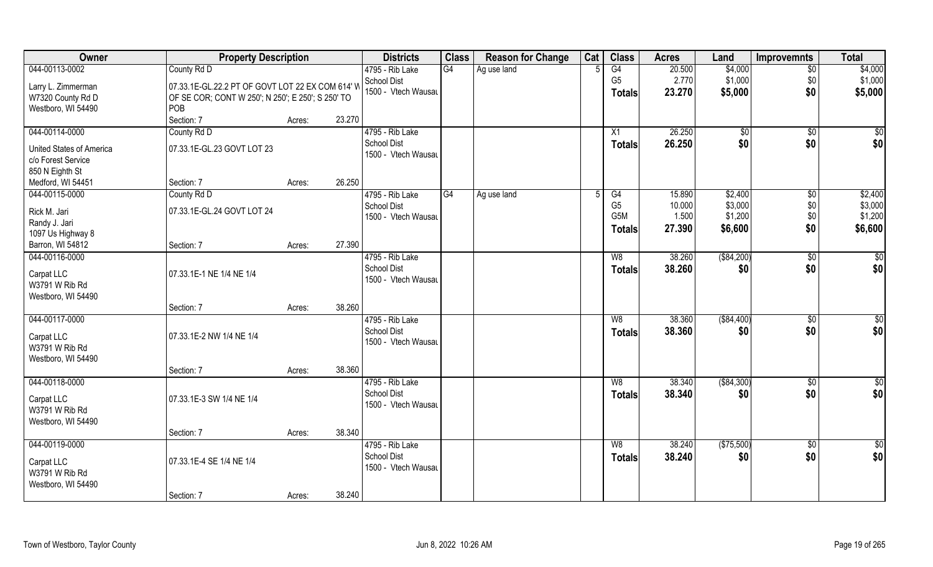| 044-00113-0002<br>County Rd D<br>4795 - Rib Lake<br>G4<br>G4<br>20.500<br>\$4,000<br>Ag use land<br>$\overline{50}$<br>G <sub>5</sub><br>2.770<br>\$1,000<br>\$1,000<br><b>School Dist</b><br>\$0<br>07.33.1E-GL.22.2 PT OF GOVT LOT 22 EX COM 614' W<br>Larry L. Zimmerman<br>\$0<br>1500 - Vtech Wausau<br>\$5,000<br>\$5,000<br>23.270<br><b>Totals</b><br>W7320 County Rd D<br>OF SE COR; CONT W 250'; N 250'; E 250'; S 250' TO<br>Westboro, WI 54490<br>POB<br>23.270<br>Section: 7<br>Acres:<br>4795 - Rib Lake<br>26.250<br>044-00114-0000<br>County Rd D<br>X1<br>$\sqrt[6]{}$<br>$\sqrt{$0}$<br>\$0<br>26.250<br>\$0<br>\$0<br><b>School Dist</b><br>Totals<br>07.33.1E-GL.23 GOVT LOT 23<br>United States of America<br>1500 - Vtech Wausau<br>c/o Forest Service<br>850 N Eighth St<br>26.250<br>Medford, WI 54451<br>Section: 7<br>Acres:<br>044-00115-0000<br>4795 - Rib Lake<br>\$2,400<br>\$2,400<br>County Rd D<br>G4<br>G4<br>15.890<br>$\sqrt[6]{}$<br>Ag use land<br>5<br>G <sub>5</sub><br>\$3,000<br>\$0<br>\$3,000<br><b>School Dist</b><br>10.000<br>Rick M. Jari<br>07.33.1E-GL.24 GOVT LOT 24<br>G5M<br>\$1,200<br>\$0<br>\$1,200<br>1.500<br>1500 - Vtech Wausau<br>Randy J. Jari<br>\$0<br>\$6,600<br>27.390<br>\$6,600<br><b>Totals</b><br>1097 Us Highway 8<br>27.390<br>Barron, WI 54812<br>Section: 7<br>Acres:<br>044-00116-0000<br>4795 - Rib Lake<br>38.260<br>( \$84, 200)<br>$\sqrt[6]{3}$<br>\$<br>W8<br>\$0<br><b>School Dist</b><br>\$0<br>38.260<br>\$0<br>Totals<br>Carpat LLC<br>07.33.1E-1 NE 1/4 NE 1/4<br>1500 - Vtech Wausau<br>W3791 W Rib Rd<br>Westboro, WI 54490<br>38.260<br>Section: 7<br>Acres:<br>044-00117-0000<br>38.360<br>( \$84,400)<br>$\overline{50}$<br>4795 - Rib Lake<br>W8<br>$\sqrt[6]{30}$<br>\$0<br><b>School Dist</b><br>38.360<br>\$0<br>\$0<br><b>Totals</b><br>Carpat LLC<br>07.33.1E-2 NW 1/4 NE 1/4<br>1500 - Vtech Wausau<br>W3791 W Rib Rd<br>Westboro, WI 54490<br>38.360<br>Section: 7<br>Acres:<br>044-00118-0000<br>( \$84, 300)<br>4795 - Rib Lake<br>38.340<br>$\sqrt{$0}$<br>W8<br>\$0<br><b>School Dist</b><br>\$0<br>38.340<br>\$0<br><b>Totals</b><br>07.33.1E-3 SW 1/4 NE 1/4<br>Carpat LLC<br>1500 - Vtech Wausau<br>W3791 W Rib Rd<br>Westboro, WI 54490<br>38.340<br>Section: 7<br>Acres:<br>044-00119-0000<br>4795 - Rib Lake<br>(\$75,500)<br>38.240<br>W8<br>$\sqrt{6}$<br>\$0<br><b>School Dist</b><br>\$0<br>38.240<br>\$0<br><b>Totals</b><br>07.33.1E-4 SE 1/4 NE 1/4<br>Carpat LLC<br>1500 - Vtech Wausau<br>W3791 W Rib Rd<br>Westboro, WI 54490<br>38.240 | Owner | <b>Property Description</b> |        | <b>Districts</b> | <b>Class</b> | <b>Reason for Change</b> | Cat | <b>Class</b> | <b>Acres</b> | Land | <b>Improvemnts</b> | <b>Total</b> |
|----------------------------------------------------------------------------------------------------------------------------------------------------------------------------------------------------------------------------------------------------------------------------------------------------------------------------------------------------------------------------------------------------------------------------------------------------------------------------------------------------------------------------------------------------------------------------------------------------------------------------------------------------------------------------------------------------------------------------------------------------------------------------------------------------------------------------------------------------------------------------------------------------------------------------------------------------------------------------------------------------------------------------------------------------------------------------------------------------------------------------------------------------------------------------------------------------------------------------------------------------------------------------------------------------------------------------------------------------------------------------------------------------------------------------------------------------------------------------------------------------------------------------------------------------------------------------------------------------------------------------------------------------------------------------------------------------------------------------------------------------------------------------------------------------------------------------------------------------------------------------------------------------------------------------------------------------------------------------------------------------------------------------------------------------------------------------------------------------------------------------------------------------------------------------------------------------------------------------------------------------------------------------------------------------------------------------------------------------------------------------------------------------------------------------------------------------------------------------------------------------------------------------------------------------------------|-------|-----------------------------|--------|------------------|--------------|--------------------------|-----|--------------|--------------|------|--------------------|--------------|
| $\sqrt{50}$<br>\$0<br>$\overline{50}$                                                                                                                                                                                                                                                                                                                                                                                                                                                                                                                                                                                                                                                                                                                                                                                                                                                                                                                                                                                                                                                                                                                                                                                                                                                                                                                                                                                                                                                                                                                                                                                                                                                                                                                                                                                                                                                                                                                                                                                                                                                                                                                                                                                                                                                                                                                                                                                                                                                                                                                          |       |                             |        |                  |              |                          |     |              |              |      |                    | \$4,000      |
|                                                                                                                                                                                                                                                                                                                                                                                                                                                                                                                                                                                                                                                                                                                                                                                                                                                                                                                                                                                                                                                                                                                                                                                                                                                                                                                                                                                                                                                                                                                                                                                                                                                                                                                                                                                                                                                                                                                                                                                                                                                                                                                                                                                                                                                                                                                                                                                                                                                                                                                                                                |       |                             |        |                  |              |                          |     |              |              |      |                    |              |
|                                                                                                                                                                                                                                                                                                                                                                                                                                                                                                                                                                                                                                                                                                                                                                                                                                                                                                                                                                                                                                                                                                                                                                                                                                                                                                                                                                                                                                                                                                                                                                                                                                                                                                                                                                                                                                                                                                                                                                                                                                                                                                                                                                                                                                                                                                                                                                                                                                                                                                                                                                |       |                             |        |                  |              |                          |     |              |              |      |                    |              |
|                                                                                                                                                                                                                                                                                                                                                                                                                                                                                                                                                                                                                                                                                                                                                                                                                                                                                                                                                                                                                                                                                                                                                                                                                                                                                                                                                                                                                                                                                                                                                                                                                                                                                                                                                                                                                                                                                                                                                                                                                                                                                                                                                                                                                                                                                                                                                                                                                                                                                                                                                                |       |                             |        |                  |              |                          |     |              |              |      |                    |              |
|                                                                                                                                                                                                                                                                                                                                                                                                                                                                                                                                                                                                                                                                                                                                                                                                                                                                                                                                                                                                                                                                                                                                                                                                                                                                                                                                                                                                                                                                                                                                                                                                                                                                                                                                                                                                                                                                                                                                                                                                                                                                                                                                                                                                                                                                                                                                                                                                                                                                                                                                                                |       |                             |        |                  |              |                          |     |              |              |      |                    |              |
|                                                                                                                                                                                                                                                                                                                                                                                                                                                                                                                                                                                                                                                                                                                                                                                                                                                                                                                                                                                                                                                                                                                                                                                                                                                                                                                                                                                                                                                                                                                                                                                                                                                                                                                                                                                                                                                                                                                                                                                                                                                                                                                                                                                                                                                                                                                                                                                                                                                                                                                                                                |       |                             |        |                  |              |                          |     |              |              |      |                    |              |
|                                                                                                                                                                                                                                                                                                                                                                                                                                                                                                                                                                                                                                                                                                                                                                                                                                                                                                                                                                                                                                                                                                                                                                                                                                                                                                                                                                                                                                                                                                                                                                                                                                                                                                                                                                                                                                                                                                                                                                                                                                                                                                                                                                                                                                                                                                                                                                                                                                                                                                                                                                |       |                             |        |                  |              |                          |     |              |              |      |                    |              |
|                                                                                                                                                                                                                                                                                                                                                                                                                                                                                                                                                                                                                                                                                                                                                                                                                                                                                                                                                                                                                                                                                                                                                                                                                                                                                                                                                                                                                                                                                                                                                                                                                                                                                                                                                                                                                                                                                                                                                                                                                                                                                                                                                                                                                                                                                                                                                                                                                                                                                                                                                                |       |                             |        |                  |              |                          |     |              |              |      |                    |              |
|                                                                                                                                                                                                                                                                                                                                                                                                                                                                                                                                                                                                                                                                                                                                                                                                                                                                                                                                                                                                                                                                                                                                                                                                                                                                                                                                                                                                                                                                                                                                                                                                                                                                                                                                                                                                                                                                                                                                                                                                                                                                                                                                                                                                                                                                                                                                                                                                                                                                                                                                                                |       |                             |        |                  |              |                          |     |              |              |      |                    |              |
|                                                                                                                                                                                                                                                                                                                                                                                                                                                                                                                                                                                                                                                                                                                                                                                                                                                                                                                                                                                                                                                                                                                                                                                                                                                                                                                                                                                                                                                                                                                                                                                                                                                                                                                                                                                                                                                                                                                                                                                                                                                                                                                                                                                                                                                                                                                                                                                                                                                                                                                                                                |       |                             |        |                  |              |                          |     |              |              |      |                    |              |
|                                                                                                                                                                                                                                                                                                                                                                                                                                                                                                                                                                                                                                                                                                                                                                                                                                                                                                                                                                                                                                                                                                                                                                                                                                                                                                                                                                                                                                                                                                                                                                                                                                                                                                                                                                                                                                                                                                                                                                                                                                                                                                                                                                                                                                                                                                                                                                                                                                                                                                                                                                |       |                             |        |                  |              |                          |     |              |              |      |                    |              |
|                                                                                                                                                                                                                                                                                                                                                                                                                                                                                                                                                                                                                                                                                                                                                                                                                                                                                                                                                                                                                                                                                                                                                                                                                                                                                                                                                                                                                                                                                                                                                                                                                                                                                                                                                                                                                                                                                                                                                                                                                                                                                                                                                                                                                                                                                                                                                                                                                                                                                                                                                                |       |                             |        |                  |              |                          |     |              |              |      |                    |              |
|                                                                                                                                                                                                                                                                                                                                                                                                                                                                                                                                                                                                                                                                                                                                                                                                                                                                                                                                                                                                                                                                                                                                                                                                                                                                                                                                                                                                                                                                                                                                                                                                                                                                                                                                                                                                                                                                                                                                                                                                                                                                                                                                                                                                                                                                                                                                                                                                                                                                                                                                                                |       |                             |        |                  |              |                          |     |              |              |      |                    |              |
|                                                                                                                                                                                                                                                                                                                                                                                                                                                                                                                                                                                                                                                                                                                                                                                                                                                                                                                                                                                                                                                                                                                                                                                                                                                                                                                                                                                                                                                                                                                                                                                                                                                                                                                                                                                                                                                                                                                                                                                                                                                                                                                                                                                                                                                                                                                                                                                                                                                                                                                                                                |       |                             |        |                  |              |                          |     |              |              |      |                    |              |
|                                                                                                                                                                                                                                                                                                                                                                                                                                                                                                                                                                                                                                                                                                                                                                                                                                                                                                                                                                                                                                                                                                                                                                                                                                                                                                                                                                                                                                                                                                                                                                                                                                                                                                                                                                                                                                                                                                                                                                                                                                                                                                                                                                                                                                                                                                                                                                                                                                                                                                                                                                |       |                             |        |                  |              |                          |     |              |              |      |                    |              |
|                                                                                                                                                                                                                                                                                                                                                                                                                                                                                                                                                                                                                                                                                                                                                                                                                                                                                                                                                                                                                                                                                                                                                                                                                                                                                                                                                                                                                                                                                                                                                                                                                                                                                                                                                                                                                                                                                                                                                                                                                                                                                                                                                                                                                                                                                                                                                                                                                                                                                                                                                                |       |                             |        |                  |              |                          |     |              |              |      |                    |              |
|                                                                                                                                                                                                                                                                                                                                                                                                                                                                                                                                                                                                                                                                                                                                                                                                                                                                                                                                                                                                                                                                                                                                                                                                                                                                                                                                                                                                                                                                                                                                                                                                                                                                                                                                                                                                                                                                                                                                                                                                                                                                                                                                                                                                                                                                                                                                                                                                                                                                                                                                                                |       |                             |        |                  |              |                          |     |              |              |      |                    |              |
|                                                                                                                                                                                                                                                                                                                                                                                                                                                                                                                                                                                                                                                                                                                                                                                                                                                                                                                                                                                                                                                                                                                                                                                                                                                                                                                                                                                                                                                                                                                                                                                                                                                                                                                                                                                                                                                                                                                                                                                                                                                                                                                                                                                                                                                                                                                                                                                                                                                                                                                                                                |       |                             |        |                  |              |                          |     |              |              |      |                    |              |
|                                                                                                                                                                                                                                                                                                                                                                                                                                                                                                                                                                                                                                                                                                                                                                                                                                                                                                                                                                                                                                                                                                                                                                                                                                                                                                                                                                                                                                                                                                                                                                                                                                                                                                                                                                                                                                                                                                                                                                                                                                                                                                                                                                                                                                                                                                                                                                                                                                                                                                                                                                |       |                             |        |                  |              |                          |     |              |              |      |                    |              |
|                                                                                                                                                                                                                                                                                                                                                                                                                                                                                                                                                                                                                                                                                                                                                                                                                                                                                                                                                                                                                                                                                                                                                                                                                                                                                                                                                                                                                                                                                                                                                                                                                                                                                                                                                                                                                                                                                                                                                                                                                                                                                                                                                                                                                                                                                                                                                                                                                                                                                                                                                                |       |                             |        |                  |              |                          |     |              |              |      |                    |              |
|                                                                                                                                                                                                                                                                                                                                                                                                                                                                                                                                                                                                                                                                                                                                                                                                                                                                                                                                                                                                                                                                                                                                                                                                                                                                                                                                                                                                                                                                                                                                                                                                                                                                                                                                                                                                                                                                                                                                                                                                                                                                                                                                                                                                                                                                                                                                                                                                                                                                                                                                                                |       |                             |        |                  |              |                          |     |              |              |      |                    |              |
|                                                                                                                                                                                                                                                                                                                                                                                                                                                                                                                                                                                                                                                                                                                                                                                                                                                                                                                                                                                                                                                                                                                                                                                                                                                                                                                                                                                                                                                                                                                                                                                                                                                                                                                                                                                                                                                                                                                                                                                                                                                                                                                                                                                                                                                                                                                                                                                                                                                                                                                                                                |       |                             |        |                  |              |                          |     |              |              |      |                    |              |
|                                                                                                                                                                                                                                                                                                                                                                                                                                                                                                                                                                                                                                                                                                                                                                                                                                                                                                                                                                                                                                                                                                                                                                                                                                                                                                                                                                                                                                                                                                                                                                                                                                                                                                                                                                                                                                                                                                                                                                                                                                                                                                                                                                                                                                                                                                                                                                                                                                                                                                                                                                |       |                             |        |                  |              |                          |     |              |              |      |                    |              |
|                                                                                                                                                                                                                                                                                                                                                                                                                                                                                                                                                                                                                                                                                                                                                                                                                                                                                                                                                                                                                                                                                                                                                                                                                                                                                                                                                                                                                                                                                                                                                                                                                                                                                                                                                                                                                                                                                                                                                                                                                                                                                                                                                                                                                                                                                                                                                                                                                                                                                                                                                                |       |                             |        |                  |              |                          |     |              |              |      |                    |              |
|                                                                                                                                                                                                                                                                                                                                                                                                                                                                                                                                                                                                                                                                                                                                                                                                                                                                                                                                                                                                                                                                                                                                                                                                                                                                                                                                                                                                                                                                                                                                                                                                                                                                                                                                                                                                                                                                                                                                                                                                                                                                                                                                                                                                                                                                                                                                                                                                                                                                                                                                                                |       |                             |        |                  |              |                          |     |              |              |      |                    |              |
|                                                                                                                                                                                                                                                                                                                                                                                                                                                                                                                                                                                                                                                                                                                                                                                                                                                                                                                                                                                                                                                                                                                                                                                                                                                                                                                                                                                                                                                                                                                                                                                                                                                                                                                                                                                                                                                                                                                                                                                                                                                                                                                                                                                                                                                                                                                                                                                                                                                                                                                                                                |       |                             |        |                  |              |                          |     |              |              |      |                    |              |
|                                                                                                                                                                                                                                                                                                                                                                                                                                                                                                                                                                                                                                                                                                                                                                                                                                                                                                                                                                                                                                                                                                                                                                                                                                                                                                                                                                                                                                                                                                                                                                                                                                                                                                                                                                                                                                                                                                                                                                                                                                                                                                                                                                                                                                                                                                                                                                                                                                                                                                                                                                |       |                             |        |                  |              |                          |     |              |              |      |                    |              |
|                                                                                                                                                                                                                                                                                                                                                                                                                                                                                                                                                                                                                                                                                                                                                                                                                                                                                                                                                                                                                                                                                                                                                                                                                                                                                                                                                                                                                                                                                                                                                                                                                                                                                                                                                                                                                                                                                                                                                                                                                                                                                                                                                                                                                                                                                                                                                                                                                                                                                                                                                                |       |                             |        |                  |              |                          |     |              |              |      |                    |              |
|                                                                                                                                                                                                                                                                                                                                                                                                                                                                                                                                                                                                                                                                                                                                                                                                                                                                                                                                                                                                                                                                                                                                                                                                                                                                                                                                                                                                                                                                                                                                                                                                                                                                                                                                                                                                                                                                                                                                                                                                                                                                                                                                                                                                                                                                                                                                                                                                                                                                                                                                                                |       |                             |        |                  |              |                          |     |              |              |      |                    |              |
|                                                                                                                                                                                                                                                                                                                                                                                                                                                                                                                                                                                                                                                                                                                                                                                                                                                                                                                                                                                                                                                                                                                                                                                                                                                                                                                                                                                                                                                                                                                                                                                                                                                                                                                                                                                                                                                                                                                                                                                                                                                                                                                                                                                                                                                                                                                                                                                                                                                                                                                                                                |       |                             |        |                  |              |                          |     |              |              |      |                    |              |
|                                                                                                                                                                                                                                                                                                                                                                                                                                                                                                                                                                                                                                                                                                                                                                                                                                                                                                                                                                                                                                                                                                                                                                                                                                                                                                                                                                                                                                                                                                                                                                                                                                                                                                                                                                                                                                                                                                                                                                                                                                                                                                                                                                                                                                                                                                                                                                                                                                                                                                                                                                |       |                             |        |                  |              |                          |     |              |              |      |                    |              |
|                                                                                                                                                                                                                                                                                                                                                                                                                                                                                                                                                                                                                                                                                                                                                                                                                                                                                                                                                                                                                                                                                                                                                                                                                                                                                                                                                                                                                                                                                                                                                                                                                                                                                                                                                                                                                                                                                                                                                                                                                                                                                                                                                                                                                                                                                                                                                                                                                                                                                                                                                                |       |                             |        |                  |              |                          |     |              |              |      |                    |              |
|                                                                                                                                                                                                                                                                                                                                                                                                                                                                                                                                                                                                                                                                                                                                                                                                                                                                                                                                                                                                                                                                                                                                                                                                                                                                                                                                                                                                                                                                                                                                                                                                                                                                                                                                                                                                                                                                                                                                                                                                                                                                                                                                                                                                                                                                                                                                                                                                                                                                                                                                                                |       |                             |        |                  |              |                          |     |              |              |      |                    |              |
|                                                                                                                                                                                                                                                                                                                                                                                                                                                                                                                                                                                                                                                                                                                                                                                                                                                                                                                                                                                                                                                                                                                                                                                                                                                                                                                                                                                                                                                                                                                                                                                                                                                                                                                                                                                                                                                                                                                                                                                                                                                                                                                                                                                                                                                                                                                                                                                                                                                                                                                                                                |       |                             |        |                  |              |                          |     |              |              |      |                    |              |
|                                                                                                                                                                                                                                                                                                                                                                                                                                                                                                                                                                                                                                                                                                                                                                                                                                                                                                                                                                                                                                                                                                                                                                                                                                                                                                                                                                                                                                                                                                                                                                                                                                                                                                                                                                                                                                                                                                                                                                                                                                                                                                                                                                                                                                                                                                                                                                                                                                                                                                                                                                |       |                             |        |                  |              |                          |     |              |              |      |                    |              |
|                                                                                                                                                                                                                                                                                                                                                                                                                                                                                                                                                                                                                                                                                                                                                                                                                                                                                                                                                                                                                                                                                                                                                                                                                                                                                                                                                                                                                                                                                                                                                                                                                                                                                                                                                                                                                                                                                                                                                                                                                                                                                                                                                                                                                                                                                                                                                                                                                                                                                                                                                                |       |                             |        |                  |              |                          |     |              |              |      |                    |              |
|                                                                                                                                                                                                                                                                                                                                                                                                                                                                                                                                                                                                                                                                                                                                                                                                                                                                                                                                                                                                                                                                                                                                                                                                                                                                                                                                                                                                                                                                                                                                                                                                                                                                                                                                                                                                                                                                                                                                                                                                                                                                                                                                                                                                                                                                                                                                                                                                                                                                                                                                                                |       |                             |        |                  |              |                          |     |              |              |      |                    |              |
|                                                                                                                                                                                                                                                                                                                                                                                                                                                                                                                                                                                                                                                                                                                                                                                                                                                                                                                                                                                                                                                                                                                                                                                                                                                                                                                                                                                                                                                                                                                                                                                                                                                                                                                                                                                                                                                                                                                                                                                                                                                                                                                                                                                                                                                                                                                                                                                                                                                                                                                                                                |       | Section: 7                  | Acres: |                  |              |                          |     |              |              |      |                    |              |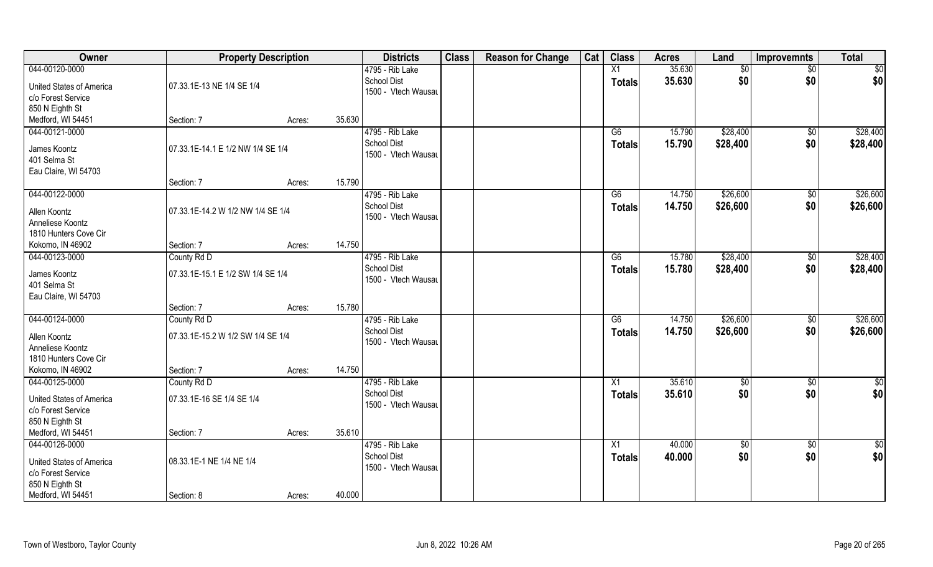| Owner                                                 | <b>Property Description</b>       |        |        | <b>Districts</b>                          | <b>Class</b> | <b>Reason for Change</b> | Cat | <b>Class</b>    | <b>Acres</b>     | Land                 | <b>Improvemnts</b>     | <b>Total</b>         |
|-------------------------------------------------------|-----------------------------------|--------|--------|-------------------------------------------|--------------|--------------------------|-----|-----------------|------------------|----------------------|------------------------|----------------------|
| 044-00120-0000                                        |                                   |        |        | 4795 - Rib Lake                           |              |                          |     | X1              | 35.630           | \$0                  | \$0                    | \$0                  |
| <b>United States of America</b><br>c/o Forest Service | 07.33.1E-13 NE 1/4 SE 1/4         |        |        | <b>School Dist</b><br>1500 - Vtech Wausau |              |                          |     | <b>Totals</b>   | 35.630           | \$0                  | \$0                    | \$0                  |
| 850 N Eighth St                                       |                                   |        |        |                                           |              |                          |     |                 |                  |                      |                        |                      |
| Medford, WI 54451                                     | Section: 7                        | Acres: | 35.630 |                                           |              |                          |     |                 |                  |                      |                        |                      |
| 044-00121-0000<br>James Koontz                        | 07.33.1E-14.1 E 1/2 NW 1/4 SE 1/4 |        |        | 4795 - Rib Lake<br><b>School Dist</b>     |              |                          |     | G6<br>Totals    | 15.790<br>15.790 | \$28,400<br>\$28,400 | $\overline{50}$<br>\$0 | \$28,400<br>\$28,400 |
| 401 Selma St<br>Eau Claire, WI 54703                  |                                   |        |        | 1500 - Vtech Wausau                       |              |                          |     |                 |                  |                      |                        |                      |
|                                                       | Section: 7                        | Acres: | 15.790 |                                           |              |                          |     |                 |                  |                      |                        |                      |
| 044-00122-0000                                        |                                   |        |        | 4795 - Rib Lake                           |              |                          |     | G6              | 14.750           | \$26,600             | \$0                    | \$26,600             |
| Allen Koontz                                          | 07.33.1E-14.2 W 1/2 NW 1/4 SE 1/4 |        |        | <b>School Dist</b><br>1500 - Vtech Wausau |              |                          |     | <b>Totals</b>   | 14.750           | \$26,600             | \$0                    | \$26,600             |
| Anneliese Koontz                                      |                                   |        |        |                                           |              |                          |     |                 |                  |                      |                        |                      |
| 1810 Hunters Cove Cir                                 |                                   |        |        |                                           |              |                          |     |                 |                  |                      |                        |                      |
| Kokomo, IN 46902                                      | Section: 7                        | Acres: | 14.750 |                                           |              |                          |     |                 |                  |                      |                        |                      |
| 044-00123-0000                                        | County Rd D                       |        |        | 4795 - Rib Lake                           |              |                          |     | G6              | 15.780           | \$28,400             | \$0                    | \$28,400             |
| James Koontz<br>401 Selma St<br>Eau Claire, WI 54703  | 07.33.1E-15.1 E 1/2 SW 1/4 SE 1/4 |        |        | <b>School Dist</b><br>1500 - Vtech Wausau |              |                          |     | <b>Totals</b>   | 15.780           | \$28,400             | \$0                    | \$28,400             |
|                                                       | Section: 7                        | Acres: | 15.780 |                                           |              |                          |     |                 |                  |                      |                        |                      |
| 044-00124-0000                                        | County Rd D                       |        |        | 4795 - Rib Lake                           |              |                          |     | $\overline{G6}$ | 14.750           | \$26,600             | $\overline{50}$        | \$26,600             |
| Allen Koontz<br>Anneliese Koontz                      | 07.33.1E-15.2 W 1/2 SW 1/4 SE 1/4 |        |        | <b>School Dist</b><br>1500 - Vtech Wausau |              |                          |     | <b>Totals</b>   | 14.750           | \$26,600             | \$0                    | \$26,600             |
| 1810 Hunters Cove Cir                                 |                                   |        |        |                                           |              |                          |     |                 |                  |                      |                        |                      |
| Kokomo, IN 46902                                      | Section: 7                        | Acres: | 14.750 |                                           |              |                          |     |                 |                  |                      |                        |                      |
| 044-00125-0000                                        | County Rd D                       |        |        | 4795 - Rib Lake                           |              |                          |     | X1              | 35.610           | \$0                  | $\overline{50}$        | $\frac{1}{2}$        |
| <b>United States of America</b><br>c/o Forest Service | 07.33.1E-16 SE 1/4 SE 1/4         |        |        | <b>School Dist</b><br>1500 - Vtech Wausau |              |                          |     | <b>Totals</b>   | 35.610           | \$0                  | \$0                    | \$0                  |
| 850 N Eighth St                                       |                                   |        |        |                                           |              |                          |     |                 |                  |                      |                        |                      |
| Medford, WI 54451                                     | Section: 7                        | Acres: | 35.610 |                                           |              |                          |     |                 |                  |                      |                        |                      |
| 044-00126-0000                                        |                                   |        |        | 4795 - Rib Lake                           |              |                          |     | $\overline{X1}$ | 40.000           | $\sqrt{$0}$          | $\overline{50}$        | $\frac{1}{2}$        |
| <b>United States of America</b><br>c/o Forest Service | 08.33.1E-1 NE 1/4 NE 1/4          |        |        | <b>School Dist</b><br>1500 - Vtech Wausau |              |                          |     | <b>Totals</b>   | 40.000           | \$0                  | \$0                    | \$0                  |
| 850 N Eighth St<br>Medford, WI 54451                  | Section: 8                        | Acres: | 40.000 |                                           |              |                          |     |                 |                  |                      |                        |                      |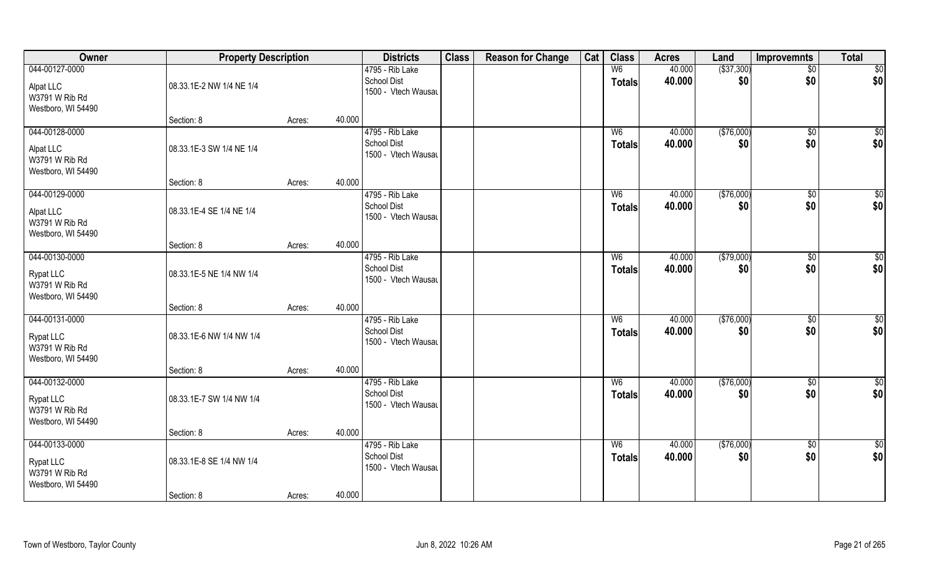| Owner                                                                      | <b>Property Description</b> |        | <b>Districts</b>                                             | <b>Class</b> | <b>Reason for Change</b> | Cat | <b>Class</b>                    | <b>Acres</b>     | Land                | <b>Improvemnts</b>     | <b>Total</b>           |
|----------------------------------------------------------------------------|-----------------------------|--------|--------------------------------------------------------------|--------------|--------------------------|-----|---------------------------------|------------------|---------------------|------------------------|------------------------|
| 044-00127-0000<br>Alpat LLC<br>W3791 W Rib Rd<br>Westboro, WI 54490        | 08.33.1E-2 NW 1/4 NE 1/4    |        | 4795 - Rib Lake<br><b>School Dist</b><br>1500 - Vtech Wausau |              |                          |     | W <sub>6</sub><br><b>Totals</b> | 40.000<br>40.000 | ( \$37, 300)<br>\$0 | $\sqrt{$0}$<br>\$0     | \$0<br>\$0             |
|                                                                            | Section: 8                  | Acres: | 40.000                                                       |              |                          |     |                                 |                  |                     |                        |                        |
| 044-00128-0000<br>Alpat LLC<br>W3791 W Rib Rd<br>Westboro, WI 54490        | 08.33.1E-3 SW 1/4 NE 1/4    |        | 4795 - Rib Lake<br><b>School Dist</b><br>1500 - Vtech Wausau |              |                          |     | W <sub>6</sub><br>Totals        | 40.000<br>40.000 | (\$76,000)<br>\$0   | $\sqrt[6]{}$<br>\$0    | \$0<br>\$0             |
|                                                                            | Section: 8                  | Acres: | 40.000                                                       |              |                          |     |                                 |                  |                     |                        |                        |
| 044-00129-0000<br>Alpat LLC<br>W3791 W Rib Rd<br>Westboro, WI 54490        | 08.33.1E-4 SE 1/4 NE 1/4    |        | 4795 - Rib Lake<br><b>School Dist</b><br>1500 - Vtech Wausau |              |                          |     | W <sub>6</sub><br><b>Totals</b> | 40.000<br>40.000 | (\$76,000)<br>\$0   | $\overline{30}$<br>\$0 | \$0<br>\$0             |
|                                                                            | Section: 8                  | Acres: | 40.000                                                       |              |                          |     |                                 |                  |                     |                        |                        |
| 044-00130-0000<br><b>Rypat LLC</b><br>W3791 W Rib Rd<br>Westboro, WI 54490 | 08.33.1E-5 NE 1/4 NW 1/4    |        | 4795 - Rib Lake<br><b>School Dist</b><br>1500 - Vtech Wausau |              |                          |     | W <sub>6</sub><br>Totals        | 40.000<br>40.000 | ( \$79,000)<br>\$0  | $\sqrt[6]{3}$<br>\$0   | \$0<br>\$0             |
|                                                                            | Section: 8                  | Acres: | 40.000                                                       |              |                          |     |                                 |                  |                     |                        |                        |
| 044-00131-0000<br><b>Rypat LLC</b><br>W3791 W Rib Rd<br>Westboro, WI 54490 | 08.33.1E-6 NW 1/4 NW 1/4    |        | 4795 - Rib Lake<br>School Dist<br>1500 - Vtech Wausau        |              |                          |     | W6<br><b>Totals</b>             | 40.000<br>40.000 | (\$76,000)<br>\$0   | $\overline{50}$<br>\$0 | $\sqrt{50}$<br>\$0     |
|                                                                            | Section: 8                  | Acres: | 40.000                                                       |              |                          |     |                                 |                  |                     |                        |                        |
| 044-00132-0000<br>Rypat LLC<br>W3791 W Rib Rd<br>Westboro, WI 54490        | 08.33.1E-7 SW 1/4 NW 1/4    |        | 4795 - Rib Lake<br><b>School Dist</b><br>1500 - Vtech Wausau |              |                          |     | W <sub>6</sub><br><b>Totals</b> | 40.000<br>40.000 | (\$76,000)<br>\$0   | $\sqrt{$0}$<br>\$0     | \$0<br> \$0            |
|                                                                            | Section: 8                  | Acres: | 40.000                                                       |              |                          |     |                                 |                  |                     |                        |                        |
| 044-00133-0000<br><b>Rypat LLC</b><br>W3791 W Rib Rd<br>Westboro, WI 54490 | 08.33.1E-8 SE 1/4 NW 1/4    |        | 4795 - Rib Lake<br><b>School Dist</b><br>1500 - Vtech Wausau |              |                          |     | W <sub>6</sub><br>Totals        | 40.000<br>40.000 | (\$76,000)<br>\$0   | $\sqrt{$0}$<br>\$0     | $\overline{50}$<br>\$0 |
|                                                                            | Section: 8                  | Acres: | 40.000                                                       |              |                          |     |                                 |                  |                     |                        |                        |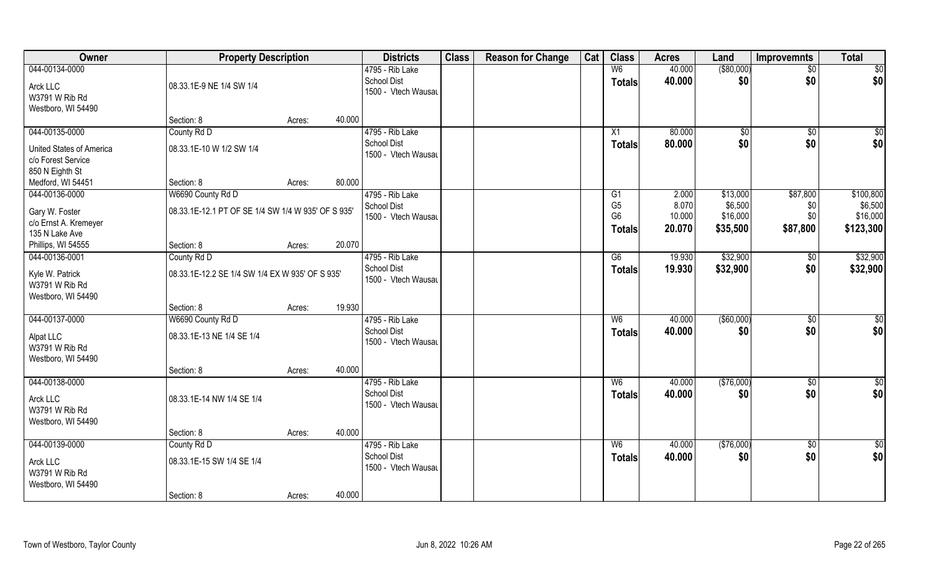| Owner                                                                               | <b>Property Description</b>                                             |                  | <b>Districts</b>                                             | <b>Class</b> | <b>Reason for Change</b> | Cat | <b>Class</b>                                     | <b>Acres</b>                       | Land                                        | <b>Improvemnts</b>                 | <b>Total</b>                                  |
|-------------------------------------------------------------------------------------|-------------------------------------------------------------------------|------------------|--------------------------------------------------------------|--------------|--------------------------|-----|--------------------------------------------------|------------------------------------|---------------------------------------------|------------------------------------|-----------------------------------------------|
| 044-00134-0000<br>Arck LLC<br>W3791 W Rib Rd<br>Westboro, WI 54490                  | 08.33.1E-9 NE 1/4 SW 1/4                                                |                  | 4795 - Rib Lake<br><b>School Dist</b><br>1500 - Vtech Wausau |              |                          |     | W6<br><b>Totals</b>                              | 40.000<br>40.000                   | ( \$80,000)<br>\$0                          | $\sqrt{$0}$<br>\$0                 | $\sqrt{50}$<br> \$0                           |
|                                                                                     | Section: 8                                                              | 40.000<br>Acres: |                                                              |              |                          |     |                                                  |                                    |                                             |                                    |                                               |
| 044-00135-0000<br>United States of America<br>c/o Forest Service<br>850 N Eighth St | County Rd D<br>08.33.1E-10 W 1/2 SW 1/4                                 |                  | 4795 - Rib Lake<br><b>School Dist</b><br>1500 - Vtech Wausau |              |                          |     | X1<br>Totals                                     | 80.000<br>80.000                   | $\sqrt{50}$<br>\$0                          | \$0<br>\$0                         | \$0<br>\$0                                    |
| Medford, WI 54451                                                                   | Section: 8                                                              | 80.000<br>Acres: |                                                              |              |                          |     |                                                  |                                    |                                             |                                    |                                               |
| 044-00136-0000<br>Gary W. Foster<br>c/o Ernst A. Kremeyer<br>135 N Lake Ave         | W6690 County Rd D<br>08.33.1E-12.1 PT OF SE 1/4 SW 1/4 W 935' OF S 935' |                  | 4795 - Rib Lake<br><b>School Dist</b><br>1500 - Vtech Wausau |              |                          |     | G1<br>G <sub>5</sub><br>G <sub>6</sub><br>Totals | 2.000<br>8.070<br>10.000<br>20.070 | \$13,000<br>\$6,500<br>\$16,000<br>\$35,500 | \$87,800<br>\$0<br>\$0<br>\$87,800 | \$100,800<br>\$6,500<br>\$16,000<br>\$123,300 |
| Phillips, WI 54555                                                                  | Section: 8                                                              | 20.070<br>Acres: |                                                              |              |                          |     |                                                  |                                    |                                             |                                    |                                               |
| 044-00136-0001<br>Kyle W. Patrick<br>W3791 W Rib Rd<br>Westboro, WI 54490           | County Rd D<br>08.33.1E-12.2 SE 1/4 SW 1/4 EX W 935' OF S 935'          |                  | 4795 - Rib Lake<br><b>School Dist</b><br>1500 - Vtech Wausau |              |                          |     | G6<br>Totals                                     | 19.930<br>19.930                   | \$32,900<br>\$32,900                        | \$0<br>\$0                         | \$32,900<br>\$32,900                          |
|                                                                                     | Section: 8                                                              | 19.930<br>Acres: |                                                              |              |                          |     |                                                  |                                    |                                             |                                    |                                               |
| 044-00137-0000<br>Alpat LLC<br>W3791 W Rib Rd<br>Westboro, WI 54490                 | W6690 County Rd D<br>08.33.1E-13 NE 1/4 SE 1/4                          |                  | 4795 - Rib Lake<br><b>School Dist</b><br>1500 - Vtech Wausau |              |                          |     | W6<br><b>Totals</b>                              | 40.000<br>40.000                   | $($ \$60,000)<br>\$0                        | $\overline{50}$<br>\$0             | $\overline{50}$<br>\$0                        |
|                                                                                     | Section: 8                                                              | 40.000<br>Acres: |                                                              |              |                          |     |                                                  |                                    |                                             |                                    |                                               |
| 044-00138-0000<br>Arck LLC<br>W3791 W Rib Rd<br>Westboro, WI 54490                  | 08.33.1E-14 NW 1/4 SE 1/4                                               |                  | 4795 - Rib Lake<br><b>School Dist</b><br>1500 - Vtech Wausau |              |                          |     | W6<br><b>Totals</b>                              | 40.000<br>40.000                   | (\$76,000)<br>\$0                           | $\sqrt{$0}$<br>\$0                 | \$0<br>\$0                                    |
|                                                                                     | Section: 8                                                              | 40.000<br>Acres: |                                                              |              |                          |     |                                                  |                                    |                                             |                                    |                                               |
| 044-00139-0000<br>Arck LLC<br>W3791 W Rib Rd<br>Westboro, WI 54490                  | County Rd D<br>08.33.1E-15 SW 1/4 SE 1/4<br>Section: 8                  | 40.000<br>Acres: | 4795 - Rib Lake<br><b>School Dist</b><br>1500 - Vtech Wausau |              |                          |     | W6<br><b>Totals</b>                              | 40.000<br>40.000                   | (\$76,000)<br>\$0                           | $\overline{60}$<br>\$0             | $\overline{50}$<br>\$0                        |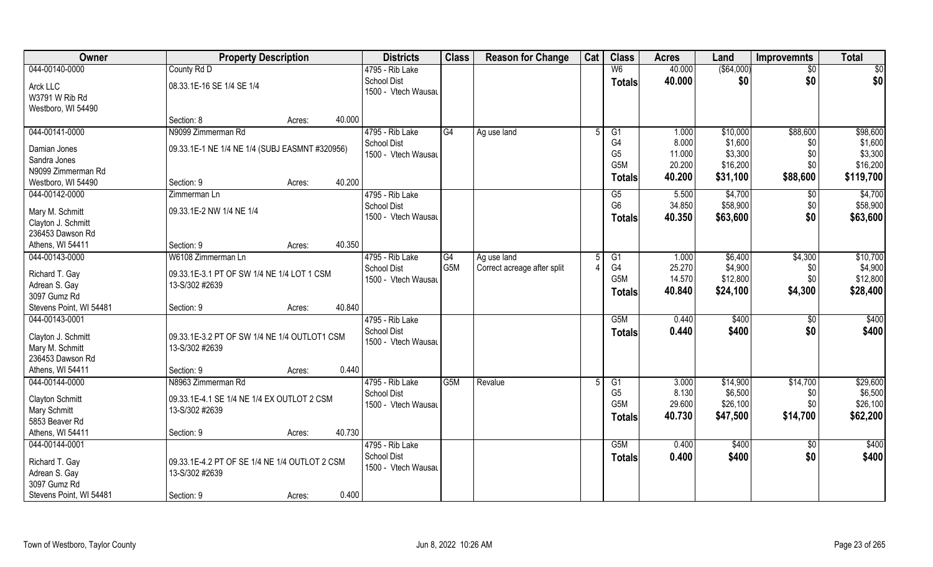| Owner                                                                                        | <b>Property Description</b>                                                   |        | <b>Districts</b>                                                      | <b>Class</b>     | <b>Reason for Change</b>    | Cat | <b>Class</b>                                        | <b>Acres</b>                        | Land                                       | <b>Improvemnts</b>            | <b>Total</b>                                |
|----------------------------------------------------------------------------------------------|-------------------------------------------------------------------------------|--------|-----------------------------------------------------------------------|------------------|-----------------------------|-----|-----------------------------------------------------|-------------------------------------|--------------------------------------------|-------------------------------|---------------------------------------------|
| 044-00140-0000                                                                               | County Rd D                                                                   |        | 4795 - Rib Lake                                                       |                  |                             |     | W <sub>6</sub>                                      | 40.000                              | ( \$64,000)                                | $\sqrt{6}$                    | \$0                                         |
| Arck LLC<br>W3791 W Rib Rd<br>Westboro, WI 54490                                             | 08.33.1E-16 SE 1/4 SE 1/4                                                     |        | <b>School Dist</b><br>1500 - Vtech Wausau                             |                  |                             |     | <b>Totals</b>                                       | 40.000                              | \$0                                        | \$0                           | \$0                                         |
|                                                                                              | Section: 8                                                                    | Acres: | 40.000                                                                |                  |                             |     |                                                     |                                     |                                            |                               |                                             |
| 044-00141-0000                                                                               | N9099 Zimmerman Rd                                                            |        | 4795 - Rib Lake                                                       | G4               | Ag use land                 |     | G1                                                  | 1.000                               | \$10,000                                   | \$88,600                      | \$98,600                                    |
| Damian Jones<br>Sandra Jones<br>N9099 Zimmerman Rd<br>Westboro, WI 54490                     | 09.33.1E-1 NE 1/4 NE 1/4 (SUBJ EASMNT #320956)<br>Section: 9                  | Acres: | <b>School Dist</b><br>1500 - Vtech Wausau<br>40.200                   |                  |                             |     | G4<br>G <sub>5</sub><br>G <sub>5</sub> M<br>Totals  | 8.000<br>11.000<br>20.200<br>40.200 | \$1,600<br>\$3,300<br>\$16,200<br>\$31,100 | \$0<br>\$0<br>\$0<br>\$88,600 | \$1,600<br>\$3,300<br>\$16,200<br>\$119,700 |
| 044-00142-0000                                                                               | Zimmerman Ln                                                                  |        | 4795 - Rib Lake                                                       |                  |                             |     | G5                                                  | 5.500                               | \$4,700                                    | \$0                           | \$4,700                                     |
| Mary M. Schmitt<br>Clayton J. Schmitt<br>236453 Dawson Rd                                    | 09.33.1E-2 NW 1/4 NE 1/4                                                      |        | <b>School Dist</b><br>1500 - Vtech Wausau                             |                  |                             |     | G <sub>6</sub><br><b>Totals</b>                     | 34.850<br>40.350                    | \$58,900<br>\$63,600                       | \$0<br>\$0                    | \$58,900<br>\$63,600                        |
| Athens, WI 54411                                                                             | Section: 9                                                                    | Acres: | 40.350                                                                |                  |                             |     |                                                     |                                     |                                            |                               |                                             |
| 044-00143-0000                                                                               | W6108 Zimmerman Ln                                                            |        | 4795 - Rib Lake                                                       | G4               | Ag use land                 |     | G1                                                  | 1.000                               | \$6,400                                    | \$4,300                       | \$10,700                                    |
| Richard T. Gay<br>Adrean S. Gay<br>3097 Gumz Rd                                              | 09.33.1E-3.1 PT OF SW 1/4 NE 1/4 LOT 1 CSM<br>13-S/302 #2639                  |        | <b>School Dist</b><br>1500 - Vtech Wausau                             | G <sub>5</sub> M | Correct acreage after split |     | G4<br>G <sub>5</sub> M<br><b>Totals</b>             | 25.270<br>14.570<br>40.840          | \$4,900<br>\$12,800<br>\$24,100            | \$0<br>\$0<br>\$4,300         | \$4,900<br>\$12,800<br>\$28,400             |
| Stevens Point, WI 54481                                                                      | Section: 9                                                                    | Acres: | 40.840                                                                |                  |                             |     |                                                     |                                     |                                            |                               |                                             |
| 044-00143-0001<br>Clayton J. Schmitt<br>Mary M. Schmitt<br>236453 Dawson Rd                  | 09.33.1E-3.2 PT OF SW 1/4 NE 1/4 OUTLOT1 CSM<br>13-S/302 #2639                |        | 4795 - Rib Lake<br><b>School Dist</b><br>1500 - Vtech Wausau<br>0.440 |                  |                             |     | G5M<br><b>Totals</b>                                | 0.440<br>0.440                      | \$400<br>\$400                             | \$0<br>\$0                    | \$400<br>\$400                              |
| Athens, WI 54411<br>044-00144-0000                                                           | Section: 9<br>N8963 Zimmerman Rd                                              | Acres: | 4795 - Rib Lake                                                       | G <sub>5</sub> M | Revalue                     |     | G1                                                  | 3.000                               | \$14,900                                   | \$14,700                      | \$29,600                                    |
| <b>Clayton Schmitt</b><br><b>Mary Schmitt</b><br>5853 Beaver Rd                              | 09.33.1E-4.1 SE 1/4 NE 1/4 EX OUTLOT 2 CSM<br>13-S/302 #2639                  |        | <b>School Dist</b><br>1500 - Vtech Wausau                             |                  |                             |     | G <sub>5</sub><br>G <sub>5</sub> M<br><b>Totals</b> | 8.130<br>29.600<br>40.730           | \$6,500<br>\$26,100<br>\$47,500            | \$0<br>\$0\$<br>\$14,700      | \$6,500<br>\$26,100<br>\$62,200             |
| Athens, WI 54411                                                                             | Section: 9                                                                    | Acres: | 40.730                                                                |                  |                             |     |                                                     |                                     |                                            |                               |                                             |
| 044-00144-0001<br>Richard T. Gay<br>Adrean S. Gay<br>3097 Gumz Rd<br>Stevens Point, WI 54481 | 09.33.1E-4.2 PT OF SE 1/4 NE 1/4 OUTLOT 2 CSM<br>13-S/302 #2639<br>Section: 9 | Acres: | 4795 - Rib Lake<br><b>School Dist</b><br>1500 - Vtech Wausau<br>0.400 |                  |                             |     | G <sub>5</sub> M<br><b>Totals</b>                   | 0.400<br>0.400                      | \$400<br>\$400                             | $\sqrt{6}$<br>\$0             | \$400<br>\$400                              |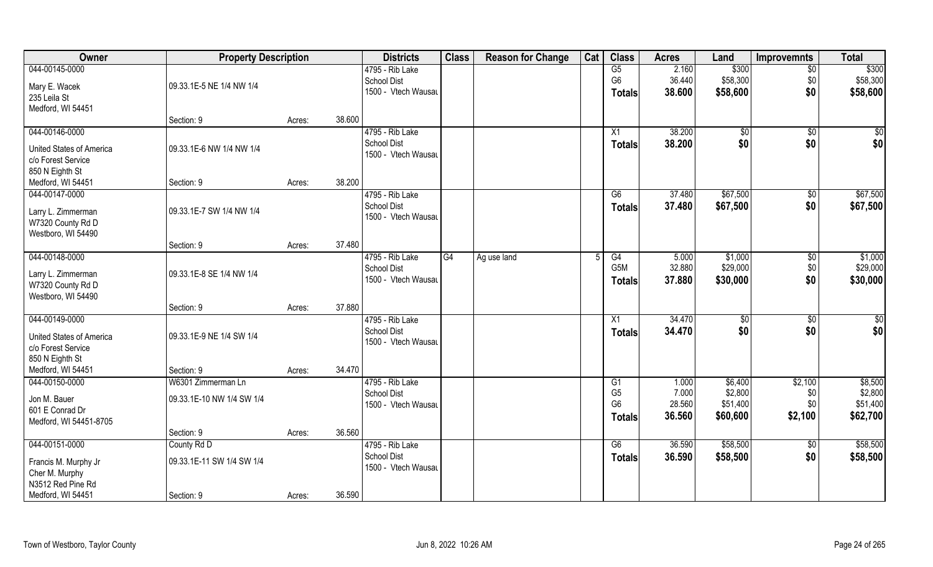| Owner                           | <b>Property Description</b> |        |        | <b>Districts</b>    | <b>Class</b> | <b>Reason for Change</b> | Cat | <b>Class</b>                     | <b>Acres</b> | Land     | <b>Improvemnts</b> | <b>Total</b> |
|---------------------------------|-----------------------------|--------|--------|---------------------|--------------|--------------------------|-----|----------------------------------|--------------|----------|--------------------|--------------|
| 044-00145-0000                  |                             |        |        | 4795 - Rib Lake     |              |                          |     | G5                               | 2.160        | \$300    | $\overline{50}$    | \$300        |
| Mary E. Wacek                   | 09.33.1E-5 NE 1/4 NW 1/4    |        |        | School Dist         |              |                          |     | G <sub>6</sub>                   | 36.440       | \$58,300 | \$0                | \$58,300     |
| 235 Leila St                    |                             |        |        | 1500 - Vtech Wausau |              |                          |     | <b>Totals</b>                    | 38.600       | \$58,600 | \$0                | \$58,600     |
| Medford, WI 54451               |                             |        |        |                     |              |                          |     |                                  |              |          |                    |              |
|                                 | Section: 9                  | Acres: | 38.600 |                     |              |                          |     |                                  |              |          |                    |              |
| 044-00146-0000                  |                             |        |        | 4795 - Rib Lake     |              |                          |     | X1                               | 38.200       | \$0      | \$0                | \$0          |
| United States of America        | 09.33.1E-6 NW 1/4 NW 1/4    |        |        | <b>School Dist</b>  |              |                          |     | Totals                           | 38.200       | \$0      | \$0                | \$0          |
| c/o Forest Service              |                             |        |        | 1500 - Vtech Wausau |              |                          |     |                                  |              |          |                    |              |
| 850 N Eighth St                 |                             |        |        |                     |              |                          |     |                                  |              |          |                    |              |
| Medford, WI 54451               | Section: 9                  | Acres: | 38.200 |                     |              |                          |     |                                  |              |          |                    |              |
| 044-00147-0000                  |                             |        |        | 4795 - Rib Lake     |              |                          |     | G6                               | 37.480       | \$67,500 | $\sqrt[6]{3}$      | \$67,500     |
| Larry L. Zimmerman              | 09.33.1E-7 SW 1/4 NW 1/4    |        |        | <b>School Dist</b>  |              |                          |     | <b>Totals</b>                    | 37.480       | \$67,500 | \$0                | \$67,500     |
| W7320 County Rd D               |                             |        |        | 1500 - Vtech Wausau |              |                          |     |                                  |              |          |                    |              |
| Westboro, WI 54490              |                             |        |        |                     |              |                          |     |                                  |              |          |                    |              |
|                                 | Section: 9                  | Acres: | 37.480 |                     |              |                          |     |                                  |              |          |                    |              |
| 044-00148-0000                  |                             |        |        | 4795 - Rib Lake     | G4           | Ag use land              |     | G4                               | 5.000        | \$1,000  | \$0                | \$1,000      |
| Larry L. Zimmerman              | 09.33.1E-8 SE 1/4 NW 1/4    |        |        | <b>School Dist</b>  |              |                          |     | G5M                              | 32.880       | \$29,000 | \$0                | \$29,000     |
| W7320 County Rd D               |                             |        |        | 1500 - Vtech Wausau |              |                          |     | <b>Totals</b>                    | 37.880       | \$30,000 | \$0                | \$30,000     |
| Westboro, WI 54490              |                             |        |        |                     |              |                          |     |                                  |              |          |                    |              |
|                                 | Section: 9                  | Acres: | 37.880 |                     |              |                          |     |                                  |              |          |                    |              |
| 044-00149-0000                  |                             |        |        | 4795 - Rib Lake     |              |                          |     | X1                               | 34.470       | \$0      | \$0                | \$0          |
| <b>United States of America</b> | 09.33.1E-9 NE 1/4 SW 1/4    |        |        | <b>School Dist</b>  |              |                          |     | <b>Totals</b>                    | 34.470       | \$0      | \$0                | \$0          |
| c/o Forest Service              |                             |        |        | 1500 - Vtech Wausau |              |                          |     |                                  |              |          |                    |              |
| 850 N Eighth St                 |                             |        |        |                     |              |                          |     |                                  |              |          |                    |              |
| Medford, WI 54451               | Section: 9                  | Acres: | 34.470 |                     |              |                          |     |                                  |              |          |                    |              |
| 044-00150-0000                  | W6301 Zimmerman Ln          |        |        | 4795 - Rib Lake     |              |                          |     | G <sub>1</sub>                   | 1.000        | \$6,400  | \$2,100            | \$8,500      |
| Jon M. Bauer                    | 09.33.1E-10 NW 1/4 SW 1/4   |        |        | <b>School Dist</b>  |              |                          |     | G <sub>5</sub><br>G <sub>6</sub> | 7.000        | \$2,800  | \$0                | \$2,800      |
| 601 E Conrad Dr                 |                             |        |        | 1500 - Vtech Wausau |              |                          |     |                                  | 28.560       | \$51,400 | \$0                | \$51,400     |
| Medford, WI 54451-8705          |                             |        |        |                     |              |                          |     | <b>Totals</b>                    | 36.560       | \$60,600 | \$2,100            | \$62,700     |
|                                 | Section: 9                  | Acres: | 36.560 |                     |              |                          |     |                                  |              |          |                    |              |
| 044-00151-0000                  | County Rd D                 |        |        | 4795 - Rib Lake     |              |                          |     | G6                               | 36.590       | \$58,500 | $\overline{50}$    | \$58,500     |
| Francis M. Murphy Jr            | 09.33.1E-11 SW 1/4 SW 1/4   |        |        | <b>School Dist</b>  |              |                          |     | <b>Totals</b>                    | 36.590       | \$58,500 | \$0                | \$58,500     |
| Cher M. Murphy                  |                             |        |        | 1500 - Vtech Wausau |              |                          |     |                                  |              |          |                    |              |
| N3512 Red Pine Rd               |                             |        |        |                     |              |                          |     |                                  |              |          |                    |              |
| Medford, WI 54451               | Section: 9                  | Acres: | 36.590 |                     |              |                          |     |                                  |              |          |                    |              |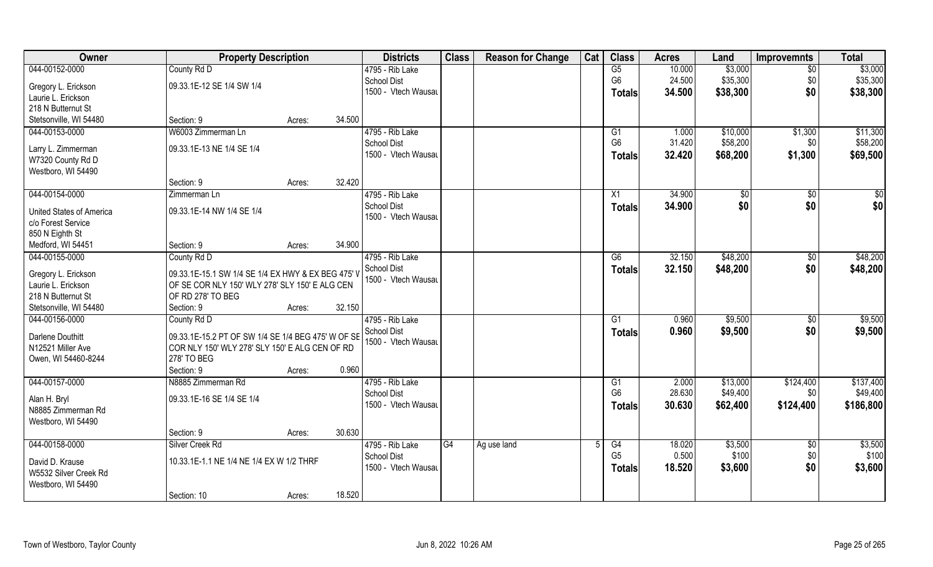| Owner                                    | <b>Property Description</b>                        |        |        | <b>Districts</b>                      | <b>Class</b> | <b>Reason for Change</b> | Cat | <b>Class</b>         | <b>Acres</b>    | Land                 | <b>Improvemnts</b> | <b>Total</b>          |
|------------------------------------------|----------------------------------------------------|--------|--------|---------------------------------------|--------------|--------------------------|-----|----------------------|-----------------|----------------------|--------------------|-----------------------|
| 044-00152-0000                           | County Rd D                                        |        |        | 4795 - Rib Lake                       |              |                          |     | G5                   | 10.000          | \$3,000              | $\sqrt{6}$         | \$3,000               |
| Gregory L. Erickson                      | 09.33.1E-12 SE 1/4 SW 1/4                          |        |        | <b>School Dist</b>                    |              |                          |     | G <sub>6</sub>       | 24.500          | \$35,300             | \$0                | \$35,300              |
| Laurie L. Erickson                       |                                                    |        |        | 1500 - Vtech Wausau                   |              |                          |     | Totals               | 34.500          | \$38,300             | \$0                | \$38,300              |
| 218 N Butternut St                       |                                                    |        |        |                                       |              |                          |     |                      |                 |                      |                    |                       |
| Stetsonville, WI 54480                   | Section: 9                                         | Acres: | 34.500 |                                       |              |                          |     |                      |                 |                      |                    |                       |
| 044-00153-0000                           | W6003 Zimmerman Ln                                 |        |        | 4795 - Rib Lake                       |              |                          |     | G1                   | 1.000           | \$10,000             | \$1,300            | \$11,300              |
|                                          |                                                    |        |        | <b>School Dist</b>                    |              |                          |     | G <sub>6</sub>       | 31.420          | \$58,200             | \$0                | \$58,200              |
| Larry L. Zimmerman                       | 09.33.1E-13 NE 1/4 SE 1/4                          |        |        | 1500 - Vtech Wausau                   |              |                          |     |                      | 32.420          |                      |                    |                       |
| W7320 County Rd D                        |                                                    |        |        |                                       |              |                          |     | Totals               |                 | \$68,200             | \$1,300            | \$69,500              |
| Westboro, WI 54490                       |                                                    |        |        |                                       |              |                          |     |                      |                 |                      |                    |                       |
|                                          | Section: 9                                         | Acres: | 32.420 |                                       |              |                          |     |                      |                 |                      |                    |                       |
| 044-00154-0000                           | Zimmerman Ln                                       |        |        | 4795 - Rib Lake                       |              |                          |     | X1                   | 34.900          | \$0                  | $\sqrt[6]{30}$     | \$0                   |
| <b>United States of America</b>          | 09.33.1E-14 NW 1/4 SE 1/4                          |        |        | <b>School Dist</b>                    |              |                          |     | <b>Totals</b>        | 34.900          | \$0                  | \$0                | \$0                   |
| c/o Forest Service                       |                                                    |        |        | 1500 - Vtech Wausau                   |              |                          |     |                      |                 |                      |                    |                       |
| 850 N Eighth St                          |                                                    |        |        |                                       |              |                          |     |                      |                 |                      |                    |                       |
| Medford, WI 54451                        | Section: 9                                         | Acres: | 34.900 |                                       |              |                          |     |                      |                 |                      |                    |                       |
| 044-00155-0000                           |                                                    |        |        | 4795 - Rib Lake                       |              |                          |     |                      | 32.150          | \$48,200             |                    | \$48,200              |
|                                          | County Rd D                                        |        |        | <b>School Dist</b>                    |              |                          |     | G6                   |                 |                      | $\sqrt[6]{3}$      |                       |
| Gregory L. Erickson                      | 09.33.1E-15.1 SW 1/4 SE 1/4 EX HWY & EX BEG 475' V |        |        |                                       |              |                          |     | <b>Totals</b>        | 32.150          | \$48,200             | \$0                | \$48,200              |
| Laurie L. Erickson                       | OF SE COR NLY 150' WLY 278' SLY 150' E ALG CEN     |        |        | 1500 - Vtech Wausau                   |              |                          |     |                      |                 |                      |                    |                       |
| 218 N Butternut St                       | OF RD 278' TO BEG                                  |        |        |                                       |              |                          |     |                      |                 |                      |                    |                       |
| Stetsonville, WI 54480                   | Section: 9                                         | Acres: | 32.150 |                                       |              |                          |     |                      |                 |                      |                    |                       |
| 044-00156-0000                           | County Rd D                                        |        |        | 4795 - Rib Lake                       |              |                          |     | G1                   | 0.960           | \$9,500              | \$0                | \$9,500               |
|                                          |                                                    |        |        | School Dist                           |              |                          |     | <b>Totals</b>        | 0.960           | \$9,500              | \$0                | \$9,500               |
| Darlene Douthitt                         | 09.33.1E-15.2 PT OF SW 1/4 SE 1/4 BEG 475' W OF SE |        |        | 1500 - Vtech Wausau                   |              |                          |     |                      |                 |                      |                    |                       |
| N12521 Miller Ave                        | COR NLY 150' WLY 278' SLY 150' E ALG CEN OF RD     |        |        |                                       |              |                          |     |                      |                 |                      |                    |                       |
| Owen, WI 54460-8244                      | 278' TO BEG<br>Section: 9                          |        | 0.960  |                                       |              |                          |     |                      |                 |                      |                    |                       |
|                                          |                                                    | Acres: |        |                                       |              |                          |     |                      |                 |                      |                    |                       |
| 044-00157-0000                           | N8885 Zimmerman Rd                                 |        |        | 4795 - Rib Lake<br><b>School Dist</b> |              |                          |     | G1<br>G <sub>6</sub> | 2.000<br>28.630 | \$13,000<br>\$49,400 | \$124,400<br>\$0   | \$137,400<br>\$49,400 |
| Alan H. Bryl                             | 09.33.1E-16 SE 1/4 SE 1/4                          |        |        |                                       |              |                          |     |                      |                 |                      |                    |                       |
| N8885 Zimmerman Rd                       |                                                    |        |        | 1500 - Vtech Wausau                   |              |                          |     | <b>Totals</b>        | 30.630          | \$62,400             | \$124,400          | \$186,800             |
| Westboro, WI 54490                       |                                                    |        |        |                                       |              |                          |     |                      |                 |                      |                    |                       |
|                                          | Section: 9                                         | Acres: | 30.630 |                                       |              |                          |     |                      |                 |                      |                    |                       |
| 044-00158-0000                           | Silver Creek Rd                                    |        |        | 4795 - Rib Lake                       | G4           | Ag use land              |     | G4                   | 18.020          | \$3,500              | $\sqrt{6}$         | \$3,500               |
|                                          | 10.33.1E-1.1 NE 1/4 NE 1/4 EX W 1/2 THRF           |        |        | <b>School Dist</b>                    |              |                          |     | G <sub>5</sub>       | 0.500           | \$100                | \$0                | \$100                 |
| David D. Krause<br>W5532 Silver Creek Rd |                                                    |        |        | 1500 - Vtech Wausau                   |              |                          |     | <b>Totals</b>        | 18.520          | \$3,600              | \$0                | \$3,600               |
| Westboro, WI 54490                       |                                                    |        |        |                                       |              |                          |     |                      |                 |                      |                    |                       |
|                                          | Section: 10                                        |        | 18.520 |                                       |              |                          |     |                      |                 |                      |                    |                       |
|                                          |                                                    | Acres: |        |                                       |              |                          |     |                      |                 |                      |                    |                       |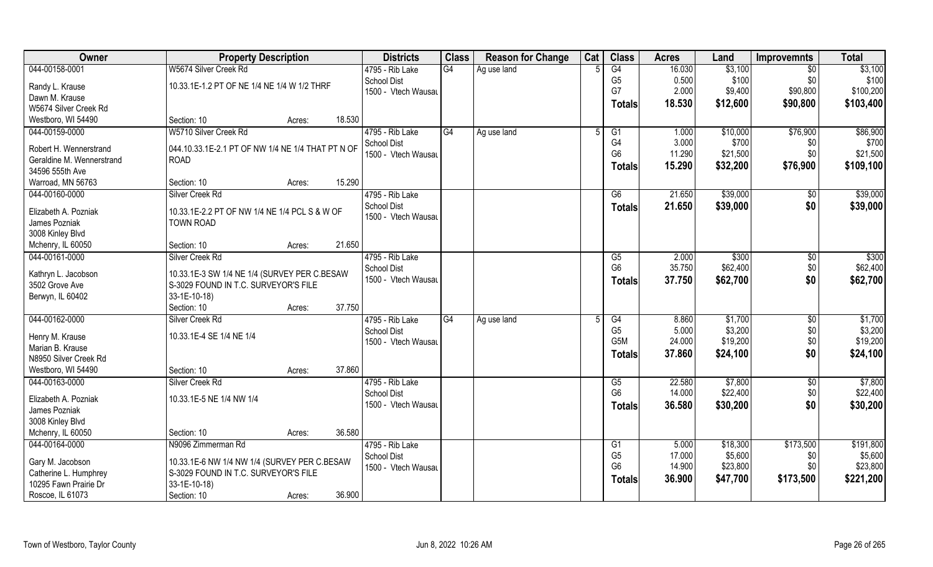| Owner                     | <b>Property Description</b>                               |        |        | <b>Districts</b>    | <b>Class</b> | <b>Reason for Change</b> | Cat | <b>Class</b>    | <b>Acres</b> | Land     | <b>Improvemnts</b> | <b>Total</b> |
|---------------------------|-----------------------------------------------------------|--------|--------|---------------------|--------------|--------------------------|-----|-----------------|--------------|----------|--------------------|--------------|
| 044-00158-0001            | W5674 Silver Creek Rd                                     |        |        | 4795 - Rib Lake     | G4           | Ag use land              |     | G4              | 16.030       | \$3,100  | $\overline{50}$    | \$3,100      |
| Randy L. Krause           | 10.33.1E-1.2 PT OF NE 1/4 NE 1/4 W 1/2 THRF               |        |        | School Dist         |              |                          |     | G <sub>5</sub>  | 0.500        | \$100    | \$0                | \$100        |
| Dawn M. Krause            |                                                           |        |        | 1500 - Vtech Wausau |              |                          |     | G7              | 2.000        | \$9,400  | \$90,800           | \$100,200    |
| W5674 Silver Creek Rd     |                                                           |        |        |                     |              |                          |     | <b>Totals</b>   | 18.530       | \$12,600 | \$90,800           | \$103,400    |
| Westboro, WI 54490        | Section: 10                                               | Acres: | 18.530 |                     |              |                          |     |                 |              |          |                    |              |
| 044-00159-0000            | W5710 Silver Creek Rd                                     |        |        | 4795 - Rib Lake     | G4           | Ag use land              | .5  | $\overline{G1}$ | 1.000        | \$10,000 | \$76,900           | \$86,900     |
|                           |                                                           |        |        | <b>School Dist</b>  |              |                          |     | G4              | 3.000        | \$700    | \$0                | \$700        |
| Robert H. Wennerstrand    | $\vert$ 044.10.33.1E-2.1 PT OF NW 1/4 NE 1/4 THAT PT N OF |        |        | 1500 - Vtech Wausau |              |                          |     | G <sub>6</sub>  | 11.290       | \$21,500 | \$0                | \$21,500     |
| Geraldine M. Wennerstrand | <b>ROAD</b>                                               |        |        |                     |              |                          |     | <b>Totals</b>   | 15.290       | \$32,200 | \$76,900           | \$109,100    |
| 34596 555th Ave           |                                                           |        |        |                     |              |                          |     |                 |              |          |                    |              |
| Warroad, MN 56763         | Section: 10                                               | Acres: | 15.290 |                     |              |                          |     |                 |              |          |                    |              |
| 044-00160-0000            | Silver Creek Rd                                           |        |        | 4795 - Rib Lake     |              |                          |     | G6              | 21.650       | \$39,000 | $\sqrt[6]{30}$     | \$39,000     |
| Elizabeth A. Pozniak      | 10.33.1E-2.2 PT OF NW 1/4 NE 1/4 PCL S & W OF             |        |        | <b>School Dist</b>  |              |                          |     | <b>Totals</b>   | 21.650       | \$39,000 | \$0                | \$39,000     |
| James Pozniak             | <b>TOWN ROAD</b>                                          |        |        | 1500 - Vtech Wausau |              |                          |     |                 |              |          |                    |              |
| 3008 Kinley Blvd          |                                                           |        |        |                     |              |                          |     |                 |              |          |                    |              |
| Mchenry, IL 60050         | Section: 10                                               | Acres: | 21.650 |                     |              |                          |     |                 |              |          |                    |              |
| 044-00161-0000            | Silver Creek Rd                                           |        |        | 4795 - Rib Lake     |              |                          |     | G5              | 2.000        | \$300    | $\sqrt[6]{3}$      | \$300        |
|                           |                                                           |        |        | School Dist         |              |                          |     | G <sub>6</sub>  | 35.750       | \$62,400 | \$0                | \$62,400     |
| Kathryn L. Jacobson       | 10.33.1E-3 SW 1/4 NE 1/4 (SURVEY PER C.BESAW              |        |        | 1500 - Vtech Wausau |              |                          |     | <b>Totals</b>   | 37.750       | \$62,700 | \$0                | \$62,700     |
| 3502 Grove Ave            | S-3029 FOUND IN T.C. SURVEYOR'S FILE                      |        |        |                     |              |                          |     |                 |              |          |                    |              |
| Berwyn, IL 60402          | 33-1E-10-18)                                              |        |        |                     |              |                          |     |                 |              |          |                    |              |
|                           | Section: 10                                               | Acres: | 37.750 |                     |              |                          |     |                 |              |          |                    |              |
| 044-00162-0000            | Silver Creek Rd                                           |        |        | 4795 - Rib Lake     | G4           | Ag use land              | -5  | G4              | 8.860        | \$1,700  | \$0                | \$1,700      |
| Henry M. Krause           | 10.33.1E-4 SE 1/4 NE 1/4                                  |        |        | <b>School Dist</b>  |              |                          |     | G <sub>5</sub>  | 5.000        | \$3,200  | \$0                | \$3,200      |
| Marian B. Krause          |                                                           |        |        | 1500 - Vtech Wausau |              |                          |     | G5M             | 24.000       | \$19,200 | \$0                | \$19,200     |
| N8950 Silver Creek Rd     |                                                           |        |        |                     |              |                          |     | <b>Totals</b>   | 37.860       | \$24,100 | \$0                | \$24,100     |
| Westboro, WI 54490        | Section: 10                                               | Acres: | 37.860 |                     |              |                          |     |                 |              |          |                    |              |
| 044-00163-0000            | Silver Creek Rd                                           |        |        | 4795 - Rib Lake     |              |                          |     | G5              | 22.580       | \$7,800  | \$0                | \$7,800      |
|                           |                                                           |        |        | <b>School Dist</b>  |              |                          |     | G <sub>6</sub>  | 14.000       | \$22,400 | \$0                | \$22,400     |
| Elizabeth A. Pozniak      | 10.33.1E-5 NE 1/4 NW 1/4                                  |        |        | 1500 - Vtech Wausau |              |                          |     | <b>Totals</b>   | 36.580       | \$30,200 | \$0                | \$30,200     |
| James Pozniak             |                                                           |        |        |                     |              |                          |     |                 |              |          |                    |              |
| 3008 Kinley Blvd          |                                                           |        |        |                     |              |                          |     |                 |              |          |                    |              |
| Mchenry, IL 60050         | Section: 10                                               | Acres: | 36.580 |                     |              |                          |     |                 |              |          |                    |              |
| 044-00164-0000            | N9096 Zimmerman Rd                                        |        |        | 4795 - Rib Lake     |              |                          |     | G1              | 5.000        | \$18,300 | \$173,500          | \$191,800    |
| Gary M. Jacobson          | 10.33.1E-6 NW 1/4 NW 1/4 (SURVEY PER C.BESAW              |        |        | <b>School Dist</b>  |              |                          |     | G <sub>5</sub>  | 17.000       | \$5,600  | \$0                | \$5,600      |
| Catherine L. Humphrey     | S-3029 FOUND IN T.C. SURVEYOR'S FILE                      |        |        | 1500 - Vtech Wausau |              |                          |     | G <sub>6</sub>  | 14.900       | \$23,800 | \$0                | \$23,800     |
| 10295 Fawn Prairie Dr     | 33-1E-10-18)                                              |        |        |                     |              |                          |     | <b>Totals</b>   | 36.900       | \$47,700 | \$173,500          | \$221,200    |
| Roscoe, IL 61073          | Section: 10                                               | Acres: | 36.900 |                     |              |                          |     |                 |              |          |                    |              |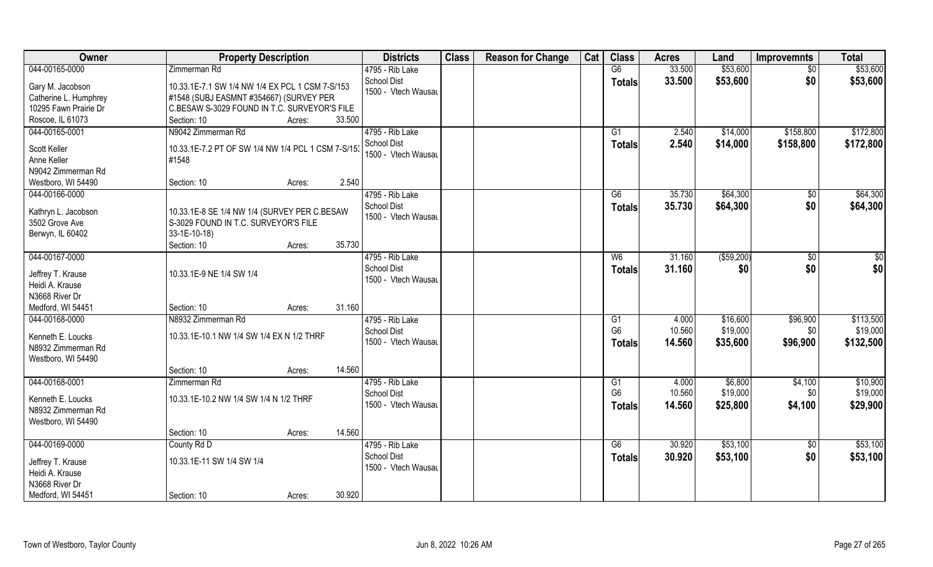| Owner                 | <b>Property Description</b>                        |                  | <b>Districts</b>                          | <b>Class</b> | <b>Reason for Change</b> | Cat | <b>Class</b>   | <b>Acres</b>   | Land                 | <b>Improvemnts</b>     | <b>Total</b>           |
|-----------------------|----------------------------------------------------|------------------|-------------------------------------------|--------------|--------------------------|-----|----------------|----------------|----------------------|------------------------|------------------------|
| 044-00165-0000        | Zimmerman Rd                                       |                  | 4795 - Rib Lake                           |              |                          |     | G6             | 33.500         | \$53,600             | \$0                    | \$53,600               |
| Gary M. Jacobson      | 10.33.1E-7.1 SW 1/4 NW 1/4 EX PCL 1 CSM 7-S/153    |                  | <b>School Dist</b><br>1500 - Vtech Wausau |              |                          |     | <b>Totals</b>  | 33.500         | \$53,600             | \$0                    | \$53,600               |
| Catherine L. Humphrey | #1548 (SUBJ EASMNT #354667) (SURVEY PER            |                  |                                           |              |                          |     |                |                |                      |                        |                        |
| 10295 Fawn Prairie Dr | C.BESAW S-3029 FOUND IN T.C. SURVEYOR'S FILE       |                  |                                           |              |                          |     |                |                |                      |                        |                        |
| Roscoe, IL 61073      | Section: 10                                        | 33.500<br>Acres: |                                           |              |                          |     |                |                |                      |                        |                        |
| 044-00165-0001        | N9042 Zimmerman Rd                                 |                  | 4795 - Rib Lake<br><b>School Dist</b>     |              |                          |     | G1             | 2.540<br>2.540 | \$14,000<br>\$14,000 | \$158,800<br>\$158,800 | \$172,800<br>\$172,800 |
| Scott Keller          | 10.33.1E-7.2 PT OF SW 1/4 NW 1/4 PCL 1 CSM 7-S/153 |                  | 1500 - Vtech Wausau                       |              |                          |     | <b>Totals</b>  |                |                      |                        |                        |
| Anne Keller           | #1548                                              |                  |                                           |              |                          |     |                |                |                      |                        |                        |
| N9042 Zimmerman Rd    |                                                    |                  |                                           |              |                          |     |                |                |                      |                        |                        |
| Westboro, WI 54490    | Section: 10                                        | 2.540<br>Acres:  |                                           |              |                          |     |                |                |                      |                        |                        |
| 044-00166-0000        |                                                    |                  | 4795 - Rib Lake                           |              |                          |     | G6             | 35.730         | \$64,300             | \$0                    | \$64,300               |
| Kathryn L. Jacobson   | 10.33.1E-8 SE 1/4 NW 1/4 (SURVEY PER C.BESAW       |                  | <b>School Dist</b>                        |              |                          |     | <b>Totals</b>  | 35.730         | \$64,300             | \$0                    | \$64,300               |
| 3502 Grove Ave        | S-3029 FOUND IN T.C. SURVEYOR'S FILE               |                  | 1500 - Vtech Wausau                       |              |                          |     |                |                |                      |                        |                        |
| Berwyn, IL 60402      | $33-1E-10-18$                                      |                  |                                           |              |                          |     |                |                |                      |                        |                        |
|                       | Section: 10                                        | 35.730<br>Acres: |                                           |              |                          |     |                |                |                      |                        |                        |
| 044-00167-0000        |                                                    |                  | 4795 - Rib Lake                           |              |                          |     | W <sub>6</sub> | 31.160         | ( \$59,200)          | \$0                    | \$0                    |
|                       |                                                    |                  | <b>School Dist</b>                        |              |                          |     |                | 31.160         | \$0                  | \$0                    |                        |
| Jeffrey T. Krause     | 10.33.1E-9 NE 1/4 SW 1/4                           |                  | 1500 - Vtech Wausau                       |              |                          |     | <b>Totals</b>  |                |                      |                        | \$0                    |
| Heidi A. Krause       |                                                    |                  |                                           |              |                          |     |                |                |                      |                        |                        |
| N3668 River Dr        |                                                    |                  |                                           |              |                          |     |                |                |                      |                        |                        |
| Medford, WI 54451     | Section: 10                                        | 31.160<br>Acres: |                                           |              |                          |     |                |                |                      |                        |                        |
| 044-00168-0000        | N8932 Zimmerman Rd                                 |                  | 4795 - Rib Lake                           |              |                          |     | G1             | 4.000          | \$16,600             | \$96,900               | \$113,500              |
| Kenneth E. Loucks     | 10.33.1E-10.1 NW 1/4 SW 1/4 EX N 1/2 THRF          |                  | <b>School Dist</b>                        |              |                          |     | G <sub>6</sub> | 10.560         | \$19,000             | \$0                    | \$19,000               |
| N8932 Zimmerman Rd    |                                                    |                  | 1500 - Vtech Wausau                       |              |                          |     | <b>Totals</b>  | 14.560         | \$35,600             | \$96,900               | \$132,500              |
| Westboro, WI 54490    |                                                    |                  |                                           |              |                          |     |                |                |                      |                        |                        |
|                       | Section: 10                                        | 14.560<br>Acres: |                                           |              |                          |     |                |                |                      |                        |                        |
| 044-00168-0001        | Zimmerman Rd                                       |                  | 4795 - Rib Lake                           |              |                          |     | G1             | 4.000          | \$6,800              | \$4,100                | \$10,900               |
|                       |                                                    |                  | <b>School Dist</b>                        |              |                          |     | G <sub>6</sub> | 10.560         | \$19,000             | \$0                    | \$19,000               |
| Kenneth E. Loucks     | 10.33.1E-10.2 NW 1/4 SW 1/4 N 1/2 THRF             |                  | 1500 - Vtech Wausau                       |              |                          |     | <b>Totals</b>  | 14.560         | \$25,800             | \$4,100                | \$29,900               |
| N8932 Zimmerman Rd    |                                                    |                  |                                           |              |                          |     |                |                |                      |                        |                        |
| Westboro, WI 54490    |                                                    |                  |                                           |              |                          |     |                |                |                      |                        |                        |
|                       | Section: 10                                        | 14.560<br>Acres: |                                           |              |                          |     |                |                |                      |                        |                        |
| 044-00169-0000        | County Rd D                                        |                  | 4795 - Rib Lake                           |              |                          |     | G6             | 30.920         | \$53,100             | $\sqrt{6}$             | \$53,100               |
| Jeffrey T. Krause     | 10.33.1E-11 SW 1/4 SW 1/4                          |                  | <b>School Dist</b>                        |              |                          |     | <b>Totals</b>  | 30.920         | \$53,100             | \$0                    | \$53,100               |
| Heidi A. Krause       |                                                    |                  | 1500 - Vtech Wausau                       |              |                          |     |                |                |                      |                        |                        |
| N3668 River Dr        |                                                    |                  |                                           |              |                          |     |                |                |                      |                        |                        |
| Medford, WI 54451     | Section: 10                                        | 30.920<br>Acres: |                                           |              |                          |     |                |                |                      |                        |                        |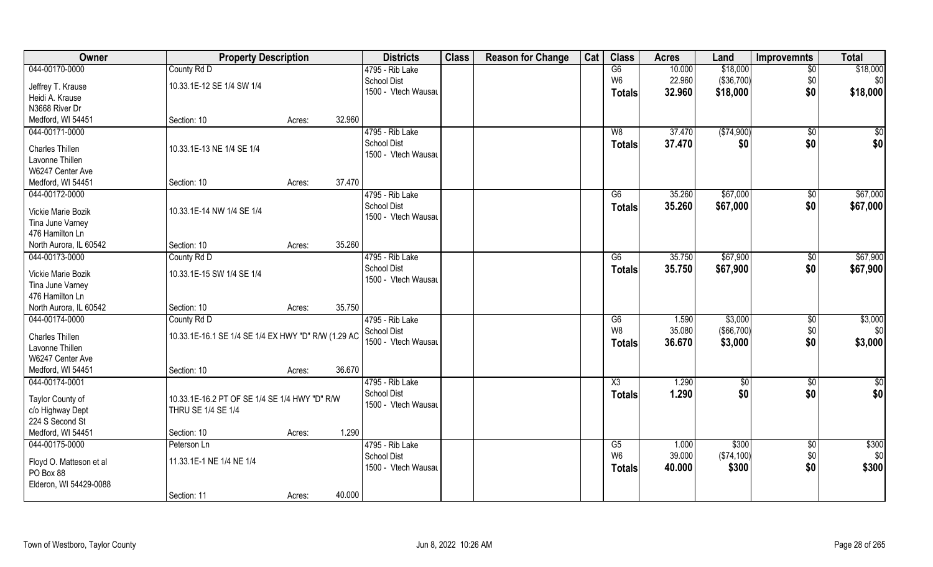| Owner                   | <b>Property Description</b>                         |        |        | <b>Districts</b>                          | <b>Class</b> | <b>Reason for Change</b> | Cat | <b>Class</b>   | <b>Acres</b> | Land         | <b>Improvemnts</b> | <b>Total</b>    |
|-------------------------|-----------------------------------------------------|--------|--------|-------------------------------------------|--------------|--------------------------|-----|----------------|--------------|--------------|--------------------|-----------------|
| 044-00170-0000          | County Rd D                                         |        |        | 4795 - Rib Lake                           |              |                          |     | G6             | 10.000       | \$18,000     | $\overline{50}$    | \$18,000        |
| Jeffrey T. Krause       | 10.33.1E-12 SE 1/4 SW 1/4                           |        |        | School Dist                               |              |                          |     | W <sub>6</sub> | 22.960       | (\$36,700)   | \$0                | \$0             |
| Heidi A. Krause         |                                                     |        |        | 1500 - Vtech Wausau                       |              |                          |     | <b>Totals</b>  | 32.960       | \$18,000     | \$0                | \$18,000        |
| N3668 River Dr          |                                                     |        |        |                                           |              |                          |     |                |              |              |                    |                 |
| Medford, WI 54451       | Section: 10                                         | Acres: | 32.960 |                                           |              |                          |     |                |              |              |                    |                 |
| 044-00171-0000          |                                                     |        |        | 4795 - Rib Lake                           |              |                          |     | W8             | 37.470       | ( \$74,900)  | $\overline{50}$    | $\sqrt{50}$     |
|                         |                                                     |        |        | <b>School Dist</b>                        |              |                          |     | <b>Totals</b>  | 37.470       | \$0          | \$0                | \$0             |
| Charles Thillen         | 10.33.1E-13 NE 1/4 SE 1/4                           |        |        | 1500 - Vtech Wausau                       |              |                          |     |                |              |              |                    |                 |
| Lavonne Thillen         |                                                     |        |        |                                           |              |                          |     |                |              |              |                    |                 |
| W6247 Center Ave        |                                                     |        |        |                                           |              |                          |     |                |              |              |                    |                 |
| Medford, WI 54451       | Section: 10                                         | Acres: | 37.470 |                                           |              |                          |     |                |              |              |                    |                 |
| 044-00172-0000          |                                                     |        |        | 4795 - Rib Lake                           |              |                          |     | G6             | 35.260       | \$67,000     | \$0                | \$67,000        |
| Vickie Marie Bozik      | 10.33.1E-14 NW 1/4 SE 1/4                           |        |        | <b>School Dist</b><br>1500 - Vtech Wausau |              |                          |     | <b>Totals</b>  | 35.260       | \$67,000     | \$0                | \$67,000        |
| Tina June Varney        |                                                     |        |        |                                           |              |                          |     |                |              |              |                    |                 |
| 476 Hamilton Ln         |                                                     |        |        |                                           |              |                          |     |                |              |              |                    |                 |
| North Aurora, IL 60542  | Section: 10                                         | Acres: | 35.260 |                                           |              |                          |     |                |              |              |                    |                 |
| 044-00173-0000          | County Rd D                                         |        |        | 4795 - Rib Lake                           |              |                          |     | G6             | 35.750       | \$67,900     | $\sqrt[6]{3}$      | \$67,900        |
| Vickie Marie Bozik      | 10.33.1E-15 SW 1/4 SE 1/4                           |        |        | <b>School Dist</b>                        |              |                          |     | <b>Totals</b>  | 35.750       | \$67,900     | \$0                | \$67,900        |
| Tina June Varney        |                                                     |        |        | 1500 - Vtech Wausau                       |              |                          |     |                |              |              |                    |                 |
| 476 Hamilton Ln         |                                                     |        |        |                                           |              |                          |     |                |              |              |                    |                 |
| North Aurora, IL 60542  | Section: 10                                         | Acres: | 35.750 |                                           |              |                          |     |                |              |              |                    |                 |
| 044-00174-0000          | County Rd D                                         |        |        | 4795 - Rib Lake                           |              |                          |     | G6             | 1.590        | \$3,000      | \$0                | \$3,000         |
|                         |                                                     |        |        | School Dist                               |              |                          |     | W <sub>8</sub> | 35.080       | ( \$66, 700) | \$0                | \$0             |
| Charles Thillen         | 10.33.1E-16.1 SE 1/4 SE 1/4 EX HWY "D" R/W (1.29 AC |        |        | 1500 - Vtech Wausau                       |              |                          |     | <b>Totals</b>  | 36.670       | \$3,000      | \$0                | \$3,000         |
| Lavonne Thillen         |                                                     |        |        |                                           |              |                          |     |                |              |              |                    |                 |
| W6247 Center Ave        |                                                     |        |        |                                           |              |                          |     |                |              |              |                    |                 |
| Medford, WI 54451       | Section: 10                                         | Acres: | 36.670 |                                           |              |                          |     |                |              |              |                    |                 |
| 044-00174-0001          |                                                     |        |        | 4795 - Rib Lake                           |              |                          |     | X3             | 1.290        | \$0          | \$0                | $\overline{50}$ |
| Taylor County of        | 10.33.1E-16.2 PT OF SE 1/4 SE 1/4 HWY "D" R/W       |        |        | School Dist<br>1500 - Vtech Wausau        |              |                          |     | <b>Totals</b>  | 1.290        | \$0          | \$0                | \$0             |
| c/o Highway Dept        | THRU SE 1/4 SE 1/4                                  |        |        |                                           |              |                          |     |                |              |              |                    |                 |
| 224 S Second St         |                                                     |        |        |                                           |              |                          |     |                |              |              |                    |                 |
| Medford, WI 54451       | Section: 10                                         | Acres: | 1.290  |                                           |              |                          |     |                |              |              |                    |                 |
| 044-00175-0000          | Peterson Ln                                         |        |        | 4795 - Rib Lake                           |              |                          |     | G5             | 1.000        | \$300        | $\sqrt{$0}$        | \$300           |
| Floyd O. Matteson et al | 11.33.1E-1 NE 1/4 NE 1/4                            |        |        | School Dist                               |              |                          |     | W <sub>6</sub> | 39.000       | (\$74,100)   | \$0                | \$0             |
| PO Box 88               |                                                     |        |        | 1500 - Vtech Wausau                       |              |                          |     | <b>Totals</b>  | 40.000       | \$300        | \$0                | \$300           |
| Elderon, WI 54429-0088  |                                                     |        |        |                                           |              |                          |     |                |              |              |                    |                 |
|                         | Section: 11                                         | Acres: | 40.000 |                                           |              |                          |     |                |              |              |                    |                 |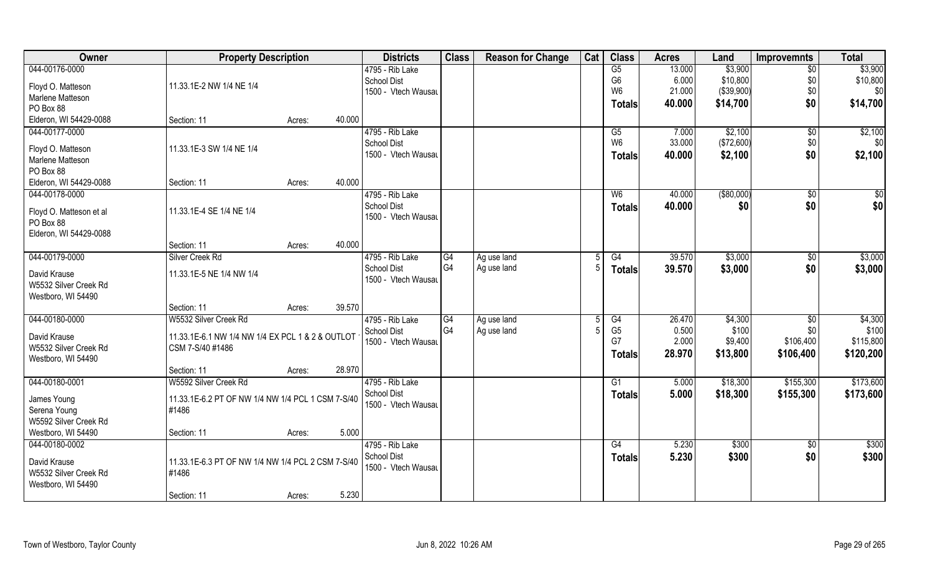| Owner                   | <b>Property Description</b>                       |        | <b>Districts</b>    | <b>Class</b>         | <b>Reason for Change</b> | Cat | <b>Class</b>   | <b>Acres</b> | Land        | <b>Improvemnts</b> | <b>Total</b> |
|-------------------------|---------------------------------------------------|--------|---------------------|----------------------|--------------------------|-----|----------------|--------------|-------------|--------------------|--------------|
| 044-00176-0000          |                                                   |        | 4795 - Rib Lake     |                      |                          |     | G5             | 13.000       | \$3,900     | $\sqrt{6}$         | \$3,900      |
| Floyd O. Matteson       | 11.33.1E-2 NW 1/4 NE 1/4                          |        | <b>School Dist</b>  |                      |                          |     | G <sub>6</sub> | 6.000        | \$10,800    | \$0                | \$10,800     |
| Marlene Matteson        |                                                   |        | 1500 - Vtech Wausau |                      |                          |     | W <sub>6</sub> | 21.000       | (\$39,900)  | \$0                | \$0          |
| PO Box 88               |                                                   |        |                     |                      |                          |     | <b>Totals</b>  | 40.000       | \$14,700    | \$0                | \$14,700     |
| Elderon, WI 54429-0088  | Section: 11                                       | Acres: | 40.000              |                      |                          |     |                |              |             |                    |              |
| 044-00177-0000          |                                                   |        | 4795 - Rib Lake     |                      |                          |     | G5             | 7.000        | \$2,100     | \$0                | \$2,100      |
|                         |                                                   |        | <b>School Dist</b>  |                      |                          |     | W <sub>6</sub> | 33.000       | (\$72,600)  |                    | \$0          |
| Floyd O. Matteson       | 11.33.1E-3 SW 1/4 NE 1/4                          |        | 1500 - Vtech Wausau |                      |                          |     |                |              |             | \$0                |              |
| Marlene Matteson        |                                                   |        |                     |                      |                          |     | <b>Totals</b>  | 40.000       | \$2,100     | \$0                | \$2,100      |
| PO Box 88               |                                                   |        |                     |                      |                          |     |                |              |             |                    |              |
| Elderon, WI 54429-0088  | Section: 11                                       | Acres: | 40.000              |                      |                          |     |                |              |             |                    |              |
| 044-00178-0000          |                                                   |        | 4795 - Rib Lake     |                      |                          |     | W <sub>6</sub> | 40.000       | ( \$80,000) | \$0                | \$0          |
|                         |                                                   |        | <b>School Dist</b>  |                      |                          |     | <b>Totals</b>  | 40.000       | \$0         | \$0                | \$0          |
| Floyd O. Matteson et al | 11.33.1E-4 SE 1/4 NE 1/4                          |        | 1500 - Vtech Wausau |                      |                          |     |                |              |             |                    |              |
| PO Box 88               |                                                   |        |                     |                      |                          |     |                |              |             |                    |              |
| Elderon, WI 54429-0088  |                                                   |        | 40.000              |                      |                          |     |                |              |             |                    |              |
|                         | Section: 11                                       | Acres: |                     |                      |                          |     |                |              |             |                    |              |
| 044-00179-0000          | Silver Creek Rd                                   |        | 4795 - Rib Lake     | G4<br>G <sub>4</sub> | Ag use land              |     | G4             | 39.570       | \$3,000     | \$0                | \$3,000      |
| David Krause            | 11.33.1E-5 NE 1/4 NW 1/4                          |        | <b>School Dist</b>  |                      | Ag use land              |     | <b>Totals</b>  | 39.570       | \$3,000     | \$0                | \$3,000      |
| W5532 Silver Creek Rd   |                                                   |        | 1500 - Vtech Wausau |                      |                          |     |                |              |             |                    |              |
| Westboro, WI 54490      |                                                   |        |                     |                      |                          |     |                |              |             |                    |              |
|                         | Section: 11                                       | Acres: | 39.570              |                      |                          |     |                |              |             |                    |              |
| 044-00180-0000          | W5532 Silver Creek Rd                             |        | 4795 - Rib Lake     | G4                   | Ag use land              |     | G4             | 26.470       | \$4,300     | $\sqrt[6]{30}$     | \$4,300      |
|                         |                                                   |        | <b>School Dist</b>  | G <sub>4</sub>       | Ag use land              |     | G <sub>5</sub> | 0.500        | \$100       | \$0                | \$100        |
| David Krause            | 11.33.1E-6.1 NW 1/4 NW 1/4 EX PCL 1 & 2 & OUTLOT  |        | 1500 - Vtech Wausau |                      |                          |     | G7             | 2.000        | \$9,400     | \$106,400          | \$115,800    |
| W5532 Silver Creek Rd   | CSM 7-S/40 #1486                                  |        |                     |                      |                          |     | Totals         | 28.970       | \$13,800    | \$106,400          | \$120,200    |
| Westboro, WI 54490      |                                                   |        |                     |                      |                          |     |                |              |             |                    |              |
|                         | Section: 11                                       | Acres: | 28.970              |                      |                          |     |                |              |             |                    |              |
| 044-00180-0001          | W5592 Silver Creek Rd                             |        | 4795 - Rib Lake     |                      |                          |     | G1             | 5.000        | \$18,300    | \$155,300          | \$173,600    |
| James Young             | 11.33.1E-6.2 PT OF NW 1/4 NW 1/4 PCL 1 CSM 7-S/40 |        | School Dist         |                      |                          |     | <b>Totals</b>  | 5.000        | \$18,300    | \$155,300          | \$173,600    |
| Serena Young            | #1486                                             |        | 1500 - Vtech Wausau |                      |                          |     |                |              |             |                    |              |
| W5592 Silver Creek Rd   |                                                   |        |                     |                      |                          |     |                |              |             |                    |              |
| Westboro, WI 54490      | Section: 11                                       | Acres: | 5.000               |                      |                          |     |                |              |             |                    |              |
| 044-00180-0002          |                                                   |        | 4795 - Rib Lake     |                      |                          |     | G4             | 5.230        | \$300       | \$0                | \$300        |
|                         |                                                   |        | <b>School Dist</b>  |                      |                          |     | <b>Totals</b>  | 5.230        | \$300       | \$0                | \$300        |
| David Krause            | 11.33.1E-6.3 PT OF NW 1/4 NW 1/4 PCL 2 CSM 7-S/40 |        | 1500 - Vtech Wausau |                      |                          |     |                |              |             |                    |              |
| W5532 Silver Creek Rd   | #1486                                             |        |                     |                      |                          |     |                |              |             |                    |              |
| Westboro, WI 54490      |                                                   |        |                     |                      |                          |     |                |              |             |                    |              |
|                         | Section: 11                                       | Acres: | 5.230               |                      |                          |     |                |              |             |                    |              |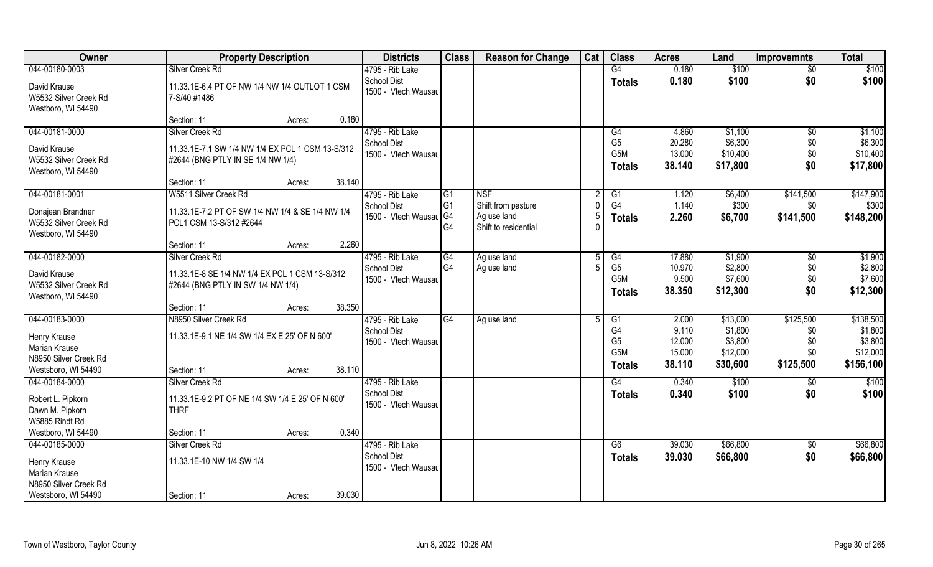| Owner                                                                                           | <b>Property Description</b>                                                                               | <b>Districts</b>                                                | <b>Class</b>               | <b>Reason for Change</b>                                                | Cat | <b>Class</b>                                                                | <b>Acres</b>                                 | Land                                                   | <b>Improvemnts</b>                          | <b>Total</b>                                             |
|-------------------------------------------------------------------------------------------------|-----------------------------------------------------------------------------------------------------------|-----------------------------------------------------------------|----------------------------|-------------------------------------------------------------------------|-----|-----------------------------------------------------------------------------|----------------------------------------------|--------------------------------------------------------|---------------------------------------------|----------------------------------------------------------|
| 044-00180-0003                                                                                  | Silver Creek Rd                                                                                           | 4795 - Rib Lake                                                 |                            |                                                                         |     | G4                                                                          | 0.180                                        | \$100                                                  | $\overline{50}$                             | \$100                                                    |
| David Krause<br>W5532 Silver Creek Rd<br>Westboro, WI 54490                                     | 11.33.1E-6.4 PT OF NW 1/4 NW 1/4 OUTLOT 1 CSM<br>7-S/40 #1486                                             | <b>School Dist</b><br>1500 - Vtech Wausau                       |                            |                                                                         |     | <b>Totals</b>                                                               | 0.180                                        | \$100                                                  | \$0                                         | \$100                                                    |
|                                                                                                 | 0.180<br>Section: 11<br>Acres:                                                                            |                                                                 |                            |                                                                         |     |                                                                             |                                              |                                                        |                                             |                                                          |
| 044-00181-0000<br>David Krause                                                                  | Silver Creek Rd<br>11.33.1E-7.1 SW 1/4 NW 1/4 EX PCL 1 CSM 13-S/312                                       | 4795 - Rib Lake<br>School Dist                                  |                            |                                                                         |     | G4<br>G <sub>5</sub>                                                        | 4.860<br>20.280                              | \$1,100<br>\$6,300                                     | \$0<br>\$0                                  | \$1,100<br>\$6,300                                       |
| W5532 Silver Creek Rd<br>Westboro, WI 54490                                                     | #2644 (BNG PTLY IN SE 1/4 NW 1/4)                                                                         | 1500 - Vtech Wausau                                             |                            |                                                                         |     | G5M<br><b>Totals</b>                                                        | 13.000<br>38.140                             | \$10,400<br>\$17,800                                   | \$0<br>\$0                                  | \$10,400<br>\$17,800                                     |
|                                                                                                 | 38.140<br>Section: 11<br>Acres:                                                                           |                                                                 |                            |                                                                         |     |                                                                             |                                              |                                                        |                                             |                                                          |
| 044-00181-0001<br>Donajean Brandner<br>W5532 Silver Creek Rd<br>Westboro, WI 54490              | W5511 Silver Creek Rd<br>11.33.1E-7.2 PT OF SW 1/4 NW 1/4 & SE 1/4 NW 1/4<br>PCL1 CSM 13-S/312 #2644      | 4795 - Rib Lake<br><b>School Dist</b><br>1500 - Vtech Wausal G4 | G1<br>G <sub>1</sub><br>G4 | <b>NSF</b><br>Shift from pasture<br>Ag use land<br>Shift to residential | 5   | G1<br>G <sub>4</sub><br><b>Totals</b>                                       | 1.120<br>1.140<br>2.260                      | \$6,400<br>\$300<br>\$6,700                            | \$141,500<br>\$0<br>\$141,500               | \$147,900<br>\$300<br>\$148,200                          |
|                                                                                                 | 2.260<br>Section: 11<br>Acres:                                                                            |                                                                 |                            |                                                                         |     |                                                                             |                                              |                                                        |                                             |                                                          |
| 044-00182-0000                                                                                  | Silver Creek Rd                                                                                           | 4795 - Rib Lake                                                 | G4                         | Ag use land                                                             |     | G4                                                                          | 17.880                                       | \$1,900                                                | \$0                                         | \$1,900                                                  |
| David Krause<br>W5532 Silver Creek Rd<br>Westboro, WI 54490                                     | 11.33.1E-8 SE 1/4 NW 1/4 EX PCL 1 CSM 13-S/312<br>#2644 (BNG PTLY IN SW 1/4 NW 1/4)                       | <b>School Dist</b><br>1500 - Vtech Wausau                       | G4                         | Ag use land                                                             |     | G <sub>5</sub><br>G5M<br><b>Totals</b>                                      | 10.970<br>9.500<br>38.350                    | \$2,800<br>\$7,600<br>\$12,300                         | \$0<br>\$0<br>\$0                           | \$2,800<br>\$7,600<br>\$12,300                           |
|                                                                                                 | 38.350<br>Section: 11<br>Acres:                                                                           |                                                                 |                            |                                                                         |     |                                                                             |                                              |                                                        |                                             |                                                          |
| 044-00183-0000<br>Henry Krause<br>Marian Krause<br>N8950 Silver Creek Rd<br>Westsboro, WI 54490 | N8950 Silver Creek Rd<br>11.33.1E-9.1 NE 1/4 SW 1/4 EX E 25' OF N 600'<br>38.110<br>Section: 11<br>Acres: | 4795 - Rib Lake<br><b>School Dist</b><br>1500 - Vtech Wausau    | G4                         | Ag use land                                                             | 5   | G1<br>G <sub>4</sub><br>G <sub>5</sub><br>G <sub>5</sub> M<br><b>Totals</b> | 2.000<br>9.110<br>12.000<br>15.000<br>38.110 | \$13,000<br>\$1,800<br>\$3,800<br>\$12,000<br>\$30,600 | \$125,500<br>\$0<br>\$0<br>\$0<br>\$125,500 | \$138,500<br>\$1,800<br>\$3,800<br>\$12,000<br>\$156,100 |
| 044-00184-0000                                                                                  | Silver Creek Rd                                                                                           | 4795 - Rib Lake                                                 |                            |                                                                         |     | G4                                                                          | 0.340                                        | \$100                                                  | \$0                                         | \$100                                                    |
| Robert L. Pipkorn<br>Dawn M. Pipkorn<br>W5885 Rindt Rd                                          | 11.33.1E-9.2 PT OF NE 1/4 SW 1/4 E 25' OF N 600'<br><b>THRF</b>                                           | School Dist<br>1500 - Vtech Wausau                              |                            |                                                                         |     | <b>Totals</b>                                                               | 0.340                                        | \$100                                                  | \$0                                         | \$100                                                    |
| Westboro, WI 54490                                                                              | 0.340<br>Section: 11<br>Acres:                                                                            |                                                                 |                            |                                                                         |     |                                                                             |                                              |                                                        |                                             |                                                          |
| 044-00185-0000<br>Henry Krause<br>Marian Krause                                                 | Silver Creek Rd<br>11.33.1E-10 NW 1/4 SW 1/4                                                              | 4795 - Rib Lake<br><b>School Dist</b><br>1500 - Vtech Wausau    |                            |                                                                         |     | G6<br><b>Totals</b>                                                         | 39.030<br>39.030                             | \$66,800<br>\$66,800                                   | $\sqrt{$0}$<br>\$0                          | \$66,800<br>\$66,800                                     |
| N8950 Silver Creek Rd<br>Westsboro, WI 54490                                                    | 39.030<br>Section: 11<br>Acres:                                                                           |                                                                 |                            |                                                                         |     |                                                                             |                                              |                                                        |                                             |                                                          |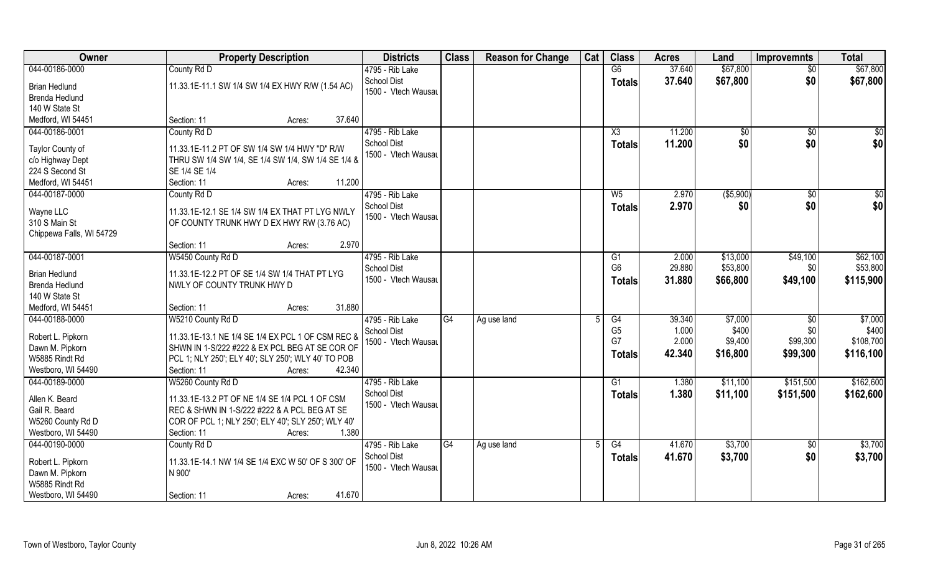| Owner                    | <b>Property Description</b>                        | <b>Districts</b>    | <b>Class</b>    | <b>Reason for Change</b> | Cat | <b>Class</b>   | <b>Acres</b> | Land            | <b>Improvemnts</b> | <b>Total</b>    |
|--------------------------|----------------------------------------------------|---------------------|-----------------|--------------------------|-----|----------------|--------------|-----------------|--------------------|-----------------|
| 044-00186-0000           | County Rd D                                        | 4795 - Rib Lake     |                 |                          |     | G6             | 37.640       | \$67,800        | $\overline{50}$    | \$67,800        |
| <b>Brian Hedlund</b>     | 11.33.1E-11.1 SW 1/4 SW 1/4 EX HWY R/W (1.54 AC)   | <b>School Dist</b>  |                 |                          |     | <b>Totals</b>  | 37.640       | \$67,800        | \$0                | \$67,800        |
| <b>Brenda Hedlund</b>    |                                                    | 1500 - Vtech Wausau |                 |                          |     |                |              |                 |                    |                 |
| 140 W State St           |                                                    |                     |                 |                          |     |                |              |                 |                    |                 |
| Medford, WI 54451        | 37.640<br>Section: 11<br>Acres:                    |                     |                 |                          |     |                |              |                 |                    |                 |
| 044-00186-0001           | County Rd D                                        | 4795 - Rib Lake     |                 |                          |     | X3             | 11.200       | $\overline{50}$ | \$0                | \$0             |
|                          |                                                    | <b>School Dist</b>  |                 |                          |     | Totals         | 11.200       | \$0             | \$0                | \$0             |
| Taylor County of         | 11.33.1E-11.2 PT OF SW 1/4 SW 1/4 HWY "D" R/W      | 1500 - Vtech Wausau |                 |                          |     |                |              |                 |                    |                 |
| c/o Highway Dept         | THRU SW 1/4 SW 1/4, SE 1/4 SW 1/4, SW 1/4 SE 1/4 & |                     |                 |                          |     |                |              |                 |                    |                 |
| 224 S Second St          | SE 1/4 SE 1/4                                      |                     |                 |                          |     |                |              |                 |                    |                 |
| Medford, WI 54451        | 11.200<br>Section: 11<br>Acres:                    |                     |                 |                          |     |                |              |                 |                    |                 |
| 044-00187-0000           | County Rd D                                        | 4795 - Rib Lake     |                 |                          |     | $W_5$          | 2.970        | ( \$5,900)      | \$0                | $\overline{50}$ |
| Wayne LLC                | 11.33.1E-12.1 SE 1/4 SW 1/4 EX THAT PT LYG NWLY    | School Dist         |                 |                          |     | <b>Totals</b>  | 2.970        | \$0             | \$0                | \$0             |
| 310 S Main St            | OF COUNTY TRUNK HWY D EX HWY RW (3.76 AC)          | 1500 - Vtech Wausau |                 |                          |     |                |              |                 |                    |                 |
| Chippewa Falls, WI 54729 |                                                    |                     |                 |                          |     |                |              |                 |                    |                 |
|                          | 2.970<br>Section: 11<br>Acres:                     |                     |                 |                          |     |                |              |                 |                    |                 |
| 044-00187-0001           | W5450 County Rd D                                  | 4795 - Rib Lake     |                 |                          |     | G1             | 2.000        | \$13,000        | \$49,100           | \$62,100        |
|                          |                                                    | <b>School Dist</b>  |                 |                          |     | G <sub>6</sub> | 29.880       | \$53,800        | \$0                | \$53,800        |
| <b>Brian Hedlund</b>     | 11.33.1E-12.2 PT OF SE 1/4 SW 1/4 THAT PT LYG      | 1500 - Vtech Wausau |                 |                          |     | <b>Totals</b>  | 31.880       | \$66,800        | \$49,100           | \$115,900       |
| <b>Brenda Hedlund</b>    | NWLY OF COUNTY TRUNK HWY D                         |                     |                 |                          |     |                |              |                 |                    |                 |
| 140 W State St           |                                                    |                     |                 |                          |     |                |              |                 |                    |                 |
| Medford, WI 54451        | 31.880<br>Section: 11<br>Acres:                    |                     |                 |                          |     |                |              |                 |                    |                 |
| 044-00188-0000           | W5210 County Rd D                                  | 4795 - Rib Lake     | $\overline{G4}$ | Ag use land              | 5   | G4             | 39.340       | \$7,000         | \$0                | \$7,000         |
| Robert L. Pipkorn        | 11.33.1E-13.1 NE 1/4 SE 1/4 EX PCL 1 OF CSM REC &  | <b>School Dist</b>  |                 |                          |     | G <sub>5</sub> | 1.000        | \$400           | \$0                | \$400           |
| Dawn M. Pipkorn          | SHWN IN 1-S/222 #222 & EX PCL BEG AT SE COR OF     | 1500 - Vtech Wausau |                 |                          |     | G7             | 2.000        | \$9,400         | \$99,300           | \$108,700       |
| W5885 Rindt Rd           | PCL 1; NLY 250'; ELY 40'; SLY 250'; WLY 40' TO POB |                     |                 |                          |     | Totals         | 42.340       | \$16,800        | \$99,300           | \$116,100       |
| Westboro, WI 54490       | Section: 11<br>42.340<br>Acres:                    |                     |                 |                          |     |                |              |                 |                    |                 |
| 044-00189-0000           | W5260 County Rd D                                  | 4795 - Rib Lake     |                 |                          |     | G1             | 1.380        | \$11,100        | \$151,500          | \$162,600       |
|                          |                                                    | <b>School Dist</b>  |                 |                          |     | <b>Totals</b>  | 1.380        | \$11,100        | \$151,500          | \$162,600       |
| Allen K. Beard           | 11.33.1E-13.2 PT OF NE 1/4 SE 1/4 PCL 1 OF CSM     | 1500 - Vtech Wausau |                 |                          |     |                |              |                 |                    |                 |
| Gail R. Beard            | REC & SHWN IN 1-S/222 #222 & A PCL BEG AT SE       |                     |                 |                          |     |                |              |                 |                    |                 |
| W5260 County Rd D        | COR OF PCL 1; NLY 250'; ELY 40'; SLY 250'; WLY 40' |                     |                 |                          |     |                |              |                 |                    |                 |
| Westboro, WI 54490       | 1.380<br>Section: 11<br>Acres:                     |                     |                 |                          |     |                |              |                 |                    |                 |
| 044-00190-0000           | County Rd D                                        | 4795 - Rib Lake     | G4              | Ag use land              | 5   | G4             | 41.670       | \$3,700         | $\sqrt{$0}$        | \$3,700         |
| Robert L. Pipkorn        | 11.33.1E-14.1 NW 1/4 SE 1/4 EXC W 50' OF S 300' OF | <b>School Dist</b>  |                 |                          |     | <b>Totals</b>  | 41.670       | \$3,700         | \$0                | \$3,700         |
| Dawn M. Pipkorn          | N 900'                                             | 1500 - Vtech Wausau |                 |                          |     |                |              |                 |                    |                 |
| W5885 Rindt Rd           |                                                    |                     |                 |                          |     |                |              |                 |                    |                 |
| Westboro, WI 54490       | 41.670<br>Section: 11<br>Acres:                    |                     |                 |                          |     |                |              |                 |                    |                 |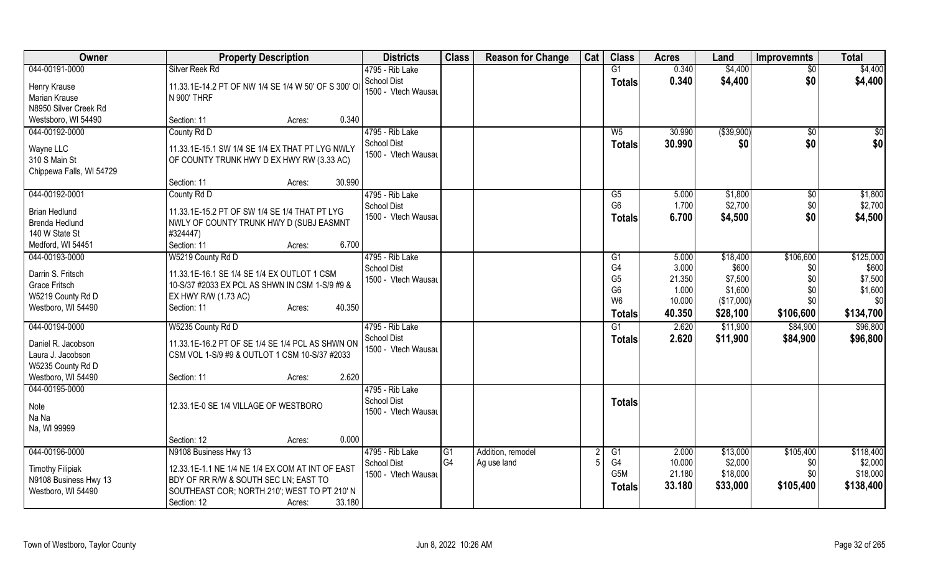| Owner                                   | <b>Property Description</b>                         | <b>Districts</b>    | <b>Class</b>   | <b>Reason for Change</b> | Cat | <b>Class</b>     | <b>Acres</b> | Land        | <b>Improvemnts</b> | <b>Total</b>  |
|-----------------------------------------|-----------------------------------------------------|---------------------|----------------|--------------------------|-----|------------------|--------------|-------------|--------------------|---------------|
| 044-00191-0000                          | Silver Reek Rd                                      | 4795 - Rib Lake     |                |                          |     | G1               | 0.340        | \$4,400     | \$0                | \$4,400       |
| Henry Krause                            | 11.33.1E-14.2 PT OF NW 1/4 SE 1/4 W 50' OF S 300' O | School Dist         |                |                          |     | <b>Totals</b>    | 0.340        | \$4,400     | \$0                | \$4,400       |
| Marian Krause                           | N 900' THRF                                         | 1500 - Vtech Wausau |                |                          |     |                  |              |             |                    |               |
| N8950 Silver Creek Rd                   |                                                     |                     |                |                          |     |                  |              |             |                    |               |
| Westsboro, WI 54490                     | 0.340<br>Section: 11<br>Acres:                      |                     |                |                          |     |                  |              |             |                    |               |
| 044-00192-0000                          | County Rd D                                         | 4795 - Rib Lake     |                |                          |     | $W_5$            | 30.990       | ( \$39,900) | \$0                | $\frac{1}{6}$ |
|                                         |                                                     | <b>School Dist</b>  |                |                          |     | <b>Totals</b>    | 30.990       | \$0         | \$0                | \$0           |
| Wayne LLC                               | 11.33.1E-15.1 SW 1/4 SE 1/4 EX THAT PT LYG NWLY     | 1500 - Vtech Wausau |                |                          |     |                  |              |             |                    |               |
| 310 S Main St                           | OF COUNTY TRUNK HWY D EX HWY RW (3.33 AC)           |                     |                |                          |     |                  |              |             |                    |               |
| Chippewa Falls, WI 54729                |                                                     |                     |                |                          |     |                  |              |             |                    |               |
|                                         | 30.990<br>Section: 11<br>Acres:                     |                     |                |                          |     |                  |              |             |                    |               |
| 044-00192-0001                          | County Rd D                                         | 4795 - Rib Lake     |                |                          |     | $\overline{G5}$  | 5.000        | \$1,800     | $\sqrt[6]{}$       | \$1,800       |
| <b>Brian Hedlund</b>                    | 11.33.1E-15.2 PT OF SW 1/4 SE 1/4 THAT PT LYG       | <b>School Dist</b>  |                |                          |     | G <sub>6</sub>   | 1.700        | \$2,700     | \$0                | \$2,700       |
| Brenda Hedlund                          | NWLY OF COUNTY TRUNK HWY D (SUBJ EASMNT             | 1500 - Vtech Wausau |                |                          |     | <b>Totals</b>    | 6.700        | \$4,500     | \$0                | \$4,500       |
| 140 W State St                          | #324447)                                            |                     |                |                          |     |                  |              |             |                    |               |
| Medford, WI 54451                       | 6.700<br>Section: 11<br>Acres:                      |                     |                |                          |     |                  |              |             |                    |               |
| 044-00193-0000                          | W5219 County Rd D                                   | 4795 - Rib Lake     |                |                          |     | G <sub>1</sub>   | 5.000        | \$18,400    | \$106,600          | \$125,000     |
|                                         |                                                     | School Dist         |                |                          |     | G4               | 3.000        | \$600       | \$0                | \$600         |
| Darrin S. Fritsch                       | 11.33.1E-16.1 SE 1/4 SE 1/4 EX OUTLOT 1 CSM         | 1500 - Vtech Wausau |                |                          |     | G <sub>5</sub>   | 21.350       | \$7,500     | \$0                | \$7,500       |
| <b>Grace Fritsch</b>                    | 10-S/37 #2033 EX PCL AS SHWN IN CSM 1-S/9 #9 &      |                     |                |                          |     | G <sub>6</sub>   | 1.000        | \$1,600     | \$0                | \$1,600       |
| W5219 County Rd D<br>Westboro, WI 54490 | EX HWY R/W (1.73 AC)<br>40.350                      |                     |                |                          |     | W <sub>6</sub>   | 10.000       | (\$17,000)  | \$0                | \$0           |
|                                         | Section: 11<br>Acres:                               |                     |                |                          |     | <b>Totals</b>    | 40.350       | \$28,100    | \$106,600          | \$134,700     |
| 044-00194-0000                          | W5235 County Rd D                                   | 4795 - Rib Lake     |                |                          |     | G1               | 2.620        | \$11,900    | \$84,900           | \$96,800      |
| Daniel R. Jacobson                      | 11.33.1E-16.2 PT OF SE 1/4 SE 1/4 PCL AS SHWN ON    | School Dist         |                |                          |     | <b>Totals</b>    | 2.620        | \$11,900    | \$84,900           | \$96,800      |
| Laura J. Jacobson                       | CSM VOL 1-S/9 #9 & OUTLOT 1 CSM 10-S/37 #2033       | 1500 - Vtech Wausau |                |                          |     |                  |              |             |                    |               |
| W5235 County Rd D                       |                                                     |                     |                |                          |     |                  |              |             |                    |               |
| Westboro, WI 54490                      | 2.620<br>Section: 11<br>Acres:                      |                     |                |                          |     |                  |              |             |                    |               |
| 044-00195-0000                          |                                                     | 4795 - Rib Lake     |                |                          |     |                  |              |             |                    |               |
|                                         |                                                     | <b>School Dist</b>  |                |                          |     | <b>Totals</b>    |              |             |                    |               |
| Note                                    | 12.33.1E-0 SE 1/4 VILLAGE OF WESTBORO               | 1500 - Vtech Wausau |                |                          |     |                  |              |             |                    |               |
| Na Na                                   |                                                     |                     |                |                          |     |                  |              |             |                    |               |
| Na, WI 99999                            |                                                     |                     |                |                          |     |                  |              |             |                    |               |
|                                         | 0.000<br>Section: 12<br>Acres:                      |                     |                |                          |     |                  |              |             |                    |               |
| 044-00196-0000                          | N9108 Business Hwy 13                               | 4795 - Rib Lake     | G <sub>1</sub> | Addition, remodel        |     | G1               | 2.000        | \$13,000    | \$105,400          | \$118,400     |
| <b>Timothy Filipiak</b>                 | 12.33.1E-1.1 NE 1/4 NE 1/4 EX COM AT INT OF EAST    | <b>School Dist</b>  | G <sub>4</sub> | Ag use land              |     | G4               | 10.000       | \$2,000     | \$0                | \$2,000       |
| N9108 Business Hwy 13                   | BDY OF RR R/W & SOUTH SEC LN; EAST TO               | 1500 - Vtech Wausau |                |                          |     | G <sub>5</sub> M | 21.180       | \$18,000    | \$0                | \$18,000      |
| Westboro, WI 54490                      | SOUTHEAST COR; NORTH 210'; WEST TO PT 210' N        |                     |                |                          |     | <b>Totals</b>    | 33.180       | \$33,000    | \$105,400          | \$138,400     |
|                                         | 33.180<br>Section: 12<br>Acres:                     |                     |                |                          |     |                  |              |             |                    |               |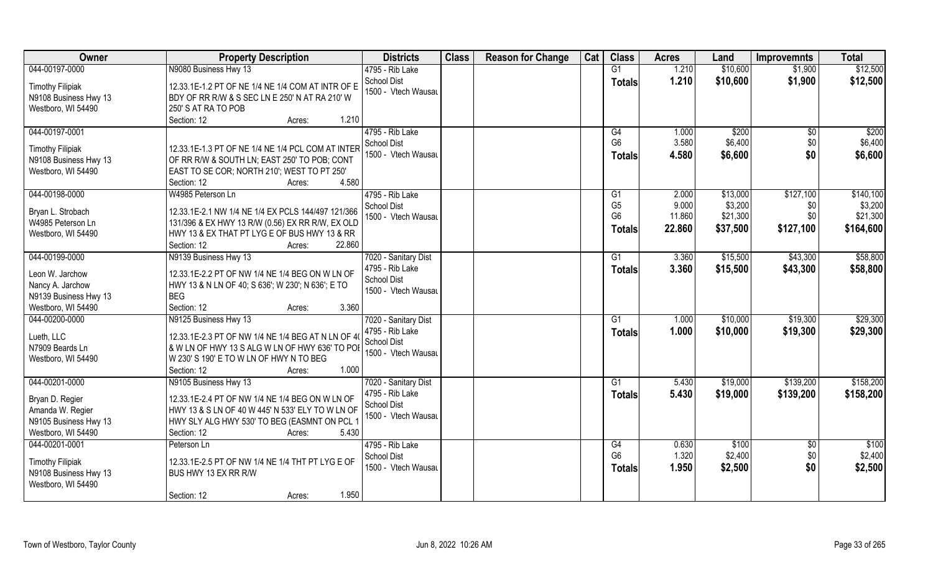| Owner                   | <b>Property Description</b>                        | <b>Districts</b>     | <b>Class</b> | <b>Reason for Change</b> | Cat | <b>Class</b>   | <b>Acres</b> | Land     | <b>Improvemnts</b> | <b>Total</b> |
|-------------------------|----------------------------------------------------|----------------------|--------------|--------------------------|-----|----------------|--------------|----------|--------------------|--------------|
| 044-00197-0000          | N9080 Business Hwy 13                              | 4795 - Rib Lake      |              |                          |     | G1             | 1.210        | \$10,600 | \$1,900            | \$12,500     |
| <b>Timothy Filipiak</b> | 12.33.1E-1.2 PT OF NE 1/4 NE 1/4 COM AT INTR OF E  | <b>School Dist</b>   |              |                          |     | <b>Totals</b>  | 1.210        | \$10,600 | \$1,900            | \$12,500     |
| N9108 Business Hwy 13   | BDY OF RR R/W & S SEC LN E 250' N AT RA 210' W     | 1500 - Vtech Wausau  |              |                          |     |                |              |          |                    |              |
| Westboro, WI 54490      | 250' S AT RA TO POB                                |                      |              |                          |     |                |              |          |                    |              |
|                         | 1.210<br>Section: 12<br>Acres:                     |                      |              |                          |     |                |              |          |                    |              |
| 044-00197-0001          |                                                    | 4795 - Rib Lake      |              |                          |     | G4             | 1.000        | \$200    | \$0                | \$200        |
|                         |                                                    | <b>School Dist</b>   |              |                          |     | G <sub>6</sub> | 3.580        | \$6,400  | \$0                | \$6,400      |
| <b>Timothy Filipiak</b> | 12.33.1E-1.3 PT OF NE 1/4 NE 1/4 PCL COM AT INTER  | 1500 - Vtech Wausau  |              |                          |     |                | 4.580        |          | \$0                |              |
| N9108 Business Hwy 13   | OF RR R/W & SOUTH LN; EAST 250' TO POB; CONT       |                      |              |                          |     | <b>Totals</b>  |              | \$6,600  |                    | \$6,600      |
| Westboro, WI 54490      | EAST TO SE COR; NORTH 210'; WEST TO PT 250'        |                      |              |                          |     |                |              |          |                    |              |
|                         | 4.580<br>Section: 12<br>Acres:                     |                      |              |                          |     |                |              |          |                    |              |
| 044-00198-0000          | W4985 Peterson Ln                                  | 4795 - Rib Lake      |              |                          |     | G1             | 2.000        | \$13,000 | \$127,100          | \$140,100    |
|                         |                                                    | <b>School Dist</b>   |              |                          |     | G <sub>5</sub> | 9.000        | \$3,200  | \$0                | \$3,200      |
| Bryan L. Strobach       | 12.33.1E-2.1 NW 1/4 NE 1/4 EX PCLS 144/497 121/366 | 1500 - Vtech Wausau  |              |                          |     | G <sub>6</sub> | 11.860       | \$21,300 | \$0                | \$21,300     |
| W4985 Peterson Ln       | 131/396 & EX HWY 13 R/W (0.56) EX RR R/W, EX OLD   |                      |              |                          |     | <b>Totals</b>  | 22.860       | \$37,500 | \$127,100          | \$164,600    |
| Westboro, WI 54490      | HWY 13 & EX THAT PT LYG E OF BUS HWY 13 & RR       |                      |              |                          |     |                |              |          |                    |              |
|                         | Section: 12<br>22.860<br>Acres:                    |                      |              |                          |     |                |              |          |                    |              |
| 044-00199-0000          | N9139 Business Hwy 13                              | 7020 - Sanitary Dist |              |                          |     | G1             | 3.360        | \$15,500 | \$43,300           | \$58,800     |
| Leon W. Jarchow         | 12.33.1E-2.2 PT OF NW 1/4 NE 1/4 BEG ON W LN OF    | 4795 - Rib Lake      |              |                          |     | <b>Totals</b>  | 3.360        | \$15,500 | \$43,300           | \$58,800     |
| Nancy A. Jarchow        | HWY 13 & N LN OF 40; S 636'; W 230'; N 636'; E TO  | School Dist          |              |                          |     |                |              |          |                    |              |
| N9139 Business Hwy 13   | <b>BEG</b>                                         | 1500 - Vtech Wausau  |              |                          |     |                |              |          |                    |              |
| Westboro, WI 54490      | Section: 12<br>3.360<br>Acres:                     |                      |              |                          |     |                |              |          |                    |              |
| 044-00200-0000          | N9125 Business Hwy 13                              | 7020 - Sanitary Dist |              |                          |     | G1             | 1.000        | \$10,000 | \$19,300           | \$29,300     |
|                         |                                                    | 4795 - Rib Lake      |              |                          |     | <b>Totals</b>  | 1.000        | \$10,000 | \$19,300           | \$29,300     |
| Lueth, LLC              | 12.33.1E-2.3 PT OF NW 1/4 NE 1/4 BEG AT N LN OF 4( | <b>School Dist</b>   |              |                          |     |                |              |          |                    |              |
| N7909 Beards Ln         | & W LN OF HWY 13 S ALG W LN OF HWY 636' TO POI     | 1500 - Vtech Wausau  |              |                          |     |                |              |          |                    |              |
| Westboro, WI 54490      | W 230' S 190' E TO W LN OF HWY N TO BEG            |                      |              |                          |     |                |              |          |                    |              |
|                         | 1.000<br>Section: 12<br>Acres:                     |                      |              |                          |     |                |              |          |                    |              |
| 044-00201-0000          | N9105 Business Hwy 13                              | 7020 - Sanitary Dist |              |                          |     | G1             | 5.430        | \$19,000 | \$139,200          | \$158,200    |
| Bryan D. Regier         | 12.33.1E-2.4 PT OF NW 1/4 NE 1/4 BEG ON W LN OF    | 4795 - Rib Lake      |              |                          |     | <b>Totals</b>  | 5.430        | \$19,000 | \$139,200          | \$158,200    |
| Amanda W. Regier        | HWY 13 & S LN OF 40 W 445' N 533' ELY TO W LN OF   | School Dist          |              |                          |     |                |              |          |                    |              |
| N9105 Business Hwy 13   | HWY SLY ALG HWY 530' TO BEG (EASMNT ON PCL 1       | 1500 - Vtech Wausau  |              |                          |     |                |              |          |                    |              |
| Westboro, WI 54490      | 5.430<br>Section: 12<br>Acres:                     |                      |              |                          |     |                |              |          |                    |              |
| 044-00201-0001          | Peterson Ln                                        | 4795 - Rib Lake      |              |                          |     | G4             | 0.630        | \$100    | \$0                | \$100        |
|                         |                                                    | <b>School Dist</b>   |              |                          |     | G <sub>6</sub> | 1.320        | \$2,400  | \$0                | \$2,400      |
| <b>Timothy Filipiak</b> | 12.33.1E-2.5 PT OF NW 1/4 NE 1/4 THT PT LYG E OF   | 1500 - Vtech Wausau  |              |                          |     | <b>Totals</b>  | 1.950        | \$2,500  | \$0                | \$2,500      |
| N9108 Business Hwy 13   | BUS HWY 13 EX RR R/W                               |                      |              |                          |     |                |              |          |                    |              |
| Westboro, WI 54490      |                                                    |                      |              |                          |     |                |              |          |                    |              |
|                         | 1.950<br>Section: 12<br>Acres:                     |                      |              |                          |     |                |              |          |                    |              |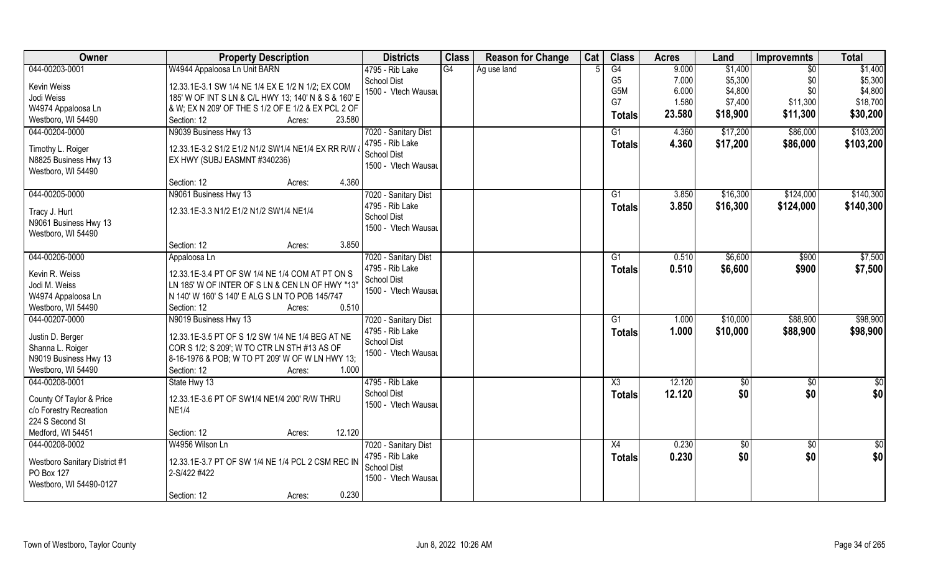| <b>Owner</b>                  | <b>Property Description</b>                          | <b>Districts</b>     | <b>Class</b> | <b>Reason for Change</b> | Cat | <b>Class</b>           | <b>Acres</b> | Land     | <b>Improvemnts</b> | <b>Total</b>    |
|-------------------------------|------------------------------------------------------|----------------------|--------------|--------------------------|-----|------------------------|--------------|----------|--------------------|-----------------|
| 044-00203-0001                | W4944 Appaloosa Ln Unit BARN                         | 4795 - Rib Lake      | G4           | Ag use land              |     | G4                     | 9.000        | \$1,400  | $\sqrt[6]{30}$     | \$1,400         |
| Kevin Weiss                   | 12.33.1E-3.1 SW 1/4 NE 1/4 EX E 1/2 N 1/2; EX COM    | <b>School Dist</b>   |              |                          |     | G <sub>5</sub>         | 7.000        | \$5,300  | \$0                | \$5,300         |
| Jodi Weiss                    | 185' W OF INT S LN & C/L HWY 13; 140' N & S & 160' E | 1500 - Vtech Wausau  |              |                          |     | G <sub>5</sub> M       | 6.000        | \$4,800  | \$0                | \$4,800         |
| W4974 Appaloosa Ln            | & W; EX N 209' OF THE S 1/2 OF E 1/2 & EX PCL 2 OF   |                      |              |                          |     | G7                     | 1.580        | \$7,400  | \$11,300           | \$18,700        |
| Westboro, WI 54490            | 23.580<br>Section: 12<br>Acres:                      |                      |              |                          |     | <b>Totals</b>          | 23.580       | \$18,900 | \$11,300           | \$30,200        |
|                               |                                                      |                      |              |                          |     |                        |              |          |                    |                 |
| 044-00204-0000                | N9039 Business Hwy 13                                | 7020 - Sanitary Dist |              |                          |     | G1                     | 4.360        | \$17,200 | \$86,000           | \$103,200       |
| Timothy L. Roiger             | 12.33.1E-3.2 S1/2 E1/2 N1/2 SW1/4 NE1/4 EX RR R/W &  | 4795 - Rib Lake      |              |                          |     | Totals                 | 4.360        | \$17,200 | \$86,000           | \$103,200       |
| N8825 Business Hwy 13         | EX HWY (SUBJ EASMNT #340236)                         | <b>School Dist</b>   |              |                          |     |                        |              |          |                    |                 |
| Westboro, WI 54490            |                                                      | 1500 - Vtech Wausau  |              |                          |     |                        |              |          |                    |                 |
|                               | 4.360<br>Section: 12<br>Acres:                       |                      |              |                          |     |                        |              |          |                    |                 |
| 044-00205-0000                | N9061 Business Hwy 13                                | 7020 - Sanitary Dist |              |                          |     | G1                     | 3.850        | \$16,300 | \$124,000          | \$140,300       |
|                               |                                                      | 4795 - Rib Lake      |              |                          |     | <b>Totals</b>          | 3.850        | \$16,300 | \$124,000          | \$140,300       |
| Tracy J. Hurt                 | 12.33.1E-3.3 N1/2 E1/2 N1/2 SW1/4 NE1/4              | <b>School Dist</b>   |              |                          |     |                        |              |          |                    |                 |
| N9061 Business Hwy 13         |                                                      | 1500 - Vtech Wausau  |              |                          |     |                        |              |          |                    |                 |
| Westboro, WI 54490            |                                                      |                      |              |                          |     |                        |              |          |                    |                 |
|                               | 3.850<br>Section: 12<br>Acres:                       |                      |              |                          |     |                        |              |          |                    |                 |
| 044-00206-0000                | Appaloosa Ln                                         | 7020 - Sanitary Dist |              |                          |     | G1                     | 0.510        | \$6,600  | \$900              | \$7,500         |
| Kevin R. Weiss                | 12.33.1E-3.4 PT OF SW 1/4 NE 1/4 COM AT PT ON S      | 4795 - Rib Lake      |              |                          |     | <b>Totals</b>          | 0.510        | \$6,600  | \$900              | \$7,500         |
| Jodi M. Weiss                 | LN 185' W OF INTER OF S LN & CEN LN OF HWY "13"      | School Dist          |              |                          |     |                        |              |          |                    |                 |
| W4974 Appaloosa Ln            | N 140' W 160' S 140' E ALG S LN TO POB 145/747       | 1500 - Vtech Wausau  |              |                          |     |                        |              |          |                    |                 |
| Westboro, WI 54490            | 0.510<br>Section: 12<br>Acres:                       |                      |              |                          |     |                        |              |          |                    |                 |
| 044-00207-0000                | N9019 Business Hwy 13                                | 7020 - Sanitary Dist |              |                          |     | G1                     | 1.000        | \$10,000 | \$88,900           | \$98,900        |
|                               |                                                      | 4795 - Rib Lake      |              |                          |     |                        | 1.000        | \$10,000 | \$88,900           | \$98,900        |
| Justin D. Berger              | 12.33.1E-3.5 PT OF S 1/2 SW 1/4 NE 1/4 BEG AT NE     | School Dist          |              |                          |     | <b>Totals</b>          |              |          |                    |                 |
| Shanna L. Roiger              | COR S 1/2; S 209'; W TO CTR LN STH #13 AS OF         | 1500 - Vtech Wausau  |              |                          |     |                        |              |          |                    |                 |
| N9019 Business Hwy 13         | 8-16-1976 & POB; W TO PT 209' W OF W LN HWY 13;      |                      |              |                          |     |                        |              |          |                    |                 |
| Westboro, WI 54490            | Section: 12<br>1.000<br>Acres:                       |                      |              |                          |     |                        |              |          |                    |                 |
| 044-00208-0001                | State Hwy 13                                         | 4795 - Rib Lake      |              |                          |     | $\overline{\text{X3}}$ | 12.120       | \$0      | $\overline{50}$    | $\overline{50}$ |
|                               |                                                      | <b>School Dist</b>   |              |                          |     | <b>Totals</b>          | 12.120       | \$0      | \$0                | \$0             |
| County Of Taylor & Price      | 12.33.1E-3.6 PT OF SW1/4 NE1/4 200' R/W THRU         | 1500 - Vtech Wausau  |              |                          |     |                        |              |          |                    |                 |
| c/o Forestry Recreation       | <b>NE1/4</b>                                         |                      |              |                          |     |                        |              |          |                    |                 |
| 224 S Second St               |                                                      |                      |              |                          |     |                        |              |          |                    |                 |
| Medford, WI 54451             | 12.120<br>Section: 12<br>Acres:                      |                      |              |                          |     |                        |              |          |                    |                 |
| 044-00208-0002                | W4956 Wilson Ln                                      | 7020 - Sanitary Dist |              |                          |     | X4                     | 0.230        | \$0      | \$0                | \$0             |
| Westboro Sanitary District #1 | 12.33.1E-3.7 PT OF SW 1/4 NE 1/4 PCL 2 CSM REC IN    | 4795 - Rib Lake      |              |                          |     | <b>Totals</b>          | 0.230        | \$0      | \$0                | \$0             |
| PO Box 127                    | 2-S/422 #422                                         | <b>School Dist</b>   |              |                          |     |                        |              |          |                    |                 |
| Westboro, WI 54490-0127       |                                                      | 1500 - Vtech Wausau  |              |                          |     |                        |              |          |                    |                 |
|                               | 0.230<br>Section: 12<br>Acres:                       |                      |              |                          |     |                        |              |          |                    |                 |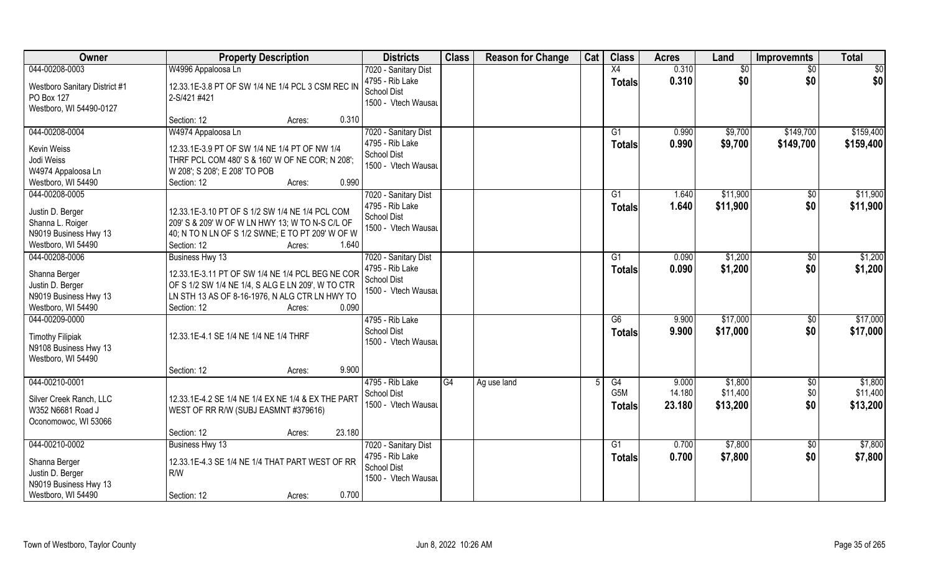| Owner                                                                                                 | <b>Property Description</b>                                                                                                                                                                                  | <b>Districts</b>                                                                     | <b>Class</b> | <b>Reason for Change</b> | Cat | <b>Class</b>                            | <b>Acres</b>              | Land                            | <b>Improvemnts</b>     | <b>Total</b>                    |
|-------------------------------------------------------------------------------------------------------|--------------------------------------------------------------------------------------------------------------------------------------------------------------------------------------------------------------|--------------------------------------------------------------------------------------|--------------|--------------------------|-----|-----------------------------------------|---------------------------|---------------------------------|------------------------|---------------------------------|
| 044-00208-0003<br><b>Westboro Sanitary District #1</b><br>PO Box 127<br>Westboro, WI 54490-0127       | W4996 Appaloosa Ln<br>12.33.1E-3.8 PT OF SW 1/4 NE 1/4 PCL 3 CSM REC IN<br>2-S/421 #421                                                                                                                      | 7020 - Sanitary Dist<br>4795 - Rib Lake<br><b>School Dist</b><br>1500 - Vtech Wausau |              |                          |     | X4<br><b>Totals</b>                     | 0.310<br>0.310            | \$0<br>\$0                      | $\sqrt{6}$<br>\$0      | \$0<br>\$0                      |
|                                                                                                       | 0.310<br>Section: 12<br>Acres:                                                                                                                                                                               |                                                                                      |              |                          |     |                                         |                           |                                 |                        |                                 |
| 044-00208-0004<br>Kevin Weiss<br>Jodi Weiss<br>W4974 Appaloosa Ln<br>Westboro, WI 54490               | W4974 Appaloosa Ln<br>12.33.1E-3.9 PT OF SW 1/4 NE 1/4 PT OF NW 1/4<br>THRF PCL COM 480' S & 160' W OF NE COR; N 208';<br>W 208'; S 208'; E 208' TO POB<br>0.990<br>Section: 12<br>Acres:                    | 7020 - Sanitary Dist<br>4795 - Rib Lake<br><b>School Dist</b><br>1500 - Vtech Wausau |              |                          |     | G1<br>Totals                            | 0.990<br>0.990            | \$9,700<br>\$9,700              | \$149,700<br>\$149,700 | \$159,400<br>\$159,400          |
| 044-00208-0005<br>Justin D. Berger<br>Shanna L. Roiger<br>N9019 Business Hwy 13<br>Westboro, WI 54490 | 12.33.1E-3.10 PT OF S 1/2 SW 1/4 NE 1/4 PCL COM<br>209' S & 209' W OF W LN HWY 13; W TO N-S C/L OF<br>40; N TO N LN OF S 1/2 SWNE; E TO PT 209' W OF W<br>1.640<br>Section: 12<br>Acres:                     | 7020 - Sanitary Dist<br>4795 - Rib Lake<br><b>School Dist</b><br>1500 - Vtech Wausau |              |                          |     | G1<br><b>Totals</b>                     | 1.640<br>1.640            | \$11,900<br>\$11,900            | \$0<br>\$0             | \$11,900<br>\$11,900            |
| 044-00208-0006<br>Shanna Berger<br>Justin D. Berger<br>N9019 Business Hwy 13<br>Westboro, WI 54490    | Business Hwy 13<br>12.33.1E-3.11 PT OF SW 1/4 NE 1/4 PCL BEG NE COR<br>OF S 1/2 SW 1/4 NE 1/4, S ALG E LN 209', W TO CTR<br>LN STH 13 AS OF 8-16-1976, N ALG CTR LN HWY TO<br>0.090<br>Section: 12<br>Acres: | 7020 - Sanitary Dist<br>4795 - Rib Lake<br>School Dist<br>1500 - Vtech Wausau        |              |                          |     | G1<br><b>Totals</b>                     | 0.090<br>0.090            | \$1,200<br>\$1,200              | \$0<br>\$0             | \$1,200<br>\$1,200              |
| 044-00209-0000<br><b>Timothy Filipiak</b><br>N9108 Business Hwy 13<br>Westboro, WI 54490              | 12.33.1E-4.1 SE 1/4 NE 1/4 NE 1/4 THRF<br>9.900<br>Section: 12<br>Acres:                                                                                                                                     | 4795 - Rib Lake<br><b>School Dist</b><br>1500 - Vtech Wausau                         |              |                          |     | $\overline{G6}$<br><b>Totals</b>        | 9.900<br>9.900            | \$17,000<br>\$17,000            | \$0<br>\$0             | \$17,000<br>\$17,000            |
| 044-00210-0001<br>Silver Creek Ranch, LLC<br>W352 N6681 Road J<br>Oconomowoc, WI 53066                | 12.33.1E-4.2 SE 1/4 NE 1/4 EX NE 1/4 & EX THE PART<br>WEST OF RR R/W (SUBJ EASMNT #379616)<br>23.180<br>Section: 12<br>Acres:                                                                                | 4795 - Rib Lake<br>School Dist<br>1500 - Vtech Wausau                                | G4           | Ag use land              |     | G4<br>G <sub>5</sub> M<br><b>Totals</b> | 9.000<br>14.180<br>23.180 | \$1,800<br>\$11,400<br>\$13,200 | \$0<br>\$0<br>\$0      | \$1,800<br>\$11,400<br>\$13,200 |
| 044-00210-0002<br>Shanna Berger<br>Justin D. Berger<br>N9019 Business Hwy 13<br>Westboro, WI 54490    | Business Hwy 13<br>12.33.1E-4.3 SE 1/4 NE 1/4 THAT PART WEST OF RR<br>R/W<br>0.700<br>Section: 12<br>Acres:                                                                                                  | 7020 - Sanitary Dist<br>4795 - Rib Lake<br><b>School Dist</b><br>1500 - Vtech Wausau |              |                          |     | G1<br><b>Totals</b>                     | 0.700<br>0.700            | \$7,800<br>\$7,800              | $\sqrt{6}$<br>\$0      | \$7,800<br>\$7,800              |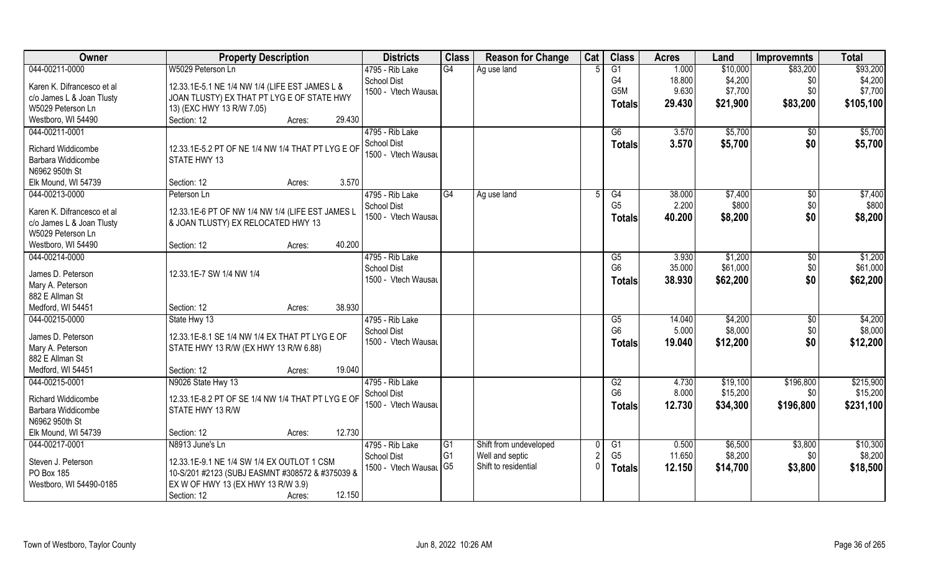| Owner                      | <b>Property Description</b>                       | <b>Districts</b>                      | <b>Class</b>   | <b>Reason for Change</b> | Cat      | <b>Class</b>         | <b>Acres</b>   | Land                 | <b>Improvemnts</b> | <b>Total</b> |
|----------------------------|---------------------------------------------------|---------------------------------------|----------------|--------------------------|----------|----------------------|----------------|----------------------|--------------------|--------------|
| 044-00211-0000             | W5029 Peterson Ln                                 | 4795 - Rib Lake                       | G4             | Ag use land              |          | $\overline{G1}$      | 1.000          | \$10,000             | \$83,200           | \$93,200     |
| Karen K. Difrancesco et al | 12.33.1E-5.1 NE 1/4 NW 1/4 (LIFE EST JAMES L &    | <b>School Dist</b>                    |                |                          |          | G <sub>4</sub>       | 18.800         | \$4,200              | \$0                | \$4,200      |
| c/o James L & Joan Tlusty  | JOAN TLUSTY) EX THAT PT LYG E OF STATE HWY        | 1500 - Vtech Wausau                   |                |                          |          | G5M                  | 9.630          | \$7,700              | \$0                | \$7,700      |
| W5029 Peterson Ln          | 13) (EXC HWY 13 R/W 7.05)                         |                                       |                |                          |          | <b>Totals</b>        | 29.430         | \$21,900             | \$83,200           | \$105,100    |
| Westboro, WI 54490         | 29.430<br>Section: 12<br>Acres:                   |                                       |                |                          |          |                      |                |                      |                    |              |
| 044-00211-0001             |                                                   | 4795 - Rib Lake                       |                |                          |          | G6                   | 3.570          | \$5,700              | $\overline{50}$    | \$5,700      |
|                            |                                                   | <b>School Dist</b>                    |                |                          |          |                      | 3.570          | \$5,700              | \$0                | \$5,700      |
| Richard Widdicombe         | 12.33.1E-5.2 PT OF NE 1/4 NW 1/4 THAT PT LYG E OF | 1500 - Vtech Wausau                   |                |                          |          | Totals               |                |                      |                    |              |
| Barbara Widdicombe         | <b>STATE HWY 13</b>                               |                                       |                |                          |          |                      |                |                      |                    |              |
| N6962 950th St             |                                                   |                                       |                |                          |          |                      |                |                      |                    |              |
| Elk Mound, WI 54739        | 3.570<br>Section: 12<br>Acres:                    |                                       |                |                          |          |                      |                |                      |                    |              |
| 044-00213-0000             | Peterson Ln                                       | 4795 - Rib Lake                       | G4             | Ag use land              | 5        | G4                   | 38.000         | \$7,400              | \$0                | \$7,400      |
| Karen K. Difrancesco et al | 12.33.1E-6 PT OF NW 1/4 NW 1/4 (LIFE EST JAMES L  | <b>School Dist</b>                    |                |                          |          | G <sub>5</sub>       | 2.200          | \$800                | \$0                | \$800        |
| c/o James L & Joan Tlusty  | & JOAN TLUSTY) EX RELOCATED HWY 13                | 1500 - Vtech Wausau                   |                |                          |          | <b>Totals</b>        | 40.200         | \$8,200              | \$0                | \$8,200      |
| W5029 Peterson Ln          |                                                   |                                       |                |                          |          |                      |                |                      |                    |              |
| Westboro, WI 54490         | 40.200<br>Section: 12<br>Acres:                   |                                       |                |                          |          |                      |                |                      |                    |              |
| 044-00214-0000             |                                                   | 4795 - Rib Lake                       |                |                          |          | G5                   | 3.930          | \$1,200              |                    | \$1,200      |
|                            |                                                   | <b>School Dist</b>                    |                |                          |          | G <sub>6</sub>       | 35.000         | \$61,000             | \$0<br>\$0         | \$61,000     |
| James D. Peterson          | 12.33.1E-7 SW 1/4 NW 1/4                          | 1500 - Vtech Wausau                   |                |                          |          |                      |                |                      |                    |              |
| Mary A. Peterson           |                                                   |                                       |                |                          |          | <b>Totals</b>        | 38.930         | \$62,200             | \$0                | \$62,200     |
| 882 E Allman St            |                                                   |                                       |                |                          |          |                      |                |                      |                    |              |
| Medford, WI 54451          | 38.930<br>Section: 12<br>Acres:                   |                                       |                |                          |          |                      |                |                      |                    |              |
| 044-00215-0000             | State Hwy 13                                      | 4795 - Rib Lake                       |                |                          |          | G5                   | 14.040         | \$4,200              | \$0                | \$4,200      |
| James D. Peterson          | 12.33.1E-8.1 SE 1/4 NW 1/4 EX THAT PT LYG E OF    | <b>School Dist</b>                    |                |                          |          | G <sub>6</sub>       | 5.000          | \$8,000              | \$0                | \$8,000      |
| Mary A. Peterson           |                                                   | 1500 - Vtech Wausau                   |                |                          |          | <b>Totals</b>        | 19.040         | \$12,200             | \$0                | \$12,200     |
| 882 E Allman St            | STATE HWY 13 R/W (EX HWY 13 R/W 6.88)             |                                       |                |                          |          |                      |                |                      |                    |              |
| Medford, WI 54451          | 19.040<br>Section: 12                             |                                       |                |                          |          |                      |                |                      |                    |              |
| 044-00215-0001             | Acres:                                            |                                       |                |                          |          |                      |                |                      |                    | \$215,900    |
|                            | N9026 State Hwy 13                                | 4795 - Rib Lake<br><b>School Dist</b> |                |                          |          | G2<br>G <sub>6</sub> | 4.730<br>8.000 | \$19,100<br>\$15,200 | \$196,800<br>\$0   | \$15,200     |
| <b>Richard Widdicombe</b>  | 12.33.1E-8.2 PT OF SE 1/4 NW 1/4 THAT PT LYG E OF | 1500 - Vtech Wausau                   |                |                          |          |                      |                |                      |                    |              |
| Barbara Widdicombe         | STATE HWY 13 R/W                                  |                                       |                |                          |          | <b>Totals</b>        | 12.730         | \$34,300             | \$196,800          | \$231,100    |
| N6962 950th St             |                                                   |                                       |                |                          |          |                      |                |                      |                    |              |
| Elk Mound, WI 54739        | 12.730<br>Section: 12<br>Acres:                   |                                       |                |                          |          |                      |                |                      |                    |              |
| 044-00217-0001             | N8913 June's Ln                                   | 4795 - Rib Lake                       | G <sub>1</sub> | Shift from undeveloped   |          | G <sub>1</sub>       | 0.500          | \$6,500              | \$3,800            | \$10,300     |
|                            |                                                   | <b>School Dist</b>                    | G1             | Well and septic          | 2        | G <sub>5</sub>       | 11.650         | \$8,200              | \$0                | \$8,200      |
| Steven J. Peterson         | 12.33.1E-9.1 NE 1/4 SW 1/4 EX OUTLOT 1 CSM        | 1500 - Vtech Wausal G5                |                | Shift to residential     | $\Omega$ | <b>Totals</b>        | 12.150         | \$14,700             | \$3,800            | \$18,500     |
| PO Box 185                 | 10-S/201 #2123 (SUBJ EASMNT #308572 & #375039 &   |                                       |                |                          |          |                      |                |                      |                    |              |
| Westboro, WI 54490-0185    | EX W OF HWY 13 (EX HWY 13 R/W 3.9)                |                                       |                |                          |          |                      |                |                      |                    |              |
|                            | 12.150<br>Section: 12<br>Acres:                   |                                       |                |                          |          |                      |                |                      |                    |              |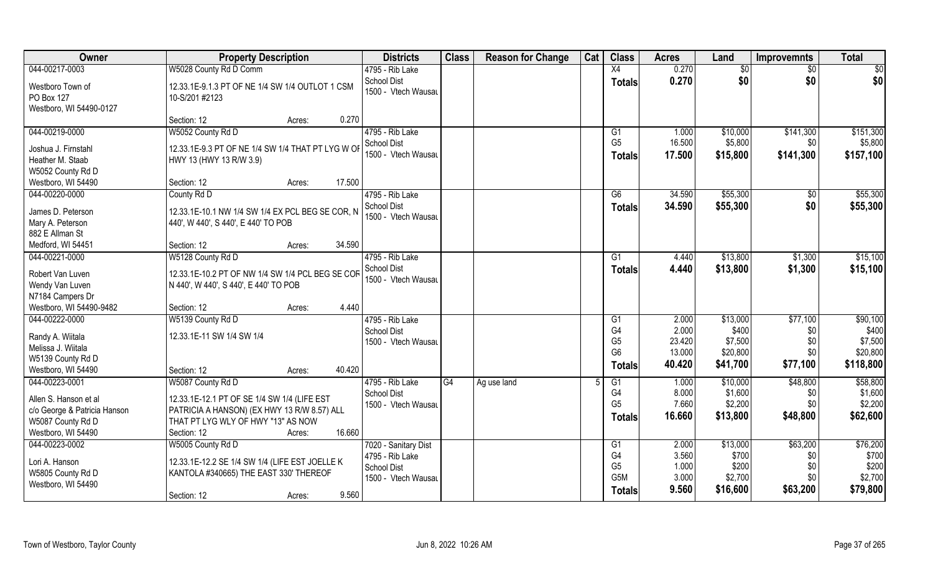| Owner                        | <b>Property Description</b>                       |        |        | <b>Districts</b>                   | <b>Class</b> | <b>Reason for Change</b> | Cat | <b>Class</b>         | <b>Acres</b>    | Land                | <b>Improvemnts</b> | <b>Total</b>         |
|------------------------------|---------------------------------------------------|--------|--------|------------------------------------|--------------|--------------------------|-----|----------------------|-----------------|---------------------|--------------------|----------------------|
| 044-00217-0003               | W5028 County Rd D Comm                            |        |        | 4795 - Rib Lake                    |              |                          |     | X4                   | 0.270           | $\overline{50}$     | $\sqrt{50}$        | \$0                  |
| Westboro Town of             | 12.33.1E-9.1.3 PT OF NE 1/4 SW 1/4 OUTLOT 1 CSM   |        |        | School Dist<br>1500 - Vtech Wausau |              |                          |     | <b>Totals</b>        | 0.270           | \$0                 | \$0                | \$0                  |
| PO Box 127                   | 10-S/201 #2123                                    |        |        |                                    |              |                          |     |                      |                 |                     |                    |                      |
| Westboro, WI 54490-0127      |                                                   |        |        |                                    |              |                          |     |                      |                 |                     |                    |                      |
|                              | Section: 12                                       | Acres: | 0.270  |                                    |              |                          |     |                      |                 |                     |                    |                      |
| 044-00219-0000               | W5052 County Rd D                                 |        |        | 4795 - Rib Lake<br>School Dist     |              |                          |     | G1<br>G <sub>5</sub> | 1.000<br>16.500 | \$10,000<br>\$5,800 | \$141,300<br>\$0   | \$151,300<br>\$5,800 |
| Joshua J. Firnstahl          | 12.33.1E-9.3 PT OF NE 1/4 SW 1/4 THAT PT LYG W OF |        |        | 1500 - Vtech Wausau                |              |                          |     |                      |                 |                     |                    |                      |
| Heather M. Staab             | HWY 13 (HWY 13 R/W 3.9)                           |        |        |                                    |              |                          |     | <b>Totals</b>        | 17.500          | \$15,800            | \$141,300          | \$157,100            |
| W5052 County Rd D            |                                                   |        |        |                                    |              |                          |     |                      |                 |                     |                    |                      |
| Westboro, WI 54490           | Section: 12                                       | Acres: | 17.500 |                                    |              |                          |     |                      |                 |                     |                    |                      |
| 044-00220-0000               | County Rd D                                       |        |        | 4795 - Rib Lake                    |              |                          |     | G6                   | 34.590          | \$55,300            | \$0                | \$55,300             |
| James D. Peterson            | 12.33.1E-10.1 NW 1/4 SW 1/4 EX PCL BEG SE COR, N  |        |        | <b>School Dist</b>                 |              |                          |     | <b>Totals</b>        | 34.590          | \$55,300            | \$0                | \$55,300             |
| Mary A. Peterson             | 440', W 440', S 440', E 440' TO POB               |        |        | 1500 - Vtech Wausau                |              |                          |     |                      |                 |                     |                    |                      |
| 882 E Allman St              |                                                   |        |        |                                    |              |                          |     |                      |                 |                     |                    |                      |
| Medford, WI 54451            | Section: 12                                       | Acres: | 34.590 |                                    |              |                          |     |                      |                 |                     |                    |                      |
| 044-00221-0000               | W5128 County Rd D                                 |        |        | 4795 - Rib Lake                    |              |                          |     | G1                   | 4.440           | \$13,800            | \$1,300            | \$15,100             |
| Robert Van Luven             | 12.33.1E-10.2 PT OF NW 1/4 SW 1/4 PCL BEG SE COR  |        |        | School Dist                        |              |                          |     | <b>Totals</b>        | 4.440           | \$13,800            | \$1,300            | \$15,100             |
| Wendy Van Luven              | N 440', W 440', S 440', E 440' TO POB             |        |        | 1500 - Vtech Wausau                |              |                          |     |                      |                 |                     |                    |                      |
| N7184 Campers Dr             |                                                   |        |        |                                    |              |                          |     |                      |                 |                     |                    |                      |
| Westboro, WI 54490-9482      | Section: 12                                       | Acres: | 4.440  |                                    |              |                          |     |                      |                 |                     |                    |                      |
| 044-00222-0000               | W5139 County Rd D                                 |        |        | 4795 - Rib Lake                    |              |                          |     | G1                   | 2.000           | \$13,000            | \$77,100           | \$90,100             |
|                              |                                                   |        |        | School Dist                        |              |                          |     | G <sub>4</sub>       | 2.000           | \$400               | \$0                | \$400                |
| Randy A. Wiitala             | 12.33.1E-11 SW 1/4 SW 1/4                         |        |        | 1500 - Vtech Wausau                |              |                          |     | G <sub>5</sub>       | 23.420          | \$7,500             | \$0                | \$7,500              |
| Melissa J. Wiitala           |                                                   |        |        |                                    |              |                          |     | G <sub>6</sub>       | 13.000          | \$20,800            | \$0                | \$20,800             |
| W5139 County Rd D            |                                                   |        |        |                                    |              |                          |     | <b>Totals</b>        | 40.420          | \$41,700            | \$77,100           | \$118,800            |
| Westboro, WI 54490           | Section: 12                                       | Acres: | 40.420 |                                    |              |                          |     |                      |                 |                     |                    |                      |
| 044-00223-0001               | W5087 County Rd D                                 |        |        | 4795 - Rib Lake                    | G4           | Ag use land              |     | G1<br>G <sub>4</sub> | 1.000           | \$10,000            | \$48,800           | \$58,800<br>\$1,600  |
| Allen S. Hanson et al        | 12.33.1E-12.1 PT OF SE 1/4 SW 1/4 (LIFE EST       |        |        | <b>School Dist</b>                 |              |                          |     | G <sub>5</sub>       | 8.000           | \$1,600             | \$0                |                      |
| c/o George & Patricia Hanson | PATRICIA A HANSON) (EX HWY 13 R/W 8.57) ALL       |        |        | 1500 - Vtech Wausau                |              |                          |     |                      | 7.660           | \$2,200             | \$0                | \$2,200              |
| W5087 County Rd D            | THAT PT LYG WLY OF HWY "13" AS NOW                |        |        |                                    |              |                          |     | Totals               | 16.660          | \$13,800            | \$48,800           | \$62,600             |
| Westboro, WI 54490           | Section: 12                                       | Acres: | 16.660 |                                    |              |                          |     |                      |                 |                     |                    |                      |
| 044-00223-0002               | W5005 County Rd D                                 |        |        | 7020 - Sanitary Dist               |              |                          |     | G1                   | 2.000           | \$13,000            | \$63,200           | \$76,200             |
| Lori A. Hanson               | 12.33.1E-12.2 SE 1/4 SW 1/4 (LIFE EST JOELLE K    |        |        | 4795 - Rib Lake                    |              |                          |     | G4                   | 3.560           | \$700               | \$0                | \$700                |
| W5805 County Rd D            | KANTOLA #340665) THE EAST 330' THEREOF            |        |        | <b>School Dist</b>                 |              |                          |     | G <sub>5</sub>       | 1.000           | \$200               | \$0                | \$200                |
| Westboro, WI 54490           |                                                   |        |        | 1500 - Vtech Wausau                |              |                          |     | G <sub>5</sub> M     | 3.000           | \$2,700             | \$0                | \$2,700              |
|                              | Section: 12                                       | Acres: | 9.560  |                                    |              |                          |     | <b>Totals</b>        | 9.560           | \$16,600            | \$63,200           | \$79,800             |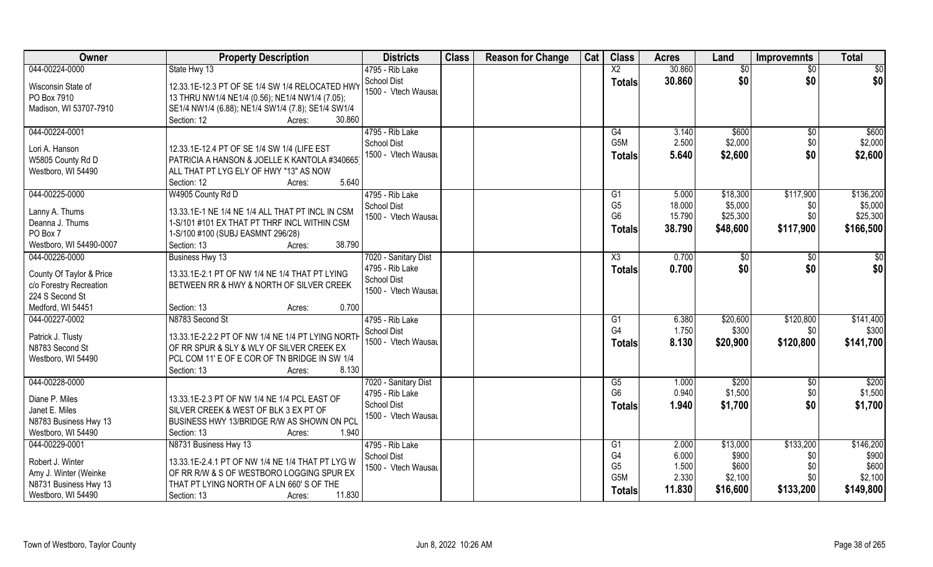| Owner                                     | <b>Property Description</b>                                                                   | <b>Districts</b>     | <b>Class</b> | <b>Reason for Change</b> | Cat | <b>Class</b>     | <b>Acres</b> | Land     | <b>Improvemnts</b> | <b>Total</b> |
|-------------------------------------------|-----------------------------------------------------------------------------------------------|----------------------|--------------|--------------------------|-----|------------------|--------------|----------|--------------------|--------------|
| 044-00224-0000                            | State Hwy 13                                                                                  | 4795 - Rib Lake      |              |                          |     | $\overline{X2}$  | 30.860       | \$0      | $\sqrt{6}$         | $\sqrt{50}$  |
| Wisconsin State of                        | 12.33.1E-12.3 PT OF SE 1/4 SW 1/4 RELOCATED HWY                                               | <b>School Dist</b>   |              |                          |     | <b>Totals</b>    | 30.860       | \$0      | \$0                | \$0          |
| PO Box 7910                               | 13 THRU NW1/4 NE1/4 (0.56); NE1/4 NW1/4 (7.05);                                               | 1500 - Vtech Wausau  |              |                          |     |                  |              |          |                    |              |
| Madison, WI 53707-7910                    | SE1/4 NW1/4 (6.88); NE1/4 SW1/4 (7.8); SE1/4 SW1/4                                            |                      |              |                          |     |                  |              |          |                    |              |
|                                           | 30.860<br>Section: 12<br>Acres:                                                               |                      |              |                          |     |                  |              |          |                    |              |
| 044-00224-0001                            |                                                                                               | 4795 - Rib Lake      |              |                          |     | G4               | 3.140        | \$600    | $\sqrt[6]{}$       | \$600        |
|                                           |                                                                                               | <b>School Dist</b>   |              |                          |     | G <sub>5</sub> M | 2.500        | \$2,000  | \$0                | \$2,000      |
| Lori A. Hanson                            | 12.33.1E-12.4 PT OF SE 1/4 SW 1/4 (LIFE EST                                                   | 1500 - Vtech Wausau  |              |                          |     | <b>Totals</b>    | 5.640        | \$2,600  | \$0                | \$2,600      |
| W5805 County Rd D                         | PATRICIA A HANSON & JOELLE K KANTOLA #340665<br>ALL THAT PT LYG ELY OF HWY "13" AS NOW        |                      |              |                          |     |                  |              |          |                    |              |
| Westboro, WI 54490                        | 5.640<br>Section: 12<br>Acres:                                                                |                      |              |                          |     |                  |              |          |                    |              |
| 044-00225-0000                            | W4905 County Rd D                                                                             | 4795 - Rib Lake      |              |                          |     | G1               | 5.000        | \$18,300 | \$117,900          | \$136,200    |
|                                           |                                                                                               | <b>School Dist</b>   |              |                          |     | G <sub>5</sub>   | 18.000       | \$5,000  | \$0                | \$5,000      |
| Lanny A. Thums                            | 13.33.1E-1 NE 1/4 NE 1/4 ALL THAT PT INCL IN CSM                                              | 1500 - Vtech Wausau  |              |                          |     | G <sub>6</sub>   | 15.790       | \$25,300 | \$0                | \$25,300     |
| Deanna J. Thums                           | 1-S/101 #101 EX THAT PT THRF INCL WITHIN CSM                                                  |                      |              |                          |     |                  | 38.790       | \$48,600 | \$117,900          | \$166,500    |
| PO Box 7                                  | 1-S/100 #100 (SUBJ EASMNT 296/28)                                                             |                      |              |                          |     | Totals           |              |          |                    |              |
| Westboro, WI 54490-0007                   | 38.790<br>Section: 13<br>Acres:                                                               |                      |              |                          |     |                  |              |          |                    |              |
| 044-00226-0000                            | Business Hwy 13                                                                               | 7020 - Sanitary Dist |              |                          |     | X3               | 0.700        | $ $ \$0  | \$0                | \$0          |
| County Of Taylor & Price                  | 13.33.1E-2.1 PT OF NW 1/4 NE 1/4 THAT PT LYING                                                | 4795 - Rib Lake      |              |                          |     | <b>Totals</b>    | 0.700        | \$0      | \$0                | \$0          |
| c/o Forestry Recreation                   | BETWEEN RR & HWY & NORTH OF SILVER CREEK                                                      | School Dist          |              |                          |     |                  |              |          |                    |              |
| 224 S Second St                           |                                                                                               | 1500 - Vtech Wausau  |              |                          |     |                  |              |          |                    |              |
| Medford, WI 54451                         | 0.700<br>Section: 13<br>Acres:                                                                |                      |              |                          |     |                  |              |          |                    |              |
| 044-00227-0002                            | N8783 Second St                                                                               | 4795 - Rib Lake      |              |                          |     | G1               | 6.380        | \$20,600 | \$120,800          | \$141,400    |
|                                           |                                                                                               | <b>School Dist</b>   |              |                          |     | G4               | 1.750        | \$300    | \$0                | \$300        |
| Patrick J. Tlusty                         | 13.33.1E-2.2.2 PT OF NW 1/4 NE 1/4 PT LYING NORTH                                             | 1500 - Vtech Wausau  |              |                          |     | <b>Totals</b>    | 8.130        | \$20,900 | \$120,800          | \$141,700    |
| N8783 Second St                           | OF RR SPUR & SLY & WLY OF SILVER CREEK EX                                                     |                      |              |                          |     |                  |              |          |                    |              |
| Westboro, WI 54490                        | PCL COM 11' E OF E COR OF TN BRIDGE IN SW 1/4                                                 |                      |              |                          |     |                  |              |          |                    |              |
|                                           | 8.130<br>Section: 13<br>Acres:                                                                |                      |              |                          |     |                  |              |          |                    |              |
| 044-00228-0000                            |                                                                                               | 7020 - Sanitary Dist |              |                          |     | G5               | 1.000        | \$200    | \$0                | \$200        |
| Diane P. Miles                            | 13.33.1E-2.3 PT OF NW 1/4 NE 1/4 PCL EAST OF                                                  | 4795 - Rib Lake      |              |                          |     | G <sub>6</sub>   | 0.940        | \$1,500  | \$0                | \$1,500      |
| Janet E. Miles                            | SILVER CREEK & WEST OF BLK 3 EX PT OF                                                         | School Dist          |              |                          |     | <b>Totals</b>    | 1.940        | \$1,700  | \$0                | \$1,700      |
| N8783 Business Hwy 13                     | BUSINESS HWY 13/BRIDGE R/W AS SHOWN ON PCL                                                    | 1500 - Vtech Wausau  |              |                          |     |                  |              |          |                    |              |
| Westboro, WI 54490                        | 1.940<br>Section: 13<br>Acres:                                                                |                      |              |                          |     |                  |              |          |                    |              |
| 044-00229-0001                            | N8731 Business Hwy 13                                                                         | 4795 - Rib Lake      |              |                          |     | G1               | 2.000        | \$13,000 | \$133,200          | \$146,200    |
|                                           |                                                                                               | School Dist          |              |                          |     | G <sub>4</sub>   | 6.000        | \$900    | \$0                | \$900        |
| Robert J. Winter<br>Amy J. Winter (Weinke | 13.33.1E-2.4.1 PT OF NW 1/4 NE 1/4 THAT PT LYG W<br>OF RR R/W & S OF WESTBORO LOGGING SPUR EX | 1500 - Vtech Wausau  |              |                          |     | G <sub>5</sub>   | 1.500        | \$600    | \$0                | \$600        |
| N8731 Business Hwy 13                     | THAT PT LYING NORTH OF A LN 660'S OF THE                                                      |                      |              |                          |     | G <sub>5</sub> M | 2.330        | \$2,100  | \$0\$              | \$2,100      |
| Westboro, WI 54490                        | 11.830<br>Section: 13<br>Acres:                                                               |                      |              |                          |     | <b>Totals</b>    | 11.830       | \$16,600 | \$133,200          | \$149,800    |
|                                           |                                                                                               |                      |              |                          |     |                  |              |          |                    |              |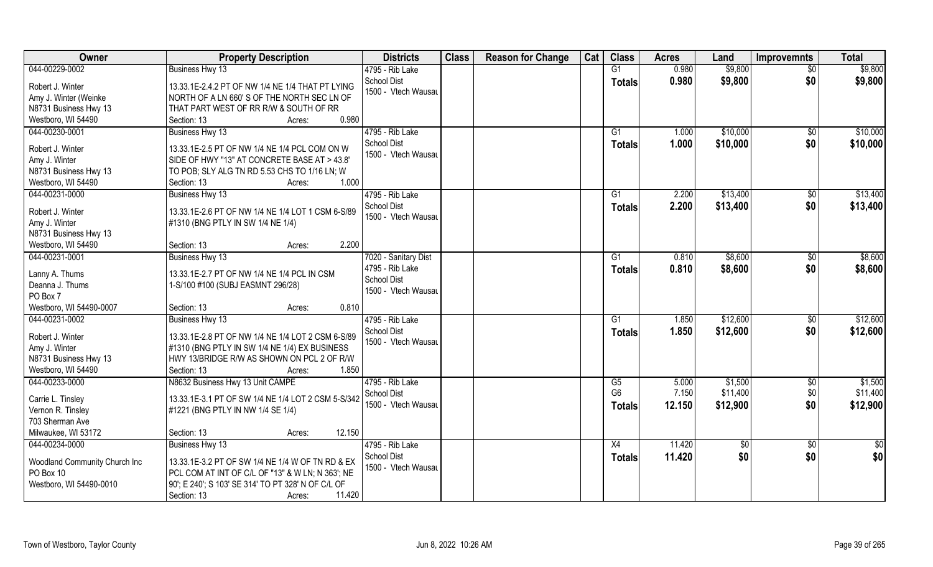| Owner                                                                                              | <b>Property Description</b>                                                                                                                                                                                      | <b>Districts</b>                                                              | <b>Class</b> | <b>Reason for Change</b> | Cat | <b>Class</b>                          | <b>Acres</b>             | Land                            | <b>Improvemnts</b>    | <b>Total</b>                    |
|----------------------------------------------------------------------------------------------------|------------------------------------------------------------------------------------------------------------------------------------------------------------------------------------------------------------------|-------------------------------------------------------------------------------|--------------|--------------------------|-----|---------------------------------------|--------------------------|---------------------------------|-----------------------|---------------------------------|
| 044-00229-0002                                                                                     | <b>Business Hwy 13</b>                                                                                                                                                                                           | 4795 - Rib Lake                                                               |              |                          |     | G1                                    | 0.980                    | \$9,800                         | $\overline{50}$       | \$9,800                         |
| Robert J. Winter<br>Amy J. Winter (Weinke<br>N8731 Business Hwy 13<br>Westboro, WI 54490           | 13.33.1E-2.4.2 PT OF NW 1/4 NE 1/4 THAT PT LYING<br>NORTH OF A LN 660' S OF THE NORTH SEC LN OF<br>THAT PART WEST OF RR R/W & SOUTH OF RR<br>0.980<br>Section: 13<br>Acres:                                      | <b>School Dist</b><br>1500 - Vtech Wausau                                     |              |                          |     | <b>Totals</b>                         | 0.980                    | \$9,800                         | \$0                   | \$9,800                         |
| 044-00230-0001<br>Robert J. Winter<br>Amy J. Winter<br>N8731 Business Hwy 13<br>Westboro, WI 54490 | Business Hwy 13<br>13.33.1E-2.5 PT OF NW 1/4 NE 1/4 PCL COM ON W<br>SIDE OF HWY "13" AT CONCRETE BASE AT > 43.8"<br>TO POB; SLY ALG TN RD 5.53 CHS TO 1/16 LN; W<br>1.000<br>Section: 13<br>Acres:               | 4795 - Rib Lake<br><b>School Dist</b><br>1500 - Vtech Wausau                  |              |                          |     | G1<br>Totals                          | 1.000<br>1.000           | \$10,000<br>\$10,000            | \$0<br>\$0            | \$10,000<br>\$10,000            |
| 044-00231-0000<br>Robert J. Winter<br>Amy J. Winter<br>N8731 Business Hwy 13<br>Westboro, WI 54490 | Business Hwy 13<br>13.33.1E-2.6 PT OF NW 1/4 NE 1/4 LOT 1 CSM 6-S/89<br>#1310 (BNG PTLY IN SW 1/4 NE 1/4)<br>2.200<br>Section: 13<br>Acres:                                                                      | 4795 - Rib Lake<br><b>School Dist</b><br>1500 - Vtech Wausau                  |              |                          |     | G1<br><b>Totals</b>                   | 2.200<br>2.200           | \$13,400<br>\$13,400            | $\sqrt[6]{30}$<br>\$0 | \$13,400<br>\$13,400            |
| 044-00231-0001<br>Lanny A. Thums<br>Deanna J. Thums<br>PO Box 7<br>Westboro, WI 54490-0007         | Business Hwy 13<br>13.33.1E-2.7 PT OF NW 1/4 NE 1/4 PCL IN CSM<br>1-S/100 #100 (SUBJ EASMNT 296/28)<br>0.810<br>Section: 13<br>Acres:                                                                            | 7020 - Sanitary Dist<br>4795 - Rib Lake<br>School Dist<br>1500 - Vtech Wausau |              |                          |     | G <sub>1</sub><br><b>Totals</b>       | 0.810<br>0.810           | \$8,600<br>\$8,600              | \$0<br>\$0            | \$8,600<br>\$8,600              |
| 044-00231-0002<br>Robert J. Winter<br>Amy J. Winter<br>N8731 Business Hwy 13<br>Westboro, WI 54490 | <b>Business Hwy 13</b><br>13.33.1E-2.8 PT OF NW 1/4 NE 1/4 LOT 2 CSM 6-S/89<br>#1310 (BNG PTLY IN SW 1/4 NE 1/4) EX BUSINESS<br>HWY 13/BRIDGE R/W AS SHOWN ON PCL 2 OF R/W<br>1.850<br>Section: 13<br>Acres:     | 4795 - Rib Lake<br>School Dist<br>1500 - Vtech Wausau                         |              |                          |     | G1<br><b>Totals</b>                   | 1.850<br>1.850           | \$12,600<br>\$12,600            | $\sqrt[6]{30}$<br>\$0 | \$12,600<br>\$12,600            |
| 044-00233-0000<br>Carrie L. Tinsley<br>Vernon R. Tinsley<br>703 Sherman Ave<br>Milwaukee, WI 53172 | N8632 Business Hwy 13 Unit CAMPE<br>13.33.1E-3.1 PT OF SW 1/4 NE 1/4 LOT 2 CSM 5-S/342<br>#1221 (BNG PTLY IN NW 1/4 SE 1/4)<br>12.150<br>Section: 13<br>Acres:                                                   | 4795 - Rib Lake<br>School Dist<br>1500 - Vtech Wausau                         |              |                          |     | G5<br>G <sub>6</sub><br><b>Totals</b> | 5.000<br>7.150<br>12.150 | \$1,500<br>\$11,400<br>\$12,900 | \$0<br>\$0<br>\$0     | \$1,500<br>\$11,400<br>\$12,900 |
| 044-00234-0000<br>Woodland Community Church Inc<br>PO Box 10<br>Westboro, WI 54490-0010            | Business Hwy 13<br>13.33.1E-3.2 PT OF SW 1/4 NE 1/4 W OF TN RD & EX<br>PCL COM AT INT OF C/L OF "13" & W LN; N 363'; NE<br>90'; E 240'; S 103' SE 314' TO PT 328' N OF C/L OF<br>11.420<br>Section: 13<br>Acres: | 4795 - Rib Lake<br><b>School Dist</b><br>1500 - Vtech Wausau                  |              |                          |     | X4<br><b>Totals</b>                   | 11.420<br>11.420         | $\overline{50}$<br>\$0          | $\sqrt[6]{}$<br>\$0   | \$0<br>\$0                      |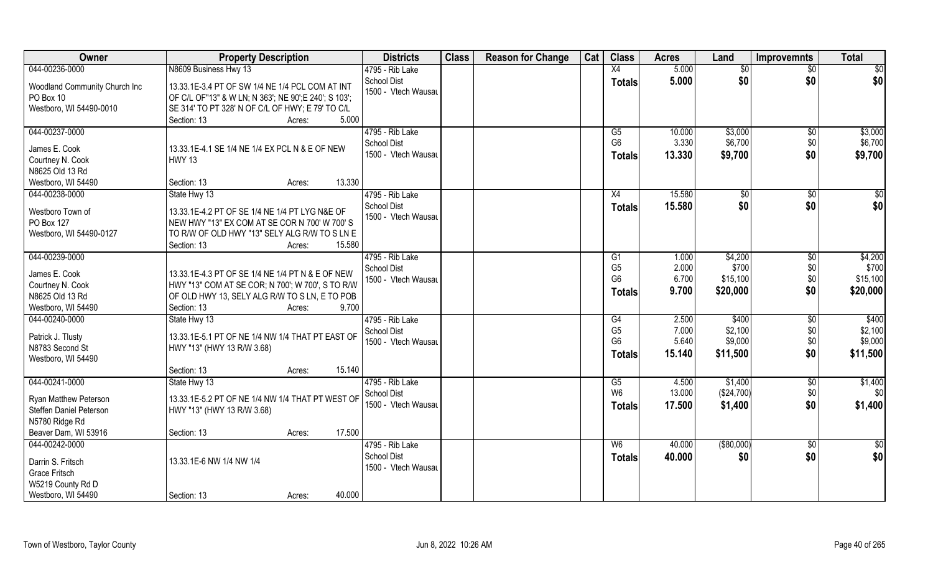| Owner                                      | <b>Property Description</b>                                                                              | <b>Districts</b>                          | <b>Class</b> | <b>Reason for Change</b> | Cat | <b>Class</b>   | <b>Acres</b> | Land          | <b>Improvemnts</b> | <b>Total</b>    |
|--------------------------------------------|----------------------------------------------------------------------------------------------------------|-------------------------------------------|--------------|--------------------------|-----|----------------|--------------|---------------|--------------------|-----------------|
| 044-00236-0000                             | N8609 Business Hwy 13                                                                                    | 4795 - Rib Lake                           |              |                          |     | X4             | 5.000        | \$0           | $\sqrt{$0}$        | \$0             |
| Woodland Community Church Inc<br>PO Box 10 | 13.33.1E-3.4 PT OF SW 1/4 NE 1/4 PCL COM AT INT<br>OF C/L OF"13" & W LN; N 363'; NE 90'; E 240'; S 103'; | <b>School Dist</b><br>1500 - Vtech Wausau |              |                          |     | <b>Totals</b>  | 5.000        | \$0           | \$0                | \$0             |
| Westboro, WI 54490-0010                    | SE 314' TO PT 328' N OF C/L OF HWY; E 79' TO C/L<br>Section: 13<br>5.000<br>Acres:                       |                                           |              |                          |     |                |              |               |                    |                 |
| 044-00237-0000                             |                                                                                                          | 4795 - Rib Lake                           |              |                          |     | G5             | 10.000       | \$3,000       | $\sqrt{$0}$        | \$3,000         |
|                                            |                                                                                                          | <b>School Dist</b>                        |              |                          |     | G <sub>6</sub> | 3.330        | \$6,700       | \$0                | \$6,700         |
| James E. Cook<br>Courtney N. Cook          | 13.33.1E-4.1 SE 1/4 NE 1/4 EX PCL N & E OF NEW<br><b>HWY 13</b>                                          | 1500 - Vtech Wausau                       |              |                          |     | <b>Totals</b>  | 13.330       | \$9,700       | \$0                | \$9,700         |
| N8625 Old 13 Rd                            |                                                                                                          |                                           |              |                          |     |                |              |               |                    |                 |
| Westboro, WI 54490                         | 13.330<br>Section: 13<br>Acres:                                                                          |                                           |              |                          |     |                |              |               |                    |                 |
| 044-00238-0000                             | State Hwy 13                                                                                             | 4795 - Rib Lake                           |              |                          |     | X4             | 15.580       | $\sqrt[6]{2}$ | \$0                | $\sqrt{50}$     |
|                                            |                                                                                                          | <b>School Dist</b>                        |              |                          |     | <b>Totals</b>  | 15.580       | \$0           | \$0                | \$0             |
| Westboro Town of                           | 13.33.1E-4.2 PT OF SE 1/4 NE 1/4 PT LYG N&E OF                                                           | 1500 - Vtech Wausau                       |              |                          |     |                |              |               |                    |                 |
| PO Box 127                                 | NEW HWY "13" EX COM AT SE COR N 700' W 700' S                                                            |                                           |              |                          |     |                |              |               |                    |                 |
| Westboro, WI 54490-0127                    | TO R/W OF OLD HWY "13" SELY ALG R/W TO S LN E<br>15.580<br>Section: 13<br>Acres:                         |                                           |              |                          |     |                |              |               |                    |                 |
| 044-00239-0000                             |                                                                                                          | 4795 - Rib Lake                           |              |                          |     | G1             | 1.000        | \$4,200       | $\sqrt[6]{30}$     | \$4,200         |
|                                            |                                                                                                          | <b>School Dist</b>                        |              |                          |     | G <sub>5</sub> | 2.000        | \$700         | \$0                | \$700           |
| James E. Cook                              | 13.33.1E-4.3 PT OF SE 1/4 NE 1/4 PT N & E OF NEW                                                         | 1500 - Vtech Wausau                       |              |                          |     | G <sub>6</sub> | 6.700        | \$15,100      | \$0                | \$15,100        |
| Courtney N. Cook                           | HWY "13" COM AT SE COR; N 700'; W 700', S TO R/W                                                         |                                           |              |                          |     | <b>Totals</b>  | 9.700        | \$20,000      | \$0                | \$20,000        |
| N8625 Old 13 Rd                            | OF OLD HWY 13, SELY ALG R/W TO S LN, E TO POB                                                            |                                           |              |                          |     |                |              |               |                    |                 |
| Westboro, WI 54490                         | Section: 13<br>9.700<br>Acres:                                                                           |                                           |              |                          |     |                |              |               |                    |                 |
| 044-00240-0000                             | State Hwy 13                                                                                             | 4795 - Rib Lake                           |              |                          |     | G4             | 2.500        | \$400         | $\sqrt[6]{30}$     | \$400           |
| Patrick J. Tlusty                          | 13.33.1E-5.1 PT OF NE 1/4 NW 1/4 THAT PT EAST OF                                                         | School Dist                               |              |                          |     | G <sub>5</sub> | 7.000        | \$2,100       | \$0                | \$2,100         |
| N8783 Second St                            | HWY "13" (HWY 13 R/W 3.68)                                                                               | 1500 - Vtech Wausau                       |              |                          |     | G <sub>6</sub> | 5.640        | \$9,000       | \$0                | \$9,000         |
| Westboro, WI 54490                         |                                                                                                          |                                           |              |                          |     | <b>Totals</b>  | 15.140       | \$11,500      | \$0                | \$11,500        |
|                                            | 15.140<br>Section: 13<br>Acres:                                                                          |                                           |              |                          |     |                |              |               |                    |                 |
| 044-00241-0000                             | State Hwy 13                                                                                             | 4795 - Rib Lake                           |              |                          |     | G5             | 4.500        | \$1,400       | $\sqrt{$0}$        | \$1,400         |
| <b>Ryan Matthew Peterson</b>               | 13.33.1E-5.2 PT OF NE 1/4 NW 1/4 THAT PT WEST OF                                                         | <b>School Dist</b>                        |              |                          |     | W <sub>6</sub> | 13.000       | (\$24,700)    | \$0                | \$0             |
| Steffen Daniel Peterson                    | HWY "13" (HWY 13 R/W 3.68)                                                                               | 1500 - Vtech Wausau                       |              |                          |     | <b>Totals</b>  | 17.500       | \$1,400       | \$0                | \$1,400         |
| N5780 Ridge Rd                             |                                                                                                          |                                           |              |                          |     |                |              |               |                    |                 |
| Beaver Dam, WI 53916                       | 17.500<br>Section: 13<br>Acres:                                                                          |                                           |              |                          |     |                |              |               |                    |                 |
| 044-00242-0000                             |                                                                                                          | 4795 - Rib Lake                           |              |                          |     | W6             | 40.000       | ( \$80,000)   | $\sqrt{$0}$        | $\overline{50}$ |
|                                            |                                                                                                          | <b>School Dist</b>                        |              |                          |     | Totals         | 40.000       | \$0           | \$0                | \$0             |
| Darrin S. Fritsch<br><b>Grace Fritsch</b>  | 13.33.1E-6 NW 1/4 NW 1/4                                                                                 | 1500 - Vtech Wausau                       |              |                          |     |                |              |               |                    |                 |
| W5219 County Rd D                          |                                                                                                          |                                           |              |                          |     |                |              |               |                    |                 |
| Westboro, WI 54490                         | 40.000<br>Section: 13<br>Acres:                                                                          |                                           |              |                          |     |                |              |               |                    |                 |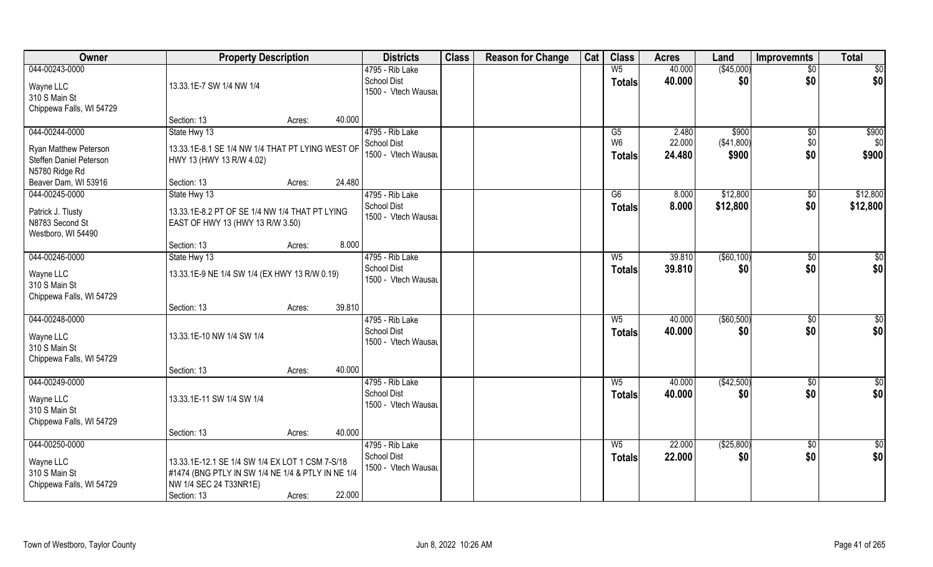| Owner                                     | <b>Property Description</b>                                                        |                  | <b>Districts</b>                          | <b>Class</b> | <b>Reason for Change</b> | Cat | <b>Class</b>         | <b>Acres</b>    | Land                 | <b>Improvemnts</b> | <b>Total</b>    |
|-------------------------------------------|------------------------------------------------------------------------------------|------------------|-------------------------------------------|--------------|--------------------------|-----|----------------------|-----------------|----------------------|--------------------|-----------------|
| 044-00243-0000                            |                                                                                    |                  | 4795 - Rib Lake                           |              |                          |     | W <sub>5</sub>       | 40.000          | (\$45,000)           | $\overline{50}$    | $\overline{50}$ |
| Wayne LLC                                 | 13.33.1E-7 SW 1/4 NW 1/4                                                           |                  | <b>School Dist</b><br>1500 - Vtech Wausau |              |                          |     | <b>Totals</b>        | 40.000          | \$0                  | \$0                | \$0             |
| 310 S Main St                             |                                                                                    |                  |                                           |              |                          |     |                      |                 |                      |                    |                 |
| Chippewa Falls, WI 54729                  |                                                                                    |                  |                                           |              |                          |     |                      |                 |                      |                    |                 |
| 044-00244-0000                            | Section: 13                                                                        | 40.000<br>Acres: | 4795 - Rib Lake                           |              |                          |     |                      |                 |                      |                    |                 |
|                                           | State Hwy 13                                                                       |                  | School Dist                               |              |                          |     | G5<br>W <sub>6</sub> | 2.480<br>22.000 | \$900<br>( \$41,800) | \$0<br>\$0         | \$900<br>\$0    |
| <b>Ryan Matthew Peterson</b>              | 13.33.1E-8.1 SE 1/4 NW 1/4 THAT PT LYING WEST OF                                   |                  | 1500 - Vtech Wausau                       |              |                          |     | <b>Totals</b>        | 24.480          | \$900                | \$0                | \$900           |
| Steffen Daniel Peterson                   | HWY 13 (HWY 13 R/W 4.02)                                                           |                  |                                           |              |                          |     |                      |                 |                      |                    |                 |
| N5780 Ridge Rd<br>Beaver Dam, WI 53916    | Section: 13                                                                        | 24.480<br>Acres: |                                           |              |                          |     |                      |                 |                      |                    |                 |
| 044-00245-0000                            | State Hwy 13                                                                       |                  | 4795 - Rib Lake                           |              |                          |     | G6                   | 8.000           | \$12,800             | $\sqrt[6]{3}$      | \$12,800        |
|                                           |                                                                                    |                  | <b>School Dist</b>                        |              |                          |     | <b>Totals</b>        | 8.000           | \$12,800             | \$0                | \$12,800        |
| Patrick J. Tlusty<br>N8783 Second St      | 13.33.1E-8.2 PT OF SE 1/4 NW 1/4 THAT PT LYING<br>EAST OF HWY 13 (HWY 13 R/W 3.50) |                  | 1500 - Vtech Wausau                       |              |                          |     |                      |                 |                      |                    |                 |
| Westboro, WI 54490                        |                                                                                    |                  |                                           |              |                          |     |                      |                 |                      |                    |                 |
|                                           | Section: 13                                                                        | 8.000<br>Acres:  |                                           |              |                          |     |                      |                 |                      |                    |                 |
| 044-00246-0000                            | State Hwy 13                                                                       |                  | 4795 - Rib Lake                           |              |                          |     | $W_5$                | 39.810          | $($ \$60,100)        | \$0                | \$0             |
| Wayne LLC                                 | 13.33.1E-9 NE 1/4 SW 1/4 (EX HWY 13 R/W 0.19)                                      |                  | <b>School Dist</b>                        |              |                          |     | <b>Totals</b>        | 39.810          | \$0                  | \$0                | \$0             |
| 310 S Main St                             |                                                                                    |                  | 1500 - Vtech Wausau                       |              |                          |     |                      |                 |                      |                    |                 |
| Chippewa Falls, WI 54729                  |                                                                                    |                  |                                           |              |                          |     |                      |                 |                      |                    |                 |
|                                           | Section: 13                                                                        | 39.810<br>Acres: |                                           |              |                          |     |                      |                 |                      |                    |                 |
| 044-00248-0000                            |                                                                                    |                  | 4795 - Rib Lake                           |              |                          |     | W <sub>5</sub>       | 40.000          | (\$60,500)           | \$0                | \$0             |
| Wayne LLC                                 | 13.33.1E-10 NW 1/4 SW 1/4                                                          |                  | <b>School Dist</b><br>1500 - Vtech Wausau |              |                          |     | <b>Totals</b>        | 40.000          | \$0                  | \$0                | \$0             |
| 310 S Main St                             |                                                                                    |                  |                                           |              |                          |     |                      |                 |                      |                    |                 |
| Chippewa Falls, WI 54729                  |                                                                                    |                  |                                           |              |                          |     |                      |                 |                      |                    |                 |
| 044-00249-0000                            | Section: 13                                                                        | 40.000<br>Acres: | 4795 - Rib Lake                           |              |                          |     | $W_5$                | 40.000          | (\$42,500)           | $\sqrt{$0}$        | \$0             |
|                                           |                                                                                    |                  | <b>School Dist</b>                        |              |                          |     | <b>Totals</b>        | 40.000          | \$0                  | \$0                | \$0             |
| Wayne LLC                                 | 13.33.1E-11 SW 1/4 SW 1/4                                                          |                  | 1500 - Vtech Wausau                       |              |                          |     |                      |                 |                      |                    |                 |
| 310 S Main St<br>Chippewa Falls, WI 54729 |                                                                                    |                  |                                           |              |                          |     |                      |                 |                      |                    |                 |
|                                           | Section: 13                                                                        | 40.000<br>Acres: |                                           |              |                          |     |                      |                 |                      |                    |                 |
| 044-00250-0000                            |                                                                                    |                  | 4795 - Rib Lake                           |              |                          |     | $W_5$                | 22.000          | ( \$25,800)          | $\overline{50}$    | \$0             |
| Wayne LLC                                 | 13.33.1E-12.1 SE 1/4 SW 1/4 EX LOT 1 CSM 7-S/18                                    |                  | <b>School Dist</b>                        |              |                          |     | <b>Totals</b>        | 22.000          | \$0                  | \$0                | \$0             |
| 310 S Main St                             | #1474 (BNG PTLY IN SW 1/4 NE 1/4 & PTLY IN NE 1/4                                  |                  | 1500 - Vtech Wausau                       |              |                          |     |                      |                 |                      |                    |                 |
| Chippewa Falls, WI 54729                  | NW 1/4 SEC 24 T33NR1E)                                                             |                  |                                           |              |                          |     |                      |                 |                      |                    |                 |
|                                           | Section: 13                                                                        | 22.000<br>Acres: |                                           |              |                          |     |                      |                 |                      |                    |                 |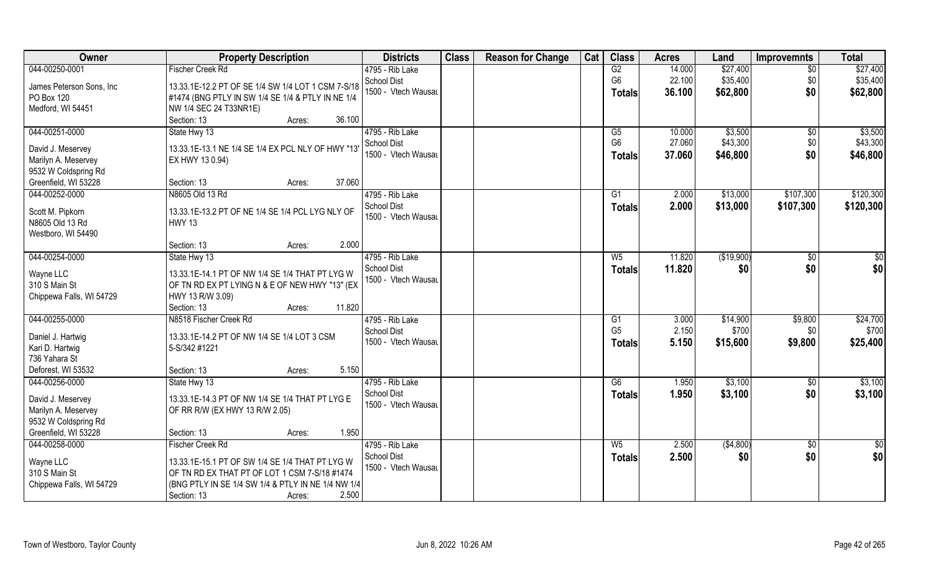| Owner                     | <b>Property Description</b>                        | <b>Districts</b>    | <b>Class</b> | <b>Reason for Change</b> | Cat | <b>Class</b>   | <b>Acres</b> | Land       | <b>Improvemnts</b> | <b>Total</b> |
|---------------------------|----------------------------------------------------|---------------------|--------------|--------------------------|-----|----------------|--------------|------------|--------------------|--------------|
| 044-00250-0001            | <b>Fischer Creek Rd</b>                            | 4795 - Rib Lake     |              |                          |     | G2             | 14.000       | \$27,400   | \$0                | \$27,400     |
| James Peterson Sons, Inc. | 13.33.1E-12.2 PT OF SE 1/4 SW 1/4 LOT 1 CSM 7-S/18 | <b>School Dist</b>  |              |                          |     | G <sub>6</sub> | 22.100       | \$35,400   | \$0                | \$35,400     |
| PO Box 120                | #1474 (BNG PTLY IN SW 1/4 SE 1/4 & PTLY IN NE 1/4  | 1500 - Vtech Wausau |              |                          |     | Totals         | 36.100       | \$62,800   | \$0                | \$62,800     |
| Medford, WI 54451         | NW 1/4 SEC 24 T33NR1E)                             |                     |              |                          |     |                |              |            |                    |              |
|                           | Section: 13<br>36.100<br>Acres:                    |                     |              |                          |     |                |              |            |                    |              |
| 044-00251-0000            | State Hwy 13                                       | 4795 - Rib Lake     |              |                          |     | G5             | 10.000       | \$3,500    | \$0                | \$3,500      |
|                           |                                                    | <b>School Dist</b>  |              |                          |     | G <sub>6</sub> | 27.060       | \$43,300   | \$0                | \$43,300     |
| David J. Meservey         | 13.33.1E-13.1 NE 1/4 SE 1/4 EX PCL NLY OF HWY "13" | 1500 - Vtech Wausau |              |                          |     | <b>Totals</b>  | 37.060       | \$46,800   | \$0                | \$46,800     |
| Marilyn A. Meservey       | EX HWY 13 0.94)                                    |                     |              |                          |     |                |              |            |                    |              |
| 9532 W Coldspring Rd      |                                                    |                     |              |                          |     |                |              |            |                    |              |
| Greenfield, WI 53228      | 37.060<br>Section: 13<br>Acres:                    |                     |              |                          |     |                |              |            |                    |              |
| 044-00252-0000            | N8605 Old 13 Rd                                    | 4795 - Rib Lake     |              |                          |     | G1             | 2.000        | \$13,000   | \$107,300          | \$120,300    |
| Scott M. Pipkorn          | 13.33.1E-13.2 PT OF NE 1/4 SE 1/4 PCL LYG NLY OF   | <b>School Dist</b>  |              |                          |     | <b>Totals</b>  | 2.000        | \$13,000   | \$107,300          | \$120,300    |
| N8605 Old 13 Rd           | <b>HWY 13</b>                                      | 1500 - Vtech Wausau |              |                          |     |                |              |            |                    |              |
| Westboro, WI 54490        |                                                    |                     |              |                          |     |                |              |            |                    |              |
|                           | 2.000<br>Section: 13<br>Acres:                     |                     |              |                          |     |                |              |            |                    |              |
| 044-00254-0000            | State Hwy 13                                       | 4795 - Rib Lake     |              |                          |     | W <sub>5</sub> | 11.820       | (\$19,900) | \$0                | \$0          |
|                           |                                                    | <b>School Dist</b>  |              |                          |     | <b>Totals</b>  | 11.820       | \$0        | \$0                | \$0          |
| Wayne LLC                 | 13.33.1E-14.1 PT OF NW 1/4 SE 1/4 THAT PT LYG W    | 1500 - Vtech Wausau |              |                          |     |                |              |            |                    |              |
| 310 S Main St             | OF TN RD EX PT LYING N & E OF NEW HWY "13" (EX     |                     |              |                          |     |                |              |            |                    |              |
| Chippewa Falls, WI 54729  | HWY 13 R/W 3.09)                                   |                     |              |                          |     |                |              |            |                    |              |
|                           | 11.820<br>Section: 13<br>Acres:                    |                     |              |                          |     |                |              |            |                    |              |
| 044-00255-0000            | N8518 Fischer Creek Rd                             | 4795 - Rib Lake     |              |                          |     | G1             | 3.000        | \$14,900   | \$9,800            | \$24,700     |
| Daniel J. Hartwig         | 13.33.1E-14.2 PT OF NW 1/4 SE 1/4 LOT 3 CSM        | <b>School Dist</b>  |              |                          |     | G <sub>5</sub> | 2.150        | \$700      | \$0                | \$700        |
| Kari D. Hartwig           | 5-S/342 #1221                                      | 1500 - Vtech Wausau |              |                          |     | Totals         | 5.150        | \$15,600   | \$9,800            | \$25,400     |
| 736 Yahara St             |                                                    |                     |              |                          |     |                |              |            |                    |              |
| Deforest, WI 53532        | 5.150<br>Section: 13<br>Acres:                     |                     |              |                          |     |                |              |            |                    |              |
| 044-00256-0000            | State Hwy 13                                       | 4795 - Rib Lake     |              |                          |     | G6             | 1.950        | \$3,100    | \$0                | \$3,100      |
| David J. Meservey         | 13.33.1E-14.3 PT OF NW 1/4 SE 1/4 THAT PT LYG E    | <b>School Dist</b>  |              |                          |     | <b>Totals</b>  | 1.950        | \$3,100    | \$0                | \$3,100      |
| Marilyn A. Meservey       | OF RR R/W (EX HWY 13 R/W 2.05)                     | 1500 - Vtech Wausau |              |                          |     |                |              |            |                    |              |
| 9532 W Coldspring Rd      |                                                    |                     |              |                          |     |                |              |            |                    |              |
| Greenfield, WI 53228      | 1.950<br>Section: 13<br>Acres:                     |                     |              |                          |     |                |              |            |                    |              |
| 044-00258-0000            | <b>Fischer Creek Rd</b>                            | 4795 - Rib Lake     |              |                          |     | W <sub>5</sub> | 2.500        | ( \$4,800) | $\sqrt{6}$         | \$0          |
|                           |                                                    | <b>School Dist</b>  |              |                          |     |                | 2.500        | \$0        | \$0                | \$0          |
| Wayne LLC                 | 13.33.1E-15.1 PT OF SW 1/4 SE 1/4 THAT PT LYG W    | 1500 - Vtech Wausau |              |                          |     | <b>Totals</b>  |              |            |                    |              |
| 310 S Main St             | OF TN RD EX THAT PT OF LOT 1 CSM 7-S/18 #1474      |                     |              |                          |     |                |              |            |                    |              |
| Chippewa Falls, WI 54729  | (BNG PTLY IN SE 1/4 SW 1/4 & PTLY IN NE 1/4 NW 1/4 |                     |              |                          |     |                |              |            |                    |              |
|                           | 2.500<br>Section: 13<br>Acres:                     |                     |              |                          |     |                |              |            |                    |              |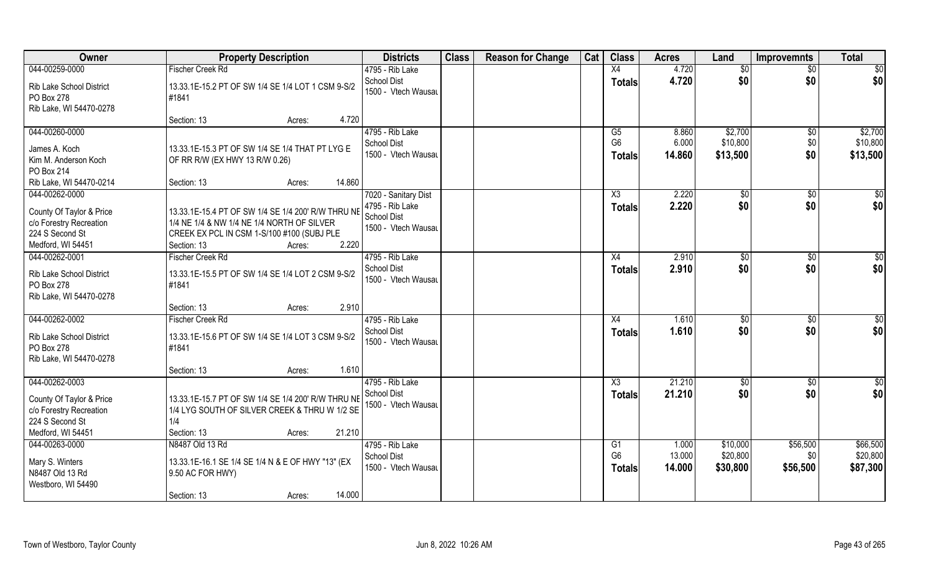| <b>Owner</b>                                                                                                  | <b>Property Description</b>                                                                                                                                                      | <b>Districts</b>                                                              | <b>Class</b> | <b>Reason for Change</b> | Cat | <b>Class</b>                          | <b>Acres</b>             | Land                            | <b>Improvemnts</b> | <b>Total</b>                    |
|---------------------------------------------------------------------------------------------------------------|----------------------------------------------------------------------------------------------------------------------------------------------------------------------------------|-------------------------------------------------------------------------------|--------------|--------------------------|-----|---------------------------------------|--------------------------|---------------------------------|--------------------|---------------------------------|
| 044-00259-0000                                                                                                | <b>Fischer Creek Rd</b>                                                                                                                                                          | 4795 - Rib Lake                                                               |              |                          |     | X4                                    | 4.720                    | \$0                             | $\overline{50}$    | $\overline{50}$                 |
| Rib Lake School District<br>PO Box 278<br>Rib Lake, WI 54470-0278                                             | 13.33.1E-15.2 PT OF SW 1/4 SE 1/4 LOT 1 CSM 9-S/2<br>#1841                                                                                                                       | <b>School Dist</b><br>1500 - Vtech Wausau                                     |              |                          |     | <b>Totals</b>                         | 4.720                    | \$0                             | \$0                | \$0                             |
|                                                                                                               | 4.720<br>Section: 13<br>Acres:                                                                                                                                                   |                                                                               |              |                          |     |                                       |                          |                                 |                    |                                 |
| 044-00260-0000<br>James A. Koch<br>Kim M. Anderson Koch<br>PO Box 214                                         | 13.33.1E-15.3 PT OF SW 1/4 SE 1/4 THAT PT LYG E<br>OF RR R/W (EX HWY 13 R/W 0.26)                                                                                                | 4795 - Rib Lake<br><b>School Dist</b><br>1500 - Vtech Wausau                  |              |                          |     | G5<br>G <sub>6</sub><br><b>Totals</b> | 8.860<br>6.000<br>14.860 | \$2,700<br>\$10,800<br>\$13,500 | \$0<br>\$0<br>\$0  | \$2,700<br>\$10,800<br>\$13,500 |
| Rib Lake, WI 54470-0214                                                                                       | 14.860<br>Section: 13<br>Acres:                                                                                                                                                  |                                                                               |              |                          |     |                                       |                          |                                 |                    |                                 |
| 044-00262-0000<br>County Of Taylor & Price<br>c/o Forestry Recreation<br>224 S Second St<br>Medford, WI 54451 | 13.33.1E-15.4 PT OF SW 1/4 SE 1/4 200' R/W THRU NE<br>1/4 NE 1/4 & NW 1/4 NE 1/4 NORTH OF SILVER<br>CREEK EX PCL IN CSM 1-S/100 #100 (SUBJ PLE<br>2.220<br>Section: 13<br>Acres: | 7020 - Sanitary Dist<br>4795 - Rib Lake<br>School Dist<br>1500 - Vtech Wausau |              |                          |     | X3<br><b>Totals</b>                   | 2.220<br>2.220           | $\sqrt[6]{30}$<br>\$0           | $\sqrt{6}$<br>\$0  | \$0<br>\$0                      |
| 044-00262-0001                                                                                                | Fischer Creek Rd                                                                                                                                                                 | 4795 - Rib Lake                                                               |              |                          |     | X4                                    | 2.910                    | $\sqrt[6]{3}$                   | \$0                | \$0                             |
| Rib Lake School District<br>PO Box 278<br>Rib Lake, WI 54470-0278                                             | 13.33.1E-15.5 PT OF SW 1/4 SE 1/4 LOT 2 CSM 9-S/2<br>#1841                                                                                                                       | <b>School Dist</b><br>1500 - Vtech Wausau                                     |              |                          |     | <b>Totals</b>                         | 2.910                    | \$0                             | \$0                | \$0                             |
|                                                                                                               | 2.910<br>Section: 13<br>Acres:                                                                                                                                                   |                                                                               |              |                          |     |                                       |                          |                                 |                    |                                 |
| 044-00262-0002<br>Rib Lake School District<br>PO Box 278<br>Rib Lake, WI 54470-0278                           | <b>Fischer Creek Rd</b><br>13.33.1E-15.6 PT OF SW 1/4 SE 1/4 LOT 3 CSM 9-S/2<br>#1841                                                                                            | 4795 - Rib Lake<br>School Dist<br>1500 - Vtech Wausau                         |              |                          |     | X4<br><b>Totals</b>                   | 1.610<br>1.610           | $\sqrt[6]{}$<br>\$0             | \$0<br>\$0         | \$0<br>\$0                      |
|                                                                                                               | 1.610<br>Section: 13<br>Acres:                                                                                                                                                   |                                                                               |              |                          |     |                                       |                          |                                 |                    |                                 |
| 044-00262-0003<br>County Of Taylor & Price<br>c/o Forestry Recreation<br>224 S Second St<br>Medford, WI 54451 | 13.33.1E-15.7 PT OF SW 1/4 SE 1/4 200' R/W THRU NE<br>1/4 LYG SOUTH OF SILVER CREEK & THRU W 1/2 SE<br>1/4<br>21.210<br>Section: 13<br>Acres:                                    | 4795 - Rib Lake<br>School Dist<br>1500 - Vtech Wausau                         |              |                          |     | X3<br><b>Totals</b>                   | 21.210<br>21.210         | $\sqrt{6}$<br>\$0               | \$0<br>\$0         | \$0<br>\$0                      |
| 044-00263-0000                                                                                                | N8487 Old 13 Rd                                                                                                                                                                  | 4795 - Rib Lake                                                               |              |                          |     | G1                                    | 1.000                    | \$10,000                        | \$56,500           | \$66,500                        |
| Mary S. Winters<br>N8487 Old 13 Rd<br>Westboro, WI 54490                                                      | 13.33.1E-16.1 SE 1/4 SE 1/4 N & E OF HWY "13" (EX<br>9.50 AC FOR HWY)                                                                                                            | School Dist<br>1500 - Vtech Wausau                                            |              |                          |     | G <sub>6</sub><br><b>Totals</b>       | 13.000<br>14.000         | \$20,800<br>\$30,800            | \$0<br>\$56,500    | \$20,800<br>\$87,300            |
|                                                                                                               | 14.000<br>Section: 13<br>Acres:                                                                                                                                                  |                                                                               |              |                          |     |                                       |                          |                                 |                    |                                 |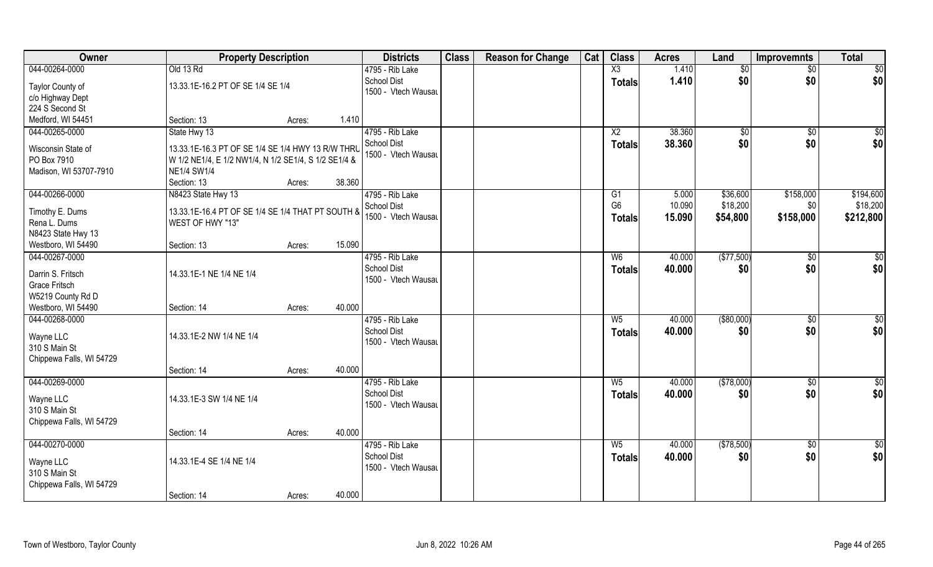| Owner                    | <b>Property Description</b>                          |        |        | <b>Districts</b>                      | <b>Class</b> | <b>Reason for Change</b> | Cat | <b>Class</b>           | <b>Acres</b> | Land        | <b>Improvemnts</b> | <b>Total</b>    |
|--------------------------|------------------------------------------------------|--------|--------|---------------------------------------|--------------|--------------------------|-----|------------------------|--------------|-------------|--------------------|-----------------|
| 044-00264-0000           | Old 13 Rd                                            |        |        | 4795 - Rib Lake                       |              |                          |     | $\overline{\text{X3}}$ | 1.410        | \$0         | $\sqrt{$0}$        | $\sqrt{50}$     |
| Taylor County of         | 13.33.1E-16.2 PT OF SE 1/4 SE 1/4                    |        |        | <b>School Dist</b>                    |              |                          |     | <b>Totals</b>          | 1.410        | \$0         | \$0                | \$0             |
| c/o Highway Dept         |                                                      |        |        | 1500 - Vtech Wausau                   |              |                          |     |                        |              |             |                    |                 |
| 224 S Second St          |                                                      |        |        |                                       |              |                          |     |                        |              |             |                    |                 |
| Medford, WI 54451        | Section: 13                                          | Acres: | 1.410  |                                       |              |                          |     |                        |              |             |                    |                 |
| 044-00265-0000           | State Hwy 13                                         |        |        | 4795 - Rib Lake                       |              |                          |     | X <sub>2</sub>         | 38.360       | $\sqrt{50}$ | \$0                | $\sqrt{50}$     |
| Wisconsin State of       | 13.33.1E-16.3 PT OF SE 1/4 SE 1/4 HWY 13 R/W THRU    |        |        | <b>School Dist</b>                    |              |                          |     | Totals                 | 38.360       | \$0         | \$0                | \$0             |
| PO Box 7910              | W 1/2 NE1/4, E 1/2 NW1/4, N 1/2 SE1/4, S 1/2 SE1/4 & |        |        | 1500 - Vtech Wausau                   |              |                          |     |                        |              |             |                    |                 |
| Madison, WI 53707-7910   | <b>NE1/4 SW1/4</b>                                   |        |        |                                       |              |                          |     |                        |              |             |                    |                 |
|                          | Section: 13                                          | Acres: | 38.360 |                                       |              |                          |     |                        |              |             |                    |                 |
| 044-00266-0000           | N8423 State Hwy 13                                   |        |        | 4795 - Rib Lake                       |              |                          |     | G1                     | 5.000        | \$36,600    | \$158,000          | \$194,600       |
|                          |                                                      |        |        | School Dist                           |              |                          |     | G <sub>6</sub>         | 10.090       | \$18,200    | \$0                | \$18,200        |
| Timothy E. Dums          | 13.33.1E-16.4 PT OF SE 1/4 SE 1/4 THAT PT SOUTH &    |        |        | 1500 - Vtech Wausau                   |              |                          |     | <b>Totals</b>          | 15.090       | \$54,800    | \$158,000          | \$212,800       |
| Rena L. Dums             | WEST OF HWY "13"                                     |        |        |                                       |              |                          |     |                        |              |             |                    |                 |
| N8423 State Hwy 13       |                                                      |        |        |                                       |              |                          |     |                        |              |             |                    |                 |
| Westboro, WI 54490       | Section: 13                                          | Acres: | 15.090 |                                       |              |                          |     |                        |              |             |                    |                 |
| 044-00267-0000           |                                                      |        |        | 4795 - Rib Lake                       |              |                          |     | W <sub>6</sub>         | 40.000       | (\$77,500)  | $\sqrt[6]{3}$      | $\sqrt{50}$     |
| Darrin S. Fritsch        | 14.33.1E-1 NE 1/4 NE 1/4                             |        |        | School Dist                           |              |                          |     | <b>Totals</b>          | 40.000       | \$0         | \$0                | \$0             |
| <b>Grace Fritsch</b>     |                                                      |        |        | 1500 - Vtech Wausau                   |              |                          |     |                        |              |             |                    |                 |
| W5219 County Rd D        |                                                      |        |        |                                       |              |                          |     |                        |              |             |                    |                 |
| Westboro, WI 54490       | Section: 14                                          | Acres: | 40.000 |                                       |              |                          |     |                        |              |             |                    |                 |
| 044-00268-0000           |                                                      |        |        | 4795 - Rib Lake                       |              |                          |     | $W_5$                  | 40.000       | ( \$80,000) | \$0                | $\sqrt{50}$     |
| Wayne LLC                | 14.33.1E-2 NW 1/4 NE 1/4                             |        |        | <b>School Dist</b>                    |              |                          |     | <b>Totals</b>          | 40.000       | \$0         | \$0                | \$0             |
| 310 S Main St            |                                                      |        |        | 1500 - Vtech Wausau                   |              |                          |     |                        |              |             |                    |                 |
| Chippewa Falls, WI 54729 |                                                      |        |        |                                       |              |                          |     |                        |              |             |                    |                 |
|                          | Section: 14                                          | Acres: | 40.000 |                                       |              |                          |     |                        |              |             |                    |                 |
| 044-00269-0000           |                                                      |        |        | 4795 - Rib Lake                       |              |                          |     | $W_5$                  | 40.000       | (\$78,000)  | $\sqrt{$0}$        | \$0             |
|                          |                                                      |        |        | <b>School Dist</b>                    |              |                          |     | <b>Totals</b>          | 40.000       | \$0         | \$0                | \$0             |
| Wayne LLC                | 14.33.1E-3 SW 1/4 NE 1/4                             |        |        | 1500 - Vtech Wausau                   |              |                          |     |                        |              |             |                    |                 |
| 310 S Main St            |                                                      |        |        |                                       |              |                          |     |                        |              |             |                    |                 |
| Chippewa Falls, WI 54729 |                                                      |        |        |                                       |              |                          |     |                        |              |             |                    |                 |
|                          | Section: 14                                          | Acres: | 40.000 |                                       |              |                          |     |                        |              |             |                    |                 |
| 044-00270-0000           |                                                      |        |        | 4795 - Rib Lake<br><b>School Dist</b> |              |                          |     | $W_5$                  | 40.000       | (\$78,500)  | $\sqrt{$0}$        | $\overline{50}$ |
| Wayne LLC                | 14.33.1E-4 SE 1/4 NE 1/4                             |        |        | 1500 - Vtech Wausau                   |              |                          |     | <b>Totals</b>          | 40.000       | \$0         | \$0                | \$0             |
| 310 S Main St            |                                                      |        |        |                                       |              |                          |     |                        |              |             |                    |                 |
| Chippewa Falls, WI 54729 |                                                      |        |        |                                       |              |                          |     |                        |              |             |                    |                 |
|                          | Section: 14                                          | Acres: | 40.000 |                                       |              |                          |     |                        |              |             |                    |                 |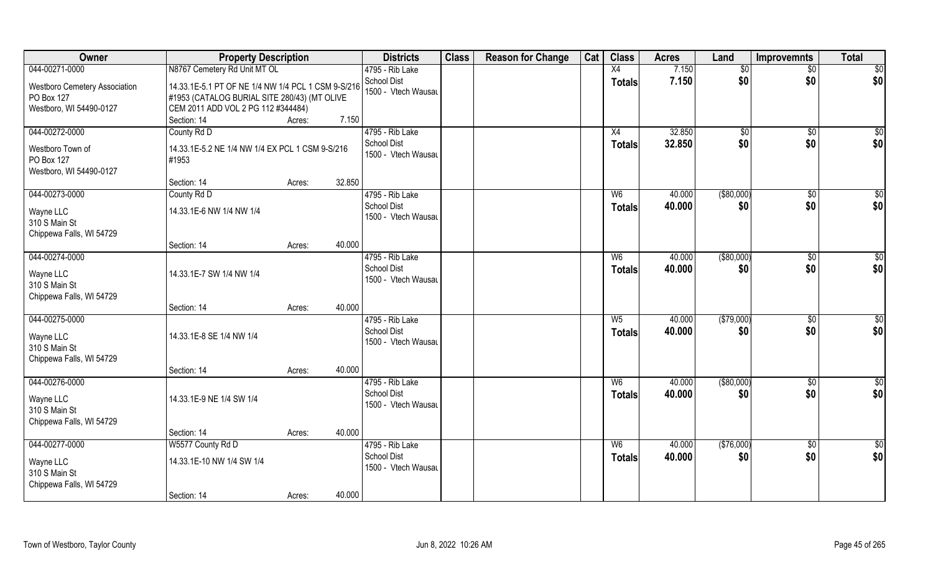| Owner                                                                    | <b>Property Description</b>                                                                        |                  | <b>Districts</b>                                             | <b>Class</b> | <b>Reason for Change</b> | Cat | <b>Class</b>                    | <b>Acres</b>     | Land              | <b>Improvemnts</b>   | <b>Total</b>           |
|--------------------------------------------------------------------------|----------------------------------------------------------------------------------------------------|------------------|--------------------------------------------------------------|--------------|--------------------------|-----|---------------------------------|------------------|-------------------|----------------------|------------------------|
| 044-00271-0000                                                           | N8767 Cemetery Rd Unit MT OL                                                                       |                  | 4795 - Rib Lake                                              |              |                          |     | X4                              | 7.150            | \$0               | $\overline{50}$      | \$0                    |
| <b>Westboro Cemetery Association</b><br>PO Box 127                       | 14.33.1E-5.1 PT OF NE 1/4 NW 1/4 PCL 1 CSM 9-S/216<br>#1953 (CATALOG BURIAL SITE 280/43) (MT OLIVE |                  | School Dist<br>1500 - Vtech Wausau                           |              |                          |     | <b>Totals</b>                   | 7.150            | \$0               | \$0                  | \$0                    |
| Westboro, WI 54490-0127                                                  | CEM 2011 ADD VOL 2 PG 112 #344484)                                                                 |                  |                                                              |              |                          |     |                                 |                  |                   |                      |                        |
|                                                                          | Section: 14                                                                                        | 7.150<br>Acres:  |                                                              |              |                          |     |                                 |                  |                   |                      |                        |
| 044-00272-0000                                                           | County Rd D                                                                                        |                  | 4795 - Rib Lake                                              |              |                          |     | X4                              | 32.850           | \$0               | $\overline{50}$      | $\sqrt{50}$            |
| Westboro Town of<br>PO Box 127<br>Westboro, WI 54490-0127                | 14.33.1E-5.2 NE 1/4 NW 1/4 EX PCL 1 CSM 9-S/216<br>#1953                                           |                  | School Dist<br>1500 - Vtech Wausau                           |              |                          |     | <b>Totals</b>                   | 32.850           | \$0               | \$0                  | \$0                    |
|                                                                          | Section: 14                                                                                        | 32.850<br>Acres: |                                                              |              |                          |     |                                 |                  |                   |                      |                        |
| 044-00273-0000                                                           | County Rd D                                                                                        |                  | 4795 - Rib Lake                                              |              |                          |     | W <sub>6</sub>                  | 40.000           | ( \$80,000)       | $\sqrt[6]{30}$       | \$0                    |
| Wayne LLC<br>310 S Main St<br>Chippewa Falls, WI 54729                   | 14.33.1E-6 NW 1/4 NW 1/4                                                                           |                  | <b>School Dist</b><br>1500 - Vtech Wausau                    |              |                          |     | <b>Totals</b>                   | 40.000           | \$0               | \$0                  | \$0                    |
|                                                                          | Section: 14                                                                                        | 40.000<br>Acres: |                                                              |              |                          |     |                                 |                  |                   |                      |                        |
| 044-00274-0000                                                           |                                                                                                    |                  | 4795 - Rib Lake                                              |              |                          |     | W <sub>6</sub>                  | 40.000           | ( \$80,000)       | \$0                  | \$0                    |
| Wayne LLC<br>310 S Main St<br>Chippewa Falls, WI 54729                   | 14.33.1E-7 SW 1/4 NW 1/4                                                                           |                  | <b>School Dist</b><br>1500 - Vtech Wausau                    |              |                          |     | <b>Totals</b>                   | 40.000           | \$0               | \$0                  | \$0                    |
|                                                                          | Section: 14                                                                                        | 40.000<br>Acres: |                                                              |              |                          |     |                                 |                  |                   |                      |                        |
| 044-00275-0000<br>Wayne LLC<br>310 S Main St<br>Chippewa Falls, WI 54729 | 14.33.1E-8 SE 1/4 NW 1/4                                                                           |                  | 4795 - Rib Lake<br><b>School Dist</b><br>1500 - Vtech Wausau |              |                          |     | W <sub>5</sub><br><b>Totals</b> | 40.000<br>40.000 | (\$79,000)<br>\$0 | $\sqrt[6]{3}$<br>\$0 | $\overline{50}$<br>\$0 |
|                                                                          | Section: 14                                                                                        | 40.000<br>Acres: |                                                              |              |                          |     |                                 |                  |                   |                      |                        |
| 044-00276-0000                                                           |                                                                                                    |                  | 4795 - Rib Lake                                              |              |                          |     | W <sub>6</sub>                  | 40.000           | $($ \$80,000)     | \$0                  | \$0                    |
| Wayne LLC<br>310 S Main St<br>Chippewa Falls, WI 54729                   | 14.33.1E-9 NE 1/4 SW 1/4                                                                           |                  | <b>School Dist</b><br>1500 - Vtech Wausau                    |              |                          |     | <b>Totals</b>                   | 40.000           | \$0               | \$0                  | \$0                    |
|                                                                          | Section: 14                                                                                        | 40.000<br>Acres: |                                                              |              |                          |     |                                 |                  |                   |                      |                        |
| 044-00277-0000                                                           | W5577 County Rd D                                                                                  |                  | 4795 - Rib Lake                                              |              |                          |     | W <sub>6</sub>                  | 40.000           | (\$76,000)        | $\sqrt{6}$           | $\overline{50}$        |
| Wayne LLC<br>310 S Main St<br>Chippewa Falls, WI 54729                   | 14.33.1E-10 NW 1/4 SW 1/4                                                                          |                  | <b>School Dist</b><br>1500 - Vtech Wausau                    |              |                          |     | <b>Totals</b>                   | 40.000           | \$0               | \$0                  | \$0                    |
|                                                                          | Section: 14                                                                                        | 40.000<br>Acres: |                                                              |              |                          |     |                                 |                  |                   |                      |                        |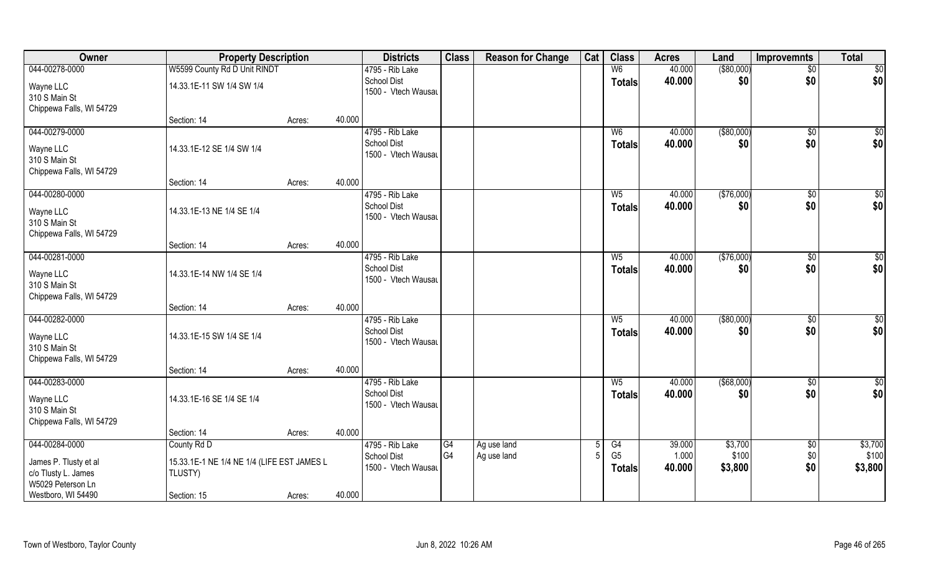| Owner                                                                                                     | <b>Property Description</b>                                                         |        |        | <b>Districts</b>                                             | <b>Class</b>         | <b>Reason for Change</b>   | Cat | <b>Class</b>                          | <b>Acres</b>              | Land                        | <b>Improvemnts</b>     | <b>Total</b>                |
|-----------------------------------------------------------------------------------------------------------|-------------------------------------------------------------------------------------|--------|--------|--------------------------------------------------------------|----------------------|----------------------------|-----|---------------------------------------|---------------------------|-----------------------------|------------------------|-----------------------------|
| 044-00278-0000                                                                                            | W5599 County Rd D Unit RINDT                                                        |        |        | 4795 - Rib Lake                                              |                      |                            |     | W <sub>6</sub>                        | 40.000                    | ( \$80,000)                 | $\sqrt{$0}$            | $\sqrt{50}$                 |
| Wayne LLC<br>310 S Main St<br>Chippewa Falls, WI 54729                                                    | 14.33.1E-11 SW 1/4 SW 1/4                                                           |        |        | <b>School Dist</b><br>1500 - Vtech Wausau                    |                      |                            |     | <b>Totals</b>                         | 40.000                    | \$0                         | \$0                    | \$0                         |
|                                                                                                           | Section: 14                                                                         | Acres: | 40.000 |                                                              |                      |                            |     |                                       |                           |                             |                        |                             |
| 044-00279-0000<br>Wayne LLC<br>310 S Main St<br>Chippewa Falls, WI 54729                                  | 14.33.1E-12 SE 1/4 SW 1/4                                                           |        |        | 4795 - Rib Lake<br><b>School Dist</b><br>1500 - Vtech Wausau |                      |                            |     | W <sub>6</sub><br>Totals              | 40.000<br>40.000          | ( \$80,000)<br>\$0          | \$0<br>\$0             | $\sqrt{50}$<br>\$0          |
|                                                                                                           | Section: 14                                                                         | Acres: | 40.000 |                                                              |                      |                            |     |                                       |                           |                             |                        |                             |
| 044-00280-0000<br>Wayne LLC<br>310 S Main St<br>Chippewa Falls, WI 54729                                  | 14.33.1E-13 NE 1/4 SE 1/4                                                           |        |        | 4795 - Rib Lake<br><b>School Dist</b><br>1500 - Vtech Wausau |                      |                            |     | $W_5$<br><b>Totals</b>                | 40.000<br>40.000          | (\$76,000)<br>\$0           | \$0<br>\$0             | $\sqrt{50}$<br>\$0          |
|                                                                                                           | Section: 14                                                                         | Acres: | 40.000 |                                                              |                      |                            |     |                                       |                           |                             |                        |                             |
| 044-00281-0000<br>Wayne LLC<br>310 S Main St<br>Chippewa Falls, WI 54729                                  | 14.33.1E-14 NW 1/4 SE 1/4                                                           |        |        | 4795 - Rib Lake<br><b>School Dist</b><br>1500 - Vtech Wausau |                      |                            |     | $W_5$<br><b>Totals</b>                | 40.000<br>40.000          | (\$76,000)<br>\$0           | $\sqrt[6]{3}$<br>\$0   | \$0<br>\$0                  |
|                                                                                                           | Section: 14                                                                         | Acres: | 40.000 |                                                              |                      |                            |     |                                       |                           |                             |                        |                             |
| 044-00282-0000<br>Wayne LLC<br>310 S Main St<br>Chippewa Falls, WI 54729                                  | 14.33.1E-15 SW 1/4 SE 1/4                                                           |        |        | 4795 - Rib Lake<br><b>School Dist</b><br>1500 - Vtech Wausau |                      |                            |     | $W_5$<br><b>Totals</b>                | 40.000<br>40.000          | $($ \$80,000)<br>\$0        | \$0<br>\$0             | $\overline{50}$<br>\$0      |
|                                                                                                           | Section: 14                                                                         | Acres: | 40.000 |                                                              |                      |                            |     |                                       |                           |                             |                        |                             |
| 044-00283-0000<br>Wayne LLC<br>310 S Main St<br>Chippewa Falls, WI 54729                                  | 14.33.1E-16 SE 1/4 SE 1/4                                                           |        |        | 4795 - Rib Lake<br><b>School Dist</b><br>1500 - Vtech Wausau |                      |                            |     | $W_5$<br><b>Totals</b>                | 40.000<br>40.000          | $($ \$68,000)<br>\$0        | $\overline{30}$<br>\$0 | $\overline{50}$<br>\$0      |
|                                                                                                           | Section: 14                                                                         | Acres: | 40.000 |                                                              |                      |                            |     |                                       |                           |                             |                        |                             |
| 044-00284-0000<br>James P. Tlusty et al<br>c/o Tlusty L. James<br>W5029 Peterson Ln<br>Westboro, WI 54490 | County Rd D<br>15.33.1E-1 NE 1/4 NE 1/4 (LIFE EST JAMES L<br>TLUSTY)<br>Section: 15 | Acres: | 40.000 | 4795 - Rib Lake<br><b>School Dist</b><br>1500 - Vtech Wausau | G4<br>G <sub>4</sub> | Ag use land<br>Ag use land |     | G4<br>G <sub>5</sub><br><b>Totals</b> | 39.000<br>1.000<br>40.000 | \$3,700<br>\$100<br>\$3,800 | \$0<br>\$0<br>\$0      | \$3,700<br>\$100<br>\$3,800 |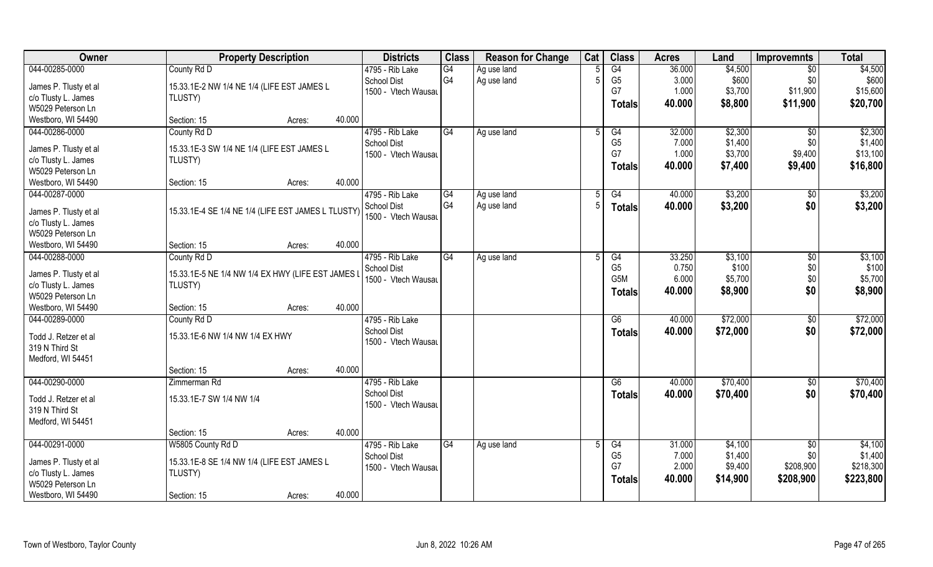| Owner                                        | <b>Property Description</b>                        | <b>Districts</b>                          | <b>Class</b> | <b>Reason for Change</b> | Cat | <b>Class</b>         | <b>Acres</b>    | Land     | Improvemnts     | <b>Total</b> |
|----------------------------------------------|----------------------------------------------------|-------------------------------------------|--------------|--------------------------|-----|----------------------|-----------------|----------|-----------------|--------------|
| 044-00285-0000                               | County Rd D                                        | 4795 - Rib Lake                           | G4           | Ag use land              |     | G4                   | 36.000          | \$4,500  | $\overline{50}$ | \$4,500      |
| James P. Tlusty et al                        | 15.33.1E-2 NW 1/4 NE 1/4 (LIFE EST JAMES L         | <b>School Dist</b>                        | G4           | Ag use land              | 5   | G <sub>5</sub>       | 3.000           | \$600    | \$0             | \$600        |
| c/o Tlusty L. James                          | TLUSTY)                                            | 1500 - Vtech Wausau                       |              |                          |     | G7                   | 1.000           | \$3,700  | \$11,900        | \$15,600     |
| W5029 Peterson Ln                            |                                                    |                                           |              |                          |     | <b>Totals</b>        | 40.000          | \$8,800  | \$11,900        | \$20,700     |
| Westboro, WI 54490                           | 40.000<br>Section: 15<br>Acres:                    |                                           |              |                          |     |                      |                 |          |                 |              |
| 044-00286-0000                               | County Rd D                                        | 4795 - Rib Lake                           | G4           | Ag use land              | 5   | G4                   | 32.000          | \$2,300  | $\overline{30}$ | \$2,300      |
|                                              |                                                    | <b>School Dist</b>                        |              |                          |     | G <sub>5</sub>       | 7.000           | \$1,400  | \$0             | \$1,400      |
| James P. Tlusty et al                        | 15.33.1E-3 SW 1/4 NE 1/4 (LIFE EST JAMES L         | 1500 - Vtech Wausau                       |              |                          |     | G7                   | 1.000           | \$3,700  | \$9,400         | \$13,100     |
| c/o Tlusty L. James                          | TLUSTY)                                            |                                           |              |                          |     | <b>Totals</b>        | 40.000          | \$7,400  | \$9,400         | \$16,800     |
| W5029 Peterson Ln                            |                                                    |                                           |              |                          |     |                      |                 |          |                 |              |
| Westboro, WI 54490                           | 40.000<br>Section: 15<br>Acres:                    |                                           |              |                          |     |                      |                 |          |                 |              |
| 044-00287-0000                               |                                                    | 4795 - Rib Lake                           | G4           | Ag use land              | 5   | G4                   | 40.000          | \$3,200  | $\sqrt[6]{3}$   | \$3,200      |
|                                              | 15.33.1E-4 SE 1/4 NE 1/4 (LIFE EST JAMES L TLUSTY) | <b>School Dist</b>                        | G4           | Ag use land              | -5  | <b>Totals</b>        | 40.000          | \$3,200  | \$0             | \$3,200      |
| James P. Tlusty et al<br>c/o Tlusty L. James |                                                    | 1500 - Vtech Wausau                       |              |                          |     |                      |                 |          |                 |              |
| W5029 Peterson Ln                            |                                                    |                                           |              |                          |     |                      |                 |          |                 |              |
| Westboro, WI 54490                           | 40.000<br>Section: 15<br>Acres:                    |                                           |              |                          |     |                      |                 |          |                 |              |
| 044-00288-0000                               |                                                    | 4795 - Rib Lake                           | G4           |                          |     |                      |                 | \$3,100  |                 | \$3,100      |
|                                              | County Rd D                                        |                                           |              | Ag use land              |     | G4<br>G <sub>5</sub> | 33.250<br>0.750 | \$100    | $\sqrt[6]{3}$   | \$100        |
| James P. Tlusty et al                        | 15.33.1E-5 NE 1/4 NW 1/4 EX HWY (LIFE EST JAMES I  | <b>School Dist</b><br>1500 - Vtech Wausau |              |                          |     | G5M                  | 6.000           | \$5,700  | \$0<br>\$0      | \$5,700      |
| c/o Tlusty L. James                          | TLUSTY)                                            |                                           |              |                          |     |                      |                 |          |                 |              |
| W5029 Peterson Ln                            |                                                    |                                           |              |                          |     | <b>Totals</b>        | 40.000          | \$8,900  | \$0             | \$8,900      |
| Westboro, WI 54490                           | 40.000<br>Section: 15<br>Acres:                    |                                           |              |                          |     |                      |                 |          |                 |              |
| 044-00289-0000                               | County Rd D                                        | 4795 - Rib Lake                           |              |                          |     | G6                   | 40.000          | \$72,000 | $\sqrt[6]{3}$   | \$72,000     |
|                                              |                                                    | <b>School Dist</b>                        |              |                          |     | <b>Totals</b>        | 40.000          | \$72,000 | \$0             | \$72,000     |
| Todd J. Retzer et al                         | 15.33.1E-6 NW 1/4 NW 1/4 EX HWY                    | 1500 - Vtech Wausau                       |              |                          |     |                      |                 |          |                 |              |
| 319 N Third St                               |                                                    |                                           |              |                          |     |                      |                 |          |                 |              |
| Medford, WI 54451                            | 40.000                                             |                                           |              |                          |     |                      |                 |          |                 |              |
|                                              | Section: 15<br>Acres:                              |                                           |              |                          |     |                      |                 |          |                 |              |
| 044-00290-0000                               | Zimmerman Rd                                       | 4795 - Rib Lake                           |              |                          |     | G6                   | 40.000          | \$70,400 | \$0             | \$70,400     |
| Todd J. Retzer et al                         | 15.33.1E-7 SW 1/4 NW 1/4                           | <b>School Dist</b>                        |              |                          |     | <b>Totals</b>        | 40.000          | \$70,400 | \$0             | \$70,400     |
| 319 N Third St                               |                                                    | 1500 - Vtech Wausau                       |              |                          |     |                      |                 |          |                 |              |
| Medford, WI 54451                            |                                                    |                                           |              |                          |     |                      |                 |          |                 |              |
|                                              | 40.000<br>Section: 15<br>Acres:                    |                                           |              |                          |     |                      |                 |          |                 |              |
| 044-00291-0000                               | W5805 County Rd D                                  | 4795 - Rib Lake                           | G4           | Ag use land              | 5   | G4                   | 31.000          | \$4,100  | \$0             | \$4,100      |
|                                              |                                                    | <b>School Dist</b>                        |              |                          |     | G <sub>5</sub>       | 7.000           | \$1,400  | \$0             | \$1,400      |
| James P. Tlusty et al                        | 15.33.1E-8 SE 1/4 NW 1/4 (LIFE EST JAMES L         | 1500 - Vtech Wausau                       |              |                          |     | G7                   | 2.000           | \$9,400  | \$208,900       | \$218,300    |
| c/o Tlusty L. James                          | TLUSTY)                                            |                                           |              |                          |     | <b>Totals</b>        | 40.000          | \$14,900 | \$208,900       | \$223,800    |
| W5029 Peterson Ln                            |                                                    |                                           |              |                          |     |                      |                 |          |                 |              |
| Westboro, WI 54490                           | 40.000<br>Section: 15<br>Acres:                    |                                           |              |                          |     |                      |                 |          |                 |              |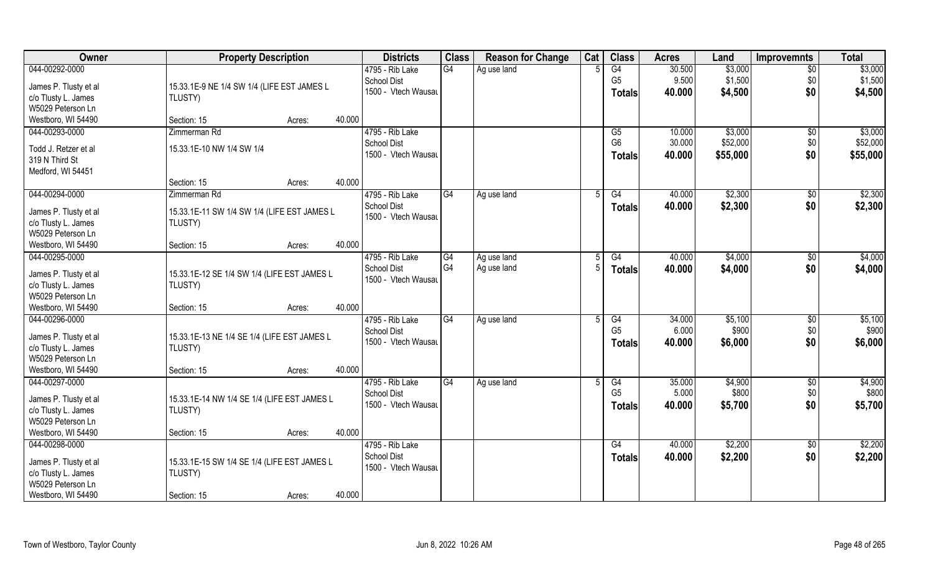| Owner                                        | <b>Property Description</b>                            | <b>Districts</b>    | <b>Class</b>    | <b>Reason for Change</b> | Cat | <b>Class</b>    | <b>Acres</b> | Land     | <b>Improvemnts</b>   | <b>Total</b> |
|----------------------------------------------|--------------------------------------------------------|---------------------|-----------------|--------------------------|-----|-----------------|--------------|----------|----------------------|--------------|
| 044-00292-0000                               |                                                        | 4795 - Rib Lake     | G4              | Ag use land              |     | G4              | 30.500       | \$3,000  | $\overline{50}$      | \$3,000      |
| James P. Tlusty et al                        | 15.33.1E-9 NE 1/4 SW 1/4 (LIFE EST JAMES L             | School Dist         |                 |                          |     | G <sub>5</sub>  | 9.500        | \$1,500  | \$0                  | \$1,500      |
| c/o Tlusty L. James                          | TLUSTY)                                                | 1500 - Vtech Wausau |                 |                          |     | <b>Totals</b>   | 40.000       | \$4,500  | \$0                  | \$4,500      |
| W5029 Peterson Ln                            |                                                        |                     |                 |                          |     |                 |              |          |                      |              |
| Westboro, WI 54490                           | 40.000<br>Section: 15<br>Acres:                        |                     |                 |                          |     |                 |              |          |                      |              |
| 044-00293-0000                               | Zimmerman Rd                                           | 4795 - Rib Lake     |                 |                          |     | G5              | 10.000       | \$3,000  | \$0                  | \$3,000      |
|                                              |                                                        | <b>School Dist</b>  |                 |                          |     | G <sub>6</sub>  | 30.000       | \$52,000 | \$0                  | \$52,000     |
| Todd J. Retzer et al                         | 15.33.1E-10 NW 1/4 SW 1/4                              | 1500 - Vtech Wausau |                 |                          |     | <b>Totals</b>   | 40.000       | \$55,000 | \$0                  | \$55,000     |
| 319 N Third St                               |                                                        |                     |                 |                          |     |                 |              |          |                      |              |
| Medford, WI 54451                            | 40.000<br>Section: 15                                  |                     |                 |                          |     |                 |              |          |                      |              |
| 044-00294-0000                               | Acres:<br>Zimmerman Rd                                 | 4795 - Rib Lake     | G4              |                          | .5  | G4              | 40.000       | \$2,300  |                      | \$2,300      |
|                                              |                                                        | <b>School Dist</b>  |                 | Ag use land              |     |                 | 40.000       | \$2,300  | $\sqrt[6]{3}$<br>\$0 |              |
| James P. Tlusty et al                        | 15.33.1E-11 SW 1/4 SW 1/4 (LIFE EST JAMES L            | 1500 - Vtech Wausau |                 |                          |     | <b>Totals</b>   |              |          |                      | \$2,300      |
| c/o Tlusty L. James                          | TLUSTY)                                                |                     |                 |                          |     |                 |              |          |                      |              |
| W5029 Peterson Ln                            |                                                        |                     |                 |                          |     |                 |              |          |                      |              |
| Westboro, WI 54490                           | 40.000<br>Section: 15<br>Acres:                        |                     |                 |                          |     |                 |              |          |                      |              |
| 044-00295-0000                               |                                                        | 4795 - Rib Lake     | G4              | Ag use land              |     | G4              | 40.000       | \$4,000  | \$0                  | \$4,000      |
| James P. Tlusty et al                        | 15.33.1E-12 SE 1/4 SW 1/4 (LIFE EST JAMES L            | <b>School Dist</b>  | G4              | Ag use land              | -5  | <b>Totals</b>   | 40.000       | \$4,000  | \$0                  | \$4,000      |
| c/o Tlusty L. James                          | TLUSTY)                                                | 1500 - Vtech Wausau |                 |                          |     |                 |              |          |                      |              |
| W5029 Peterson Ln                            |                                                        |                     |                 |                          |     |                 |              |          |                      |              |
| Westboro, WI 54490                           | 40.000<br>Section: 15<br>Acres:                        |                     |                 |                          |     |                 |              |          |                      |              |
| 044-00296-0000                               |                                                        | 4795 - Rib Lake     | $\overline{G4}$ | Ag use land              | 5   | $\overline{G4}$ | 34.000       | \$5,100  | $\sqrt[6]{30}$       | \$5,100      |
|                                              |                                                        | <b>School Dist</b>  |                 |                          |     | G <sub>5</sub>  | 6.000        | \$900    | \$0                  | \$900        |
| James P. Tlusty et al<br>c/o Tlusty L. James | 15.33.1E-13 NE 1/4 SE 1/4 (LIFE EST JAMES L<br>TLUSTY) | 1500 - Vtech Wausau |                 |                          |     | <b>Totals</b>   | 40.000       | \$6,000  | \$0                  | \$6,000      |
| W5029 Peterson Ln                            |                                                        |                     |                 |                          |     |                 |              |          |                      |              |
| Westboro, WI 54490                           | 40.000<br>Section: 15<br>Acres:                        |                     |                 |                          |     |                 |              |          |                      |              |
| 044-00297-0000                               |                                                        | 4795 - Rib Lake     | $\overline{G4}$ | Ag use land              |     | G4              | 35.000       | \$4,900  | $\overline{50}$      | \$4,900      |
|                                              |                                                        | <b>School Dist</b>  |                 |                          |     | G <sub>5</sub>  | 5.000        | \$800    | \$0                  | \$800        |
| James P. Tlusty et al                        | 15.33.1E-14 NW 1/4 SE 1/4 (LIFE EST JAMES L            | 1500 - Vtech Wausau |                 |                          |     | <b>Totals</b>   | 40.000       | \$5,700  | \$0                  | \$5,700      |
| c/o Tlusty L. James                          | TLUSTY)                                                |                     |                 |                          |     |                 |              |          |                      |              |
| W5029 Peterson Ln                            |                                                        |                     |                 |                          |     |                 |              |          |                      |              |
| Westboro, WI 54490                           | 40.000<br>Section: 15<br>Acres:                        |                     |                 |                          |     |                 |              |          |                      |              |
| 044-00298-0000                               |                                                        | 4795 - Rib Lake     |                 |                          |     | G4              | 40.000       | \$2,200  | $\overline{50}$      | \$2,200      |
| James P. Tlusty et al                        | 15.33.1E-15 SW 1/4 SE 1/4 (LIFE EST JAMES L            | <b>School Dist</b>  |                 |                          |     | <b>Totals</b>   | 40.000       | \$2,200  | \$0                  | \$2,200      |
| c/o Tlusty L. James                          | TLUSTY)                                                | 1500 - Vtech Wausau |                 |                          |     |                 |              |          |                      |              |
| W5029 Peterson Ln                            |                                                        |                     |                 |                          |     |                 |              |          |                      |              |
| Westboro, WI 54490                           | 40.000<br>Section: 15<br>Acres:                        |                     |                 |                          |     |                 |              |          |                      |              |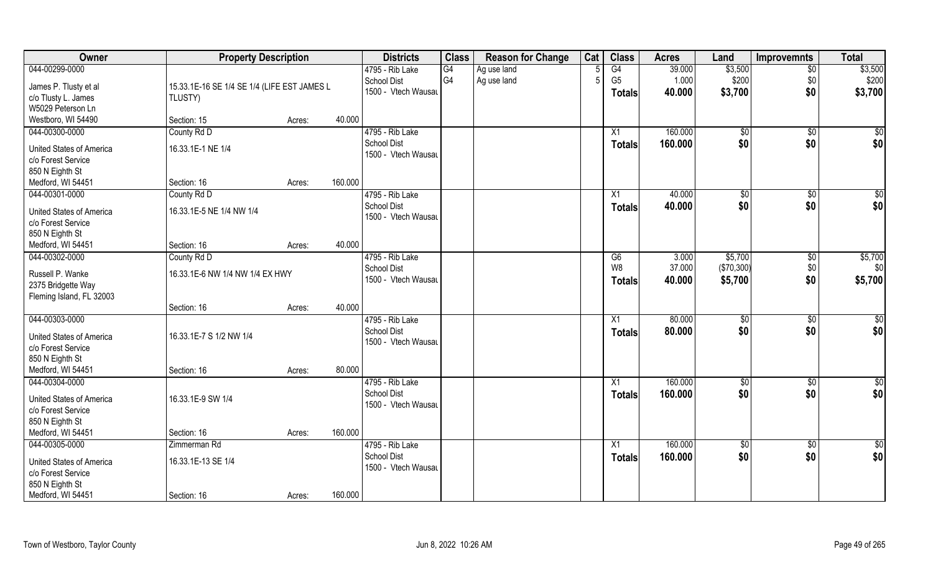| Owner                                                                                                           | <b>Property Description</b>                            |        |         | <b>Districts</b>                                             | <b>Class</b> | <b>Reason for Change</b>   | Cat | <b>Class</b>                          | <b>Acres</b>              | Land                             | Improvemnts                   | <b>Total</b>                |
|-----------------------------------------------------------------------------------------------------------------|--------------------------------------------------------|--------|---------|--------------------------------------------------------------|--------------|----------------------------|-----|---------------------------------------|---------------------------|----------------------------------|-------------------------------|-----------------------------|
| 044-00299-0000<br>James P. Tlusty et al<br>c/o Tlusty L. James<br>W5029 Peterson Ln                             | 15.33.1E-16 SE 1/4 SE 1/4 (LIFE EST JAMES L<br>TLUSTY) |        |         | 4795 - Rib Lake<br><b>School Dist</b><br>1500 - Vtech Wausau | G4<br>G4     | Ag use land<br>Ag use land | 5   | G4<br>G <sub>5</sub><br><b>Totals</b> | 39.000<br>1.000<br>40.000 | \$3,500<br>\$200<br>\$3,700      | $\overline{50}$<br>\$0<br>\$0 | \$3,500<br>\$200<br>\$3,700 |
| Westboro, WI 54490                                                                                              | Section: 15                                            | Acres: | 40.000  |                                                              |              |                            |     |                                       |                           |                                  |                               |                             |
| 044-00300-0000<br><b>United States of America</b><br>c/o Forest Service<br>850 N Eighth St                      | County Rd D<br>16.33.1E-1 NE 1/4                       |        | 160.000 | 4795 - Rib Lake<br>School Dist<br>1500 - Vtech Wausau        |              |                            |     | X1<br>Totals                          | 160.000<br>160.000        | \$0<br>\$0                       | \$0<br>\$0                    | $\sqrt{50}$<br>\$0          |
| Medford, WI 54451<br>044-00301-0000                                                                             | Section: 16<br>County Rd D                             | Acres: |         | 4795 - Rib Lake                                              |              |                            |     | X1                                    | 40.000                    | $\sqrt[6]{2}$                    | $\sqrt[6]{3}$                 | \$0                         |
| United States of America<br>c/o Forest Service<br>850 N Eighth St                                               | 16.33.1E-5 NE 1/4 NW 1/4                               |        |         | <b>School Dist</b><br>1500 - Vtech Wausau                    |              |                            |     | <b>Totals</b>                         | 40.000                    | \$0                              | \$0                           | \$0                         |
| Medford, WI 54451                                                                                               | Section: 16                                            | Acres: | 40.000  |                                                              |              |                            |     |                                       |                           |                                  |                               |                             |
| 044-00302-0000<br>Russell P. Wanke<br>2375 Bridgette Way<br>Fleming Island, FL 32003                            | County Rd D<br>16.33.1E-6 NW 1/4 NW 1/4 EX HWY         |        |         | 4795 - Rib Lake<br><b>School Dist</b><br>1500 - Vtech Wausau |              |                            |     | G6<br>W8<br><b>Totals</b>             | 3.000<br>37.000<br>40.000 | \$5,700<br>(\$70,300)<br>\$5,700 | \$0<br>\$0<br>\$0             | \$5,700<br>\$0<br>\$5,700   |
|                                                                                                                 | Section: 16                                            | Acres: | 40.000  |                                                              |              |                            |     |                                       |                           |                                  |                               |                             |
| 044-00303-0000<br>United States of America<br>c/o Forest Service<br>850 N Eighth St                             | 16.33.1E-7 S 1/2 NW 1/4                                |        |         | 4795 - Rib Lake<br><b>School Dist</b><br>1500 - Vtech Wausau |              |                            |     | X1<br><b>Totals</b>                   | 80.000<br>80.000          | \$0<br>\$0                       | $\overline{50}$<br>\$0        | $\overline{50}$<br>\$0      |
| Medford, WI 54451                                                                                               | Section: 16                                            | Acres: | 80.000  |                                                              |              |                            |     |                                       |                           |                                  |                               |                             |
| 044-00304-0000<br><b>United States of America</b><br>c/o Forest Service<br>850 N Eighth St                      | 16.33.1E-9 SW 1/4                                      |        |         | 4795 - Rib Lake<br><b>School Dist</b><br>1500 - Vtech Wausau |              |                            |     | X1<br><b>Totals</b>                   | 160.000<br>160.000        | $\sqrt{6}$<br>\$0                | \$0<br>\$0                    | $\overline{50}$<br>\$0      |
| Medford, WI 54451                                                                                               | Section: 16                                            | Acres: | 160.000 |                                                              |              |                            |     |                                       |                           |                                  |                               |                             |
| 044-00305-0000<br><b>United States of America</b><br>c/o Forest Service<br>850 N Eighth St<br>Medford, WI 54451 | Zimmerman Rd<br>16.33.1E-13 SE 1/4<br>Section: 16      | Acres: | 160.000 | 4795 - Rib Lake<br><b>School Dist</b><br>1500 - Vtech Wausau |              |                            |     | X1<br><b>Totals</b>                   | 160.000<br>160.000        | $\sqrt{$0}$<br>\$0               | $\sqrt{$0}$<br>\$0            | $\overline{50}$<br>\$0      |
|                                                                                                                 |                                                        |        |         |                                                              |              |                            |     |                                       |                           |                                  |                               |                             |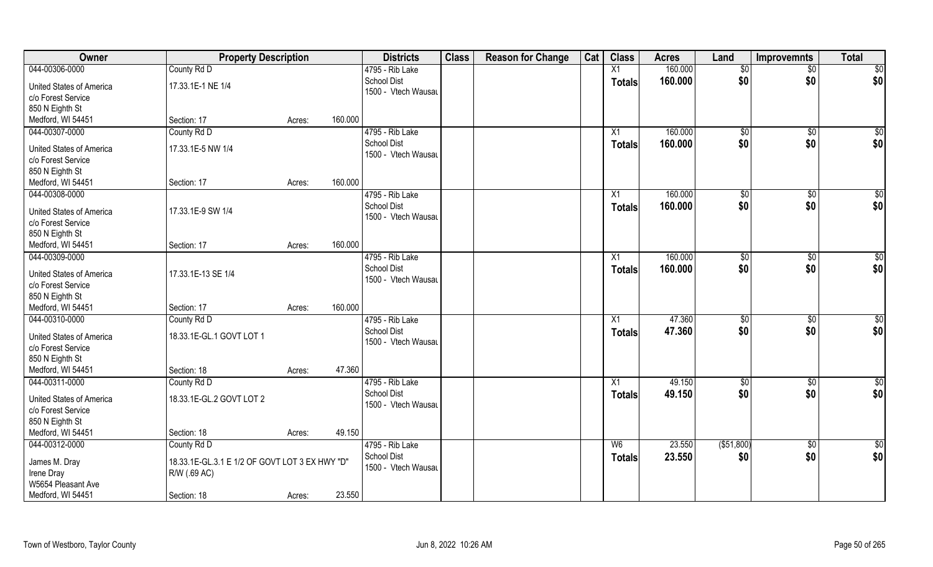| Owner                                                 | <b>Property Description</b>                    |        |         | <b>Districts</b>                      | <b>Class</b> | <b>Reason for Change</b> | Cat | <b>Class</b>    | <b>Acres</b> | Land          | <b>Improvemnts</b> | <b>Total</b>    |
|-------------------------------------------------------|------------------------------------------------|--------|---------|---------------------------------------|--------------|--------------------------|-----|-----------------|--------------|---------------|--------------------|-----------------|
| 044-00306-0000                                        | County Rd D                                    |        |         | 4795 - Rib Lake                       |              |                          |     | X1              | 160.000      | \$0           | $\sqrt{$0}$        | \$0             |
| <b>United States of America</b>                       | 17.33.1E-1 NE 1/4                              |        |         | <b>School Dist</b>                    |              |                          |     | <b>Totals</b>   | 160.000      | \$0           | \$0                | \$0             |
| c/o Forest Service                                    |                                                |        |         | 1500 - Vtech Wausau                   |              |                          |     |                 |              |               |                    |                 |
| 850 N Eighth St                                       |                                                |        |         |                                       |              |                          |     |                 |              |               |                    |                 |
| Medford, WI 54451                                     | Section: 17                                    | Acres: | 160.000 |                                       |              |                          |     |                 |              |               |                    |                 |
| 044-00307-0000                                        | County Rd D                                    |        |         | 4795 - Rib Lake                       |              |                          |     | $\overline{X1}$ | 160.000      | $\sqrt[6]{}$  | $\sqrt{$0}$        | \$0             |
| <b>United States of America</b>                       | 17.33.1E-5 NW 1/4                              |        |         | <b>School Dist</b>                    |              |                          |     | Totals          | 160.000      | \$0           | \$0                | \$0             |
| c/o Forest Service                                    |                                                |        |         | 1500 - Vtech Wausau                   |              |                          |     |                 |              |               |                    |                 |
| 850 N Eighth St                                       |                                                |        |         |                                       |              |                          |     |                 |              |               |                    |                 |
| Medford, WI 54451                                     | Section: 17                                    | Acres: | 160.000 |                                       |              |                          |     |                 |              |               |                    |                 |
| 044-00308-0000                                        |                                                |        |         | 4795 - Rib Lake                       |              |                          |     | X1              | 160.000      | \$0           | $\sqrt[6]{30}$     | \$0             |
|                                                       |                                                |        |         | <b>School Dist</b>                    |              |                          |     | <b>Totals</b>   | 160.000      | \$0           | \$0                | \$0             |
| <b>United States of America</b>                       | 17.33.1E-9 SW 1/4                              |        |         | 1500 - Vtech Wausau                   |              |                          |     |                 |              |               |                    |                 |
| c/o Forest Service                                    |                                                |        |         |                                       |              |                          |     |                 |              |               |                    |                 |
| 850 N Eighth St                                       |                                                |        |         |                                       |              |                          |     |                 |              |               |                    |                 |
| Medford, WI 54451                                     | Section: 17                                    | Acres: | 160.000 |                                       |              |                          |     |                 |              |               |                    |                 |
| 044-00309-0000                                        |                                                |        |         | 4795 - Rib Lake                       |              |                          |     | X1              | 160.000      | $\sqrt[6]{3}$ | $\sqrt[6]{3}$      | $\overline{50}$ |
| <b>United States of America</b>                       | 17.33.1E-13 SE 1/4                             |        |         | <b>School Dist</b>                    |              |                          |     | <b>Totals</b>   | 160.000      | \$0           | \$0                | \$0             |
| c/o Forest Service                                    |                                                |        |         | 1500 - Vtech Wausau                   |              |                          |     |                 |              |               |                    |                 |
| 850 N Eighth St                                       |                                                |        |         |                                       |              |                          |     |                 |              |               |                    |                 |
| Medford, WI 54451                                     | Section: 17                                    | Acres: | 160.000 |                                       |              |                          |     |                 |              |               |                    |                 |
| 044-00310-0000                                        | County Rd D                                    |        |         | 4795 - Rib Lake                       |              |                          |     | X1              | 47.360       | \$0           | $\sqrt[6]{3}$      | \$0             |
|                                                       |                                                |        |         | <b>School Dist</b>                    |              |                          |     | <b>Totals</b>   | 47.360       | \$0           | \$0                | \$0             |
| <b>United States of America</b><br>c/o Forest Service | 18.33.1E-GL.1 GOVT LOT 1                       |        |         | 1500 - Vtech Wausau                   |              |                          |     |                 |              |               |                    |                 |
|                                                       |                                                |        |         |                                       |              |                          |     |                 |              |               |                    |                 |
| 850 N Eighth St<br>Medford, WI 54451                  | Section: 18                                    |        | 47.360  |                                       |              |                          |     |                 |              |               |                    |                 |
| 044-00311-0000                                        |                                                | Acres: |         |                                       |              |                          |     |                 | 49.150       |               |                    |                 |
|                                                       | County Rd D                                    |        |         | 4795 - Rib Lake<br><b>School Dist</b> |              |                          |     | X1              |              | \$0           | \$0                | \$0             |
| <b>United States of America</b>                       | 18.33.1E-GL.2 GOVT LOT 2                       |        |         | 1500 - Vtech Wausau                   |              |                          |     | <b>Totals</b>   | 49.150       | \$0           | \$0                | \$0             |
| c/o Forest Service                                    |                                                |        |         |                                       |              |                          |     |                 |              |               |                    |                 |
| 850 N Eighth St                                       |                                                |        |         |                                       |              |                          |     |                 |              |               |                    |                 |
| Medford, WI 54451                                     | Section: 18                                    | Acres: | 49.150  |                                       |              |                          |     |                 |              |               |                    |                 |
| 044-00312-0000                                        | County Rd D                                    |        |         | 4795 - Rib Lake                       |              |                          |     | W <sub>6</sub>  | 23.550       | ( \$51,800)   | $\sqrt{$0}$        | $\overline{50}$ |
| James M. Dray                                         | 18.33.1E-GL.3.1 E 1/2 OF GOVT LOT 3 EX HWY "D" |        |         | <b>School Dist</b>                    |              |                          |     | <b>Totals</b>   | 23.550       | \$0           | \$0                | \$0             |
| Irene Dray                                            | R/W (.69 AC)                                   |        |         | 1500 - Vtech Wausau                   |              |                          |     |                 |              |               |                    |                 |
| W5654 Pleasant Ave                                    |                                                |        |         |                                       |              |                          |     |                 |              |               |                    |                 |
| Medford, WI 54451                                     | Section: 18                                    | Acres: | 23.550  |                                       |              |                          |     |                 |              |               |                    |                 |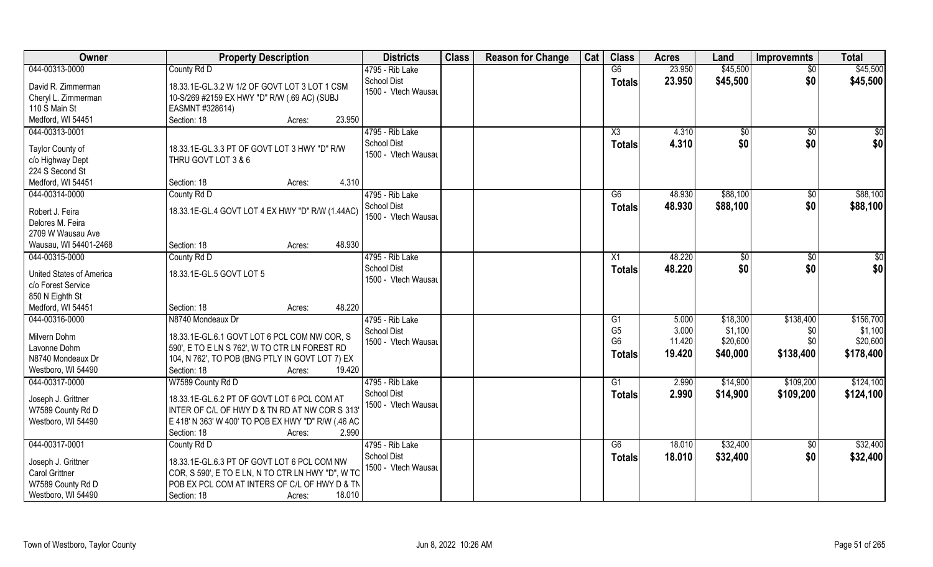| Owner                                                                                                    | <b>Property Description</b>                                                                                                                                                                              | <b>Districts</b>                                             | <b>Class</b> | <b>Reason for Change</b> | Cat | <b>Class</b>                                            | <b>Acres</b>                       | Land                                        | <b>Improvemnts</b>            | <b>Total</b>                                  |
|----------------------------------------------------------------------------------------------------------|----------------------------------------------------------------------------------------------------------------------------------------------------------------------------------------------------------|--------------------------------------------------------------|--------------|--------------------------|-----|---------------------------------------------------------|------------------------------------|---------------------------------------------|-------------------------------|-----------------------------------------------|
| 044-00313-0000                                                                                           | County Rd D                                                                                                                                                                                              | 4795 - Rib Lake                                              |              |                          |     | G6                                                      | 23.950                             | \$45,500                                    | $\overline{50}$               | \$45,500                                      |
| David R. Zimmerman<br>Cheryl L. Zimmerman<br>110 S Main St                                               | 18.33.1E-GL.3.2 W 1/2 OF GOVT LOT 3 LOT 1 CSM<br>10-S/269 #2159 EX HWY "D" R/W (.69 AC) (SUBJ<br>EASMNT #328614)<br>23.950                                                                               | School Dist<br>1500 - Vtech Wausau                           |              |                          |     | <b>Totals</b>                                           | 23.950                             | \$45,500                                    | \$0                           | \$45,500                                      |
| Medford, WI 54451<br>044-00313-0001                                                                      | Section: 18<br>Acres:                                                                                                                                                                                    | 4795 - Rib Lake                                              |              |                          |     |                                                         |                                    |                                             |                               |                                               |
| Taylor County of<br>c/o Highway Dept<br>224 S Second St                                                  | 18.33.1E-GL.3.3 PT OF GOVT LOT 3 HWY "D" R/W<br>THRU GOVT LOT 3 & 6                                                                                                                                      | <b>School Dist</b><br>1500 - Vtech Wausau                    |              |                          |     | X3<br>Totals                                            | 4.310<br>4.310                     | \$0<br>\$0                                  | \$0<br>\$0                    | $\sqrt{50}$<br>\$0                            |
| Medford, WI 54451                                                                                        | 4.310<br>Section: 18<br>Acres:                                                                                                                                                                           |                                                              |              |                          |     |                                                         |                                    |                                             |                               |                                               |
| 044-00314-0000<br>Robert J. Feira<br>Delores M. Feira<br>2709 W Wausau Ave<br>Wausau, WI 54401-2468      | County Rd D<br>18.33.1E-GL.4 GOVT LOT 4 EX HWY "D" R/W (1.44AC)<br>48.930<br>Section: 18<br>Acres:                                                                                                       | 4795 - Rib Lake<br><b>School Dist</b><br>1500 - Vtech Wausau |              |                          |     | G6<br><b>Totals</b>                                     | 48.930<br>48.930                   | \$88,100<br>\$88,100                        | \$0<br>\$0                    | \$88,100<br>\$88,100                          |
| 044-00315-0000                                                                                           | County Rd D                                                                                                                                                                                              | 4795 - Rib Lake                                              |              |                          |     | X1                                                      | 48.220                             | $\sqrt[6]{3}$                               | \$0                           | \$0                                           |
| United States of America<br>c/o Forest Service<br>850 N Eighth St                                        | 18.33.1E-GL.5 GOVT LOT 5                                                                                                                                                                                 | <b>School Dist</b><br>1500 - Vtech Wausau                    |              |                          |     | <b>Totals</b>                                           | 48.220                             | \$0                                         | \$0                           | \$0                                           |
| Medford, WI 54451                                                                                        | 48.220<br>Section: 18<br>Acres:                                                                                                                                                                          |                                                              |              |                          |     |                                                         |                                    |                                             |                               |                                               |
| 044-00316-0000<br>Milvern Dohm<br>Lavonne Dohm<br>N8740 Mondeaux Dr<br>Westboro, WI 54490                | N8740 Mondeaux Dr<br>18.33.1E-GL.6.1 GOVT LOT 6 PCL COM NW COR, S<br>590', E TO E LN S 762', W TO CTR LN FOREST RD<br>104, N 762', TO POB (BNG PTLY IN GOVT LOT 7) EX<br>Section: 18<br>19.420<br>Acres: | 4795 - Rib Lake<br><b>School Dist</b><br>1500 - Vtech Wausau |              |                          |     | G1<br>G <sub>5</sub><br>G <sub>6</sub><br><b>Totals</b> | 5.000<br>3.000<br>11.420<br>19.420 | \$18,300<br>\$1,100<br>\$20,600<br>\$40,000 | \$138,400<br>\$0<br>\$138,400 | \$156,700<br>\$1,100<br>\$20,600<br>\$178,400 |
| 044-00317-0000                                                                                           | W7589 County Rd D                                                                                                                                                                                        | 4795 - Rib Lake                                              |              |                          |     | G1                                                      | 2.990                              | \$14,900                                    | \$109,200                     | \$124,100                                     |
| Joseph J. Grittner<br>W7589 County Rd D<br>Westboro, WI 54490                                            | 18.33.1E-GL.6.2 PT OF GOVT LOT 6 PCL COM AT<br>INTER OF C/L OF HWY D & TN RD AT NW COR S 313'<br>E 418' N 363' W 400' TO POB EX HWY "D" R/W (.46 AC<br>2.990<br>Section: 18<br>Acres:                    | <b>School Dist</b><br>1500 - Vtech Wausau                    |              |                          |     | <b>Totals</b>                                           | 2.990                              | \$14,900                                    | \$109,200                     | \$124,100                                     |
| 044-00317-0001<br>Joseph J. Grittner<br><b>Carol Grittner</b><br>W7589 County Rd D<br>Westboro, WI 54490 | County Rd D<br>18.33.1E-GL.6.3 PT OF GOVT LOT 6 PCL COM NW<br>COR, S 590', E TO E LN, N TO CTR LN HWY "D", W TO<br>POB EX PCL COM AT INTERS OF C/L OF HWY D & TN<br>18.010<br>Section: 18<br>Acres:      | 4795 - Rib Lake<br><b>School Dist</b><br>1500 - Vtech Wausau |              |                          |     | G6<br><b>Totals</b>                                     | 18.010<br>18.010                   | \$32,400<br>\$32,400                        | $\overline{50}$<br>\$0        | \$32,400<br>\$32,400                          |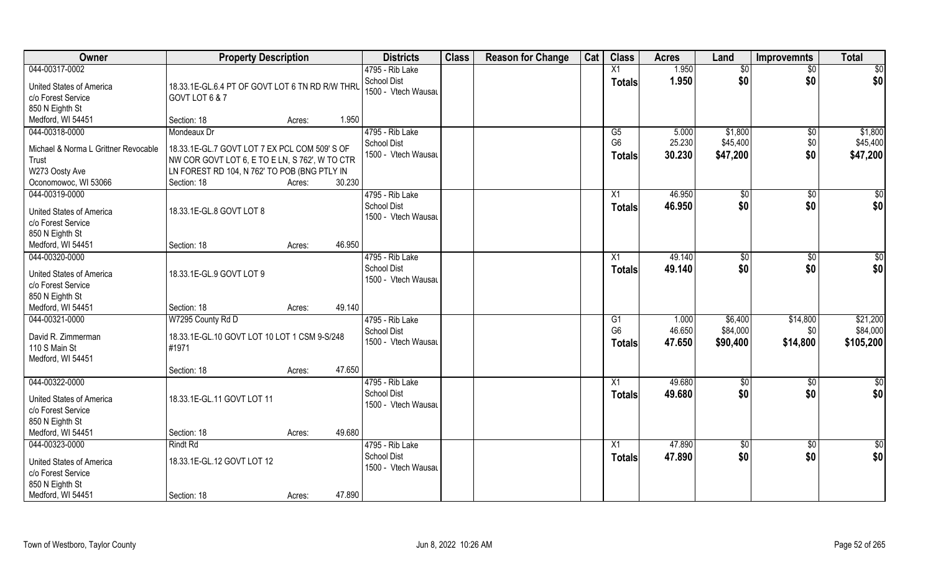| Owner                                                 | <b>Property Description</b>                                       |        |        | <b>Districts</b>                          | <b>Class</b> | <b>Reason for Change</b> | Cat | <b>Class</b>    | <b>Acres</b> | Land        | <b>Improvemnts</b> | <b>Total</b>  |
|-------------------------------------------------------|-------------------------------------------------------------------|--------|--------|-------------------------------------------|--------------|--------------------------|-----|-----------------|--------------|-------------|--------------------|---------------|
| 044-00317-0002                                        |                                                                   |        |        | 4795 - Rib Lake                           |              |                          |     | X1              | 1.950        | \$0         | \$0                | \$0           |
| <b>United States of America</b><br>c/o Forest Service | 18.33.1E-GL.6.4 PT OF GOVT LOT 6 TN RD R/W THRU<br>GOVT LOT 6 & 7 |        |        | <b>School Dist</b><br>1500 - Vtech Wausau |              |                          |     | <b>Totals</b>   | 1.950        | \$0         | \$0                | \$0           |
| 850 N Eighth St                                       |                                                                   |        |        |                                           |              |                          |     |                 |              |             |                    |               |
| Medford, WI 54451                                     | Section: 18                                                       | Acres: | 1.950  |                                           |              |                          |     |                 |              |             |                    |               |
| 044-00318-0000                                        | Mondeaux Dr                                                       |        |        | 4795 - Rib Lake                           |              |                          |     | G5              | 5.000        | \$1,800     | $\sqrt[6]{}$       | \$1,800       |
| Michael & Norma L Grittner Revocable                  | 18.33.1E-GL.7 GOVT LOT 7 EX PCL COM 509' S OF                     |        |        | <b>School Dist</b>                        |              |                          |     | G <sub>6</sub>  | 25.230       | \$45,400    | \$0                | \$45,400      |
| Trust                                                 | NW COR GOVT LOT 6, E TO E LN, S 762', W TO CTR                    |        |        | 1500 - Vtech Wausau                       |              |                          |     | <b>Totals</b>   | 30.230       | \$47,200    | \$0                | \$47,200      |
| W273 Oosty Ave                                        | LN FOREST RD 104, N 762' TO POB (BNG PTLY IN                      |        |        |                                           |              |                          |     |                 |              |             |                    |               |
| Oconomowoc, WI 53066                                  | Section: 18                                                       | Acres: | 30.230 |                                           |              |                          |     |                 |              |             |                    |               |
| 044-00319-0000                                        |                                                                   |        |        | 4795 - Rib Lake                           |              |                          |     | X1              | 46.950       | \$0         | \$0                | \$0           |
|                                                       |                                                                   |        |        | <b>School Dist</b>                        |              |                          |     | <b>Totals</b>   | 46.950       | \$0         | \$0                | \$0           |
| <b>United States of America</b><br>c/o Forest Service | 18.33.1E-GL.8 GOVT LOT 8                                          |        |        | 1500 - Vtech Wausau                       |              |                          |     |                 |              |             |                    |               |
| 850 N Eighth St                                       |                                                                   |        |        |                                           |              |                          |     |                 |              |             |                    |               |
| Medford, WI 54451                                     | Section: 18                                                       | Acres: | 46.950 |                                           |              |                          |     |                 |              |             |                    |               |
| 044-00320-0000                                        |                                                                   |        |        | 4795 - Rib Lake                           |              |                          |     | X1              | 49.140       | \$0         | \$0                | \$0           |
|                                                       |                                                                   |        |        | <b>School Dist</b>                        |              |                          |     |                 | 49.140       | \$0         | \$0                |               |
| United States of America                              | 18.33.1E-GL.9 GOVT LOT 9                                          |        |        | 1500 - Vtech Wausau                       |              |                          |     | <b>Totals</b>   |              |             |                    | \$0           |
| c/o Forest Service                                    |                                                                   |        |        |                                           |              |                          |     |                 |              |             |                    |               |
| 850 N Eighth St                                       |                                                                   |        |        |                                           |              |                          |     |                 |              |             |                    |               |
| Medford, WI 54451                                     | Section: 18                                                       | Acres: | 49.140 |                                           |              |                          |     |                 |              |             |                    |               |
| 044-00321-0000                                        | W7295 County Rd D                                                 |        |        | 4795 - Rib Lake                           |              |                          |     | G1              | 1.000        | \$6,400     | \$14,800           | \$21,200      |
| David R. Zimmerman                                    | 18.33.1E-GL.10 GOVT LOT 10 LOT 1 CSM 9-S/248                      |        |        | <b>School Dist</b>                        |              |                          |     | G <sub>6</sub>  | 46.650       | \$84,000    | \$0                | \$84,000      |
| 110 S Main St                                         | #1971                                                             |        |        | 1500 - Vtech Wausau                       |              |                          |     | <b>Totals</b>   | 47.650       | \$90,400    | \$14,800           | \$105,200     |
| Medford, WI 54451                                     |                                                                   |        |        |                                           |              |                          |     |                 |              |             |                    |               |
|                                                       | Section: 18                                                       | Acres: | 47.650 |                                           |              |                          |     |                 |              |             |                    |               |
| 044-00322-0000                                        |                                                                   |        |        | 4795 - Rib Lake                           |              |                          |     | X1              | 49.680       | \$0         | \$0                | $\frac{1}{2}$ |
|                                                       |                                                                   |        |        | <b>School Dist</b>                        |              |                          |     | <b>Totals</b>   | 49.680       | \$0         | \$0                | \$0           |
| United States of America                              | 18.33.1E-GL.11 GOVT LOT 11                                        |        |        | 1500 - Vtech Wausau                       |              |                          |     |                 |              |             |                    |               |
| c/o Forest Service                                    |                                                                   |        |        |                                           |              |                          |     |                 |              |             |                    |               |
| 850 N Eighth St                                       |                                                                   |        |        |                                           |              |                          |     |                 |              |             |                    |               |
| Medford, WI 54451                                     | Section: 18                                                       | Acres: | 49.680 |                                           |              |                          |     |                 |              |             |                    |               |
| 044-00323-0000                                        | <b>Rindt Rd</b>                                                   |        |        | 4795 - Rib Lake                           |              |                          |     | $\overline{X1}$ | 47.890       | $\sqrt{$0}$ | $\overline{50}$    | $\frac{1}{2}$ |
| <b>United States of America</b>                       | 18.33.1E-GL.12 GOVT LOT 12                                        |        |        | <b>School Dist</b>                        |              |                          |     | <b>Totals</b>   | 47.890       | \$0         | \$0                | \$0           |
| c/o Forest Service                                    |                                                                   |        |        | 1500 - Vtech Wausau                       |              |                          |     |                 |              |             |                    |               |
| 850 N Eighth St                                       |                                                                   |        |        |                                           |              |                          |     |                 |              |             |                    |               |
| Medford, WI 54451                                     | Section: 18                                                       | Acres: | 47.890 |                                           |              |                          |     |                 |              |             |                    |               |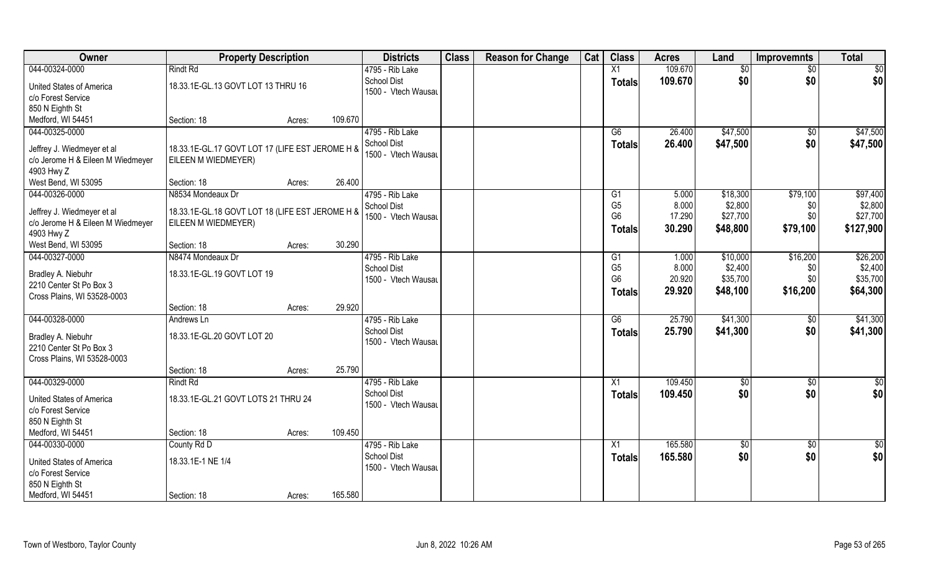| Owner<br><b>Class</b><br><b>Class</b><br><b>Districts</b><br><b>Reason for Change</b><br>Cat<br><b>Property Description</b><br>Land<br><b>Acres</b><br><b>Improvemnts</b> | <b>Total</b>    |
|---------------------------------------------------------------------------------------------------------------------------------------------------------------------------|-----------------|
| 044-00324-0000<br><b>Rindt Rd</b><br>X1<br>109.670<br>4795 - Rib Lake<br>\$0<br>\$0                                                                                       | \$0             |
| \$0<br><b>School Dist</b><br>109.670<br>\$0<br><b>Totals</b><br>18.33.1E-GL.13 GOVT LOT 13 THRU 16<br><b>United States of America</b>                                     | \$0             |
| 1500 - Vtech Wausau<br>c/o Forest Service                                                                                                                                 |                 |
| 850 N Eighth St                                                                                                                                                           |                 |
| 109.670<br>Medford, WI 54451<br>Section: 18<br>Acres:                                                                                                                     |                 |
| 044-00325-0000<br>4795 - Rib Lake<br>\$47,500<br>26.400<br>G6<br>\$0                                                                                                      | \$47,500        |
| \$47,500<br>\$0<br><b>School Dist</b><br>26.400<br><b>Totals</b>                                                                                                          | \$47,500        |
| 18.33.1E-GL.17 GOVT LOT 17 (LIFE EST JEROME H &<br>Jeffrey J. Wiedmeyer et al<br>1500 - Vtech Wausau                                                                      |                 |
| c/o Jerome H & Eileen M Wiedmeyer<br>EILEEN M WIEDMEYER)<br>4903 Hwy Z                                                                                                    |                 |
| 26.400<br>West Bend, WI 53095<br>Section: 18<br>Acres:                                                                                                                    |                 |
| 044-00326-0000<br>4795 - Rib Lake<br>\$79,100<br>\$18,300<br>N8534 Mondeaux Dr<br>G1<br>5.000                                                                             | \$97,400        |
| G <sub>5</sub><br>\$2,800<br>8.000<br>\$0<br><b>School Dist</b>                                                                                                           | \$2,800         |
| 18.33.1E-GL.18 GOVT LOT 18 (LIFE EST JEROME H &<br>Jeffrey J. Wiedmeyer et al<br>\$0<br>G <sub>6</sub><br>17.290<br>\$27,700<br>1500 - Vtech Wausau                       | \$27,700        |
| c/o Jerome H & Eileen M Wiedmeyer<br>EILEEN M WIEDMEYER)<br>\$79,100<br>30.290<br>\$48,800<br><b>Totals</b>                                                               | \$127,900       |
| 4903 Hwy Z                                                                                                                                                                |                 |
| 30.290<br>West Bend, WI 53095<br>Section: 18<br>Acres:                                                                                                                    |                 |
| 044-00327-0000<br>4795 - Rib Lake<br>\$16,200<br>N8474 Mondeaux Dr<br>\$10,000<br>G1<br>1.000                                                                             | \$26,200        |
| G <sub>5</sub><br>8.000<br>\$2,400<br><b>School Dist</b><br>\$0<br>18.33.1E-GL.19 GOVT LOT 19<br>Bradley A. Niebuhr                                                       | \$2,400         |
| G <sub>6</sub><br>20.920<br>\$35,700<br>\$0<br>1500 - Vtech Wausau<br>2210 Center St Po Box 3                                                                             | \$35,700        |
| \$16,200<br>29.920<br>\$48,100<br><b>Totals</b><br>Cross Plains, WI 53528-0003                                                                                            | \$64,300        |
| 29.920<br>Section: 18<br>Acres:                                                                                                                                           |                 |
| 044-00328-0000<br>$\overline{G6}$<br>25.790<br>\$41,300<br>4795 - Rib Lake<br>$\sqrt[6]{}$<br>Andrews Ln                                                                  | \$41,300        |
| <b>School Dist</b><br>\$41,300<br>\$0<br>25.790<br><b>Totals</b>                                                                                                          | \$41,300        |
| 18.33.1E-GL.20 GOVT LOT 20<br>Bradley A. Niebuhr<br>1500 - Vtech Wausau                                                                                                   |                 |
| 2210 Center St Po Box 3                                                                                                                                                   |                 |
| Cross Plains, WI 53528-0003                                                                                                                                               |                 |
| 25.790<br>Section: 18<br>Acres:                                                                                                                                           |                 |
| 044-00329-0000<br>109.450<br>4795 - Rib Lake<br>$\overline{X1}$<br>$\overline{50}$<br><b>Rindt Rd</b><br>$\frac{6}{5}$                                                    | $\overline{50}$ |
| \$0<br>\$0<br><b>School Dist</b><br>109.450<br><b>Totals</b><br>United States of America<br>18.33.1E-GL.21 GOVT LOTS 21 THRU 24                                           | \$0             |
| 1500 - Vtech Wausau<br>c/o Forest Service                                                                                                                                 |                 |
| 850 N Eighth St                                                                                                                                                           |                 |
| 109.450<br>Medford, WI 54451<br>Section: 18<br>Acres:                                                                                                                     |                 |
| 044-00330-0000<br>4795 - Rib Lake<br>165.580<br>County Rd D<br>X1<br>$\overline{50}$<br>$\overline{60}$                                                                   | \$0             |
| \$0<br><b>School Dist</b><br>\$0<br>165.580<br><b>Totals</b><br>18.33.1E-1 NE 1/4                                                                                         | \$0             |
| <b>United States of America</b><br>1500 - Vtech Wausau<br>c/o Forest Service                                                                                              |                 |
| 850 N Eighth St                                                                                                                                                           |                 |
| Medford, WI 54451<br>165.580<br>Section: 18<br>Acres:                                                                                                                     |                 |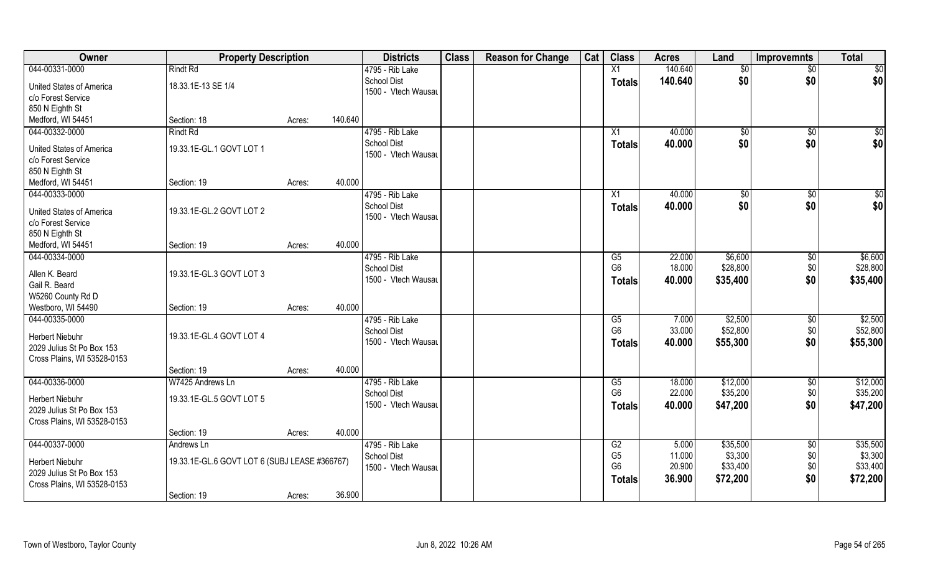| Owner                       | <b>Property Description</b>                   |        | <b>Districts</b>                          | <b>Class</b> | <b>Reason for Change</b> | Cat | <b>Class</b>         | <b>Acres</b>    | Land                | <b>Improvemnts</b>    | <b>Total</b>        |
|-----------------------------|-----------------------------------------------|--------|-------------------------------------------|--------------|--------------------------|-----|----------------------|-----------------|---------------------|-----------------------|---------------------|
| 044-00331-0000              | <b>Rindt Rd</b>                               |        | 4795 - Rib Lake                           |              |                          |     | X1                   | 140.640         | $\sqrt{6}$          | $\overline{50}$       | \$0                 |
| United States of America    | 18.33.1E-13 SE 1/4                            |        | <b>School Dist</b><br>1500 - Vtech Wausau |              |                          |     | <b>Totals</b>        | 140.640         | \$0                 | \$0                   | \$0                 |
| c/o Forest Service          |                                               |        |                                           |              |                          |     |                      |                 |                     |                       |                     |
| 850 N Eighth St             |                                               |        |                                           |              |                          |     |                      |                 |                     |                       |                     |
| Medford, WI 54451           | Section: 18                                   | Acres: | 140.640                                   |              |                          |     |                      |                 |                     |                       |                     |
| 044-00332-0000              | <b>Rindt Rd</b>                               |        | 4795 - Rib Lake                           |              |                          |     | X1                   | 40.000          | \$0                 | \$0                   | $\sqrt{50}$         |
| United States of America    | 19.33.1E-GL.1 GOVT LOT 1                      |        | <b>School Dist</b>                        |              |                          |     | Totals               | 40.000          | \$0                 | \$0                   | \$0                 |
| c/o Forest Service          |                                               |        | 1500 - Vtech Wausau                       |              |                          |     |                      |                 |                     |                       |                     |
| 850 N Eighth St             |                                               |        |                                           |              |                          |     |                      |                 |                     |                       |                     |
| Medford, WI 54451           | Section: 19                                   | Acres: | 40.000                                    |              |                          |     |                      |                 |                     |                       |                     |
| 044-00333-0000              |                                               |        | 4795 - Rib Lake                           |              |                          |     | X1                   | 40.000          | $\sqrt[6]{3}$       | $\sqrt{6}$            | \$0                 |
| United States of America    | 19.33.1E-GL.2 GOVT LOT 2                      |        | <b>School Dist</b>                        |              |                          |     | <b>Totals</b>        | 40.000          | \$0                 | \$0                   | \$0                 |
| c/o Forest Service          |                                               |        | 1500 - Vtech Wausau                       |              |                          |     |                      |                 |                     |                       |                     |
| 850 N Eighth St             |                                               |        |                                           |              |                          |     |                      |                 |                     |                       |                     |
| Medford, WI 54451           | Section: 19                                   | Acres: | 40.000                                    |              |                          |     |                      |                 |                     |                       |                     |
| 044-00334-0000              |                                               |        | 4795 - Rib Lake                           |              |                          |     | G5                   | 22.000          | \$6,600             | \$0                   | \$6,600             |
|                             |                                               |        | School Dist                               |              |                          |     | G <sub>6</sub>       | 18.000          | \$28,800            | \$0                   | \$28,800            |
| Allen K. Beard              | 19.33.1E-GL.3 GOVT LOT 3                      |        | 1500 - Vtech Wausau                       |              |                          |     | <b>Totals</b>        | 40.000          | \$35,400            | \$0                   | \$35,400            |
| Gail R. Beard               |                                               |        |                                           |              |                          |     |                      |                 |                     |                       |                     |
| W5260 County Rd D           |                                               |        | 40.000                                    |              |                          |     |                      |                 |                     |                       |                     |
| Westboro, WI 54490          | Section: 19                                   | Acres: |                                           |              |                          |     |                      |                 |                     |                       |                     |
| 044-00335-0000              |                                               |        | 4795 - Rib Lake<br><b>School Dist</b>     |              |                          |     | G5<br>G <sub>6</sub> | 7.000<br>33.000 | \$2,500<br>\$52,800 | $\sqrt[6]{30}$<br>\$0 | \$2,500<br>\$52,800 |
| <b>Herbert Niebuhr</b>      | 19.33.1E-GL.4 GOVT LOT 4                      |        | 1500 - Vtech Wausau                       |              |                          |     |                      | 40.000          | \$55,300            | \$0                   | \$55,300            |
| 2029 Julius St Po Box 153   |                                               |        |                                           |              |                          |     | <b>Totals</b>        |                 |                     |                       |                     |
| Cross Plains, WI 53528-0153 |                                               |        |                                           |              |                          |     |                      |                 |                     |                       |                     |
|                             | Section: 19                                   | Acres: | 40.000                                    |              |                          |     |                      |                 |                     |                       |                     |
| 044-00336-0000              | W7425 Andrews Ln                              |        | 4795 - Rib Lake                           |              |                          |     | G5                   | 18.000          | \$12,000            | $\sqrt{$0}$           | \$12,000            |
| <b>Herbert Niebuhr</b>      | 19.33.1E-GL.5 GOVT LOT 5                      |        | <b>School Dist</b>                        |              |                          |     | G <sub>6</sub>       | 22.000          | \$35,200            | \$0                   | \$35,200            |
| 2029 Julius St Po Box 153   |                                               |        | 1500 - Vtech Wausau                       |              |                          |     | <b>Totals</b>        | 40.000          | \$47,200            | \$0                   | \$47,200            |
| Cross Plains, WI 53528-0153 |                                               |        |                                           |              |                          |     |                      |                 |                     |                       |                     |
|                             | Section: 19                                   | Acres: | 40.000                                    |              |                          |     |                      |                 |                     |                       |                     |
| 044-00337-0000              | Andrews Ln                                    |        | 4795 - Rib Lake                           |              |                          |     | G2                   | 5.000           | \$35,500            | $\overline{50}$       | \$35,500            |
| <b>Herbert Niebuhr</b>      | 19.33.1E-GL.6 GOVT LOT 6 (SUBJ LEASE #366767) |        | <b>School Dist</b>                        |              |                          |     | G <sub>5</sub>       | 11.000          | \$3,300             | \$0                   | \$3,300             |
| 2029 Julius St Po Box 153   |                                               |        | 1500 - Vtech Wausau                       |              |                          |     | G <sub>6</sub>       | 20.900          | \$33,400            | \$0                   | \$33,400            |
| Cross Plains, WI 53528-0153 |                                               |        |                                           |              |                          |     | <b>Totals</b>        | 36.900          | \$72,200            | \$0                   | \$72,200            |
|                             | Section: 19                                   | Acres: | 36.900                                    |              |                          |     |                      |                 |                     |                       |                     |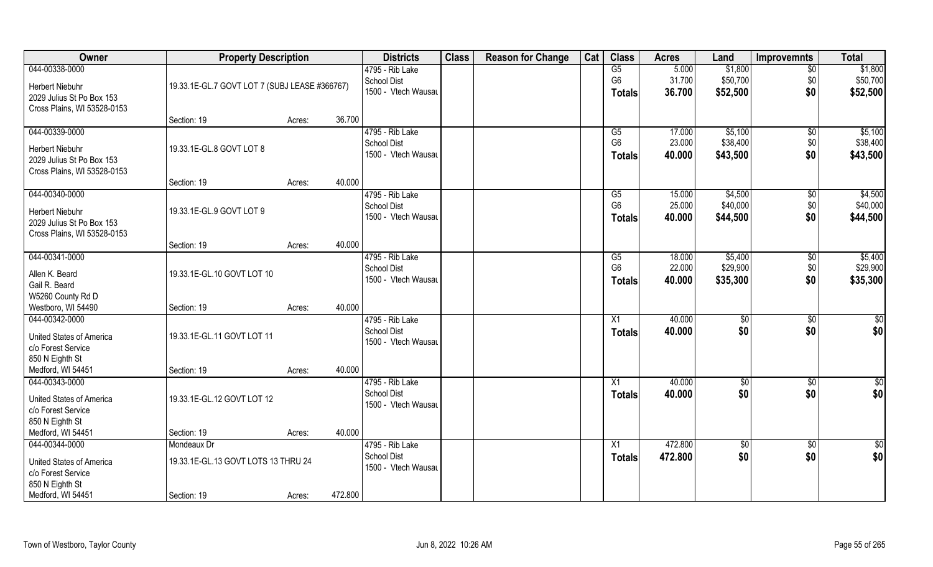| Owner                                                                                                           | <b>Property Description</b>                                       |        |         | <b>Districts</b>                                             | <b>Class</b> | <b>Reason for Change</b> | Cat | <b>Class</b>                          | <b>Acres</b>               | Land                            | <b>Improvemnts</b>            | <b>Total</b>                    |
|-----------------------------------------------------------------------------------------------------------------|-------------------------------------------------------------------|--------|---------|--------------------------------------------------------------|--------------|--------------------------|-----|---------------------------------------|----------------------------|---------------------------------|-------------------------------|---------------------------------|
| 044-00338-0000<br><b>Herbert Niebuhr</b><br>2029 Julius St Po Box 153<br>Cross Plains, WI 53528-0153            | 19.33.1E-GL.7 GOVT LOT 7 (SUBJ LEASE #366767)                     |        |         | 4795 - Rib Lake<br><b>School Dist</b><br>1500 - Vtech Wausau |              |                          |     | G5<br>G <sub>6</sub><br><b>Totals</b> | 5.000<br>31.700<br>36.700  | \$1,800<br>\$50,700<br>\$52,500 | $\overline{50}$<br>\$0<br>\$0 | \$1,800<br>\$50,700<br>\$52,500 |
|                                                                                                                 | Section: 19                                                       | Acres: | 36.700  |                                                              |              |                          |     |                                       |                            |                                 |                               |                                 |
| 044-00339-0000<br><b>Herbert Niebuhr</b><br>2029 Julius St Po Box 153<br>Cross Plains, WI 53528-0153            | 19.33.1E-GL.8 GOVT LOT 8                                          |        |         | 4795 - Rib Lake<br>School Dist<br>1500 - Vtech Wausau        |              |                          |     | G5<br>G <sub>6</sub><br><b>Totals</b> | 17.000<br>23.000<br>40.000 | \$5,100<br>\$38,400<br>\$43,500 | \$0<br>\$0<br>\$0             | \$5,100<br>\$38,400<br>\$43,500 |
|                                                                                                                 | Section: 19                                                       | Acres: | 40.000  |                                                              |              |                          |     |                                       |                            |                                 |                               |                                 |
| 044-00340-0000<br><b>Herbert Niebuhr</b><br>2029 Julius St Po Box 153<br>Cross Plains, WI 53528-0153            | 19.33.1E-GL.9 GOVT LOT 9                                          |        |         | 4795 - Rib Lake<br><b>School Dist</b><br>1500 - Vtech Wausau |              |                          |     | G5<br>G <sub>6</sub><br><b>Totals</b> | 15.000<br>25.000<br>40.000 | \$4,500<br>\$40,000<br>\$44,500 | \$0<br>\$0<br>\$0             | \$4,500<br>\$40,000<br>\$44,500 |
|                                                                                                                 | Section: 19                                                       | Acres: | 40.000  |                                                              |              |                          |     |                                       |                            |                                 |                               |                                 |
| 044-00341-0000<br>Allen K. Beard<br>Gail R. Beard<br>W5260 County Rd D                                          | 19.33.1E-GL.10 GOVT LOT 10                                        |        |         | 4795 - Rib Lake<br><b>School Dist</b><br>1500 - Vtech Wausau |              |                          |     | G5<br>G <sub>6</sub><br><b>Totals</b> | 18.000<br>22.000<br>40.000 | \$5,400<br>\$29,900<br>\$35,300 | \$0<br>\$0<br>\$0             | \$5,400<br>\$29,900<br>\$35,300 |
| Westboro, WI 54490                                                                                              | Section: 19                                                       | Acres: | 40.000  |                                                              |              |                          |     |                                       |                            |                                 |                               |                                 |
| 044-00342-0000<br>United States of America<br>c/o Forest Service<br>850 N Eighth St                             | 19.33.1E-GL.11 GOVT LOT 11                                        |        |         | 4795 - Rib Lake<br><b>School Dist</b><br>1500 - Vtech Wausau |              |                          |     | X1<br><b>Totals</b>                   | 40.000<br>40.000           | \$0<br>\$0                      | \$0<br>\$0                    | $\overline{50}$<br>\$0          |
| Medford, WI 54451                                                                                               | Section: 19                                                       | Acres: | 40.000  |                                                              |              |                          |     |                                       |                            |                                 |                               |                                 |
| 044-00343-0000<br><b>United States of America</b><br>c/o Forest Service<br>850 N Eighth St                      | 19.33.1E-GL.12 GOVT LOT 12                                        |        |         | 4795 - Rib Lake<br><b>School Dist</b><br>1500 - Vtech Wausau |              |                          |     | X1<br><b>Totals</b>                   | 40.000<br>40.000           | \$0<br>\$0                      | \$0<br>\$0                    | $\overline{50}$<br>\$0          |
| Medford, WI 54451                                                                                               | Section: 19                                                       | Acres: | 40.000  |                                                              |              |                          |     |                                       |                            |                                 |                               |                                 |
| 044-00344-0000<br><b>United States of America</b><br>c/o Forest Service<br>850 N Eighth St<br>Medford, WI 54451 | Mondeaux Dr<br>19.33.1E-GL.13 GOVT LOTS 13 THRU 24<br>Section: 19 | Acres: | 472.800 | 4795 - Rib Lake<br><b>School Dist</b><br>1500 - Vtech Wausau |              |                          |     | X1<br><b>Totals</b>                   | 472.800<br>472.800         | $\sqrt{$0}$<br>\$0              | $\sqrt{$0}$<br>\$0            | $\overline{50}$<br>\$0          |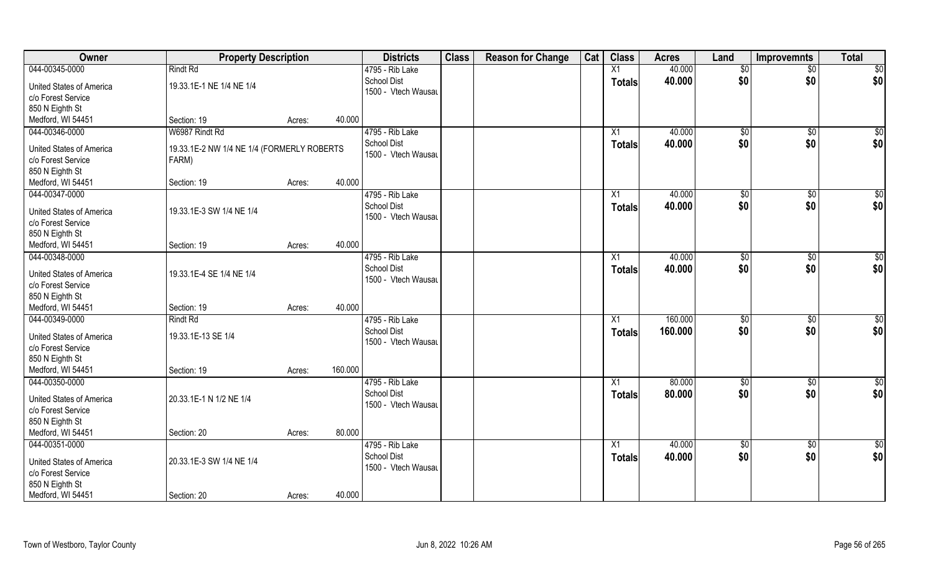| Owner                           | <b>Property Description</b>                |                   | <b>Districts</b>    | <b>Class</b> | <b>Reason for Change</b> | Cat | <b>Class</b>  | <b>Acres</b> | Land            | <b>Improvemnts</b> | <b>Total</b>    |
|---------------------------------|--------------------------------------------|-------------------|---------------------|--------------|--------------------------|-----|---------------|--------------|-----------------|--------------------|-----------------|
| 044-00345-0000                  | <b>Rindt Rd</b>                            |                   | 4795 - Rib Lake     |              |                          |     | X1            | 40.000       | \$0             | $\overline{50}$    | \$0             |
| United States of America        | 19.33.1E-1 NE 1/4 NE 1/4                   |                   | <b>School Dist</b>  |              |                          |     | <b>Totals</b> | 40.000       | \$0             | \$0                | \$0             |
| c/o Forest Service              |                                            |                   | 1500 - Vtech Wausau |              |                          |     |               |              |                 |                    |                 |
| 850 N Eighth St                 |                                            |                   |                     |              |                          |     |               |              |                 |                    |                 |
| Medford, WI 54451               | Section: 19                                | 40.000<br>Acres:  |                     |              |                          |     |               |              |                 |                    |                 |
| 044-00346-0000                  | W6987 Rindt Rd                             |                   | 4795 - Rib Lake     |              |                          |     | X1            | 40.000       | $\sqrt[6]{}$    | $\sqrt{$0}$        | $\sqrt{50}$     |
|                                 |                                            |                   | <b>School Dist</b>  |              |                          |     |               | 40.000       | \$0             | \$0                | \$0             |
| United States of America        | 19.33.1E-2 NW 1/4 NE 1/4 (FORMERLY ROBERTS |                   | 1500 - Vtech Wausau |              |                          |     | Totals        |              |                 |                    |                 |
| c/o Forest Service              | FARM)                                      |                   |                     |              |                          |     |               |              |                 |                    |                 |
| 850 N Eighth St                 |                                            |                   |                     |              |                          |     |               |              |                 |                    |                 |
| Medford, WI 54451               | Section: 19                                | 40.000<br>Acres:  |                     |              |                          |     |               |              |                 |                    |                 |
| 044-00347-0000                  |                                            |                   | 4795 - Rib Lake     |              |                          |     | X1            | 40.000       | \$0             | $\sqrt[6]{30}$     | \$0             |
|                                 |                                            |                   | <b>School Dist</b>  |              |                          |     | <b>Totals</b> | 40.000       | \$0             | \$0                | \$0             |
| United States of America        | 19.33.1E-3 SW 1/4 NE 1/4                   |                   | 1500 - Vtech Wausau |              |                          |     |               |              |                 |                    |                 |
| c/o Forest Service              |                                            |                   |                     |              |                          |     |               |              |                 |                    |                 |
| 850 N Eighth St                 |                                            | 40.000            |                     |              |                          |     |               |              |                 |                    |                 |
| Medford, WI 54451               | Section: 19                                | Acres:            |                     |              |                          |     |               |              |                 |                    |                 |
| 044-00348-0000                  |                                            |                   | 4795 - Rib Lake     |              |                          |     | X1            | 40.000       | $\frac{1}{20}$  | $\sqrt[6]{3}$      | \$0             |
| <b>United States of America</b> | 19.33.1E-4 SE 1/4 NE 1/4                   |                   | School Dist         |              |                          |     | <b>Totals</b> | 40.000       | \$0             | \$0                | \$0             |
| c/o Forest Service              |                                            |                   | 1500 - Vtech Wausau |              |                          |     |               |              |                 |                    |                 |
| 850 N Eighth St                 |                                            |                   |                     |              |                          |     |               |              |                 |                    |                 |
| Medford, WI 54451               | Section: 19                                | 40.000<br>Acres:  |                     |              |                          |     |               |              |                 |                    |                 |
| 044-00349-0000                  | <b>Rindt Rd</b>                            |                   | 4795 - Rib Lake     |              |                          |     | X1            | 160.000      | \$0             | $\sqrt[6]{3}$      | \$0             |
|                                 |                                            |                   | <b>School Dist</b>  |              |                          |     | <b>Totals</b> | 160.000      | \$0             | \$0                | \$0             |
| United States of America        | 19.33.1E-13 SE 1/4                         |                   | 1500 - Vtech Wausau |              |                          |     |               |              |                 |                    |                 |
| c/o Forest Service              |                                            |                   |                     |              |                          |     |               |              |                 |                    |                 |
| 850 N Eighth St                 |                                            |                   |                     |              |                          |     |               |              |                 |                    |                 |
| Medford, WI 54451               | Section: 19                                | 160.000<br>Acres: |                     |              |                          |     |               |              |                 |                    |                 |
| 044-00350-0000                  |                                            |                   | 4795 - Rib Lake     |              |                          |     | X1            | 80.000       | \$0             | \$0                | \$0             |
| <b>United States of America</b> | 20.33.1E-1 N 1/2 NE 1/4                    |                   | <b>School Dist</b>  |              |                          |     | <b>Totals</b> | 80.000       | \$0             | \$0                | \$0             |
| c/o Forest Service              |                                            |                   | 1500 - Vtech Wausau |              |                          |     |               |              |                 |                    |                 |
| 850 N Eighth St                 |                                            |                   |                     |              |                          |     |               |              |                 |                    |                 |
| Medford, WI 54451               | Section: 20                                | 80.000<br>Acres:  |                     |              |                          |     |               |              |                 |                    |                 |
| 044-00351-0000                  |                                            |                   | 4795 - Rib Lake     |              |                          |     | X1            | 40.000       | $\overline{50}$ | $\sqrt{$0}$        | $\overline{50}$ |
|                                 |                                            |                   | <b>School Dist</b>  |              |                          |     | <b>Totals</b> | 40.000       | \$0             | \$0                | \$0             |
| <b>United States of America</b> | 20.33.1E-3 SW 1/4 NE 1/4                   |                   | 1500 - Vtech Wausau |              |                          |     |               |              |                 |                    |                 |
| c/o Forest Service              |                                            |                   |                     |              |                          |     |               |              |                 |                    |                 |
| 850 N Eighth St                 |                                            |                   |                     |              |                          |     |               |              |                 |                    |                 |
| Medford, WI 54451               | Section: 20                                | 40.000<br>Acres:  |                     |              |                          |     |               |              |                 |                    |                 |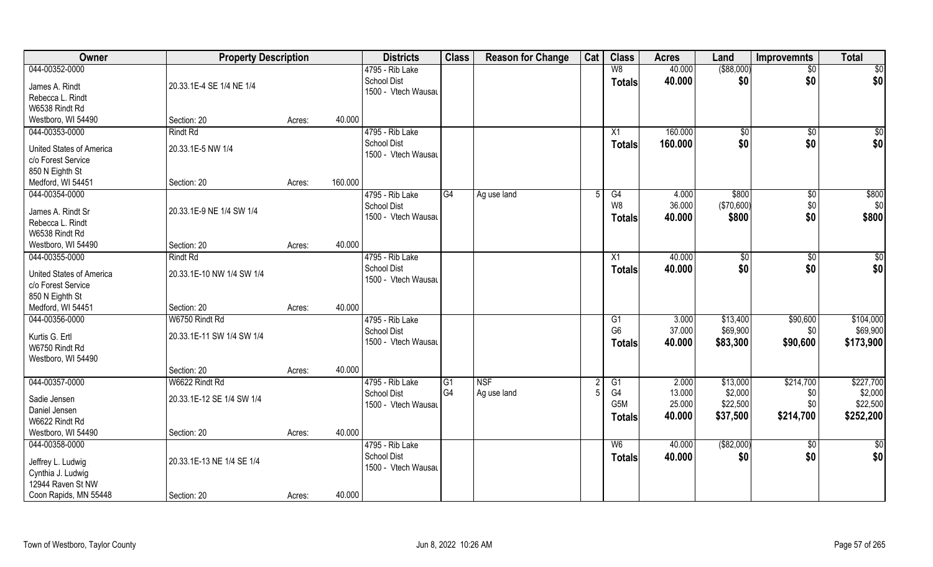| Owner                           | <b>Property Description</b> |        |         | <b>Districts</b>    | <b>Class</b> | <b>Reason for Change</b> | Cat | <b>Class</b>           | <b>Acres</b>     | Land                | <b>Improvemnts</b> | <b>Total</b>        |
|---------------------------------|-----------------------------|--------|---------|---------------------|--------------|--------------------------|-----|------------------------|------------------|---------------------|--------------------|---------------------|
| 044-00352-0000                  |                             |        |         | 4795 - Rib Lake     |              |                          |     | W8                     | 40.000           | ( \$88,000)         | $\sqrt{50}$        | \$0                 |
| James A. Rindt                  | 20.33.1E-4 SE 1/4 NE 1/4    |        |         | <b>School Dist</b>  |              |                          |     | <b>Totals</b>          | 40.000           | \$0                 | \$0                | \$0                 |
| Rebecca L. Rindt                |                             |        |         | 1500 - Vtech Wausau |              |                          |     |                        |                  |                     |                    |                     |
| W6538 Rindt Rd                  |                             |        |         |                     |              |                          |     |                        |                  |                     |                    |                     |
| Westboro, WI 54490              | Section: 20                 | Acres: | 40.000  |                     |              |                          |     |                        |                  |                     |                    |                     |
| 044-00353-0000                  | Rindt Rd                    |        |         | 4795 - Rib Lake     |              |                          |     | X1                     | 160,000          | $\sqrt{$0}$         | $\overline{50}$    | \$0                 |
|                                 |                             |        |         | <b>School Dist</b>  |              |                          |     | Totals                 | 160.000          | \$0                 | \$0                | \$0                 |
| <b>United States of America</b> | 20.33.1E-5 NW 1/4           |        |         | 1500 - Vtech Wausau |              |                          |     |                        |                  |                     |                    |                     |
| c/o Forest Service              |                             |        |         |                     |              |                          |     |                        |                  |                     |                    |                     |
| 850 N Eighth St                 |                             |        |         |                     |              |                          |     |                        |                  |                     |                    |                     |
| Medford, WI 54451               | Section: 20                 | Acres: | 160.000 |                     |              |                          |     |                        |                  |                     |                    |                     |
| 044-00354-0000                  |                             |        |         | 4795 - Rib Lake     | G4           | Ag use land              |     | G4                     | 4.000            | \$800               | \$0                | \$800               |
| James A. Rindt Sr               | 20.33.1E-9 NE 1/4 SW 1/4    |        |         | <b>School Dist</b>  |              |                          |     | W8                     | 36.000           | (\$70,600)          | \$0                | \$0                 |
| Rebecca L. Rindt                |                             |        |         | 1500 - Vtech Wausau |              |                          |     | <b>Totals</b>          | 40.000           | \$800               | \$0                | \$800               |
| W6538 Rindt Rd                  |                             |        |         |                     |              |                          |     |                        |                  |                     |                    |                     |
| Westboro, WI 54490              | Section: 20                 | Acres: | 40.000  |                     |              |                          |     |                        |                  |                     |                    |                     |
| 044-00355-0000                  | <b>Rindt Rd</b>             |        |         | 4795 - Rib Lake     |              |                          |     | X1                     | 40.000           | \$0                 | $\frac{1}{30}$     | \$0                 |
| United States of America        | 20.33.1E-10 NW 1/4 SW 1/4   |        |         | <b>School Dist</b>  |              |                          |     | <b>Totals</b>          | 40.000           | \$0                 | \$0                | \$0                 |
| c/o Forest Service              |                             |        |         | 1500 - Vtech Wausau |              |                          |     |                        |                  |                     |                    |                     |
| 850 N Eighth St                 |                             |        |         |                     |              |                          |     |                        |                  |                     |                    |                     |
| Medford, WI 54451               | Section: 20                 | Acres: | 40.000  |                     |              |                          |     |                        |                  |                     |                    |                     |
| 044-00356-0000                  | W6750 Rindt Rd              |        |         | 4795 - Rib Lake     |              |                          |     | G1                     | 3.000            | \$13,400            | \$90,600           | \$104,000           |
|                                 |                             |        |         | <b>School Dist</b>  |              |                          |     | G <sub>6</sub>         | 37.000           | \$69,900            | \$0                | \$69,900            |
| Kurtis G. Ertl                  | 20.33.1E-11 SW 1/4 SW 1/4   |        |         | 1500 - Vtech Wausau |              |                          |     | Totals                 | 40.000           | \$83,300            | \$90,600           | \$173,900           |
| W6750 Rindt Rd                  |                             |        |         |                     |              |                          |     |                        |                  |                     |                    |                     |
| Westboro, WI 54490              |                             |        |         |                     |              |                          |     |                        |                  |                     |                    |                     |
|                                 | Section: 20                 | Acres: | 40.000  |                     |              |                          |     |                        |                  |                     |                    |                     |
| 044-00357-0000                  | W6622 Rindt Rd              |        |         | 4795 - Rib Lake     | G1           | <b>NSF</b>               |     | G1                     | 2.000            | \$13,000            | \$214,700          | \$227,700           |
| Sadie Jensen                    | 20.33.1E-12 SE 1/4 SW 1/4   |        |         | <b>School Dist</b>  | G4           | Ag use land              |     | G4<br>G <sub>5</sub> M | 13.000<br>25.000 | \$2,000<br>\$22,500 | \$0<br>\$0         | \$2,000<br>\$22,500 |
| Daniel Jensen                   |                             |        |         | 1500 - Vtech Wausau |              |                          |     |                        |                  |                     |                    |                     |
| W6622 Rindt Rd                  |                             |        |         |                     |              |                          |     | <b>Totals</b>          | 40.000           | \$37,500            | \$214,700          | \$252,200           |
| Westboro, WI 54490              | Section: 20                 | Acres: | 40.000  |                     |              |                          |     |                        |                  |                     |                    |                     |
| 044-00358-0000                  |                             |        |         | 4795 - Rib Lake     |              |                          |     | W6                     | 40.000           | ( \$82,000)         | $\overline{50}$    | $\frac{1}{2}$       |
| Jeffrey L. Ludwig               | 20.33.1E-13 NE 1/4 SE 1/4   |        |         | <b>School Dist</b>  |              |                          |     | <b>Totals</b>          | 40.000           | \$0                 | \$0                | \$0                 |
| Cynthia J. Ludwig               |                             |        |         | 1500 - Vtech Wausau |              |                          |     |                        |                  |                     |                    |                     |
| 12944 Raven St NW               |                             |        |         |                     |              |                          |     |                        |                  |                     |                    |                     |
| Coon Rapids, MN 55448           | Section: 20                 | Acres: | 40.000  |                     |              |                          |     |                        |                  |                     |                    |                     |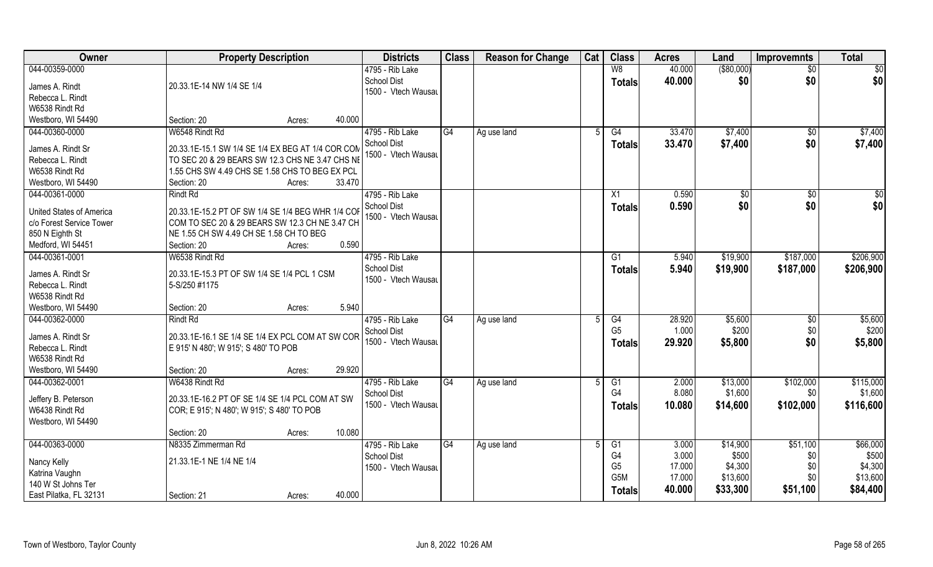| Owner                           | <b>Property Description</b>                                      | <b>Districts</b>    | <b>Class</b> | <b>Reason for Change</b> | Cat | <b>Class</b>     | <b>Acres</b> | Land        | <b>Improvemnts</b> | <b>Total</b> |
|---------------------------------|------------------------------------------------------------------|---------------------|--------------|--------------------------|-----|------------------|--------------|-------------|--------------------|--------------|
| 044-00359-0000                  |                                                                  | 4795 - Rib Lake     |              |                          |     | W8               | 40.000       | ( \$80,000) | \$0                | \$0          |
| James A. Rindt                  | 20.33.1E-14 NW 1/4 SE 1/4                                        | School Dist         |              |                          |     | <b>Totals</b>    | 40.000       | \$0         | \$0                | \$0          |
| Rebecca L. Rindt                |                                                                  | 1500 - Vtech Wausau |              |                          |     |                  |              |             |                    |              |
| W6538 Rindt Rd                  |                                                                  |                     |              |                          |     |                  |              |             |                    |              |
| Westboro, WI 54490              | Section: 20<br>Acres:                                            | 40.000              |              |                          |     |                  |              |             |                    |              |
| 044-00360-0000                  | W6548 Rindt Rd                                                   | 4795 - Rib Lake     | G4           |                          |     | G4               | 33.470       | \$7,400     |                    | \$7,400      |
|                                 |                                                                  |                     |              | Ag use land              |     |                  |              |             | \$0                |              |
| James A. Rindt Sr               | 20.33.1E-15.1 SW 1/4 SE 1/4 EX BEG AT 1/4 COR COM                | School Dist         |              |                          |     | Totals           | 33.470       | \$7,400     | \$0                | \$7,400      |
| Rebecca L. Rindt                | TO SEC 20 & 29 BEARS SW 12.3 CHS NE 3.47 CHS NE                  | 1500 - Vtech Wausau |              |                          |     |                  |              |             |                    |              |
| W6538 Rindt Rd                  | 1.55 CHS SW 4.49 CHS SE 1.58 CHS TO BEG EX PCL                   |                     |              |                          |     |                  |              |             |                    |              |
| Westboro, WI 54490              | Section: 20<br>Acres:                                            | 33.470              |              |                          |     |                  |              |             |                    |              |
| 044-00361-0000                  | <b>Rindt Rd</b>                                                  | 4795 - Rib Lake     |              |                          |     | X1               | 0.590        | \$0         | $\sqrt{50}$        | \$0          |
|                                 |                                                                  | School Dist         |              |                          |     | <b>Totals</b>    | 0.590        | \$0         | \$0                | \$0          |
| <b>United States of America</b> | 20.33.1E-15.2 PT OF SW 1/4 SE 1/4 BEG WHR 1/4 COI                | 1500 - Vtech Wausau |              |                          |     |                  |              |             |                    |              |
| c/o Forest Service Tower        | COM TO SEC 20 & 29 BEARS SW 12.3 CH NE 3.47 CH                   |                     |              |                          |     |                  |              |             |                    |              |
| 850 N Eighth St                 | $\overline{\phantom{1}}$ NE 1.55 CH SW 4.49 CH SE 1.58 CH TO BEG |                     |              |                          |     |                  |              |             |                    |              |
| Medford, WI 54451               | Section: 20<br>Acres:                                            | 0.590               |              |                          |     |                  |              |             |                    |              |
| 044-00361-0001                  | W6538 Rindt Rd                                                   | 4795 - Rib Lake     |              |                          |     | G1               | 5.940        | \$19,900    | \$187,000          | \$206,900    |
| James A. Rindt Sr               | 20.33.1E-15.3 PT OF SW 1/4 SE 1/4 PCL 1 CSM                      | School Dist         |              |                          |     | <b>Totals</b>    | 5.940        | \$19,900    | \$187,000          | \$206,900    |
| Rebecca L. Rindt                | 5-S/250 #1175                                                    | 1500 - Vtech Wausau |              |                          |     |                  |              |             |                    |              |
| W6538 Rindt Rd                  |                                                                  |                     |              |                          |     |                  |              |             |                    |              |
| Westboro, WI 54490              | Section: 20<br>Acres:                                            | 5.940               |              |                          |     |                  |              |             |                    |              |
| 044-00362-0000                  | <b>Rindt Rd</b>                                                  | 4795 - Rib Lake     | G4           | Ag use land              |     | $\overline{G4}$  | 28.920       | \$5,600     | \$0                | \$5,600      |
|                                 |                                                                  | <b>School Dist</b>  |              |                          |     | G <sub>5</sub>   | 1.000        | \$200       | \$0                | \$200        |
| James A. Rindt Sr               | 20.33.1E-16.1 SE 1/4 SE 1/4 EX PCL COM AT SW COR                 | 1500 - Vtech Wausau |              |                          |     | <b>Totals</b>    | 29.920       | \$5,800     | \$0                | \$5,800      |
| Rebecca L. Rindt                | E 915' N 480'; W 915'; S 480' TO POB                             |                     |              |                          |     |                  |              |             |                    |              |
| W6538 Rindt Rd                  |                                                                  |                     |              |                          |     |                  |              |             |                    |              |
| Westboro, WI 54490              | Section: 20<br>Acres:                                            | 29.920              |              |                          |     |                  |              |             |                    |              |
| 044-00362-0001                  | W6438 Rindt Rd                                                   | 4795 - Rib Lake     | G4           | Ag use land              |     | G1               | 2.000        | \$13,000    | \$102,000          | \$115,000    |
| Jeffery B. Peterson             | 20.33.1E-16.2 PT OF SE 1/4 SE 1/4 PCL COM AT SW                  | <b>School Dist</b>  |              |                          |     | G4               | 8.080        | \$1,600     | \$0                | \$1,600      |
| W6438 Rindt Rd                  | COR; E 915'; N 480'; W 915'; S 480' TO POB                       | 1500 - Vtech Wausau |              |                          |     | <b>Totals</b>    | 10.080       | \$14,600    | \$102,000          | \$116,600    |
| Westboro, WI 54490              |                                                                  |                     |              |                          |     |                  |              |             |                    |              |
|                                 | Section: 20<br>Acres:                                            | 10.080              |              |                          |     |                  |              |             |                    |              |
| 044-00363-0000                  | N8335 Zimmerman Rd                                               | 4795 - Rib Lake     | G4           | Ag use land              |     | G1               | 3.000        | \$14,900    | \$51,100           | \$66,000     |
|                                 |                                                                  | <b>School Dist</b>  |              |                          |     | G <sub>4</sub>   | 3.000        | \$500       | \$0                | \$500        |
| Nancy Kelly                     | 21.33.1E-1 NE 1/4 NE 1/4                                         | 1500 - Vtech Wausau |              |                          |     | G <sub>5</sub>   | 17.000       | \$4,300     | \$0                | \$4,300      |
| Katrina Vaughn                  |                                                                  |                     |              |                          |     | G <sub>5</sub> M | 17.000       | \$13,600    | \$0                | \$13,600     |
| 140 W St Johns Ter              |                                                                  |                     |              |                          |     | <b>Totals</b>    | 40.000       | \$33,300    | \$51,100           | \$84,400     |
| East Pilatka, FL 32131          | Section: 21<br>Acres:                                            | 40.000              |              |                          |     |                  |              |             |                    |              |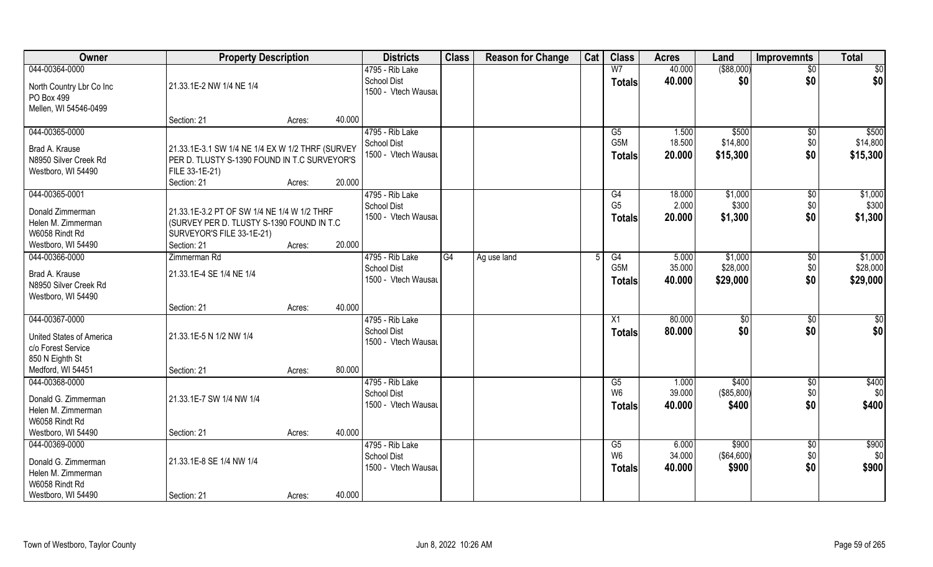| Owner                                                                                      | <b>Property Description</b>                                                                                                       |                  | <b>Districts</b>                                             | <b>Class</b> | <b>Reason for Change</b> | Cat | <b>Class</b>                            | <b>Acres</b>              | Land                            | <b>Improvemnts</b>            | <b>Total</b>                    |
|--------------------------------------------------------------------------------------------|-----------------------------------------------------------------------------------------------------------------------------------|------------------|--------------------------------------------------------------|--------------|--------------------------|-----|-----------------------------------------|---------------------------|---------------------------------|-------------------------------|---------------------------------|
| 044-00364-0000                                                                             |                                                                                                                                   |                  | 4795 - Rib Lake                                              |              |                          |     | W <sub>7</sub>                          | 40.000                    | ( \$88,000)                     | $\sqrt{$0}$                   | $\sqrt{50}$                     |
| North Country Lbr Co Inc<br>PO Box 499<br>Mellen, WI 54546-0499                            | 21.33.1E-2 NW 1/4 NE 1/4                                                                                                          |                  | <b>School Dist</b><br>1500 - Vtech Wausau                    |              |                          |     | <b>Totals</b>                           | 40.000                    | \$0                             | \$0                           | \$0                             |
|                                                                                            | Section: 21                                                                                                                       | 40.000<br>Acres: |                                                              |              |                          |     |                                         |                           |                                 |                               |                                 |
| 044-00365-0000                                                                             |                                                                                                                                   |                  | 4795 - Rib Lake                                              |              |                          |     | G5                                      | 1.500                     | \$500                           | \$0                           | \$500                           |
| Brad A. Krause<br>N8950 Silver Creek Rd<br>Westboro, WI 54490                              | 21.33.1E-3.1 SW 1/4 NE 1/4 EX W 1/2 THRF (SURVEY<br>PER D. TLUSTY S-1390 FOUND IN T.C SURVEYOR'S<br>FILE 33-1E-21)<br>Section: 21 | 20.000<br>Acres: | <b>School Dist</b><br>1500 - Vtech Wausau                    |              |                          |     | G <sub>5</sub> M<br><b>Totals</b>       | 18.500<br>20.000          | \$14,800<br>\$15,300            | \$0<br>\$0                    | \$14,800<br>\$15,300            |
| 044-00365-0001                                                                             |                                                                                                                                   |                  | 4795 - Rib Lake                                              |              |                          |     | G4                                      | 18.000                    | \$1,000                         | $\sqrt[6]{3}$                 | \$1,000                         |
| Donald Zimmerman<br>Helen M. Zimmerman<br>W6058 Rindt Rd                                   | 21.33.1E-3.2 PT OF SW 1/4 NE 1/4 W 1/2 THRF<br>(SURVEY PER D. TLUSTY S-1390 FOUND IN T.C<br>SURVEYOR'S FILE 33-1E-21)             |                  | <b>School Dist</b><br>1500 - Vtech Wausau                    |              |                          |     | G <sub>5</sub><br><b>Totals</b>         | 2.000<br>20.000           | \$300<br>\$1,300                | \$0<br>\$0                    | \$300<br>\$1,300                |
| Westboro, WI 54490                                                                         | Section: 21                                                                                                                       | 20.000<br>Acres: |                                                              |              |                          |     |                                         |                           |                                 |                               |                                 |
| 044-00366-0000<br>Brad A. Krause<br>N8950 Silver Creek Rd<br>Westboro, WI 54490            | Zimmerman Rd<br>21.33.1E-4 SE 1/4 NE 1/4                                                                                          |                  | 4795 - Rib Lake<br><b>School Dist</b><br>1500 - Vtech Wausau | G4           | Ag use land              |     | G4<br>G <sub>5</sub> M<br><b>Totals</b> | 5.000<br>35.000<br>40.000 | \$1,000<br>\$28,000<br>\$29,000 | $\sqrt[6]{3}$<br>\$0<br>\$0   | \$1,000<br>\$28,000<br>\$29,000 |
|                                                                                            | Section: 21                                                                                                                       | 40.000<br>Acres: |                                                              |              |                          |     |                                         |                           |                                 |                               |                                 |
| 044-00367-0000<br><b>United States of America</b><br>c/o Forest Service<br>850 N Eighth St | 21.33.1E-5 N 1/2 NW 1/4                                                                                                           |                  | 4795 - Rib Lake<br><b>School Dist</b><br>1500 - Vtech Wausau |              |                          |     | X1<br><b>Totals</b>                     | 80.000<br>80.000          | \$0<br>\$0                      | \$0<br>\$0                    | $\overline{50}$<br>\$0          |
| Medford, WI 54451                                                                          | Section: 21                                                                                                                       | 80.000<br>Acres: |                                                              |              |                          |     |                                         |                           |                                 |                               |                                 |
| 044-00368-0000<br>Donald G. Zimmerman<br>Helen M. Zimmerman<br>W6058 Rindt Rd              | 21.33.1E-7 SW 1/4 NW 1/4                                                                                                          |                  | 4795 - Rib Lake<br><b>School Dist</b><br>1500 - Vtech Wausau |              |                          |     | G5<br>W <sub>6</sub><br><b>Totals</b>   | 1.000<br>39.000<br>40.000 | \$400<br>(\$85,800)<br>\$400    | $\overline{60}$<br>\$0<br>\$0 | \$400<br>\$0<br>\$400           |
| Westboro, WI 54490                                                                         | Section: 21                                                                                                                       | 40.000<br>Acres: |                                                              |              |                          |     |                                         |                           |                                 |                               |                                 |
| 044-00369-0000<br>Donald G. Zimmerman<br>Helen M. Zimmerman<br>W6058 Rindt Rd              | 21.33.1E-8 SE 1/4 NW 1/4                                                                                                          |                  | 4795 - Rib Lake<br><b>School Dist</b><br>1500 - Vtech Wausau |              |                          |     | G5<br>W <sub>6</sub><br><b>Totals</b>   | 6,000<br>34.000<br>40.000 | \$900<br>( \$64,600)<br>\$900   | $\overline{50}$<br>\$0<br>\$0 | \$900<br>\$0<br>\$900           |
| Westboro, WI 54490                                                                         | Section: 21                                                                                                                       | 40.000<br>Acres: |                                                              |              |                          |     |                                         |                           |                                 |                               |                                 |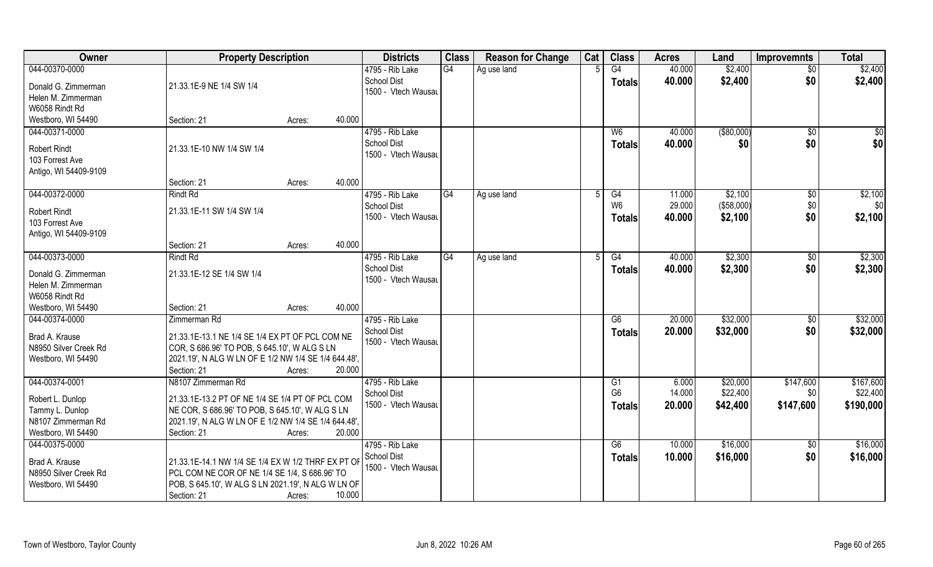| Owner                                | <b>Property Description</b>                          |                  | <b>Districts</b>                          | <b>Class</b> | <b>Reason for Change</b> | Cat | <b>Class</b>   | <b>Acres</b> | Land        | <b>Improvemnts</b> | <b>Total</b> |
|--------------------------------------|------------------------------------------------------|------------------|-------------------------------------------|--------------|--------------------------|-----|----------------|--------------|-------------|--------------------|--------------|
| 044-00370-0000                       |                                                      |                  | 4795 - Rib Lake                           | G4           | Ag use land              |     | G4             | 40.000       | \$2,400     | $\overline{50}$    | \$2,400      |
| Donald G. Zimmerman                  | 21.33.1E-9 NE 1/4 SW 1/4                             |                  | <b>School Dist</b><br>1500 - Vtech Wausau |              |                          |     | <b>Totals</b>  | 40.000       | \$2,400     | \$0                | \$2,400      |
| Helen M. Zimmerman                   |                                                      |                  |                                           |              |                          |     |                |              |             |                    |              |
| W6058 Rindt Rd                       |                                                      |                  |                                           |              |                          |     |                |              |             |                    |              |
| Westboro, WI 54490                   | Section: 21                                          | 40.000<br>Acres: |                                           |              |                          |     |                |              |             |                    |              |
| 044-00371-0000                       |                                                      |                  | 4795 - Rib Lake                           |              |                          |     | W <sub>6</sub> | 40.000       | ( \$80,000) | \$0                | \$0          |
| <b>Robert Rindt</b>                  | 21.33.1E-10 NW 1/4 SW 1/4                            |                  | <b>School Dist</b>                        |              |                          |     | Totals         | 40.000       | \$0         | \$0                | \$0          |
| 103 Forrest Ave                      |                                                      |                  | 1500 - Vtech Wausau                       |              |                          |     |                |              |             |                    |              |
| Antigo, WI 54409-9109                |                                                      |                  |                                           |              |                          |     |                |              |             |                    |              |
|                                      | Section: 21                                          | 40.000<br>Acres: |                                           |              |                          |     |                |              |             |                    |              |
| 044-00372-0000                       | <b>Rindt Rd</b>                                      |                  | 4795 - Rib Lake                           | G4           | Ag use land              | 5   | G4             | 11.000       | \$2,100     | $\sqrt[6]{3}$      | \$2,100      |
| <b>Robert Rindt</b>                  | 21.33.1E-11 SW 1/4 SW 1/4                            |                  | <b>School Dist</b>                        |              |                          |     | W <sub>6</sub> | 29.000       | (\$58,000)  | \$0                | \$0          |
| 103 Forrest Ave                      |                                                      |                  | 1500 - Vtech Wausau                       |              |                          |     | <b>Totals</b>  | 40.000       | \$2,100     | \$0                | \$2,100      |
| Antigo, WI 54409-9109                |                                                      |                  |                                           |              |                          |     |                |              |             |                    |              |
|                                      | Section: 21                                          | 40.000<br>Acres: |                                           |              |                          |     |                |              |             |                    |              |
| 044-00373-0000                       | <b>Rindt Rd</b>                                      |                  | 4795 - Rib Lake                           | G4           | Ag use land              |     | G4             | 40.000       | \$2,300     | \$0                | \$2,300      |
|                                      |                                                      |                  | <b>School Dist</b>                        |              |                          |     | <b>Totals</b>  | 40.000       | \$2,300     | \$0                | \$2,300      |
| Donald G. Zimmerman                  | 21.33.1E-12 SE 1/4 SW 1/4                            |                  | 1500 - Vtech Wausau                       |              |                          |     |                |              |             |                    |              |
| Helen M. Zimmerman                   |                                                      |                  |                                           |              |                          |     |                |              |             |                    |              |
| W6058 Rindt Rd                       |                                                      |                  |                                           |              |                          |     |                |              |             |                    |              |
| Westboro, WI 54490<br>044-00374-0000 | Section: 21<br>Zimmerman Rd                          | 40.000<br>Acres: |                                           |              |                          |     | G6             | 20.000       | \$32,000    |                    | \$32,000     |
|                                      |                                                      |                  | 4795 - Rib Lake<br><b>School Dist</b>     |              |                          |     |                |              |             | $\sqrt[6]{30}$     |              |
| Brad A. Krause                       | 21.33.1E-13.1 NE 1/4 SE 1/4 EX PT OF PCL COM NE      |                  | 1500 - Vtech Wausau                       |              |                          |     | <b>Totals</b>  | 20.000       | \$32,000    | \$0                | \$32,000     |
| N8950 Silver Creek Rd                | COR, S 686.96' TO POB, S 645.10', W ALG S LN         |                  |                                           |              |                          |     |                |              |             |                    |              |
| Westboro, WI 54490                   | 2021.19', N ALG W LN OF E 1/2 NW 1/4 SE 1/4 644.48', |                  |                                           |              |                          |     |                |              |             |                    |              |
|                                      | Section: 21                                          | 20.000<br>Acres: |                                           |              |                          |     |                |              |             |                    |              |
| 044-00374-0001                       | N8107 Zimmerman Rd                                   |                  | 4795 - Rib Lake                           |              |                          |     | G1             | 6.000        | \$20,000    | \$147,600          | \$167,600    |
| Robert L. Dunlop                     | 21.33.1E-13.2 PT OF NE 1/4 SE 1/4 PT OF PCL COM      |                  | <b>School Dist</b>                        |              |                          |     | G <sub>6</sub> | 14.000       | \$22,400    | \$0                | \$22,400     |
| Tammy L. Dunlop                      | NE COR, S 686.96' TO POB, S 645.10', W ALG S LN      |                  | 1500 - Vtech Wausau                       |              |                          |     | Totals         | 20.000       | \$42,400    | \$147,600          | \$190,000    |
| N8107 Zimmerman Rd                   | 2021.19', N ALG W LN OF E 1/2 NW 1/4 SE 1/4 644.48', |                  |                                           |              |                          |     |                |              |             |                    |              |
| Westboro, WI 54490                   | Section: 21                                          | 20.000<br>Acres: |                                           |              |                          |     |                |              |             |                    |              |
| 044-00375-0000                       |                                                      |                  | 4795 - Rib Lake                           |              |                          |     | G6             | 10.000       | \$16,000    | \$0                | \$16,000     |
| Brad A. Krause                       | 21.33.1E-14.1 NW 1/4 SE 1/4 EX W 1/2 THRF EX PT OF   |                  | School Dist                               |              |                          |     | <b>Totals</b>  | 10.000       | \$16,000    | \$0                | \$16,000     |
| N8950 Silver Creek Rd                | PCL COM NE COR OF NE 1/4 SE 1/4, S 686.96' TO        |                  | 1500 - Vtech Wausau                       |              |                          |     |                |              |             |                    |              |
| Westboro, WI 54490                   | POB, S 645.10', W ALG S LN 2021.19', N ALG W LN OF   |                  |                                           |              |                          |     |                |              |             |                    |              |
|                                      | Section: 21                                          | 10.000<br>Acres: |                                           |              |                          |     |                |              |             |                    |              |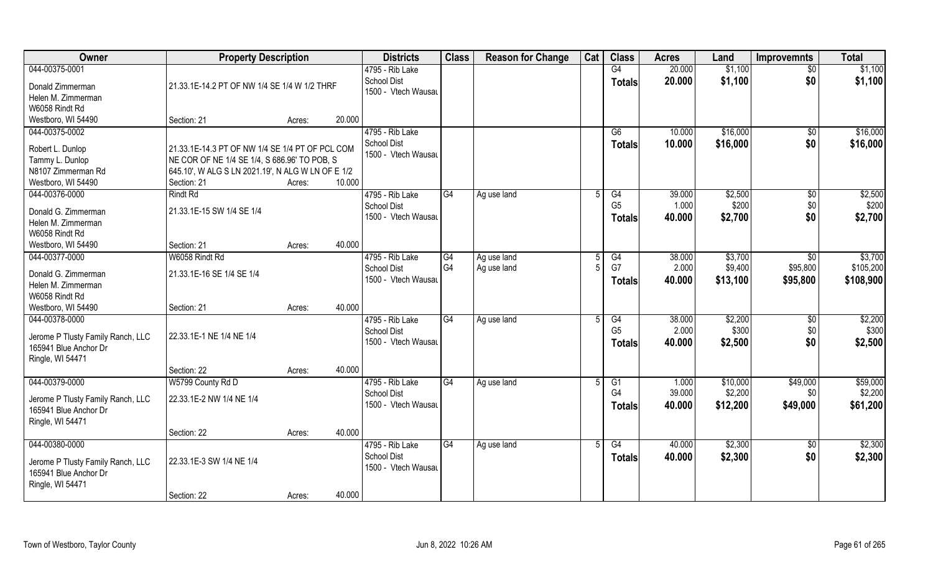| Owner                                                      | <b>Property Description</b>                                                                       |        |        | <b>Districts</b>    | <b>Class</b>    | <b>Reason for Change</b> | Cat | <b>Class</b>   | <b>Acres</b> | Land     | <b>Improvemnts</b> | <b>Total</b> |
|------------------------------------------------------------|---------------------------------------------------------------------------------------------------|--------|--------|---------------------|-----------------|--------------------------|-----|----------------|--------------|----------|--------------------|--------------|
| 044-00375-0001                                             |                                                                                                   |        |        | 4795 - Rib Lake     |                 |                          |     | G4             | 20.000       | \$1,100  | $\overline{50}$    | \$1,100      |
| Donald Zimmerman                                           | 21.33.1E-14.2 PT OF NW 1/4 SE 1/4 W 1/2 THRF                                                      |        |        | <b>School Dist</b>  |                 |                          |     | <b>Totals</b>  | 20.000       | \$1,100  | \$0                | \$1,100      |
| Helen M. Zimmerman                                         |                                                                                                   |        |        | 1500 - Vtech Wausau |                 |                          |     |                |              |          |                    |              |
| W6058 Rindt Rd                                             |                                                                                                   |        |        |                     |                 |                          |     |                |              |          |                    |              |
| Westboro, WI 54490                                         | Section: 21                                                                                       | Acres: | 20.000 |                     |                 |                          |     |                |              |          |                    |              |
| 044-00375-0002                                             |                                                                                                   |        |        | 4795 - Rib Lake     |                 |                          |     | G6             | 10.000       | \$16,000 | \$0                | \$16,000     |
|                                                            |                                                                                                   |        |        | <b>School Dist</b>  |                 |                          |     | <b>Totals</b>  | 10.000       | \$16,000 | \$0                | \$16,000     |
| Robert L. Dunlop                                           | 21.33.1E-14.3 PT OF NW 1/4 SE 1/4 PT OF PCL COM                                                   |        |        | 1500 - Vtech Wausau |                 |                          |     |                |              |          |                    |              |
| Tammy L. Dunlop<br>N8107 Zimmerman Rd                      | NE COR OF NE 1/4 SE 1/4, S 686.96' TO POB, S<br>645.10', W ALG S LN 2021.19', N ALG W LN OF E 1/2 |        |        |                     |                 |                          |     |                |              |          |                    |              |
| Westboro, WI 54490                                         | Section: 21                                                                                       | Acres: | 10.000 |                     |                 |                          |     |                |              |          |                    |              |
| 044-00376-0000                                             | <b>Rindt Rd</b>                                                                                   |        |        | 4795 - Rib Lake     | G4              | Ag use land              | .5  | G4             | 39.000       | \$2,500  | $\sqrt[6]{30}$     | \$2,500      |
|                                                            |                                                                                                   |        |        | <b>School Dist</b>  |                 |                          |     | G <sub>5</sub> | 1.000        | \$200    | \$0                | \$200        |
| Donald G. Zimmerman                                        | 21.33.1E-15 SW 1/4 SE 1/4                                                                         |        |        | 1500 - Vtech Wausau |                 |                          |     | <b>Totals</b>  | 40.000       | \$2,700  | \$0                | \$2,700      |
| Helen M. Zimmerman                                         |                                                                                                   |        |        |                     |                 |                          |     |                |              |          |                    |              |
| W6058 Rindt Rd                                             |                                                                                                   |        |        |                     |                 |                          |     |                |              |          |                    |              |
| Westboro, WI 54490                                         | Section: 21                                                                                       | Acres: | 40.000 |                     |                 |                          |     |                |              |          |                    |              |
| 044-00377-0000                                             | W6058 Rindt Rd                                                                                    |        |        | 4795 - Rib Lake     | G4              | Ag use land              | -5  | G4             | 38.000       | \$3,700  | \$0                | \$3,700      |
| Donald G. Zimmerman                                        | 21.33.1E-16 SE 1/4 SE 1/4                                                                         |        |        | <b>School Dist</b>  | G <sub>4</sub>  | Ag use land              |     | G7             | 2.000        | \$9,400  | \$95,800           | \$105,200    |
| Helen M. Zimmerman                                         |                                                                                                   |        |        | 1500 - Vtech Wausau |                 |                          |     | <b>Totals</b>  | 40.000       | \$13,100 | \$95,800           | \$108,900    |
| W6058 Rindt Rd                                             |                                                                                                   |        |        |                     |                 |                          |     |                |              |          |                    |              |
| Westboro, WI 54490                                         | Section: 21                                                                                       | Acres: | 40.000 |                     |                 |                          |     |                |              |          |                    |              |
| 044-00378-0000                                             |                                                                                                   |        |        | 4795 - Rib Lake     | $\overline{G4}$ | Ag use land              | 5   | G4             | 38.000       | \$2,200  | $\sqrt[6]{30}$     | \$2,200      |
|                                                            | 22.33.1E-1 NE 1/4 NE 1/4                                                                          |        |        | <b>School Dist</b>  |                 |                          |     | G <sub>5</sub> | 2.000        | \$300    | \$0                | \$300        |
| Jerome P Tlusty Family Ranch, LLC<br>165941 Blue Anchor Dr |                                                                                                   |        |        | 1500 - Vtech Wausau |                 |                          |     | <b>Totals</b>  | 40.000       | \$2,500  | \$0                | \$2,500      |
| Ringle, WI 54471                                           |                                                                                                   |        |        |                     |                 |                          |     |                |              |          |                    |              |
|                                                            | Section: 22                                                                                       | Acres: | 40.000 |                     |                 |                          |     |                |              |          |                    |              |
| 044-00379-0000                                             | W5799 County Rd D                                                                                 |        |        | 4795 - Rib Lake     | G4              | Ag use land              | 5   | G1             | 1.000        | \$10,000 | \$49,000           | \$59,000     |
|                                                            |                                                                                                   |        |        | <b>School Dist</b>  |                 |                          |     | G <sub>4</sub> | 39.000       | \$2,200  | \$0                | \$2,200      |
| Jerome P Tlusty Family Ranch, LLC                          | 22.33.1E-2 NW 1/4 NE 1/4                                                                          |        |        | 1500 - Vtech Wausau |                 |                          |     | <b>Totals</b>  | 40.000       | \$12,200 | \$49,000           | \$61,200     |
| 165941 Blue Anchor Dr                                      |                                                                                                   |        |        |                     |                 |                          |     |                |              |          |                    |              |
| Ringle, WI 54471                                           |                                                                                                   |        |        |                     |                 |                          |     |                |              |          |                    |              |
|                                                            | Section: 22                                                                                       | Acres: | 40.000 |                     |                 |                          |     |                |              |          |                    |              |
| 044-00380-0000                                             |                                                                                                   |        |        | 4795 - Rib Lake     | G4              | Ag use land              | 5   | G4             | 40.000       | \$2,300  | $\overline{50}$    | \$2,300      |
| Jerome P Tlusty Family Ranch, LLC                          | 22.33.1E-3 SW 1/4 NE 1/4                                                                          |        |        | <b>School Dist</b>  |                 |                          |     | <b>Totals</b>  | 40.000       | \$2,300  | \$0                | \$2,300      |
| 165941 Blue Anchor Dr                                      |                                                                                                   |        |        | 1500 - Vtech Wausau |                 |                          |     |                |              |          |                    |              |
| Ringle, WI 54471                                           |                                                                                                   |        |        |                     |                 |                          |     |                |              |          |                    |              |
|                                                            | Section: 22                                                                                       | Acres: | 40.000 |                     |                 |                          |     |                |              |          |                    |              |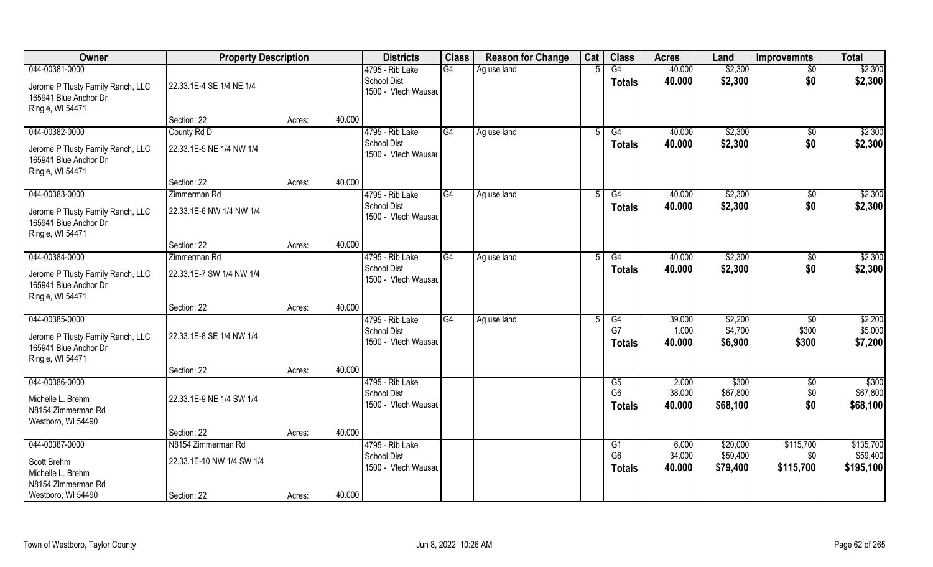| Owner                                                                                            | <b>Property Description</b>                     |        |        | <b>Districts</b>                                             | <b>Class</b>   | <b>Reason for Change</b> | Cat | <b>Class</b>                           | <b>Acres</b>              | Land                             | <b>Improvemnts</b>            | <b>Total</b>                       |
|--------------------------------------------------------------------------------------------------|-------------------------------------------------|--------|--------|--------------------------------------------------------------|----------------|--------------------------|-----|----------------------------------------|---------------------------|----------------------------------|-------------------------------|------------------------------------|
| 044-00381-0000<br>Jerome P Tlusty Family Ranch, LLC<br>165941 Blue Anchor Dr<br>Ringle, WI 54471 | 22.33.1E-4 SE 1/4 NE 1/4                        |        |        | 4795 - Rib Lake<br><b>School Dist</b><br>1500 - Vtech Wausau | G4             | Ag use land              |     | G4<br><b>Totals</b>                    | 40.000<br>40.000          | \$2,300<br>\$2,300               | $\overline{50}$<br>\$0        | \$2,300<br>\$2,300                 |
|                                                                                                  | Section: 22                                     | Acres: | 40.000 |                                                              |                |                          |     |                                        |                           |                                  |                               |                                    |
| 044-00382-0000<br>Jerome P Tlusty Family Ranch, LLC<br>165941 Blue Anchor Dr<br>Ringle, WI 54471 | County Rd D<br>22.33.1E-5 NE 1/4 NW 1/4         |        |        | 4795 - Rib Lake<br><b>School Dist</b><br>1500 - Vtech Wausau | G4             | Ag use land              |     | G4<br>Totals                           | 40.000<br>40.000          | \$2,300<br>\$2,300               | \$0<br>\$0                    | \$2,300<br>\$2,300                 |
|                                                                                                  | Section: 22                                     | Acres: | 40.000 |                                                              |                |                          |     |                                        |                           |                                  |                               |                                    |
| 044-00383-0000<br>Jerome P Tlusty Family Ranch, LLC<br>165941 Blue Anchor Dr<br>Ringle, WI 54471 | Zimmerman Rd<br>22.33.1E-6 NW 1/4 NW 1/4        |        |        | 4795 - Rib Lake<br><b>School Dist</b><br>1500 - Vtech Wausau | G4             | Ag use land              | 5   | G4<br><b>Totals</b>                    | 40.000<br>40.000          | \$2,300<br>\$2,300               | \$0<br>\$0                    | \$2,300<br>\$2,300                 |
|                                                                                                  | Section: 22                                     | Acres: | 40.000 |                                                              |                |                          |     |                                        |                           |                                  |                               |                                    |
| 044-00384-0000                                                                                   | Zimmerman Rd                                    |        |        | 4795 - Rib Lake                                              | G <sub>4</sub> | Ag use land              |     | G4                                     | 40.000                    | \$2,300                          | \$0                           | \$2,300                            |
| Jerome P Tlusty Family Ranch, LLC<br>165941 Blue Anchor Dr<br>Ringle, WI 54471                   | 22.33.1E-7 SW 1/4 NW 1/4                        |        |        | <b>School Dist</b><br>1500 - Vtech Wausau                    |                |                          |     | Totals                                 | 40.000                    | \$2,300                          | \$0                           | \$2,300                            |
|                                                                                                  | Section: 22                                     | Acres: | 40.000 |                                                              |                |                          |     |                                        |                           |                                  |                               |                                    |
| 044-00385-0000<br>Jerome P Tlusty Family Ranch, LLC<br>165941 Blue Anchor Dr<br>Ringle, WI 54471 | 22.33.1E-8 SE 1/4 NW 1/4                        |        |        | 4795 - Rib Lake<br><b>School Dist</b><br>1500 - Vtech Wausau | G4             | Ag use land              | .5  | $\overline{G4}$<br>G7<br><b>Totals</b> | 39.000<br>1.000<br>40.000 | \$2,200<br>\$4,700<br>\$6,900    | \$0<br>\$300<br>\$300         | \$2,200<br>\$5,000<br>\$7,200      |
|                                                                                                  | Section: 22                                     | Acres: | 40.000 |                                                              |                |                          |     |                                        |                           |                                  |                               |                                    |
| 044-00386-0000<br>Michelle L. Brehm<br>N8154 Zimmerman Rd<br>Westboro, WI 54490                  | 22.33.1E-9 NE 1/4 SW 1/4                        |        |        | 4795 - Rib Lake<br><b>School Dist</b><br>1500 - Vtech Wausau |                |                          |     | G5<br>G <sub>6</sub><br><b>Totals</b>  | 2.000<br>38.000<br>40.000 | \$300<br>\$67,800<br>\$68,100    | \$0<br>\$0<br>\$0             | \$300<br>\$67,800<br>\$68,100      |
|                                                                                                  | Section: 22                                     | Acres: | 40.000 |                                                              |                |                          |     |                                        |                           |                                  |                               |                                    |
| 044-00387-0000<br>Scott Brehm<br>Michelle L. Brehm<br>N8154 Zimmerman Rd                         | N8154 Zimmerman Rd<br>22.33.1E-10 NW 1/4 SW 1/4 |        |        | 4795 - Rib Lake<br><b>School Dist</b><br>1500 - Vtech Wausau |                |                          |     | G1<br>G <sub>6</sub><br><b>Totals</b>  | 6.000<br>34.000<br>40.000 | \$20,000<br>\$59,400<br>\$79,400 | \$115,700<br>\$0<br>\$115,700 | \$135,700<br>\$59,400<br>\$195,100 |
| Westboro, WI 54490                                                                               | Section: 22                                     | Acres: | 40.000 |                                                              |                |                          |     |                                        |                           |                                  |                               |                                    |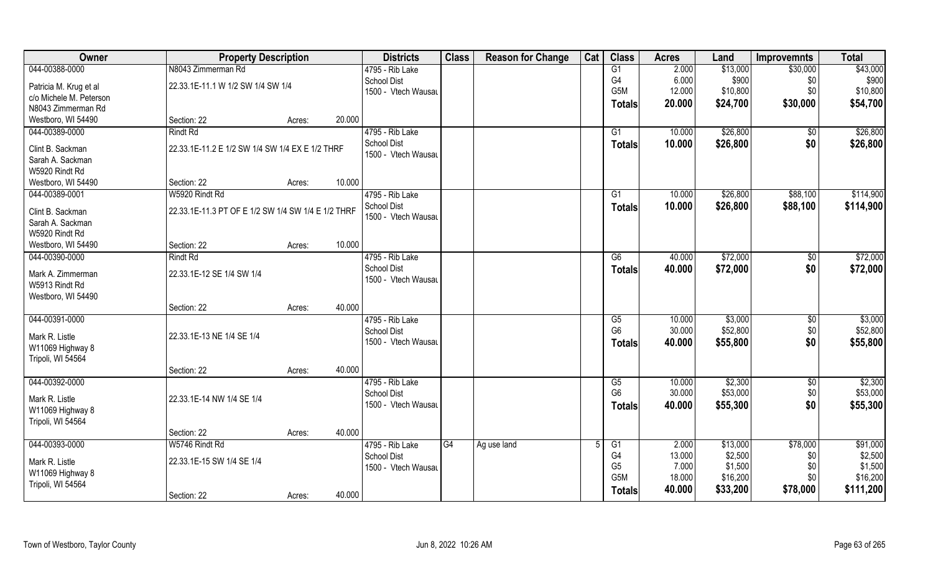| Owner                                | <b>Property Description</b>                        |        |        | <b>Districts</b>    | <b>Class</b> | <b>Reason for Change</b> | Cat | <b>Class</b>     | <b>Acres</b>    | Land               | <b>Improvemnts</b> | <b>Total</b>       |
|--------------------------------------|----------------------------------------------------|--------|--------|---------------------|--------------|--------------------------|-----|------------------|-----------------|--------------------|--------------------|--------------------|
| 044-00388-0000                       | N8043 Zimmerman Rd                                 |        |        | 4795 - Rib Lake     |              |                          |     | G1               | 2.000           | \$13,000           | \$30,000           | \$43,000           |
| Patricia M. Krug et al               | 22.33.1E-11.1 W 1/2 SW 1/4 SW 1/4                  |        |        | <b>School Dist</b>  |              |                          |     | G4               | 6.000           | \$900              | \$0                | \$900              |
| c/o Michele M. Peterson              |                                                    |        |        | 1500 - Vtech Wausau |              |                          |     | G <sub>5</sub> M | 12.000          | \$10,800           | \$0                | \$10,800           |
| N8043 Zimmerman Rd                   |                                                    |        |        |                     |              |                          |     | <b>Totals</b>    | 20.000          | \$24,700           | \$30,000           | \$54,700           |
| Westboro, WI 54490                   | Section: 22                                        | Acres: | 20.000 |                     |              |                          |     |                  |                 |                    |                    |                    |
| 044-00389-0000                       | Rindt Rd                                           |        |        | 4795 - Rib Lake     |              |                          |     | G1               | 10.000          | \$26,800           | $\overline{50}$    | \$26,800           |
|                                      | 22.33.1E-11.2 E 1/2 SW 1/4 SW 1/4 EX E 1/2 THRF    |        |        | <b>School Dist</b>  |              |                          |     | <b>Totals</b>    | 10.000          | \$26,800           | \$0                | \$26,800           |
| Clint B. Sackman<br>Sarah A. Sackman |                                                    |        |        | 1500 - Vtech Wausau |              |                          |     |                  |                 |                    |                    |                    |
| W5920 Rindt Rd                       |                                                    |        |        |                     |              |                          |     |                  |                 |                    |                    |                    |
| Westboro, WI 54490                   | Section: 22                                        | Acres: | 10.000 |                     |              |                          |     |                  |                 |                    |                    |                    |
| 044-00389-0001                       | W5920 Rindt Rd                                     |        |        | 4795 - Rib Lake     |              |                          |     | G1               | 10.000          | \$26,800           | \$88,100           | \$114,900          |
|                                      |                                                    |        |        | School Dist         |              |                          |     |                  | 10.000          | \$26,800           | \$88,100           | \$114,900          |
| Clint B. Sackman                     | 22.33.1E-11.3 PT OF E 1/2 SW 1/4 SW 1/4 E 1/2 THRF |        |        | 1500 - Vtech Wausau |              |                          |     | <b>Totals</b>    |                 |                    |                    |                    |
| Sarah A. Sackman                     |                                                    |        |        |                     |              |                          |     |                  |                 |                    |                    |                    |
| W5920 Rindt Rd                       |                                                    |        |        |                     |              |                          |     |                  |                 |                    |                    |                    |
| Westboro, WI 54490                   | Section: 22                                        | Acres: | 10.000 |                     |              |                          |     |                  |                 |                    |                    |                    |
| 044-00390-0000                       | <b>Rindt Rd</b>                                    |        |        | 4795 - Rib Lake     |              |                          |     | G6               | 40.000          | \$72,000           | \$0                | \$72,000           |
| Mark A. Zimmerman                    | 22.33.1E-12 SE 1/4 SW 1/4                          |        |        | <b>School Dist</b>  |              |                          |     | <b>Totals</b>    | 40.000          | \$72,000           | \$0                | \$72,000           |
| W5913 Rindt Rd                       |                                                    |        |        | 1500 - Vtech Wausau |              |                          |     |                  |                 |                    |                    |                    |
| Westboro, WI 54490                   |                                                    |        |        |                     |              |                          |     |                  |                 |                    |                    |                    |
|                                      | Section: 22                                        | Acres: | 40.000 |                     |              |                          |     |                  |                 |                    |                    |                    |
| 044-00391-0000                       |                                                    |        |        | 4795 - Rib Lake     |              |                          |     | G5               | 10.000          | \$3,000            | \$0                | \$3,000            |
| Mark R. Listle                       | 22.33.1E-13 NE 1/4 SE 1/4                          |        |        | <b>School Dist</b>  |              |                          |     | G <sub>6</sub>   | 30.000          | \$52,800           | \$0                | \$52,800           |
| W11069 Highway 8                     |                                                    |        |        | 1500 - Vtech Wausau |              |                          |     | <b>Totals</b>    | 40.000          | \$55,800           | \$0                | \$55,800           |
| Tripoli, WI 54564                    |                                                    |        |        |                     |              |                          |     |                  |                 |                    |                    |                    |
|                                      | Section: 22                                        | Acres: | 40.000 |                     |              |                          |     |                  |                 |                    |                    |                    |
| 044-00392-0000                       |                                                    |        |        | 4795 - Rib Lake     |              |                          |     | G5               | 10.000          | \$2,300            | $\sqrt{50}$        | \$2,300            |
|                                      |                                                    |        |        | <b>School Dist</b>  |              |                          |     | G <sub>6</sub>   | 30.000          | \$53,000           | \$0                | \$53,000           |
| Mark R. Listle                       | 22.33.1E-14 NW 1/4 SE 1/4                          |        |        | 1500 - Vtech Wausau |              |                          |     | Totals           | 40.000          | \$55,300           | \$0                | \$55,300           |
| W11069 Highway 8                     |                                                    |        |        |                     |              |                          |     |                  |                 |                    |                    |                    |
| Tripoli, WI 54564                    |                                                    |        |        |                     |              |                          |     |                  |                 |                    |                    |                    |
|                                      | Section: 22                                        | Acres: | 40.000 |                     |              |                          |     |                  |                 |                    |                    |                    |
| 044-00393-0000                       | W5746 Rindt Rd                                     |        |        | 4795 - Rib Lake     | G4           | Ag use land              |     | G1<br>G4         | 2.000           | \$13,000           | \$78,000           | \$91,000           |
| Mark R. Listle                       | 22.33.1E-15 SW 1/4 SE 1/4                          |        |        | <b>School Dist</b>  |              |                          |     | G <sub>5</sub>   | 13.000<br>7.000 | \$2,500<br>\$1,500 | \$0<br>\$0         | \$2,500<br>\$1,500 |
| W11069 Highway 8                     |                                                    |        |        | 1500 - Vtech Wausau |              |                          |     | G <sub>5</sub> M | 18.000          | \$16,200           | \$0                | \$16,200           |
| Tripoli, WI 54564                    |                                                    |        |        |                     |              |                          |     |                  | 40.000          | \$33,200           | \$78,000           | \$111,200          |
|                                      | Section: 22                                        | Acres: | 40.000 |                     |              |                          |     | <b>Totals</b>    |                 |                    |                    |                    |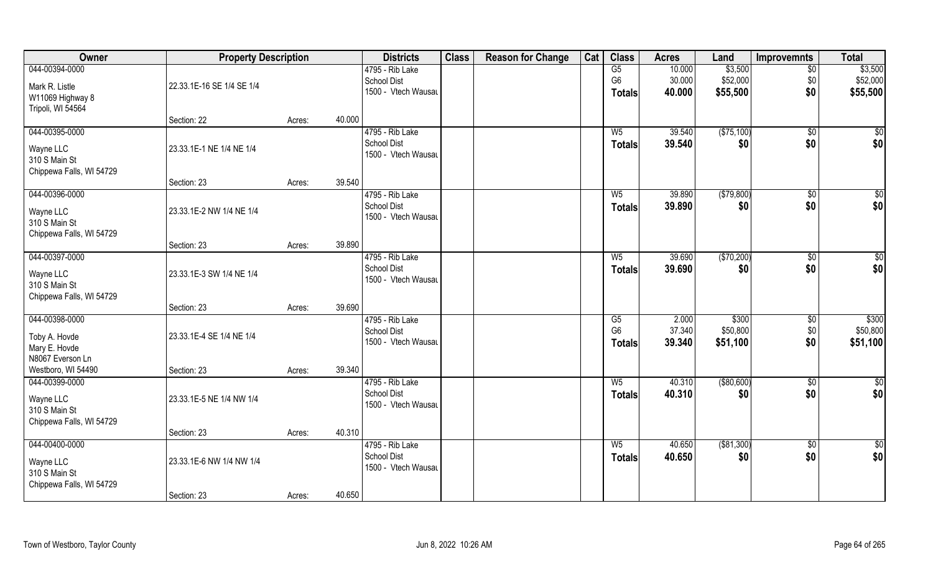| Owner                                                                     | <b>Property Description</b>             |        |        | <b>Districts</b>                                             | <b>Class</b> | <b>Reason for Change</b> | Cat | <b>Class</b>                                              | <b>Acres</b>               | Land                            | Improvemnts                   | <b>Total</b>                    |
|---------------------------------------------------------------------------|-----------------------------------------|--------|--------|--------------------------------------------------------------|--------------|--------------------------|-----|-----------------------------------------------------------|----------------------------|---------------------------------|-------------------------------|---------------------------------|
| 044-00394-0000<br>Mark R. Listle<br>W11069 Highway 8<br>Tripoli, WI 54564 | 22.33.1E-16 SE 1/4 SE 1/4               |        |        | 4795 - Rib Lake<br>School Dist<br>1500 - Vtech Wausau        |              |                          |     | G5<br>G <sub>6</sub><br><b>Totals</b>                     | 10.000<br>30.000<br>40.000 | \$3,500<br>\$52,000<br>\$55,500 | $\overline{50}$<br>\$0<br>\$0 | \$3,500<br>\$52,000<br>\$55,500 |
|                                                                           | Section: 22                             | Acres: | 40.000 |                                                              |              |                          |     |                                                           |                            |                                 |                               |                                 |
| 044-00395-0000<br>Wayne LLC<br>310 S Main St<br>Chippewa Falls, WI 54729  | 23.33.1E-1 NE 1/4 NE 1/4                |        |        | 4795 - Rib Lake<br><b>School Dist</b><br>1500 - Vtech Wausau |              |                          |     | W <sub>5</sub><br><b>Totals</b>                           | 39.540<br>39.540           | (\$75,100)<br>\$0               | \$0<br>\$0                    | $\sqrt{50}$<br>\$0              |
|                                                                           | Section: 23                             | Acres: | 39.540 |                                                              |              |                          |     |                                                           |                            |                                 |                               |                                 |
| 044-00396-0000<br>Wayne LLC<br>310 S Main St<br>Chippewa Falls, WI 54729  | 23.33.1E-2 NW 1/4 NE 1/4                |        |        | 4795 - Rib Lake<br>School Dist<br>1500 - Vtech Wausau        |              |                          |     | W <sub>5</sub><br><b>Totals</b>                           | 39.890<br>39.890           | ( \$79, 800)<br>\$0             | \$0<br>\$0                    | \$0<br>\$0                      |
|                                                                           | Section: 23                             | Acres: | 39.890 |                                                              |              |                          |     |                                                           |                            |                                 |                               |                                 |
| 044-00397-0000<br>Wayne LLC<br>310 S Main St<br>Chippewa Falls, WI 54729  | 23.33.1E-3 SW 1/4 NE 1/4                |        |        | 4795 - Rib Lake<br><b>School Dist</b><br>1500 - Vtech Wausau |              |                          |     | W <sub>5</sub><br><b>Totals</b>                           | 39.690<br>39.690           | (\$70,200)<br>\$0               | $\sqrt[6]{3}$<br>\$0          | $\overline{50}$<br>\$0          |
|                                                                           | Section: 23                             | Acres: | 39.690 |                                                              |              |                          |     |                                                           |                            |                                 |                               |                                 |
| 044-00398-0000<br>Toby A. Hovde<br>Mary E. Hovde<br>N8067 Everson Ln      | 23.33.1E-4 SE 1/4 NE 1/4                |        |        | 4795 - Rib Lake<br><b>School Dist</b><br>1500 - Vtech Wausau |              |                          |     | $\overline{\text{G5}}$<br>G <sub>6</sub><br><b>Totals</b> | 2.000<br>37.340<br>39.340  | \$300<br>\$50,800<br>\$51,100   | $\sqrt[6]{3}$<br>\$0<br>\$0   | \$300<br>\$50,800<br>\$51,100   |
| Westboro, WI 54490                                                        | Section: 23                             | Acres: | 39.340 |                                                              |              |                          |     |                                                           |                            |                                 |                               |                                 |
| 044-00399-0000<br>Wayne LLC<br>310 S Main St<br>Chippewa Falls, WI 54729  | 23.33.1E-5 NE 1/4 NW 1/4                |        |        | 4795 - Rib Lake<br>School Dist<br>1500 - Vtech Wausau        |              |                          |     | $W_5$<br><b>Totals</b>                                    | 40.310<br>40.310           | ( \$80,600)<br>\$0              | \$0<br>\$0                    | \$0<br>\$0                      |
|                                                                           | Section: 23                             | Acres: | 40.310 |                                                              |              |                          |     |                                                           |                            |                                 |                               |                                 |
| 044-00400-0000<br>Wayne LLC<br>310 S Main St<br>Chippewa Falls, WI 54729  | 23.33.1E-6 NW 1/4 NW 1/4<br>Section: 23 | Acres: | 40.650 | 4795 - Rib Lake<br><b>School Dist</b><br>1500 - Vtech Wausau |              |                          |     | W <sub>5</sub><br>Totals                                  | 40.650<br>40.650           | ( \$81,300)<br>\$0              | $\sqrt{$0}$<br>\$0            | $\overline{50}$<br>\$0          |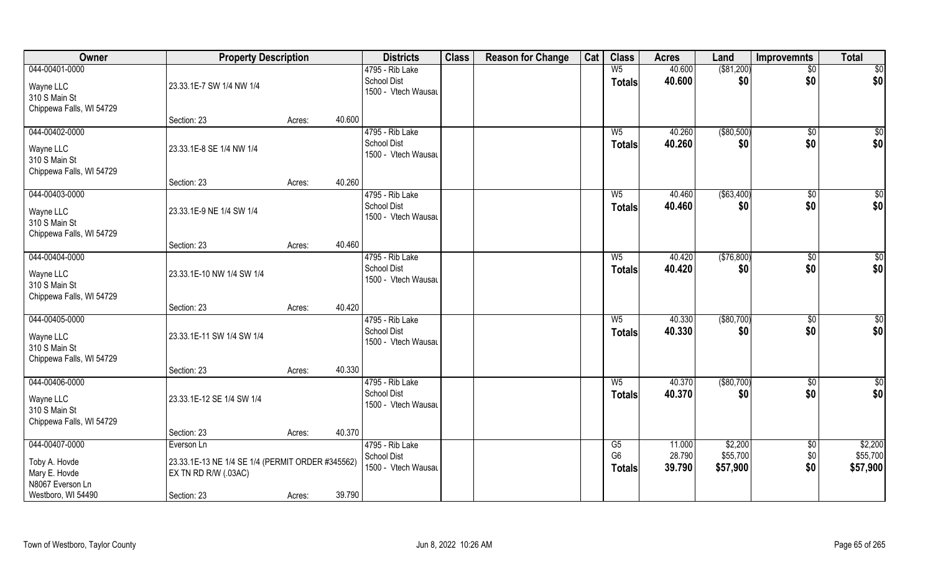| Owner                                                                                      | <b>Property Description</b>                                                                           |        | <b>Districts</b>                                                | <b>Class</b> | <b>Reason for Change</b> | Cat | <b>Class</b>                          | <b>Acres</b>               | Land                            | <b>Improvemnts</b>    | <b>Total</b>                    |
|--------------------------------------------------------------------------------------------|-------------------------------------------------------------------------------------------------------|--------|-----------------------------------------------------------------|--------------|--------------------------|-----|---------------------------------------|----------------------------|---------------------------------|-----------------------|---------------------------------|
| 044-00401-0000<br>Wayne LLC<br>310 S Main St                                               | 23.33.1E-7 SW 1/4 NW 1/4                                                                              |        | 4795 - Rib Lake<br><b>School Dist</b><br>1500 - Vtech Wausau    |              |                          |     | W <sub>5</sub><br><b>Totals</b>       | 40.600<br>40.600           | $($ \$81,200)<br>\$0            | $\sqrt{$0}$<br>\$0    | \$0<br>\$0                      |
| Chippewa Falls, WI 54729                                                                   | Section: 23                                                                                           | Acres: | 40.600                                                          |              |                          |     |                                       |                            |                                 |                       |                                 |
| 044-00402-0000<br>Wayne LLC<br>310 S Main St<br>Chippewa Falls, WI 54729                   | 23.33.1E-8 SE 1/4 NW 1/4                                                                              |        | 4795 - Rib Lake<br><b>School Dist</b><br>1500 - Vtech Wausau    |              |                          |     | $W_5$<br><b>Totals</b>                | 40.260<br>40.260           | ( \$80,500)<br>\$0              | \$0<br>\$0            | \$0<br>\$0                      |
|                                                                                            | Section: 23                                                                                           | Acres: | 40.260                                                          |              |                          |     |                                       |                            |                                 |                       |                                 |
| 044-00403-0000<br>Wayne LLC<br>310 S Main St<br>Chippewa Falls, WI 54729                   | 23.33.1E-9 NE 1/4 SW 1/4                                                                              |        | 4795 - Rib Lake<br><b>School Dist</b><br>1500 - Vtech Wausau    |              |                          |     | W <sub>5</sub><br><b>Totals</b>       | 40.460<br>40.460           | ( \$63,400)<br>\$0              | \$0<br>\$0            | $\overline{50}$<br>\$0          |
|                                                                                            | Section: 23                                                                                           | Acres: | 40.460                                                          |              |                          |     |                                       |                            |                                 |                       |                                 |
| 044-00404-0000<br>Wayne LLC<br>310 S Main St<br>Chippewa Falls, WI 54729                   | 23.33.1E-10 NW 1/4 SW 1/4                                                                             |        | 4795 - Rib Lake<br><b>School Dist</b><br>1500 - Vtech Wausau    |              |                          |     | W <sub>5</sub><br><b>Totals</b>       | 40.420<br>40.420           | (\$76,800)<br>\$0               | $\sqrt[6]{3}$<br>\$0  | \$0<br>\$0                      |
|                                                                                            | Section: 23                                                                                           | Acres: | 40.420                                                          |              |                          |     |                                       |                            |                                 |                       |                                 |
| 044-00405-0000<br>Wayne LLC<br>310 S Main St<br>Chippewa Falls, WI 54729                   | 23.33.1E-11 SW 1/4 SW 1/4                                                                             |        | 4795 - Rib Lake<br><b>School Dist</b><br>1500 - Vtech Wausau    |              |                          |     | $W_5$<br><b>Totals</b>                | 40.330<br>40.330           | (\$80,700)<br>\$0               | $\sqrt[6]{30}$<br>\$0 | \$0<br>\$0                      |
|                                                                                            | Section: 23                                                                                           | Acres: | 40.330                                                          |              |                          |     |                                       |                            |                                 |                       |                                 |
| 044-00406-0000<br>Wayne LLC<br>310 S Main St<br>Chippewa Falls, WI 54729                   | 23.33.1E-12 SE 1/4 SW 1/4                                                                             |        | 4795 - Rib Lake<br><b>School Dist</b><br>1500 - Vtech Wausau    |              |                          |     | $W_5$<br><b>Totals</b>                | 40.370<br>40.370           | ( \$80, 700)<br>\$0             | $\sqrt{$0}$<br>\$0    | $\overline{30}$<br>\$0          |
|                                                                                            | Section: 23                                                                                           | Acres: | 40.370                                                          |              |                          |     |                                       |                            |                                 |                       |                                 |
| 044-00407-0000<br>Toby A. Hovde<br>Mary E. Hovde<br>N8067 Everson Ln<br>Westboro, WI 54490 | Everson Ln<br>23.33.1E-13 NE 1/4 SE 1/4 (PERMIT ORDER #345562)<br>EX TN RD R/W (.03AC)<br>Section: 23 | Acres: | 4795 - Rib Lake<br>School Dist<br>1500 - Vtech Wausau<br>39.790 |              |                          |     | G5<br>G <sub>6</sub><br><b>Totals</b> | 11.000<br>28.790<br>39.790 | \$2,200<br>\$55,700<br>\$57,900 | \$0<br>\$0<br>\$0     | \$2,200<br>\$55,700<br>\$57,900 |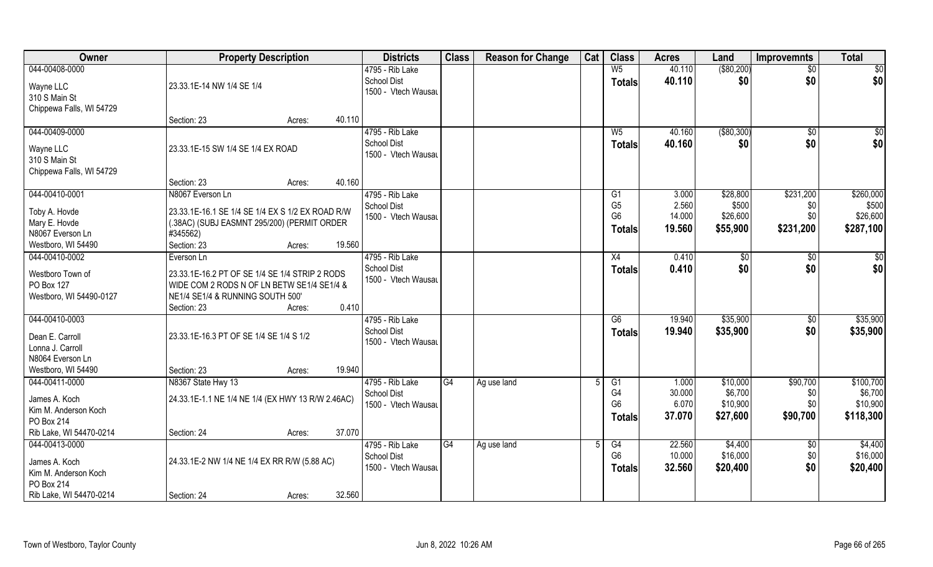| Owner                          | <b>Property Description</b>                                                                     |                  | <b>Districts</b>                          | <b>Class</b> | <b>Reason for Change</b> | Cat | <b>Class</b>         | <b>Acres</b>    | Land                | <b>Improvemnts</b> | <b>Total</b>        |
|--------------------------------|-------------------------------------------------------------------------------------------------|------------------|-------------------------------------------|--------------|--------------------------|-----|----------------------|-----------------|---------------------|--------------------|---------------------|
| 044-00408-0000                 |                                                                                                 |                  | 4795 - Rib Lake                           |              |                          |     | W <sub>5</sub>       | 40.110          | ( \$80,200)         | $\sqrt{$0}$        | $\sqrt{50}$         |
| Wayne LLC                      | 23.33.1E-14 NW 1/4 SE 1/4                                                                       |                  | <b>School Dist</b>                        |              |                          |     | <b>Totals</b>        | 40.110          | \$0                 | \$0                | \$0                 |
| 310 S Main St                  |                                                                                                 |                  | 1500 - Vtech Wausau                       |              |                          |     |                      |                 |                     |                    |                     |
| Chippewa Falls, WI 54729       |                                                                                                 |                  |                                           |              |                          |     |                      |                 |                     |                    |                     |
|                                | Section: 23                                                                                     | 40.110<br>Acres: |                                           |              |                          |     |                      |                 |                     |                    |                     |
| 044-00409-0000                 |                                                                                                 |                  | 4795 - Rib Lake                           |              |                          |     | $W_5$                | 40.160          | ( \$80, 300)        | \$0                | $\sqrt{50}$         |
| Wayne LLC                      | 23.33.1E-15 SW 1/4 SE 1/4 EX ROAD                                                               |                  | <b>School Dist</b>                        |              |                          |     | Totals               | 40.160          | \$0                 | \$0                | \$0                 |
| 310 S Main St                  |                                                                                                 |                  | 1500 - Vtech Wausau                       |              |                          |     |                      |                 |                     |                    |                     |
| Chippewa Falls, WI 54729       |                                                                                                 |                  |                                           |              |                          |     |                      |                 |                     |                    |                     |
|                                | Section: 23                                                                                     | 40.160<br>Acres: |                                           |              |                          |     |                      |                 |                     |                    |                     |
| 044-00410-0001                 | N8067 Everson Ln                                                                                |                  | 4795 - Rib Lake                           |              |                          |     | G1                   | 3.000           | \$28,800            | \$231,200          | \$260,000           |
|                                |                                                                                                 |                  | <b>School Dist</b>                        |              |                          |     | G <sub>5</sub>       | 2.560           | \$500               | \$0                | \$500               |
| Toby A. Hovde<br>Mary E. Hovde | 23.33.1E-16.1 SE 1/4 SE 1/4 EX S 1/2 EX ROAD R/W<br>(.38AC) (SUBJ EASMNT 295/200) (PERMIT ORDER |                  | 1500 - Vtech Wausau                       |              |                          |     | G <sub>6</sub>       | 14.000          | \$26,600            | \$0                | \$26,600            |
| N8067 Everson Ln               | #345562)                                                                                        |                  |                                           |              |                          |     | Totals               | 19.560          | \$55,900            | \$231,200          | \$287,100           |
| Westboro, WI 54490             | Section: 23                                                                                     | 19.560<br>Acres: |                                           |              |                          |     |                      |                 |                     |                    |                     |
| 044-00410-0002                 | Everson Ln                                                                                      |                  | 4795 - Rib Lake                           |              |                          |     | X4                   | 0.410           | \$0                 | \$0                | \$0                 |
|                                |                                                                                                 |                  | <b>School Dist</b>                        |              |                          |     | <b>Totals</b>        | 0.410           | \$0                 | \$0                | \$0                 |
| Westboro Town of               | 23.33.1E-16.2 PT OF SE 1/4 SE 1/4 STRIP 2 RODS                                                  |                  | 1500 - Vtech Wausau                       |              |                          |     |                      |                 |                     |                    |                     |
| PO Box 127                     | WIDE COM 2 RODS N OF LN BETW SE1/4 SE1/4 &                                                      |                  |                                           |              |                          |     |                      |                 |                     |                    |                     |
| Westboro, WI 54490-0127        | NE1/4 SE1/4 & RUNNING SOUTH 500'                                                                | 0.410            |                                           |              |                          |     |                      |                 |                     |                    |                     |
| 044-00410-0003                 | Section: 23                                                                                     | Acres:           | 4795 - Rib Lake                           |              |                          |     | $\overline{G6}$      | 19.940          | \$35,900            | \$0                | \$35,900            |
|                                |                                                                                                 |                  | <b>School Dist</b>                        |              |                          |     |                      | 19.940          | \$35,900            | \$0                | \$35,900            |
| Dean E. Carroll                | 23.33.1E-16.3 PT OF SE 1/4 SE 1/4 S 1/2                                                         |                  | 1500 - Vtech Wausau                       |              |                          |     | <b>Totals</b>        |                 |                     |                    |                     |
| Lonna J. Carroll               |                                                                                                 |                  |                                           |              |                          |     |                      |                 |                     |                    |                     |
| N8064 Everson Ln               |                                                                                                 |                  |                                           |              |                          |     |                      |                 |                     |                    |                     |
| Westboro, WI 54490             | Section: 23                                                                                     | 19.940<br>Acres: |                                           |              |                          |     |                      |                 |                     |                    |                     |
| 044-00411-0000                 | N8367 State Hwy 13                                                                              |                  | 4795 - Rib Lake                           | G4           | Ag use land              |     | G1                   | 1.000           | \$10,000            | \$90,700           | \$100,700           |
| James A. Koch                  | 24.33.1E-1.1 NE 1/4 NE 1/4 (EX HWY 13 R/W 2.46AC)                                               |                  | <b>School Dist</b><br>1500 - Vtech Wausau |              |                          |     | G4<br>G <sub>6</sub> | 30.000<br>6.070 | \$6,700<br>\$10,900 | \$0<br>\$0\$       | \$6,700<br>\$10,900 |
| Kim M. Anderson Koch           |                                                                                                 |                  |                                           |              |                          |     | <b>Totals</b>        | 37.070          | \$27,600            | \$90,700           | \$118,300           |
| PO Box 214                     |                                                                                                 |                  |                                           |              |                          |     |                      |                 |                     |                    |                     |
| Rib Lake, WI 54470-0214        | Section: 24                                                                                     | 37.070<br>Acres: |                                           |              |                          |     |                      |                 |                     |                    |                     |
| 044-00413-0000                 |                                                                                                 |                  | 4795 - Rib Lake                           | G4           | Ag use land              |     | G4                   | 22.560          | \$4,400             | $\sqrt{$0}$        | \$4,400             |
| James A. Koch                  | 24.33.1E-2 NW 1/4 NE 1/4 EX RR R/W (5.88 AC)                                                    |                  | <b>School Dist</b>                        |              |                          |     | G <sub>6</sub>       | 10.000          | \$16,000            | \$0                | \$16,000            |
| Kim M. Anderson Koch           |                                                                                                 |                  | 1500 - Vtech Wausau                       |              |                          |     | <b>Totals</b>        | 32.560          | \$20,400            | \$0                | \$20,400            |
| PO Box 214                     |                                                                                                 |                  |                                           |              |                          |     |                      |                 |                     |                    |                     |
| Rib Lake, WI 54470-0214        | Section: 24                                                                                     | 32.560<br>Acres: |                                           |              |                          |     |                      |                 |                     |                    |                     |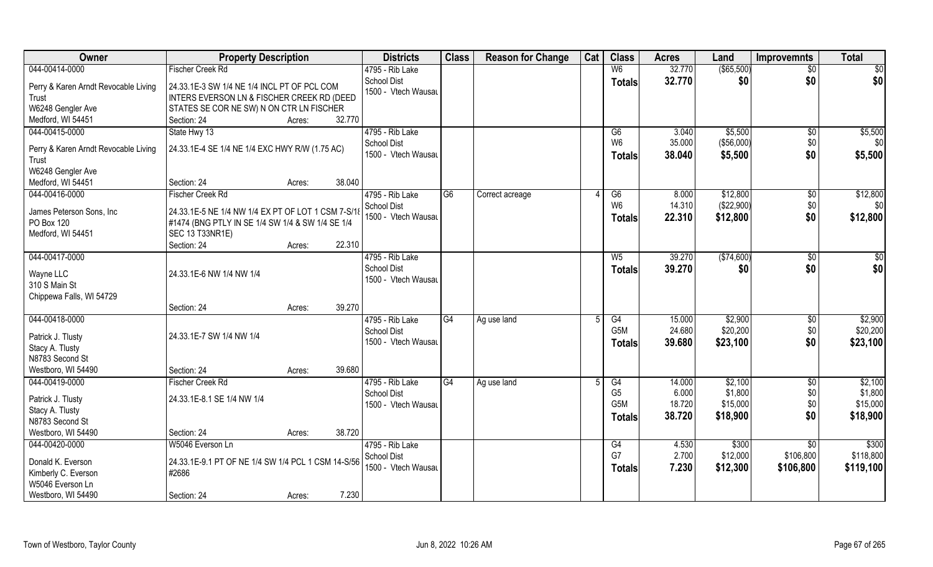| Owner                                         | <b>Property Description</b>                                                               |        | <b>Districts</b>                          | <b>Class</b> | <b>Reason for Change</b> | Cat | <b>Class</b>     | <b>Acres</b> | Land          | <b>Improvemnts</b> | <b>Total</b>    |
|-----------------------------------------------|-------------------------------------------------------------------------------------------|--------|-------------------------------------------|--------------|--------------------------|-----|------------------|--------------|---------------|--------------------|-----------------|
| 044-00414-0000                                | <b>Fischer Creek Rd</b>                                                                   |        | 4795 - Rib Lake                           |              |                          |     | W <sub>6</sub>   | 32.770       | $($ \$65,500) | $\overline{50}$    | $\overline{50}$ |
| Perry & Karen Arndt Revocable Living<br>Trust | 24.33.1E-3 SW 1/4 NE 1/4 INCL PT OF PCL COM<br>INTERS EVERSON LN & FISCHER CREEK RD (DEED |        | <b>School Dist</b><br>1500 - Vtech Wausau |              |                          |     | <b>Totals</b>    | 32.770       | \$0           | \$0                | \$0             |
| W6248 Gengler Ave                             | STATES SE COR NE SW) N ON CTR LN FISCHER                                                  |        |                                           |              |                          |     |                  |              |               |                    |                 |
| Medford, WI 54451                             | Section: 24<br>Acres:                                                                     | 32.770 |                                           |              |                          |     |                  |              |               |                    |                 |
| 044-00415-0000                                | State Hwy 13                                                                              |        | 4795 - Rib Lake                           |              |                          |     | G6               | 3.040        | \$5,500       | \$0                | \$5,500         |
| Perry & Karen Arndt Revocable Living          | 24.33.1E-4 SE 1/4 NE 1/4 EXC HWY R/W (1.75 AC)                                            |        | <b>School Dist</b>                        |              |                          |     | W <sub>6</sub>   | 35.000       | (\$56,000)    | \$0                | \$0             |
| Trust                                         |                                                                                           |        | 1500 - Vtech Wausau                       |              |                          |     | <b>Totals</b>    | 38.040       | \$5,500       | \$0                | \$5,500         |
| W6248 Gengler Ave                             |                                                                                           |        |                                           |              |                          |     |                  |              |               |                    |                 |
| Medford, WI 54451                             | Section: 24<br>Acres:                                                                     | 38.040 |                                           |              |                          |     |                  |              |               |                    |                 |
| 044-00416-0000                                | <b>Fischer Creek Rd</b>                                                                   |        | 4795 - Rib Lake                           | G6           | Correct acreage          |     | G6               | 8.000        | \$12,800      | $\sqrt[6]{3}$      | \$12,800        |
|                                               |                                                                                           |        | <b>School Dist</b>                        |              |                          |     | W <sub>6</sub>   | 14.310       | (\$22,900)    | \$0                | \$0             |
| James Peterson Sons, Inc.                     | 24.33.1E-5 NE 1/4 NW 1/4 EX PT OF LOT 1 CSM 7-S/18                                        |        | 1500 - Vtech Wausau                       |              |                          |     | <b>Totals</b>    | 22.310       | \$12,800      | \$0                | \$12,800        |
| PO Box 120                                    | #1474 (BNG PTLY IN SE 1/4 SW 1/4 & SW 1/4 SE 1/4                                          |        |                                           |              |                          |     |                  |              |               |                    |                 |
| Medford, WI 54451                             | <b>SEC 13 T33NR1E)</b>                                                                    |        |                                           |              |                          |     |                  |              |               |                    |                 |
|                                               | Section: 24<br>Acres:                                                                     | 22.310 |                                           |              |                          |     |                  |              |               |                    |                 |
| 044-00417-0000                                |                                                                                           |        | 4795 - Rib Lake                           |              |                          |     | W <sub>5</sub>   | 39.270       | (\$74,600)    | $\sqrt[6]{3}$      | \$0             |
| Wayne LLC                                     | 24.33.1E-6 NW 1/4 NW 1/4                                                                  |        | <b>School Dist</b>                        |              |                          |     | <b>Totals</b>    | 39.270       | \$0           | \$0                | \$0             |
| 310 S Main St                                 |                                                                                           |        | 1500 - Vtech Wausau                       |              |                          |     |                  |              |               |                    |                 |
| Chippewa Falls, WI 54729                      |                                                                                           |        |                                           |              |                          |     |                  |              |               |                    |                 |
|                                               | Section: 24<br>Acres:                                                                     | 39.270 |                                           |              |                          |     |                  |              |               |                    |                 |
| 044-00418-0000                                |                                                                                           |        | 4795 - Rib Lake                           | G4           | Ag use land              |     | G4               | 15.000       | \$2,900       | $\sqrt[6]{30}$     | \$2,900         |
| Patrick J. Tlusty                             | 24.33.1E-7 SW 1/4 NW 1/4                                                                  |        | <b>School Dist</b>                        |              |                          |     | G <sub>5</sub> M | 24.680       | \$20,200      | \$0                | \$20,200        |
| Stacy A. Tlusty                               |                                                                                           |        | 1500 - Vtech Wausau                       |              |                          |     | <b>Totals</b>    | 39.680       | \$23,100      | \$0                | \$23,100        |
| N8783 Second St                               |                                                                                           |        |                                           |              |                          |     |                  |              |               |                    |                 |
| Westboro, WI 54490                            | Section: 24<br>Acres:                                                                     | 39.680 |                                           |              |                          |     |                  |              |               |                    |                 |
| 044-00419-0000                                | <b>Fischer Creek Rd</b>                                                                   |        | 4795 - Rib Lake                           | G4           | Ag use land              |     | G4               | 14.000       | \$2,100       | $\overline{50}$    | \$2,100         |
|                                               |                                                                                           |        | <b>School Dist</b>                        |              |                          |     | G <sub>5</sub>   | 6.000        | \$1,800       | \$0                | \$1,800         |
| Patrick J. Tlusty                             | 24.33.1E-8.1 SE 1/4 NW 1/4                                                                |        | 1500 - Vtech Wausau                       |              |                          |     | G5M              | 18.720       | \$15,000      | \$0                | \$15,000        |
| Stacy A. Tlusty                               |                                                                                           |        |                                           |              |                          |     | <b>Totals</b>    | 38.720       | \$18,900      | \$0                | \$18,900        |
| N8783 Second St                               |                                                                                           |        |                                           |              |                          |     |                  |              |               |                    |                 |
| Westboro, WI 54490                            | Section: 24<br>Acres:                                                                     | 38.720 |                                           |              |                          |     |                  |              |               |                    |                 |
| 044-00420-0000                                | W5046 Everson Ln                                                                          |        | 4795 - Rib Lake                           |              |                          |     | G4               | 4.530        | \$300         | \$0                | \$300           |
| Donald K. Everson                             | 24.33.1E-9.1 PT OF NE 1/4 SW 1/4 PCL 1 CSM 14-S/56                                        |        | <b>School Dist</b>                        |              |                          |     | G7               | 2.700        | \$12,000      | \$106,800          | \$118,800       |
| Kimberly C. Everson                           | #2686                                                                                     |        | 1500 - Vtech Wausau                       |              |                          |     | <b>Totals</b>    | 7.230        | \$12,300      | \$106,800          | \$119,100       |
| W5046 Everson Ln                              |                                                                                           |        |                                           |              |                          |     |                  |              |               |                    |                 |
| Westboro, WI 54490                            | Section: 24<br>Acres:                                                                     | 7.230  |                                           |              |                          |     |                  |              |               |                    |                 |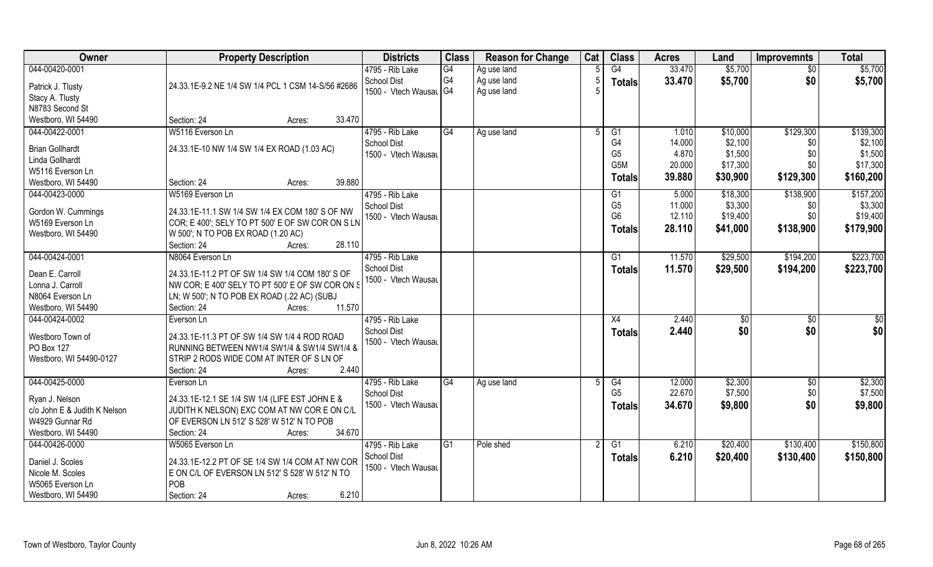| Owner                                          | <b>Property Description</b>                                                                   | <b>Districts</b>                   | <b>Class</b>    | <b>Reason for Change</b> | Cat            | <b>Class</b>     | <b>Acres</b> | Land          | <b>Improvemnts</b> | <b>Total</b> |
|------------------------------------------------|-----------------------------------------------------------------------------------------------|------------------------------------|-----------------|--------------------------|----------------|------------------|--------------|---------------|--------------------|--------------|
| 044-00420-0001                                 |                                                                                               | 4795 - Rib Lake                    | $\overline{G4}$ | Ag use land              |                | G4               | 33.470       | \$5,700       | \$0                | \$5,700      |
| Patrick J. Tlusty                              | 24.33.1E-9.2 NE 1/4 SW 1/4 PCL 1 CSM 14-S/56 #2686                                            | <b>School Dist</b>                 | G <sub>4</sub>  | Ag use land              | -5             | <b>Totals</b>    | 33.470       | \$5,700       | \$0                | \$5,700      |
| Stacy A. Tlusty                                |                                                                                               | 1500 - Vtech Wausal G4             |                 | Ag use land              |                |                  |              |               |                    |              |
| N8783 Second St                                |                                                                                               |                                    |                 |                          |                |                  |              |               |                    |              |
| Westboro, WI 54490                             | 33.470<br>Section: 24<br>Acres:                                                               |                                    |                 |                          |                |                  |              |               |                    |              |
| 044-00422-0001                                 | W5116 Everson Ln                                                                              | 4795 - Rib Lake                    | G4              | Ag use land              | $\overline{5}$ | $\overline{G1}$  | 1.010        | \$10,000      | \$129,300          | \$139,300    |
|                                                | 24.33.1E-10 NW 1/4 SW 1/4 EX ROAD (1.03 AC)                                                   | <b>School Dist</b>                 |                 |                          |                | G <sub>4</sub>   | 14.000       | \$2,100       | \$0                | \$2,100      |
| <b>Brian Gollhardt</b><br>Linda Gollhardt      |                                                                                               | 1500 - Vtech Wausau                |                 |                          |                | G <sub>5</sub>   | 4.870        | \$1,500       | \$0                | \$1,500      |
| W5116 Everson Ln                               |                                                                                               |                                    |                 |                          |                | G <sub>5</sub> M | 20.000       | \$17,300      | \$0                | \$17,300     |
| Westboro, WI 54490                             | 39.880<br>Section: 24<br>Acres:                                                               |                                    |                 |                          |                | <b>Totals</b>    | 39.880       | \$30,900      | \$129,300          | \$160,200    |
| 044-00423-0000                                 | W5169 Everson Ln                                                                              | 4795 - Rib Lake                    |                 |                          |                | G1               | 5.000        | \$18,300      | \$138,900          | \$157,200    |
|                                                |                                                                                               | School Dist                        |                 |                          |                | G <sub>5</sub>   | 11.000       | \$3,300       | \$0                | \$3,300      |
| Gordon W. Cummings                             | 24.33.1E-11.1 SW 1/4 SW 1/4 EX COM 180' S OF NW                                               | 1500 - Vtech Wausau                |                 |                          |                | G <sub>6</sub>   | 12.110       | \$19,400      | \$0                | \$19,400     |
| W5169 Everson Ln                               | COR; E 400'; SELY TO PT 500' E OF SW COR ON S LN                                              |                                    |                 |                          |                | <b>Totals</b>    | 28.110       | \$41,000      | \$138,900          | \$179,900    |
| Westboro, WI 54490                             | W 500'; N TO POB EX ROAD (1.20 AC)                                                            |                                    |                 |                          |                |                  |              |               |                    |              |
|                                                | 28.110<br>Section: 24<br>Acres:                                                               |                                    |                 |                          |                |                  |              |               |                    |              |
| 044-00424-0001                                 | N8064 Everson Ln                                                                              | 4795 - Rib Lake                    |                 |                          |                | G <sub>1</sub>   | 11.570       | \$29,500      | \$194,200          | \$223,700    |
| Dean E. Carroll                                | 24.33.1E-11.2 PT OF SW 1/4 SW 1/4 COM 180' S OF                                               | School Dist<br>1500 - Vtech Wausau |                 |                          |                | <b>Totals</b>    | 11.570       | \$29,500      | \$194,200          | \$223,700    |
| Lonna J. Carroll                               | NW COR; E 400' SELY TO PT 500' E OF SW COR ON S                                               |                                    |                 |                          |                |                  |              |               |                    |              |
| N8064 Everson Ln                               | LN; W 500'; N TO POB EX ROAD (.22 AC) (SUBJ                                                   |                                    |                 |                          |                |                  |              |               |                    |              |
| Westboro, WI 54490                             | 11.570<br>Section: 24<br>Acres:                                                               |                                    |                 |                          |                |                  |              |               |                    |              |
| 044-00424-0002                                 | Everson Ln                                                                                    | 4795 - Rib Lake                    |                 |                          |                | X4               | 2.440        | $\sqrt[6]{3}$ | $\sqrt[6]{30}$     | \$0          |
| Westboro Town of                               | 24.33.1E-11.3 PT OF SW 1/4 SW 1/4 4 ROD ROAD                                                  | <b>School Dist</b>                 |                 |                          |                | <b>Totals</b>    | 2.440        | \$0           | \$0                | \$0          |
| PO Box 127                                     | RUNNING BETWEEN NW1/4 SW1/4 & SW1/4 SW1/4 &                                                   | 1500 - Vtech Wausau                |                 |                          |                |                  |              |               |                    |              |
| Westboro, WI 54490-0127                        | STRIP 2 RODS WIDE COM AT INTER OF S LN OF                                                     |                                    |                 |                          |                |                  |              |               |                    |              |
|                                                | 2.440<br>Section: 24<br>Acres:                                                                |                                    |                 |                          |                |                  |              |               |                    |              |
| 044-00425-0000                                 | Everson Ln                                                                                    | 4795 - Rib Lake                    | G4              | Ag use land              |                | G4               | 12.000       | \$2,300       | \$0                | \$2,300      |
|                                                |                                                                                               | <b>School Dist</b>                 |                 |                          |                | G <sub>5</sub>   | 22.670       | \$7,500       | \$0                | \$7,500      |
| Ryan J. Nelson<br>c/o John E & Judith K Nelson | 24.33.1E-12.1 SE 1/4 SW 1/4 (LIFE EST JOHN E &<br>JUDITH K NELSON) EXC COM AT NW COR E ON C/L | 1500 - Vtech Wausau                |                 |                          |                | <b>Totals</b>    | 34.670       | \$9,800       | \$0                | \$9,800      |
| W4929 Gunnar Rd                                | OF EVERSON LN 512' S 528' W 512' N TO POB                                                     |                                    |                 |                          |                |                  |              |               |                    |              |
| Westboro, WI 54490                             | 34.670<br>Section: 24<br>Acres:                                                               |                                    |                 |                          |                |                  |              |               |                    |              |
| 044-00426-0000                                 | W5065 Everson Ln                                                                              | 4795 - Rib Lake                    | G1              | Pole shed                | $\mathfrak{p}$ | $\overline{G1}$  | 6.210        | \$20,400      | \$130,400          | \$150,800    |
|                                                |                                                                                               | School Dist                        |                 |                          |                | <b>Totals</b>    | 6.210        | \$20,400      | \$130,400          | \$150,800    |
| Daniel J. Scoles                               | 24.33.1E-12.2 PT OF SE 1/4 SW 1/4 COM AT NW COR                                               | 1500 - Vtech Wausau                |                 |                          |                |                  |              |               |                    |              |
| Nicole M. Scoles                               | E ON C/L OF EVERSON LN 512' S 528' W 512' N TO                                                |                                    |                 |                          |                |                  |              |               |                    |              |
| W5065 Everson Ln                               | <b>POB</b>                                                                                    |                                    |                 |                          |                |                  |              |               |                    |              |
| Westboro, WI 54490                             | 6.210<br>Section: 24<br>Acres:                                                                |                                    |                 |                          |                |                  |              |               |                    |              |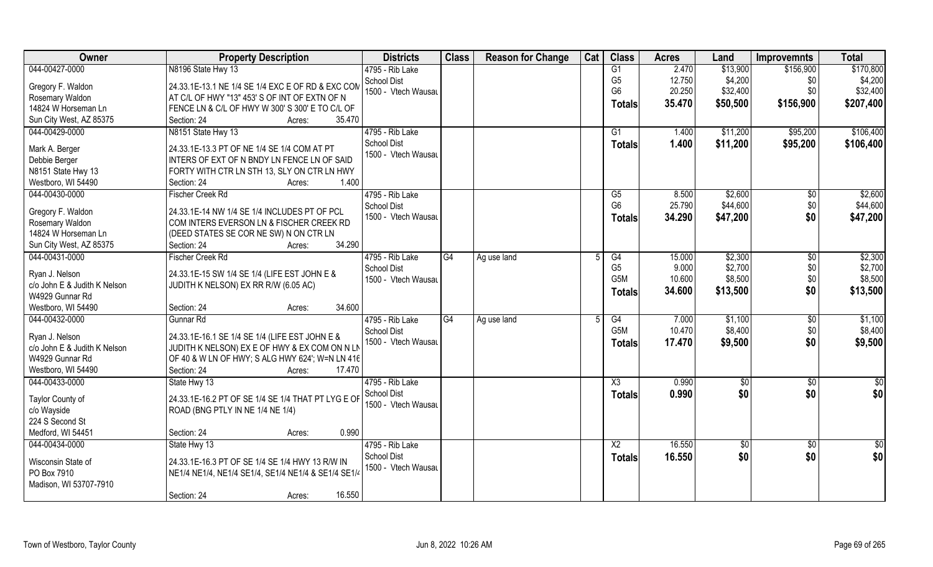| Owner                        | <b>Property Description</b>                         | <b>Districts</b>    | <b>Class</b> | <b>Reason for Change</b> | Cat | <b>Class</b>     | <b>Acres</b> | Land     | <b>Improvemnts</b> | <b>Total</b> |
|------------------------------|-----------------------------------------------------|---------------------|--------------|--------------------------|-----|------------------|--------------|----------|--------------------|--------------|
| 044-00427-0000               | N8196 State Hwy 13                                  | 4795 - Rib Lake     |              |                          |     | G1               | 2.470        | \$13,900 | \$156,900          | \$170,800    |
| Gregory F. Waldon            | 24.33.1E-13.1 NE 1/4 SE 1/4 EXC E OF RD & EXC CON   | School Dist         |              |                          |     | G <sub>5</sub>   | 12.750       | \$4,200  | \$0                | \$4,200      |
| Rosemary Waldon              | AT C/L OF HWY "13" 453' S OF INT OF EXTN OF N       | 1500 - Vtech Wausau |              |                          |     | G <sub>6</sub>   | 20.250       | \$32,400 | \$0                | \$32,400     |
| 14824 W Horseman Ln          | FENCE LN & C/L OF HWY W 300' S 300' E TO C/L OF     |                     |              |                          |     | <b>Totals</b>    | 35.470       | \$50,500 | \$156,900          | \$207,400    |
| Sun City West, AZ 85375      | 35.470<br>Section: 24<br>Acres:                     |                     |              |                          |     |                  |              |          |                    |              |
| 044-00429-0000               | N8151 State Hwy 13                                  | 4795 - Rib Lake     |              |                          |     | G1               | 1.400        | \$11,200 | \$95,200           | \$106,400    |
|                              |                                                     | School Dist         |              |                          |     |                  | 1.400        | \$11,200 |                    | \$106,400    |
| Mark A. Berger               | 24.33.1E-13.3 PT OF NE 1/4 SE 1/4 COM AT PT         | 1500 - Vtech Wausau |              |                          |     | Totals           |              |          | \$95,200           |              |
| Debbie Berger                | INTERS OF EXT OF N BNDY LN FENCE LN OF SAID         |                     |              |                          |     |                  |              |          |                    |              |
| N8151 State Hwy 13           | FORTY WITH CTR LN STH 13, SLY ON CTR LN HWY         |                     |              |                          |     |                  |              |          |                    |              |
| Westboro, WI 54490           | 1.400<br>Section: 24<br>Acres:                      |                     |              |                          |     |                  |              |          |                    |              |
| 044-00430-0000               | Fischer Creek Rd                                    | 4795 - Rib Lake     |              |                          |     | G5               | 8.500        | \$2,600  | $\sqrt[6]{30}$     | \$2,600      |
|                              |                                                     | <b>School Dist</b>  |              |                          |     | G <sub>6</sub>   | 25.790       | \$44,600 | \$0                | \$44,600     |
| Gregory F. Waldon            | 24.33.1E-14 NW 1/4 SE 1/4 INCLUDES PT OF PCL        | 1500 - Vtech Wausau |              |                          |     | <b>Totals</b>    | 34.290       | \$47,200 | \$0                | \$47,200     |
| Rosemary Waldon              | COM INTERS EVERSON LN & FISCHER CREEK RD            |                     |              |                          |     |                  |              |          |                    |              |
| 14824 W Horseman Ln          | (DEED STATES SE COR NE SW) N ON CTR LN<br>34.290    |                     |              |                          |     |                  |              |          |                    |              |
| Sun City West, AZ 85375      | Section: 24<br>Acres:                               |                     |              |                          |     |                  |              |          |                    |              |
| 044-00431-0000               | <b>Fischer Creek Rd</b>                             | 4795 - Rib Lake     | G4           | Ag use land              |     | G4               | 15.000       | \$2,300  | \$0                | \$2,300      |
| Ryan J. Nelson               | 24.33.1E-15 SW 1/4 SE 1/4 (LIFE EST JOHN E &        | School Dist         |              |                          |     | G <sub>5</sub>   | 9.000        | \$2,700  | \$0                | \$2,700      |
| c/o John E & Judith K Nelson | JUDITH K NELSON) EX RR R/W (6.05 AC)                | 1500 - Vtech Wausau |              |                          |     | G5M              | 10.600       | \$8,500  | \$0                | \$8,500      |
| W4929 Gunnar Rd              |                                                     |                     |              |                          |     | <b>Totals</b>    | 34.600       | \$13,500 | \$0                | \$13,500     |
| Westboro, WI 54490           | 34.600<br>Section: 24<br>Acres:                     |                     |              |                          |     |                  |              |          |                    |              |
| 044-00432-0000               | Gunnar Rd                                           | $4795$ - Rib Lake   | G4           | Ag use land              |     | G4               | 7.000        | \$1,100  | $\sqrt[6]{30}$     | \$1,100      |
|                              |                                                     | <b>School Dist</b>  |              |                          |     | G <sub>5</sub> M | 10.470       | \$8,400  | \$0                | \$8,400      |
| Ryan J. Nelson               | 24.33.1E-16.1 SE 1/4 SE 1/4 (LIFE EST JOHN E &      | 1500 - Vtech Wausau |              |                          |     | Totals           | 17.470       | \$9,500  | \$0                | \$9,500      |
| c/o John E & Judith K Nelson | JUDITH K NELSON) EX E OF HWY & EX COM ON N LN       |                     |              |                          |     |                  |              |          |                    |              |
| W4929 Gunnar Rd              | OF 40 & W LN OF HWY; S ALG HWY 624'; W=N LN 416     |                     |              |                          |     |                  |              |          |                    |              |
| Westboro, WI 54490           | 17.470<br>Section: 24<br>Acres:                     |                     |              |                          |     |                  |              |          |                    |              |
| 044-00433-0000               | State Hwy 13                                        | 4795 - Rib Lake     |              |                          |     | X3               | 0.990        | \$0      | \$0                | \$0          |
| Taylor County of             | 24.33.1E-16.2 PT OF SE 1/4 SE 1/4 THAT PT LYG E OF  | School Dist         |              |                          |     | <b>Totals</b>    | 0.990        | \$0      | \$0                | \$0          |
| c/o Wayside                  | ROAD (BNG PTLY IN NE 1/4 NE 1/4)                    | 1500 - Vtech Wausau |              |                          |     |                  |              |          |                    |              |
| 224 S Second St              |                                                     |                     |              |                          |     |                  |              |          |                    |              |
| Medford, WI 54451            | 0.990<br>Section: 24<br>Acres:                      |                     |              |                          |     |                  |              |          |                    |              |
| 044-00434-0000               | State Hwy 13                                        | 4795 - Rib Lake     |              |                          |     | X2               | 16.550       | \$0      | $\sqrt{$0}$        | \$0          |
|                              |                                                     | <b>School Dist</b>  |              |                          |     | <b>Totals</b>    | 16.550       | \$0      | \$0                | \$0          |
| Wisconsin State of           | 24.33.1E-16.3 PT OF SE 1/4 SE 1/4 HWY 13 R/W IN     | 1500 - Vtech Wausau |              |                          |     |                  |              |          |                    |              |
| PO Box 7910                  | NE1/4 NE1/4, NE1/4 SE1/4, SE1/4 NE1/4 & SE1/4 SE1/4 |                     |              |                          |     |                  |              |          |                    |              |
| Madison, WI 53707-7910       |                                                     |                     |              |                          |     |                  |              |          |                    |              |
|                              | 16.550<br>Section: 24<br>Acres:                     |                     |              |                          |     |                  |              |          |                    |              |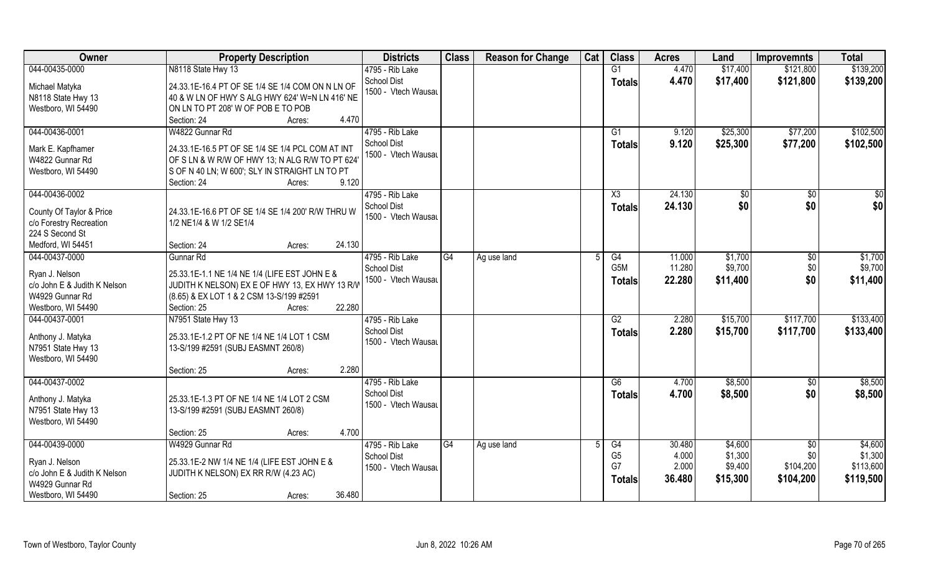| Owner                                                                                                     | <b>Property Description</b>                                                                                                                                                    | <b>Districts</b>                                             | <b>Class</b> | <b>Reason for Change</b> | Cat | <b>Class</b>                         | <b>Acres</b>                       | Land                                      | <b>Improvemnts</b>                           | <b>Total</b>                                 |
|-----------------------------------------------------------------------------------------------------------|--------------------------------------------------------------------------------------------------------------------------------------------------------------------------------|--------------------------------------------------------------|--------------|--------------------------|-----|--------------------------------------|------------------------------------|-------------------------------------------|----------------------------------------------|----------------------------------------------|
| 044-00435-0000                                                                                            | N8118 State Hwy 13                                                                                                                                                             | 4795 - Rib Lake                                              |              |                          |     | G1                                   | 4.470                              | \$17,400                                  | \$121,800                                    | \$139,200                                    |
| Michael Matyka<br>N8118 State Hwy 13<br>Westboro, WI 54490                                                | 24.33.1E-16.4 PT OF SE 1/4 SE 1/4 COM ON N LN OF<br>40 & W LN OF HWY S ALG HWY 624' W=N LN 416' NE<br>ON LN TO PT 208' W OF POB E TO POB                                       | <b>School Dist</b><br>1500 - Vtech Wausau                    |              |                          |     | <b>Totals</b>                        | 4.470                              | \$17,400                                  | \$121,800                                    | \$139,200                                    |
|                                                                                                           | 4.470<br>Section: 24<br>Acres:                                                                                                                                                 |                                                              |              |                          |     |                                      |                                    |                                           |                                              |                                              |
| 044-00436-0001<br>Mark E. Kapfhamer<br>W4822 Gunnar Rd<br>Westboro, WI 54490                              | W4822 Gunnar Rd<br>24.33.1E-16.5 PT OF SE 1/4 SE 1/4 PCL COM AT INT<br>OF S LN & W R/W OF HWY 13; N ALG R/W TO PT 624<br>S OF N 40 LN; W 600'; SLY IN STRAIGHT LN TO PT        | 4795 - Rib Lake<br><b>School Dist</b><br>1500 - Vtech Wausau |              |                          |     | G1<br>Totals                         | 9.120<br>9.120                     | \$25,300<br>\$25,300                      | \$77,200<br>\$77,200                         | \$102,500<br>\$102,500                       |
|                                                                                                           | 9.120<br>Section: 24<br>Acres:                                                                                                                                                 |                                                              |              |                          |     |                                      |                                    |                                           |                                              |                                              |
| 044-00436-0002<br>County Of Taylor & Price<br>c/o Forestry Recreation<br>224 S Second St                  | 24.33.1E-16.6 PT OF SE 1/4 SE 1/4 200' R/W THRU W<br>1/2 NE1/4 & W 1/2 SE1/4                                                                                                   | 4795 - Rib Lake<br><b>School Dist</b><br>1500 - Vtech Wausau |              |                          |     | X3<br><b>Totals</b>                  | 24.130<br>24.130                   | \$0<br>\$0                                | $\sqrt{50}$<br>\$0                           | \$0<br>\$0                                   |
| Medford, WI 54451                                                                                         | 24.130<br>Section: 24<br>Acres:                                                                                                                                                |                                                              |              |                          |     |                                      |                                    |                                           |                                              |                                              |
| 044-00437-0000                                                                                            | Gunnar Rd                                                                                                                                                                      | 4795 - Rib Lake<br><b>School Dist</b>                        | G4           | Ag use land              |     | G4<br>G5M                            | 11.000<br>11.280                   | \$1,700<br>\$9,700                        | \$0<br>\$0                                   | \$1,700<br>\$9,700                           |
| Ryan J. Nelson<br>c/o John E & Judith K Nelson<br>W4929 Gunnar Rd<br>Westboro, WI 54490                   | 25.33.1E-1.1 NE 1/4 NE 1/4 (LIFE EST JOHN E &<br>JUDITH K NELSON) EX E OF HWY 13, EX HWY 13 R/W<br>(8.65) & EX LOT 1 & 2 CSM 13-S/199 #2591<br>22.280<br>Section: 25<br>Acres: | 1500 - Vtech Wausau                                          |              |                          |     | <b>Totals</b>                        | 22.280                             | \$11,400                                  | \$0                                          | \$11,400                                     |
| 044-00437-0001<br>Anthony J. Matyka<br>N7951 State Hwy 13<br>Westboro, WI 54490                           | N7951 State Hwy 13<br>25.33.1E-1.2 PT OF NE 1/4 NE 1/4 LOT 1 CSM<br>13-S/199 #2591 (SUBJ EASMNT 260/8)<br>2.280                                                                | 4795 - Rib Lake<br><b>School Dist</b><br>1500 - Vtech Wausau |              |                          |     | G2<br><b>Totals</b>                  | 2.280<br>2.280                     | \$15,700<br>\$15,700                      | \$117,700<br>\$117,700                       | \$133,400<br>\$133,400                       |
| 044-00437-0002                                                                                            | Section: 25<br>Acres:                                                                                                                                                          | 4795 - Rib Lake                                              |              |                          |     | G6                                   | 4.700                              | \$8,500                                   |                                              | \$8,500                                      |
| Anthony J. Matyka<br>N7951 State Hwy 13<br>Westboro, WI 54490                                             | 25.33.1E-1.3 PT OF NE 1/4 NE 1/4 LOT 2 CSM<br>13-S/199 #2591 (SUBJ EASMNT 260/8)                                                                                               | <b>School Dist</b><br>1500 - Vtech Wausau                    |              |                          |     | <b>Totals</b>                        | 4.700                              | \$8,500                                   | \$0<br>\$0                                   | \$8,500                                      |
|                                                                                                           | 4.700<br>Section: 25<br>Acres:                                                                                                                                                 |                                                              |              |                          |     |                                      |                                    |                                           |                                              |                                              |
| 044-00439-0000<br>Ryan J. Nelson<br>c/o John E & Judith K Nelson<br>W4929 Gunnar Rd<br>Westboro, WI 54490 | W4929 Gunnar Rd<br>25.33.1E-2 NW 1/4 NE 1/4 (LIFE EST JOHN E &<br>JUDITH K NELSON) EX RR R/W (4.23 AC)<br>36.480<br>Section: 25                                                | 4795 - Rib Lake<br><b>School Dist</b><br>1500 - Vtech Wausau | G4           | Ag use land              |     | G4<br>G <sub>5</sub><br>G7<br>Totals | 30.480<br>4.000<br>2.000<br>36.480 | \$4,600<br>\$1,300<br>\$9,400<br>\$15,300 | $\sqrt{$0}$<br>\$0<br>\$104,200<br>\$104,200 | \$4,600<br>\$1,300<br>\$113,600<br>\$119,500 |
|                                                                                                           | Acres:                                                                                                                                                                         |                                                              |              |                          |     |                                      |                                    |                                           |                                              |                                              |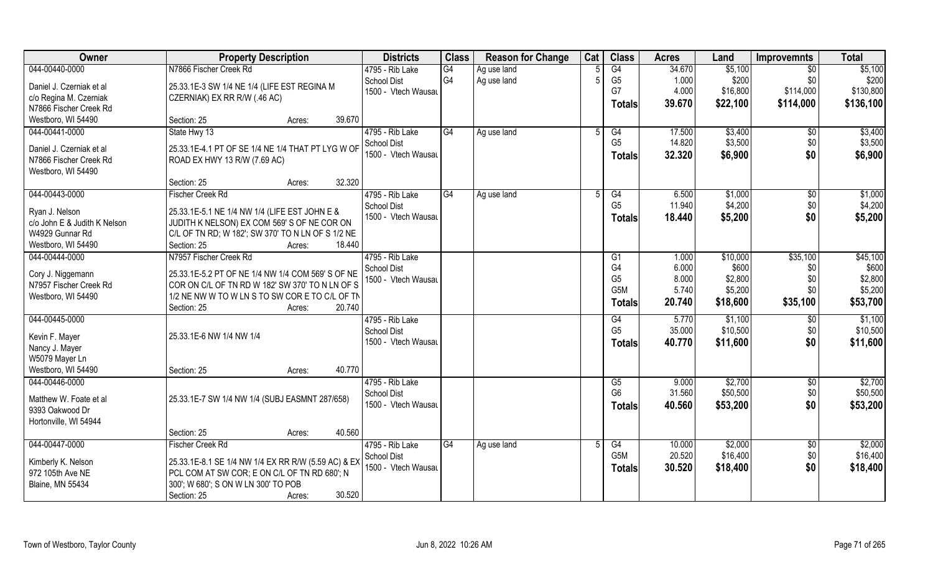| Owner                                       | <b>Property Description</b>                                                                          | <b>Districts</b>    | <b>Class</b>   | <b>Reason for Change</b> | Cat | <b>Class</b>     | <b>Acres</b> | Land     | <b>Improvemnts</b> | <b>Total</b> |
|---------------------------------------------|------------------------------------------------------------------------------------------------------|---------------------|----------------|--------------------------|-----|------------------|--------------|----------|--------------------|--------------|
| 044-00440-0000                              | N7866 Fischer Creek Rd                                                                               | 4795 - Rib Lake     | G4             | Ag use land              |     | $\overline{G4}$  | 34.670       | \$5,100  | $\overline{50}$    | \$5,100      |
| Daniel J. Czerniak et al                    | 25.33.1E-3 SW 1/4 NE 1/4 (LIFE EST REGINA M                                                          | <b>School Dist</b>  | G <sub>4</sub> | Ag use land              |     | G <sub>5</sub>   | 1.000        | \$200    | \$0                | \$200        |
| c/o Regina M. Czerniak                      | CZERNIAK) EX RR R/W (.46 AC)                                                                         | 1500 - Vtech Wausau |                |                          |     | G7               | 4.000        | \$16,800 | \$114,000          | \$130,800    |
| N7866 Fischer Creek Rd                      |                                                                                                      |                     |                |                          |     | <b>Totals</b>    | 39.670       | \$22,100 | \$114,000          | \$136,100    |
| Westboro, WI 54490                          | 39.670<br>Section: 25<br>Acres:                                                                      |                     |                |                          |     |                  |              |          |                    |              |
| 044-00441-0000                              | State Hwy 13                                                                                         | 4795 - Rib Lake     | G4             | Ag use land              |     | G4               | 17.500       | \$3,400  | \$0                | \$3,400      |
|                                             |                                                                                                      | <b>School Dist</b>  |                |                          |     | G <sub>5</sub>   | 14.820       | \$3,500  | \$0                | \$3,500      |
| Daniel J. Czerniak et al                    | 25.33.1E-4.1 PT OF SE 1/4 NE 1/4 THAT PT LYG W OF                                                    | 1500 - Vtech Wausau |                |                          |     | Totals           | 32.320       | \$6,900  | \$0                | \$6,900      |
| N7866 Fischer Creek Rd                      | ROAD EX HWY 13 R/W (7.69 AC)                                                                         |                     |                |                          |     |                  |              |          |                    |              |
| Westboro, WI 54490                          |                                                                                                      |                     |                |                          |     |                  |              |          |                    |              |
|                                             | 32.320<br>Section: 25<br>Acres:                                                                      |                     |                |                          |     |                  |              |          |                    |              |
| 044-00443-0000                              | <b>Fischer Creek Rd</b>                                                                              | 4795 - Rib Lake     | G4             | Ag use land              |     | G4               | 6.500        | \$1,000  | \$0                | \$1,000      |
| Ryan J. Nelson                              | 25.33.1E-5.1 NE 1/4 NW 1/4 (LIFE EST JOHN E &                                                        | School Dist         |                |                          |     | G <sub>5</sub>   | 11.940       | \$4,200  | \$0                | \$4,200      |
| c/o John E & Judith K Nelson                | JUDITH K NELSON) EX COM 569'S OF NE COR ON                                                           | 1500 - Vtech Wausau |                |                          |     | <b>Totals</b>    | 18.440       | \$5,200  | \$0                | \$5,200      |
| W4929 Gunnar Rd                             | C/L OF TN RD; W 182'; SW 370' TO N LN OF S 1/2 NE                                                    |                     |                |                          |     |                  |              |          |                    |              |
| Westboro, WI 54490                          | Section: 25<br>18.440<br>Acres:                                                                      |                     |                |                          |     |                  |              |          |                    |              |
| 044-00444-0000                              | N7957 Fischer Creek Rd                                                                               | 4795 - Rib Lake     |                |                          |     | G1               | 1.000        | \$10,000 | \$35,100           | \$45,100     |
|                                             |                                                                                                      | <b>School Dist</b>  |                |                          |     | G4               | 6.000        | \$600    | \$0                | \$600        |
| Cory J. Niggemann<br>N7957 Fischer Creek Rd | 25.33.1E-5.2 PT OF NE 1/4 NW 1/4 COM 569' S OF NE<br>COR ON C/L OF TN RD W 182' SW 370' TO N LN OF S | 1500 - Vtech Wausau |                |                          |     | G <sub>5</sub>   | 8.000        | \$2,800  | \$0                | \$2,800      |
| Westboro, WI 54490                          | 1/2 NE NW W TO W LN S TO SW COR E TO C/L OF TN                                                       |                     |                |                          |     | G <sub>5</sub> M | 5.740        | \$5,200  | \$0                | \$5,200      |
|                                             | 20.740<br>Section: 25<br>Acres:                                                                      |                     |                |                          |     | <b>Totals</b>    | 20.740       | \$18,600 | \$35,100           | \$53,700     |
| 044-00445-0000                              |                                                                                                      | 4795 - Rib Lake     |                |                          |     | G4               | 5.770        | \$1,100  | $\overline{50}$    | \$1,100      |
|                                             |                                                                                                      | <b>School Dist</b>  |                |                          |     | G <sub>5</sub>   | 35.000       | \$10,500 | \$0                | \$10,500     |
| Kevin F. Mayer                              | 25.33.1E-6 NW 1/4 NW 1/4                                                                             | 1500 - Vtech Wausau |                |                          |     | Totals           | 40.770       | \$11,600 | \$0                | \$11,600     |
| Nancy J. Mayer                              |                                                                                                      |                     |                |                          |     |                  |              |          |                    |              |
| W5079 Mayer Ln                              |                                                                                                      |                     |                |                          |     |                  |              |          |                    |              |
| Westboro, WI 54490                          | 40.770<br>Section: 25<br>Acres:                                                                      |                     |                |                          |     |                  |              |          |                    |              |
| 044-00446-0000                              |                                                                                                      | 4795 - Rib Lake     |                |                          |     | G5               | 9.000        | \$2,700  | \$0                | \$2,700      |
| Matthew W. Foate et al                      | 25.33.1E-7 SW 1/4 NW 1/4 (SUBJ EASMNT 287/658)                                                       | <b>School Dist</b>  |                |                          |     | G <sub>6</sub>   | 31.560       | \$50,500 | \$0                | \$50,500     |
| 9393 Oakwood Dr                             |                                                                                                      | 1500 - Vtech Wausau |                |                          |     | <b>Totals</b>    | 40.560       | \$53,200 | \$0                | \$53,200     |
| Hortonville, WI 54944                       |                                                                                                      |                     |                |                          |     |                  |              |          |                    |              |
|                                             | 40.560<br>Section: 25<br>Acres:                                                                      |                     |                |                          |     |                  |              |          |                    |              |
| 044-00447-0000                              | <b>Fischer Creek Rd</b>                                                                              | 4795 - Rib Lake     | G4             | Ag use land              |     | G4               | 10.000       | \$2,000  | $\sqrt{6}$         | \$2,000      |
|                                             |                                                                                                      | <b>School Dist</b>  |                |                          |     | G5M              | 20.520       | \$16,400 | \$0                | \$16,400     |
| Kimberly K. Nelson                          | 25.33.1E-8.1 SE 1/4 NW 1/4 EX RR R/W (5.59 AC) & EX                                                  | 1500 - Vtech Wausau |                |                          |     | <b>Totals</b>    | 30.520       | \$18,400 | \$0                | \$18,400     |
| 972 105th Ave NE                            | PCL COM AT SW COR; E ON C/L OF TN RD 680'; N                                                         |                     |                |                          |     |                  |              |          |                    |              |
| <b>Blaine, MN 55434</b>                     | 300'; W 680'; S ON W LN 300' TO POB                                                                  |                     |                |                          |     |                  |              |          |                    |              |
|                                             | 30.520<br>Section: 25<br>Acres:                                                                      |                     |                |                          |     |                  |              |          |                    |              |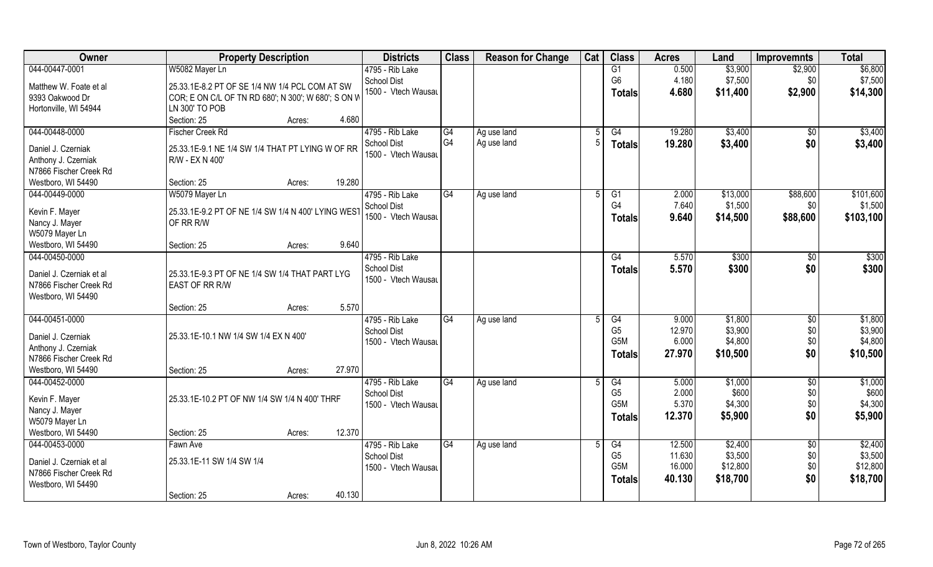| 044-00447-0001<br>W5082 Mayer Ln<br>0.500<br>\$3,900<br>4795 - Rib Lake<br>G1<br>\$2,900<br>G <sub>6</sub><br>4.180<br><b>School Dist</b><br>\$7,500<br>\$0<br>Matthew W. Foate et al<br>25.33.1E-8.2 PT OF SE 1/4 NW 1/4 PCL COM AT SW<br>1500 - Vtech Wausau<br>4.680<br>\$2,900<br>\$14,300<br>\$11,400<br><b>Totals</b><br>9393 Oakwood Dr<br>COR; E ON C/L OF TN RD 680'; N 300'; W 680'; S ON W<br>LN 300' TO POB<br>Hortonville, WI 54944<br>4.680<br>Section: 25<br>Acres:<br>044-00448-0000<br>4795 - Rib Lake<br>G4<br>G4<br>19.280<br>\$3,400<br>\$3,400<br><b>Fischer Creek Rd</b><br>Ag use land<br>\$0<br>G4<br>Ag use land<br>\$3,400<br>\$0<br><b>School Dist</b><br>19.280<br>\$3,400<br><b>Totals</b><br>25.33.1E-9.1 NE 1/4 SW 1/4 THAT PT LYING W OF RR<br>Daniel J. Czerniak<br>1500 - Vtech Wausau<br>Anthony J. Czerniak<br>R/W - EX N 400'<br>N7866 Fischer Creek Rd<br>19.280<br>Westboro, WI 54490<br>Section: 25<br>Acres:<br>4795 - Rib Lake<br>044-00449-0000<br>G4<br>2.000<br>\$13,000<br>\$88,600<br>W5079 Mayer Ln<br>G <sub>1</sub><br>Ag use land<br>5<br>G4<br>7.640<br>\$1,500<br>\$0<br><b>School Dist</b><br>25.33.1E-9.2 PT OF NE 1/4 SW 1/4 N 400' LYING WEST<br>Kevin F. Mayer<br>1500 - Vtech Wausau<br>9.640<br>\$14,500<br>\$88,600<br>\$103,100<br><b>Totals</b><br>OF RR R/W<br>Nancy J. Mayer<br>W5079 Mayer Ln<br>9.640<br>Westboro, WI 54490<br>Section: 25<br>Acres:<br>4795 - Rib Lake<br>\$300<br>044-00450-0000<br>\$300<br>G4<br>5.570<br>\$0<br><b>School Dist</b><br>5.570<br>\$300<br>\$0<br>\$300<br><b>Totals</b><br>Daniel J. Czerniak et al<br>25.33.1E-9.3 PT OF NE 1/4 SW 1/4 THAT PART LYG<br>1500 - Vtech Wausau<br>N7866 Fischer Creek Rd<br>EAST OF RR R/W<br>Westboro, WI 54490<br>5.570<br>Section: 25<br>Acres:<br>044-00451-0000<br>9.000<br>\$1,800<br>\$1,800<br>4795 - Rib Lake<br>G4<br>G4<br>\$0<br>Ag use land<br>G <sub>5</sub><br>\$3,900<br>\$0<br>\$3,900<br>12.970<br><b>School Dist</b><br>25.33.1E-10.1 NW 1/4 SW 1/4 EX N 400'<br>Daniel J. Czerniak<br>\$0<br>G5M<br>6.000<br>\$4,800<br>\$4,800<br>1500 - Vtech Wausau<br>Anthony J. Czerniak<br>\$0<br>\$10,500<br>27.970<br>\$10,500<br><b>Totals</b><br>N7866 Fischer Creek Rd<br>Westboro, WI 54490<br>27.970<br>Section: 25<br>Acres:<br>\$1,000<br>044-00452-0000<br>4795 - Rib Lake<br>G4<br>G4<br>\$1,000<br>$\overline{50}$<br>5.000<br>Ag use land<br>G <sub>5</sub><br>\$600<br>\$0<br>2.000<br><b>School Dist</b><br>Kevin F. Mayer<br>25.33.1E-10.2 PT OF NW 1/4 SW 1/4 N 400' THRF<br>G <sub>5</sub> M<br>\$0<br>\$4,300<br>5.370<br>\$4,300<br>1500 - Vtech Wausau<br>Nancy J. Mayer<br>\$0<br>12.370<br>\$5,900<br>\$5,900<br>Totals<br>W5079 Mayer Ln<br>12.370<br>Westboro, WI 54490<br>Section: 25<br>Acres:<br>\$2,400<br>044-00453-0000<br>4795 - Rib Lake<br>\$2,400<br>G4<br>G4<br>12.500<br>$\overline{50}$<br>Fawn Ave<br>Ag use land<br>G <sub>5</sub><br>11.630<br>\$3,500<br>\$0<br>\$3,500<br><b>School Dist</b><br>25.33.1E-11 SW 1/4 SW 1/4<br>Daniel J. Czerniak et al<br>G <sub>5</sub> M<br>\$12,800<br>\$0<br>\$12,800<br>16.000<br>1500 - Vtech Wausau<br>N7866 Fischer Creek Rd<br>\$0<br>\$18,700<br>40.130<br>\$18,700<br><b>Totals</b><br>Westboro, WI 54490 | Owner | <b>Property Description</b>     | <b>Districts</b> | <b>Class</b> | <b>Reason for Change</b> | Cat | <b>Class</b> | <b>Acres</b> | Land | <b>Improvemnts</b> | <b>Total</b> |
|----------------------------------------------------------------------------------------------------------------------------------------------------------------------------------------------------------------------------------------------------------------------------------------------------------------------------------------------------------------------------------------------------------------------------------------------------------------------------------------------------------------------------------------------------------------------------------------------------------------------------------------------------------------------------------------------------------------------------------------------------------------------------------------------------------------------------------------------------------------------------------------------------------------------------------------------------------------------------------------------------------------------------------------------------------------------------------------------------------------------------------------------------------------------------------------------------------------------------------------------------------------------------------------------------------------------------------------------------------------------------------------------------------------------------------------------------------------------------------------------------------------------------------------------------------------------------------------------------------------------------------------------------------------------------------------------------------------------------------------------------------------------------------------------------------------------------------------------------------------------------------------------------------------------------------------------------------------------------------------------------------------------------------------------------------------------------------------------------------------------------------------------------------------------------------------------------------------------------------------------------------------------------------------------------------------------------------------------------------------------------------------------------------------------------------------------------------------------------------------------------------------------------------------------------------------------------------------------------------------------------------------------------------------------------------------------------------------------------------------------------------------------------------------------------------------------------------------------------------------------------------------------------------------------------------------------------------------------------------------------------------------------------------------------------------------------------------------------------------------------------------------------------------------------------------------------------------------------------------------------|-------|---------------------------------|------------------|--------------|--------------------------|-----|--------------|--------------|------|--------------------|--------------|
| \$7,500<br>\$101,600<br>\$1,500<br>\$600                                                                                                                                                                                                                                                                                                                                                                                                                                                                                                                                                                                                                                                                                                                                                                                                                                                                                                                                                                                                                                                                                                                                                                                                                                                                                                                                                                                                                                                                                                                                                                                                                                                                                                                                                                                                                                                                                                                                                                                                                                                                                                                                                                                                                                                                                                                                                                                                                                                                                                                                                                                                                                                                                                                                                                                                                                                                                                                                                                                                                                                                                                                                                                                                     |       |                                 |                  |              |                          |     |              |              |      |                    | \$6,800      |
|                                                                                                                                                                                                                                                                                                                                                                                                                                                                                                                                                                                                                                                                                                                                                                                                                                                                                                                                                                                                                                                                                                                                                                                                                                                                                                                                                                                                                                                                                                                                                                                                                                                                                                                                                                                                                                                                                                                                                                                                                                                                                                                                                                                                                                                                                                                                                                                                                                                                                                                                                                                                                                                                                                                                                                                                                                                                                                                                                                                                                                                                                                                                                                                                                                              |       |                                 |                  |              |                          |     |              |              |      |                    |              |
|                                                                                                                                                                                                                                                                                                                                                                                                                                                                                                                                                                                                                                                                                                                                                                                                                                                                                                                                                                                                                                                                                                                                                                                                                                                                                                                                                                                                                                                                                                                                                                                                                                                                                                                                                                                                                                                                                                                                                                                                                                                                                                                                                                                                                                                                                                                                                                                                                                                                                                                                                                                                                                                                                                                                                                                                                                                                                                                                                                                                                                                                                                                                                                                                                                              |       |                                 |                  |              |                          |     |              |              |      |                    |              |
|                                                                                                                                                                                                                                                                                                                                                                                                                                                                                                                                                                                                                                                                                                                                                                                                                                                                                                                                                                                                                                                                                                                                                                                                                                                                                                                                                                                                                                                                                                                                                                                                                                                                                                                                                                                                                                                                                                                                                                                                                                                                                                                                                                                                                                                                                                                                                                                                                                                                                                                                                                                                                                                                                                                                                                                                                                                                                                                                                                                                                                                                                                                                                                                                                                              |       |                                 |                  |              |                          |     |              |              |      |                    |              |
|                                                                                                                                                                                                                                                                                                                                                                                                                                                                                                                                                                                                                                                                                                                                                                                                                                                                                                                                                                                                                                                                                                                                                                                                                                                                                                                                                                                                                                                                                                                                                                                                                                                                                                                                                                                                                                                                                                                                                                                                                                                                                                                                                                                                                                                                                                                                                                                                                                                                                                                                                                                                                                                                                                                                                                                                                                                                                                                                                                                                                                                                                                                                                                                                                                              |       |                                 |                  |              |                          |     |              |              |      |                    |              |
|                                                                                                                                                                                                                                                                                                                                                                                                                                                                                                                                                                                                                                                                                                                                                                                                                                                                                                                                                                                                                                                                                                                                                                                                                                                                                                                                                                                                                                                                                                                                                                                                                                                                                                                                                                                                                                                                                                                                                                                                                                                                                                                                                                                                                                                                                                                                                                                                                                                                                                                                                                                                                                                                                                                                                                                                                                                                                                                                                                                                                                                                                                                                                                                                                                              |       |                                 |                  |              |                          |     |              |              |      |                    |              |
|                                                                                                                                                                                                                                                                                                                                                                                                                                                                                                                                                                                                                                                                                                                                                                                                                                                                                                                                                                                                                                                                                                                                                                                                                                                                                                                                                                                                                                                                                                                                                                                                                                                                                                                                                                                                                                                                                                                                                                                                                                                                                                                                                                                                                                                                                                                                                                                                                                                                                                                                                                                                                                                                                                                                                                                                                                                                                                                                                                                                                                                                                                                                                                                                                                              |       |                                 |                  |              |                          |     |              |              |      |                    |              |
|                                                                                                                                                                                                                                                                                                                                                                                                                                                                                                                                                                                                                                                                                                                                                                                                                                                                                                                                                                                                                                                                                                                                                                                                                                                                                                                                                                                                                                                                                                                                                                                                                                                                                                                                                                                                                                                                                                                                                                                                                                                                                                                                                                                                                                                                                                                                                                                                                                                                                                                                                                                                                                                                                                                                                                                                                                                                                                                                                                                                                                                                                                                                                                                                                                              |       |                                 |                  |              |                          |     |              |              |      |                    |              |
|                                                                                                                                                                                                                                                                                                                                                                                                                                                                                                                                                                                                                                                                                                                                                                                                                                                                                                                                                                                                                                                                                                                                                                                                                                                                                                                                                                                                                                                                                                                                                                                                                                                                                                                                                                                                                                                                                                                                                                                                                                                                                                                                                                                                                                                                                                                                                                                                                                                                                                                                                                                                                                                                                                                                                                                                                                                                                                                                                                                                                                                                                                                                                                                                                                              |       |                                 |                  |              |                          |     |              |              |      |                    |              |
|                                                                                                                                                                                                                                                                                                                                                                                                                                                                                                                                                                                                                                                                                                                                                                                                                                                                                                                                                                                                                                                                                                                                                                                                                                                                                                                                                                                                                                                                                                                                                                                                                                                                                                                                                                                                                                                                                                                                                                                                                                                                                                                                                                                                                                                                                                                                                                                                                                                                                                                                                                                                                                                                                                                                                                                                                                                                                                                                                                                                                                                                                                                                                                                                                                              |       |                                 |                  |              |                          |     |              |              |      |                    |              |
|                                                                                                                                                                                                                                                                                                                                                                                                                                                                                                                                                                                                                                                                                                                                                                                                                                                                                                                                                                                                                                                                                                                                                                                                                                                                                                                                                                                                                                                                                                                                                                                                                                                                                                                                                                                                                                                                                                                                                                                                                                                                                                                                                                                                                                                                                                                                                                                                                                                                                                                                                                                                                                                                                                                                                                                                                                                                                                                                                                                                                                                                                                                                                                                                                                              |       |                                 |                  |              |                          |     |              |              |      |                    |              |
|                                                                                                                                                                                                                                                                                                                                                                                                                                                                                                                                                                                                                                                                                                                                                                                                                                                                                                                                                                                                                                                                                                                                                                                                                                                                                                                                                                                                                                                                                                                                                                                                                                                                                                                                                                                                                                                                                                                                                                                                                                                                                                                                                                                                                                                                                                                                                                                                                                                                                                                                                                                                                                                                                                                                                                                                                                                                                                                                                                                                                                                                                                                                                                                                                                              |       |                                 |                  |              |                          |     |              |              |      |                    |              |
|                                                                                                                                                                                                                                                                                                                                                                                                                                                                                                                                                                                                                                                                                                                                                                                                                                                                                                                                                                                                                                                                                                                                                                                                                                                                                                                                                                                                                                                                                                                                                                                                                                                                                                                                                                                                                                                                                                                                                                                                                                                                                                                                                                                                                                                                                                                                                                                                                                                                                                                                                                                                                                                                                                                                                                                                                                                                                                                                                                                                                                                                                                                                                                                                                                              |       |                                 |                  |              |                          |     |              |              |      |                    |              |
|                                                                                                                                                                                                                                                                                                                                                                                                                                                                                                                                                                                                                                                                                                                                                                                                                                                                                                                                                                                                                                                                                                                                                                                                                                                                                                                                                                                                                                                                                                                                                                                                                                                                                                                                                                                                                                                                                                                                                                                                                                                                                                                                                                                                                                                                                                                                                                                                                                                                                                                                                                                                                                                                                                                                                                                                                                                                                                                                                                                                                                                                                                                                                                                                                                              |       |                                 |                  |              |                          |     |              |              |      |                    |              |
|                                                                                                                                                                                                                                                                                                                                                                                                                                                                                                                                                                                                                                                                                                                                                                                                                                                                                                                                                                                                                                                                                                                                                                                                                                                                                                                                                                                                                                                                                                                                                                                                                                                                                                                                                                                                                                                                                                                                                                                                                                                                                                                                                                                                                                                                                                                                                                                                                                                                                                                                                                                                                                                                                                                                                                                                                                                                                                                                                                                                                                                                                                                                                                                                                                              |       |                                 |                  |              |                          |     |              |              |      |                    |              |
|                                                                                                                                                                                                                                                                                                                                                                                                                                                                                                                                                                                                                                                                                                                                                                                                                                                                                                                                                                                                                                                                                                                                                                                                                                                                                                                                                                                                                                                                                                                                                                                                                                                                                                                                                                                                                                                                                                                                                                                                                                                                                                                                                                                                                                                                                                                                                                                                                                                                                                                                                                                                                                                                                                                                                                                                                                                                                                                                                                                                                                                                                                                                                                                                                                              |       |                                 |                  |              |                          |     |              |              |      |                    |              |
|                                                                                                                                                                                                                                                                                                                                                                                                                                                                                                                                                                                                                                                                                                                                                                                                                                                                                                                                                                                                                                                                                                                                                                                                                                                                                                                                                                                                                                                                                                                                                                                                                                                                                                                                                                                                                                                                                                                                                                                                                                                                                                                                                                                                                                                                                                                                                                                                                                                                                                                                                                                                                                                                                                                                                                                                                                                                                                                                                                                                                                                                                                                                                                                                                                              |       |                                 |                  |              |                          |     |              |              |      |                    |              |
|                                                                                                                                                                                                                                                                                                                                                                                                                                                                                                                                                                                                                                                                                                                                                                                                                                                                                                                                                                                                                                                                                                                                                                                                                                                                                                                                                                                                                                                                                                                                                                                                                                                                                                                                                                                                                                                                                                                                                                                                                                                                                                                                                                                                                                                                                                                                                                                                                                                                                                                                                                                                                                                                                                                                                                                                                                                                                                                                                                                                                                                                                                                                                                                                                                              |       |                                 |                  |              |                          |     |              |              |      |                    |              |
|                                                                                                                                                                                                                                                                                                                                                                                                                                                                                                                                                                                                                                                                                                                                                                                                                                                                                                                                                                                                                                                                                                                                                                                                                                                                                                                                                                                                                                                                                                                                                                                                                                                                                                                                                                                                                                                                                                                                                                                                                                                                                                                                                                                                                                                                                                                                                                                                                                                                                                                                                                                                                                                                                                                                                                                                                                                                                                                                                                                                                                                                                                                                                                                                                                              |       |                                 |                  |              |                          |     |              |              |      |                    |              |
|                                                                                                                                                                                                                                                                                                                                                                                                                                                                                                                                                                                                                                                                                                                                                                                                                                                                                                                                                                                                                                                                                                                                                                                                                                                                                                                                                                                                                                                                                                                                                                                                                                                                                                                                                                                                                                                                                                                                                                                                                                                                                                                                                                                                                                                                                                                                                                                                                                                                                                                                                                                                                                                                                                                                                                                                                                                                                                                                                                                                                                                                                                                                                                                                                                              |       |                                 |                  |              |                          |     |              |              |      |                    |              |
|                                                                                                                                                                                                                                                                                                                                                                                                                                                                                                                                                                                                                                                                                                                                                                                                                                                                                                                                                                                                                                                                                                                                                                                                                                                                                                                                                                                                                                                                                                                                                                                                                                                                                                                                                                                                                                                                                                                                                                                                                                                                                                                                                                                                                                                                                                                                                                                                                                                                                                                                                                                                                                                                                                                                                                                                                                                                                                                                                                                                                                                                                                                                                                                                                                              |       |                                 |                  |              |                          |     |              |              |      |                    |              |
|                                                                                                                                                                                                                                                                                                                                                                                                                                                                                                                                                                                                                                                                                                                                                                                                                                                                                                                                                                                                                                                                                                                                                                                                                                                                                                                                                                                                                                                                                                                                                                                                                                                                                                                                                                                                                                                                                                                                                                                                                                                                                                                                                                                                                                                                                                                                                                                                                                                                                                                                                                                                                                                                                                                                                                                                                                                                                                                                                                                                                                                                                                                                                                                                                                              |       |                                 |                  |              |                          |     |              |              |      |                    |              |
|                                                                                                                                                                                                                                                                                                                                                                                                                                                                                                                                                                                                                                                                                                                                                                                                                                                                                                                                                                                                                                                                                                                                                                                                                                                                                                                                                                                                                                                                                                                                                                                                                                                                                                                                                                                                                                                                                                                                                                                                                                                                                                                                                                                                                                                                                                                                                                                                                                                                                                                                                                                                                                                                                                                                                                                                                                                                                                                                                                                                                                                                                                                                                                                                                                              |       |                                 |                  |              |                          |     |              |              |      |                    |              |
|                                                                                                                                                                                                                                                                                                                                                                                                                                                                                                                                                                                                                                                                                                                                                                                                                                                                                                                                                                                                                                                                                                                                                                                                                                                                                                                                                                                                                                                                                                                                                                                                                                                                                                                                                                                                                                                                                                                                                                                                                                                                                                                                                                                                                                                                                                                                                                                                                                                                                                                                                                                                                                                                                                                                                                                                                                                                                                                                                                                                                                                                                                                                                                                                                                              |       |                                 |                  |              |                          |     |              |              |      |                    |              |
|                                                                                                                                                                                                                                                                                                                                                                                                                                                                                                                                                                                                                                                                                                                                                                                                                                                                                                                                                                                                                                                                                                                                                                                                                                                                                                                                                                                                                                                                                                                                                                                                                                                                                                                                                                                                                                                                                                                                                                                                                                                                                                                                                                                                                                                                                                                                                                                                                                                                                                                                                                                                                                                                                                                                                                                                                                                                                                                                                                                                                                                                                                                                                                                                                                              |       |                                 |                  |              |                          |     |              |              |      |                    |              |
|                                                                                                                                                                                                                                                                                                                                                                                                                                                                                                                                                                                                                                                                                                                                                                                                                                                                                                                                                                                                                                                                                                                                                                                                                                                                                                                                                                                                                                                                                                                                                                                                                                                                                                                                                                                                                                                                                                                                                                                                                                                                                                                                                                                                                                                                                                                                                                                                                                                                                                                                                                                                                                                                                                                                                                                                                                                                                                                                                                                                                                                                                                                                                                                                                                              |       |                                 |                  |              |                          |     |              |              |      |                    |              |
|                                                                                                                                                                                                                                                                                                                                                                                                                                                                                                                                                                                                                                                                                                                                                                                                                                                                                                                                                                                                                                                                                                                                                                                                                                                                                                                                                                                                                                                                                                                                                                                                                                                                                                                                                                                                                                                                                                                                                                                                                                                                                                                                                                                                                                                                                                                                                                                                                                                                                                                                                                                                                                                                                                                                                                                                                                                                                                                                                                                                                                                                                                                                                                                                                                              |       |                                 |                  |              |                          |     |              |              |      |                    |              |
|                                                                                                                                                                                                                                                                                                                                                                                                                                                                                                                                                                                                                                                                                                                                                                                                                                                                                                                                                                                                                                                                                                                                                                                                                                                                                                                                                                                                                                                                                                                                                                                                                                                                                                                                                                                                                                                                                                                                                                                                                                                                                                                                                                                                                                                                                                                                                                                                                                                                                                                                                                                                                                                                                                                                                                                                                                                                                                                                                                                                                                                                                                                                                                                                                                              |       |                                 |                  |              |                          |     |              |              |      |                    |              |
|                                                                                                                                                                                                                                                                                                                                                                                                                                                                                                                                                                                                                                                                                                                                                                                                                                                                                                                                                                                                                                                                                                                                                                                                                                                                                                                                                                                                                                                                                                                                                                                                                                                                                                                                                                                                                                                                                                                                                                                                                                                                                                                                                                                                                                                                                                                                                                                                                                                                                                                                                                                                                                                                                                                                                                                                                                                                                                                                                                                                                                                                                                                                                                                                                                              |       |                                 |                  |              |                          |     |              |              |      |                    |              |
|                                                                                                                                                                                                                                                                                                                                                                                                                                                                                                                                                                                                                                                                                                                                                                                                                                                                                                                                                                                                                                                                                                                                                                                                                                                                                                                                                                                                                                                                                                                                                                                                                                                                                                                                                                                                                                                                                                                                                                                                                                                                                                                                                                                                                                                                                                                                                                                                                                                                                                                                                                                                                                                                                                                                                                                                                                                                                                                                                                                                                                                                                                                                                                                                                                              |       |                                 |                  |              |                          |     |              |              |      |                    |              |
|                                                                                                                                                                                                                                                                                                                                                                                                                                                                                                                                                                                                                                                                                                                                                                                                                                                                                                                                                                                                                                                                                                                                                                                                                                                                                                                                                                                                                                                                                                                                                                                                                                                                                                                                                                                                                                                                                                                                                                                                                                                                                                                                                                                                                                                                                                                                                                                                                                                                                                                                                                                                                                                                                                                                                                                                                                                                                                                                                                                                                                                                                                                                                                                                                                              |       |                                 |                  |              |                          |     |              |              |      |                    |              |
|                                                                                                                                                                                                                                                                                                                                                                                                                                                                                                                                                                                                                                                                                                                                                                                                                                                                                                                                                                                                                                                                                                                                                                                                                                                                                                                                                                                                                                                                                                                                                                                                                                                                                                                                                                                                                                                                                                                                                                                                                                                                                                                                                                                                                                                                                                                                                                                                                                                                                                                                                                                                                                                                                                                                                                                                                                                                                                                                                                                                                                                                                                                                                                                                                                              |       |                                 |                  |              |                          |     |              |              |      |                    |              |
|                                                                                                                                                                                                                                                                                                                                                                                                                                                                                                                                                                                                                                                                                                                                                                                                                                                                                                                                                                                                                                                                                                                                                                                                                                                                                                                                                                                                                                                                                                                                                                                                                                                                                                                                                                                                                                                                                                                                                                                                                                                                                                                                                                                                                                                                                                                                                                                                                                                                                                                                                                                                                                                                                                                                                                                                                                                                                                                                                                                                                                                                                                                                                                                                                                              |       |                                 |                  |              |                          |     |              |              |      |                    |              |
|                                                                                                                                                                                                                                                                                                                                                                                                                                                                                                                                                                                                                                                                                                                                                                                                                                                                                                                                                                                                                                                                                                                                                                                                                                                                                                                                                                                                                                                                                                                                                                                                                                                                                                                                                                                                                                                                                                                                                                                                                                                                                                                                                                                                                                                                                                                                                                                                                                                                                                                                                                                                                                                                                                                                                                                                                                                                                                                                                                                                                                                                                                                                                                                                                                              |       |                                 |                  |              |                          |     |              |              |      |                    |              |
|                                                                                                                                                                                                                                                                                                                                                                                                                                                                                                                                                                                                                                                                                                                                                                                                                                                                                                                                                                                                                                                                                                                                                                                                                                                                                                                                                                                                                                                                                                                                                                                                                                                                                                                                                                                                                                                                                                                                                                                                                                                                                                                                                                                                                                                                                                                                                                                                                                                                                                                                                                                                                                                                                                                                                                                                                                                                                                                                                                                                                                                                                                                                                                                                                                              |       |                                 |                  |              |                          |     |              |              |      |                    |              |
|                                                                                                                                                                                                                                                                                                                                                                                                                                                                                                                                                                                                                                                                                                                                                                                                                                                                                                                                                                                                                                                                                                                                                                                                                                                                                                                                                                                                                                                                                                                                                                                                                                                                                                                                                                                                                                                                                                                                                                                                                                                                                                                                                                                                                                                                                                                                                                                                                                                                                                                                                                                                                                                                                                                                                                                                                                                                                                                                                                                                                                                                                                                                                                                                                                              |       |                                 |                  |              |                          |     |              |              |      |                    |              |
|                                                                                                                                                                                                                                                                                                                                                                                                                                                                                                                                                                                                                                                                                                                                                                                                                                                                                                                                                                                                                                                                                                                                                                                                                                                                                                                                                                                                                                                                                                                                                                                                                                                                                                                                                                                                                                                                                                                                                                                                                                                                                                                                                                                                                                                                                                                                                                                                                                                                                                                                                                                                                                                                                                                                                                                                                                                                                                                                                                                                                                                                                                                                                                                                                                              |       |                                 |                  |              |                          |     |              |              |      |                    |              |
|                                                                                                                                                                                                                                                                                                                                                                                                                                                                                                                                                                                                                                                                                                                                                                                                                                                                                                                                                                                                                                                                                                                                                                                                                                                                                                                                                                                                                                                                                                                                                                                                                                                                                                                                                                                                                                                                                                                                                                                                                                                                                                                                                                                                                                                                                                                                                                                                                                                                                                                                                                                                                                                                                                                                                                                                                                                                                                                                                                                                                                                                                                                                                                                                                                              |       | 40.130<br>Section: 25<br>Acres: |                  |              |                          |     |              |              |      |                    |              |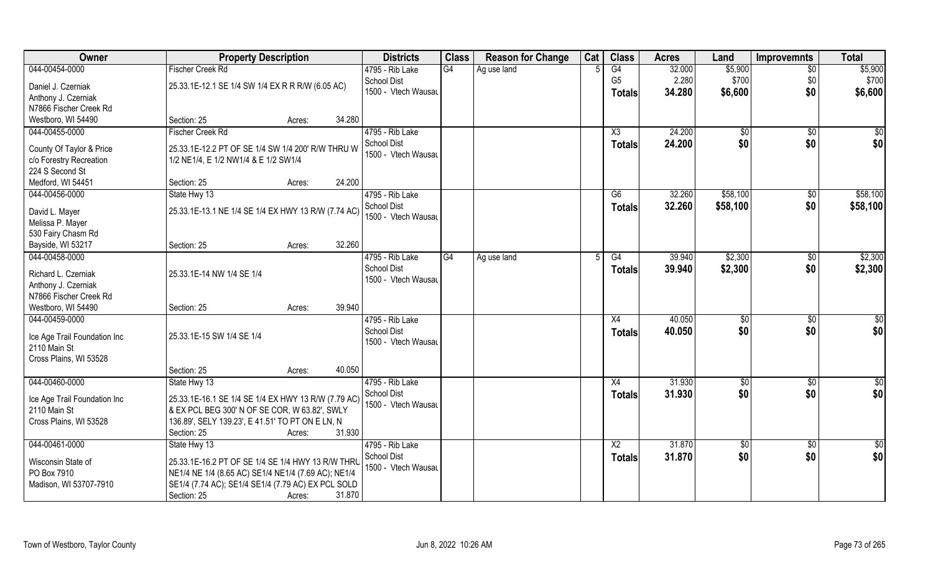| Owner                             | <b>Property Description</b>                                                                              |        |        | <b>Districts</b>    | <b>Class</b> | <b>Reason for Change</b> | Cat | <b>Class</b>    | <b>Acres</b> | Land            | Improvemnts     | <b>Total</b>    |
|-----------------------------------|----------------------------------------------------------------------------------------------------------|--------|--------|---------------------|--------------|--------------------------|-----|-----------------|--------------|-----------------|-----------------|-----------------|
| 044-00454-0000                    | <b>Fischer Creek Rd</b>                                                                                  |        |        | 4795 - Rib Lake     | G4           | Ag use land              |     | G4              | 32.000       | \$5,900         | $\overline{50}$ | \$5,900         |
| Daniel J. Czerniak                | 25.33.1E-12.1 SE 1/4 SW 1/4 EX R R R/W (6.05 AC)                                                         |        |        | <b>School Dist</b>  |              |                          |     | G <sub>5</sub>  | 2.280        | \$700           | \$0             | \$700           |
| Anthony J. Czerniak               |                                                                                                          |        |        | 1500 - Vtech Wausau |              |                          |     | <b>Totals</b>   | 34.280       | \$6,600         | \$0             | \$6,600         |
| N7866 Fischer Creek Rd            |                                                                                                          |        |        |                     |              |                          |     |                 |              |                 |                 |                 |
| Westboro, WI 54490                | Section: 25                                                                                              | Acres: | 34.280 |                     |              |                          |     |                 |              |                 |                 |                 |
| 044-00455-0000                    | <b>Fischer Creek Rd</b>                                                                                  |        |        | 4795 - Rib Lake     |              |                          |     | X3              | 24.200       | $\overline{50}$ | \$0             | \$0             |
|                                   |                                                                                                          |        |        | <b>School Dist</b>  |              |                          |     | Totals          | 24.200       | \$0             | \$0             | \$0             |
| County Of Taylor & Price          | 25.33.1E-12.2 PT OF SE 1/4 SW 1/4 200' R/W THRU W                                                        |        |        | 1500 - Vtech Wausau |              |                          |     |                 |              |                 |                 |                 |
| c/o Forestry Recreation           | 1/2 NE1/4, E 1/2 NW1/4 & E 1/2 SW1/4                                                                     |        |        |                     |              |                          |     |                 |              |                 |                 |                 |
| 224 S Second St                   |                                                                                                          |        | 24.200 |                     |              |                          |     |                 |              |                 |                 |                 |
| Medford, WI 54451                 | Section: 25                                                                                              | Acres: |        |                     |              |                          |     |                 |              |                 |                 |                 |
| 044-00456-0000                    | State Hwy 13                                                                                             |        |        | 4795 - Rib Lake     |              |                          |     | G6              | 32.260       | \$58,100        | $\sqrt[6]{30}$  | \$58,100        |
| David L. Mayer                    | 25.33.1E-13.1 NE 1/4 SE 1/4 EX HWY 13 R/W (7.74 AC)                                                      |        |        | <b>School Dist</b>  |              |                          |     | <b>Totals</b>   | 32.260       | \$58,100        | \$0             | \$58,100        |
| Melissa P. Mayer                  |                                                                                                          |        |        | 1500 - Vtech Wausau |              |                          |     |                 |              |                 |                 |                 |
| 530 Fairy Chasm Rd                |                                                                                                          |        |        |                     |              |                          |     |                 |              |                 |                 |                 |
| Bayside, WI 53217                 | Section: 25                                                                                              | Acres: | 32.260 |                     |              |                          |     |                 |              |                 |                 |                 |
| 044-00458-0000                    |                                                                                                          |        |        | 4795 - Rib Lake     | G4           | Ag use land              |     | G4              | 39.940       | \$2,300         | \$0             | \$2,300         |
| Richard L. Czerniak               | 25.33.1E-14 NW 1/4 SE 1/4                                                                                |        |        | <b>School Dist</b>  |              |                          |     | <b>Totals</b>   | 39.940       | \$2,300         | \$0             | \$2,300         |
| Anthony J. Czerniak               |                                                                                                          |        |        | 1500 - Vtech Wausau |              |                          |     |                 |              |                 |                 |                 |
| N7866 Fischer Creek Rd            |                                                                                                          |        |        |                     |              |                          |     |                 |              |                 |                 |                 |
| Westboro, WI 54490                | Section: 25                                                                                              | Acres: | 39.940 |                     |              |                          |     |                 |              |                 |                 |                 |
| 044-00459-0000                    |                                                                                                          |        |        | 4795 - Rib Lake     |              |                          |     | X4              | 40.050       | \$0             | \$0             | $\overline{50}$ |
|                                   |                                                                                                          |        |        | <b>School Dist</b>  |              |                          |     | <b>Totals</b>   | 40.050       | \$0             | \$0             | \$0             |
| Ice Age Trail Foundation Inc      | 25.33.1E-15 SW 1/4 SE 1/4                                                                                |        |        | 1500 - Vtech Wausau |              |                          |     |                 |              |                 |                 |                 |
| 2110 Main St                      |                                                                                                          |        |        |                     |              |                          |     |                 |              |                 |                 |                 |
| Cross Plains, WI 53528            |                                                                                                          |        |        |                     |              |                          |     |                 |              |                 |                 |                 |
|                                   | Section: 25                                                                                              | Acres: | 40.050 |                     |              |                          |     |                 |              |                 |                 |                 |
| 044-00460-0000                    | State Hwy 13                                                                                             |        |        | 4795 - Rib Lake     |              |                          |     | X4              | 31.930       | \$0             | \$0             | $rac{1}{6}$     |
| Ice Age Trail Foundation Inc      | 25.33.1E-16.1 SE 1/4 SE 1/4 EX HWY 13 R/W (7.79 AC)                                                      |        |        | School Dist         |              |                          |     | <b>Totals</b>   | 31.930       | \$0             | \$0             | \$0             |
| 2110 Main St                      | & EX PCL BEG 300' N OF SE COR, W 63.82', SWLY                                                            |        |        | 1500 - Vtech Wausau |              |                          |     |                 |              |                 |                 |                 |
| Cross Plains, WI 53528            | 136.89', SELY 139.23', E 41.51' TO PT ON E LN, N                                                         |        |        |                     |              |                          |     |                 |              |                 |                 |                 |
|                                   | Section: 25                                                                                              | Acres: | 31.930 |                     |              |                          |     |                 |              |                 |                 |                 |
| 044-00461-0000                    | State Hwy 13                                                                                             |        |        | 4795 - Rib Lake     |              |                          |     | $\overline{X2}$ | 31.870       | $\overline{50}$ | $\sqrt{$0}$     | \$0             |
|                                   |                                                                                                          |        |        | School Dist         |              |                          |     | Totals          | 31.870       | \$0             | \$0             | \$0             |
| Wisconsin State of<br>PO Box 7910 | 25.33.1E-16.2 PT OF SE 1/4 SE 1/4 HWY 13 R/W THRL<br>NE1/4 NE 1/4 (8.65 AC) SE1/4 NE1/4 (7.69 AC); NE1/4 |        |        | 1500 - Vtech Wausau |              |                          |     |                 |              |                 |                 |                 |
| Madison, WI 53707-7910            | SE1/4 (7.74 AC); SE1/4 SE1/4 (7.79 AC) EX PCL SOLD                                                       |        |        |                     |              |                          |     |                 |              |                 |                 |                 |
|                                   | Section: 25                                                                                              | Acres: | 31.870 |                     |              |                          |     |                 |              |                 |                 |                 |
|                                   |                                                                                                          |        |        |                     |              |                          |     |                 |              |                 |                 |                 |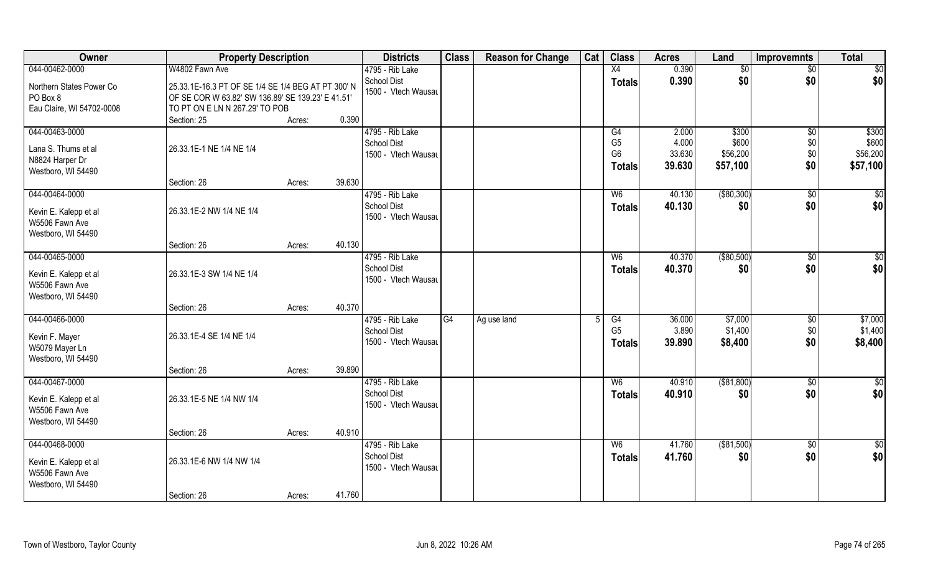| Owner                                                                           | <b>Property Description</b>                                                                                                               |                  | <b>Districts</b>                                             | <b>Class</b> | <b>Reason for Change</b> | Cat | <b>Class</b>                                            | <b>Acres</b>                       | Land                                   | <b>Improvemnts</b>                   | <b>Total</b>                           |
|---------------------------------------------------------------------------------|-------------------------------------------------------------------------------------------------------------------------------------------|------------------|--------------------------------------------------------------|--------------|--------------------------|-----|---------------------------------------------------------|------------------------------------|----------------------------------------|--------------------------------------|----------------------------------------|
| 044-00462-0000                                                                  | W4802 Fawn Ave                                                                                                                            |                  | 4795 - Rib Lake                                              |              |                          |     | X4                                                      | 0.390                              | \$0                                    | $\overline{50}$                      | \$0                                    |
| Northern States Power Co<br>PO Box 8<br>Eau Claire, WI 54702-0008               | 25.33.1E-16.3 PT OF SE 1/4 SE 1/4 BEG AT PT 300' N<br>OF SE COR W 63.82' SW 136.89' SE 139.23' E 41.51'<br>TO PT ON E LN N 267.29' TO POB |                  | <b>School Dist</b><br>1500 - Vtech Wausau                    |              |                          |     | <b>Totals</b>                                           | 0.390                              | \$0                                    | \$0                                  | \$0                                    |
|                                                                                 | Section: 25                                                                                                                               | 0.390<br>Acres:  |                                                              |              |                          |     |                                                         |                                    |                                        |                                      |                                        |
| 044-00463-0000<br>Lana S. Thums et al<br>N8824 Harper Dr<br>Westboro, WI 54490  | 26.33.1E-1 NE 1/4 NE 1/4                                                                                                                  |                  | 4795 - Rib Lake<br><b>School Dist</b><br>1500 - Vtech Wausau |              |                          |     | G4<br>G <sub>5</sub><br>G <sub>6</sub><br><b>Totals</b> | 2.000<br>4.000<br>33.630<br>39.630 | \$300<br>\$600<br>\$56,200<br>\$57,100 | $\overline{50}$<br>\$0<br>\$0<br>\$0 | \$300<br>\$600<br>\$56,200<br>\$57,100 |
|                                                                                 | Section: 26                                                                                                                               | 39.630<br>Acres: |                                                              |              |                          |     |                                                         |                                    |                                        |                                      |                                        |
| 044-00464-0000<br>Kevin E. Kalepp et al<br>W5506 Fawn Ave<br>Westboro, WI 54490 | 26.33.1E-2 NW 1/4 NE 1/4                                                                                                                  |                  | 4795 - Rib Lake<br><b>School Dist</b><br>1500 - Vtech Wausau |              |                          |     | W <sub>6</sub><br><b>Totals</b>                         | 40.130<br>40.130                   | ( \$80, 300)<br>\$0                    | $\overline{50}$<br>\$0               | \$0<br>\$0                             |
|                                                                                 | Section: 26                                                                                                                               | 40.130<br>Acres: |                                                              |              |                          |     |                                                         |                                    |                                        |                                      |                                        |
| 044-00465-0000<br>Kevin E. Kalepp et al                                         | 26.33.1E-3 SW 1/4 NE 1/4                                                                                                                  |                  | 4795 - Rib Lake<br><b>School Dist</b><br>1500 - Vtech Wausau |              |                          |     | W <sub>6</sub><br><b>Totals</b>                         | 40.370<br>40.370                   | ( \$80,500)<br>\$0                     | $\sqrt[6]{3}$<br>\$0                 | \$0<br>\$0                             |
| W5506 Fawn Ave<br>Westboro, WI 54490                                            |                                                                                                                                           | 40.370           |                                                              |              |                          |     |                                                         |                                    |                                        |                                      |                                        |
| 044-00466-0000                                                                  | Section: 26                                                                                                                               | Acres:           | 4795 - Rib Lake                                              | G4           | Ag use land              | 5   | G4                                                      | 36.000                             | \$7,000                                | \$0                                  | \$7,000                                |
| Kevin F. Mayer<br>W5079 Mayer Ln<br>Westboro, WI 54490                          | 26.33.1E-4 SE 1/4 NE 1/4                                                                                                                  |                  | <b>School Dist</b><br>1500 - Vtech Wausau                    |              |                          |     | G <sub>5</sub><br>Totals                                | 3.890<br>39.890                    | \$1,400<br>\$8,400                     | \$0<br>\$0                           | \$1,400<br>\$8,400                     |
|                                                                                 | Section: 26                                                                                                                               | 39.890<br>Acres: |                                                              |              |                          |     |                                                         |                                    |                                        |                                      |                                        |
| 044-00467-0000<br>Kevin E. Kalepp et al<br>W5506 Fawn Ave<br>Westboro, WI 54490 | 26.33.1E-5 NE 1/4 NW 1/4                                                                                                                  |                  | 4795 - Rib Lake<br><b>School Dist</b><br>1500 - Vtech Wausau |              |                          |     | W <sub>6</sub><br><b>Totals</b>                         | 40.910<br>40.910                   | ( \$81, 800)<br>\$0                    | \$0<br>\$0                           | \$0<br>\$0                             |
|                                                                                 | Section: 26                                                                                                                               | 40.910<br>Acres: |                                                              |              |                          |     |                                                         |                                    |                                        |                                      |                                        |
| 044-00468-0000<br>Kevin E. Kalepp et al<br>W5506 Fawn Ave<br>Westboro, WI 54490 | 26.33.1E-6 NW 1/4 NW 1/4                                                                                                                  |                  | 4795 - Rib Lake<br><b>School Dist</b><br>1500 - Vtech Wausau |              |                          |     | W <sub>6</sub><br><b>Totals</b>                         | 41.760<br>41.760                   | $($ \$81,500)<br>\$0                   | $\sqrt{$0}$<br>\$0                   | $\overline{50}$<br>\$0                 |
|                                                                                 | Section: 26                                                                                                                               | 41.760<br>Acres: |                                                              |              |                          |     |                                                         |                                    |                                        |                                      |                                        |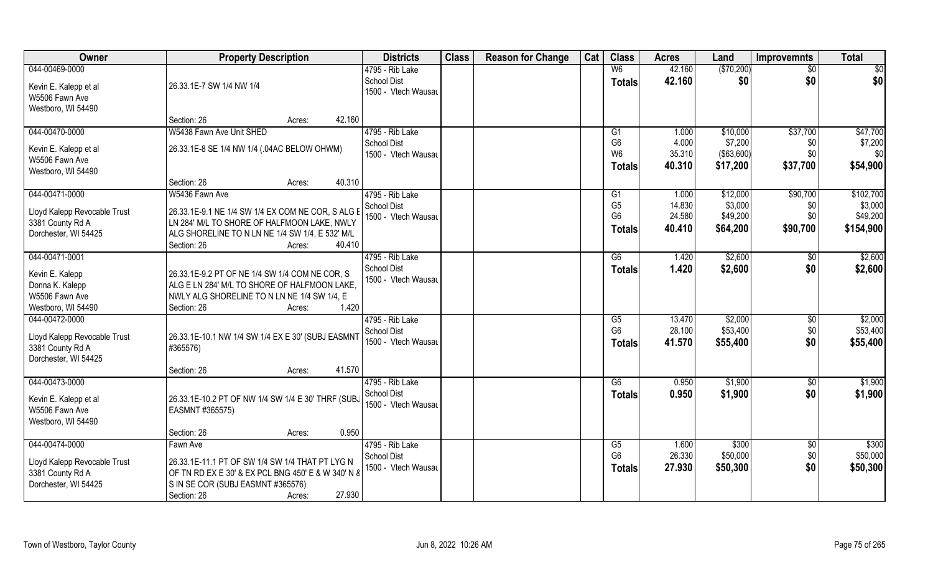| 044-00469-0000<br>(\$70,200)<br>4795 - Rib Lake<br>42.160<br>\$0<br>W <sub>6</sub><br>$\overline{50}$<br>\$0<br>\$0<br><b>School Dist</b><br>42.160<br>\$0<br><b>Totals</b><br>Kevin E. Kalepp et al<br>26.33.1E-7 SW 1/4 NW 1/4<br>1500 - Vtech Wausau<br>W5506 Fawn Ave<br>Westboro, WI 54490<br>42.160<br>Section: 26<br>Acres:<br>044-00470-0000<br>W5438 Fawn Ave Unit SHED<br>4795 - Rib Lake<br>\$37,700<br>\$47,700<br>1.000<br>\$10,000<br>G1<br>G <sub>6</sub><br>\$7,200<br><b>School Dist</b><br>4.000<br>\$0<br>26.33.1E-8 SE 1/4 NW 1/4 (.04AC BELOW OHWM)<br>Kevin E. Kalepp et al<br>W <sub>6</sub><br>35.310<br>( \$63,600)<br>\$0<br>1500 - Vtech Wausau<br>\$0<br>W5506 Fawn Ave<br>\$54,900<br>\$17,200<br>\$37,700<br>40.310<br><b>Totals</b><br>Westboro, WI 54490<br>40.310<br>Section: 26<br>Acres:<br>044-00471-0000<br>W5436 Fawn Ave<br>4795 - Rib Lake<br>\$12,000<br>\$90,700<br>G1<br>1.000<br>G <sub>5</sub><br>14.830<br>\$3,000<br>\$3,000<br>School Dist<br>\$0<br>26.33.1E-9.1 NE 1/4 SW 1/4 EX COM NE COR, S ALG E<br>Lloyd Kalepp Revocable Trust<br>G <sub>6</sub><br>24.580<br>\$49,200<br>\$0<br>1500 - Vtech Wausau<br>LN 284' M/L TO SHORE OF HALFMOON LAKE, NWLY<br>3381 County Rd A<br>\$64,200<br>40.410<br>\$90,700<br>\$154,900<br><b>Totals</b><br>Dorchester, WI 54425<br>ALG SHORELINE TO N LN NE 1/4 SW 1/4, E 532' M/L<br>Section: 26<br>40.410<br>Acres:<br>044-00471-0001<br>\$2,600<br>4795 - Rib Lake<br>1.420<br>\$2,600<br>G6<br>\$0<br><b>School Dist</b><br>1.420<br>\$2,600<br>\$0<br>\$2,600<br>Totals<br>Kevin E. Kalepp<br>26.33.1E-9.2 PT OF NE 1/4 SW 1/4 COM NE COR, S<br>1500 - Vtech Wausau<br>Donna K. Kalepp<br>ALG E LN 284' M/L TO SHORE OF HALFMOON LAKE,<br>NWLY ALG SHORELINE TO N LN NE 1/4 SW 1/4, E<br>W5506 Fawn Ave<br>1.420<br>Westboro, WI 54490<br>Section: 26<br>Acres:<br>044-00472-0000<br>\$2,000<br>\$2,000<br>4795 - Rib Lake<br>$\overline{\text{G5}}$<br>13.470<br>$\overline{50}$<br>G <sub>6</sub><br>28.100<br>\$53,400<br>\$0<br><b>School Dist</b><br>Lloyd Kalepp Revocable Trust<br>26.33.1E-10.1 NW 1/4 SW 1/4 EX E 30' (SUBJ EASMNT<br>\$0<br>\$55,400<br>1500 - Vtech Wausau<br>41.570<br>\$55,400<br><b>Totals</b><br>3381 County Rd A<br>#365576)<br>Dorchester, WI 54425<br>41.570<br>Section: 26<br>Acres:<br>044-00473-0000<br>4795 - Rib Lake<br>G6<br>\$1,900<br>0.950<br>\$0<br>\$0<br><b>School Dist</b><br>\$1,900<br>0.950<br><b>Totals</b><br>Kevin E. Kalepp et al<br>26.33.1E-10.2 PT OF NW 1/4 SW 1/4 E 30' THRF (SUBJ<br>1500 - Vtech Wausau<br>W5506 Fawn Ave<br>EASMNT #365575)<br>Westboro, WI 54490<br>0.950<br>Section: 26<br>Acres:<br>044-00474-0000<br>4795 - Rib Lake<br>\$300<br>\$300<br>G5<br>1.600<br>$\overline{30}$<br>Fawn Ave<br>G <sub>6</sub><br>26.330<br>\$50,000<br>\$50,000<br>\$0<br><b>School Dist</b><br>26.33.1E-11.1 PT OF SW 1/4 SW 1/4 THAT PT LYG N<br>Lloyd Kalepp Revocable Trust<br>\$0<br>\$50,300<br>1500 - Vtech Wausau<br>27.930<br>\$50,300<br><b>Totals</b><br>3381 County Rd A<br>OF TN RD EX E 30' & EX PCL BNG 450' E & W 340' N 8<br>Dorchester, WI 54425<br>S IN SE COR (SUBJ EASMNT #365576) | Owner | <b>Property Description</b> | <b>Districts</b> | <b>Class</b> | <b>Reason for Change</b> | Cat | <b>Class</b> | <b>Acres</b> | Land | <b>Improvemnts</b> | <b>Total</b> |
|------------------------------------------------------------------------------------------------------------------------------------------------------------------------------------------------------------------------------------------------------------------------------------------------------------------------------------------------------------------------------------------------------------------------------------------------------------------------------------------------------------------------------------------------------------------------------------------------------------------------------------------------------------------------------------------------------------------------------------------------------------------------------------------------------------------------------------------------------------------------------------------------------------------------------------------------------------------------------------------------------------------------------------------------------------------------------------------------------------------------------------------------------------------------------------------------------------------------------------------------------------------------------------------------------------------------------------------------------------------------------------------------------------------------------------------------------------------------------------------------------------------------------------------------------------------------------------------------------------------------------------------------------------------------------------------------------------------------------------------------------------------------------------------------------------------------------------------------------------------------------------------------------------------------------------------------------------------------------------------------------------------------------------------------------------------------------------------------------------------------------------------------------------------------------------------------------------------------------------------------------------------------------------------------------------------------------------------------------------------------------------------------------------------------------------------------------------------------------------------------------------------------------------------------------------------------------------------------------------------------------------------------------------------------------------------------------------------------------------------------------------------------------------------------------------------------------------------------------------------------------------------------------------------------------------------------------------------------------------------------------------------------------------------------------------------------------------------------------------------------------------------------------------------|-------|-----------------------------|------------------|--------------|--------------------------|-----|--------------|--------------|------|--------------------|--------------|
|                                                                                                                                                                                                                                                                                                                                                                                                                                                                                                                                                                                                                                                                                                                                                                                                                                                                                                                                                                                                                                                                                                                                                                                                                                                                                                                                                                                                                                                                                                                                                                                                                                                                                                                                                                                                                                                                                                                                                                                                                                                                                                                                                                                                                                                                                                                                                                                                                                                                                                                                                                                                                                                                                                                                                                                                                                                                                                                                                                                                                                                                                                                                                                  |       |                             |                  |              |                          |     |              |              |      |                    |              |
|                                                                                                                                                                                                                                                                                                                                                                                                                                                                                                                                                                                                                                                                                                                                                                                                                                                                                                                                                                                                                                                                                                                                                                                                                                                                                                                                                                                                                                                                                                                                                                                                                                                                                                                                                                                                                                                                                                                                                                                                                                                                                                                                                                                                                                                                                                                                                                                                                                                                                                                                                                                                                                                                                                                                                                                                                                                                                                                                                                                                                                                                                                                                                                  |       |                             |                  |              |                          |     |              |              |      |                    |              |
|                                                                                                                                                                                                                                                                                                                                                                                                                                                                                                                                                                                                                                                                                                                                                                                                                                                                                                                                                                                                                                                                                                                                                                                                                                                                                                                                                                                                                                                                                                                                                                                                                                                                                                                                                                                                                                                                                                                                                                                                                                                                                                                                                                                                                                                                                                                                                                                                                                                                                                                                                                                                                                                                                                                                                                                                                                                                                                                                                                                                                                                                                                                                                                  |       |                             |                  |              |                          |     |              |              |      |                    |              |
|                                                                                                                                                                                                                                                                                                                                                                                                                                                                                                                                                                                                                                                                                                                                                                                                                                                                                                                                                                                                                                                                                                                                                                                                                                                                                                                                                                                                                                                                                                                                                                                                                                                                                                                                                                                                                                                                                                                                                                                                                                                                                                                                                                                                                                                                                                                                                                                                                                                                                                                                                                                                                                                                                                                                                                                                                                                                                                                                                                                                                                                                                                                                                                  |       |                             |                  |              |                          |     |              |              |      |                    |              |
|                                                                                                                                                                                                                                                                                                                                                                                                                                                                                                                                                                                                                                                                                                                                                                                                                                                                                                                                                                                                                                                                                                                                                                                                                                                                                                                                                                                                                                                                                                                                                                                                                                                                                                                                                                                                                                                                                                                                                                                                                                                                                                                                                                                                                                                                                                                                                                                                                                                                                                                                                                                                                                                                                                                                                                                                                                                                                                                                                                                                                                                                                                                                                                  |       |                             |                  |              |                          |     |              |              |      |                    |              |
| \$7,200<br>\$102,700<br>\$49,200<br>\$53,400<br>\$1,900<br>\$1,900                                                                                                                                                                                                                                                                                                                                                                                                                                                                                                                                                                                                                                                                                                                                                                                                                                                                                                                                                                                                                                                                                                                                                                                                                                                                                                                                                                                                                                                                                                                                                                                                                                                                                                                                                                                                                                                                                                                                                                                                                                                                                                                                                                                                                                                                                                                                                                                                                                                                                                                                                                                                                                                                                                                                                                                                                                                                                                                                                                                                                                                                                               |       |                             |                  |              |                          |     |              |              |      |                    |              |
|                                                                                                                                                                                                                                                                                                                                                                                                                                                                                                                                                                                                                                                                                                                                                                                                                                                                                                                                                                                                                                                                                                                                                                                                                                                                                                                                                                                                                                                                                                                                                                                                                                                                                                                                                                                                                                                                                                                                                                                                                                                                                                                                                                                                                                                                                                                                                                                                                                                                                                                                                                                                                                                                                                                                                                                                                                                                                                                                                                                                                                                                                                                                                                  |       |                             |                  |              |                          |     |              |              |      |                    |              |
|                                                                                                                                                                                                                                                                                                                                                                                                                                                                                                                                                                                                                                                                                                                                                                                                                                                                                                                                                                                                                                                                                                                                                                                                                                                                                                                                                                                                                                                                                                                                                                                                                                                                                                                                                                                                                                                                                                                                                                                                                                                                                                                                                                                                                                                                                                                                                                                                                                                                                                                                                                                                                                                                                                                                                                                                                                                                                                                                                                                                                                                                                                                                                                  |       |                             |                  |              |                          |     |              |              |      |                    |              |
|                                                                                                                                                                                                                                                                                                                                                                                                                                                                                                                                                                                                                                                                                                                                                                                                                                                                                                                                                                                                                                                                                                                                                                                                                                                                                                                                                                                                                                                                                                                                                                                                                                                                                                                                                                                                                                                                                                                                                                                                                                                                                                                                                                                                                                                                                                                                                                                                                                                                                                                                                                                                                                                                                                                                                                                                                                                                                                                                                                                                                                                                                                                                                                  |       |                             |                  |              |                          |     |              |              |      |                    |              |
|                                                                                                                                                                                                                                                                                                                                                                                                                                                                                                                                                                                                                                                                                                                                                                                                                                                                                                                                                                                                                                                                                                                                                                                                                                                                                                                                                                                                                                                                                                                                                                                                                                                                                                                                                                                                                                                                                                                                                                                                                                                                                                                                                                                                                                                                                                                                                                                                                                                                                                                                                                                                                                                                                                                                                                                                                                                                                                                                                                                                                                                                                                                                                                  |       |                             |                  |              |                          |     |              |              |      |                    |              |
|                                                                                                                                                                                                                                                                                                                                                                                                                                                                                                                                                                                                                                                                                                                                                                                                                                                                                                                                                                                                                                                                                                                                                                                                                                                                                                                                                                                                                                                                                                                                                                                                                                                                                                                                                                                                                                                                                                                                                                                                                                                                                                                                                                                                                                                                                                                                                                                                                                                                                                                                                                                                                                                                                                                                                                                                                                                                                                                                                                                                                                                                                                                                                                  |       |                             |                  |              |                          |     |              |              |      |                    |              |
|                                                                                                                                                                                                                                                                                                                                                                                                                                                                                                                                                                                                                                                                                                                                                                                                                                                                                                                                                                                                                                                                                                                                                                                                                                                                                                                                                                                                                                                                                                                                                                                                                                                                                                                                                                                                                                                                                                                                                                                                                                                                                                                                                                                                                                                                                                                                                                                                                                                                                                                                                                                                                                                                                                                                                                                                                                                                                                                                                                                                                                                                                                                                                                  |       |                             |                  |              |                          |     |              |              |      |                    |              |
|                                                                                                                                                                                                                                                                                                                                                                                                                                                                                                                                                                                                                                                                                                                                                                                                                                                                                                                                                                                                                                                                                                                                                                                                                                                                                                                                                                                                                                                                                                                                                                                                                                                                                                                                                                                                                                                                                                                                                                                                                                                                                                                                                                                                                                                                                                                                                                                                                                                                                                                                                                                                                                                                                                                                                                                                                                                                                                                                                                                                                                                                                                                                                                  |       |                             |                  |              |                          |     |              |              |      |                    |              |
|                                                                                                                                                                                                                                                                                                                                                                                                                                                                                                                                                                                                                                                                                                                                                                                                                                                                                                                                                                                                                                                                                                                                                                                                                                                                                                                                                                                                                                                                                                                                                                                                                                                                                                                                                                                                                                                                                                                                                                                                                                                                                                                                                                                                                                                                                                                                                                                                                                                                                                                                                                                                                                                                                                                                                                                                                                                                                                                                                                                                                                                                                                                                                                  |       |                             |                  |              |                          |     |              |              |      |                    |              |
|                                                                                                                                                                                                                                                                                                                                                                                                                                                                                                                                                                                                                                                                                                                                                                                                                                                                                                                                                                                                                                                                                                                                                                                                                                                                                                                                                                                                                                                                                                                                                                                                                                                                                                                                                                                                                                                                                                                                                                                                                                                                                                                                                                                                                                                                                                                                                                                                                                                                                                                                                                                                                                                                                                                                                                                                                                                                                                                                                                                                                                                                                                                                                                  |       |                             |                  |              |                          |     |              |              |      |                    |              |
|                                                                                                                                                                                                                                                                                                                                                                                                                                                                                                                                                                                                                                                                                                                                                                                                                                                                                                                                                                                                                                                                                                                                                                                                                                                                                                                                                                                                                                                                                                                                                                                                                                                                                                                                                                                                                                                                                                                                                                                                                                                                                                                                                                                                                                                                                                                                                                                                                                                                                                                                                                                                                                                                                                                                                                                                                                                                                                                                                                                                                                                                                                                                                                  |       |                             |                  |              |                          |     |              |              |      |                    |              |
|                                                                                                                                                                                                                                                                                                                                                                                                                                                                                                                                                                                                                                                                                                                                                                                                                                                                                                                                                                                                                                                                                                                                                                                                                                                                                                                                                                                                                                                                                                                                                                                                                                                                                                                                                                                                                                                                                                                                                                                                                                                                                                                                                                                                                                                                                                                                                                                                                                                                                                                                                                                                                                                                                                                                                                                                                                                                                                                                                                                                                                                                                                                                                                  |       |                             |                  |              |                          |     |              |              |      |                    |              |
|                                                                                                                                                                                                                                                                                                                                                                                                                                                                                                                                                                                                                                                                                                                                                                                                                                                                                                                                                                                                                                                                                                                                                                                                                                                                                                                                                                                                                                                                                                                                                                                                                                                                                                                                                                                                                                                                                                                                                                                                                                                                                                                                                                                                                                                                                                                                                                                                                                                                                                                                                                                                                                                                                                                                                                                                                                                                                                                                                                                                                                                                                                                                                                  |       |                             |                  |              |                          |     |              |              |      |                    |              |
|                                                                                                                                                                                                                                                                                                                                                                                                                                                                                                                                                                                                                                                                                                                                                                                                                                                                                                                                                                                                                                                                                                                                                                                                                                                                                                                                                                                                                                                                                                                                                                                                                                                                                                                                                                                                                                                                                                                                                                                                                                                                                                                                                                                                                                                                                                                                                                                                                                                                                                                                                                                                                                                                                                                                                                                                                                                                                                                                                                                                                                                                                                                                                                  |       |                             |                  |              |                          |     |              |              |      |                    |              |
|                                                                                                                                                                                                                                                                                                                                                                                                                                                                                                                                                                                                                                                                                                                                                                                                                                                                                                                                                                                                                                                                                                                                                                                                                                                                                                                                                                                                                                                                                                                                                                                                                                                                                                                                                                                                                                                                                                                                                                                                                                                                                                                                                                                                                                                                                                                                                                                                                                                                                                                                                                                                                                                                                                                                                                                                                                                                                                                                                                                                                                                                                                                                                                  |       |                             |                  |              |                          |     |              |              |      |                    |              |
|                                                                                                                                                                                                                                                                                                                                                                                                                                                                                                                                                                                                                                                                                                                                                                                                                                                                                                                                                                                                                                                                                                                                                                                                                                                                                                                                                                                                                                                                                                                                                                                                                                                                                                                                                                                                                                                                                                                                                                                                                                                                                                                                                                                                                                                                                                                                                                                                                                                                                                                                                                                                                                                                                                                                                                                                                                                                                                                                                                                                                                                                                                                                                                  |       |                             |                  |              |                          |     |              |              |      |                    |              |
|                                                                                                                                                                                                                                                                                                                                                                                                                                                                                                                                                                                                                                                                                                                                                                                                                                                                                                                                                                                                                                                                                                                                                                                                                                                                                                                                                                                                                                                                                                                                                                                                                                                                                                                                                                                                                                                                                                                                                                                                                                                                                                                                                                                                                                                                                                                                                                                                                                                                                                                                                                                                                                                                                                                                                                                                                                                                                                                                                                                                                                                                                                                                                                  |       |                             |                  |              |                          |     |              |              |      |                    |              |
|                                                                                                                                                                                                                                                                                                                                                                                                                                                                                                                                                                                                                                                                                                                                                                                                                                                                                                                                                                                                                                                                                                                                                                                                                                                                                                                                                                                                                                                                                                                                                                                                                                                                                                                                                                                                                                                                                                                                                                                                                                                                                                                                                                                                                                                                                                                                                                                                                                                                                                                                                                                                                                                                                                                                                                                                                                                                                                                                                                                                                                                                                                                                                                  |       |                             |                  |              |                          |     |              |              |      |                    |              |
|                                                                                                                                                                                                                                                                                                                                                                                                                                                                                                                                                                                                                                                                                                                                                                                                                                                                                                                                                                                                                                                                                                                                                                                                                                                                                                                                                                                                                                                                                                                                                                                                                                                                                                                                                                                                                                                                                                                                                                                                                                                                                                                                                                                                                                                                                                                                                                                                                                                                                                                                                                                                                                                                                                                                                                                                                                                                                                                                                                                                                                                                                                                                                                  |       |                             |                  |              |                          |     |              |              |      |                    |              |
|                                                                                                                                                                                                                                                                                                                                                                                                                                                                                                                                                                                                                                                                                                                                                                                                                                                                                                                                                                                                                                                                                                                                                                                                                                                                                                                                                                                                                                                                                                                                                                                                                                                                                                                                                                                                                                                                                                                                                                                                                                                                                                                                                                                                                                                                                                                                                                                                                                                                                                                                                                                                                                                                                                                                                                                                                                                                                                                                                                                                                                                                                                                                                                  |       |                             |                  |              |                          |     |              |              |      |                    |              |
|                                                                                                                                                                                                                                                                                                                                                                                                                                                                                                                                                                                                                                                                                                                                                                                                                                                                                                                                                                                                                                                                                                                                                                                                                                                                                                                                                                                                                                                                                                                                                                                                                                                                                                                                                                                                                                                                                                                                                                                                                                                                                                                                                                                                                                                                                                                                                                                                                                                                                                                                                                                                                                                                                                                                                                                                                                                                                                                                                                                                                                                                                                                                                                  |       |                             |                  |              |                          |     |              |              |      |                    |              |
|                                                                                                                                                                                                                                                                                                                                                                                                                                                                                                                                                                                                                                                                                                                                                                                                                                                                                                                                                                                                                                                                                                                                                                                                                                                                                                                                                                                                                                                                                                                                                                                                                                                                                                                                                                                                                                                                                                                                                                                                                                                                                                                                                                                                                                                                                                                                                                                                                                                                                                                                                                                                                                                                                                                                                                                                                                                                                                                                                                                                                                                                                                                                                                  |       |                             |                  |              |                          |     |              |              |      |                    |              |
|                                                                                                                                                                                                                                                                                                                                                                                                                                                                                                                                                                                                                                                                                                                                                                                                                                                                                                                                                                                                                                                                                                                                                                                                                                                                                                                                                                                                                                                                                                                                                                                                                                                                                                                                                                                                                                                                                                                                                                                                                                                                                                                                                                                                                                                                                                                                                                                                                                                                                                                                                                                                                                                                                                                                                                                                                                                                                                                                                                                                                                                                                                                                                                  |       |                             |                  |              |                          |     |              |              |      |                    |              |
|                                                                                                                                                                                                                                                                                                                                                                                                                                                                                                                                                                                                                                                                                                                                                                                                                                                                                                                                                                                                                                                                                                                                                                                                                                                                                                                                                                                                                                                                                                                                                                                                                                                                                                                                                                                                                                                                                                                                                                                                                                                                                                                                                                                                                                                                                                                                                                                                                                                                                                                                                                                                                                                                                                                                                                                                                                                                                                                                                                                                                                                                                                                                                                  |       |                             |                  |              |                          |     |              |              |      |                    |              |
|                                                                                                                                                                                                                                                                                                                                                                                                                                                                                                                                                                                                                                                                                                                                                                                                                                                                                                                                                                                                                                                                                                                                                                                                                                                                                                                                                                                                                                                                                                                                                                                                                                                                                                                                                                                                                                                                                                                                                                                                                                                                                                                                                                                                                                                                                                                                                                                                                                                                                                                                                                                                                                                                                                                                                                                                                                                                                                                                                                                                                                                                                                                                                                  |       |                             |                  |              |                          |     |              |              |      |                    |              |
|                                                                                                                                                                                                                                                                                                                                                                                                                                                                                                                                                                                                                                                                                                                                                                                                                                                                                                                                                                                                                                                                                                                                                                                                                                                                                                                                                                                                                                                                                                                                                                                                                                                                                                                                                                                                                                                                                                                                                                                                                                                                                                                                                                                                                                                                                                                                                                                                                                                                                                                                                                                                                                                                                                                                                                                                                                                                                                                                                                                                                                                                                                                                                                  |       |                             |                  |              |                          |     |              |              |      |                    |              |
|                                                                                                                                                                                                                                                                                                                                                                                                                                                                                                                                                                                                                                                                                                                                                                                                                                                                                                                                                                                                                                                                                                                                                                                                                                                                                                                                                                                                                                                                                                                                                                                                                                                                                                                                                                                                                                                                                                                                                                                                                                                                                                                                                                                                                                                                                                                                                                                                                                                                                                                                                                                                                                                                                                                                                                                                                                                                                                                                                                                                                                                                                                                                                                  |       |                             |                  |              |                          |     |              |              |      |                    |              |
|                                                                                                                                                                                                                                                                                                                                                                                                                                                                                                                                                                                                                                                                                                                                                                                                                                                                                                                                                                                                                                                                                                                                                                                                                                                                                                                                                                                                                                                                                                                                                                                                                                                                                                                                                                                                                                                                                                                                                                                                                                                                                                                                                                                                                                                                                                                                                                                                                                                                                                                                                                                                                                                                                                                                                                                                                                                                                                                                                                                                                                                                                                                                                                  |       |                             |                  |              |                          |     |              |              |      |                    |              |
|                                                                                                                                                                                                                                                                                                                                                                                                                                                                                                                                                                                                                                                                                                                                                                                                                                                                                                                                                                                                                                                                                                                                                                                                                                                                                                                                                                                                                                                                                                                                                                                                                                                                                                                                                                                                                                                                                                                                                                                                                                                                                                                                                                                                                                                                                                                                                                                                                                                                                                                                                                                                                                                                                                                                                                                                                                                                                                                                                                                                                                                                                                                                                                  |       |                             |                  |              |                          |     |              |              |      |                    |              |
|                                                                                                                                                                                                                                                                                                                                                                                                                                                                                                                                                                                                                                                                                                                                                                                                                                                                                                                                                                                                                                                                                                                                                                                                                                                                                                                                                                                                                                                                                                                                                                                                                                                                                                                                                                                                                                                                                                                                                                                                                                                                                                                                                                                                                                                                                                                                                                                                                                                                                                                                                                                                                                                                                                                                                                                                                                                                                                                                                                                                                                                                                                                                                                  |       |                             |                  |              |                          |     |              |              |      |                    |              |
|                                                                                                                                                                                                                                                                                                                                                                                                                                                                                                                                                                                                                                                                                                                                                                                                                                                                                                                                                                                                                                                                                                                                                                                                                                                                                                                                                                                                                                                                                                                                                                                                                                                                                                                                                                                                                                                                                                                                                                                                                                                                                                                                                                                                                                                                                                                                                                                                                                                                                                                                                                                                                                                                                                                                                                                                                                                                                                                                                                                                                                                                                                                                                                  |       |                             |                  |              |                          |     |              |              |      |                    |              |
| 27.930<br>Acres:                                                                                                                                                                                                                                                                                                                                                                                                                                                                                                                                                                                                                                                                                                                                                                                                                                                                                                                                                                                                                                                                                                                                                                                                                                                                                                                                                                                                                                                                                                                                                                                                                                                                                                                                                                                                                                                                                                                                                                                                                                                                                                                                                                                                                                                                                                                                                                                                                                                                                                                                                                                                                                                                                                                                                                                                                                                                                                                                                                                                                                                                                                                                                 |       | Section: 26                 |                  |              |                          |     |              |              |      |                    |              |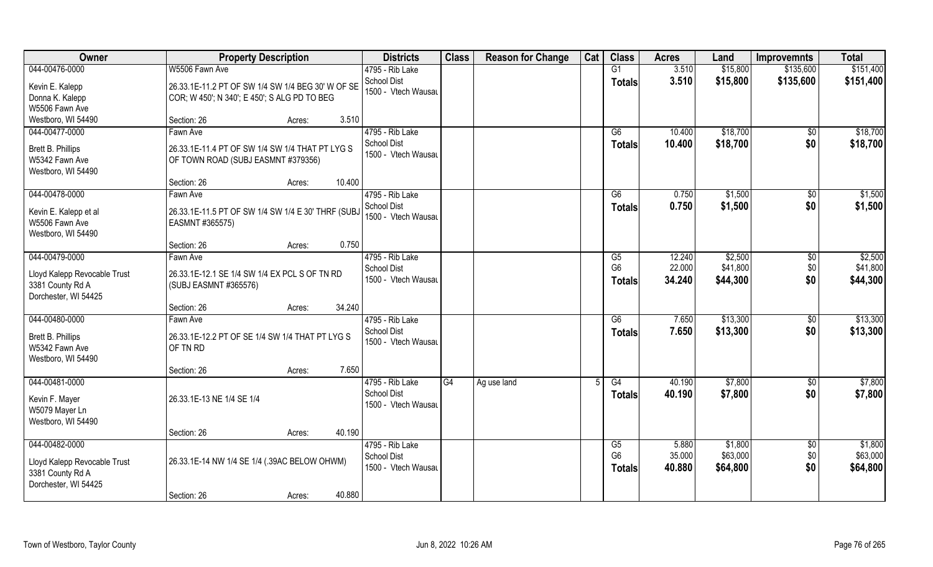| <b>Owner</b>                                                             | <b>Property Description</b>                                                                       |        | <b>Districts</b>                          | <b>Class</b> | <b>Reason for Change</b> | Cat | <b>Class</b>                    | <b>Acres</b>     | Land                 | <b>Improvemnts</b> | <b>Total</b>         |
|--------------------------------------------------------------------------|---------------------------------------------------------------------------------------------------|--------|-------------------------------------------|--------------|--------------------------|-----|---------------------------------|------------------|----------------------|--------------------|----------------------|
| 044-00476-0000                                                           | W5506 Fawn Ave                                                                                    |        | 4795 - Rib Lake                           |              |                          |     | G1                              | 3.510            | \$15,800             | \$135,600          | \$151,400            |
| Kevin E. Kalepp<br>Donna K. Kalepp                                       | 26.33.1E-11.2 PT OF SW 1/4 SW 1/4 BEG 30' W OF SE<br>COR; W 450'; N 340'; E 450'; S ALG PD TO BEG |        | School Dist<br>1500 - Vtech Wausau        |              |                          |     | <b>Totals</b>                   | 3.510            | \$15,800             | \$135,600          | \$151,400            |
| W5506 Fawn Ave                                                           |                                                                                                   |        |                                           |              |                          |     |                                 |                  |                      |                    |                      |
| Westboro, WI 54490                                                       | Section: 26                                                                                       | Acres: | 3.510                                     |              |                          |     |                                 |                  |                      |                    |                      |
| 044-00477-0000                                                           | Fawn Ave                                                                                          |        | 4795 - Rib Lake                           |              |                          |     | G6                              | 10.400           | \$18,700             | \$0                | \$18,700             |
| Brett B. Phillips<br>W5342 Fawn Ave<br>Westboro, WI 54490                | 26.33.1E-11.4 PT OF SW 1/4 SW 1/4 THAT PT LYG S<br>OF TOWN ROAD (SUBJ EASMNT #379356)             |        | <b>School Dist</b><br>1500 - Vtech Wausau |              |                          |     | <b>Totals</b>                   | 10.400           | \$18,700             | \$0                | \$18,700             |
|                                                                          | Section: 26                                                                                       | Acres: | 10.400                                    |              |                          |     |                                 |                  |                      |                    |                      |
| 044-00478-0000                                                           | Fawn Ave                                                                                          |        | 4795 - Rib Lake                           |              |                          |     | G6                              | 0.750            | \$1,500              | $\sqrt[6]{30}$     | \$1,500              |
| Kevin E. Kalepp et al<br>W5506 Fawn Ave<br>Westboro, WI 54490            | 26.33.1E-11.5 PT OF SW 1/4 SW 1/4 E 30' THRF (SUBJ<br>EASMNT #365575)                             |        | School Dist<br>1500 - Vtech Wausau        |              |                          |     | <b>Totals</b>                   | 0.750            | \$1,500              | \$0                | \$1,500              |
|                                                                          | Section: 26                                                                                       | Acres: | 0.750                                     |              |                          |     |                                 |                  |                      |                    |                      |
| 044-00479-0000                                                           | Fawn Ave                                                                                          |        | 4795 - Rib Lake                           |              |                          |     | G5                              | 12.240           | \$2,500              | \$0                | \$2,500              |
| Lloyd Kalepp Revocable Trust<br>3381 County Rd A<br>Dorchester, WI 54425 | 26.33.1E-12.1 SE 1/4 SW 1/4 EX PCL S OF TN RD<br>(SUBJ EASMNT #365576)                            |        | <b>School Dist</b><br>1500 - Vtech Wausau |              |                          |     | G <sub>6</sub><br><b>Totals</b> | 22.000<br>34.240 | \$41,800<br>\$44,300 | \$0<br>\$0         | \$41,800<br>\$44,300 |
|                                                                          | Section: 26                                                                                       | Acres: | 34.240                                    |              |                          |     |                                 |                  |                      |                    |                      |
| 044-00480-0000                                                           | Fawn Ave                                                                                          |        | 4795 - Rib Lake                           |              |                          |     | $\overline{G6}$                 | 7.650            | \$13,300             | $\sqrt[6]{30}$     | \$13,300             |
| Brett B. Phillips<br>W5342 Fawn Ave<br>Westboro, WI 54490                | 26.33.1E-12.2 PT OF SE 1/4 SW 1/4 THAT PT LYG S<br>OF TN RD                                       |        | <b>School Dist</b><br>1500 - Vtech Wausau |              |                          |     | <b>Totals</b>                   | 7.650            | \$13,300             | \$0                | \$13,300             |
|                                                                          | Section: 26                                                                                       | Acres: | 7.650                                     |              |                          |     |                                 |                  |                      |                    |                      |
| 044-00481-0000                                                           |                                                                                                   |        | 4795 - Rib Lake                           | G4           | Ag use land              |     | G4                              | 40.190           | \$7,800              | \$0                | \$7,800              |
| Kevin F. Mayer<br>W5079 Mayer Ln<br>Westboro, WI 54490                   | 26.33.1E-13 NE 1/4 SE 1/4                                                                         |        | <b>School Dist</b><br>1500 - Vtech Wausau |              |                          |     | <b>Totals</b>                   | 40.190           | \$7,800              | \$0                | \$7,800              |
|                                                                          | Section: 26                                                                                       | Acres: | 40.190                                    |              |                          |     |                                 |                  |                      |                    |                      |
| 044-00482-0000                                                           |                                                                                                   |        | 4795 - Rib Lake                           |              |                          |     | G5                              | 5.880            | \$1,800              | $\overline{50}$    | \$1,800              |
| Lloyd Kalepp Revocable Trust<br>3381 County Rd A<br>Dorchester, WI 54425 | 26.33.1E-14 NW 1/4 SE 1/4 (.39AC BELOW OHWM)                                                      |        | <b>School Dist</b><br>1500 - Vtech Wausau |              |                          |     | G <sub>6</sub><br>Totals        | 35.000<br>40.880 | \$63,000<br>\$64,800 | \$0<br>\$0         | \$63,000<br>\$64,800 |
|                                                                          | Section: 26                                                                                       | Acres: | 40.880                                    |              |                          |     |                                 |                  |                      |                    |                      |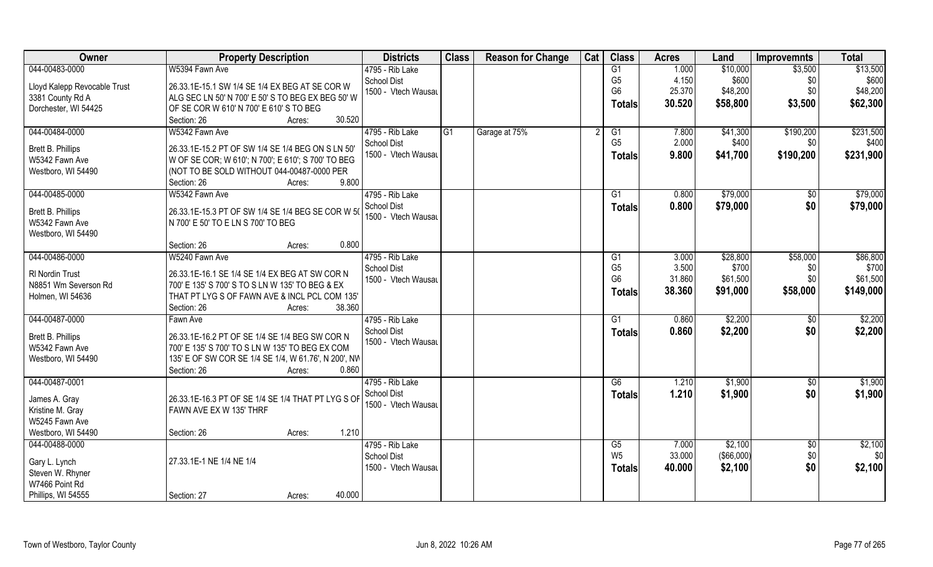| 044-00483-0000<br>W5394 Fawn Ave<br>4795 - Rib Lake<br>1.000<br>\$10,000<br>\$3,500<br>$\overline{G1}$<br>4.150<br>\$600<br>G <sub>5</sub><br><b>School Dist</b><br>\$0<br>26.33.1E-15.1 SW 1/4 SE 1/4 EX BEG AT SE COR W<br>Lloyd Kalepp Revocable Trust<br>G <sub>6</sub><br>25.370<br>\$0<br>\$48,200<br>1500 - Vtech Wausau<br>ALG SEC LN 50' N 700' E 50' S TO BEG EX BEG 50' W<br>3381 County Rd A<br>\$58,800<br>\$3,500<br>30.520 | \$13,500  |
|-------------------------------------------------------------------------------------------------------------------------------------------------------------------------------------------------------------------------------------------------------------------------------------------------------------------------------------------------------------------------------------------------------------------------------------------|-----------|
|                                                                                                                                                                                                                                                                                                                                                                                                                                           |           |
|                                                                                                                                                                                                                                                                                                                                                                                                                                           | \$600     |
|                                                                                                                                                                                                                                                                                                                                                                                                                                           | \$48,200  |
| <b>Totals</b><br>Dorchester, WI 54425<br>OF SE COR W 610' N 700' E 610' S TO BEG                                                                                                                                                                                                                                                                                                                                                          | \$62,300  |
| Section: 26<br>30.520<br>Acres:                                                                                                                                                                                                                                                                                                                                                                                                           |           |
| 044-00484-0000<br>W5342 Fawn Ave<br>4795 - Rib Lake<br>G1<br>Garage at 75%<br>\$41,300<br>\$190,200<br>G1<br>7.800                                                                                                                                                                                                                                                                                                                        | \$231,500 |
| G <sub>5</sub><br>2.000<br>\$400<br><b>School Dist</b><br>\$0                                                                                                                                                                                                                                                                                                                                                                             | \$400     |
| Brett B. Phillips<br>26.33.1E-15.2 PT OF SW 1/4 SE 1/4 BEG ON S LN 50'<br>1500 - Vtech Wausau<br>9.800<br>\$190,200<br>\$41,700<br><b>Totals</b>                                                                                                                                                                                                                                                                                          | \$231,900 |
| W5342 Fawn Ave<br>W OF SE COR; W 610'; N 700'; E 610'; S 700' TO BEG                                                                                                                                                                                                                                                                                                                                                                      |           |
| (NOT TO BE SOLD WITHOUT 044-00487-0000 PER<br>Westboro, WI 54490                                                                                                                                                                                                                                                                                                                                                                          |           |
| 9.800<br>Section: 26<br>Acres:                                                                                                                                                                                                                                                                                                                                                                                                            |           |
| 044-00485-0000<br>W5342 Fawn Ave<br>4795 - Rib Lake<br>G1<br>0.800<br>\$79,000<br>\$0                                                                                                                                                                                                                                                                                                                                                     | \$79,000  |
| \$0<br><b>School Dist</b><br>0.800<br>\$79,000<br><b>Totals</b><br>Brett B. Phillips<br>26.33.1E-15.3 PT OF SW 1/4 SE 1/4 BEG SE COR W 5                                                                                                                                                                                                                                                                                                  | \$79,000  |
| 1500 - Vtech Wausau<br>N 700' E 50' TO E LN S 700' TO BEG<br>W5342 Fawn Ave                                                                                                                                                                                                                                                                                                                                                               |           |
| Westboro, WI 54490                                                                                                                                                                                                                                                                                                                                                                                                                        |           |
| 0.800<br>Section: 26<br>Acres:                                                                                                                                                                                                                                                                                                                                                                                                            |           |
| 044-00486-0000<br>4795 - Rib Lake<br>W5240 Fawn Ave<br>\$28,800<br>\$58,000<br>3.000<br>G1                                                                                                                                                                                                                                                                                                                                                | \$86,800  |
| G <sub>5</sub><br>3.500<br>\$700<br>School Dist<br>\$0                                                                                                                                                                                                                                                                                                                                                                                    | \$700     |
| RI Nordin Trust<br>26.33.1E-16.1 SE 1/4 SE 1/4 EX BEG AT SW COR N<br>31.860<br>\$0<br>G <sub>6</sub><br>\$61,500<br>1500 - Vtech Wausau                                                                                                                                                                                                                                                                                                   | \$61,500  |
| N8851 Wm Severson Rd<br>700' E 135' S 700' S TO S LN W 135' TO BEG & EX<br>38.360<br>\$91,000<br>\$58,000<br><b>Totals</b>                                                                                                                                                                                                                                                                                                                | \$149,000 |
| Holmen, WI 54636<br>THAT PT LYG S OF FAWN AVE & INCL PCL COM 135'                                                                                                                                                                                                                                                                                                                                                                         |           |
| 38.360<br>Section: 26<br>Acres:                                                                                                                                                                                                                                                                                                                                                                                                           |           |
| 044-00487-0000<br>\$2,200<br>4795 - Rib Lake<br>$\overline{G1}$<br>0.860<br>Fawn Ave<br>\$0                                                                                                                                                                                                                                                                                                                                               | \$2,200   |
| School Dist<br>\$2,200<br>\$0<br>0.860<br><b>Totals</b><br>Brett B. Phillips<br>26.33.1E-16.2 PT OF SE 1/4 SE 1/4 BEG SW COR N                                                                                                                                                                                                                                                                                                            | \$2,200   |
| 1500 - Vtech Wausau<br>W5342 Fawn Ave<br>700' E 135' S 700' TO S LN W 135' TO BEG EX COM                                                                                                                                                                                                                                                                                                                                                  |           |
| Westboro, WI 54490<br>135' E OF SW COR SE 1/4 SE 1/4, W 61.76', N 200', NW                                                                                                                                                                                                                                                                                                                                                                |           |
| 0.860<br>Section: 26<br>Acres:                                                                                                                                                                                                                                                                                                                                                                                                            |           |
| 044-00487-0001<br>4795 - Rib Lake<br>G6<br>1.210<br>\$1,900<br>\$0                                                                                                                                                                                                                                                                                                                                                                        | \$1,900   |
| \$0<br>School Dist<br>1.210<br>\$1,900<br><b>Totals</b>                                                                                                                                                                                                                                                                                                                                                                                   | \$1,900   |
| James A. Gray<br>26.33.1E-16.3 PT OF SE 1/4 SE 1/4 THAT PT LYG S OF<br>1500 - Vtech Wausau                                                                                                                                                                                                                                                                                                                                                |           |
| Kristine M. Gray<br>FAWN AVE EX W 135' THRF                                                                                                                                                                                                                                                                                                                                                                                               |           |
| W5245 Fawn Ave                                                                                                                                                                                                                                                                                                                                                                                                                            |           |
| 1.210<br>Westboro, WI 54490<br>Section: 26<br>Acres:                                                                                                                                                                                                                                                                                                                                                                                      |           |
| 4795 - Rib Lake<br>\$2,100<br>044-00488-0000<br>$\overline{60}$<br>G5<br>7.000                                                                                                                                                                                                                                                                                                                                                            | \$2,100   |
| W <sub>5</sub><br>(\$66,000)<br>\$0\$<br>33.000<br><b>School Dist</b><br>27.33.1E-1 NE 1/4 NE 1/4<br>Gary L. Lynch                                                                                                                                                                                                                                                                                                                        | \$0       |
| \$0<br>1500 - Vtech Wausau<br>40.000<br>\$2,100<br><b>Totals</b><br>Steven W. Rhyner                                                                                                                                                                                                                                                                                                                                                      | \$2,100   |
| W7466 Point Rd                                                                                                                                                                                                                                                                                                                                                                                                                            |           |
| 40.000<br>Phillips, WI 54555<br>Section: 27<br>Acres:                                                                                                                                                                                                                                                                                                                                                                                     |           |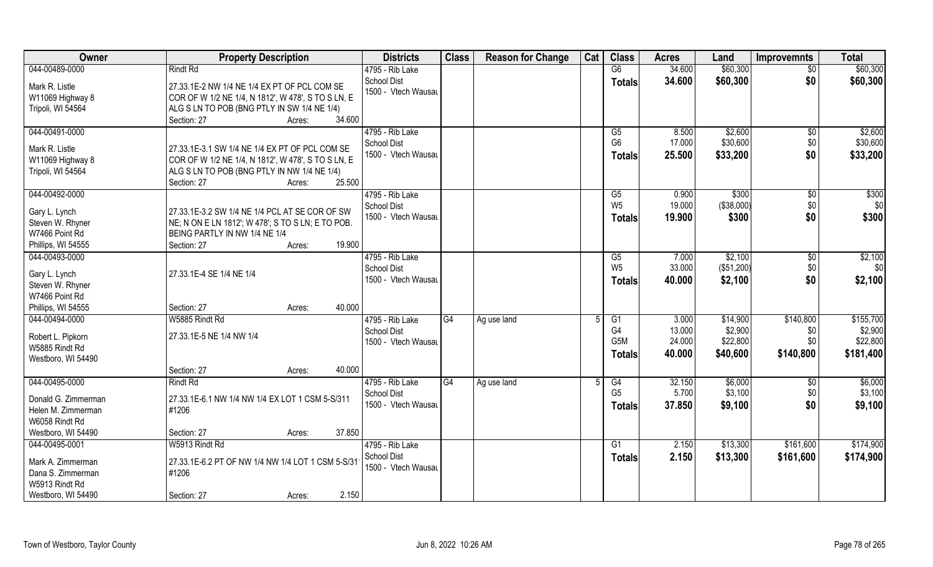| Owner                                                                                            | <b>Property Description</b>                                                                                                                                                            | <b>Districts</b>                                             | <b>Class</b> | <b>Reason for Change</b> | Cat | <b>Class</b>                          | <b>Acres</b>                        | Land                                        | <b>Improvemnts</b>                   | <b>Total</b>                                  |
|--------------------------------------------------------------------------------------------------|----------------------------------------------------------------------------------------------------------------------------------------------------------------------------------------|--------------------------------------------------------------|--------------|--------------------------|-----|---------------------------------------|-------------------------------------|---------------------------------------------|--------------------------------------|-----------------------------------------------|
| 044-00489-0000                                                                                   | <b>Rindt Rd</b>                                                                                                                                                                        | 4795 - Rib Lake                                              |              |                          |     | G6                                    | 34.600                              | \$60,300                                    | $\overline{50}$                      | \$60,300                                      |
| Mark R. Listle<br>W11069 Highway 8<br>Tripoli, WI 54564                                          | 27.33.1E-2 NW 1/4 NE 1/4 EX PT OF PCL COM SE<br>COR OF W 1/2 NE 1/4, N 1812', W 478', S TO S LN, E<br>ALG S LN TO POB (BNG PTLY IN SW 1/4 NE 1/4)<br>34.600<br>Section: 27<br>Acres:   | School Dist<br>1500 - Vtech Wausau                           |              |                          |     | <b>Totals</b>                         | 34.600                              | \$60,300                                    | \$0                                  | \$60,300                                      |
| 044-00491-0000                                                                                   |                                                                                                                                                                                        | 4795 - Rib Lake                                              |              |                          |     | G5                                    | 8.500                               | \$2,600                                     | $\overline{50}$                      | \$2,600                                       |
| Mark R. Listle<br>W11069 Highway 8<br>Tripoli, WI 54564                                          | 27.33.1E-3.1 SW 1/4 NE 1/4 EX PT OF PCL COM SE<br>COR OF W 1/2 NE 1/4, N 1812', W 478', S TO S LN, E<br>ALG S LN TO POB (BNG PTLY IN NW 1/4 NE 1/4)<br>25.500<br>Section: 27<br>Acres: | <b>School Dist</b><br>1500 - Vtech Wausau                    |              |                          |     | G <sub>6</sub><br><b>Totals</b>       | 17.000<br>25.500                    | \$30,600<br>\$33,200                        | \$0<br>\$0                           | \$30,600<br>\$33,200                          |
| 044-00492-0000                                                                                   |                                                                                                                                                                                        | 4795 - Rib Lake                                              |              |                          |     | G5                                    | 0.900                               | \$300                                       | $\sqrt[6]{30}$                       | \$300                                         |
| Gary L. Lynch<br>Steven W. Rhyner<br>W7466 Point Rd                                              | 27.33.1E-3.2 SW 1/4 NE 1/4 PCL AT SE COR OF SW<br>NE; N ON E LN 1812'; W 478'; S TO S LN; E TO POB.<br>BEING PARTLY IN NW 1/4 NE 1/4                                                   | <b>School Dist</b><br>1500 - Vtech Wausau                    |              |                          |     | W <sub>5</sub><br><b>Totals</b>       | 19.000<br>19.900                    | ( \$38,000)<br>\$300                        | \$0<br>\$0                           | \$0<br>\$300                                  |
| Phillips, WI 54555                                                                               | 19.900<br>Section: 27<br>Acres:                                                                                                                                                        |                                                              |              |                          |     |                                       |                                     |                                             |                                      |                                               |
| 044-00493-0000<br>Gary L. Lynch<br>Steven W. Rhyner<br>W7466 Point Rd                            | 27.33.1E-4 SE 1/4 NE 1/4                                                                                                                                                               | 4795 - Rib Lake<br>School Dist<br>1500 - Vtech Wausau        |              |                          |     | G5<br>W <sub>5</sub><br><b>Totals</b> | 7.000<br>33.000<br>40.000           | \$2,100<br>(\$51,200)<br>\$2,100            | \$0<br>\$0<br>\$0                    | \$2,100<br>\$0<br>\$2,100                     |
| Phillips, WI 54555                                                                               | 40.000<br>Section: 27<br>Acres:                                                                                                                                                        |                                                              |              |                          |     |                                       |                                     |                                             |                                      |                                               |
| 044-00494-0000<br>Robert L. Pipkorn<br>W5885 Rindt Rd<br>Westboro, WI 54490                      | W5885 Rindt Rd<br>27.33.1E-5 NE 1/4 NW 1/4<br>40.000<br>Section: 27<br>Acres:                                                                                                          | 4795 - Rib Lake<br>School Dist<br>1500 - Vtech Wausau        | G4           | Ag use land              | 5   | G1<br>G4<br>G5M<br><b>Totals</b>      | 3.000<br>13.000<br>24.000<br>40.000 | \$14,900<br>\$2,900<br>\$22,800<br>\$40,600 | \$140,800<br>\$0<br>\$0<br>\$140,800 | \$155,700<br>\$2,900<br>\$22,800<br>\$181,400 |
| 044-00495-0000                                                                                   | <b>Rindt Rd</b>                                                                                                                                                                        | 4795 - Rib Lake                                              | G4           | Ag use land              | 5   | G4                                    | 32.150                              | \$6,000                                     | \$0                                  | \$6,000                                       |
| Donald G. Zimmerman<br>Helen M. Zimmerman<br>W6058 Rindt Rd                                      | 27.33.1E-6.1 NW 1/4 NW 1/4 EX LOT 1 CSM 5-S/311<br>#1206                                                                                                                               | <b>School Dist</b><br>1500 - Vtech Wausau                    |              |                          |     | G <sub>5</sub><br><b>Totals</b>       | 5.700<br>37.850                     | \$3,100<br>\$9,100                          | \$0<br>\$0                           | \$3,100<br>\$9,100                            |
| Westboro, WI 54490                                                                               | 37.850<br>Section: 27<br>Acres:                                                                                                                                                        |                                                              |              |                          |     |                                       |                                     |                                             |                                      |                                               |
| 044-00495-0001<br>Mark A. Zimmerman<br>Dana S. Zimmerman<br>W5913 Rindt Rd<br>Westboro, WI 54490 | W5913 Rindt Rd<br>27.33.1E-6.2 PT OF NW 1/4 NW 1/4 LOT 1 CSM 5-S/31<br>#1206<br>2.150<br>Section: 27<br>Acres:                                                                         | 4795 - Rib Lake<br><b>School Dist</b><br>1500 - Vtech Wausau |              |                          |     | G1<br><b>Totals</b>                   | 2.150<br>2.150                      | \$13,300<br>\$13,300                        | \$161,600<br>\$161,600               | \$174,900<br>\$174,900                        |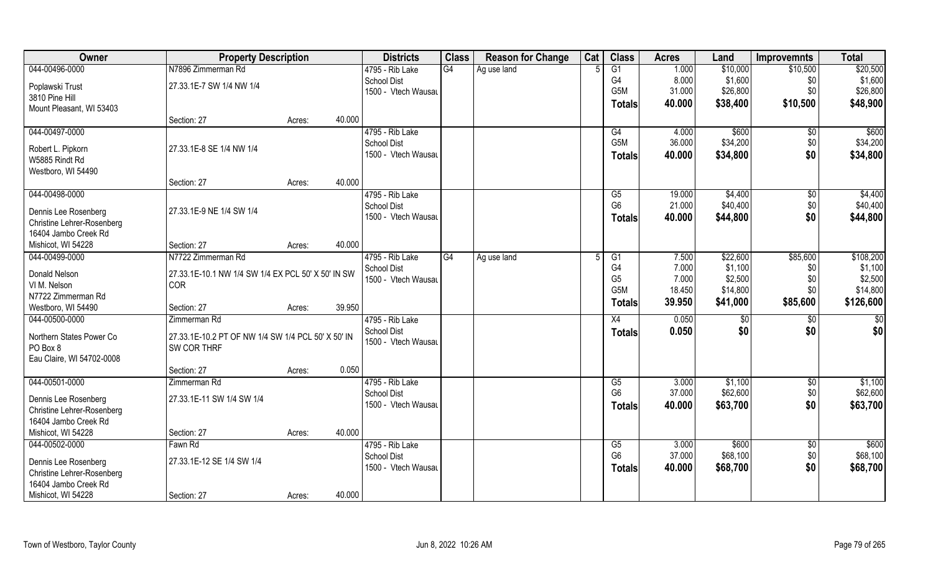| Owner                                              | <b>Property Description</b>                        |        |        | <b>Districts</b>                      | <b>Class</b> | <b>Reason for Change</b> | Cat | <b>Class</b>     | <b>Acres</b> | Land     | <b>Improvemnts</b> | <b>Total</b>    |
|----------------------------------------------------|----------------------------------------------------|--------|--------|---------------------------------------|--------------|--------------------------|-----|------------------|--------------|----------|--------------------|-----------------|
| 044-00496-0000                                     | N7896 Zimmerman Rd                                 |        |        | 4795 - Rib Lake                       | G4           | Ag use land              |     | $\overline{G1}$  | 1.000        | \$10,000 | \$10,500           | \$20,500        |
| Poplawski Trust                                    | 27.33.1E-7 SW 1/4 NW 1/4                           |        |        | <b>School Dist</b>                    |              |                          |     | G4               | 8.000        | \$1,600  | \$0                | \$1,600         |
| 3810 Pine Hill                                     |                                                    |        |        | 1500 - Vtech Wausau                   |              |                          |     | G <sub>5</sub> M | 31.000       | \$26,800 | \$0                | \$26,800        |
| Mount Pleasant, WI 53403                           |                                                    |        |        |                                       |              |                          |     | Totals           | 40.000       | \$38,400 | \$10,500           | \$48,900        |
|                                                    | Section: 27                                        | Acres: | 40.000 |                                       |              |                          |     |                  |              |          |                    |                 |
| 044-00497-0000                                     |                                                    |        |        | 4795 - Rib Lake                       |              |                          |     | G4               | 4.000        | \$600    | \$0                | \$600           |
| Robert L. Pipkorn                                  | 27.33.1E-8 SE 1/4 NW 1/4                           |        |        | <b>School Dist</b>                    |              |                          |     | G <sub>5</sub> M | 36.000       | \$34,200 | \$0                | \$34,200        |
| W5885 Rindt Rd                                     |                                                    |        |        | 1500 - Vtech Wausau                   |              |                          |     | <b>Totals</b>    | 40.000       | \$34,800 | \$0                | \$34,800        |
| Westboro, WI 54490                                 |                                                    |        |        |                                       |              |                          |     |                  |              |          |                    |                 |
|                                                    | Section: 27                                        | Acres: | 40.000 |                                       |              |                          |     |                  |              |          |                    |                 |
| 044-00498-0000                                     |                                                    |        |        | 4795 - Rib Lake                       |              |                          |     | G5               | 19.000       | \$4,400  | $\sqrt[6]{}$       | \$4,400         |
|                                                    | 27.33.1E-9 NE 1/4 SW 1/4                           |        |        | School Dist                           |              |                          |     | G <sub>6</sub>   | 21.000       | \$40,400 | \$0                | \$40,400        |
| Dennis Lee Rosenberg<br>Christine Lehrer-Rosenberg |                                                    |        |        | 1500 - Vtech Wausau                   |              |                          |     | <b>Totals</b>    | 40.000       | \$44,800 | \$0                | \$44,800        |
| 16404 Jambo Creek Rd                               |                                                    |        |        |                                       |              |                          |     |                  |              |          |                    |                 |
| Mishicot, WI 54228                                 | Section: 27                                        | Acres: | 40.000 |                                       |              |                          |     |                  |              |          |                    |                 |
| 044-00499-0000                                     | N7722 Zimmerman Rd                                 |        |        | 4795 - Rib Lake                       | G4           | Ag use land              |     | G1               | 7.500        | \$22,600 | \$85,600           | \$108,200       |
|                                                    |                                                    |        |        | <b>School Dist</b>                    |              |                          |     | G4               | 7.000        | \$1,100  | \$0                | \$1,100         |
| Donald Nelson                                      | 27.33.1E-10.1 NW 1/4 SW 1/4 EX PCL 50' X 50' IN SW |        |        | 1500 - Vtech Wausau                   |              |                          |     | G <sub>5</sub>   | 7.000        | \$2,500  | \$0                | \$2,500         |
| VI M. Nelson                                       | <b>COR</b>                                         |        |        |                                       |              |                          |     | G <sub>5</sub> M | 18.450       | \$14,800 | \$0\$              | \$14,800        |
| N7722 Zimmerman Rd                                 |                                                    |        |        |                                       |              |                          |     | Totals           | 39.950       | \$41,000 | \$85,600           | \$126,600       |
| Westboro, WI 54490<br>044-00500-0000               | Section: 27<br>Zimmerman Rd                        | Acres: | 39.950 |                                       |              |                          |     |                  | 0.050        |          |                    |                 |
|                                                    |                                                    |        |        | 4795 - Rib Lake<br><b>School Dist</b> |              |                          |     | X4               | 0.050        | \$0      | $\overline{50}$    | $\overline{50}$ |
| Northern States Power Co                           | 27.33.1E-10.2 PT OF NW 1/4 SW 1/4 PCL 50' X 50' IN |        |        | 1500 - Vtech Wausau                   |              |                          |     | <b>Totals</b>    |              | \$0      | \$0                | \$0             |
| PO Box 8                                           | SW COR THRF                                        |        |        |                                       |              |                          |     |                  |              |          |                    |                 |
| Eau Claire, WI 54702-0008                          |                                                    |        |        |                                       |              |                          |     |                  |              |          |                    |                 |
|                                                    | Section: 27                                        | Acres: | 0.050  |                                       |              |                          |     |                  |              |          |                    |                 |
| 044-00501-0000                                     | Zimmerman Rd                                       |        |        | 4795 - Rib Lake                       |              |                          |     | G5               | 3.000        | \$1,100  | $\overline{50}$    | \$1,100         |
| Dennis Lee Rosenberg                               | 27.33.1E-11 SW 1/4 SW 1/4                          |        |        | <b>School Dist</b>                    |              |                          |     | G <sub>6</sub>   | 37.000       | \$62,600 | \$0                | \$62,600        |
| Christine Lehrer-Rosenberg                         |                                                    |        |        | 1500 - Vtech Wausau                   |              |                          |     | <b>Totals</b>    | 40.000       | \$63,700 | \$0                | \$63,700        |
| 16404 Jambo Creek Rd                               |                                                    |        |        |                                       |              |                          |     |                  |              |          |                    |                 |
| Mishicot, WI 54228                                 | Section: 27                                        | Acres: | 40.000 |                                       |              |                          |     |                  |              |          |                    |                 |
| 044-00502-0000                                     | Fawn Rd                                            |        |        | 4795 - Rib Lake                       |              |                          |     | G5               | 3.000        | \$600    | $\sqrt[6]{30}$     | \$600           |
| Dennis Lee Rosenberg                               | 27.33.1E-12 SE 1/4 SW 1/4                          |        |        | <b>School Dist</b>                    |              |                          |     | G <sub>6</sub>   | 37.000       | \$68,100 | \$0                | \$68,100        |
| <b>Christine Lehrer-Rosenberg</b>                  |                                                    |        |        | 1500 - Vtech Wausau                   |              |                          |     | <b>Totals</b>    | 40.000       | \$68,700 | \$0                | \$68,700        |
| 16404 Jambo Creek Rd                               |                                                    |        |        |                                       |              |                          |     |                  |              |          |                    |                 |
| Mishicot, WI 54228                                 | Section: 27                                        | Acres: | 40.000 |                                       |              |                          |     |                  |              |          |                    |                 |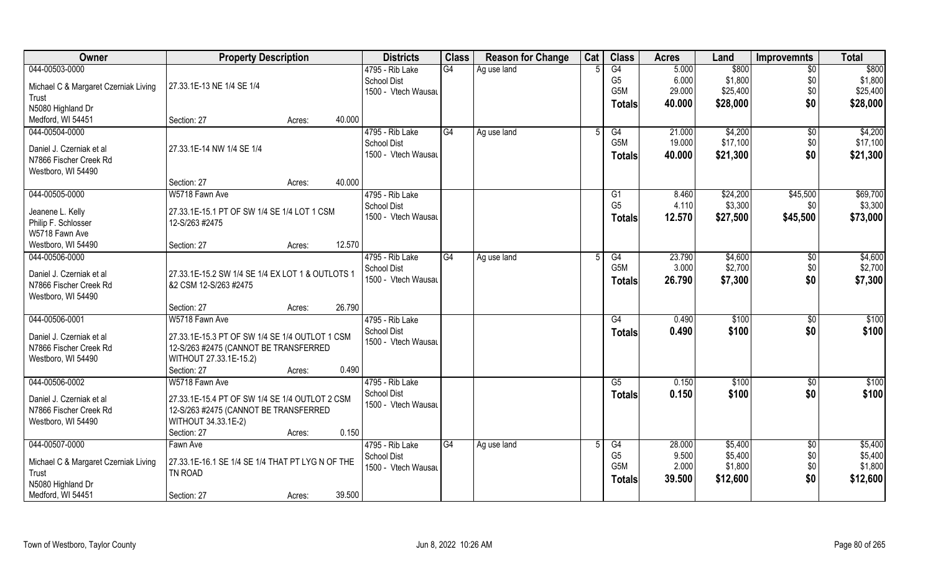| Owner                                | <b>Property Description</b>                      |        |        | <b>Districts</b>    | <b>Class</b>    | <b>Reason for Change</b> | Cat | <b>Class</b>         | <b>Acres</b>   | Land               | <b>Improvemnts</b> | <b>Total</b>       |
|--------------------------------------|--------------------------------------------------|--------|--------|---------------------|-----------------|--------------------------|-----|----------------------|----------------|--------------------|--------------------|--------------------|
| 044-00503-0000                       |                                                  |        |        | 4795 - Rib Lake     | $\overline{G4}$ | Ag use land              |     | $\overline{G4}$      | 5.000          | \$800              | $\overline{50}$    | \$800              |
| Michael C & Margaret Czerniak Living | 27.33.1E-13 NE 1/4 SE 1/4                        |        |        | <b>School Dist</b>  |                 |                          |     | G <sub>5</sub>       | 6.000          | \$1,800            | \$0                | \$1,800            |
| Trust                                |                                                  |        |        | 1500 - Vtech Wausau |                 |                          |     | G <sub>5</sub> M     | 29.000         | \$25,400           | \$0                | \$25,400           |
| N5080 Highland Dr                    |                                                  |        |        |                     |                 |                          |     | <b>Totals</b>        | 40.000         | \$28,000           | \$0                | \$28,000           |
| Medford, WI 54451                    | Section: 27                                      | Acres: | 40.000 |                     |                 |                          |     |                      |                |                    |                    |                    |
| 044-00504-0000                       |                                                  |        |        | 4795 - Rib Lake     | G4              | Ag use land              |     | G4                   | 21.000         | \$4,200            | \$0                | \$4,200            |
|                                      |                                                  |        |        | <b>School Dist</b>  |                 |                          |     | G <sub>5</sub> M     | 19.000         | \$17,100           | \$0                | \$17,100           |
| Daniel J. Czerniak et al             | 27.33.1E-14 NW 1/4 SE 1/4                        |        |        | 1500 - Vtech Wausau |                 |                          |     | <b>Totals</b>        | 40.000         | \$21,300           | \$0                | \$21,300           |
| N7866 Fischer Creek Rd               |                                                  |        |        |                     |                 |                          |     |                      |                |                    |                    |                    |
| Westboro, WI 54490                   |                                                  |        |        |                     |                 |                          |     |                      |                |                    |                    |                    |
|                                      | Section: 27                                      | Acres: | 40.000 |                     |                 |                          |     |                      |                |                    |                    |                    |
| 044-00505-0000                       | W5718 Fawn Ave                                   |        |        | 4795 - Rib Lake     |                 |                          |     | G1                   | 8.460          | \$24,200           | \$45,500           | \$69,700           |
| Jeanene L. Kelly                     | 27.33.1E-15.1 PT OF SW 1/4 SE 1/4 LOT 1 CSM      |        |        | <b>School Dist</b>  |                 |                          |     | G <sub>5</sub>       | 4.110          | \$3,300            | \$0                | \$3,300            |
| Philip F. Schlosser                  | 12-S/263 #2475                                   |        |        | 1500 - Vtech Wausau |                 |                          |     | <b>Totals</b>        | 12.570         | \$27,500           | \$45,500           | \$73,000           |
| W5718 Fawn Ave                       |                                                  |        |        |                     |                 |                          |     |                      |                |                    |                    |                    |
| Westboro, WI 54490                   | Section: 27                                      | Acres: | 12.570 |                     |                 |                          |     |                      |                |                    |                    |                    |
| 044-00506-0000                       |                                                  |        |        | 4795 - Rib Lake     | G4              | Ag use land              |     | G4                   | 23.790         | \$4,600            | $\sqrt[6]{3}$      | \$4,600            |
|                                      |                                                  |        |        | <b>School Dist</b>  |                 |                          |     | G5M                  | 3.000          | \$2,700            | \$0                | \$2,700            |
| Daniel J. Czerniak et al             | 27.33.1E-15.2 SW 1/4 SE 1/4 EX LOT 1 & OUTLOTS 1 |        |        | 1500 - Vtech Wausau |                 |                          |     | <b>Totals</b>        | 26.790         | \$7,300            | \$0                | \$7,300            |
| N7866 Fischer Creek Rd               | &2 CSM 12-S/263 #2475                            |        |        |                     |                 |                          |     |                      |                |                    |                    |                    |
| Westboro, WI 54490                   |                                                  |        |        |                     |                 |                          |     |                      |                |                    |                    |                    |
|                                      | Section: 27                                      | Acres: | 26.790 |                     |                 |                          |     |                      |                |                    |                    |                    |
| 044-00506-0001                       | W5718 Fawn Ave                                   |        |        | 4795 - Rib Lake     |                 |                          |     | G4                   | 0.490          | \$100              | $\overline{50}$    | \$100              |
| Daniel J. Czerniak et al             | 27.33.1E-15.3 PT OF SW 1/4 SE 1/4 OUTLOT 1 CSM   |        |        | <b>School Dist</b>  |                 |                          |     | Totals               | 0.490          | \$100              | \$0                | \$100              |
| N7866 Fischer Creek Rd               | 12-S/263 #2475 (CANNOT BE TRANSFERRED            |        |        | 1500 - Vtech Wausau |                 |                          |     |                      |                |                    |                    |                    |
| Westboro, WI 54490                   | WITHOUT 27.33.1E-15.2)                           |        |        |                     |                 |                          |     |                      |                |                    |                    |                    |
|                                      | Section: 27                                      | Acres: | 0.490  |                     |                 |                          |     |                      |                |                    |                    |                    |
| 044-00506-0002                       | W5718 Fawn Ave                                   |        |        | 4795 - Rib Lake     |                 |                          |     | G5                   | 0.150          | \$100              | $\overline{50}$    | \$100              |
|                                      |                                                  |        |        | <b>School Dist</b>  |                 |                          |     | <b>Totals</b>        | 0.150          | \$100              | \$0                | \$100              |
| Daniel J. Czerniak et al             | 27.33.1E-15.4 PT OF SW 1/4 SE 1/4 OUTLOT 2 CSM   |        |        | 1500 - Vtech Wausau |                 |                          |     |                      |                |                    |                    |                    |
| N7866 Fischer Creek Rd               | 12-S/263 #2475 (CANNOT BE TRANSFERRED            |        |        |                     |                 |                          |     |                      |                |                    |                    |                    |
| Westboro, WI 54490                   | WITHOUT 34.33.1E-2)                              |        |        |                     |                 |                          |     |                      |                |                    |                    |                    |
|                                      | Section: 27                                      | Acres: | 0.150  |                     |                 |                          |     |                      |                |                    |                    |                    |
| 044-00507-0000                       | Fawn Ave                                         |        |        | 4795 - Rib Lake     | G4              | Ag use land              |     | G4<br>G <sub>5</sub> | 28,000         | \$5,400            | $\sqrt{$0}$        | \$5,400            |
| Michael C & Margaret Czerniak Living | 27.33.1E-16.1 SE 1/4 SE 1/4 THAT PT LYG N OF THE |        |        | <b>School Dist</b>  |                 |                          |     | G <sub>5</sub> M     | 9.500<br>2.000 | \$5,400<br>\$1,800 | \$0                | \$5,400<br>\$1,800 |
| Trust                                | TN ROAD                                          |        |        | 1500 - Vtech Wausau |                 |                          |     |                      |                |                    | \$0                |                    |
| N5080 Highland Dr                    |                                                  |        |        |                     |                 |                          |     | <b>Totals</b>        | 39.500         | \$12,600           | \$0                | \$12,600           |
| Medford, WI 54451                    | Section: 27                                      | Acres: | 39.500 |                     |                 |                          |     |                      |                |                    |                    |                    |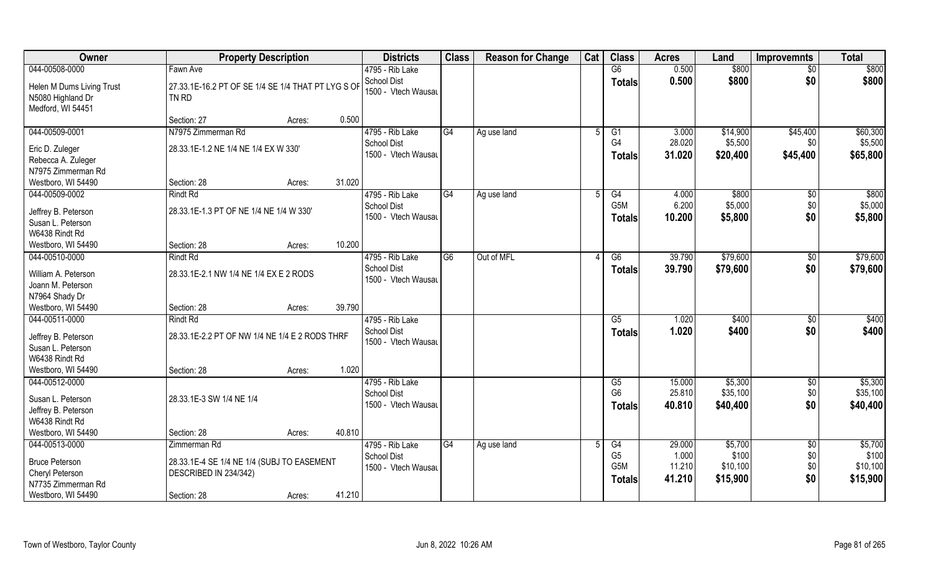| <b>Owner</b>                                                                                       | <b>Property Description</b>                                                                  | <b>Districts</b>                                                       | <b>Class</b> | <b>Reason for Change</b> | Cat            | <b>Class</b>                                        | <b>Acres</b>               | Land                            | <b>Improvemnts</b>           | <b>Total</b>                    |
|----------------------------------------------------------------------------------------------------|----------------------------------------------------------------------------------------------|------------------------------------------------------------------------|--------------|--------------------------|----------------|-----------------------------------------------------|----------------------------|---------------------------------|------------------------------|---------------------------------|
| 044-00508-0000                                                                                     | Fawn Ave                                                                                     | 4795 - Rib Lake                                                        |              |                          |                | G6                                                  | 0.500                      | \$800                           | $\overline{30}$              | \$800                           |
| Helen M Dums Living Trust<br>N5080 Highland Dr<br>Medford, WI 54451                                | 27.33.1E-16.2 PT OF SE 1/4 SE 1/4 THAT PT LYG S OF<br>TN RD                                  | School Dist<br>1500 - Vtech Wausau                                     |              |                          |                | <b>Totals</b>                                       | 0.500                      | \$800                           | \$0                          | \$800                           |
|                                                                                                    | Section: 27<br>Acres:                                                                        | 0.500                                                                  |              |                          |                |                                                     |                            |                                 |                              |                                 |
| 044-00509-0001                                                                                     | N7975 Zimmerman Rd                                                                           | 4795 - Rib Lake                                                        | G4           | Ag use land              | $\overline{5}$ | G1                                                  | 3.000                      | \$14,900                        | \$45,400                     | \$60,300                        |
| Eric D. Zuleger<br>Rebecca A. Zuleger<br>N7975 Zimmerman Rd                                        | 28.33.1E-1.2 NE 1/4 NE 1/4 EX W 330'                                                         | School Dist<br>1500 - Vtech Wausau                                     |              |                          |                | G4<br>Totals                                        | 28.020<br>31.020           | \$5,500<br>\$20,400             | \$0<br>\$45,400              | \$5,500<br>\$65,800             |
| Westboro, WI 54490                                                                                 | Section: 28<br>Acres:                                                                        | 31.020                                                                 |              |                          |                |                                                     |                            |                                 |                              |                                 |
| 044-00509-0002<br>Jeffrey B. Peterson<br>Susan L. Peterson<br>W6438 Rindt Rd                       | <b>Rindt Rd</b><br>28.33.1E-1.3 PT OF NE 1/4 NE 1/4 W 330'                                   | 4795 - Rib Lake<br><b>School Dist</b><br>1500 - Vtech Wausau           | G4           | Ag use land              | 5              | G4<br>G <sub>5</sub> M<br><b>Totals</b>             | 4.000<br>6.200<br>10.200   | \$800<br>\$5,000<br>\$5,800     | $\sqrt[6]{30}$<br>\$0<br>\$0 | \$800<br>\$5,000<br>\$5,800     |
| Westboro, WI 54490                                                                                 | Section: 28<br>Acres:                                                                        | 10.200                                                                 |              |                          |                |                                                     |                            |                                 |                              |                                 |
| 044-00510-0000<br>William A. Peterson<br>Joann M. Peterson<br>N7964 Shady Dr                       | <b>Rindt Rd</b><br>28.33.1E-2.1 NW 1/4 NE 1/4 EX E 2 RODS                                    | 4795 - Rib Lake<br><b>School Dist</b><br>1500 - Vtech Wausau           | G6           | Out of MFL               |                | G6<br><b>Totals</b>                                 | 39.790<br>39.790           | \$79,600<br>\$79,600            | $\sqrt[6]{3}$<br>\$0         | \$79,600<br>\$79,600            |
| Westboro, WI 54490                                                                                 | Section: 28<br>Acres:                                                                        | 39.790                                                                 |              |                          |                |                                                     |                            |                                 |                              |                                 |
| 044-00511-0000<br>Jeffrey B. Peterson<br>Susan L. Peterson<br>W6438 Rindt Rd<br>Westboro, WI 54490 | <b>Rindt Rd</b><br>28.33.1E-2.2 PT OF NW 1/4 NE 1/4 E 2 RODS THRF<br>Section: 28<br>Acres:   | 4795 - Rib Lake<br><b>School Dist</b><br>1500 - Vtech Wausau<br>1.020  |              |                          |                | $\overline{G5}$<br><b>Totals</b>                    | 1.020<br>1.020             | \$400<br>\$400                  | \$0<br>\$0                   | \$400<br>\$400                  |
| 044-00512-0000<br>Susan L. Peterson<br>Jeffrey B. Peterson<br>W6438 Rindt Rd<br>Westboro, WI 54490 | 28.33.1E-3 SW 1/4 NE 1/4<br>Section: 28<br>Acres:                                            | 4795 - Rib Lake<br><b>School Dist</b><br>1500 - Vtech Wausau<br>40.810 |              |                          |                | G5<br>G <sub>6</sub><br><b>Totals</b>               | 15.000<br>25.810<br>40.810 | \$5,300<br>\$35,100<br>\$40,400 | \$0<br>\$0<br>\$0            | \$5,300<br>\$35,100<br>\$40,400 |
| 044-00513-0000                                                                                     | Zimmerman Rd                                                                                 | 4795 - Rib Lake                                                        | G4           | Ag use land              |                | G4                                                  | 29.000                     | \$5,700                         | $\overline{50}$              | \$5,700                         |
| <b>Bruce Peterson</b><br>Cheryl Peterson<br>N7735 Zimmerman Rd<br>Westboro, WI 54490               | 28.33.1E-4 SE 1/4 NE 1/4 (SUBJ TO EASEMENT<br>DESCRIBED IN 234/342)<br>Section: 28<br>Acres: | <b>School Dist</b><br>1500 - Vtech Wausau<br>41.210                    |              |                          |                | G <sub>5</sub><br>G <sub>5</sub> M<br><b>Totals</b> | 1.000<br>11.210<br>41.210  | \$100<br>\$10,100<br>\$15,900   | \$0<br>\$0<br>\$0            | \$100<br>\$10,100<br>\$15,900   |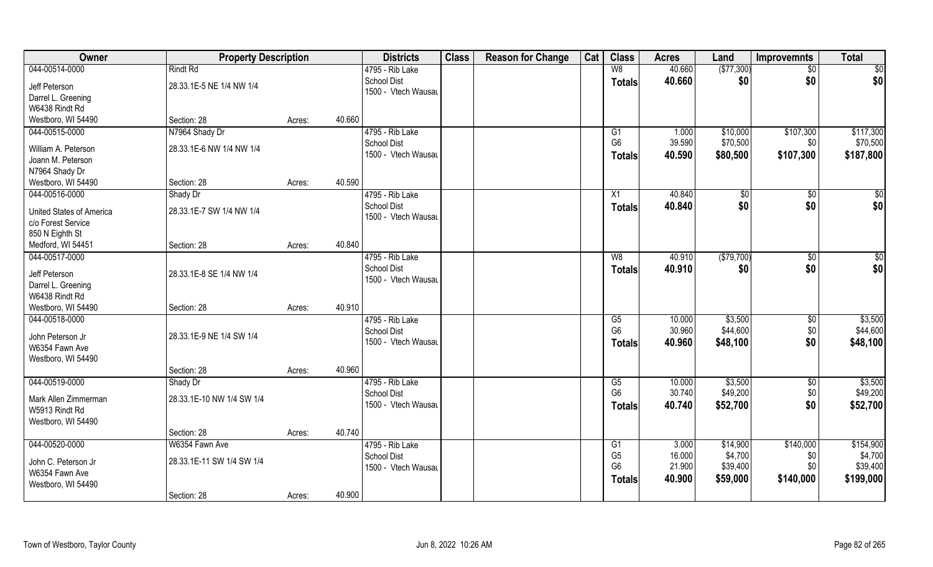| Owner                               | <b>Property Description</b> |        |        | <b>Districts</b>                          | <b>Class</b> | <b>Reason for Change</b> | Cat | <b>Class</b>           | <b>Acres</b> | Land       | <b>Improvemnts</b> | <b>Total</b> |
|-------------------------------------|-----------------------------|--------|--------|-------------------------------------------|--------------|--------------------------|-----|------------------------|--------------|------------|--------------------|--------------|
| 044-00514-0000                      | <b>Rindt Rd</b>             |        |        | 4795 - Rib Lake                           |              |                          |     | W8                     | 40.660       | (\$77,300) | $\sqrt{6}$         | \$0          |
| Jeff Peterson<br>Darrel L. Greening | 28.33.1E-5 NE 1/4 NW 1/4    |        |        | <b>School Dist</b><br>1500 - Vtech Wausau |              |                          |     | <b>Totals</b>          | 40.660       | \$0        | \$0                | \$0          |
| W6438 Rindt Rd                      |                             |        |        |                                           |              |                          |     |                        |              |            |                    |              |
| Westboro, WI 54490                  | Section: 28                 | Acres: | 40.660 |                                           |              |                          |     |                        |              |            |                    |              |
| 044-00515-0000                      | N7964 Shady Dr              |        |        | 4795 - Rib Lake                           |              |                          |     | G1                     | 1.000        | \$10,000   | \$107,300          | \$117,300    |
| William A. Peterson                 | 28.33.1E-6 NW 1/4 NW 1/4    |        |        | <b>School Dist</b>                        |              |                          |     | G <sub>6</sub>         | 39.590       | \$70,500   | \$0                | \$70,500     |
| Joann M. Peterson                   |                             |        |        | 1500 - Vtech Wausau                       |              |                          |     | <b>Totals</b>          | 40.590       | \$80,500   | \$107,300          | \$187,800    |
| N7964 Shady Dr                      |                             |        |        |                                           |              |                          |     |                        |              |            |                    |              |
| Westboro, WI 54490                  | Section: 28                 | Acres: | 40.590 |                                           |              |                          |     |                        |              |            |                    |              |
| 044-00516-0000                      | Shady Dr                    |        |        | 4795 - Rib Lake                           |              |                          |     | X1                     | 40.840       | \$0        | \$0                | \$0          |
| <b>United States of America</b>     | 28.33.1E-7 SW 1/4 NW 1/4    |        |        | <b>School Dist</b>                        |              |                          |     | <b>Totals</b>          | 40.840       | \$0        | \$0                | \$0          |
| c/o Forest Service                  |                             |        |        | 1500 - Vtech Wausau                       |              |                          |     |                        |              |            |                    |              |
| 850 N Eighth St                     |                             |        |        |                                           |              |                          |     |                        |              |            |                    |              |
| Medford, WI 54451                   | Section: 28                 | Acres: | 40.840 |                                           |              |                          |     |                        |              |            |                    |              |
| 044-00517-0000                      |                             |        |        | 4795 - Rib Lake                           |              |                          |     | W8                     | 40.910       | (\$79,700) | \$0                | \$0          |
| Jeff Peterson                       | 28.33.1E-8 SE 1/4 NW 1/4    |        |        | <b>School Dist</b>                        |              |                          |     | <b>Totals</b>          | 40.910       | \$0        | \$0                | \$0          |
| Darrel L. Greening                  |                             |        |        | 1500 - Vtech Wausau                       |              |                          |     |                        |              |            |                    |              |
| W6438 Rindt Rd                      |                             |        |        |                                           |              |                          |     |                        |              |            |                    |              |
| Westboro, WI 54490                  | Section: 28                 | Acres: | 40.910 |                                           |              |                          |     |                        |              |            |                    |              |
| 044-00518-0000                      |                             |        |        | 4795 - Rib Lake                           |              |                          |     | $\overline{\text{G5}}$ | 10.000       | \$3,500    | $\overline{50}$    | \$3,500      |
| John Peterson Jr                    | 28.33.1E-9 NE 1/4 SW 1/4    |        |        | <b>School Dist</b>                        |              |                          |     | G <sub>6</sub>         | 30.960       | \$44,600   | \$0                | \$44,600     |
| W6354 Fawn Ave                      |                             |        |        | 1500 - Vtech Wausau                       |              |                          |     | Totals                 | 40.960       | \$48,100   | \$0                | \$48,100     |
| Westboro, WI 54490                  |                             |        |        |                                           |              |                          |     |                        |              |            |                    |              |
|                                     | Section: 28                 | Acres: | 40.960 |                                           |              |                          |     |                        |              |            |                    |              |
| 044-00519-0000                      | Shady Dr                    |        |        | 4795 - Rib Lake                           |              |                          |     | G5                     | 10.000       | \$3,500    | $\sqrt{50}$        | \$3,500      |
| Mark Allen Zimmerman                | 28.33.1E-10 NW 1/4 SW 1/4   |        |        | <b>School Dist</b>                        |              |                          |     | G <sub>6</sub>         | 30.740       | \$49,200   | $$0$$              | \$49,200     |
| W5913 Rindt Rd                      |                             |        |        | 1500 - Vtech Wausau                       |              |                          |     | <b>Totals</b>          | 40.740       | \$52,700   | \$0                | \$52,700     |
| Westboro, WI 54490                  |                             |        |        |                                           |              |                          |     |                        |              |            |                    |              |
|                                     | Section: 28                 | Acres: | 40.740 |                                           |              |                          |     |                        |              |            |                    |              |
| 044-00520-0000                      | W6354 Fawn Ave              |        |        | 4795 - Rib Lake                           |              |                          |     | G1                     | 3.000        | \$14,900   | \$140,000          | \$154,900    |
| John C. Peterson Jr                 | 28.33.1E-11 SW 1/4 SW 1/4   |        |        | <b>School Dist</b>                        |              |                          |     | G <sub>5</sub>         | 16.000       | \$4,700    | \$0                | \$4,700      |
| W6354 Fawn Ave                      |                             |        |        | 1500 - Vtech Wausau                       |              |                          |     | G <sub>6</sub>         | 21.900       | \$39,400   | \$0                | \$39,400     |
| Westboro, WI 54490                  |                             |        |        |                                           |              |                          |     | <b>Totals</b>          | 40.900       | \$59,000   | \$140,000          | \$199,000    |
|                                     | Section: 28                 | Acres: | 40.900 |                                           |              |                          |     |                        |              |            |                    |              |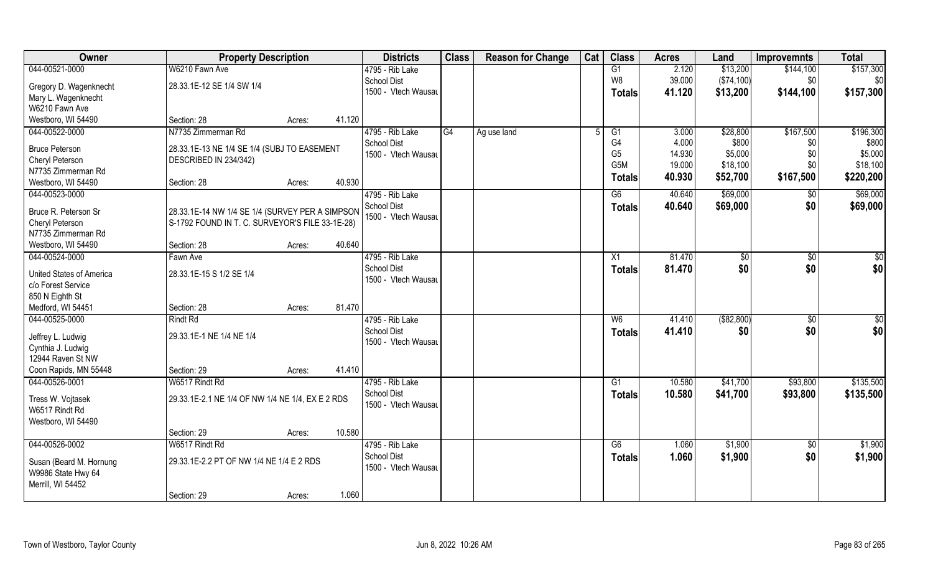| \$157,300<br>W6210 Fawn Ave<br>G1<br>2.120<br>\$13,200<br>\$144,100<br>4795 - Rib Lake<br>W8<br>39.000<br>(\$74,100)<br><b>School Dist</b><br>\$0<br>28.33.1E-12 SE 1/4 SW 1/4<br>Gregory D. Wagenknecht<br>1500 - Vtech Wausau<br>41.120<br>\$13,200<br>\$144,100<br>\$157,300<br>Totals<br>Mary L. Wagenknecht<br>W6210 Fawn Ave<br>Westboro, WI 54490<br>41.120<br>Section: 28<br>Acres:<br>4795 - Rib Lake<br>\$167,500<br>044-00522-0000<br>N7735 Zimmerman Rd<br>G4<br>3.000<br>\$28,800<br>Ag use land<br>G1<br>G4<br>4.000<br>\$800<br><b>School Dist</b><br>\$0<br><b>Bruce Peterson</b><br>28.33.1E-13 NE 1/4 SE 1/4 (SUBJ TO EASEMENT<br>G <sub>5</sub><br>14.930<br>\$5,000<br>\$0<br>1500 - Vtech Wausau<br>Cheryl Peterson<br>DESCRIBED IN 234/342)<br>G <sub>5</sub> M<br>19.000<br>\$18,100<br>\$0<br>N7735 Zimmerman Rd<br>40.930<br>\$52,700<br>\$167,500<br>\$220,200<br><b>Totals</b><br>40.930<br>Westboro, WI 54490<br>Section: 28<br>Acres:<br>044-00523-0000<br>4795 - Rib Lake<br>G6<br>\$69,000<br>40.640<br>$\sqrt[6]{30}$<br>School Dist<br>\$0<br>40.640<br>\$69,000<br><b>Totals</b><br>28.33.1E-14 NW 1/4 SE 1/4 (SURVEY PER A SIMPSON<br>Bruce R. Peterson Sr<br>1500 - Vtech Wausau<br>S-1792 FOUND IN T. C. SURVEYOR'S FILE 33-1E-28)<br>Cheryl Peterson<br>40.640<br>Westboro, WI 54490<br>Section: 28<br>Acres:<br>4795 - Rib Lake<br>81.470<br>\$0<br>$\sqrt[6]{3}$<br>Fawn Ave<br>X1<br><b>School Dist</b><br>81.470<br>\$0<br>\$0<br><b>Totals</b><br>28.33.1E-15 S 1/2 SE 1/4<br>United States of America<br>1500 - Vtech Wausau<br>c/o Forest Service<br>850 N Eighth St<br>81.470<br>Medford, WI 54451<br>Section: 28<br>Acres:<br>044-00525-0000<br>W6<br>41.410<br>( \$82, 800)<br>$\overline{50}$<br><b>Rindt Rd</b><br>4795 - Rib Lake<br><b>School Dist</b><br>41.410<br>\$0<br>\$0<br><b>Totals</b><br>29.33.1E-1 NE 1/4 NE 1/4<br>Jeffrey L. Ludwig<br>1500 - Vtech Wausau<br>Cynthia J. Ludwig<br>12944 Raven St NW<br>41.410<br>Coon Rapids, MN 55448<br>Section: 29<br>Acres:<br>\$41,700<br>044-00526-0001<br>W6517 Rindt Rd<br>4795 - Rib Lake<br>10.580<br>\$93,800<br>G1<br><b>School Dist</b><br>10.580<br>\$41,700<br>\$93,800<br><b>Totals</b><br>29.33.1E-2.1 NE 1/4 OF NW 1/4 NE 1/4, EX E 2 RDS<br>Tress W. Vojtasek<br>1500 - Vtech Wausau<br>W6517 Rindt Rd<br>Westboro, WI 54490<br>10.580<br>Section: 29<br>Acres:<br>4795 - Rib Lake<br>W6517 Rindt Rd<br>G6<br>1.060<br>\$1,900<br>$\sqrt{$0}$<br><b>School Dist</b><br>1.060<br>\$1,900<br>\$0<br><b>Totals</b><br>29.33.1E-2.2 PT OF NW 1/4 NE 1/4 E 2 RDS<br>Susan (Beard M. Hornung | Owner              | <b>Property Description</b> | <b>Districts</b>    | <b>Class</b> | <b>Reason for Change</b> | Cat | <b>Class</b> | <b>Acres</b> | Land | <b>Improvemnts</b> | <b>Total</b> |
|-------------------------------------------------------------------------------------------------------------------------------------------------------------------------------------------------------------------------------------------------------------------------------------------------------------------------------------------------------------------------------------------------------------------------------------------------------------------------------------------------------------------------------------------------------------------------------------------------------------------------------------------------------------------------------------------------------------------------------------------------------------------------------------------------------------------------------------------------------------------------------------------------------------------------------------------------------------------------------------------------------------------------------------------------------------------------------------------------------------------------------------------------------------------------------------------------------------------------------------------------------------------------------------------------------------------------------------------------------------------------------------------------------------------------------------------------------------------------------------------------------------------------------------------------------------------------------------------------------------------------------------------------------------------------------------------------------------------------------------------------------------------------------------------------------------------------------------------------------------------------------------------------------------------------------------------------------------------------------------------------------------------------------------------------------------------------------------------------------------------------------------------------------------------------------------------------------------------------------------------------------------------------------------------------------------------------------------------------------------------------------------------------------------------------------------------------------------------------------------------------------------------------------------------------------------------------------------------------------------|--------------------|-----------------------------|---------------------|--------------|--------------------------|-----|--------------|--------------|------|--------------------|--------------|
|                                                                                                                                                                                                                                                                                                                                                                                                                                                                                                                                                                                                                                                                                                                                                                                                                                                                                                                                                                                                                                                                                                                                                                                                                                                                                                                                                                                                                                                                                                                                                                                                                                                                                                                                                                                                                                                                                                                                                                                                                                                                                                                                                                                                                                                                                                                                                                                                                                                                                                                                                                                                             | 044-00521-0000     |                             |                     |              |                          |     |              |              |      |                    |              |
| \$196,300<br>\$800<br>\$5,000<br>\$18,100<br>\$69,000<br>\$69,000<br>$\sqrt{50}$<br>\$0 <br>$\overline{50}$<br>\$0 <br>\$135,500<br>\$135,500<br>\$1,900<br>\$1,900                                                                                                                                                                                                                                                                                                                                                                                                                                                                                                                                                                                                                                                                                                                                                                                                                                                                                                                                                                                                                                                                                                                                                                                                                                                                                                                                                                                                                                                                                                                                                                                                                                                                                                                                                                                                                                                                                                                                                                                                                                                                                                                                                                                                                                                                                                                                                                                                                                         |                    |                             |                     |              |                          |     |              |              |      |                    | \$0          |
|                                                                                                                                                                                                                                                                                                                                                                                                                                                                                                                                                                                                                                                                                                                                                                                                                                                                                                                                                                                                                                                                                                                                                                                                                                                                                                                                                                                                                                                                                                                                                                                                                                                                                                                                                                                                                                                                                                                                                                                                                                                                                                                                                                                                                                                                                                                                                                                                                                                                                                                                                                                                             |                    |                             |                     |              |                          |     |              |              |      |                    |              |
|                                                                                                                                                                                                                                                                                                                                                                                                                                                                                                                                                                                                                                                                                                                                                                                                                                                                                                                                                                                                                                                                                                                                                                                                                                                                                                                                                                                                                                                                                                                                                                                                                                                                                                                                                                                                                                                                                                                                                                                                                                                                                                                                                                                                                                                                                                                                                                                                                                                                                                                                                                                                             |                    |                             |                     |              |                          |     |              |              |      |                    |              |
|                                                                                                                                                                                                                                                                                                                                                                                                                                                                                                                                                                                                                                                                                                                                                                                                                                                                                                                                                                                                                                                                                                                                                                                                                                                                                                                                                                                                                                                                                                                                                                                                                                                                                                                                                                                                                                                                                                                                                                                                                                                                                                                                                                                                                                                                                                                                                                                                                                                                                                                                                                                                             |                    |                             |                     |              |                          |     |              |              |      |                    |              |
|                                                                                                                                                                                                                                                                                                                                                                                                                                                                                                                                                                                                                                                                                                                                                                                                                                                                                                                                                                                                                                                                                                                                                                                                                                                                                                                                                                                                                                                                                                                                                                                                                                                                                                                                                                                                                                                                                                                                                                                                                                                                                                                                                                                                                                                                                                                                                                                                                                                                                                                                                                                                             |                    |                             |                     |              |                          |     |              |              |      |                    |              |
|                                                                                                                                                                                                                                                                                                                                                                                                                                                                                                                                                                                                                                                                                                                                                                                                                                                                                                                                                                                                                                                                                                                                                                                                                                                                                                                                                                                                                                                                                                                                                                                                                                                                                                                                                                                                                                                                                                                                                                                                                                                                                                                                                                                                                                                                                                                                                                                                                                                                                                                                                                                                             |                    |                             |                     |              |                          |     |              |              |      |                    |              |
|                                                                                                                                                                                                                                                                                                                                                                                                                                                                                                                                                                                                                                                                                                                                                                                                                                                                                                                                                                                                                                                                                                                                                                                                                                                                                                                                                                                                                                                                                                                                                                                                                                                                                                                                                                                                                                                                                                                                                                                                                                                                                                                                                                                                                                                                                                                                                                                                                                                                                                                                                                                                             |                    |                             |                     |              |                          |     |              |              |      |                    |              |
|                                                                                                                                                                                                                                                                                                                                                                                                                                                                                                                                                                                                                                                                                                                                                                                                                                                                                                                                                                                                                                                                                                                                                                                                                                                                                                                                                                                                                                                                                                                                                                                                                                                                                                                                                                                                                                                                                                                                                                                                                                                                                                                                                                                                                                                                                                                                                                                                                                                                                                                                                                                                             |                    |                             |                     |              |                          |     |              |              |      |                    |              |
|                                                                                                                                                                                                                                                                                                                                                                                                                                                                                                                                                                                                                                                                                                                                                                                                                                                                                                                                                                                                                                                                                                                                                                                                                                                                                                                                                                                                                                                                                                                                                                                                                                                                                                                                                                                                                                                                                                                                                                                                                                                                                                                                                                                                                                                                                                                                                                                                                                                                                                                                                                                                             |                    |                             |                     |              |                          |     |              |              |      |                    |              |
|                                                                                                                                                                                                                                                                                                                                                                                                                                                                                                                                                                                                                                                                                                                                                                                                                                                                                                                                                                                                                                                                                                                                                                                                                                                                                                                                                                                                                                                                                                                                                                                                                                                                                                                                                                                                                                                                                                                                                                                                                                                                                                                                                                                                                                                                                                                                                                                                                                                                                                                                                                                                             |                    |                             |                     |              |                          |     |              |              |      |                    |              |
|                                                                                                                                                                                                                                                                                                                                                                                                                                                                                                                                                                                                                                                                                                                                                                                                                                                                                                                                                                                                                                                                                                                                                                                                                                                                                                                                                                                                                                                                                                                                                                                                                                                                                                                                                                                                                                                                                                                                                                                                                                                                                                                                                                                                                                                                                                                                                                                                                                                                                                                                                                                                             |                    |                             |                     |              |                          |     |              |              |      |                    |              |
|                                                                                                                                                                                                                                                                                                                                                                                                                                                                                                                                                                                                                                                                                                                                                                                                                                                                                                                                                                                                                                                                                                                                                                                                                                                                                                                                                                                                                                                                                                                                                                                                                                                                                                                                                                                                                                                                                                                                                                                                                                                                                                                                                                                                                                                                                                                                                                                                                                                                                                                                                                                                             |                    |                             |                     |              |                          |     |              |              |      |                    |              |
|                                                                                                                                                                                                                                                                                                                                                                                                                                                                                                                                                                                                                                                                                                                                                                                                                                                                                                                                                                                                                                                                                                                                                                                                                                                                                                                                                                                                                                                                                                                                                                                                                                                                                                                                                                                                                                                                                                                                                                                                                                                                                                                                                                                                                                                                                                                                                                                                                                                                                                                                                                                                             |                    |                             |                     |              |                          |     |              |              |      |                    |              |
|                                                                                                                                                                                                                                                                                                                                                                                                                                                                                                                                                                                                                                                                                                                                                                                                                                                                                                                                                                                                                                                                                                                                                                                                                                                                                                                                                                                                                                                                                                                                                                                                                                                                                                                                                                                                                                                                                                                                                                                                                                                                                                                                                                                                                                                                                                                                                                                                                                                                                                                                                                                                             | N7735 Zimmerman Rd |                             |                     |              |                          |     |              |              |      |                    |              |
|                                                                                                                                                                                                                                                                                                                                                                                                                                                                                                                                                                                                                                                                                                                                                                                                                                                                                                                                                                                                                                                                                                                                                                                                                                                                                                                                                                                                                                                                                                                                                                                                                                                                                                                                                                                                                                                                                                                                                                                                                                                                                                                                                                                                                                                                                                                                                                                                                                                                                                                                                                                                             |                    |                             |                     |              |                          |     |              |              |      |                    |              |
|                                                                                                                                                                                                                                                                                                                                                                                                                                                                                                                                                                                                                                                                                                                                                                                                                                                                                                                                                                                                                                                                                                                                                                                                                                                                                                                                                                                                                                                                                                                                                                                                                                                                                                                                                                                                                                                                                                                                                                                                                                                                                                                                                                                                                                                                                                                                                                                                                                                                                                                                                                                                             | 044-00524-0000     |                             |                     |              |                          |     |              |              |      |                    |              |
|                                                                                                                                                                                                                                                                                                                                                                                                                                                                                                                                                                                                                                                                                                                                                                                                                                                                                                                                                                                                                                                                                                                                                                                                                                                                                                                                                                                                                                                                                                                                                                                                                                                                                                                                                                                                                                                                                                                                                                                                                                                                                                                                                                                                                                                                                                                                                                                                                                                                                                                                                                                                             |                    |                             |                     |              |                          |     |              |              |      |                    |              |
|                                                                                                                                                                                                                                                                                                                                                                                                                                                                                                                                                                                                                                                                                                                                                                                                                                                                                                                                                                                                                                                                                                                                                                                                                                                                                                                                                                                                                                                                                                                                                                                                                                                                                                                                                                                                                                                                                                                                                                                                                                                                                                                                                                                                                                                                                                                                                                                                                                                                                                                                                                                                             |                    |                             |                     |              |                          |     |              |              |      |                    |              |
|                                                                                                                                                                                                                                                                                                                                                                                                                                                                                                                                                                                                                                                                                                                                                                                                                                                                                                                                                                                                                                                                                                                                                                                                                                                                                                                                                                                                                                                                                                                                                                                                                                                                                                                                                                                                                                                                                                                                                                                                                                                                                                                                                                                                                                                                                                                                                                                                                                                                                                                                                                                                             |                    |                             |                     |              |                          |     |              |              |      |                    |              |
|                                                                                                                                                                                                                                                                                                                                                                                                                                                                                                                                                                                                                                                                                                                                                                                                                                                                                                                                                                                                                                                                                                                                                                                                                                                                                                                                                                                                                                                                                                                                                                                                                                                                                                                                                                                                                                                                                                                                                                                                                                                                                                                                                                                                                                                                                                                                                                                                                                                                                                                                                                                                             |                    |                             |                     |              |                          |     |              |              |      |                    |              |
|                                                                                                                                                                                                                                                                                                                                                                                                                                                                                                                                                                                                                                                                                                                                                                                                                                                                                                                                                                                                                                                                                                                                                                                                                                                                                                                                                                                                                                                                                                                                                                                                                                                                                                                                                                                                                                                                                                                                                                                                                                                                                                                                                                                                                                                                                                                                                                                                                                                                                                                                                                                                             |                    |                             |                     |              |                          |     |              |              |      |                    |              |
|                                                                                                                                                                                                                                                                                                                                                                                                                                                                                                                                                                                                                                                                                                                                                                                                                                                                                                                                                                                                                                                                                                                                                                                                                                                                                                                                                                                                                                                                                                                                                                                                                                                                                                                                                                                                                                                                                                                                                                                                                                                                                                                                                                                                                                                                                                                                                                                                                                                                                                                                                                                                             |                    |                             |                     |              |                          |     |              |              |      |                    |              |
|                                                                                                                                                                                                                                                                                                                                                                                                                                                                                                                                                                                                                                                                                                                                                                                                                                                                                                                                                                                                                                                                                                                                                                                                                                                                                                                                                                                                                                                                                                                                                                                                                                                                                                                                                                                                                                                                                                                                                                                                                                                                                                                                                                                                                                                                                                                                                                                                                                                                                                                                                                                                             |                    |                             |                     |              |                          |     |              |              |      |                    |              |
|                                                                                                                                                                                                                                                                                                                                                                                                                                                                                                                                                                                                                                                                                                                                                                                                                                                                                                                                                                                                                                                                                                                                                                                                                                                                                                                                                                                                                                                                                                                                                                                                                                                                                                                                                                                                                                                                                                                                                                                                                                                                                                                                                                                                                                                                                                                                                                                                                                                                                                                                                                                                             |                    |                             |                     |              |                          |     |              |              |      |                    |              |
|                                                                                                                                                                                                                                                                                                                                                                                                                                                                                                                                                                                                                                                                                                                                                                                                                                                                                                                                                                                                                                                                                                                                                                                                                                                                                                                                                                                                                                                                                                                                                                                                                                                                                                                                                                                                                                                                                                                                                                                                                                                                                                                                                                                                                                                                                                                                                                                                                                                                                                                                                                                                             |                    |                             |                     |              |                          |     |              |              |      |                    |              |
|                                                                                                                                                                                                                                                                                                                                                                                                                                                                                                                                                                                                                                                                                                                                                                                                                                                                                                                                                                                                                                                                                                                                                                                                                                                                                                                                                                                                                                                                                                                                                                                                                                                                                                                                                                                                                                                                                                                                                                                                                                                                                                                                                                                                                                                                                                                                                                                                                                                                                                                                                                                                             |                    |                             |                     |              |                          |     |              |              |      |                    |              |
|                                                                                                                                                                                                                                                                                                                                                                                                                                                                                                                                                                                                                                                                                                                                                                                                                                                                                                                                                                                                                                                                                                                                                                                                                                                                                                                                                                                                                                                                                                                                                                                                                                                                                                                                                                                                                                                                                                                                                                                                                                                                                                                                                                                                                                                                                                                                                                                                                                                                                                                                                                                                             |                    |                             |                     |              |                          |     |              |              |      |                    |              |
|                                                                                                                                                                                                                                                                                                                                                                                                                                                                                                                                                                                                                                                                                                                                                                                                                                                                                                                                                                                                                                                                                                                                                                                                                                                                                                                                                                                                                                                                                                                                                                                                                                                                                                                                                                                                                                                                                                                                                                                                                                                                                                                                                                                                                                                                                                                                                                                                                                                                                                                                                                                                             |                    |                             |                     |              |                          |     |              |              |      |                    |              |
|                                                                                                                                                                                                                                                                                                                                                                                                                                                                                                                                                                                                                                                                                                                                                                                                                                                                                                                                                                                                                                                                                                                                                                                                                                                                                                                                                                                                                                                                                                                                                                                                                                                                                                                                                                                                                                                                                                                                                                                                                                                                                                                                                                                                                                                                                                                                                                                                                                                                                                                                                                                                             |                    |                             |                     |              |                          |     |              |              |      |                    |              |
|                                                                                                                                                                                                                                                                                                                                                                                                                                                                                                                                                                                                                                                                                                                                                                                                                                                                                                                                                                                                                                                                                                                                                                                                                                                                                                                                                                                                                                                                                                                                                                                                                                                                                                                                                                                                                                                                                                                                                                                                                                                                                                                                                                                                                                                                                                                                                                                                                                                                                                                                                                                                             |                    |                             |                     |              |                          |     |              |              |      |                    |              |
|                                                                                                                                                                                                                                                                                                                                                                                                                                                                                                                                                                                                                                                                                                                                                                                                                                                                                                                                                                                                                                                                                                                                                                                                                                                                                                                                                                                                                                                                                                                                                                                                                                                                                                                                                                                                                                                                                                                                                                                                                                                                                                                                                                                                                                                                                                                                                                                                                                                                                                                                                                                                             |                    |                             |                     |              |                          |     |              |              |      |                    |              |
|                                                                                                                                                                                                                                                                                                                                                                                                                                                                                                                                                                                                                                                                                                                                                                                                                                                                                                                                                                                                                                                                                                                                                                                                                                                                                                                                                                                                                                                                                                                                                                                                                                                                                                                                                                                                                                                                                                                                                                                                                                                                                                                                                                                                                                                                                                                                                                                                                                                                                                                                                                                                             | 044-00526-0002     |                             |                     |              |                          |     |              |              |      |                    |              |
|                                                                                                                                                                                                                                                                                                                                                                                                                                                                                                                                                                                                                                                                                                                                                                                                                                                                                                                                                                                                                                                                                                                                                                                                                                                                                                                                                                                                                                                                                                                                                                                                                                                                                                                                                                                                                                                                                                                                                                                                                                                                                                                                                                                                                                                                                                                                                                                                                                                                                                                                                                                                             |                    |                             |                     |              |                          |     |              |              |      |                    |              |
|                                                                                                                                                                                                                                                                                                                                                                                                                                                                                                                                                                                                                                                                                                                                                                                                                                                                                                                                                                                                                                                                                                                                                                                                                                                                                                                                                                                                                                                                                                                                                                                                                                                                                                                                                                                                                                                                                                                                                                                                                                                                                                                                                                                                                                                                                                                                                                                                                                                                                                                                                                                                             | W9986 State Hwy 64 |                             | 1500 - Vtech Wausau |              |                          |     |              |              |      |                    |              |
| Merrill, WI 54452                                                                                                                                                                                                                                                                                                                                                                                                                                                                                                                                                                                                                                                                                                                                                                                                                                                                                                                                                                                                                                                                                                                                                                                                                                                                                                                                                                                                                                                                                                                                                                                                                                                                                                                                                                                                                                                                                                                                                                                                                                                                                                                                                                                                                                                                                                                                                                                                                                                                                                                                                                                           |                    |                             |                     |              |                          |     |              |              |      |                    |              |
| 1.060<br>Section: 29<br>Acres:                                                                                                                                                                                                                                                                                                                                                                                                                                                                                                                                                                                                                                                                                                                                                                                                                                                                                                                                                                                                                                                                                                                                                                                                                                                                                                                                                                                                                                                                                                                                                                                                                                                                                                                                                                                                                                                                                                                                                                                                                                                                                                                                                                                                                                                                                                                                                                                                                                                                                                                                                                              |                    |                             |                     |              |                          |     |              |              |      |                    |              |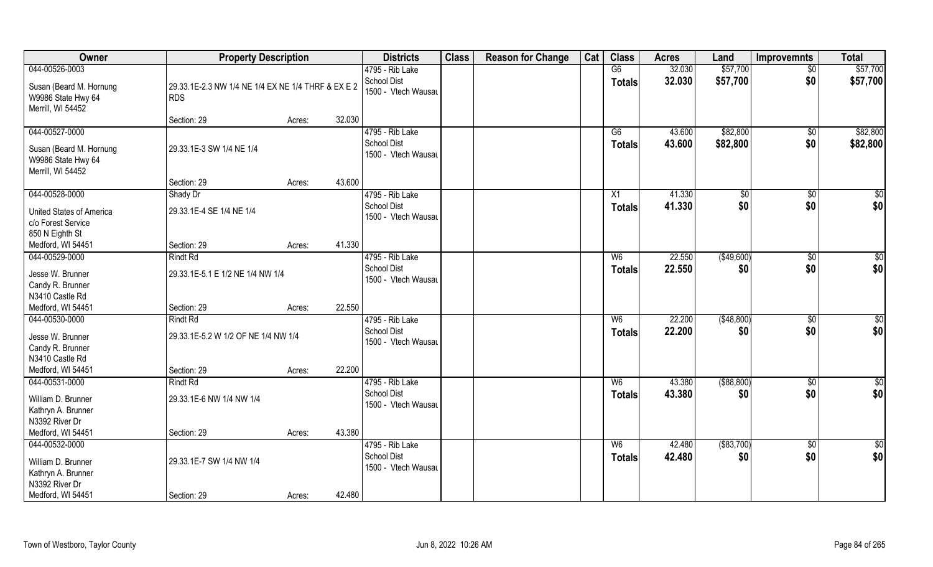| Owner                                                                                | <b>Property Description</b>                                      |        | <b>Districts</b>                                             | <b>Class</b> | <b>Reason for Change</b> | Cat | <b>Class</b>                    | <b>Acres</b>     | Land                 | <b>Improvemnts</b>   | <b>Total</b>           |
|--------------------------------------------------------------------------------------|------------------------------------------------------------------|--------|--------------------------------------------------------------|--------------|--------------------------|-----|---------------------------------|------------------|----------------------|----------------------|------------------------|
| 044-00526-0003                                                                       |                                                                  |        | 4795 - Rib Lake                                              |              |                          |     | G6                              | 32.030           | \$57,700             | $\overline{50}$      | \$57,700               |
| Susan (Beard M. Hornung<br>W9986 State Hwy 64<br>Merrill, WI 54452                   | 29.33.1E-2.3 NW 1/4 NE 1/4 EX NE 1/4 THRF & EX E 2<br><b>RDS</b> |        | <b>School Dist</b><br>1500 - Vtech Wausau                    |              |                          |     | <b>Totals</b>                   | 32.030           | \$57,700             | \$0                  | \$57,700               |
|                                                                                      | Section: 29                                                      | Acres: | 32.030                                                       |              |                          |     |                                 |                  |                      |                      |                        |
| 044-00527-0000<br>Susan (Beard M. Hornung<br>W9986 State Hwy 64<br>Merrill, WI 54452 | 29.33.1E-3 SW 1/4 NE 1/4                                         |        | 4795 - Rib Lake<br><b>School Dist</b><br>1500 - Vtech Wausau |              |                          |     | G6<br><b>Totals</b>             | 43.600<br>43.600 | \$82,800<br>\$82,800 | $\sqrt{$0}$<br>\$0   | \$82,800<br>\$82,800   |
|                                                                                      | Section: 29                                                      | Acres: | 43.600                                                       |              |                          |     |                                 |                  |                      |                      |                        |
| 044-00528-0000                                                                       | Shady Dr                                                         |        | 4795 - Rib Lake                                              |              |                          |     | X1                              | 41.330           | \$0                  | $\sqrt[6]{30}$       | \$0                    |
| United States of America<br>c/o Forest Service<br>850 N Eighth St                    | 29.33.1E-4 SE 1/4 NE 1/4                                         |        | <b>School Dist</b><br>1500 - Vtech Wausau                    |              |                          |     | <b>Totals</b>                   | 41.330           | \$0                  | \$0                  | \$0                    |
| Medford, WI 54451                                                                    | Section: 29                                                      | Acres: | 41.330                                                       |              |                          |     |                                 |                  |                      |                      |                        |
| 044-00529-0000                                                                       | <b>Rindt Rd</b>                                                  |        | 4795 - Rib Lake                                              |              |                          |     | W <sub>6</sub>                  | 22.550           | (\$49,600)           | $\sqrt[6]{3}$        | \$0                    |
| Jesse W. Brunner<br>Candy R. Brunner<br>N3410 Castle Rd                              | 29.33.1E-5.1 E 1/2 NE 1/4 NW 1/4                                 |        | <b>School Dist</b><br>1500 - Vtech Wausau                    |              |                          |     | <b>Totals</b>                   | 22.550           | \$0                  | \$0                  | \$0                    |
| Medford, WI 54451                                                                    | Section: 29                                                      | Acres: | 22.550                                                       |              |                          |     |                                 |                  |                      |                      |                        |
| 044-00530-0000<br>Jesse W. Brunner<br>Candy R. Brunner<br>N3410 Castle Rd            | <b>Rindt Rd</b><br>29.33.1E-5.2 W 1/2 OF NE 1/4 NW 1/4           |        | 4795 - Rib Lake<br><b>School Dist</b><br>1500 - Vtech Wausau |              |                          |     | W <sub>6</sub><br><b>Totals</b> | 22.200<br>22.200 | (\$48,800)<br>\$0    | $\sqrt[6]{3}$<br>\$0 | \$0<br>\$0             |
| Medford, WI 54451                                                                    | Section: 29                                                      | Acres: | 22.200                                                       |              |                          |     |                                 |                  |                      |                      |                        |
| 044-00531-0000                                                                       | <b>Rindt Rd</b>                                                  |        | 4795 - Rib Lake                                              |              |                          |     | W <sub>6</sub>                  | 43.380           | ( \$88, 800)         | \$0                  | \$0                    |
| William D. Brunner<br>Kathryn A. Brunner<br>N3392 River Dr                           | 29.33.1E-6 NW 1/4 NW 1/4                                         |        | <b>School Dist</b><br>1500 - Vtech Wausau                    |              |                          |     | <b>Totals</b>                   | 43.380           | \$0                  | \$0                  | \$0                    |
| Medford, WI 54451                                                                    | Section: 29                                                      | Acres: | 43.380                                                       |              |                          |     |                                 |                  |                      |                      |                        |
| 044-00532-0000<br>William D. Brunner<br>Kathryn A. Brunner<br>N3392 River Dr         | 29.33.1E-7 SW 1/4 NW 1/4                                         |        | 4795 - Rib Lake<br><b>School Dist</b><br>1500 - Vtech Wausau |              |                          |     | W <sub>6</sub><br><b>Totals</b> | 42.480<br>42.480 | ( \$83,700)<br>\$0   | $\sqrt{$0}$<br>\$0   | $\overline{50}$<br>\$0 |
| Medford, WI 54451                                                                    | Section: 29                                                      | Acres: | 42.480                                                       |              |                          |     |                                 |                  |                      |                      |                        |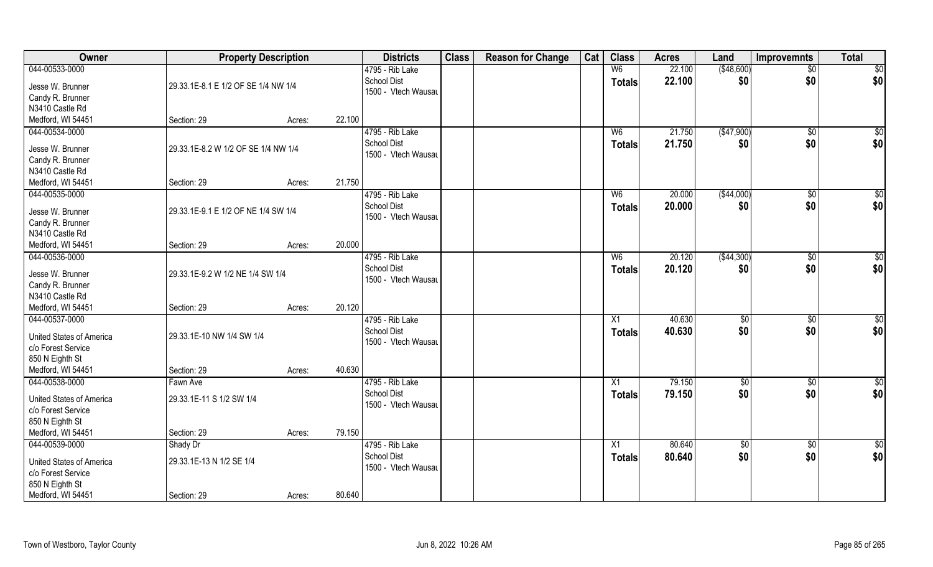| Owner                    | <b>Property Description</b>         |        |        | <b>Districts</b>                   | <b>Class</b> | <b>Reason for Change</b> | Cat | <b>Class</b>   | <b>Acres</b> | Land        | <b>Improvemnts</b> | <b>Total</b>    |
|--------------------------|-------------------------------------|--------|--------|------------------------------------|--------------|--------------------------|-----|----------------|--------------|-------------|--------------------|-----------------|
| 044-00533-0000           |                                     |        |        | 4795 - Rib Lake                    |              |                          |     | W6             | 22.100       | ( \$48,600) | $\sqrt{$0}$        | \$0             |
| Jesse W. Brunner         | 29.33.1E-8.1 E 1/2 OF SE 1/4 NW 1/4 |        |        | School Dist<br>1500 - Vtech Wausau |              |                          |     | <b>Totals</b>  | 22.100       | \$0         | \$0                | \$0             |
| Candy R. Brunner         |                                     |        |        |                                    |              |                          |     |                |              |             |                    |                 |
| N3410 Castle Rd          |                                     |        |        |                                    |              |                          |     |                |              |             |                    |                 |
| Medford, WI 54451        | Section: 29                         | Acres: | 22.100 |                                    |              |                          |     |                |              |             |                    |                 |
| 044-00534-0000           |                                     |        |        | 4795 - Rib Lake                    |              |                          |     | W <sub>6</sub> | 21.750       | ( \$47,900) | $\sqrt{$0}$        | $\sqrt{50}$     |
| Jesse W. Brunner         | 29.33.1E-8.2 W 1/2 OF SE 1/4 NW 1/4 |        |        | <b>School Dist</b>                 |              |                          |     | <b>Totals</b>  | 21.750       | \$0         | \$0                | \$0             |
| Candy R. Brunner         |                                     |        |        | 1500 - Vtech Wausau                |              |                          |     |                |              |             |                    |                 |
| N3410 Castle Rd          |                                     |        |        |                                    |              |                          |     |                |              |             |                    |                 |
| Medford, WI 54451        | Section: 29                         | Acres: | 21.750 |                                    |              |                          |     |                |              |             |                    |                 |
| 044-00535-0000           |                                     |        |        | 4795 - Rib Lake                    |              |                          |     | W <sub>6</sub> | 20.000       | ( \$44,000) | $\sqrt[6]{3}$      | \$0             |
|                          |                                     |        |        | <b>School Dist</b>                 |              |                          |     | <b>Totals</b>  | 20.000       | \$0         | \$0                | \$0             |
| Jesse W. Brunner         | 29.33.1E-9.1 E 1/2 OF NE 1/4 SW 1/4 |        |        | 1500 - Vtech Wausau                |              |                          |     |                |              |             |                    |                 |
| Candy R. Brunner         |                                     |        |        |                                    |              |                          |     |                |              |             |                    |                 |
| N3410 Castle Rd          |                                     |        |        |                                    |              |                          |     |                |              |             |                    |                 |
| Medford, WI 54451        | Section: 29                         | Acres: | 20.000 |                                    |              |                          |     |                |              |             |                    |                 |
| 044-00536-0000           |                                     |        |        | 4795 - Rib Lake                    |              |                          |     | W <sub>6</sub> | 20.120       | (\$44,300)  | $\sqrt[6]{3}$      | $\overline{50}$ |
| Jesse W. Brunner         | 29.33.1E-9.2 W 1/2 NE 1/4 SW 1/4    |        |        | <b>School Dist</b>                 |              |                          |     | <b>Totals</b>  | 20.120       | \$0         | \$0                | \$0             |
| Candy R. Brunner         |                                     |        |        | 1500 - Vtech Wausau                |              |                          |     |                |              |             |                    |                 |
| N3410 Castle Rd          |                                     |        |        |                                    |              |                          |     |                |              |             |                    |                 |
| Medford, WI 54451        | Section: 29                         | Acres: | 20.120 |                                    |              |                          |     |                |              |             |                    |                 |
| 044-00537-0000           |                                     |        |        | 4795 - Rib Lake                    |              |                          |     | X1             | 40.630       | \$0         | \$0                | \$0             |
|                          |                                     |        |        | <b>School Dist</b>                 |              |                          |     | <b>Totals</b>  | 40.630       | \$0         | \$0                | \$0             |
| United States of America | 29.33.1E-10 NW 1/4 SW 1/4           |        |        | 1500 - Vtech Wausau                |              |                          |     |                |              |             |                    |                 |
| c/o Forest Service       |                                     |        |        |                                    |              |                          |     |                |              |             |                    |                 |
| 850 N Eighth St          |                                     |        |        |                                    |              |                          |     |                |              |             |                    |                 |
| Medford, WI 54451        | Section: 29                         | Acres: | 40.630 |                                    |              |                          |     |                |              |             |                    |                 |
| 044-00538-0000           | Fawn Ave                            |        |        | 4795 - Rib Lake                    |              |                          |     | X1             | 79.150       | \$0         | \$0                | \$0             |
| United States of America | 29.33.1E-11 S 1/2 SW 1/4            |        |        | School Dist                        |              |                          |     | <b>Totals</b>  | 79.150       | \$0         | \$0                | \$0             |
| c/o Forest Service       |                                     |        |        | 1500 - Vtech Wausau                |              |                          |     |                |              |             |                    |                 |
| 850 N Eighth St          |                                     |        |        |                                    |              |                          |     |                |              |             |                    |                 |
| Medford, WI 54451        | Section: 29                         | Acres: | 79.150 |                                    |              |                          |     |                |              |             |                    |                 |
| 044-00539-0000           | Shady Dr                            |        |        | 4795 - Rib Lake                    |              |                          |     | X1             | 80.640       | $\sqrt{6}$  | $\sqrt{$0}$        | \$0             |
|                          |                                     |        |        | School Dist                        |              |                          |     | <b>Totals</b>  | 80.640       | \$0         | \$0                | \$0             |
| United States of America | 29.33.1E-13 N 1/2 SE 1/4            |        |        | 1500 - Vtech Wausau                |              |                          |     |                |              |             |                    |                 |
| c/o Forest Service       |                                     |        |        |                                    |              |                          |     |                |              |             |                    |                 |
| 850 N Eighth St          |                                     |        |        |                                    |              |                          |     |                |              |             |                    |                 |
| Medford, WI 54451        | Section: 29                         | Acres: | 80.640 |                                    |              |                          |     |                |              |             |                    |                 |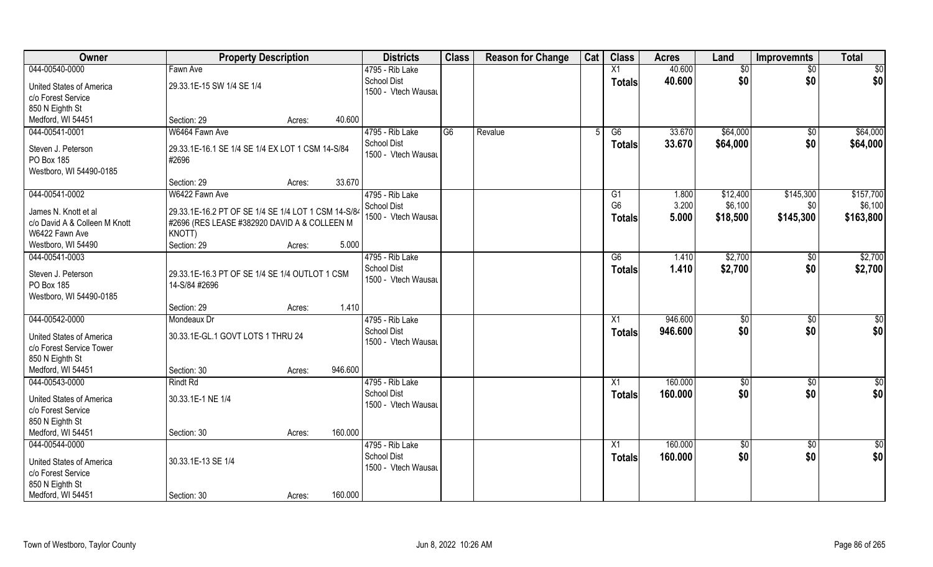| Owner                           | <b>Property Description</b>                         |        |         | <b>Districts</b>    | <b>Class</b> | <b>Reason for Change</b> | Cat | <b>Class</b>    | <b>Acres</b> | Land       | <b>Improvemnts</b> | <b>Total</b>  |
|---------------------------------|-----------------------------------------------------|--------|---------|---------------------|--------------|--------------------------|-----|-----------------|--------------|------------|--------------------|---------------|
| 044-00540-0000                  | Fawn Ave                                            |        |         | 4795 - Rib Lake     |              |                          |     | X1              | 40.600       | \$0        | $\sqrt{6}$         | \$0           |
| United States of America        | 29.33.1E-15 SW 1/4 SE 1/4                           |        |         | <b>School Dist</b>  |              |                          |     | <b>Totals</b>   | 40.600       | \$0        | \$0                | \$0           |
| c/o Forest Service              |                                                     |        |         | 1500 - Vtech Wausau |              |                          |     |                 |              |            |                    |               |
| 850 N Eighth St                 |                                                     |        |         |                     |              |                          |     |                 |              |            |                    |               |
| Medford, WI 54451               | Section: 29                                         | Acres: | 40.600  |                     |              |                          |     |                 |              |            |                    |               |
| 044-00541-0001                  | W6464 Fawn Ave                                      |        |         | 4795 - Rib Lake     | G6           | Revalue                  |     | G6              | 33.670       | \$64,000   | \$0                | \$64,000      |
|                                 |                                                     |        |         | <b>School Dist</b>  |              |                          |     | Totals          | 33.670       | \$64,000   | \$0                | \$64,000      |
| Steven J. Peterson              | 29.33.1E-16.1 SE 1/4 SE 1/4 EX LOT 1 CSM 14-S/84    |        |         | 1500 - Vtech Wausau |              |                          |     |                 |              |            |                    |               |
| PO Box 185                      | #2696                                               |        |         |                     |              |                          |     |                 |              |            |                    |               |
| Westboro, WI 54490-0185         |                                                     |        |         |                     |              |                          |     |                 |              |            |                    |               |
|                                 | Section: 29                                         | Acres: | 33.670  |                     |              |                          |     |                 |              |            |                    |               |
| 044-00541-0002                  | W6422 Fawn Ave                                      |        |         | 4795 - Rib Lake     |              |                          |     | G1              | 1.800        | \$12,400   | \$145,300          | \$157,700     |
| James N. Knott et al            | 29.33.1E-16.2 PT OF SE 1/4 SE 1/4 LOT 1 CSM 14-S/84 |        |         | School Dist         |              |                          |     | G <sub>6</sub>  | 3.200        | \$6,100    | \$0                | \$6,100       |
| c/o David A & Colleen M Knott   | #2696 (RES LEASE #382920 DAVID A & COLLEEN M        |        |         | 1500 - Vtech Wausau |              |                          |     | <b>Totals</b>   | 5.000        | \$18,500   | \$145,300          | \$163,800     |
| W6422 Fawn Ave                  | KNOTT)                                              |        |         |                     |              |                          |     |                 |              |            |                    |               |
| Westboro, WI 54490              | Section: 29                                         | Acres: | 5.000   |                     |              |                          |     |                 |              |            |                    |               |
| 044-00541-0003                  |                                                     |        |         | 4795 - Rib Lake     |              |                          |     | G6              | 1.410        | \$2,700    | \$0                | \$2,700       |
| Steven J. Peterson              | 29.33.1E-16.3 PT OF SE 1/4 SE 1/4 OUTLOT 1 CSM      |        |         | <b>School Dist</b>  |              |                          |     | <b>Totals</b>   | 1.410        | \$2,700    | \$0                | \$2,700       |
| PO Box 185                      | 14-S/84 #2696                                       |        |         | 1500 - Vtech Wausau |              |                          |     |                 |              |            |                    |               |
| Westboro, WI 54490-0185         |                                                     |        |         |                     |              |                          |     |                 |              |            |                    |               |
|                                 | Section: 29                                         | Acres: | 1.410   |                     |              |                          |     |                 |              |            |                    |               |
| 044-00542-0000                  | Mondeaux Dr                                         |        |         | 4795 - Rib Lake     |              |                          |     | $\overline{X1}$ | 946.600      | \$0        | \$0                | \$0           |
|                                 |                                                     |        |         | <b>School Dist</b>  |              |                          |     |                 | 946.600      | \$0        | \$0                | \$0           |
| United States of America        | 30.33.1E-GL.1 GOVT LOTS 1 THRU 24                   |        |         | 1500 - Vtech Wausau |              |                          |     | <b>Totals</b>   |              |            |                    |               |
| c/o Forest Service Tower        |                                                     |        |         |                     |              |                          |     |                 |              |            |                    |               |
| 850 N Eighth St                 |                                                     |        |         |                     |              |                          |     |                 |              |            |                    |               |
| Medford, WI 54451               | Section: 30                                         | Acres: | 946.600 |                     |              |                          |     |                 |              |            |                    |               |
| 044-00543-0000                  | <b>Rindt Rd</b>                                     |        |         | 4795 - Rib Lake     |              |                          |     | $\overline{X1}$ | 160.000      | \$0        | $\sqrt{6}$         | $\frac{1}{2}$ |
| United States of America        | 30.33.1E-1 NE 1/4                                   |        |         | <b>School Dist</b>  |              |                          |     | <b>Totals</b>   | 160.000      | \$0        | \$0                | \$0           |
| c/o Forest Service              |                                                     |        |         | 1500 - Vtech Wausau |              |                          |     |                 |              |            |                    |               |
| 850 N Eighth St                 |                                                     |        |         |                     |              |                          |     |                 |              |            |                    |               |
| Medford, WI 54451               | Section: 30                                         | Acres: | 160.000 |                     |              |                          |     |                 |              |            |                    |               |
| 044-00544-0000                  |                                                     |        |         | 4795 - Rib Lake     |              |                          |     | $\overline{X1}$ | 160.000      | $\sqrt{6}$ | $\overline{50}$    | $\frac{1}{2}$ |
|                                 |                                                     |        |         | <b>School Dist</b>  |              |                          |     | <b>Totals</b>   | 160.000      | \$0        | \$0                | \$0           |
| <b>United States of America</b> | 30.33.1E-13 SE 1/4                                  |        |         | 1500 - Vtech Wausau |              |                          |     |                 |              |            |                    |               |
| c/o Forest Service              |                                                     |        |         |                     |              |                          |     |                 |              |            |                    |               |
| 850 N Eighth St                 |                                                     |        |         |                     |              |                          |     |                 |              |            |                    |               |
| Medford, WI 54451               | Section: 30                                         | Acres: | 160.000 |                     |              |                          |     |                 |              |            |                    |               |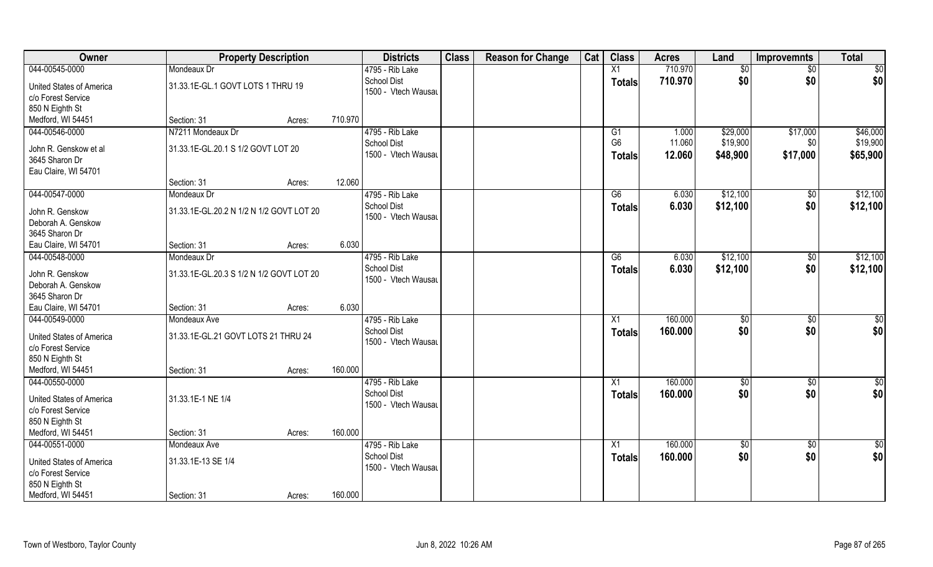| Owner                                                                                      |                                          | <b>Property Description</b> |         | <b>Districts</b>                                             | <b>Class</b> | <b>Reason for Change</b> | Cat | <b>Class</b>                     | <b>Acres</b>       | Land                 | <b>Improvemnts</b>     | <b>Total</b>         |
|--------------------------------------------------------------------------------------------|------------------------------------------|-----------------------------|---------|--------------------------------------------------------------|--------------|--------------------------|-----|----------------------------------|--------------------|----------------------|------------------------|----------------------|
| 044-00545-0000                                                                             | Mondeaux Dr                              |                             |         | 4795 - Rib Lake                                              |              |                          |     | X1                               | 710.970            | \$0                  | $\sqrt{6}$             | \$0                  |
| <b>United States of America</b><br>c/o Forest Service<br>850 N Eighth St                   | 31.33.1E-GL.1 GOVT LOTS 1 THRU 19        |                             |         | <b>School Dist</b><br>1500 - Vtech Wausau                    |              |                          |     | <b>Totals</b>                    | 710.970            | \$0                  | \$0                    | \$0                  |
| Medford, WI 54451                                                                          | Section: 31                              | Acres:                      | 710.970 |                                                              |              |                          |     |                                  |                    |                      |                        |                      |
| 044-00546-0000                                                                             | N7211 Mondeaux Dr                        |                             |         | 4795 - Rib Lake<br><b>School Dist</b>                        |              |                          |     | G1<br>G <sub>6</sub>             | 1.000<br>11.060    | \$29,000<br>\$19,900 | \$17,000<br>\$0        | \$46,000<br>\$19,900 |
| John R. Genskow et al<br>3645 Sharon Dr<br>Eau Claire, WI 54701                            | 31.33.1E-GL.20.1 S 1/2 GOVT LOT 20       |                             |         | 1500 - Vtech Wausau                                          |              |                          |     | <b>Totals</b>                    | 12.060             | \$48,900             | \$17,000               | \$65,900             |
|                                                                                            | Section: 31                              | Acres:                      | 12.060  |                                                              |              |                          |     |                                  |                    |                      |                        |                      |
| 044-00547-0000                                                                             | Mondeaux Dr                              |                             |         | 4795 - Rib Lake                                              |              |                          |     | G6                               | 6.030              | \$12,100             | \$0                    | \$12,100             |
| John R. Genskow<br>Deborah A. Genskow<br>3645 Sharon Dr                                    | 31.33.1E-GL.20.2 N 1/2 N 1/2 GOVT LOT 20 |                             |         | <b>School Dist</b><br>1500 - Vtech Wausau                    |              |                          |     | <b>Totals</b>                    | 6.030              | \$12,100             | \$0                    | \$12,100             |
| Eau Claire, WI 54701                                                                       | Section: 31                              | Acres:                      | 6.030   |                                                              |              |                          |     |                                  |                    |                      |                        |                      |
| 044-00548-0000                                                                             | Mondeaux Dr                              |                             |         | 4795 - Rib Lake                                              |              |                          |     | G6                               | 6.030              | \$12,100             | $\sqrt{50}$            | \$12,100             |
| John R. Genskow<br>Deborah A. Genskow<br>3645 Sharon Dr                                    | 31.33.1E-GL.20.3 S 1/2 N 1/2 GOVT LOT 20 |                             |         | <b>School Dist</b><br>1500 - Vtech Wausau                    |              |                          |     | Totals                           | 6.030              | \$12,100             | \$0                    | \$12,100             |
| Eau Claire, WI 54701                                                                       | Section: 31                              | Acres:                      | 6.030   |                                                              |              |                          |     |                                  |                    |                      |                        |                      |
| 044-00549-0000                                                                             | Mondeaux Ave                             |                             |         | 4795 - Rib Lake                                              |              |                          |     | X1                               | 160.000            | \$0                  | $\overline{50}$        | \$0                  |
| United States of America<br>c/o Forest Service<br>850 N Eighth St                          | 31.33.1E-GL.21 GOVT LOTS 21 THRU 24      |                             |         | <b>School Dist</b><br>1500 - Vtech Wausau                    |              |                          |     | Totals                           | 160.000            | \$0                  | \$0                    | \$0                  |
| Medford, WI 54451                                                                          | Section: 31                              | Acres:                      | 160.000 |                                                              |              |                          |     |                                  |                    |                      |                        |                      |
| 044-00550-0000<br><b>United States of America</b><br>c/o Forest Service<br>850 N Eighth St | 31.33.1E-1 NE 1/4                        |                             |         | 4795 - Rib Lake<br><b>School Dist</b><br>1500 - Vtech Wausau |              |                          |     | $\overline{X1}$<br><b>Totals</b> | 160.000<br>160.000 | \$0<br>\$0           | $\overline{50}$<br>\$0 | $\frac{1}{2}$<br>\$0 |
| Medford, WI 54451                                                                          | Section: 31                              | Acres:                      | 160.000 |                                                              |              |                          |     |                                  |                    |                      |                        |                      |
| 044-00551-0000                                                                             | Mondeaux Ave                             |                             |         | 4795 - Rib Lake                                              |              |                          |     | $\overline{X1}$                  | 160.000            | $\sqrt{$0}$          | $\overline{50}$        | $\frac{1}{2}$        |
| <b>United States of America</b><br>c/o Forest Service<br>850 N Eighth St                   | 31.33.1E-13 SE 1/4                       |                             |         | <b>School Dist</b><br>1500 - Vtech Wausau                    |              |                          |     | <b>Totals</b>                    | 160.000            | \$0                  | \$0                    | \$0                  |
| Medford, WI 54451                                                                          | Section: 31                              | Acres:                      | 160.000 |                                                              |              |                          |     |                                  |                    |                      |                        |                      |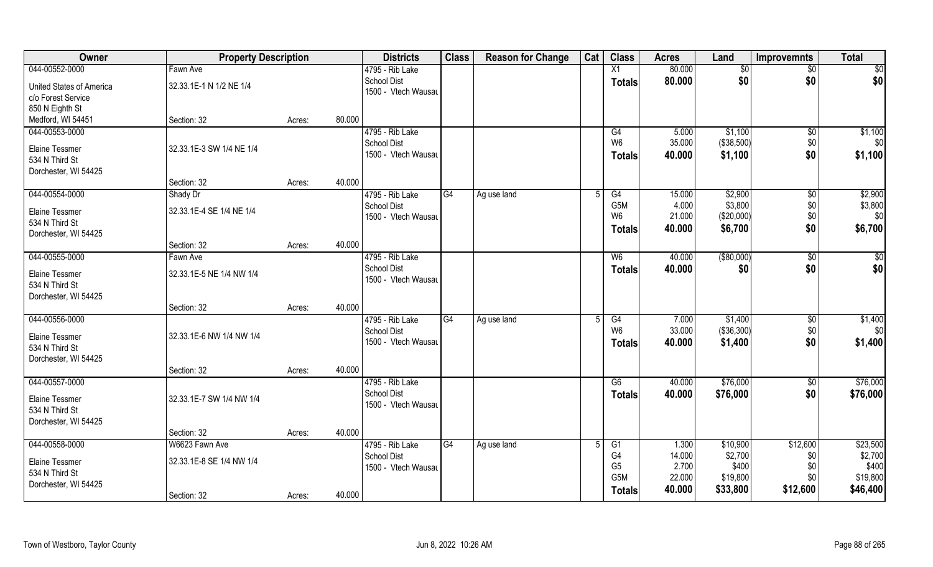| Owner                    | <b>Property Description</b> |                  | <b>Districts</b>                          | <b>Class</b> | <b>Reason for Change</b> | Cat | <b>Class</b>          | <b>Acres</b>    | Land                  | <b>Improvemnts</b> | <b>Total</b>   |
|--------------------------|-----------------------------|------------------|-------------------------------------------|--------------|--------------------------|-----|-----------------------|-----------------|-----------------------|--------------------|----------------|
| 044-00552-0000           | Fawn Ave                    |                  | 4795 - Rib Lake                           |              |                          |     | $\overline{X1}$       | 80.000          | $\overline{50}$       | $\overline{50}$    | \$0            |
| United States of America | 32.33.1E-1 N 1/2 NE 1/4     |                  | <b>School Dist</b>                        |              |                          |     | <b>Totals</b>         | 80.000          | \$0                   | \$0                | \$0            |
| c/o Forest Service       |                             |                  | 1500 - Vtech Wausau                       |              |                          |     |                       |                 |                       |                    |                |
| 850 N Eighth St          |                             |                  |                                           |              |                          |     |                       |                 |                       |                    |                |
| Medford, WI 54451        | Section: 32                 | 80.000<br>Acres: |                                           |              |                          |     |                       |                 |                       |                    |                |
| 044-00553-0000           |                             |                  | 4795 - Rib Lake                           |              |                          |     | G4                    | 5.000           | \$1,100               | \$0                | \$1,100        |
|                          |                             |                  | <b>School Dist</b>                        |              |                          |     | W <sub>6</sub>        | 35.000          | ( \$38,500)           | \$0                | \$0            |
| <b>Elaine Tessmer</b>    | 32.33.1E-3 SW 1/4 NE 1/4    |                  | 1500 - Vtech Wausau                       |              |                          |     | <b>Totals</b>         | 40.000          | \$1,100               | \$0                | \$1,100        |
| 534 N Third St           |                             |                  |                                           |              |                          |     |                       |                 |                       |                    |                |
| Dorchester, WI 54425     |                             |                  |                                           |              |                          |     |                       |                 |                       |                    |                |
|                          | Section: 32                 | 40.000<br>Acres: |                                           |              |                          |     |                       |                 |                       |                    |                |
| 044-00554-0000           | Shady Dr                    |                  | 4795 - Rib Lake                           | G4           | Ag use land              | .5  | G4                    | 15.000          | \$2,900               | \$0                | \$2,900        |
| <b>Elaine Tessmer</b>    | 32.33.1E-4 SE 1/4 NE 1/4    |                  | <b>School Dist</b><br>1500 - Vtech Wausau |              |                          |     | G5M<br>W <sub>6</sub> | 4.000<br>21.000 | \$3,800<br>(\$20,000) | \$0<br>\$0         | \$3,800<br>\$0 |
| 534 N Third St           |                             |                  |                                           |              |                          |     |                       |                 |                       |                    |                |
| Dorchester, WI 54425     |                             |                  |                                           |              |                          |     | <b>Totals</b>         | 40.000          | \$6,700               | \$0                | \$6,700        |
|                          | Section: 32                 | 40.000<br>Acres: |                                           |              |                          |     |                       |                 |                       |                    |                |
| 044-00555-0000           | Fawn Ave                    |                  | 4795 - Rib Lake                           |              |                          |     | W <sub>6</sub>        | 40.000          | ( \$80,000)           | \$0                | \$0            |
| <b>Elaine Tessmer</b>    | 32.33.1E-5 NE 1/4 NW 1/4    |                  | <b>School Dist</b>                        |              |                          |     | <b>Totals</b>         | 40.000          | \$0                   | \$0                | \$0            |
| 534 N Third St           |                             |                  | 1500 - Vtech Wausau                       |              |                          |     |                       |                 |                       |                    |                |
| Dorchester, WI 54425     |                             |                  |                                           |              |                          |     |                       |                 |                       |                    |                |
|                          | Section: 32                 | 40.000<br>Acres: |                                           |              |                          |     |                       |                 |                       |                    |                |
| 044-00556-0000           |                             |                  | 4795 - Rib Lake                           | G4           | Ag use land              |     | $\overline{G4}$       | 7.000           | \$1,400               | $\sqrt[6]{30}$     | \$1,400        |
|                          |                             |                  | <b>School Dist</b>                        |              |                          |     | W <sub>6</sub>        | 33.000          | (\$36,300)            | \$0                | \$0            |
| <b>Elaine Tessmer</b>    | 32.33.1E-6 NW 1/4 NW 1/4    |                  | 1500 - Vtech Wausau                       |              |                          |     | <b>Totals</b>         | 40.000          | \$1,400               | \$0                | \$1,400        |
| 534 N Third St           |                             |                  |                                           |              |                          |     |                       |                 |                       |                    |                |
| Dorchester, WI 54425     |                             |                  |                                           |              |                          |     |                       |                 |                       |                    |                |
|                          | Section: 32                 | 40.000<br>Acres: |                                           |              |                          |     |                       |                 |                       |                    |                |
| 044-00557-0000           |                             |                  | 4795 - Rib Lake                           |              |                          |     | G6                    | 40.000          | \$76,000              | \$0                | \$76,000       |
| <b>Elaine Tessmer</b>    | 32.33.1E-7 SW 1/4 NW 1/4    |                  | <b>School Dist</b><br>1500 - Vtech Wausau |              |                          |     | <b>Totals</b>         | 40.000          | \$76,000              | \$0                | \$76,000       |
| 534 N Third St           |                             |                  |                                           |              |                          |     |                       |                 |                       |                    |                |
| Dorchester, WI 54425     |                             |                  |                                           |              |                          |     |                       |                 |                       |                    |                |
|                          | Section: 32                 | 40.000<br>Acres: |                                           |              |                          |     |                       |                 |                       |                    |                |
| 044-00558-0000           | W6623 Fawn Ave              |                  | 4795 - Rib Lake                           | G4           | Ag use land              |     | G1                    | 1.300           | \$10,900              | \$12,600           | \$23,500       |
| <b>Elaine Tessmer</b>    | 32.33.1E-8 SE 1/4 NW 1/4    |                  | <b>School Dist</b>                        |              |                          |     | G <sub>4</sub>        | 14.000          | \$2,700               | \$0                | \$2,700        |
| 534 N Third St           |                             |                  | 1500 - Vtech Wausau                       |              |                          |     | G <sub>5</sub>        | 2.700           | \$400                 | \$0                | \$400          |
| Dorchester, WI 54425     |                             |                  |                                           |              |                          |     | G5M                   | 22.000          | \$19,800              | \$0                | \$19,800       |
|                          | Section: 32                 | 40.000<br>Acres: |                                           |              |                          |     | <b>Totals</b>         | 40.000          | \$33,800              | \$12,600           | \$46,400       |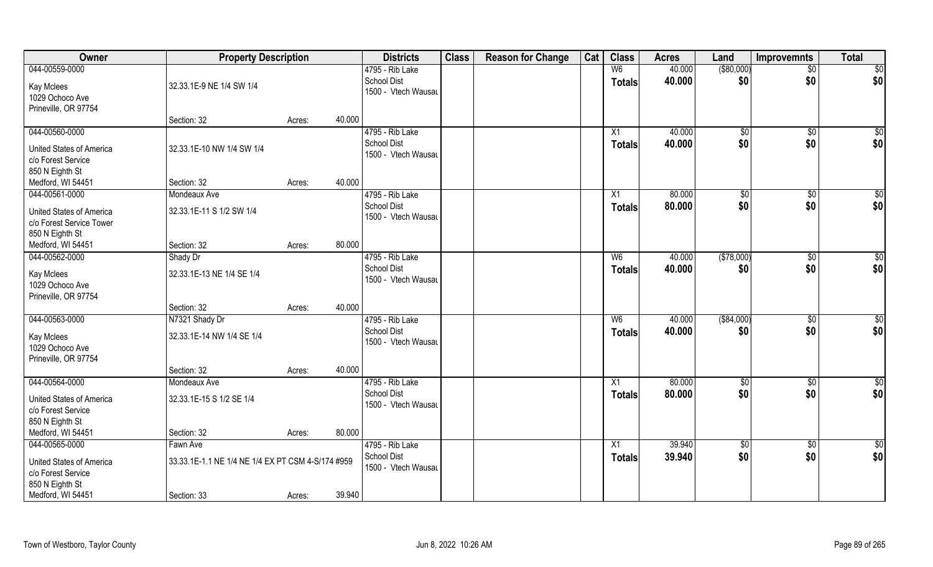| Owner                                                                                      | <b>Property Description</b>                       |        |        | <b>Districts</b>                                             | <b>Class</b> | <b>Reason for Change</b> | Cat | <b>Class</b>                    | <b>Acres</b>     | Land                | <b>Improvemnts</b> | <b>Total</b>        |
|--------------------------------------------------------------------------------------------|---------------------------------------------------|--------|--------|--------------------------------------------------------------|--------------|--------------------------|-----|---------------------------------|------------------|---------------------|--------------------|---------------------|
| 044-00559-0000<br>Kay Mclees                                                               | 32.33.1E-9 NE 1/4 SW 1/4                          |        |        | 4795 - Rib Lake<br><b>School Dist</b><br>1500 - Vtech Wausau |              |                          |     | W <sub>6</sub><br><b>Totals</b> | 40.000<br>40.000 | ( \$80,000)<br>\$0  | $\sqrt{$0}$<br>\$0 | $\sqrt{50}$<br> \$0 |
| 1029 Ochoco Ave<br>Prineville, OR 97754                                                    | Section: 32                                       | Acres: | 40.000 |                                                              |              |                          |     |                                 |                  |                     |                    |                     |
| 044-00560-0000<br><b>United States of America</b><br>c/o Forest Service<br>850 N Eighth St | 32.33.1E-10 NW 1/4 SW 1/4                         |        |        | 4795 - Rib Lake<br><b>School Dist</b><br>1500 - Vtech Wausau |              |                          |     | X1<br>Totals                    | 40.000<br>40.000 | $\sqrt[6]{}$<br>\$0 | $\sqrt{$0}$<br>\$0 | \$0<br>\$0          |
| Medford, WI 54451                                                                          | Section: 32                                       | Acres: | 40.000 |                                                              |              |                          |     |                                 |                  |                     |                    |                     |
| 044-00561-0000                                                                             | Mondeaux Ave                                      |        |        | 4795 - Rib Lake                                              |              |                          |     | X1                              | 80.000           | \$0                 | $\overline{50}$    | $\sqrt{50}$         |
| United States of America<br>c/o Forest Service Tower<br>850 N Eighth St                    | 32.33.1E-11 S 1/2 SW 1/4                          |        |        | <b>School Dist</b><br>1500 - Vtech Wausau                    |              |                          |     | <b>Totals</b>                   | 80.000           | \$0                 | \$0                | \$0                 |
| Medford, WI 54451                                                                          | Section: 32                                       | Acres: | 80.000 |                                                              |              |                          |     |                                 |                  |                     |                    |                     |
| 044-00562-0000                                                                             | Shady Dr                                          |        |        | 4795 - Rib Lake                                              |              |                          |     | W <sub>6</sub>                  | 40.000           | (\$78,000)          | \$0                | $\sqrt{50}$         |
| Kay Mclees<br>1029 Ochoco Ave<br>Prineville, OR 97754                                      | 32.33.1E-13 NE 1/4 SE 1/4                         |        |        | <b>School Dist</b><br>1500 - Vtech Wausau                    |              |                          |     | <b>Totals</b>                   | 40.000           | \$0                 | \$0                | \$0                 |
|                                                                                            | Section: 32                                       | Acres: | 40.000 |                                                              |              |                          |     |                                 |                  |                     |                    |                     |
| 044-00563-0000                                                                             | N7321 Shady Dr                                    |        |        | 4795 - Rib Lake                                              |              |                          |     | W6                              | 40.000           | ( \$84,000)         | $\overline{50}$    | $\sqrt{50}$         |
| Kay Mclees<br>1029 Ochoco Ave<br>Prineville, OR 97754                                      | 32.33.1E-14 NW 1/4 SE 1/4                         |        |        | <b>School Dist</b><br>1500 - Vtech Wausau                    |              |                          |     | <b>Totals</b>                   | 40.000           | \$0                 | \$0                | \$0                 |
|                                                                                            | Section: 32                                       | Acres: | 40.000 |                                                              |              |                          |     |                                 |                  |                     |                    |                     |
| 044-00564-0000                                                                             | Mondeaux Ave                                      |        |        | 4795 - Rib Lake                                              |              |                          |     | $\overline{X1}$                 | 80.000           | \$0                 | $\sqrt{$0}$        | \$0                 |
| United States of America<br>c/o Forest Service<br>850 N Eighth St                          | 32.33.1E-15 S 1/2 SE 1/4                          |        |        | <b>School Dist</b><br>1500 - Vtech Wausau                    |              |                          |     | <b>Totals</b>                   | 80.000           | \$0                 | \$0                | \$0                 |
| Medford, WI 54451                                                                          | Section: 32                                       | Acres: | 80.000 |                                                              |              |                          |     |                                 |                  |                     |                    |                     |
| 044-00565-0000                                                                             | Fawn Ave                                          |        |        | 4795 - Rib Lake                                              |              |                          |     | $\overline{X1}$                 | 39.940           | $\sqrt{6}$          | $\overline{60}$    | $\overline{50}$     |
| <b>United States of America</b><br>c/o Forest Service<br>850 N Eighth St                   | 33.33.1E-1.1 NE 1/4 NE 1/4 EX PT CSM 4-S/174 #959 |        |        | <b>School Dist</b><br>1500 - Vtech Wausau                    |              |                          |     | <b>Totals</b>                   | 39.940           | \$0                 | \$0                | \$0                 |
| Medford, WI 54451                                                                          | Section: 33                                       | Acres: | 39.940 |                                                              |              |                          |     |                                 |                  |                     |                    |                     |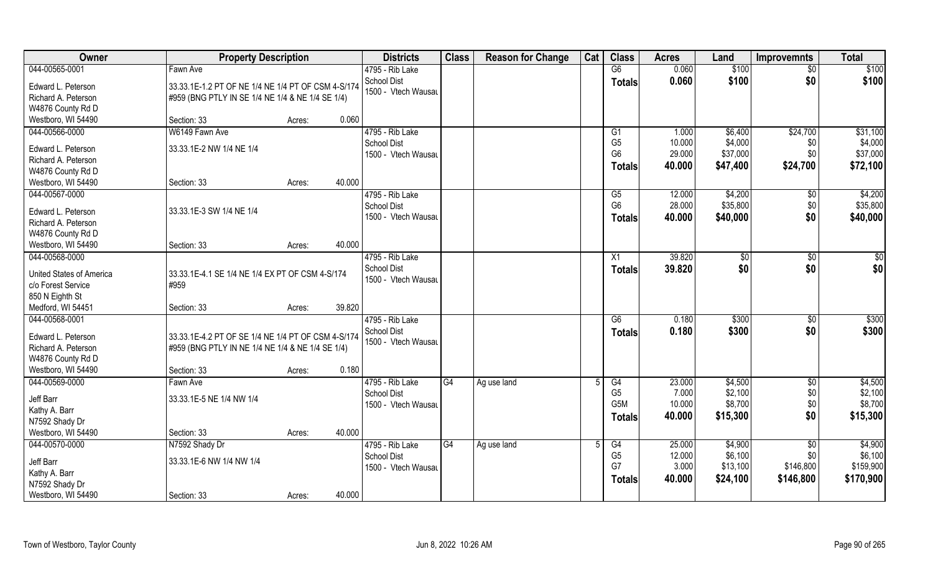| Owner                                          | <b>Property Description</b>                             |                  | <b>Districts</b>                      | <b>Class</b>    | <b>Reason for Change</b> | Cat | <b>Class</b>         | <b>Acres</b>     | Land               | <b>Improvemnts</b>     | <b>Total</b>       |
|------------------------------------------------|---------------------------------------------------------|------------------|---------------------------------------|-----------------|--------------------------|-----|----------------------|------------------|--------------------|------------------------|--------------------|
| 044-00565-0001                                 | Fawn Ave                                                |                  | 4795 - Rib Lake                       |                 |                          |     | G6                   | 0.060            | \$100              | $\overline{50}$        | \$100              |
| Edward L. Peterson                             | 33.33.1E-1.2 PT OF NE 1/4 NE 1/4 PT OF CSM 4-S/174      |                  | <b>School Dist</b>                    |                 |                          |     | <b>Totals</b>        | 0.060            | \$100              | \$0                    | \$100              |
| Richard A. Peterson                            | #959 (BNG PTLY IN SE 1/4 NE 1/4 & NE 1/4 SE 1/4)        |                  | 1500 - Vtech Wausau                   |                 |                          |     |                      |                  |                    |                        |                    |
| W4876 County Rd D                              |                                                         |                  |                                       |                 |                          |     |                      |                  |                    |                        |                    |
| Westboro, WI 54490                             | Section: 33                                             | 0.060<br>Acres:  |                                       |                 |                          |     |                      |                  |                    |                        |                    |
| 044-00566-0000                                 | W6149 Fawn Ave                                          |                  | 4795 - Rib Lake                       |                 |                          |     | G <sub>1</sub>       | 1.000            | \$6,400            | \$24,700               | \$31,100           |
| Edward L. Peterson                             | 33.33.1E-2 NW 1/4 NE 1/4                                |                  | <b>School Dist</b>                    |                 |                          |     | G <sub>5</sub>       | 10.000           | \$4,000            | \$0                    | \$4,000            |
| Richard A. Peterson                            |                                                         |                  | 1500 - Vtech Wausau                   |                 |                          |     | G <sub>6</sub>       | 29.000           | \$37,000           | \$0                    | \$37,000           |
| W4876 County Rd D                              |                                                         |                  |                                       |                 |                          |     | <b>Totals</b>        | 40.000           | \$47,400           | \$24,700               | \$72,100           |
| Westboro, WI 54490                             | Section: 33                                             | 40.000<br>Acres: |                                       |                 |                          |     |                      |                  |                    |                        |                    |
| 044-00567-0000                                 |                                                         |                  | 4795 - Rib Lake                       |                 |                          |     | G5                   | 12.000           | \$4,200            | $\sqrt[6]{30}$         | \$4,200            |
| Edward L. Peterson                             | 33.33.1E-3 SW 1/4 NE 1/4                                |                  | <b>School Dist</b>                    |                 |                          |     | G <sub>6</sub>       | 28.000           | \$35,800           | \$0                    | \$35,800           |
| Richard A. Peterson                            |                                                         |                  | 1500 - Vtech Wausau                   |                 |                          |     | <b>Totals</b>        | 40.000           | \$40,000           | \$0                    | \$40,000           |
| W4876 County Rd D                              |                                                         |                  |                                       |                 |                          |     |                      |                  |                    |                        |                    |
| Westboro, WI 54490                             | Section: 33                                             | 40.000<br>Acres: |                                       |                 |                          |     |                      |                  |                    |                        |                    |
| 044-00568-0000                                 |                                                         |                  | 4795 - Rib Lake                       |                 |                          |     | X1                   | 39.820           | $\sqrt[6]{3}$      | $\sqrt[6]{3}$          | \$0                |
|                                                |                                                         |                  | <b>School Dist</b>                    |                 |                          |     | <b>Totals</b>        | 39.820           | \$0                | \$0                    | \$0                |
| United States of America<br>c/o Forest Service | 33.33.1E-4.1 SE 1/4 NE 1/4 EX PT OF CSM 4-S/174<br>#959 |                  | 1500 - Vtech Wausau                   |                 |                          |     |                      |                  |                    |                        |                    |
| 850 N Eighth St                                |                                                         |                  |                                       |                 |                          |     |                      |                  |                    |                        |                    |
| Medford, WI 54451                              | Section: 33                                             | 39.820<br>Acres: |                                       |                 |                          |     |                      |                  |                    |                        |                    |
| 044-00568-0001                                 |                                                         |                  | 4795 - Rib Lake                       |                 |                          |     | $\overline{G6}$      | 0.180            | \$300              | $\sqrt[6]{30}$         | \$300              |
|                                                |                                                         |                  | <b>School Dist</b>                    |                 |                          |     | <b>Totals</b>        | 0.180            | \$300              | \$0                    | \$300              |
| Edward L. Peterson                             | 33.33.1E-4.2 PT OF SE 1/4 NE 1/4 PT OF CSM 4-S/174      |                  | 1500 - Vtech Wausau                   |                 |                          |     |                      |                  |                    |                        |                    |
| Richard A. Peterson                            | #959 (BNG PTLY IN NE 1/4 NE 1/4 & NE 1/4 SE 1/4)        |                  |                                       |                 |                          |     |                      |                  |                    |                        |                    |
| W4876 County Rd D<br>Westboro, WI 54490        | Section: 33                                             | 0.180            |                                       |                 |                          |     |                      |                  |                    |                        |                    |
| 044-00569-0000                                 | Fawn Ave                                                | Acres:           | 4795 - Rib Lake                       | G4              | Ag use land              |     | G4                   | 23.000           | \$4,500            | \$0                    | \$4,500            |
|                                                |                                                         |                  | <b>School Dist</b>                    |                 |                          |     | G <sub>5</sub>       | 7.000            | \$2,100            | \$0                    | \$2,100            |
| Jeff Barr                                      | 33.33.1E-5 NE 1/4 NW 1/4                                |                  | 1500 - Vtech Wausau                   |                 |                          |     | G5M                  | 10.000           | \$8,700            | \$0                    | \$8,700            |
| Kathy A. Barr                                  |                                                         |                  |                                       |                 |                          |     | <b>Totals</b>        | 40.000           | \$15,300           | \$0                    | \$15,300           |
| N7592 Shady Dr                                 |                                                         |                  |                                       |                 |                          |     |                      |                  |                    |                        |                    |
| Westboro, WI 54490                             | Section: 33                                             | 40.000<br>Acres: |                                       |                 |                          |     |                      |                  |                    |                        |                    |
| 044-00570-0000                                 | N7592 Shady Dr                                          |                  | 4795 - Rib Lake<br><b>School Dist</b> | $\overline{G4}$ | Ag use land              | 5   | G4<br>G <sub>5</sub> | 25.000<br>12.000 | \$4,900<br>\$6,100 | $\overline{50}$<br>\$0 | \$4,900<br>\$6,100 |
| Jeff Barr                                      | 33.33.1E-6 NW 1/4 NW 1/4                                |                  | 1500 - Vtech Wausau                   |                 |                          |     | G7                   | 3.000            | \$13,100           | \$146,800              | \$159,900          |
| Kathy A. Barr                                  |                                                         |                  |                                       |                 |                          |     | <b>Totals</b>        | 40.000           | \$24,100           | \$146,800              | \$170,900          |
| N7592 Shady Dr                                 |                                                         |                  |                                       |                 |                          |     |                      |                  |                    |                        |                    |
| Westboro, WI 54490                             | Section: 33                                             | 40.000<br>Acres: |                                       |                 |                          |     |                      |                  |                    |                        |                    |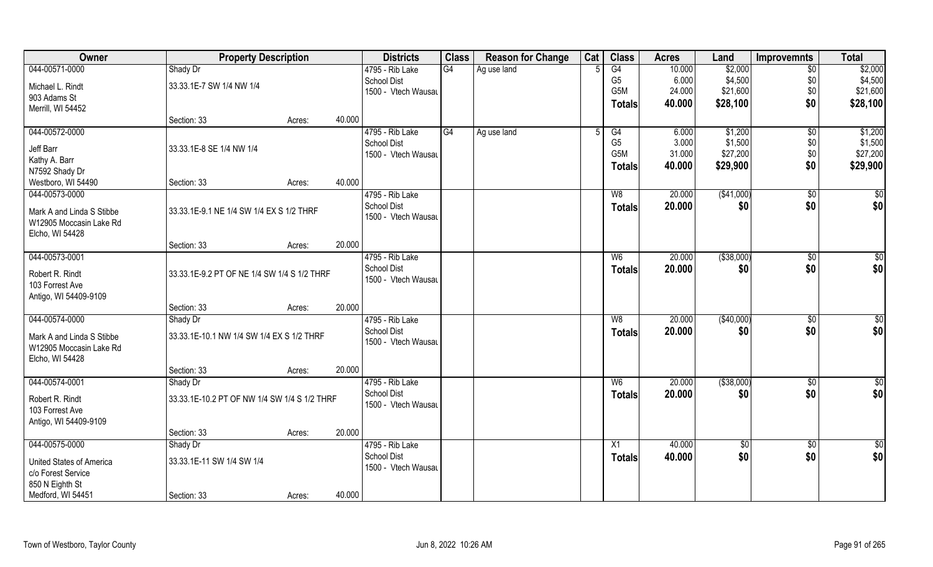| Owner                              | <b>Property Description</b>                  |                  | <b>Districts</b>                      | <b>Class</b> | <b>Reason for Change</b> | Cat | <b>Class</b>     | <b>Acres</b> | Land            | <b>Improvemnts</b> | <b>Total</b>     |
|------------------------------------|----------------------------------------------|------------------|---------------------------------------|--------------|--------------------------|-----|------------------|--------------|-----------------|--------------------|------------------|
| 044-00571-0000                     | Shady Dr                                     |                  | 4795 - Rib Lake                       | G4           | Ag use land              |     | G4               | 10.000       | \$2,000         | $\overline{50}$    | \$2,000          |
| Michael L. Rindt                   | 33.33.1E-7 SW 1/4 NW 1/4                     |                  | <b>School Dist</b>                    |              |                          |     | G <sub>5</sub>   | 6.000        | \$4,500         | \$0                | \$4,500          |
| 903 Adams St                       |                                              |                  | 1500 - Vtech Wausau                   |              |                          |     | G5M              | 24.000       | \$21,600        | \$0                | \$21,600         |
| Merrill, WI 54452                  |                                              |                  |                                       |              |                          |     | <b>Totals</b>    | 40.000       | \$28,100        | \$0                | \$28,100         |
|                                    | Section: 33                                  | 40.000<br>Acres: |                                       |              |                          |     |                  |              |                 |                    |                  |
| 044-00572-0000                     |                                              |                  | 4795 - Rib Lake                       | G4           | Ag use land              |     | G4               | 6.000        | \$1,200         | $\overline{50}$    | \$1,200          |
| Jeff Barr                          | 33.33.1E-8 SE 1/4 NW 1/4                     |                  | <b>School Dist</b>                    |              |                          |     | G <sub>5</sub>   | 3.000        | \$1,500         | \$0                | \$1,500          |
| Kathy A. Barr                      |                                              |                  | 1500 - Vtech Wausau                   |              |                          |     | G <sub>5</sub> M | 31.000       | \$27,200        | \$0                | \$27,200         |
| N7592 Shady Dr                     |                                              |                  |                                       |              |                          |     | <b>Totals</b>    | 40.000       | \$29,900        | \$0                | \$29,900         |
| Westboro, WI 54490                 | Section: 33                                  | 40.000<br>Acres: |                                       |              |                          |     |                  |              |                 |                    |                  |
| 044-00573-0000                     |                                              |                  | 4795 - Rib Lake                       |              |                          |     | W <sub>8</sub>   | 20.000       | ( \$41,000)     | $\sqrt[6]{30}$     | $\overline{\$0}$ |
| Mark A and Linda S Stibbe          | 33.33.1E-9.1 NE 1/4 SW 1/4 EX S 1/2 THRF     |                  | <b>School Dist</b>                    |              |                          |     | <b>Totals</b>    | 20.000       | \$0             | \$0                | \$0              |
| W12905 Moccasin Lake Rd            |                                              |                  | 1500 - Vtech Wausau                   |              |                          |     |                  |              |                 |                    |                  |
| Elcho, WI 54428                    |                                              |                  |                                       |              |                          |     |                  |              |                 |                    |                  |
|                                    | Section: 33                                  | 20.000<br>Acres: |                                       |              |                          |     |                  |              |                 |                    |                  |
| 044-00573-0001                     |                                              |                  | 4795 - Rib Lake                       |              |                          |     | W <sub>6</sub>   | 20.000       | ( \$38,000)     | $\sqrt[6]{3}$      | \$0              |
|                                    |                                              |                  | School Dist                           |              |                          |     | <b>Totals</b>    | 20.000       | \$0             | \$0                | \$0              |
| Robert R. Rindt<br>103 Forrest Ave | 33.33.1E-9.2 PT OF NE 1/4 SW 1/4 S 1/2 THRF  |                  | 1500 - Vtech Wausau                   |              |                          |     |                  |              |                 |                    |                  |
| Antigo, WI 54409-9109              |                                              |                  |                                       |              |                          |     |                  |              |                 |                    |                  |
|                                    | Section: 33                                  | 20.000<br>Acres: |                                       |              |                          |     |                  |              |                 |                    |                  |
| 044-00574-0000                     | Shady Dr                                     |                  | 4795 - Rib Lake                       |              |                          |     | W8               | 20.000       | (\$40,000)      | $\sqrt[6]{3}$      | \$0              |
|                                    |                                              |                  | <b>School Dist</b>                    |              |                          |     | <b>Totals</b>    | 20.000       | \$0             | \$0                | \$0              |
| Mark A and Linda S Stibbe          | 33.33.1E-10.1 NW 1/4 SW 1/4 EX S 1/2 THRF    |                  | 1500 - Vtech Wausau                   |              |                          |     |                  |              |                 |                    |                  |
| W12905 Moccasin Lake Rd            |                                              |                  |                                       |              |                          |     |                  |              |                 |                    |                  |
| Elcho, WI 54428                    |                                              |                  |                                       |              |                          |     |                  |              |                 |                    |                  |
|                                    | Section: 33                                  | 20.000<br>Acres: |                                       |              |                          |     |                  |              |                 |                    |                  |
| 044-00574-0001                     | Shady Dr                                     |                  | 4795 - Rib Lake<br><b>School Dist</b> |              |                          |     | W <sub>6</sub>   | 20.000       | ( \$38,000)     | \$0                | \$0              |
| Robert R. Rindt                    | 33.33.1E-10.2 PT OF NW 1/4 SW 1/4 S 1/2 THRF |                  | 1500 - Vtech Wausau                   |              |                          |     | <b>Totals</b>    | 20.000       | \$0             | \$0                | \$0              |
| 103 Forrest Ave                    |                                              |                  |                                       |              |                          |     |                  |              |                 |                    |                  |
| Antigo, WI 54409-9109              |                                              |                  |                                       |              |                          |     |                  |              |                 |                    |                  |
|                                    | Section: 33                                  | 20.000<br>Acres: |                                       |              |                          |     |                  |              |                 |                    |                  |
| 044-00575-0000                     | Shady Dr                                     |                  | 4795 - Rib Lake                       |              |                          |     | X1               | 40.000       | $\overline{50}$ | $\overline{50}$    | $\overline{50}$  |
| United States of America           | 33.33.1E-11 SW 1/4 SW 1/4                    |                  | <b>School Dist</b>                    |              |                          |     | <b>Totals</b>    | 40.000       | \$0             | \$0                | \$0              |
| c/o Forest Service                 |                                              |                  | 1500 - Vtech Wausau                   |              |                          |     |                  |              |                 |                    |                  |
| 850 N Eighth St                    |                                              |                  |                                       |              |                          |     |                  |              |                 |                    |                  |
| Medford, WI 54451                  | Section: 33                                  | 40.000<br>Acres: |                                       |              |                          |     |                  |              |                 |                    |                  |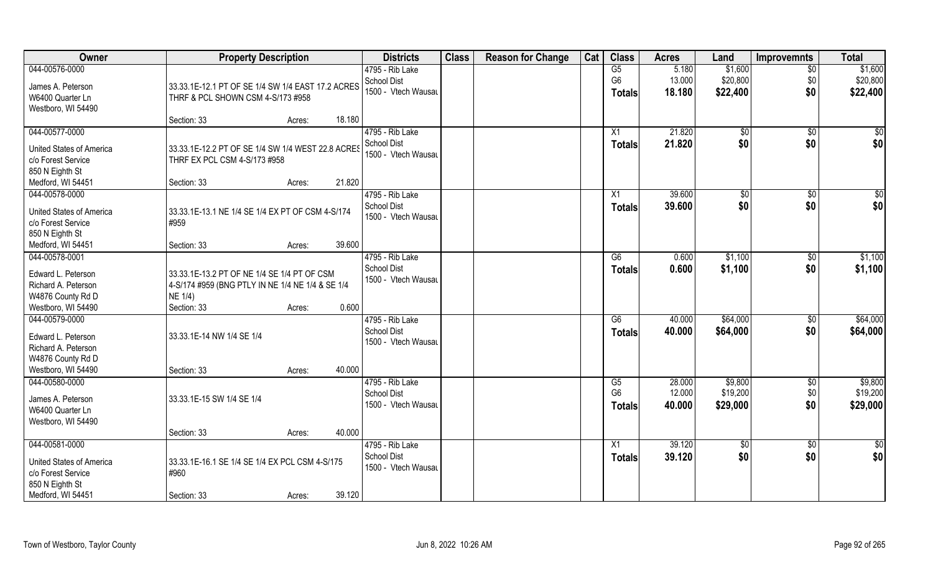| Owner                           | <b>Property Description</b>                       |        |        | <b>Districts</b>               | <b>Class</b> | <b>Reason for Change</b> | Cat | <b>Class</b>         | <b>Acres</b>     | Land                | <b>Improvemnts</b>     | <b>Total</b>        |
|---------------------------------|---------------------------------------------------|--------|--------|--------------------------------|--------------|--------------------------|-----|----------------------|------------------|---------------------|------------------------|---------------------|
| 044-00576-0000                  |                                                   |        |        | 4795 - Rib Lake                |              |                          |     | G5                   | 5.180            | \$1,600             | $\overline{50}$        | \$1,600             |
| James A. Peterson               | 33.33.1E-12.1 PT OF SE 1/4 SW 1/4 EAST 17.2 ACRES |        |        | School Dist                    |              |                          |     | G <sub>6</sub>       | 13.000           | \$20,800            | \$0                    | \$20,800            |
| W6400 Quarter Ln                | THRF & PCL SHOWN CSM 4-S/173 #958                 |        |        | 1500 - Vtech Wausau            |              |                          |     | <b>Totals</b>        | 18.180           | \$22,400            | \$0                    | \$22,400            |
| Westboro, WI 54490              |                                                   |        |        |                                |              |                          |     |                      |                  |                     |                        |                     |
|                                 | Section: 33                                       | Acres: | 18.180 |                                |              |                          |     |                      |                  |                     |                        |                     |
| 044-00577-0000                  |                                                   |        |        | 4795 - Rib Lake                |              |                          |     | X1                   | 21.820           | \$0                 | \$0                    | \$0                 |
| <b>United States of America</b> | 33.33.1E-12.2 PT OF SE 1/4 SW 1/4 WEST 22.8 ACRES |        |        | <b>School Dist</b>             |              |                          |     | <b>Totals</b>        | 21.820           | \$0                 | \$0                    | \$0                 |
| c/o Forest Service              | THRF EX PCL CSM 4-S/173 #958                      |        |        | 1500 - Vtech Wausau            |              |                          |     |                      |                  |                     |                        |                     |
| 850 N Eighth St                 |                                                   |        |        |                                |              |                          |     |                      |                  |                     |                        |                     |
| Medford, WI 54451               | Section: 33                                       | Acres: | 21.820 |                                |              |                          |     |                      |                  |                     |                        |                     |
| 044-00578-0000                  |                                                   |        |        | 4795 - Rib Lake                |              |                          |     | X1                   | 39.600           | $\sqrt{6}$          | $\sqrt{6}$             | \$0                 |
| <b>United States of America</b> | 33.33.1E-13.1 NE 1/4 SE 1/4 EX PT OF CSM 4-S/174  |        |        | School Dist                    |              |                          |     | <b>Totals</b>        | 39.600           | \$0                 | \$0                    | \$0                 |
| c/o Forest Service              | #959                                              |        |        | 1500 - Vtech Wausau            |              |                          |     |                      |                  |                     |                        |                     |
| 850 N Eighth St                 |                                                   |        |        |                                |              |                          |     |                      |                  |                     |                        |                     |
| Medford, WI 54451               | Section: 33                                       | Acres: | 39.600 |                                |              |                          |     |                      |                  |                     |                        |                     |
| 044-00578-0001                  |                                                   |        |        | 4795 - Rib Lake                |              |                          |     | G6                   | 0.600            | \$1,100             | \$0                    | \$1,100             |
| Edward L. Peterson              | 33.33.1E-13.2 PT OF NE 1/4 SE 1/4 PT OF CSM       |        |        | School Dist                    |              |                          |     | <b>Totals</b>        | 0.600            | \$1,100             | \$0                    | \$1,100             |
| Richard A. Peterson             | 4-S/174 #959 (BNG PTLY IN NE 1/4 NE 1/4 & SE 1/4  |        |        | 1500 - Vtech Wausau            |              |                          |     |                      |                  |                     |                        |                     |
| W4876 County Rd D               | NE 1/4)                                           |        |        |                                |              |                          |     |                      |                  |                     |                        |                     |
| Westboro, WI 54490              | Section: 33                                       | Acres: | 0.600  |                                |              |                          |     |                      |                  |                     |                        |                     |
| 044-00579-0000                  |                                                   |        |        | 4795 - Rib Lake                |              |                          |     | G6                   | 40.000           | \$64,000            | $\sqrt[6]{30}$         | \$64,000            |
|                                 |                                                   |        |        | <b>School Dist</b>             |              |                          |     | <b>Totals</b>        | 40.000           | \$64,000            | \$0                    | \$64,000            |
| Edward L. Peterson              | 33.33.1E-14 NW 1/4 SE 1/4                         |        |        | 1500 - Vtech Wausau            |              |                          |     |                      |                  |                     |                        |                     |
| Richard A. Peterson             |                                                   |        |        |                                |              |                          |     |                      |                  |                     |                        |                     |
| W4876 County Rd D               |                                                   |        |        |                                |              |                          |     |                      |                  |                     |                        |                     |
| Westboro, WI 54490              | Section: 33                                       | Acres: | 40.000 |                                |              |                          |     |                      |                  |                     |                        |                     |
| 044-00580-0000                  |                                                   |        |        | 4795 - Rib Lake<br>School Dist |              |                          |     | G5<br>G <sub>6</sub> | 28.000<br>12.000 | \$9,800<br>\$19,200 | $\overline{50}$<br>\$0 | \$9,800<br>\$19,200 |
| James A. Peterson               | 33.33.1E-15 SW 1/4 SE 1/4                         |        |        | 1500 - Vtech Wausau            |              |                          |     |                      |                  | \$29,000            | \$0                    |                     |
| W6400 Quarter Ln                |                                                   |        |        |                                |              |                          |     | <b>Totals</b>        | 40.000           |                     |                        | \$29,000            |
| Westboro, WI 54490              |                                                   |        |        |                                |              |                          |     |                      |                  |                     |                        |                     |
|                                 | Section: 33                                       | Acres: | 40.000 |                                |              |                          |     |                      |                  |                     |                        |                     |
| 044-00581-0000                  |                                                   |        |        | 4795 - Rib Lake                |              |                          |     | X1                   | 39.120           | $\overline{50}$     | $\overline{50}$        | \$0                 |
| <b>United States of America</b> | 33.33.1E-16.1 SE 1/4 SE 1/4 EX PCL CSM 4-S/175    |        |        | School Dist                    |              |                          |     | <b>Totals</b>        | 39.120           | \$0                 | \$0                    | \$0                 |
| c/o Forest Service              | #960                                              |        |        | 1500 - Vtech Wausau            |              |                          |     |                      |                  |                     |                        |                     |
| 850 N Eighth St                 |                                                   |        |        |                                |              |                          |     |                      |                  |                     |                        |                     |
| Medford, WI 54451               | Section: 33                                       | Acres: | 39.120 |                                |              |                          |     |                      |                  |                     |                        |                     |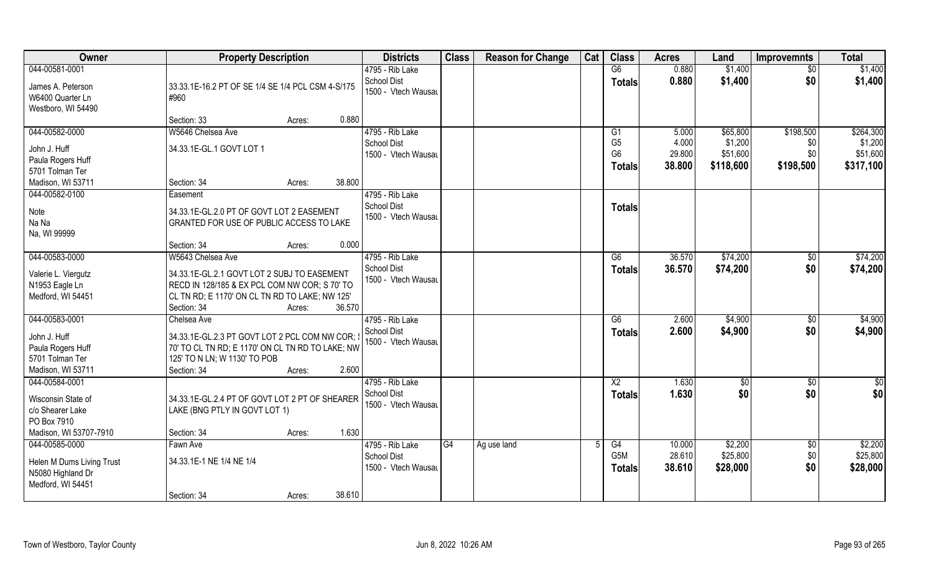| Owner                                | <b>Property Description</b>                                                                         | <b>Districts</b>                          | <b>Class</b> | <b>Reason for Change</b> | Cat | <b>Class</b>     | <b>Acres</b> | Land      | <b>Improvemnts</b> | <b>Total</b>  |
|--------------------------------------|-----------------------------------------------------------------------------------------------------|-------------------------------------------|--------------|--------------------------|-----|------------------|--------------|-----------|--------------------|---------------|
| 044-00581-0001                       |                                                                                                     | 4795 - Rib Lake                           |              |                          |     | G6               | 0.880        | \$1,400   | \$0                | \$1,400       |
| James A. Peterson                    | 33.33.1E-16.2 PT OF SE 1/4 SE 1/4 PCL CSM 4-S/175                                                   | <b>School Dist</b><br>1500 - Vtech Wausau |              |                          |     | <b>Totals</b>    | 0.880        | \$1,400   | \$0                | \$1,400       |
| W6400 Quarter Ln                     | #960                                                                                                |                                           |              |                          |     |                  |              |           |                    |               |
| Westboro, WI 54490                   |                                                                                                     |                                           |              |                          |     |                  |              |           |                    |               |
|                                      | 0.880<br>Section: 33<br>Acres:                                                                      |                                           |              |                          |     |                  |              |           |                    |               |
| 044-00582-0000                       | W5646 Chelsea Ave                                                                                   | 4795 - Rib Lake                           |              |                          |     | G <sub>1</sub>   | 5.000        | \$65,800  | \$198,500          | \$264,300     |
| John J. Huff                         | 34.33.1E-GL.1 GOVT LOT 1                                                                            | <b>School Dist</b>                        |              |                          |     | G <sub>5</sub>   | 4.000        | \$1,200   | \$0                | \$1,200       |
| Paula Rogers Huff                    |                                                                                                     | 1500 - Vtech Wausau                       |              |                          |     | G <sub>6</sub>   | 29.800       | \$51,600  | \$0                | \$51,600      |
| 5701 Tolman Ter                      |                                                                                                     |                                           |              |                          |     | <b>Totals</b>    | 38.800       | \$118,600 | \$198,500          | \$317,100     |
| Madison, WI 53711                    | 38.800<br>Section: 34<br>Acres:                                                                     |                                           |              |                          |     |                  |              |           |                    |               |
| 044-00582-0100                       | Easement                                                                                            | 4795 - Rib Lake                           |              |                          |     |                  |              |           |                    |               |
| Note                                 | 34.33.1E-GL.2.0 PT OF GOVT LOT 2 EASEMENT                                                           | <b>School Dist</b>                        |              |                          |     | <b>Totals</b>    |              |           |                    |               |
| Na Na                                | GRANTED FOR USE OF PUBLIC ACCESS TO LAKE                                                            | 1500 - Vtech Wausau                       |              |                          |     |                  |              |           |                    |               |
| Na, WI 99999                         |                                                                                                     |                                           |              |                          |     |                  |              |           |                    |               |
|                                      | 0.000<br>Section: 34<br>Acres:                                                                      |                                           |              |                          |     |                  |              |           |                    |               |
| 044-00583-0000                       | W5643 Chelsea Ave                                                                                   | 4795 - Rib Lake                           |              |                          |     | G6               | 36.570       | \$74,200  | $\sqrt[6]{3}$      | \$74,200      |
| Valerie L. Viergutz                  | 34.33.1E-GL.2.1 GOVT LOT 2 SUBJ TO EASEMENT                                                         | <b>School Dist</b>                        |              |                          |     | <b>Totals</b>    | 36.570       | \$74,200  | \$0                | \$74,200      |
| N1953 Eagle Ln                       | RECD IN 128/185 & EX PCL COM NW COR; S 70' TO                                                       | 1500 - Vtech Wausau                       |              |                          |     |                  |              |           |                    |               |
| Medford, WI 54451                    | CL TN RD; E 1170' ON CL TN RD TO LAKE; NW 125'                                                      |                                           |              |                          |     |                  |              |           |                    |               |
|                                      | 36.570<br>Section: 34<br>Acres:                                                                     |                                           |              |                          |     |                  |              |           |                    |               |
| 044-00583-0001                       | Chelsea Ave                                                                                         | 4795 - Rib Lake                           |              |                          |     | $\overline{G6}$  | 2.600        | \$4,900   | $\sqrt[6]{30}$     | \$4,900       |
|                                      |                                                                                                     | School Dist                               |              |                          |     | <b>Totals</b>    | 2.600        | \$4,900   | \$0                | \$4,900       |
| John J. Huff                         | 34.33.1E-GL.2.3 PT GOVT LOT 2 PCL COM NW COR; {<br>70' TO CL TN RD; E 1170' ON CL TN RD TO LAKE; NW | 1500 - Vtech Wausau                       |              |                          |     |                  |              |           |                    |               |
| Paula Rogers Huff<br>5701 Tolman Ter | 125' TO N LN; W 1130' TO POB                                                                        |                                           |              |                          |     |                  |              |           |                    |               |
| Madison, WI 53711                    | 2.600<br>Section: 34<br>Acres:                                                                      |                                           |              |                          |     |                  |              |           |                    |               |
| 044-00584-0001                       |                                                                                                     | 4795 - Rib Lake                           |              |                          |     | $\overline{X2}$  | 1.630        | \$0       | \$0                | $\frac{6}{3}$ |
|                                      |                                                                                                     | School Dist                               |              |                          |     | <b>Totals</b>    | 1.630        | \$0       | \$0                | \$0           |
| Wisconsin State of                   | 34.33.1E-GL.2.4 PT OF GOVT LOT 2 PT OF SHEARER                                                      | 1500 - Vtech Wausau                       |              |                          |     |                  |              |           |                    |               |
| c/o Shearer Lake                     | LAKE (BNG PTLY IN GOVT LOT 1)                                                                       |                                           |              |                          |     |                  |              |           |                    |               |
| PO Box 7910                          |                                                                                                     |                                           |              |                          |     |                  |              |           |                    |               |
| Madison, WI 53707-7910               | 1.630<br>Section: 34<br>Acres:                                                                      |                                           |              |                          |     |                  |              |           |                    |               |
| 044-00585-0000                       | Fawn Ave                                                                                            | 4795 - Rib Lake                           | G4           | Ag use land              | 5   | G4               | 10.000       | \$2,200   | $\overline{50}$    | \$2,200       |
| Helen M Dums Living Trust            | 34.33.1E-1 NE 1/4 NE 1/4                                                                            | <b>School Dist</b>                        |              |                          |     | G <sub>5</sub> M | 28.610       | \$25,800  | \$0                | \$25,800      |
| N5080 Highland Dr                    |                                                                                                     | 1500 - Vtech Wausau                       |              |                          |     | <b>Totals</b>    | 38.610       | \$28,000  | \$0                | \$28,000      |
| Medford, WI 54451                    |                                                                                                     |                                           |              |                          |     |                  |              |           |                    |               |
|                                      | 38.610<br>Section: 34<br>Acres:                                                                     |                                           |              |                          |     |                  |              |           |                    |               |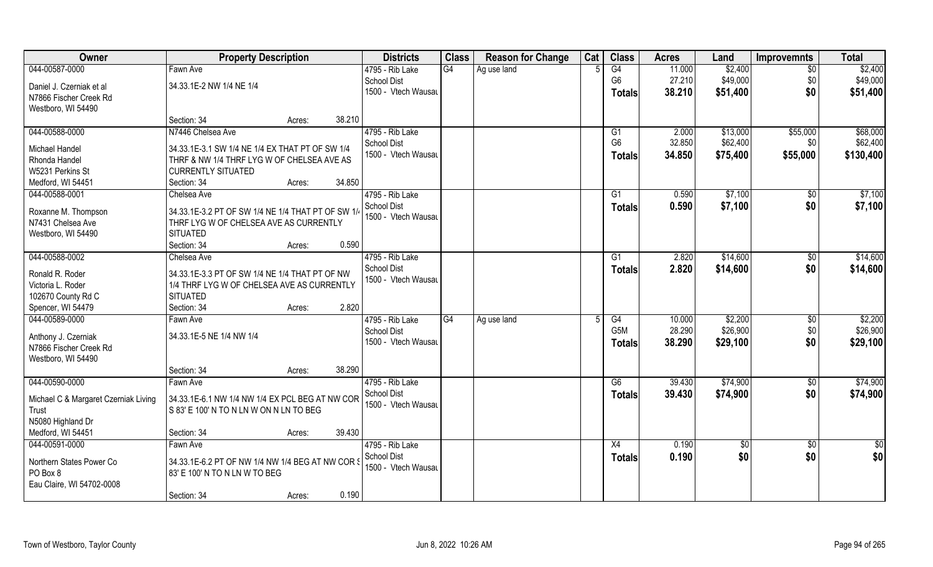| Owner                                | <b>Property Description</b>                       |        | <b>Districts</b>    | <b>Class</b>    | <b>Reason for Change</b> | Cat | <b>Class</b>     | <b>Acres</b> | Land     | <b>Improvemnts</b> | <b>Total</b> |
|--------------------------------------|---------------------------------------------------|--------|---------------------|-----------------|--------------------------|-----|------------------|--------------|----------|--------------------|--------------|
| 044-00587-0000                       | Fawn Ave                                          |        | 4795 - Rib Lake     | $\overline{G4}$ | Ag use land              |     | G4               | 11.000       | \$2,400  | $\sqrt{6}$         | \$2,400      |
| Daniel J. Czerniak et al             | 34.33.1E-2 NW 1/4 NE 1/4                          |        | <b>School Dist</b>  |                 |                          |     | G <sub>6</sub>   | 27.210       | \$49,000 | \$0                | \$49,000     |
| N7866 Fischer Creek Rd               |                                                   |        | 1500 - Vtech Wausau |                 |                          |     | <b>Totals</b>    | 38.210       | \$51,400 | \$0                | \$51,400     |
| Westboro, WI 54490                   |                                                   |        |                     |                 |                          |     |                  |              |          |                    |              |
|                                      | Section: 34<br>Acres:                             | 38.210 |                     |                 |                          |     |                  |              |          |                    |              |
| 044-00588-0000                       | N7446 Chelsea Ave                                 |        | 4795 - Rib Lake     |                 |                          |     | G1               | 2.000        | \$13,000 | \$55,000           | \$68,000     |
|                                      |                                                   |        | <b>School Dist</b>  |                 |                          |     | G <sub>6</sub>   | 32.850       | \$62,400 | \$0                | \$62,400     |
| Michael Handel                       | 34.33.1E-3.1 SW 1/4 NE 1/4 EX THAT PT OF SW 1/4   |        | 1500 - Vtech Wausau |                 |                          |     | <b>Totals</b>    | 34.850       | \$75,400 | \$55,000           | \$130,400    |
| Rhonda Handel                        | THRF & NW 1/4 THRF LYG W OF CHELSEA AVE AS        |        |                     |                 |                          |     |                  |              |          |                    |              |
| W5231 Perkins St                     | <b>CURRENTLY SITUATED</b>                         |        |                     |                 |                          |     |                  |              |          |                    |              |
| Medford, WI 54451                    | Section: 34<br>Acres:                             | 34.850 |                     |                 |                          |     |                  |              |          |                    |              |
| 044-00588-0001                       | Chelsea Ave                                       |        | 4795 - Rib Lake     |                 |                          |     | G1               | 0.590        | \$7,100  | $\sqrt{6}$         | \$7,100      |
| Roxanne M. Thompson                  | 34.33.1E-3.2 PT OF SW 1/4 NE 1/4 THAT PT OF SW 1/ |        | <b>School Dist</b>  |                 |                          |     | <b>Totals</b>    | 0.590        | \$7,100  | \$0                | \$7,100      |
| N7431 Chelsea Ave                    | THRF LYG W OF CHELSEA AVE AS CURRENTLY            |        | 1500 - Vtech Wausau |                 |                          |     |                  |              |          |                    |              |
| Westboro, WI 54490                   | <b>SITUATED</b>                                   |        |                     |                 |                          |     |                  |              |          |                    |              |
|                                      | Section: 34<br>Acres:                             | 0.590  |                     |                 |                          |     |                  |              |          |                    |              |
| 044-00588-0002                       | Chelsea Ave                                       |        | 4795 - Rib Lake     |                 |                          |     | G1               | 2.820        | \$14,600 | $\sqrt[6]{3}$      | \$14,600     |
|                                      |                                                   |        | <b>School Dist</b>  |                 |                          |     | <b>Totals</b>    | 2.820        | \$14,600 | \$0                | \$14,600     |
| Ronald R. Roder                      | 34.33.1E-3.3 PT OF SW 1/4 NE 1/4 THAT PT OF NW    |        | 1500 - Vtech Wausau |                 |                          |     |                  |              |          |                    |              |
| Victoria L. Roder                    | 1/4 THRF LYG W OF CHELSEA AVE AS CURRENTLY        |        |                     |                 |                          |     |                  |              |          |                    |              |
| 102670 County Rd C                   | <b>SITUATED</b>                                   |        |                     |                 |                          |     |                  |              |          |                    |              |
| Spencer, WI 54479                    | Section: 34<br>Acres:                             | 2.820  |                     |                 |                          |     |                  |              |          |                    |              |
| 044-00589-0000                       | Fawn Ave                                          |        | 4795 - Rib Lake     | G4              | Ag use land              |     | G4               | 10.000       | \$2,200  | \$0                | \$2,200      |
| Anthony J. Czerniak                  | 34.33.1E-5 NE 1/4 NW 1/4                          |        | <b>School Dist</b>  |                 |                          |     | G <sub>5</sub> M | 28.290       | \$26,900 | \$0                | \$26,900     |
| N7866 Fischer Creek Rd               |                                                   |        | 1500 - Vtech Wausau |                 |                          |     | <b>Totals</b>    | 38.290       | \$29,100 | \$0                | \$29,100     |
| Westboro, WI 54490                   |                                                   |        |                     |                 |                          |     |                  |              |          |                    |              |
|                                      | Section: 34<br>Acres:                             | 38.290 |                     |                 |                          |     |                  |              |          |                    |              |
| 044-00590-0000                       | Fawn Ave                                          |        | 4795 - Rib Lake     |                 |                          |     | G6               | 39.430       | \$74,900 | $\sqrt{$0}$        | \$74,900     |
|                                      | 34.33.1E-6.1 NW 1/4 NW 1/4 EX PCL BEG AT NW COR   |        | <b>School Dist</b>  |                 |                          |     | <b>Totals</b>    | 39.430       | \$74,900 | \$0                | \$74,900     |
| Michael C & Margaret Czerniak Living |                                                   |        | 1500 - Vtech Wausau |                 |                          |     |                  |              |          |                    |              |
| Trust<br>N5080 Highland Dr           | S 83' E 100' N TO N LN W ON N LN TO BEG           |        |                     |                 |                          |     |                  |              |          |                    |              |
|                                      |                                                   | 39.430 |                     |                 |                          |     |                  |              |          |                    |              |
| Medford, WI 54451                    | Section: 34<br>Acres:                             |        |                     |                 |                          |     |                  |              |          |                    |              |
| 044-00591-0000                       | Fawn Ave                                          |        | 4795 - Rib Lake     |                 |                          |     | X4               | 0.190        | \$0      | $\overline{50}$    | \$0          |
| Northern States Power Co             | 34.33.1E-6.2 PT OF NW 1/4 NW 1/4 BEG AT NW COR \$ |        | <b>School Dist</b>  |                 |                          |     | Totals           | 0.190        | \$0      | \$0                | \$0          |
| PO Box 8                             | 83' E 100' N TO N LN W TO BEG                     |        | 1500 - Vtech Wausau |                 |                          |     |                  |              |          |                    |              |
| Eau Claire, WI 54702-0008            |                                                   |        |                     |                 |                          |     |                  |              |          |                    |              |
|                                      | Section: 34<br>Acres:                             | 0.190  |                     |                 |                          |     |                  |              |          |                    |              |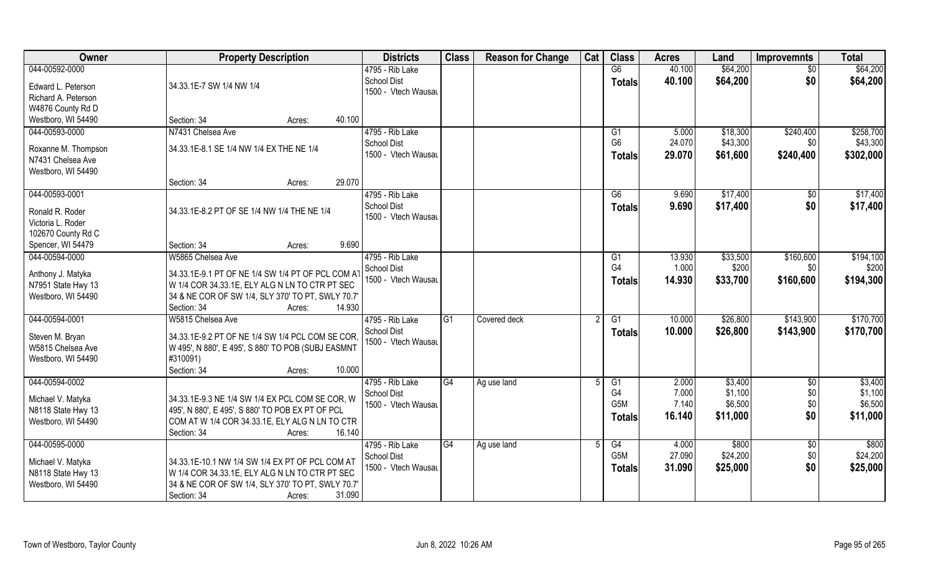| <b>Owner</b>        | <b>Property Description</b>                        | <b>Districts</b>    | <b>Class</b> | <b>Reason for Change</b> | Cat | <b>Class</b>     | <b>Acres</b> | Land     | <b>Improvemnts</b> | <b>Total</b> |
|---------------------|----------------------------------------------------|---------------------|--------------|--------------------------|-----|------------------|--------------|----------|--------------------|--------------|
| 044-00592-0000      |                                                    | 4795 - Rib Lake     |              |                          |     | G6               | 40.100       | \$64,200 | $\overline{50}$    | \$64,200     |
| Edward L. Peterson  | 34.33.1E-7 SW 1/4 NW 1/4                           | School Dist         |              |                          |     | <b>Totals</b>    | 40.100       | \$64,200 | \$0                | \$64,200     |
| Richard A. Peterson |                                                    | 1500 - Vtech Wausau |              |                          |     |                  |              |          |                    |              |
| W4876 County Rd D   |                                                    |                     |              |                          |     |                  |              |          |                    |              |
| Westboro, WI 54490  | Section: 34<br>40.100<br>Acres:                    |                     |              |                          |     |                  |              |          |                    |              |
| 044-00593-0000      | N7431 Chelsea Ave                                  | 4795 - Rib Lake     |              |                          |     | G1               | 5.000        | \$18,300 | \$240,400          | \$258,700    |
|                     |                                                    | <b>School Dist</b>  |              |                          |     | G <sub>6</sub>   | 24.070       | \$43,300 | \$0                | \$43,300     |
| Roxanne M. Thompson | 34.33.1E-8.1 SE 1/4 NW 1/4 EX THE NE 1/4           | 1500 - Vtech Wausau |              |                          |     | <b>Totals</b>    | 29.070       | \$61,600 | \$240,400          | \$302,000    |
| N7431 Chelsea Ave   |                                                    |                     |              |                          |     |                  |              |          |                    |              |
| Westboro, WI 54490  | 29.070                                             |                     |              |                          |     |                  |              |          |                    |              |
| 044-00593-0001      | Section: 34<br>Acres:                              | 4795 - Rib Lake     |              |                          |     | G6               | 9.690        | \$17,400 |                    | \$17,400     |
|                     |                                                    | <b>School Dist</b>  |              |                          |     |                  |              |          | \$0                |              |
| Ronald R. Roder     | 34.33.1E-8.2 PT OF SE 1/4 NW 1/4 THE NE 1/4        | 1500 - Vtech Wausau |              |                          |     | <b>Totals</b>    | 9.690        | \$17,400 | \$0                | \$17,400     |
| Victoria L. Roder   |                                                    |                     |              |                          |     |                  |              |          |                    |              |
| 102670 County Rd C  |                                                    |                     |              |                          |     |                  |              |          |                    |              |
| Spencer, WI 54479   | 9.690<br>Section: 34<br>Acres:                     |                     |              |                          |     |                  |              |          |                    |              |
| 044-00594-0000      | W5865 Chelsea Ave                                  | 4795 - Rib Lake     |              |                          |     | G <sub>1</sub>   | 13.930       | \$33,500 | \$160,600          | \$194,100    |
| Anthony J. Matyka   | 34.33.1E-9.1 PT OF NE 1/4 SW 1/4 PT OF PCL COM A   | <b>School Dist</b>  |              |                          |     | G <sub>4</sub>   | 1.000        | \$200    | \$0                | \$200        |
| N7951 State Hwy 13  | W 1/4 COR 34.33.1E, ELY ALG N LN TO CTR PT SEC     | 1500 - Vtech Wausau |              |                          |     | <b>Totals</b>    | 14.930       | \$33,700 | \$160,600          | \$194,300    |
| Westboro, WI 54490  | 34 & NE COR OF SW 1/4, SLY 370' TO PT, SWLY 70.7'  |                     |              |                          |     |                  |              |          |                    |              |
|                     | 14.930<br>Section: 34<br>Acres:                    |                     |              |                          |     |                  |              |          |                    |              |
| 044-00594-0001      | W5815 Chelsea Ave                                  | 4795 - Rib Lake     | G1           | Covered deck             | 2   | G1               | 10.000       | \$26,800 | \$143,900          | \$170,700    |
|                     |                                                    | School Dist         |              |                          |     |                  | 10.000       | \$26,800 | \$143,900          | \$170,700    |
| Steven M. Bryan     | 34.33.1E-9.2 PT OF NE 1/4 SW 1/4 PCL COM SE COR    | 1500 - Vtech Wausau |              |                          |     | <b>Totals</b>    |              |          |                    |              |
| W5815 Chelsea Ave   | W 495', N 880', E 495', S 880' TO POB (SUBJ EASMNT |                     |              |                          |     |                  |              |          |                    |              |
| Westboro, WI 54490  | #310091)                                           |                     |              |                          |     |                  |              |          |                    |              |
|                     | Section: 34<br>10.000<br>Acres:                    |                     |              |                          |     |                  |              |          |                    |              |
| 044-00594-0002      |                                                    | 4795 - Rib Lake     | G4           | Ag use land              |     | G1               | 2.000        | \$3,400  | $\overline{50}$    | \$3,400      |
| Michael V. Matyka   | 34.33.1E-9.3 NE 1/4 SW 1/4 EX PCL COM SE COR, W    | School Dist         |              |                          |     | G4               | 7.000        | \$1,100  | \$0                | \$1,100      |
| N8118 State Hwy 13  | 495', N 880', E 495', S 880' TO POB EX PT OF PCL   | 1500 - Vtech Wausau |              |                          |     | G <sub>5</sub> M | 7.140        | \$6,500  | \$0                | \$6,500      |
| Westboro, WI 54490  | COM AT W 1/4 COR 34.33.1E, ELY ALG N LN TO CTR     |                     |              |                          |     | <b>Totals</b>    | 16.140       | \$11,000 | \$0                | \$11,000     |
|                     | Section: 34<br>16.140<br>Acres:                    |                     |              |                          |     |                  |              |          |                    |              |
| 044-00595-0000      |                                                    | 4795 - Rib Lake     | G4           | Ag use land              |     | G4               | 4.000        | \$800    | $\overline{50}$    | \$800        |
|                     |                                                    | School Dist         |              |                          |     | G <sub>5</sub> M | 27.090       | \$24,200 | \$0                | \$24,200     |
| Michael V. Matyka   | 34.33.1E-10.1 NW 1/4 SW 1/4 EX PT OF PCL COM AT    | 1500 - Vtech Wausau |              |                          |     | <b>Totals</b>    | 31.090       | \$25,000 | \$0                | \$25,000     |
| N8118 State Hwy 13  | W 1/4 COR 34.33.1E, ELY ALG N LN TO CTR PT SEC     |                     |              |                          |     |                  |              |          |                    |              |
| Westboro, WI 54490  | 34 & NE COR OF SW 1/4, SLY 370' TO PT, SWLY 70.7'  |                     |              |                          |     |                  |              |          |                    |              |
|                     | 31.090<br>Section: 34<br>Acres:                    |                     |              |                          |     |                  |              |          |                    |              |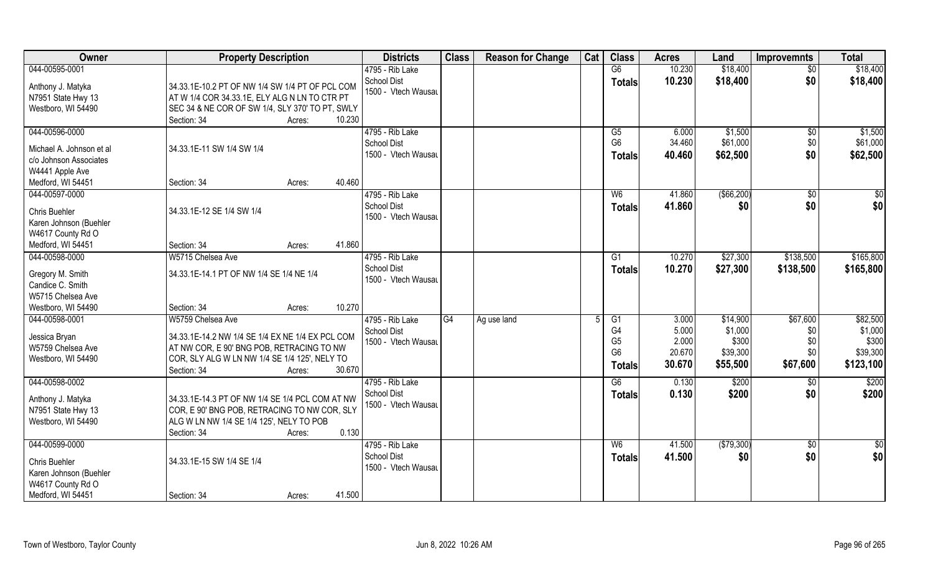| Owner                                                                                               | <b>Property Description</b>                                                                                                                                                                            | <b>Districts</b>                                             | <b>Class</b>    | <b>Reason for Change</b> | Cat | <b>Class</b>                                                              | <b>Acres</b>                                | Land                                                 | <b>Improvemnts</b>                        | <b>Total</b>                                          |
|-----------------------------------------------------------------------------------------------------|--------------------------------------------------------------------------------------------------------------------------------------------------------------------------------------------------------|--------------------------------------------------------------|-----------------|--------------------------|-----|---------------------------------------------------------------------------|---------------------------------------------|------------------------------------------------------|-------------------------------------------|-------------------------------------------------------|
| 044-00595-0001                                                                                      |                                                                                                                                                                                                        | 4795 - Rib Lake                                              |                 |                          |     | G6                                                                        | 10.230                                      | \$18,400                                             | $\overline{50}$                           | \$18,400                                              |
| Anthony J. Matyka<br>N7951 State Hwy 13<br>Westboro, WI 54490                                       | 34.33.1E-10.2 PT OF NW 1/4 SW 1/4 PT OF PCL COM<br>$\vert$ AT W 1/4 COR 34.33.1E, ELY ALG N LN TO CTR PT<br>SEC 34 & NE COR OF SW 1/4, SLY 370' TO PT, SWLY<br>Section: 34<br>10.230<br>Acres:         | <b>School Dist</b><br>1500 - Vtech Wausau                    |                 |                          |     | <b>Totals</b>                                                             | 10.230                                      | \$18,400                                             | \$0                                       | \$18,400                                              |
| 044-00596-0000                                                                                      |                                                                                                                                                                                                        | 4795 - Rib Lake                                              |                 |                          |     | G5                                                                        | 6.000                                       | \$1,500                                              | $\overline{50}$                           | \$1,500                                               |
| Michael A. Johnson et al<br>c/o Johnson Associates<br>W4441 Apple Ave                               | 34.33.1E-11 SW 1/4 SW 1/4                                                                                                                                                                              | <b>School Dist</b><br>1500 - Vtech Wausau                    |                 |                          |     | G <sub>6</sub><br><b>Totals</b>                                           | 34.460<br>40.460                            | \$61,000<br>\$62,500                                 | \$0<br>\$0                                | \$61,000<br>\$62,500                                  |
| Medford, WI 54451                                                                                   | 40.460<br>Section: 34<br>Acres:                                                                                                                                                                        |                                                              |                 |                          |     |                                                                           |                                             |                                                      |                                           |                                                       |
| 044-00597-0000<br>Chris Buehler<br>Karen Johnson (Buehler<br>W4617 County Rd O                      | 34.33.1E-12 SE 1/4 SW 1/4                                                                                                                                                                              | 4795 - Rib Lake<br><b>School Dist</b><br>1500 - Vtech Wausau |                 |                          |     | W <sub>6</sub><br><b>Totals</b>                                           | 41.860<br>41.860                            | $($ \$66,200)<br>\$0                                 | $\sqrt[6]{30}$<br>\$0                     | \$0<br>\$0                                            |
| Medford, WI 54451                                                                                   | 41.860<br>Section: 34<br>Acres:                                                                                                                                                                        |                                                              |                 |                          |     |                                                                           |                                             |                                                      |                                           |                                                       |
| 044-00598-0000                                                                                      | W5715 Chelsea Ave                                                                                                                                                                                      | 4795 - Rib Lake                                              |                 |                          |     | G <sub>1</sub>                                                            | 10.270                                      | \$27,300                                             | \$138,500                                 | \$165,800                                             |
| Gregory M. Smith<br>Candice C. Smith<br>W5715 Chelsea Ave                                           | 34.33.1E-14.1 PT OF NW 1/4 SE 1/4 NE 1/4                                                                                                                                                               | <b>School Dist</b><br>1500 - Vtech Wausau                    |                 |                          |     | <b>Totals</b>                                                             | 10.270                                      | \$27,300                                             | \$138,500                                 | \$165,800                                             |
| Westboro, WI 54490                                                                                  | 10.270<br>Section: 34<br>Acres:                                                                                                                                                                        |                                                              |                 |                          |     |                                                                           |                                             |                                                      |                                           |                                                       |
| 044-00598-0001<br>Jessica Bryan<br>W5759 Chelsea Ave<br>Westboro, WI 54490                          | W5759 Chelsea Ave<br>34.33.1E-14.2 NW 1/4 SE 1/4 EX NE 1/4 EX PCL COM<br>AT NW COR, E 90' BNG POB, RETRACING TO NW<br>COR, SLY ALG W LN NW 1/4 SE 1/4 125', NELY TO<br>Section: 34<br>30.670<br>Acres: | 4795 - Rib Lake<br><b>School Dist</b><br>1500 - Vtech Wausau | $\overline{G4}$ | Ag use land              | 5   | G1<br>G <sub>4</sub><br>G <sub>5</sub><br>G <sub>6</sub><br><b>Totals</b> | 3.000<br>5.000<br>2.000<br>20.670<br>30.670 | \$14,900<br>\$1,000<br>\$300<br>\$39,300<br>\$55,500 | \$67,600<br>\$0<br>\$0<br>\$0<br>\$67,600 | \$82,500<br>\$1,000<br>\$300<br>\$39,300<br>\$123,100 |
| 044-00598-0002                                                                                      |                                                                                                                                                                                                        | 4795 - Rib Lake                                              |                 |                          |     | G6                                                                        | 0.130                                       | \$200                                                | \$0                                       | \$200                                                 |
| Anthony J. Matyka<br>N7951 State Hwy 13<br>Westboro, WI 54490                                       | 34.33.1E-14.3 PT OF NW 1/4 SE 1/4 PCL COM AT NW<br>COR, E 90' BNG POB, RETRACING TO NW COR, SLY<br>ALG W LN NW 1/4 SE 1/4 125', NELY TO POB<br>0.130<br>Section: 34<br>Acres:                          | School Dist<br>1500 - Vtech Wausau                           |                 |                          |     | <b>Totals</b>                                                             | 0.130                                       | \$200                                                | \$0                                       | \$200                                                 |
| 044-00599-0000<br>Chris Buehler<br>Karen Johnson (Buehler<br>W4617 County Rd O<br>Medford, WI 54451 | 34.33.1E-15 SW 1/4 SE 1/4<br>41.500<br>Section: 34<br>Acres:                                                                                                                                           | 4795 - Rib Lake<br><b>School Dist</b><br>1500 - Vtech Wausau |                 |                          |     | W6<br><b>Totals</b>                                                       | 41.500<br>41.500                            | (\$79,300)<br>\$0                                    | $\overline{50}$<br>\$0                    | $\overline{50}$<br>\$0                                |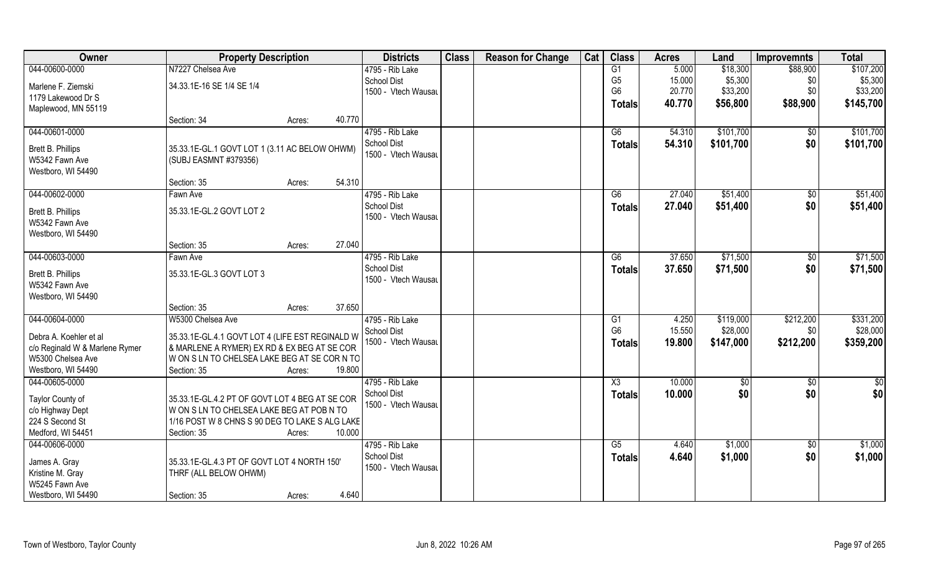| Owner                                | <b>Property Description</b>                     |        |        | <b>Districts</b>    | <b>Class</b> | <b>Reason for Change</b> | Cat | <b>Class</b>   | <b>Acres</b> | Land       | <b>Improvemnts</b> | <b>Total</b>         |
|--------------------------------------|-------------------------------------------------|--------|--------|---------------------|--------------|--------------------------|-----|----------------|--------------|------------|--------------------|----------------------|
| 044-00600-0000                       | N7227 Chelsea Ave                               |        |        | 4795 - Rib Lake     |              |                          |     | G1             | 5.000        | \$18,300   | \$88,900           | \$107,200            |
| Marlene F. Ziemski                   | 34.33.1E-16 SE 1/4 SE 1/4                       |        |        | <b>School Dist</b>  |              |                          |     | G <sub>5</sub> | 15.000       | \$5,300    | \$0                | \$5,300              |
| 1179 Lakewood Dr S                   |                                                 |        |        | 1500 - Vtech Wausau |              |                          |     | G <sub>6</sub> | 20.770       | \$33,200   | \$0                | \$33,200             |
| Maplewood, MN 55119                  |                                                 |        |        |                     |              |                          |     | <b>Totals</b>  | 40.770       | \$56,800   | \$88,900           | \$145,700            |
|                                      | Section: 34                                     | Acres: | 40.770 |                     |              |                          |     |                |              |            |                    |                      |
| 044-00601-0000                       |                                                 |        |        | 4795 - Rib Lake     |              |                          |     | G6             | 54.310       | \$101,700  | \$0                | \$101,700            |
| Brett B. Phillips                    | 35.33.1E-GL.1 GOVT LOT 1 (3.11 AC BELOW OHWM)   |        |        | <b>School Dist</b>  |              |                          |     | <b>Totals</b>  | 54.310       | \$101,700  | \$0                | \$101,700            |
| W5342 Fawn Ave                       | (SUBJ EASMNT #379356)                           |        |        | 1500 - Vtech Wausau |              |                          |     |                |              |            |                    |                      |
| Westboro, WI 54490                   |                                                 |        |        |                     |              |                          |     |                |              |            |                    |                      |
|                                      | Section: 35                                     | Acres: | 54.310 |                     |              |                          |     |                |              |            |                    |                      |
| 044-00602-0000                       | Fawn Ave                                        |        |        | 4795 - Rib Lake     |              |                          |     | G6             | 27.040       | \$51,400   | \$0                | \$51,400             |
| Brett B. Phillips                    | 35.33.1E-GL.2 GOVT LOT 2                        |        |        | <b>School Dist</b>  |              |                          |     | <b>Totals</b>  | 27.040       | \$51,400   | \$0                | \$51,400             |
| W5342 Fawn Ave                       |                                                 |        |        | 1500 - Vtech Wausau |              |                          |     |                |              |            |                    |                      |
| Westboro, WI 54490                   |                                                 |        |        |                     |              |                          |     |                |              |            |                    |                      |
|                                      | Section: 35                                     | Acres: | 27.040 |                     |              |                          |     |                |              |            |                    |                      |
| 044-00603-0000                       | Fawn Ave                                        |        |        | 4795 - Rib Lake     |              |                          |     | G6             | 37.650       | \$71,500   | \$0                | \$71,500             |
| Brett B. Phillips                    | 35.33.1E-GL.3 GOVT LOT 3                        |        |        | <b>School Dist</b>  |              |                          |     | <b>Totals</b>  | 37.650       | \$71,500   | \$0                | \$71,500             |
| W5342 Fawn Ave                       |                                                 |        |        | 1500 - Vtech Wausau |              |                          |     |                |              |            |                    |                      |
| Westboro, WI 54490                   |                                                 |        |        |                     |              |                          |     |                |              |            |                    |                      |
|                                      | Section: 35                                     | Acres: | 37.650 |                     |              |                          |     |                |              |            |                    |                      |
| 044-00604-0000                       | W5300 Chelsea Ave                               |        |        | 4795 - Rib Lake     |              |                          |     | G1             | 4.250        | \$119,000  | \$212,200          | \$331,200            |
|                                      |                                                 |        |        | <b>School Dist</b>  |              |                          |     | G <sub>6</sub> | 15.550       | \$28,000   | \$0                | \$28,000             |
| Debra A. Koehler et al               | 35.33.1E-GL.4.1 GOVT LOT 4 (LIFE EST REGINALD W |        |        | 1500 - Vtech Wausau |              |                          |     | <b>Totals</b>  | 19.800       | \$147,000  | \$212,200          | \$359,200            |
| c/o Reginald W & Marlene Rymer       | & MARLENE A RYMER) EX RD & EX BEG AT SE COR     |        |        |                     |              |                          |     |                |              |            |                    |                      |
| W5300 Chelsea Ave                    | W ON S LN TO CHELSEA LAKE BEG AT SE COR N TO    |        |        |                     |              |                          |     |                |              |            |                    |                      |
| Westboro, WI 54490<br>044-00605-0000 | Section: 35                                     | Acres: | 19.800 | 4795 - Rib Lake     |              |                          |     | X3             |              |            |                    |                      |
|                                      |                                                 |        |        | School Dist         |              |                          |     |                | 10.000       | \$0<br>\$0 | \$0<br>\$0         | $\frac{1}{2}$<br>\$0 |
| Taylor County of                     | 35.33.1E-GL.4.2 PT OF GOVT LOT 4 BEG AT SE COR  |        |        | 1500 - Vtech Wausau |              |                          |     | <b>Totals</b>  | 10.000       |            |                    |                      |
| c/o Highway Dept                     | W ON S LN TO CHELSEA LAKE BEG AT POB N TO       |        |        |                     |              |                          |     |                |              |            |                    |                      |
| 224 S Second St                      | 1/16 POST W 8 CHNS S 90 DEG TO LAKE S ALG LAKE  |        |        |                     |              |                          |     |                |              |            |                    |                      |
| Medford, WI 54451                    | Section: 35                                     | Acres: | 10.000 |                     |              |                          |     |                |              |            |                    |                      |
| 044-00606-0000                       |                                                 |        |        | 4795 - Rib Lake     |              |                          |     | G5             | 4.640        | \$1,000    | $\sqrt[6]{}$       | \$1,000              |
| James A. Gray                        | 35.33.1E-GL.4.3 PT OF GOVT LOT 4 NORTH 150'     |        |        | <b>School Dist</b>  |              |                          |     | <b>Totals</b>  | 4.640        | \$1,000    | \$0                | \$1,000              |
| Kristine M. Gray                     | THRF (ALL BELOW OHWM)                           |        |        | 1500 - Vtech Wausau |              |                          |     |                |              |            |                    |                      |
| W5245 Fawn Ave                       |                                                 |        |        |                     |              |                          |     |                |              |            |                    |                      |
| Westboro, WI 54490                   | Section: 35                                     | Acres: | 4.640  |                     |              |                          |     |                |              |            |                    |                      |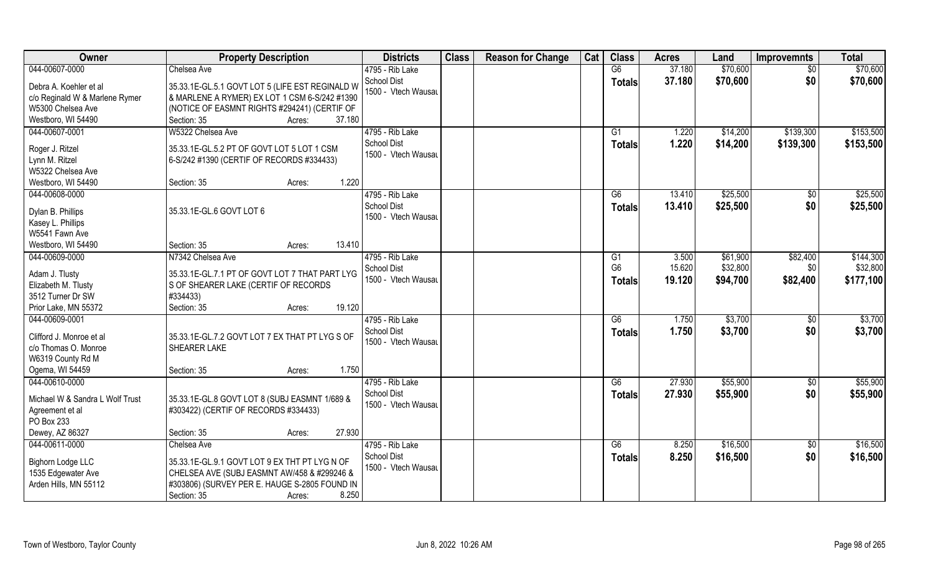| Owner                                            | <b>Property Description</b>                                    | <b>Districts</b>                          | <b>Class</b> | <b>Reason for Change</b> | Cat | <b>Class</b>   | <b>Acres</b>   | Land                 | <b>Improvemnts</b>     | <b>Total</b>           |
|--------------------------------------------------|----------------------------------------------------------------|-------------------------------------------|--------------|--------------------------|-----|----------------|----------------|----------------------|------------------------|------------------------|
| 044-00607-0000                                   | Chelsea Ave                                                    | 4795 - Rib Lake                           |              |                          |     | G6             | 37.180         | \$70,600             | $\overline{50}$        | \$70,600               |
| Debra A. Koehler et al                           | 35.33.1E-GL.5.1 GOVT LOT 5 (LIFE EST REGINALD W                | <b>School Dist</b><br>1500 - Vtech Wausau |              |                          |     | Totals         | 37.180         | \$70,600             | \$0                    | \$70,600               |
| c/o Reginald W & Marlene Rymer                   | & MARLENE A RYMER) EX LOT 1 CSM 6-S/242 #1390                  |                                           |              |                          |     |                |                |                      |                        |                        |
| W5300 Chelsea Ave                                | (NOTICE OF EASMNT RIGHTS #294241) (CERTIF OF                   |                                           |              |                          |     |                |                |                      |                        |                        |
| Westboro, WI 54490                               | 37.180<br>Section: 35<br>Acres:                                |                                           |              |                          |     |                |                |                      |                        |                        |
| 044-00607-0001                                   | W5322 Chelsea Ave                                              | 4795 - Rib Lake<br><b>School Dist</b>     |              |                          |     | G <sub>1</sub> | 1.220<br>1.220 | \$14,200<br>\$14,200 | \$139,300<br>\$139,300 | \$153,500<br>\$153,500 |
| Roger J. Ritzel                                  | 35.33.1E-GL.5.2 PT OF GOVT LOT 5 LOT 1 CSM                     | 1500 - Vtech Wausau                       |              |                          |     | Totals         |                |                      |                        |                        |
| Lynn M. Ritzel                                   | 6-S/242 #1390 (CERTIF OF RECORDS #334433)                      |                                           |              |                          |     |                |                |                      |                        |                        |
| W5322 Chelsea Ave                                |                                                                |                                           |              |                          |     |                |                |                      |                        |                        |
| Westboro, WI 54490                               | 1.220<br>Section: 35<br>Acres:                                 |                                           |              |                          |     |                |                |                      |                        |                        |
| 044-00608-0000                                   |                                                                | 4795 - Rib Lake                           |              |                          |     | G6             | 13.410         | \$25,500             | \$0                    | \$25,500               |
| Dylan B. Phillips                                | 35.33.1E-GL.6 GOVT LOT 6                                       | <b>School Dist</b><br>1500 - Vtech Wausau |              |                          |     | <b>Totals</b>  | 13.410         | \$25,500             | \$0                    | \$25,500               |
| Kasey L. Phillips                                |                                                                |                                           |              |                          |     |                |                |                      |                        |                        |
| W5541 Fawn Ave                                   |                                                                |                                           |              |                          |     |                |                |                      |                        |                        |
| Westboro, WI 54490                               | 13.410<br>Section: 35<br>Acres:                                |                                           |              |                          |     |                |                |                      |                        |                        |
| 044-00609-0000                                   | N7342 Chelsea Ave                                              | 4795 - Rib Lake                           |              |                          |     | G1             | 3.500          | \$61,900             | \$82,400               | \$144,300              |
| Adam J. Tlusty                                   | 35.33.1E-GL.7.1 PT OF GOVT LOT 7 THAT PART LYG                 | <b>School Dist</b>                        |              |                          |     | G <sub>6</sub> | 15.620         | \$32,800             | \$0                    | \$32,800               |
| Elizabeth M. Tlusty                              | S OF SHEARER LAKE (CERTIF OF RECORDS                           | 1500 - Vtech Wausau                       |              |                          |     | <b>Totals</b>  | 19.120         | \$94,700             | \$82,400               | \$177,100              |
| 3512 Turner Dr SW                                | #334433)                                                       |                                           |              |                          |     |                |                |                      |                        |                        |
| Prior Lake, MN 55372                             | 19.120<br>Section: 35<br>Acres:                                |                                           |              |                          |     |                |                |                      |                        |                        |
| 044-00609-0001                                   |                                                                | 4795 - Rib Lake                           |              |                          |     | G6             | 1.750          | \$3,700              | \$0                    | \$3,700                |
|                                                  |                                                                | <b>School Dist</b>                        |              |                          |     | <b>Totals</b>  | 1.750          | \$3,700              | \$0                    | \$3,700                |
| Clifford J. Monroe et al<br>c/o Thomas O. Monroe | 35.33.1E-GL.7.2 GOVT LOT 7 EX THAT PT LYG S OF<br>SHEARER LAKE | 1500 - Vtech Wausau                       |              |                          |     |                |                |                      |                        |                        |
|                                                  |                                                                |                                           |              |                          |     |                |                |                      |                        |                        |
| W6319 County Rd M                                | 1.750                                                          |                                           |              |                          |     |                |                |                      |                        |                        |
| Ogema, WI 54459                                  | Section: 35<br>Acres:                                          |                                           |              |                          |     |                |                |                      |                        |                        |
| 044-00610-0000                                   |                                                                | 4795 - Rib Lake                           |              |                          |     | G6             | 27.930         | \$55,900             | \$0                    | \$55,900               |
| Michael W & Sandra L Wolf Trust                  | 35.33.1E-GL.8 GOVT LOT 8 (SUBJ EASMNT 1/689 &                  | <b>School Dist</b>                        |              |                          |     | <b>Totals</b>  | 27.930         | \$55,900             | \$0                    | \$55,900               |
| Agreement et al                                  | #303422) (CERTIF OF RECORDS #334433)                           | 1500 - Vtech Wausau                       |              |                          |     |                |                |                      |                        |                        |
| PO Box 233                                       |                                                                |                                           |              |                          |     |                |                |                      |                        |                        |
| Dewey, AZ 86327                                  | 27.930<br>Section: 35<br>Acres:                                |                                           |              |                          |     |                |                |                      |                        |                        |
| 044-00611-0000                                   | Chelsea Ave                                                    | 4795 - Rib Lake                           |              |                          |     | G6             | 8.250          | \$16,500             | $\overline{50}$        | \$16,500               |
| Bighorn Lodge LLC                                | 35.33.1E-GL.9.1 GOVT LOT 9 EX THT PT LYG N OF                  | <b>School Dist</b>                        |              |                          |     | <b>Totals</b>  | 8.250          | \$16,500             | \$0                    | \$16,500               |
| 1535 Edgewater Ave                               | CHELSEA AVE (SUBJ EASMNT AW/458 & #299246 &                    | 1500 - Vtech Wausau                       |              |                          |     |                |                |                      |                        |                        |
| Arden Hills, MN 55112                            | #303806) (SURVEY PER E. HAUGE S-2805 FOUND IN                  |                                           |              |                          |     |                |                |                      |                        |                        |
|                                                  | 8.250<br>Section: 35<br>Acres:                                 |                                           |              |                          |     |                |                |                      |                        |                        |
|                                                  |                                                                |                                           |              |                          |     |                |                |                      |                        |                        |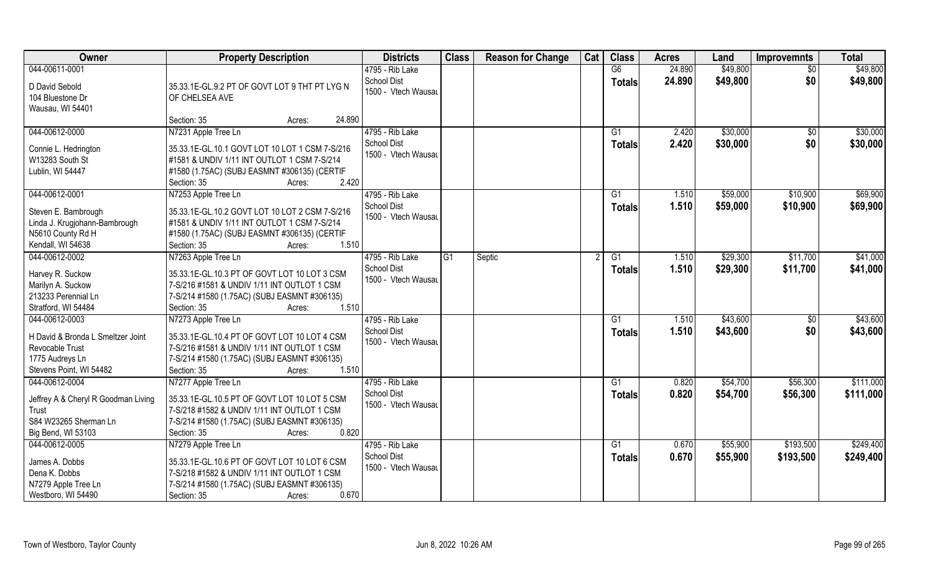| Owner                                   | <b>Property Description</b>                                                                 | <b>Districts</b>    | <b>Class</b>   | <b>Reason for Change</b> | Cat | <b>Class</b>  | <b>Acres</b> | Land     | <b>Improvemnts</b> | <b>Total</b> |
|-----------------------------------------|---------------------------------------------------------------------------------------------|---------------------|----------------|--------------------------|-----|---------------|--------------|----------|--------------------|--------------|
| 044-00611-0001                          |                                                                                             | 4795 - Rib Lake     |                |                          |     | G6            | 24.890       | \$49,800 | \$0                | \$49,800     |
| D David Sebold                          | 35.33.1E-GL.9.2 PT OF GOVT LOT 9 THT PT LYG N                                               | <b>School Dist</b>  |                |                          |     | <b>Totals</b> | 24.890       | \$49,800 | \$0                | \$49,800     |
| 104 Bluestone Dr                        | OF CHELSEA AVE                                                                              | 1500 - Vtech Wausau |                |                          |     |               |              |          |                    |              |
| Wausau, WI 54401                        |                                                                                             |                     |                |                          |     |               |              |          |                    |              |
|                                         | 24.890<br>Section: 35<br>Acres:                                                             |                     |                |                          |     |               |              |          |                    |              |
| 044-00612-0000                          | N7231 Apple Tree Ln                                                                         | 4795 - Rib Lake     |                |                          |     | G1            | 2.420        | \$30,000 | $\overline{50}$    | \$30,000     |
|                                         | 35.33.1E-GL.10.1 GOVT LOT 10 LOT 1 CSM 7-S/216                                              | <b>School Dist</b>  |                |                          |     | Totals        | 2.420        | \$30,000 | \$0                | \$30,000     |
| Connie L. Hedrington<br>W13283 South St | #1581 & UNDIV 1/11 INT OUTLOT 1 CSM 7-S/214                                                 | 1500 - Vtech Wausau |                |                          |     |               |              |          |                    |              |
| Lublin, WI 54447                        | #1580 (1.75AC) (SUBJ EASMNT #306135) (CERTIF                                                |                     |                |                          |     |               |              |          |                    |              |
|                                         | 2.420<br>Section: 35<br>Acres:                                                              |                     |                |                          |     |               |              |          |                    |              |
| 044-00612-0001                          | N7253 Apple Tree Ln                                                                         | 4795 - Rib Lake     |                |                          |     | G1            | 1.510        | \$59,000 | \$10,900           | \$69,900     |
|                                         |                                                                                             | School Dist         |                |                          |     | <b>Totals</b> | 1.510        | \$59,000 | \$10,900           | \$69,900     |
| Steven E. Bambrough                     | 35.33.1E-GL.10.2 GOVT LOT 10 LOT 2 CSM 7-S/216                                              | 1500 - Vtech Wausau |                |                          |     |               |              |          |                    |              |
| Linda J. Krugjohann-Bambrough           | #1581 & UNDIV 1/11 INT OUTLOT 1 CSM 7-S/214                                                 |                     |                |                          |     |               |              |          |                    |              |
| N5610 County Rd H                       | #1580 (1.75AC) (SUBJ EASMNT #306135) (CERTIF                                                |                     |                |                          |     |               |              |          |                    |              |
| Kendall, WI 54638                       | 1.510<br>Section: 35<br>Acres:                                                              |                     |                |                          |     |               |              |          |                    |              |
| 044-00612-0002                          | N7263 Apple Tree Ln                                                                         | 4795 - Rib Lake     | G <sub>1</sub> | Septic                   |     | G1            | 1.510        | \$29,300 | \$11,700           | \$41,000     |
| Harvey R. Suckow                        | 35.33.1E-GL.10.3 PT OF GOVT LOT 10 LOT 3 CSM                                                | School Dist         |                |                          |     | <b>Totals</b> | 1.510        | \$29,300 | \$11,700           | \$41,000     |
| Marilyn A. Suckow                       | 7-S/216 #1581 & UNDIV 1/11 INT OUTLOT 1 CSM                                                 | 1500 - Vtech Wausau |                |                          |     |               |              |          |                    |              |
| 213233 Perennial Ln                     | 7-S/214 #1580 (1.75AC) (SUBJ EASMNT #306135)                                                |                     |                |                          |     |               |              |          |                    |              |
| Stratford, WI 54484                     | 1.510<br>Section: 35<br>Acres:                                                              |                     |                |                          |     |               |              |          |                    |              |
| 044-00612-0003                          | N7273 Apple Tree Ln                                                                         | 4795 - Rib Lake     |                |                          |     | G1            | 1.510        | \$43,600 | \$0                | \$43,600     |
| H David & Bronda L Smeltzer Joint       | 35.33.1E-GL.10.4 PT OF GOVT LOT 10 LOT 4 CSM                                                | School Dist         |                |                          |     | <b>Totals</b> | 1.510        | \$43,600 | \$0                | \$43,600     |
| Revocable Trust                         | 7-S/216 #1581 & UNDIV 1/11 INT OUTLOT 1 CSM                                                 | 1500 - Vtech Wausau |                |                          |     |               |              |          |                    |              |
| 1775 Audreys Ln                         | 7-S/214 #1580 (1.75AC) (SUBJ EASMNT #306135)                                                |                     |                |                          |     |               |              |          |                    |              |
| Stevens Point, WI 54482                 | 1.510<br>Section: 35<br>Acres:                                                              |                     |                |                          |     |               |              |          |                    |              |
| 044-00612-0004                          | N7277 Apple Tree Ln                                                                         | 4795 - Rib Lake     |                |                          |     | G1            | 0.820        | \$54,700 | \$56,300           | \$111,000    |
|                                         |                                                                                             | <b>School Dist</b>  |                |                          |     | <b>Totals</b> | 0.820        | \$54,700 | \$56,300           | \$111,000    |
| Jeffrey A & Cheryl R Goodman Living     | 35.33.1E-GL.10.5 PT OF GOVT LOT 10 LOT 5 CSM<br>7-S/218 #1582 & UNDIV 1/11 INT OUTLOT 1 CSM | 1500 - Vtech Wausau |                |                          |     |               |              |          |                    |              |
| Trust<br>S84 W23265 Sherman Ln          | 7-S/214 #1580 (1.75AC) (SUBJ EASMNT #306135)                                                |                     |                |                          |     |               |              |          |                    |              |
| Big Bend, WI 53103                      | 0.820<br>Section: 35<br>Acres:                                                              |                     |                |                          |     |               |              |          |                    |              |
| 044-00612-0005                          | N7279 Apple Tree Ln                                                                         | 4795 - Rib Lake     |                |                          |     | G1            | 0.670        | \$55,900 | \$193,500          | \$249,400    |
|                                         |                                                                                             | <b>School Dist</b>  |                |                          |     | <b>Totals</b> | 0.670        | \$55,900 | \$193,500          | \$249,400    |
| James A. Dobbs                          | 35.33.1E-GL.10.6 PT OF GOVT LOT 10 LOT 6 CSM                                                | 1500 - Vtech Wausau |                |                          |     |               |              |          |                    |              |
| Dena K. Dobbs                           | 7-S/218 #1582 & UNDIV 1/11 INT OUTLOT 1 CSM                                                 |                     |                |                          |     |               |              |          |                    |              |
| N7279 Apple Tree Ln                     | 7-S/214 #1580 (1.75AC) (SUBJ EASMNT #306135)                                                |                     |                |                          |     |               |              |          |                    |              |
| Westboro, WI 54490                      | 0.670<br>Section: 35<br>Acres:                                                              |                     |                |                          |     |               |              |          |                    |              |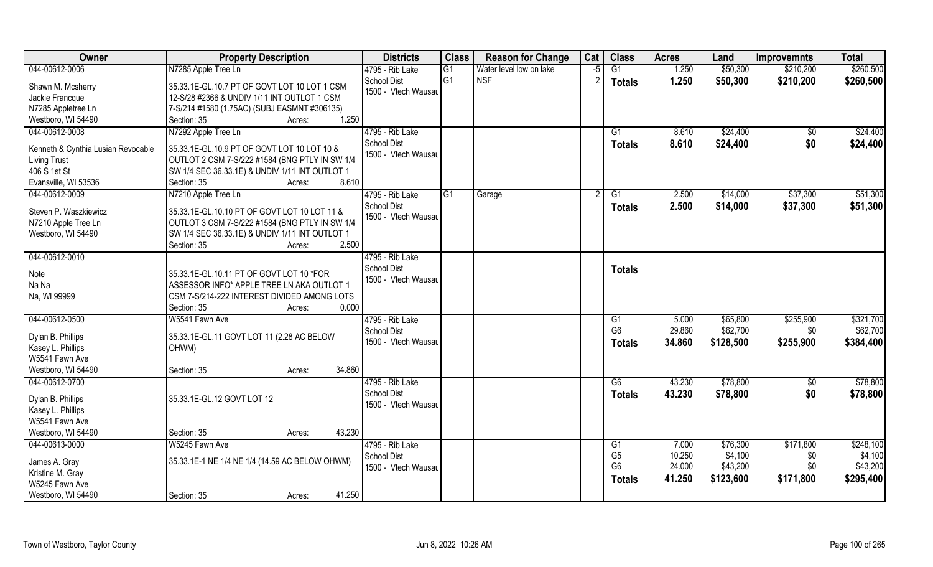| Owner                               | <b>Property Description</b>                                                                      | <b>Districts</b>    | <b>Class</b>   | <b>Reason for Change</b> | Cat  | <b>Class</b>   | <b>Acres</b> | Land      | <b>Improvemnts</b> | <b>Total</b> |
|-------------------------------------|--------------------------------------------------------------------------------------------------|---------------------|----------------|--------------------------|------|----------------|--------------|-----------|--------------------|--------------|
| 044-00612-0006                      | N7285 Apple Tree Ln                                                                              | 4795 - Rib Lake     | G1             | Water level low on lake  | $-5$ | G1             | 1.250        | \$50,300  | \$210,200          | \$260,500    |
| Shawn M. Mcsherry                   | 35.33.1E-GL.10.7 PT OF GOVT LOT 10 LOT 1 CSM                                                     | <b>School Dist</b>  | G <sub>1</sub> | <b>NSF</b>               |      | <b>Totals</b>  | 1.250        | \$50,300  | \$210,200          | \$260,500    |
| Jackie Francque                     | 12-S/28 #2366 & UNDIV 1/11 INT OUTLOT 1 CSM                                                      | 1500 - Vtech Wausau |                |                          |      |                |              |           |                    |              |
| N7285 Appletree Ln                  | 7-S/214 #1580 (1.75AC) (SUBJ EASMNT #306135)                                                     |                     |                |                          |      |                |              |           |                    |              |
| Westboro, WI 54490                  | 1.250<br>Section: 35<br>Acres:                                                                   |                     |                |                          |      |                |              |           |                    |              |
| 044-00612-0008                      | N7292 Apple Tree Ln                                                                              | 4795 - Rib Lake     |                |                          |      | G1             | 8.610        | \$24,400  | $\sqrt{$0}$        | \$24,400     |
|                                     |                                                                                                  | <b>School Dist</b>  |                |                          |      | <b>Totals</b>  | 8.610        | \$24,400  | \$0                | \$24,400     |
| Kenneth & Cynthia Lusian Revocable  | 35.33.1E-GL.10.9 PT OF GOVT LOT 10 LOT 10 &                                                      | 1500 - Vtech Wausau |                |                          |      |                |              |           |                    |              |
| <b>Living Trust</b><br>406 S 1st St | OUTLOT 2 CSM 7-S/222 #1584 (BNG PTLY IN SW 1/4<br>SW 1/4 SEC 36.33.1E) & UNDIV 1/11 INT OUTLOT 1 |                     |                |                          |      |                |              |           |                    |              |
| Evansville, WI 53536                | 8.610<br>Section: 35<br>Acres:                                                                   |                     |                |                          |      |                |              |           |                    |              |
| 044-00612-0009                      | N7210 Apple Tree Ln                                                                              | 4795 - Rib Lake     | G1             |                          |      | G1             | 2.500        | \$14,000  | \$37,300           | \$51,300     |
|                                     |                                                                                                  | <b>School Dist</b>  |                | Garage                   |      |                |              |           |                    |              |
| Steven P. Waszkiewicz               | 35.33.1E-GL.10.10 PT OF GOVT LOT 10 LOT 11 &                                                     | 1500 - Vtech Wausau |                |                          |      | <b>Totals</b>  | 2.500        | \$14,000  | \$37,300           | \$51,300     |
| N7210 Apple Tree Ln                 | OUTLOT 3 CSM 7-S/222 #1584 (BNG PTLY IN SW 1/4                                                   |                     |                |                          |      |                |              |           |                    |              |
| Westboro, WI 54490                  | SW 1/4 SEC 36.33.1E) & UNDIV 1/11 INT OUTLOT 1                                                   |                     |                |                          |      |                |              |           |                    |              |
|                                     | 2.500<br>Section: 35<br>Acres:                                                                   |                     |                |                          |      |                |              |           |                    |              |
| 044-00612-0010                      |                                                                                                  | 4795 - Rib Lake     |                |                          |      |                |              |           |                    |              |
| Note                                | 35.33.1E-GL.10.11 PT OF GOVT LOT 10 *FOR                                                         | <b>School Dist</b>  |                |                          |      | <b>Totals</b>  |              |           |                    |              |
| Na Na                               | ASSESSOR INFO* APPLE TREE LN AKA OUTLOT 1                                                        | 1500 - Vtech Wausau |                |                          |      |                |              |           |                    |              |
| Na, WI 99999                        | CSM 7-S/214-222 INTEREST DIVIDED AMONG LOTS                                                      |                     |                |                          |      |                |              |           |                    |              |
|                                     | 0.000<br>Section: 35<br>Acres:                                                                   |                     |                |                          |      |                |              |           |                    |              |
| 044-00612-0500                      | W5541 Fawn Ave                                                                                   | 4795 - Rib Lake     |                |                          |      | G1             | 5.000        | \$65,800  | \$255,900          | \$321,700    |
|                                     |                                                                                                  | <b>School Dist</b>  |                |                          |      | G <sub>6</sub> | 29.860       | \$62,700  | \$0                | \$62,700     |
| Dylan B. Phillips                   | 35.33.1E-GL.11 GOVT LOT 11 (2.28 AC BELOW                                                        | 1500 - Vtech Wausau |                |                          |      | <b>Totals</b>  | 34.860       | \$128,500 | \$255,900          | \$384,400    |
| Kasey L. Phillips                   | OHWM)                                                                                            |                     |                |                          |      |                |              |           |                    |              |
| W5541 Fawn Ave                      |                                                                                                  |                     |                |                          |      |                |              |           |                    |              |
| Westboro, WI 54490                  | 34.860<br>Section: 35<br>Acres:                                                                  |                     |                |                          |      |                |              |           |                    |              |
| 044-00612-0700                      |                                                                                                  | 4795 - Rib Lake     |                |                          |      | G6             | 43.230       | \$78,800  | \$0                | \$78,800     |
| Dylan B. Phillips                   | 35.33.1E-GL.12 GOVT LOT 12                                                                       | <b>School Dist</b>  |                |                          |      | <b>Totals</b>  | 43.230       | \$78,800  | \$0                | \$78,800     |
| Kasey L. Phillips                   |                                                                                                  | 1500 - Vtech Wausau |                |                          |      |                |              |           |                    |              |
| W5541 Fawn Ave                      |                                                                                                  |                     |                |                          |      |                |              |           |                    |              |
| Westboro, WI 54490                  | 43.230<br>Section: 35<br>Acres:                                                                  |                     |                |                          |      |                |              |           |                    |              |
| 044-00613-0000                      | W5245 Fawn Ave                                                                                   | 4795 - Rib Lake     |                |                          |      | G1             | 7.000        | \$76,300  | \$171,800          | \$248,100    |
|                                     | 35.33.1E-1 NE 1/4 NE 1/4 (14.59 AC BELOW OHWM)                                                   | <b>School Dist</b>  |                |                          |      | G <sub>5</sub> | 10.250       | \$4,100   | \$0                | \$4,100      |
| James A. Gray<br>Kristine M. Gray   |                                                                                                  | 1500 - Vtech Wausau |                |                          |      | G <sub>6</sub> | 24.000       | \$43,200  | \$0                | \$43,200     |
| W5245 Fawn Ave                      |                                                                                                  |                     |                |                          |      | <b>Totals</b>  | 41.250       | \$123,600 | \$171,800          | \$295,400    |
| Westboro, WI 54490                  | 41.250<br>Section: 35<br>Acres:                                                                  |                     |                |                          |      |                |              |           |                    |              |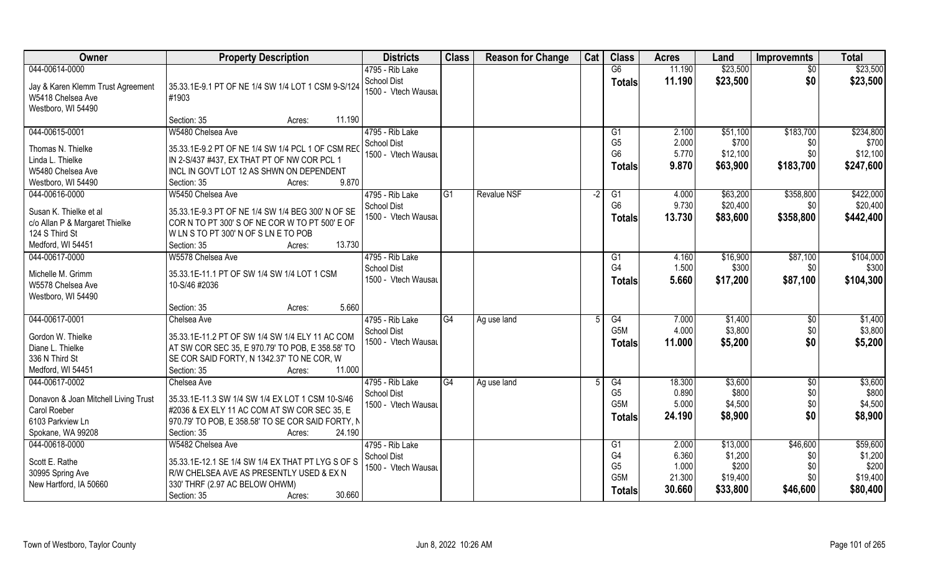| Owner                                  | <b>Property Description</b>                                                             | <b>Districts</b>                          | <b>Class</b> | <b>Reason for Change</b> | Cat  | <b>Class</b>     | <b>Acres</b> | Land     | <b>Improvemnts</b> | <b>Total</b> |
|----------------------------------------|-----------------------------------------------------------------------------------------|-------------------------------------------|--------------|--------------------------|------|------------------|--------------|----------|--------------------|--------------|
| 044-00614-0000                         |                                                                                         | 4795 - Rib Lake                           |              |                          |      | G6               | 11.190       | \$23,500 | \$0                | \$23,500     |
| Jay & Karen Klemm Trust Agreement      | 35.33.1E-9.1 PT OF NE 1/4 SW 1/4 LOT 1 CSM 9-S/124                                      | <b>School Dist</b>                        |              |                          |      | <b>Totals</b>    | 11.190       | \$23,500 | \$0                | \$23,500     |
| W5418 Chelsea Ave                      | #1903                                                                                   | 1500 - Vtech Wausau                       |              |                          |      |                  |              |          |                    |              |
| Westboro, WI 54490                     |                                                                                         |                                           |              |                          |      |                  |              |          |                    |              |
|                                        | Section: 35<br>11.190<br>Acres:                                                         |                                           |              |                          |      |                  |              |          |                    |              |
| 044-00615-0001                         | W5480 Chelsea Ave                                                                       | 4795 - Rib Lake                           |              |                          |      | G <sub>1</sub>   | 2.100        | \$51,100 | \$183,700          | \$234,800    |
|                                        |                                                                                         | <b>School Dist</b>                        |              |                          |      | G <sub>5</sub>   | 2.000        | \$700    | \$0                | \$700        |
| Thomas N. Thielke<br>Linda L. Thielke  | 35.33.1E-9.2 PT OF NE 1/4 SW 1/4 PCL 1 OF CSM REC                                       | 1500 - Vtech Wausau                       |              |                          |      | G <sub>6</sub>   | 5.770        | \$12,100 | \$0                | \$12,100     |
| W5480 Chelsea Ave                      | IN 2-S/437 #437, EX THAT PT OF NW COR PCL 1<br>INCL IN GOVT LOT 12 AS SHWN ON DEPENDENT |                                           |              |                          |      | <b>Totals</b>    | 9.870        | \$63,900 | \$183,700          | \$247,600    |
| Westboro, WI 54490                     | 9.870<br>Section: 35                                                                    |                                           |              |                          |      |                  |              |          |                    |              |
|                                        | Acres:                                                                                  |                                           |              |                          |      |                  |              |          |                    |              |
| 044-00616-0000                         | W5450 Chelsea Ave                                                                       | 4795 - Rib Lake                           | G1           | <b>Revalue NSF</b>       | $-2$ | G1               | 4.000        | \$63,200 | \$358,800          | \$422,000    |
| Susan K. Thielke et al                 | 35.33.1E-9.3 PT OF NE 1/4 SW 1/4 BEG 300' N OF SE                                       | <b>School Dist</b><br>1500 - Vtech Wausau |              |                          |      | G <sub>6</sub>   | 9.730        | \$20,400 | \$0                | \$20,400     |
| c/o Allan P & Margaret Thielke         | COR N TO PT 300'S OF NE COR W TO PT 500'E OF                                            |                                           |              |                          |      | <b>Totals</b>    | 13.730       | \$83,600 | \$358,800          | \$442,400    |
| 124 S Third St                         | WLN S TO PT 300' N OF S LN E TO POB                                                     |                                           |              |                          |      |                  |              |          |                    |              |
| Medford, WI 54451                      | 13.730<br>Section: 35<br>Acres:                                                         |                                           |              |                          |      |                  |              |          |                    |              |
| 044-00617-0000                         | W5578 Chelsea Ave                                                                       | 4795 - Rib Lake                           |              |                          |      | G1               | 4.160        | \$16,900 | \$87,100           | \$104,000    |
|                                        |                                                                                         | <b>School Dist</b>                        |              |                          |      | G <sub>4</sub>   | 1.500        | \$300    | \$0                | \$300        |
| Michelle M. Grimm<br>W5578 Chelsea Ave | 35.33.1E-11.1 PT OF SW 1/4 SW 1/4 LOT 1 CSM<br>10-S/46 #2036                            | 1500 - Vtech Wausau                       |              |                          |      | <b>Totals</b>    | 5.660        | \$17,200 | \$87,100           | \$104,300    |
| Westboro, WI 54490                     |                                                                                         |                                           |              |                          |      |                  |              |          |                    |              |
|                                        | 5.660<br>Section: 35<br>Acres:                                                          |                                           |              |                          |      |                  |              |          |                    |              |
| 044-00617-0001                         | Chelsea Ave                                                                             | 4795 - Rib Lake                           | G4           | Ag use land              |      | G4               | 7.000        | \$1,400  | \$0                | \$1,400      |
|                                        |                                                                                         | <b>School Dist</b>                        |              |                          |      | G <sub>5</sub> M | 4.000        | \$3,800  | \$0                | \$3,800      |
| Gordon W. Thielke                      | 35.33.1E-11.2 PT OF SW 1/4 SW 1/4 ELY 11 AC COM                                         | 1500 - Vtech Wausau                       |              |                          |      |                  | 11.000       | \$5,200  | \$0                | \$5,200      |
| Diane L. Thielke                       | AT SW COR SEC 35, E 970.79' TO POB, E 358.58' TO                                        |                                           |              |                          |      | <b>Totals</b>    |              |          |                    |              |
| 336 N Third St                         | SE COR SAID FORTY, N 1342.37' TO NE COR, W                                              |                                           |              |                          |      |                  |              |          |                    |              |
| Medford, WI 54451                      | Section: 35<br>11.000<br>Acres:                                                         |                                           |              |                          |      |                  |              |          |                    |              |
| 044-00617-0002                         | Chelsea Ave                                                                             | 4795 - Rib Lake                           | G4           | Ag use land              |      | G4               | 18.300       | \$3,600  | \$0                | \$3,600      |
| Donavon & Joan Mitchell Living Trust   | 35.33.1E-11.3 SW 1/4 SW 1/4 EX LOT 1 CSM 10-S/46                                        | School Dist                               |              |                          |      | G <sub>5</sub>   | 0.890        | \$800    | \$0                | \$800        |
| Carol Roeber                           | #2036 & EX ELY 11 AC COM AT SW COR SEC 35, E                                            | 1500 - Vtech Wausau                       |              |                          |      | G5M              | 5.000        | \$4,500  | \$0                | \$4,500      |
| 6103 Parkview Ln                       | 970.79' TO POB, E 358.58' TO SE COR SAID FORTY, N                                       |                                           |              |                          |      | Totals           | 24.190       | \$8,900  | \$0                | \$8,900      |
| Spokane, WA 99208                      | 24.190<br>Section: 35<br>Acres:                                                         |                                           |              |                          |      |                  |              |          |                    |              |
| 044-00618-0000                         | W5482 Chelsea Ave                                                                       | 4795 - Rib Lake                           |              |                          |      | G <sub>1</sub>   | 2.000        | \$13,000 | \$46,600           | \$59,600     |
|                                        |                                                                                         | <b>School Dist</b>                        |              |                          |      | G4               | 6.360        | \$1,200  | \$0                | \$1,200      |
| Scott E. Rathe                         | 35.33.1E-12.1 SE 1/4 SW 1/4 EX THAT PT LYG S OF S                                       | 1500 - Vtech Wausau                       |              |                          |      | G <sub>5</sub>   | 1.000        | \$200    | \$0                | \$200        |
| 30995 Spring Ave                       | R/W CHELSEA AVE AS PRESENTLY USED & EX N                                                |                                           |              |                          |      | G5M              | 21.300       | \$19,400 | \$0                | \$19,400     |
| New Hartford, IA 50660                 | 330' THRF (2.97 AC BELOW OHWM)                                                          |                                           |              |                          |      | <b>Totals</b>    | 30.660       | \$33,800 | \$46,600           | \$80,400     |
|                                        | 30.660<br>Section: 35<br>Acres:                                                         |                                           |              |                          |      |                  |              |          |                    |              |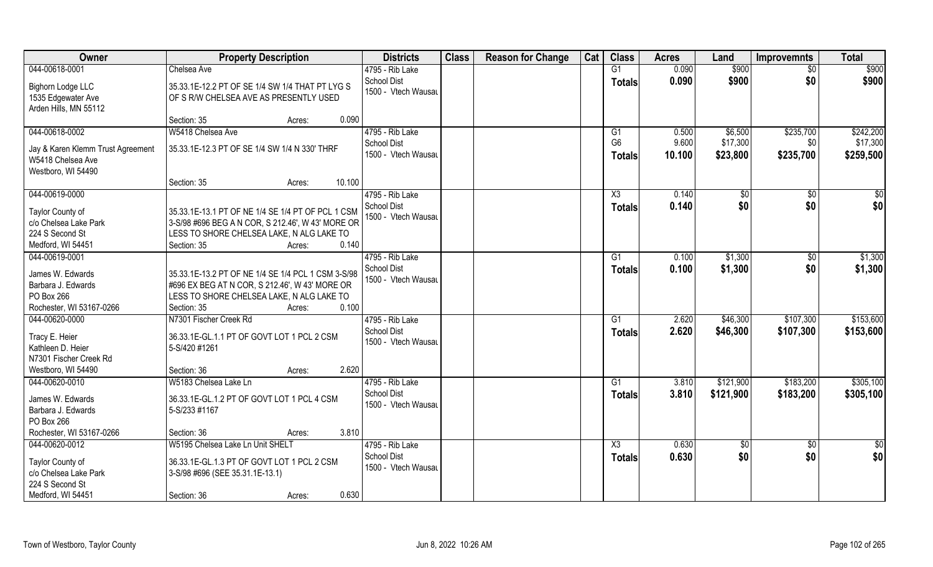| Owner                                                            | <b>Property Description</b>                                                                          | <b>Districts</b>                          | <b>Class</b> | <b>Reason for Change</b> | Cat | <b>Class</b>                    | <b>Acres</b>    | Land                 | <b>Improvemnts</b> | <b>Total</b>          |
|------------------------------------------------------------------|------------------------------------------------------------------------------------------------------|-------------------------------------------|--------------|--------------------------|-----|---------------------------------|-----------------|----------------------|--------------------|-----------------------|
| 044-00618-0001                                                   | Chelsea Ave                                                                                          | 4795 - Rib Lake                           |              |                          |     | G1                              | 0.090           | \$900                | \$0                | \$900                 |
| Bighorn Lodge LLC<br>1535 Edgewater Ave<br>Arden Hills, MN 55112 | 35.33.1E-12.2 PT OF SE 1/4 SW 1/4 THAT PT LYG S<br>OF S R/W CHELSEA AVE AS PRESENTLY USED            | <b>School Dist</b><br>1500 - Vtech Wausau |              |                          |     | <b>Totals</b>                   | 0.090           | \$900                | \$0                | \$900                 |
|                                                                  | 0.090<br>Section: 35<br>Acres:                                                                       |                                           |              |                          |     |                                 |                 |                      |                    |                       |
| 044-00618-0002                                                   | W5418 Chelsea Ave                                                                                    | 4795 - Rib Lake                           |              |                          |     | G1                              | 0.500           | \$6,500              | \$235,700          | \$242,200             |
| Jay & Karen Klemm Trust Agreement<br>W5418 Chelsea Ave           | 35.33.1E-12.3 PT OF SE 1/4 SW 1/4 N 330' THRF                                                        | <b>School Dist</b><br>1500 - Vtech Wausau |              |                          |     | G <sub>6</sub><br><b>Totals</b> | 9.600<br>10.100 | \$17,300<br>\$23,800 | \$0<br>\$235,700   | \$17,300<br>\$259,500 |
| Westboro, WI 54490                                               | 10.100<br>Section: 35<br>Acres:                                                                      |                                           |              |                          |     |                                 |                 |                      |                    |                       |
| 044-00619-0000                                                   |                                                                                                      | 4795 - Rib Lake                           |              |                          |     | X3                              | 0.140           | \$0                  | $\sqrt{50}$        | $\sqrt{50}$           |
| Taylor County of                                                 | 35.33.1E-13.1 PT OF NE 1/4 SE 1/4 PT OF PCL 1 CSM                                                    | <b>School Dist</b><br>1500 - Vtech Wausau |              |                          |     | <b>Totals</b>                   | 0.140           | \$0                  | \$0                | \$0                   |
| c/o Chelsea Lake Park<br>224 S Second St                         | 3-S/98 #696 BEG A N COR, S 212.46', W 43' MORE OR<br>LESS TO SHORE CHELSEA LAKE, N ALG LAKE TO       |                                           |              |                          |     |                                 |                 |                      |                    |                       |
| Medford, WI 54451                                                | 0.140<br>Section: 35<br>Acres:                                                                       |                                           |              |                          |     |                                 |                 |                      |                    |                       |
| 044-00619-0001                                                   |                                                                                                      | 4795 - Rib Lake                           |              |                          |     | G1                              | 0.100           | \$1,300              | \$0                | \$1,300               |
| James W. Edwards<br>Barbara J. Edwards                           | 35.33.1E-13.2 PT OF NE 1/4 SE 1/4 PCL 1 CSM 3-S/98<br>#696 EX BEG AT N COR, S 212.46', W 43' MORE OR | <b>School Dist</b><br>1500 - Vtech Wausau |              |                          |     | Totals                          | 0.100           | \$1,300              | \$0                | \$1,300               |
| PO Box 266                                                       | LESS TO SHORE CHELSEA LAKE, N ALG LAKE TO                                                            |                                           |              |                          |     |                                 |                 |                      |                    |                       |
| Rochester, WI 53167-0266                                         | 0.100<br>Section: 35<br>Acres:                                                                       |                                           |              |                          |     |                                 |                 |                      |                    |                       |
| 044-00620-0000                                                   | N7301 Fischer Creek Rd                                                                               | 4795 - Rib Lake                           |              |                          |     | G1                              | 2.620           | \$46,300             | \$107,300          | \$153,600             |
| Tracy E. Heier<br>Kathleen D. Heier<br>N7301 Fischer Creek Rd    | 36.33.1E-GL.1.1 PT OF GOVT LOT 1 PCL 2 CSM<br>5-S/420 #1261                                          | <b>School Dist</b><br>1500 - Vtech Wausau |              |                          |     | Totals                          | 2.620           | \$46,300             | \$107,300          | \$153,600             |
| Westboro, WI 54490                                               | 2.620<br>Section: 36<br>Acres:                                                                       |                                           |              |                          |     |                                 |                 |                      |                    |                       |
| 044-00620-0010                                                   | W5183 Chelsea Lake Ln                                                                                | 4795 - Rib Lake                           |              |                          |     | G1                              | 3.810           | \$121,900            | \$183,200          | \$305,100             |
| James W. Edwards<br>Barbara J. Edwards<br>PO Box 266             | 36.33.1E-GL.1.2 PT OF GOVT LOT 1 PCL 4 CSM<br>5-S/233 #1167                                          | <b>School Dist</b><br>1500 - Vtech Wausau |              |                          |     | <b>Totals</b>                   | 3.810           | \$121,900            | \$183,200          | \$305,100             |
| Rochester, WI 53167-0266                                         | 3.810<br>Section: 36<br>Acres:                                                                       |                                           |              |                          |     |                                 |                 |                      |                    |                       |
| 044-00620-0012                                                   | W5195 Chelsea Lake Ln Unit SHELT                                                                     | 4795 - Rib Lake                           |              |                          |     | X3                              | 0.630           | \$0                  | $\sqrt{$0}$        | \$0                   |
| Taylor County of<br>c/o Chelsea Lake Park<br>224 S Second St     | 36.33.1E-GL.1.3 PT OF GOVT LOT 1 PCL 2 CSM<br>3-S/98 #696 (SEE 35.31.1E-13.1)                        | <b>School Dist</b><br>1500 - Vtech Wausau |              |                          |     | <b>Totals</b>                   | 0.630           | \$0                  | \$0                | \$0                   |
| Medford, WI 54451                                                | 0.630<br>Section: 36<br>Acres:                                                                       |                                           |              |                          |     |                                 |                 |                      |                    |                       |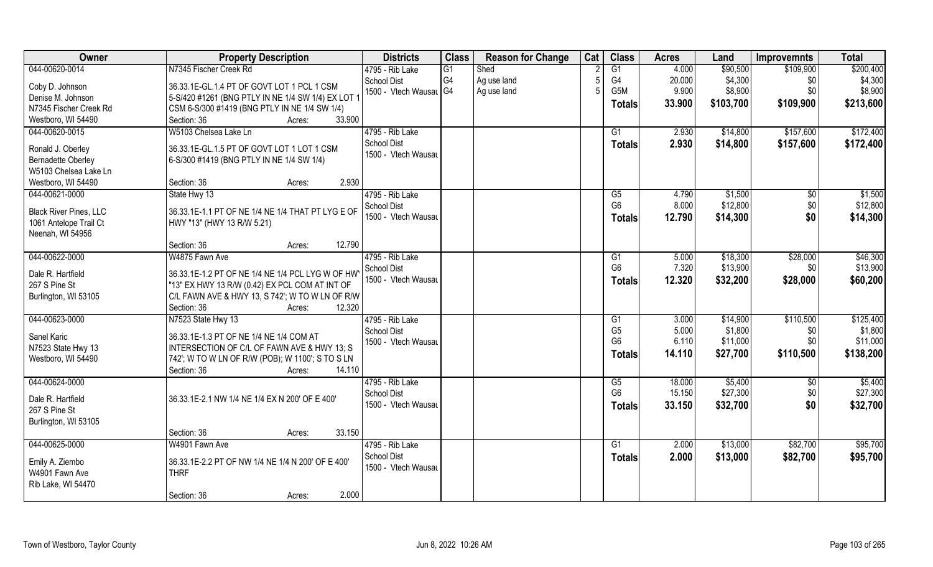| Owner                         | <b>Property Description</b>                        | <b>Districts</b>       | <b>Class</b>   | <b>Reason for Change</b> | Cat | <b>Class</b>     | <b>Acres</b> | Land      | <b>Improvemnts</b> | <b>Total</b> |
|-------------------------------|----------------------------------------------------|------------------------|----------------|--------------------------|-----|------------------|--------------|-----------|--------------------|--------------|
| 044-00620-0014                | N7345 Fischer Creek Rd                             | 4795 - Rib Lake        | G1             | Shed                     |     | $\overline{G1}$  | 4.000        | \$90,500  | \$109,900          | \$200,400    |
| Coby D. Johnson               | 36.33.1E-GL.1.4 PT OF GOVT LOT 1 PCL 1 CSM         | <b>School Dist</b>     | G <sub>4</sub> | Ag use land              |     | G4               | 20.000       | \$4,300   | \$0                | \$4,300      |
| Denise M. Johnson             | 5-S/420 #1261 (BNG PTLY IN NE 1/4 SW 1/4) EX LOT 1 | 1500 - Vtech Wausal G4 |                | Ag use land              |     | G <sub>5</sub> M | 9.900        | \$8,900   | \$0                | \$8,900      |
| N7345 Fischer Creek Rd        | CSM 6-S/300 #1419 (BNG PTLY IN NE 1/4 SW 1/4)      |                        |                |                          |     | <b>Totals</b>    | 33.900       | \$103,700 | \$109,900          | \$213,600    |
| Westboro, WI 54490            | 33.900<br>Section: 36<br>Acres:                    |                        |                |                          |     |                  |              |           |                    |              |
| 044-00620-0015                | W5103 Chelsea Lake Ln                              | 4795 - Rib Lake        |                |                          |     | G <sub>1</sub>   | 2.930        | \$14,800  | \$157,600          | \$172,400    |
|                               |                                                    | <b>School Dist</b>     |                |                          |     | <b>Totals</b>    | 2.930        | \$14,800  | \$157,600          | \$172,400    |
| Ronald J. Oberley             | 36.33.1E-GL.1.5 PT OF GOVT LOT 1 LOT 1 CSM         | 1500 - Vtech Wausau    |                |                          |     |                  |              |           |                    |              |
| <b>Bernadette Oberley</b>     | 6-S/300 #1419 (BNG PTLY IN NE 1/4 SW 1/4)          |                        |                |                          |     |                  |              |           |                    |              |
| W5103 Chelsea Lake Ln         |                                                    |                        |                |                          |     |                  |              |           |                    |              |
| Westboro, WI 54490            | 2.930<br>Section: 36<br>Acres:                     |                        |                |                          |     |                  |              |           |                    |              |
| 044-00621-0000                | State Hwy 13                                       | 4795 - Rib Lake        |                |                          |     | G5               | 4.790        | \$1,500   | $\sqrt[6]{}$       | \$1,500      |
| <b>Black River Pines, LLC</b> | 36.33.1E-1.1 PT OF NE 1/4 NE 1/4 THAT PT LYG E OF  | <b>School Dist</b>     |                |                          |     | G <sub>6</sub>   | 8.000        | \$12,800  | \$0                | \$12,800     |
| 1061 Antelope Trail Ct        | HWY "13" (HWY 13 R/W 5.21)                         | 1500 - Vtech Wausau    |                |                          |     | <b>Totals</b>    | 12.790       | \$14,300  | \$0                | \$14,300     |
| Neenah, WI 54956              |                                                    |                        |                |                          |     |                  |              |           |                    |              |
|                               | 12.790<br>Section: 36<br>Acres:                    |                        |                |                          |     |                  |              |           |                    |              |
| 044-00622-0000                | W4875 Fawn Ave                                     | 4795 - Rib Lake        |                |                          |     | G1               | 5.000        | \$18,300  | \$28,000           | \$46,300     |
|                               |                                                    | <b>School Dist</b>     |                |                          |     | G <sub>6</sub>   | 7.320        | \$13,900  | \$0                | \$13,900     |
| Dale R. Hartfield             | 36.33.1E-1.2 PT OF NE 1/4 NE 1/4 PCL LYG W OF HW   | 1500 - Vtech Wausau    |                |                          |     | <b>Totals</b>    | 12.320       | \$32,200  | \$28,000           | \$60,200     |
| 267 S Pine St                 | "13" EX HWY 13 R/W (0.42) EX PCL COM AT INT OF     |                        |                |                          |     |                  |              |           |                    |              |
| Burlington, WI 53105          | C/L FAWN AVE & HWY 13, S 742'; W TO W LN OF R/W    |                        |                |                          |     |                  |              |           |                    |              |
|                               | 12.320<br>Section: 36<br>Acres:                    |                        |                |                          |     |                  |              |           |                    |              |
| 044-00623-0000                | N7523 State Hwy 13                                 | 4795 - Rib Lake        |                |                          |     | G1               | 3.000        | \$14,900  | \$110,500          | \$125,400    |
| Sanel Karic                   | 36.33.1E-1.3 PT OF NE 1/4 NE 1/4 COM AT            | <b>School Dist</b>     |                |                          |     | G <sub>5</sub>   | 5.000        | \$1,800   | \$0                | \$1,800      |
| N7523 State Hwy 13            | INTERSECTION OF C/L OF FAWN AVE & HWY 13; S        | 1500 - Vtech Wausau    |                |                          |     | G <sub>6</sub>   | 6.110        | \$11,000  | \$0                | \$11,000     |
| Westboro, WI 54490            | 742'; W TO W LN OF R/W (POB); W 1100'; S TO S LN   |                        |                |                          |     | <b>Totals</b>    | 14.110       | \$27,700  | \$110,500          | \$138,200    |
|                               | 14.110<br>Section: 36<br>Acres:                    |                        |                |                          |     |                  |              |           |                    |              |
| 044-00624-0000                |                                                    | 4795 - Rib Lake        |                |                          |     | G5               | 18.000       | \$5,400   | \$0                | \$5,400      |
|                               |                                                    | <b>School Dist</b>     |                |                          |     | G <sub>6</sub>   | 15.150       | \$27,300  | \$0                | \$27,300     |
| Dale R. Hartfield             | 36.33.1E-2.1 NW 1/4 NE 1/4 EX N 200' OF E 400'     | 1500 - Vtech Wausau    |                |                          |     | <b>Totals</b>    | 33.150       | \$32,700  | \$0                | \$32,700     |
| 267 S Pine St                 |                                                    |                        |                |                          |     |                  |              |           |                    |              |
| Burlington, WI 53105          |                                                    |                        |                |                          |     |                  |              |           |                    |              |
|                               | 33.150<br>Section: 36<br>Acres:                    |                        |                |                          |     |                  |              |           |                    |              |
| 044-00625-0000                | W4901 Fawn Ave                                     | 4795 - Rib Lake        |                |                          |     | G1               | 2.000        | \$13,000  | \$82,700           | \$95,700     |
| Emily A. Ziembo               | 36.33.1E-2.2 PT OF NW 1/4 NE 1/4 N 200' OF E 400'  | <b>School Dist</b>     |                |                          |     | <b>Totals</b>    | 2.000        | \$13,000  | \$82,700           | \$95,700     |
| W4901 Fawn Ave                | <b>THRF</b>                                        | 1500 - Vtech Wausau    |                |                          |     |                  |              |           |                    |              |
| Rib Lake, WI 54470            |                                                    |                        |                |                          |     |                  |              |           |                    |              |
|                               | 2.000<br>Section: 36<br>Acres:                     |                        |                |                          |     |                  |              |           |                    |              |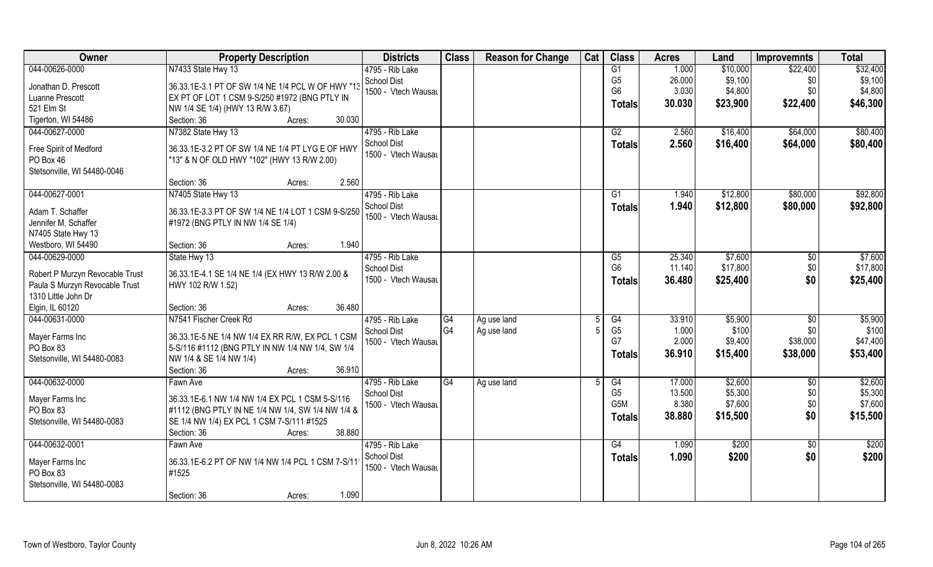| Owner                           | <b>Property Description</b>                        | <b>Districts</b>    | <b>Class</b>         | <b>Reason for Change</b> | Cat | <b>Class</b>     | <b>Acres</b> | Land     | <b>Improvemnts</b> | <b>Total</b> |
|---------------------------------|----------------------------------------------------|---------------------|----------------------|--------------------------|-----|------------------|--------------|----------|--------------------|--------------|
| 044-00626-0000                  | N7433 State Hwy 13                                 | 4795 - Rib Lake     |                      |                          |     | G1               | 1.000        | \$10,000 | \$22,400           | \$32,400     |
| Jonathan D. Prescott            | 36.33.1E-3.1 PT OF SW 1/4 NE 1/4 PCL W OF HWY "13  | <b>School Dist</b>  |                      |                          |     | G <sub>5</sub>   | 26.000       | \$9,100  | \$0                | \$9,100      |
| Luanne Prescott                 | EX PT OF LOT 1 CSM 9-S/250 #1972 (BNG PTLY IN      | 1500 - Vtech Wausau |                      |                          |     | G <sub>6</sub>   | 3.030        | \$4,800  | \$0                | \$4,800      |
| 521 Elm St                      | NW 1/4 SE 1/4) (HWY 13 R/W 3.67)                   |                     |                      |                          |     | <b>Totals</b>    | 30.030       | \$23,900 | \$22,400           | \$46,300     |
| Tigerton, WI 54486              | 30.030<br>Section: 36<br>Acres:                    |                     |                      |                          |     |                  |              |          |                    |              |
| 044-00627-0000                  | N7382 State Hwy 13                                 | 4795 - Rib Lake     |                      |                          |     | G2               | 2.560        | \$16,400 | \$64,000           | \$80,400     |
|                                 |                                                    | <b>School Dist</b>  |                      |                          |     | Totals           | 2.560        | \$16,400 | \$64,000           | \$80,400     |
| Free Spirit of Medford          | 36.33.1E-3.2 PT OF SW 1/4 NE 1/4 PT LYG E OF HWY   | 1500 - Vtech Wausau |                      |                          |     |                  |              |          |                    |              |
| PO Box 46                       | "13" & N OF OLD HWY "102" (HWY 13 R/W 2.00)        |                     |                      |                          |     |                  |              |          |                    |              |
| Stetsonville, WI 54480-0046     |                                                    |                     |                      |                          |     |                  |              |          |                    |              |
|                                 | 2.560<br>Section: 36<br>Acres:                     |                     |                      |                          |     |                  |              |          |                    |              |
| 044-00627-0001                  | N7405 State Hwy 13                                 | 4795 - Rib Lake     |                      |                          |     | G1               | 1.940        | \$12,800 | \$80,000           | \$92,800     |
| Adam T. Schaffer                | 36.33.1E-3.3 PT OF SW 1/4 NE 1/4 LOT 1 CSM 9-S/250 | <b>School Dist</b>  |                      |                          |     | <b>Totals</b>    | 1.940        | \$12,800 | \$80,000           | \$92,800     |
| Jennifer M. Schaffer            | #1972 (BNG PTLY IN NW 1/4 SE 1/4)                  | 1500 - Vtech Wausau |                      |                          |     |                  |              |          |                    |              |
| N7405 State Hwy 13              |                                                    |                     |                      |                          |     |                  |              |          |                    |              |
| Westboro, WI 54490              | 1.940<br>Section: 36<br>Acres:                     |                     |                      |                          |     |                  |              |          |                    |              |
| 044-00629-0000                  | State Hwy 13                                       | 4795 - Rib Lake     |                      |                          |     | G5               | 25.340       | \$7,600  | \$0                | \$7,600      |
|                                 |                                                    | <b>School Dist</b>  |                      |                          |     | G <sub>6</sub>   | 11.140       | \$17,800 | \$0                | \$17,800     |
| Robert P Murzyn Revocable Trust | 36.33.1E-4.1 SE 1/4 NE 1/4 (EX HWY 13 R/W 2.00 &   | 1500 - Vtech Wausau |                      |                          |     | <b>Totals</b>    | 36.480       | \$25,400 | \$0                | \$25,400     |
| Paula S Murzyn Revocable Trust  | HWY 102 R/W 1.52)                                  |                     |                      |                          |     |                  |              |          |                    |              |
| 1310 Little John Dr             |                                                    |                     |                      |                          |     |                  |              |          |                    |              |
| Elgin, IL 60120                 | 36.480<br>Section: 36<br>Acres:                    |                     |                      |                          |     |                  |              |          |                    |              |
| 044-00631-0000                  | N7541 Fischer Creek Rd                             | 4795 - Rib Lake     | G4<br>G <sub>4</sub> | Ag use land              |     | G4               | 33.910       | \$5,900  | \$0                | \$5,900      |
| Mayer Farms Inc                 | 36.33.1E-5 NE 1/4 NW 1/4 EX RR R/W, EX PCL 1 CSM   | <b>School Dist</b>  |                      | Ag use land              |     | G <sub>5</sub>   | 1.000        | \$100    | \$0                | \$100        |
| PO Box 83                       | 5-S/116 #1112 (BNG PTLY IN NW 1/4 NW 1/4, SW 1/4   | 1500 - Vtech Wausau |                      |                          |     | G7               | 2.000        | \$9,400  | \$38,000           | \$47,400     |
| Stetsonville, WI 54480-0083     | NW 1/4 & SE 1/4 NW 1/4)                            |                     |                      |                          |     | <b>Totals</b>    | 36.910       | \$15,400 | \$38,000           | \$53,400     |
|                                 | Section: 36<br>36.910<br>Acres:                    |                     |                      |                          |     |                  |              |          |                    |              |
| 044-00632-0000                  | Fawn Ave                                           | 4795 - Rib Lake     | G4                   | Ag use land              |     | G4               | 17.000       | \$2,600  | $\overline{50}$    | \$2,600      |
|                                 | 36.33.1E-6.1 NW 1/4 NW 1/4 EX PCL 1 CSM 5-S/116    | <b>School Dist</b>  |                      |                          |     | G <sub>5</sub>   | 13.500       | \$5,300  | \$0                | \$5,300      |
| Mayer Farms Inc<br>PO Box 83    | #1112 (BNG PTLY IN NE 1/4 NW 1/4, SW 1/4 NW 1/4 &  | 1500 - Vtech Wausau |                      |                          |     | G <sub>5</sub> M | 8.380        | \$7,600  | \$0                | \$7,600      |
| Stetsonville, WI 54480-0083     | SE 1/4 NW 1/4) EX PCL 1 CSM 7-S/111 #1525          |                     |                      |                          |     | Totals           | 38.880       | \$15,500 | \$0                | \$15,500     |
|                                 | 38.880<br>Section: 36<br>Acres:                    |                     |                      |                          |     |                  |              |          |                    |              |
| 044-00632-0001                  | Fawn Ave                                           | 4795 - Rib Lake     |                      |                          |     | G4               | 1.090        | \$200    | $\overline{50}$    | \$200        |
|                                 |                                                    | School Dist         |                      |                          |     |                  | 1.090        | \$200    | \$0                | \$200        |
| Mayer Farms Inc                 | 36.33.1E-6.2 PT OF NW 1/4 NW 1/4 PCL 1 CSM 7-S/11  | 1500 - Vtech Wausau |                      |                          |     | <b>Totals</b>    |              |          |                    |              |
| PO Box 83                       | #1525                                              |                     |                      |                          |     |                  |              |          |                    |              |
| Stetsonville, WI 54480-0083     |                                                    |                     |                      |                          |     |                  |              |          |                    |              |
|                                 | 1.090<br>Section: 36<br>Acres:                     |                     |                      |                          |     |                  |              |          |                    |              |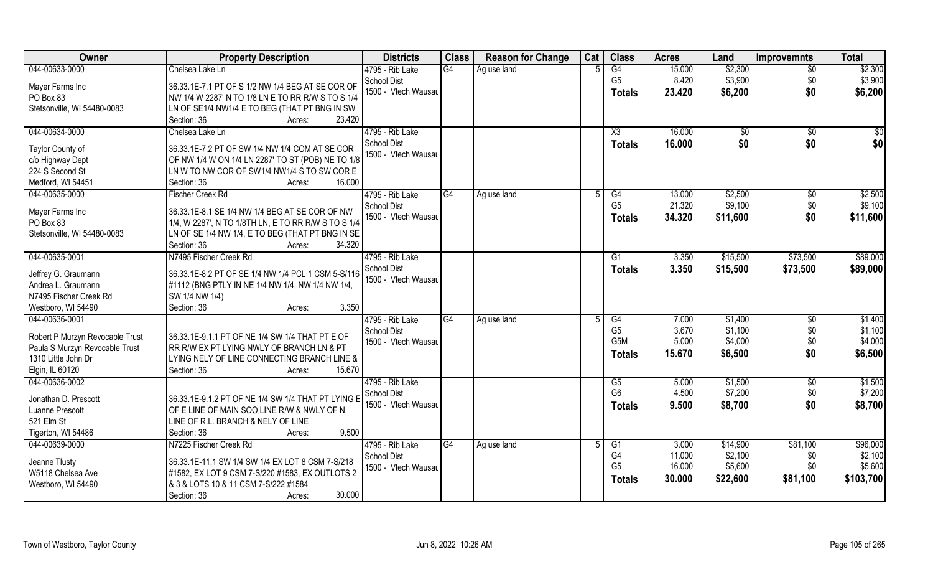| <b>Owner</b>                    | <b>Property Description</b>                         | <b>Districts</b>    | <b>Class</b> | <b>Reason for Change</b> | Cat | <b>Class</b>     | <b>Acres</b> | Land     | <b>Improvemnts</b> | <b>Total</b> |
|---------------------------------|-----------------------------------------------------|---------------------|--------------|--------------------------|-----|------------------|--------------|----------|--------------------|--------------|
| 044-00633-0000                  | Chelsea Lake Ln                                     | 4795 - Rib Lake     | G4           | Ag use land              |     | G4               | 15.000       | \$2,300  | $\overline{30}$    | \$2,300      |
| Mayer Farms Inc                 | 36.33.1E-7.1 PT OF S 1/2 NW 1/4 BEG AT SE COR OF    | School Dist         |              |                          |     | G <sub>5</sub>   | 8.420        | \$3,900  | \$0                | \$3,900      |
| PO Box 83                       | NW 1/4 W 2287' N TO 1/8 LN E TO RR R/W S TO S 1/4   | 1500 - Vtech Wausau |              |                          |     | <b>Totals</b>    | 23.420       | \$6,200  | \$0                | \$6,200      |
| Stetsonville, WI 54480-0083     | LN OF SE1/4 NW1/4 E TO BEG (THAT PT BNG IN SW       |                     |              |                          |     |                  |              |          |                    |              |
|                                 | 23.420<br>Section: 36<br>Acres:                     |                     |              |                          |     |                  |              |          |                    |              |
| 044-00634-0000                  | Chelsea Lake Ln                                     | 4795 - Rib Lake     |              |                          |     | X3               | 16.000       | \$0      | $\overline{50}$    | \$0          |
|                                 |                                                     | School Dist         |              |                          |     | <b>Totals</b>    | 16.000       | \$0      | \$0                | \$0          |
| Taylor County of                | 36.33.1E-7.2 PT OF SW 1/4 NW 1/4 COM AT SE COR      | 1500 - Vtech Wausau |              |                          |     |                  |              |          |                    |              |
| c/o Highway Dept                | OF NW 1/4 W ON 1/4 LN 2287' TO ST (POB) NE TO 1/8   |                     |              |                          |     |                  |              |          |                    |              |
| 224 S Second St                 | LN W TO NW COR OF SW1/4 NW1/4 S TO SW COR E         |                     |              |                          |     |                  |              |          |                    |              |
| Medford, WI 54451               | 16.000<br>Section: 36<br>Acres:                     |                     |              |                          |     |                  |              |          |                    |              |
| 044-00635-0000                  | Fischer Creek Rd                                    | 4795 - Rib Lake     | G4           | Ag use land              | 5   | G4               | 13.000       | \$2,500  | $\sqrt[6]{30}$     | \$2,500      |
| Mayer Farms Inc                 | 36.33.1E-8.1 SE 1/4 NW 1/4 BEG AT SE COR OF NW      | School Dist         |              |                          |     | G <sub>5</sub>   | 21.320       | \$9,100  | \$0                | \$9,100      |
| PO Box 83                       | 1/4, W 2287', N TO 1/8TH LN, E TO RR R/W S TO S 1/4 | 1500 - Vtech Wausau |              |                          |     | <b>Totals</b>    | 34.320       | \$11,600 | \$0                | \$11,600     |
| Stetsonville, WI 54480-0083     | LN OF SE 1/4 NW 1/4, E TO BEG (THAT PT BNG IN SE    |                     |              |                          |     |                  |              |          |                    |              |
|                                 | Section: 36<br>34.320<br>Acres:                     |                     |              |                          |     |                  |              |          |                    |              |
| 044-00635-0001                  | N7495 Fischer Creek Rd                              | 4795 - Rib Lake     |              |                          |     | G1               | 3.350        | \$15,500 | \$73,500           | \$89,000     |
|                                 |                                                     | <b>School Dist</b>  |              |                          |     | <b>Totals</b>    | 3.350        | \$15,500 | \$73,500           | \$89,000     |
| Jeffrey G. Graumann             | 36.33.1E-8.2 PT OF SE 1/4 NW 1/4 PCL 1 CSM 5-S/116  | 1500 - Vtech Wausau |              |                          |     |                  |              |          |                    |              |
| Andrea L. Graumann              | #1112 (BNG PTLY IN NE 1/4 NW 1/4, NW 1/4 NW 1/4,    |                     |              |                          |     |                  |              |          |                    |              |
| N7495 Fischer Creek Rd          | SW 1/4 NW 1/4)                                      |                     |              |                          |     |                  |              |          |                    |              |
| Westboro, WI 54490              | 3.350<br>Section: 36<br>Acres:                      |                     |              |                          |     |                  |              |          |                    |              |
| 044-00636-0001                  |                                                     | 4795 - Rib Lake     | G4           | Ag use land              |     | $\overline{G4}$  | 7.000        | \$1,400  | \$0                | \$1,400      |
| Robert P Murzyn Revocable Trust | 36.33.1E-9.1.1 PT OF NE 1/4 SW 1/4 THAT PT E OF     | <b>School Dist</b>  |              |                          |     | G <sub>5</sub>   | 3.670        | \$1,100  | \$0                | \$1,100      |
| Paula S Murzyn Revocable Trust  | RR R/W EX PT LYING NWLY OF BRANCH LN & PT           | 1500 - Vtech Wausau |              |                          |     | G <sub>5</sub> M | 5.000        | \$4,000  | \$0                | \$4,000      |
| 1310 Little John Dr             | LYING NELY OF LINE CONNECTING BRANCH LINE &         |                     |              |                          |     | Totals           | 15.670       | \$6,500  | \$0                | \$6,500      |
| Elgin, IL 60120                 | Section: 36<br>15.670<br>Acres:                     |                     |              |                          |     |                  |              |          |                    |              |
| 044-00636-0002                  |                                                     | 4795 - Rib Lake     |              |                          |     | G5               | 5.000        | \$1,500  | \$0                | \$1,500      |
|                                 |                                                     | School Dist         |              |                          |     | G <sub>6</sub>   | 4.500        | \$7,200  | \$0                | \$7,200      |
| Jonathan D. Prescott            | 36.33.1E-9.1.2 PT OF NE 1/4 SW 1/4 THAT PT LYING E  | 1500 - Vtech Wausau |              |                          |     | <b>Totals</b>    | 9.500        | \$8,700  | \$0                | \$8,700      |
| Luanne Prescott                 | OF E LINE OF MAIN SOO LINE R/W & NWLY OF N          |                     |              |                          |     |                  |              |          |                    |              |
| 521 Elm St                      | LINE OF R.L. BRANCH & NELY OF LINE                  |                     |              |                          |     |                  |              |          |                    |              |
| Tigerton, WI 54486              | 9.500<br>Section: 36<br>Acres:                      |                     |              |                          |     |                  |              |          |                    |              |
| 044-00639-0000                  | N7225 Fischer Creek Rd                              | 4795 - Rib Lake     | G4           | Ag use land              |     | G <sub>1</sub>   | 3.000        | \$14,900 | \$81,100           | \$96,000     |
| Jeanne Tlusty                   | 36.33.1E-11.1 SW 1/4 SW 1/4 EX LOT 8 CSM 7-S/218    | School Dist         |              |                          |     | G4               | 11.000       | \$2,100  | \$0                | \$2,100      |
| W5118 Chelsea Ave               | #1582, EX LOT 9 CSM 7-S/220 #1583, EX OUTLOTS 2     | 1500 - Vtech Wausau |              |                          |     | G <sub>5</sub>   | 16.000       | \$5,600  | \$0                | \$5,600      |
| Westboro, WI 54490              | & 3 & LOTS 10 & 11 CSM 7-S/222 #1584                |                     |              |                          |     | <b>Totals</b>    | 30.000       | \$22,600 | \$81,100           | \$103,700    |
|                                 | 30.000<br>Section: 36<br>Acres:                     |                     |              |                          |     |                  |              |          |                    |              |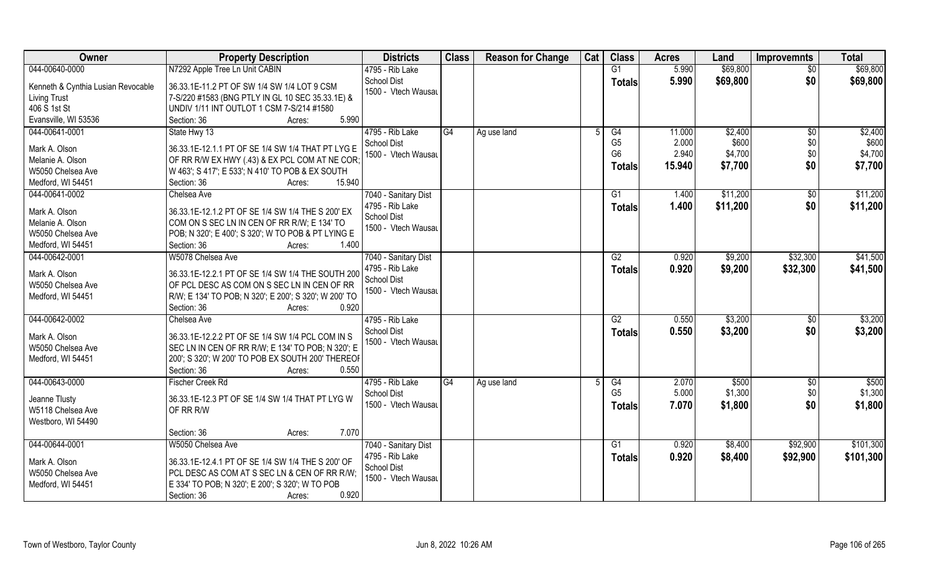| <b>Owner</b>                                                                                      | <b>Property Description</b>                                                                                                                                                                                      | <b>Districts</b>                                                                     | <b>Class</b> | <b>Reason for Change</b> | Cat | <b>Class</b>                                            | <b>Acres</b>                       | Land                                   | <b>Improvemnts</b>       | <b>Total</b>                           |
|---------------------------------------------------------------------------------------------------|------------------------------------------------------------------------------------------------------------------------------------------------------------------------------------------------------------------|--------------------------------------------------------------------------------------|--------------|--------------------------|-----|---------------------------------------------------------|------------------------------------|----------------------------------------|--------------------------|----------------------------------------|
| 044-00640-0000                                                                                    | N7292 Apple Tree Ln Unit CABIN                                                                                                                                                                                   | 4795 - Rib Lake                                                                      |              |                          |     | G1                                                      | 5.990                              | \$69,800                               | $\overline{50}$          | \$69,800                               |
| Kenneth & Cynthia Lusian Revocable<br><b>Living Trust</b><br>406 S 1st St<br>Evansville, WI 53536 | 36.33.1E-11.2 PT OF SW 1/4 SW 1/4 LOT 9 CSM<br>7-S/220 #1583 (BNG PTLY IN GL 10 SEC 35.33.1E) &<br>UNDIV 1/11 INT OUTLOT 1 CSM 7-S/214 #1580<br>5.990<br>Section: 36<br>Acres:                                   | School Dist<br>1500 - Vtech Wausau                                                   |              |                          |     | <b>Totals</b>                                           | 5.990                              | \$69,800                               | \$0                      | \$69,800                               |
| 044-00641-0001<br>Mark A. Olson<br>Melanie A. Olson<br>W5050 Chelsea Ave<br>Medford, WI 54451     | State Hwy 13<br>36.33.1E-12.1.1 PT OF SE 1/4 SW 1/4 THAT PT LYG E<br>OF RR R/W EX HWY (.43) & EX PCL COM AT NE COR<br>W 463'; S 417'; E 533'; N 410' TO POB & EX SOUTH<br>Section: 36<br>15.940<br>Acres:        | 4795 - Rib Lake<br><b>School Dist</b><br>1500 - Vtech Wausau                         | G4           | Ag use land              |     | G4<br>G <sub>5</sub><br>G <sub>6</sub><br><b>Totals</b> | 11.000<br>2.000<br>2.940<br>15.940 | \$2,400<br>\$600<br>\$4,700<br>\$7,700 | \$0<br>\$0<br>\$0<br>\$0 | \$2,400<br>\$600<br>\$4,700<br>\$7,700 |
| 044-00641-0002<br>Mark A. Olson<br>Melanie A. Olson<br>W5050 Chelsea Ave<br>Medford, WI 54451     | Chelsea Ave<br>36.33.1E-12.1.2 PT OF SE 1/4 SW 1/4 THE S 200' EX<br>COM ON S SEC LN IN CEN OF RR R/W; E 134' TO<br>POB; N 320'; E 400'; S 320'; W TO POB & PT LYING E<br>Section: 36<br>1.400<br>Acres:          | 7040 - Sanitary Dist<br>4795 - Rib Lake<br>School Dist<br>1500 - Vtech Wausau        |              |                          |     | G1<br><b>Totals</b>                                     | 1.400<br>1.400                     | \$11,200<br>\$11,200                   | $\sqrt{6}$<br>\$0        | \$11,200<br>\$11,200                   |
| 044-00642-0001<br>Mark A. Olson<br>W5050 Chelsea Ave<br>Medford, WI 54451                         | W5078 Chelsea Ave<br>36.33.1E-12.2.1 PT OF SE 1/4 SW 1/4 THE SOUTH 200<br>OF PCL DESC AS COM ON S SEC LN IN CEN OF RR<br>R/W; E 134' TO POB; N 320'; E 200'; S 320'; W 200' TO<br>0.920<br>Section: 36<br>Acres: | 7040 - Sanitary Dist<br>4795 - Rib Lake<br>School Dist<br>1500 - Vtech Wausau        |              |                          |     | G2<br><b>Totals</b>                                     | 0.920<br>0.920                     | \$9,200<br>\$9,200                     | \$32,300<br>\$32,300     | \$41,500<br>\$41,500                   |
| 044-00642-0002<br>Mark A. Olson<br>W5050 Chelsea Ave<br>Medford, WI 54451                         | Chelsea Ave<br>36.33.1E-12.2.2 PT OF SE 1/4 SW 1/4 PCL COM IN S<br>SEC LN IN CEN OF RR R/W; E 134' TO POB; N 320'; E<br>200'; S 320'; W 200' TO POB EX SOUTH 200' THEREOF<br>Section: 36<br>0.550<br>Acres:      | 4795 - Rib Lake<br>School Dist<br>1500 - Vtech Wausau                                |              |                          |     | $\overline{G2}$<br><b>Totals</b>                        | 0.550<br>0.550                     | \$3,200<br>\$3,200                     | \$0<br>\$0               | \$3,200<br>\$3,200                     |
| 044-00643-0000<br>Jeanne Tlusty<br>W5118 Chelsea Ave<br>Westboro, WI 54490                        | <b>Fischer Creek Rd</b><br>36.33.1E-12.3 PT OF SE 1/4 SW 1/4 THAT PT LYG W<br>OF RR R/W<br>7.070<br>Section: 36<br>Acres:                                                                                        | 4795 - Rib Lake<br>School Dist<br>1500 - Vtech Wausau                                | G4           | Ag use land              |     | G4<br>G <sub>5</sub><br><b>Totals</b>                   | 2.070<br>5.000<br>7.070            | \$500<br>\$1,300<br>\$1,800            | \$0<br>\$0<br>\$0        | \$500<br>\$1,300<br>\$1,800            |
| 044-00644-0001<br>Mark A. Olson<br>W5050 Chelsea Ave<br>Medford, WI 54451                         | W5050 Chelsea Ave<br>36.33.1E-12.4.1 PT OF SE 1/4 SW 1/4 THE S 200' OF<br>PCL DESC AS COM AT S SEC LN & CEN OF RR R/W;<br>E 334' TO POB; N 320'; E 200'; S 320'; W TO POB<br>0.920<br>Section: 36<br>Acres:      | 7040 - Sanitary Dist<br>4795 - Rib Lake<br><b>School Dist</b><br>1500 - Vtech Wausau |              |                          |     | G1<br><b>Totals</b>                                     | 0.920<br>0.920                     | \$8,400<br>\$8,400                     | \$92,900<br>\$92,900     | \$101,300<br>\$101,300                 |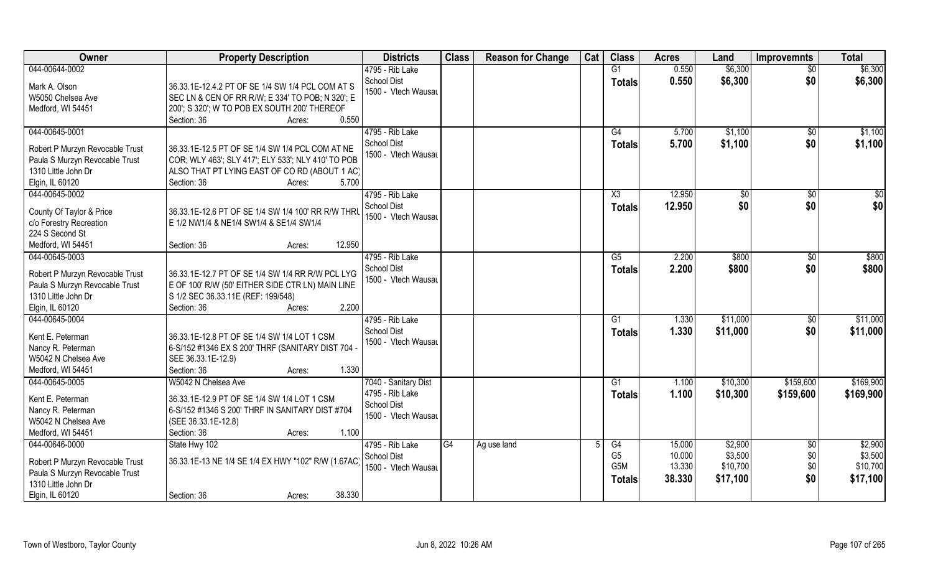| <b>Owner</b>                                                                                                                  | <b>Property Description</b>                                                                                                                                                              | <b>Districts</b>                                             | <b>Class</b> | <b>Reason for Change</b> | Cat | <b>Class</b>                                              | <b>Acres</b>                         | Land                                       | <b>Improvemnts</b>                   | <b>Total</b>                               |
|-------------------------------------------------------------------------------------------------------------------------------|------------------------------------------------------------------------------------------------------------------------------------------------------------------------------------------|--------------------------------------------------------------|--------------|--------------------------|-----|-----------------------------------------------------------|--------------------------------------|--------------------------------------------|--------------------------------------|--------------------------------------------|
| 044-00644-0002                                                                                                                |                                                                                                                                                                                          | 4795 - Rib Lake                                              |              |                          |     | G1                                                        | 0.550                                | \$6,300                                    | \$0                                  | \$6,300                                    |
| Mark A. Olson<br>W5050 Chelsea Ave<br>Medford, WI 54451                                                                       | 36.33.1E-12.4.2 PT OF SE 1/4 SW 1/4 PCL COM AT S<br>SEC LN & CEN OF RR R/W; E 334' TO POB; N 320'; E<br>200'; S 320'; W TO POB EX SOUTH 200' THEREOF                                     | <b>School Dist</b><br>1500 - Vtech Wausau                    |              |                          |     | <b>Totals</b>                                             | 0.550                                | \$6,300                                    | \$0                                  | \$6,300                                    |
|                                                                                                                               | 0.550<br>Section: 36<br>Acres:                                                                                                                                                           |                                                              |              |                          |     |                                                           |                                      |                                            |                                      |                                            |
| 044-00645-0001<br>Robert P Murzyn Revocable Trust<br>Paula S Murzyn Revocable Trust<br>1310 Little John Dr<br>Elgin, IL 60120 | 36.33.1E-12.5 PT OF SE 1/4 SW 1/4 PCL COM AT NE<br>COR; WLY 463'; SLY 417'; ELY 533'; NLY 410' TO POB<br>ALSO THAT PT LYING EAST OF CO RD (ABOUT 1 AC)<br>Section: 36<br>5.700<br>Acres: | 4795 - Rib Lake<br>School Dist<br>1500 - Vtech Wausau        |              |                          |     | G4<br>Totals                                              | 5.700<br>5.700                       | \$1,100<br>\$1,100                         | \$0<br>\$0                           | \$1,100<br>\$1,100                         |
| 044-00645-0002                                                                                                                |                                                                                                                                                                                          | 4795 - Rib Lake                                              |              |                          |     | X3                                                        | 12.950                               | $\sqrt[6]{}$                               | $\sqrt{6}$                           | \$0                                        |
| County Of Taylor & Price<br>c/o Forestry Recreation<br>224 S Second St                                                        | 36.33.1E-12.6 PT OF SE 1/4 SW 1/4 100' RR R/W THRL<br>E 1/2 NW1/4 & NE1/4 SW1/4 & SE1/4 SW1/4                                                                                            | School Dist<br>1500 - Vtech Wausau                           |              |                          |     | <b>Totals</b>                                             | 12.950                               | \$0                                        | \$0                                  | \$0                                        |
| Medford, WI 54451                                                                                                             | 12.950<br>Section: 36<br>Acres:                                                                                                                                                          |                                                              |              |                          |     |                                                           |                                      |                                            |                                      |                                            |
| 044-00645-0003<br>Robert P Murzyn Revocable Trust<br>Paula S Murzyn Revocable Trust<br>1310 Little John Dr<br>Elgin, IL 60120 | 36.33.1E-12.7 PT OF SE 1/4 SW 1/4 RR R/W PCL LYG<br>E OF 100' R/W (50' EITHER SIDE CTR LN) MAIN LINE<br>S 1/2 SEC 36.33.11E (REF: 199/548)<br>2.200<br>Section: 36<br>Acres:             | 4795 - Rib Lake<br><b>School Dist</b><br>1500 - Vtech Wausau |              |                          |     | G5<br><b>Totals</b>                                       | 2.200<br>2.200                       | \$800<br>\$800                             | \$0<br>\$0                           | \$800<br>\$800                             |
| 044-00645-0004                                                                                                                |                                                                                                                                                                                          | 4795 - Rib Lake                                              |              |                          |     | G1                                                        | 1.330                                | \$11,000                                   | \$0                                  | \$11,000                                   |
| Kent E. Peterman<br>Nancy R. Peterman<br>W5042 N Chelsea Ave<br>Medford, WI 54451                                             | 36.33.1E-12.8 PT OF SE 1/4 SW 1/4 LOT 1 CSM<br>6-S/152 #1346 EX S 200' THRF (SANITARY DIST 704 -<br>SEE 36.33.1E-12.9)<br>Section: 36<br>1.330<br>Acres:                                 | <b>School Dist</b><br>1500 - Vtech Wausau                    |              |                          |     | <b>Totals</b>                                             | 1.330                                | \$11,000                                   | \$0                                  | \$11,000                                   |
| 044-00645-0005                                                                                                                | W5042 N Chelsea Ave                                                                                                                                                                      | 7040 - Sanitary Dist                                         |              |                          |     | G1                                                        | 1.100                                | \$10,300                                   | \$159,600                            | \$169,900                                  |
| Kent E. Peterman<br>Nancy R. Peterman<br>W5042 N Chelsea Ave<br>Medford, WI 54451                                             | 36.33.1E-12.9 PT OF SE 1/4 SW 1/4 LOT 1 CSM<br>6-S/152 #1346 S 200' THRF IN SANITARY DIST #704<br>(SEE 36.33.1E-12.8)<br>Section: 36<br>1.100<br>Acres:                                  | 4795 - Rib Lake<br><b>School Dist</b><br>1500 - Vtech Wausau |              |                          |     | <b>Totals</b>                                             | 1.100                                | \$10,300                                   | \$159,600                            | \$169,900                                  |
| 044-00646-0000<br>Robert P Murzyn Revocable Trust<br>Paula S Murzyn Revocable Trust<br>1310 Little John Dr<br>Elgin, IL 60120 | State Hwy 102<br>36.33.1E-13 NE 1/4 SE 1/4 EX HWY "102" R/W (1.67AC)<br>38.330<br>Section: 36<br>Acres:                                                                                  | 4795 - Rib Lake<br>School Dist<br>1500 - Vtech Wausau        | G4           | Ag use land              |     | G4<br>G <sub>5</sub><br>G <sub>5</sub> M<br><b>Totals</b> | 15.000<br>10.000<br>13.330<br>38.330 | \$2,900<br>\$3,500<br>\$10,700<br>\$17,100 | $\overline{50}$<br>\$0<br>\$0<br>\$0 | \$2,900<br>\$3,500<br>\$10,700<br>\$17,100 |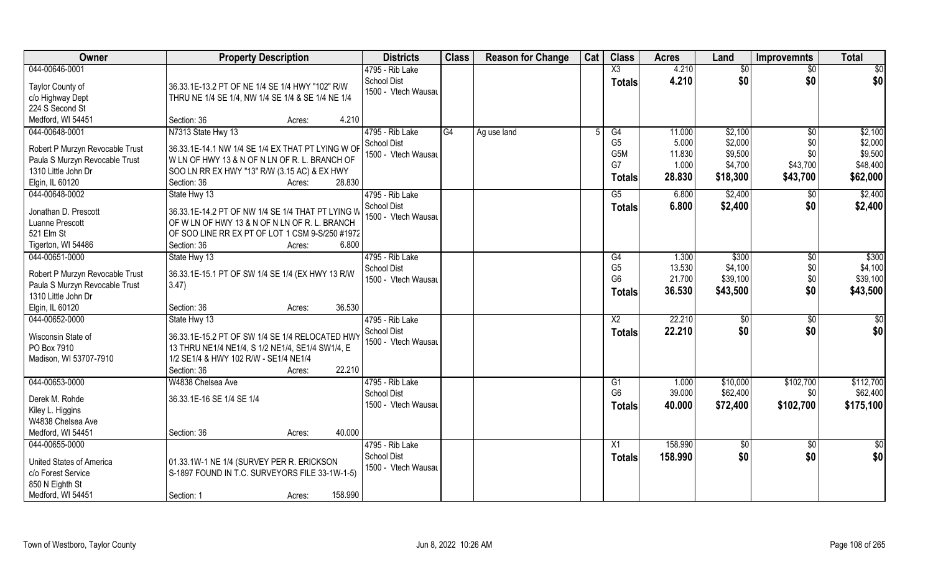| <b>Owner</b>                                                                                                                  | <b>Property Description</b>                                                                                                                                                                                 | <b>Districts</b>                                             | <b>Class</b> | <b>Reason for Change</b> | Cat | <b>Class</b>                                                    | <b>Acres</b>                                 | Land                                                 | <b>Improvemnts</b>                        | <b>Total</b>                                          |
|-------------------------------------------------------------------------------------------------------------------------------|-------------------------------------------------------------------------------------------------------------------------------------------------------------------------------------------------------------|--------------------------------------------------------------|--------------|--------------------------|-----|-----------------------------------------------------------------|----------------------------------------------|------------------------------------------------------|-------------------------------------------|-------------------------------------------------------|
| 044-00646-0001                                                                                                                |                                                                                                                                                                                                             | 4795 - Rib Lake                                              |              |                          |     | X3                                                              | 4.210                                        | \$0                                                  | \$0                                       | $\overline{50}$                                       |
| Taylor County of<br>c/o Highway Dept<br>224 S Second St                                                                       | 36.33.1E-13.2 PT OF NE 1/4 SE 1/4 HWY "102" R/W<br>THRU NE 1/4 SE 1/4, NW 1/4 SE 1/4 & SE 1/4 NE 1/4                                                                                                        | <b>School Dist</b><br>1500 - Vtech Wausau                    |              |                          |     | <b>Totals</b>                                                   | 4.210                                        | \$0                                                  | \$0                                       | \$0                                                   |
| Medford, WI 54451                                                                                                             | Section: 36<br>4.210<br>Acres:                                                                                                                                                                              |                                                              |              |                          |     |                                                                 |                                              |                                                      |                                           |                                                       |
| 044-00648-0001<br>Robert P Murzyn Revocable Trust<br>Paula S Murzyn Revocable Trust<br>1310 Little John Dr<br>Elgin, IL 60120 | N7313 State Hwy 13<br>36.33.1E-14.1 NW 1/4 SE 1/4 EX THAT PT LYING W OF<br>W LN OF HWY 13 & N OF N LN OF R. L. BRANCH OF<br>SOO LN RR EX HWY "13" R/W (3.15 AC) & EX HWY<br>28.830<br>Section: 36<br>Acres: | 4795 - Rib Lake<br>School Dist<br>1500 - Vtech Wausau        | G4           | Ag use land              |     | G4<br>G <sub>5</sub><br>G <sub>5</sub> M<br>G7<br><b>Totals</b> | 11.000<br>5.000<br>11.830<br>1.000<br>28.830 | \$2,100<br>\$2,000<br>\$9,500<br>\$4,700<br>\$18,300 | \$0<br>\$0<br>\$0<br>\$43,700<br>\$43,700 | \$2,100<br>\$2,000<br>\$9,500<br>\$48,400<br>\$62,000 |
| 044-00648-0002                                                                                                                | State Hwy 13                                                                                                                                                                                                | 4795 - Rib Lake                                              |              |                          |     | G5                                                              | 6.800                                        | \$2,400                                              | \$0                                       | \$2,400                                               |
| Jonathan D. Prescott<br>Luanne Prescott<br>521 Elm St<br>Tigerton, WI 54486                                                   | 36.33.1E-14.2 PT OF NW 1/4 SE 1/4 THAT PT LYING W<br>OF W LN OF HWY 13 & N OF N LN OF R. L. BRANCH<br>OF SOO LINE RR EX PT OF LOT 1 CSM 9-S/250 #1972<br>Section: 36<br>6.800<br>Acres:                     | School Dist<br>1500 - Vtech Wausau                           |              |                          |     | <b>Totals</b>                                                   | 6.800                                        | \$2,400                                              | \$0                                       | \$2,400                                               |
| 044-00651-0000                                                                                                                | State Hwy 13                                                                                                                                                                                                | 4795 - Rib Lake                                              |              |                          |     | G4                                                              | 1.300                                        | \$300                                                | \$0                                       | \$300                                                 |
| Robert P Murzyn Revocable Trust<br>Paula S Murzyn Revocable Trust<br>1310 Little John Dr                                      | 36.33.1E-15.1 PT OF SW 1/4 SE 1/4 (EX HWY 13 R/W<br>3.47)                                                                                                                                                   | <b>School Dist</b><br>1500 - Vtech Wausau                    |              |                          |     | G <sub>5</sub><br>G <sub>6</sub><br><b>Totals</b>               | 13.530<br>21.700<br>36.530                   | \$4,100<br>\$39,100<br>\$43,500                      | \$0<br>\$0<br>\$0                         | \$4,100<br>\$39,100<br>\$43,500                       |
| Elgin, IL 60120                                                                                                               | 36.530<br>Section: 36<br>Acres:                                                                                                                                                                             |                                                              |              |                          |     |                                                                 |                                              |                                                      |                                           |                                                       |
| 044-00652-0000<br>Wisconsin State of<br>PO Box 7910<br>Madison, WI 53707-7910                                                 | State Hwy 13<br>36.33.1E-15.2 PT OF SW 1/4 SE 1/4 RELOCATED HWY<br>13 THRU NE1/4 NE1/4, S 1/2 NE1/4, SE1/4 SW1/4, E<br>1/2 SE1/4 & HWY 102 R/W - SE1/4 NE1/4<br>Section: 36<br>22.210<br>Acres:             | 4795 - Rib Lake<br>School Dist<br>1500 - Vtech Wausau        |              |                          |     | X2<br><b>Totals</b>                                             | 22.210<br>22.210                             | $\sqrt[6]{}$<br>\$0                                  | \$0<br>\$0                                | \$0<br>\$0                                            |
| 044-00653-0000                                                                                                                | W4838 Chelsea Ave                                                                                                                                                                                           | 4795 - Rib Lake                                              |              |                          |     | G1                                                              | 1.000                                        | \$10,000                                             | \$102,700                                 | \$112,700                                             |
| Derek M. Rohde<br>Kiley L. Higgins<br>W4838 Chelsea Ave                                                                       | 36.33.1E-16 SE 1/4 SE 1/4                                                                                                                                                                                   | <b>School Dist</b><br>1500 - Vtech Wausau                    |              |                          |     | G <sub>6</sub><br><b>Totals</b>                                 | 39.000<br>40.000                             | \$62,400<br>\$72,400                                 | \$0<br>\$102,700                          | \$62,400<br>\$175,100                                 |
| Medford, WI 54451                                                                                                             | 40.000<br>Section: 36<br>Acres:                                                                                                                                                                             |                                                              |              |                          |     |                                                                 |                                              |                                                      |                                           |                                                       |
| 044-00655-0000<br>United States of America<br>c/o Forest Service<br>850 N Eighth St<br>Medford, WI 54451                      | 01.33.1W-1 NE 1/4 (SURVEY PER R. ERICKSON<br>S-1897 FOUND IN T.C. SURVEYORS FILE 33-1W-1-5)<br>158.990<br>Section: 1<br>Acres:                                                                              | 4795 - Rib Lake<br><b>School Dist</b><br>1500 - Vtech Wausau |              |                          |     | X <sub>1</sub><br><b>Totals</b>                                 | 158,990<br>158.990                           | $\overline{50}$<br>\$0                               | $\overline{50}$<br>\$0                    | \$0<br>\$0                                            |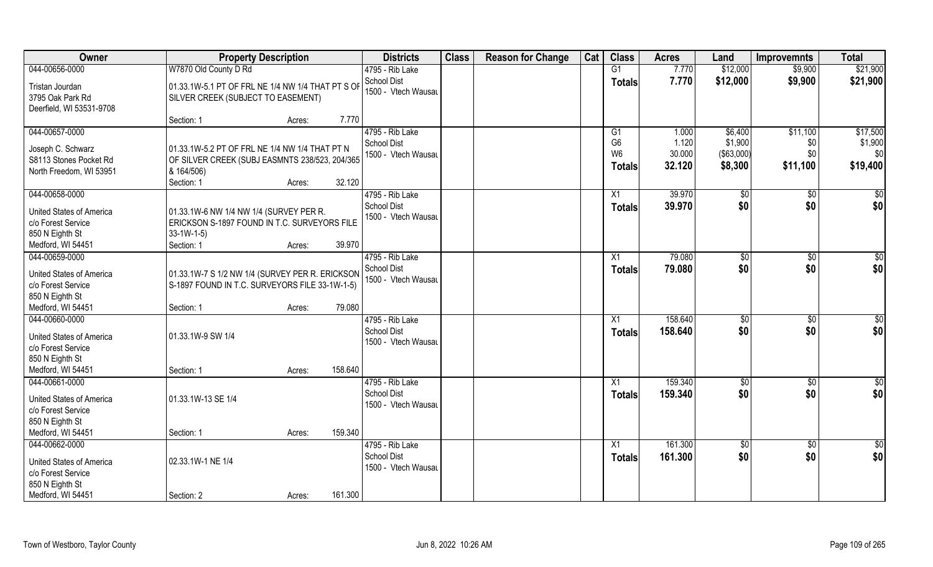| Owner                                                                                         | <b>Property Description</b>                                                                                                  |                   | <b>Districts</b>                                             | <b>Class</b> | <b>Reason for Change</b> | Cat | <b>Class</b>                     | <b>Acres</b>       | Land                  | <b>Improvemnts</b>     | <b>Total</b>           |
|-----------------------------------------------------------------------------------------------|------------------------------------------------------------------------------------------------------------------------------|-------------------|--------------------------------------------------------------|--------------|--------------------------|-----|----------------------------------|--------------------|-----------------------|------------------------|------------------------|
| 044-00656-0000                                                                                | W7870 Old County D Rd                                                                                                        |                   | 4795 - Rib Lake                                              |              |                          |     | G1                               | 7.770              | \$12,000              | \$9,900                | \$21,900               |
| Tristan Jourdan<br>3795 Oak Park Rd<br>Deerfield, WI 53531-9708                               | 01.33.1W-5.1 PT OF FRL NE 1/4 NW 1/4 THAT PT S OF<br>SILVER CREEK (SUBJECT TO EASEMENT)                                      |                   | <b>School Dist</b><br>1500 - Vtech Wausau                    |              |                          |     | <b>Totals</b>                    | 7.770              | \$12,000              | \$9,900                | \$21,900               |
|                                                                                               | Section: 1                                                                                                                   | Acres:            | 7.770                                                        |              |                          |     |                                  |                    |                       |                        |                        |
| 044-00657-0000                                                                                |                                                                                                                              |                   | 4795 - Rib Lake<br><b>School Dist</b>                        |              |                          |     | G1<br>G <sub>6</sub>             | 1.000<br>1.120     | \$6,400<br>\$1,900    | \$11,100<br>\$0        | \$17,500<br>\$1,900    |
| Joseph C. Schwarz<br>S8113 Stones Pocket Rd<br>North Freedom, WI 53951                        | 01.33.1W-5.2 PT OF FRL NE 1/4 NW 1/4 THAT PT N<br>OF SILVER CREEK (SUBJ EASMNTS 238/523, 204/365<br>& 164/506)<br>Section: 1 | 32.120<br>Acres:  | 1500 - Vtech Wausau                                          |              |                          |     | W <sub>6</sub><br><b>Totals</b>  | 30.000<br>32.120   | (\$63,000)<br>\$8,300 | \$0<br>\$11,100        | \$0<br>\$19,400        |
| 044-00658-0000                                                                                |                                                                                                                              |                   | 4795 - Rib Lake                                              |              |                          |     | X1                               | 39.970             | \$0                   | $\sqrt{50}$            | $\sqrt{50}$            |
| <b>United States of America</b><br>c/o Forest Service<br>850 N Eighth St<br>Medford, WI 54451 | 01.33.1W-6 NW 1/4 NW 1/4 (SURVEY PER R.<br>ERICKSON S-1897 FOUND IN T.C. SURVEYORS FILE<br>$33-1W-1-5$<br>Section: 1         | 39.970<br>Acres:  | <b>School Dist</b><br>1500 - Vtech Wausau                    |              |                          |     | <b>Totals</b>                    | 39.970             | \$0                   | \$0                    | \$0                    |
| 044-00659-0000                                                                                |                                                                                                                              |                   | 4795 - Rib Lake                                              |              |                          |     | X1                               | 79.080             | $\sqrt[6]{3}$         | $\sqrt[6]{3}$          | \$0                    |
| United States of America<br>c/o Forest Service<br>850 N Eighth St                             | 01.33.1W-7 S 1/2 NW 1/4 (SURVEY PER R. ERICKSON<br>S-1897 FOUND IN T.C. SURVEYORS FILE 33-1W-1-5)                            |                   | <b>School Dist</b><br>1500 - Vtech Wausau                    |              |                          |     | <b>Totals</b>                    | 79.080             | \$0                   | \$0                    | \$0                    |
| Medford, WI 54451                                                                             | Section: 1                                                                                                                   | 79.080<br>Acres:  |                                                              |              |                          |     |                                  |                    |                       |                        |                        |
| 044-00660-0000<br><b>United States of America</b><br>c/o Forest Service<br>850 N Eighth St    | 01.33.1W-9 SW 1/4                                                                                                            |                   | 4795 - Rib Lake<br><b>School Dist</b><br>1500 - Vtech Wausau |              |                          |     | X1<br><b>Totals</b>              | 158.640<br>158.640 | \$0<br>\$0            | $\overline{30}$<br>\$0 | $\overline{50}$<br>\$0 |
| Medford, WI 54451                                                                             | Section: 1                                                                                                                   | 158.640<br>Acres: |                                                              |              |                          |     |                                  |                    |                       |                        |                        |
| 044-00661-0000<br><b>United States of America</b><br>c/o Forest Service<br>850 N Eighth St    | 01.33.1W-13 SE 1/4                                                                                                           |                   | 4795 - Rib Lake<br><b>School Dist</b><br>1500 - Vtech Wausau |              |                          |     | X1<br><b>Totals</b>              | 159.340<br>159.340 | \$0<br>\$0            | $\sqrt{$0}$<br>\$0     | \$0<br>\$0             |
| Medford, WI 54451                                                                             | Section: 1                                                                                                                   | 159.340<br>Acres: |                                                              |              |                          |     |                                  |                    |                       |                        |                        |
| 044-00662-0000<br>United States of America<br>c/o Forest Service<br>850 N Eighth St           | 02.33.1W-1 NE 1/4                                                                                                            |                   | 4795 - Rib Lake<br><b>School Dist</b><br>1500 - Vtech Wausau |              |                          |     | $\overline{X1}$<br><b>Totals</b> | 161.300<br>161.300 | $\sqrt{50}$<br>\$0    | $\sqrt{$0}$<br>\$0     | $\overline{50}$<br>\$0 |
| Medford, WI 54451                                                                             | Section: 2                                                                                                                   | 161.300<br>Acres: |                                                              |              |                          |     |                                  |                    |                       |                        |                        |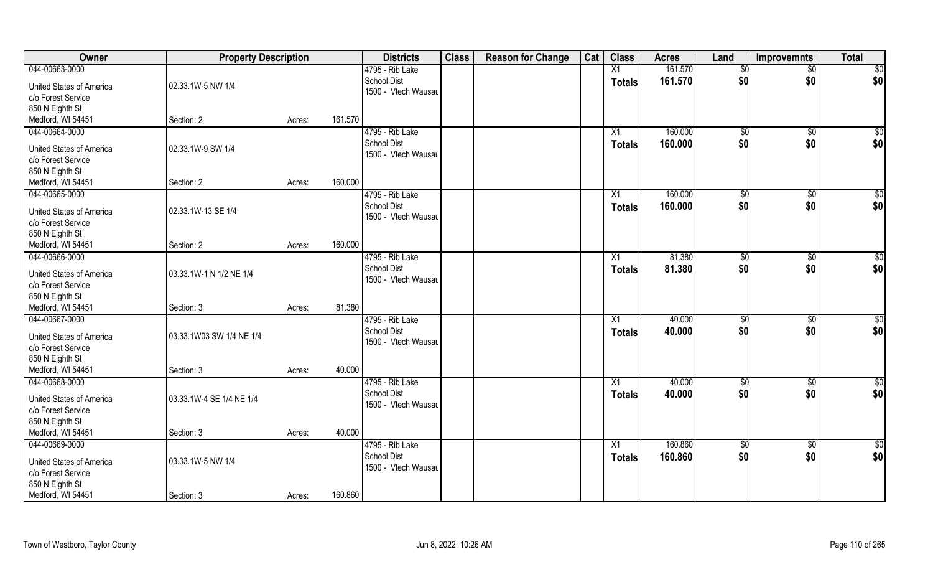| Owner                    | <b>Property Description</b> |        |         | <b>Districts</b>    | <b>Class</b> | <b>Reason for Change</b> | Cat | <b>Class</b>  | <b>Acres</b> | Land            | <b>Improvemnts</b> | <b>Total</b>    |
|--------------------------|-----------------------------|--------|---------|---------------------|--------------|--------------------------|-----|---------------|--------------|-----------------|--------------------|-----------------|
| 044-00663-0000           |                             |        |         | 4795 - Rib Lake     |              |                          |     | X1            | 161.570      | $\overline{50}$ | $\overline{50}$    | \$0             |
| United States of America | 02.33.1W-5 NW 1/4           |        |         | <b>School Dist</b>  |              |                          |     | <b>Totals</b> | 161.570      | \$0             | \$0                | \$0             |
| c/o Forest Service       |                             |        |         | 1500 - Vtech Wausau |              |                          |     |               |              |                 |                    |                 |
| 850 N Eighth St          |                             |        |         |                     |              |                          |     |               |              |                 |                    |                 |
| Medford, WI 54451        | Section: 2                  | Acres: | 161.570 |                     |              |                          |     |               |              |                 |                    |                 |
| 044-00664-0000           |                             |        |         | 4795 - Rib Lake     |              |                          |     | X1            | 160.000      | \$0             | \$0                | \$0             |
|                          |                             |        |         | <b>School Dist</b>  |              |                          |     | <b>Totals</b> | 160.000      | \$0             | \$0                | \$0             |
| United States of America | 02.33.1W-9 SW 1/4           |        |         | 1500 - Vtech Wausau |              |                          |     |               |              |                 |                    |                 |
| c/o Forest Service       |                             |        |         |                     |              |                          |     |               |              |                 |                    |                 |
| 850 N Eighth St          |                             |        |         |                     |              |                          |     |               |              |                 |                    |                 |
| Medford, WI 54451        | Section: 2                  | Acres: | 160.000 |                     |              |                          |     |               |              |                 |                    |                 |
| 044-00665-0000           |                             |        |         | 4795 - Rib Lake     |              |                          |     | X1            | 160.000      | $\sqrt[6]{3}$   | $\sqrt[6]{3}$      | \$0             |
| United States of America | 02.33.1W-13 SE 1/4          |        |         | <b>School Dist</b>  |              |                          |     | <b>Totals</b> | 160.000      | \$0             | \$0                | \$0             |
| c/o Forest Service       |                             |        |         | 1500 - Vtech Wausau |              |                          |     |               |              |                 |                    |                 |
| 850 N Eighth St          |                             |        |         |                     |              |                          |     |               |              |                 |                    |                 |
| Medford, WI 54451        | Section: 2                  | Acres: | 160.000 |                     |              |                          |     |               |              |                 |                    |                 |
| 044-00666-0000           |                             |        |         | 4795 - Rib Lake     |              |                          |     | X1            | 81.380       | $\frac{1}{20}$  | \$0                | \$0             |
|                          |                             |        |         | <b>School Dist</b>  |              |                          |     | <b>Totals</b> | 81.380       | \$0             | \$0                | \$0             |
| United States of America | 03.33.1W-1 N 1/2 NE 1/4     |        |         | 1500 - Vtech Wausau |              |                          |     |               |              |                 |                    |                 |
| c/o Forest Service       |                             |        |         |                     |              |                          |     |               |              |                 |                    |                 |
| 850 N Eighth St          |                             |        |         |                     |              |                          |     |               |              |                 |                    |                 |
| Medford, WI 54451        | Section: 3                  | Acres: | 81.380  |                     |              |                          |     |               |              |                 |                    |                 |
| 044-00667-0000           |                             |        |         | 4795 - Rib Lake     |              |                          |     | X1            | 40.000       | \$0             | \$0                | \$0             |
| United States of America | 03.33.1W03 SW 1/4 NE 1/4    |        |         | <b>School Dist</b>  |              |                          |     | <b>Totals</b> | 40.000       | \$0             | \$0                | \$0             |
| c/o Forest Service       |                             |        |         | 1500 - Vtech Wausau |              |                          |     |               |              |                 |                    |                 |
| 850 N Eighth St          |                             |        |         |                     |              |                          |     |               |              |                 |                    |                 |
| Medford, WI 54451        | Section: 3                  | Acres: | 40.000  |                     |              |                          |     |               |              |                 |                    |                 |
| 044-00668-0000           |                             |        |         | 4795 - Rib Lake     |              |                          |     | X1            | 40.000       | $\overline{50}$ | \$0                | $\overline{50}$ |
|                          |                             |        |         | <b>School Dist</b>  |              |                          |     | <b>Totals</b> | 40.000       | \$0             | \$0                | \$0             |
| United States of America | 03.33.1W-4 SE 1/4 NE 1/4    |        |         | 1500 - Vtech Wausau |              |                          |     |               |              |                 |                    |                 |
| c/o Forest Service       |                             |        |         |                     |              |                          |     |               |              |                 |                    |                 |
| 850 N Eighth St          |                             |        | 40.000  |                     |              |                          |     |               |              |                 |                    |                 |
| Medford, WI 54451        | Section: 3                  | Acres: |         |                     |              |                          |     |               |              |                 |                    |                 |
| 044-00669-0000           |                             |        |         | 4795 - Rib Lake     |              |                          |     | X1            | 160.860      | $\overline{50}$ | $\sqrt{$0}$        | \$0             |
| United States of America | 03.33.1W-5 NW 1/4           |        |         | <b>School Dist</b>  |              |                          |     | <b>Totals</b> | 160.860      | \$0             | \$0                | \$0             |
| c/o Forest Service       |                             |        |         | 1500 - Vtech Wausau |              |                          |     |               |              |                 |                    |                 |
| 850 N Eighth St          |                             |        |         |                     |              |                          |     |               |              |                 |                    |                 |
| Medford, WI 54451        | Section: 3                  | Acres: | 160.860 |                     |              |                          |     |               |              |                 |                    |                 |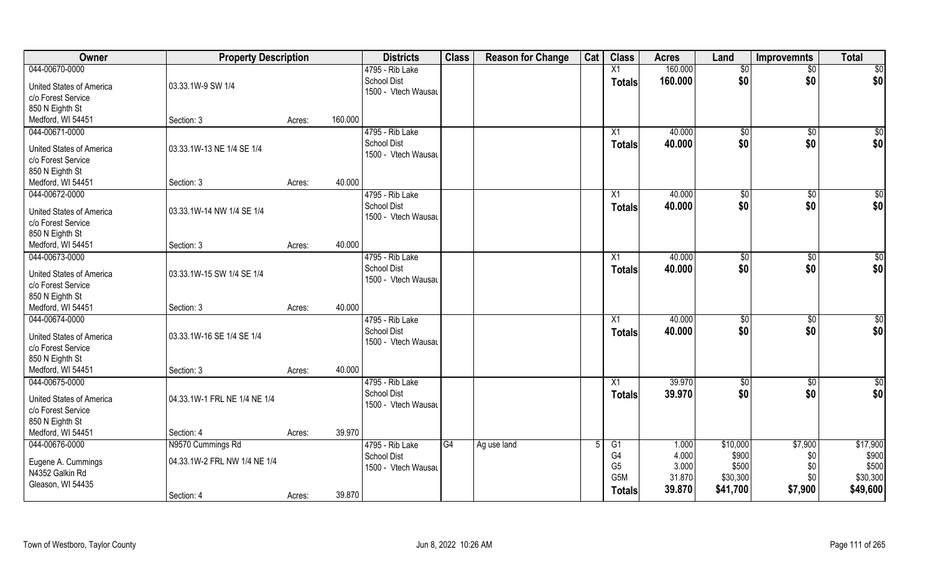| Owner                                                 | <b>Property Description</b>  |                   | <b>Districts</b>                          | <b>Class</b> | <b>Reason for Change</b> | Cat | <b>Class</b>     | <b>Acres</b> | Land     | <b>Improvemnts</b> | <b>Total</b>    |
|-------------------------------------------------------|------------------------------|-------------------|-------------------------------------------|--------------|--------------------------|-----|------------------|--------------|----------|--------------------|-----------------|
| 044-00670-0000                                        |                              |                   | 4795 - Rib Lake                           |              |                          |     | X1               | 160.000      | \$0      | $\sqrt{$0}$        | $\sqrt{50}$     |
| <b>United States of America</b><br>c/o Forest Service | 03.33.1W-9 SW 1/4            |                   | <b>School Dist</b><br>1500 - Vtech Wausau |              |                          |     | <b>Totals</b>    | 160.000      | \$0      | \$0                | \$0             |
| 850 N Eighth St                                       |                              |                   |                                           |              |                          |     |                  |              |          |                    |                 |
| Medford, WI 54451                                     | Section: 3                   | 160.000<br>Acres: |                                           |              |                          |     |                  |              |          |                    |                 |
| 044-00671-0000                                        |                              |                   | 4795 - Rib Lake                           |              |                          |     | X1               | 40.000       | \$0      | \$0                | \$0             |
|                                                       |                              |                   | <b>School Dist</b>                        |              |                          |     | Totals           | 40.000       | \$0      | \$0                | \$0             |
| United States of America                              | 03.33.1W-13 NE 1/4 SE 1/4    |                   | 1500 - Vtech Wausau                       |              |                          |     |                  |              |          |                    |                 |
| c/o Forest Service                                    |                              |                   |                                           |              |                          |     |                  |              |          |                    |                 |
| 850 N Eighth St                                       |                              |                   |                                           |              |                          |     |                  |              |          |                    |                 |
| Medford, WI 54451                                     | Section: 3                   | Acres:            | 40.000                                    |              |                          |     |                  |              |          |                    |                 |
| 044-00672-0000                                        |                              |                   | 4795 - Rib Lake                           |              |                          |     | X1               | 40.000       | \$0      | \$0                | $\sqrt{50}$     |
| <b>United States of America</b>                       | 03.33.1W-14 NW 1/4 SE 1/4    |                   | <b>School Dist</b>                        |              |                          |     | <b>Totals</b>    | 40.000       | \$0      | \$0                | \$0             |
| c/o Forest Service                                    |                              |                   | 1500 - Vtech Wausau                       |              |                          |     |                  |              |          |                    |                 |
| 850 N Eighth St                                       |                              |                   |                                           |              |                          |     |                  |              |          |                    |                 |
| Medford, WI 54451                                     | Section: 3                   | Acres:            | 40.000                                    |              |                          |     |                  |              |          |                    |                 |
| 044-00673-0000                                        |                              |                   | 4795 - Rib Lake                           |              |                          |     | X1               | 40.000       | \$0      | $\sqrt[6]{3}$      | $\sqrt{50}$     |
|                                                       |                              |                   | School Dist                               |              |                          |     | <b>Totals</b>    | 40.000       | \$0      | \$0                | \$0             |
| <b>United States of America</b>                       | 03.33.1W-15 SW 1/4 SE 1/4    |                   | 1500 - Vtech Wausau                       |              |                          |     |                  |              |          |                    |                 |
| c/o Forest Service                                    |                              |                   |                                           |              |                          |     |                  |              |          |                    |                 |
| 850 N Eighth St                                       |                              |                   |                                           |              |                          |     |                  |              |          |                    |                 |
| Medford, WI 54451                                     | Section: 3                   | Acres:            | 40.000                                    |              |                          |     |                  |              |          |                    |                 |
| 044-00674-0000                                        |                              |                   | 4795 - Rib Lake                           |              |                          |     | X1               | 40.000       | \$0      | \$0                | $\overline{50}$ |
| <b>United States of America</b>                       | 03.33.1W-16 SE 1/4 SE 1/4    |                   | <b>School Dist</b>                        |              |                          |     | <b>Totals</b>    | 40.000       | \$0      | \$0                | \$0             |
| c/o Forest Service                                    |                              |                   | 1500 - Vtech Wausau                       |              |                          |     |                  |              |          |                    |                 |
| 850 N Eighth St                                       |                              |                   |                                           |              |                          |     |                  |              |          |                    |                 |
| Medford, WI 54451                                     | Section: 3                   | Acres:            | 40.000                                    |              |                          |     |                  |              |          |                    |                 |
| 044-00675-0000                                        |                              |                   | 4795 - Rib Lake                           |              |                          |     | $\overline{X1}$  | 39.970       | \$0      | $\sqrt{$0}$        | $\overline{50}$ |
|                                                       |                              |                   | <b>School Dist</b>                        |              |                          |     | <b>Totals</b>    | 39.970       | \$0      | \$0                | \$0             |
| <b>United States of America</b>                       | 04.33.1W-1 FRL NE 1/4 NE 1/4 |                   | 1500 - Vtech Wausau                       |              |                          |     |                  |              |          |                    |                 |
| c/o Forest Service                                    |                              |                   |                                           |              |                          |     |                  |              |          |                    |                 |
| 850 N Eighth St                                       |                              |                   |                                           |              |                          |     |                  |              |          |                    |                 |
| Medford, WI 54451                                     | Section: 4                   | Acres:            | 39.970                                    |              |                          |     |                  |              |          |                    |                 |
| 044-00676-0000                                        | N9570 Cummings Rd            |                   | 4795 - Rib Lake                           | G4           | Ag use land              |     | G1               | 1.000        | \$10,000 | \$7,900            | \$17,900        |
| Eugene A. Cummings                                    | 04.33.1W-2 FRL NW 1/4 NE 1/4 |                   | <b>School Dist</b>                        |              |                          |     | G <sub>4</sub>   | 4.000        | \$900    | \$0                | \$900           |
| N4352 Galkin Rd                                       |                              |                   | 1500 - Vtech Wausau                       |              |                          |     | G <sub>5</sub>   | 3.000        | \$500    | \$0                | \$500           |
| Gleason, WI 54435                                     |                              |                   |                                           |              |                          |     | G <sub>5</sub> M | 31.870       | \$30,300 | \$0                | \$30,300        |
|                                                       | Section: 4                   | Acres:            | 39.870                                    |              |                          |     | Totals           | 39.870       | \$41,700 | \$7,900            | \$49,600        |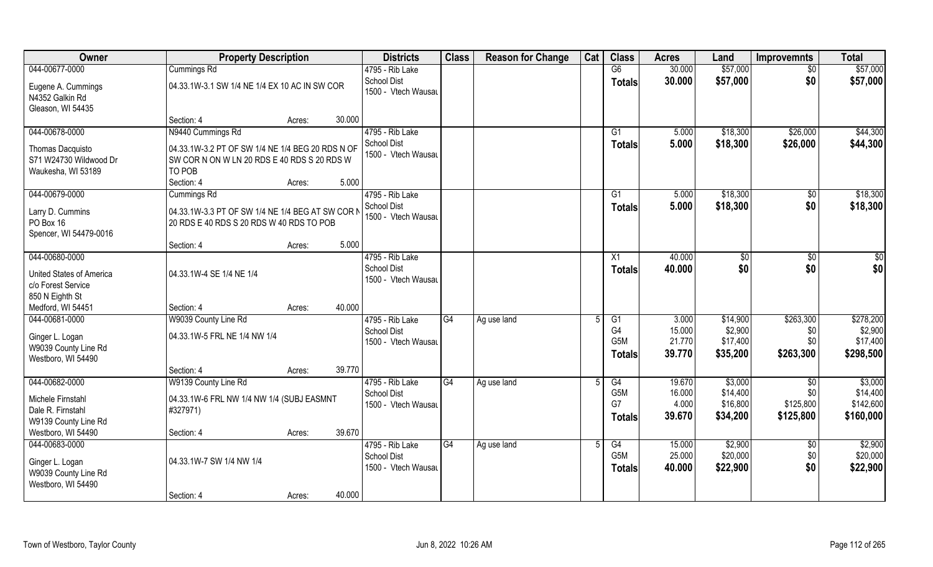| Owner                                 | <b>Property Description</b>                      |        |        | <b>Districts</b>                          | <b>Class</b> | <b>Reason for Change</b> | Cat | <b>Class</b>     | <b>Acres</b>    | Land     | <b>Improvemnts</b>     | <b>Total</b> |
|---------------------------------------|--------------------------------------------------|--------|--------|-------------------------------------------|--------------|--------------------------|-----|------------------|-----------------|----------|------------------------|--------------|
| 044-00677-0000                        | Cummings Rd                                      |        |        | 4795 - Rib Lake                           |              |                          |     | G6               | 30.000          | \$57,000 | $\sqrt{6}$             | \$57,000     |
| Eugene A. Cummings<br>N4352 Galkin Rd | 04.33.1W-3.1 SW 1/4 NE 1/4 EX 10 AC IN SW COR    |        |        | <b>School Dist</b><br>1500 - Vtech Wausau |              |                          |     | <b>Totals</b>    | 30.000          | \$57,000 | \$0                    | \$57,000     |
| Gleason, WI 54435                     |                                                  |        |        |                                           |              |                          |     |                  |                 |          |                        |              |
|                                       | Section: 4                                       | Acres: | 30.000 |                                           |              |                          |     |                  |                 |          |                        |              |
| 044-00678-0000                        | N9440 Cummings Rd                                |        |        | 4795 - Rib Lake                           |              |                          |     | G1               | 5.000           | \$18,300 | \$26,000               | \$44,300     |
| Thomas Dacquisto                      | 04.33.1W-3.2 PT OF SW 1/4 NE 1/4 BEG 20 RDS N OF |        |        | School Dist                               |              |                          |     | Totals           | 5.000           | \$18,300 | \$26,000               | \$44,300     |
| S71 W24730 Wildwood Dr                | SW COR N ON W LN 20 RDS E 40 RDS S 20 RDS W      |        |        | 1500 - Vtech Wausau                       |              |                          |     |                  |                 |          |                        |              |
| Waukesha, WI 53189                    | TO POB                                           |        |        |                                           |              |                          |     |                  |                 |          |                        |              |
|                                       | Section: 4                                       | Acres: | 5.000  |                                           |              |                          |     |                  |                 |          |                        |              |
| 044-00679-0000                        | Cummings Rd                                      |        |        | 4795 - Rib Lake                           |              |                          |     | G1               | 5.000           | \$18,300 | \$0                    | \$18,300     |
| Larry D. Cummins                      | 04.33.1W-3.3 PT OF SW 1/4 NE 1/4 BEG AT SW COR N |        |        | <b>School Dist</b>                        |              |                          |     | <b>Totals</b>    | 5.000           | \$18,300 | \$0                    | \$18,300     |
| PO Box 16                             | 20 RDS E 40 RDS S 20 RDS W 40 RDS TO POB         |        |        | 1500 - Vtech Wausau                       |              |                          |     |                  |                 |          |                        |              |
| Spencer, WI 54479-0016                |                                                  |        |        |                                           |              |                          |     |                  |                 |          |                        |              |
|                                       | Section: 4                                       | Acres: | 5.000  |                                           |              |                          |     |                  |                 |          |                        |              |
| 044-00680-0000                        |                                                  |        |        | 4795 - Rib Lake                           |              |                          |     | X1               | 40.000          | \$0      | $\frac{1}{30}$         | $rac{1}{2}$  |
| United States of America              | 04.33.1W-4 SE 1/4 NE 1/4                         |        |        | <b>School Dist</b>                        |              |                          |     | <b>Totals</b>    | 40.000          | \$0      | \$0                    | \$0          |
| c/o Forest Service                    |                                                  |        |        | 1500 - Vtech Wausau                       |              |                          |     |                  |                 |          |                        |              |
| 850 N Eighth St                       |                                                  |        |        |                                           |              |                          |     |                  |                 |          |                        |              |
| Medford, WI 54451                     | Section: 4                                       | Acres: | 40.000 |                                           |              |                          |     |                  |                 |          |                        |              |
| 044-00681-0000                        | W9039 County Line Rd                             |        |        | 4795 - Rib Lake                           | G4           | Ag use land              | .5  | $\overline{G1}$  | 3.000           | \$14,900 | \$263,300              | \$278,200    |
| Ginger L. Logan                       | 04.33.1W-5 FRL NE 1/4 NW 1/4                     |        |        | <b>School Dist</b>                        |              |                          |     | G4               | 15.000          | \$2,900  | \$0                    | \$2,900      |
| W9039 County Line Rd                  |                                                  |        |        | 1500 - Vtech Wausau                       |              |                          |     | G <sub>5</sub> M | 21.770          | \$17,400 | \$0                    | \$17,400     |
| Westboro, WI 54490                    |                                                  |        |        |                                           |              |                          |     | <b>Totals</b>    | 39.770          | \$35,200 | \$263,300              | \$298,500    |
|                                       | Section: 4                                       | Acres: | 39.770 |                                           |              |                          |     |                  |                 |          |                        |              |
| 044-00682-0000                        | W9139 County Line Rd                             |        |        | 4795 - Rib Lake                           | G4           | Ag use land              |     | G4               | 19.670          | \$3,000  | \$0                    | \$3,000      |
| Michele Firnstahl                     | 04.33.1W-6 FRL NW 1/4 NW 1/4 (SUBJ EASMNT        |        |        | <b>School Dist</b>                        |              |                          |     | G <sub>5</sub> M | 16.000          | \$14,400 | \$0                    | \$14,400     |
| Dale R. Firnstahl                     | #327971)                                         |        |        | 1500 - Vtech Wausau                       |              |                          |     | G7               | 4.000<br>39.670 | \$16,800 | \$125,800<br>\$125,800 | \$142,600    |
| W9139 County Line Rd                  |                                                  |        |        |                                           |              |                          |     | <b>Totals</b>    |                 | \$34,200 |                        | \$160,000    |
| Westboro, WI 54490                    | Section: 4                                       | Acres: | 39.670 |                                           |              |                          |     |                  |                 |          |                        |              |
| 044-00683-0000                        |                                                  |        |        | 4795 - Rib Lake                           | G4           | Ag use land              |     | G4               | 15.000          | \$2,900  | $\sqrt[6]{}$           | \$2,900      |
| Ginger L. Logan                       | 04.33.1W-7 SW 1/4 NW 1/4                         |        |        | <b>School Dist</b>                        |              |                          |     | G <sub>5</sub> M | 25.000          | \$20,000 | \$0                    | \$20,000     |
| W9039 County Line Rd                  |                                                  |        |        | 1500 - Vtech Wausau                       |              |                          |     | <b>Totals</b>    | 40.000          | \$22,900 | \$0                    | \$22,900     |
| Westboro, WI 54490                    |                                                  |        |        |                                           |              |                          |     |                  |                 |          |                        |              |
|                                       | Section: 4                                       | Acres: | 40.000 |                                           |              |                          |     |                  |                 |          |                        |              |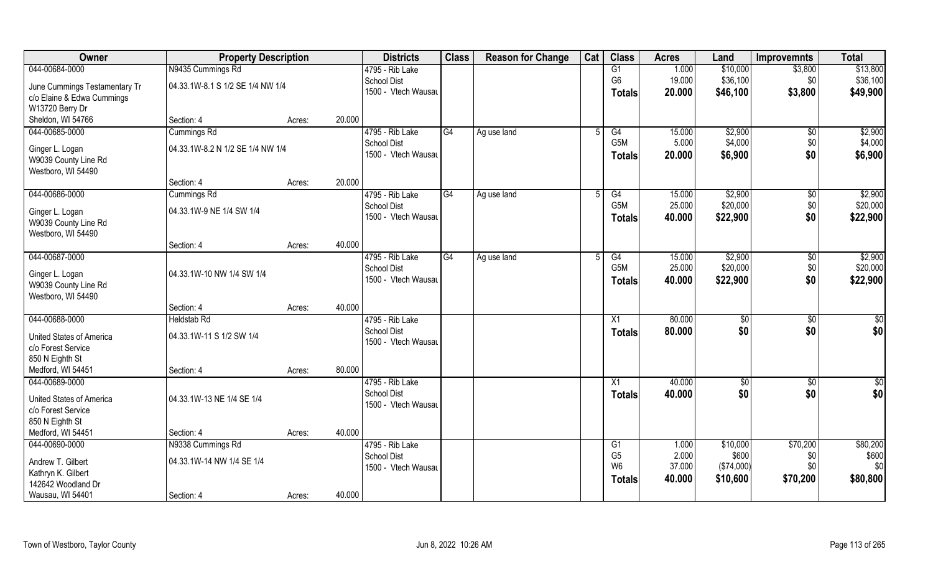| Owner                                    | <b>Property Description</b>      |                  | <b>Districts</b>    | <b>Class</b> | <b>Reason for Change</b> | Cat | <b>Class</b>     | <b>Acres</b> | Land         | <b>Improvemnts</b> | <b>Total</b>    |
|------------------------------------------|----------------------------------|------------------|---------------------|--------------|--------------------------|-----|------------------|--------------|--------------|--------------------|-----------------|
| 044-00684-0000                           | N9435 Cummings Rd                |                  | 4795 - Rib Lake     |              |                          |     | G1               | 1.000        | \$10,000     | \$3,800            | \$13,800        |
| June Cummings Testamentary Tr            | 04.33.1W-8.1 S 1/2 SE 1/4 NW 1/4 |                  | <b>School Dist</b>  |              |                          |     | G <sub>6</sub>   | 19.000       | \$36,100     | \$0                | \$36,100        |
| c/o Elaine & Edwa Cummings               |                                  |                  | 1500 - Vtech Wausau |              |                          |     | Totals           | 20.000       | \$46,100     | \$3,800            | \$49,900        |
| W13720 Berry Dr                          |                                  |                  |                     |              |                          |     |                  |              |              |                    |                 |
| Sheldon, WI 54766                        | Section: 4                       | 20.000<br>Acres: |                     |              |                          |     |                  |              |              |                    |                 |
| 044-00685-0000                           | <b>Cummings Rd</b>               |                  | 4795 - Rib Lake     | G4           | Ag use land              |     | G4               | 15.000       | \$2,900      | \$0                | \$2,900         |
|                                          |                                  |                  | <b>School Dist</b>  |              |                          |     | G5M              | 5.000        | \$4,000      | \$0                | \$4,000         |
| Ginger L. Logan                          | 04.33.1W-8.2 N 1/2 SE 1/4 NW 1/4 |                  | 1500 - Vtech Wausau |              |                          |     | <b>Totals</b>    | 20.000       | \$6,900      | \$0                | \$6,900         |
| W9039 County Line Rd                     |                                  |                  |                     |              |                          |     |                  |              |              |                    |                 |
| Westboro, WI 54490                       |                                  |                  |                     |              |                          |     |                  |              |              |                    |                 |
|                                          | Section: 4                       | 20.000<br>Acres: |                     |              |                          |     |                  |              |              |                    |                 |
| 044-00686-0000                           | Cummings Rd                      |                  | 4795 - Rib Lake     | G4           | Ag use land              | 5   | G4               | 15.000       | \$2,900      | \$0                | \$2,900         |
| Ginger L. Logan                          | 04.33.1W-9 NE 1/4 SW 1/4         |                  | <b>School Dist</b>  |              |                          |     | G <sub>5</sub> M | 25.000       | \$20,000     | \$0                | \$20,000        |
| W9039 County Line Rd                     |                                  |                  | 1500 - Vtech Wausau |              |                          |     | <b>Totals</b>    | 40.000       | \$22,900     | \$0                | \$22,900        |
| Westboro, WI 54490                       |                                  |                  |                     |              |                          |     |                  |              |              |                    |                 |
|                                          | Section: 4                       | 40.000<br>Acres: |                     |              |                          |     |                  |              |              |                    |                 |
| 044-00687-0000                           |                                  |                  | 4795 - Rib Lake     | G4           | Ag use land              |     | G4               | 15.000       | \$2,900      | $\sqrt[6]{3}$      | \$2,900         |
| Ginger L. Logan                          | 04.33.1W-10 NW 1/4 SW 1/4        |                  | <b>School Dist</b>  |              |                          |     | G5M              | 25.000       | \$20,000     | \$0                | \$20,000        |
| W9039 County Line Rd                     |                                  |                  | 1500 - Vtech Wausau |              |                          |     | <b>Totals</b>    | 40.000       | \$22,900     | \$0                | \$22,900        |
| Westboro, WI 54490                       |                                  |                  |                     |              |                          |     |                  |              |              |                    |                 |
|                                          | Section: 4                       | 40.000<br>Acres: |                     |              |                          |     |                  |              |              |                    |                 |
| 044-00688-0000                           | <b>Heldstab Rd</b>               |                  | 4795 - Rib Lake     |              |                          |     | X1               | 80.000       | $\sqrt[6]{}$ | $\overline{50}$    | $\overline{50}$ |
|                                          |                                  |                  | <b>School Dist</b>  |              |                          |     | Totals           | 80.000       | \$0          | \$0                | \$0             |
| United States of America                 | 04.33.1W-11 S 1/2 SW 1/4         |                  | 1500 - Vtech Wausau |              |                          |     |                  |              |              |                    |                 |
| c/o Forest Service                       |                                  |                  |                     |              |                          |     |                  |              |              |                    |                 |
| 850 N Eighth St                          |                                  |                  |                     |              |                          |     |                  |              |              |                    |                 |
| Medford, WI 54451                        | Section: 4                       | 80.000<br>Acres: |                     |              |                          |     |                  |              |              |                    |                 |
| 044-00689-0000                           |                                  |                  | 4795 - Rib Lake     |              |                          |     | X1               | 40.000       | $\sqrt{6}$   | \$0                | \$0             |
| <b>United States of America</b>          | 04.33.1W-13 NE 1/4 SE 1/4        |                  | <b>School Dist</b>  |              |                          |     | <b>Totals</b>    | 40.000       | \$0          | \$0                | \$0             |
| c/o Forest Service                       |                                  |                  | 1500 - Vtech Wausau |              |                          |     |                  |              |              |                    |                 |
| 850 N Eighth St                          |                                  |                  |                     |              |                          |     |                  |              |              |                    |                 |
| Medford, WI 54451                        | Section: 4                       | 40.000<br>Acres: |                     |              |                          |     |                  |              |              |                    |                 |
| 044-00690-0000                           | N9338 Cummings Rd                |                  | 4795 - Rib Lake     |              |                          |     | G1               | 1.000        | \$10,000     | \$70,200           | \$80,200        |
|                                          | 04.33.1W-14 NW 1/4 SE 1/4        |                  | <b>School Dist</b>  |              |                          |     | G <sub>5</sub>   | 2.000        | \$600        | \$0                | \$600           |
| Andrew T. Gilbert                        |                                  |                  | 1500 - Vtech Wausau |              |                          |     | W <sub>6</sub>   | 37.000       | (\$74,000)   | \$0                | \$0             |
| Kathryn K. Gilbert<br>142642 Woodland Dr |                                  |                  |                     |              |                          |     | <b>Totals</b>    | 40.000       | \$10,600     | \$70,200           | \$80,800        |
| Wausau, WI 54401                         | Section: 4                       | 40.000<br>Acres: |                     |              |                          |     |                  |              |              |                    |                 |
|                                          |                                  |                  |                     |              |                          |     |                  |              |              |                    |                 |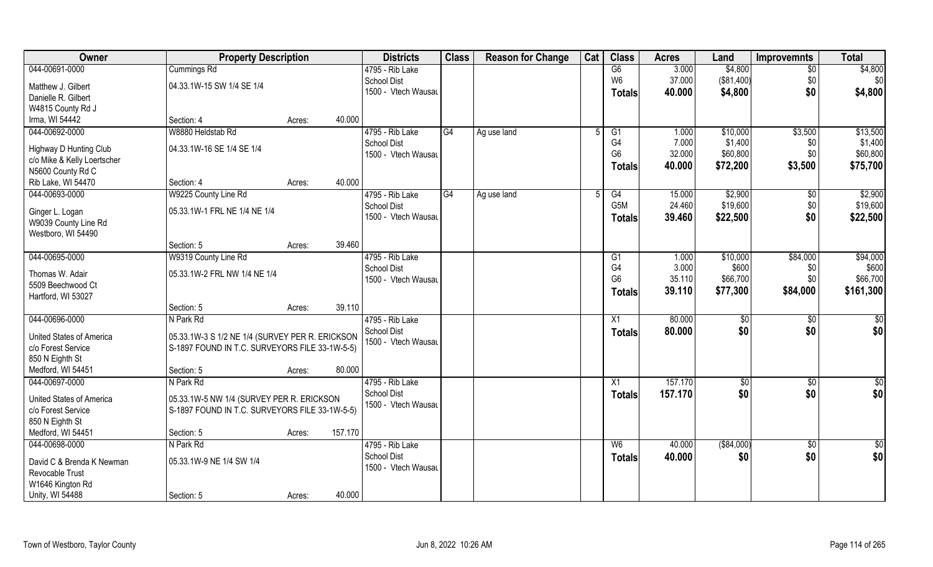| Owner                           | <b>Property Description</b>                     |                   | <b>Districts</b>    | <b>Class</b> | <b>Reason for Change</b> | Cat | <b>Class</b>     | <b>Acres</b> | Land        | <b>Improvemnts</b> | <b>Total</b>    |
|---------------------------------|-------------------------------------------------|-------------------|---------------------|--------------|--------------------------|-----|------------------|--------------|-------------|--------------------|-----------------|
| 044-00691-0000                  | Cummings Rd                                     |                   | 4795 - Rib Lake     |              |                          |     | G6               | 3.000        | \$4,800     | $\overline{50}$    | \$4,800         |
| Matthew J. Gilbert              | 04.33.1W-15 SW 1/4 SE 1/4                       |                   | School Dist         |              |                          |     | W <sub>6</sub>   | 37.000       | (\$81,400)  | \$0                | \$0             |
| Danielle R. Gilbert             |                                                 |                   | 1500 - Vtech Wausau |              |                          |     | <b>Totals</b>    | 40.000       | \$4,800     | \$0                | \$4,800         |
| W4815 County Rd J               |                                                 |                   |                     |              |                          |     |                  |              |             |                    |                 |
| Irma, WI 54442                  | Section: 4                                      | 40.000<br>Acres:  |                     |              |                          |     |                  |              |             |                    |                 |
| 044-00692-0000                  | W8880 Heldstab Rd                               |                   | 4795 - Rib Lake     | G4           | Ag use land              |     | G1               | 1.000        | \$10,000    | \$3,500            | \$13,500        |
| Highway D Hunting Club          | 04.33.1W-16 SE 1/4 SE 1/4                       |                   | School Dist         |              |                          |     | G4               | 7.000        | \$1,400     | \$0                | \$1,400         |
| c/o Mike & Kelly Loertscher     |                                                 |                   | 1500 - Vtech Wausau |              |                          |     | G <sub>6</sub>   | 32.000       | \$60,800    | \$0                | \$60,800        |
| N5600 County Rd C               |                                                 |                   |                     |              |                          |     | <b>Totals</b>    | 40.000       | \$72,200    | \$3,500            | \$75,700        |
| Rib Lake, WI 54470              | Section: 4                                      | 40.000<br>Acres:  |                     |              |                          |     |                  |              |             |                    |                 |
| 044-00693-0000                  | W9225 County Line Rd                            |                   | 4795 - Rib Lake     | G4           | Ag use land              | .5  | G4               | 15.000       | \$2,900     | \$0                | \$2,900         |
| Ginger L. Logan                 | 05.33.1W-1 FRL NE 1/4 NE 1/4                    |                   | <b>School Dist</b>  |              |                          |     | G <sub>5</sub> M | 24.460       | \$19,600    | \$0                | \$19,600        |
| W9039 County Line Rd            |                                                 |                   | 1500 - Vtech Wausau |              |                          |     | <b>Totals</b>    | 39.460       | \$22,500    | \$0                | \$22,500        |
| Westboro, WI 54490              |                                                 |                   |                     |              |                          |     |                  |              |             |                    |                 |
|                                 | Section: 5                                      | 39.460<br>Acres:  |                     |              |                          |     |                  |              |             |                    |                 |
| 044-00695-0000                  | W9319 County Line Rd                            |                   | 4795 - Rib Lake     |              |                          |     | G1               | 1.000        | \$10,000    | \$84,000           | \$94,000        |
| Thomas W. Adair                 | 05.33.1W-2 FRL NW 1/4 NE 1/4                    |                   | <b>School Dist</b>  |              |                          |     | G4               | 3.000        | \$600       | \$0                | \$600           |
| 5509 Beechwood Ct               |                                                 |                   | 1500 - Vtech Wausau |              |                          |     | G <sub>6</sub>   | 35.110       | \$66,700    | \$0                | \$66,700        |
| Hartford, WI 53027              |                                                 |                   |                     |              |                          |     | <b>Totals</b>    | 39.110       | \$77,300    | \$84,000           | \$161,300       |
|                                 | Section: 5                                      | 39.110<br>Acres:  |                     |              |                          |     |                  |              |             |                    |                 |
| 044-00696-0000                  | N Park Rd                                       |                   | 4795 - Rib Lake     |              |                          |     | X1               | 80.000       | \$0         | \$0                | \$0             |
| <b>United States of America</b> | 05.33.1W-3 S 1/2 NE 1/4 (SURVEY PER R. ERICKSON |                   | School Dist         |              |                          |     | <b>Totals</b>    | 80.000       | \$0         | \$0                | \$0             |
| c/o Forest Service              | S-1897 FOUND IN T.C. SURVEYORS FILE 33-1W-5-5)  |                   | 1500 - Vtech Wausau |              |                          |     |                  |              |             |                    |                 |
| 850 N Eighth St                 |                                                 |                   |                     |              |                          |     |                  |              |             |                    |                 |
| Medford, WI 54451               | Section: 5                                      | 80.000<br>Acres:  |                     |              |                          |     |                  |              |             |                    |                 |
| 044-00697-0000                  | N Park Rd                                       |                   | 4795 - Rib Lake     |              |                          |     | X1               | 157.170      | \$0         | \$0                | \$0             |
| <b>United States of America</b> | 05.33.1W-5 NW 1/4 (SURVEY PER R. ERICKSON       |                   | <b>School Dist</b>  |              |                          |     | <b>Totals</b>    | 157.170      | \$0         | \$0                | \$0             |
| c/o Forest Service              | S-1897 FOUND IN T.C. SURVEYORS FILE 33-1W-5-5)  |                   | 1500 - Vtech Wausau |              |                          |     |                  |              |             |                    |                 |
| 850 N Eighth St                 |                                                 |                   |                     |              |                          |     |                  |              |             |                    |                 |
| Medford, WI 54451               | Section: 5                                      | 157.170<br>Acres: |                     |              |                          |     |                  |              |             |                    |                 |
| 044-00698-0000                  | N Park Rd                                       |                   | 4795 - Rib Lake     |              |                          |     | W <sub>6</sub>   | 40.000       | ( \$84,000) | $\sqrt{$0}$        | $\overline{50}$ |
| David C & Brenda K Newman       | 05.33.1W-9 NE 1/4 SW 1/4                        |                   | School Dist         |              |                          |     | <b>Totals</b>    | 40.000       | \$0         | \$0                | \$0             |
| Revocable Trust                 |                                                 |                   | 1500 - Vtech Wausau |              |                          |     |                  |              |             |                    |                 |
| W1646 Kington Rd                |                                                 |                   |                     |              |                          |     |                  |              |             |                    |                 |
| Unity, WI 54488                 | Section: 5                                      | 40.000<br>Acres:  |                     |              |                          |     |                  |              |             |                    |                 |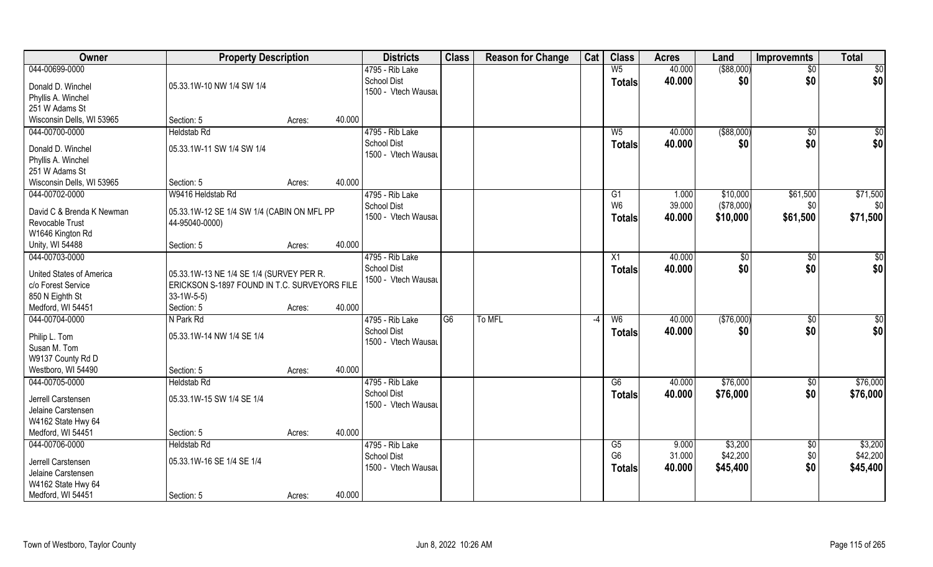| Owner                           | <b>Property Description</b>                  |                  | <b>Districts</b>    | <b>Class</b> | <b>Reason for Change</b> | Cat  | <b>Class</b>   | <b>Acres</b> | Land        | <b>Improvemnts</b> | <b>Total</b>    |
|---------------------------------|----------------------------------------------|------------------|---------------------|--------------|--------------------------|------|----------------|--------------|-------------|--------------------|-----------------|
| 044-00699-0000                  |                                              |                  | 4795 - Rib Lake     |              |                          |      | W <sub>5</sub> | 40.000       | ( \$88,000) | $\overline{50}$    | \$0             |
| Donald D. Winchel               | 05.33.1W-10 NW 1/4 SW 1/4                    |                  | <b>School Dist</b>  |              |                          |      | <b>Totals</b>  | 40.000       | \$0         | \$0                | \$0             |
| Phyllis A. Winchel              |                                              |                  | 1500 - Vtech Wausau |              |                          |      |                |              |             |                    |                 |
| 251 W Adams St                  |                                              |                  |                     |              |                          |      |                |              |             |                    |                 |
| Wisconsin Dells, WI 53965       | Section: 5                                   | 40.000<br>Acres: |                     |              |                          |      |                |              |             |                    |                 |
| 044-00700-0000                  | <b>Heldstab Rd</b>                           |                  | 4795 - Rib Lake     |              |                          |      | W <sub>5</sub> | 40.000       | ( \$88,000) | \$0                | \$0             |
|                                 |                                              |                  | <b>School Dist</b>  |              |                          |      |                |              |             | \$0                |                 |
| Donald D. Winchel               | 05.33.1W-11 SW 1/4 SW 1/4                    |                  | 1500 - Vtech Wausau |              |                          |      | Totals         | 40.000       | \$0         |                    | \$0             |
| Phyllis A. Winchel              |                                              |                  |                     |              |                          |      |                |              |             |                    |                 |
| 251 W Adams St                  |                                              |                  |                     |              |                          |      |                |              |             |                    |                 |
| Wisconsin Dells, WI 53965       | Section: 5                                   | 40.000<br>Acres: |                     |              |                          |      |                |              |             |                    |                 |
| 044-00702-0000                  | W9416 Heldstab Rd                            |                  | 4795 - Rib Lake     |              |                          |      | G1             | 1.000        | \$10,000    | \$61,500           | \$71,500        |
|                                 |                                              |                  | <b>School Dist</b>  |              |                          |      | W <sub>6</sub> | 39.000       | (\$78,000)  | \$0                | \$0             |
| David C & Brenda K Newman       | 05.33.1W-12 SE 1/4 SW 1/4 (CABIN ON MFL PP   |                  | 1500 - Vtech Wausau |              |                          |      | <b>Totals</b>  | 40.000       | \$10,000    | \$61,500           | \$71,500        |
| Revocable Trust                 | 44-95040-0000)                               |                  |                     |              |                          |      |                |              |             |                    |                 |
| W1646 Kington Rd                |                                              |                  |                     |              |                          |      |                |              |             |                    |                 |
| Unity, WI 54488                 | Section: 5                                   | 40.000<br>Acres: |                     |              |                          |      |                |              |             |                    |                 |
| 044-00703-0000                  |                                              |                  | 4795 - Rib Lake     |              |                          |      | X1             | 40.000       | \$0         | \$0                | \$0             |
| <b>United States of America</b> | 05.33.1W-13 NE 1/4 SE 1/4 (SURVEY PER R.     |                  | School Dist         |              |                          |      | <b>Totals</b>  | 40.000       | \$0         | \$0                | \$0             |
| c/o Forest Service              | ERICKSON S-1897 FOUND IN T.C. SURVEYORS FILE |                  | 1500 - Vtech Wausau |              |                          |      |                |              |             |                    |                 |
| 850 N Eighth St                 | $33-1W-5-5$                                  |                  |                     |              |                          |      |                |              |             |                    |                 |
| Medford, WI 54451               | Section: 5                                   | 40.000<br>Acres: |                     |              |                          |      |                |              |             |                    |                 |
| 044-00704-0000                  | N Park Rd                                    |                  | 4795 - Rib Lake     | G6           | To MFL                   | $-4$ | W <sub>6</sub> | 40.000       | (\$76,000)  | \$0                | $\overline{50}$ |
|                                 |                                              |                  | <b>School Dist</b>  |              |                          |      | <b>Totals</b>  | 40.000       | \$0         | \$0                | \$0             |
| Philip L. Tom                   | 05.33.1W-14 NW 1/4 SE 1/4                    |                  | 1500 - Vtech Wausau |              |                          |      |                |              |             |                    |                 |
| Susan M. Tom                    |                                              |                  |                     |              |                          |      |                |              |             |                    |                 |
| W9137 County Rd D               |                                              |                  |                     |              |                          |      |                |              |             |                    |                 |
| Westboro, WI 54490              | Section: 5                                   | 40.000<br>Acres: |                     |              |                          |      |                |              |             |                    |                 |
| 044-00705-0000                  | <b>Heldstab Rd</b>                           |                  | 4795 - Rib Lake     |              |                          |      | G6             | 40.000       | \$76,000    | \$0                | \$76,000        |
| Jerrell Carstensen              | 05.33.1W-15 SW 1/4 SE 1/4                    |                  | School Dist         |              |                          |      | <b>Totals</b>  | 40.000       | \$76,000    | \$0                | \$76,000        |
| Jelaine Carstensen              |                                              |                  | 1500 - Vtech Wausau |              |                          |      |                |              |             |                    |                 |
| W4162 State Hwy 64              |                                              |                  |                     |              |                          |      |                |              |             |                    |                 |
| Medford, WI 54451               | Section: 5                                   | 40.000<br>Acres: |                     |              |                          |      |                |              |             |                    |                 |
| 044-00706-0000                  | <b>Heldstab Rd</b>                           |                  | 4795 - Rib Lake     |              |                          |      | G5             | 9.000        | \$3,200     | $\sqrt{$0}$        | \$3,200         |
|                                 |                                              |                  | <b>School Dist</b>  |              |                          |      | G <sub>6</sub> | 31.000       | \$42,200    | \$0                | \$42,200        |
| Jerrell Carstensen              | 05.33.1W-16 SE 1/4 SE 1/4                    |                  | 1500 - Vtech Wausau |              |                          |      |                | 40.000       | \$45,400    | \$0                | \$45,400        |
| Jelaine Carstensen              |                                              |                  |                     |              |                          |      | <b>Totals</b>  |              |             |                    |                 |
| W4162 State Hwy 64              |                                              |                  |                     |              |                          |      |                |              |             |                    |                 |
| Medford, WI 54451               | Section: 5                                   | 40.000<br>Acres: |                     |              |                          |      |                |              |             |                    |                 |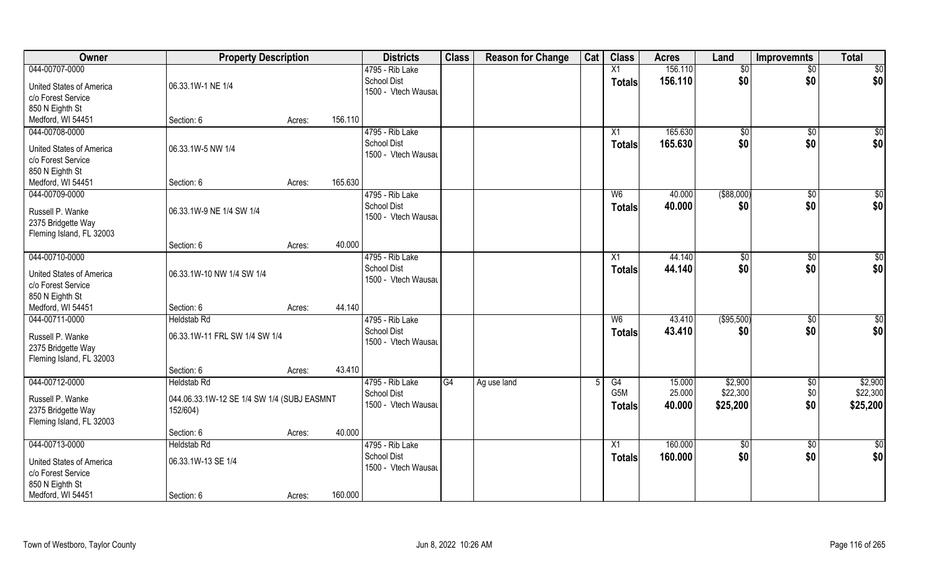| Owner                                          | <b>Property Description</b>                |        |         | <b>Districts</b>    | <b>Class</b> | <b>Reason for Change</b> | Cat | <b>Class</b>    | <b>Acres</b> | Land           | <b>Improvemnts</b> | <b>Total</b>    |
|------------------------------------------------|--------------------------------------------|--------|---------|---------------------|--------------|--------------------------|-----|-----------------|--------------|----------------|--------------------|-----------------|
| 044-00707-0000                                 |                                            |        |         | 4795 - Rib Lake     |              |                          |     | X1              | 156.110      | \$0            | $\sqrt{$0}$        | $\sqrt{50}$     |
| United States of America                       | 06.33.1W-1 NE 1/4                          |        |         | <b>School Dist</b>  |              |                          |     | <b>Totals</b>   | 156.110      | \$0            | \$0                | \$0             |
| c/o Forest Service                             |                                            |        |         | 1500 - Vtech Wausau |              |                          |     |                 |              |                |                    |                 |
| 850 N Eighth St                                |                                            |        |         |                     |              |                          |     |                 |              |                |                    |                 |
| Medford, WI 54451                              | Section: 6                                 | Acres: | 156.110 |                     |              |                          |     |                 |              |                |                    |                 |
| 044-00708-0000                                 |                                            |        |         | 4795 - Rib Lake     |              |                          |     | X1              | 165.630      | \$0            | $\sqrt{$0}$        | \$0             |
| <b>United States of America</b>                | 06.33.1W-5 NW 1/4                          |        |         | <b>School Dist</b>  |              |                          |     | Totals          | 165.630      | \$0            | \$0                | \$0             |
| c/o Forest Service                             |                                            |        |         | 1500 - Vtech Wausau |              |                          |     |                 |              |                |                    |                 |
| 850 N Eighth St                                |                                            |        |         |                     |              |                          |     |                 |              |                |                    |                 |
| Medford, WI 54451                              | Section: 6                                 | Acres: | 165.630 |                     |              |                          |     |                 |              |                |                    |                 |
| 044-00709-0000                                 |                                            |        |         | 4795 - Rib Lake     |              |                          |     | W <sub>6</sub>  | 40.000       | ( \$88,000)    | \$0                | $\sqrt{50}$     |
| Russell P. Wanke                               | 06.33.1W-9 NE 1/4 SW 1/4                   |        |         | <b>School Dist</b>  |              |                          |     | <b>Totals</b>   | 40.000       | \$0            | \$0                | \$0             |
| 2375 Bridgette Way                             |                                            |        |         | 1500 - Vtech Wausau |              |                          |     |                 |              |                |                    |                 |
| Fleming Island, FL 32003                       |                                            |        |         |                     |              |                          |     |                 |              |                |                    |                 |
|                                                | Section: 6                                 | Acres: | 40.000  |                     |              |                          |     |                 |              |                |                    |                 |
| 044-00710-0000                                 |                                            |        |         | 4795 - Rib Lake     |              |                          |     | X1              | 44.140       | $\frac{1}{20}$ | \$0                | $\sqrt{50}$     |
| <b>United States of America</b>                | 06.33.1W-10 NW 1/4 SW 1/4                  |        |         | <b>School Dist</b>  |              |                          |     | <b>Totals</b>   | 44.140       | \$0            | \$0                | \$0             |
| c/o Forest Service                             |                                            |        |         | 1500 - Vtech Wausau |              |                          |     |                 |              |                |                    |                 |
| 850 N Eighth St                                |                                            |        |         |                     |              |                          |     |                 |              |                |                    |                 |
| Medford, WI 54451                              | Section: 6                                 | Acres: | 44.140  |                     |              |                          |     |                 |              |                |                    |                 |
| 044-00711-0000                                 | <b>Heldstab Rd</b>                         |        |         | 4795 - Rib Lake     |              |                          |     | W6              | 43.410       | (\$95,500)     | $\overline{50}$    | $\sqrt{50}$     |
|                                                |                                            |        |         | <b>School Dist</b>  |              |                          |     | <b>Totals</b>   | 43.410       | \$0            | \$0                | \$0             |
| Russell P. Wanke                               | 06.33.1W-11 FRL SW 1/4 SW 1/4              |        |         | 1500 - Vtech Wausau |              |                          |     |                 |              |                |                    |                 |
| 2375 Bridgette Way<br>Fleming Island, FL 32003 |                                            |        |         |                     |              |                          |     |                 |              |                |                    |                 |
|                                                | Section: 6                                 | Acres: | 43.410  |                     |              |                          |     |                 |              |                |                    |                 |
| 044-00712-0000                                 | <b>Heldstab Rd</b>                         |        |         | 4795 - Rib Lake     | G4           | Ag use land              |     | G4              | 15.000       | \$2,900        | $\sqrt{$0}$        | \$2,900         |
|                                                |                                            |        |         | School Dist         |              |                          |     | G5M             | 25.000       | \$22,300       | \$0                | \$22,300        |
| Russell P. Wanke                               | 044.06.33.1W-12 SE 1/4 SW 1/4 (SUBJ EASMNT |        |         | 1500 - Vtech Wausau |              |                          |     | <b>Totals</b>   | 40.000       | \$25,200       | \$0                | \$25,200        |
| 2375 Bridgette Way                             | 152/604)                                   |        |         |                     |              |                          |     |                 |              |                |                    |                 |
| Fleming Island, FL 32003                       |                                            |        | 40.000  |                     |              |                          |     |                 |              |                |                    |                 |
| 044-00713-0000                                 | Section: 6<br><b>Heldstab Rd</b>           | Acres: |         | 4795 - Rib Lake     |              |                          |     | $\overline{X1}$ | 160.000      | $\sqrt{6}$     | $\sqrt{$0}$        | $\overline{50}$ |
|                                                |                                            |        |         | <b>School Dist</b>  |              |                          |     | <b>Totals</b>   | 160.000      | \$0            | \$0                | \$0             |
| <b>United States of America</b>                | 06.33.1W-13 SE 1/4                         |        |         | 1500 - Vtech Wausau |              |                          |     |                 |              |                |                    |                 |
| c/o Forest Service                             |                                            |        |         |                     |              |                          |     |                 |              |                |                    |                 |
| 850 N Eighth St                                |                                            |        |         |                     |              |                          |     |                 |              |                |                    |                 |
| Medford, WI 54451                              | Section: 6                                 | Acres: | 160.000 |                     |              |                          |     |                 |              |                |                    |                 |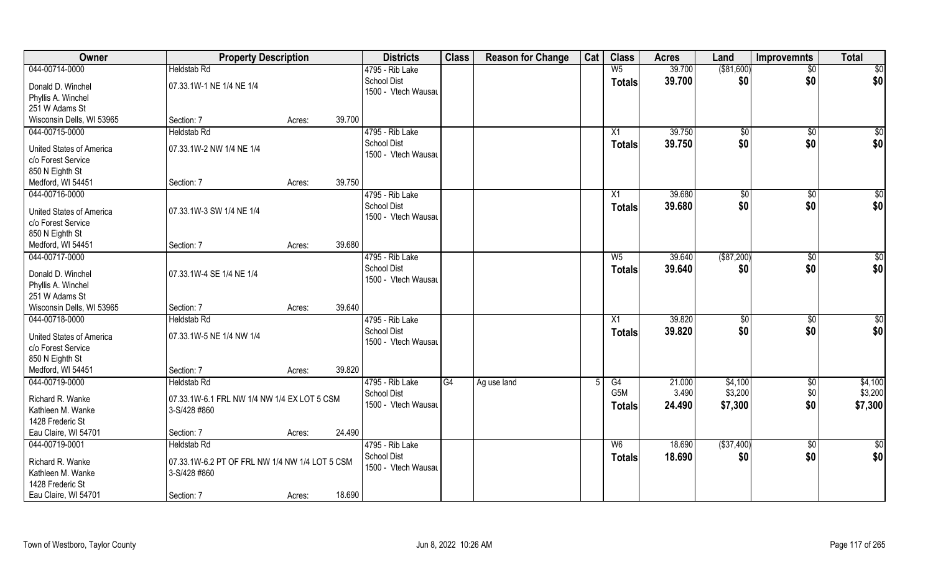| Owner                                                 | <b>Property Description</b>                    |                  | <b>Districts</b>                          | <b>Class</b> | <b>Reason for Change</b> | Cat | <b>Class</b>   | <b>Acres</b> | Land        | <b>Improvemnts</b> | <b>Total</b>    |
|-------------------------------------------------------|------------------------------------------------|------------------|-------------------------------------------|--------------|--------------------------|-----|----------------|--------------|-------------|--------------------|-----------------|
| 044-00714-0000                                        | <b>Heldstab Rd</b>                             |                  | 4795 - Rib Lake                           |              |                          |     | W <sub>5</sub> | 39.700       | ( \$81,600) | $\sqrt{$0}$        | $\sqrt{50}$     |
| Donald D. Winchel                                     | 07.33.1W-1 NE 1/4 NE 1/4                       |                  | <b>School Dist</b><br>1500 - Vtech Wausau |              |                          |     | <b>Totals</b>  | 39.700       | \$0         | \$0                | \$0             |
| Phyllis A. Winchel                                    |                                                |                  |                                           |              |                          |     |                |              |             |                    |                 |
| 251 W Adams St                                        |                                                |                  |                                           |              |                          |     |                |              |             |                    |                 |
| Wisconsin Dells, WI 53965                             | Section: 7                                     | 39.700<br>Acres: |                                           |              |                          |     |                |              |             |                    |                 |
| 044-00715-0000                                        | <b>Heldstab Rd</b>                             |                  | 4795 - Rib Lake                           |              |                          |     | X1             | 39.750       | \$0         | \$0                | $\sqrt{50}$     |
| United States of America                              | 07.33.1W-2 NW 1/4 NE 1/4                       |                  | <b>School Dist</b>                        |              |                          |     | <b>Totals</b>  | 39.750       | \$0         | \$0                | \$0             |
| c/o Forest Service                                    |                                                |                  | 1500 - Vtech Wausau                       |              |                          |     |                |              |             |                    |                 |
| 850 N Eighth St                                       |                                                |                  |                                           |              |                          |     |                |              |             |                    |                 |
| Medford, WI 54451                                     | Section: 7                                     | 39.750<br>Acres: |                                           |              |                          |     |                |              |             |                    |                 |
| 044-00716-0000                                        |                                                |                  | 4795 - Rib Lake                           |              |                          |     | X1             | 39.680       | \$0         | \$0                | $\sqrt{50}$     |
|                                                       | 07.33.1W-3 SW 1/4 NE 1/4                       |                  | <b>School Dist</b>                        |              |                          |     | <b>Totals</b>  | 39.680       | \$0         | \$0                | \$0             |
| <b>United States of America</b><br>c/o Forest Service |                                                |                  | 1500 - Vtech Wausau                       |              |                          |     |                |              |             |                    |                 |
| 850 N Eighth St                                       |                                                |                  |                                           |              |                          |     |                |              |             |                    |                 |
| Medford, WI 54451                                     | Section: 7                                     | 39.680<br>Acres: |                                           |              |                          |     |                |              |             |                    |                 |
| 044-00717-0000                                        |                                                |                  | 4795 - Rib Lake                           |              |                          |     | $W_5$          | 39.640       | ( \$87,200) | $\sqrt[6]{3}$      | \$0             |
|                                                       |                                                |                  | <b>School Dist</b>                        |              |                          |     |                | 39.640       | \$0         | \$0                | \$0             |
| Donald D. Winchel                                     | 07.33.1W-4 SE 1/4 NE 1/4                       |                  | 1500 - Vtech Wausau                       |              |                          |     | <b>Totals</b>  |              |             |                    |                 |
| Phyllis A. Winchel                                    |                                                |                  |                                           |              |                          |     |                |              |             |                    |                 |
| 251 W Adams St                                        |                                                |                  |                                           |              |                          |     |                |              |             |                    |                 |
| Wisconsin Dells, WI 53965                             | Section: 7                                     | 39.640<br>Acres: |                                           |              |                          |     |                |              |             |                    |                 |
| 044-00718-0000                                        | <b>Heldstab Rd</b>                             |                  | 4795 - Rib Lake                           |              |                          |     | X1             | 39.820       | \$0         | \$0                | $\overline{50}$ |
| <b>United States of America</b>                       | 07.33.1W-5 NE 1/4 NW 1/4                       |                  | <b>School Dist</b>                        |              |                          |     | <b>Totals</b>  | 39.820       | \$0         | \$0                | \$0             |
| c/o Forest Service                                    |                                                |                  | 1500 - Vtech Wausau                       |              |                          |     |                |              |             |                    |                 |
| 850 N Eighth St                                       |                                                |                  |                                           |              |                          |     |                |              |             |                    |                 |
| Medford, WI 54451                                     | Section: 7                                     | 39.820<br>Acres: |                                           |              |                          |     |                |              |             |                    |                 |
| 044-00719-0000                                        | <b>Heldstab Rd</b>                             |                  | 4795 - Rib Lake                           | G4           | Ag use land              |     | G4             | 21.000       | \$4,100     | \$0                | \$4,100         |
|                                                       |                                                |                  | School Dist                               |              |                          |     | G5M            | 3.490        | \$3,200     | \$0                | \$3,200         |
| Richard R. Wanke                                      | 07.33.1W-6.1 FRL NW 1/4 NW 1/4 EX LOT 5 CSM    |                  | 1500 - Vtech Wausau                       |              |                          |     | <b>Totals</b>  | 24.490       | \$7,300     | \$0                | \$7,300         |
| Kathleen M. Wanke                                     | 3-S/428 #860                                   |                  |                                           |              |                          |     |                |              |             |                    |                 |
| 1428 Frederic St                                      |                                                |                  |                                           |              |                          |     |                |              |             |                    |                 |
| Eau Claire, WI 54701                                  | Section: 7                                     | 24.490<br>Acres: |                                           |              |                          |     |                |              |             |                    |                 |
| 044-00719-0001                                        | <b>Heldstab Rd</b>                             |                  | 4795 - Rib Lake                           |              |                          |     | W <sub>6</sub> | 18.690       | ( \$37,400) | $\sqrt{$0}$        | \$0             |
| Richard R. Wanke                                      | 07.33.1W-6.2 PT OF FRL NW 1/4 NW 1/4 LOT 5 CSM |                  | School Dist<br>1500 - Vtech Wausau        |              |                          |     | <b>Totals</b>  | 18.690       | \$0         | \$0                | \$0             |
| Kathleen M. Wanke                                     | 3-S/428 #860                                   |                  |                                           |              |                          |     |                |              |             |                    |                 |
| 1428 Frederic St                                      |                                                |                  |                                           |              |                          |     |                |              |             |                    |                 |
| Eau Claire, WI 54701                                  | Section: 7                                     | 18.690<br>Acres: |                                           |              |                          |     |                |              |             |                    |                 |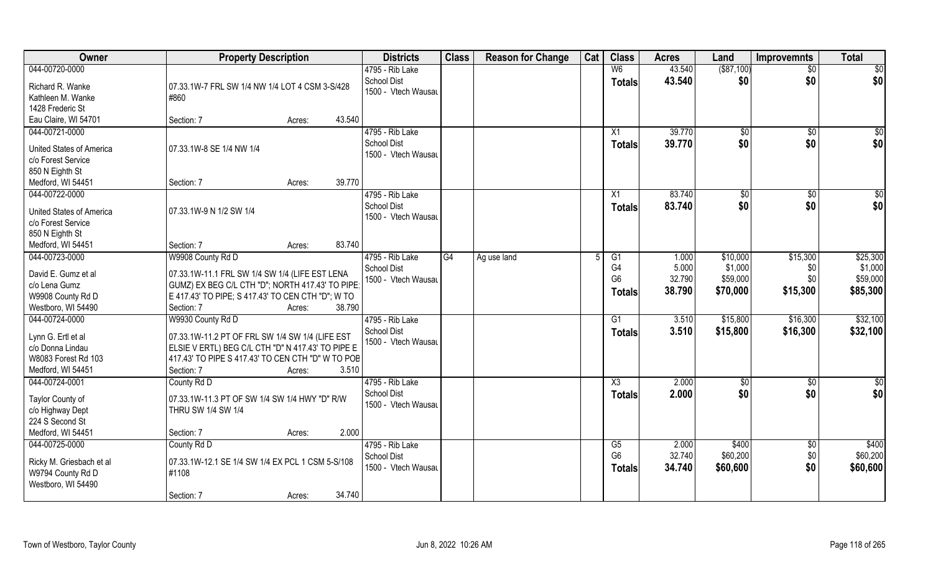| Owner                           | <b>Property Description</b>                       | <b>Districts</b>                   | <b>Class</b> | <b>Reason for Change</b> | Cat | <b>Class</b>           | <b>Acres</b> | Land            | <b>Improvemnts</b> | <b>Total</b>  |
|---------------------------------|---------------------------------------------------|------------------------------------|--------------|--------------------------|-----|------------------------|--------------|-----------------|--------------------|---------------|
| 044-00720-0000                  |                                                   | 4795 - Rib Lake                    |              |                          |     | W <sub>6</sub>         | 43.540       | ( \$87,100)     | $\overline{50}$    | \$0           |
| Richard R. Wanke                | 07.33.1W-7 FRL SW 1/4 NW 1/4 LOT 4 CSM 3-S/428    | <b>School Dist</b>                 |              |                          |     | <b>Totals</b>          | 43.540       | \$0             | \$0                | \$0           |
| Kathleen M. Wanke               | #860                                              | 1500 - Vtech Wausau                |              |                          |     |                        |              |                 |                    |               |
| 1428 Frederic St                |                                                   |                                    |              |                          |     |                        |              |                 |                    |               |
| Eau Claire, WI 54701            | 43.540<br>Section: 7<br>Acres:                    |                                    |              |                          |     |                        |              |                 |                    |               |
| 044-00721-0000                  |                                                   | 4795 - Rib Lake                    |              |                          |     | X1                     | 39.770       | $\overline{50}$ | \$0                | \$0           |
|                                 |                                                   | <b>School Dist</b>                 |              |                          |     | <b>Totals</b>          | 39.770       | \$0             | \$0                | \$0           |
| United States of America        | 07.33.1W-8 SE 1/4 NW 1/4                          | 1500 - Vtech Wausau                |              |                          |     |                        |              |                 |                    |               |
| c/o Forest Service              |                                                   |                                    |              |                          |     |                        |              |                 |                    |               |
| 850 N Eighth St                 | 39.770                                            |                                    |              |                          |     |                        |              |                 |                    |               |
| Medford, WI 54451               | Section: 7<br>Acres:                              |                                    |              |                          |     |                        |              |                 |                    |               |
| 044-00722-0000                  |                                                   | 4795 - Rib Lake                    |              |                          |     | X1                     | 83.740       | $\sqrt[6]{}$    | $\sqrt{6}$         | \$0           |
| <b>United States of America</b> | 07.33.1W-9 N 1/2 SW 1/4                           | School Dist<br>1500 - Vtech Wausau |              |                          |     | <b>Totals</b>          | 83.740       | \$0             | \$0                | \$0           |
| c/o Forest Service              |                                                   |                                    |              |                          |     |                        |              |                 |                    |               |
| 850 N Eighth St                 |                                                   |                                    |              |                          |     |                        |              |                 |                    |               |
| Medford, WI 54451               | 83.740<br>Section: 7<br>Acres:                    |                                    |              |                          |     |                        |              |                 |                    |               |
| 044-00723-0000                  | W9908 County Rd D                                 | 4795 - Rib Lake                    | G4           | Ag use land              |     | G1                     | 1.000        | \$10,000        | \$15,300           | \$25,300      |
| David E. Gumz et al             | 07.33.1W-11.1 FRL SW 1/4 SW 1/4 (LIFE EST LENA    | School Dist                        |              |                          |     | G4                     | 5.000        | \$1,000         | \$0                | \$1,000       |
| c/o Lena Gumz                   | GUMZ) EX BEG C/L CTH "D"; NORTH 417.43' TO PIPE;  | 1500 - Vtech Wausau                |              |                          |     | G <sub>6</sub>         | 32.790       | \$59,000        | \$0                | \$59,000      |
| W9908 County Rd D               | E 417.43' TO PIPE; S 417.43' TO CEN CTH "D"; W TO |                                    |              |                          |     | <b>Totals</b>          | 38.790       | \$70,000        | \$15,300           | \$85,300      |
| Westboro, WI 54490              | Section: 7<br>38.790<br>Acres:                    |                                    |              |                          |     |                        |              |                 |                    |               |
| 044-00724-0000                  | W9930 County Rd D                                 | 4795 - Rib Lake                    |              |                          |     | G1                     | 3.510        | \$15,800        | \$16,300           | \$32,100      |
|                                 |                                                   | School Dist                        |              |                          |     | <b>Totals</b>          | 3.510        | \$15,800        | \$16,300           | \$32,100      |
| Lynn G. Ertl et al              | 07.33.1W-11.2 PT OF FRL SW 1/4 SW 1/4 (LIFE EST   | 1500 - Vtech Wausau                |              |                          |     |                        |              |                 |                    |               |
| c/o Donna Lindau                | ELSIE V ERTL) BEG C/L CTH "D" N 417.43' TO PIPE E |                                    |              |                          |     |                        |              |                 |                    |               |
| W8083 Forest Rd 103             | 417.43' TO PIPE S 417.43' TO CEN CTH "D" W TO POB |                                    |              |                          |     |                        |              |                 |                    |               |
| Medford, WI 54451               | 3.510<br>Section: 7<br>Acres:                     |                                    |              |                          |     |                        |              |                 |                    |               |
| 044-00724-0001                  | County Rd D                                       | 4795 - Rib Lake                    |              |                          |     | $\overline{\text{X3}}$ | 2.000        | $\sqrt{$0}$     | \$0                | $\frac{6}{3}$ |
| Taylor County of                | 07.33.1W-11.3 PT OF SW 1/4 SW 1/4 HWY "D" R/W     | School Dist                        |              |                          |     | <b>Totals</b>          | 2.000        | \$0             | \$0                | \$0           |
| c/o Highway Dept                | THRU SW 1/4 SW 1/4                                | 1500 - Vtech Wausau                |              |                          |     |                        |              |                 |                    |               |
| 224 S Second St                 |                                                   |                                    |              |                          |     |                        |              |                 |                    |               |
| Medford, WI 54451               | 2.000<br>Section: 7<br>Acres:                     |                                    |              |                          |     |                        |              |                 |                    |               |
| 044-00725-0000                  | County Rd D                                       | 4795 - Rib Lake                    |              |                          |     | G5                     | 2.000        | \$400           | \$0                | \$400         |
|                                 |                                                   | <b>School Dist</b>                 |              |                          |     | G <sub>6</sub>         | 32.740       | \$60,200        | \$0                | \$60,200      |
| Ricky M. Griesbach et al        | 07.33.1W-12.1 SE 1/4 SW 1/4 EX PCL 1 CSM 5-S/108  | 1500 - Vtech Wausau                |              |                          |     | <b>Totals</b>          | 34.740       | \$60,600        | \$0                | \$60,600      |
| W9794 County Rd D               | #1108                                             |                                    |              |                          |     |                        |              |                 |                    |               |
| Westboro, WI 54490              | 34.740<br>Section: 7                              |                                    |              |                          |     |                        |              |                 |                    |               |
|                                 | Acres:                                            |                                    |              |                          |     |                        |              |                 |                    |               |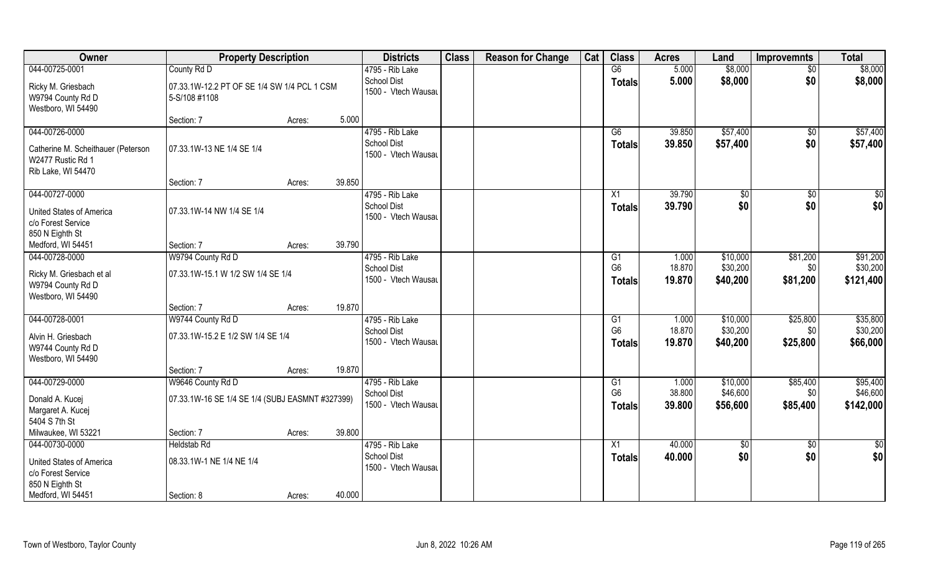| Owner                                                                                           | <b>Property Description</b>                                          |                  | <b>Districts</b>                                             | <b>Class</b> | <b>Reason for Change</b> | Cat | <b>Class</b>                          | <b>Acres</b>              | Land                             | <b>Improvemnts</b>          | <b>Total</b>                      |
|-------------------------------------------------------------------------------------------------|----------------------------------------------------------------------|------------------|--------------------------------------------------------------|--------------|--------------------------|-----|---------------------------------------|---------------------------|----------------------------------|-----------------------------|-----------------------------------|
| 044-00725-0001                                                                                  | County Rd D                                                          |                  | 4795 - Rib Lake                                              |              |                          |     | $\overline{G6}$                       | 5.000                     | \$8,000                          | $\sqrt{$0}$                 | \$8,000                           |
| Ricky M. Griesbach<br>W9794 County Rd D<br>Westboro, WI 54490                                   | 07.33.1W-12.2 PT OF SE 1/4 SW 1/4 PCL 1 CSM<br>5-S/108 #1108         |                  | <b>School Dist</b><br>1500 - Vtech Wausau                    |              |                          |     | <b>Totals</b>                         | 5.000                     | \$8,000                          | \$0                         | \$8,000                           |
|                                                                                                 | Section: 7                                                           | 5.000<br>Acres:  |                                                              |              |                          |     |                                       |                           |                                  |                             |                                   |
| 044-00726-0000<br>Catherine M. Scheithauer (Peterson<br>W2477 Rustic Rd 1<br>Rib Lake, WI 54470 | 07.33.1W-13 NE 1/4 SE 1/4                                            |                  | 4795 - Rib Lake<br><b>School Dist</b><br>1500 - Vtech Wausau |              |                          |     | G6<br>Totals                          | 39.850<br>39.850          | \$57,400<br>\$57,400             | \$0<br>\$0                  | \$57,400<br>\$57,400              |
|                                                                                                 | Section: 7                                                           | 39.850<br>Acres: |                                                              |              |                          |     |                                       |                           |                                  |                             |                                   |
| 044-00727-0000<br><b>United States of America</b><br>c/o Forest Service<br>850 N Eighth St      | 07.33.1W-14 NW 1/4 SE 1/4                                            |                  | 4795 - Rib Lake<br><b>School Dist</b><br>1500 - Vtech Wausau |              |                          |     | X1<br><b>Totals</b>                   | 39.790<br>39.790          | \$0<br>\$0                       | \$0<br>\$0                  | \$0<br>\$0                        |
| Medford, WI 54451                                                                               | Section: 7                                                           | 39.790<br>Acres: |                                                              |              |                          |     |                                       |                           |                                  |                             |                                   |
| 044-00728-0000                                                                                  | W9794 County Rd D                                                    |                  | 4795 - Rib Lake                                              |              |                          |     | G1                                    | 1.000                     | \$10,000                         | \$81,200                    | \$91,200                          |
| Ricky M. Griesbach et al<br>W9794 County Rd D<br>Westboro, WI 54490                             | 07.33.1W-15.1 W 1/2 SW 1/4 SE 1/4                                    |                  | <b>School Dist</b><br>1500 - Vtech Wausau                    |              |                          |     | G <sub>6</sub><br><b>Totals</b>       | 18.870<br>19.870          | \$30,200<br>\$40,200             | \$0<br>\$81,200             | \$30,200<br>\$121,400             |
|                                                                                                 | Section: 7                                                           | 19.870<br>Acres: |                                                              |              |                          |     |                                       |                           |                                  |                             |                                   |
| 044-00728-0001<br>Alvin H. Griesbach<br>W9744 County Rd D                                       | W9744 County Rd D<br>07.33.1W-15.2 E 1/2 SW 1/4 SE 1/4               |                  | 4795 - Rib Lake<br><b>School Dist</b><br>1500 - Vtech Wausau |              |                          |     | G1<br>G <sub>6</sub><br><b>Totals</b> | 1.000<br>18.870<br>19.870 | \$10,000<br>\$30,200<br>\$40,200 | \$25,800<br>\$0<br>\$25,800 | \$35,800<br>\$30,200<br>\$66,000  |
| Westboro, WI 54490                                                                              |                                                                      |                  |                                                              |              |                          |     |                                       |                           |                                  |                             |                                   |
|                                                                                                 | Section: 7                                                           | 19.870<br>Acres: |                                                              |              |                          |     |                                       |                           |                                  |                             |                                   |
| 044-00729-0000<br>Donald A. Kucej<br>Margaret A. Kucej<br>5404 S 7th St                         | W9646 County Rd D<br>07.33.1W-16 SE 1/4 SE 1/4 (SUBJ EASMNT #327399) |                  | 4795 - Rib Lake<br><b>School Dist</b><br>1500 - Vtech Wausau |              |                          |     | G1<br>G <sub>6</sub><br><b>Totals</b> | 1.000<br>38.800<br>39.800 | \$10,000<br>\$46,600<br>\$56,600 | \$85,400<br>\$0<br>\$85,400 | \$95,400<br>\$46,600<br>\$142,000 |
| Milwaukee, WI 53221                                                                             | Section: 7                                                           | 39.800<br>Acres: |                                                              |              |                          |     |                                       |                           |                                  |                             |                                   |
| 044-00730-0000<br><b>United States of America</b><br>c/o Forest Service<br>850 N Eighth St      | <b>Heldstab Rd</b><br>08.33.1W-1 NE 1/4 NE 1/4                       |                  | 4795 - Rib Lake<br><b>School Dist</b><br>1500 - Vtech Wausau |              |                          |     | X1<br><b>Totals</b>                   | 40.000<br>40.000          | \$0<br>\$0                       | $\sqrt{$0}$<br>\$0          | \$0<br>\$0                        |
| Medford, WI 54451                                                                               | Section: 8                                                           | 40.000<br>Acres: |                                                              |              |                          |     |                                       |                           |                                  |                             |                                   |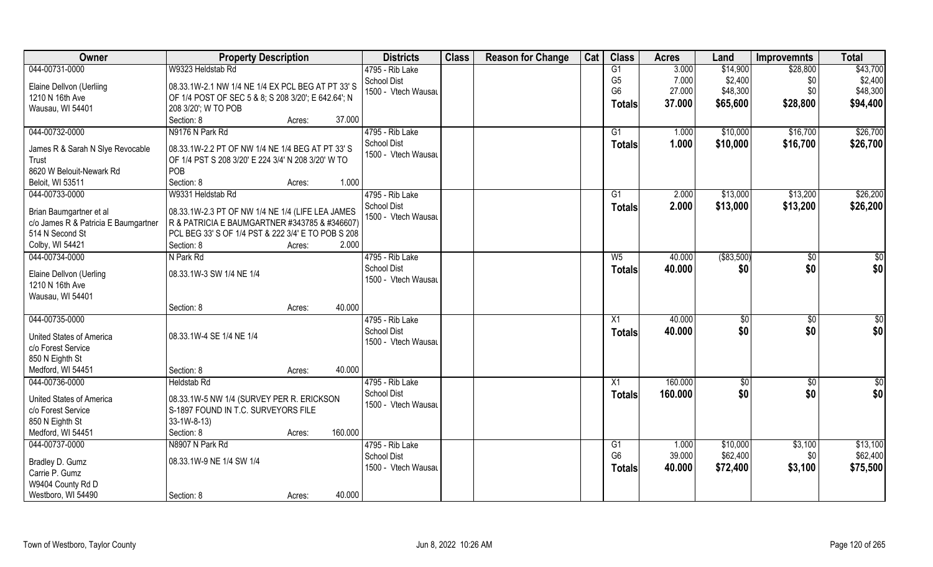| Owner                                | <b>Property Description</b>                         | <b>Districts</b>    | <b>Class</b> | <b>Reason for Change</b> | Cat | <b>Class</b>    | <b>Acres</b> | Land        | <b>Improvemnts</b> | <b>Total</b>  |
|--------------------------------------|-----------------------------------------------------|---------------------|--------------|--------------------------|-----|-----------------|--------------|-------------|--------------------|---------------|
| 044-00731-0000                       | W9323 Heldstab Rd                                   | 4795 - Rib Lake     |              |                          |     | $\overline{G1}$ | 3.000        | \$14,900    | \$28,800           | \$43,700      |
| Elaine Dellvon (Uerliing             | 08.33.1W-2.1 NW 1/4 NE 1/4 EX PCL BEG AT PT 33' S   | <b>School Dist</b>  |              |                          |     | G <sub>5</sub>  | 7.000        | \$2,400     | \$0                | \$2,400       |
| 1210 N 16th Ave                      | OF 1/4 POST OF SEC 5 & 8; S 208 3/20'; E 642.64'; N | 1500 - Vtech Wausau |              |                          |     | G <sub>6</sub>  | 27.000       | \$48,300    | \$0                | \$48,300      |
| Wausau, WI 54401                     | 208 3/20'; W TO POB                                 |                     |              |                          |     | <b>Totals</b>   | 37.000       | \$65,600    | \$28,800           | \$94,400      |
|                                      | Section: 8<br>Acres:                                | 37.000              |              |                          |     |                 |              |             |                    |               |
| 044-00732-0000                       | N9176 N Park Rd                                     | 4795 - Rib Lake     |              |                          |     | G1              | 1.000        | \$10,000    | \$16,700           | \$26,700      |
|                                      |                                                     | <b>School Dist</b>  |              |                          |     | <b>Totals</b>   | 1.000        | \$10,000    | \$16,700           | \$26,700      |
| James R & Sarah N Slye Revocable     | 08.33.1W-2.2 PT OF NW 1/4 NE 1/4 BEG AT PT 33' S    | 1500 - Vtech Wausau |              |                          |     |                 |              |             |                    |               |
| Trust                                | OF 1/4 PST S 208 3/20' E 224 3/4' N 208 3/20' W TO  |                     |              |                          |     |                 |              |             |                    |               |
| 8620 W Belouit-Newark Rd             | POB                                                 |                     |              |                          |     |                 |              |             |                    |               |
| Beloit, WI 53511                     | Section: 8<br>Acres:                                | 1.000               |              |                          |     |                 |              |             |                    |               |
| 044-00733-0000                       | W9331 Heldstab Rd                                   | 4795 - Rib Lake     |              |                          |     | G1              | 2.000        | \$13,000    | \$13,200           | \$26,200      |
| Brian Baumgartner et al              | 08.33.1W-2.3 PT OF NW 1/4 NE 1/4 (LIFE LEA JAMES    | School Dist         |              |                          |     | <b>Totals</b>   | 2.000        | \$13,000    | \$13,200           | \$26,200      |
| c/o James R & Patricia E Baumgartner | R & PATRICIA E BAUMGARTNER #343785 & #346607)       | 1500 - Vtech Wausau |              |                          |     |                 |              |             |                    |               |
| 514 N Second St                      | PCL BEG 33' S OF 1/4 PST & 222 3/4' E TO POB S 208  |                     |              |                          |     |                 |              |             |                    |               |
| Colby, WI 54421                      | Section: 8<br>Acres:                                | 2.000               |              |                          |     |                 |              |             |                    |               |
| 044-00734-0000                       | N Park Rd                                           | 4795 - Rib Lake     |              |                          |     | W <sub>5</sub>  | 40.000       | ( \$83,500) | \$0                | \$0           |
| Elaine Dellvon (Uerling              | 08.33.1W-3 SW 1/4 NE 1/4                            | School Dist         |              |                          |     | <b>Totals</b>   | 40.000       | \$0         | \$0                | \$0           |
| 1210 N 16th Ave                      |                                                     | 1500 - Vtech Wausau |              |                          |     |                 |              |             |                    |               |
| Wausau, WI 54401                     |                                                     |                     |              |                          |     |                 |              |             |                    |               |
|                                      | Section: 8<br>Acres:                                | 40.000              |              |                          |     |                 |              |             |                    |               |
| 044-00735-0000                       |                                                     | 4795 - Rib Lake     |              |                          |     | $\overline{X1}$ | 40.000       | \$0         | \$0                | $\frac{6}{3}$ |
|                                      |                                                     | <b>School Dist</b>  |              |                          |     | <b>Totals</b>   | 40.000       | \$0         | \$0                | \$0           |
| United States of America             | 08.33.1W-4 SE 1/4 NE 1/4                            | 1500 - Vtech Wausau |              |                          |     |                 |              |             |                    |               |
| c/o Forest Service                   |                                                     |                     |              |                          |     |                 |              |             |                    |               |
| 850 N Eighth St                      |                                                     |                     |              |                          |     |                 |              |             |                    |               |
| Medford, WI 54451                    | Section: 8<br>Acres:                                | 40.000              |              |                          |     |                 |              |             |                    |               |
| 044-00736-0000                       | <b>Heldstab Rd</b>                                  | 4795 - Rib Lake     |              |                          |     | $\overline{X1}$ | 160.000      | \$0         | $\sqrt{50}$        | $\frac{6}{3}$ |
| United States of America             | 08.33.1W-5 NW 1/4 (SURVEY PER R. ERICKSON           | <b>School Dist</b>  |              |                          |     | <b>Totals</b>   | 160.000      | \$0         | \$0                | \$0           |
| c/o Forest Service                   | S-1897 FOUND IN T.C. SURVEYORS FILE                 | 1500 - Vtech Wausau |              |                          |     |                 |              |             |                    |               |
| 850 N Eighth St                      | $33-1W-8-13$                                        |                     |              |                          |     |                 |              |             |                    |               |
| Medford, WI 54451                    | 160.000<br>Section: 8<br>Acres:                     |                     |              |                          |     |                 |              |             |                    |               |
| 044-00737-0000                       | N8907 N Park Rd                                     | 4795 - Rib Lake     |              |                          |     | G1              | 1.000        | \$10,000    | \$3,100            | \$13,100      |
|                                      | 08.33.1W-9 NE 1/4 SW 1/4                            | <b>School Dist</b>  |              |                          |     | G <sub>6</sub>  | 39.000       | \$62,400    | \$0                | \$62,400      |
| Bradley D. Gumz<br>Carrie P. Gumz    |                                                     | 1500 - Vtech Wausau |              |                          |     | <b>Totals</b>   | 40.000       | \$72,400    | \$3,100            | \$75,500      |
| W9404 County Rd D                    |                                                     |                     |              |                          |     |                 |              |             |                    |               |
| Westboro, WI 54490                   | Section: 8                                          | 40.000              |              |                          |     |                 |              |             |                    |               |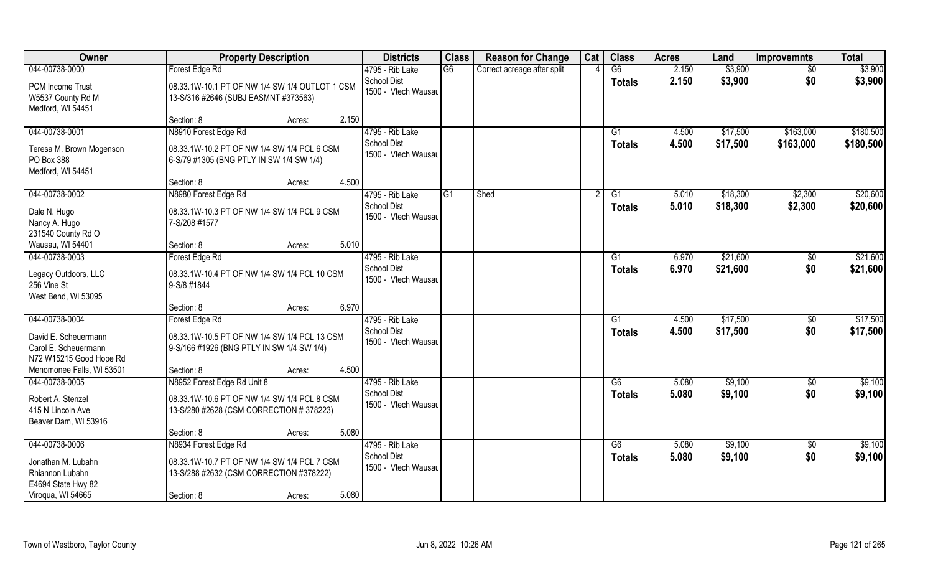| Owner                                                                   | <b>Property Description</b>                                                               | <b>Districts</b>                          | <b>Class</b> | <b>Reason for Change</b>    | Cat | <b>Class</b>  | <b>Acres</b> | Land     | <b>Improvemnts</b> | <b>Total</b> |
|-------------------------------------------------------------------------|-------------------------------------------------------------------------------------------|-------------------------------------------|--------------|-----------------------------|-----|---------------|--------------|----------|--------------------|--------------|
| 044-00738-0000                                                          | Forest Edge Rd                                                                            | 4795 - Rib Lake                           | G6           | Correct acreage after split |     | G6            | 2.150        | \$3,900  | $\sqrt{6}$         | \$3,900      |
| PCM Income Trust<br>W5537 County Rd M<br>Medford, WI 54451              | 08.33.1W-10.1 PT OF NW 1/4 SW 1/4 OUTLOT 1 CSM<br>13-S/316 #2646 (SUBJ EASMNT #373563)    | School Dist<br>1500 - Vtech Wausau        |              |                             |     | <b>Totals</b> | 2.150        | \$3,900  | \$0                | \$3,900      |
|                                                                         | 2.150<br>Section: 8<br>Acres:                                                             |                                           |              |                             |     |               |              |          |                    |              |
| 044-00738-0001                                                          | N8910 Forest Edge Rd                                                                      | 4795 - Rib Lake                           |              |                             |     | G1            | 4.500        | \$17,500 | \$163,000          | \$180,500    |
| Teresa M. Brown Mogenson<br>PO Box 388<br>Medford, WI 54451             | 08.33.1W-10.2 PT OF NW 1/4 SW 1/4 PCL 6 CSM<br>6-S/79 #1305 (BNG PTLY IN SW 1/4 SW 1/4)   | <b>School Dist</b><br>1500 - Vtech Wausau |              |                             |     | <b>Totals</b> | 4.500        | \$17,500 | \$163,000          | \$180,500    |
|                                                                         | 4.500<br>Section: 8<br>Acres:                                                             |                                           |              |                             |     |               |              |          |                    |              |
| 044-00738-0002                                                          | N8980 Forest Edge Rd                                                                      | 4795 - Rib Lake                           | G1           | Shed                        |     | G1            | 5.010        | \$18,300 | \$2,300            | \$20,600     |
| Dale N. Hugo<br>Nancy A. Hugo<br>231540 County Rd O                     | 08.33.1W-10.3 PT OF NW 1/4 SW 1/4 PCL 9 CSM<br>7-S/208 #1577                              | <b>School Dist</b><br>1500 - Vtech Wausau |              |                             |     | <b>Totals</b> | 5.010        | \$18,300 | \$2,300            | \$20,600     |
| Wausau, WI 54401                                                        | 5.010<br>Section: 8<br>Acres:                                                             |                                           |              |                             |     |               |              |          |                    |              |
| 044-00738-0003                                                          | Forest Edge Rd                                                                            | 4795 - Rib Lake                           |              |                             |     | G1            | 6.970        | \$21,600 | $\sqrt[6]{3}$      | \$21,600     |
| Legacy Outdoors, LLC<br>256 Vine St<br>West Bend, WI 53095              | 08.33.1W-10.4 PT OF NW 1/4 SW 1/4 PCL 10 CSM<br>9-S/8 #1844                               | <b>School Dist</b><br>1500 - Vtech Wausau |              |                             |     | <b>Totals</b> | 6.970        | \$21,600 | \$0                | \$21,600     |
|                                                                         | 6.970<br>Section: 8<br>Acres:                                                             |                                           |              |                             |     |               |              |          |                    |              |
| 044-00738-0004                                                          | Forest Edge Rd                                                                            | 4795 - Rib Lake                           |              |                             |     | G1            | 4.500        | \$17,500 | \$0                | \$17,500     |
| David E. Scheuermann<br>Carol E. Scheuermann<br>N72 W15215 Good Hope Rd | 08.33.1W-10.5 PT OF NW 1/4 SW 1/4 PCL 13 CSM<br>9-S/166 #1926 (BNG PTLY IN SW 1/4 SW 1/4) | <b>School Dist</b><br>1500 - Vtech Wausau |              |                             |     | <b>Totals</b> | 4.500        | \$17,500 | \$0                | \$17,500     |
| Menomonee Falls, WI 53501                                               | 4.500<br>Section: 8<br>Acres:                                                             |                                           |              |                             |     |               |              |          |                    |              |
| 044-00738-0005                                                          | N8952 Forest Edge Rd Unit 8                                                               | 4795 - Rib Lake                           |              |                             |     | G6            | 5.080        | \$9,100  | \$0                | \$9,100      |
| Robert A. Stenzel<br>415 N Lincoln Ave<br>Beaver Dam, WI 53916          | 08.33.1W-10.6 PT OF NW 1/4 SW 1/4 PCL 8 CSM<br>13-S/280 #2628 (CSM CORRECTION # 378223)   | <b>School Dist</b><br>1500 - Vtech Wausau |              |                             |     | <b>Totals</b> | 5.080        | \$9,100  | \$0                | \$9,100      |
|                                                                         | 5.080<br>Section: 8<br>Acres:                                                             |                                           |              |                             |     |               |              |          |                    |              |
| 044-00738-0006                                                          | N8934 Forest Edge Rd                                                                      | 4795 - Rib Lake                           |              |                             |     | G6            | 5.080        | \$9,100  | $\sqrt{$0}$        | \$9,100      |
| Jonathan M. Lubahn<br>Rhiannon Lubahn<br>E4694 State Hwy 82             | 08.33.1W-10.7 PT OF NW 1/4 SW 1/4 PCL 7 CSM<br>13-S/288 #2632 (CSM CORRECTION #378222)    | <b>School Dist</b><br>1500 - Vtech Wausau |              |                             |     | <b>Totals</b> | 5.080        | \$9,100  | \$0                | \$9,100      |
| Viroqua, WI 54665                                                       | 5.080<br>Section: 8<br>Acres:                                                             |                                           |              |                             |     |               |              |          |                    |              |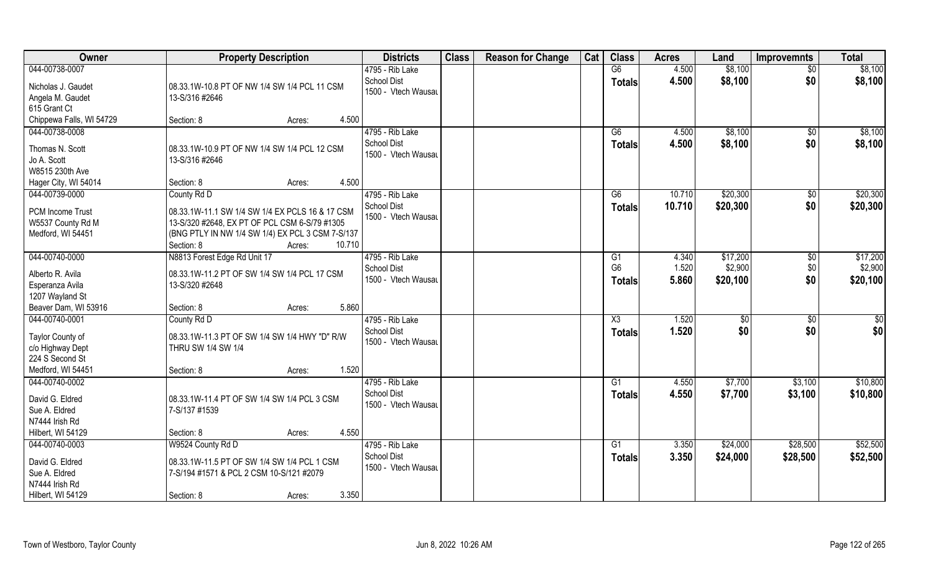| Owner                                      | <b>Property Description</b>                                    | <b>Districts</b>                          | <b>Class</b> | <b>Reason for Change</b> | Cat | <b>Class</b>   | <b>Acres</b>   | Land               | <b>Improvemnts</b> | <b>Total</b>       |
|--------------------------------------------|----------------------------------------------------------------|-------------------------------------------|--------------|--------------------------|-----|----------------|----------------|--------------------|--------------------|--------------------|
| 044-00738-0007                             |                                                                | 4795 - Rib Lake                           |              |                          |     | G6             | 4.500          | \$8,100            | $\overline{50}$    | \$8,100            |
| Nicholas J. Gaudet<br>Angela M. Gaudet     | 08.33.1W-10.8 PT OF NW 1/4 SW 1/4 PCL 11 CSM<br>13-S/316 #2646 | School Dist<br>1500 - Vtech Wausau        |              |                          |     | <b>Totals</b>  | 4.500          | \$8,100            | \$0                | \$8,100            |
| 615 Grant Ct                               | 4.500                                                          |                                           |              |                          |     |                |                |                    |                    |                    |
| Chippewa Falls, WI 54729<br>044-00738-0008 | Section: 8<br>Acres:                                           | 4795 - Rib Lake                           |              |                          |     |                |                |                    |                    |                    |
|                                            |                                                                | <b>School Dist</b>                        |              |                          |     | G6<br>Totals   | 4.500<br>4.500 | \$8,100<br>\$8,100 | \$0<br>\$0         | \$8,100<br>\$8,100 |
| Thomas N. Scott                            | 08.33.1W-10.9 PT OF NW 1/4 SW 1/4 PCL 12 CSM                   | 1500 - Vtech Wausau                       |              |                          |     |                |                |                    |                    |                    |
| Jo A. Scott                                | 13-S/316 #2646                                                 |                                           |              |                          |     |                |                |                    |                    |                    |
| W8515 230th Ave                            |                                                                |                                           |              |                          |     |                |                |                    |                    |                    |
| Hager City, WI 54014                       | 4.500<br>Section: 8<br>Acres:                                  |                                           |              |                          |     |                |                |                    |                    |                    |
| 044-00739-0000                             | County Rd D                                                    | 4795 - Rib Lake                           |              |                          |     | G6             | 10.710         | \$20,300           | $\sqrt[6]{3}$      | \$20,300           |
| <b>PCM Income Trust</b>                    | 08.33.1W-11.1 SW 1/4 SW 1/4 EX PCLS 16 & 17 CSM                | <b>School Dist</b><br>1500 - Vtech Wausau |              |                          |     | <b>Totals</b>  | 10.710         | \$20,300           | \$0                | \$20,300           |
| W5537 County Rd M                          | 13-S/320 #2648, EX PT OF PCL CSM 6-S/79 #1305                  |                                           |              |                          |     |                |                |                    |                    |                    |
| Medford, WI 54451                          | (BNG PTLY IN NW 1/4 SW 1/4) EX PCL 3 CSM 7-S/137               |                                           |              |                          |     |                |                |                    |                    |                    |
|                                            | 10.710<br>Section: 8<br>Acres:                                 |                                           |              |                          |     |                |                |                    |                    |                    |
| 044-00740-0000                             | N8813 Forest Edge Rd Unit 17                                   | 4795 - Rib Lake                           |              |                          |     | G <sub>1</sub> | 4.340          | \$17,200           | \$0                | \$17,200           |
| Alberto R. Avila                           | 08.33.1W-11.2 PT OF SW 1/4 SW 1/4 PCL 17 CSM                   | <b>School Dist</b>                        |              |                          |     | G <sub>6</sub> | 1.520          | \$2,900            | \$0                | \$2,900            |
| Esperanza Avila                            | 13-S/320 #2648                                                 | 1500 - Vtech Wausau                       |              |                          |     | <b>Totals</b>  | 5.860          | \$20,100           | \$0                | \$20,100           |
| 1207 Wayland St                            |                                                                |                                           |              |                          |     |                |                |                    |                    |                    |
| Beaver Dam, WI 53916                       | 5.860<br>Section: 8<br>Acres:                                  |                                           |              |                          |     |                |                |                    |                    |                    |
| 044-00740-0001                             | County Rd D                                                    | 4795 - Rib Lake                           |              |                          |     | X3             | 1.520          | \$0                | \$0                | \$0                |
|                                            |                                                                | <b>School Dist</b>                        |              |                          |     | <b>Totals</b>  | 1.520          | \$0                | \$0                | \$0                |
| Taylor County of                           | 08.33.1W-11.3 PT OF SW 1/4 SW 1/4 HWY "D" R/W                  | 1500 - Vtech Wausau                       |              |                          |     |                |                |                    |                    |                    |
| c/o Highway Dept<br>224 S Second St        | THRU SW 1/4 SW 1/4                                             |                                           |              |                          |     |                |                |                    |                    |                    |
| Medford, WI 54451                          | 1.520<br>Section: 8<br>Acres:                                  |                                           |              |                          |     |                |                |                    |                    |                    |
| 044-00740-0002                             |                                                                | 4795 - Rib Lake                           |              |                          |     | G1             | 4.550          | \$7,700            | \$3,100            | \$10,800           |
|                                            |                                                                | School Dist                               |              |                          |     | <b>Totals</b>  | 4.550          | \$7,700            | \$3,100            | \$10,800           |
| David G. Eldred                            | 08.33.1W-11.4 PT OF SW 1/4 SW 1/4 PCL 3 CSM                    | 1500 - Vtech Wausau                       |              |                          |     |                |                |                    |                    |                    |
| Sue A. Eldred                              | 7-S/137 #1539                                                  |                                           |              |                          |     |                |                |                    |                    |                    |
| N7444 Irish Rd                             |                                                                |                                           |              |                          |     |                |                |                    |                    |                    |
| Hilbert, WI 54129                          | 4.550<br>Section: 8<br>Acres:                                  |                                           |              |                          |     |                |                |                    |                    |                    |
| 044-00740-0003                             | W9524 County Rd D                                              | 4795 - Rib Lake                           |              |                          |     | G1             | 3.350          | \$24,000           | \$28,500           | \$52,500           |
| David G. Eldred                            | 08.33.1W-11.5 PT OF SW 1/4 SW 1/4 PCL 1 CSM                    | <b>School Dist</b>                        |              |                          |     | <b>Totals</b>  | 3.350          | \$24,000           | \$28,500           | \$52,500           |
| Sue A. Eldred                              | 7-S/194 #1571 & PCL 2 CSM 10-S/121 #2079                       | 1500 - Vtech Wausau                       |              |                          |     |                |                |                    |                    |                    |
| N7444 Irish Rd                             |                                                                |                                           |              |                          |     |                |                |                    |                    |                    |
| Hilbert, WI 54129                          | 3.350<br>Section: 8<br>Acres:                                  |                                           |              |                          |     |                |                |                    |                    |                    |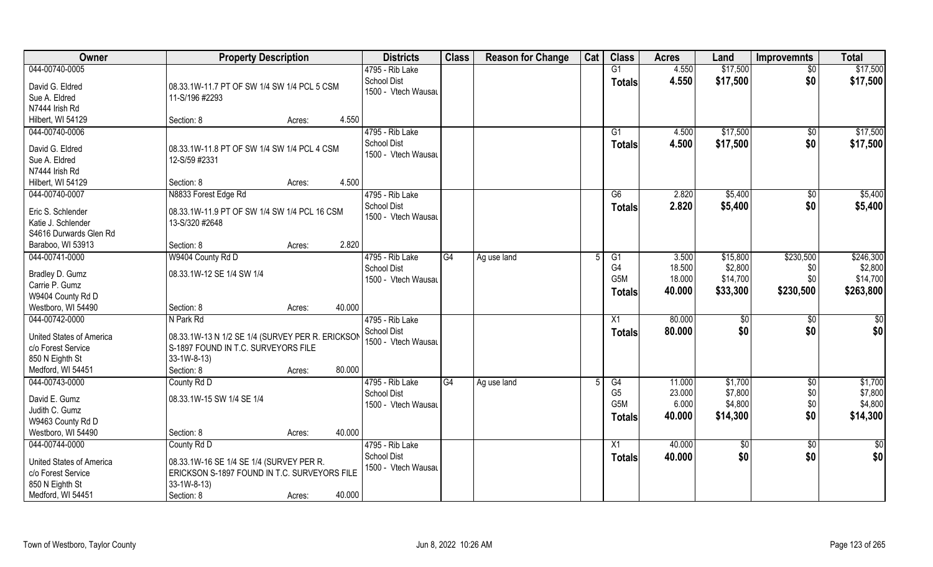| Owner                                                                                                    | <b>Property Description</b>                                                                                                                    |        | <b>Districts</b>                                             | <b>Class</b> | <b>Reason for Change</b> | Cat | <b>Class</b>                           | <b>Acres</b>              | Land                           | <b>Improvemnts</b>       | <b>Total</b>                   |
|----------------------------------------------------------------------------------------------------------|------------------------------------------------------------------------------------------------------------------------------------------------|--------|--------------------------------------------------------------|--------------|--------------------------|-----|----------------------------------------|---------------------------|--------------------------------|--------------------------|--------------------------------|
| 044-00740-0005                                                                                           |                                                                                                                                                |        | 4795 - Rib Lake                                              |              |                          |     | G1                                     | 4.550                     | \$17,500                       | $\overline{50}$          | \$17,500                       |
| David G. Eldred<br>Sue A. Eldred<br>N7444 Irish Rd                                                       | 08.33.1W-11.7 PT OF SW 1/4 SW 1/4 PCL 5 CSM<br>11-S/196 #2293                                                                                  |        | School Dist<br>1500 - Vtech Wausau                           |              |                          |     | <b>Totals</b>                          | 4.550                     | \$17,500                       | \$0                      | \$17,500                       |
| Hilbert, WI 54129                                                                                        | Section: 8<br>Acres:                                                                                                                           | 4.550  |                                                              |              |                          |     |                                        |                           |                                |                          |                                |
| 044-00740-0006<br>David G. Eldred                                                                        | 08.33.1W-11.8 PT OF SW 1/4 SW 1/4 PCL 4 CSM                                                                                                    |        | 4795 - Rib Lake<br><b>School Dist</b><br>1500 - Vtech Wausau |              |                          |     | G <sub>1</sub><br><b>Totals</b>        | 4.500<br>4.500            | \$17,500<br>\$17,500           | \$0<br>\$0               | \$17,500<br>\$17,500           |
| Sue A. Eldred<br>N7444 Irish Rd<br>Hilbert, WI 54129                                                     | 12-S/59 #2331<br>Section: 8<br>Acres:                                                                                                          | 4.500  |                                                              |              |                          |     |                                        |                           |                                |                          |                                |
| 044-00740-0007                                                                                           | N8833 Forest Edge Rd                                                                                                                           |        | 4795 - Rib Lake                                              |              |                          |     | G6                                     | 2.820                     | \$5,400                        | $\sqrt[6]{30}$           | \$5,400                        |
| Eric S. Schlender<br>Katie J. Schlender<br>S4616 Durwards Glen Rd                                        | 08.33.1W-11.9 PT OF SW 1/4 SW 1/4 PCL 16 CSM<br>13-S/320 #2648                                                                                 |        | <b>School Dist</b><br>1500 - Vtech Wausau                    |              |                          |     | <b>Totals</b>                          | 2.820                     | \$5,400                        | \$0                      | \$5,400                        |
| Baraboo, WI 53913                                                                                        | Section: 8<br>Acres:                                                                                                                           | 2.820  |                                                              |              |                          |     |                                        |                           |                                |                          |                                |
| 044-00741-0000                                                                                           | W9404 County Rd D                                                                                                                              |        | 4795 - Rib Lake<br>School Dist                               | G4           | Ag use land              | 5   | G1<br>G4                               | 3.500<br>18.500           | \$15,800<br>\$2,800            | \$230,500<br>\$0         | \$246,300<br>\$2,800           |
| Bradley D. Gumz<br>Carrie P. Gumz<br>W9404 County Rd D                                                   | 08.33.1W-12 SE 1/4 SW 1/4                                                                                                                      |        | 1500 - Vtech Wausau                                          |              |                          |     | G5M<br><b>Totals</b>                   | 18.000<br>40.000          | \$14,700<br>\$33,300           | \$0<br>\$230,500         | \$14,700<br>\$263,800          |
| Westboro, WI 54490                                                                                       | Section: 8<br>Acres:                                                                                                                           | 40.000 |                                                              |              |                          |     |                                        |                           |                                |                          |                                |
| 044-00742-0000                                                                                           | N Park Rd                                                                                                                                      |        | 4795 - Rib Lake<br><b>School Dist</b>                        |              |                          |     | X1<br><b>Totals</b>                    | 80.000<br>80.000          | $\sqrt[6]{3}$<br>\$0           | \$0<br>\$0               | $\overline{50}$<br>\$0         |
| United States of America<br>c/o Forest Service<br>850 N Eighth St                                        | 08.33.1W-13 N 1/2 SE 1/4 (SURVEY PER R. ERICKSON<br>S-1897 FOUND IN T.C. SURVEYORS FILE<br>33-1W-8-13)                                         |        | 1500 - Vtech Wausau                                          |              |                          |     |                                        |                           |                                |                          |                                |
| Medford, WI 54451<br>044-00743-0000                                                                      | Section: 8<br>Acres:<br>County Rd D                                                                                                            | 80.000 | 4795 - Rib Lake                                              | G4           |                          | .5  | G4                                     | 11.000                    | \$1,700                        |                          | \$1,700                        |
| David E. Gumz<br>Judith C. Gumz<br>W9463 County Rd D                                                     | 08.33.1W-15 SW 1/4 SE 1/4                                                                                                                      |        | <b>School Dist</b><br>1500 - Vtech Wausau                    |              | Ag use land              |     | G <sub>5</sub><br>G5M<br><b>Totals</b> | 23.000<br>6.000<br>40.000 | \$7,800<br>\$4,800<br>\$14,300 | \$0<br>\$0<br>\$0<br>\$0 | \$7,800<br>\$4,800<br>\$14,300 |
| Westboro, WI 54490                                                                                       | Section: 8<br>Acres:                                                                                                                           | 40.000 |                                                              |              |                          |     |                                        |                           |                                |                          |                                |
| 044-00744-0000<br>United States of America<br>c/o Forest Service<br>850 N Eighth St<br>Medford, WI 54451 | County Rd D<br>08.33.1W-16 SE 1/4 SE 1/4 (SURVEY PER R.<br>ERICKSON S-1897 FOUND IN T.C. SURVEYORS FILE<br>33-1W-8-13)<br>Section: 8<br>Acres: | 40.000 | 4795 - Rib Lake<br><b>School Dist</b><br>1500 - Vtech Wausau |              |                          |     | X1<br><b>Totals</b>                    | 40.000<br>40.000          | $\overline{50}$<br>\$0         | $\sqrt{$0}$<br>\$0       | $\overline{\$0}$<br>\$0        |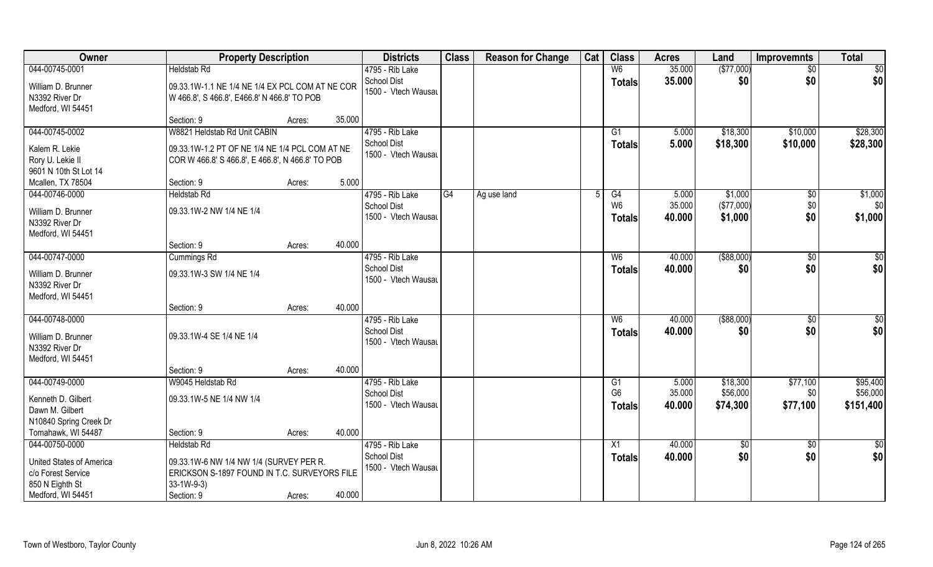| Owner                                                                                  | <b>Property Description</b>                                                                                          |        |        | <b>Districts</b>                                             | <b>Class</b> | <b>Reason for Change</b> | Cat | <b>Class</b>                          | <b>Acres</b>              | Land                             | <b>Improvemnts</b> | <b>Total</b>              |
|----------------------------------------------------------------------------------------|----------------------------------------------------------------------------------------------------------------------|--------|--------|--------------------------------------------------------------|--------------|--------------------------|-----|---------------------------------------|---------------------------|----------------------------------|--------------------|---------------------------|
| 044-00745-0001                                                                         | <b>Heldstab Rd</b>                                                                                                   |        |        | 4795 - Rib Lake                                              |              |                          |     | W <sub>6</sub>                        | 35.000                    | (\$77,000)                       | \$0                | \$0                       |
| William D. Brunner<br>N3392 River Dr<br>Medford, WI 54451                              | 09.33.1W-1.1 NE 1/4 NE 1/4 EX PCL COM AT NE COR<br>W 466.8', S 466.8', E466.8' N 466.8' TO POB                       |        |        | <b>School Dist</b><br>1500 - Vtech Wausau                    |              |                          |     | <b>Totals</b>                         | 35.000                    | \$0                              | \$0                | \$0                       |
|                                                                                        | Section: 9                                                                                                           | Acres: | 35.000 |                                                              |              |                          |     |                                       |                           |                                  |                    |                           |
| 044-00745-0002                                                                         | W8821 Heldstab Rd Unit CABIN                                                                                         |        |        | 4795 - Rib Lake                                              |              |                          |     | G1                                    | 5.000                     | \$18,300                         | \$10,000           | \$28,300                  |
| Kalem R. Lekie<br>Rory U. Lekie II<br>9601 N 10th St Lot 14                            | 09.33.1W-1.2 PT OF NE 1/4 NE 1/4 PCL COM AT NE<br>COR W 466.8' S 466.8', E 466.8', N 466.8' TO POB                   |        |        | School Dist<br>1500 - Vtech Wausau                           |              |                          |     | <b>Totals</b>                         | 5.000                     | \$18,300                         | \$10,000           | \$28,300                  |
| Mcallen, TX 78504                                                                      | Section: 9                                                                                                           | Acres: | 5.000  |                                                              |              |                          |     |                                       |                           |                                  |                    |                           |
| 044-00746-0000<br>William D. Brunner<br>N3392 River Dr<br>Medford, WI 54451            | <b>Heldstab Rd</b><br>09.33.1W-2 NW 1/4 NE 1/4                                                                       |        |        | 4795 - Rib Lake<br><b>School Dist</b><br>1500 - Vtech Wausau | G4           | Ag use land              |     | G4<br>W <sub>6</sub><br><b>Totals</b> | 5.000<br>35.000<br>40.000 | \$1,000<br>(\$77,000)<br>\$1,000 | \$0<br>\$0<br>\$0  | \$1,000<br>\$0<br>\$1,000 |
|                                                                                        | Section: 9                                                                                                           | Acres: | 40.000 |                                                              |              |                          |     |                                       |                           |                                  |                    |                           |
| 044-00747-0000                                                                         | Cummings Rd                                                                                                          |        |        | 4795 - Rib Lake                                              |              |                          |     | W <sub>6</sub>                        | 40.000                    | $($ \$88,000)                    | \$0                | \$0                       |
| William D. Brunner<br>N3392 River Dr<br>Medford, WI 54451                              | 09.33.1W-3 SW 1/4 NE 1/4                                                                                             |        |        | <b>School Dist</b><br>1500 - Vtech Wausau                    |              |                          |     | <b>Totals</b>                         | 40.000                    | \$0                              | \$0                | \$0                       |
|                                                                                        | Section: 9                                                                                                           | Acres: | 40.000 |                                                              |              |                          |     |                                       |                           |                                  |                    |                           |
| 044-00748-0000<br>William D. Brunner<br>N3392 River Dr<br>Medford, WI 54451            | 09.33.1W-4 SE 1/4 NE 1/4                                                                                             |        |        | 4795 - Rib Lake<br><b>School Dist</b><br>1500 - Vtech Wausau |              |                          |     | W6<br><b>Totals</b>                   | 40.000<br>40.000          | ( \$88,000)<br>\$0               | \$0<br>\$0         | \$0<br>\$0                |
|                                                                                        | Section: 9                                                                                                           | Acres: | 40.000 |                                                              |              |                          |     |                                       |                           |                                  |                    |                           |
| 044-00749-0000                                                                         | W9045 Heldstab Rd                                                                                                    |        |        | 4795 - Rib Lake                                              |              |                          |     | G1                                    | 5.000                     | \$18,300                         | \$77,100           | \$95,400                  |
| Kenneth D. Gilbert<br>Dawn M. Gilbert<br>N10840 Spring Creek Dr                        | 09.33.1W-5 NE 1/4 NW 1/4                                                                                             |        |        | <b>School Dist</b><br>1500 - Vtech Wausau                    |              |                          |     | G <sub>6</sub><br>Totals              | 35.000<br>40.000          | \$56,000<br>\$74,300             | \$0<br>\$77,100    | \$56,000<br>\$151,400     |
| Tomahawk, WI 54487                                                                     | Section: 9                                                                                                           | Acres: | 40.000 |                                                              |              |                          |     |                                       |                           |                                  |                    |                           |
| 044-00750-0000                                                                         | <b>Heldstab Rd</b>                                                                                                   |        |        | 4795 - Rib Lake                                              |              |                          |     | X1                                    | 40.000                    | \$0                              | $\overline{50}$    | $\frac{1}{2}$             |
| United States of America<br>c/o Forest Service<br>850 N Eighth St<br>Medford, WI 54451 | 09.33.1W-6 NW 1/4 NW 1/4 (SURVEY PER R.<br>ERICKSON S-1897 FOUND IN T.C. SURVEYORS FILE<br>$33-1W-9-3$<br>Section: 9 | Acres: | 40.000 | <b>School Dist</b><br>1500 - Vtech Wausau                    |              |                          |     | <b>Totals</b>                         | 40.000                    | \$0                              | \$0                | \$0                       |
|                                                                                        |                                                                                                                      |        |        |                                                              |              |                          |     |                                       |                           |                                  |                    |                           |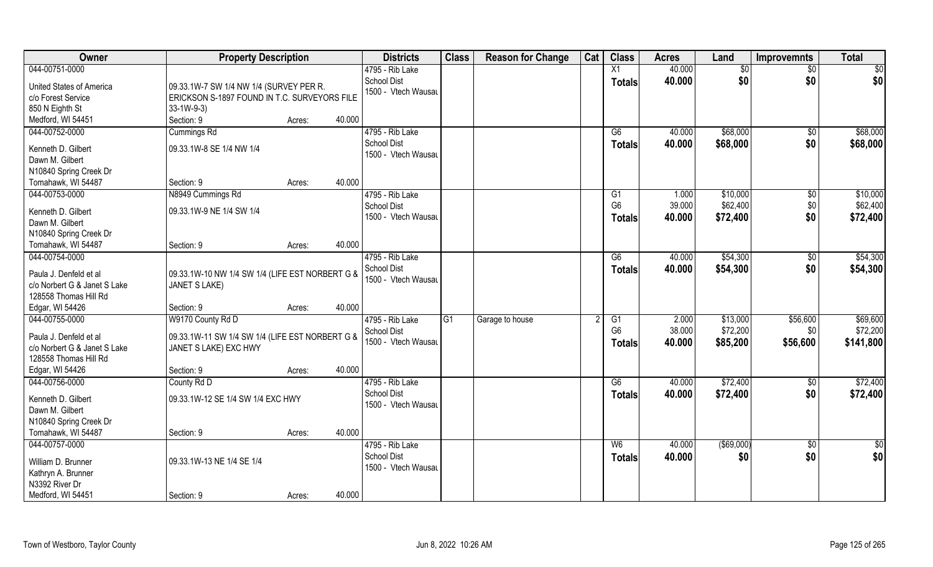| <b>Class</b><br>Owner<br><b>Class</b><br><b>Reason for Change</b><br>Cat<br><b>Property Description</b><br><b>Districts</b><br><b>Acres</b><br>Land<br><b>Improvemnts</b> | <b>Total</b>    |
|---------------------------------------------------------------------------------------------------------------------------------------------------------------------------|-----------------|
| 40.000<br>044-00751-0000<br>X1<br>4795 - Rib Lake<br>\$0<br>$\sqrt{6}$                                                                                                    | $\overline{50}$ |
| <b>School Dist</b><br>40.000<br>\$0<br>\$0<br><b>Totals</b><br><b>United States of America</b><br>09.33.1W-7 SW 1/4 NW 1/4 (SURVEY PER R.                                 | \$0             |
| 1500 - Vtech Wausau<br>c/o Forest Service<br>ERICKSON S-1897 FOUND IN T.C. SURVEYORS FILE                                                                                 |                 |
| 850 N Eighth St<br>$33-1W-9-3$                                                                                                                                            |                 |
| Section: 9<br>40.000<br>Medford, WI 54451<br>Acres:                                                                                                                       |                 |
| \$68,000<br>044-00752-0000<br>Cummings Rd<br>4795 - Rib Lake<br>$\overline{G6}$<br>40.000<br>\$0                                                                          | \$68,000        |
| <b>School Dist</b><br>40.000<br>\$68,000<br>\$0<br><b>Totals</b>                                                                                                          | \$68,000        |
| 09.33.1W-8 SE 1/4 NW 1/4<br>Kenneth D. Gilbert<br>1500 - Vtech Wausau                                                                                                     |                 |
| Dawn M. Gilbert                                                                                                                                                           |                 |
| N10840 Spring Creek Dr                                                                                                                                                    |                 |
| 40.000<br>Tomahawk, WI 54487<br>Section: 9<br>Acres:                                                                                                                      |                 |
| 044-00753-0000<br>N8949 Cummings Rd<br>4795 - Rib Lake<br>1.000<br>\$10,000<br>$\sqrt[6]{3}$<br>G1                                                                        | \$10,000        |
| G <sub>6</sub><br>39.000<br>\$62,400<br>\$0<br><b>School Dist</b><br>Kenneth D. Gilbert<br>09.33.1W-9 NE 1/4 SW 1/4                                                       | \$62,400        |
| 1500 - Vtech Wausau<br>40.000<br>\$72,400<br>\$0<br><b>Totals</b><br>Dawn M. Gilbert                                                                                      | \$72,400        |
| N10840 Spring Creek Dr                                                                                                                                                    |                 |
| 40.000<br>Tomahawk, WI 54487<br>Section: 9<br>Acres:                                                                                                                      |                 |
| \$54,300<br>044-00754-0000<br>4795 - Rib Lake<br>G6<br>40.000<br>\$0                                                                                                      | \$54,300        |
| <b>School Dist</b><br>\$54,300<br>\$0<br>40.000<br><b>Totals</b><br>Paula J. Denfeld et al<br>09.33.1W-10 NW 1/4 SW 1/4 (LIFE EST NORBERT G &                             | \$54,300        |
| 1500 - Vtech Wausau<br>c/o Norbert G & Janet S Lake<br>JANET S LAKE)                                                                                                      |                 |
| 128558 Thomas Hill Rd                                                                                                                                                     |                 |
| 40.000<br>Edgar, WI 54426<br>Section: 9<br>Acres:                                                                                                                         |                 |
| 044-00755-0000<br>W9170 County Rd D<br>G1<br>$\overline{G1}$<br>2.000<br>\$13,000<br>\$56,600<br>4795 - Rib Lake<br>Garage to house                                       | \$69,600        |
| G <sub>6</sub><br>\$72,200<br>38.000<br><b>School Dist</b><br>\$0                                                                                                         | \$72,200        |
| 09.33.1W-11 SW 1/4 SW 1/4 (LIFE EST NORBERT G &<br>Paula J. Denfeld et al<br>\$85,200<br>1500 - Vtech Wausau<br>40.000<br>\$56,600<br>Totals                              | \$141,800       |
| c/o Norbert G & Janet S Lake<br>JANET S LAKE) EXC HWY                                                                                                                     |                 |
| 128558 Thomas Hill Rd                                                                                                                                                     |                 |
| 40.000<br>Edgar, WI 54426<br>Section: 9<br>Acres:                                                                                                                         |                 |
| \$72,400<br>044-00756-0000<br>County Rd D<br>4795 - Rib Lake<br>G6<br>40.000<br>\$0                                                                                       | \$72,400        |
| <b>School Dist</b><br>\$0<br>40.000<br>\$72,400<br><b>Totals</b><br>Kenneth D. Gilbert<br>09.33.1W-12 SE 1/4 SW 1/4 EXC HWY                                               | \$72,400        |
| 1500 - Vtech Wausau<br>Dawn M. Gilbert                                                                                                                                    |                 |
| N10840 Spring Creek Dr                                                                                                                                                    |                 |
| Tomahawk, WI 54487<br>40.000<br>Section: 9<br>Acres:                                                                                                                      |                 |
| 044-00757-0000<br>4795 - Rib Lake<br>$($ \$69,000)<br>W6<br>40.000<br>$\sqrt{$0}$                                                                                         | $\overline{50}$ |
| <b>School Dist</b><br>\$0<br>40.000<br>\$0<br><b>Totals</b><br>09.33.1W-13 NE 1/4 SE 1/4<br>William D. Brunner                                                            | \$0             |
| 1500 - Vtech Wausau<br>Kathryn A. Brunner                                                                                                                                 |                 |
| N3392 River Dr                                                                                                                                                            |                 |
| 40.000<br>Medford, WI 54451<br>Section: 9<br>Acres:                                                                                                                       |                 |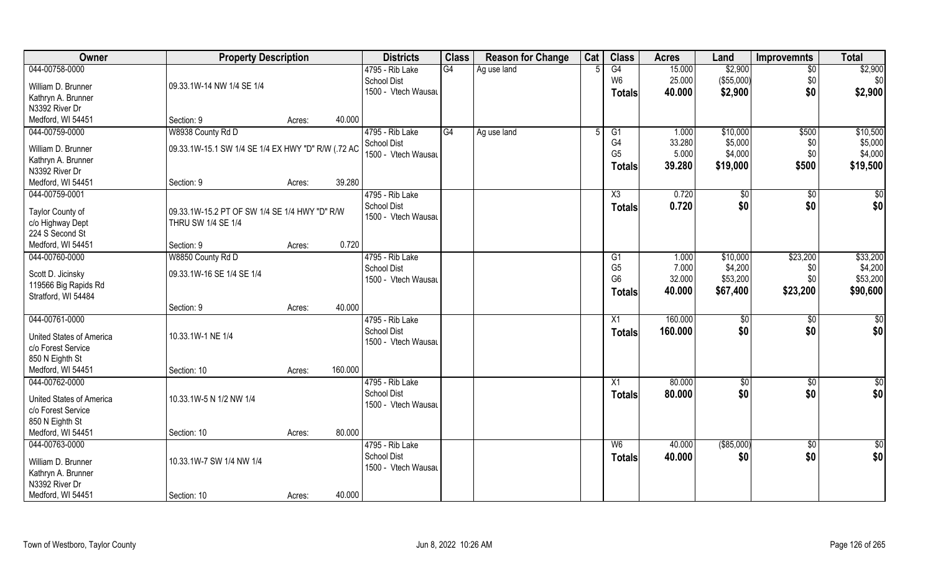| Owner                    | <b>Property Description</b>                        |        |         | <b>Districts</b>    | <b>Class</b> | <b>Reason for Change</b> | Cat | <b>Class</b>   | <b>Acres</b> | Land          | Improvemnts     | <b>Total</b>    |
|--------------------------|----------------------------------------------------|--------|---------|---------------------|--------------|--------------------------|-----|----------------|--------------|---------------|-----------------|-----------------|
| 044-00758-0000           |                                                    |        |         | 4795 - Rib Lake     | G4           | Ag use land              |     | G4             | 15.000       | \$2,900       | $\overline{50}$ | \$2,900         |
| William D. Brunner       | 09.33.1W-14 NW 1/4 SE 1/4                          |        |         | <b>School Dist</b>  |              |                          |     | W <sub>6</sub> | 25.000       | (\$55,000)    | \$0             | \$0             |
| Kathryn A. Brunner       |                                                    |        |         | 1500 - Vtech Wausau |              |                          |     | <b>Totals</b>  | 40.000       | \$2,900       | \$0             | \$2,900         |
| N3392 River Dr           |                                                    |        |         |                     |              |                          |     |                |              |               |                 |                 |
| Medford, WI 54451        | Section: 9                                         | Acres: | 40.000  |                     |              |                          |     |                |              |               |                 |                 |
| 044-00759-0000           | W8938 County Rd D                                  |        |         | 4795 - Rib Lake     | G4           | Ag use land              | -5  | G1             | 1.000        | \$10,000      | \$500           | \$10,500        |
|                          |                                                    |        |         | School Dist         |              |                          |     | G4             | 33.280       | \$5,000       | \$0             | \$5,000         |
| William D. Brunner       | 09.33.1W-15.1 SW 1/4 SE 1/4 EX HWY "D" R/W (.72 AC |        |         | 1500 - Vtech Wausau |              |                          |     | G <sub>5</sub> | 5.000        | \$4,000       | \$0             | \$4,000         |
| Kathryn A. Brunner       |                                                    |        |         |                     |              |                          |     | <b>Totals</b>  | 39.280       | \$19,000      | \$500           | \$19,500        |
| N3392 River Dr           |                                                    |        |         |                     |              |                          |     |                |              |               |                 |                 |
| Medford, WI 54451        | Section: 9                                         | Acres: | 39.280  |                     |              |                          |     |                |              |               |                 |                 |
| 044-00759-0001           |                                                    |        |         | 4795 - Rib Lake     |              |                          |     | X3             | 0.720        | $\sqrt[6]{2}$ | $\sqrt[6]{3}$   | \$0             |
| Taylor County of         | 09.33.1W-15.2 PT OF SW 1/4 SE 1/4 HWY "D" R/W      |        |         | <b>School Dist</b>  |              |                          |     | <b>Totals</b>  | 0.720        | \$0           | \$0             | \$0             |
| c/o Highway Dept         | THRU SW 1/4 SE 1/4                                 |        |         | 1500 - Vtech Wausau |              |                          |     |                |              |               |                 |                 |
| 224 S Second St          |                                                    |        |         |                     |              |                          |     |                |              |               |                 |                 |
| Medford, WI 54451        | Section: 9                                         | Acres: | 0.720   |                     |              |                          |     |                |              |               |                 |                 |
| 044-00760-0000           | W8850 County Rd D                                  |        |         | 4795 - Rib Lake     |              |                          |     | G1             | 1.000        | \$10,000      | \$23,200        | \$33,200        |
|                          |                                                    |        |         | <b>School Dist</b>  |              |                          |     | G <sub>5</sub> | 7.000        | \$4,200       | \$0             | \$4,200         |
| Scott D. Jicinsky        | 09.33.1W-16 SE 1/4 SE 1/4                          |        |         | 1500 - Vtech Wausau |              |                          |     | G <sub>6</sub> | 32.000       | \$53,200      | \$0             | \$53,200        |
| 119566 Big Rapids Rd     |                                                    |        |         |                     |              |                          |     | <b>Totals</b>  | 40.000       | \$67,400      | \$23,200        | \$90,600        |
| Stratford, WI 54484      |                                                    |        |         |                     |              |                          |     |                |              |               |                 |                 |
|                          | Section: 9                                         | Acres: | 40.000  |                     |              |                          |     |                |              |               |                 |                 |
| 044-00761-0000           |                                                    |        |         | 4795 - Rib Lake     |              |                          |     | X1             | 160.000      | \$0           | \$0             | \$0             |
| United States of America | 10.33.1W-1 NE 1/4                                  |        |         | <b>School Dist</b>  |              |                          |     | <b>Totals</b>  | 160.000      | \$0           | \$0             | \$0             |
| c/o Forest Service       |                                                    |        |         | 1500 - Vtech Wausau |              |                          |     |                |              |               |                 |                 |
| 850 N Eighth St          |                                                    |        |         |                     |              |                          |     |                |              |               |                 |                 |
| Medford, WI 54451        | Section: 10                                        | Acres: | 160.000 |                     |              |                          |     |                |              |               |                 |                 |
| 044-00762-0000           |                                                    |        |         | 4795 - Rib Lake     |              |                          |     | X1             | 80.000       | \$0           | \$0             | \$0             |
|                          |                                                    |        |         | School Dist         |              |                          |     | <b>Totals</b>  | 80.000       | \$0           | \$0             | \$0             |
| United States of America | 10.33.1W-5 N 1/2 NW 1/4                            |        |         | 1500 - Vtech Wausau |              |                          |     |                |              |               |                 |                 |
| c/o Forest Service       |                                                    |        |         |                     |              |                          |     |                |              |               |                 |                 |
| 850 N Eighth St          |                                                    |        |         |                     |              |                          |     |                |              |               |                 |                 |
| Medford, WI 54451        | Section: 10                                        | Acres: | 80.000  |                     |              |                          |     |                |              |               |                 |                 |
| 044-00763-0000           |                                                    |        |         | 4795 - Rib Lake     |              |                          |     | W <sub>6</sub> | 40.000       | ( \$85,000)   | $\sqrt{$0}$     | $\overline{50}$ |
| William D. Brunner       | 10.33.1W-7 SW 1/4 NW 1/4                           |        |         | <b>School Dist</b>  |              |                          |     | <b>Totals</b>  | 40.000       | \$0           | \$0             | \$0             |
| Kathryn A. Brunner       |                                                    |        |         | 1500 - Vtech Wausau |              |                          |     |                |              |               |                 |                 |
| N3392 River Dr           |                                                    |        |         |                     |              |                          |     |                |              |               |                 |                 |
| Medford, WI 54451        | Section: 10                                        | Acres: | 40.000  |                     |              |                          |     |                |              |               |                 |                 |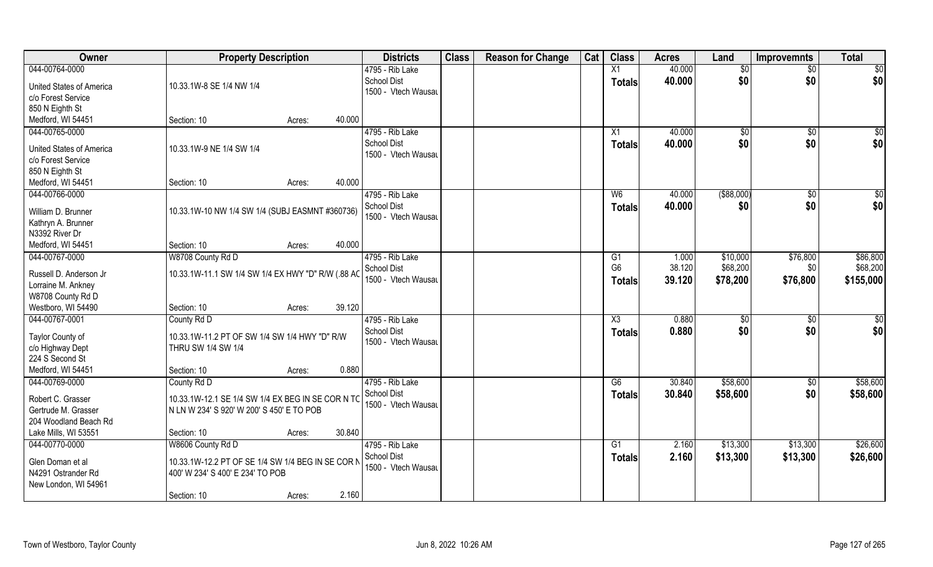| Owner                           | <b>Property Description</b>                        |                  | <b>Districts</b>    | <b>Class</b> | <b>Reason for Change</b> | Cat | <b>Class</b>    | <b>Acres</b> | Land            | Improvemnts     | <b>Total</b>    |
|---------------------------------|----------------------------------------------------|------------------|---------------------|--------------|--------------------------|-----|-----------------|--------------|-----------------|-----------------|-----------------|
| 044-00764-0000                  |                                                    |                  | 4795 - Rib Lake     |              |                          |     | X1              | 40.000       | $\overline{50}$ | $\overline{50}$ | \$0             |
| <b>United States of America</b> | 10.33.1W-8 SE 1/4 NW 1/4                           |                  | <b>School Dist</b>  |              |                          |     | <b>Totals</b>   | 40.000       | \$0             | \$0             | \$0             |
| c/o Forest Service              |                                                    |                  | 1500 - Vtech Wausau |              |                          |     |                 |              |                 |                 |                 |
| 850 N Eighth St                 |                                                    |                  |                     |              |                          |     |                 |              |                 |                 |                 |
| Medford, WI 54451               | Section: 10                                        | 40.000<br>Acres: |                     |              |                          |     |                 |              |                 |                 |                 |
| 044-00765-0000                  |                                                    |                  | 4795 - Rib Lake     |              |                          |     | $\overline{X1}$ | 40.000       | \$0             | $\overline{50}$ | \$0             |
|                                 |                                                    |                  | <b>School Dist</b>  |              |                          |     | Totals          | 40.000       | \$0             | \$0             | \$0             |
| United States of America        | 10.33.1W-9 NE 1/4 SW 1/4                           |                  | 1500 - Vtech Wausau |              |                          |     |                 |              |                 |                 |                 |
| c/o Forest Service              |                                                    |                  |                     |              |                          |     |                 |              |                 |                 |                 |
| 850 N Eighth St                 |                                                    |                  |                     |              |                          |     |                 |              |                 |                 |                 |
| Medford, WI 54451               | Section: 10                                        | 40.000<br>Acres: |                     |              |                          |     |                 |              |                 |                 |                 |
| 044-00766-0000                  |                                                    |                  | 4795 - Rib Lake     |              |                          |     | W <sub>6</sub>  | 40.000       | $($ \$88,000)   | $\sqrt[6]{30}$  | \$0             |
| William D. Brunner              | 10.33.1W-10 NW 1/4 SW 1/4 (SUBJ EASMNT #360736)    |                  | School Dist         |              |                          |     | <b>Totals</b>   | 40.000       | \$0             | \$0             | \$0             |
| Kathryn A. Brunner              |                                                    |                  | 1500 - Vtech Wausau |              |                          |     |                 |              |                 |                 |                 |
| N3392 River Dr                  |                                                    |                  |                     |              |                          |     |                 |              |                 |                 |                 |
| Medford, WI 54451               | Section: 10                                        | 40.000<br>Acres: |                     |              |                          |     |                 |              |                 |                 |                 |
| 044-00767-0000                  | W8708 County Rd D                                  |                  | 4795 - Rib Lake     |              |                          |     | G1              | 1.000        | \$10,000        | \$76,800        | \$86,800        |
|                                 |                                                    |                  | School Dist         |              |                          |     | G <sub>6</sub>  | 38.120       | \$68,200        | \$0             | \$68,200        |
| Russell D. Anderson Jr          | 10.33.1W-11.1 SW 1/4 SW 1/4 EX HWY "D" R/W (.88 AC |                  | 1500 - Vtech Wausau |              |                          |     | <b>Totals</b>   | 39.120       | \$78,200        | \$76,800        | \$155,000       |
| Lorraine M. Ankney              |                                                    |                  |                     |              |                          |     |                 |              |                 |                 |                 |
| W8708 County Rd D               |                                                    |                  |                     |              |                          |     |                 |              |                 |                 |                 |
| Westboro, WI 54490              | Section: 10                                        | 39.120<br>Acres: |                     |              |                          |     |                 |              |                 |                 |                 |
| 044-00767-0001                  | County Rd D                                        |                  | 4795 - Rib Lake     |              |                          |     | X3              | 0.880        | $\sqrt[6]{}$    | \$0             | $\overline{50}$ |
| Taylor County of                | 10.33.1W-11.2 PT OF SW 1/4 SW 1/4 HWY "D" R/W      |                  | <b>School Dist</b>  |              |                          |     | <b>Totals</b>   | 0.880        | \$0             | \$0             | \$0             |
| c/o Highway Dept                | THRU SW 1/4 SW 1/4                                 |                  | 1500 - Vtech Wausau |              |                          |     |                 |              |                 |                 |                 |
| 224 S Second St                 |                                                    |                  |                     |              |                          |     |                 |              |                 |                 |                 |
| Medford, WI 54451               | Section: 10                                        | 0.880<br>Acres:  |                     |              |                          |     |                 |              |                 |                 |                 |
| 044-00769-0000                  | County Rd D                                        |                  | 4795 - Rib Lake     |              |                          |     | G6              | 30.840       | \$58,600        | \$0             | \$58,600        |
|                                 |                                                    |                  | <b>School Dist</b>  |              |                          |     | <b>Totals</b>   | 30.840       | \$58,600        | \$0             | \$58,600        |
| Robert C. Grasser               | 10.33.1W-12.1 SE 1/4 SW 1/4 EX BEG IN SE COR N TO  |                  | 1500 - Vtech Wausau |              |                          |     |                 |              |                 |                 |                 |
| Gertrude M. Grasser             | N LN W 234' S 920' W 200' S 450' E TO POB          |                  |                     |              |                          |     |                 |              |                 |                 |                 |
| 204 Woodland Beach Rd           |                                                    |                  |                     |              |                          |     |                 |              |                 |                 |                 |
| Lake Mills, WI 53551            | Section: 10                                        | 30.840<br>Acres: |                     |              |                          |     |                 |              |                 |                 |                 |
| 044-00770-0000                  | W8606 County Rd D                                  |                  | 4795 - Rib Lake     |              |                          |     | G <sub>1</sub>  | 2.160        | \$13,300        | \$13,300        | \$26,600        |
| Glen Doman et al                | 10.33.1W-12.2 PT OF SE 1/4 SW 1/4 BEG IN SE COR N  |                  | School Dist         |              |                          |     | <b>Totals</b>   | 2.160        | \$13,300        | \$13,300        | \$26,600        |
| N4291 Ostrander Rd              | 400' W 234' S 400' E 234' TO POB                   |                  | 1500 - Vtech Wausau |              |                          |     |                 |              |                 |                 |                 |
| New London, WI 54961            |                                                    |                  |                     |              |                          |     |                 |              |                 |                 |                 |
|                                 | Section: 10                                        | 2.160<br>Acres:  |                     |              |                          |     |                 |              |                 |                 |                 |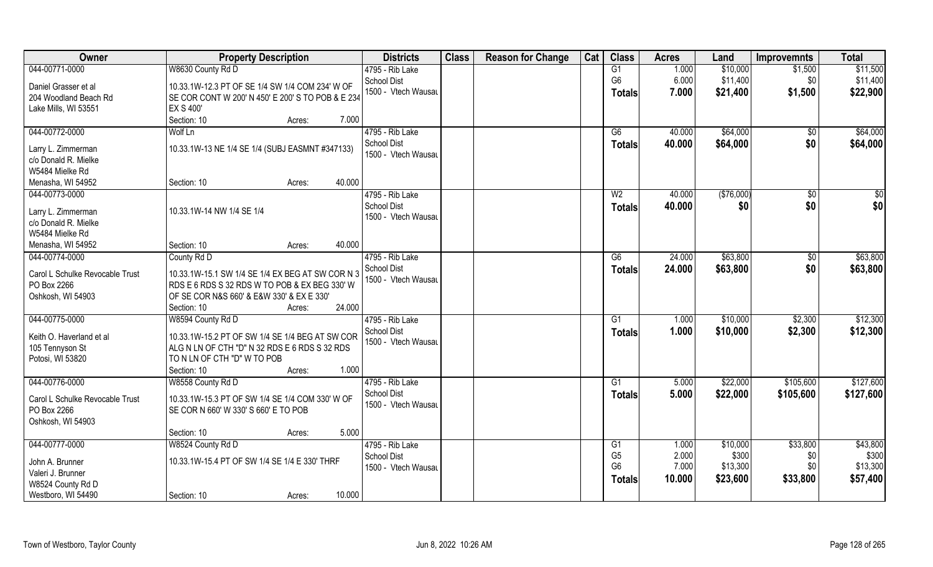| \$10,000<br>\$11,500<br>044-00771-0000<br>W8630 County Rd D<br>1.000<br>4795 - Rib Lake<br>G1<br>\$1,500<br>G <sub>6</sub><br>\$11,400<br>\$11,400<br><b>School Dist</b><br>6.000<br>\$0<br>Daniel Grasser et al<br>10.33.1W-12.3 PT OF SE 1/4 SW 1/4 COM 234' W OF<br>1500 - Vtech Wausau<br>7.000<br>\$22,900<br>\$21,400<br>\$1,500<br>Totals<br>SE COR CONT W 200' N 450' E 200' S TO POB & E 234<br>204 Woodland Beach Rd<br><b>EX S 400'</b><br>Lake Mills, WI 53551<br>Section: 10<br>7.000<br>Acres:<br>044-00772-0000<br>4795 - Rib Lake<br>Wolf Ln<br>\$64,000<br>\$64,000<br>G6<br>40.000<br>\$0<br>\$64,000<br><b>School Dist</b><br>40.000<br>\$0<br>\$64,000<br><b>Totals</b><br>10.33.1W-13 NE 1/4 SE 1/4 (SUBJ EASMNT #347133)<br>Larry L. Zimmerman<br>1500 - Vtech Wausau<br>c/o Donald R. Mielke<br>W5484 Mielke Rd<br>40.000<br>Menasha, WI 54952<br>Section: 10<br>Acres: |
|------------------------------------------------------------------------------------------------------------------------------------------------------------------------------------------------------------------------------------------------------------------------------------------------------------------------------------------------------------------------------------------------------------------------------------------------------------------------------------------------------------------------------------------------------------------------------------------------------------------------------------------------------------------------------------------------------------------------------------------------------------------------------------------------------------------------------------------------------------------------------------------------|
|                                                                                                                                                                                                                                                                                                                                                                                                                                                                                                                                                                                                                                                                                                                                                                                                                                                                                                |
|                                                                                                                                                                                                                                                                                                                                                                                                                                                                                                                                                                                                                                                                                                                                                                                                                                                                                                |
|                                                                                                                                                                                                                                                                                                                                                                                                                                                                                                                                                                                                                                                                                                                                                                                                                                                                                                |
|                                                                                                                                                                                                                                                                                                                                                                                                                                                                                                                                                                                                                                                                                                                                                                                                                                                                                                |
|                                                                                                                                                                                                                                                                                                                                                                                                                                                                                                                                                                                                                                                                                                                                                                                                                                                                                                |
|                                                                                                                                                                                                                                                                                                                                                                                                                                                                                                                                                                                                                                                                                                                                                                                                                                                                                                |
|                                                                                                                                                                                                                                                                                                                                                                                                                                                                                                                                                                                                                                                                                                                                                                                                                                                                                                |
|                                                                                                                                                                                                                                                                                                                                                                                                                                                                                                                                                                                                                                                                                                                                                                                                                                                                                                |
|                                                                                                                                                                                                                                                                                                                                                                                                                                                                                                                                                                                                                                                                                                                                                                                                                                                                                                |
|                                                                                                                                                                                                                                                                                                                                                                                                                                                                                                                                                                                                                                                                                                                                                                                                                                                                                                |
|                                                                                                                                                                                                                                                                                                                                                                                                                                                                                                                                                                                                                                                                                                                                                                                                                                                                                                |
| 044-00773-0000<br>4795 - Rib Lake<br>( \$76,000)<br>W <sub>2</sub><br>40.000<br>$\sqrt[6]{30}$<br>\$0                                                                                                                                                                                                                                                                                                                                                                                                                                                                                                                                                                                                                                                                                                                                                                                          |
| \$0<br>\$0<br><b>School Dist</b><br>40.000<br>\$0<br><b>Totals</b>                                                                                                                                                                                                                                                                                                                                                                                                                                                                                                                                                                                                                                                                                                                                                                                                                             |
| 10.33.1W-14 NW 1/4 SE 1/4<br>Larry L. Zimmerman<br>1500 - Vtech Wausau                                                                                                                                                                                                                                                                                                                                                                                                                                                                                                                                                                                                                                                                                                                                                                                                                         |
| c/o Donald R. Mielke                                                                                                                                                                                                                                                                                                                                                                                                                                                                                                                                                                                                                                                                                                                                                                                                                                                                           |
| W5484 Mielke Rd                                                                                                                                                                                                                                                                                                                                                                                                                                                                                                                                                                                                                                                                                                                                                                                                                                                                                |
| 40.000<br>Menasha, WI 54952<br>Section: 10<br>Acres:                                                                                                                                                                                                                                                                                                                                                                                                                                                                                                                                                                                                                                                                                                                                                                                                                                           |
| \$63,800<br>\$63,800<br>County Rd D<br>4795 - Rib Lake<br>24.000<br>044-00774-0000<br>G6<br>\$0                                                                                                                                                                                                                                                                                                                                                                                                                                                                                                                                                                                                                                                                                                                                                                                                |
| <b>School Dist</b><br>\$63,800<br>\$0<br>24.000<br>\$63,800<br><b>Totals</b><br>Carol L Schulke Revocable Trust<br>10.33.1W-15.1 SW 1/4 SE 1/4 EX BEG AT SW COR N 3                                                                                                                                                                                                                                                                                                                                                                                                                                                                                                                                                                                                                                                                                                                            |
| 1500 - Vtech Wausau<br>PO Box 2266<br>RDS E 6 RDS S 32 RDS W TO POB & EX BEG 330' W                                                                                                                                                                                                                                                                                                                                                                                                                                                                                                                                                                                                                                                                                                                                                                                                            |
|                                                                                                                                                                                                                                                                                                                                                                                                                                                                                                                                                                                                                                                                                                                                                                                                                                                                                                |
| Oshkosh, WI 54903<br>OF SE COR N&S 660' & E&W 330' & EX E 330'<br>24.000                                                                                                                                                                                                                                                                                                                                                                                                                                                                                                                                                                                                                                                                                                                                                                                                                       |
| Section: 10<br>Acres:                                                                                                                                                                                                                                                                                                                                                                                                                                                                                                                                                                                                                                                                                                                                                                                                                                                                          |
| \$12,300<br>044-00775-0000<br>W8594 County Rd D<br>4795 - Rib Lake<br>1.000<br>\$10,000<br>G1<br>\$2,300                                                                                                                                                                                                                                                                                                                                                                                                                                                                                                                                                                                                                                                                                                                                                                                       |
| <b>School Dist</b><br>1.000<br>\$10,000<br>\$2,300<br>\$12,300<br><b>Totals</b><br>Keith O. Haverland et al<br>10.33.1W-15.2 PT OF SW 1/4 SE 1/4 BEG AT SW COR                                                                                                                                                                                                                                                                                                                                                                                                                                                                                                                                                                                                                                                                                                                                 |
| 1500 - Vtech Wausau<br>ALG N LN OF CTH "D" N 32 RDS E 6 RDS S 32 RDS<br>105 Tennyson St                                                                                                                                                                                                                                                                                                                                                                                                                                                                                                                                                                                                                                                                                                                                                                                                        |
| Potosi, WI 53820<br>TO N LN OF CTH "D" W TO POB                                                                                                                                                                                                                                                                                                                                                                                                                                                                                                                                                                                                                                                                                                                                                                                                                                                |
| 1.000<br>Section: 10<br>Acres:                                                                                                                                                                                                                                                                                                                                                                                                                                                                                                                                                                                                                                                                                                                                                                                                                                                                 |
| \$22,000<br>\$127,600<br>044-00776-0000<br>W8558 County Rd D<br>4795 - Rib Lake<br>\$105,600<br>G1<br>5.000                                                                                                                                                                                                                                                                                                                                                                                                                                                                                                                                                                                                                                                                                                                                                                                    |
| School Dist<br>5.000<br>\$22,000<br>\$105,600<br>\$127,600<br><b>Totals</b>                                                                                                                                                                                                                                                                                                                                                                                                                                                                                                                                                                                                                                                                                                                                                                                                                    |
| 10.33.1W-15.3 PT OF SW 1/4 SE 1/4 COM 330' W OF<br>Carol L Schulke Revocable Trust<br>1500 - Vtech Wausau                                                                                                                                                                                                                                                                                                                                                                                                                                                                                                                                                                                                                                                                                                                                                                                      |
| PO Box 2266<br>SE COR N 660' W 330' S 660' E TO POB                                                                                                                                                                                                                                                                                                                                                                                                                                                                                                                                                                                                                                                                                                                                                                                                                                            |
| Oshkosh, WI 54903                                                                                                                                                                                                                                                                                                                                                                                                                                                                                                                                                                                                                                                                                                                                                                                                                                                                              |
| 5.000<br>Section: 10<br>Acres:                                                                                                                                                                                                                                                                                                                                                                                                                                                                                                                                                                                                                                                                                                                                                                                                                                                                 |
| 044-00777-0000<br>W8524 County Rd D<br>4795 - Rib Lake<br>\$33,800<br>\$43,800<br>\$10,000<br>G1<br>1.000                                                                                                                                                                                                                                                                                                                                                                                                                                                                                                                                                                                                                                                                                                                                                                                      |
| G <sub>5</sub><br>2.000<br>\$300<br>\$300<br><b>School Dist</b><br>\$0<br>10.33.1W-15.4 PT OF SW 1/4 SE 1/4 E 330' THRF<br>John A. Brunner                                                                                                                                                                                                                                                                                                                                                                                                                                                                                                                                                                                                                                                                                                                                                     |
| G <sub>6</sub><br>7.000<br>\$13,300<br>\$13,300<br>\$0<br>1500 - Vtech Wausau<br>Valeri J. Brunner                                                                                                                                                                                                                                                                                                                                                                                                                                                                                                                                                                                                                                                                                                                                                                                             |
| 10.000<br>\$23,600<br>\$33,800<br>\$57,400<br><b>Totals</b><br>W8524 County Rd D                                                                                                                                                                                                                                                                                                                                                                                                                                                                                                                                                                                                                                                                                                                                                                                                               |
| 10.000<br>Westboro, WI 54490<br>Section: 10<br>Acres:                                                                                                                                                                                                                                                                                                                                                                                                                                                                                                                                                                                                                                                                                                                                                                                                                                          |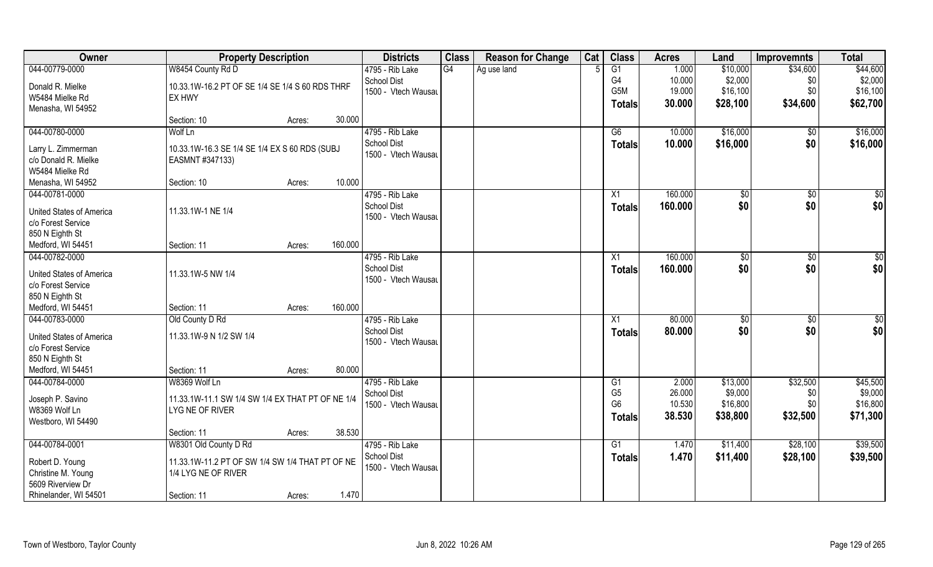| Owner                           | <b>Property Description</b>                      |        |         | <b>Districts</b>    | <b>Class</b> | <b>Reason for Change</b> | Cat | <b>Class</b>    | <b>Acres</b> | Land          | <b>Improvemnts</b> | <b>Total</b>    |
|---------------------------------|--------------------------------------------------|--------|---------|---------------------|--------------|--------------------------|-----|-----------------|--------------|---------------|--------------------|-----------------|
| 044-00779-0000                  | W8454 County Rd D                                |        |         | 4795 - Rib Lake     | G4           | Ag use land              |     | $\overline{G1}$ | 1.000        | \$10,000      | \$34,600           | \$44,600        |
| Donald R. Mielke                | 10.33.1W-16.2 PT OF SE 1/4 SE 1/4 S 60 RDS THRF  |        |         | <b>School Dist</b>  |              |                          |     | G <sub>4</sub>  | 10.000       | \$2,000       | \$0                | \$2,000         |
| W5484 Mielke Rd                 | EX HWY                                           |        |         | 1500 - Vtech Wausau |              |                          |     | G5M             | 19.000       | \$16,100      | \$0                | \$16,100        |
| Menasha, WI 54952               |                                                  |        |         |                     |              |                          |     | Totals          | 30.000       | \$28,100      | \$34,600           | \$62,700        |
|                                 | Section: 10                                      | Acres: | 30.000  |                     |              |                          |     |                 |              |               |                    |                 |
| 044-00780-0000                  | Wolf Ln                                          |        |         | 4795 - Rib Lake     |              |                          |     | G6              | 10.000       | \$16,000      | $\overline{50}$    | \$16,000        |
|                                 |                                                  |        |         | <b>School Dist</b>  |              |                          |     | Totals          | 10.000       | \$16,000      | \$0                | \$16,000        |
| Larry L. Zimmerman              | 10.33.1W-16.3 SE 1/4 SE 1/4 EX S 60 RDS (SUBJ    |        |         | 1500 - Vtech Wausau |              |                          |     |                 |              |               |                    |                 |
| c/o Donald R. Mielke            | EASMNT #347133)                                  |        |         |                     |              |                          |     |                 |              |               |                    |                 |
| W5484 Mielke Rd                 |                                                  |        |         |                     |              |                          |     |                 |              |               |                    |                 |
| Menasha, WI 54952               | Section: 10                                      | Acres: | 10.000  |                     |              |                          |     |                 |              |               |                    |                 |
| 044-00781-0000                  |                                                  |        |         | 4795 - Rib Lake     |              |                          |     | $\overline{X1}$ | 160.000      | \$0           | $\sqrt[6]{30}$     | $\overline{50}$ |
| <b>United States of America</b> | 11.33.1W-1 NE 1/4                                |        |         | School Dist         |              |                          |     | <b>Totals</b>   | 160.000      | \$0           | \$0                | \$0             |
| c/o Forest Service              |                                                  |        |         | 1500 - Vtech Wausau |              |                          |     |                 |              |               |                    |                 |
| 850 N Eighth St                 |                                                  |        |         |                     |              |                          |     |                 |              |               |                    |                 |
| Medford, WI 54451               | Section: 11                                      | Acres: | 160.000 |                     |              |                          |     |                 |              |               |                    |                 |
| 044-00782-0000                  |                                                  |        |         | 4795 - Rib Lake     |              |                          |     | X1              | 160.000      | $\sqrt[6]{3}$ | $\sqrt[6]{3}$      | \$0             |
|                                 |                                                  |        |         | <b>School Dist</b>  |              |                          |     | <b>Totals</b>   | 160.000      | \$0           | \$0                | \$0             |
| <b>United States of America</b> | 11.33.1W-5 NW 1/4                                |        |         | 1500 - Vtech Wausau |              |                          |     |                 |              |               |                    |                 |
| c/o Forest Service              |                                                  |        |         |                     |              |                          |     |                 |              |               |                    |                 |
| 850 N Eighth St                 |                                                  |        |         |                     |              |                          |     |                 |              |               |                    |                 |
| Medford, WI 54451               | Section: 11                                      | Acres: | 160.000 |                     |              |                          |     |                 |              |               |                    |                 |
| 044-00783-0000                  | Old County D Rd                                  |        |         | 4795 - Rib Lake     |              |                          |     | X1              | 80.000       | $\sqrt[6]{}$  | \$0                | $\overline{50}$ |
| <b>United States of America</b> | 11.33.1W-9 N 1/2 SW 1/4                          |        |         | <b>School Dist</b>  |              |                          |     | <b>Totals</b>   | 80.000       | \$0           | \$0                | \$0             |
| c/o Forest Service              |                                                  |        |         | 1500 - Vtech Wausau |              |                          |     |                 |              |               |                    |                 |
| 850 N Eighth St                 |                                                  |        |         |                     |              |                          |     |                 |              |               |                    |                 |
| Medford, WI 54451               | Section: 11                                      | Acres: | 80.000  |                     |              |                          |     |                 |              |               |                    |                 |
| 044-00784-0000                  | W8369 Wolf Ln                                    |        |         | 4795 - Rib Lake     |              |                          |     | G1              | 2.000        | \$13,000      | \$32,500           | \$45,500        |
| Joseph P. Savino                | 11.33.1W-11.1 SW 1/4 SW 1/4 EX THAT PT OF NE 1/4 |        |         | <b>School Dist</b>  |              |                          |     | G <sub>5</sub>  | 26.000       | \$9,000       | \$0                | \$9,000         |
| W8369 Wolf Ln                   | LYG NE OF RIVER                                  |        |         | 1500 - Vtech Wausau |              |                          |     | G <sub>6</sub>  | 10.530       | \$16,800      | \$0                | \$16,800        |
| Westboro, WI 54490              |                                                  |        |         |                     |              |                          |     | <b>Totals</b>   | 38.530       | \$38,800      | \$32,500           | \$71,300        |
|                                 | Section: 11                                      | Acres: | 38.530  |                     |              |                          |     |                 |              |               |                    |                 |
| 044-00784-0001                  | W8301 Old County D Rd                            |        |         | 4795 - Rib Lake     |              |                          |     | G1              | 1.470        | \$11,400      | \$28,100           | \$39,500        |
|                                 |                                                  |        |         | School Dist         |              |                          |     |                 | 1.470        | \$11,400      | \$28,100           | \$39,500        |
| Robert D. Young                 | 11.33.1W-11.2 PT OF SW 1/4 SW 1/4 THAT PT OF NE  |        |         | 1500 - Vtech Wausau |              |                          |     | <b>Totals</b>   |              |               |                    |                 |
| Christine M. Young              | 1/4 LYG NE OF RIVER                              |        |         |                     |              |                          |     |                 |              |               |                    |                 |
| 5609 Riverview Dr               |                                                  |        |         |                     |              |                          |     |                 |              |               |                    |                 |
| Rhinelander, WI 54501           | Section: 11                                      | Acres: | 1.470   |                     |              |                          |     |                 |              |               |                    |                 |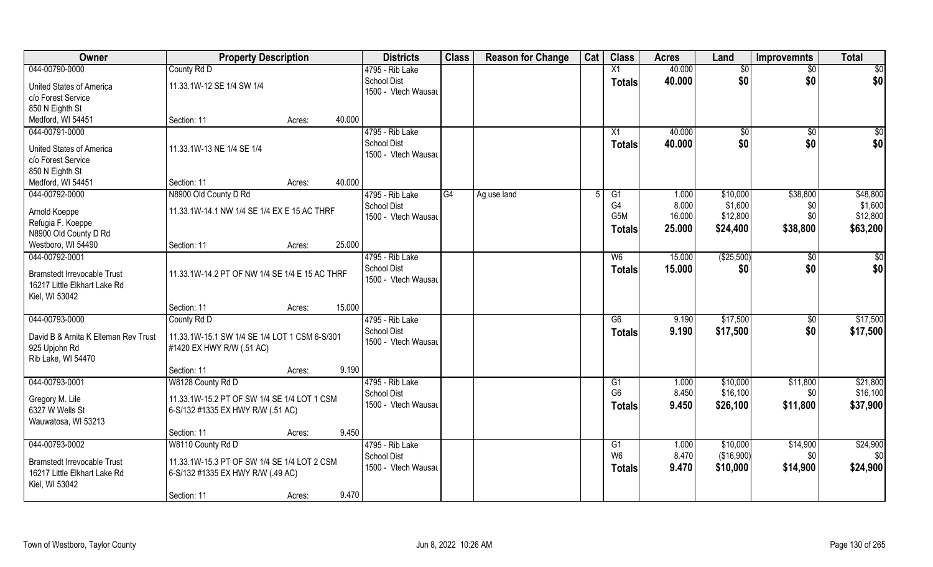| Owner                                                              | <b>Property Description</b>                    |                  | <b>Districts</b>    | <b>Class</b> | <b>Reason for Change</b> | Cat | <b>Class</b>                       | <b>Acres</b> | Land        | <b>Improvemnts</b> | <b>Total</b>    |
|--------------------------------------------------------------------|------------------------------------------------|------------------|---------------------|--------------|--------------------------|-----|------------------------------------|--------------|-------------|--------------------|-----------------|
| 044-00790-0000                                                     | County Rd D                                    |                  | 4795 - Rib Lake     |              |                          |     | X1                                 | 40.000       | \$0         | $\sqrt{$0}$        | $\overline{50}$ |
| <b>United States of America</b>                                    | 11.33.1W-12 SE 1/4 SW 1/4                      |                  | <b>School Dist</b>  |              |                          |     | <b>Totals</b>                      | 40.000       | \$0         | \$0                | \$0             |
| c/o Forest Service                                                 |                                                |                  | 1500 - Vtech Wausau |              |                          |     |                                    |              |             |                    |                 |
| 850 N Eighth St                                                    |                                                |                  |                     |              |                          |     |                                    |              |             |                    |                 |
| Medford, WI 54451                                                  | Section: 11                                    | 40.000<br>Acres: |                     |              |                          |     |                                    |              |             |                    |                 |
| 044-00791-0000                                                     |                                                |                  | 4795 - Rib Lake     |              |                          |     | X1                                 | 40.000       | $\sqrt{50}$ | \$0                | \$0             |
|                                                                    |                                                |                  | <b>School Dist</b>  |              |                          |     | Totals                             | 40.000       | \$0         | \$0                | \$0             |
| <b>United States of America</b>                                    | 11.33.1W-13 NE 1/4 SE 1/4                      |                  | 1500 - Vtech Wausau |              |                          |     |                                    |              |             |                    |                 |
| c/o Forest Service                                                 |                                                |                  |                     |              |                          |     |                                    |              |             |                    |                 |
| 850 N Eighth St                                                    |                                                |                  |                     |              |                          |     |                                    |              |             |                    |                 |
| Medford, WI 54451                                                  | Section: 11                                    | 40.000<br>Acres: |                     |              |                          |     |                                    |              |             |                    |                 |
| 044-00792-0000                                                     | N8900 Old County D Rd                          |                  | 4795 - Rib Lake     | G4           | Ag use land              |     | G1                                 | 1.000        | \$10,000    | \$38,800           | \$48,800        |
| Arnold Koeppe                                                      | 11.33.1W-14.1 NW 1/4 SE 1/4 EX E 15 AC THRF    |                  | <b>School Dist</b>  |              |                          |     | G <sub>4</sub><br>G <sub>5</sub> M | 8.000        | \$1,600     | \$0                | \$1,600         |
| Refugia F. Koeppe                                                  |                                                |                  | 1500 - Vtech Wausau |              |                          |     |                                    | 16.000       | \$12,800    | \$0                | \$12,800        |
| N8900 Old County D Rd                                              |                                                |                  |                     |              |                          |     | Totals                             | 25.000       | \$24,400    | \$38,800           | \$63,200        |
| Westboro, WI 54490                                                 | Section: 11                                    | 25.000<br>Acres: |                     |              |                          |     |                                    |              |             |                    |                 |
| 044-00792-0001                                                     |                                                |                  | 4795 - Rib Lake     |              |                          |     | W <sub>6</sub>                     | 15.000       | (\$25,500)  | \$0                | \$0             |
|                                                                    |                                                |                  | <b>School Dist</b>  |              |                          |     | <b>Totals</b>                      | 15.000       | \$0         | \$0                | \$0             |
| <b>Bramstedt Irrevocable Trust</b><br>16217 Little Elkhart Lake Rd | 11.33.1W-14.2 PT OF NW 1/4 SE 1/4 E 15 AC THRF |                  | 1500 - Vtech Wausau |              |                          |     |                                    |              |             |                    |                 |
| Kiel, WI 53042                                                     |                                                |                  |                     |              |                          |     |                                    |              |             |                    |                 |
|                                                                    | Section: 11                                    | 15.000<br>Acres: |                     |              |                          |     |                                    |              |             |                    |                 |
| 044-00793-0000                                                     | County Rd D                                    |                  | 4795 - Rib Lake     |              |                          |     | $\overline{G6}$                    | 9.190        | \$17,500    | \$0                | \$17,500        |
|                                                                    |                                                |                  | <b>School Dist</b>  |              |                          |     |                                    | 9.190        |             |                    |                 |
| David B & Arnita K Elleman Rev Trust                               | 11.33.1W-15.1 SW 1/4 SE 1/4 LOT 1 CSM 6-S/301  |                  | 1500 - Vtech Wausau |              |                          |     | Totals                             |              | \$17,500    | \$0                | \$17,500        |
| 925 Upjohn Rd                                                      | #1420 EX HWY R/W (.51 AC)                      |                  |                     |              |                          |     |                                    |              |             |                    |                 |
| Rib Lake, WI 54470                                                 |                                                |                  |                     |              |                          |     |                                    |              |             |                    |                 |
|                                                                    | Section: 11                                    | 9.190<br>Acres:  |                     |              |                          |     |                                    |              |             |                    |                 |
| 044-00793-0001                                                     | W8128 County Rd D                              |                  | 4795 - Rib Lake     |              |                          |     | G1                                 | 1.000        | \$10,000    | \$11,800           | \$21,800        |
| Gregory M. Lile                                                    | 11.33.1W-15.2 PT OF SW 1/4 SE 1/4 LOT 1 CSM    |                  | <b>School Dist</b>  |              |                          |     | G <sub>6</sub>                     | 8.450        | \$16,100    | \$0                | \$16,100        |
| 6327 W Wells St                                                    | 6-S/132 #1335 EX HWY R/W (.51 AC)              |                  | 1500 - Vtech Wausau |              |                          |     | <b>Totals</b>                      | 9.450        | \$26,100    | \$11,800           | \$37,900        |
| Wauwatosa, WI 53213                                                |                                                |                  |                     |              |                          |     |                                    |              |             |                    |                 |
|                                                                    | Section: 11                                    | 9.450<br>Acres:  |                     |              |                          |     |                                    |              |             |                    |                 |
| 044-00793-0002                                                     | W8110 County Rd D                              |                  | 4795 - Rib Lake     |              |                          |     | $\overline{G1}$                    | 1.000        | \$10,000    | \$14,900           | \$24,900        |
|                                                                    |                                                |                  | <b>School Dist</b>  |              |                          |     | W <sub>6</sub>                     | 8.470        | (\$16,900)  | \$0                | \$0             |
| <b>Bramstedt Irrevocable Trust</b>                                 | 11.33.1W-15.3 PT OF SW 1/4 SE 1/4 LOT 2 CSM    |                  | 1500 - Vtech Wausau |              |                          |     | <b>Totals</b>                      | 9.470        | \$10,000    | \$14,900           | \$24,900        |
| 16217 Little Elkhart Lake Rd                                       | 6-S/132 #1335 EX HWY R/W (.49 AC)              |                  |                     |              |                          |     |                                    |              |             |                    |                 |
| Kiel, WI 53042                                                     |                                                |                  |                     |              |                          |     |                                    |              |             |                    |                 |
|                                                                    | Section: 11                                    | 9.470<br>Acres:  |                     |              |                          |     |                                    |              |             |                    |                 |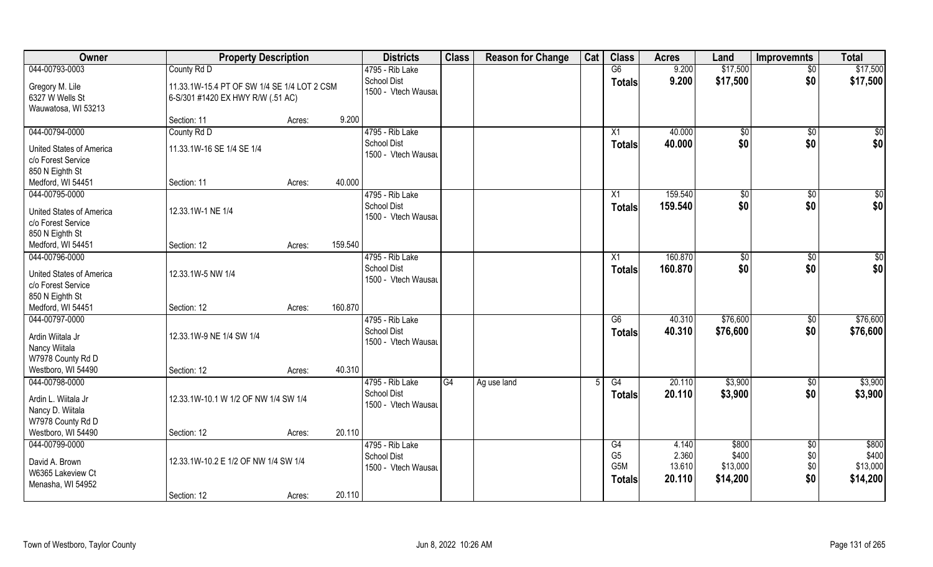| Owner                                                                          | <b>Property Description</b>                                                      |        |         | <b>Districts</b>                                             | <b>Class</b> | <b>Reason for Change</b> | Cat | <b>Class</b>                                 | <b>Acres</b>                       | Land                                   | <b>Improvemnts</b>                   | <b>Total</b>                           |
|--------------------------------------------------------------------------------|----------------------------------------------------------------------------------|--------|---------|--------------------------------------------------------------|--------------|--------------------------|-----|----------------------------------------------|------------------------------------|----------------------------------------|--------------------------------------|----------------------------------------|
| 044-00793-0003                                                                 | County Rd D                                                                      |        |         | 4795 - Rib Lake                                              |              |                          |     | G6                                           | 9.200                              | \$17,500                               | $\overline{50}$                      | \$17,500                               |
| Gregory M. Lile<br>6327 W Wells St<br>Wauwatosa, WI 53213                      | 11.33.1W-15.4 PT OF SW 1/4 SE 1/4 LOT 2 CSM<br>6-S/301 #1420 EX HWY R/W (.51 AC) |        |         | <b>School Dist</b><br>1500 - Vtech Wausau                    |              |                          |     | <b>Totals</b>                                | 9.200                              | \$17,500                               | \$0                                  | \$17,500                               |
|                                                                                | Section: 11                                                                      | Acres: | 9.200   |                                                              |              |                          |     |                                              |                                    |                                        |                                      |                                        |
| 044-00794-0000                                                                 | County Rd D                                                                      |        |         | 4795 - Rib Lake                                              |              |                          |     | $\overline{X1}$                              | 40.000                             | $\sqrt[6]{}$                           | $\sqrt{$0}$                          | $\sqrt{50}$                            |
| <b>United States of America</b><br>c/o Forest Service<br>850 N Eighth St       | 11.33.1W-16 SE 1/4 SE 1/4                                                        |        |         | <b>School Dist</b><br>1500 - Vtech Wausau                    |              |                          |     | <b>Totals</b>                                | 40.000                             | \$0                                    | \$0                                  | \$0                                    |
| Medford, WI 54451                                                              | Section: 11                                                                      | Acres: | 40.000  |                                                              |              |                          |     |                                              |                                    |                                        |                                      |                                        |
| 044-00795-0000                                                                 |                                                                                  |        |         | 4795 - Rib Lake                                              |              |                          |     | X1                                           | 159.540                            | \$0                                    | $\sqrt[6]{30}$                       | \$0                                    |
| <b>United States of America</b><br>c/o Forest Service                          | 12.33.1W-1 NE 1/4                                                                |        |         | <b>School Dist</b><br>1500 - Vtech Wausau                    |              |                          |     | <b>Totals</b>                                | 159.540                            | \$0                                    | \$0                                  | \$0                                    |
| 850 N Eighth St<br>Medford, WI 54451                                           | Section: 12                                                                      | Acres: | 159.540 |                                                              |              |                          |     |                                              |                                    |                                        |                                      |                                        |
| 044-00796-0000                                                                 |                                                                                  |        |         | 4795 - Rib Lake                                              |              |                          |     | X1                                           | 160.870                            | $\sqrt[6]{3}$                          | $\sqrt[6]{3}$                        | \$0                                    |
| <b>United States of America</b><br>c/o Forest Service                          | 12.33.1W-5 NW 1/4                                                                |        |         | <b>School Dist</b><br>1500 - Vtech Wausau                    |              |                          |     | <b>Totals</b>                                | 160.870                            | \$0                                    | \$0                                  | \$0                                    |
| 850 N Eighth St<br>Medford, WI 54451                                           | Section: 12                                                                      | Acres: | 160.870 |                                                              |              |                          |     |                                              |                                    |                                        |                                      |                                        |
| 044-00797-0000<br>Ardin Wiitala Jr<br>Nancy Wiitala<br>W7978 County Rd D       | 12.33.1W-9 NE 1/4 SW 1/4                                                         |        |         | 4795 - Rib Lake<br><b>School Dist</b><br>1500 - Vtech Wausau |              |                          |     | $\overline{G6}$<br><b>Totals</b>             | 40.310<br>40.310                   | \$76,600<br>\$76,600                   | $\sqrt[6]{3}$<br>\$0                 | \$76,600<br>\$76,600                   |
| Westboro, WI 54490                                                             | Section: 12                                                                      | Acres: | 40.310  |                                                              |              |                          |     |                                              |                                    |                                        |                                      |                                        |
| 044-00798-0000<br>Ardin L. Wiitala Jr<br>Nancy D. Wiitala<br>W7978 County Rd D | 12.33.1W-10.1 W 1/2 OF NW 1/4 SW 1/4                                             |        |         | 4795 - Rib Lake<br><b>School Dist</b><br>1500 - Vtech Wausau | G4           | Ag use land              | 5   | G4<br><b>Totals</b>                          | 20.110<br>20.110                   | \$3,900<br>\$3,900                     | \$0<br>\$0                           | \$3,900<br>\$3,900                     |
| Westboro, WI 54490                                                             | Section: 12                                                                      | Acres: | 20.110  |                                                              |              |                          |     |                                              |                                    |                                        |                                      |                                        |
| 044-00799-0000<br>David A. Brown<br>W6365 Lakeview Ct<br>Menasha, WI 54952     | 12.33.1W-10.2 E 1/2 OF NW 1/4 SW 1/4                                             |        | 20.110  | 4795 - Rib Lake<br><b>School Dist</b><br>1500 - Vtech Wausau |              |                          |     | G4<br>G <sub>5</sub><br>G5M<br><b>Totals</b> | 4.140<br>2.360<br>13.610<br>20.110 | \$800<br>\$400<br>\$13,000<br>\$14,200 | $\overline{50}$<br>\$0<br>\$0<br>\$0 | \$800<br>\$400<br>\$13,000<br>\$14,200 |
|                                                                                | Section: 12                                                                      | Acres: |         |                                                              |              |                          |     |                                              |                                    |                                        |                                      |                                        |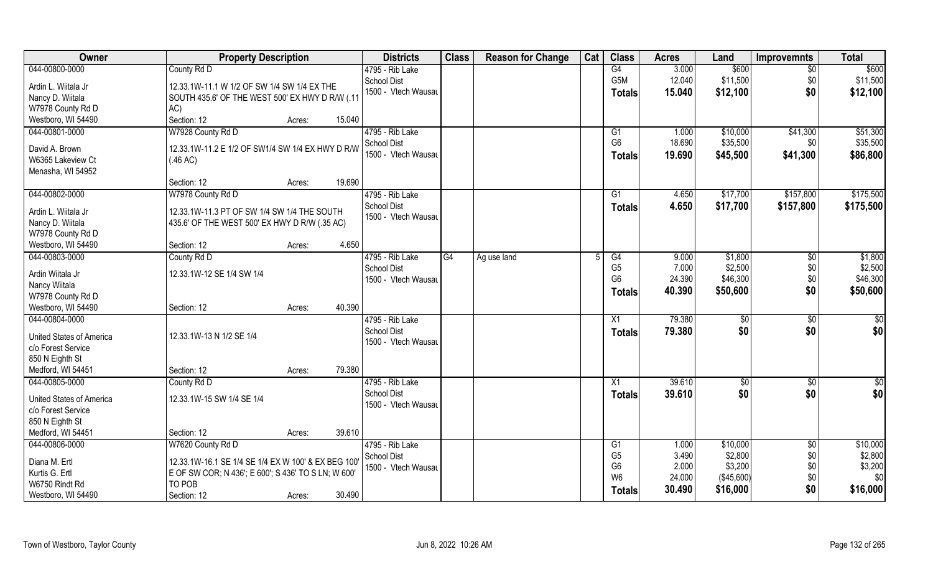| Owner                           | <b>Property Description</b>                         | <b>Districts</b>                   | <b>Class</b> | <b>Reason for Change</b> | Cat | <b>Class</b>         | <b>Acres</b>   | Land               | <b>Improvemnts</b> | <b>Total</b>        |
|---------------------------------|-----------------------------------------------------|------------------------------------|--------------|--------------------------|-----|----------------------|----------------|--------------------|--------------------|---------------------|
| 044-00800-0000                  | County Rd D                                         | 4795 - Rib Lake                    |              |                          |     | G4                   | 3.000          | \$600              | $\overline{50}$    | \$600               |
| Ardin L. Wiitala Jr             | 12.33.1W-11.1 W 1/2 OF SW 1/4 SW 1/4 EX THE         | School Dist                        |              |                          |     | G <sub>5</sub> M     | 12.040         | \$11,500           | \$0                | \$11,500            |
| Nancy D. Wiitala                | SOUTH 435.6' OF THE WEST 500' EX HWY D R/W (.11     | 1500 - Vtech Wausau                |              |                          |     | <b>Totals</b>        | 15.040         | \$12,100           | \$0                | \$12,100            |
| W7978 County Rd D               | AC)                                                 |                                    |              |                          |     |                      |                |                    |                    |                     |
| Westboro, WI 54490              | Section: 12<br>15.040<br>Acres:                     |                                    |              |                          |     |                      |                |                    |                    |                     |
| 044-00801-0000                  | W7928 County Rd D                                   | 4795 - Rib Lake                    |              |                          |     | G1                   | 1.000          | \$10,000           | \$41,300           | \$51,300            |
|                                 |                                                     | <b>School Dist</b>                 |              |                          |     | G <sub>6</sub>       | 18.690         | \$35,500           | \$0                | \$35,500            |
| David A. Brown                  | 12.33.1W-11.2 E 1/2 OF SW1/4 SW 1/4 EX HWY D R/W    | 1500 - Vtech Wausau                |              |                          |     |                      | 19.690         | \$45,500           | \$41,300           | \$86,800            |
| W6365 Lakeview Ct               | (.46 AC)                                            |                                    |              |                          |     | <b>Totals</b>        |                |                    |                    |                     |
| Menasha, WI 54952               |                                                     |                                    |              |                          |     |                      |                |                    |                    |                     |
|                                 | 19.690<br>Section: 12<br>Acres:                     |                                    |              |                          |     |                      |                |                    |                    |                     |
| 044-00802-0000                  | W7978 County Rd D                                   | 4795 - Rib Lake                    |              |                          |     | G <sub>1</sub>       | 4.650          | \$17,700           | \$157,800          | \$175,500           |
| Ardin L. Wiitala Jr             | 12.33.1W-11.3 PT OF SW 1/4 SW 1/4 THE SOUTH         | School Dist                        |              |                          |     | <b>Totals</b>        | 4.650          | \$17,700           | \$157,800          | \$175,500           |
| Nancy D. Wiitala                | 435.6' OF THE WEST 500' EX HWY D R/W (.35 AC)       | 1500 - Vtech Wausau                |              |                          |     |                      |                |                    |                    |                     |
| W7978 County Rd D               |                                                     |                                    |              |                          |     |                      |                |                    |                    |                     |
| Westboro, WI 54490              | 4.650<br>Section: 12<br>Acres:                      |                                    |              |                          |     |                      |                |                    |                    |                     |
| 044-00803-0000                  |                                                     |                                    | G4           |                          |     |                      |                |                    |                    |                     |
|                                 | County Rd D                                         | 4795 - Rib Lake                    |              | Ag use land              |     | G4<br>G <sub>5</sub> | 9.000<br>7.000 | \$1,800<br>\$2,500 | $\sqrt{6}$         | \$1,800             |
| Ardin Wiitala Jr                | 12.33.1W-12 SE 1/4 SW 1/4                           | School Dist<br>1500 - Vtech Wausau |              |                          |     | G <sub>6</sub>       | 24.390         | \$46,300           | \$0<br>\$0         | \$2,500<br>\$46,300 |
| Nancy Wiitala                   |                                                     |                                    |              |                          |     |                      |                |                    |                    |                     |
| W7978 County Rd D               |                                                     |                                    |              |                          |     | <b>Totals</b>        | 40.390         | \$50,600           | \$0                | \$50,600            |
| Westboro, WI 54490              | 40.390<br>Section: 12<br>Acres:                     |                                    |              |                          |     |                      |                |                    |                    |                     |
| 044-00804-0000                  |                                                     | 4795 - Rib Lake                    |              |                          |     | X1                   | 79.380         | $\sqrt[6]{}$       | \$0                | \$0                 |
| <b>United States of America</b> |                                                     | <b>School Dist</b>                 |              |                          |     | <b>Totals</b>        | 79.380         | \$0                | \$0                | \$0                 |
|                                 | 12.33.1W-13 N 1/2 SE 1/4                            | 1500 - Vtech Wausau                |              |                          |     |                      |                |                    |                    |                     |
| c/o Forest Service              |                                                     |                                    |              |                          |     |                      |                |                    |                    |                     |
| 850 N Eighth St                 | 79.380                                              |                                    |              |                          |     |                      |                |                    |                    |                     |
| Medford, WI 54451               | Section: 12<br>Acres:                               |                                    |              |                          |     |                      |                |                    |                    |                     |
| 044-00805-0000                  | County Rd D                                         | 4795 - Rib Lake                    |              |                          |     | X1                   | 39.610         | \$0                | \$0                | $\frac{6}{3}$       |
| <b>United States of America</b> | 12.33.1W-15 SW 1/4 SE 1/4                           | <b>School Dist</b>                 |              |                          |     | <b>Totals</b>        | 39.610         | \$0                | \$0                | \$0                 |
| c/o Forest Service              |                                                     | 1500 - Vtech Wausau                |              |                          |     |                      |                |                    |                    |                     |
| 850 N Eighth St                 |                                                     |                                    |              |                          |     |                      |                |                    |                    |                     |
| Medford, WI 54451               | 39.610<br>Section: 12<br>Acres:                     |                                    |              |                          |     |                      |                |                    |                    |                     |
| 044-00806-0000                  | W7620 County Rd D                                   | 4795 - Rib Lake                    |              |                          |     | G1                   | 1.000          | \$10,000           | $\sqrt{6}$         | \$10,000            |
|                                 |                                                     | School Dist                        |              |                          |     | G <sub>5</sub>       | 3.490          | \$2,800            | \$0                | \$2,800             |
| Diana M. Ertl                   | 12.33.1W-16.1 SE 1/4 SE 1/4 EX W 100' & EX BEG 100  | 1500 - Vtech Wausau                |              |                          |     | G <sub>6</sub>       | 2.000          | \$3,200            | \$0                | \$3,200             |
| Kurtis G. Ertl                  | E OF SW COR; N 436'; E 600'; S 436' TO S LN; W 600' |                                    |              |                          |     | W <sub>6</sub>       | 24.000         | ( \$45,600)        | \$0                | \$0                 |
| W6750 Rindt Rd                  | TO POB                                              |                                    |              |                          |     | <b>Totals</b>        | 30.490         | \$16,000           | \$0                | \$16,000            |
| Westboro, WI 54490              | 30.490<br>Section: 12<br>Acres:                     |                                    |              |                          |     |                      |                |                    |                    |                     |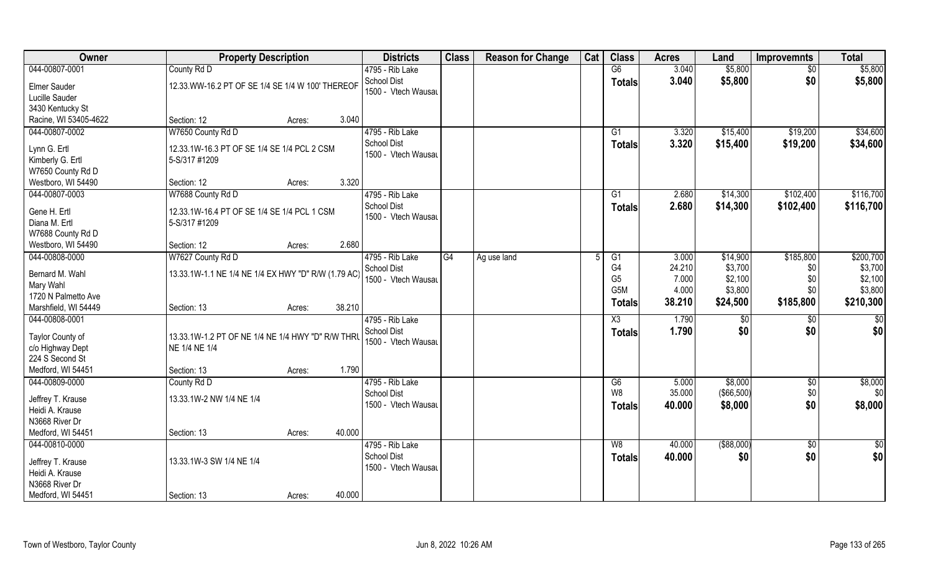| Owner                                | <b>Property Description</b>                         |                  | <b>Districts</b>                          | <b>Class</b> | <b>Reason for Change</b> | Cat | <b>Class</b>     | <b>Acres</b> | Land          | <b>Improvemnts</b> | <b>Total</b>    |
|--------------------------------------|-----------------------------------------------------|------------------|-------------------------------------------|--------------|--------------------------|-----|------------------|--------------|---------------|--------------------|-----------------|
| 044-00807-0001                       | County Rd D                                         |                  | 4795 - Rib Lake                           |              |                          |     | G6               | 3.040        | \$5,800       | $\sqrt{6}$         | \$5,800         |
| Elmer Sauder                         | 12.33. WW-16.2 PT OF SE 1/4 SE 1/4 W 100' THEREOF   |                  | School Dist                               |              |                          |     | <b>Totals</b>    | 3.040        | \$5,800       | \$0                | \$5,800         |
| Lucille Sauder                       |                                                     |                  | 1500 - Vtech Wausau                       |              |                          |     |                  |              |               |                    |                 |
| 3430 Kentucky St                     |                                                     |                  |                                           |              |                          |     |                  |              |               |                    |                 |
| Racine, WI 53405-4622                | Section: 12                                         | 3.040<br>Acres:  |                                           |              |                          |     |                  |              |               |                    |                 |
| 044-00807-0002                       | W7650 County Rd D                                   |                  | 4795 - Rib Lake                           |              |                          |     | G1               | 3.320        | \$15,400      | \$19,200           | \$34,600        |
| Lynn G. Ertl                         | 12.33.1W-16.3 PT OF SE 1/4 SE 1/4 PCL 2 CSM         |                  | <b>School Dist</b>                        |              |                          |     | <b>Totals</b>    | 3.320        | \$15,400      | \$19,200           | \$34,600        |
| Kimberly G. Ertl                     | 5-S/317 #1209                                       |                  | 1500 - Vtech Wausau                       |              |                          |     |                  |              |               |                    |                 |
| W7650 County Rd D                    |                                                     |                  |                                           |              |                          |     |                  |              |               |                    |                 |
| Westboro, WI 54490                   | Section: 12                                         | 3.320<br>Acres:  |                                           |              |                          |     |                  |              |               |                    |                 |
| 044-00807-0003                       | W7688 County Rd D                                   |                  | 4795 - Rib Lake                           |              |                          |     | G1               | 2.680        | \$14,300      | \$102,400          | \$116,700       |
| Gene H. Ertl                         | 12.33.1W-16.4 PT OF SE 1/4 SE 1/4 PCL 1 CSM         |                  | <b>School Dist</b>                        |              |                          |     | <b>Totals</b>    | 2.680        | \$14,300      | \$102,400          | \$116,700       |
| Diana M. Ertl                        | 5-S/317 #1209                                       |                  | 1500 - Vtech Wausau                       |              |                          |     |                  |              |               |                    |                 |
| W7688 County Rd D                    |                                                     |                  |                                           |              |                          |     |                  |              |               |                    |                 |
| Westboro, WI 54490                   | Section: 12                                         | 2.680<br>Acres:  |                                           |              |                          |     |                  |              |               |                    |                 |
| 044-00808-0000                       | W7627 County Rd D                                   |                  | 4795 - Rib Lake                           | G4           | Ag use land              |     | G1               | 3.000        | \$14,900      | \$185,800          | \$200,700       |
|                                      |                                                     |                  | School Dist                               |              |                          |     | G <sub>4</sub>   | 24.210       | \$3,700       | \$0                | \$3,700         |
| Bernard M. Wahl                      | 13.33.1W-1.1 NE 1/4 NE 1/4 EX HWY "D" R/W (1.79 AC) |                  | 1500 - Vtech Wausau                       |              |                          |     | G <sub>5</sub>   | 7.000        | \$2,100       | \$0                | \$2,100         |
| Mary Wahl<br>1720 N Palmetto Ave     |                                                     |                  |                                           |              |                          |     | G <sub>5</sub> M | 4.000        | \$3,800       | \$0                | \$3,800         |
| Marshfield, WI 54449                 | Section: 13                                         | 38.210<br>Acres: |                                           |              |                          |     | <b>Totals</b>    | 38.210       | \$24,500      | \$185,800          | \$210,300       |
| 044-00808-0001                       |                                                     |                  | 4795 - Rib Lake                           |              |                          |     | X3               | 1.790        | \$0           | \$0                | $\overline{50}$ |
|                                      |                                                     |                  | <b>School Dist</b>                        |              |                          |     | <b>Totals</b>    | 1.790        | \$0           | \$0                | \$0             |
| Taylor County of                     | 13.33.1W-1.2 PT OF NE 1/4 NE 1/4 HWY "D" R/W THRU   |                  | 1500 - Vtech Wausau                       |              |                          |     |                  |              |               |                    |                 |
| c/o Highway Dept                     | NE 1/4 NE 1/4                                       |                  |                                           |              |                          |     |                  |              |               |                    |                 |
| 224 S Second St<br>Medford, WI 54451 | Section: 13                                         | 1.790            |                                           |              |                          |     |                  |              |               |                    |                 |
| 044-00809-0000                       | County Rd D                                         | Acres:           | 4795 - Rib Lake                           |              |                          |     | G6               | 5.000        | \$8,000       | $\sqrt{6}$         | \$8,000         |
|                                      |                                                     |                  | <b>School Dist</b>                        |              |                          |     | W <sub>8</sub>   | 35.000       | (\$66,500)    | \$0                | \$0             |
| Jeffrey T. Krause                    | 13.33.1W-2 NW 1/4 NE 1/4                            |                  | 1500 - Vtech Wausau                       |              |                          |     | Totals           | 40.000       | \$8,000       | \$0                | \$8,000         |
| Heidi A. Krause                      |                                                     |                  |                                           |              |                          |     |                  |              |               |                    |                 |
| N3668 River Dr                       |                                                     |                  |                                           |              |                          |     |                  |              |               |                    |                 |
| Medford, WI 54451                    | Section: 13                                         | 40.000<br>Acres: |                                           |              |                          |     |                  |              |               |                    |                 |
| 044-00810-0000                       |                                                     |                  | 4795 - Rib Lake                           |              |                          |     | W8               | 40.000       | $($ \$88,000) | \$0                | $\frac{1}{6}$   |
| Jeffrey T. Krause                    | 13.33.1W-3 SW 1/4 NE 1/4                            |                  | <b>School Dist</b><br>1500 - Vtech Wausau |              |                          |     | <b>Totals</b>    | 40.000       | \$0           | \$0                | \$0             |
| Heidi A. Krause                      |                                                     |                  |                                           |              |                          |     |                  |              |               |                    |                 |
| N3668 River Dr                       |                                                     |                  |                                           |              |                          |     |                  |              |               |                    |                 |
| Medford, WI 54451                    | Section: 13                                         | 40.000<br>Acres: |                                           |              |                          |     |                  |              |               |                    |                 |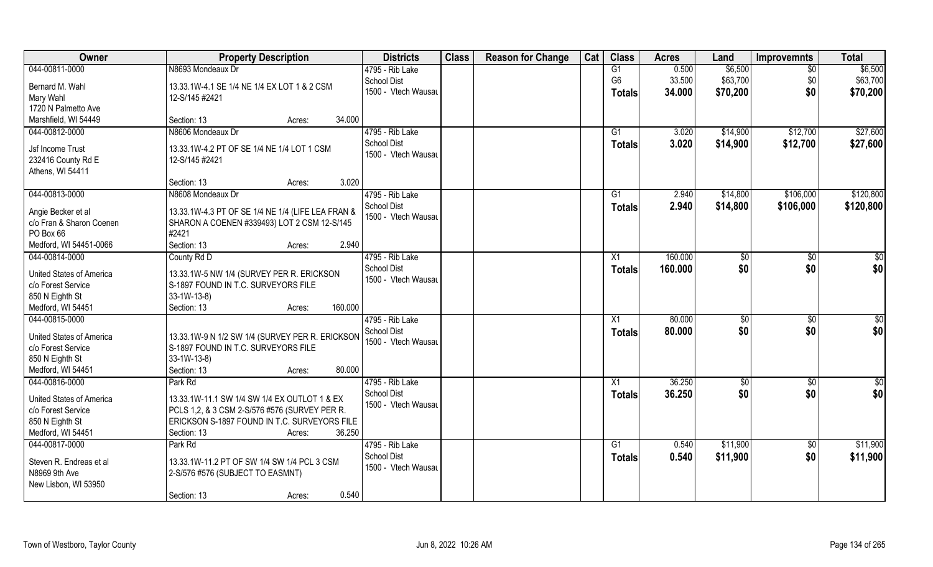| Owner                           | <b>Property Description</b>                       | <b>Districts</b>    | <b>Class</b> | <b>Reason for Change</b> | Cat | <b>Class</b>   | <b>Acres</b> | Land     | <b>Improvemnts</b> | <b>Total</b>    |
|---------------------------------|---------------------------------------------------|---------------------|--------------|--------------------------|-----|----------------|--------------|----------|--------------------|-----------------|
| 044-00811-0000                  | N8693 Mondeaux Dr                                 | 4795 - Rib Lake     |              |                          |     | G1             | 0.500        | \$6,500  | $\overline{50}$    | \$6,500         |
| Bernard M. Wahl                 | 13.33.1W-4.1 SE 1/4 NE 1/4 EX LOT 1 & 2 CSM       | <b>School Dist</b>  |              |                          |     | G <sub>6</sub> | 33.500       | \$63,700 | \$0                | \$63,700        |
| Mary Wahl                       | 12-S/145 #2421                                    | 1500 - Vtech Wausau |              |                          |     | <b>Totals</b>  | 34.000       | \$70,200 | \$0                | \$70,200        |
| 1720 N Palmetto Ave             |                                                   |                     |              |                          |     |                |              |          |                    |                 |
| Marshfield, WI 54449            | 34.000<br>Section: 13<br>Acres:                   |                     |              |                          |     |                |              |          |                    |                 |
| 044-00812-0000                  | N8606 Mondeaux Dr                                 | 4795 - Rib Lake     |              |                          |     | G1             | 3.020        | \$14,900 | \$12,700           | \$27,600        |
|                                 |                                                   | <b>School Dist</b>  |              |                          |     | Totals         | 3.020        | \$14,900 | \$12,700           | \$27,600        |
| Jsf Income Trust                | 13.33.1W-4.2 PT OF SE 1/4 NE 1/4 LOT 1 CSM        | 1500 - Vtech Wausau |              |                          |     |                |              |          |                    |                 |
| 232416 County Rd E              | 12-S/145 #2421                                    |                     |              |                          |     |                |              |          |                    |                 |
| Athens, WI 54411                |                                                   |                     |              |                          |     |                |              |          |                    |                 |
|                                 | 3.020<br>Section: 13<br>Acres:                    |                     |              |                          |     |                |              |          |                    |                 |
| 044-00813-0000                  | N8608 Mondeaux Dr                                 | 4795 - Rib Lake     |              |                          |     | G1             | 2.940        | \$14,800 | \$106,000          | \$120,800       |
| Angie Becker et al              | 13.33.1W-4.3 PT OF SE 1/4 NE 1/4 (LIFE LEA FRAN & | <b>School Dist</b>  |              |                          |     | <b>Totals</b>  | 2.940        | \$14,800 | \$106,000          | \$120,800       |
| c/o Fran & Sharon Coenen        | SHARON A COENEN #339493) LOT 2 CSM 12-S/145       | 1500 - Vtech Wausau |              |                          |     |                |              |          |                    |                 |
| PO Box 66                       | #2421                                             |                     |              |                          |     |                |              |          |                    |                 |
| Medford, WI 54451-0066          | Section: 13<br>2.940<br>Acres:                    |                     |              |                          |     |                |              |          |                    |                 |
| 044-00814-0000                  | County Rd D                                       | 4795 - Rib Lake     |              |                          |     | X1             | 160.000      | \$0      | \$0                | \$0             |
|                                 |                                                   | <b>School Dist</b>  |              |                          |     | <b>Totals</b>  | 160.000      | \$0      | \$0                | \$0             |
| <b>United States of America</b> | 13.33.1W-5 NW 1/4 (SURVEY PER R. ERICKSON         | 1500 - Vtech Wausau |              |                          |     |                |              |          |                    |                 |
| c/o Forest Service              | S-1897 FOUND IN T.C. SURVEYORS FILE               |                     |              |                          |     |                |              |          |                    |                 |
| 850 N Eighth St                 | $33-1W-13-8$                                      |                     |              |                          |     |                |              |          |                    |                 |
| Medford, WI 54451               | 160.000<br>Section: 13<br>Acres:                  |                     |              |                          |     |                |              |          |                    |                 |
| 044-00815-0000                  |                                                   | 4795 - Rib Lake     |              |                          |     | X1             | 80.000       | \$0      | \$0                | $\overline{50}$ |
| United States of America        | 13.33.1W-9 N 1/2 SW 1/4 (SURVEY PER R. ERICKSON   | <b>School Dist</b>  |              |                          |     | <b>Totals</b>  | 80.000       | \$0      | \$0                | \$0             |
| c/o Forest Service              | S-1897 FOUND IN T.C. SURVEYORS FILE               | 1500 - Vtech Wausau |              |                          |     |                |              |          |                    |                 |
| 850 N Eighth St                 | $33-1W-13-8$                                      |                     |              |                          |     |                |              |          |                    |                 |
| Medford, WI 54451               | 80.000<br>Section: 13<br>Acres:                   |                     |              |                          |     |                |              |          |                    |                 |
| 044-00816-0000                  | Park Rd                                           | 4795 - Rib Lake     |              |                          |     | X1             | 36.250       | \$0      | \$0                | \$0             |
|                                 |                                                   | <b>School Dist</b>  |              |                          |     | <b>Totals</b>  | 36.250       | \$0      | \$0                | \$0             |
| United States of America        | 13.33.1W-11.1 SW 1/4 SW 1/4 EX OUTLOT 1 & EX      | 1500 - Vtech Wausau |              |                          |     |                |              |          |                    |                 |
| c/o Forest Service              | PCLS 1,2, & 3 CSM 2-S/576 #576 (SURVEY PER R.     |                     |              |                          |     |                |              |          |                    |                 |
| 850 N Eighth St                 | ERICKSON S-1897 FOUND IN T.C. SURVEYORS FILE      |                     |              |                          |     |                |              |          |                    |                 |
| Medford, WI 54451               | 36.250<br>Section: 13<br>Acres:                   |                     |              |                          |     |                |              |          |                    |                 |
| 044-00817-0000                  | Park Rd                                           | 4795 - Rib Lake     |              |                          |     | G1             | 0.540        | \$11,900 | $\sqrt{6}$         | \$11,900        |
| Steven R. Endreas et al         | 13.33.1W-11.2 PT OF SW 1/4 SW 1/4 PCL 3 CSM       | <b>School Dist</b>  |              |                          |     | <b>Totals</b>  | 0.540        | \$11,900 | \$0                | \$11,900        |
| N8969 9th Ave                   | 2-S/576 #576 (SUBJECT TO EASMNT)                  | 1500 - Vtech Wausau |              |                          |     |                |              |          |                    |                 |
| New Lisbon, WI 53950            |                                                   |                     |              |                          |     |                |              |          |                    |                 |
|                                 | 0.540<br>Section: 13<br>Acres:                    |                     |              |                          |     |                |              |          |                    |                 |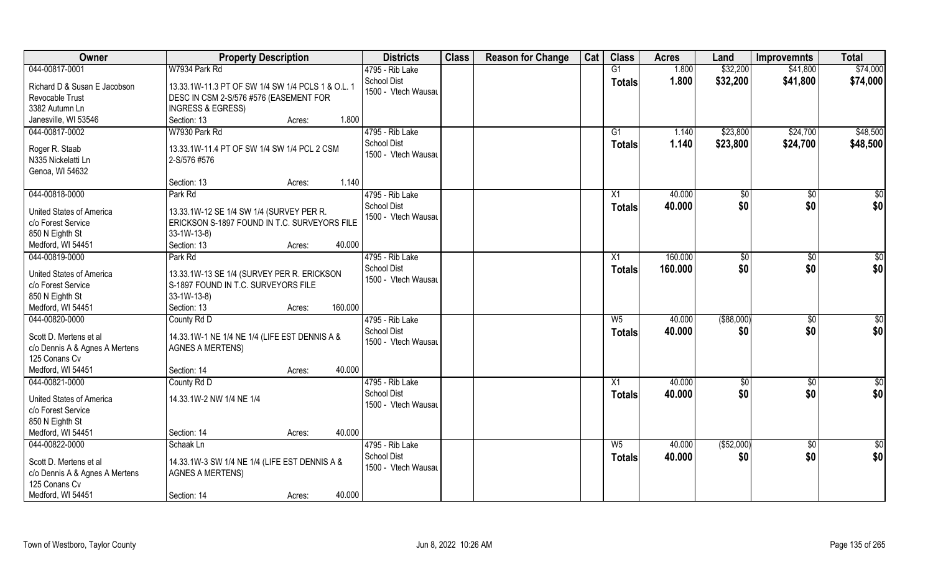| Owner                           | <b>Property Description</b>                                                              |         | <b>Districts</b>                          | <b>Class</b> | <b>Reason for Change</b> | Cat | <b>Class</b>    | <b>Acres</b> | Land          | <b>Improvemnts</b> | <b>Total</b>    |
|---------------------------------|------------------------------------------------------------------------------------------|---------|-------------------------------------------|--------------|--------------------------|-----|-----------------|--------------|---------------|--------------------|-----------------|
| 044-00817-0001                  | W7934 Park Rd                                                                            |         | 4795 - Rib Lake                           |              |                          |     | G1              | 1.800        | \$32,200      | \$41,800           | \$74,000        |
| Richard D & Susan E Jacobson    | 13.33.1W-11.3 PT OF SW 1/4 SW 1/4 PCLS 1 & O.L. 1                                        |         | <b>School Dist</b><br>1500 - Vtech Wausau |              |                          |     | <b>Totals</b>   | 1.800        | \$32,200      | \$41,800           | \$74,000        |
| Revocable Trust                 | DESC IN CSM 2-S/576 #576 (EASEMENT FOR                                                   |         |                                           |              |                          |     |                 |              |               |                    |                 |
| 3382 Autumn Ln                  | <b>INGRESS &amp; EGRESS)</b>                                                             |         |                                           |              |                          |     |                 |              |               |                    |                 |
| Janesville, WI 53546            | Section: 13<br>Acres:                                                                    | 1.800   |                                           |              |                          |     |                 |              |               |                    |                 |
| 044-00817-0002                  | W7930 Park Rd                                                                            |         | 4795 - Rib Lake                           |              |                          |     | G1              | 1.140        | \$23,800      | \$24,700           | \$48,500        |
| Roger R. Staab                  | 13.33.1W-11.4 PT OF SW 1/4 SW 1/4 PCL 2 CSM                                              |         | <b>School Dist</b>                        |              |                          |     | <b>Totals</b>   | 1.140        | \$23,800      | \$24,700           | \$48,500        |
| N335 Nickelatti Ln              | 2-S/576 #576                                                                             |         | 1500 - Vtech Wausau                       |              |                          |     |                 |              |               |                    |                 |
| Genoa, WI 54632                 |                                                                                          |         |                                           |              |                          |     |                 |              |               |                    |                 |
|                                 | Section: 13<br>Acres:                                                                    | 1.140   |                                           |              |                          |     |                 |              |               |                    |                 |
| 044-00818-0000                  | Park Rd                                                                                  |         | 4795 - Rib Lake                           |              |                          |     | X1              | 40.000       | \$0           | $\sqrt[6]{30}$     | $\sqrt{50}$     |
| United States of America        |                                                                                          |         | <b>School Dist</b>                        |              |                          |     | <b>Totals</b>   | 40.000       | \$0           | \$0                | \$0             |
| c/o Forest Service              | 13.33.1W-12 SE 1/4 SW 1/4 (SURVEY PER R.<br>ERICKSON S-1897 FOUND IN T.C. SURVEYORS FILE |         | 1500 - Vtech Wausau                       |              |                          |     |                 |              |               |                    |                 |
| 850 N Eighth St                 | $33-1W-13-8$                                                                             |         |                                           |              |                          |     |                 |              |               |                    |                 |
| Medford, WI 54451               | Section: 13<br>Acres:                                                                    | 40.000  |                                           |              |                          |     |                 |              |               |                    |                 |
| 044-00819-0000                  | Park Rd                                                                                  |         | 4795 - Rib Lake                           |              |                          |     | X1              | 160.000      | $\sqrt[6]{3}$ | $\sqrt[6]{3}$      | \$0             |
|                                 |                                                                                          |         | <b>School Dist</b>                        |              |                          |     |                 | 160.000      | \$0           | \$0                |                 |
| <b>United States of America</b> | 13.33.1W-13 SE 1/4 (SURVEY PER R. ERICKSON                                               |         | 1500 - Vtech Wausau                       |              |                          |     | <b>Totals</b>   |              |               |                    | \$0             |
| c/o Forest Service              | S-1897 FOUND IN T.C. SURVEYORS FILE                                                      |         |                                           |              |                          |     |                 |              |               |                    |                 |
| 850 N Eighth St                 | $33-1W-13-8$                                                                             |         |                                           |              |                          |     |                 |              |               |                    |                 |
| Medford, WI 54451               | Section: 13<br>Acres:                                                                    | 160.000 |                                           |              |                          |     |                 |              |               |                    |                 |
| 044-00820-0000                  | County Rd D                                                                              |         | 4795 - Rib Lake                           |              |                          |     | $\overline{W5}$ | 40.000       | ( \$88,000)   | $\overline{50}$    | $\overline{50}$ |
| Scott D. Mertens et al          | 14.33.1W-1 NE 1/4 NE 1/4 (LIFE EST DENNIS A &                                            |         | <b>School Dist</b>                        |              |                          |     | <b>Totals</b>   | 40.000       | \$0           | \$0                | \$0             |
| c/o Dennis A & Agnes A Mertens  | <b>AGNES A MERTENS)</b>                                                                  |         | 1500 - Vtech Wausau                       |              |                          |     |                 |              |               |                    |                 |
| 125 Conans Cv                   |                                                                                          |         |                                           |              |                          |     |                 |              |               |                    |                 |
| Medford, WI 54451               | Section: 14<br>Acres:                                                                    | 40.000  |                                           |              |                          |     |                 |              |               |                    |                 |
| 044-00821-0000                  | County Rd D                                                                              |         | 4795 - Rib Lake                           |              |                          |     | X1              | 40.000       | \$0           | $\sqrt{$0}$        | \$0             |
|                                 |                                                                                          |         | <b>School Dist</b>                        |              |                          |     | <b>Totals</b>   | 40.000       | \$0           | \$0                | \$0             |
| <b>United States of America</b> | 14.33.1W-2 NW 1/4 NE 1/4                                                                 |         | 1500 - Vtech Wausau                       |              |                          |     |                 |              |               |                    |                 |
| c/o Forest Service              |                                                                                          |         |                                           |              |                          |     |                 |              |               |                    |                 |
| 850 N Eighth St                 |                                                                                          |         |                                           |              |                          |     |                 |              |               |                    |                 |
| Medford, WI 54451               | Section: 14<br>Acres:                                                                    | 40.000  |                                           |              |                          |     |                 |              |               |                    |                 |
| 044-00822-0000                  | Schaak Ln                                                                                |         | 4795 - Rib Lake                           |              |                          |     | $W_5$           | 40.000       | ( \$52,000)   | $\sqrt{$0}$        | $\overline{50}$ |
| Scott D. Mertens et al          | 14.33.1W-3 SW 1/4 NE 1/4 (LIFE EST DENNIS A &                                            |         | <b>School Dist</b>                        |              |                          |     | <b>Totals</b>   | 40.000       | \$0           | \$0                | \$0             |
| c/o Dennis A & Agnes A Mertens  | <b>AGNES A MERTENS)</b>                                                                  |         | 1500 - Vtech Wausau                       |              |                          |     |                 |              |               |                    |                 |
| 125 Conans Cv                   |                                                                                          |         |                                           |              |                          |     |                 |              |               |                    |                 |
| Medford, WI 54451               | Section: 14<br>Acres:                                                                    | 40.000  |                                           |              |                          |     |                 |              |               |                    |                 |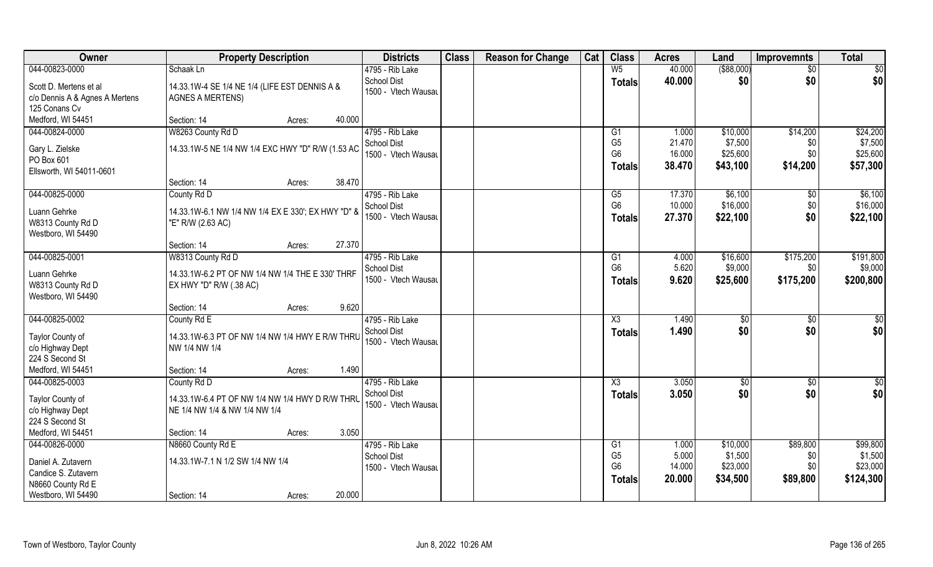| 044-00823-0000<br>W <sub>5</sub><br>40.000<br>Schaak Ln<br>4795 - Rib Lake<br><b>School Dist</b><br>40.000<br><b>Totals</b><br>Scott D. Mertens et al<br>14.33.1W-4 SE 1/4 NE 1/4 (LIFE EST DENNIS A &<br>1500 - Vtech Wausau<br>c/o Dennis A & Agnes A Mertens<br><b>AGNES A MERTENS)</b><br>125 Conans Cv<br>Medford, WI 54451<br>40.000<br>Section: 14<br>Acres:<br>044-00824-0000<br>W8263 County Rd D<br>4795 - Rib Lake<br>1.000<br>G1<br>G <sub>5</sub><br><b>School Dist</b><br>21.470<br>14.33.1W-5 NE 1/4 NW 1/4 EXC HWY "D" R/W (1.53 AC<br>Gary L. Zielske<br>G <sub>6</sub><br>16.000<br>1500 - Vtech Wausau<br>PO Box 601<br>38.470<br><b>Totals</b><br>Ellsworth, WI 54011-0601<br>38.470<br>Section: 14<br>Acres:<br>044-00825-0000<br>4795 - Rib Lake<br>\$6,100<br>County Rd D<br>G5<br>17.370<br>G <sub>6</sub><br>10.000<br>School Dist<br>Luann Gehrke<br>14.33.1W-6.1 NW 1/4 NW 1/4 EX E 330'; EX HWY "D" &<br>1500 - Vtech Wausau<br>27.370<br><b>Totals</b><br>W8313 County Rd D<br>"E" R/W (2.63 AC) | Owner | <b>Total</b><br>Cat<br><b>Class</b><br><b>Acres</b><br>Land<br><b>Improvemnts</b>                                                |
|-------------------------------------------------------------------------------------------------------------------------------------------------------------------------------------------------------------------------------------------------------------------------------------------------------------------------------------------------------------------------------------------------------------------------------------------------------------------------------------------------------------------------------------------------------------------------------------------------------------------------------------------------------------------------------------------------------------------------------------------------------------------------------------------------------------------------------------------------------------------------------------------------------------------------------------------------------------------------------------------------------------------------------|-------|----------------------------------------------------------------------------------------------------------------------------------|
|                                                                                                                                                                                                                                                                                                                                                                                                                                                                                                                                                                                                                                                                                                                                                                                                                                                                                                                                                                                                                               |       | $($ \$88,000)<br>\$0<br>$\overline{50}$                                                                                          |
|                                                                                                                                                                                                                                                                                                                                                                                                                                                                                                                                                                                                                                                                                                                                                                                                                                                                                                                                                                                                                               |       | \$0<br>\$0<br>\$0                                                                                                                |
|                                                                                                                                                                                                                                                                                                                                                                                                                                                                                                                                                                                                                                                                                                                                                                                                                                                                                                                                                                                                                               |       |                                                                                                                                  |
|                                                                                                                                                                                                                                                                                                                                                                                                                                                                                                                                                                                                                                                                                                                                                                                                                                                                                                                                                                                                                               |       | \$14,200<br>\$24,200<br>\$10,000<br>\$7,500<br>\$7,500<br>\$0<br>\$25,600<br>\$25,600<br>\$0<br>\$14,200<br>\$57,300<br>\$43,100 |
|                                                                                                                                                                                                                                                                                                                                                                                                                                                                                                                                                                                                                                                                                                                                                                                                                                                                                                                                                                                                                               |       |                                                                                                                                  |
| Westboro, WI 54490                                                                                                                                                                                                                                                                                                                                                                                                                                                                                                                                                                                                                                                                                                                                                                                                                                                                                                                                                                                                            |       | \$6,100<br>$\sqrt[6]{}$<br>\$16,000<br>\$0<br>\$16,000<br>\$22,100<br>\$0<br>\$22,100                                            |
| 27.370<br>Section: 14<br>Acres:                                                                                                                                                                                                                                                                                                                                                                                                                                                                                                                                                                                                                                                                                                                                                                                                                                                                                                                                                                                               |       |                                                                                                                                  |
| 044-00825-0001<br>W8313 County Rd D<br>4795 - Rib Lake<br>4.000<br>G <sub>1</sub><br>G <sub>6</sub><br>5.620<br>School Dist<br>Luann Gehrke<br>14.33.1W-6.2 PT OF NW 1/4 NW 1/4 THE E 330' THRF<br>1500 - Vtech Wausau<br>9.620<br><b>Totals</b><br>W8313 County Rd D<br>EX HWY "D" R/W (.38 AC)<br>Westboro, WI 54490                                                                                                                                                                                                                                                                                                                                                                                                                                                                                                                                                                                                                                                                                                        |       | \$191,800<br>\$16,600<br>\$175,200<br>\$9,000<br>\$9,000<br>\$0<br>\$175,200<br>\$200,800<br>\$25,600                            |
| 9.620<br>Section: 14<br>Acres:                                                                                                                                                                                                                                                                                                                                                                                                                                                                                                                                                                                                                                                                                                                                                                                                                                                                                                                                                                                                |       |                                                                                                                                  |
| 044-00825-0002<br>1.490<br>County Rd E<br>4795 - Rib Lake<br>X3<br>1.490<br><b>School Dist</b><br><b>Totals</b><br>Taylor County of<br>14.33.1W-6.3 PT OF NW 1/4 NW 1/4 HWY E R/W THRL<br>1500 - Vtech Wausau<br>c/o Highway Dept<br>NW 1/4 NW 1/4<br>224 S Second St                                                                                                                                                                                                                                                                                                                                                                                                                                                                                                                                                                                                                                                                                                                                                         |       | $\overline{50}$<br>$\sqrt[6]{}$<br>\$0<br>\$0<br>\$0<br>\$0                                                                      |
| Medford, WI 54451<br>1.490<br>Section: 14<br>Acres:                                                                                                                                                                                                                                                                                                                                                                                                                                                                                                                                                                                                                                                                                                                                                                                                                                                                                                                                                                           |       |                                                                                                                                  |
| 044-00825-0003<br>4795 - Rib Lake<br>County Rd D<br>X3<br>3.050<br>3.050<br>School Dist<br><b>Totals</b><br>Taylor County of<br>14.33.1W-6.4 PT OF NW 1/4 NW 1/4 HWY D R/W THRU<br>1500 - Vtech Wausau<br>c/o Highway Dept<br>NE 1/4 NW 1/4 & NW 1/4 NW 1/4<br>224 S Second St<br>Medford, WI 54451<br>3.050<br>Section: 14                                                                                                                                                                                                                                                                                                                                                                                                                                                                                                                                                                                                                                                                                                   |       | \$0<br>\$0<br>\$0<br>\$0<br>\$0<br>\$0                                                                                           |
| Acres:<br>044-00826-0000<br>N8660 County Rd E<br>4795 - Rib Lake<br>1.000                                                                                                                                                                                                                                                                                                                                                                                                                                                                                                                                                                                                                                                                                                                                                                                                                                                                                                                                                     |       | \$89,800<br>\$99,800<br>\$10,000                                                                                                 |
| G <sub>1</sub><br>G <sub>5</sub><br>5.000<br><b>School Dist</b><br>14.33.1W-7.1 N 1/2 SW 1/4 NW 1/4<br>Daniel A. Zutavern<br>G <sub>6</sub><br>14.000<br>1500 - Vtech Wausau<br>Candice S. Zutavern<br>20.000<br><b>Totals</b><br>N8660 County Rd E<br>Westboro, WI 54490<br>20.000<br>Section: 14<br>Acres:                                                                                                                                                                                                                                                                                                                                                                                                                                                                                                                                                                                                                                                                                                                  |       | \$1,500<br>\$1,500<br>\$0<br>\$23,000<br>\$23,000<br>\$0<br>\$34,500<br>\$124,300<br>\$89,800                                    |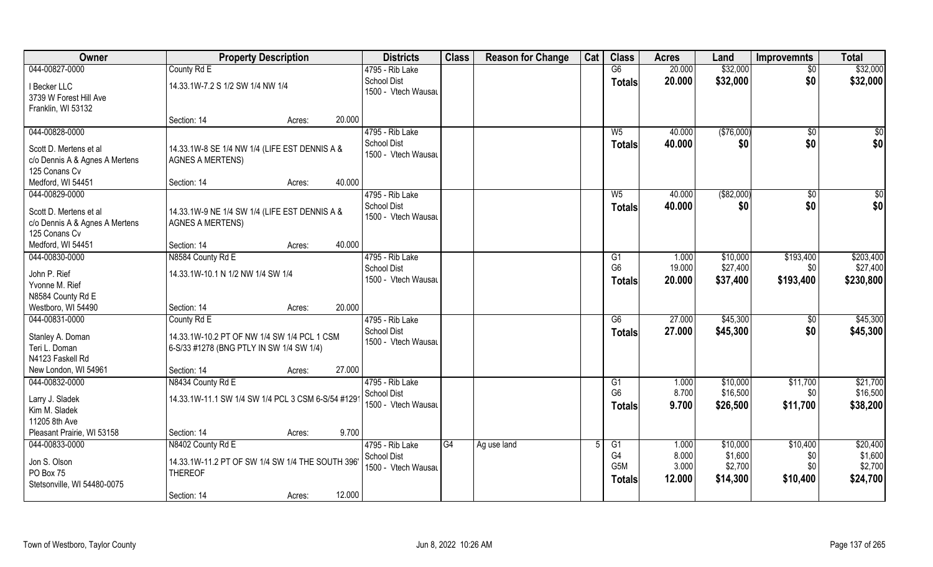| Owner                                  | <b>Property Description</b>                       |                  | <b>Districts</b>                          | <b>Class</b> | <b>Reason for Change</b> | Cat | <b>Class</b>     | <b>Acres</b> | Land        | <b>Improvemnts</b> | <b>Total</b> |
|----------------------------------------|---------------------------------------------------|------------------|-------------------------------------------|--------------|--------------------------|-----|------------------|--------------|-------------|--------------------|--------------|
| 044-00827-0000                         | County Rd E                                       |                  | 4795 - Rib Lake                           |              |                          |     | $\overline{G6}$  | 20.000       | \$32,000    | $\sqrt{$0}$        | \$32,000     |
| I Becker LLC<br>3739 W Forest Hill Ave | 14.33.1W-7.2 S 1/2 SW 1/4 NW 1/4                  |                  | <b>School Dist</b><br>1500 - Vtech Wausau |              |                          |     | <b>Totals</b>    | 20.000       | \$32,000    | \$0                | \$32,000     |
| Franklin, WI 53132                     | Section: 14                                       | 20.000<br>Acres: |                                           |              |                          |     |                  |              |             |                    |              |
| 044-00828-0000                         |                                                   |                  | 4795 - Rib Lake                           |              |                          |     | $W_5$            | 40.000       | (\$76,000)  | \$0                | $\sqrt{50}$  |
|                                        |                                                   |                  | <b>School Dist</b>                        |              |                          |     |                  | 40.000       | \$0         | \$0                | \$0          |
| Scott D. Mertens et al                 | 14.33.1W-8 SE 1/4 NW 1/4 (LIFE EST DENNIS A &     |                  | 1500 - Vtech Wausau                       |              |                          |     | Totals           |              |             |                    |              |
| c/o Dennis A & Agnes A Mertens         | <b>AGNES A MERTENS)</b>                           |                  |                                           |              |                          |     |                  |              |             |                    |              |
| 125 Conans Cv                          |                                                   |                  |                                           |              |                          |     |                  |              |             |                    |              |
| Medford, WI 54451                      | Section: 14                                       | 40.000<br>Acres: |                                           |              |                          |     |                  |              |             |                    |              |
| 044-00829-0000                         |                                                   |                  | 4795 - Rib Lake                           |              |                          |     | $W_5$            | 40.000       | ( \$82,000) | $\sqrt[6]{30}$     | $\sqrt{50}$  |
| Scott D. Mertens et al                 | 14.33.1W-9 NE 1/4 SW 1/4 (LIFE EST DENNIS A &     |                  | <b>School Dist</b>                        |              |                          |     | <b>Totals</b>    | 40.000       | \$0         | \$0                | \$0          |
| c/o Dennis A & Agnes A Mertens         | <b>AGNES A MERTENS)</b>                           |                  | 1500 - Vtech Wausau                       |              |                          |     |                  |              |             |                    |              |
| 125 Conans Cv                          |                                                   |                  |                                           |              |                          |     |                  |              |             |                    |              |
| Medford, WI 54451                      | Section: 14                                       | 40.000<br>Acres: |                                           |              |                          |     |                  |              |             |                    |              |
| 044-00830-0000                         | N8584 County Rd E                                 |                  | 4795 - Rib Lake                           |              |                          |     | G1               | 1.000        | \$10,000    | \$193,400          | \$203,400    |
| John P. Rief                           | 14.33.1W-10.1 N 1/2 NW 1/4 SW 1/4                 |                  | <b>School Dist</b>                        |              |                          |     | G <sub>6</sub>   | 19.000       | \$27,400    | \$0                | \$27,400     |
| Yvonne M. Rief                         |                                                   |                  | 1500 - Vtech Wausau                       |              |                          |     | <b>Totals</b>    | 20.000       | \$37,400    | \$193,400          | \$230,800    |
| N8584 County Rd E                      |                                                   |                  |                                           |              |                          |     |                  |              |             |                    |              |
| Westboro, WI 54490                     | Section: 14                                       | 20.000<br>Acres: |                                           |              |                          |     |                  |              |             |                    |              |
| 044-00831-0000                         | County Rd E                                       |                  | 4795 - Rib Lake                           |              |                          |     | $\overline{G6}$  | 27.000       | \$45,300    | $\sqrt[6]{30}$     | \$45,300     |
|                                        |                                                   |                  | <b>School Dist</b>                        |              |                          |     | <b>Totals</b>    | 27,000       | \$45,300    | \$0                | \$45,300     |
| Stanley A. Doman                       | 14.33.1W-10.2 PT OF NW 1/4 SW 1/4 PCL 1 CSM       |                  | 1500 - Vtech Wausau                       |              |                          |     |                  |              |             |                    |              |
| Teri L. Doman<br>N4123 Faskell Rd      | 6-S/33 #1278 (BNG PTLY IN SW 1/4 SW 1/4)          |                  |                                           |              |                          |     |                  |              |             |                    |              |
| New London, WI 54961                   | Section: 14                                       | 27.000           |                                           |              |                          |     |                  |              |             |                    |              |
| 044-00832-0000                         | N8434 County Rd E                                 | Acres:           | 4795 - Rib Lake                           |              |                          |     | G1               | 1.000        | \$10,000    | \$11,700           | \$21,700     |
|                                        |                                                   |                  | School Dist                               |              |                          |     | G <sub>6</sub>   | 8.700        | \$16,500    | \$0                | \$16,500     |
| Larry J. Sladek                        | 14.33.1W-11.1 SW 1/4 SW 1/4 PCL 3 CSM 6-S/54 #129 |                  | 1500 - Vtech Wausau                       |              |                          |     | <b>Totals</b>    | 9.700        | \$26,500    | \$11,700           | \$38,200     |
| Kim M. Sladek                          |                                                   |                  |                                           |              |                          |     |                  |              |             |                    |              |
| 11205 8th Ave                          |                                                   |                  |                                           |              |                          |     |                  |              |             |                    |              |
| Pleasant Prairie, WI 53158             | Section: 14                                       | 9.700<br>Acres:  |                                           |              |                          |     |                  |              |             |                    |              |
| 044-00833-0000                         | N8402 County Rd E                                 |                  | 4795 - Rib Lake                           | G4           | Ag use land              |     | G1               | 1.000        | \$10,000    | \$10,400           | \$20,400     |
| Jon S. Olson                           | 14.33.1W-11.2 PT OF SW 1/4 SW 1/4 THE SOUTH 396'  |                  | <b>School Dist</b>                        |              |                          |     | G <sub>4</sub>   | 8.000        | \$1,600     | \$0                | \$1,600      |
| PO Box 75                              | <b>THEREOF</b>                                    |                  | 1500 - Vtech Wausau                       |              |                          |     | G <sub>5</sub> M | 3.000        | \$2,700     | \$0                | \$2,700      |
| Stetsonville, WI 54480-0075            |                                                   |                  |                                           |              |                          |     | Totals           | 12.000       | \$14,300    | \$10,400           | \$24,700     |
|                                        | Section: 14                                       | 12.000<br>Acres: |                                           |              |                          |     |                  |              |             |                    |              |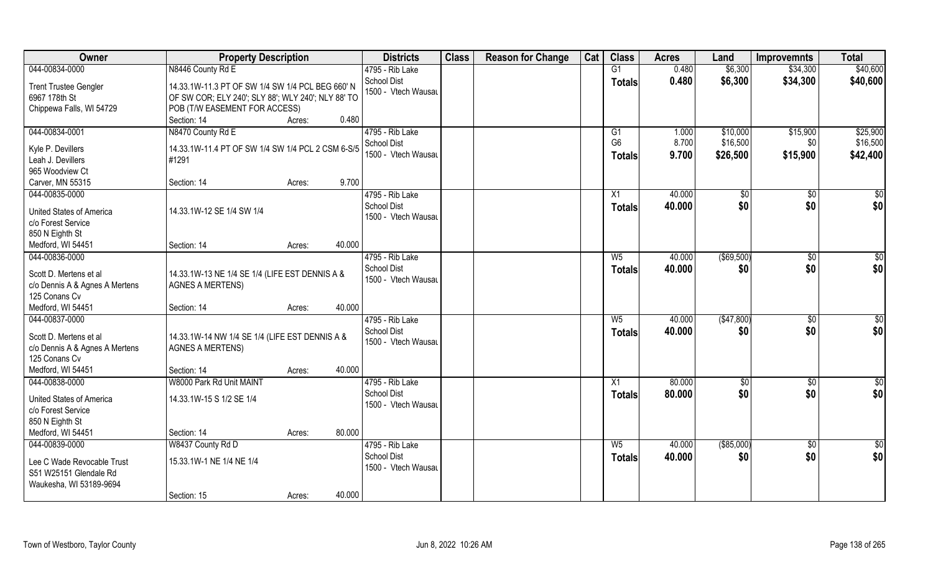| Owner                                                                                             | <b>Property Description</b>                                                                                                             |        | <b>Districts</b>                                             | <b>Class</b> | <b>Reason for Change</b> | Cat | <b>Class</b>                    | <b>Acres</b>            | Land                             | <b>Improvemnts</b>          | <b>Total</b>                     |
|---------------------------------------------------------------------------------------------------|-----------------------------------------------------------------------------------------------------------------------------------------|--------|--------------------------------------------------------------|--------------|--------------------------|-----|---------------------------------|-------------------------|----------------------------------|-----------------------------|----------------------------------|
| 044-00834-0000                                                                                    | N8446 County Rd E                                                                                                                       |        | 4795 - Rib Lake                                              |              |                          |     | G1                              | 0.480                   | \$6,300                          | \$34,300                    | \$40,600                         |
| <b>Trent Trustee Gengler</b><br>6967 178th St<br>Chippewa Falls, WI 54729                         | 14.33.1W-11.3 PT OF SW 1/4 SW 1/4 PCL BEG 660' N<br>OF SW COR; ELY 240'; SLY 88'; WLY 240'; NLY 88' TO<br>POB (T/W EASEMENT FOR ACCESS) |        | <b>School Dist</b><br>1500 - Vtech Wausau                    |              |                          |     | <b>Totals</b>                   | 0.480                   | \$6,300                          | \$34,300                    | \$40,600                         |
|                                                                                                   | Section: 14<br>Acres:                                                                                                                   | 0.480  |                                                              |              |                          |     |                                 |                         |                                  |                             |                                  |
| 044-00834-0001<br>Kyle P. Devillers<br>Leah J. Devillers<br>965 Woodview Ct                       | N8470 County Rd E<br>14.33.1W-11.4 PT OF SW 1/4 SW 1/4 PCL 2 CSM 6-S/5<br>#1291                                                         |        | 4795 - Rib Lake<br><b>School Dist</b><br>1500 - Vtech Wausau |              |                          |     | G1<br>G <sub>6</sub><br>Totals  | 1.000<br>8.700<br>9.700 | \$10,000<br>\$16,500<br>\$26,500 | \$15,900<br>\$0<br>\$15,900 | \$25,900<br>\$16,500<br>\$42,400 |
| Carver, MN 55315                                                                                  | Section: 14<br>Acres:                                                                                                                   | 9.700  |                                                              |              |                          |     |                                 |                         |                                  |                             |                                  |
| 044-00835-0000<br><b>United States of America</b><br>c/o Forest Service<br>850 N Eighth St        | 14.33.1W-12 SE 1/4 SW 1/4                                                                                                               |        | 4795 - Rib Lake<br><b>School Dist</b><br>1500 - Vtech Wausau |              |                          |     | X1<br><b>Totals</b>             | 40.000<br>40.000        | \$0<br>\$0                       | $\sqrt{50}$<br>\$0          | $\sqrt{50}$<br>\$0               |
| Medford, WI 54451                                                                                 | Section: 14<br>Acres:                                                                                                                   | 40.000 |                                                              |              |                          |     |                                 |                         |                                  |                             |                                  |
| 044-00836-0000<br>Scott D. Mertens et al<br>c/o Dennis A & Agnes A Mertens<br>125 Conans Cv       | 14.33.1W-13 NE 1/4 SE 1/4 (LIFE EST DENNIS A &<br><b>AGNES A MERTENS)</b>                                                               |        | 4795 - Rib Lake<br><b>School Dist</b><br>1500 - Vtech Wausau |              |                          |     | W <sub>5</sub><br><b>Totals</b> | 40.000<br>40.000        | $($ \$69,500)<br>\$0             | $\sqrt[6]{3}$<br>\$0        | $\sqrt{50}$<br>\$0               |
| Medford, WI 54451                                                                                 | Section: 14<br>Acres:                                                                                                                   | 40.000 |                                                              |              |                          |     |                                 |                         |                                  |                             |                                  |
| 044-00837-0000<br>Scott D. Mertens et al<br>c/o Dennis A & Agnes A Mertens<br>125 Conans Cv       | 14.33.1W-14 NW 1/4 SE 1/4 (LIFE EST DENNIS A &<br><b>AGNES A MERTENS)</b>                                                               |        | 4795 - Rib Lake<br><b>School Dist</b><br>1500 - Vtech Wausau |              |                          |     | $W_5$<br><b>Totals</b>          | 40.000<br>40.000        | (\$47,800)<br>\$0                | \$0<br>\$0                  | $\overline{50}$<br>\$0           |
| Medford, WI 54451                                                                                 | Section: 14<br>Acres:                                                                                                                   | 40.000 |                                                              |              |                          |     |                                 |                         |                                  |                             |                                  |
| 044-00838-0000<br><b>United States of America</b><br>c/o Forest Service<br>850 N Eighth St        | W8000 Park Rd Unit MAINT<br>14.33.1W-15 S 1/2 SE 1/4                                                                                    |        | 4795 - Rib Lake<br><b>School Dist</b><br>1500 - Vtech Wausau |              |                          |     | X1<br><b>Totals</b>             | 80.000<br>80.000        | \$0<br>\$0                       | $\sqrt{$0}$<br>\$0          | \$0<br>\$0                       |
| Medford, WI 54451                                                                                 | Section: 14<br>Acres:                                                                                                                   | 80.000 |                                                              |              |                          |     |                                 |                         |                                  |                             |                                  |
| 044-00839-0000<br>Lee C Wade Revocable Trust<br>S51 W25151 Glendale Rd<br>Waukesha, WI 53189-9694 | W8437 County Rd D<br>15.33.1W-1 NE 1/4 NE 1/4<br>Section: 15<br>Acres:                                                                  | 40.000 | 4795 - Rib Lake<br><b>School Dist</b><br>1500 - Vtech Wausau |              |                          |     | $W_5$<br><b>Totals</b>          | 40.000<br>40.000        | ( \$85,000)<br>\$0               | $\sqrt{$0}$<br>\$0          | $\overline{50}$<br>\$0           |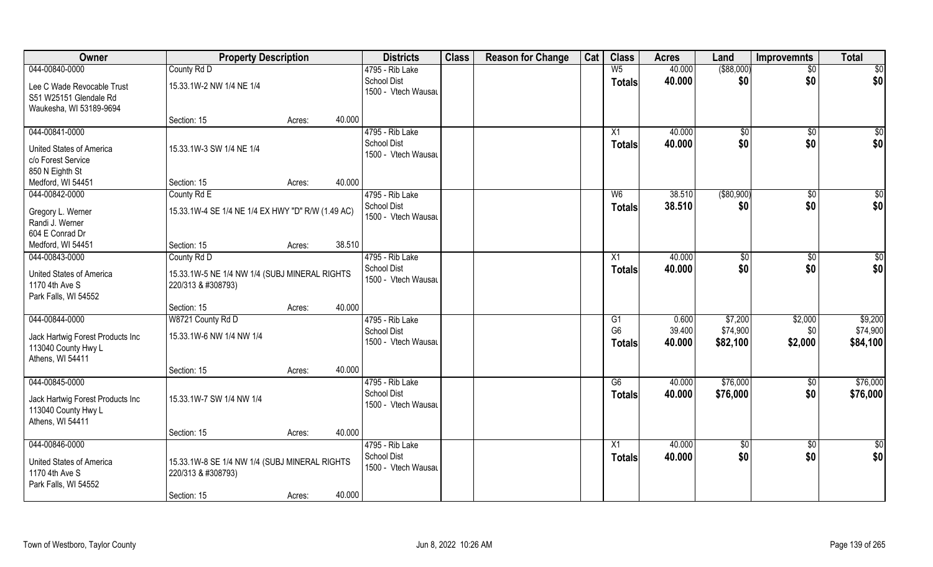| Owner                                                                                         | <b>Property Description</b>                                         |        |        | <b>Districts</b>                                             | <b>Class</b> | <b>Reason for Change</b> | Cat | <b>Class</b>                     | <b>Acres</b>              | Land                            | <b>Improvemnts</b>        | <b>Total</b>                    |
|-----------------------------------------------------------------------------------------------|---------------------------------------------------------------------|--------|--------|--------------------------------------------------------------|--------------|--------------------------|-----|----------------------------------|---------------------------|---------------------------------|---------------------------|---------------------------------|
| 044-00840-0000                                                                                | County Rd D                                                         |        |        | 4795 - Rib Lake                                              |              |                          |     | W <sub>5</sub>                   | 40.000                    | ( \$88,000)                     | $\sqrt{6}$                | \$0                             |
| Lee C Wade Revocable Trust<br>S51 W25151 Glendale Rd<br>Waukesha, WI 53189-9694               | 15.33.1W-2 NW 1/4 NE 1/4                                            |        |        | <b>School Dist</b><br>1500 - Vtech Wausau                    |              |                          |     | <b>Totals</b>                    | 40.000                    | \$0                             | \$0                       | \$0                             |
|                                                                                               | Section: 15                                                         | Acres: | 40.000 |                                                              |              |                          |     |                                  |                           |                                 |                           |                                 |
| 044-00841-0000<br>United States of America<br>c/o Forest Service                              | 15.33.1W-3 SW 1/4 NE 1/4                                            |        |        | 4795 - Rib Lake<br><b>School Dist</b><br>1500 - Vtech Wausau |              |                          |     | X1<br><b>Totals</b>              | 40.000<br>40.000          | $\sqrt{$0}$<br>\$0              | \$0<br>\$0                | \$0<br>\$0                      |
| 850 N Eighth St<br>Medford, WI 54451                                                          | Section: 15                                                         | Acres: | 40.000 |                                                              |              |                          |     |                                  |                           |                                 |                           |                                 |
| 044-00842-0000                                                                                | County Rd E                                                         |        |        | 4795 - Rib Lake                                              |              |                          |     | W <sub>6</sub>                   | 38.510                    | ( \$80, 900)                    | \$0                       | \$0                             |
| Gregory L. Werner<br>Randi J. Werner<br>604 E Conrad Dr                                       | 15.33.1W-4 SE 1/4 NE 1/4 EX HWY "D" R/W (1.49 AC)                   |        |        | School Dist<br>1500 - Vtech Wausau                           |              |                          |     | <b>Totals</b>                    | 38.510                    | \$0                             | \$0                       | \$0                             |
| Medford, WI 54451                                                                             | Section: 15                                                         | Acres: | 38.510 |                                                              |              |                          |     |                                  |                           |                                 |                           |                                 |
| 044-00843-0000                                                                                | County Rd D                                                         |        |        | 4795 - Rib Lake                                              |              |                          |     | X1                               | 40.000                    | \$0                             | \$0                       | \$0                             |
| United States of America<br>1170 4th Ave S<br>Park Falls, WI 54552                            | 15.33.1W-5 NE 1/4 NW 1/4 (SUBJ MINERAL RIGHTS<br>220/313 & #308793) |        |        | School Dist<br>1500 - Vtech Wausau                           |              |                          |     | <b>Totals</b>                    | 40.000                    | \$0                             | \$0                       | \$0                             |
|                                                                                               | Section: 15                                                         | Acres: | 40.000 |                                                              |              |                          |     |                                  |                           |                                 |                           |                                 |
| 044-00844-0000<br>Jack Hartwig Forest Products Inc                                            | W8721 County Rd D<br>15.33.1W-6 NW 1/4 NW 1/4                       |        |        | 4795 - Rib Lake<br><b>School Dist</b><br>1500 - Vtech Wausau |              |                          |     | G1<br>G <sub>6</sub>             | 0.600<br>39.400<br>40.000 | \$7,200<br>\$74,900<br>\$82,100 | \$2,000<br>\$0<br>\$2,000 | \$9,200<br>\$74,900<br>\$84,100 |
| 113040 County Hwy L<br>Athens, WI 54411                                                       |                                                                     |        |        |                                                              |              |                          |     | Totals                           |                           |                                 |                           |                                 |
|                                                                                               | Section: 15                                                         | Acres: | 40.000 |                                                              |              |                          |     |                                  |                           |                                 |                           |                                 |
| 044-00845-0000<br>Jack Hartwig Forest Products Inc<br>113040 County Hwy L<br>Athens, WI 54411 | 15.33.1W-7 SW 1/4 NW 1/4                                            |        |        | 4795 - Rib Lake<br>School Dist<br>1500 - Vtech Wausau        |              |                          |     | G6<br><b>Totals</b>              | 40.000<br>40.000          | \$76,000<br>\$76,000            | $\sqrt{50}$<br>\$0        | \$76,000<br>\$76,000            |
|                                                                                               | Section: 15                                                         | Acres: | 40.000 |                                                              |              |                          |     |                                  |                           |                                 |                           |                                 |
| 044-00846-0000<br>United States of America<br>1170 4th Ave S<br>Park Falls, WI 54552          | 15.33.1W-8 SE 1/4 NW 1/4 (SUBJ MINERAL RIGHTS<br>220/313 & #308793) |        | 40.000 | 4795 - Rib Lake<br><b>School Dist</b><br>1500 - Vtech Wausau |              |                          |     | $\overline{X1}$<br><b>Totals</b> | 40.000<br>40.000          | $\sqrt{6}$<br>\$0               | $\sqrt{6}$<br>\$0         | \$0<br>\$0                      |
|                                                                                               | Section: 15                                                         | Acres: |        |                                                              |              |                          |     |                                  |                           |                                 |                           |                                 |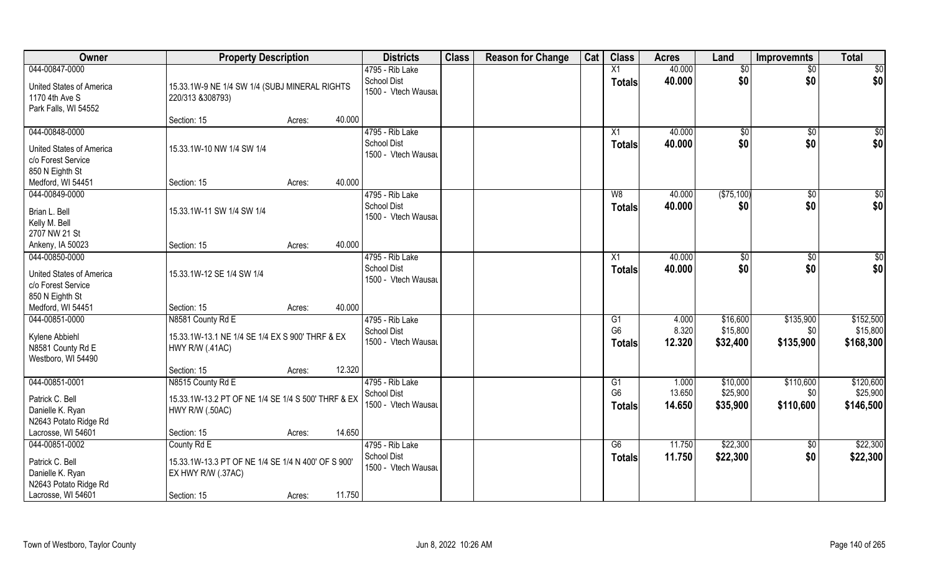| Owner                           | <b>Property Description</b>                        |        |        | <b>Districts</b>                   | <b>Class</b> | <b>Reason for Change</b> | Cat | <b>Class</b>         | <b>Acres</b>   | Land                 | <b>Improvemnts</b> | <b>Total</b>          |
|---------------------------------|----------------------------------------------------|--------|--------|------------------------------------|--------------|--------------------------|-----|----------------------|----------------|----------------------|--------------------|-----------------------|
| 044-00847-0000                  |                                                    |        |        | 4795 - Rib Lake                    |              |                          |     | $\overline{X1}$      | 40.000         | $\overline{50}$      | $\overline{50}$    | \$0                   |
| <b>United States of America</b> | 15.33.1W-9 NE 1/4 SW 1/4 (SUBJ MINERAL RIGHTS      |        |        | School Dist                        |              |                          |     | <b>Totals</b>        | 40.000         | \$0                  | \$0                | \$0                   |
| 1170 4th Ave S                  | 220/313 &308793)                                   |        |        | 1500 - Vtech Wausau                |              |                          |     |                      |                |                      |                    |                       |
| Park Falls, WI 54552            |                                                    |        |        |                                    |              |                          |     |                      |                |                      |                    |                       |
|                                 | Section: 15                                        | Acres: | 40.000 |                                    |              |                          |     |                      |                |                      |                    |                       |
| 044-00848-0000                  |                                                    |        |        | 4795 - Rib Lake                    |              |                          |     | X1                   | 40.000         | \$0                  | \$0                | \$0                   |
| United States of America        | 15.33.1W-10 NW 1/4 SW 1/4                          |        |        | <b>School Dist</b>                 |              |                          |     | Totals               | 40.000         | \$0                  | \$0                | \$0                   |
| c/o Forest Service              |                                                    |        |        | 1500 - Vtech Wausau                |              |                          |     |                      |                |                      |                    |                       |
| 850 N Eighth St                 |                                                    |        |        |                                    |              |                          |     |                      |                |                      |                    |                       |
| Medford, WI 54451               | Section: 15                                        | Acres: | 40.000 |                                    |              |                          |     |                      |                |                      |                    |                       |
| 044-00849-0000                  |                                                    |        |        | 4795 - Rib Lake                    |              |                          |     | W8                   | 40.000         | (\$75,100)           | \$0                | $\overline{50}$       |
| Brian L. Bell                   | 15.33.1W-11 SW 1/4 SW 1/4                          |        |        | School Dist                        |              |                          |     | <b>Totals</b>        | 40.000         | \$0                  | \$0                | \$0                   |
| Kelly M. Bell                   |                                                    |        |        | 1500 - Vtech Wausau                |              |                          |     |                      |                |                      |                    |                       |
| 2707 NW 21 St                   |                                                    |        |        |                                    |              |                          |     |                      |                |                      |                    |                       |
| Ankeny, IA 50023                | Section: 15                                        | Acres: | 40.000 |                                    |              |                          |     |                      |                |                      |                    |                       |
| 044-00850-0000                  |                                                    |        |        | 4795 - Rib Lake                    |              |                          |     | X1                   | 40.000         | $\sqrt[6]{3}$        | $\sqrt[6]{3}$      | \$0                   |
|                                 |                                                    |        |        | School Dist                        |              |                          |     | <b>Totals</b>        | 40.000         | \$0                  | \$0                | \$0                   |
| <b>United States of America</b> | 15.33.1W-12 SE 1/4 SW 1/4                          |        |        | 1500 - Vtech Wausau                |              |                          |     |                      |                |                      |                    |                       |
| c/o Forest Service              |                                                    |        |        |                                    |              |                          |     |                      |                |                      |                    |                       |
| 850 N Eighth St                 |                                                    |        |        |                                    |              |                          |     |                      |                |                      |                    |                       |
| Medford, WI 54451               | Section: 15                                        | Acres: | 40.000 |                                    |              |                          |     |                      |                |                      |                    |                       |
| 044-00851-0000                  | N8581 County Rd E                                  |        |        | 4795 - Rib Lake                    |              |                          |     | G1<br>G <sub>6</sub> | 4.000<br>8.320 | \$16,600<br>\$15,800 | \$135,900<br>\$0   | \$152,500<br>\$15,800 |
| Kylene Abbiehl                  | 15.33.1W-13.1 NE 1/4 SE 1/4 EX S 900' THRF & EX    |        |        | School Dist<br>1500 - Vtech Wausau |              |                          |     |                      | 12.320         |                      |                    |                       |
| N8581 County Rd E               | <b>HWY R/W (.41AC)</b>                             |        |        |                                    |              |                          |     | Totals               |                | \$32,400             | \$135,900          | \$168,300             |
| Westboro, WI 54490              |                                                    |        |        |                                    |              |                          |     |                      |                |                      |                    |                       |
|                                 | Section: 15                                        | Acres: | 12.320 |                                    |              |                          |     |                      |                |                      |                    |                       |
| 044-00851-0001                  | N8515 County Rd E                                  |        |        | 4795 - Rib Lake                    |              |                          |     | G1                   | 1.000          | \$10,000             | \$110,600          | \$120,600             |
| Patrick C. Bell                 | 15.33.1W-13.2 PT OF NE 1/4 SE 1/4 S 500' THRF & EX |        |        | <b>School Dist</b>                 |              |                          |     | G <sub>6</sub>       | 13.650         | \$25,900             | \$0                | \$25,900              |
| Danielle K. Ryan                | <b>HWY R/W (.50AC)</b>                             |        |        | 1500 - Vtech Wausau                |              |                          |     | <b>Totals</b>        | 14.650         | \$35,900             | \$110,600          | \$146,500             |
| N2643 Potato Ridge Rd           |                                                    |        |        |                                    |              |                          |     |                      |                |                      |                    |                       |
| Lacrosse, WI 54601              | Section: 15                                        | Acres: | 14.650 |                                    |              |                          |     |                      |                |                      |                    |                       |
| 044-00851-0002                  | County Rd E                                        |        |        | 4795 - Rib Lake                    |              |                          |     | G6                   | 11.750         | \$22,300             | $\sqrt{$0}$        | \$22,300              |
| Patrick C. Bell                 | 15.33.1W-13.3 PT OF NE 1/4 SE 1/4 N 400' OF S 900' |        |        | <b>School Dist</b>                 |              |                          |     | <b>Totals</b>        | 11.750         | \$22,300             | \$0                | \$22,300              |
| Danielle K. Ryan                | EX HWY R/W (.37AC)                                 |        |        | 1500 - Vtech Wausau                |              |                          |     |                      |                |                      |                    |                       |
| N2643 Potato Ridge Rd           |                                                    |        |        |                                    |              |                          |     |                      |                |                      |                    |                       |
| Lacrosse, WI 54601              | Section: 15                                        | Acres: | 11.750 |                                    |              |                          |     |                      |                |                      |                    |                       |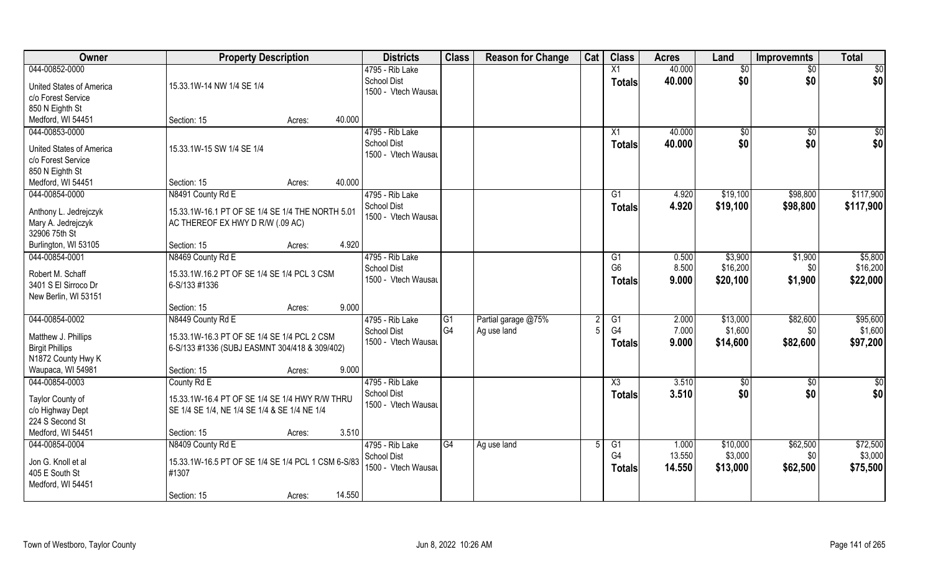| Owner                               | <b>Property Description</b>                        |                  | <b>Districts</b>    | <b>Class</b>   | <b>Reason for Change</b> | Cat | <b>Class</b>           | <b>Acres</b> | Land         | <b>Improvemnts</b> | <b>Total</b>    |
|-------------------------------------|----------------------------------------------------|------------------|---------------------|----------------|--------------------------|-----|------------------------|--------------|--------------|--------------------|-----------------|
| 044-00852-0000                      |                                                    |                  | 4795 - Rib Lake     |                |                          |     | X1                     | 40.000       | \$0          | \$0                | $\overline{50}$ |
| United States of America            | 15.33.1W-14 NW 1/4 SE 1/4                          |                  | <b>School Dist</b>  |                |                          |     | Totals                 | 40.000       | \$0          | \$0                | \$0             |
| c/o Forest Service                  |                                                    |                  | 1500 - Vtech Wausau |                |                          |     |                        |              |              |                    |                 |
| 850 N Eighth St                     |                                                    |                  |                     |                |                          |     |                        |              |              |                    |                 |
| Medford, WI 54451                   | Section: 15                                        | 40.000<br>Acres: |                     |                |                          |     |                        |              |              |                    |                 |
| 044-00853-0000                      |                                                    |                  | 4795 - Rib Lake     |                |                          |     | X1                     | 40.000       | $\sqrt[6]{}$ | $\sqrt{$0}$        | \$0             |
|                                     |                                                    |                  | <b>School Dist</b>  |                |                          |     |                        | 40.000       | \$0          | \$0                |                 |
| <b>United States of America</b>     | 15.33.1W-15 SW 1/4 SE 1/4                          |                  | 1500 - Vtech Wausau |                |                          |     | Totals                 |              |              |                    | \$0             |
| c/o Forest Service                  |                                                    |                  |                     |                |                          |     |                        |              |              |                    |                 |
| 850 N Eighth St                     |                                                    |                  |                     |                |                          |     |                        |              |              |                    |                 |
| Medford, WI 54451                   | Section: 15                                        | 40.000<br>Acres: |                     |                |                          |     |                        |              |              |                    |                 |
| 044-00854-0000                      | N8491 County Rd E                                  |                  | 4795 - Rib Lake     |                |                          |     | G1                     | 4.920        | \$19,100     | \$98,800           | \$117,900       |
|                                     |                                                    |                  | <b>School Dist</b>  |                |                          |     | <b>Totals</b>          | 4.920        | \$19,100     | \$98,800           | \$117,900       |
| Anthony L. Jedrejczyk               | 15.33.1W-16.1 PT OF SE 1/4 SE 1/4 THE NORTH 5.01   |                  | 1500 - Vtech Wausau |                |                          |     |                        |              |              |                    |                 |
| Mary A. Jedrejczyk<br>32906 75th St | AC THEREOF EX HWY D R/W (.09 AC)                   |                  |                     |                |                          |     |                        |              |              |                    |                 |
|                                     | Section: 15                                        | 4.920            |                     |                |                          |     |                        |              |              |                    |                 |
| Burlington, WI 53105                |                                                    | Acres:           |                     |                |                          |     |                        |              |              |                    |                 |
| 044-00854-0001                      | N8469 County Rd E                                  |                  | 4795 - Rib Lake     |                |                          |     | G1                     | 0.500        | \$3,900      | \$1,900            | \$5,800         |
| Robert M. Schaff                    | 15.33.1W.16.2 PT OF SE 1/4 SE 1/4 PCL 3 CSM        |                  | <b>School Dist</b>  |                |                          |     | G <sub>6</sub>         | 8.500        | \$16,200     | \$0                | \$16,200        |
| 3401 S El Sirroco Dr                | 6-S/133 #1336                                      |                  | 1500 - Vtech Wausau |                |                          |     | <b>Totals</b>          | 9.000        | \$20,100     | \$1,900            | \$22,000        |
| New Berlin, WI 53151                |                                                    |                  |                     |                |                          |     |                        |              |              |                    |                 |
|                                     | Section: 15                                        | 9.000<br>Acres:  |                     |                |                          |     |                        |              |              |                    |                 |
| 044-00854-0002                      | N8449 County Rd E                                  |                  | 4795 - Rib Lake     | G1             | Partial garage @75%      |     | G1                     | 2.000        | \$13,000     | \$82,600           | \$95,600        |
|                                     |                                                    |                  | <b>School Dist</b>  | G <sub>4</sub> | Ag use land              |     | G4                     | 7.000        | \$1,600      | \$0                | \$1,600         |
| Matthew J. Phillips                 | 15.33.1W-16.3 PT OF SE 1/4 SE 1/4 PCL 2 CSM        |                  | 1500 - Vtech Wausau |                |                          |     | <b>Totals</b>          | 9.000        | \$14,600     | \$82,600           | \$97,200        |
| <b>Birgit Phillips</b>              | 6-S/133 #1336 (SUBJ EASMNT 304/418 & 309/402)      |                  |                     |                |                          |     |                        |              |              |                    |                 |
| N1872 County Hwy K                  |                                                    |                  |                     |                |                          |     |                        |              |              |                    |                 |
| Waupaca, WI 54981                   | Section: 15                                        | 9.000<br>Acres:  |                     |                |                          |     |                        |              |              |                    |                 |
| 044-00854-0003                      | County Rd E                                        |                  | 4795 - Rib Lake     |                |                          |     | $\overline{\text{X3}}$ | 3.510        | \$0          | \$0                | \$0             |
| Taylor County of                    | 15.33.1W-16.4 PT OF SE 1/4 SE 1/4 HWY R/W THRU     |                  | <b>School Dist</b>  |                |                          |     | <b>Totals</b>          | 3.510        | \$0          | \$0                | \$0             |
| c/o Highway Dept                    | SE 1/4 SE 1/4, NE 1/4 SE 1/4 & SE 1/4 NE 1/4       |                  | 1500 - Vtech Wausau |                |                          |     |                        |              |              |                    |                 |
| 224 S Second St                     |                                                    |                  |                     |                |                          |     |                        |              |              |                    |                 |
| Medford, WI 54451                   | Section: 15                                        | 3.510<br>Acres:  |                     |                |                          |     |                        |              |              |                    |                 |
| 044-00854-0004                      | N8409 County Rd E                                  |                  | 4795 - Rib Lake     | G4             | Ag use land              |     | G1                     | 1.000        | \$10,000     | \$62,500           | \$72,500        |
|                                     |                                                    |                  | School Dist         |                |                          |     | G4                     | 13.550       | \$3,000      | \$0                | \$3,000         |
| Jon G. Knoll et al                  | 15.33.1W-16.5 PT OF SE 1/4 SE 1/4 PCL 1 CSM 6-S/83 |                  | 1500 - Vtech Wausau |                |                          |     | <b>Totals</b>          | 14.550       | \$13,000     | \$62,500           | \$75,500        |
| 405 E South St                      | #1307                                              |                  |                     |                |                          |     |                        |              |              |                    |                 |
| Medford, WI 54451                   |                                                    |                  |                     |                |                          |     |                        |              |              |                    |                 |
|                                     | Section: 15                                        | 14.550<br>Acres: |                     |                |                          |     |                        |              |              |                    |                 |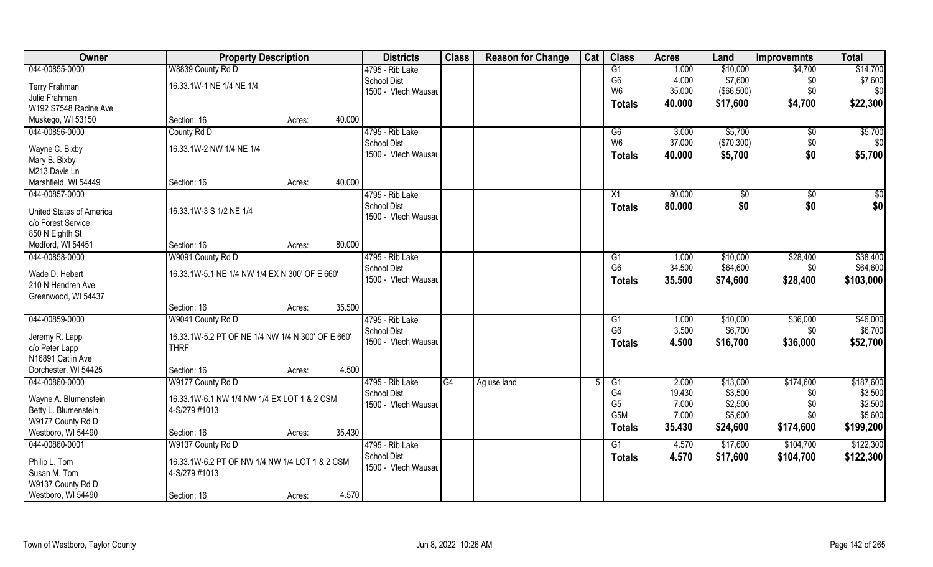| Owner                            | <b>Property Description</b>                       |                  | <b>Districts</b>    | <b>Class</b> | <b>Reason for Change</b> | Cat | <b>Class</b>     | <b>Acres</b> | Land         | <b>Improvemnts</b> | <b>Total</b>    |
|----------------------------------|---------------------------------------------------|------------------|---------------------|--------------|--------------------------|-----|------------------|--------------|--------------|--------------------|-----------------|
| 044-00855-0000                   | W8839 County Rd D                                 |                  | 4795 - Rib Lake     |              |                          |     | G1               | 1.000        | \$10,000     | \$4,700            | \$14,700        |
| <b>Terry Frahman</b>             | 16.33.1W-1 NE 1/4 NE 1/4                          |                  | <b>School Dist</b>  |              |                          |     | G <sub>6</sub>   | 4.000        | \$7,600      | \$0                | \$7,600         |
| Julie Frahman                    |                                                   |                  | 1500 - Vtech Wausau |              |                          |     | W <sub>6</sub>   | 35.000       | (\$66,500)   | \$0                | \$0             |
| W192 S7548 Racine Ave            |                                                   |                  |                     |              |                          |     | <b>Totals</b>    | 40.000       | \$17,600     | \$4,700            | \$22,300        |
| Muskego, WI 53150                | Section: 16                                       | 40.000<br>Acres: |                     |              |                          |     |                  |              |              |                    |                 |
| 044-00856-0000                   | County Rd D                                       |                  | 4795 - Rib Lake     |              |                          |     | G6               | 3.000        | \$5,700      | \$0                | \$5,700         |
|                                  |                                                   |                  | <b>School Dist</b>  |              |                          |     | W <sub>6</sub>   | 37.000       | (\$70,300)   | \$0                | \$0             |
| Wayne C. Bixby                   | 16.33.1W-2 NW 1/4 NE 1/4                          |                  | 1500 - Vtech Wausau |              |                          |     | <b>Totals</b>    | 40.000       | \$5,700      | \$0                | \$5,700         |
| Mary B. Bixby<br>M213 Davis Ln   |                                                   |                  |                     |              |                          |     |                  |              |              |                    |                 |
| Marshfield, WI 54449             | Section: 16                                       | 40.000<br>Acres: |                     |              |                          |     |                  |              |              |                    |                 |
| 044-00857-0000                   |                                                   |                  | 4795 - Rib Lake     |              |                          |     | X1               | 80.000       | $\sqrt[6]{}$ | $\overline{50}$    | $\overline{50}$ |
|                                  |                                                   |                  | <b>School Dist</b>  |              |                          |     |                  | 80.000       | \$0          | \$0                | \$0             |
| <b>United States of America</b>  | 16.33.1W-3 S 1/2 NE 1/4                           |                  | 1500 - Vtech Wausau |              |                          |     | <b>Totals</b>    |              |              |                    |                 |
| c/o Forest Service               |                                                   |                  |                     |              |                          |     |                  |              |              |                    |                 |
| 850 N Eighth St                  |                                                   |                  |                     |              |                          |     |                  |              |              |                    |                 |
| Medford, WI 54451                | Section: 16                                       | 80.000<br>Acres: |                     |              |                          |     |                  |              |              |                    |                 |
| 044-00858-0000                   | W9091 County Rd D                                 |                  | 4795 - Rib Lake     |              |                          |     | G1               | 1.000        | \$10,000     | \$28,400           | \$38,400        |
| Wade D. Hebert                   | 16.33.1W-5.1 NE 1/4 NW 1/4 EX N 300' OF E 660'    |                  | <b>School Dist</b>  |              |                          |     | G <sub>6</sub>   | 34.500       | \$64,600     | \$0                | \$64,600        |
| 210 N Hendren Ave                |                                                   |                  | 1500 - Vtech Wausau |              |                          |     | <b>Totals</b>    | 35.500       | \$74,600     | \$28,400           | \$103,000       |
| Greenwood, WI 54437              |                                                   |                  |                     |              |                          |     |                  |              |              |                    |                 |
|                                  | Section: 16                                       | 35.500<br>Acres: |                     |              |                          |     |                  |              |              |                    |                 |
| 044-00859-0000                   | W9041 County Rd D                                 |                  | 4795 - Rib Lake     |              |                          |     | G1               | 1.000        | \$10,000     | \$36,000           | \$46,000        |
|                                  | 16.33.1W-5.2 PT OF NE 1/4 NW 1/4 N 300' OF E 660' |                  | <b>School Dist</b>  |              |                          |     | G <sub>6</sub>   | 3.500        | \$6,700      | \$0                | \$6,700         |
| Jeremy R. Lapp<br>c/o Peter Lapp | <b>THRF</b>                                       |                  | 1500 - Vtech Wausau |              |                          |     | <b>Totals</b>    | 4.500        | \$16,700     | \$36,000           | \$52,700        |
| N16891 Catlin Ave                |                                                   |                  |                     |              |                          |     |                  |              |              |                    |                 |
| Dorchester, WI 54425             | Section: 16                                       | Acres:           | 4.500               |              |                          |     |                  |              |              |                    |                 |
| 044-00860-0000                   | W9177 County Rd D                                 |                  | 4795 - Rib Lake     | G4           | Ag use land              |     | G1               | 2.000        | \$13,000     | \$174,600          | \$187,600       |
|                                  |                                                   |                  | <b>School Dist</b>  |              |                          |     | G <sub>4</sub>   | 19.430       | \$3,500      | \$0                | \$3,500         |
| Wayne A. Blumenstein             | 16.33.1W-6.1 NW 1/4 NW 1/4 EX LOT 1 & 2 CSM       |                  | 1500 - Vtech Wausau |              |                          |     | G <sub>5</sub>   | 7.000        | \$2,500      | \$0                | \$2,500         |
| Betty L. Blumenstein             | 4-S/279 #1013                                     |                  |                     |              |                          |     | G <sub>5</sub> M | 7.000        | \$5,600      | \$0                | \$5,600         |
| W9177 County Rd D                |                                                   |                  |                     |              |                          |     | <b>Totals</b>    | 35.430       | \$24,600     | \$174,600          | \$199,200       |
| Westboro, WI 54490               | Section: 16                                       | 35.430<br>Acres: |                     |              |                          |     |                  |              |              |                    |                 |
| 044-00860-0001                   | W9137 County Rd D                                 |                  | 4795 - Rib Lake     |              |                          |     | G1               | 4.570        | \$17,600     | \$104,700          | \$122,300       |
| Philip L. Tom                    | 16.33.1W-6.2 PT OF NW 1/4 NW 1/4 LOT 1 & 2 CSM    |                  | <b>School Dist</b>  |              |                          |     | <b>Totals</b>    | 4.570        | \$17,600     | \$104,700          | \$122,300       |
| Susan M. Tom                     | 4-S/279 #1013                                     |                  | 1500 - Vtech Wausau |              |                          |     |                  |              |              |                    |                 |
| W9137 County Rd D                |                                                   |                  |                     |              |                          |     |                  |              |              |                    |                 |
| Westboro, WI 54490               | Section: 16                                       | Acres:           | 4.570               |              |                          |     |                  |              |              |                    |                 |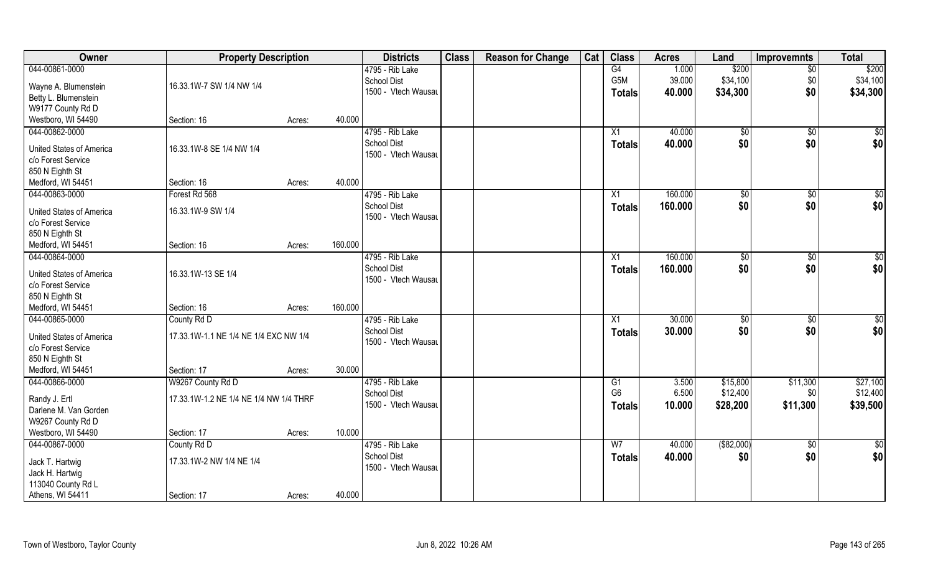| Owner                           | <b>Property Description</b>            |        |         | <b>Districts</b>    | <b>Class</b> | <b>Reason for Change</b> | Cat | <b>Class</b>     | <b>Acres</b> | Land           | <b>Improvemnts</b> | <b>Total</b>     |
|---------------------------------|----------------------------------------|--------|---------|---------------------|--------------|--------------------------|-----|------------------|--------------|----------------|--------------------|------------------|
| 044-00861-0000                  |                                        |        |         | 4795 - Rib Lake     |              |                          |     | G4               | 1.000        | \$200          | $\overline{50}$    | \$200            |
| Wayne A. Blumenstein            | 16.33.1W-7 SW 1/4 NW 1/4               |        |         | School Dist         |              |                          |     | G <sub>5</sub> M | 39.000       | \$34,100       | \$0                | \$34,100         |
| Betty L. Blumenstein            |                                        |        |         | 1500 - Vtech Wausau |              |                          |     | <b>Totals</b>    | 40.000       | \$34,300       | \$0                | \$34,300         |
| W9177 County Rd D               |                                        |        |         |                     |              |                          |     |                  |              |                |                    |                  |
| Westboro, WI 54490              | Section: 16                            | Acres: | 40.000  |                     |              |                          |     |                  |              |                |                    |                  |
| 044-00862-0000                  |                                        |        |         | 4795 - Rib Lake     |              |                          |     | X1               | 40.000       | $\sqrt[6]{}$   | $\sqrt{$0}$        | $\overline{\$0}$ |
|                                 |                                        |        |         | <b>School Dist</b>  |              |                          |     |                  | 40.000       | \$0            | \$0                | \$0              |
| <b>United States of America</b> | 16.33.1W-8 SE 1/4 NW 1/4               |        |         | 1500 - Vtech Wausau |              |                          |     | <b>Totals</b>    |              |                |                    |                  |
| c/o Forest Service              |                                        |        |         |                     |              |                          |     |                  |              |                |                    |                  |
| 850 N Eighth St                 |                                        |        |         |                     |              |                          |     |                  |              |                |                    |                  |
| Medford, WI 54451               | Section: 16                            | Acres: | 40.000  |                     |              |                          |     |                  |              |                |                    |                  |
| 044-00863-0000                  | Forest Rd 568                          |        |         | 4795 - Rib Lake     |              |                          |     | X1               | 160.000      | \$0            | $\sqrt[6]{30}$     | \$0              |
|                                 |                                        |        |         | <b>School Dist</b>  |              |                          |     | <b>Totals</b>    | 160.000      | \$0            | \$0                | \$0              |
| <b>United States of America</b> | 16.33.1W-9 SW 1/4                      |        |         | 1500 - Vtech Wausau |              |                          |     |                  |              |                |                    |                  |
| c/o Forest Service              |                                        |        |         |                     |              |                          |     |                  |              |                |                    |                  |
| 850 N Eighth St                 |                                        |        | 160.000 |                     |              |                          |     |                  |              |                |                    |                  |
| Medford, WI 54451               | Section: 16                            | Acres: |         |                     |              |                          |     |                  |              |                |                    |                  |
| 044-00864-0000                  |                                        |        |         | 4795 - Rib Lake     |              |                          |     | X1               | 160.000      | $\sqrt[6]{3}$  | $\sqrt[6]{3}$      | \$0              |
| <b>United States of America</b> | 16.33.1W-13 SE 1/4                     |        |         | <b>School Dist</b>  |              |                          |     | <b>Totals</b>    | 160.000      | \$0            | \$0                | \$0              |
| c/o Forest Service              |                                        |        |         | 1500 - Vtech Wausau |              |                          |     |                  |              |                |                    |                  |
| 850 N Eighth St                 |                                        |        |         |                     |              |                          |     |                  |              |                |                    |                  |
| Medford, WI 54451               | Section: 16                            | Acres: | 160.000 |                     |              |                          |     |                  |              |                |                    |                  |
| 044-00865-0000                  | County Rd D                            |        |         | 4795 - Rib Lake     |              |                          |     | X1               | 30.000       | $\frac{1}{20}$ | \$0                | \$0              |
|                                 |                                        |        |         | <b>School Dist</b>  |              |                          |     | <b>Totals</b>    | 30.000       | \$0            | \$0                | \$0              |
| <b>United States of America</b> | 17.33.1W-1.1 NE 1/4 NE 1/4 EXC NW 1/4  |        |         | 1500 - Vtech Wausau |              |                          |     |                  |              |                |                    |                  |
| c/o Forest Service              |                                        |        |         |                     |              |                          |     |                  |              |                |                    |                  |
| 850 N Eighth St                 |                                        |        |         |                     |              |                          |     |                  |              |                |                    |                  |
| Medford, WI 54451               | Section: 17                            | Acres: | 30.000  |                     |              |                          |     |                  |              |                |                    |                  |
| 044-00866-0000                  | W9267 County Rd D                      |        |         | 4795 - Rib Lake     |              |                          |     | G1               | 3.500        | \$15,800       | \$11,300           | \$27,100         |
| Randy J. Ertl                   | 17.33.1W-1.2 NE 1/4 NE 1/4 NW 1/4 THRF |        |         | School Dist         |              |                          |     | G <sub>6</sub>   | 6.500        | \$12,400       | \$0                | \$12,400         |
| Darlene M. Van Gorden           |                                        |        |         | 1500 - Vtech Wausau |              |                          |     | <b>Totals</b>    | 10.000       | \$28,200       | \$11,300           | \$39,500         |
| W9267 County Rd D               |                                        |        |         |                     |              |                          |     |                  |              |                |                    |                  |
| Westboro, WI 54490              | Section: 17                            | Acres: | 10.000  |                     |              |                          |     |                  |              |                |                    |                  |
| 044-00867-0000                  | County Rd D                            |        |         | 4795 - Rib Lake     |              |                          |     | W <sub>7</sub>   | 40.000       | ( \$82,000)    | $\sqrt{$0}$        | $\overline{50}$  |
|                                 |                                        |        |         | <b>School Dist</b>  |              |                          |     | <b>Totals</b>    | 40.000       | \$0            | \$0                | \$0              |
| Jack T. Hartwig                 | 17.33.1W-2 NW 1/4 NE 1/4               |        |         | 1500 - Vtech Wausau |              |                          |     |                  |              |                |                    |                  |
| Jack H. Hartwig                 |                                        |        |         |                     |              |                          |     |                  |              |                |                    |                  |
| 113040 County Rd L              |                                        |        |         |                     |              |                          |     |                  |              |                |                    |                  |
| Athens, WI 54411                | Section: 17                            | Acres: | 40.000  |                     |              |                          |     |                  |              |                |                    |                  |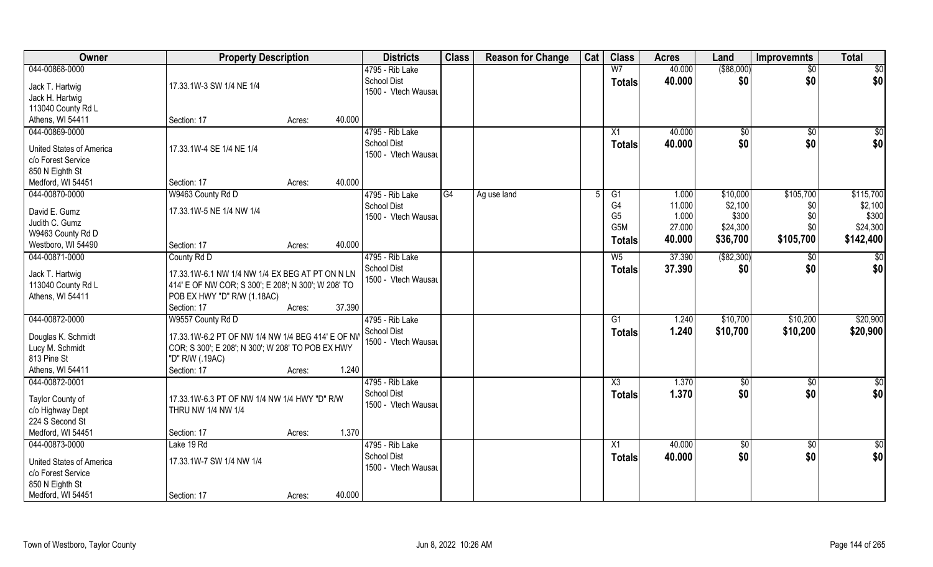| Owner                               | <b>Property Description</b>                         |        |        | <b>Districts</b>                          | <b>Class</b> | <b>Reason for Change</b> | Cat | <b>Class</b>           | <b>Acres</b> | Land          | <b>Improvemnts</b> | <b>Total</b>    |
|-------------------------------------|-----------------------------------------------------|--------|--------|-------------------------------------------|--------------|--------------------------|-----|------------------------|--------------|---------------|--------------------|-----------------|
| 044-00868-0000                      |                                                     |        |        | 4795 - Rib Lake                           |              |                          |     | W <sub>7</sub>         | 40.000       | $($ \$88,000) | $\sqrt{$0}$        | $\sqrt{50}$     |
| Jack T. Hartwig                     | 17.33.1W-3 SW 1/4 NE 1/4                            |        |        | <b>School Dist</b><br>1500 - Vtech Wausau |              |                          |     | <b>Totals</b>          | 40.000       | \$0           | \$0                | \$0             |
| Jack H. Hartwig                     |                                                     |        |        |                                           |              |                          |     |                        |              |               |                    |                 |
| 113040 County Rd L                  |                                                     |        |        |                                           |              |                          |     |                        |              |               |                    |                 |
| Athens, WI 54411                    | Section: 17                                         | Acres: | 40.000 |                                           |              |                          |     |                        |              |               |                    |                 |
| 044-00869-0000                      |                                                     |        |        | 4795 - Rib Lake                           |              |                          |     | X1                     | 40.000       | $\sqrt[6]{}$  | \$0                | $\sqrt{50}$     |
| <b>United States of America</b>     | 17.33.1W-4 SE 1/4 NE 1/4                            |        |        | <b>School Dist</b>                        |              |                          |     | Totals                 | 40.000       | \$0           | \$0                | \$0             |
| c/o Forest Service                  |                                                     |        |        | 1500 - Vtech Wausau                       |              |                          |     |                        |              |               |                    |                 |
| 850 N Eighth St                     |                                                     |        |        |                                           |              |                          |     |                        |              |               |                    |                 |
| Medford, WI 54451                   | Section: 17                                         | Acres: | 40.000 |                                           |              |                          |     |                        |              |               |                    |                 |
| 044-00870-0000                      | W9463 County Rd D                                   |        |        | 4795 - Rib Lake                           | G4           | Ag use land              |     | G1                     | 1.000        | \$10,000      | \$105,700          | \$115,700       |
|                                     |                                                     |        |        | <b>School Dist</b>                        |              |                          |     | G4                     | 11.000       | \$2,100       | \$0                | \$2,100         |
| David E. Gumz                       | 17.33.1W-5 NE 1/4 NW 1/4                            |        |        | 1500 - Vtech Wausau                       |              |                          |     | G <sub>5</sub>         | 1.000        | \$300         | \$0                | \$300           |
| Judith C. Gumz<br>W9463 County Rd D |                                                     |        |        |                                           |              |                          |     | G5M                    | 27.000       | \$24,300      | \$0                | \$24,300        |
| Westboro, WI 54490                  | Section: 17                                         | Acres: | 40.000 |                                           |              |                          |     | <b>Totals</b>          | 40.000       | \$36,700      | \$105,700          | \$142,400       |
| 044-00871-0000                      | County Rd D                                         |        |        | 4795 - Rib Lake                           |              |                          |     | $W_5$                  | 37.390       | ( \$82, 300)  | \$0                | \$0             |
|                                     |                                                     |        |        | <b>School Dist</b>                        |              |                          |     |                        | 37.390       | \$0           | \$0                | \$0             |
| Jack T. Hartwig                     | 17.33.1W-6.1 NW 1/4 NW 1/4 EX BEG AT PT ON N LN     |        |        | 1500 - Vtech Wausau                       |              |                          |     | <b>Totals</b>          |              |               |                    |                 |
| 113040 County Rd L                  | 414' E OF NW COR; S 300'; E 208'; N 300'; W 208' TO |        |        |                                           |              |                          |     |                        |              |               |                    |                 |
| Athens, WI 54411                    | POB EX HWY "D" R/W (1.18AC)                         |        |        |                                           |              |                          |     |                        |              |               |                    |                 |
|                                     | Section: 17                                         | Acres: | 37.390 |                                           |              |                          |     |                        |              |               |                    |                 |
| 044-00872-0000                      | W9557 County Rd D                                   |        |        | 4795 - Rib Lake                           |              |                          |     | $\overline{G1}$        | 1.240        | \$10,700      | \$10,200           | \$20,900        |
| Douglas K. Schmidt                  | 17.33.1W-6.2 PT OF NW 1/4 NW 1/4 BEG 414' E OF NV   |        |        | School Dist                               |              |                          |     | <b>Totals</b>          | 1.240        | \$10,700      | \$10,200           | \$20,900        |
| Lucy M. Schmidt                     | COR; S 300'; E 208'; N 300'; W 208' TO POB EX HWY   |        |        | 1500 - Vtech Wausau                       |              |                          |     |                        |              |               |                    |                 |
| 813 Pine St                         | "D" R/W (.19AC)                                     |        |        |                                           |              |                          |     |                        |              |               |                    |                 |
| Athens, WI 54411                    | Section: 17                                         | Acres: | 1.240  |                                           |              |                          |     |                        |              |               |                    |                 |
| 044-00872-0001                      |                                                     |        |        | 4795 - Rib Lake                           |              |                          |     | $\overline{\text{X3}}$ | 1.370        | \$0           | \$0                | \$0             |
| Taylor County of                    | 17.33.1W-6.3 PT OF NW 1/4 NW 1/4 HWY "D" R/W        |        |        | School Dist                               |              |                          |     | <b>Totals</b>          | 1.370        | \$0           | \$0                | \$0             |
| c/o Highway Dept                    | THRU NW 1/4 NW 1/4                                  |        |        | 1500 - Vtech Wausau                       |              |                          |     |                        |              |               |                    |                 |
| 224 S Second St                     |                                                     |        |        |                                           |              |                          |     |                        |              |               |                    |                 |
| Medford, WI 54451                   | Section: 17                                         | Acres: | 1.370  |                                           |              |                          |     |                        |              |               |                    |                 |
| 044-00873-0000                      | Lake 19 Rd                                          |        |        | 4795 - Rib Lake                           |              |                          |     | $\overline{X1}$        | 40.000       | $\sqrt{6}$    | $\sqrt{$0}$        | $\overline{50}$ |
|                                     |                                                     |        |        | <b>School Dist</b>                        |              |                          |     | <b>Totals</b>          | 40.000       | \$0           | \$0                | \$0             |
| <b>United States of America</b>     | 17.33.1W-7 SW 1/4 NW 1/4                            |        |        | 1500 - Vtech Wausau                       |              |                          |     |                        |              |               |                    |                 |
| c/o Forest Service                  |                                                     |        |        |                                           |              |                          |     |                        |              |               |                    |                 |
| 850 N Eighth St                     |                                                     |        |        |                                           |              |                          |     |                        |              |               |                    |                 |
| Medford, WI 54451                   | Section: 17                                         | Acres: | 40.000 |                                           |              |                          |     |                        |              |               |                    |                 |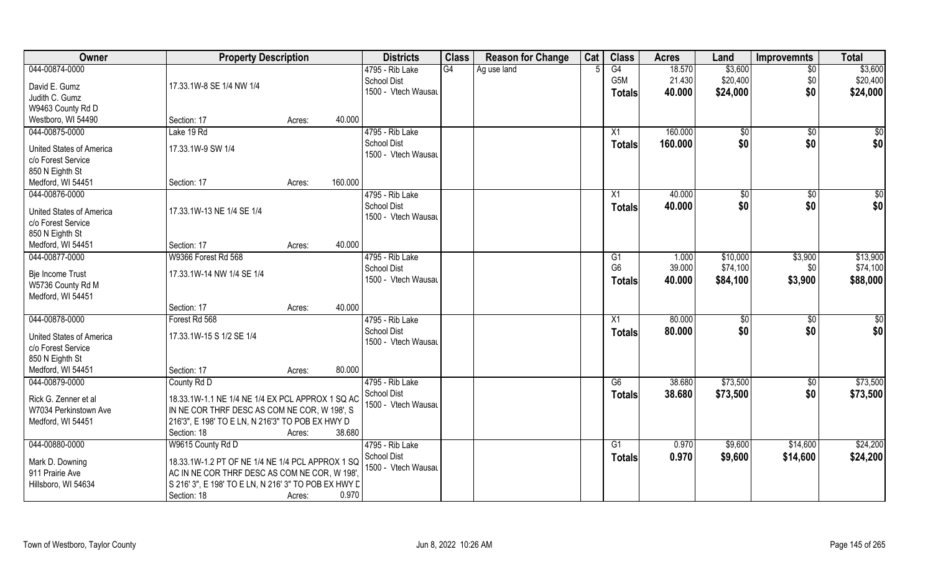| Owner                                | <b>Property Description</b>                          |                  | <b>Districts</b>                   | <b>Class</b> | <b>Reason for Change</b> | Cat | <b>Class</b>   | <b>Acres</b> | Land                 | <b>Improvemnts</b> | <b>Total</b> |
|--------------------------------------|------------------------------------------------------|------------------|------------------------------------|--------------|--------------------------|-----|----------------|--------------|----------------------|--------------------|--------------|
| 044-00874-0000                       |                                                      |                  | 4795 - Rib Lake                    | G4           | Ag use land              |     | G4             | 18.570       | \$3,600              | $\overline{50}$    | \$3,600      |
| David E. Gumz                        | 17.33.1W-8 SE 1/4 NW 1/4                             |                  | School Dist                        |              |                          |     | G5M            | 21.430       | \$20,400             | \$0                | \$20,400     |
| Judith C. Gumz                       |                                                      |                  | 1500 - Vtech Wausau                |              |                          |     | <b>Totals</b>  | 40.000       | \$24,000             | \$0                | \$24,000     |
| W9463 County Rd D                    |                                                      |                  |                                    |              |                          |     |                |              |                      |                    |              |
| Westboro, WI 54490                   | Section: 17                                          | 40.000<br>Acres: |                                    |              |                          |     |                |              |                      |                    |              |
| 044-00875-0000                       | Lake 19 Rd                                           |                  | 4795 - Rib Lake                    |              |                          |     | X1             | 160.000      | \$0                  | \$0                | $\sqrt{50}$  |
|                                      |                                                      |                  | <b>School Dist</b>                 |              |                          |     | Totals         | 160.000      | \$0                  | \$0                | \$0          |
| United States of America             | 17.33.1W-9 SW 1/4                                    |                  | 1500 - Vtech Wausau                |              |                          |     |                |              |                      |                    |              |
| c/o Forest Service                   |                                                      |                  |                                    |              |                          |     |                |              |                      |                    |              |
| 850 N Eighth St<br>Medford, WI 54451 | Section: 17                                          | 160.000          |                                    |              |                          |     |                |              |                      |                    |              |
| 044-00876-0000                       |                                                      | Acres:           | 4795 - Rib Lake                    |              |                          |     | X1             | 40.000       |                      | $\sqrt{6}$         | \$0          |
|                                      |                                                      |                  | <b>School Dist</b>                 |              |                          |     |                | 40.000       | $\sqrt[6]{2}$<br>\$0 | \$0                | \$0          |
| <b>United States of America</b>      | 17.33.1W-13 NE 1/4 SE 1/4                            |                  | 1500 - Vtech Wausau                |              |                          |     | <b>Totals</b>  |              |                      |                    |              |
| c/o Forest Service                   |                                                      |                  |                                    |              |                          |     |                |              |                      |                    |              |
| 850 N Eighth St                      |                                                      |                  |                                    |              |                          |     |                |              |                      |                    |              |
| Medford, WI 54451                    | Section: 17                                          | 40.000<br>Acres: |                                    |              |                          |     |                |              |                      |                    |              |
| 044-00877-0000                       | W9366 Forest Rd 568                                  |                  | 4795 - Rib Lake                    |              |                          |     | G1             | 1.000        | \$10,000             | \$3,900            | \$13,900     |
| <b>Bje Income Trust</b>              | 17.33.1W-14 NW 1/4 SE 1/4                            |                  | <b>School Dist</b>                 |              |                          |     | G <sub>6</sub> | 39.000       | \$74,100             | \$0                | \$74,100     |
| W5736 County Rd M                    |                                                      |                  | 1500 - Vtech Wausau                |              |                          |     | <b>Totals</b>  | 40.000       | \$84,100             | \$3,900            | \$88,000     |
| Medford, WI 54451                    |                                                      |                  |                                    |              |                          |     |                |              |                      |                    |              |
|                                      | Section: 17                                          | 40.000<br>Acres: |                                    |              |                          |     |                |              |                      |                    |              |
| 044-00878-0000                       | Forest Rd 568                                        |                  | 4795 - Rib Lake                    |              |                          |     | X1             | 80.000       | \$0                  | \$0                | \$0          |
| <b>United States of America</b>      | 17.33.1W-15 S 1/2 SE 1/4                             |                  | <b>School Dist</b>                 |              |                          |     | <b>Totals</b>  | 80.000       | \$0                  | \$0                | \$0          |
| c/o Forest Service                   |                                                      |                  | 1500 - Vtech Wausau                |              |                          |     |                |              |                      |                    |              |
| 850 N Eighth St                      |                                                      |                  |                                    |              |                          |     |                |              |                      |                    |              |
| Medford, WI 54451                    | Section: 17                                          | 80.000<br>Acres: |                                    |              |                          |     |                |              |                      |                    |              |
| 044-00879-0000                       | County Rd D                                          |                  | 4795 - Rib Lake                    |              |                          |     | G6             | 38.680       | \$73,500             | \$0                | \$73,500     |
|                                      |                                                      |                  | School Dist                        |              |                          |     | <b>Totals</b>  | 38.680       | \$73,500             | \$0                | \$73,500     |
| Rick G. Zenner et al                 | 18.33.1W-1.1 NE 1/4 NE 1/4 EX PCL APPROX 1 SQ AC     |                  | 1500 - Vtech Wausau                |              |                          |     |                |              |                      |                    |              |
| W7034 Perkinstown Ave                | IN NE COR THRF DESC AS COM NE COR, W 198', S         |                  |                                    |              |                          |     |                |              |                      |                    |              |
| Medford, WI 54451                    | 216'3", E 198' TO E LN, N 216'3" TO POB EX HWY D     |                  |                                    |              |                          |     |                |              |                      |                    |              |
|                                      | Section: 18                                          | 38.680<br>Acres: |                                    |              |                          |     |                |              |                      |                    |              |
| 044-00880-0000                       | W9615 County Rd D                                    |                  | 4795 - Rib Lake                    |              |                          |     | G1             | 0.970        | \$9,600              | \$14,600           | \$24,200     |
| Mark D. Downing                      | 18.33.1W-1.2 PT OF NE 1/4 NE 1/4 PCL APPROX 1 SQ     |                  | School Dist<br>1500 - Vtech Wausau |              |                          |     | <b>Totals</b>  | 0.970        | \$9,600              | \$14,600           | \$24,200     |
| 911 Prairie Ave                      | AC IN NE COR THRF DESC AS COM NE COR, W 198'         |                  |                                    |              |                          |     |                |              |                      |                    |              |
| Hillsboro, WI 54634                  | S 216' 3", E 198' TO E LN, N 216' 3" TO POB EX HWY D |                  |                                    |              |                          |     |                |              |                      |                    |              |
|                                      | Section: 18                                          | 0.970<br>Acres:  |                                    |              |                          |     |                |              |                      |                    |              |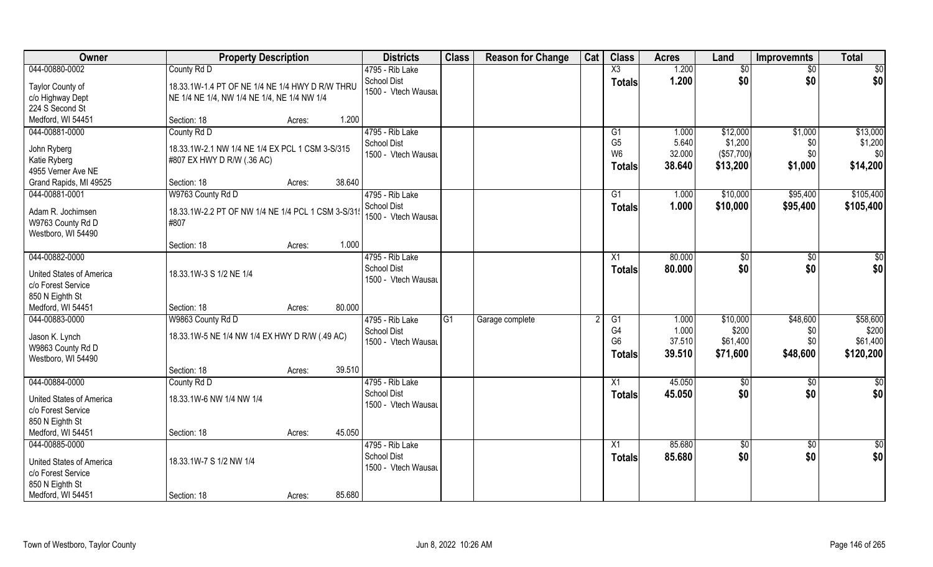| Owner                              | <b>Property Description</b>                       |                  | <b>Districts</b>    | <b>Class</b> | <b>Reason for Change</b> | Cat | <b>Class</b>    | <b>Acres</b> | Land          | <b>Improvemnts</b> | <b>Total</b>    |
|------------------------------------|---------------------------------------------------|------------------|---------------------|--------------|--------------------------|-----|-----------------|--------------|---------------|--------------------|-----------------|
| 044-00880-0002                     | County Rd D                                       |                  | 4795 - Rib Lake     |              |                          |     | X3              | 1.200        | \$0           | $\sqrt{6}$         | $\sqrt{50}$     |
| Taylor County of                   | 18.33.1W-1.4 PT OF NE 1/4 NE 1/4 HWY D R/W THRU   |                  | <b>School Dist</b>  |              |                          |     | <b>Totals</b>   | 1.200        | \$0           | \$0                | \$0             |
| c/o Highway Dept                   | NE 1/4 NE 1/4, NW 1/4 NE 1/4, NE 1/4 NW 1/4       |                  | 1500 - Vtech Wausau |              |                          |     |                 |              |               |                    |                 |
| 224 S Second St                    |                                                   |                  |                     |              |                          |     |                 |              |               |                    |                 |
| Medford, WI 54451                  | Section: 18                                       | 1.200<br>Acres:  |                     |              |                          |     |                 |              |               |                    |                 |
| 044-00881-0000                     | County Rd D                                       |                  | 4795 - Rib Lake     |              |                          |     | G1              | 1.000        | \$12,000      | \$1,000            | \$13,000        |
|                                    |                                                   |                  | <b>School Dist</b>  |              |                          |     | G <sub>5</sub>  | 5.640        | \$1,200       | \$0                | \$1,200         |
| John Ryberg                        | 18.33.1W-2.1 NW 1/4 NE 1/4 EX PCL 1 CSM 3-S/315   |                  | 1500 - Vtech Wausau |              |                          |     | W <sub>6</sub>  | 32.000       | (\$57,700)    | \$0\$              | \$0             |
| Katie Ryberg<br>4955 Verner Ave NE | #807 EX HWY D R/W (.36 AC)                        |                  |                     |              |                          |     | <b>Totals</b>   | 38.640       | \$13,200      | \$1,000            | \$14,200        |
| Grand Rapids, MI 49525             | Section: 18                                       | 38.640<br>Acres: |                     |              |                          |     |                 |              |               |                    |                 |
| 044-00881-0001                     | W9763 County Rd D                                 |                  | 4795 - Rib Lake     |              |                          |     | G1              | 1.000        | \$10,000      | \$95,400           | \$105,400       |
|                                    |                                                   |                  | School Dist         |              |                          |     |                 |              |               |                    |                 |
| Adam R. Jochimsen                  | 18.33.1W-2.2 PT OF NW 1/4 NE 1/4 PCL 1 CSM 3-S/31 |                  | 1500 - Vtech Wausau |              |                          |     | <b>Totals</b>   | 1.000        | \$10,000      | \$95,400           | \$105,400       |
| W9763 County Rd D                  | #807                                              |                  |                     |              |                          |     |                 |              |               |                    |                 |
| Westboro, WI 54490                 |                                                   |                  |                     |              |                          |     |                 |              |               |                    |                 |
|                                    | Section: 18                                       | 1.000<br>Acres:  |                     |              |                          |     |                 |              |               |                    |                 |
| 044-00882-0000                     |                                                   |                  | 4795 - Rib Lake     |              |                          |     | X1              | 80.000       | $\sqrt[6]{3}$ | $\sqrt[6]{3}$      | $\sqrt{50}$     |
| United States of America           | 18.33.1W-3 S 1/2 NE 1/4                           |                  | <b>School Dist</b>  |              |                          |     | <b>Totals</b>   | 80.000       | \$0           | \$0                | \$0             |
| c/o Forest Service                 |                                                   |                  | 1500 - Vtech Wausau |              |                          |     |                 |              |               |                    |                 |
| 850 N Eighth St                    |                                                   |                  |                     |              |                          |     |                 |              |               |                    |                 |
| Medford, WI 54451                  | Section: 18                                       | 80.000<br>Acres: |                     |              |                          |     |                 |              |               |                    |                 |
| 044-00883-0000                     | W9863 County Rd D                                 |                  | 4795 - Rib Lake     | G1           | Garage complete          |     | G1              | 1.000        | \$10,000      | \$48,600           | \$58,600        |
|                                    |                                                   |                  | <b>School Dist</b>  |              |                          |     | G4              | 1.000        | \$200         | \$0                | \$200           |
| Jason K. Lynch                     | 18.33.1W-5 NE 1/4 NW 1/4 EX HWY D R/W (.49 AC)    |                  | 1500 - Vtech Wausau |              |                          |     | G <sub>6</sub>  | 37.510       | \$61,400      | \$0\$              | \$61,400        |
| W9863 County Rd D                  |                                                   |                  |                     |              |                          |     | <b>Totals</b>   | 39.510       | \$71,600      | \$48,600           | \$120,200       |
| Westboro, WI 54490                 | Section: 18                                       | 39.510           |                     |              |                          |     |                 |              |               |                    |                 |
| 044-00884-0000                     |                                                   | Acres:           | 4795 - Rib Lake     |              |                          |     | X1              | 45.050       |               |                    |                 |
|                                    | County Rd D                                       |                  | <b>School Dist</b>  |              |                          |     |                 |              | \$0<br>\$0    | \$0<br>\$0         | \$0<br>\$0      |
| <b>United States of America</b>    | 18.33.1W-6 NW 1/4 NW 1/4                          |                  | 1500 - Vtech Wausau |              |                          |     | <b>Totals</b>   | 45.050       |               |                    |                 |
| c/o Forest Service                 |                                                   |                  |                     |              |                          |     |                 |              |               |                    |                 |
| 850 N Eighth St                    |                                                   |                  |                     |              |                          |     |                 |              |               |                    |                 |
| Medford, WI 54451                  | Section: 18                                       | 45.050<br>Acres: |                     |              |                          |     |                 |              |               |                    |                 |
| 044-00885-0000                     |                                                   |                  | 4795 - Rib Lake     |              |                          |     | $\overline{X1}$ | 85.680       | $\sqrt{6}$    | $\sqrt{$0}$        | $\overline{50}$ |
| United States of America           | 18.33.1W-7 S 1/2 NW 1/4                           |                  | <b>School Dist</b>  |              |                          |     | <b>Totals</b>   | 85.680       | \$0           | \$0                | \$0             |
| c/o Forest Service                 |                                                   |                  | 1500 - Vtech Wausau |              |                          |     |                 |              |               |                    |                 |
| 850 N Eighth St                    |                                                   |                  |                     |              |                          |     |                 |              |               |                    |                 |
| Medford, WI 54451                  | Section: 18                                       | 85.680<br>Acres: |                     |              |                          |     |                 |              |               |                    |                 |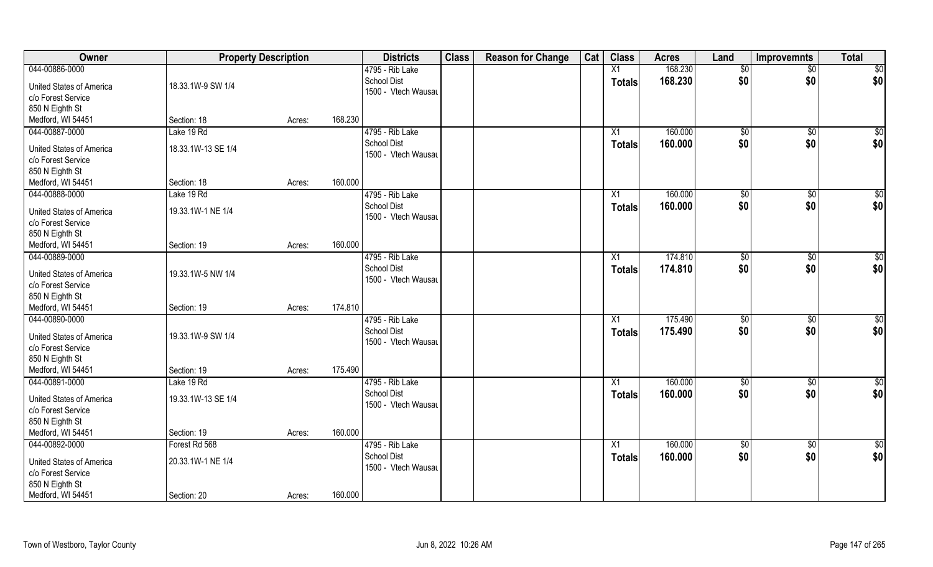| Owner                    | <b>Property Description</b> |        |         | <b>Districts</b>    | <b>Class</b> | <b>Reason for Change</b> | Cat | <b>Class</b>  | <b>Acres</b> | Land            | <b>Improvemnts</b> | <b>Total</b>    |
|--------------------------|-----------------------------|--------|---------|---------------------|--------------|--------------------------|-----|---------------|--------------|-----------------|--------------------|-----------------|
| 044-00886-0000           |                             |        |         | 4795 - Rib Lake     |              |                          |     | X1            | 168.230      | \$0             | $\overline{50}$    | $\overline{50}$ |
| United States of America | 18.33.1W-9 SW 1/4           |        |         | <b>School Dist</b>  |              |                          |     | <b>Totals</b> | 168.230      | \$0             | \$0                | \$0             |
| c/o Forest Service       |                             |        |         | 1500 - Vtech Wausau |              |                          |     |               |              |                 |                    |                 |
| 850 N Eighth St          |                             |        |         |                     |              |                          |     |               |              |                 |                    |                 |
| Medford, WI 54451        | Section: 18                 | Acres: | 168.230 |                     |              |                          |     |               |              |                 |                    |                 |
| 044-00887-0000           | Lake 19 Rd                  |        |         | 4795 - Rib Lake     |              |                          |     | X1            | 160.000      | $\sqrt[6]{}$    | $\sqrt{$0}$        | $\sqrt{50}$     |
|                          |                             |        |         | <b>School Dist</b>  |              |                          |     | <b>Totals</b> | 160.000      | \$0             | \$0                | \$0             |
| United States of America | 18.33.1W-13 SE 1/4          |        |         | 1500 - Vtech Wausau |              |                          |     |               |              |                 |                    |                 |
| c/o Forest Service       |                             |        |         |                     |              |                          |     |               |              |                 |                    |                 |
| 850 N Eighth St          |                             |        |         |                     |              |                          |     |               |              |                 |                    |                 |
| Medford, WI 54451        | Section: 18                 | Acres: | 160.000 |                     |              |                          |     |               |              |                 |                    |                 |
| 044-00888-0000           | Lake 19 Rd                  |        |         | 4795 - Rib Lake     |              |                          |     | X1            | 160.000      | \$0             | $\sqrt[6]{3}$      | \$0             |
| United States of America | 19.33.1W-1 NE 1/4           |        |         | <b>School Dist</b>  |              |                          |     | <b>Totals</b> | 160.000      | \$0             | \$0                | \$0             |
| c/o Forest Service       |                             |        |         | 1500 - Vtech Wausau |              |                          |     |               |              |                 |                    |                 |
| 850 N Eighth St          |                             |        |         |                     |              |                          |     |               |              |                 |                    |                 |
| Medford, WI 54451        | Section: 19                 | Acres: | 160.000 |                     |              |                          |     |               |              |                 |                    |                 |
| 044-00889-0000           |                             |        |         | 4795 - Rib Lake     |              |                          |     | X1            | 174.810      | $\frac{1}{20}$  | $\sqrt[6]{3}$      | \$0             |
|                          |                             |        |         | School Dist         |              |                          |     | <b>Totals</b> | 174.810      | \$0             | \$0                | \$0             |
| United States of America | 19.33.1W-5 NW 1/4           |        |         | 1500 - Vtech Wausau |              |                          |     |               |              |                 |                    |                 |
| c/o Forest Service       |                             |        |         |                     |              |                          |     |               |              |                 |                    |                 |
| 850 N Eighth St          |                             |        |         |                     |              |                          |     |               |              |                 |                    |                 |
| Medford, WI 54451        | Section: 19                 | Acres: | 174.810 |                     |              |                          |     |               |              |                 |                    |                 |
| 044-00890-0000           |                             |        |         | 4795 - Rib Lake     |              |                          |     | X1            | 175.490      | \$0             | $\sqrt[6]{3}$      | \$0             |
| United States of America | 19.33.1W-9 SW 1/4           |        |         | <b>School Dist</b>  |              |                          |     | <b>Totals</b> | 175.490      | \$0             | \$0                | \$0             |
| c/o Forest Service       |                             |        |         | 1500 - Vtech Wausau |              |                          |     |               |              |                 |                    |                 |
| 850 N Eighth St          |                             |        |         |                     |              |                          |     |               |              |                 |                    |                 |
| Medford, WI 54451        | Section: 19                 | Acres: | 175.490 |                     |              |                          |     |               |              |                 |                    |                 |
| 044-00891-0000           | Lake 19 Rd                  |        |         | 4795 - Rib Lake     |              |                          |     | X1            | 160.000      | \$0             | \$0                | \$0             |
| United States of America | 19.33.1W-13 SE 1/4          |        |         | <b>School Dist</b>  |              |                          |     | <b>Totals</b> | 160.000      | \$0             | \$0                | \$0             |
| c/o Forest Service       |                             |        |         | 1500 - Vtech Wausau |              |                          |     |               |              |                 |                    |                 |
| 850 N Eighth St          |                             |        |         |                     |              |                          |     |               |              |                 |                    |                 |
| Medford, WI 54451        | Section: 19                 | Acres: | 160.000 |                     |              |                          |     |               |              |                 |                    |                 |
| 044-00892-0000           | Forest Rd 568               |        |         | 4795 - Rib Lake     |              |                          |     | X1            | 160.000      | $\overline{50}$ | $\sqrt{$0}$        | \$0             |
|                          |                             |        |         | <b>School Dist</b>  |              |                          |     | <b>Totals</b> | 160.000      | \$0             | \$0                | \$0             |
| United States of America | 20.33.1W-1 NE 1/4           |        |         | 1500 - Vtech Wausau |              |                          |     |               |              |                 |                    |                 |
| c/o Forest Service       |                             |        |         |                     |              |                          |     |               |              |                 |                    |                 |
| 850 N Eighth St          |                             |        |         |                     |              |                          |     |               |              |                 |                    |                 |
| Medford, WI 54451        | Section: 20                 | Acres: | 160.000 |                     |              |                          |     |               |              |                 |                    |                 |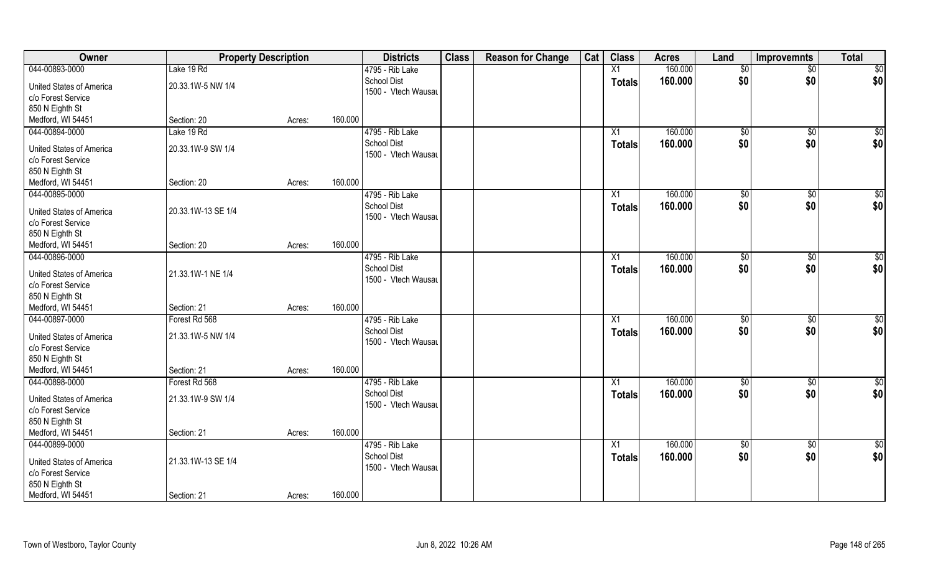| Owner                    | <b>Property Description</b> |        |         | <b>Districts</b>                          | <b>Class</b> | <b>Reason for Change</b> | Cat | <b>Class</b>    | <b>Acres</b> | Land            | <b>Improvemnts</b> | <b>Total</b>    |
|--------------------------|-----------------------------|--------|---------|-------------------------------------------|--------------|--------------------------|-----|-----------------|--------------|-----------------|--------------------|-----------------|
| 044-00893-0000           | Lake 19 Rd                  |        |         | 4795 - Rib Lake                           |              |                          |     | $\overline{X1}$ | 160.000      | $\overline{60}$ | $\overline{50}$    | \$0             |
| United States of America | 20.33.1W-5 NW 1/4           |        |         | <b>School Dist</b><br>1500 - Vtech Wausau |              |                          |     | <b>Totals</b>   | 160,000      | \$0             | \$0                | \$0             |
| c/o Forest Service       |                             |        |         |                                           |              |                          |     |                 |              |                 |                    |                 |
| 850 N Eighth St          |                             |        |         |                                           |              |                          |     |                 |              |                 |                    |                 |
| Medford, WI 54451        | Section: 20                 | Acres: | 160.000 |                                           |              |                          |     |                 |              |                 |                    |                 |
| 044-00894-0000           | Lake 19 Rd                  |        |         | 4795 - Rib Lake                           |              |                          |     | X1              | 160.000      | \$0             | \$0                | $\sqrt{50}$     |
| United States of America | 20.33.1W-9 SW 1/4           |        |         | <b>School Dist</b>                        |              |                          |     | <b>Totals</b>   | 160.000      | \$0             | \$0                | \$0             |
| c/o Forest Service       |                             |        |         | 1500 - Vtech Wausau                       |              |                          |     |                 |              |                 |                    |                 |
| 850 N Eighth St          |                             |        |         |                                           |              |                          |     |                 |              |                 |                    |                 |
| Medford, WI 54451        | Section: 20                 | Acres: | 160.000 |                                           |              |                          |     |                 |              |                 |                    |                 |
| 044-00895-0000           |                             |        |         | 4795 - Rib Lake                           |              |                          |     | X1              | 160.000      | $\sqrt[6]{3}$   | $\sqrt[6]{3}$      | \$0             |
|                          |                             |        |         | <b>School Dist</b>                        |              |                          |     | <b>Totals</b>   | 160.000      | \$0             | \$0                | \$0             |
| United States of America | 20.33.1W-13 SE 1/4          |        |         | 1500 - Vtech Wausau                       |              |                          |     |                 |              |                 |                    |                 |
| c/o Forest Service       |                             |        |         |                                           |              |                          |     |                 |              |                 |                    |                 |
| 850 N Eighth St          |                             |        |         |                                           |              |                          |     |                 |              |                 |                    |                 |
| Medford, WI 54451        | Section: 20                 | Acres: | 160.000 |                                           |              |                          |     |                 |              |                 |                    |                 |
| 044-00896-0000           |                             |        |         | 4795 - Rib Lake                           |              |                          |     | X1              | 160.000      | $\sqrt[6]{3}$   | \$0                | \$0             |
| United States of America | 21.33.1W-1 NE 1/4           |        |         | <b>School Dist</b>                        |              |                          |     | <b>Totals</b>   | 160.000      | \$0             | \$0                | \$0             |
| c/o Forest Service       |                             |        |         | 1500 - Vtech Wausau                       |              |                          |     |                 |              |                 |                    |                 |
| 850 N Eighth St          |                             |        |         |                                           |              |                          |     |                 |              |                 |                    |                 |
| Medford, WI 54451        | Section: 21                 | Acres: | 160.000 |                                           |              |                          |     |                 |              |                 |                    |                 |
| 044-00897-0000           | Forest Rd 568               |        |         | 4795 - Rib Lake                           |              |                          |     | X1              | 160.000      | \$0             | \$0                | \$0             |
|                          |                             |        |         | <b>School Dist</b>                        |              |                          |     | <b>Totals</b>   | 160.000      | \$0             | \$0                | \$0             |
| United States of America | 21.33.1W-5 NW 1/4           |        |         | 1500 - Vtech Wausau                       |              |                          |     |                 |              |                 |                    |                 |
| c/o Forest Service       |                             |        |         |                                           |              |                          |     |                 |              |                 |                    |                 |
| 850 N Eighth St          |                             |        |         |                                           |              |                          |     |                 |              |                 |                    |                 |
| Medford, WI 54451        | Section: 21                 | Acres: | 160.000 |                                           |              |                          |     |                 |              |                 |                    |                 |
| 044-00898-0000           | Forest Rd 568               |        |         | 4795 - Rib Lake                           |              |                          |     | X1              | 160.000      | $\overline{60}$ | \$0                | $\overline{50}$ |
| United States of America | 21.33.1W-9 SW 1/4           |        |         | <b>School Dist</b>                        |              |                          |     | <b>Totals</b>   | 160.000      | \$0             | \$0                | \$0             |
| c/o Forest Service       |                             |        |         | 1500 - Vtech Wausau                       |              |                          |     |                 |              |                 |                    |                 |
| 850 N Eighth St          |                             |        |         |                                           |              |                          |     |                 |              |                 |                    |                 |
| Medford, WI 54451        | Section: 21                 | Acres: | 160.000 |                                           |              |                          |     |                 |              |                 |                    |                 |
| 044-00899-0000           |                             |        |         | 4795 - Rib Lake                           |              |                          |     | X1              | 160.000      | $\overline{50}$ | $\sqrt{$0}$        | \$0             |
|                          |                             |        |         | <b>School Dist</b>                        |              |                          |     | <b>Totals</b>   | 160.000      | \$0             | \$0                | \$0             |
| United States of America | 21.33.1W-13 SE 1/4          |        |         | 1500 - Vtech Wausau                       |              |                          |     |                 |              |                 |                    |                 |
| c/o Forest Service       |                             |        |         |                                           |              |                          |     |                 |              |                 |                    |                 |
| 850 N Eighth St          |                             |        |         |                                           |              |                          |     |                 |              |                 |                    |                 |
| Medford, WI 54451        | Section: 21                 | Acres: | 160.000 |                                           |              |                          |     |                 |              |                 |                    |                 |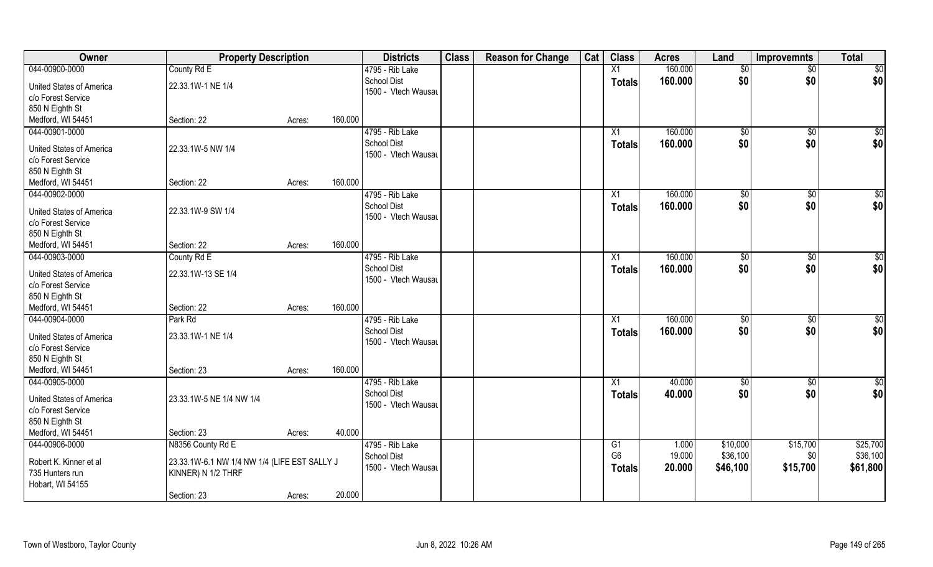| Owner                                                 | <b>Property Description</b>                  |        |         | <b>Districts</b>                          | <b>Class</b> | <b>Reason for Change</b> | Cat | <b>Class</b>    | <b>Acres</b> | Land                 | Improvemnts           | <b>Total</b>    |
|-------------------------------------------------------|----------------------------------------------|--------|---------|-------------------------------------------|--------------|--------------------------|-----|-----------------|--------------|----------------------|-----------------------|-----------------|
| 044-00900-0000                                        | County Rd E                                  |        |         | 4795 - Rib Lake                           |              |                          |     | X1              | 160.000      | $\sqrt[6]{}$         | $\overline{50}$       | \$0             |
| <b>United States of America</b><br>c/o Forest Service | 22.33.1W-1 NE 1/4                            |        |         | <b>School Dist</b><br>1500 - Vtech Wausau |              |                          |     | <b>Totals</b>   | 160.000      | \$0                  | \$0                   | \$0             |
| 850 N Eighth St                                       |                                              |        |         |                                           |              |                          |     |                 |              |                      |                       |                 |
| Medford, WI 54451                                     | Section: 22                                  | Acres: | 160.000 |                                           |              |                          |     |                 |              |                      |                       |                 |
| 044-00901-0000                                        |                                              |        |         | 4795 - Rib Lake                           |              |                          |     | $\overline{X1}$ | 160.000      | \$0                  | \$0                   | \$0             |
| United States of America                              | 22.33.1W-5 NW 1/4                            |        |         | <b>School Dist</b>                        |              |                          |     | Totals          | 160.000      | \$0                  | \$0                   | \$0             |
| c/o Forest Service                                    |                                              |        |         | 1500 - Vtech Wausau                       |              |                          |     |                 |              |                      |                       |                 |
| 850 N Eighth St                                       |                                              |        |         |                                           |              |                          |     |                 |              |                      |                       |                 |
| Medford, WI 54451                                     | Section: 22                                  | Acres: | 160.000 |                                           |              |                          |     |                 |              |                      |                       |                 |
| 044-00902-0000                                        |                                              |        |         | 4795 - Rib Lake                           |              |                          |     | X1              | 160.000      | $\sqrt[6]{3}$        | $\sqrt[6]{30}$        | \$0             |
| United States of America                              | 22.33.1W-9 SW 1/4                            |        |         | <b>School Dist</b>                        |              |                          |     | <b>Totals</b>   | 160.000      | \$0                  | \$0                   | \$0             |
| c/o Forest Service                                    |                                              |        |         | 1500 - Vtech Wausau                       |              |                          |     |                 |              |                      |                       |                 |
| 850 N Eighth St                                       |                                              |        |         |                                           |              |                          |     |                 |              |                      |                       |                 |
| Medford, WI 54451                                     | Section: 22                                  | Acres: | 160.000 |                                           |              |                          |     |                 |              |                      |                       |                 |
| 044-00903-0000                                        | County Rd E                                  |        |         | 4795 - Rib Lake                           |              |                          |     | X1              | 160.000      | $\sqrt[6]{3}$        | \$0                   | \$0             |
|                                                       |                                              |        |         | School Dist                               |              |                          |     | <b>Totals</b>   | 160.000      | \$0                  | \$0                   | \$0             |
| <b>United States of America</b>                       | 22.33.1W-13 SE 1/4                           |        |         | 1500 - Vtech Wausau                       |              |                          |     |                 |              |                      |                       |                 |
| c/o Forest Service                                    |                                              |        |         |                                           |              |                          |     |                 |              |                      |                       |                 |
| 850 N Eighth St<br>Medford, WI 54451                  | Section: 22                                  |        | 160.000 |                                           |              |                          |     |                 |              |                      |                       |                 |
| 044-00904-0000                                        | Park Rd                                      | Acres: |         | 4795 - Rib Lake                           |              |                          |     | X1              | 160.000      |                      |                       | $\overline{50}$ |
|                                                       |                                              |        |         | <b>School Dist</b>                        |              |                          |     |                 | 160.000      | $\sqrt[6]{3}$<br>\$0 | $\sqrt[6]{30}$<br>\$0 | \$0             |
| <b>United States of America</b>                       | 23.33.1W-1 NE 1/4                            |        |         | 1500 - Vtech Wausau                       |              |                          |     | <b>Totals</b>   |              |                      |                       |                 |
| c/o Forest Service                                    |                                              |        |         |                                           |              |                          |     |                 |              |                      |                       |                 |
| 850 N Eighth St                                       |                                              |        |         |                                           |              |                          |     |                 |              |                      |                       |                 |
| Medford, WI 54451                                     | Section: 23                                  | Acres: | 160.000 |                                           |              |                          |     |                 |              |                      |                       |                 |
| 044-00905-0000                                        |                                              |        |         | 4795 - Rib Lake                           |              |                          |     | X1              | 40.000       | \$0                  | \$0                   | \$0             |
| <b>United States of America</b>                       | 23.33.1W-5 NE 1/4 NW 1/4                     |        |         | <b>School Dist</b>                        |              |                          |     | <b>Totals</b>   | 40.000       | \$0                  | \$0                   | \$0             |
| c/o Forest Service                                    |                                              |        |         | 1500 - Vtech Wausau                       |              |                          |     |                 |              |                      |                       |                 |
| 850 N Eighth St                                       |                                              |        |         |                                           |              |                          |     |                 |              |                      |                       |                 |
| Medford, WI 54451                                     | Section: 23                                  | Acres: | 40.000  |                                           |              |                          |     |                 |              |                      |                       |                 |
| 044-00906-0000                                        | N8356 County Rd E                            |        |         | 4795 - Rib Lake                           |              |                          |     | G1              | 1.000        | \$10,000             | \$15,700              | \$25,700        |
| Robert K. Kinner et al                                | 23.33.1W-6.1 NW 1/4 NW 1/4 (LIFE EST SALLY J |        |         | <b>School Dist</b>                        |              |                          |     | G <sub>6</sub>  | 19.000       | \$36,100             | \$0                   | \$36,100        |
| 735 Hunters run                                       | KINNER) N 1/2 THRF                           |        |         | 1500 - Vtech Wausau                       |              |                          |     | <b>Totals</b>   | 20.000       | \$46,100             | \$15,700              | \$61,800        |
| Hobart, WI 54155                                      |                                              |        |         |                                           |              |                          |     |                 |              |                      |                       |                 |
|                                                       | Section: 23                                  | Acres: | 20.000  |                                           |              |                          |     |                 |              |                      |                       |                 |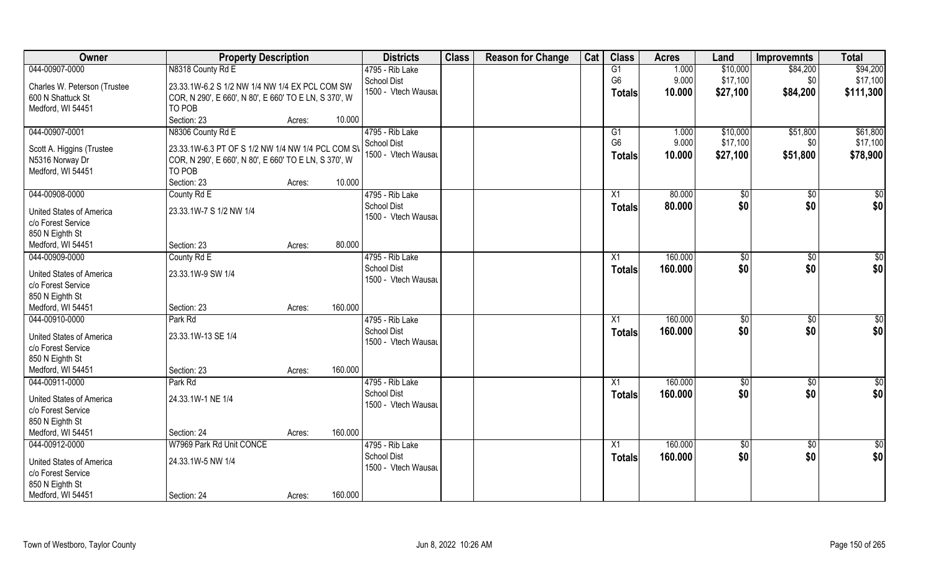| Owner                                | <b>Property Description</b>                           |                   | <b>Districts</b>    | <b>Class</b> | <b>Reason for Change</b> | Cat | <b>Class</b>   | <b>Acres</b> | Land            | <b>Improvemnts</b> | <b>Total</b>    |
|--------------------------------------|-------------------------------------------------------|-------------------|---------------------|--------------|--------------------------|-----|----------------|--------------|-----------------|--------------------|-----------------|
| 044-00907-0000                       | N8318 County Rd E                                     |                   | 4795 - Rib Lake     |              |                          |     | G1             | 1.000        | \$10,000        | \$84,200           | \$94,200        |
| Charles W. Peterson (Trustee         | 23.33.1W-6.2 S 1/2 NW 1/4 NW 1/4 EX PCL COM SW        |                   | <b>School Dist</b>  |              |                          |     | G <sub>6</sub> | 9.000        | \$17,100        | \$0                | \$17,100        |
| 600 N Shattuck St                    | COR, N 290', E 660', N 80', E 660' TO E LN, S 370', W |                   | 1500 - Vtech Wausau |              |                          |     | Totals         | 10.000       | \$27,100        | \$84,200           | \$111,300       |
| Medford, WI 54451                    | TO POB                                                |                   |                     |              |                          |     |                |              |                 |                    |                 |
|                                      | Section: 23                                           | 10.000<br>Acres:  |                     |              |                          |     |                |              |                 |                    |                 |
| 044-00907-0001                       | N8306 County Rd E                                     |                   | 4795 - Rib Lake     |              |                          |     | G1             | 1.000        | \$10,000        | \$51,800           | \$61,800        |
|                                      |                                                       |                   | <b>School Dist</b>  |              |                          |     | G <sub>6</sub> | 9.000        | \$17,100        | \$0                | \$17,100        |
| Scott A. Higgins (Trustee            | 23.33.1W-6.3 PT OF S 1/2 NW 1/4 NW 1/4 PCL COM SV     |                   | 1500 - Vtech Wausau |              |                          |     | <b>Totals</b>  | 10.000       | \$27,100        | \$51,800           | \$78,900        |
| N5316 Norway Dr                      | COR, N 290', E 660', N 80', E 660' TO E LN, S 370', W |                   |                     |              |                          |     |                |              |                 |                    |                 |
| Medford, WI 54451                    | TO POB                                                |                   |                     |              |                          |     |                |              |                 |                    |                 |
|                                      | Section: 23                                           | 10.000<br>Acres:  |                     |              |                          |     |                |              |                 |                    |                 |
| 044-00908-0000                       | County Rd E                                           |                   | 4795 - Rib Lake     |              |                          |     | X1             | 80.000       | $\sqrt[6]{3}$   | $\sqrt[6]{30}$     | \$0             |
| United States of America             | 23.33.1W-7 S 1/2 NW 1/4                               |                   | <b>School Dist</b>  |              |                          |     | <b>Totals</b>  | 80.000       | \$0             | \$0                | \$0             |
| c/o Forest Service                   |                                                       |                   | 1500 - Vtech Wausau |              |                          |     |                |              |                 |                    |                 |
| 850 N Eighth St                      |                                                       |                   |                     |              |                          |     |                |              |                 |                    |                 |
| Medford, WI 54451                    | Section: 23                                           | 80.000<br>Acres:  |                     |              |                          |     |                |              |                 |                    |                 |
| 044-00909-0000                       | County Rd E                                           |                   | 4795 - Rib Lake     |              |                          |     | X1             | 160.000      | $\frac{1}{20}$  | $\sqrt[6]{3}$      | \$0             |
|                                      |                                                       |                   | <b>School Dist</b>  |              |                          |     | <b>Totals</b>  | 160.000      | \$0             | \$0                | \$0             |
| United States of America             | 23.33.1W-9 SW 1/4                                     |                   | 1500 - Vtech Wausau |              |                          |     |                |              |                 |                    |                 |
| c/o Forest Service                   |                                                       |                   |                     |              |                          |     |                |              |                 |                    |                 |
| 850 N Eighth St<br>Medford, WI 54451 | Section: 23                                           | 160.000           |                     |              |                          |     |                |              |                 |                    |                 |
| 044-00910-0000                       | Park Rd                                               | Acres:            | 4795 - Rib Lake     |              |                          |     | X1             | 160.000      |                 |                    | \$0             |
|                                      |                                                       |                   | <b>School Dist</b>  |              |                          |     |                |              | $\sqrt[6]{3}$   | $\sqrt[6]{30}$     |                 |
| United States of America             | 23.33.1W-13 SE 1/4                                    |                   | 1500 - Vtech Wausau |              |                          |     | <b>Totals</b>  | 160.000      | \$0             | \$0                | \$0             |
| c/o Forest Service                   |                                                       |                   |                     |              |                          |     |                |              |                 |                    |                 |
| 850 N Eighth St                      |                                                       |                   |                     |              |                          |     |                |              |                 |                    |                 |
| Medford, WI 54451                    | Section: 23                                           | 160.000<br>Acres: |                     |              |                          |     |                |              |                 |                    |                 |
| 044-00911-0000                       | Park Rd                                               |                   | 4795 - Rib Lake     |              |                          |     | X1             | 160.000      | \$0             | \$0                | $\frac{6}{3}$   |
| United States of America             | 24.33.1W-1 NE 1/4                                     |                   | <b>School Dist</b>  |              |                          |     | <b>Totals</b>  | 160.000      | \$0             | \$0                | \$0             |
| c/o Forest Service                   |                                                       |                   | 1500 - Vtech Wausau |              |                          |     |                |              |                 |                    |                 |
| 850 N Eighth St                      |                                                       |                   |                     |              |                          |     |                |              |                 |                    |                 |
| Medford, WI 54451                    | Section: 24                                           | 160.000<br>Acres: |                     |              |                          |     |                |              |                 |                    |                 |
| 044-00912-0000                       | W7969 Park Rd Unit CONCE                              |                   | 4795 - Rib Lake     |              |                          |     | X1             | 160.000      | $\overline{50}$ | $\overline{50}$    | $\overline{50}$ |
|                                      |                                                       |                   | <b>School Dist</b>  |              |                          |     | <b>Totals</b>  | 160.000      | \$0             | \$0                | \$0             |
| United States of America             | 24.33.1W-5 NW 1/4                                     |                   | 1500 - Vtech Wausau |              |                          |     |                |              |                 |                    |                 |
| c/o Forest Service                   |                                                       |                   |                     |              |                          |     |                |              |                 |                    |                 |
| 850 N Eighth St                      |                                                       |                   |                     |              |                          |     |                |              |                 |                    |                 |
| Medford, WI 54451                    | Section: 24                                           | 160.000<br>Acres: |                     |              |                          |     |                |              |                 |                    |                 |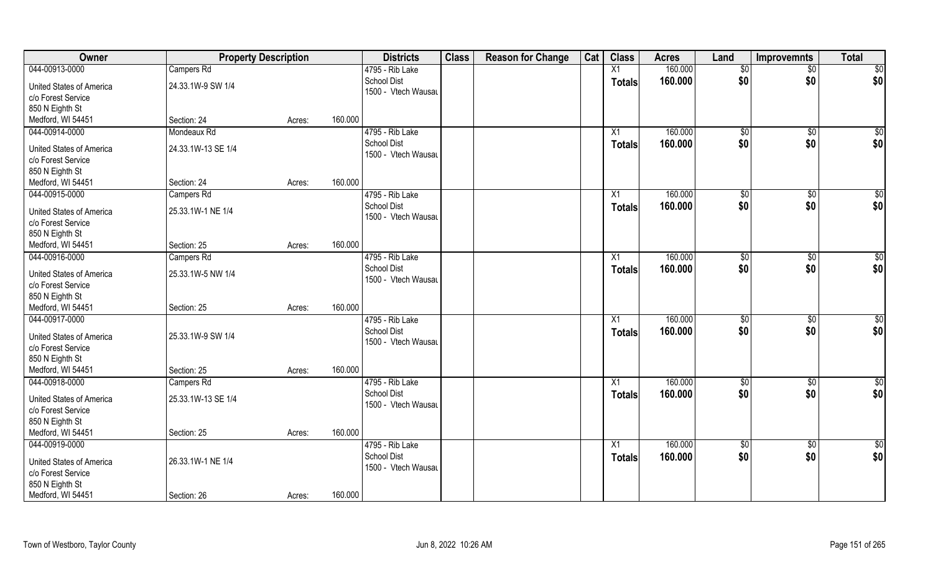| Owner                                | <b>Property Description</b> |        |         | <b>Districts</b>                      | <b>Class</b> | <b>Reason for Change</b> | Cat | <b>Class</b>  | <b>Acres</b> | Land            | <b>Improvemnts</b> | <b>Total</b>    |
|--------------------------------------|-----------------------------|--------|---------|---------------------------------------|--------------|--------------------------|-----|---------------|--------------|-----------------|--------------------|-----------------|
| 044-00913-0000                       | Campers Rd                  |        |         | 4795 - Rib Lake                       |              |                          |     | X1            | 160.000      | \$0             | $\overline{50}$    | \$0             |
| United States of America             | 24.33.1W-9 SW 1/4           |        |         | <b>School Dist</b>                    |              |                          |     | <b>Totals</b> | 160.000      | \$0             | \$0                | \$0             |
| c/o Forest Service                   |                             |        |         | 1500 - Vtech Wausau                   |              |                          |     |               |              |                 |                    |                 |
| 850 N Eighth St                      |                             |        |         |                                       |              |                          |     |               |              |                 |                    |                 |
| Medford, WI 54451                    | Section: 24                 | Acres: | 160.000 |                                       |              |                          |     |               |              |                 |                    |                 |
| 044-00914-0000                       | Mondeaux Rd                 |        |         | 4795 - Rib Lake                       |              |                          |     | X1            | 160.000      | $\sqrt[6]{}$    | $\sqrt{$0}$        | \$0             |
|                                      |                             |        |         | <b>School Dist</b>                    |              |                          |     | <b>Totals</b> | 160.000      | \$0             | \$0                | \$0             |
| United States of America             | 24.33.1W-13 SE 1/4          |        |         | 1500 - Vtech Wausau                   |              |                          |     |               |              |                 |                    |                 |
| c/o Forest Service                   |                             |        |         |                                       |              |                          |     |               |              |                 |                    |                 |
| 850 N Eighth St                      |                             |        |         |                                       |              |                          |     |               |              |                 |                    |                 |
| Medford, WI 54451                    | Section: 24                 | Acres: | 160.000 |                                       |              |                          |     |               |              |                 |                    |                 |
| 044-00915-0000                       | Campers Rd                  |        |         | 4795 - Rib Lake                       |              |                          |     | X1            | 160.000      | \$0             | $\sqrt[6]{3}$      | \$0             |
| United States of America             | 25.33.1W-1 NE 1/4           |        |         | <b>School Dist</b>                    |              |                          |     | <b>Totals</b> | 160.000      | \$0             | \$0                | \$0             |
| c/o Forest Service                   |                             |        |         | 1500 - Vtech Wausau                   |              |                          |     |               |              |                 |                    |                 |
| 850 N Eighth St                      |                             |        |         |                                       |              |                          |     |               |              |                 |                    |                 |
| Medford, WI 54451                    | Section: 25                 | Acres: | 160.000 |                                       |              |                          |     |               |              |                 |                    |                 |
| 044-00916-0000                       | Campers Rd                  |        |         | 4795 - Rib Lake                       |              |                          |     | X1            | 160.000      | $\frac{1}{20}$  | $\sqrt[6]{3}$      | \$0             |
|                                      |                             |        |         | School Dist                           |              |                          |     | <b>Totals</b> | 160.000      | \$0             | \$0                | \$0             |
| United States of America             | 25.33.1W-5 NW 1/4           |        |         | 1500 - Vtech Wausau                   |              |                          |     |               |              |                 |                    |                 |
| c/o Forest Service                   |                             |        |         |                                       |              |                          |     |               |              |                 |                    |                 |
| 850 N Eighth St<br>Medford, WI 54451 | Section: 25                 |        | 160.000 |                                       |              |                          |     |               |              |                 |                    |                 |
| 044-00917-0000                       |                             | Acres: |         |                                       |              |                          |     |               | 160.000      |                 |                    |                 |
|                                      |                             |        |         | 4795 - Rib Lake<br><b>School Dist</b> |              |                          |     | X1            |              | \$0             | $\sqrt[6]{3}$      | \$0             |
| United States of America             | 25.33.1W-9 SW 1/4           |        |         | 1500 - Vtech Wausau                   |              |                          |     | <b>Totals</b> | 160.000      | \$0             | \$0                | \$0             |
| c/o Forest Service                   |                             |        |         |                                       |              |                          |     |               |              |                 |                    |                 |
| 850 N Eighth St                      |                             |        |         |                                       |              |                          |     |               |              |                 |                    |                 |
| Medford, WI 54451                    | Section: 25                 | Acres: | 160.000 |                                       |              |                          |     |               |              |                 |                    |                 |
| 044-00918-0000                       | Campers Rd                  |        |         | 4795 - Rib Lake                       |              |                          |     | X1            | 160.000      | \$0             | \$0                | \$0             |
| United States of America             | 25.33.1W-13 SE 1/4          |        |         | <b>School Dist</b>                    |              |                          |     | <b>Totals</b> | 160.000      | \$0             | \$0                | \$0             |
| c/o Forest Service                   |                             |        |         | 1500 - Vtech Wausau                   |              |                          |     |               |              |                 |                    |                 |
| 850 N Eighth St                      |                             |        |         |                                       |              |                          |     |               |              |                 |                    |                 |
| Medford, WI 54451                    | Section: 25                 | Acres: | 160.000 |                                       |              |                          |     |               |              |                 |                    |                 |
| 044-00919-0000                       |                             |        |         | 4795 - Rib Lake                       |              |                          |     | X1            | 160.000      | $\overline{50}$ | $\sqrt{$0}$        | $\overline{50}$ |
|                                      |                             |        |         | <b>School Dist</b>                    |              |                          |     | <b>Totals</b> | 160.000      | \$0             | \$0                | \$0             |
| United States of America             | 26.33.1W-1 NE 1/4           |        |         | 1500 - Vtech Wausau                   |              |                          |     |               |              |                 |                    |                 |
| c/o Forest Service                   |                             |        |         |                                       |              |                          |     |               |              |                 |                    |                 |
| 850 N Eighth St                      |                             |        |         |                                       |              |                          |     |               |              |                 |                    |                 |
| Medford, WI 54451                    | Section: 26                 | Acres: | 160.000 |                                       |              |                          |     |               |              |                 |                    |                 |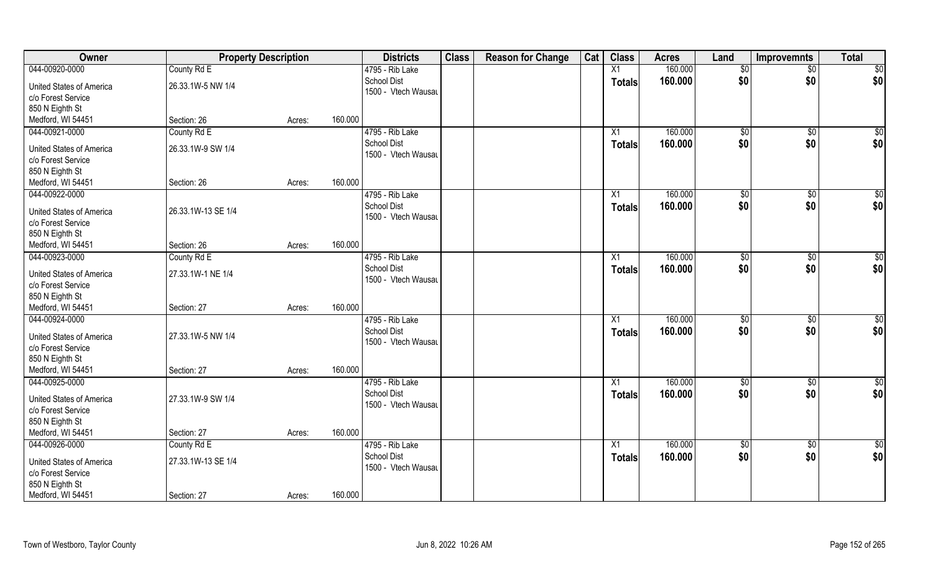| 160.000<br>\$0<br>044-00920-0000<br>County Rd E<br>4795 - Rib Lake<br>$\overline{X1}$<br>$\overline{50}$<br>$\overline{50}$<br>\$0<br>\$0<br>School Dist<br>160.000<br>\$0<br><b>Totals</b><br>26.33.1W-5 NW 1/4<br><b>United States of America</b><br>1500 - Vtech Wausau<br>c/o Forest Service<br>850 N Eighth St<br>Medford, WI 54451<br>160.000<br>Section: 26<br>Acres:<br>044-00921-0000<br>160.000<br>County Rd E<br>4795 - Rib Lake<br>\$0<br>\$0<br>\$0<br>X1<br>\$0<br>School Dist<br>\$0<br>\$0<br>160.000<br>Totals<br>26.33.1W-9 SW 1/4<br><b>United States of America</b><br>1500 - Vtech Wausau<br>c/o Forest Service<br>850 N Eighth St<br>160.000<br>Medford, WI 54451<br>Section: 26<br>Acres:<br>044-00922-0000<br>160.000<br>\$0<br>4795 - Rib Lake<br>$\sqrt[6]{2}$<br>$\sqrt[6]{3}$<br>X1<br>\$0<br>\$0<br>\$0<br><b>School Dist</b><br>160.000<br><b>Totals</b><br>United States of America<br>26.33.1W-13 SE 1/4<br>1500 - Vtech Wausau<br>c/o Forest Service<br>850 N Eighth St<br>160.000<br>Medford, WI 54451<br>Section: 26<br>Acres:<br>160.000<br>\$0<br>044-00923-0000<br>County Rd E<br>4795 - Rib Lake<br>\$0<br>\$0<br>X1<br>\$0<br>\$0<br><b>School Dist</b><br>\$0<br>160.000<br><b>Totals</b><br>27.33.1W-1 NE 1/4<br>United States of America<br>1500 - Vtech Wausau<br>c/o Forest Service |
|----------------------------------------------------------------------------------------------------------------------------------------------------------------------------------------------------------------------------------------------------------------------------------------------------------------------------------------------------------------------------------------------------------------------------------------------------------------------------------------------------------------------------------------------------------------------------------------------------------------------------------------------------------------------------------------------------------------------------------------------------------------------------------------------------------------------------------------------------------------------------------------------------------------------------------------------------------------------------------------------------------------------------------------------------------------------------------------------------------------------------------------------------------------------------------------------------------------------------------------------------------------------------------------------------------------------------------|
|                                                                                                                                                                                                                                                                                                                                                                                                                                                                                                                                                                                                                                                                                                                                                                                                                                                                                                                                                                                                                                                                                                                                                                                                                                                                                                                                  |
|                                                                                                                                                                                                                                                                                                                                                                                                                                                                                                                                                                                                                                                                                                                                                                                                                                                                                                                                                                                                                                                                                                                                                                                                                                                                                                                                  |
|                                                                                                                                                                                                                                                                                                                                                                                                                                                                                                                                                                                                                                                                                                                                                                                                                                                                                                                                                                                                                                                                                                                                                                                                                                                                                                                                  |
|                                                                                                                                                                                                                                                                                                                                                                                                                                                                                                                                                                                                                                                                                                                                                                                                                                                                                                                                                                                                                                                                                                                                                                                                                                                                                                                                  |
|                                                                                                                                                                                                                                                                                                                                                                                                                                                                                                                                                                                                                                                                                                                                                                                                                                                                                                                                                                                                                                                                                                                                                                                                                                                                                                                                  |
|                                                                                                                                                                                                                                                                                                                                                                                                                                                                                                                                                                                                                                                                                                                                                                                                                                                                                                                                                                                                                                                                                                                                                                                                                                                                                                                                  |
|                                                                                                                                                                                                                                                                                                                                                                                                                                                                                                                                                                                                                                                                                                                                                                                                                                                                                                                                                                                                                                                                                                                                                                                                                                                                                                                                  |
|                                                                                                                                                                                                                                                                                                                                                                                                                                                                                                                                                                                                                                                                                                                                                                                                                                                                                                                                                                                                                                                                                                                                                                                                                                                                                                                                  |
|                                                                                                                                                                                                                                                                                                                                                                                                                                                                                                                                                                                                                                                                                                                                                                                                                                                                                                                                                                                                                                                                                                                                                                                                                                                                                                                                  |
|                                                                                                                                                                                                                                                                                                                                                                                                                                                                                                                                                                                                                                                                                                                                                                                                                                                                                                                                                                                                                                                                                                                                                                                                                                                                                                                                  |
|                                                                                                                                                                                                                                                                                                                                                                                                                                                                                                                                                                                                                                                                                                                                                                                                                                                                                                                                                                                                                                                                                                                                                                                                                                                                                                                                  |
|                                                                                                                                                                                                                                                                                                                                                                                                                                                                                                                                                                                                                                                                                                                                                                                                                                                                                                                                                                                                                                                                                                                                                                                                                                                                                                                                  |
|                                                                                                                                                                                                                                                                                                                                                                                                                                                                                                                                                                                                                                                                                                                                                                                                                                                                                                                                                                                                                                                                                                                                                                                                                                                                                                                                  |
|                                                                                                                                                                                                                                                                                                                                                                                                                                                                                                                                                                                                                                                                                                                                                                                                                                                                                                                                                                                                                                                                                                                                                                                                                                                                                                                                  |
|                                                                                                                                                                                                                                                                                                                                                                                                                                                                                                                                                                                                                                                                                                                                                                                                                                                                                                                                                                                                                                                                                                                                                                                                                                                                                                                                  |
|                                                                                                                                                                                                                                                                                                                                                                                                                                                                                                                                                                                                                                                                                                                                                                                                                                                                                                                                                                                                                                                                                                                                                                                                                                                                                                                                  |
|                                                                                                                                                                                                                                                                                                                                                                                                                                                                                                                                                                                                                                                                                                                                                                                                                                                                                                                                                                                                                                                                                                                                                                                                                                                                                                                                  |
|                                                                                                                                                                                                                                                                                                                                                                                                                                                                                                                                                                                                                                                                                                                                                                                                                                                                                                                                                                                                                                                                                                                                                                                                                                                                                                                                  |
|                                                                                                                                                                                                                                                                                                                                                                                                                                                                                                                                                                                                                                                                                                                                                                                                                                                                                                                                                                                                                                                                                                                                                                                                                                                                                                                                  |
| 850 N Eighth St                                                                                                                                                                                                                                                                                                                                                                                                                                                                                                                                                                                                                                                                                                                                                                                                                                                                                                                                                                                                                                                                                                                                                                                                                                                                                                                  |
| 160.000<br>Medford, WI 54451<br>Section: 27<br>Acres:                                                                                                                                                                                                                                                                                                                                                                                                                                                                                                                                                                                                                                                                                                                                                                                                                                                                                                                                                                                                                                                                                                                                                                                                                                                                            |
| 044-00924-0000<br>160.000<br>$\overline{50}$<br>4795 - Rib Lake<br>\$0<br>\$0<br>X1                                                                                                                                                                                                                                                                                                                                                                                                                                                                                                                                                                                                                                                                                                                                                                                                                                                                                                                                                                                                                                                                                                                                                                                                                                              |
| \$0<br>\$0<br>\$0<br><b>School Dist</b><br>160.000<br><b>Totals</b><br>United States of America<br>27.33.1W-5 NW 1/4                                                                                                                                                                                                                                                                                                                                                                                                                                                                                                                                                                                                                                                                                                                                                                                                                                                                                                                                                                                                                                                                                                                                                                                                             |
| 1500 - Vtech Wausau<br>c/o Forest Service                                                                                                                                                                                                                                                                                                                                                                                                                                                                                                                                                                                                                                                                                                                                                                                                                                                                                                                                                                                                                                                                                                                                                                                                                                                                                        |
| 850 N Eighth St                                                                                                                                                                                                                                                                                                                                                                                                                                                                                                                                                                                                                                                                                                                                                                                                                                                                                                                                                                                                                                                                                                                                                                                                                                                                                                                  |
| Medford, WI 54451<br>160.000<br>Section: 27<br>Acres:                                                                                                                                                                                                                                                                                                                                                                                                                                                                                                                                                                                                                                                                                                                                                                                                                                                                                                                                                                                                                                                                                                                                                                                                                                                                            |
| 044-00925-0000<br>160.000<br>$\overline{50}$<br>4795 - Rib Lake<br>X1                                                                                                                                                                                                                                                                                                                                                                                                                                                                                                                                                                                                                                                                                                                                                                                                                                                                                                                                                                                                                                                                                                                                                                                                                                                            |
| $\sqrt{$0}$<br>\$0<br>\$0<br>\$0<br><b>School Dist</b>                                                                                                                                                                                                                                                                                                                                                                                                                                                                                                                                                                                                                                                                                                                                                                                                                                                                                                                                                                                                                                                                                                                                                                                                                                                                           |
| \$0<br>160.000<br><b>Totals</b><br>United States of America<br>27.33.1W-9 SW 1/4<br>1500 - Vtech Wausau                                                                                                                                                                                                                                                                                                                                                                                                                                                                                                                                                                                                                                                                                                                                                                                                                                                                                                                                                                                                                                                                                                                                                                                                                          |
| c/o Forest Service                                                                                                                                                                                                                                                                                                                                                                                                                                                                                                                                                                                                                                                                                                                                                                                                                                                                                                                                                                                                                                                                                                                                                                                                                                                                                                               |
| 850 N Eighth St                                                                                                                                                                                                                                                                                                                                                                                                                                                                                                                                                                                                                                                                                                                                                                                                                                                                                                                                                                                                                                                                                                                                                                                                                                                                                                                  |
| 160.000<br>Medford, WI 54451<br>Section: 27<br>Acres:                                                                                                                                                                                                                                                                                                                                                                                                                                                                                                                                                                                                                                                                                                                                                                                                                                                                                                                                                                                                                                                                                                                                                                                                                                                                            |
| 044-00926-0000<br>4795 - Rib Lake<br>160.000<br>$\overline{50}$<br>County Rd E<br>$\overline{X1}$<br>$\overline{50}$<br>$\sqrt{$0}$                                                                                                                                                                                                                                                                                                                                                                                                                                                                                                                                                                                                                                                                                                                                                                                                                                                                                                                                                                                                                                                                                                                                                                                              |
| \$0<br>\$0<br><b>School Dist</b><br>\$0<br>160.000<br><b>Totals</b><br>27.33.1W-13 SE 1/4<br><b>United States of America</b>                                                                                                                                                                                                                                                                                                                                                                                                                                                                                                                                                                                                                                                                                                                                                                                                                                                                                                                                                                                                                                                                                                                                                                                                     |
| 1500 - Vtech Wausau<br>c/o Forest Service                                                                                                                                                                                                                                                                                                                                                                                                                                                                                                                                                                                                                                                                                                                                                                                                                                                                                                                                                                                                                                                                                                                                                                                                                                                                                        |
| 850 N Eighth St                                                                                                                                                                                                                                                                                                                                                                                                                                                                                                                                                                                                                                                                                                                                                                                                                                                                                                                                                                                                                                                                                                                                                                                                                                                                                                                  |
| Medford, WI 54451<br>160.000<br>Section: 27<br>Acres:                                                                                                                                                                                                                                                                                                                                                                                                                                                                                                                                                                                                                                                                                                                                                                                                                                                                                                                                                                                                                                                                                                                                                                                                                                                                            |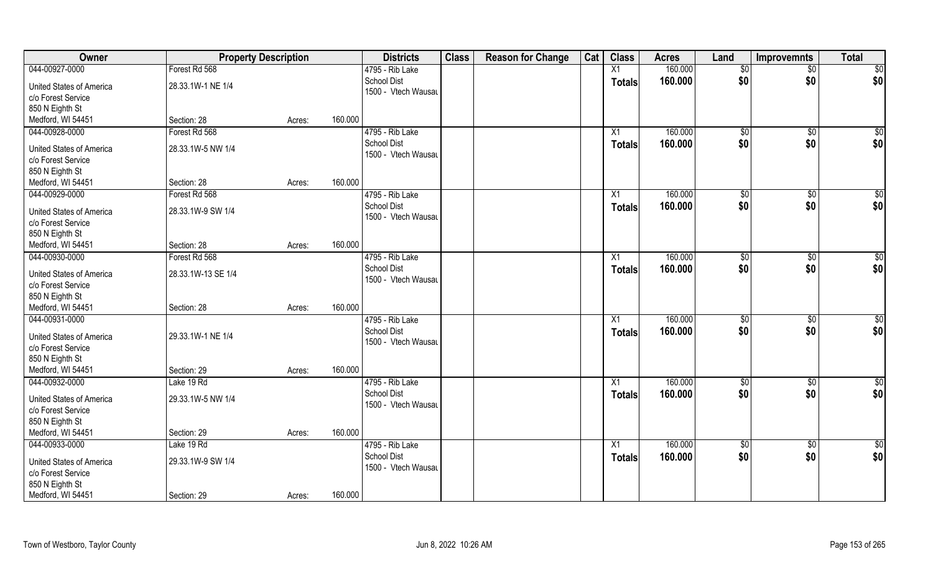| Owner                    |                    | <b>Property Description</b> |         | <b>Districts</b>                          | <b>Class</b> | <b>Reason for Change</b> | Cat | <b>Class</b>  | <b>Acres</b> | Land            | <b>Improvemnts</b> | <b>Total</b>    |
|--------------------------|--------------------|-----------------------------|---------|-------------------------------------------|--------------|--------------------------|-----|---------------|--------------|-----------------|--------------------|-----------------|
| 044-00927-0000           | Forest Rd 568      |                             |         | 4795 - Rib Lake                           |              |                          |     | X1            | 160.000      | $\overline{50}$ | $\overline{50}$    | \$0             |
| United States of America | 28.33.1W-1 NE 1/4  |                             |         | <b>School Dist</b><br>1500 - Vtech Wausau |              |                          |     | <b>Totals</b> | 160,000      | \$0             | \$0                | \$0             |
| c/o Forest Service       |                    |                             |         |                                           |              |                          |     |               |              |                 |                    |                 |
| 850 N Eighth St          |                    |                             |         |                                           |              |                          |     |               |              |                 |                    |                 |
| Medford, WI 54451        | Section: 28        | Acres:                      | 160.000 |                                           |              |                          |     |               |              |                 |                    |                 |
| 044-00928-0000           | Forest Rd 568      |                             |         | 4795 - Rib Lake                           |              |                          |     | X1            | 160.000      | \$0             | \$0                | \$0             |
| United States of America | 28.33.1W-5 NW 1/4  |                             |         | <b>School Dist</b>                        |              |                          |     | <b>Totals</b> | 160.000      | \$0             | \$0                | \$0             |
| c/o Forest Service       |                    |                             |         | 1500 - Vtech Wausau                       |              |                          |     |               |              |                 |                    |                 |
| 850 N Eighth St          |                    |                             |         |                                           |              |                          |     |               |              |                 |                    |                 |
| Medford, WI 54451        | Section: 28        | Acres:                      | 160.000 |                                           |              |                          |     |               |              |                 |                    |                 |
| 044-00929-0000           | Forest Rd 568      |                             |         | 4795 - Rib Lake                           |              |                          |     | X1            | 160.000      | $\sqrt[6]{3}$   | $\sqrt[6]{3}$      | \$0             |
| United States of America | 28.33.1W-9 SW 1/4  |                             |         | <b>School Dist</b><br>1500 - Vtech Wausau |              |                          |     | <b>Totals</b> | 160.000      | \$0             | \$0                | \$0             |
| c/o Forest Service       |                    |                             |         |                                           |              |                          |     |               |              |                 |                    |                 |
| 850 N Eighth St          |                    |                             |         |                                           |              |                          |     |               |              |                 |                    |                 |
| Medford, WI 54451        | Section: 28        | Acres:                      | 160.000 |                                           |              |                          |     |               |              |                 |                    |                 |
| 044-00930-0000           | Forest Rd 568      |                             |         | 4795 - Rib Lake                           |              |                          |     | X1            | 160.000      | $\sqrt[6]{3}$   | \$0                | \$0             |
| United States of America | 28.33.1W-13 SE 1/4 |                             |         | <b>School Dist</b>                        |              |                          |     | <b>Totals</b> | 160.000      | \$0             | \$0                | \$0             |
| c/o Forest Service       |                    |                             |         | 1500 - Vtech Wausau                       |              |                          |     |               |              |                 |                    |                 |
| 850 N Eighth St          |                    |                             |         |                                           |              |                          |     |               |              |                 |                    |                 |
| Medford, WI 54451        | Section: 28        | Acres:                      | 160.000 |                                           |              |                          |     |               |              |                 |                    |                 |
| 044-00931-0000           |                    |                             |         | 4795 - Rib Lake                           |              |                          |     | X1            | 160.000      | \$0             | \$0                | \$0             |
|                          |                    |                             |         | <b>School Dist</b>                        |              |                          |     | <b>Totals</b> | 160.000      | \$0             | \$0                | \$0             |
| United States of America | 29.33.1W-1 NE 1/4  |                             |         | 1500 - Vtech Wausau                       |              |                          |     |               |              |                 |                    |                 |
| c/o Forest Service       |                    |                             |         |                                           |              |                          |     |               |              |                 |                    |                 |
| 850 N Eighth St          |                    |                             |         |                                           |              |                          |     |               |              |                 |                    |                 |
| Medford, WI 54451        | Section: 29        | Acres:                      | 160.000 |                                           |              |                          |     |               |              |                 |                    |                 |
| 044-00932-0000           | Lake 19 Rd         |                             |         | 4795 - Rib Lake                           |              |                          |     | X1            | 160.000      | $\overline{60}$ | \$0                | $\overline{50}$ |
| United States of America | 29.33.1W-5 NW 1/4  |                             |         | <b>School Dist</b>                        |              |                          |     | <b>Totals</b> | 160.000      | \$0             | \$0                | \$0             |
| c/o Forest Service       |                    |                             |         | 1500 - Vtech Wausau                       |              |                          |     |               |              |                 |                    |                 |
| 850 N Eighth St          |                    |                             |         |                                           |              |                          |     |               |              |                 |                    |                 |
| Medford, WI 54451        | Section: 29        | Acres:                      | 160.000 |                                           |              |                          |     |               |              |                 |                    |                 |
| 044-00933-0000           | Lake 19 Rd         |                             |         | 4795 - Rib Lake                           |              |                          |     | X1            | 160.000      | $\overline{50}$ | $\sqrt{$0}$        | \$0             |
| United States of America | 29.33.1W-9 SW 1/4  |                             |         | <b>School Dist</b>                        |              |                          |     | <b>Totals</b> | 160.000      | \$0             | \$0                | \$0             |
| c/o Forest Service       |                    |                             |         | 1500 - Vtech Wausau                       |              |                          |     |               |              |                 |                    |                 |
| 850 N Eighth St          |                    |                             |         |                                           |              |                          |     |               |              |                 |                    |                 |
| Medford, WI 54451        | Section: 29        |                             | 160.000 |                                           |              |                          |     |               |              |                 |                    |                 |
|                          |                    | Acres:                      |         |                                           |              |                          |     |               |              |                 |                    |                 |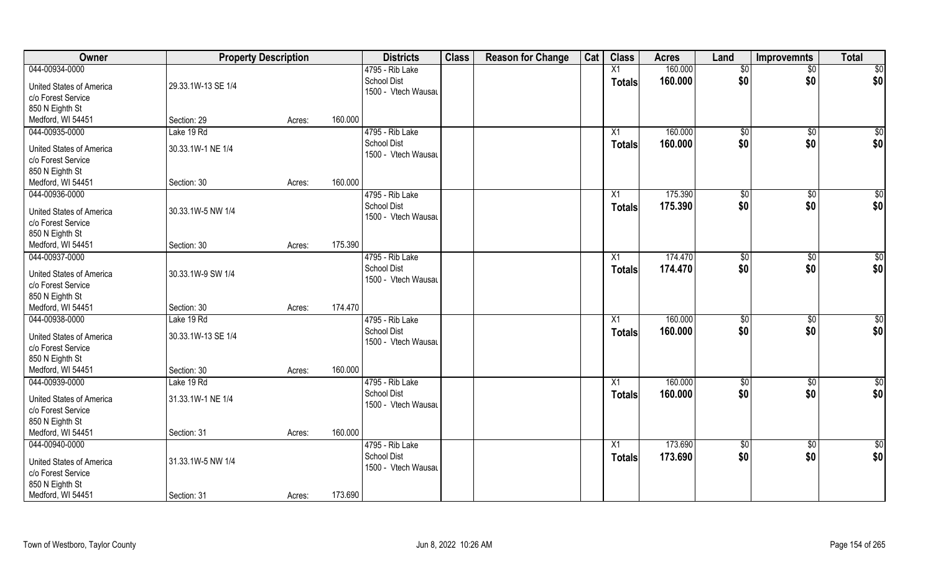| Owner                           | <b>Property Description</b> |        |         | <b>Districts</b>                          | <b>Class</b> | <b>Reason for Change</b> | Cat | <b>Class</b>    | <b>Acres</b> | Land        | <b>Improvemnts</b> | <b>Total</b>    |
|---------------------------------|-----------------------------|--------|---------|-------------------------------------------|--------------|--------------------------|-----|-----------------|--------------|-------------|--------------------|-----------------|
| 044-00934-0000                  |                             |        |         | 4795 - Rib Lake                           |              |                          |     | X1              | 160.000      | \$0         | $\sqrt{$0}$        | \$0             |
| <b>United States of America</b> | 29.33.1W-13 SE 1/4          |        |         | <b>School Dist</b><br>1500 - Vtech Wausau |              |                          |     | <b>Totals</b>   | 160.000      | \$0         | \$0                | \$0             |
| c/o Forest Service              |                             |        |         |                                           |              |                          |     |                 |              |             |                    |                 |
| 850 N Eighth St                 |                             |        |         |                                           |              |                          |     |                 |              |             |                    |                 |
| Medford, WI 54451               | Section: 29                 | Acres: | 160.000 |                                           |              |                          |     |                 |              |             |                    |                 |
| 044-00935-0000                  | Lake 19 Rd                  |        |         | 4795 - Rib Lake<br><b>School Dist</b>     |              |                          |     | X1              | 160.000      | \$0         | $\sqrt[6]{}$       | $\sqrt{50}$     |
| <b>United States of America</b> | 30.33.1W-1 NE 1/4           |        |         | 1500 - Vtech Wausau                       |              |                          |     | Totals          | 160.000      | \$0         | \$0                | \$0             |
| c/o Forest Service              |                             |        |         |                                           |              |                          |     |                 |              |             |                    |                 |
| 850 N Eighth St                 |                             |        |         |                                           |              |                          |     |                 |              |             |                    |                 |
| Medford, WI 54451               | Section: 30                 | Acres: | 160.000 |                                           |              |                          |     |                 |              |             |                    |                 |
| 044-00936-0000                  |                             |        |         | 4795 - Rib Lake                           |              |                          |     | X1              | 175.390      | \$0         | $\overline{50}$    | $\sqrt{50}$     |
| <b>United States of America</b> | 30.33.1W-5 NW 1/4           |        |         | <b>School Dist</b>                        |              |                          |     | <b>Totals</b>   | 175.390      | \$0         | \$0                | \$0             |
| c/o Forest Service              |                             |        |         | 1500 - Vtech Wausau                       |              |                          |     |                 |              |             |                    |                 |
| 850 N Eighth St                 |                             |        |         |                                           |              |                          |     |                 |              |             |                    |                 |
| Medford, WI 54451               | Section: 30                 | Acres: | 175.390 |                                           |              |                          |     |                 |              |             |                    |                 |
| 044-00937-0000                  |                             |        |         | 4795 - Rib Lake                           |              |                          |     | X1              | 174.470      | \$0         | $\sqrt[6]{3}$      | $\sqrt{50}$     |
| <b>United States of America</b> | 30.33.1W-9 SW 1/4           |        |         | <b>School Dist</b>                        |              |                          |     | <b>Totals</b>   | 174.470      | \$0         | \$0                | \$0             |
| c/o Forest Service              |                             |        |         | 1500 - Vtech Wausau                       |              |                          |     |                 |              |             |                    |                 |
| 850 N Eighth St                 |                             |        |         |                                           |              |                          |     |                 |              |             |                    |                 |
| Medford, WI 54451               | Section: 30                 | Acres: | 174.470 |                                           |              |                          |     |                 |              |             |                    |                 |
| 044-00938-0000                  | Lake 19 Rd                  |        |         | 4795 - Rib Lake                           |              |                          |     | X1              | 160.000      | \$0         | $\overline{50}$    | $\overline{50}$ |
|                                 |                             |        |         | <b>School Dist</b>                        |              |                          |     | <b>Totals</b>   | 160.000      | \$0         | \$0                | \$0             |
| <b>United States of America</b> | 30.33.1W-13 SE 1/4          |        |         | 1500 - Vtech Wausau                       |              |                          |     |                 |              |             |                    |                 |
| c/o Forest Service              |                             |        |         |                                           |              |                          |     |                 |              |             |                    |                 |
| 850 N Eighth St                 |                             |        |         |                                           |              |                          |     |                 |              |             |                    |                 |
| Medford, WI 54451               | Section: 30                 | Acres: | 160.000 |                                           |              |                          |     |                 |              |             |                    |                 |
| 044-00939-0000                  | Lake 19 Rd                  |        |         | 4795 - Rib Lake                           |              |                          |     | X1              | 160.000      | \$0         | $\sqrt{$0}$        | \$0             |
| <b>United States of America</b> | 31.33.1W-1 NE 1/4           |        |         | <b>School Dist</b>                        |              |                          |     | Totals          | 160.000      | \$0         | \$0                | \$0             |
| c/o Forest Service              |                             |        |         | 1500 - Vtech Wausau                       |              |                          |     |                 |              |             |                    |                 |
| 850 N Eighth St                 |                             |        |         |                                           |              |                          |     |                 |              |             |                    |                 |
| Medford, WI 54451               | Section: 31                 | Acres: | 160.000 |                                           |              |                          |     |                 |              |             |                    |                 |
| 044-00940-0000                  |                             |        |         | 4795 - Rib Lake                           |              |                          |     | $\overline{X1}$ | 173.690      | $\sqrt{50}$ | $\overline{60}$    | \$0             |
|                                 |                             |        |         | <b>School Dist</b>                        |              |                          |     | <b>Totals</b>   | 173.690      | \$0         | \$0                | \$0             |
| United States of America        | 31.33.1W-5 NW 1/4           |        |         | 1500 - Vtech Wausau                       |              |                          |     |                 |              |             |                    |                 |
| c/o Forest Service              |                             |        |         |                                           |              |                          |     |                 |              |             |                    |                 |
| 850 N Eighth St                 |                             |        |         |                                           |              |                          |     |                 |              |             |                    |                 |
| Medford, WI 54451               | Section: 31                 | Acres: | 173.690 |                                           |              |                          |     |                 |              |             |                    |                 |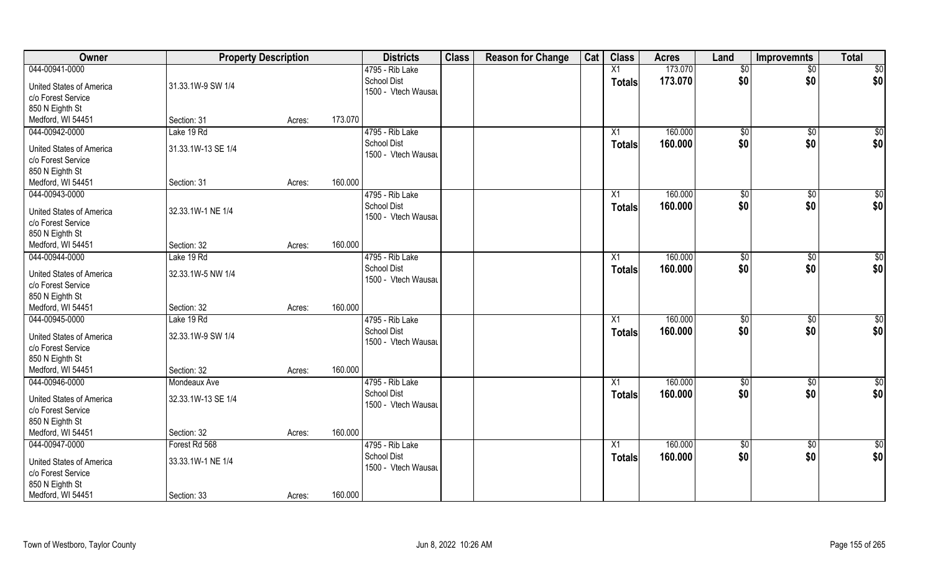| Owner                           | <b>Property Description</b> |        |         | <b>Districts</b>                          | <b>Class</b> | <b>Reason for Change</b> | Cat | <b>Class</b>    | <b>Acres</b> | Land        | <b>Improvemnts</b> | <b>Total</b>    |
|---------------------------------|-----------------------------|--------|---------|-------------------------------------------|--------------|--------------------------|-----|-----------------|--------------|-------------|--------------------|-----------------|
| 044-00941-0000                  |                             |        |         | 4795 - Rib Lake                           |              |                          |     | X1              | 173.070      | \$0         | $\overline{50}$    | $\sqrt{50}$     |
| <b>United States of America</b> | 31.33.1W-9 SW 1/4           |        |         | <b>School Dist</b><br>1500 - Vtech Wausau |              |                          |     | <b>Totals</b>   | 173.070      | \$0         | \$0                | \$0             |
| c/o Forest Service              |                             |        |         |                                           |              |                          |     |                 |              |             |                    |                 |
| 850 N Eighth St                 |                             |        |         |                                           |              |                          |     |                 |              |             |                    |                 |
| Medford, WI 54451               | Section: 31                 | Acres: | 173.070 |                                           |              |                          |     |                 |              |             |                    |                 |
| 044-00942-0000                  | Lake 19 Rd                  |        |         | 4795 - Rib Lake<br><b>School Dist</b>     |              |                          |     | X1              | 160.000      | $\sqrt{50}$ | \$0                | \$0             |
| <b>United States of America</b> | 31.33.1W-13 SE 1/4          |        |         |                                           |              |                          |     | Totals          | 160.000      | \$0         | \$0                | \$0             |
| c/o Forest Service              |                             |        |         | 1500 - Vtech Wausau                       |              |                          |     |                 |              |             |                    |                 |
| 850 N Eighth St                 |                             |        |         |                                           |              |                          |     |                 |              |             |                    |                 |
| Medford, WI 54451               | Section: 31                 | Acres: | 160.000 |                                           |              |                          |     |                 |              |             |                    |                 |
| 044-00943-0000                  |                             |        |         | 4795 - Rib Lake                           |              |                          |     | X1              | 160.000      | \$0         | $\sqrt[6]{3}$      | \$0             |
| United States of America        | 32.33.1W-1 NE 1/4           |        |         | <b>School Dist</b>                        |              |                          |     | <b>Totals</b>   | 160.000      | \$0         | \$0                | \$0             |
| c/o Forest Service              |                             |        |         | 1500 - Vtech Wausau                       |              |                          |     |                 |              |             |                    |                 |
| 850 N Eighth St                 |                             |        |         |                                           |              |                          |     |                 |              |             |                    |                 |
| Medford, WI 54451               | Section: 32                 | Acres: | 160.000 |                                           |              |                          |     |                 |              |             |                    |                 |
| 044-00944-0000                  | Lake 19 Rd                  |        |         | 4795 - Rib Lake                           |              |                          |     | X1              | 160.000      | \$0         | $\sqrt[6]{3}$      | \$0             |
| <b>United States of America</b> | 32.33.1W-5 NW 1/4           |        |         | <b>School Dist</b>                        |              |                          |     | Totals          | 160.000      | \$0         | \$0                | \$0             |
| c/o Forest Service              |                             |        |         | 1500 - Vtech Wausau                       |              |                          |     |                 |              |             |                    |                 |
| 850 N Eighth St                 |                             |        |         |                                           |              |                          |     |                 |              |             |                    |                 |
| Medford, WI 54451               | Section: 32                 | Acres: | 160.000 |                                           |              |                          |     |                 |              |             |                    |                 |
| 044-00945-0000                  | Lake 19 Rd                  |        |         | 4795 - Rib Lake                           |              |                          |     | $\overline{X1}$ | 160.000      | $\sqrt{50}$ | \$0                | $\overline{50}$ |
|                                 |                             |        |         | <b>School Dist</b>                        |              |                          |     | <b>Totals</b>   | 160.000      | \$0         | \$0                | \$0             |
| <b>United States of America</b> | 32.33.1W-9 SW 1/4           |        |         | 1500 - Vtech Wausau                       |              |                          |     |                 |              |             |                    |                 |
| c/o Forest Service              |                             |        |         |                                           |              |                          |     |                 |              |             |                    |                 |
| 850 N Eighth St                 |                             |        |         |                                           |              |                          |     |                 |              |             |                    |                 |
| Medford, WI 54451               | Section: 32                 | Acres: | 160.000 |                                           |              |                          |     |                 |              |             |                    |                 |
| 044-00946-0000                  | Mondeaux Ave                |        |         | 4795 - Rib Lake                           |              |                          |     | $\overline{X1}$ | 160.000      | \$0         | $\sqrt{$0}$        | \$0             |
| <b>United States of America</b> | 32.33.1W-13 SE 1/4          |        |         | <b>School Dist</b>                        |              |                          |     | <b>Totals</b>   | 160.000      | \$0         | \$0                | \$0             |
| c/o Forest Service              |                             |        |         | 1500 - Vtech Wausau                       |              |                          |     |                 |              |             |                    |                 |
| 850 N Eighth St                 |                             |        |         |                                           |              |                          |     |                 |              |             |                    |                 |
| Medford, WI 54451               | Section: 32                 | Acres: | 160.000 |                                           |              |                          |     |                 |              |             |                    |                 |
| 044-00947-0000                  | Forest Rd 568               |        |         | 4795 - Rib Lake                           |              |                          |     | $\overline{X1}$ | 160.000      | $\sqrt{50}$ | $\overline{60}$    | \$0             |
|                                 |                             |        |         | <b>School Dist</b>                        |              |                          |     | <b>Totals</b>   | 160.000      | \$0         | \$0                | \$0             |
| United States of America        | 33.33.1W-1 NE 1/4           |        |         | 1500 - Vtech Wausau                       |              |                          |     |                 |              |             |                    |                 |
| c/o Forest Service              |                             |        |         |                                           |              |                          |     |                 |              |             |                    |                 |
| 850 N Eighth St                 |                             |        |         |                                           |              |                          |     |                 |              |             |                    |                 |
| Medford, WI 54451               | Section: 33                 | Acres: | 160.000 |                                           |              |                          |     |                 |              |             |                    |                 |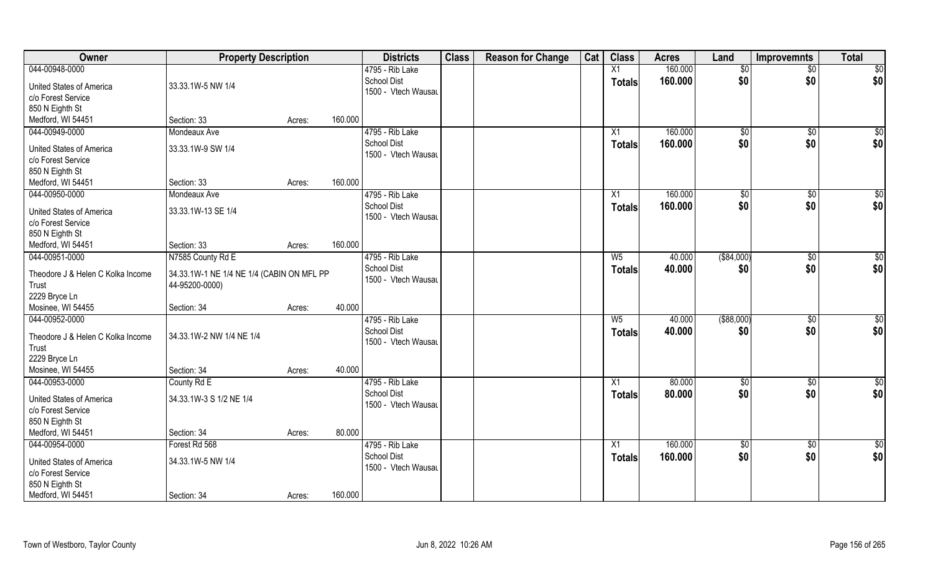| Owner                                                 | <b>Property Description</b>                                 |        |         | <b>Districts</b>                          | <b>Class</b> | <b>Reason for Change</b> | Cat | <b>Class</b>    | <b>Acres</b> | Land            | <b>Improvemnts</b> | <b>Total</b>    |
|-------------------------------------------------------|-------------------------------------------------------------|--------|---------|-------------------------------------------|--------------|--------------------------|-----|-----------------|--------------|-----------------|--------------------|-----------------|
| 044-00948-0000                                        |                                                             |        |         | 4795 - Rib Lake                           |              |                          |     | X1              | 160.000      | \$0             | $\sqrt{$0}$        | \$0             |
| <b>United States of America</b><br>c/o Forest Service | 33.33.1W-5 NW 1/4                                           |        |         | <b>School Dist</b><br>1500 - Vtech Wausau |              |                          |     | <b>Totals</b>   | 160.000      | \$0             | \$0                | \$0             |
| 850 N Eighth St                                       |                                                             |        |         |                                           |              |                          |     |                 |              |                 |                    |                 |
| Medford, WI 54451                                     | Section: 33                                                 |        | 160.000 |                                           |              |                          |     |                 |              |                 |                    |                 |
|                                                       |                                                             | Acres: |         |                                           |              |                          |     |                 |              |                 |                    |                 |
| 044-00949-0000                                        | Mondeaux Ave                                                |        |         | 4795 - Rib Lake                           |              |                          |     | $\overline{X1}$ | 160.000      | $\sqrt[6]{}$    | $\sqrt{$0}$        | $\sqrt{50}$     |
| <b>United States of America</b>                       | 33.33.1W-9 SW 1/4                                           |        |         | <b>School Dist</b>                        |              |                          |     | Totals          | 160.000      | \$0             | \$0                | \$0             |
| c/o Forest Service                                    |                                                             |        |         | 1500 - Vtech Wausau                       |              |                          |     |                 |              |                 |                    |                 |
| 850 N Eighth St                                       |                                                             |        |         |                                           |              |                          |     |                 |              |                 |                    |                 |
| Medford, WI 54451                                     | Section: 33                                                 | Acres: | 160.000 |                                           |              |                          |     |                 |              |                 |                    |                 |
| 044-00950-0000                                        | Mondeaux Ave                                                |        |         | 4795 - Rib Lake                           |              |                          |     | X1              | 160.000      | \$0             | $\sqrt[6]{3}$      | \$0             |
|                                                       |                                                             |        |         | <b>School Dist</b>                        |              |                          |     | <b>Totals</b>   | 160.000      | \$0             | \$0                | \$0             |
| <b>United States of America</b>                       | 33.33.1W-13 SE 1/4                                          |        |         | 1500 - Vtech Wausau                       |              |                          |     |                 |              |                 |                    |                 |
| c/o Forest Service                                    |                                                             |        |         |                                           |              |                          |     |                 |              |                 |                    |                 |
| 850 N Eighth St                                       |                                                             |        |         |                                           |              |                          |     |                 |              |                 |                    |                 |
| Medford, WI 54451                                     | Section: 33                                                 | Acres: | 160.000 |                                           |              |                          |     |                 |              |                 |                    |                 |
| 044-00951-0000                                        | N7585 County Rd E                                           |        |         | 4795 - Rib Lake                           |              |                          |     | W <sub>5</sub>  | 40.000       | ( \$84,000)     | $\sqrt[6]{3}$      | $\overline{50}$ |
| Theodore J & Helen C Kolka Income<br>Trust            | 34.33.1W-1 NE 1/4 NE 1/4 (CABIN ON MFL PP<br>44-95200-0000) |        |         | <b>School Dist</b><br>1500 - Vtech Wausau |              |                          |     | <b>Totals</b>   | 40.000       | \$0             | \$0                | \$0             |
| 2229 Bryce Ln                                         |                                                             |        |         |                                           |              |                          |     |                 |              |                 |                    |                 |
| Mosinee, WI 54455                                     | Section: 34                                                 | Acres: | 40.000  |                                           |              |                          |     |                 |              |                 |                    |                 |
| 044-00952-0000                                        |                                                             |        |         | 4795 - Rib Lake                           |              |                          |     | $W_5$           | 40.000       | $($ \$88,000)   | \$0                | \$0             |
| Theodore J & Helen C Kolka Income                     | 34.33.1W-2 NW 1/4 NE 1/4                                    |        |         | <b>School Dist</b>                        |              |                          |     | <b>Totals</b>   | 40.000       | \$0             | \$0                | \$0             |
| Trust                                                 |                                                             |        |         | 1500 - Vtech Wausau                       |              |                          |     |                 |              |                 |                    |                 |
| 2229 Bryce Ln                                         |                                                             |        |         |                                           |              |                          |     |                 |              |                 |                    |                 |
| Mosinee, WI 54455                                     | Section: 34                                                 | Acres: | 40.000  |                                           |              |                          |     |                 |              |                 |                    |                 |
| 044-00953-0000                                        |                                                             |        |         |                                           |              |                          |     |                 |              |                 |                    |                 |
|                                                       | County Rd E                                                 |        |         | 4795 - Rib Lake                           |              |                          |     | X1              | 80.000       | \$0             | \$0                | \$0             |
| <b>United States of America</b>                       | 34.33.1W-3 S 1/2 NE 1/4                                     |        |         | <b>School Dist</b>                        |              |                          |     | <b>Totals</b>   | 80.000       | \$0             | \$0                | \$0             |
| c/o Forest Service                                    |                                                             |        |         | 1500 - Vtech Wausau                       |              |                          |     |                 |              |                 |                    |                 |
| 850 N Eighth St                                       |                                                             |        |         |                                           |              |                          |     |                 |              |                 |                    |                 |
| Medford, WI 54451                                     | Section: 34                                                 | Acres: | 80.000  |                                           |              |                          |     |                 |              |                 |                    |                 |
| 044-00954-0000                                        | Forest Rd 568                                               |        |         | 4795 - Rib Lake                           |              |                          |     | X1              | 160.000      | $\overline{50}$ | $\sqrt{$0}$        | $\overline{50}$ |
|                                                       |                                                             |        |         | <b>School Dist</b>                        |              |                          |     | <b>Totals</b>   | 160.000      | \$0             | \$0                | \$0             |
| <b>United States of America</b>                       | 34.33.1W-5 NW 1/4                                           |        |         | 1500 - Vtech Wausau                       |              |                          |     |                 |              |                 |                    |                 |
| c/o Forest Service                                    |                                                             |        |         |                                           |              |                          |     |                 |              |                 |                    |                 |
| 850 N Eighth St                                       |                                                             |        |         |                                           |              |                          |     |                 |              |                 |                    |                 |
| Medford, WI 54451                                     | Section: 34                                                 | Acres: | 160.000 |                                           |              |                          |     |                 |              |                 |                    |                 |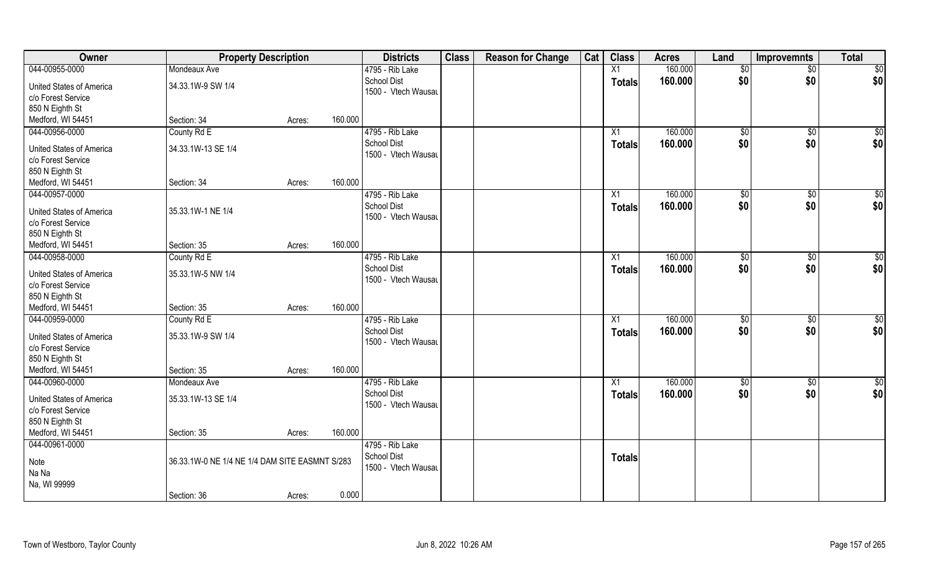| Owner                                                                    | <b>Property Description</b>                    |        |         | <b>Districts</b>                          | <b>Class</b> | <b>Reason for Change</b> | Cat | <b>Class</b>    | <b>Acres</b> | Land          | <b>Improvemnts</b> | <b>Total</b>    |
|--------------------------------------------------------------------------|------------------------------------------------|--------|---------|-------------------------------------------|--------------|--------------------------|-----|-----------------|--------------|---------------|--------------------|-----------------|
| 044-00955-0000                                                           | Mondeaux Ave                                   |        |         | 4795 - Rib Lake                           |              |                          |     | $\overline{X1}$ | 160.000      | \$0           | $\overline{50}$    | \$0             |
| <b>United States of America</b><br>c/o Forest Service                    | 34.33.1W-9 SW 1/4                              |        |         | <b>School Dist</b><br>1500 - Vtech Wausau |              |                          |     | <b>Totals</b>   | 160.000      | \$0           | \$0                | \$0             |
| 850 N Eighth St                                                          |                                                |        |         |                                           |              |                          |     |                 |              |               |                    |                 |
| Medford, WI 54451                                                        | Section: 34                                    | Acres: | 160.000 |                                           |              |                          |     |                 |              |               |                    |                 |
| 044-00956-0000                                                           | County Rd E                                    |        |         | 4795 - Rib Lake                           |              |                          |     | $\overline{X1}$ | 160.000      | $\sqrt{6}$    | $\sqrt{6}$         | $\sqrt{50}$     |
| <b>United States of America</b>                                          | 34.33.1W-13 SE 1/4                             |        |         | <b>School Dist</b>                        |              |                          |     | Totals          | 160.000      | \$0           | \$0                | \$0             |
| c/o Forest Service                                                       |                                                |        |         | 1500 - Vtech Wausau                       |              |                          |     |                 |              |               |                    |                 |
| 850 N Eighth St                                                          |                                                |        |         |                                           |              |                          |     |                 |              |               |                    |                 |
| Medford, WI 54451                                                        | Section: 34                                    | Acres: | 160.000 |                                           |              |                          |     |                 |              |               |                    |                 |
| 044-00957-0000                                                           |                                                |        |         | 4795 - Rib Lake                           |              |                          |     | X1              | 160.000      | \$0           | $\sqrt[6]{3}$      | \$0             |
|                                                                          |                                                |        |         | <b>School Dist</b>                        |              |                          |     | <b>Totals</b>   | 160.000      | \$0           | \$0                | \$0             |
| <b>United States of America</b><br>c/o Forest Service                    | 35.33.1W-1 NE 1/4                              |        |         | 1500 - Vtech Wausau                       |              |                          |     |                 |              |               |                    |                 |
| 850 N Eighth St                                                          |                                                |        |         |                                           |              |                          |     |                 |              |               |                    |                 |
| Medford, WI 54451                                                        | Section: 35                                    | Acres: | 160.000 |                                           |              |                          |     |                 |              |               |                    |                 |
| 044-00958-0000                                                           | County Rd E                                    |        |         | 4795 - Rib Lake                           |              |                          |     | X1              | 160.000      | $\sqrt[6]{3}$ | $\sqrt[6]{3}$      | $\overline{50}$ |
|                                                                          |                                                |        |         | School Dist                               |              |                          |     | <b>Totals</b>   | 160.000      | \$0           | \$0                | \$0             |
| <b>United States of America</b>                                          | 35.33.1W-5 NW 1/4                              |        |         | 1500 - Vtech Wausau                       |              |                          |     |                 |              |               |                    |                 |
| c/o Forest Service                                                       |                                                |        |         |                                           |              |                          |     |                 |              |               |                    |                 |
| 850 N Eighth St                                                          |                                                |        |         |                                           |              |                          |     |                 |              |               |                    |                 |
| Medford, WI 54451                                                        | Section: 35                                    | Acres: | 160.000 |                                           |              |                          |     |                 |              |               |                    |                 |
| 044-00959-0000                                                           | County Rd E                                    |        |         | 4795 - Rib Lake                           |              |                          |     | X1              | 160.000      | $\sqrt[6]{3}$ | $\sqrt[6]{3}$      | \$0             |
| <b>United States of America</b>                                          | 35.33.1W-9 SW 1/4                              |        |         | School Dist                               |              |                          |     | <b>Totals</b>   | 160.000      | \$0           | \$0                | \$0             |
| c/o Forest Service                                                       |                                                |        |         | 1500 - Vtech Wausau                       |              |                          |     |                 |              |               |                    |                 |
| 850 N Eighth St                                                          |                                                |        |         |                                           |              |                          |     |                 |              |               |                    |                 |
| Medford, WI 54451                                                        | Section: 35                                    | Acres: | 160.000 |                                           |              |                          |     |                 |              |               |                    |                 |
| 044-00960-0000                                                           | Mondeaux Ave                                   |        |         | 4795 - Rib Lake                           |              |                          |     | X1              | 160.000      | \$0           | \$0                | \$0             |
| <b>United States of America</b><br>c/o Forest Service<br>850 N Eighth St | 35.33.1W-13 SE 1/4                             |        |         | <b>School Dist</b><br>1500 - Vtech Wausau |              |                          |     | <b>Totals</b>   | 160.000      | \$0           | \$0                | \$0             |
| Medford, WI 54451                                                        | Section: 35                                    | Acres: | 160.000 |                                           |              |                          |     |                 |              |               |                    |                 |
| 044-00961-0000                                                           |                                                |        |         | 4795 - Rib Lake                           |              |                          |     |                 |              |               |                    |                 |
|                                                                          |                                                |        |         | School Dist                               |              |                          |     | <b>Totals</b>   |              |               |                    |                 |
| Note                                                                     | 36.33.1W-0 NE 1/4 NE 1/4 DAM SITE EASMNT S/283 |        |         | 1500 - Vtech Wausau                       |              |                          |     |                 |              |               |                    |                 |
| Na Na                                                                    |                                                |        |         |                                           |              |                          |     |                 |              |               |                    |                 |
| Na, WI 99999                                                             |                                                |        |         |                                           |              |                          |     |                 |              |               |                    |                 |
|                                                                          | Section: 36                                    | Acres: | 0.000   |                                           |              |                          |     |                 |              |               |                    |                 |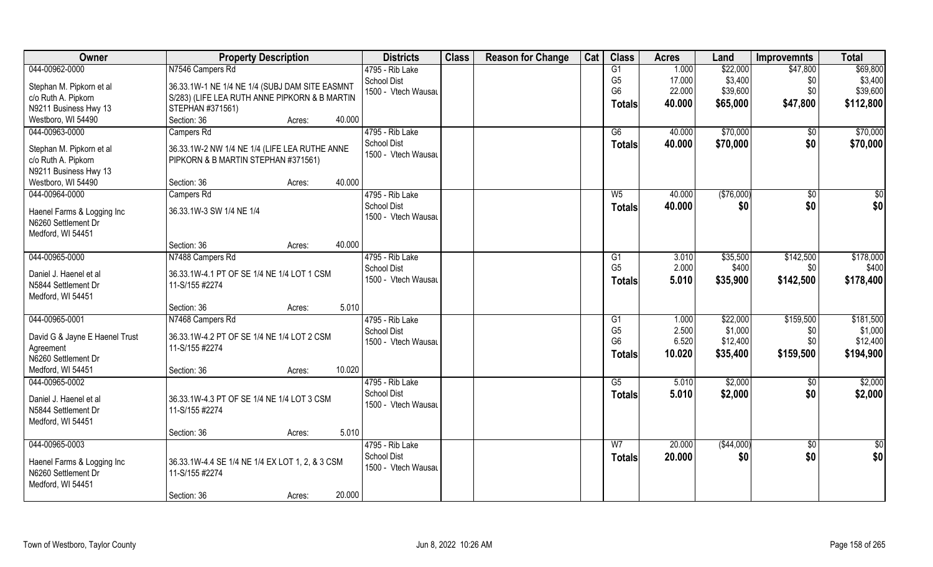| Owner                          | <b>Property Description</b>                     | <b>Districts</b>    | <b>Class</b> | <b>Reason for Change</b> | Cat | <b>Class</b>   | <b>Acres</b> | Land       | <b>Improvemnts</b> | <b>Total</b> |
|--------------------------------|-------------------------------------------------|---------------------|--------------|--------------------------|-----|----------------|--------------|------------|--------------------|--------------|
| 044-00962-0000                 | N7546 Campers Rd                                | 4795 - Rib Lake     |              |                          |     | G1             | 1.000        | \$22,000   | \$47,800           | \$69,800     |
| Stephan M. Pipkorn et al       | 36.33.1W-1 NE 1/4 NE 1/4 (SUBJ DAM SITE EASMNT  | School Dist         |              |                          |     | G <sub>5</sub> | 17.000       | \$3,400    | \$0                | \$3,400      |
| c/o Ruth A. Pipkorn            | S/283) (LIFE LEA RUTH ANNE PIPKORN & B MARTIN   | 1500 - Vtech Wausau |              |                          |     | G <sub>6</sub> | 22.000       | \$39,600   | \$0                | \$39,600     |
| N9211 Business Hwy 13          | STEPHAN #371561)                                |                     |              |                          |     | <b>Totals</b>  | 40.000       | \$65,000   | \$47,800           | \$112,800    |
| Westboro, WI 54490             | 40.000<br>Section: 36<br>Acres:                 |                     |              |                          |     |                |              |            |                    |              |
| 044-00963-0000                 | Campers Rd                                      | 4795 - Rib Lake     |              |                          |     | G6             | 40.000       | \$70,000   | $\sqrt{$0}$        | \$70,000     |
|                                |                                                 | <b>School Dist</b>  |              |                          |     |                | 40.000       | \$70,000   | \$0                |              |
| Stephan M. Pipkorn et al       | 36.33.1W-2 NW 1/4 NE 1/4 (LIFE LEA RUTHE ANNE   | 1500 - Vtech Wausau |              |                          |     | <b>Totals</b>  |              |            |                    | \$70,000     |
| c/o Ruth A. Pipkorn            | PIPKORN & B MARTIN STEPHAN #371561)             |                     |              |                          |     |                |              |            |                    |              |
| N9211 Business Hwy 13          |                                                 |                     |              |                          |     |                |              |            |                    |              |
| Westboro, WI 54490             | 40.000<br>Section: 36<br>Acres:                 |                     |              |                          |     |                |              |            |                    |              |
| 044-00964-0000                 | Campers Rd                                      | 4795 - Rib Lake     |              |                          |     | W <sub>5</sub> | 40.000       | (\$76,000) | $\overline{50}$    | \$0          |
|                                |                                                 | School Dist         |              |                          |     | <b>Totals</b>  | 40.000       | \$0        | \$0                | \$0          |
| Haenel Farms & Logging Inc     | 36.33.1W-3 SW 1/4 NE 1/4                        | 1500 - Vtech Wausau |              |                          |     |                |              |            |                    |              |
| N6260 Settlement Dr            |                                                 |                     |              |                          |     |                |              |            |                    |              |
| Medford, WI 54451              | 40.000                                          |                     |              |                          |     |                |              |            |                    |              |
|                                | Section: 36<br>Acres:                           |                     |              |                          |     |                |              |            |                    |              |
| 044-00965-0000                 | N7488 Campers Rd                                | 4795 - Rib Lake     |              |                          |     | G1             | 3.010        | \$35,500   | \$142,500          | \$178,000    |
| Daniel J. Haenel et al         | 36.33.1W-4.1 PT OF SE 1/4 NE 1/4 LOT 1 CSM      | School Dist         |              |                          |     | G <sub>5</sub> | 2.000        | \$400      | \$0                | \$400        |
| N5844 Settlement Dr            | 11-S/155 #2274                                  | 1500 - Vtech Wausau |              |                          |     | <b>Totals</b>  | 5.010        | \$35,900   | \$142,500          | \$178,400    |
| Medford, WI 54451              |                                                 |                     |              |                          |     |                |              |            |                    |              |
|                                | 5.010<br>Section: 36<br>Acres:                  |                     |              |                          |     |                |              |            |                    |              |
| 044-00965-0001                 | N7468 Campers Rd                                | 4795 - Rib Lake     |              |                          |     | G1             | 1.000        | \$22,000   | \$159,500          | \$181,500    |
|                                |                                                 | School Dist         |              |                          |     | G <sub>5</sub> | 2.500        | \$1,000    | \$0                | \$1,000      |
| David G & Jayne E Haenel Trust | 36.33.1W-4.2 PT OF SE 1/4 NE 1/4 LOT 2 CSM      | 1500 - Vtech Wausau |              |                          |     | G <sub>6</sub> | 6.520        | \$12,400   | \$0                | \$12,400     |
| Agreement                      | 11-S/155 #2274                                  |                     |              |                          |     | Totals         | 10.020       | \$35,400   | \$159,500          | \$194,900    |
| N6260 Settlement Dr            |                                                 |                     |              |                          |     |                |              |            |                    |              |
| Medford, WI 54451              | 10.020<br>Section: 36<br>Acres:                 |                     |              |                          |     |                |              |            |                    |              |
| 044-00965-0002                 |                                                 | 4795 - Rib Lake     |              |                          |     | G5             | 5.010        | \$2,000    | \$0                | \$2,000      |
| Daniel J. Haenel et al         | 36.33.1W-4.3 PT OF SE 1/4 NE 1/4 LOT 3 CSM      | School Dist         |              |                          |     | <b>Totals</b>  | 5.010        | \$2,000    | \$0                | \$2,000      |
| N5844 Settlement Dr            | 11-S/155 #2274                                  | 1500 - Vtech Wausau |              |                          |     |                |              |            |                    |              |
| Medford, WI 54451              |                                                 |                     |              |                          |     |                |              |            |                    |              |
|                                | 5.010<br>Section: 36<br>Acres:                  |                     |              |                          |     |                |              |            |                    |              |
| 044-00965-0003                 |                                                 | 4795 - Rib Lake     |              |                          |     | W <sub>7</sub> | 20.000       | (\$44,000) | $\sqrt{6}$         | \$0          |
|                                |                                                 | <b>School Dist</b>  |              |                          |     | <b>Totals</b>  | 20.000       | \$0        | \$0                | \$0          |
| Haenel Farms & Logging Inc     | 36.33.1W-4.4 SE 1/4 NE 1/4 EX LOT 1, 2, & 3 CSM | 1500 - Vtech Wausau |              |                          |     |                |              |            |                    |              |
| N6260 Settlement Dr            | 11-S/155 #2274                                  |                     |              |                          |     |                |              |            |                    |              |
| Medford, WI 54451              |                                                 |                     |              |                          |     |                |              |            |                    |              |
|                                | 20.000<br>Section: 36<br>Acres:                 |                     |              |                          |     |                |              |            |                    |              |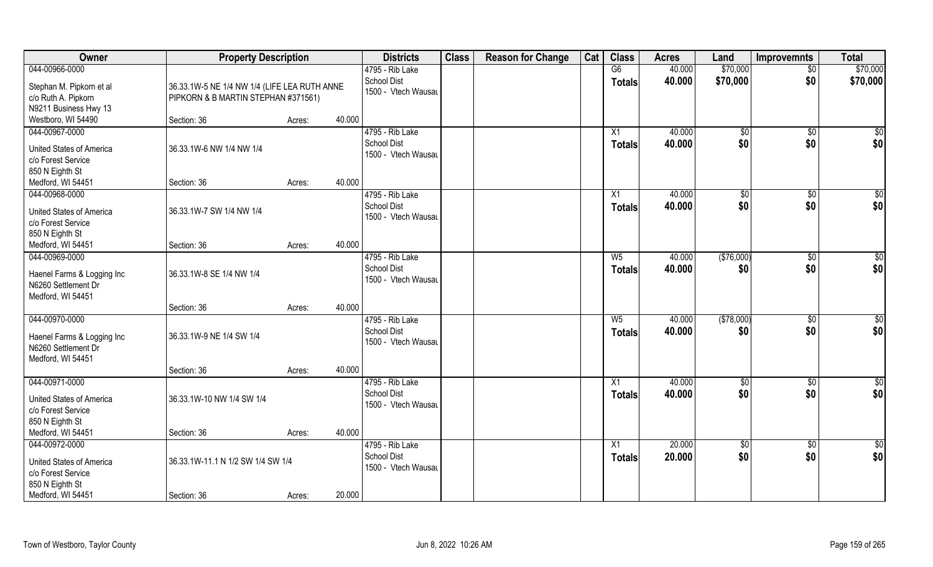| Owner                                    | <b>Property Description</b>                  |                  | <b>Districts</b>                          | <b>Class</b> | <b>Reason for Change</b> | Cat | <b>Class</b>   | <b>Acres</b> | Land         | <b>Improvemnts</b> | <b>Total</b>     |
|------------------------------------------|----------------------------------------------|------------------|-------------------------------------------|--------------|--------------------------|-----|----------------|--------------|--------------|--------------------|------------------|
| 044-00966-0000                           |                                              |                  | 4795 - Rib Lake                           |              |                          |     | G6             | 40.000       | \$70,000     | $\overline{50}$    | \$70,000         |
| Stephan M. Pipkorn et al                 | 36.33.1W-5 NE 1/4 NW 1/4 (LIFE LEA RUTH ANNE |                  | <b>School Dist</b><br>1500 - Vtech Wausau |              |                          |     | <b>Totals</b>  | 40.000       | \$70,000     | \$0                | \$70,000         |
| c/o Ruth A. Pipkorn                      | PIPKORN & B MARTIN STEPHAN #371561)          |                  |                                           |              |                          |     |                |              |              |                    |                  |
| N9211 Business Hwy 13                    |                                              |                  |                                           |              |                          |     |                |              |              |                    |                  |
| Westboro, WI 54490                       | Section: 36                                  | 40.000<br>Acres: |                                           |              |                          |     |                |              |              |                    |                  |
| 044-00967-0000                           |                                              |                  | 4795 - Rib Lake                           |              |                          |     | X1             | 40.000       | $\sqrt[6]{}$ | $\sqrt{$0}$        | $\overline{\$0}$ |
| United States of America                 | 36.33.1W-6 NW 1/4 NW 1/4                     |                  | <b>School Dist</b><br>1500 - Vtech Wausau |              |                          |     | <b>Totals</b>  | 40.000       | \$0          | \$0                | \$0              |
| c/o Forest Service                       |                                              |                  |                                           |              |                          |     |                |              |              |                    |                  |
| 850 N Eighth St                          |                                              |                  |                                           |              |                          |     |                |              |              |                    |                  |
| Medford, WI 54451                        | Section: 36                                  | Acres:           | 40.000                                    |              |                          |     |                |              |              |                    |                  |
| 044-00968-0000                           |                                              |                  | 4795 - Rib Lake                           |              |                          |     | X1             | 40.000       | \$0          | $\sqrt[6]{30}$     | \$0              |
| <b>United States of America</b>          | 36.33.1W-7 SW 1/4 NW 1/4                     |                  | <b>School Dist</b>                        |              |                          |     | <b>Totals</b>  | 40.000       | \$0          | \$0                | \$0              |
| c/o Forest Service                       |                                              |                  | 1500 - Vtech Wausau                       |              |                          |     |                |              |              |                    |                  |
| 850 N Eighth St                          |                                              |                  |                                           |              |                          |     |                |              |              |                    |                  |
| Medford, WI 54451                        | Section: 36                                  | 40.000<br>Acres: |                                           |              |                          |     |                |              |              |                    |                  |
| 044-00969-0000                           |                                              |                  | 4795 - Rib Lake                           |              |                          |     | W <sub>5</sub> | 40.000       | (\$76,000)   | $\sqrt[6]{3}$      | \$0              |
| Haenel Farms & Logging Inc               | 36.33.1W-8 SE 1/4 NW 1/4                     |                  | <b>School Dist</b>                        |              |                          |     | <b>Totals</b>  | 40.000       | \$0          | \$0                | \$0              |
| N6260 Settlement Dr                      |                                              |                  | 1500 - Vtech Wausau                       |              |                          |     |                |              |              |                    |                  |
| Medford, WI 54451                        |                                              |                  |                                           |              |                          |     |                |              |              |                    |                  |
|                                          | Section: 36                                  | Acres:           | 40.000                                    |              |                          |     |                |              |              |                    |                  |
| 044-00970-0000                           |                                              |                  | 4795 - Rib Lake                           |              |                          |     | $W_5$          | 40.000       | (\$78,000)   | $\sqrt[6]{3}$      | \$0              |
|                                          |                                              |                  | <b>School Dist</b>                        |              |                          |     | <b>Totals</b>  | 40.000       | \$0          | \$0                | \$0              |
| Haenel Farms & Logging Inc               | 36.33.1W-9 NE 1/4 SW 1/4                     |                  | 1500 - Vtech Wausau                       |              |                          |     |                |              |              |                    |                  |
| N6260 Settlement Dr<br>Medford, WI 54451 |                                              |                  |                                           |              |                          |     |                |              |              |                    |                  |
|                                          | Section: 36                                  | Acres:           | 40.000                                    |              |                          |     |                |              |              |                    |                  |
| 044-00971-0000                           |                                              |                  | 4795 - Rib Lake                           |              |                          |     | X1             | 40.000       | \$0          | \$0                | \$0              |
|                                          |                                              |                  | <b>School Dist</b>                        |              |                          |     | <b>Totals</b>  | 40.000       | \$0          | \$0                | \$0              |
| United States of America                 | 36.33.1W-10 NW 1/4 SW 1/4                    |                  | 1500 - Vtech Wausau                       |              |                          |     |                |              |              |                    |                  |
| c/o Forest Service                       |                                              |                  |                                           |              |                          |     |                |              |              |                    |                  |
| 850 N Eighth St                          |                                              |                  |                                           |              |                          |     |                |              |              |                    |                  |
| Medford, WI 54451                        | Section: 36                                  | Acres:           | 40.000                                    |              |                          |     |                |              |              |                    |                  |
| 044-00972-0000                           |                                              |                  | 4795 - Rib Lake                           |              |                          |     | X1             | 20.000       | $\sqrt{6}$   | $\sqrt{$0}$        | $\overline{50}$  |
| United States of America                 | 36.33.1W-11.1 N 1/2 SW 1/4 SW 1/4            |                  | <b>School Dist</b>                        |              |                          |     | <b>Totals</b>  | 20.000       | \$0          | \$0                | \$0              |
| c/o Forest Service                       |                                              |                  | 1500 - Vtech Wausau                       |              |                          |     |                |              |              |                    |                  |
| 850 N Eighth St                          |                                              |                  |                                           |              |                          |     |                |              |              |                    |                  |
| Medford, WI 54451                        | Section: 36                                  | Acres:           | 20.000                                    |              |                          |     |                |              |              |                    |                  |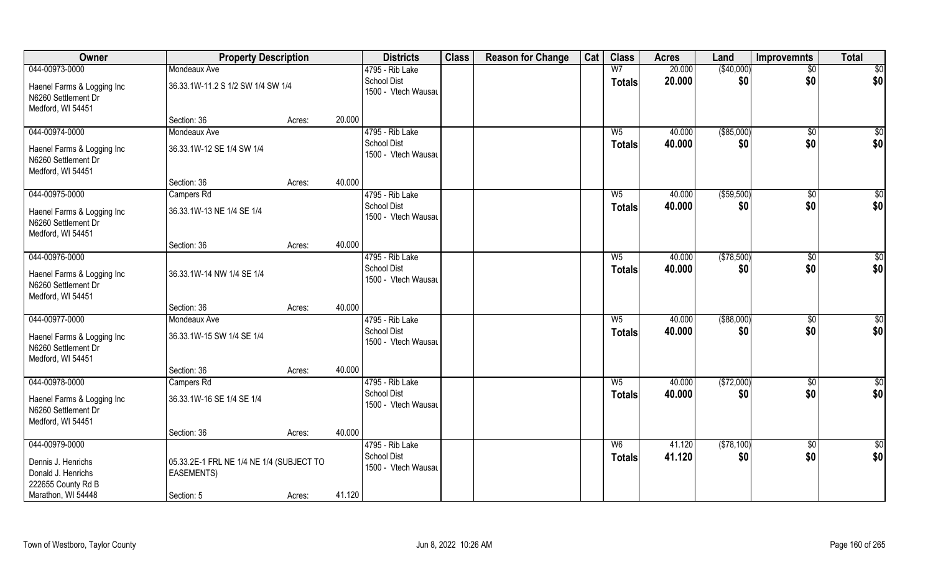| Owner                                                                  | <b>Property Description</b>              |        |        | <b>Districts</b>                                      | <b>Class</b> | <b>Reason for Change</b> | Cat | <b>Class</b>           | <b>Acres</b>     | Land              | <b>Improvemnts</b> | <b>Total</b>       |
|------------------------------------------------------------------------|------------------------------------------|--------|--------|-------------------------------------------------------|--------------|--------------------------|-----|------------------------|------------------|-------------------|--------------------|--------------------|
| 044-00973-0000                                                         | Mondeaux Ave                             |        |        | 4795 - Rib Lake                                       |              |                          |     | W <sub>7</sub>         | 20.000           | (\$40,000)        | $\sqrt{$0}$        | $\overline{50}$    |
| Haenel Farms & Logging Inc<br>N6260 Settlement Dr<br>Medford, WI 54451 | 36.33.1W-11.2 S 1/2 SW 1/4 SW 1/4        |        |        | <b>School Dist</b><br>1500 - Vtech Wausau             |              |                          |     | <b>Totals</b>          | 20.000           | \$0               | \$0                | \$0                |
|                                                                        | Section: 36                              | Acres: | 20.000 |                                                       |              |                          |     |                        |                  |                   |                    |                    |
| 044-00974-0000                                                         | Mondeaux Ave                             |        |        | 4795 - Rib Lake                                       |              |                          |     | $W_5$                  | 40.000           | ( \$85,000)       | \$0                | \$0                |
| Haenel Farms & Logging Inc<br>N6260 Settlement Dr<br>Medford, WI 54451 | 36.33.1W-12 SE 1/4 SW 1/4                |        |        | <b>School Dist</b><br>1500 - Vtech Wausau             |              |                          |     | Totals                 | 40.000           | \$0               | \$0                | \$0                |
|                                                                        | Section: 36                              | Acres: | 40.000 |                                                       |              |                          |     |                        |                  |                   |                    |                    |
| 044-00975-0000                                                         | Campers Rd                               |        |        | 4795 - Rib Lake                                       |              |                          |     | $W_5$                  | 40.000           | ( \$59,500)       | $\frac{1}{2}$      | \$0                |
| Haenel Farms & Logging Inc<br>N6260 Settlement Dr<br>Medford, WI 54451 | 36.33.1W-13 NE 1/4 SE 1/4                |        |        | <b>School Dist</b><br>1500 - Vtech Wausau             |              |                          |     | <b>Totals</b>          | 40.000           | \$0               | \$0                | \$0                |
|                                                                        | Section: 36                              | Acres: | 40.000 |                                                       |              |                          |     |                        |                  |                   |                    |                    |
| 044-00976-0000<br>Haenel Farms & Logging Inc<br>N6260 Settlement Dr    | 36.33.1W-14 NW 1/4 SE 1/4                |        |        | 4795 - Rib Lake<br>School Dist<br>1500 - Vtech Wausau |              |                          |     | $W_5$<br><b>Totals</b> | 40.000<br>40.000 | (\$78,500)<br>\$0 | \$0<br>\$0         | $\sqrt{50}$<br>\$0 |
| Medford, WI 54451                                                      |                                          |        |        |                                                       |              |                          |     |                        |                  |                   |                    |                    |
|                                                                        | Section: 36                              | Acres: | 40.000 |                                                       |              |                          |     |                        |                  |                   |                    |                    |
| 044-00977-0000                                                         | Mondeaux Ave                             |        |        | 4795 - Rib Lake                                       |              |                          |     | $W_5$                  | 40.000           | $($ \$88,000)     | $\overline{50}$    | $\overline{50}$    |
| Haenel Farms & Logging Inc<br>N6260 Settlement Dr<br>Medford, WI 54451 | 36.33.1W-15 SW 1/4 SE 1/4                |        |        | <b>School Dist</b><br>1500 - Vtech Wausau             |              |                          |     | <b>Totals</b>          | 40.000           | \$0               | \$0                | \$0                |
|                                                                        | Section: 36                              | Acres: | 40.000 |                                                       |              |                          |     |                        |                  |                   |                    |                    |
| 044-00978-0000                                                         | Campers Rd                               |        |        | 4795 - Rib Lake                                       |              |                          |     | $W_5$                  | 40.000           | (\$72,000)        | $\sqrt{$0}$        | \$0                |
| Haenel Farms & Logging Inc<br>N6260 Settlement Dr<br>Medford, WI 54451 | 36.33.1W-16 SE 1/4 SE 1/4                |        |        | School Dist<br>1500 - Vtech Wausau                    |              |                          |     | <b>Totals</b>          | 40.000           | \$0               | \$0                | \$0                |
|                                                                        | Section: 36                              | Acres: | 40.000 |                                                       |              |                          |     |                        |                  |                   |                    |                    |
| 044-00979-0000                                                         |                                          |        |        | 4795 - Rib Lake                                       |              |                          |     | W <sub>6</sub>         | 41.120           | (\$78,100)        | $\overline{60}$    | $\overline{50}$    |
| Dennis J. Henrichs                                                     | 05.33.2E-1 FRL NE 1/4 NE 1/4 (SUBJECT TO |        |        | <b>School Dist</b>                                    |              |                          |     | <b>Totals</b>          | 41.120           | \$0               | \$0                | \$0                |
| Donald J. Henrichs                                                     | <b>EASEMENTS)</b>                        |        |        | 1500 - Vtech Wausau                                   |              |                          |     |                        |                  |                   |                    |                    |
| 222655 County Rd B                                                     |                                          |        |        |                                                       |              |                          |     |                        |                  |                   |                    |                    |
| Marathon, WI 54448                                                     | Section: 5                               | Acres: | 41.120 |                                                       |              |                          |     |                        |                  |                   |                    |                    |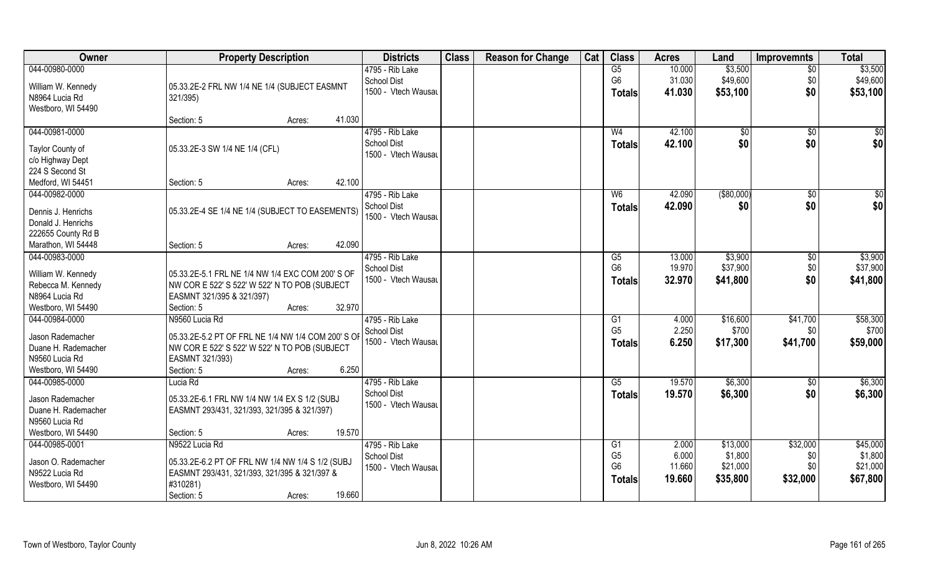| 044-00980-0000<br>\$3,500<br>\$3,500<br>G5<br>10.000<br>4795 - Rib Lake<br>$\overline{50}$<br>G <sub>6</sub><br>31.030<br>\$49,600<br>\$49,600<br>\$0<br><b>School Dist</b><br>William W. Kennedy<br>05.33.2E-2 FRL NW 1/4 NE 1/4 (SUBJECT EASMNT<br>\$0<br>1500 - Vtech Wausau<br>\$53,100<br>41.030<br>\$53,100<br><b>Totals</b><br>N8964 Lucia Rd<br>321/395)<br>Westboro, WI 54490<br>41.030<br>Section: 5<br>Acres:<br>044-00981-0000<br>42.100<br>4795 - Rib Lake<br>W <sub>4</sub><br>$\overline{50}$<br>\$0<br>\$0<br>\$0<br><b>School Dist</b><br>\$0<br>\$0<br>42.100<br>Totals<br>05.33.2E-3 SW 1/4 NE 1/4 (CFL)<br>Taylor County of<br>1500 - Vtech Wausau<br>c/o Highway Dept<br>224 S Second St<br>42.100<br>Medford, WI 54451<br>Section: 5<br>Acres:<br>$($ \$80,000)<br>$\overline{50}$<br>044-00982-0000<br>4795 - Rib Lake<br>42.090<br>\$0<br>W <sub>6</sub><br>\$0<br>\$0<br><b>School Dist</b><br>42.090<br>\$0<br><b>Totals</b><br>Dennis J. Henrichs<br>05.33.2E-4 SE 1/4 NE 1/4 (SUBJECT TO EASEMENTS)<br>1500 - Vtech Wausau<br>Donald J. Henrichs<br>222655 County Rd B<br>42.090 |
|--------------------------------------------------------------------------------------------------------------------------------------------------------------------------------------------------------------------------------------------------------------------------------------------------------------------------------------------------------------------------------------------------------------------------------------------------------------------------------------------------------------------------------------------------------------------------------------------------------------------------------------------------------------------------------------------------------------------------------------------------------------------------------------------------------------------------------------------------------------------------------------------------------------------------------------------------------------------------------------------------------------------------------------------------------------------------------------------------------------|
|                                                                                                                                                                                                                                                                                                                                                                                                                                                                                                                                                                                                                                                                                                                                                                                                                                                                                                                                                                                                                                                                                                              |
|                                                                                                                                                                                                                                                                                                                                                                                                                                                                                                                                                                                                                                                                                                                                                                                                                                                                                                                                                                                                                                                                                                              |
|                                                                                                                                                                                                                                                                                                                                                                                                                                                                                                                                                                                                                                                                                                                                                                                                                                                                                                                                                                                                                                                                                                              |
|                                                                                                                                                                                                                                                                                                                                                                                                                                                                                                                                                                                                                                                                                                                                                                                                                                                                                                                                                                                                                                                                                                              |
|                                                                                                                                                                                                                                                                                                                                                                                                                                                                                                                                                                                                                                                                                                                                                                                                                                                                                                                                                                                                                                                                                                              |
|                                                                                                                                                                                                                                                                                                                                                                                                                                                                                                                                                                                                                                                                                                                                                                                                                                                                                                                                                                                                                                                                                                              |
|                                                                                                                                                                                                                                                                                                                                                                                                                                                                                                                                                                                                                                                                                                                                                                                                                                                                                                                                                                                                                                                                                                              |
|                                                                                                                                                                                                                                                                                                                                                                                                                                                                                                                                                                                                                                                                                                                                                                                                                                                                                                                                                                                                                                                                                                              |
|                                                                                                                                                                                                                                                                                                                                                                                                                                                                                                                                                                                                                                                                                                                                                                                                                                                                                                                                                                                                                                                                                                              |
|                                                                                                                                                                                                                                                                                                                                                                                                                                                                                                                                                                                                                                                                                                                                                                                                                                                                                                                                                                                                                                                                                                              |
|                                                                                                                                                                                                                                                                                                                                                                                                                                                                                                                                                                                                                                                                                                                                                                                                                                                                                                                                                                                                                                                                                                              |
|                                                                                                                                                                                                                                                                                                                                                                                                                                                                                                                                                                                                                                                                                                                                                                                                                                                                                                                                                                                                                                                                                                              |
|                                                                                                                                                                                                                                                                                                                                                                                                                                                                                                                                                                                                                                                                                                                                                                                                                                                                                                                                                                                                                                                                                                              |
|                                                                                                                                                                                                                                                                                                                                                                                                                                                                                                                                                                                                                                                                                                                                                                                                                                                                                                                                                                                                                                                                                                              |
|                                                                                                                                                                                                                                                                                                                                                                                                                                                                                                                                                                                                                                                                                                                                                                                                                                                                                                                                                                                                                                                                                                              |
| Marathon, WI 54448<br>Section: 5<br>Acres:                                                                                                                                                                                                                                                                                                                                                                                                                                                                                                                                                                                                                                                                                                                                                                                                                                                                                                                                                                                                                                                                   |
| \$3,900<br>044-00983-0000<br>4795 - Rib Lake<br>\$3,900<br>G5<br>13.000<br>\$0                                                                                                                                                                                                                                                                                                                                                                                                                                                                                                                                                                                                                                                                                                                                                                                                                                                                                                                                                                                                                               |
| \$37,900<br>\$37,900<br>G <sub>6</sub><br>19.970<br>\$0<br>School Dist                                                                                                                                                                                                                                                                                                                                                                                                                                                                                                                                                                                                                                                                                                                                                                                                                                                                                                                                                                                                                                       |
| William W. Kennedy<br>05.33.2E-5.1 FRL NE 1/4 NW 1/4 EXC COM 200'S OF<br>1500 - Vtech Wausau<br>\$0<br>\$41,800<br>\$41,800<br>32.970<br><b>Totals</b>                                                                                                                                                                                                                                                                                                                                                                                                                                                                                                                                                                                                                                                                                                                                                                                                                                                                                                                                                       |
| NW COR E 522' S 522' W 522' N TO POB (SUBJECT<br>Rebecca M. Kennedy                                                                                                                                                                                                                                                                                                                                                                                                                                                                                                                                                                                                                                                                                                                                                                                                                                                                                                                                                                                                                                          |
| N8964 Lucia Rd<br>EASMNT 321/395 & 321/397)                                                                                                                                                                                                                                                                                                                                                                                                                                                                                                                                                                                                                                                                                                                                                                                                                                                                                                                                                                                                                                                                  |
| Westboro, WI 54490<br>32.970<br>Section: 5<br>Acres:                                                                                                                                                                                                                                                                                                                                                                                                                                                                                                                                                                                                                                                                                                                                                                                                                                                                                                                                                                                                                                                         |
| \$58,300<br>044-00984-0000<br>N9560 Lucia Rd<br>\$16,600<br>\$41,700<br>$\overline{G1}$<br>4.000<br>4795 - Rib Lake                                                                                                                                                                                                                                                                                                                                                                                                                                                                                                                                                                                                                                                                                                                                                                                                                                                                                                                                                                                          |
| G <sub>5</sub><br>2.250<br>\$700<br>\$700<br>\$0<br>School Dist<br>05.33.2E-5.2 PT OF FRL NE 1/4 NW 1/4 COM 200' S OF<br>Jason Rademacher                                                                                                                                                                                                                                                                                                                                                                                                                                                                                                                                                                                                                                                                                                                                                                                                                                                                                                                                                                    |
| 1500 - Vtech Wausau<br>6.250<br>\$41,700<br>\$59,000<br>\$17,300<br><b>Totals</b><br>Duane H. Rademacher<br>NW COR E 522' S 522' W 522' N TO POB (SUBJECT                                                                                                                                                                                                                                                                                                                                                                                                                                                                                                                                                                                                                                                                                                                                                                                                                                                                                                                                                    |
| N9560 Lucia Rd<br>EASMNT 321/393)                                                                                                                                                                                                                                                                                                                                                                                                                                                                                                                                                                                                                                                                                                                                                                                                                                                                                                                                                                                                                                                                            |
| 6.250<br>Westboro, WI 54490<br>Section: 5<br>Acres:                                                                                                                                                                                                                                                                                                                                                                                                                                                                                                                                                                                                                                                                                                                                                                                                                                                                                                                                                                                                                                                          |
| \$6,300<br>4795 - Rib Lake<br>G5<br>19.570<br>\$6,300<br>044-00985-0000<br>Lucia Rd<br>\$0                                                                                                                                                                                                                                                                                                                                                                                                                                                                                                                                                                                                                                                                                                                                                                                                                                                                                                                                                                                                                   |
| \$0<br><b>School Dist</b><br>\$6,300<br>\$6,300<br>19.570<br><b>Totals</b>                                                                                                                                                                                                                                                                                                                                                                                                                                                                                                                                                                                                                                                                                                                                                                                                                                                                                                                                                                                                                                   |
| Jason Rademacher<br>05.33.2E-6.1 FRL NW 1/4 NW 1/4 EX S 1/2 (SUBJ<br>1500 - Vtech Wausau                                                                                                                                                                                                                                                                                                                                                                                                                                                                                                                                                                                                                                                                                                                                                                                                                                                                                                                                                                                                                     |
| Duane H. Rademacher<br>EASMNT 293/431, 321/393, 321/395 & 321/397)                                                                                                                                                                                                                                                                                                                                                                                                                                                                                                                                                                                                                                                                                                                                                                                                                                                                                                                                                                                                                                           |
| N9560 Lucia Rd                                                                                                                                                                                                                                                                                                                                                                                                                                                                                                                                                                                                                                                                                                                                                                                                                                                                                                                                                                                                                                                                                               |
| 19.570<br>Westboro, WI 54490<br>Section: 5<br>Acres:                                                                                                                                                                                                                                                                                                                                                                                                                                                                                                                                                                                                                                                                                                                                                                                                                                                                                                                                                                                                                                                         |
| 044-00985-0001<br>N9522 Lucia Rd<br>\$13,000<br>\$32,000<br>\$45,000<br>4795 - Rib Lake<br>G1<br>2.000                                                                                                                                                                                                                                                                                                                                                                                                                                                                                                                                                                                                                                                                                                                                                                                                                                                                                                                                                                                                       |
| \$1,800<br>G <sub>5</sub><br>6.000<br>\$1,800<br><b>School Dist</b><br>\$0<br>05.33.2E-6.2 PT OF FRL NW 1/4 NW 1/4 S 1/2 (SUBJ<br>Jason O. Rademacher                                                                                                                                                                                                                                                                                                                                                                                                                                                                                                                                                                                                                                                                                                                                                                                                                                                                                                                                                        |
| 11.660<br>\$21,000<br>\$21,000<br>G <sub>6</sub><br>\$0<br>1500 - Vtech Wausau<br>N9522 Lucia Rd<br>EASMNT 293/431, 321/393, 321/395 & 321/397 &                                                                                                                                                                                                                                                                                                                                                                                                                                                                                                                                                                                                                                                                                                                                                                                                                                                                                                                                                             |
| \$67,800<br>19.660<br>\$35,800<br>\$32,000<br><b>Totals</b><br>Westboro, WI 54490<br>#310281)                                                                                                                                                                                                                                                                                                                                                                                                                                                                                                                                                                                                                                                                                                                                                                                                                                                                                                                                                                                                                |
| 19.660<br>Section: 5<br>Acres:                                                                                                                                                                                                                                                                                                                                                                                                                                                                                                                                                                                                                                                                                                                                                                                                                                                                                                                                                                                                                                                                               |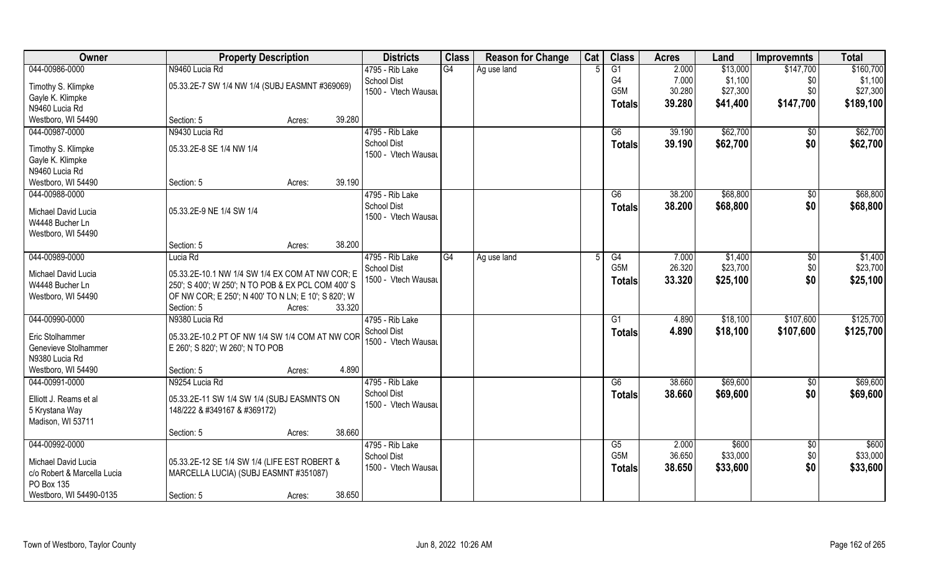| Owner                       | <b>Property Description</b>                                                                               |                  | <b>Districts</b>    | <b>Class</b> | <b>Reason for Change</b> | Cat | <b>Class</b>  | <b>Acres</b> | Land     | <b>Improvemnts</b> | <b>Total</b> |
|-----------------------------|-----------------------------------------------------------------------------------------------------------|------------------|---------------------|--------------|--------------------------|-----|---------------|--------------|----------|--------------------|--------------|
| 044-00986-0000              | N9460 Lucia Rd                                                                                            |                  | 4795 - Rib Lake     | G4           | Ag use land              |     | G1            | 2.000        | \$13,000 | \$147,700          | \$160,700    |
| Timothy S. Klimpke          | 05.33.2E-7 SW 1/4 NW 1/4 (SUBJ EASMNT #369069)                                                            |                  | <b>School Dist</b>  |              |                          |     | G4            | 7.000        | \$1,100  | \$0                | \$1,100      |
| Gayle K. Klimpke            |                                                                                                           |                  | 1500 - Vtech Wausau |              |                          |     | G5M           | 30.280       | \$27,300 | \$0                | \$27,300     |
| N9460 Lucia Rd              |                                                                                                           |                  |                     |              |                          |     | <b>Totals</b> | 39.280       | \$41,400 | \$147,700          | \$189,100    |
| Westboro, WI 54490          | Section: 5                                                                                                | 39.280<br>Acres: |                     |              |                          |     |               |              |          |                    |              |
| 044-00987-0000              | N9430 Lucia Rd                                                                                            |                  | 4795 - Rib Lake     |              |                          |     | G6            | 39.190       | \$62,700 | \$0                | \$62,700     |
|                             |                                                                                                           |                  | <b>School Dist</b>  |              |                          |     | Totals        | 39.190       | \$62,700 | \$0                | \$62,700     |
| Timothy S. Klimpke          | 05.33.2E-8 SE 1/4 NW 1/4                                                                                  |                  | 1500 - Vtech Wausau |              |                          |     |               |              |          |                    |              |
| Gayle K. Klimpke            |                                                                                                           |                  |                     |              |                          |     |               |              |          |                    |              |
| N9460 Lucia Rd              |                                                                                                           | 39.190           |                     |              |                          |     |               |              |          |                    |              |
| Westboro, WI 54490          | Section: 5                                                                                                | Acres:           |                     |              |                          |     |               |              |          |                    |              |
| 044-00988-0000              |                                                                                                           |                  | 4795 - Rib Lake     |              |                          |     | G6            | 38.200       | \$68,800 | $\sqrt[6]{30}$     | \$68,800     |
| Michael David Lucia         | 05.33.2E-9 NE 1/4 SW 1/4                                                                                  |                  | <b>School Dist</b>  |              |                          |     | <b>Totals</b> | 38.200       | \$68,800 | \$0                | \$68,800     |
| W4448 Bucher Ln             |                                                                                                           |                  | 1500 - Vtech Wausau |              |                          |     |               |              |          |                    |              |
| Westboro, WI 54490          |                                                                                                           |                  |                     |              |                          |     |               |              |          |                    |              |
|                             | Section: 5                                                                                                | 38.200<br>Acres: |                     |              |                          |     |               |              |          |                    |              |
| 044-00989-0000              | Lucia Rd                                                                                                  |                  | 4795 - Rib Lake     | G4           | Ag use land              |     | G4            | 7.000        | \$1,400  | \$0                | \$1,400      |
| Michael David Lucia         | 05.33.2E-10.1 NW 1/4 SW 1/4 EX COM AT NW COR; E                                                           |                  | <b>School Dist</b>  |              |                          |     | G5M           | 26.320       | \$23,700 | \$0                | \$23,700     |
| W4448 Bucher Ln             |                                                                                                           |                  | 1500 - Vtech Wausau |              |                          |     | <b>Totals</b> | 33.320       | \$25,100 | \$0                | \$25,100     |
| Westboro, WI 54490          | 250'; S 400'; W 250'; N TO POB & EX PCL COM 400' S<br>OF NW COR; E 250'; N 400' TO N LN; E 10'; S 820'; W |                  |                     |              |                          |     |               |              |          |                    |              |
|                             | Section: 5                                                                                                | 33.320<br>Acres: |                     |              |                          |     |               |              |          |                    |              |
| 044-00990-0000              | N9380 Lucia Rd                                                                                            |                  | 4795 - Rib Lake     |              |                          |     | G1            | 4.890        | \$18,100 | \$107,600          | \$125,700    |
|                             |                                                                                                           |                  | <b>School Dist</b>  |              |                          |     |               |              |          |                    |              |
| Eric Stolhammer             | 05.33.2E-10.2 PT OF NW 1/4 SW 1/4 COM AT NW COR                                                           |                  | 1500 - Vtech Wausau |              |                          |     | <b>Totals</b> | 4.890        | \$18,100 | \$107,600          | \$125,700    |
| Genevieve Stolhammer        | E 260'; S 820'; W 260'; N TO POB                                                                          |                  |                     |              |                          |     |               |              |          |                    |              |
| N9380 Lucia Rd              |                                                                                                           |                  |                     |              |                          |     |               |              |          |                    |              |
| Westboro, WI 54490          | Section: 5                                                                                                | 4.890<br>Acres:  |                     |              |                          |     |               |              |          |                    |              |
| 044-00991-0000              | N9254 Lucia Rd                                                                                            |                  | 4795 - Rib Lake     |              |                          |     | G6            | 38.660       | \$69,600 | \$0                | \$69,600     |
| Elliott J. Reams et al      | 05.33.2E-11 SW 1/4 SW 1/4 (SUBJ EASMNTS ON                                                                |                  | <b>School Dist</b>  |              |                          |     | <b>Totals</b> | 38.660       | \$69,600 | \$0                | \$69,600     |
| 5 Krystana Way              | 148/222 & #349167 & #369172)                                                                              |                  | 1500 - Vtech Wausau |              |                          |     |               |              |          |                    |              |
| Madison, WI 53711           |                                                                                                           |                  |                     |              |                          |     |               |              |          |                    |              |
|                             | Section: 5                                                                                                | 38.660<br>Acres: |                     |              |                          |     |               |              |          |                    |              |
| 044-00992-0000              |                                                                                                           |                  | 4795 - Rib Lake     |              |                          |     | G5            | 2.000        | \$600    | \$0                | \$600        |
|                             |                                                                                                           |                  | <b>School Dist</b>  |              |                          |     | G5M           | 36.650       | \$33,000 | \$0                | \$33,000     |
| Michael David Lucia         | 05.33.2E-12 SE 1/4 SW 1/4 (LIFE EST ROBERT &                                                              |                  | 1500 - Vtech Wausau |              |                          |     | <b>Totals</b> | 38.650       | \$33,600 | \$0                | \$33,600     |
| c/o Robert & Marcella Lucia | MARCELLA LUCIA) (SUBJ EASMNT #351087)                                                                     |                  |                     |              |                          |     |               |              |          |                    |              |
| PO Box 135                  |                                                                                                           |                  |                     |              |                          |     |               |              |          |                    |              |
| Westboro, WI 54490-0135     | Section: 5                                                                                                | 38.650<br>Acres: |                     |              |                          |     |               |              |          |                    |              |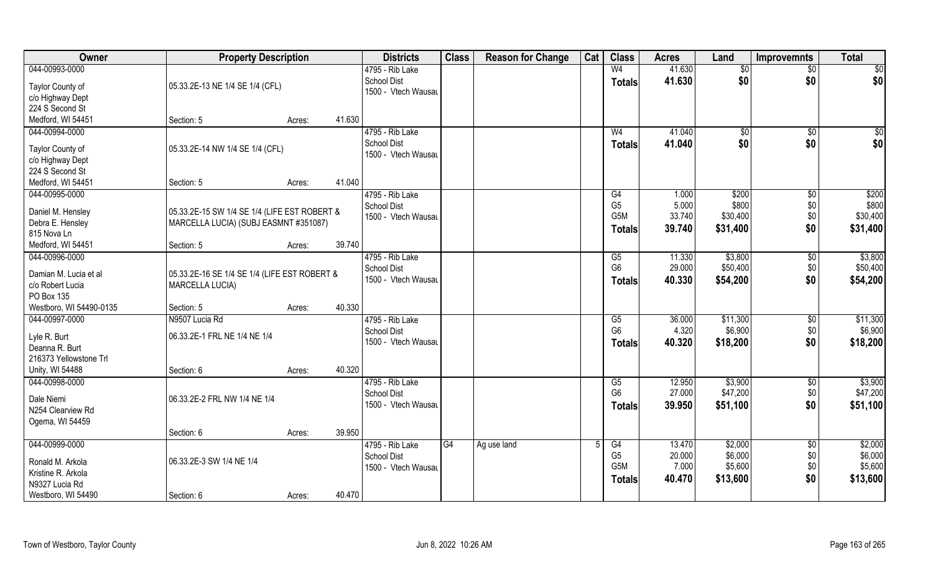| Owner                                    | <b>Property Description</b>                  |        |        | <b>Districts</b>                          | <b>Class</b>    | <b>Reason for Change</b> | Cat | <b>Class</b>         | <b>Acres</b>    | Land            | <b>Improvemnts</b> | <b>Total</b>      |
|------------------------------------------|----------------------------------------------|--------|--------|-------------------------------------------|-----------------|--------------------------|-----|----------------------|-----------------|-----------------|--------------------|-------------------|
| 044-00993-0000                           |                                              |        |        | 4795 - Rib Lake                           |                 |                          |     | W <sub>4</sub>       | 41.630          | $\overline{50}$ | $\overline{50}$    | \$0               |
| Taylor County of                         | 05.33.2E-13 NE 1/4 SE 1/4 (CFL)              |        |        | <b>School Dist</b>                        |                 |                          |     | <b>Totals</b>        | 41.630          | \$0             | \$0                | \$0               |
| c/o Highway Dept                         |                                              |        |        | 1500 - Vtech Wausau                       |                 |                          |     |                      |                 |                 |                    |                   |
| 224 S Second St                          |                                              |        |        |                                           |                 |                          |     |                      |                 |                 |                    |                   |
| Medford, WI 54451                        | Section: 5                                   | Acres: | 41.630 |                                           |                 |                          |     |                      |                 |                 |                    |                   |
| 044-00994-0000                           |                                              |        |        | 4795 - Rib Lake                           |                 |                          |     | W <sub>4</sub>       | 41.040          | \$0             | \$0                | $\sqrt{50}$       |
|                                          |                                              |        |        | <b>School Dist</b>                        |                 |                          |     | <b>Totals</b>        | 41.040          | \$0             | \$0                | \$0               |
| Taylor County of                         | 05.33.2E-14 NW 1/4 SE 1/4 (CFL)              |        |        | 1500 - Vtech Wausau                       |                 |                          |     |                      |                 |                 |                    |                   |
| c/o Highway Dept                         |                                              |        |        |                                           |                 |                          |     |                      |                 |                 |                    |                   |
| 224 S Second St                          |                                              |        |        |                                           |                 |                          |     |                      |                 |                 |                    |                   |
| Medford, WI 54451                        | Section: 5                                   | Acres: | 41.040 |                                           |                 |                          |     |                      |                 |                 |                    |                   |
| 044-00995-0000                           |                                              |        |        | 4795 - Rib Lake                           |                 |                          |     | G4<br>G <sub>5</sub> | 1.000           | \$200<br>\$800  | $\sqrt{6}$         | \$200             |
| Daniel M. Hensley                        | 05.33.2E-15 SW 1/4 SE 1/4 (LIFE EST ROBERT & |        |        | <b>School Dist</b><br>1500 - Vtech Wausau |                 |                          |     | G <sub>5</sub> M     | 5.000<br>33.740 | \$30,400        | \$0<br>\$0         | \$800<br>\$30,400 |
| Debra E. Hensley                         | MARCELLA LUCIA) (SUBJ EASMNT #351087)        |        |        |                                           |                 |                          |     |                      | 39.740          | \$31,400        | \$0                |                   |
| 815 Nova Ln                              |                                              |        |        |                                           |                 |                          |     | <b>Totals</b>        |                 |                 |                    | \$31,400          |
| Medford, WI 54451                        | Section: 5                                   | Acres: | 39.740 |                                           |                 |                          |     |                      |                 |                 |                    |                   |
| 044-00996-0000                           |                                              |        |        | 4795 - Rib Lake                           |                 |                          |     | G5                   | 11.330          | \$3,800         | \$0                | \$3,800           |
| Damian M. Lucia et al                    | 05.33.2E-16 SE 1/4 SE 1/4 (LIFE EST ROBERT & |        |        | <b>School Dist</b>                        |                 |                          |     | G <sub>6</sub>       | 29.000          | \$50,400        | \$0                | \$50,400          |
| c/o Robert Lucia                         | MARCELLA LUCIA)                              |        |        | 1500 - Vtech Wausau                       |                 |                          |     | <b>Totals</b>        | 40.330          | \$54,200        | \$0                | \$54,200          |
| PO Box 135                               |                                              |        |        |                                           |                 |                          |     |                      |                 |                 |                    |                   |
| Westboro, WI 54490-0135                  | Section: 5                                   | Acres: | 40.330 |                                           |                 |                          |     |                      |                 |                 |                    |                   |
| 044-00997-0000                           | N9507 Lucia Rd                               |        |        | 4795 - Rib Lake                           |                 |                          |     | $\overline{G5}$      | 36.000          | \$11,300        | \$0                | \$11,300          |
|                                          |                                              |        |        | <b>School Dist</b>                        |                 |                          |     | G <sub>6</sub>       | 4.320           | \$6,900         | \$0                | \$6,900           |
| Lyle R. Burt                             | 06.33.2E-1 FRL NE 1/4 NE 1/4                 |        |        | 1500 - Vtech Wausau                       |                 |                          |     | <b>Totals</b>        | 40.320          | \$18,200        | \$0                | \$18,200          |
| Deanna R. Burt<br>216373 Yellowstone Trl |                                              |        |        |                                           |                 |                          |     |                      |                 |                 |                    |                   |
| Unity, WI 54488                          | Section: 6                                   |        | 40.320 |                                           |                 |                          |     |                      |                 |                 |                    |                   |
| 044-00998-0000                           |                                              | Acres: |        | 4795 - Rib Lake                           |                 |                          |     | G5                   | 12.950          | \$3,900         | \$0                | \$3,900           |
|                                          |                                              |        |        | <b>School Dist</b>                        |                 |                          |     | G <sub>6</sub>       | 27.000          | \$47,200        | \$0                | \$47,200          |
| Dale Niemi                               | 06.33.2E-2 FRL NW 1/4 NE 1/4                 |        |        | 1500 - Vtech Wausau                       |                 |                          |     |                      | 39.950          | \$51,100        | \$0                | \$51,100          |
| N254 Clearview Rd                        |                                              |        |        |                                           |                 |                          |     | <b>Totals</b>        |                 |                 |                    |                   |
| Ogema, WI 54459                          |                                              |        |        |                                           |                 |                          |     |                      |                 |                 |                    |                   |
|                                          | Section: 6                                   | Acres: | 39.950 |                                           |                 |                          |     |                      |                 |                 |                    |                   |
| 044-00999-0000                           |                                              |        |        | 4795 - Rib Lake                           | $\overline{G4}$ | Ag use land              | -5  | G4                   | 13.470          | \$2,000         | $\overline{50}$    | \$2,000           |
| Ronald M. Arkola                         | 06.33.2E-3 SW 1/4 NE 1/4                     |        |        | <b>School Dist</b>                        |                 |                          |     | G <sub>5</sub>       | 20.000          | \$6,000         | \$0                | \$6,000           |
| Kristine R. Arkola                       |                                              |        |        | 1500 - Vtech Wausau                       |                 |                          |     | G5M                  | 7.000           | \$5,600         | \$0                | \$5,600           |
| N9327 Lucia Rd                           |                                              |        |        |                                           |                 |                          |     | <b>Totals</b>        | 40.470          | \$13,600        | \$0                | \$13,600          |
| Westboro, WI 54490                       | Section: 6                                   | Acres: | 40.470 |                                           |                 |                          |     |                      |                 |                 |                    |                   |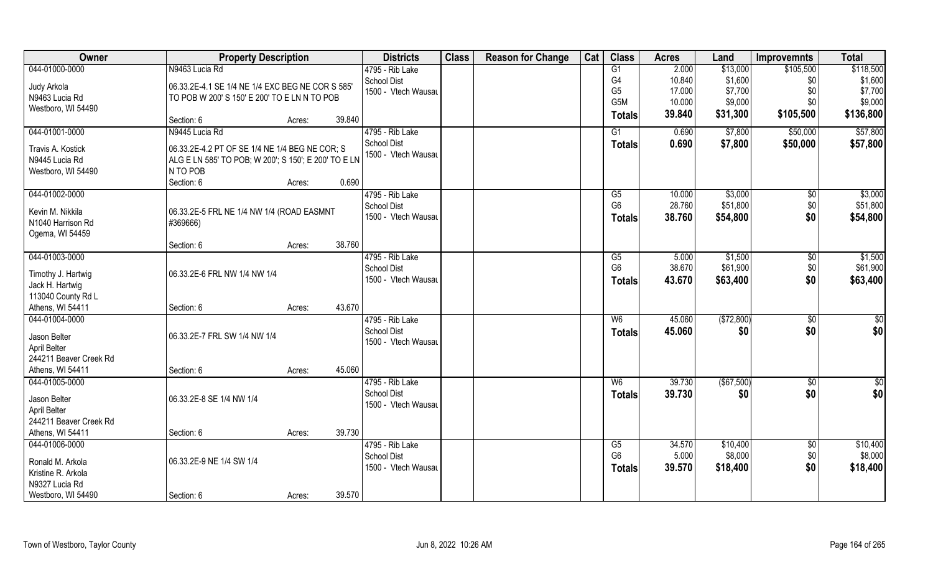| Owner                  | <b>Property Description</b>                          |        |        | <b>Districts</b>                          | <b>Class</b> | <b>Reason for Change</b> | Cat | <b>Class</b>     | <b>Acres</b> | Land       | <b>Improvemnts</b> | <b>Total</b>    |
|------------------------|------------------------------------------------------|--------|--------|-------------------------------------------|--------------|--------------------------|-----|------------------|--------------|------------|--------------------|-----------------|
| 044-01000-0000         | N9463 Lucia Rd                                       |        |        | 4795 - Rib Lake                           |              |                          |     | G1               | 2.000        | \$13,000   | \$105,500          | \$118,500       |
| Judy Arkola            | 06.33.2E-4.1 SE 1/4 NE 1/4 EXC BEG NE COR S 585'     |        |        | School Dist                               |              |                          |     | G4               | 10.840       | \$1,600    | \$0                | \$1,600         |
| N9463 Lucia Rd         | TO POB W 200' S 150' E 200' TO E LN N TO POB         |        |        | 1500 - Vtech Wausau                       |              |                          |     | G <sub>5</sub>   | 17.000       | \$7,700    | \$0                | \$7,700         |
| Westboro, WI 54490     |                                                      |        |        |                                           |              |                          |     | G <sub>5</sub> M | 10.000       | \$9,000    | \$0                | \$9,000         |
|                        | Section: 6                                           | Acres: | 39.840 |                                           |              |                          |     | <b>Totals</b>    | 39.840       | \$31,300   | \$105,500          | \$136,800       |
| 044-01001-0000         | N9445 Lucia Rd                                       |        |        | 4795 - Rib Lake                           |              |                          |     | $\overline{G1}$  | 0.690        | \$7,800    | \$50,000           | \$57,800        |
| Travis A. Kostick      | 06.33.2E-4.2 PT OF SE 1/4 NE 1/4 BEG NE COR; S       |        |        | <b>School Dist</b>                        |              |                          |     | Totals           | 0.690        | \$7,800    | \$50,000           | \$57,800        |
| N9445 Lucia Rd         | ALG E LN 585' TO POB; W 200'; S 150'; E 200' TO E LN |        |        | 1500 - Vtech Wausau                       |              |                          |     |                  |              |            |                    |                 |
| Westboro, WI 54490     | N TO POB                                             |        |        |                                           |              |                          |     |                  |              |            |                    |                 |
|                        | Section: 6                                           | Acres: | 0.690  |                                           |              |                          |     |                  |              |            |                    |                 |
| 044-01002-0000         |                                                      |        |        | 4795 - Rib Lake                           |              |                          |     | G5               | 10.000       | \$3,000    | $\sqrt[6]{3}$      | \$3,000         |
| Kevin M. Nikkila       | 06.33.2E-5 FRL NE 1/4 NW 1/4 (ROAD EASMNT            |        |        | <b>School Dist</b>                        |              |                          |     | G <sub>6</sub>   | 28.760       | \$51,800   | \$0                | \$51,800        |
| N1040 Harrison Rd      | #369666)                                             |        |        | 1500 - Vtech Wausau                       |              |                          |     | <b>Totals</b>    | 38.760       | \$54,800   | \$0                | \$54,800        |
| Ogema, WI 54459        |                                                      |        |        |                                           |              |                          |     |                  |              |            |                    |                 |
|                        | Section: 6                                           | Acres: | 38.760 |                                           |              |                          |     |                  |              |            |                    |                 |
| 044-01003-0000         |                                                      |        |        | 4795 - Rib Lake                           |              |                          |     | G5               | 5.000        | \$1,500    | \$0                | \$1,500         |
| Timothy J. Hartwig     | 06.33.2E-6 FRL NW 1/4 NW 1/4                         |        |        | School Dist                               |              |                          |     | G <sub>6</sub>   | 38.670       | \$61,900   | \$0                | \$61,900        |
| Jack H. Hartwig        |                                                      |        |        | 1500 - Vtech Wausau                       |              |                          |     | <b>Totals</b>    | 43.670       | \$63,400   | \$0                | \$63,400        |
| 113040 County Rd L     |                                                      |        |        |                                           |              |                          |     |                  |              |            |                    |                 |
| Athens, WI 54411       | Section: 6                                           | Acres: | 43.670 |                                           |              |                          |     |                  |              |            |                    |                 |
| 044-01004-0000         |                                                      |        |        | 4795 - Rib Lake                           |              |                          |     | W6               | 45.060       | (\$72,800) | \$0                | $\overline{50}$ |
|                        |                                                      |        |        | School Dist                               |              |                          |     | <b>Totals</b>    | 45.060       | \$0        | \$0                | \$0             |
| Jason Belter           | 06.33.2E-7 FRL SW 1/4 NW 1/4                         |        |        | 1500 - Vtech Wausau                       |              |                          |     |                  |              |            |                    |                 |
| April Belter           |                                                      |        |        |                                           |              |                          |     |                  |              |            |                    |                 |
| 244211 Beaver Creek Rd |                                                      |        |        |                                           |              |                          |     |                  |              |            |                    |                 |
| Athens, WI 54411       | Section: 6                                           | Acres: | 45.060 |                                           |              |                          |     |                  |              |            |                    |                 |
| 044-01005-0000         |                                                      |        |        | 4795 - Rib Lake                           |              |                          |     | W <sub>6</sub>   | 39.730       | (\$67,500) | $\sqrt{$0}$        | \$0             |
| Jason Belter           | 06.33.2E-8 SE 1/4 NW 1/4                             |        |        | <b>School Dist</b><br>1500 - Vtech Wausau |              |                          |     | <b>Totals</b>    | 39.730       | \$0        | \$0                | \$0             |
| April Belter           |                                                      |        |        |                                           |              |                          |     |                  |              |            |                    |                 |
| 244211 Beaver Creek Rd |                                                      |        |        |                                           |              |                          |     |                  |              |            |                    |                 |
| Athens, WI 54411       | Section: 6                                           | Acres: | 39.730 |                                           |              |                          |     |                  |              |            |                    |                 |
| 044-01006-0000         |                                                      |        |        | 4795 - Rib Lake                           |              |                          |     | G5               | 34.570       | \$10,400   | $\sqrt{$0}$        | \$10,400        |
| Ronald M. Arkola       | 06.33.2E-9 NE 1/4 SW 1/4                             |        |        | <b>School Dist</b>                        |              |                          |     | G <sub>6</sub>   | 5.000        | \$8,000    | \$0                | \$8,000         |
| Kristine R. Arkola     |                                                      |        |        | 1500 - Vtech Wausau                       |              |                          |     | <b>Totals</b>    | 39.570       | \$18,400   | \$0                | \$18,400        |
| N9327 Lucia Rd         |                                                      |        |        |                                           |              |                          |     |                  |              |            |                    |                 |
| Westboro, WI 54490     | Section: 6                                           | Acres: | 39.570 |                                           |              |                          |     |                  |              |            |                    |                 |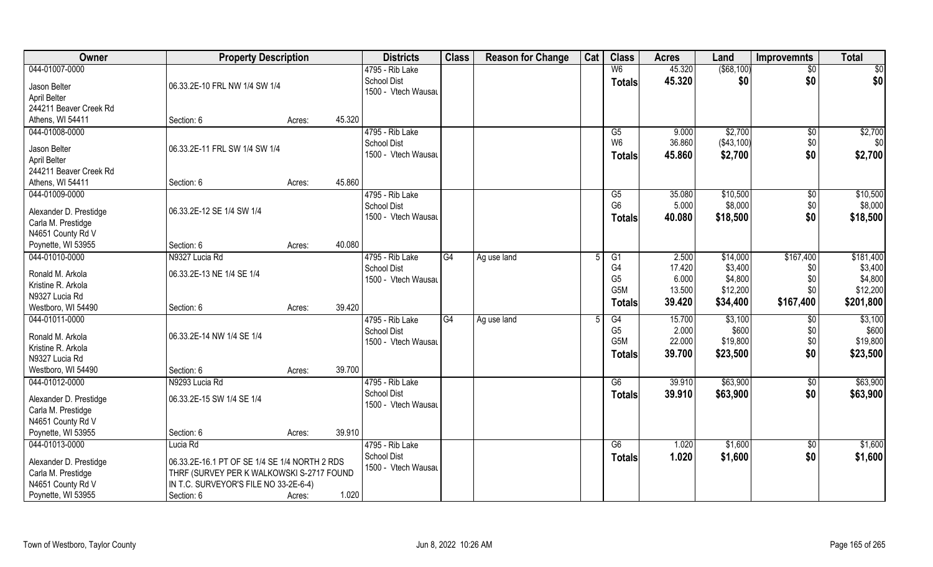| Owner                  | <b>Property Description</b>                   |                  | <b>Districts</b>                          | <b>Class</b> | <b>Reason for Change</b> | Cat | <b>Class</b>         | <b>Acres</b> | Land                | <b>Improvemnts</b> | <b>Total</b> |
|------------------------|-----------------------------------------------|------------------|-------------------------------------------|--------------|--------------------------|-----|----------------------|--------------|---------------------|--------------------|--------------|
| 044-01007-0000         |                                               |                  | 4795 - Rib Lake                           |              |                          |     | W <sub>6</sub>       | 45.320       | $($ \$68,100)       | $\overline{50}$    | \$0          |
| Jason Belter           | 06.33.2E-10 FRL NW 1/4 SW 1/4                 |                  | <b>School Dist</b>                        |              |                          |     | <b>Totals</b>        | 45.320       | \$0                 | \$0                | \$0          |
| April Belter           |                                               |                  | 1500 - Vtech Wausau                       |              |                          |     |                      |              |                     |                    |              |
| 244211 Beaver Creek Rd |                                               |                  |                                           |              |                          |     |                      |              |                     |                    |              |
| Athens, WI 54411       | Section: 6                                    | 45.320<br>Acres: |                                           |              |                          |     |                      |              |                     |                    |              |
| 044-01008-0000         |                                               |                  | 4795 - Rib Lake                           |              |                          |     | $\overline{G5}$      | 9.000        | \$2,700             | $\sqrt{$0}$        | \$2,700      |
|                        |                                               |                  | <b>School Dist</b>                        |              |                          |     | W <sub>6</sub>       | 36.860       | (\$43,100)          | \$0                | \$0          |
| Jason Belter           | 06.33.2E-11 FRL SW 1/4 SW 1/4                 |                  | 1500 - Vtech Wausau                       |              |                          |     | <b>Totals</b>        | 45.860       | \$2,700             | \$0                | \$2,700      |
| April Belter           |                                               |                  |                                           |              |                          |     |                      |              |                     |                    |              |
| 244211 Beaver Creek Rd |                                               |                  |                                           |              |                          |     |                      |              |                     |                    |              |
| Athens, WI 54411       | Section: 6                                    | 45.860<br>Acres: |                                           |              |                          |     |                      |              |                     |                    |              |
| 044-01009-0000         |                                               |                  | 4795 - Rib Lake                           |              |                          |     | G5<br>G <sub>6</sub> | 35.080       | \$10,500<br>\$8,000 | $\sqrt[6]{3}$      | \$10,500     |
| Alexander D. Prestidge | 06.33.2E-12 SE 1/4 SW 1/4                     |                  | <b>School Dist</b><br>1500 - Vtech Wausau |              |                          |     |                      | 5.000        |                     | \$0                | \$8,000      |
| Carla M. Prestidge     |                                               |                  |                                           |              |                          |     | <b>Totals</b>        | 40.080       | \$18,500            | \$0                | \$18,500     |
| N4651 County Rd V      |                                               |                  |                                           |              |                          |     |                      |              |                     |                    |              |
| Poynette, WI 53955     | Section: 6                                    | 40.080<br>Acres: |                                           |              |                          |     |                      |              |                     |                    |              |
| 044-01010-0000         | N9327 Lucia Rd                                |                  | 4795 - Rib Lake                           | G4           | Ag use land              |     | G1                   | 2.500        | \$14,000            | \$167,400          | \$181,400    |
| Ronald M. Arkola       | 06.33.2E-13 NE 1/4 SE 1/4                     |                  | School Dist                               |              |                          |     | G4                   | 17.420       | \$3,400             | \$0                | \$3,400      |
| Kristine R. Arkola     |                                               |                  | 1500 - Vtech Wausau                       |              |                          |     | G <sub>5</sub>       | 6.000        | \$4,800             | \$0                | \$4,800      |
| N9327 Lucia Rd         |                                               |                  |                                           |              |                          |     | G <sub>5</sub> M     | 13.500       | \$12,200            | \$0                | \$12,200     |
| Westboro, WI 54490     | Section: 6                                    | 39.420<br>Acres: |                                           |              |                          |     | <b>Totals</b>        | 39.420       | \$34,400            | \$167,400          | \$201,800    |
| 044-01011-0000         |                                               |                  | 4795 - Rib Lake                           | G4           | Ag use land              | -5  | G4                   | 15.700       | \$3,100             | \$0                | \$3,100      |
|                        |                                               |                  | <b>School Dist</b>                        |              |                          |     | G <sub>5</sub>       | 2.000        | \$600               | \$0                | \$600        |
| Ronald M. Arkola       | 06.33.2E-14 NW 1/4 SE 1/4                     |                  | 1500 - Vtech Wausau                       |              |                          |     | G5M                  | 22.000       | \$19,800            | \$0                | \$19,800     |
| Kristine R. Arkola     |                                               |                  |                                           |              |                          |     | <b>Totals</b>        | 39.700       | \$23,500            | \$0                | \$23,500     |
| N9327 Lucia Rd         |                                               |                  |                                           |              |                          |     |                      |              |                     |                    |              |
| Westboro, WI 54490     | Section: 6                                    | 39.700<br>Acres: |                                           |              |                          |     |                      |              |                     |                    |              |
| 044-01012-0000         | N9293 Lucia Rd                                |                  | 4795 - Rib Lake                           |              |                          |     | G6                   | 39.910       | \$63,900            | \$0                | \$63,900     |
| Alexander D. Prestidge | 06.33.2E-15 SW 1/4 SE 1/4                     |                  | <b>School Dist</b>                        |              |                          |     | <b>Totals</b>        | 39.910       | \$63,900            | \$0                | \$63,900     |
| Carla M. Prestidge     |                                               |                  | 1500 - Vtech Wausau                       |              |                          |     |                      |              |                     |                    |              |
| N4651 County Rd V      |                                               |                  |                                           |              |                          |     |                      |              |                     |                    |              |
| Poynette, WI 53955     | Section: 6                                    | 39.910<br>Acres: |                                           |              |                          |     |                      |              |                     |                    |              |
| 044-01013-0000         | Lucia Rd                                      |                  | 4795 - Rib Lake                           |              |                          |     | G6                   | 1.020        | \$1,600             | $\sqrt{$0}$        | \$1,600      |
| Alexander D. Prestidge | 06.33.2E-16.1 PT OF SE 1/4 SE 1/4 NORTH 2 RDS |                  | <b>School Dist</b>                        |              |                          |     | <b>Totals</b>        | 1.020        | \$1,600             | \$0                | \$1,600      |
| Carla M. Prestidge     | THRF (SURVEY PER K WALKOWSKI S-2717 FOUND     |                  | 1500 - Vtech Wausau                       |              |                          |     |                      |              |                     |                    |              |
| N4651 County Rd V      | IN T.C. SURVEYOR'S FILE NO 33-2E-6-4)         |                  |                                           |              |                          |     |                      |              |                     |                    |              |
| Poynette, WI 53955     | Section: 6                                    | 1.020<br>Acres:  |                                           |              |                          |     |                      |              |                     |                    |              |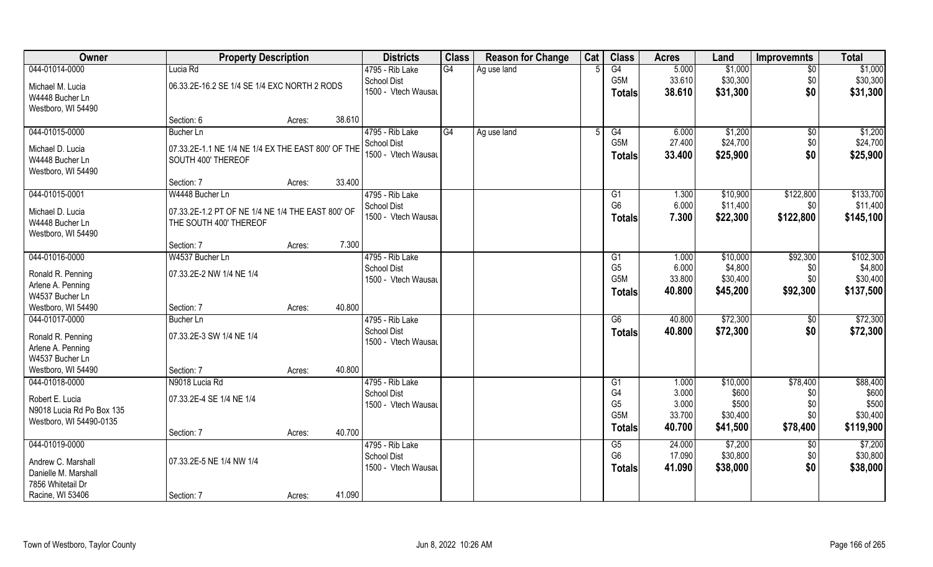| Owner                                 | <b>Property Description</b>                        |        |        | <b>Districts</b>                          | <b>Class</b> | <b>Reason for Change</b> | Cat | <b>Class</b>         | <b>Acres</b>     | Land                 | <b>Improvemnts</b>    | <b>Total</b>         |
|---------------------------------------|----------------------------------------------------|--------|--------|-------------------------------------------|--------------|--------------------------|-----|----------------------|------------------|----------------------|-----------------------|----------------------|
| 044-01014-0000                        | Lucia Rd                                           |        |        | 4795 - Rib Lake                           | G4           | Ag use land              |     | G4                   | 5.000            | \$1,000              | \$0                   | \$1,000              |
| Michael M. Lucia<br>W4448 Bucher Ln   | 06.33.2E-16.2 SE 1/4 SE 1/4 EXC NORTH 2 RODS       |        |        | <b>School Dist</b><br>1500 - Vtech Wausau |              |                          |     | G5M<br><b>Totals</b> | 33.610<br>38.610 | \$30,300<br>\$31,300 | \$0<br>\$0            | \$30,300<br>\$31,300 |
| Westboro, WI 54490                    | Section: 6                                         | Acres: | 38.610 |                                           |              |                          |     |                      |                  |                      |                       |                      |
| 044-01015-0000                        | Bucher Ln                                          |        |        | 4795 - Rib Lake                           | G4           |                          |     | G4                   | 6.000            | \$1,200              |                       |                      |
|                                       |                                                    |        |        | <b>School Dist</b>                        |              | Ag use land              |     | G5M                  | 27.400           | \$24,700             | $\sqrt[6]{30}$<br>\$0 | \$1,200<br>\$24,700  |
| Michael D. Lucia                      | 07.33.2E-1.1 NE 1/4 NE 1/4 EX THE EAST 800' OF THE |        |        | 1500 - Vtech Wausau                       |              |                          |     |                      |                  |                      | \$0                   |                      |
| W4448 Bucher Ln<br>Westboro, WI 54490 | SOUTH 400' THEREOF                                 |        |        |                                           |              |                          |     | <b>Totals</b>        | 33.400           | \$25,900             |                       | \$25,900             |
|                                       | Section: 7                                         | Acres: | 33.400 |                                           |              |                          |     |                      |                  |                      |                       |                      |
| 044-01015-0001                        | W4448 Bucher Ln                                    |        |        | 4795 - Rib Lake                           |              |                          |     | G1                   | 1.300            | \$10,900             | \$122,800             | \$133,700            |
|                                       |                                                    |        |        | <b>School Dist</b>                        |              |                          |     | G <sub>6</sub>       | 6.000            | \$11,400             | \$0                   | \$11,400             |
| Michael D. Lucia                      | 07.33.2E-1.2 PT OF NE 1/4 NE 1/4 THE EAST 800' OF  |        |        | 1500 - Vtech Wausau                       |              |                          |     |                      | 7.300            |                      |                       |                      |
| W4448 Bucher Ln                       | THE SOUTH 400' THEREOF                             |        |        |                                           |              |                          |     | <b>Totals</b>        |                  | \$22,300             | \$122,800             | \$145,100            |
| Westboro, WI 54490                    |                                                    |        |        |                                           |              |                          |     |                      |                  |                      |                       |                      |
|                                       | Section: 7                                         | Acres: | 7.300  |                                           |              |                          |     |                      |                  |                      |                       |                      |
| 044-01016-0000                        | W4537 Bucher Ln                                    |        |        | 4795 - Rib Lake                           |              |                          |     | G <sub>1</sub>       | 1.000            | \$10,000             | \$92,300              | \$102,300            |
| Ronald R. Penning                     | 07.33.2E-2 NW 1/4 NE 1/4                           |        |        | <b>School Dist</b>                        |              |                          |     | G <sub>5</sub>       | 6.000            | \$4,800              | \$0                   | \$4,800              |
| Arlene A. Penning                     |                                                    |        |        | 1500 - Vtech Wausau                       |              |                          |     | G <sub>5</sub> M     | 33.800           | \$30,400             | \$0                   | \$30,400             |
| W4537 Bucher Ln                       |                                                    |        |        |                                           |              |                          |     | <b>Totals</b>        | 40.800           | \$45,200             | \$92,300              | \$137,500            |
| Westboro, WI 54490                    | Section: 7                                         |        | 40.800 |                                           |              |                          |     |                      |                  |                      |                       |                      |
| 044-01017-0000                        | Bucher Ln                                          | Acres: |        | 4795 - Rib Lake                           |              |                          |     | $\overline{G6}$      | 40.800           | \$72,300             | \$0                   | \$72,300             |
|                                       |                                                    |        |        | <b>School Dist</b>                        |              |                          |     |                      |                  |                      |                       |                      |
| Ronald R. Penning                     | 07.33.2E-3 SW 1/4 NE 1/4                           |        |        | 1500 - Vtech Wausau                       |              |                          |     | <b>Totals</b>        | 40.800           | \$72,300             | \$0                   | \$72,300             |
| Arlene A. Penning                     |                                                    |        |        |                                           |              |                          |     |                      |                  |                      |                       |                      |
| W4537 Bucher Ln                       |                                                    |        |        |                                           |              |                          |     |                      |                  |                      |                       |                      |
| Westboro, WI 54490                    | Section: 7                                         | Acres: | 40.800 |                                           |              |                          |     |                      |                  |                      |                       |                      |
| 044-01018-0000                        | N9018 Lucia Rd                                     |        |        | 4795 - Rib Lake                           |              |                          |     | G1                   | 1.000            | \$10,000             | \$78,400              | \$88,400             |
| Robert E. Lucia                       | 07.33.2E-4 SE 1/4 NE 1/4                           |        |        | <b>School Dist</b>                        |              |                          |     | G4                   | 3.000            | \$600                | \$0                   | \$600                |
| N9018 Lucia Rd Po Box 135             |                                                    |        |        | 1500 - Vtech Wausau                       |              |                          |     | G <sub>5</sub>       | 3.000            | \$500                | \$0                   | \$500                |
| Westboro, WI 54490-0135               |                                                    |        |        |                                           |              |                          |     | G <sub>5</sub> M     | 33.700           | \$30,400             | \$0                   | \$30,400             |
|                                       | Section: 7                                         | Acres: | 40.700 |                                           |              |                          |     | Totals               | 40.700           | \$41,500             | \$78,400              | \$119,900            |
| 044-01019-0000                        |                                                    |        |        | 4795 - Rib Lake                           |              |                          |     | G5                   | 24.000           | \$7,200              | $\sqrt[6]{}$          | \$7,200              |
|                                       |                                                    |        |        | <b>School Dist</b>                        |              |                          |     | G <sub>6</sub>       | 17.090           | \$30,800             | \$0                   | \$30,800             |
| Andrew C. Marshall                    | 07.33.2E-5 NE 1/4 NW 1/4                           |        |        | 1500 - Vtech Wausau                       |              |                          |     | Totals               | 41.090           | \$38,000             | \$0                   | \$38,000             |
| Danielle M. Marshall                  |                                                    |        |        |                                           |              |                          |     |                      |                  |                      |                       |                      |
| 7856 Whitetail Dr                     |                                                    |        |        |                                           |              |                          |     |                      |                  |                      |                       |                      |
| Racine, WI 53406                      | Section: 7                                         | Acres: | 41.090 |                                           |              |                          |     |                      |                  |                      |                       |                      |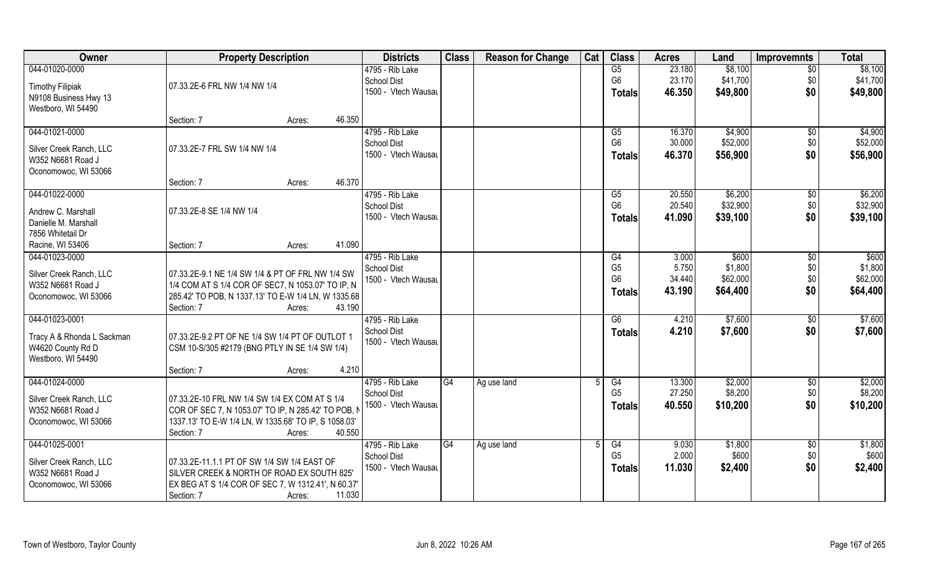| Owner                      | <b>Property Description</b>                          |                  | <b>Districts</b>    | <b>Class</b> | <b>Reason for Change</b> | Cat | <b>Class</b>    | <b>Acres</b> | Land     | <b>Improvemnts</b> | <b>Total</b> |
|----------------------------|------------------------------------------------------|------------------|---------------------|--------------|--------------------------|-----|-----------------|--------------|----------|--------------------|--------------|
| 044-01020-0000             |                                                      |                  | 4795 - Rib Lake     |              |                          |     | G5              | 23.180       | \$8,100  | $\overline{50}$    | \$8,100      |
| <b>Timothy Filipiak</b>    | 07.33.2E-6 FRL NW 1/4 NW 1/4                         |                  | <b>School Dist</b>  |              |                          |     | G <sub>6</sub>  | 23.170       | \$41,700 | \$0                | \$41,700     |
| N9108 Business Hwy 13      |                                                      |                  | 1500 - Vtech Wausau |              |                          |     | <b>Totals</b>   | 46.350       | \$49,800 | \$0                | \$49,800     |
| Westboro, WI 54490         |                                                      |                  |                     |              |                          |     |                 |              |          |                    |              |
|                            | Section: 7                                           | 46.350<br>Acres: |                     |              |                          |     |                 |              |          |                    |              |
| 044-01021-0000             |                                                      |                  | 4795 - Rib Lake     |              |                          |     | $\overline{G5}$ | 16.370       | \$4,900  | $\overline{50}$    | \$4,900      |
|                            |                                                      |                  | <b>School Dist</b>  |              |                          |     | G <sub>6</sub>  | 30.000       | \$52,000 | \$0                | \$52,000     |
| Silver Creek Ranch, LLC    | 07.33.2E-7 FRL SW 1/4 NW 1/4                         |                  | 1500 - Vtech Wausau |              |                          |     | Totals          | 46.370       | \$56,900 | \$0                | \$56,900     |
| W352 N6681 Road J          |                                                      |                  |                     |              |                          |     |                 |              |          |                    |              |
| Oconomowoc, WI 53066       | Section: 7                                           | 46.370<br>Acres: |                     |              |                          |     |                 |              |          |                    |              |
| 044-01022-0000             |                                                      |                  | 4795 - Rib Lake     |              |                          |     | G5              | 20.550       | \$6,200  | $\sqrt[6]{30}$     | \$6,200      |
|                            |                                                      |                  | <b>School Dist</b>  |              |                          |     | G <sub>6</sub>  | 20.540       | \$32,900 | \$0                | \$32,900     |
| Andrew C. Marshall         | 07.33.2E-8 SE 1/4 NW 1/4                             |                  | 1500 - Vtech Wausau |              |                          |     | <b>Totals</b>   | 41.090       | \$39,100 | \$0                | \$39,100     |
| Danielle M. Marshall       |                                                      |                  |                     |              |                          |     |                 |              |          |                    |              |
| 7856 Whitetail Dr          |                                                      |                  |                     |              |                          |     |                 |              |          |                    |              |
| Racine, WI 53406           | Section: 7                                           | 41.090<br>Acres: |                     |              |                          |     |                 |              |          |                    |              |
| 044-01023-0000             |                                                      |                  | 4795 - Rib Lake     |              |                          |     | G4              | 3.000        | \$600    | $\sqrt{6}$         | \$600        |
| Silver Creek Ranch, LLC    | 07.33.2E-9.1 NE 1/4 SW 1/4 & PT OF FRL NW 1/4 SW     |                  | <b>School Dist</b>  |              |                          |     | G <sub>5</sub>  | 5.750        | \$1,800  | \$0                | \$1,800      |
| W352 N6681 Road J          | 1/4 COM AT S 1/4 COR OF SEC7, N 1053.07' TO IP, N    |                  | 1500 - Vtech Wausau |              |                          |     | G <sub>6</sub>  | 34.440       | \$62,000 | \$0                | \$62,000     |
| Oconomowoc, WI 53066       | 285.42' TO POB, N 1337.13' TO E-W 1/4 LN, W 1335.68  |                  |                     |              |                          |     | <b>Totals</b>   | 43.190       | \$64,400 | \$0                | \$64,400     |
|                            | Section: 7                                           | 43.190<br>Acres: |                     |              |                          |     |                 |              |          |                    |              |
| 044-01023-0001             |                                                      |                  | 4795 - Rib Lake     |              |                          |     | $\overline{G6}$ | 4.210        | \$7,600  | \$0                | \$7,600      |
| Tracy A & Rhonda L Sackman | 07.33.2E-9.2 PT OF NE 1/4 SW 1/4 PT OF OUTLOT 1      |                  | <b>School Dist</b>  |              |                          |     | <b>Totals</b>   | 4.210        | \$7,600  | \$0                | \$7,600      |
| W4620 County Rd D          | CSM 10-S/305 #2179 (BNG PTLY IN SE 1/4 SW 1/4)       |                  | 1500 - Vtech Wausau |              |                          |     |                 |              |          |                    |              |
| Westboro, WI 54490         |                                                      |                  |                     |              |                          |     |                 |              |          |                    |              |
|                            | Section: 7                                           | 4.210<br>Acres:  |                     |              |                          |     |                 |              |          |                    |              |
| 044-01024-0000             |                                                      |                  | 4795 - Rib Lake     | G4           | Ag use land              |     | G4              | 13.300       | \$2,000  | \$0                | \$2,000      |
|                            |                                                      |                  | <b>School Dist</b>  |              |                          |     | G <sub>5</sub>  | 27.250       | \$8,200  | \$0                | \$8,200      |
| Silver Creek Ranch, LLC    | 07.33.2E-10 FRL NW 1/4 SW 1/4 EX COM AT S 1/4        |                  | 1500 - Vtech Wausau |              |                          |     | <b>Totals</b>   | 40.550       | \$10,200 | \$0                | \$10,200     |
| W352 N6681 Road J          | COR OF SEC 7, N 1053.07' TO IP, N 285.42' TO POB, N  |                  |                     |              |                          |     |                 |              |          |                    |              |
| Oconomowoc, WI 53066       | 1337.13' TO E-W 1/4 LN, W 1335.68' TO IP, S 1058.03' |                  |                     |              |                          |     |                 |              |          |                    |              |
| 044-01025-0001             | Section: 7                                           | 40.550<br>Acres: | 4795 - Rib Lake     | G4           |                          |     | G4              | 9.030        | \$1,800  |                    | \$1,800      |
|                            |                                                      |                  | <b>School Dist</b>  |              | Ag use land              |     | G <sub>5</sub>  | 2.000        | \$600    | $\sqrt{6}$<br>\$0  | \$600        |
| Silver Creek Ranch, LLC    | 07.33.2E-11.1.1 PT OF SW 1/4 SW 1/4 EAST OF          |                  | 1500 - Vtech Wausau |              |                          |     |                 | 11.030       | \$2,400  | \$0                | \$2,400      |
| W352 N6681 Road J          | SILVER CREEK & NORTH OF ROAD EX SOUTH 825'           |                  |                     |              |                          |     | <b>Totals</b>   |              |          |                    |              |
| Oconomowoc, WI 53066       | EX BEG AT S 1/4 COR OF SEC 7, W 1312.41', N 60.37'   |                  |                     |              |                          |     |                 |              |          |                    |              |
|                            | Section: 7                                           | 11.030<br>Acres: |                     |              |                          |     |                 |              |          |                    |              |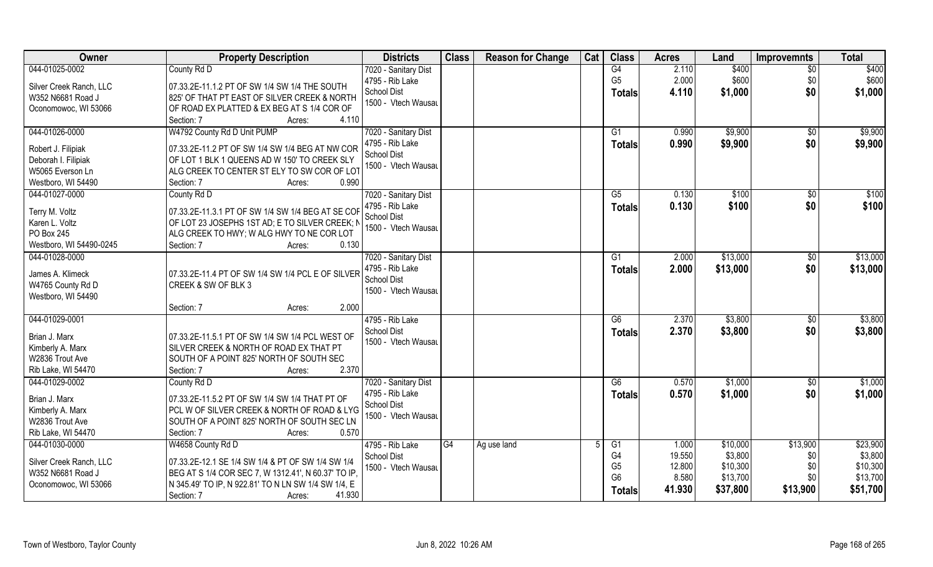| Owner                                   | <b>Property Description</b>                         | <b>Districts</b>     | <b>Class</b> | <b>Reason for Change</b> | Cat | <b>Class</b>                     | <b>Acres</b>    | Land     | <b>Improvemnts</b> | <b>Total</b> |
|-----------------------------------------|-----------------------------------------------------|----------------------|--------------|--------------------------|-----|----------------------------------|-----------------|----------|--------------------|--------------|
| 044-01025-0002                          | County Rd D                                         | 7020 - Sanitary Dist |              |                          |     | G4                               | 2.110           | \$400    | $\overline{50}$    | \$400        |
| Silver Creek Ranch, LLC                 | 07.33.2E-11.1.2 PT OF SW 1/4 SW 1/4 THE SOUTH       | 4795 - Rib Lake      |              |                          |     | G <sub>5</sub>                   | 2.000           | \$600    | \$0                | \$600        |
| W352 N6681 Road J                       | 825' OF THAT PT EAST OF SILVER CREEK & NORTH        | <b>School Dist</b>   |              |                          |     | <b>Totals</b>                    | 4.110           | \$1,000  | \$0                | \$1,000      |
| Oconomowoc, WI 53066                    | OF ROAD EX PLATTED & EX BEG AT S 1/4 COR OF         | 1500 - Vtech Wausau  |              |                          |     |                                  |                 |          |                    |              |
|                                         | 4.110<br>Section: 7<br>Acres:                       |                      |              |                          |     |                                  |                 |          |                    |              |
| 044-01026-0000                          | W4792 County Rd D Unit PUMP                         | 7020 - Sanitary Dist |              |                          |     | $\overline{G1}$                  | 0.990           | \$9,900  | \$0                | \$9,900      |
|                                         | 07.33.2E-11.2 PT OF SW 1/4 SW 1/4 BEG AT NW COR     | 4795 - Rib Lake      |              |                          |     | <b>Totals</b>                    | 0.990           | \$9,900  | \$0                | \$9,900      |
| Robert J. Filipiak                      | OF LOT 1 BLK 1 QUEENS AD W 150' TO CREEK SLY        | School Dist          |              |                          |     |                                  |                 |          |                    |              |
| Deborah I. Filipiak<br>W5065 Everson Ln | ALG CREEK TO CENTER ST ELY TO SW COR OF LOT         | 1500 - Vtech Wausau  |              |                          |     |                                  |                 |          |                    |              |
| Westboro, WI 54490                      | 0.990<br>Section: 7<br>Acres:                       |                      |              |                          |     |                                  |                 |          |                    |              |
| 044-01027-0000                          | County Rd D                                         | 7020 - Sanitary Dist |              |                          |     | G5                               | 0.130           | \$100    | \$0                | \$100        |
|                                         |                                                     | 4795 - Rib Lake      |              |                          |     | <b>Totals</b>                    | 0.130           | \$100    | \$0                | \$100        |
| Terry M. Voltz                          | 07.33.2E-11.3.1 PT OF SW 1/4 SW 1/4 BEG AT SE COI   | School Dist          |              |                          |     |                                  |                 |          |                    |              |
| Karen L. Voltz                          | OF LOT 23 JOSEPHS 1ST AD; E TO SILVER CREEK; N      | 1500 - Vtech Wausau  |              |                          |     |                                  |                 |          |                    |              |
| PO Box 245                              | ALG CREEK TO HWY; W ALG HWY TO NE COR LOT           |                      |              |                          |     |                                  |                 |          |                    |              |
| Westboro, WI 54490-0245                 | 0.130<br>Section: 7<br>Acres:                       |                      |              |                          |     |                                  |                 |          |                    |              |
| 044-01028-0000                          |                                                     | 7020 - Sanitary Dist |              |                          |     | G <sub>1</sub>                   | 2.000           | \$13,000 | \$0                | \$13,000     |
| James A. Klimeck                        | 07.33.2E-11.4 PT OF SW 1/4 SW 1/4 PCL E OF SILVER   | 4795 - Rib Lake      |              |                          |     | <b>Totals</b>                    | 2.000           | \$13,000 | \$0                | \$13,000     |
| W4765 County Rd D                       | CREEK & SW OF BLK 3                                 | School Dist          |              |                          |     |                                  |                 |          |                    |              |
| Westboro, WI 54490                      |                                                     | 1500 - Vtech Wausau  |              |                          |     |                                  |                 |          |                    |              |
|                                         | 2.000<br>Section: 7<br>Acres:                       |                      |              |                          |     |                                  |                 |          |                    |              |
| 044-01029-0001                          |                                                     | 4795 - Rib Lake      |              |                          |     | G6                               | 2.370           | \$3,800  | \$0                | \$3,800      |
| Brian J. Marx                           | 07.33.2E-11.5.1 PT OF SW 1/4 SW 1/4 PCL WEST OF     | School Dist          |              |                          |     | <b>Totals</b>                    | 2.370           | \$3,800  | \$0                | \$3,800      |
| Kimberly A. Marx                        | SILVER CREEK & NORTH OF ROAD EX THAT PT             | 1500 - Vtech Wausau  |              |                          |     |                                  |                 |          |                    |              |
| W2836 Trout Ave                         | SOUTH OF A POINT 825' NORTH OF SOUTH SEC            |                      |              |                          |     |                                  |                 |          |                    |              |
| Rib Lake, WI 54470                      | 2.370<br>Section: 7<br>Acres:                       |                      |              |                          |     |                                  |                 |          |                    |              |
| 044-01029-0002                          | County Rd D                                         | 7020 - Sanitary Dist |              |                          |     | G6                               | 0.570           | \$1,000  | \$0                | \$1,000      |
|                                         |                                                     | 4795 - Rib Lake      |              |                          |     | <b>Totals</b>                    | 0.570           | \$1,000  | \$0                | \$1,000      |
| Brian J. Marx                           | 07.33.2E-11.5.2 PT OF SW 1/4 SW 1/4 THAT PT OF      | School Dist          |              |                          |     |                                  |                 |          |                    |              |
| Kimberly A. Marx                        | PCL W OF SILVER CREEK & NORTH OF ROAD & LYG         | 1500 - Vtech Wausau  |              |                          |     |                                  |                 |          |                    |              |
| W2836 Trout Ave                         | SOUTH OF A POINT 825' NORTH OF SOUTH SEC LN         |                      |              |                          |     |                                  |                 |          |                    |              |
| Rib Lake, WI 54470                      | Section: 7<br>0.570<br>Acres:                       |                      |              |                          |     |                                  |                 |          |                    |              |
| 044-01030-0000                          | W4658 County Rd D                                   | 4795 - Rib Lake      | G4           | Ag use land              | 5   | G1                               | 1.000           | \$10,000 | \$13,900           | \$23,900     |
| Silver Creek Ranch, LLC                 | 07.33.2E-12.1 SE 1/4 SW 1/4 & PT OF SW 1/4 SW 1/4   | <b>School Dist</b>   |              |                          |     | G4                               | 19.550          | \$3,800  | \$0                | \$3,800      |
| W352 N6681 Road J                       | BEG AT S 1/4 COR SEC 7, W 1312.41', N 60.37' TO IP, | 1500 - Vtech Wausau  |              |                          |     | G <sub>5</sub><br>G <sub>6</sub> | 12.800<br>8.580 | \$10,300 | \$0                | \$10,300     |
| Oconomowoc, WI 53066                    | N 345.49' TO IP, N 922.81' TO N LN SW 1/4 SW 1/4, E |                      |              |                          |     |                                  |                 | \$13,700 | \$0                | \$13,700     |
|                                         | 41.930<br>Section: 7<br>Acres:                      |                      |              |                          |     | <b>Totals</b>                    | 41.930          | \$37,800 | \$13,900           | \$51,700     |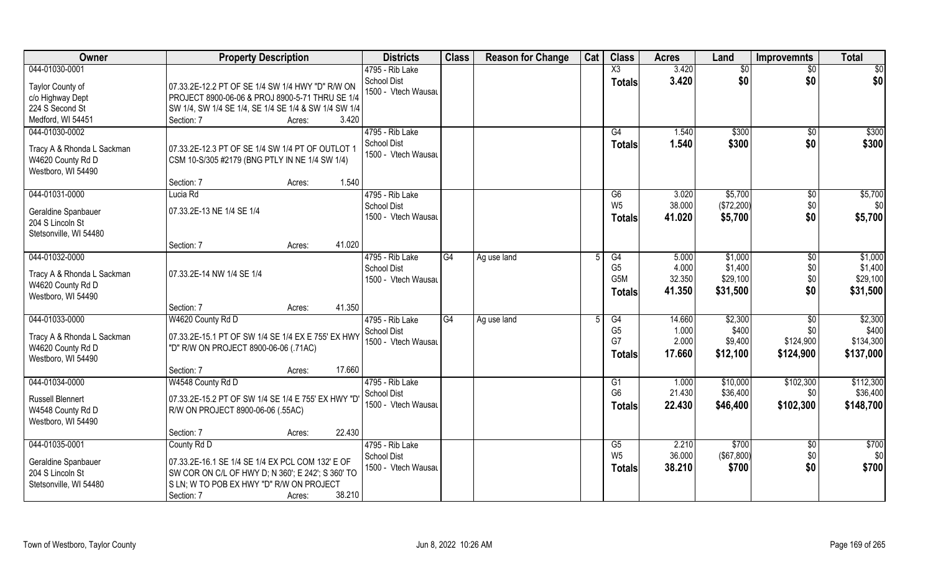| Owner                                   | <b>Property Description</b>                          | <b>Districts</b>    | <b>Class</b> | <b>Reason for Change</b> | Cat | <b>Class</b>         | <b>Acres</b>    | Land                 | <b>Improvemnts</b> | <b>Total</b>          |
|-----------------------------------------|------------------------------------------------------|---------------------|--------------|--------------------------|-----|----------------------|-----------------|----------------------|--------------------|-----------------------|
| 044-01030-0001                          |                                                      | 4795 - Rib Lake     |              |                          |     | X3                   | 3.420           | \$0                  | $\overline{50}$    | $\overline{50}$       |
| Taylor County of                        | 07.33.2E-12.2 PT OF SE 1/4 SW 1/4 HWY "D" R/W ON     | <b>School Dist</b>  |              |                          |     | <b>Totals</b>        | 3.420           | \$0                  | \$0                | \$0                   |
| c/o Highway Dept                        | PROJECT 8900-06-06 & PROJ 8900-5-71 THRU SE 1/4      | 1500 - Vtech Wausau |              |                          |     |                      |                 |                      |                    |                       |
| 224 S Second St                         | SW 1/4, SW 1/4 SE 1/4, SE 1/4 SE 1/4 & SW 1/4 SW 1/4 |                     |              |                          |     |                      |                 |                      |                    |                       |
| Medford, WI 54451                       | 3.420<br>Section: 7<br>Acres:                        |                     |              |                          |     |                      |                 |                      |                    |                       |
| 044-01030-0002                          |                                                      | 4795 - Rib Lake     |              |                          |     | G4                   | 1.540           | \$300                | \$0                | \$300                 |
|                                         |                                                      | <b>School Dist</b>  |              |                          |     |                      | 1.540           | \$300                | \$0                | \$300                 |
| Tracy A & Rhonda L Sackman              | 07.33.2E-12.3 PT OF SE 1/4 SW 1/4 PT OF OUTLOT 1     | 1500 - Vtech Wausau |              |                          |     | <b>Totals</b>        |                 |                      |                    |                       |
| W4620 County Rd D                       | CSM 10-S/305 #2179 (BNG PTLY IN NE 1/4 SW 1/4)       |                     |              |                          |     |                      |                 |                      |                    |                       |
| Westboro, WI 54490                      |                                                      |                     |              |                          |     |                      |                 |                      |                    |                       |
|                                         | 1.540<br>Section: 7<br>Acres:                        |                     |              |                          |     |                      |                 |                      |                    |                       |
| 044-01031-0000                          | Lucia Rd                                             | 4795 - Rib Lake     |              |                          |     | G6                   | 3.020           | \$5,700              | $\sqrt[6]{3}$      | \$5,700               |
|                                         | 07.33.2E-13 NE 1/4 SE 1/4                            | <b>School Dist</b>  |              |                          |     | W <sub>5</sub>       | 38.000          | (\$72,200)           | \$0                | \$0                   |
| Geraldine Spanbauer<br>204 S Lincoln St |                                                      | 1500 - Vtech Wausau |              |                          |     | <b>Totals</b>        | 41.020          | \$5,700              | \$0                | \$5,700               |
| Stetsonville, WI 54480                  |                                                      |                     |              |                          |     |                      |                 |                      |                    |                       |
|                                         | 41.020<br>Section: 7                                 |                     |              |                          |     |                      |                 |                      |                    |                       |
|                                         | Acres:                                               |                     |              |                          |     |                      |                 |                      |                    |                       |
| 044-01032-0000                          |                                                      | 4795 - Rib Lake     | G4           | Ag use land              |     | G4<br>G <sub>5</sub> | 5.000<br>4.000  | \$1,000<br>\$1,400   | $\sqrt[6]{}$       | \$1,000<br>\$1,400    |
| Tracy A & Rhonda L Sackman              | 07.33.2E-14 NW 1/4 SE 1/4                            | <b>School Dist</b>  |              |                          |     | G5M                  | 32.350          | \$29,100             | \$0                | \$29,100              |
| W4620 County Rd D                       |                                                      | 1500 - Vtech Wausau |              |                          |     |                      |                 |                      | \$0                |                       |
| Westboro, WI 54490                      |                                                      |                     |              |                          |     | <b>Totals</b>        | 41.350          | \$31,500             | \$0                | \$31,500              |
|                                         | 41.350<br>Section: 7<br>Acres:                       |                     |              |                          |     |                      |                 |                      |                    |                       |
| 044-01033-0000                          | W4620 County Rd D                                    | 4795 - Rib Lake     | G4           | Ag use land              | F   | $\overline{G4}$      | 14.660          | \$2,300              | $\overline{50}$    | \$2,300               |
|                                         |                                                      | <b>School Dist</b>  |              |                          |     | G <sub>5</sub>       | 1.000           | \$400                | \$0                | \$400                 |
| Tracy A & Rhonda L Sackman              | 07.33.2E-15.1 PT OF SW 1/4 SE 1/4 EX E 755' EX HWY   | 1500 - Vtech Wausau |              |                          |     | G7                   | 2.000           | \$9,400              | \$124,900          | \$134,300             |
| W4620 County Rd D                       | "D" R/W ON PROJECT 8900-06-06 (.71AC)                |                     |              |                          |     | <b>Totals</b>        | 17.660          | \$12,100             | \$124,900          | \$137,000             |
| Westboro, WI 54490                      | 17.660                                               |                     |              |                          |     |                      |                 |                      |                    |                       |
|                                         | Section: 7<br>Acres:                                 |                     |              |                          |     |                      |                 |                      |                    |                       |
| 044-01034-0000                          | W4548 County Rd D                                    | 4795 - Rib Lake     |              |                          |     | G1<br>G <sub>6</sub> | 1.000<br>21.430 | \$10,000<br>\$36,400 | \$102,300<br>\$0   | \$112,300<br>\$36,400 |
| <b>Russell Blennert</b>                 | 07.33.2E-15.2 PT OF SW 1/4 SE 1/4 E 755' EX HWY "D   | <b>School Dist</b>  |              |                          |     |                      |                 |                      |                    |                       |
| W4548 County Rd D                       | R/W ON PROJECT 8900-06-06 (.55AC)                    | 1500 - Vtech Wausau |              |                          |     | Totals               | 22.430          | \$46,400             | \$102,300          | \$148,700             |
| Westboro, WI 54490                      |                                                      |                     |              |                          |     |                      |                 |                      |                    |                       |
|                                         | 22.430<br>Section: 7<br>Acres:                       |                     |              |                          |     |                      |                 |                      |                    |                       |
| 044-01035-0001                          | County Rd D                                          | 4795 - Rib Lake     |              |                          |     | G5                   | 2.210           | \$700                | \$0                | \$700                 |
|                                         |                                                      | <b>School Dist</b>  |              |                          |     | W <sub>5</sub>       | 36.000          | $($ \$67,800) $ $    | \$0                | \$0                   |
| Geraldine Spanbauer                     | 07.33.2E-16.1 SE 1/4 SE 1/4 EX PCL COM 132' E OF     | 1500 - Vtech Wausau |              |                          |     | <b>Totals</b>        | 38.210          | \$700                | \$0                | \$700                 |
| 204 S Lincoln St                        | SW COR ON C/L OF HWY D; N 360'; E 242'; S 360' TO    |                     |              |                          |     |                      |                 |                      |                    |                       |
| Stetsonville, WI 54480                  | S LN; W TO POB EX HWY "D" R/W ON PROJECT             |                     |              |                          |     |                      |                 |                      |                    |                       |
|                                         | 38.210<br>Section: 7<br>Acres:                       |                     |              |                          |     |                      |                 |                      |                    |                       |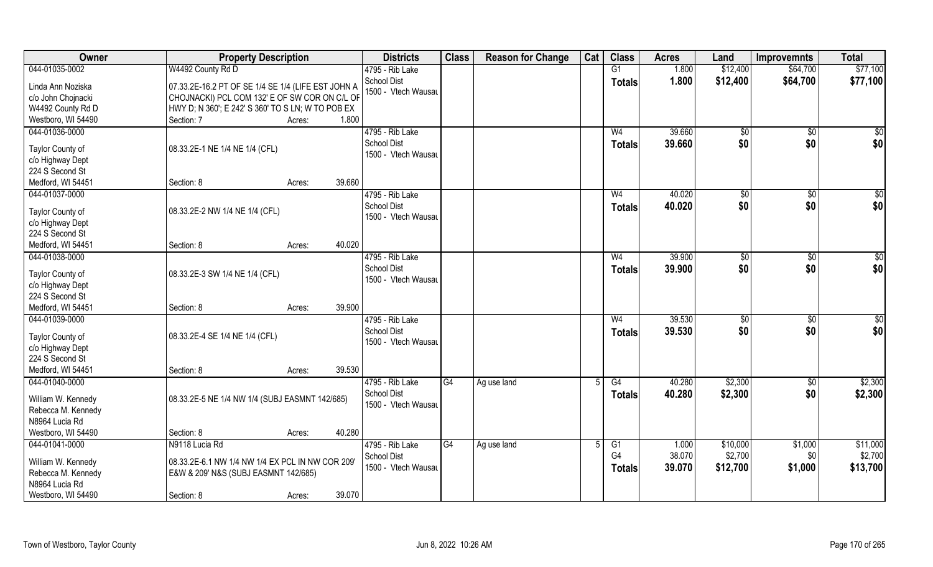| Owner                                   | <b>Property Description</b>                                                                         |                  | <b>Districts</b>                   | <b>Class</b> | <b>Reason for Change</b> | Cat | <b>Class</b>   | <b>Acres</b> | Land          | <b>Improvemnts</b> | <b>Total</b> |
|-----------------------------------------|-----------------------------------------------------------------------------------------------------|------------------|------------------------------------|--------------|--------------------------|-----|----------------|--------------|---------------|--------------------|--------------|
| 044-01035-0002                          | W4492 County Rd D                                                                                   |                  | 4795 - Rib Lake                    |              |                          |     | G1             | 1.800        | \$12,400      | \$64,700           | \$77,100     |
| Linda Ann Noziska<br>c/o John Chojnacki | 07.33.2E-16.2 PT OF SE 1/4 SE 1/4 (LIFE EST JOHN A<br>CHOJNACKI) PCL COM 132' E OF SW COR ON C/L OF |                  | School Dist<br>1500 - Vtech Wausau |              |                          |     | <b>Totals</b>  | 1.800        | \$12,400      | \$64,700           | \$77,100     |
| W4492 County Rd D                       | HWY D; N 360'; E 242' S 360' TO S LN; W TO POB EX                                                   |                  |                                    |              |                          |     |                |              |               |                    |              |
| Westboro, WI 54490                      | Section: 7                                                                                          | 1.800<br>Acres:  |                                    |              |                          |     |                |              |               |                    |              |
| 044-01036-0000                          |                                                                                                     |                  | 4795 - Rib Lake                    |              |                          |     | W <sub>4</sub> | 39.660       | \$0           | \$0                | $\sqrt{50}$  |
| Taylor County of<br>c/o Highway Dept    | 08.33.2E-1 NE 1/4 NE 1/4 (CFL)                                                                      |                  | School Dist<br>1500 - Vtech Wausau |              |                          |     | Totals         | 39.660       | \$0           | \$0                | \$0          |
| 224 S Second St                         |                                                                                                     |                  |                                    |              |                          |     |                |              |               |                    |              |
| Medford, WI 54451                       | Section: 8                                                                                          | 39.660<br>Acres: |                                    |              |                          |     |                |              |               |                    |              |
| 044-01037-0000                          |                                                                                                     |                  | 4795 - Rib Lake                    |              |                          |     | W <sub>4</sub> | 40.020       | $\sqrt{6}$    | $\sqrt[6]{3}$      | \$0          |
| Taylor County of                        | 08.33.2E-2 NW 1/4 NE 1/4 (CFL)                                                                      |                  | <b>School Dist</b>                 |              |                          |     | <b>Totals</b>  | 40.020       | \$0           | \$0                | \$0          |
| c/o Highway Dept                        |                                                                                                     |                  | 1500 - Vtech Wausau                |              |                          |     |                |              |               |                    |              |
| 224 S Second St                         |                                                                                                     |                  |                                    |              |                          |     |                |              |               |                    |              |
| Medford, WI 54451                       | Section: 8                                                                                          | 40.020<br>Acres: |                                    |              |                          |     |                |              |               |                    |              |
| 044-01038-0000                          |                                                                                                     |                  | 4795 - Rib Lake                    |              |                          |     | W4             | 39.900       | $\sqrt[6]{3}$ | \$0                | \$0          |
| Taylor County of                        | 08.33.2E-3 SW 1/4 NE 1/4 (CFL)                                                                      |                  | <b>School Dist</b>                 |              |                          |     | <b>Totals</b>  | 39.900       | \$0           | \$0                | \$0          |
| c/o Highway Dept                        |                                                                                                     |                  | 1500 - Vtech Wausau                |              |                          |     |                |              |               |                    |              |
| 224 S Second St                         |                                                                                                     |                  |                                    |              |                          |     |                |              |               |                    |              |
| Medford, WI 54451                       | Section: 8                                                                                          | 39.900<br>Acres: |                                    |              |                          |     |                |              |               |                    |              |
| 044-01039-0000                          |                                                                                                     |                  | 4795 - Rib Lake                    |              |                          |     | W <sub>4</sub> | 39.530       | \$0           | \$0                | \$0          |
| Taylor County of                        | 08.33.2E-4 SE 1/4 NE 1/4 (CFL)                                                                      |                  | <b>School Dist</b>                 |              |                          |     | <b>Totals</b>  | 39.530       | \$0           | \$0                | \$0          |
| c/o Highway Dept                        |                                                                                                     |                  | 1500 - Vtech Wausau                |              |                          |     |                |              |               |                    |              |
| 224 S Second St                         |                                                                                                     |                  |                                    |              |                          |     |                |              |               |                    |              |
| Medford, WI 54451                       | Section: 8                                                                                          | 39.530<br>Acres: |                                    |              |                          |     |                |              |               |                    |              |
| 044-01040-0000                          |                                                                                                     |                  | 4795 - Rib Lake                    | G4           | Ag use land              | 5   | G4             | 40.280       | \$2,300       | \$0                | \$2,300      |
| William W. Kennedy                      | 08.33.2E-5 NE 1/4 NW 1/4 (SUBJ EASMNT 142/685)                                                      |                  | <b>School Dist</b>                 |              |                          |     | <b>Totals</b>  | 40.280       | \$2,300       | \$0                | \$2,300      |
| Rebecca M. Kennedy                      |                                                                                                     |                  | 1500 - Vtech Wausau                |              |                          |     |                |              |               |                    |              |
| N8964 Lucia Rd                          |                                                                                                     |                  |                                    |              |                          |     |                |              |               |                    |              |
| Westboro, WI 54490                      | Section: 8                                                                                          | 40.280<br>Acres: |                                    |              |                          |     |                |              |               |                    |              |
| 044-01041-0000                          | N9118 Lucia Rd                                                                                      |                  | 4795 - Rib Lake                    | G4           | Ag use land              | 5   | G1             | 1.000        | \$10,000      | \$1,000            | \$11,000     |
| William W. Kennedy                      | 08.33.2E-6.1 NW 1/4 NW 1/4 EX PCL IN NW COR 209'                                                    |                  | <b>School Dist</b>                 |              |                          |     | G <sub>4</sub> | 38.070       | \$2,700       | \$0                | \$2,700      |
| Rebecca M. Kennedy                      | E&W & 209' N&S (SUBJ EASMNT 142/685)                                                                |                  | 1500 - Vtech Wausau                |              |                          |     | <b>Totals</b>  | 39.070       | \$12,700      | \$1,000            | \$13,700     |
| N8964 Lucia Rd                          |                                                                                                     |                  |                                    |              |                          |     |                |              |               |                    |              |
| Westboro, WI 54490                      | Section: 8                                                                                          | 39.070<br>Acres: |                                    |              |                          |     |                |              |               |                    |              |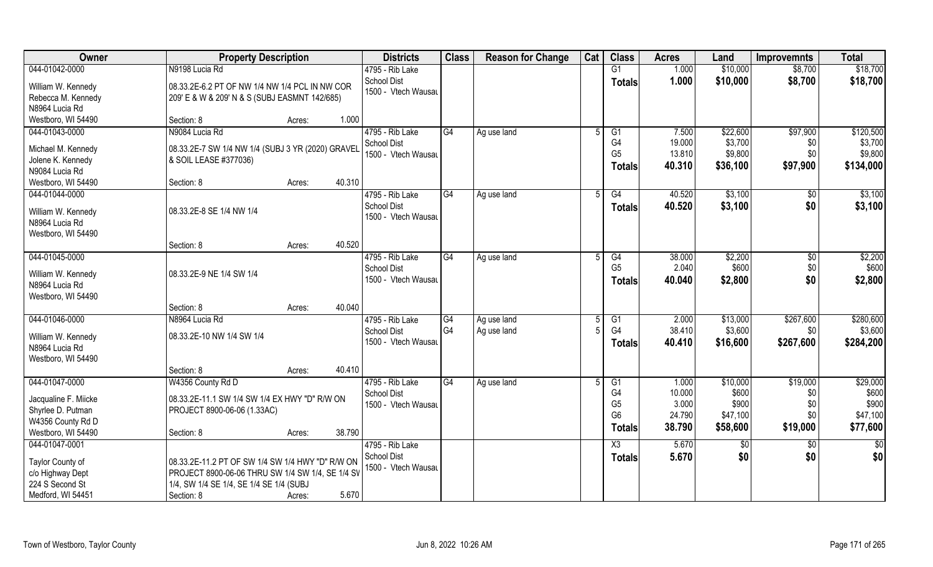| Owner                                | <b>Property Description</b>                       | <b>Districts</b>                          | <b>Class</b>    | <b>Reason for Change</b> | Cat | <b>Class</b>   | <b>Acres</b> | Land           | <b>Improvemnts</b> | <b>Total</b> |
|--------------------------------------|---------------------------------------------------|-------------------------------------------|-----------------|--------------------------|-----|----------------|--------------|----------------|--------------------|--------------|
| 044-01042-0000                       | N9198 Lucia Rd                                    | 4795 - Rib Lake                           |                 |                          |     | G1             | 1.000        | \$10,000       | \$8,700            | \$18,700     |
| William W. Kennedy                   | 08.33.2E-6.2 PT OF NW 1/4 NW 1/4 PCL IN NW COR    | <b>School Dist</b>                        |                 |                          |     | <b>Totals</b>  | 1.000        | \$10,000       | \$8,700            | \$18,700     |
| Rebecca M. Kennedy                   | 209' E & W & 209' N & S (SUBJ EASMNT 142/685)     | 1500 - Vtech Wausau                       |                 |                          |     |                |              |                |                    |              |
| N8964 Lucia Rd                       |                                                   |                                           |                 |                          |     |                |              |                |                    |              |
| Westboro, WI 54490                   | 1.000<br>Section: 8<br>Acres:                     |                                           |                 |                          |     |                |              |                |                    |              |
| 044-01043-0000                       | N9084 Lucia Rd                                    | 4795 - Rib Lake                           | G4              | Ag use land              |     | G <sub>1</sub> | 7.500        | \$22,600       | \$97,900           | \$120,500    |
|                                      |                                                   | <b>School Dist</b>                        |                 |                          |     | G4             | 19.000       | \$3,700        | \$0                | \$3,700      |
| Michael M. Kennedy                   | 08.33.2E-7 SW 1/4 NW 1/4 (SUBJ 3 YR (2020) GRAVEL | 1500 - Vtech Wausau                       |                 |                          |     | G <sub>5</sub> | 13.810       | \$9,800        | \$0                | \$9,800      |
| Jolene K. Kennedy                    | & SOIL LEASE #377036)                             |                                           |                 |                          |     | <b>Totals</b>  | 40.310       | \$36,100       | \$97,900           | \$134,000    |
| N9084 Lucia Rd                       | 40.310                                            |                                           |                 |                          |     |                |              |                |                    |              |
| Westboro, WI 54490                   | Section: 8<br>Acres:                              |                                           |                 |                          |     |                |              |                |                    |              |
| 044-01044-0000                       |                                                   | 4795 - Rib Lake                           | G4              | Ag use land              | 5   | G4             | 40.520       | \$3,100        | $\sqrt[6]{30}$     | \$3,100      |
| William W. Kennedy                   | 08.33.2E-8 SE 1/4 NW 1/4                          | <b>School Dist</b><br>1500 - Vtech Wausau |                 |                          |     | <b>Totals</b>  | 40.520       | \$3,100        | \$0                | \$3,100      |
| N8964 Lucia Rd                       |                                                   |                                           |                 |                          |     |                |              |                |                    |              |
| Westboro, WI 54490                   |                                                   |                                           |                 |                          |     |                |              |                |                    |              |
|                                      | 40.520<br>Section: 8<br>Acres:                    |                                           |                 |                          |     |                |              |                |                    |              |
| 044-01045-0000                       |                                                   | 4795 - Rib Lake                           | G4              | Ag use land              |     | G4             | 38.000       | \$2,200        | \$0                | \$2,200      |
|                                      | 08.33.2E-9 NE 1/4 SW 1/4                          | <b>School Dist</b>                        |                 |                          |     | G <sub>5</sub> | 2.040        | \$600          | \$0                | \$600        |
| William W. Kennedy<br>N8964 Lucia Rd |                                                   | 1500 - Vtech Wausau                       |                 |                          |     | <b>Totals</b>  | 40.040       | \$2,800        | \$0                | \$2,800      |
| Westboro, WI 54490                   |                                                   |                                           |                 |                          |     |                |              |                |                    |              |
|                                      | 40.040<br>Section: 8<br>Acres:                    |                                           |                 |                          |     |                |              |                |                    |              |
| 044-01046-0000                       | N8964 Lucia Rd                                    | 4795 - Rib Lake                           | $\overline{G4}$ | Ag use land              |     | G1             | 2.000        | \$13,000       | \$267,600          | \$280,600    |
|                                      |                                                   | <b>School Dist</b>                        | G4              | Ag use land              |     | G <sub>4</sub> | 38.410       | \$3,600        | \$0                | \$3,600      |
| William W. Kennedy                   | 08.33.2E-10 NW 1/4 SW 1/4                         | 1500 - Vtech Wausau                       |                 |                          |     | <b>Totals</b>  | 40.410       | \$16,600       | \$267,600          | \$284,200    |
| N8964 Lucia Rd                       |                                                   |                                           |                 |                          |     |                |              |                |                    |              |
| Westboro, WI 54490                   |                                                   |                                           |                 |                          |     |                |              |                |                    |              |
|                                      | 40.410<br>Section: 8<br>Acres:                    |                                           |                 |                          |     |                |              |                |                    |              |
| 044-01047-0000                       | W4356 County Rd D                                 | 4795 - Rib Lake                           | G4              | Ag use land              |     | G1             | 1.000        | \$10,000       | \$19,000           | \$29,000     |
| Jacqualine F. Miicke                 | 08.33.2E-11.1 SW 1/4 SW 1/4 EX HWY "D" R/W ON     | <b>School Dist</b>                        |                 |                          |     | G4             | 10.000       | \$600          | \$0                | \$600        |
| Shyrlee D. Putman                    | PROJECT 8900-06-06 (1.33AC)                       | 1500 - Vtech Wausau                       |                 |                          |     | G <sub>5</sub> | 3.000        | \$900          | \$0                | \$900        |
| W4356 County Rd D                    |                                                   |                                           |                 |                          |     | G <sub>6</sub> | 24.790       | \$47,100       | \$0                | \$47,100     |
| Westboro, WI 54490                   | 38.790<br>Section: 8<br>Acres:                    |                                           |                 |                          |     | <b>Totals</b>  | 38.790       | \$58,600       | \$19,000           | \$77,600     |
| 044-01047-0001                       |                                                   | 4795 - Rib Lake                           |                 |                          |     | X3             | 5.670        | $\sqrt[6]{30}$ | \$0                | $rac{1}{6}$  |
|                                      |                                                   | <b>School Dist</b>                        |                 |                          |     | <b>Totals</b>  | 5.670        | \$0            | \$0                | \$0          |
| Taylor County of                     | 08.33.2E-11.2 PT OF SW 1/4 SW 1/4 HWY "D" R/W ON  | 1500 - Vtech Wausau                       |                 |                          |     |                |              |                |                    |              |
| c/o Highway Dept                     | PROJECT 8900-06-06 THRU SW 1/4 SW 1/4, SE 1/4 SV  |                                           |                 |                          |     |                |              |                |                    |              |
| 224 S Second St                      | 1/4, SW 1/4 SE 1/4, SE 1/4 SE 1/4 (SUBJ           |                                           |                 |                          |     |                |              |                |                    |              |
| Medford, WI 54451                    | 5.670<br>Section: 8<br>Acres:                     |                                           |                 |                          |     |                |              |                |                    |              |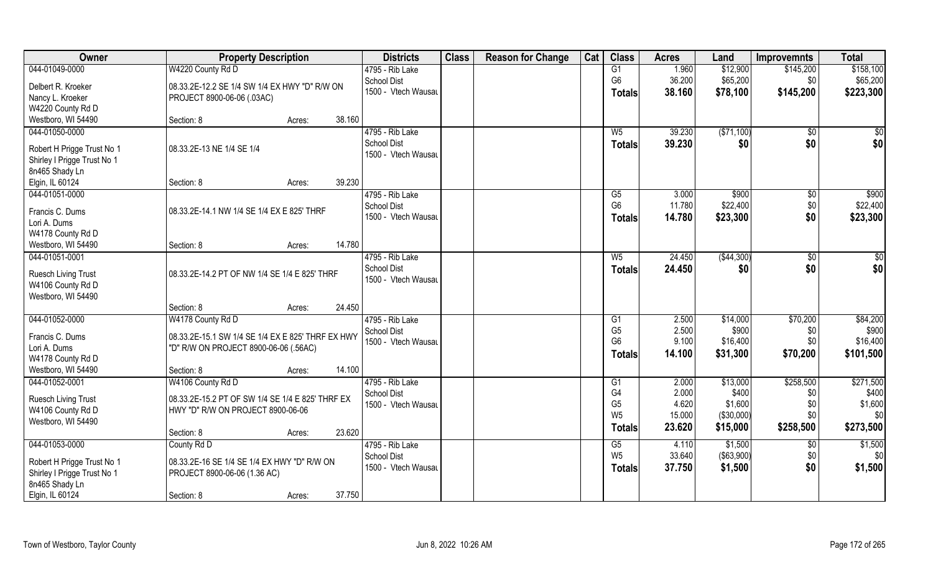| Owner                             | <b>Property Description</b>                       |        |        | <b>Districts</b>                          | <b>Class</b> | <b>Reason for Change</b> | Cat | <b>Class</b>                     | <b>Acres</b>    | Land              | <b>Improvemnts</b>   | <b>Total</b>       |
|-----------------------------------|---------------------------------------------------|--------|--------|-------------------------------------------|--------------|--------------------------|-----|----------------------------------|-----------------|-------------------|----------------------|--------------------|
| 044-01049-0000                    | W4220 County Rd D                                 |        |        | 4795 - Rib Lake                           |              |                          |     | G1                               | 1.960           | \$12,900          | \$145,200            | \$158,100          |
| Delbert R. Kroeker                | 08.33.2E-12.2 SE 1/4 SW 1/4 EX HWY "D" R/W ON     |        |        | <b>School Dist</b>                        |              |                          |     | G <sub>6</sub>                   | 36.200          | \$65,200          | \$0                  | \$65,200           |
| Nancy L. Kroeker                  | PROJECT 8900-06-06 (.03AC)                        |        |        | 1500 - Vtech Wausau                       |              |                          |     | <b>Totals</b>                    | 38.160          | \$78,100          | \$145,200            | \$223,300          |
| W4220 County Rd D                 |                                                   |        |        |                                           |              |                          |     |                                  |                 |                   |                      |                    |
| Westboro, WI 54490                | Section: 8                                        | Acres: | 38.160 |                                           |              |                          |     |                                  |                 |                   |                      |                    |
| 044-01050-0000                    |                                                   |        |        | 4795 - Rib Lake                           |              |                          |     | W <sub>5</sub>                   | 39.230          | ( \$71,100)       | \$0                  | \$0                |
|                                   |                                                   |        |        | <b>School Dist</b>                        |              |                          |     | <b>Totals</b>                    | 39.230          | \$0               | \$0                  | \$0                |
| Robert H Prigge Trust No 1        | 08.33.2E-13 NE 1/4 SE 1/4                         |        |        | 1500 - Vtech Wausau                       |              |                          |     |                                  |                 |                   |                      |                    |
| Shirley I Prigge Trust No 1       |                                                   |        |        |                                           |              |                          |     |                                  |                 |                   |                      |                    |
| 8n465 Shady Ln                    | Section: 8                                        |        | 39.230 |                                           |              |                          |     |                                  |                 |                   |                      |                    |
| Elgin, IL 60124<br>044-01051-0000 |                                                   | Acres: |        | 4795 - Rib Lake                           |              |                          |     |                                  |                 |                   |                      | \$900              |
|                                   |                                                   |        |        | <b>School Dist</b>                        |              |                          |     | G5<br>G <sub>6</sub>             | 3.000<br>11.780 | \$900<br>\$22,400 | $\sqrt[6]{3}$<br>\$0 | \$22,400           |
| Francis C. Dums                   | 08.33.2E-14.1 NW 1/4 SE 1/4 EX E 825' THRF        |        |        | 1500 - Vtech Wausau                       |              |                          |     |                                  | 14.780          | \$23,300          | \$0                  | \$23,300           |
| Lori A. Dums                      |                                                   |        |        |                                           |              |                          |     | <b>Totals</b>                    |                 |                   |                      |                    |
| W4178 County Rd D                 |                                                   |        |        |                                           |              |                          |     |                                  |                 |                   |                      |                    |
| Westboro, WI 54490                | Section: 8                                        | Acres: | 14.780 |                                           |              |                          |     |                                  |                 |                   |                      |                    |
| 044-01051-0001                    |                                                   |        |        | 4795 - Rib Lake                           |              |                          |     | $W_5$                            | 24.450          | ( \$44, 300)      | \$0                  | \$0                |
| <b>Ruesch Living Trust</b>        | 08.33.2E-14.2 PT OF NW 1/4 SE 1/4 E 825' THRF     |        |        | <b>School Dist</b>                        |              |                          |     | <b>Totals</b>                    | 24.450          | \$0               | \$0                  | \$0                |
| W4106 County Rd D                 |                                                   |        |        | 1500 - Vtech Wausau                       |              |                          |     |                                  |                 |                   |                      |                    |
| Westboro, WI 54490                |                                                   |        |        |                                           |              |                          |     |                                  |                 |                   |                      |                    |
|                                   | Section: 8                                        | Acres: | 24.450 |                                           |              |                          |     |                                  |                 |                   |                      |                    |
| 044-01052-0000                    | W4178 County Rd D                                 |        |        | 4795 - Rib Lake                           |              |                          |     | G1                               | 2.500           | \$14,000          | \$70,200             | \$84,200           |
|                                   |                                                   |        |        | <b>School Dist</b>                        |              |                          |     | G <sub>5</sub>                   | 2.500           | \$900             | \$0                  | \$900              |
| Francis C. Dums                   | 08.33.2E-15.1 SW 1/4 SE 1/4 EX E 825' THRF EX HWY |        |        | 1500 - Vtech Wausau                       |              |                          |     | G <sub>6</sub>                   | 9.100           | \$16,400          | \$0                  | \$16,400           |
| Lori A. Dums                      | "D" R/W ON PROJECT 8900-06-06 (.56AC)             |        |        |                                           |              |                          |     | <b>Totals</b>                    | 14.100          | \$31,300          | \$70,200             | \$101,500          |
| W4178 County Rd D                 |                                                   |        | 14.100 |                                           |              |                          |     |                                  |                 |                   |                      |                    |
| Westboro, WI 54490                | Section: 8                                        | Acres: |        |                                           |              |                          |     |                                  |                 |                   |                      |                    |
| 044-01052-0001                    | W4106 County Rd D                                 |        |        | 4795 - Rib Lake                           |              |                          |     | G <sub>1</sub><br>G <sub>4</sub> | 2.000<br>2.000  | \$13,000<br>\$400 | \$258,500            | \$271,500<br>\$400 |
| Ruesch Living Trust               | 08.33.2E-15.2 PT OF SW 1/4 SE 1/4 E 825' THRF EX  |        |        | <b>School Dist</b><br>1500 - Vtech Wausau |              |                          |     | G <sub>5</sub>                   | 4.620           | \$1,600           | \$0<br>\$0           | \$1,600            |
| W4106 County Rd D                 | HWY "D" R/W ON PROJECT 8900-06-06                 |        |        |                                           |              |                          |     | W <sub>5</sub>                   | 15.000          | (\$30,000)        | \$0                  | \$0                |
| Westboro, WI 54490                |                                                   |        |        |                                           |              |                          |     |                                  | 23.620          | \$15,000          | \$258,500            | \$273,500          |
|                                   | Section: 8                                        | Acres: | 23.620 |                                           |              |                          |     | Totals                           |                 |                   |                      |                    |
| 044-01053-0000                    | County Rd D                                       |        |        | 4795 - Rib Lake                           |              |                          |     | G5                               | 4.110           | \$1,500           | \$0                  | \$1,500            |
| Robert H Prigge Trust No 1        | 08.33.2E-16 SE 1/4 SE 1/4 EX HWY "D" R/W ON       |        |        | <b>School Dist</b>                        |              |                          |     | W <sub>5</sub>                   | 33.640          | (\$63,900)        | \$0                  | \$0                |
| Shirley I Prigge Trust No 1       | PROJECT 8900-06-06 (1.36 AC)                      |        |        | 1500 - Vtech Wausau                       |              |                          |     | Totals                           | 37.750          | \$1,500           | \$0                  | \$1,500            |
| 8n465 Shady Ln                    |                                                   |        |        |                                           |              |                          |     |                                  |                 |                   |                      |                    |
| Elgin, IL 60124                   | Section: 8                                        | Acres: | 37.750 |                                           |              |                          |     |                                  |                 |                   |                      |                    |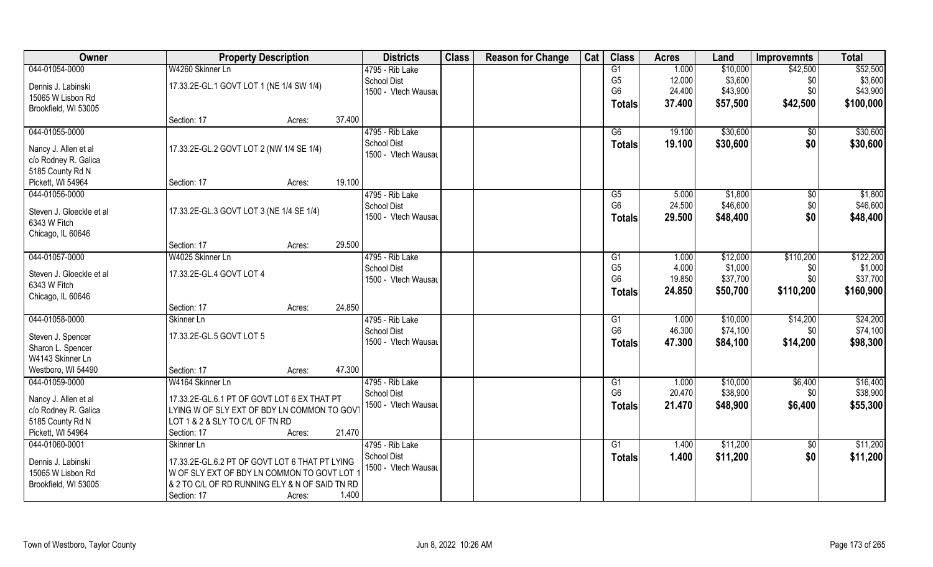| Owner                                    |                                                | <b>Property Description</b> |        | <b>Districts</b>    | <b>Class</b> | <b>Reason for Change</b> | Cat | <b>Class</b>    | <b>Acres</b> | Land     | <b>Improvemnts</b> | <b>Total</b> |
|------------------------------------------|------------------------------------------------|-----------------------------|--------|---------------------|--------------|--------------------------|-----|-----------------|--------------|----------|--------------------|--------------|
| 044-01054-0000                           | W4260 Skinner Ln                               |                             |        | 4795 - Rib Lake     |              |                          |     | G1              | 1.000        | \$10,000 | \$42,500           | \$52,500     |
| Dennis J. Labinski                       | 17.33.2E-GL.1 GOVT LOT 1 (NE 1/4 SW 1/4)       |                             |        | <b>School Dist</b>  |              |                          |     | G <sub>5</sub>  | 12.000       | \$3,600  | \$0                | \$3,600      |
| 15065 W Lisbon Rd                        |                                                |                             |        | 1500 - Vtech Wausau |              |                          |     | G <sub>6</sub>  | 24.400       | \$43,900 | \$0                | \$43,900     |
| Brookfield, WI 53005                     |                                                |                             |        |                     |              |                          |     | <b>Totals</b>   | 37.400       | \$57,500 | \$42,500           | \$100,000    |
|                                          | Section: 17                                    | Acres:                      | 37.400 |                     |              |                          |     |                 |              |          |                    |              |
| 044-01055-0000                           |                                                |                             |        | 4795 - Rib Lake     |              |                          |     | G6              | 19.100       | \$30,600 | $\overline{50}$    | \$30,600     |
|                                          |                                                |                             |        | <b>School Dist</b>  |              |                          |     | Totals          | 19.100       | \$30,600 | \$0                | \$30,600     |
| Nancy J. Allen et al                     | 17.33.2E-GL.2 GOVT LOT 2 (NW 1/4 SE 1/4)       |                             |        | 1500 - Vtech Wausau |              |                          |     |                 |              |          |                    |              |
| c/o Rodney R. Galica<br>5185 County Rd N |                                                |                             |        |                     |              |                          |     |                 |              |          |                    |              |
| Pickett, WI 54964                        | Section: 17                                    | Acres:                      | 19.100 |                     |              |                          |     |                 |              |          |                    |              |
| 044-01056-0000                           |                                                |                             |        | 4795 - Rib Lake     |              |                          |     | G5              | 5.000        | \$1,800  | \$0                | \$1,800      |
|                                          |                                                |                             |        | School Dist         |              |                          |     | G <sub>6</sub>  | 24.500       | \$46,600 | \$0                | \$46,600     |
| Steven J. Gloeckle et al                 | 17.33.2E-GL.3 GOVT LOT 3 (NE 1/4 SE 1/4)       |                             |        | 1500 - Vtech Wausau |              |                          |     | Totals          | 29.500       | \$48,400 | \$0                | \$48,400     |
| 6343 W Fitch                             |                                                |                             |        |                     |              |                          |     |                 |              |          |                    |              |
| Chicago, IL 60646                        |                                                |                             |        |                     |              |                          |     |                 |              |          |                    |              |
|                                          | Section: 17                                    | Acres:                      | 29.500 |                     |              |                          |     |                 |              |          |                    |              |
| 044-01057-0000                           | W4025 Skinner Ln                               |                             |        | 4795 - Rib Lake     |              |                          |     | G1              | 1.000        | \$12,000 | \$110,200          | \$122,200    |
| Steven J. Gloeckle et al                 | 17.33.2E-GL.4 GOVT LOT 4                       |                             |        | <b>School Dist</b>  |              |                          |     | G <sub>5</sub>  | 4.000        | \$1,000  | \$0                | \$1,000      |
| 6343 W Fitch                             |                                                |                             |        | 1500 - Vtech Wausau |              |                          |     | G <sub>6</sub>  | 19.850       | \$37,700 | \$0                | \$37,700     |
| Chicago, IL 60646                        |                                                |                             |        |                     |              |                          |     | <b>Totals</b>   | 24.850       | \$50,700 | \$110,200          | \$160,900    |
|                                          | Section: 17                                    | Acres:                      | 24.850 |                     |              |                          |     |                 |              |          |                    |              |
| 044-01058-0000                           | Skinner Ln                                     |                             |        | 4795 - Rib Lake     |              |                          |     | $\overline{G1}$ | 1.000        | \$10,000 | \$14,200           | \$24,200     |
|                                          |                                                |                             |        | <b>School Dist</b>  |              |                          |     | G <sub>6</sub>  | 46.300       | \$74,100 | \$0                | \$74,100     |
| Steven J. Spencer                        | 17.33.2E-GL.5 GOVT LOT 5                       |                             |        | 1500 - Vtech Wausau |              |                          |     | <b>Totals</b>   | 47.300       | \$84,100 | \$14,200           | \$98,300     |
| Sharon L. Spencer                        |                                                |                             |        |                     |              |                          |     |                 |              |          |                    |              |
| W4143 Skinner Ln                         |                                                |                             |        |                     |              |                          |     |                 |              |          |                    |              |
| Westboro, WI 54490                       | Section: 17                                    | Acres:                      | 47.300 |                     |              |                          |     |                 |              |          |                    |              |
| 044-01059-0000                           | W4164 Skinner Ln                               |                             |        | 4795 - Rib Lake     |              |                          |     | G1              | 1.000        | \$10,000 | \$6,400            | \$16,400     |
| Nancy J. Allen et al                     | 17.33.2E-GL.6.1 PT OF GOVT LOT 6 EX THAT PT    |                             |        | <b>School Dist</b>  |              |                          |     | G <sub>6</sub>  | 20.470       | \$38,900 | \$0                | \$38,900     |
| c/o Rodney R. Galica                     | LYING W OF SLY EXT OF BDY LN COMMON TO GOVT    |                             |        | 1500 - Vtech Wausau |              |                          |     | <b>Totals</b>   | 21.470       | \$48,900 | \$6,400            | \$55,300     |
| 5185 County Rd N                         | LOT 1 & 2 & SLY TO C/L OF TN RD                |                             |        |                     |              |                          |     |                 |              |          |                    |              |
| Pickett, WI 54964                        | Section: 17                                    | Acres:                      | 21.470 |                     |              |                          |     |                 |              |          |                    |              |
| 044-01060-0001                           | Skinner Ln                                     |                             |        | 4795 - Rib Lake     |              |                          |     | G1              | 1.400        | \$11,200 | $\sqrt{6}$         | \$11,200     |
|                                          | 17.33.2E-GL.6.2 PT OF GOVT LOT 6 THAT PT LYING |                             |        | <b>School Dist</b>  |              |                          |     | <b>Totals</b>   | 1.400        | \$11,200 | \$0                | \$11,200     |
| Dennis J. Labinski<br>15065 W Lisbon Rd  | W OF SLY EXT OF BDY LN COMMON TO GOVT LOT 1    |                             |        | 1500 - Vtech Wausau |              |                          |     |                 |              |          |                    |              |
| Brookfield, WI 53005                     | & 2 TO C/L OF RD RUNNING ELY & N OF SAID TN RD |                             |        |                     |              |                          |     |                 |              |          |                    |              |
|                                          |                                                |                             | 1.400  |                     |              |                          |     |                 |              |          |                    |              |
|                                          | Section: 17                                    | Acres:                      |        |                     |              |                          |     |                 |              |          |                    |              |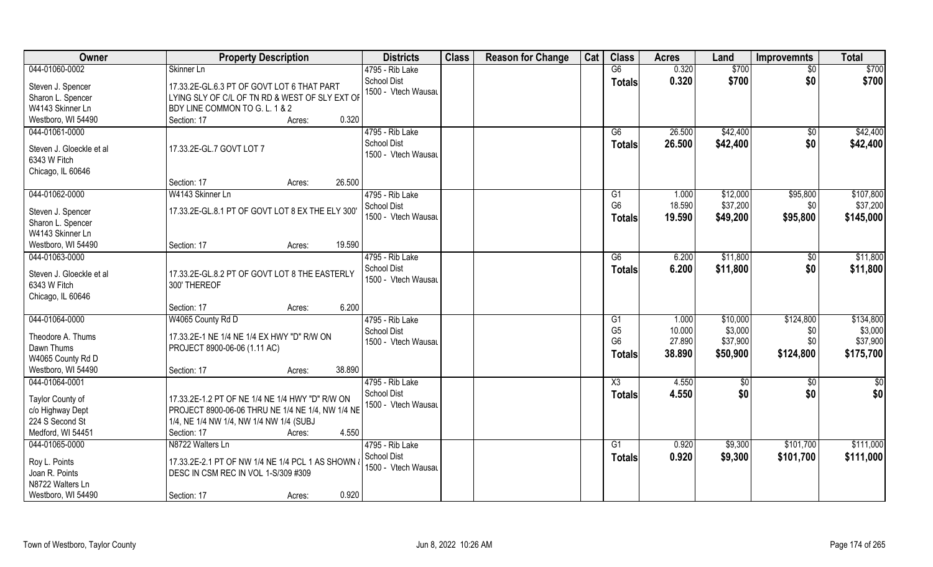| Owner                                                                                       | <b>Property Description</b>                                                                                                                                                      | <b>Districts</b>                                             | <b>Class</b> | <b>Reason for Change</b> | Cat | <b>Class</b>                                            | <b>Acres</b>                        | Land                                        | <b>Improvemnts</b>                   | <b>Total</b>                                  |
|---------------------------------------------------------------------------------------------|----------------------------------------------------------------------------------------------------------------------------------------------------------------------------------|--------------------------------------------------------------|--------------|--------------------------|-----|---------------------------------------------------------|-------------------------------------|---------------------------------------------|--------------------------------------|-----------------------------------------------|
| 044-01060-0002                                                                              | Skinner Ln                                                                                                                                                                       | 4795 - Rib Lake                                              |              |                          |     | G6                                                      | 0.320                               | \$700                                       | \$0                                  | \$700                                         |
| Steven J. Spencer<br>Sharon L. Spencer<br>W4143 Skinner Ln                                  | 17.33.2E-GL.6.3 PT OF GOVT LOT 6 THAT PART<br>LYING SLY OF C/L OF TN RD & WEST OF SLY EXT OF<br>BDY LINE COMMON TO G. L. 1 & 2                                                   | <b>School Dist</b><br>1500 - Vtech Wausau                    |              |                          |     | <b>Totals</b>                                           | 0.320                               | \$700                                       | \$0                                  | \$700                                         |
| Westboro, WI 54490                                                                          | 0.320<br>Section: 17<br>Acres:                                                                                                                                                   |                                                              |              |                          |     |                                                         |                                     |                                             |                                      |                                               |
| 044-01061-0000<br>Steven J. Gloeckle et al<br>6343 W Fitch<br>Chicago, IL 60646             | 17.33.2E-GL.7 GOVT LOT 7                                                                                                                                                         | 4795 - Rib Lake<br><b>School Dist</b><br>1500 - Vtech Wausau |              |                          |     | G6<br>Totals                                            | 26.500<br>26.500                    | \$42,400<br>\$42,400                        | \$0<br>\$0                           | \$42,400<br>\$42,400                          |
|                                                                                             | 26.500<br>Section: 17<br>Acres:                                                                                                                                                  |                                                              |              |                          |     |                                                         |                                     |                                             |                                      |                                               |
| 044-01062-0000<br>Steven J. Spencer<br>Sharon L. Spencer<br>W4143 Skinner Ln                | W4143 Skinner Ln<br>17.33.2E-GL.8.1 PT OF GOVT LOT 8 EX THE ELY 300'                                                                                                             | 4795 - Rib Lake<br>School Dist<br>1500 - Vtech Wausau        |              |                          |     | G1<br>G <sub>6</sub><br><b>Totals</b>                   | 1.000<br>18.590<br>19.590           | \$12,000<br>\$37,200<br>\$49,200            | \$95,800<br>\$0<br>\$95,800          | \$107,800<br>\$37,200<br>\$145,000            |
| Westboro, WI 54490                                                                          | 19.590<br>Section: 17<br>Acres:                                                                                                                                                  |                                                              |              |                          |     |                                                         |                                     |                                             |                                      |                                               |
| 044-01063-0000<br>Steven J. Gloeckle et al<br>6343 W Fitch<br>Chicago, IL 60646             | 17.33.2E-GL.8.2 PT OF GOVT LOT 8 THE EASTERLY<br>300' THEREOF                                                                                                                    | 4795 - Rib Lake<br><b>School Dist</b><br>1500 - Vtech Wausau |              |                          |     | G6<br><b>Totals</b>                                     | 6.200<br>6.200                      | \$11,800<br>\$11,800                        | \$0<br>\$0                           | \$11,800<br>\$11,800                          |
|                                                                                             | 6.200<br>Section: 17<br>Acres:                                                                                                                                                   |                                                              |              |                          |     |                                                         |                                     |                                             |                                      |                                               |
| 044-01064-0000<br>Theodore A. Thums<br>Dawn Thums                                           | W4065 County Rd D<br>17.33.2E-1 NE 1/4 NE 1/4 EX HWY "D" R/W ON<br>PROJECT 8900-06-06 (1.11 AC)                                                                                  | 4795 - Rib Lake<br><b>School Dist</b><br>1500 - Vtech Wausau |              |                          |     | G1<br>G <sub>5</sub><br>G <sub>6</sub><br><b>Totals</b> | 1.000<br>10.000<br>27.890<br>38.890 | \$10,000<br>\$3,000<br>\$37,900<br>\$50,900 | \$124,800<br>\$0<br>\$0<br>\$124,800 | \$134,800<br>\$3,000<br>\$37,900<br>\$175,700 |
| W4065 County Rd D                                                                           | 38.890                                                                                                                                                                           |                                                              |              |                          |     |                                                         |                                     |                                             |                                      |                                               |
| Westboro, WI 54490<br>044-01064-0001                                                        | Section: 17<br>Acres:                                                                                                                                                            | 4795 - Rib Lake                                              |              |                          |     | $\overline{\text{X3}}$                                  | 4.550                               | \$0                                         | $\overline{30}$                      | \$0                                           |
| Taylor County of<br>c/o Highway Dept<br>224 S Second St<br>Medford, WI 54451                | 17.33.2E-1.2 PT OF NE 1/4 NE 1/4 HWY "D" R/W ON<br>PROJECT 8900-06-06 THRU NE 1/4 NE 1/4, NW 1/4 NE<br>1/4, NE 1/4 NW 1/4, NW 1/4 NW 1/4 (SUBJ<br>4.550<br>Section: 17<br>Acres: | <b>School Dist</b><br>1500 - Vtech Wausau                    |              |                          |     | <b>Totals</b>                                           | 4.550                               | \$0                                         | \$0                                  | \$0                                           |
| 044-01065-0000<br>Roy L. Points<br>Joan R. Points<br>N8722 Walters Ln<br>Westboro, WI 54490 | N8722 Walters Ln<br>17.33.2E-2.1 PT OF NW 1/4 NE 1/4 PCL 1 AS SHOWN<br>DESC IN CSM REC IN VOL 1-S/309 #309<br>0.920<br>Section: 17<br>Acres:                                     | 4795 - Rib Lake<br>School Dist<br>1500 - Vtech Wausau        |              |                          |     | G1<br><b>Totals</b>                                     | 0.920<br>0.920                      | \$9,300<br>\$9,300                          | \$101,700<br>\$101,700               | \$111,000<br>\$111,000                        |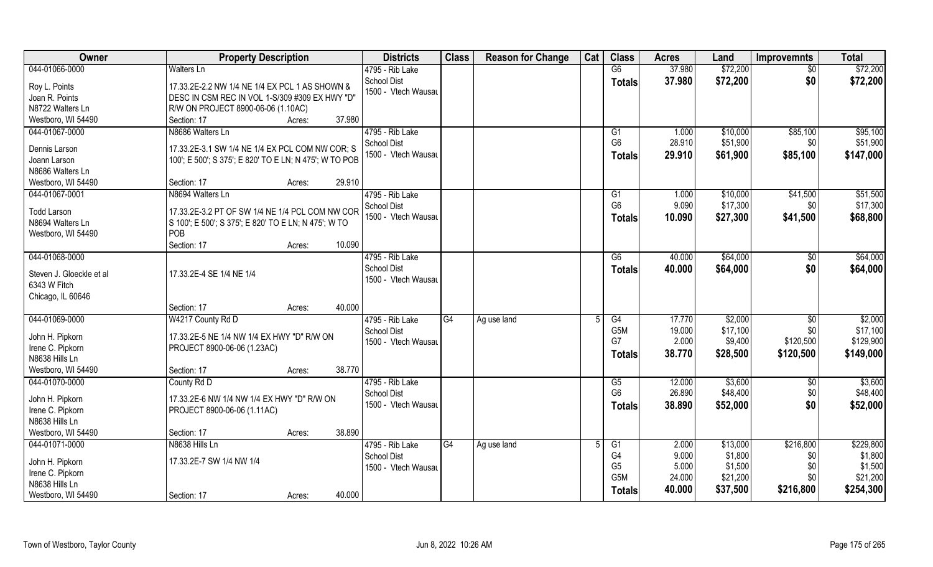| Owner                                                                           | <b>Property Description</b>                                                                                                            |        | <b>Districts</b>                                             | <b>Class</b> | <b>Reason for Change</b> | Cat | <b>Class</b>                                   | <b>Acres</b>                      | Land                                       | <b>Improvemnts</b>             | <b>Total</b>                                |
|---------------------------------------------------------------------------------|----------------------------------------------------------------------------------------------------------------------------------------|--------|--------------------------------------------------------------|--------------|--------------------------|-----|------------------------------------------------|-----------------------------------|--------------------------------------------|--------------------------------|---------------------------------------------|
| 044-01066-0000                                                                  | <b>Walters Ln</b>                                                                                                                      |        | 4795 - Rib Lake                                              |              |                          |     | G6                                             | 37.980                            | \$72,200                                   | \$0                            | \$72,200                                    |
| Roy L. Points<br>Joan R. Points<br>N8722 Walters Ln                             | 17.33.2E-2.2 NW 1/4 NE 1/4 EX PCL 1 AS SHOWN &<br>DESC IN CSM REC IN VOL 1-S/309 #309 EX HWY "D"<br>R/W ON PROJECT 8900-06-06 (1.10AC) |        | School Dist<br>1500 - Vtech Wausau                           |              |                          |     | <b>Totals</b>                                  | 37.980                            | \$72,200                                   | \$0                            | \$72,200                                    |
| Westboro, WI 54490                                                              | Section: 17<br>Acres:                                                                                                                  | 37.980 |                                                              |              |                          |     |                                                |                                   |                                            |                                |                                             |
| 044-01067-0000                                                                  | N8686 Walters Ln                                                                                                                       |        | 4795 - Rib Lake<br>School Dist                               |              |                          |     | G1<br>G <sub>6</sub>                           | 1.000<br>28.910                   | \$10,000<br>\$51,900                       | \$85,100<br>\$0                | \$95,100<br>\$51,900                        |
| Dennis Larson<br>Joann Larson<br>N8686 Walters Ln                               | 17.33.2E-3.1 SW 1/4 NE 1/4 EX PCL COM NW COR; S<br>100'; E 500'; S 375'; E 820' TO E LN; N 475'; W TO POB                              |        | 1500 - Vtech Wausau                                          |              |                          |     | <b>Totals</b>                                  | 29.910                            | \$61,900                                   | \$85,100                       | \$147,000                                   |
| Westboro, WI 54490                                                              | Section: 17<br>Acres:                                                                                                                  | 29.910 |                                                              |              |                          |     |                                                |                                   |                                            |                                |                                             |
| 044-01067-0001<br><b>Todd Larson</b><br>N8694 Walters Ln<br>Westboro, WI 54490  | N8694 Walters Ln<br>17.33.2E-3.2 PT OF SW 1/4 NE 1/4 PCL COM NW COR<br>S 100'; E 500'; S 375'; E 820' TO E LN; N 475'; W TO<br>POB     |        | 4795 - Rib Lake<br>School Dist<br>1500 - Vtech Wausau        |              |                          |     | G1<br>G <sub>6</sub><br><b>Totals</b>          | 1.000<br>9.090<br>10.090          | \$10,000<br>\$17,300<br>\$27,300           | \$41,500<br>\$0<br>\$41,500    | \$51,500<br>\$17,300<br>\$68,800            |
|                                                                                 | Section: 17<br>Acres:                                                                                                                  | 10.090 |                                                              |              |                          |     |                                                |                                   |                                            |                                |                                             |
| 044-01068-0000<br>Steven J. Gloeckle et al<br>6343 W Fitch<br>Chicago, IL 60646 | 17.33.2E-4 SE 1/4 NE 1/4                                                                                                               |        | 4795 - Rib Lake<br><b>School Dist</b><br>1500 - Vtech Wausau |              |                          |     | G6<br><b>Totals</b>                            | 40.000<br>40.000                  | \$64,000<br>\$64,000                       | \$0<br>\$0                     | \$64,000<br>\$64,000                        |
|                                                                                 | Section: 17<br>Acres:                                                                                                                  | 40.000 |                                                              |              |                          |     |                                                |                                   |                                            |                                |                                             |
| 044-01069-0000                                                                  | W4217 County Rd D                                                                                                                      |        | 4795 - Rib Lake<br><b>School Dist</b>                        | G4           | Ag use land              |     | G4<br>G <sub>5</sub> M                         | 17.770<br>19.000                  | \$2,000<br>\$17,100                        | $\overline{60}$<br>\$0         | \$2,000<br>\$17,100                         |
| John H. Pipkorn<br>Irene C. Pipkorn<br>N8638 Hills Ln                           | 17.33.2E-5 NE 1/4 NW 1/4 EX HWY "D" R/W ON<br>PROJECT 8900-06-06 (1.23AC)                                                              |        | 1500 - Vtech Wausau                                          |              |                          |     | G7<br><b>Totals</b>                            | 2.000<br>38.770                   | \$9,400<br>\$28,500                        | \$120,500<br>\$120,500         | \$129,900<br>\$149,000                      |
| Westboro, WI 54490                                                              | Section: 17<br>Acres:                                                                                                                  | 38.770 |                                                              |              |                          |     |                                                |                                   |                                            |                                |                                             |
| 044-01070-0000                                                                  | County Rd D                                                                                                                            |        | 4795 - Rib Lake                                              |              |                          |     | G5                                             | 12.000                            | \$3,600                                    | \$0                            | \$3,600                                     |
| John H. Pipkorn<br>Irene C. Pipkorn<br>N8638 Hills Ln                           | 17.33.2E-6 NW 1/4 NW 1/4 EX HWY "D" R/W ON<br>PROJECT 8900-06-06 (1.11AC)                                                              |        | <b>School Dist</b><br>1500 - Vtech Wausau                    |              |                          |     | G <sub>6</sub><br>Totals                       | 26.890<br>38.890                  | \$48,400<br>\$52,000                       | \$0<br>\$0                     | \$48,400<br>\$52,000                        |
| Westboro, WI 54490                                                              | Section: 17<br>Acres:                                                                                                                  | 38.890 |                                                              |              |                          |     |                                                |                                   |                                            |                                |                                             |
| 044-01071-0000<br>John H. Pipkorn<br>Irene C. Pipkorn                           | N8638 Hills Ln<br>17.33.2E-7 SW 1/4 NW 1/4                                                                                             |        | 4795 - Rib Lake<br><b>School Dist</b><br>1500 - Vtech Wausau | G4           | Ag use land              |     | G1<br>G4<br>G <sub>5</sub><br>G <sub>5</sub> M | 2.000<br>9.000<br>5.000<br>24.000 | \$13,000<br>\$1,800<br>\$1,500<br>\$21,200 | \$216,800<br>\$0<br>\$0<br>\$0 | \$229,800<br>\$1,800<br>\$1,500<br>\$21,200 |
| N8638 Hills Ln<br>Westboro, WI 54490                                            | Section: 17<br>Acres:                                                                                                                  | 40.000 |                                                              |              |                          |     | <b>Totals</b>                                  | 40.000                            | \$37,500                                   | \$216,800                      | \$254,300                                   |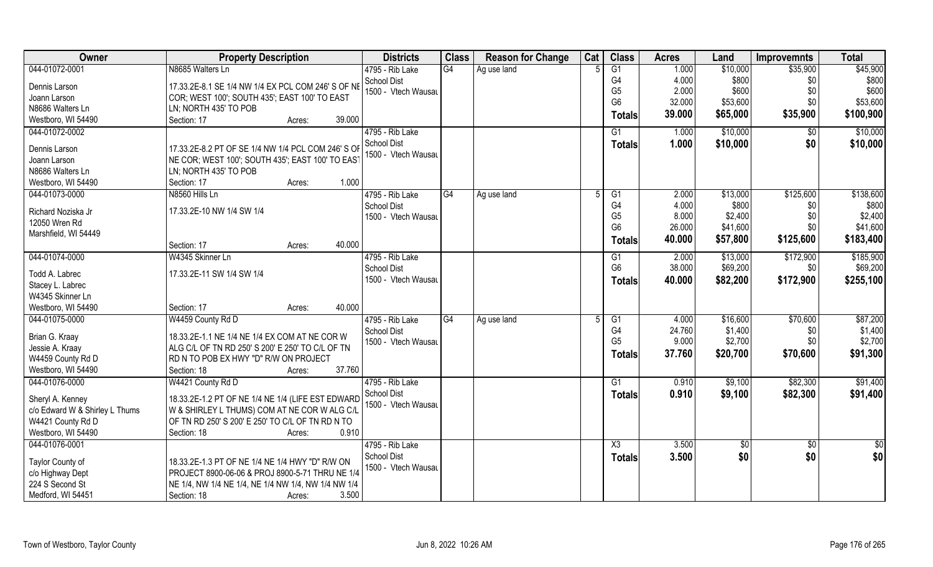| Owner                          | <b>Property Description</b>                         | <b>Districts</b>    | <b>Class</b> | <b>Reason for Change</b> | Cat | <b>Class</b>   | <b>Acres</b> | Land     | <b>Improvemnts</b> | <b>Total</b>  |
|--------------------------------|-----------------------------------------------------|---------------------|--------------|--------------------------|-----|----------------|--------------|----------|--------------------|---------------|
| 044-01072-0001                 | N8685 Walters Ln                                    | 4795 - Rib Lake     | G4           | Ag use land              |     | G1             | 1.000        | \$10,000 | \$35,900           | \$45,900      |
| Dennis Larson                  | 17.33.2E-8.1 SE 1/4 NW 1/4 EX PCL COM 246' S OF NE  | <b>School Dist</b>  |              |                          |     | G4             | 4.000        | \$800    | \$0                | \$800         |
| Joann Larson                   | COR; WEST 100'; SOUTH 435'; EAST 100' TO EAST       | 1500 - Vtech Wausau |              |                          |     | G <sub>5</sub> | 2.000        | \$600    | \$0                | \$600         |
| N8686 Walters Ln               | LN; NORTH 435' TO POB                               |                     |              |                          |     | G <sub>6</sub> | 32.000       | \$53,600 | \$0                | \$53,600      |
| Westboro, WI 54490             | Section: 17<br>Acres:                               | 39.000              |              |                          |     | <b>Totals</b>  | 39.000       | \$65,000 | \$35,900           | \$100,900     |
| 044-01072-0002                 |                                                     | 4795 - Rib Lake     |              |                          |     | G1             | 1.000        | \$10,000 | \$0                | \$10,000      |
|                                |                                                     | School Dist         |              |                          |     |                | 1.000        | \$10,000 | \$0                | \$10,000      |
| Dennis Larson                  | 17.33.2E-8.2 PT OF SE 1/4 NW 1/4 PCL COM 246' S OF  | 1500 - Vtech Wausau |              |                          |     | Totals         |              |          |                    |               |
| Joann Larson                   | NE COR; WEST 100'; SOUTH 435'; EAST 100' TO EAST    |                     |              |                          |     |                |              |          |                    |               |
| N8686 Walters Ln               | LN; NORTH 435' TO POB                               |                     |              |                          |     |                |              |          |                    |               |
| Westboro, WI 54490             | Section: 17<br>Acres:                               | 1.000               |              |                          |     |                |              |          |                    |               |
| 044-01073-0000                 | N8560 Hills Ln                                      | 4795 - Rib Lake     | G4           | Ag use land              |     | G1             | 2.000        | \$13,000 | \$125,600          | \$138,600     |
| Richard Noziska Jr             | 17.33.2E-10 NW 1/4 SW 1/4                           | <b>School Dist</b>  |              |                          |     | G4             | 4.000        | \$800    | \$0                | \$800         |
| 12050 Wren Rd                  |                                                     | 1500 - Vtech Wausau |              |                          |     | G <sub>5</sub> | 8.000        | \$2,400  | \$0                | \$2,400       |
| Marshfield, WI 54449           |                                                     |                     |              |                          |     | G <sub>6</sub> | 26.000       | \$41,600 | \$0                | \$41,600      |
|                                | Section: 17<br>Acres:                               | 40.000              |              |                          |     | <b>Totals</b>  | 40.000       | \$57,800 | \$125,600          | \$183,400     |
| 044-01074-0000                 | W4345 Skinner Ln                                    | 4795 - Rib Lake     |              |                          |     | G1             | 2.000        | \$13,000 | \$172,900          | \$185,900     |
|                                |                                                     | <b>School Dist</b>  |              |                          |     | G <sub>6</sub> | 38.000       | \$69,200 | \$0                | \$69,200      |
| Todd A. Labrec                 | 17.33.2E-11 SW 1/4 SW 1/4                           | 1500 - Vtech Wausau |              |                          |     | <b>Totals</b>  | 40.000       | \$82,200 | \$172,900          | \$255,100     |
| Stacey L. Labrec               |                                                     |                     |              |                          |     |                |              |          |                    |               |
| W4345 Skinner Ln               |                                                     |                     |              |                          |     |                |              |          |                    |               |
| Westboro, WI 54490             | Section: 17<br>Acres:                               | 40.000              |              |                          |     |                |              |          |                    |               |
| 044-01075-0000                 | W4459 County Rd D                                   | 4795 - Rib Lake     | G4           | Ag use land              |     | G1             | 4.000        | \$16,600 | \$70,600           | \$87,200      |
| Brian G. Kraay                 | 18.33.2E-1.1 NE 1/4 NE 1/4 EX COM AT NE COR W       | <b>School Dist</b>  |              |                          |     | G4             | 24.760       | \$1,400  | \$0                | \$1,400       |
| Jessie A. Kraay                | ALG C/L OF TN RD 250' S 200' E 250' TO C/L OF TN    | 1500 - Vtech Wausau |              |                          |     | G <sub>5</sub> | 9.000        | \$2,700  | \$0                | \$2,700       |
| W4459 County Rd D              | RD N TO POB EX HWY "D" R/W ON PROJECT               |                     |              |                          |     | <b>Totals</b>  | 37.760       | \$20,700 | \$70,600           | \$91,300      |
| Westboro, WI 54490             | Section: 18<br>Acres:                               | 37.760              |              |                          |     |                |              |          |                    |               |
| 044-01076-0000                 | W4421 County Rd D                                   | 4795 - Rib Lake     |              |                          |     | G1             | 0.910        | \$9,100  | \$82,300           | \$91,400      |
|                                |                                                     | School Dist         |              |                          |     | <b>Totals</b>  | 0.910        | \$9,100  | \$82,300           | \$91,400      |
| Sheryl A. Kenney               | 18.33.2E-1.2 PT OF NE 1/4 NE 1/4 (LIFE EST EDWARD   | 1500 - Vtech Wausau |              |                          |     |                |              |          |                    |               |
| c/o Edward W & Shirley L Thums | W & SHIRLEY L THUMS) COM AT NE COR W ALG C/L        |                     |              |                          |     |                |              |          |                    |               |
| W4421 County Rd D              | OF TN RD 250' S 200' E 250' TO C/L OF TN RD N TO    |                     |              |                          |     |                |              |          |                    |               |
| Westboro, WI 54490             | Section: 18<br>Acres:                               | 0.910               |              |                          |     |                |              |          |                    |               |
| 044-01076-0001                 |                                                     | 4795 - Rib Lake     |              |                          |     | X3             | 3.500        | \$0      | $\overline{50}$    | $\frac{1}{2}$ |
| Taylor County of               | 18.33.2E-1.3 PT OF NE 1/4 NE 1/4 HWY "D" R/W ON     | School Dist         |              |                          |     | <b>Totals</b>  | 3.500        | \$0      | \$0                | \$0           |
| c/o Highway Dept               | PROJECT 8900-06-06 & PROJ 8900-5-71 THRU NE 1/4     | 1500 - Vtech Wausau |              |                          |     |                |              |          |                    |               |
| 224 S Second St                | NE 1/4, NW 1/4 NE 1/4, NE 1/4 NW 1/4, NW 1/4 NW 1/4 |                     |              |                          |     |                |              |          |                    |               |
| Medford, WI 54451              | Section: 18<br>Acres:                               | 3.500               |              |                          |     |                |              |          |                    |               |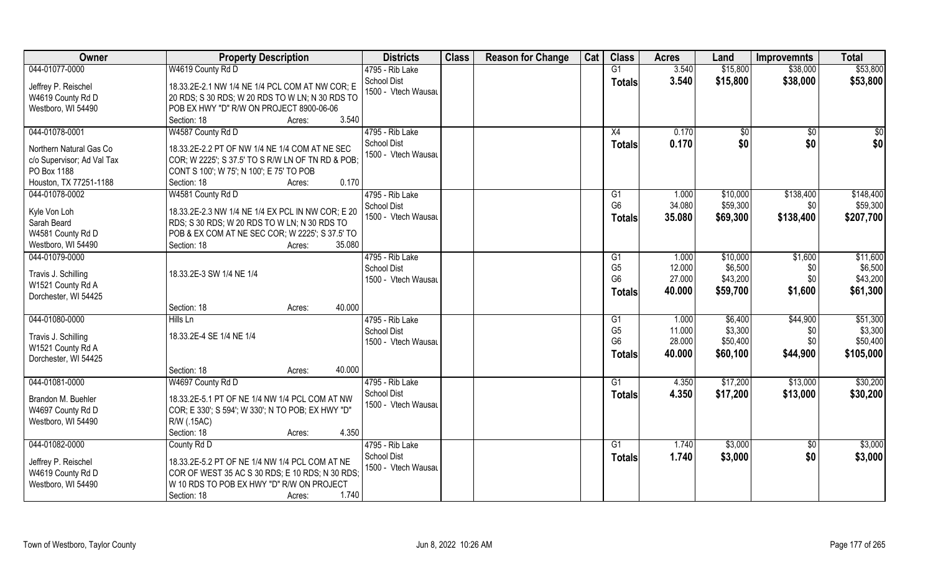| Owner                      | <b>Property Description</b>                       | <b>Districts</b>    | <b>Class</b> | <b>Reason for Change</b> | Cat | <b>Class</b>   | <b>Acres</b> | Land     | <b>Improvemnts</b> | <b>Total</b> |
|----------------------------|---------------------------------------------------|---------------------|--------------|--------------------------|-----|----------------|--------------|----------|--------------------|--------------|
| 044-01077-0000             | W4619 County Rd D                                 | 4795 - Rib Lake     |              |                          |     | G1             | 3.540        | \$15,800 | \$38,000           | \$53,800     |
| Jeffrey P. Reischel        | 18.33.2E-2.1 NW 1/4 NE 1/4 PCL COM AT NW COR; E   | School Dist         |              |                          |     | <b>Totals</b>  | 3.540        | \$15,800 | \$38,000           | \$53,800     |
| W4619 County Rd D          | 20 RDS; S 30 RDS; W 20 RDS TO W LN; N 30 RDS TO   | 1500 - Vtech Wausau |              |                          |     |                |              |          |                    |              |
| Westboro, WI 54490         | POB EX HWY "D" R/W ON PROJECT 8900-06-06          |                     |              |                          |     |                |              |          |                    |              |
|                            | 3.540<br>Section: 18<br>Acres:                    |                     |              |                          |     |                |              |          |                    |              |
| 044-01078-0001             | W4587 County Rd D                                 | 4795 - Rib Lake     |              |                          |     | X4             | 0.170        | \$0      | \$0                | \$0          |
|                            |                                                   | <b>School Dist</b>  |              |                          |     | <b>Totals</b>  | 0.170        | \$0      | \$0                | \$0          |
| Northern Natural Gas Co    | 18.33.2E-2.2 PT OF NW 1/4 NE 1/4 COM AT NE SEC    | 1500 - Vtech Wausau |              |                          |     |                |              |          |                    |              |
| c/o Supervisor; Ad Val Tax | COR; W 2225'; S 37.5' TO S R/W LN OF TN RD & POB; |                     |              |                          |     |                |              |          |                    |              |
| PO Box 1188                | CONT S 100'; W 75'; N 100'; E 75' TO POB          |                     |              |                          |     |                |              |          |                    |              |
| Houston, TX 77251-1188     | 0.170<br>Section: 18<br>Acres:                    |                     |              |                          |     |                |              |          |                    |              |
| 044-01078-0002             | W4581 County Rd D                                 | 4795 - Rib Lake     |              |                          |     | G1             | 1.000        | \$10,000 | \$138,400          | \$148,400    |
| Kyle Von Loh               | 18.33.2E-2.3 NW 1/4 NE 1/4 EX PCL IN NW COR; E 20 | <b>School Dist</b>  |              |                          |     | G <sub>6</sub> | 34.080       | \$59,300 | \$0                | \$59,300     |
| Sarah Beard                | RDS; S 30 RDS; W 20 RDS TO W LN; N 30 RDS TO      | 1500 - Vtech Wausau |              |                          |     | <b>Totals</b>  | 35.080       | \$69,300 | \$138,400          | \$207,700    |
| W4581 County Rd D          | POB & EX COM AT NE SEC COR; W 2225'; S 37.5' TO   |                     |              |                          |     |                |              |          |                    |              |
| Westboro, WI 54490         | 35.080<br>Section: 18<br>Acres:                   |                     |              |                          |     |                |              |          |                    |              |
| 044-01079-0000             |                                                   | 4795 - Rib Lake     |              |                          |     | G <sub>1</sub> | 1.000        | \$10,000 | \$1,600            | \$11,600     |
|                            |                                                   | <b>School Dist</b>  |              |                          |     | G <sub>5</sub> | 12.000       | \$6,500  | \$0                | \$6,500      |
| Travis J. Schilling        | 18.33.2E-3 SW 1/4 NE 1/4                          | 1500 - Vtech Wausau |              |                          |     | G <sub>6</sub> | 27.000       | \$43,200 | \$0                | \$43,200     |
| W1521 County Rd A          |                                                   |                     |              |                          |     |                | 40.000       | \$59,700 | \$1,600            | \$61,300     |
| Dorchester, WI 54425       |                                                   |                     |              |                          |     | <b>Totals</b>  |              |          |                    |              |
|                            | 40.000<br>Section: 18<br>Acres:                   |                     |              |                          |     |                |              |          |                    |              |
| 044-01080-0000             | Hills Ln                                          | 4795 - Rib Lake     |              |                          |     | G1             | 1.000        | \$6,400  | \$44,900           | \$51,300     |
| Travis J. Schilling        | 18.33.2E-4 SE 1/4 NE 1/4                          | <b>School Dist</b>  |              |                          |     | G <sub>5</sub> | 11.000       | \$3,300  | \$0                | \$3,300      |
| W1521 County Rd A          |                                                   | 1500 - Vtech Wausau |              |                          |     | G <sub>6</sub> | 28.000       | \$50,400 | \$0                | \$50,400     |
| Dorchester, WI 54425       |                                                   |                     |              |                          |     | <b>Totals</b>  | 40.000       | \$60,100 | \$44,900           | \$105,000    |
|                            | 40.000<br>Section: 18<br>Acres:                   |                     |              |                          |     |                |              |          |                    |              |
| 044-01081-0000             | W4697 County Rd D                                 | 4795 - Rib Lake     |              |                          |     | G1             | 4.350        | \$17,200 | \$13,000           | \$30,200     |
| Brandon M. Buehler         | 18.33.2E-5.1 PT OF NE 1/4 NW 1/4 PCL COM AT NW    | <b>School Dist</b>  |              |                          |     | <b>Totals</b>  | 4.350        | \$17,200 | \$13,000           | \$30,200     |
|                            | COR; E 330'; S 594'; W 330'; N TO POB; EX HWY "D" | 1500 - Vtech Wausau |              |                          |     |                |              |          |                    |              |
| W4697 County Rd D          |                                                   |                     |              |                          |     |                |              |          |                    |              |
| Westboro, WI 54490         | R/W (.15AC)                                       |                     |              |                          |     |                |              |          |                    |              |
|                            | 4.350<br>Section: 18<br>Acres:                    |                     |              |                          |     |                |              |          |                    |              |
| 044-01082-0000             | County Rd D                                       | 4795 - Rib Lake     |              |                          |     | G <sub>1</sub> | 1.740        | \$3,000  | \$0                | \$3,000      |
| Jeffrey P. Reischel        | 18.33.2E-5.2 PT OF NE 1/4 NW 1/4 PCL COM AT NE    | <b>School Dist</b>  |              |                          |     | <b>Totals</b>  | 1.740        | \$3,000  | \$0                | \$3,000      |
| W4619 County Rd D          | COR OF WEST 35 AC S 30 RDS; E 10 RDS; N 30 RDS;   | 1500 - Vtech Wausau |              |                          |     |                |              |          |                    |              |
| Westboro, WI 54490         | W 10 RDS TO POB EX HWY "D" R/W ON PROJECT         |                     |              |                          |     |                |              |          |                    |              |
|                            | 1.740<br>Section: 18<br>Acres:                    |                     |              |                          |     |                |              |          |                    |              |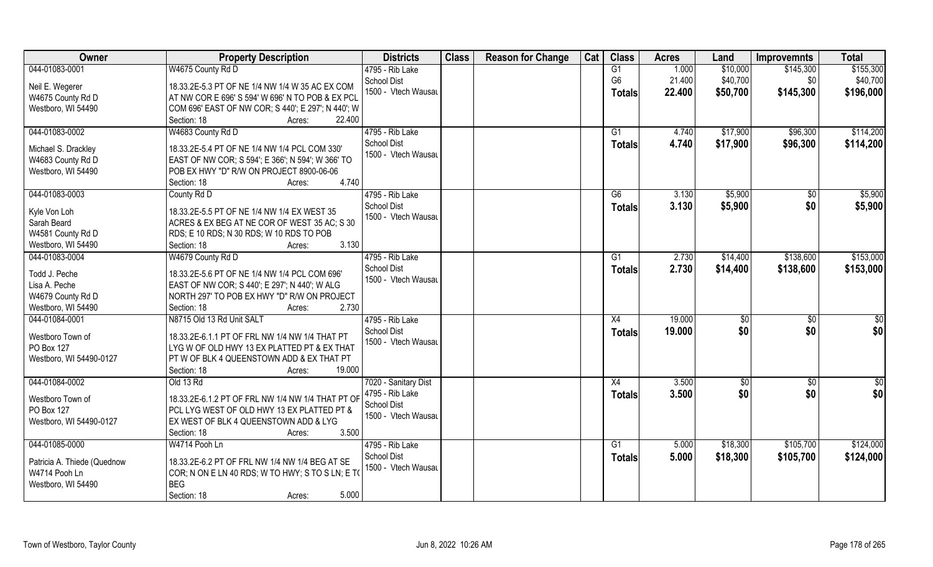| Owner                       | <b>Property Description</b>                        | <b>Districts</b>     | <b>Class</b> | <b>Reason for Change</b> | Cat | <b>Class</b>   | <b>Acres</b> | Land     | <b>Improvemnts</b> | <b>Total</b> |
|-----------------------------|----------------------------------------------------|----------------------|--------------|--------------------------|-----|----------------|--------------|----------|--------------------|--------------|
| 044-01083-0001              | W4675 County Rd D                                  | 4795 - Rib Lake      |              |                          |     | G1             | 1.000        | \$10,000 | \$145,300          | \$155,300    |
| Neil E. Wegerer             | 18.33.2E-5.3 PT OF NE 1/4 NW 1/4 W 35 AC EX COM    | <b>School Dist</b>   |              |                          |     | G <sub>6</sub> | 21.400       | \$40,700 | \$0                | \$40,700     |
| W4675 County Rd D           | AT NW COR E 696' S 594' W 696' N TO POB & EX PCL   | 1500 - Vtech Wausau  |              |                          |     | <b>Totals</b>  | 22.400       | \$50,700 | \$145,300          | \$196,000    |
| Westboro, WI 54490          | COM 696' EAST OF NW COR; S 440'; E 297'; N 440'; W |                      |              |                          |     |                |              |          |                    |              |
|                             | Section: 18<br>22.400<br>Acres:                    |                      |              |                          |     |                |              |          |                    |              |
| 044-01083-0002              | W4683 County Rd D                                  | 4795 - Rib Lake      |              |                          |     | G1             | 4.740        | \$17,900 | \$96,300           | \$114,200    |
|                             |                                                    | <b>School Dist</b>   |              |                          |     | Totals         | 4.740        | \$17,900 | \$96,300           | \$114,200    |
| Michael S. Drackley         | 18.33.2E-5.4 PT OF NE 1/4 NW 1/4 PCL COM 330'      | 1500 - Vtech Wausau  |              |                          |     |                |              |          |                    |              |
| W4683 County Rd D           | EAST OF NW COR; S 594'; E 366'; N 594'; W 366' TO  |                      |              |                          |     |                |              |          |                    |              |
| Westboro, WI 54490          | POB EX HWY "D" R/W ON PROJECT 8900-06-06           |                      |              |                          |     |                |              |          |                    |              |
|                             | 4.740<br>Section: 18<br>Acres:                     |                      |              |                          |     |                |              |          |                    |              |
| 044-01083-0003              | County Rd D                                        | 4795 - Rib Lake      |              |                          |     | G6             | 3.130        | \$5,900  | $\sqrt[6]{30}$     | \$5,900      |
| Kyle Von Loh                | 18.33.2E-5.5 PT OF NE 1/4 NW 1/4 EX WEST 35        | <b>School Dist</b>   |              |                          |     | <b>Totals</b>  | 3.130        | \$5,900  | \$0                | \$5,900      |
| Sarah Beard                 | ACRES & EX BEG AT NE COR OF WEST 35 AC; S 30       | 1500 - Vtech Wausau  |              |                          |     |                |              |          |                    |              |
| W4581 County Rd D           | RDS; E 10 RDS; N 30 RDS; W 10 RDS TO POB           |                      |              |                          |     |                |              |          |                    |              |
| Westboro, WI 54490          | 3.130<br>Section: 18<br>Acres:                     |                      |              |                          |     |                |              |          |                    |              |
| 044-01083-0004              | W4679 County Rd D                                  | 4795 - Rib Lake      |              |                          |     | G <sub>1</sub> | 2.730        | \$14,400 | \$138,600          | \$153,000    |
|                             |                                                    | <b>School Dist</b>   |              |                          |     | <b>Totals</b>  | 2.730        | \$14,400 | \$138,600          | \$153,000    |
| Todd J. Peche               | 18.33.2E-5.6 PT OF NE 1/4 NW 1/4 PCL COM 696'      | 1500 - Vtech Wausau  |              |                          |     |                |              |          |                    |              |
| Lisa A. Peche               | EAST OF NW COR; S 440'; E 297'; N 440'; W ALG      |                      |              |                          |     |                |              |          |                    |              |
| W4679 County Rd D           | NORTH 297' TO POB EX HWY "D" R/W ON PROJECT        |                      |              |                          |     |                |              |          |                    |              |
| Westboro, WI 54490          | 2.730<br>Section: 18<br>Acres:                     |                      |              |                          |     |                |              |          |                    |              |
| 044-01084-0001              | N8715 Old 13 Rd Unit SALT                          | 4795 - Rib Lake      |              |                          |     | X4             | 19.000       | \$0      | \$0                | \$0          |
| Westboro Town of            | 18.33.2E-6.1.1 PT OF FRL NW 1/4 NW 1/4 THAT PT     | School Dist          |              |                          |     | <b>Totals</b>  | 19.000       | \$0      | \$0                | \$0          |
| PO Box 127                  | LYG W OF OLD HWY 13 EX PLATTED PT & EX THAT        | 1500 - Vtech Wausau  |              |                          |     |                |              |          |                    |              |
| Westboro, WI 54490-0127     | PT W OF BLK 4 QUEENSTOWN ADD & EX THAT PT          |                      |              |                          |     |                |              |          |                    |              |
|                             | 19.000<br>Section: 18<br>Acres:                    |                      |              |                          |     |                |              |          |                    |              |
| 044-01084-0002              | Old 13 Rd                                          | 7020 - Sanitary Dist |              |                          |     | X4             | 3.500        | \$0      | \$0                | \$0          |
|                             |                                                    | 4795 - Rib Lake      |              |                          |     | <b>Totals</b>  | 3.500        | \$0      | \$0                | \$0          |
| Westboro Town of            | 18.33.2E-6.1.2 PT OF FRL NW 1/4 NW 1/4 THAT PT OF  | School Dist          |              |                          |     |                |              |          |                    |              |
| PO Box 127                  | PCL LYG WEST OF OLD HWY 13 EX PLATTED PT &         | 1500 - Vtech Wausau  |              |                          |     |                |              |          |                    |              |
| Westboro, WI 54490-0127     | EX WEST OF BLK 4 QUEENSTOWN ADD & LYG              |                      |              |                          |     |                |              |          |                    |              |
|                             | 3.500<br>Section: 18<br>Acres:                     |                      |              |                          |     |                |              |          |                    |              |
| 044-01085-0000              | W4714 Pooh Ln                                      | 4795 - Rib Lake      |              |                          |     | G1             | 5.000        | \$18,300 | \$105,700          | \$124,000    |
| Patricia A. Thiede (Quednow | 18.33.2E-6.2 PT OF FRL NW 1/4 NW 1/4 BEG AT SE     | <b>School Dist</b>   |              |                          |     | <b>Totals</b>  | 5.000        | \$18,300 | \$105,700          | \$124,000    |
| W4714 Pooh Ln               | COR; N ON E LN 40 RDS; W TO HWY; S TO S LN; E TO   | 1500 - Vtech Wausau  |              |                          |     |                |              |          |                    |              |
| Westboro, WI 54490          | BEG                                                |                      |              |                          |     |                |              |          |                    |              |
|                             | 5.000<br>Section: 18<br>Acres:                     |                      |              |                          |     |                |              |          |                    |              |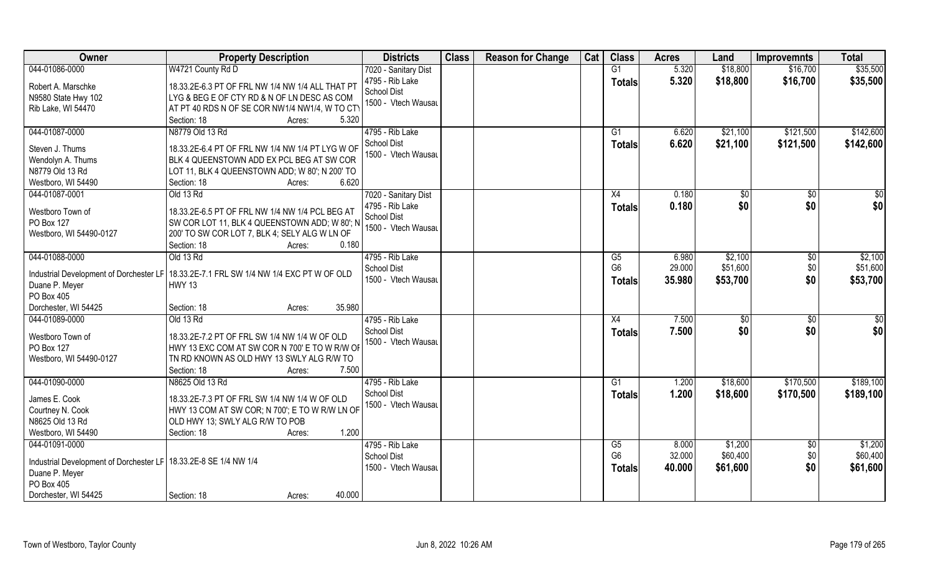| Owner                                                                                | <b>Property Description</b>                                                                    | <b>Districts</b>     | <b>Class</b> | <b>Reason for Change</b> | Cat | <b>Class</b>    | <b>Acres</b> | Land     | <b>Improvemnts</b> | <b>Total</b>    |
|--------------------------------------------------------------------------------------|------------------------------------------------------------------------------------------------|----------------------|--------------|--------------------------|-----|-----------------|--------------|----------|--------------------|-----------------|
| 044-01086-0000                                                                       | W4721 County Rd D                                                                              | 7020 - Sanitary Dist |              |                          |     | G1              | 5.320        | \$18,800 | \$16,700           | \$35,500        |
| Robert A. Marschke                                                                   | 18.33.2E-6.3 PT OF FRL NW 1/4 NW 1/4 ALL THAT PT                                               | 4795 - Rib Lake      |              |                          |     | <b>Totals</b>   | 5.320        | \$18,800 | \$16,700           | \$35,500        |
| N9580 State Hwy 102                                                                  | LYG & BEG E OF CTY RD & N OF LN DESC AS COM                                                    | <b>School Dist</b>   |              |                          |     |                 |              |          |                    |                 |
| Rib Lake, WI 54470                                                                   | AT PT 40 RDS N OF SE COR NW1/4 NW1/4, W TO CTY                                                 | 1500 - Vtech Wausau  |              |                          |     |                 |              |          |                    |                 |
|                                                                                      | 5.320<br>Section: 18<br>Acres:                                                                 |                      |              |                          |     |                 |              |          |                    |                 |
| 044-01087-0000                                                                       | N8779 Old 13 Rd                                                                                | 4795 - Rib Lake      |              |                          |     | G1              | 6.620        | \$21,100 | \$121,500          | \$142,600       |
| Steven J. Thums                                                                      | 18.33.2E-6.4 PT OF FRL NW 1/4 NW 1/4 PT LYG W OF                                               | <b>School Dist</b>   |              |                          |     | Totals          | 6.620        | \$21,100 | \$121,500          | \$142,600       |
| Wendolyn A. Thums                                                                    | BLK 4 QUEENSTOWN ADD EX PCL BEG AT SW COR                                                      | 1500 - Vtech Wausau  |              |                          |     |                 |              |          |                    |                 |
| N8779 Old 13 Rd                                                                      | LOT 11, BLK 4 QUEENSTOWN ADD; W 80'; N 200' TO                                                 |                      |              |                          |     |                 |              |          |                    |                 |
| Westboro, WI 54490                                                                   | 6.620<br>Section: 18<br>Acres:                                                                 |                      |              |                          |     |                 |              |          |                    |                 |
| 044-01087-0001                                                                       | Old 13 Rd                                                                                      | 7020 - Sanitary Dist |              |                          |     | X4              | 0.180        | \$0      | \$0                | $\sqrt{50}$     |
|                                                                                      |                                                                                                | 4795 - Rib Lake      |              |                          |     | <b>Totals</b>   | 0.180        | \$0      | \$0                | \$0             |
| Westboro Town of                                                                     | 18.33.2E-6.5 PT OF FRL NW 1/4 NW 1/4 PCL BEG AT                                                | School Dist          |              |                          |     |                 |              |          |                    |                 |
| PO Box 127<br>Westboro, WI 54490-0127                                                | SW COR LOT 11, BLK 4 QUEENSTOWN ADD; W 80'; N<br>200' TO SW COR LOT 7, BLK 4; SELY ALG W LN OF | 1500 - Vtech Wausau  |              |                          |     |                 |              |          |                    |                 |
|                                                                                      | Section: 18<br>0.180<br>Acres:                                                                 |                      |              |                          |     |                 |              |          |                    |                 |
| 044-01088-0000                                                                       | Old 13 Rd                                                                                      | 4795 - Rib Lake      |              |                          |     | G5              | 6.980        | \$2,100  | $\sqrt[6]{3}$      | \$2,100         |
|                                                                                      |                                                                                                | <b>School Dist</b>   |              |                          |     | G <sub>6</sub>  | 29.000       | \$51,600 | \$0                | \$51,600        |
|                                                                                      | Industrial Development of Dorchester LF   18.33.2E-7.1 FRL SW 1/4 NW 1/4 EXC PT W OF OLD       | 1500 - Vtech Wausau  |              |                          |     | <b>Totals</b>   | 35.980       | \$53,700 | \$0                | \$53,700        |
| Duane P. Meyer                                                                       | <b>HWY 13</b>                                                                                  |                      |              |                          |     |                 |              |          |                    |                 |
| PO Box 405                                                                           |                                                                                                |                      |              |                          |     |                 |              |          |                    |                 |
| Dorchester, WI 54425                                                                 | 35.980<br>Section: 18<br>Acres:                                                                |                      |              |                          |     |                 |              |          |                    |                 |
| 044-01089-0000                                                                       | Old 13 Rd                                                                                      | 4795 - Rib Lake      |              |                          |     | $\overline{X4}$ | 7.500        | \$0      | \$0                | $\overline{50}$ |
| Westboro Town of                                                                     | 18.33.2E-7.2 PT OF FRL SW 1/4 NW 1/4 W OF OLD                                                  | <b>School Dist</b>   |              |                          |     | <b>Totals</b>   | 7.500        | \$0      | \$0                | \$0             |
| PO Box 127                                                                           | HWY 13 EXC COM AT SW COR N 700' E TO W R/W OF                                                  | 1500 - Vtech Wausau  |              |                          |     |                 |              |          |                    |                 |
| Westboro, WI 54490-0127                                                              | TN RD KNOWN AS OLD HWY 13 SWLY ALG R/W TO                                                      |                      |              |                          |     |                 |              |          |                    |                 |
|                                                                                      | Section: 18<br>7.500<br>Acres:                                                                 |                      |              |                          |     |                 |              |          |                    |                 |
| 044-01090-0000                                                                       | N8625 Old 13 Rd                                                                                | 4795 - Rib Lake      |              |                          |     | G1              | 1.200        | \$18,600 | \$170,500          | \$189,100       |
| James E. Cook                                                                        | 18.33.2E-7.3 PT OF FRL SW 1/4 NW 1/4 W OF OLD                                                  | <b>School Dist</b>   |              |                          |     | <b>Totals</b>   | 1.200        | \$18,600 | \$170,500          | \$189,100       |
| Courtney N. Cook                                                                     | HWY 13 COM AT SW COR; N 700'; E TO W R/W LN OF                                                 | 1500 - Vtech Wausau  |              |                          |     |                 |              |          |                    |                 |
| N8625 Old 13 Rd                                                                      | OLD HWY 13; SWLY ALG R/W TO POB                                                                |                      |              |                          |     |                 |              |          |                    |                 |
| Westboro, WI 54490                                                                   | 1.200<br>Section: 18<br>Acres:                                                                 |                      |              |                          |     |                 |              |          |                    |                 |
| 044-01091-0000                                                                       |                                                                                                | 4795 - Rib Lake      |              |                          |     | G5              | 8.000        | \$1,200  | $\sqrt{6}$         | \$1,200         |
|                                                                                      |                                                                                                | <b>School Dist</b>   |              |                          |     | G <sub>6</sub>  | 32.000       | \$60,400 | \$0                | \$60,400        |
| Industrial Development of Dorchester LF   18.33.2E-8 SE 1/4 NW 1/4<br>Duane P. Meyer |                                                                                                | 1500 - Vtech Wausau  |              |                          |     | <b>Totals</b>   | 40.000       | \$61,600 | \$0                | \$61,600        |
| PO Box 405                                                                           |                                                                                                |                      |              |                          |     |                 |              |          |                    |                 |
| Dorchester, WI 54425                                                                 | 40.000<br>Section: 18<br>Acres:                                                                |                      |              |                          |     |                 |              |          |                    |                 |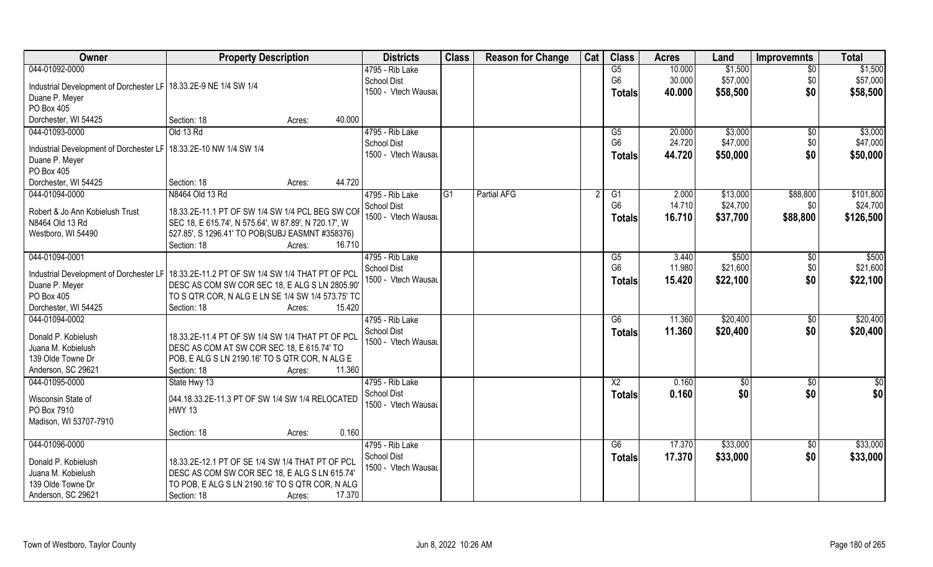| Owner                                                               | <b>Property Description</b>                                                                | <b>Districts</b>                          | <b>Class</b>   | <b>Reason for Change</b> | Cat | <b>Class</b>    | <b>Acres</b> | Land     | <b>Improvemnts</b> | <b>Total</b> |
|---------------------------------------------------------------------|--------------------------------------------------------------------------------------------|-------------------------------------------|----------------|--------------------------|-----|-----------------|--------------|----------|--------------------|--------------|
| 044-01092-0000                                                      |                                                                                            | 4795 - Rib Lake                           |                |                          |     | G5              | 10.000       | \$1,500  | $\overline{50}$    | \$1,500      |
| Industrial Development of Dorchester LF   18.33.2E-9 NE 1/4 SW 1/4  |                                                                                            | <b>School Dist</b>                        |                |                          |     | G <sub>6</sub>  | 30.000       | \$57,000 | \$0                | \$57,000     |
| Duane P. Meyer                                                      |                                                                                            | 1500 - Vtech Wausau                       |                |                          |     | Totals          | 40.000       | \$58,500 | \$0                | \$58,500     |
| PO Box 405                                                          |                                                                                            |                                           |                |                          |     |                 |              |          |                    |              |
| Dorchester, WI 54425                                                | Section: 18<br>40.000<br>Acres:                                                            |                                           |                |                          |     |                 |              |          |                    |              |
| 044-01093-0000                                                      | Old 13 Rd                                                                                  | 4795 - Rib Lake                           |                |                          |     | $\overline{G5}$ | 20.000       | \$3,000  | \$0                | \$3,000      |
|                                                                     |                                                                                            | <b>School Dist</b>                        |                |                          |     | G <sub>6</sub>  | 24.720       | \$47,000 | \$0                | \$47,000     |
| Industrial Development of Dorchester LF   18.33.2E-10 NW 1/4 SW 1/4 |                                                                                            | 1500 - Vtech Wausau                       |                |                          |     | <b>Totals</b>   | 44.720       | \$50,000 | \$0                | \$50,000     |
| Duane P. Meyer                                                      |                                                                                            |                                           |                |                          |     |                 |              |          |                    |              |
| PO Box 405                                                          |                                                                                            |                                           |                |                          |     |                 |              |          |                    |              |
| Dorchester, WI 54425                                                | 44.720<br>Section: 18<br>Acres:                                                            |                                           |                |                          |     |                 |              |          |                    |              |
| 044-01094-0000                                                      | N8464 Old 13 Rd                                                                            | 4795 - Rib Lake                           | G <sub>1</sub> | <b>Partial AFG</b>       |     | G1              | 2.000        | \$13,000 | \$88,800           | \$101,800    |
| Robert & Jo Ann Kobielush Trust                                     | 18.33.2E-11.1 PT OF SW 1/4 SW 1/4 PCL BEG SW COI                                           | <b>School Dist</b>                        |                |                          |     | G <sub>6</sub>  | 14.710       | \$24,700 | \$0                | \$24,700     |
| N8464 Old 13 Rd                                                     | SEC 18, E 615.74', N 575.64', W 87.89', N 720.17', W                                       | 1500 - Vtech Wausau                       |                |                          |     | <b>Totals</b>   | 16.710       | \$37,700 | \$88,800           | \$126,500    |
| Westboro, WI 54490                                                  | 527.85', S 1296.41' TO POB(SUBJ EASMNT #358376)                                            |                                           |                |                          |     |                 |              |          |                    |              |
|                                                                     | Section: 18<br>16.710<br>Acres:                                                            |                                           |                |                          |     |                 |              |          |                    |              |
| 044-01094-0001                                                      |                                                                                            | 4795 - Rib Lake                           |                |                          |     | G5              | 3.440        | \$500    | \$0                | \$500        |
|                                                                     |                                                                                            | <b>School Dist</b>                        |                |                          |     | G <sub>6</sub>  | 11.980       | \$21,600 | \$0                | \$21,600     |
|                                                                     | Industrial Development of Dorchester LF   18.33.2E-11.2 PT OF SW 1/4 SW 1/4 THAT PT OF PCL | 1500 - Vtech Wausau                       |                |                          |     | <b>Totals</b>   | 15.420       | \$22,100 | \$0                | \$22,100     |
| Duane P. Meyer                                                      | DESC AS COM SW COR SEC 18, E ALG S LN 2805.90                                              |                                           |                |                          |     |                 |              |          |                    |              |
| PO Box 405                                                          | TO S QTR COR, N ALG E LN SE 1/4 SW 1/4 573.75' TO<br>15.420                                |                                           |                |                          |     |                 |              |          |                    |              |
| Dorchester, WI 54425                                                | Section: 18<br>Acres:                                                                      |                                           |                |                          |     | $\overline{G6}$ |              |          |                    |              |
| 044-01094-0002                                                      |                                                                                            | 4795 - Rib Lake                           |                |                          |     |                 | 11.360       | \$20,400 | $\overline{50}$    | \$20,400     |
| Donald P. Kobielush                                                 | 18.33.2E-11.4 PT OF SW 1/4 SW 1/4 THAT PT OF PCL                                           | <b>School Dist</b><br>1500 - Vtech Wausau |                |                          |     | <b>Totals</b>   | 11.360       | \$20,400 | \$0                | \$20,400     |
| Juana M. Kobielush                                                  | DESC AS COM AT SW COR SEC 18, E 615.74' TO                                                 |                                           |                |                          |     |                 |              |          |                    |              |
| 139 Olde Towne Dr                                                   | POB, E ALG S LN 2190.16' TO S QTR COR, N ALG E                                             |                                           |                |                          |     |                 |              |          |                    |              |
| Anderson, SC 29621                                                  | Section: 18<br>11.360<br>Acres:                                                            |                                           |                |                          |     |                 |              |          |                    |              |
| 044-01095-0000                                                      | State Hwy 13                                                                               | 4795 - Rib Lake                           |                |                          |     | $\overline{X2}$ | 0.160        | \$0      | \$0                | $rac{1}{6}$  |
| Wisconsin State of                                                  | 044.18.33.2E-11.3 PT OF SW 1/4 SW 1/4 RELOCATED                                            | <b>School Dist</b>                        |                |                          |     | <b>Totals</b>   | 0.160        | \$0      | \$0                | \$0          |
| PO Box 7910                                                         | <b>HWY 13</b>                                                                              | 1500 - Vtech Wausau                       |                |                          |     |                 |              |          |                    |              |
| Madison, WI 53707-7910                                              |                                                                                            |                                           |                |                          |     |                 |              |          |                    |              |
|                                                                     | 0.160<br>Section: 18<br>Acres:                                                             |                                           |                |                          |     |                 |              |          |                    |              |
| 044-01096-0000                                                      |                                                                                            | 4795 - Rib Lake                           |                |                          |     | G6              | 17.370       | \$33,000 | $\overline{30}$    | \$33,000     |
|                                                                     |                                                                                            | <b>School Dist</b>                        |                |                          |     | <b>Totals</b>   | 17.370       | \$33,000 | \$0                | \$33,000     |
| Donald P. Kobielush                                                 | 18.33.2E-12.1 PT OF SE 1/4 SW 1/4 THAT PT OF PCL                                           | 1500 - Vtech Wausau                       |                |                          |     |                 |              |          |                    |              |
| Juana M. Kobielush                                                  | DESC AS COM SW COR SEC 18, E ALG S LN 615.74'                                              |                                           |                |                          |     |                 |              |          |                    |              |
| 139 Olde Towne Dr                                                   | TO POB, E ALG S LN 2190.16' TO S QTR COR, N ALG                                            |                                           |                |                          |     |                 |              |          |                    |              |
| Anderson, SC 29621                                                  | 17.370<br>Section: 18<br>Acres:                                                            |                                           |                |                          |     |                 |              |          |                    |              |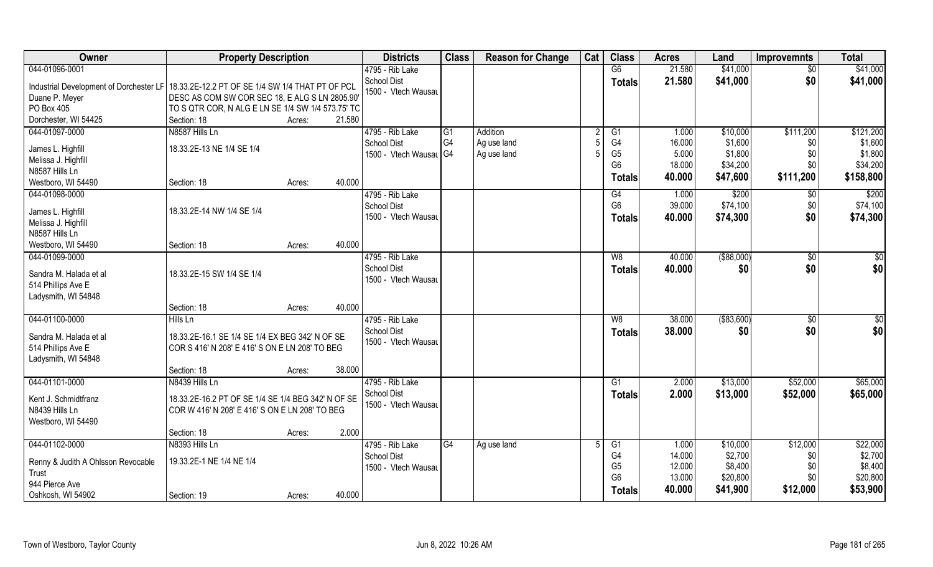| Owner                                                                                                                      | <b>Property Description</b>                                                                                                  |                  | <b>Districts</b>                                                | <b>Class</b>          | <b>Reason for Change</b>               | Cat            | <b>Class</b>                                                               | <b>Acres</b>                                 | Land                                                   | <b>Improvemnts</b>                          | <b>Total</b>                                             |
|----------------------------------------------------------------------------------------------------------------------------|------------------------------------------------------------------------------------------------------------------------------|------------------|-----------------------------------------------------------------|-----------------------|----------------------------------------|----------------|----------------------------------------------------------------------------|----------------------------------------------|--------------------------------------------------------|---------------------------------------------|----------------------------------------------------------|
| 044-01096-0001                                                                                                             |                                                                                                                              |                  | 4795 - Rib Lake                                                 |                       |                                        |                | G6                                                                         | 21.580                                       | \$41,000                                               | $\overline{50}$                             | \$41,000                                                 |
| Industrial Development of Dorchester LF   18.33.2E-12.2 PT OF SE 1/4 SW 1/4 THAT PT OF PCL<br>Duane P. Meyer<br>PO Box 405 | DESC AS COM SW COR SEC 18, E ALG S LN 2805.90'<br>TO S QTR COR, N ALG E LN SE 1/4 SW 1/4 573.75' TO                          |                  | <b>School Dist</b><br>1500 - Vtech Wausau                       |                       |                                        |                | <b>Totals</b>                                                              | 21.580                                       | \$41,000                                               | \$0                                         | \$41,000                                                 |
| Dorchester, WI 54425                                                                                                       | Section: 18                                                                                                                  | 21.580<br>Acres: |                                                                 |                       |                                        |                |                                                                            |                                              |                                                        |                                             |                                                          |
| 044-01097-0000<br>James L. Highfill<br>Melissa J. Highfill<br>N8587 Hills Ln<br>Westboro, WI 54490                         | N8587 Hills Ln<br>18.33.2E-13 NE 1/4 SE 1/4<br>Section: 18                                                                   | 40.000<br>Acres: | 4795 - Rib Lake<br><b>School Dist</b><br>1500 - Vtech Wausal G4 | $\overline{G1}$<br>G4 | Addition<br>Ag use land<br>Ag use land |                | $\overline{G1}$<br>G4<br>G <sub>5</sub><br>G <sub>6</sub><br><b>Totals</b> | 1.000<br>16.000<br>5.000<br>18.000<br>40.000 | \$10,000<br>\$1,600<br>\$1,800<br>\$34,200<br>\$47,600 | \$111,200<br>\$0<br>\$0<br>\$0<br>\$111,200 | \$121,200<br>\$1,600<br>\$1,800<br>\$34,200<br>\$158,800 |
| 044-01098-0000<br>James L. Highfill<br>Melissa J. Highfill<br>N8587 Hills Ln                                               | 18.33.2E-14 NW 1/4 SE 1/4                                                                                                    |                  | 4795 - Rib Lake<br><b>School Dist</b><br>1500 - Vtech Wausau    |                       |                                        |                | G4<br>G <sub>6</sub><br><b>Totals</b>                                      | 1.000<br>39.000<br>40.000                    | \$200<br>\$74,100<br>\$74,300                          | \$0<br>\$0<br>\$0                           | \$200<br>\$74,100<br>\$74,300                            |
| Westboro, WI 54490                                                                                                         | Section: 18                                                                                                                  | 40.000<br>Acres: |                                                                 |                       |                                        |                |                                                                            |                                              |                                                        |                                             |                                                          |
| 044-01099-0000<br>Sandra M. Halada et al<br>514 Phillips Ave E<br>Ladysmith, WI 54848                                      | 18.33.2E-15 SW 1/4 SE 1/4                                                                                                    |                  | 4795 - Rib Lake<br><b>School Dist</b><br>1500 - Vtech Wausau    |                       |                                        |                | W <sub>8</sub><br><b>Totals</b>                                            | 40.000<br>40.000                             | ( \$88,000)<br>\$0                                     | $\sqrt[6]{3}$<br>\$0                        | \$0<br>\$0                                               |
|                                                                                                                            | Section: 18                                                                                                                  | 40.000<br>Acres: |                                                                 |                       |                                        |                |                                                                            |                                              |                                                        |                                             |                                                          |
| 044-01100-0000<br>Sandra M. Halada et al<br>514 Phillips Ave E<br>Ladysmith, WI 54848                                      | Hills Ln<br>18.33.2E-16.1 SE 1/4 SE 1/4 EX BEG 342' N OF SE<br>COR S 416' N 208' E 416' S ON E LN 208' TO BEG<br>Section: 18 | 38.000<br>Acres: | 4795 - Rib Lake<br><b>School Dist</b><br>1500 - Vtech Wausau    |                       |                                        |                | W8<br><b>Totals</b>                                                        | 38.000<br>38.000                             | ( \$83,600)<br>\$0                                     | $\sqrt[6]{30}$<br>\$0                       | \$0<br>\$0                                               |
| 044-01101-0000                                                                                                             | N8439 Hills Ln                                                                                                               |                  | 4795 - Rib Lake                                                 |                       |                                        |                | G1                                                                         | 2.000                                        | \$13,000                                               | \$52,000                                    | \$65,000                                                 |
| Kent J. Schmidtfranz<br>N8439 Hills Ln<br>Westboro, WI 54490                                                               | 18.33.2E-16.2 PT OF SE 1/4 SE 1/4 BEG 342' N OF SE<br>COR W 416' N 208' E 416' S ON E LN 208' TO BEG<br>Section: 18          | 2.000<br>Acres:  | School Dist<br>1500 - Vtech Wausau                              |                       |                                        |                | <b>Totals</b>                                                              | 2.000                                        | \$13,000                                               | \$52,000                                    | \$65,000                                                 |
| 044-01102-0000                                                                                                             | N8393 Hills Ln                                                                                                               |                  | 4795 - Rib Lake                                                 | $\overline{G4}$       | Ag use land                            | $\overline{5}$ | G1                                                                         | 1.000                                        | \$10,000                                               | \$12,000                                    | \$22,000                                                 |
| Renny & Judith A Ohlsson Revocable<br>Trust<br>944 Pierce Ave<br>Oshkosh, WI 54902                                         | 19.33.2E-1 NE 1/4 NE 1/4<br>Section: 19                                                                                      | 40.000<br>Acres: | <b>School Dist</b><br>1500 - Vtech Wausau                       |                       |                                        |                | G4<br>G <sub>5</sub><br>G <sub>6</sub><br><b>Totals</b>                    | 14.000<br>12.000<br>13.000<br>40.000         | \$2,700<br>\$8,400<br>\$20,800<br>\$41,900             | \$0<br>\$0<br>\$0<br>\$12,000               | \$2,700<br>\$8,400<br>\$20,800<br>\$53,900               |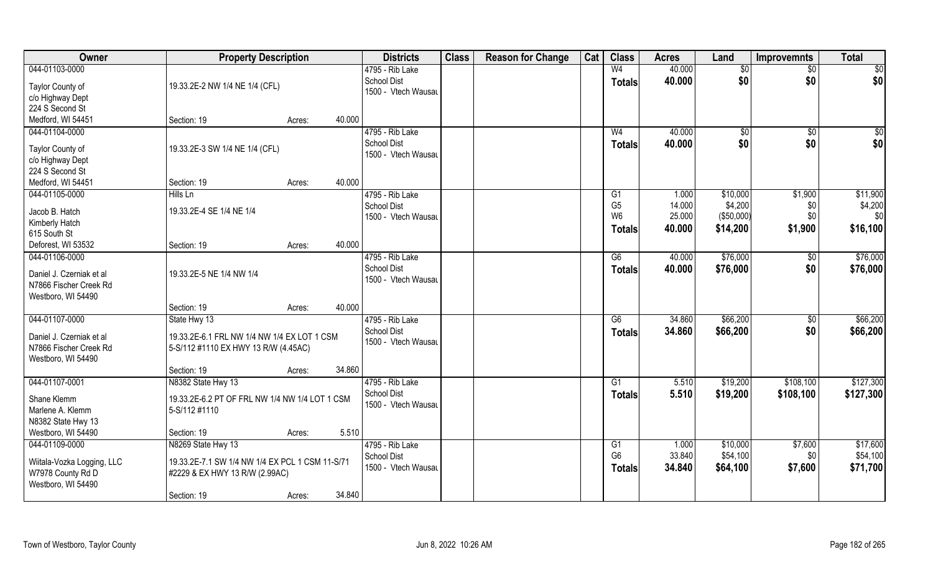| Owner                                              | <b>Property Description</b>                                                         |        | <b>Districts</b>    | <b>Class</b> | <b>Reason for Change</b> | Cat | <b>Class</b>    | <b>Acres</b> | Land       | <b>Improvemnts</b> | <b>Total</b> |
|----------------------------------------------------|-------------------------------------------------------------------------------------|--------|---------------------|--------------|--------------------------|-----|-----------------|--------------|------------|--------------------|--------------|
| 044-01103-0000                                     |                                                                                     |        | 4795 - Rib Lake     |              |                          |     | W <sub>4</sub>  | 40.000       | \$0        | $\sqrt{$0}$        | $\sqrt{50}$  |
| Taylor County of                                   | 19.33.2E-2 NW 1/4 NE 1/4 (CFL)                                                      |        | <b>School Dist</b>  |              |                          |     | <b>Totals</b>   | 40.000       | \$0        | \$0                | \$0          |
| c/o Highway Dept                                   |                                                                                     |        | 1500 - Vtech Wausau |              |                          |     |                 |              |            |                    |              |
| 224 S Second St                                    |                                                                                     |        |                     |              |                          |     |                 |              |            |                    |              |
| Medford, WI 54451                                  | Section: 19                                                                         | Acres: | 40.000              |              |                          |     |                 |              |            |                    |              |
| 044-01104-0000                                     |                                                                                     |        | 4795 - Rib Lake     |              |                          |     | W <sub>4</sub>  | 40.000       | \$0        | \$0                | $\sqrt{50}$  |
|                                                    |                                                                                     |        | <b>School Dist</b>  |              |                          |     | Totals          | 40.000       | \$0        | \$0                | \$0          |
| Taylor County of                                   | 19.33.2E-3 SW 1/4 NE 1/4 (CFL)                                                      |        | 1500 - Vtech Wausau |              |                          |     |                 |              |            |                    |              |
| c/o Highway Dept<br>224 S Second St                |                                                                                     |        |                     |              |                          |     |                 |              |            |                    |              |
| Medford, WI 54451                                  | Section: 19                                                                         | Acres: | 40.000              |              |                          |     |                 |              |            |                    |              |
| 044-01105-0000                                     | Hills Ln                                                                            |        | 4795 - Rib Lake     |              |                          |     | G1              | 1.000        | \$10,000   | \$1,900            | \$11,900     |
|                                                    |                                                                                     |        | <b>School Dist</b>  |              |                          |     | G <sub>5</sub>  | 14.000       | \$4,200    | \$0                | \$4,200      |
| Jacob B. Hatch                                     | 19.33.2E-4 SE 1/4 NE 1/4                                                            |        | 1500 - Vtech Wausau |              |                          |     | W <sub>6</sub>  | 25.000       | (\$50,000) | \$0                | \$0          |
| Kimberly Hatch                                     |                                                                                     |        |                     |              |                          |     | Totals          | 40.000       | \$14,200   | \$1,900            | \$16,100     |
| 615 South St                                       |                                                                                     |        |                     |              |                          |     |                 |              |            |                    |              |
| Deforest, WI 53532                                 | Section: 19                                                                         | Acres: | 40.000              |              |                          |     |                 |              |            |                    |              |
| 044-01106-0000                                     |                                                                                     |        | 4795 - Rib Lake     |              |                          |     | G6              | 40.000       | \$76,000   | $\sqrt[6]{3}$      | \$76,000     |
| Daniel J. Czerniak et al                           | 19.33.2E-5 NE 1/4 NW 1/4                                                            |        | <b>School Dist</b>  |              |                          |     | <b>Totals</b>   | 40.000       | \$76,000   | \$0                | \$76,000     |
| N7866 Fischer Creek Rd                             |                                                                                     |        | 1500 - Vtech Wausau |              |                          |     |                 |              |            |                    |              |
| Westboro, WI 54490                                 |                                                                                     |        |                     |              |                          |     |                 |              |            |                    |              |
|                                                    | Section: 19                                                                         | Acres: | 40.000              |              |                          |     |                 |              |            |                    |              |
| 044-01107-0000                                     | State Hwy 13                                                                        |        | 4795 - Rib Lake     |              |                          |     | $\overline{G6}$ | 34.860       | \$66,200   | \$0                | \$66,200     |
|                                                    |                                                                                     |        | <b>School Dist</b>  |              |                          |     | <b>Totals</b>   | 34.860       | \$66,200   | \$0                | \$66,200     |
| Daniel J. Czerniak et al<br>N7866 Fischer Creek Rd | 19.33.2E-6.1 FRL NW 1/4 NW 1/4 EX LOT 1 CSM<br>5-S/112 #1110 EX HWY 13 R/W (4.45AC) |        | 1500 - Vtech Wausau |              |                          |     |                 |              |            |                    |              |
| Westboro, WI 54490                                 |                                                                                     |        |                     |              |                          |     |                 |              |            |                    |              |
|                                                    | Section: 19                                                                         | Acres: | 34.860              |              |                          |     |                 |              |            |                    |              |
| 044-01107-0001                                     | N8382 State Hwy 13                                                                  |        | 4795 - Rib Lake     |              |                          |     | G1              | 5.510        | \$19,200   | \$108,100          | \$127,300    |
|                                                    |                                                                                     |        | School Dist         |              |                          |     | <b>Totals</b>   | 5.510        | \$19,200   | \$108,100          | \$127,300    |
| Shane Klemm                                        | 19.33.2E-6.2 PT OF FRL NW 1/4 NW 1/4 LOT 1 CSM                                      |        | 1500 - Vtech Wausau |              |                          |     |                 |              |            |                    |              |
| Marlene A. Klemm                                   | 5-S/112 #1110                                                                       |        |                     |              |                          |     |                 |              |            |                    |              |
| N8382 State Hwy 13                                 |                                                                                     |        |                     |              |                          |     |                 |              |            |                    |              |
| Westboro, WI 54490                                 | Section: 19                                                                         | Acres: | 5.510               |              |                          |     |                 |              |            |                    |              |
| 044-01109-0000                                     | N8269 State Hwy 13                                                                  |        | 4795 - Rib Lake     |              |                          |     | G1              | 1.000        | \$10,000   | \$7,600            | \$17,600     |
| Wiitala-Vozka Logging, LLC                         | 19.33.2E-7.1 SW 1/4 NW 1/4 EX PCL 1 CSM 11-S/71                                     |        | School Dist         |              |                          |     | G <sub>6</sub>  | 33.840       | \$54,100   | \$0                | \$54,100     |
| W7978 County Rd D                                  | #2229 & EX HWY 13 R/W (2.99AC)                                                      |        | 1500 - Vtech Wausau |              |                          |     | <b>Totals</b>   | 34.840       | \$64,100   | \$7,600            | \$71,700     |
| Westboro, WI 54490                                 |                                                                                     |        |                     |              |                          |     |                 |              |            |                    |              |
|                                                    | Section: 19                                                                         | Acres: | 34.840              |              |                          |     |                 |              |            |                    |              |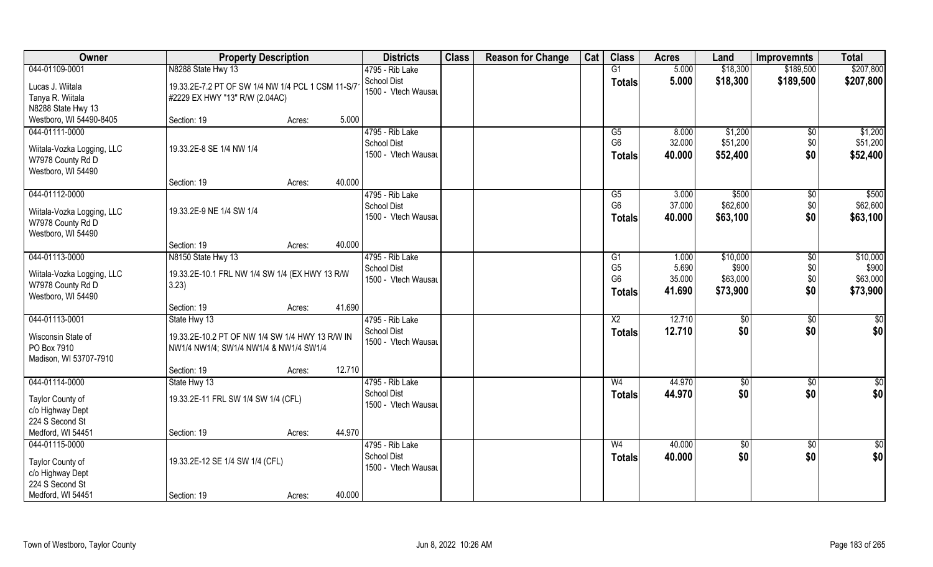| <b>Owner</b>                                                                            | <b>Property Description</b>                                                                               |        |        | <b>Districts</b>                                             | <b>Class</b> | <b>Reason for Change</b> | Cat | <b>Class</b>                                      | <b>Acres</b>              | Land                            | <b>Improvemnts</b>            | <b>Total</b>                    |
|-----------------------------------------------------------------------------------------|-----------------------------------------------------------------------------------------------------------|--------|--------|--------------------------------------------------------------|--------------|--------------------------|-----|---------------------------------------------------|---------------------------|---------------------------------|-------------------------------|---------------------------------|
| 044-01109-0001                                                                          | N8288 State Hwy 13                                                                                        |        |        | 4795 - Rib Lake                                              |              |                          |     | G1                                                | 5.000                     | \$18,300                        | \$189,500                     | \$207,800                       |
| Lucas J. Wiitala<br>Tanya R. Wiitala<br>N8288 State Hwy 13                              | 19.33.2E-7.2 PT OF SW 1/4 NW 1/4 PCL 1 CSM 11-S/7<br>#2229 EX HWY "13" R/W (2.04AC)                       |        |        | <b>School Dist</b><br>1500 - Vtech Wausau                    |              |                          |     | <b>Totals</b>                                     | 5.000                     | \$18,300                        | \$189,500                     | \$207,800                       |
| Westboro, WI 54490-8405                                                                 | Section: 19                                                                                               | Acres: | 5.000  |                                                              |              |                          |     |                                                   |                           |                                 |                               |                                 |
| 044-01111-0000<br>Wiitala-Vozka Logging, LLC<br>W7978 County Rd D<br>Westboro, WI 54490 | 19.33.2E-8 SE 1/4 NW 1/4                                                                                  |        |        | 4795 - Rib Lake<br><b>School Dist</b><br>1500 - Vtech Wausau |              |                          |     | G5<br>G <sub>6</sub><br><b>Totals</b>             | 8.000<br>32.000<br>40.000 | \$1,200<br>\$51,200<br>\$52,400 | $\overline{50}$<br>\$0<br>\$0 | \$1,200<br>\$51,200<br>\$52,400 |
|                                                                                         | Section: 19                                                                                               | Acres: | 40.000 |                                                              |              |                          |     |                                                   |                           |                                 |                               |                                 |
| 044-01112-0000<br>Wiitala-Vozka Logging, LLC<br>W7978 County Rd D<br>Westboro, WI 54490 | 19.33.2E-9 NE 1/4 SW 1/4                                                                                  |        |        | 4795 - Rib Lake<br><b>School Dist</b><br>1500 - Vtech Wausau |              |                          |     | G5<br>G <sub>6</sub><br><b>Totals</b>             | 3.000<br>37.000<br>40.000 | \$500<br>\$62,600<br>\$63,100   | $\sqrt[6]{30}$<br>\$0<br>\$0  | \$500<br>\$62,600<br>\$63,100   |
|                                                                                         | Section: 19                                                                                               | Acres: | 40.000 |                                                              |              |                          |     |                                                   |                           |                                 |                               |                                 |
| 044-01113-0000                                                                          | N8150 State Hwy 13                                                                                        |        |        | 4795 - Rib Lake                                              |              |                          |     | G <sub>1</sub>                                    | 1.000                     | \$10,000                        | $\sqrt[6]{}$                  | \$10,000                        |
| Wiitala-Vozka Logging, LLC<br>W7978 County Rd D<br>Westboro, WI 54490                   | 19.33.2E-10.1 FRL NW 1/4 SW 1/4 (EX HWY 13 R/W<br>3.23)                                                   |        |        | School Dist<br>1500 - Vtech Wausau                           |              |                          |     | G <sub>5</sub><br>G <sub>6</sub><br><b>Totals</b> | 5.690<br>35.000<br>41.690 | \$900<br>\$63,000<br>\$73,900   | \$0<br>\$0<br>\$0             | \$900<br>\$63,000<br>\$73,900   |
|                                                                                         | Section: 19                                                                                               | Acres: | 41.690 |                                                              |              |                          |     |                                                   |                           |                                 |                               |                                 |
| 044-01113-0001<br>Wisconsin State of<br>PO Box 7910                                     | State Hwy 13<br>19.33.2E-10.2 PT OF NW 1/4 SW 1/4 HWY 13 R/W IN<br>NW1/4 NW1/4; SW1/4 NW1/4 & NW1/4 SW1/4 |        |        | 4795 - Rib Lake<br><b>School Dist</b><br>1500 - Vtech Wausau |              |                          |     | X <sub>2</sub><br><b>Totals</b>                   | 12.710<br>12.710          | \$0<br>\$0                      | $\sqrt[6]{30}$<br>\$0         | \$0<br>\$0                      |
| Madison, WI 53707-7910                                                                  | Section: 19                                                                                               | Acres: | 12.710 |                                                              |              |                          |     |                                                   |                           |                                 |                               |                                 |
| 044-01114-0000                                                                          | State Hwy 13                                                                                              |        |        | 4795 - Rib Lake                                              |              |                          |     | W <sub>4</sub>                                    | 44.970                    | \$0                             | \$0                           | $\frac{6}{3}$                   |
| Taylor County of<br>c/o Highway Dept<br>224 S Second St                                 | 19.33.2E-11 FRL SW 1/4 SW 1/4 (CFL)                                                                       |        |        | <b>School Dist</b><br>1500 - Vtech Wausau                    |              |                          |     | <b>Totals</b>                                     | 44.970                    | \$0                             | \$0                           | \$0                             |
| Medford, WI 54451                                                                       | Section: 19                                                                                               | Acres: | 44.970 |                                                              |              |                          |     |                                                   |                           |                                 |                               |                                 |
| 044-01115-0000<br>Taylor County of<br>c/o Highway Dept<br>224 S Second St               | 19.33.2E-12 SE 1/4 SW 1/4 (CFL)                                                                           |        |        | 4795 - Rib Lake<br><b>School Dist</b><br>1500 - Vtech Wausau |              |                          |     | W <sub>4</sub><br><b>Totals</b>                   | 40.000<br>40.000          | $\sqrt{6}$<br>\$0               | $\sqrt{$0}$<br>\$0            | $\overline{50}$<br>\$0          |
| Medford, WI 54451                                                                       | Section: 19                                                                                               | Acres: | 40.000 |                                                              |              |                          |     |                                                   |                           |                                 |                               |                                 |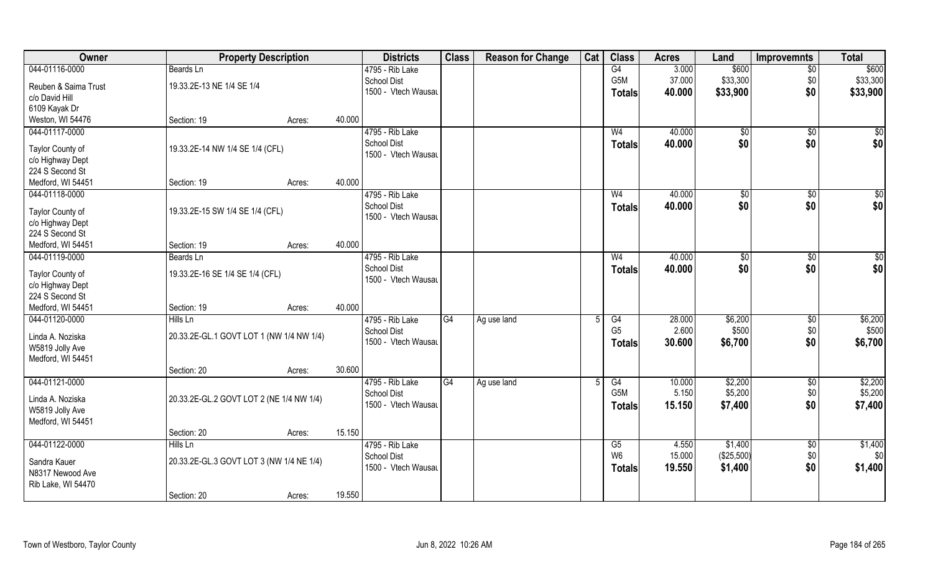| Owner                               | <b>Property Description</b>              |        |        | <b>Districts</b>    | <b>Class</b>    | <b>Reason for Change</b> | Cat | <b>Class</b>     | <b>Acres</b> | Land          | <b>Improvemnts</b> | <b>Total</b> |
|-------------------------------------|------------------------------------------|--------|--------|---------------------|-----------------|--------------------------|-----|------------------|--------------|---------------|--------------------|--------------|
| 044-01116-0000                      | Beards Ln                                |        |        | 4795 - Rib Lake     |                 |                          |     | G4               | 3.000        | \$600         | $\overline{50}$    | \$600        |
| Reuben & Saima Trust                | 19.33.2E-13 NE 1/4 SE 1/4                |        |        | School Dist         |                 |                          |     | G <sub>5</sub> M | 37.000       | \$33,300      | \$0                | \$33,300     |
| c/o David Hill                      |                                          |        |        | 1500 - Vtech Wausau |                 |                          |     | <b>Totals</b>    | 40.000       | \$33,900      | \$0                | \$33,900     |
| 6109 Kayak Dr                       |                                          |        |        |                     |                 |                          |     |                  |              |               |                    |              |
| Weston, WI 54476                    | Section: 19                              | Acres: | 40.000 |                     |                 |                          |     |                  |              |               |                    |              |
| 044-01117-0000                      |                                          |        |        | 4795 - Rib Lake     |                 |                          |     | W <sub>4</sub>   | 40.000       | \$0           | \$0                | \$0          |
|                                     |                                          |        |        | <b>School Dist</b>  |                 |                          |     | Totals           | 40.000       | \$0           | \$0                | \$0          |
| Taylor County of                    | 19.33.2E-14 NW 1/4 SE 1/4 (CFL)          |        |        | 1500 - Vtech Wausau |                 |                          |     |                  |              |               |                    |              |
| c/o Highway Dept                    |                                          |        |        |                     |                 |                          |     |                  |              |               |                    |              |
| 224 S Second St                     |                                          |        |        |                     |                 |                          |     |                  |              |               |                    |              |
| Medford, WI 54451                   | Section: 19                              | Acres: | 40.000 |                     |                 |                          |     |                  |              |               |                    |              |
| 044-01118-0000                      |                                          |        |        | 4795 - Rib Lake     |                 |                          |     | W <sub>4</sub>   | 40.000       | $\sqrt[6]{2}$ | $\sqrt[6]{3}$      | \$0          |
| Taylor County of                    | 19.33.2E-15 SW 1/4 SE 1/4 (CFL)          |        |        | <b>School Dist</b>  |                 |                          |     | <b>Totals</b>    | 40.000       | \$0           | \$0                | \$0          |
| c/o Highway Dept                    |                                          |        |        | 1500 - Vtech Wausau |                 |                          |     |                  |              |               |                    |              |
| 224 S Second St                     |                                          |        |        |                     |                 |                          |     |                  |              |               |                    |              |
| Medford, WI 54451                   | Section: 19                              | Acres: | 40.000 |                     |                 |                          |     |                  |              |               |                    |              |
| 044-01119-0000                      | Beards Ln                                |        |        | 4795 - Rib Lake     |                 |                          |     | W <sub>4</sub>   | 40.000       | \$0           | \$0                | \$0          |
|                                     |                                          |        |        | <b>School Dist</b>  |                 |                          |     | <b>Totals</b>    | 40.000       | \$0           | \$0                | \$0          |
| Taylor County of                    | 19.33.2E-16 SE 1/4 SE 1/4 (CFL)          |        |        | 1500 - Vtech Wausau |                 |                          |     |                  |              |               |                    |              |
| c/o Highway Dept<br>224 S Second St |                                          |        |        |                     |                 |                          |     |                  |              |               |                    |              |
| Medford, WI 54451                   | Section: 19                              | Acres: | 40.000 |                     |                 |                          |     |                  |              |               |                    |              |
| 044-01120-0000                      | Hills Ln                                 |        |        | 4795 - Rib Lake     | $\overline{G4}$ | Ag use land              | 5   | G4               | 28.000       | \$6,200       | \$0                | \$6,200      |
|                                     |                                          |        |        | <b>School Dist</b>  |                 |                          |     | G <sub>5</sub>   | 2.600        | \$500         | \$0                | \$500        |
| Linda A. Noziska                    | 20.33.2E-GL.1 GOVT LOT 1 (NW 1/4 NW 1/4) |        |        | 1500 - Vtech Wausau |                 |                          |     | <b>Totals</b>    | 30.600       | \$6,700       | \$0                | \$6,700      |
| W5819 Jolly Ave                     |                                          |        |        |                     |                 |                          |     |                  |              |               |                    |              |
| Medford, WI 54451                   |                                          |        |        |                     |                 |                          |     |                  |              |               |                    |              |
|                                     | Section: 20                              | Acres: | 30.600 |                     |                 |                          |     |                  |              |               |                    |              |
| 044-01121-0000                      |                                          |        |        | 4795 - Rib Lake     | $\overline{G4}$ | Ag use land              | 5   | G4               | 10.000       | \$2,200       | \$0                | \$2,200      |
| Linda A. Noziska                    | 20.33.2E-GL.2 GOVT LOT 2 (NE 1/4 NW 1/4) |        |        | <b>School Dist</b>  |                 |                          |     | G5M              | 5.150        | \$5,200       | \$0                | \$5,200      |
| W5819 Jolly Ave                     |                                          |        |        | 1500 - Vtech Wausau |                 |                          |     | <b>Totals</b>    | 15.150       | \$7,400       | \$0                | \$7,400      |
| Medford, WI 54451                   |                                          |        |        |                     |                 |                          |     |                  |              |               |                    |              |
|                                     | Section: 20                              | Acres: | 15.150 |                     |                 |                          |     |                  |              |               |                    |              |
| 044-01122-0000                      | Hills Ln                                 |        |        | 4795 - Rib Lake     |                 |                          |     | G5               | 4.550        | \$1,400       | $\sqrt{$0}$        | \$1,400      |
|                                     |                                          |        |        | <b>School Dist</b>  |                 |                          |     | W <sub>6</sub>   | 15.000       | (\$25,500)    | \$0                | \$0          |
| Sandra Kauer                        | 20.33.2E-GL.3 GOVT LOT 3 (NW 1/4 NE 1/4) |        |        | 1500 - Vtech Wausau |                 |                          |     | Totals           | 19.550       | \$1,400       | \$0                | \$1,400      |
| N8317 Newood Ave                    |                                          |        |        |                     |                 |                          |     |                  |              |               |                    |              |
| Rib Lake, WI 54470                  |                                          |        |        |                     |                 |                          |     |                  |              |               |                    |              |
|                                     | Section: 20                              | Acres: | 19.550 |                     |                 |                          |     |                  |              |               |                    |              |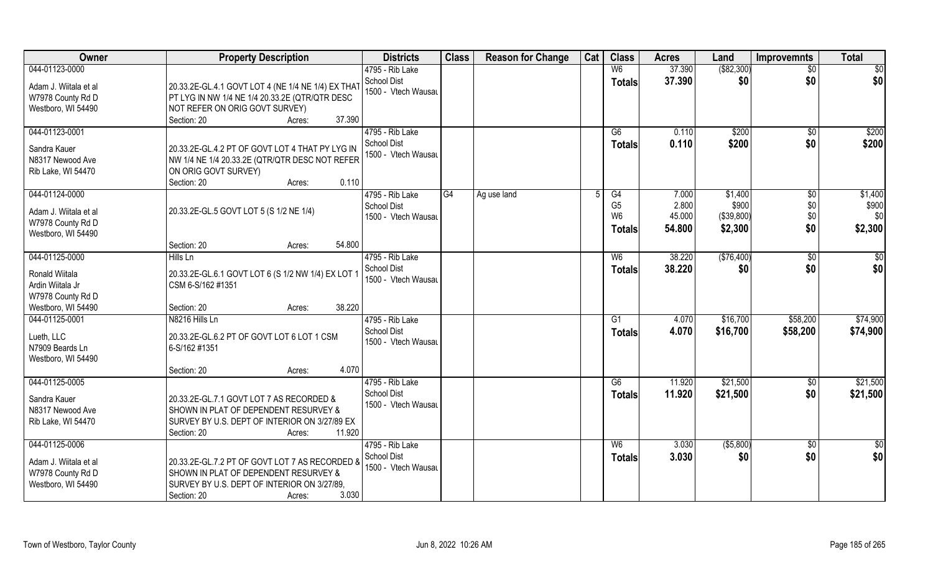| Owner                 | <b>Property Description</b>                        | <b>Districts</b>                      | <b>Class</b> | <b>Reason for Change</b> | Cat | <b>Class</b>   | <b>Acres</b>   | Land           | <b>Improvemnts</b> | <b>Total</b>   |
|-----------------------|----------------------------------------------------|---------------------------------------|--------------|--------------------------|-----|----------------|----------------|----------------|--------------------|----------------|
| 044-01123-0000        |                                                    | 4795 - Rib Lake                       |              |                          |     | W <sub>6</sub> | 37.390         | ( \$82, 300)   | $\sqrt{$0}$        | $\sqrt{50}$    |
| Adam J. Wiitala et al | 20.33.2E-GL.4.1 GOVT LOT 4 (NE 1/4 NE 1/4) EX THAT | School Dist<br>1500 - Vtech Wausau    |              |                          |     | <b>Totals</b>  | 37.390         | \$0            | \$0                | \$0            |
| W7978 County Rd D     | PT LYG IN NW 1/4 NE 1/4 20.33.2E (QTR/QTR DESC     |                                       |              |                          |     |                |                |                |                    |                |
| Westboro, WI 54490    | NOT REFER ON ORIG GOVT SURVEY)                     |                                       |              |                          |     |                |                |                |                    |                |
|                       | 37.390<br>Section: 20<br>Acres:                    |                                       |              |                          |     |                |                |                |                    |                |
| 044-01123-0001        |                                                    | 4795 - Rib Lake<br><b>School Dist</b> |              |                          |     | G6             | 0.110<br>0.110 | \$200<br>\$200 | \$0<br>\$0         | \$200<br>\$200 |
| Sandra Kauer          | 20.33.2E-GL.4.2 PT OF GOVT LOT 4 THAT PY LYG IN    | 1500 - Vtech Wausau                   |              |                          |     | Totals         |                |                |                    |                |
| N8317 Newood Ave      | NW 1/4 NE 1/4 20.33.2E (QTR/QTR DESC NOT REFER     |                                       |              |                          |     |                |                |                |                    |                |
| Rib Lake, WI 54470    | ON ORIG GOVT SURVEY)                               |                                       |              |                          |     |                |                |                |                    |                |
|                       | 0.110<br>Section: 20<br>Acres:                     |                                       |              |                          |     |                |                |                |                    |                |
| 044-01124-0000        |                                                    | 4795 - Rib Lake                       | IG4          | Ag use land              |     | G4             | 7.000          | \$1,400        | $\sqrt[6]{3}$      | \$1,400        |
|                       |                                                    | <b>School Dist</b>                    |              |                          |     | G <sub>5</sub> | 2.800          | \$900          | \$0                | \$900          |
| Adam J. Wiitala et al | 20.33.2E-GL.5 GOVT LOT 5 (S 1/2 NE 1/4)            | 1500 - Vtech Wausau                   |              |                          |     | W <sub>6</sub> | 45.000         | (\$39,800)     | \$0                | \$0            |
| W7978 County Rd D     |                                                    |                                       |              |                          |     | Totals         | 54.800         | \$2,300        | \$0                | \$2,300        |
| Westboro, WI 54490    | 54.800<br>Section: 20                              |                                       |              |                          |     |                |                |                |                    |                |
|                       | Acres:                                             |                                       |              |                          |     |                |                |                |                    |                |
| 044-01125-0000        | Hills Ln                                           | 4795 - Rib Lake                       |              |                          |     | W <sub>6</sub> | 38.220         | (\$76,400)     | $\sqrt[6]{3}$      | \$0            |
| Ronald Wiitala        | 20.33.2E-GL.6.1 GOVT LOT 6 (S 1/2 NW 1/4) EX LOT 1 | School Dist                           |              |                          |     | <b>Totals</b>  | 38.220         | \$0            | \$0                | \$0            |
| Ardin Wiitala Jr      | CSM 6-S/162 #1351                                  | 1500 - Vtech Wausau                   |              |                          |     |                |                |                |                    |                |
| W7978 County Rd D     |                                                    |                                       |              |                          |     |                |                |                |                    |                |
| Westboro, WI 54490    | 38.220<br>Section: 20<br>Acres:                    |                                       |              |                          |     |                |                |                |                    |                |
| 044-01125-0001        | N8216 Hills Ln                                     | 4795 - Rib Lake                       |              |                          |     | G1             | 4.070          | \$16,700       | \$58,200           | \$74,900       |
|                       |                                                    | <b>School Dist</b>                    |              |                          |     | <b>Totals</b>  | 4.070          | \$16,700       | \$58,200           | \$74,900       |
| Lueth, LLC            | 20.33.2E-GL.6.2 PT OF GOVT LOT 6 LOT 1 CSM         | 1500 - Vtech Wausau                   |              |                          |     |                |                |                |                    |                |
| N7909 Beards Ln       | 6-S/162 #1351                                      |                                       |              |                          |     |                |                |                |                    |                |
| Westboro, WI 54490    |                                                    |                                       |              |                          |     |                |                |                |                    |                |
|                       | 4.070<br>Section: 20<br>Acres:                     |                                       |              |                          |     |                |                |                |                    |                |
| 044-01125-0005        |                                                    | 4795 - Rib Lake                       |              |                          |     | G6             | 11.920         | \$21,500       | $\overline{60}$    | \$21,500       |
| Sandra Kauer          | 20.33.2E-GL.7.1 GOVT LOT 7 AS RECORDED &           | <b>School Dist</b>                    |              |                          |     | <b>Totals</b>  | 11.920         | \$21,500       | \$0                | \$21,500       |
| N8317 Newood Ave      | SHOWN IN PLAT OF DEPENDENT RESURVEY &              | 1500 - Vtech Wausau                   |              |                          |     |                |                |                |                    |                |
| Rib Lake, WI 54470    | SURVEY BY U.S. DEPT OF INTERIOR ON 3/27/89 EX      |                                       |              |                          |     |                |                |                |                    |                |
|                       | 11.920<br>Section: 20<br>Acres:                    |                                       |              |                          |     |                |                |                |                    |                |
| 044-01125-0006        |                                                    | 4795 - Rib Lake                       |              |                          |     | W <sub>6</sub> | 3.030          | ( \$5,800)     | $\overline{50}$    | \$0            |
|                       |                                                    | School Dist                           |              |                          |     | <b>Totals</b>  | 3.030          | \$0            | \$0                | \$0            |
| Adam J. Wiitala et al | 20.33.2E-GL.7.2 PT OF GOVT LOT 7 AS RECORDED &     | 1500 - Vtech Wausau                   |              |                          |     |                |                |                |                    |                |
| W7978 County Rd D     | SHOWN IN PLAT OF DEPENDENT RESURVEY &              |                                       |              |                          |     |                |                |                |                    |                |
| Westboro, WI 54490    | SURVEY BY U.S. DEPT OF INTERIOR ON 3/27/89.        |                                       |              |                          |     |                |                |                |                    |                |
|                       | Section: 20<br>3.030<br>Acres:                     |                                       |              |                          |     |                |                |                |                    |                |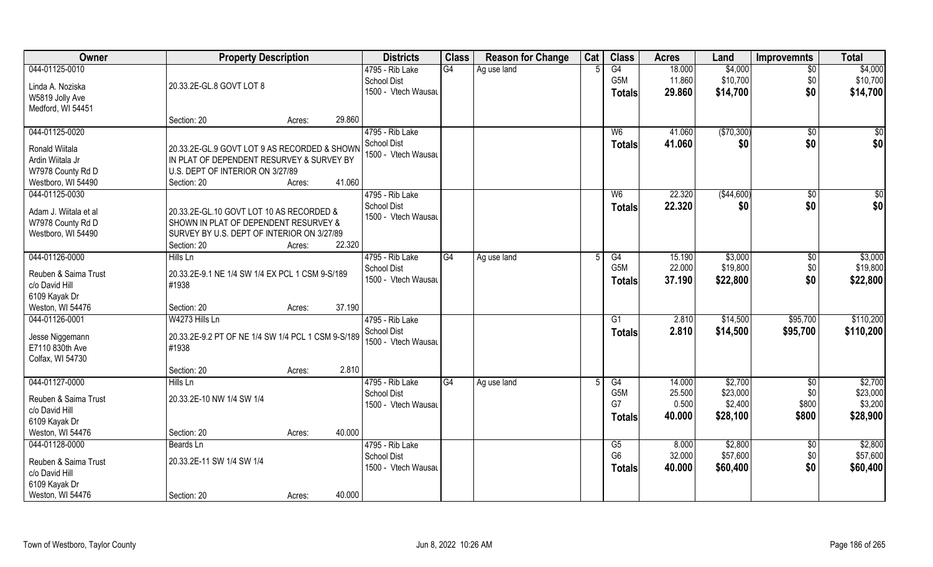| Owner                 | <b>Property Description</b>                        |        |        | <b>Districts</b>                          | <b>Class</b> | <b>Reason for Change</b> | Cat | <b>Class</b>     | <b>Acres</b>    | Land                | <b>Improvemnts</b> | <b>Total</b>        |
|-----------------------|----------------------------------------------------|--------|--------|-------------------------------------------|--------------|--------------------------|-----|------------------|-----------------|---------------------|--------------------|---------------------|
| 044-01125-0010        |                                                    |        |        | 4795 - Rib Lake                           | G4           | Ag use land              |     | G4               | 18.000          | \$4,000             | $\sqrt{6}$         | \$4,000             |
| Linda A. Noziska      | 20.33.2E-GL.8 GOVT LOT 8                           |        |        | <b>School Dist</b>                        |              |                          |     | G5M              | 11.860          | \$10,700            | \$0                | \$10,700            |
| W5819 Jolly Ave       |                                                    |        |        | 1500 - Vtech Wausau                       |              |                          |     | Totals           | 29.860          | \$14,700            | \$0                | \$14,700            |
| Medford, WI 54451     |                                                    |        |        |                                           |              |                          |     |                  |                 |                     |                    |                     |
|                       | Section: 20                                        | Acres: | 29.860 |                                           |              |                          |     |                  |                 |                     |                    |                     |
| 044-01125-0020        |                                                    |        |        | 4795 - Rib Lake                           |              |                          |     | W <sub>6</sub>   | 41.060          | (\$70,300)          | \$0                | $\overline{50}$     |
| Ronald Wiitala        | 20.33.2E-GL.9 GOVT LOT 9 AS RECORDED & SHOWN       |        |        | <b>School Dist</b><br>1500 - Vtech Wausau |              |                          |     | Totals           | 41.060          | \$0                 | \$0                | \$0                 |
| Ardin Wiitala Jr      | IN PLAT OF DEPENDENT RESURVEY & SURVEY BY          |        |        |                                           |              |                          |     |                  |                 |                     |                    |                     |
| W7978 County Rd D     | U.S. DEPT OF INTERIOR ON 3/27/89                   |        |        |                                           |              |                          |     |                  |                 |                     |                    |                     |
| Westboro, WI 54490    | Section: 20                                        | Acres: | 41.060 |                                           |              |                          |     |                  |                 |                     |                    |                     |
| 044-01125-0030        |                                                    |        |        | 4795 - Rib Lake                           |              |                          |     | W <sub>6</sub>   | 22.320          | ( \$44,600)         | $\sqrt[6]{3}$      | \$0                 |
| Adam J. Wiitala et al | 20.33.2E-GL.10 GOVT LOT 10 AS RECORDED &           |        |        | <b>School Dist</b>                        |              |                          |     | <b>Totals</b>    | 22.320          | \$0                 | \$0                | \$0                 |
| W7978 County Rd D     | SHOWN IN PLAT OF DEPENDENT RESURVEY &              |        |        | 1500 - Vtech Wausau                       |              |                          |     |                  |                 |                     |                    |                     |
| Westboro, WI 54490    | SURVEY BY U.S. DEPT OF INTERIOR ON 3/27/89         |        |        |                                           |              |                          |     |                  |                 |                     |                    |                     |
|                       | Section: 20                                        | Acres: | 22.320 |                                           |              |                          |     |                  |                 |                     |                    |                     |
| 044-01126-0000        | Hills Ln                                           |        |        | 4795 - Rib Lake                           | G4           | Ag use land              |     | G4               | 15.190          | \$3,000             | $\sqrt[6]{3}$      | \$3,000             |
| Reuben & Saima Trust  | 20.33.2E-9.1 NE 1/4 SW 1/4 EX PCL 1 CSM 9-S/189    |        |        | <b>School Dist</b>                        |              |                          |     | G <sub>5</sub> M | 22.000          | \$19,800            | \$0                | \$19,800            |
| c/o David Hill        | #1938                                              |        |        | 1500 - Vtech Wausau                       |              |                          |     | <b>Totals</b>    | 37.190          | \$22,800            | \$0                | \$22,800            |
| 6109 Kayak Dr         |                                                    |        |        |                                           |              |                          |     |                  |                 |                     |                    |                     |
| Weston, WI 54476      | Section: 20                                        | Acres: | 37.190 |                                           |              |                          |     |                  |                 |                     |                    |                     |
| 044-01126-0001        | W4273 Hills Ln                                     |        |        | 4795 - Rib Lake                           |              |                          |     | $\overline{G1}$  | 2.810           | \$14,500            | \$95,700           | \$110,200           |
|                       |                                                    |        |        | <b>School Dist</b>                        |              |                          |     | <b>Totals</b>    | 2.810           | \$14,500            | \$95,700           | \$110,200           |
| Jesse Niggemann       | 20.33.2E-9.2 PT OF NE 1/4 SW 1/4 PCL 1 CSM 9-S/189 |        |        | 1500 - Vtech Wausau                       |              |                          |     |                  |                 |                     |                    |                     |
| E7110 830th Ave       | #1938                                              |        |        |                                           |              |                          |     |                  |                 |                     |                    |                     |
| Colfax, WI 54730      |                                                    |        |        |                                           |              |                          |     |                  |                 |                     |                    |                     |
|                       | Section: 20                                        | Acres: | 2.810  |                                           |              |                          |     |                  |                 |                     |                    |                     |
| 044-01127-0000        | Hills Ln                                           |        |        | 4795 - Rib Lake                           | G4           | Ag use land              |     | G4               | 14.000          | \$2,700             | $\overline{50}$    | \$2,700             |
| Reuben & Saima Trust  | 20.33.2E-10 NW 1/4 SW 1/4                          |        |        | <b>School Dist</b>                        |              |                          |     | G5M<br>G7        | 25.500<br>0.500 | \$23,000<br>\$2,400 | \$0<br>\$800       | \$23,000<br>\$3,200 |
| c/o David Hill        |                                                    |        |        | 1500 - Vtech Wausau                       |              |                          |     |                  |                 |                     |                    |                     |
| 6109 Kayak Dr         |                                                    |        |        |                                           |              |                          |     | <b>Totals</b>    | 40.000          | \$28,100            | \$800              | \$28,900            |
| Weston, WI 54476      | Section: 20                                        | Acres: | 40.000 |                                           |              |                          |     |                  |                 |                     |                    |                     |
| 044-01128-0000        | Beards Ln                                          |        |        | 4795 - Rib Lake                           |              |                          |     | G5               | 8.000           | \$2,800             | $\overline{50}$    | \$2,800             |
| Reuben & Saima Trust  | 20.33.2E-11 SW 1/4 SW 1/4                          |        |        | <b>School Dist</b>                        |              |                          |     | G <sub>6</sub>   | 32.000          | \$57,600            | \$0                | \$57,600            |
| c/o David Hill        |                                                    |        |        | 1500 - Vtech Wausau                       |              |                          |     | <b>Totals</b>    | 40.000          | \$60,400            | \$0                | \$60,400            |
| 6109 Kayak Dr         |                                                    |        |        |                                           |              |                          |     |                  |                 |                     |                    |                     |
| Weston, WI 54476      | Section: 20                                        | Acres: | 40.000 |                                           |              |                          |     |                  |                 |                     |                    |                     |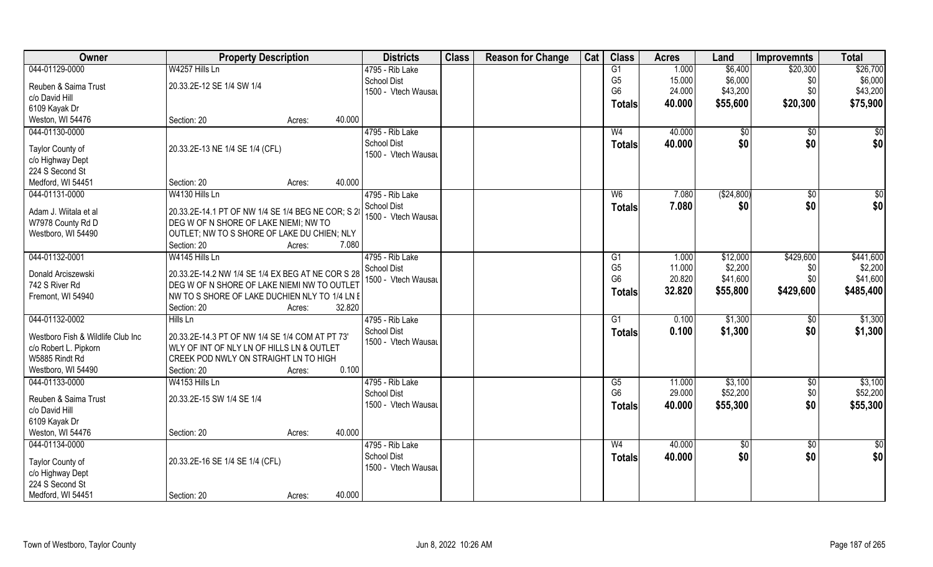| Owner                             | <b>Property Description</b>                        |                  | <b>Districts</b>    | <b>Class</b> | <b>Reason for Change</b> | Cat | <b>Class</b>    | <b>Acres</b> | Land         | <b>Improvemnts</b> | <b>Total</b>    |
|-----------------------------------|----------------------------------------------------|------------------|---------------------|--------------|--------------------------|-----|-----------------|--------------|--------------|--------------------|-----------------|
| 044-01129-0000                    | W4257 Hills Ln                                     |                  | 4795 - Rib Lake     |              |                          |     | G1              | 1.000        | \$6,400      | \$20,300           | \$26,700        |
| Reuben & Saima Trust              | 20.33.2E-12 SE 1/4 SW 1/4                          |                  | <b>School Dist</b>  |              |                          |     | G <sub>5</sub>  | 15.000       | \$6,000      | \$0                | \$6,000         |
| c/o David Hill                    |                                                    |                  | 1500 - Vtech Wausau |              |                          |     | G <sub>6</sub>  | 24.000       | \$43,200     | \$0                | \$43,200        |
| 6109 Kayak Dr                     |                                                    |                  |                     |              |                          |     | Totals          | 40.000       | \$55,600     | \$20,300           | \$75,900        |
| Weston, WI 54476                  | Section: 20                                        | 40.000<br>Acres: |                     |              |                          |     |                 |              |              |                    |                 |
| 044-01130-0000                    |                                                    |                  | 4795 - Rib Lake     |              |                          |     | W <sub>4</sub>  | 40.000       | $\sqrt[6]{}$ | $\sqrt{$0}$        | $\sqrt{50}$     |
|                                   |                                                    |                  | <b>School Dist</b>  |              |                          |     | Totals          | 40.000       | \$0          | \$0                | \$0             |
| Taylor County of                  | 20.33.2E-13 NE 1/4 SE 1/4 (CFL)                    |                  | 1500 - Vtech Wausau |              |                          |     |                 |              |              |                    |                 |
| c/o Highway Dept                  |                                                    |                  |                     |              |                          |     |                 |              |              |                    |                 |
| 224 S Second St                   |                                                    |                  |                     |              |                          |     |                 |              |              |                    |                 |
| Medford, WI 54451                 | Section: 20                                        | 40.000<br>Acres: |                     |              |                          |     |                 |              |              |                    |                 |
| 044-01131-0000                    | W4130 Hills Ln                                     |                  | 4795 - Rib Lake     |              |                          |     | W <sub>6</sub>  | 7.080        | (\$24,800)   | $\sqrt{6}$         | \$0             |
| Adam J. Wiitala et al             | 20.33.2E-14.1 PT OF NW 1/4 SE 1/4 BEG NE COR; S 28 |                  | <b>School Dist</b>  |              |                          |     | <b>Totals</b>   | 7.080        | \$0          | \$0                | \$0             |
| W7978 County Rd D                 | DEG W OF N SHORE OF LAKE NIEMI; NW TO              |                  | 1500 - Vtech Wausau |              |                          |     |                 |              |              |                    |                 |
| Westboro, WI 54490                | OUTLET; NW TO S SHORE OF LAKE DU CHIEN; NLY        |                  |                     |              |                          |     |                 |              |              |                    |                 |
|                                   | Section: 20                                        | 7.080<br>Acres:  |                     |              |                          |     |                 |              |              |                    |                 |
| 044-01132-0001                    | W4145 Hills Ln                                     |                  | 4795 - Rib Lake     |              |                          |     | G1              | 1.000        | \$12,000     | \$429,600          | \$441,600       |
| Donald Arciszewski                | 20.33.2E-14.2 NW 1/4 SE 1/4 EX BEG AT NE COR S 28  |                  | <b>School Dist</b>  |              |                          |     | G <sub>5</sub>  | 11.000       | \$2,200      | \$0                | \$2,200         |
| 742 S River Rd                    | DEG W OF N SHORE OF LAKE NIEMI NW TO OUTLET        |                  | 1500 - Vtech Wausar |              |                          |     | G <sub>6</sub>  | 20.820       | \$41,600     | \$0                | \$41,600        |
| Fremont, WI 54940                 | NW TO S SHORE OF LAKE DUCHIEN NLY TO 1/4 LN E      |                  |                     |              |                          |     | Totals          | 32.820       | \$55,800     | \$429,600          | \$485,400       |
|                                   | Section: 20                                        | 32.820<br>Acres: |                     |              |                          |     |                 |              |              |                    |                 |
| 044-01132-0002                    | Hills Ln                                           |                  | 4795 - Rib Lake     |              |                          |     | $\overline{G1}$ | 0.100        | \$1,300      | \$0                | \$1,300         |
|                                   |                                                    |                  | <b>School Dist</b>  |              |                          |     | <b>Totals</b>   | 0.100        | \$1,300      | \$0                | \$1,300         |
| Westboro Fish & Wildlife Club Inc | 20.33.2E-14.3 PT OF NW 1/4 SE 1/4 COM AT PT 73'    |                  | 1500 - Vtech Wausau |              |                          |     |                 |              |              |                    |                 |
| c/o Robert L. Pipkorn             | WLY OF INT OF NLY LN OF HILLS LN & OUTLET          |                  |                     |              |                          |     |                 |              |              |                    |                 |
| W5885 Rindt Rd                    | CREEK POD NWLY ON STRAIGHT LN TO HIGH              |                  |                     |              |                          |     |                 |              |              |                    |                 |
| Westboro, WI 54490                | Section: 20                                        | 0.100<br>Acres:  |                     |              |                          |     |                 |              |              |                    |                 |
| 044-01133-0000                    | W4153 Hills Ln                                     |                  | 4795 - Rib Lake     |              |                          |     | G5              | 11.000       | \$3,100      | $\sqrt{$0}$        | \$3,100         |
| Reuben & Saima Trust              | 20.33.2E-15 SW 1/4 SE 1/4                          |                  | <b>School Dist</b>  |              |                          |     | G <sub>6</sub>  | 29.000       | \$52,200     | \$0                | \$52,200        |
| c/o David Hill                    |                                                    |                  | 1500 - Vtech Wausau |              |                          |     | <b>Totals</b>   | 40.000       | \$55,300     | \$0                | \$55,300        |
| 6109 Kayak Dr                     |                                                    |                  |                     |              |                          |     |                 |              |              |                    |                 |
| Weston, WI 54476                  | Section: 20                                        | 40.000<br>Acres: |                     |              |                          |     |                 |              |              |                    |                 |
| 044-01134-0000                    |                                                    |                  | 4795 - Rib Lake     |              |                          |     | W <sub>4</sub>  | 40.000       | $\sqrt{6}$   | $\sqrt{$0}$        | $\overline{50}$ |
| Taylor County of                  | 20.33.2E-16 SE 1/4 SE 1/4 (CFL)                    |                  | <b>School Dist</b>  |              |                          |     | <b>Totals</b>   | 40.000       | \$0          | \$0                | \$0             |
| c/o Highway Dept                  |                                                    |                  | 1500 - Vtech Wausau |              |                          |     |                 |              |              |                    |                 |
| 224 S Second St                   |                                                    |                  |                     |              |                          |     |                 |              |              |                    |                 |
| Medford, WI 54451                 | Section: 20                                        | 40.000<br>Acres: |                     |              |                          |     |                 |              |              |                    |                 |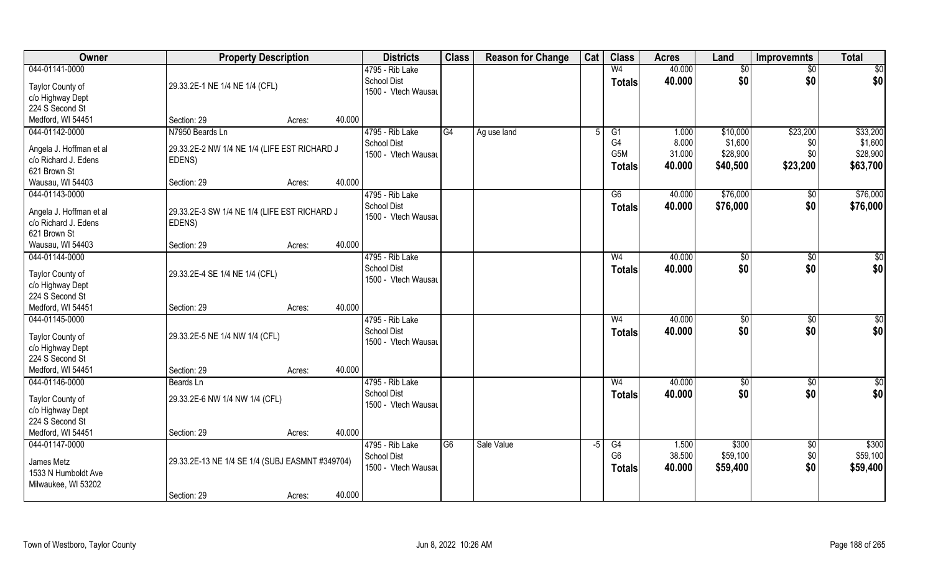| Owner                                | <b>Property Description</b>                     |        |        | <b>Districts</b>    | <b>Class</b>    | <b>Reason for Change</b> | Cat  | <b>Class</b>    | <b>Acres</b> | Land          | <b>Improvemnts</b> | <b>Total</b> |
|--------------------------------------|-------------------------------------------------|--------|--------|---------------------|-----------------|--------------------------|------|-----------------|--------------|---------------|--------------------|--------------|
| 044-01141-0000                       |                                                 |        |        | 4795 - Rib Lake     |                 |                          |      | W <sub>4</sub>  | 40.000       | \$0           | $\overline{50}$    | \$0          |
| Taylor County of                     | 29.33.2E-1 NE 1/4 NE 1/4 (CFL)                  |        |        | School Dist         |                 |                          |      | <b>Totals</b>   | 40.000       | \$0           | \$0                | \$0          |
| c/o Highway Dept                     |                                                 |        |        | 1500 - Vtech Wausau |                 |                          |      |                 |              |               |                    |              |
| 224 S Second St                      |                                                 |        |        |                     |                 |                          |      |                 |              |               |                    |              |
| Medford, WI 54451                    | Section: 29                                     | Acres: | 40.000 |                     |                 |                          |      |                 |              |               |                    |              |
| 044-01142-0000                       | N7950 Beards Ln                                 |        |        | 4795 - Rib Lake     | G4              | Ag use land              | -5   | $\overline{G1}$ | 1.000        | \$10,000      | \$23,200           | \$33,200     |
| Angela J. Hoffman et al              | 29.33.2E-2 NW 1/4 NE 1/4 (LIFE EST RICHARD J    |        |        | <b>School Dist</b>  |                 |                          |      | G <sub>4</sub>  | 8.000        | \$1,600       | \$0                | \$1,600      |
| c/o Richard J. Edens                 | EDENS)                                          |        |        | 1500 - Vtech Wausau |                 |                          |      | G5M             | 31.000       | \$28,900      | \$0                | \$28,900     |
| 621 Brown St                         |                                                 |        |        |                     |                 |                          |      | <b>Totals</b>   | 40.000       | \$40,500      | \$23,200           | \$63,700     |
| Wausau, WI 54403                     | Section: 29                                     | Acres: | 40.000 |                     |                 |                          |      |                 |              |               |                    |              |
| 044-01143-0000                       |                                                 |        |        | 4795 - Rib Lake     |                 |                          |      | G6              | 40.000       | \$76,000      | $\sqrt[6]{30}$     | \$76,000     |
| Angela J. Hoffman et al              | 29.33.2E-3 SW 1/4 NE 1/4 (LIFE EST RICHARD J    |        |        | <b>School Dist</b>  |                 |                          |      | <b>Totals</b>   | 40.000       | \$76,000      | \$0                | \$76,000     |
| c/o Richard J. Edens                 | EDENS)                                          |        |        | 1500 - Vtech Wausau |                 |                          |      |                 |              |               |                    |              |
| 621 Brown St                         |                                                 |        |        |                     |                 |                          |      |                 |              |               |                    |              |
| Wausau, WI 54403                     | Section: 29                                     | Acres: | 40.000 |                     |                 |                          |      |                 |              |               |                    |              |
| 044-01144-0000                       |                                                 |        |        | 4795 - Rib Lake     |                 |                          |      | W <sub>4</sub>  | 40.000       | $\sqrt[6]{3}$ | $\sqrt[6]{3}$      | \$0          |
| Taylor County of                     | 29.33.2E-4 SE 1/4 NE 1/4 (CFL)                  |        |        | <b>School Dist</b>  |                 |                          |      | <b>Totals</b>   | 40.000       | \$0           | \$0                | \$0          |
| c/o Highway Dept                     |                                                 |        |        | 1500 - Vtech Wausau |                 |                          |      |                 |              |               |                    |              |
| 224 S Second St                      |                                                 |        |        |                     |                 |                          |      |                 |              |               |                    |              |
| Medford, WI 54451                    | Section: 29                                     | Acres: | 40.000 |                     |                 |                          |      |                 |              |               |                    |              |
| 044-01145-0000                       |                                                 |        |        | 4795 - Rib Lake     |                 |                          |      | W <sub>4</sub>  | 40.000       | $\sqrt[6]{3}$ | $\sqrt[6]{30}$     | \$0          |
| Taylor County of                     | 29.33.2E-5 NE 1/4 NW 1/4 (CFL)                  |        |        | <b>School Dist</b>  |                 |                          |      | <b>Totals</b>   | 40.000       | \$0           | \$0                | \$0          |
| c/o Highway Dept                     |                                                 |        |        | 1500 - Vtech Wausau |                 |                          |      |                 |              |               |                    |              |
| 224 S Second St                      |                                                 |        |        |                     |                 |                          |      |                 |              |               |                    |              |
| Medford, WI 54451                    | Section: 29                                     | Acres: | 40.000 |                     |                 |                          |      |                 |              |               |                    |              |
| 044-01146-0000                       | Beards Ln                                       |        |        | 4795 - Rib Lake     |                 |                          |      | W <sub>4</sub>  | 40.000       | \$0           | \$0                | \$0          |
|                                      |                                                 |        |        | School Dist         |                 |                          |      | <b>Totals</b>   | 40.000       | \$0           | \$0                | \$0          |
| Taylor County of<br>c/o Highway Dept | 29.33.2E-6 NW 1/4 NW 1/4 (CFL)                  |        |        | 1500 - Vtech Wausau |                 |                          |      |                 |              |               |                    |              |
| 224 S Second St                      |                                                 |        |        |                     |                 |                          |      |                 |              |               |                    |              |
| Medford, WI 54451                    | Section: 29                                     | Acres: | 40.000 |                     |                 |                          |      |                 |              |               |                    |              |
| 044-01147-0000                       |                                                 |        |        | 4795 - Rib Lake     | $\overline{G6}$ | Sale Value               | $-5$ | G4              | 1.500        | \$300         | $\sqrt{$0}$        | \$300        |
|                                      |                                                 |        |        | <b>School Dist</b>  |                 |                          |      | G <sub>6</sub>  | 38.500       | \$59,100      | \$0                | \$59,100     |
| James Metz                           | 29.33.2E-13 NE 1/4 SE 1/4 (SUBJ EASMNT #349704) |        |        | 1500 - Vtech Wausau |                 |                          |      | <b>Totals</b>   | 40.000       | \$59,400      | \$0                | \$59,400     |
| 1533 N Humboldt Ave                  |                                                 |        |        |                     |                 |                          |      |                 |              |               |                    |              |
| Milwaukee, WI 53202                  | Section: 29                                     | Acres: | 40.000 |                     |                 |                          |      |                 |              |               |                    |              |
|                                      |                                                 |        |        |                     |                 |                          |      |                 |              |               |                    |              |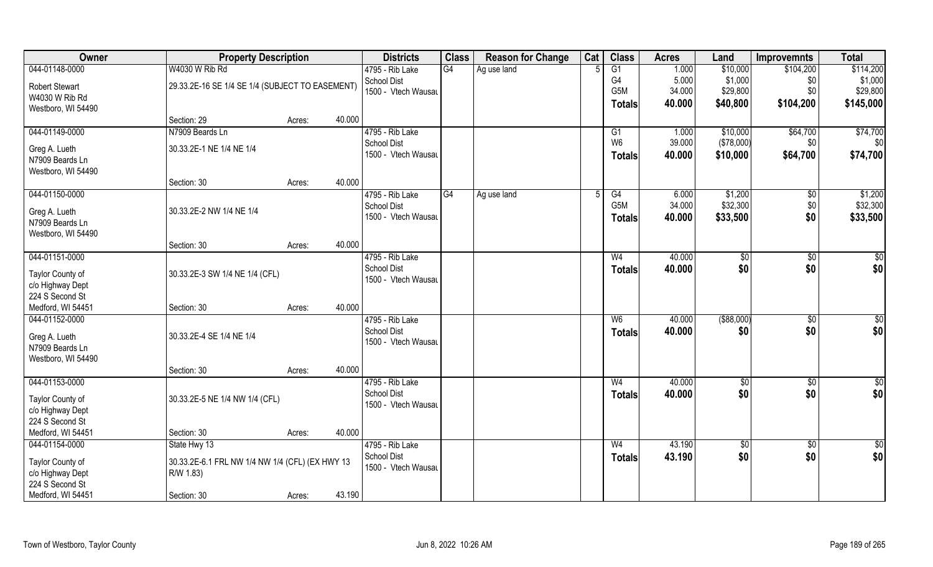| Owner                               | <b>Property Description</b>                                  |                  | <b>Districts</b>    | <b>Class</b> | <b>Reason for Change</b> | Cat | <b>Class</b>     | <b>Acres</b> | Land          | <b>Improvemnts</b> | <b>Total</b>    |
|-------------------------------------|--------------------------------------------------------------|------------------|---------------------|--------------|--------------------------|-----|------------------|--------------|---------------|--------------------|-----------------|
| 044-01148-0000                      | W4030 W Rib Rd                                               |                  | 4795 - Rib Lake     | G4           | Ag use land              |     | G1               | 1.000        | \$10,000      | \$104,200          | \$114,200       |
| <b>Robert Stewart</b>               | 29.33.2E-16 SE 1/4 SE 1/4 (SUBJECT TO EASEMENT)              |                  | School Dist         |              |                          |     | G4               | 5.000        | \$1,000       | \$0                | \$1,000         |
| W4030 W Rib Rd                      |                                                              |                  | 1500 - Vtech Wausau |              |                          |     | G <sub>5</sub> M | 34.000       | \$29,800      | \$0                | \$29,800        |
| Westboro, WI 54490                  |                                                              |                  |                     |              |                          |     | Totals           | 40.000       | \$40,800      | \$104,200          | \$145,000       |
|                                     | Section: 29                                                  | 40.000<br>Acres: |                     |              |                          |     |                  |              |               |                    |                 |
| 044-01149-0000                      | N7909 Beards Ln                                              |                  | 4795 - Rib Lake     |              |                          |     | G1               | 1.000        | \$10,000      | \$64,700           | \$74,700        |
| Greg A. Lueth                       | 30.33.2E-1 NE 1/4 NE 1/4                                     |                  | <b>School Dist</b>  |              |                          |     | W <sub>6</sub>   | 39.000       | (\$78,000)    | \$0                | \$0             |
| N7909 Beards Ln                     |                                                              |                  | 1500 - Vtech Wausau |              |                          |     | <b>Totals</b>    | 40.000       | \$10,000      | \$64,700           | \$74,700        |
| Westboro, WI 54490                  |                                                              |                  |                     |              |                          |     |                  |              |               |                    |                 |
|                                     | Section: 30                                                  | 40.000<br>Acres: |                     |              |                          |     |                  |              |               |                    |                 |
| 044-01150-0000                      |                                                              |                  | 4795 - Rib Lake     | G4           | Ag use land              |     | G4               | 6.000        | \$1,200       | \$0                | \$1,200         |
| Greg A. Lueth                       | 30.33.2E-2 NW 1/4 NE 1/4                                     |                  | School Dist         |              |                          |     | G5M              | 34.000       | \$32,300      | \$0                | \$32,300        |
| N7909 Beards Ln                     |                                                              |                  | 1500 - Vtech Wausau |              |                          |     | <b>Totals</b>    | 40.000       | \$33,500      | \$0                | \$33,500        |
| Westboro, WI 54490                  |                                                              |                  |                     |              |                          |     |                  |              |               |                    |                 |
|                                     | Section: 30                                                  | 40.000<br>Acres: |                     |              |                          |     |                  |              |               |                    |                 |
| 044-01151-0000                      |                                                              |                  | 4795 - Rib Lake     |              |                          |     | W <sub>4</sub>   | 40.000       | \$0           | \$0                | \$0             |
| Taylor County of                    | 30.33.2E-3 SW 1/4 NE 1/4 (CFL)                               |                  | <b>School Dist</b>  |              |                          |     | <b>Totals</b>    | 40.000       | \$0           | \$0                | \$0             |
| c/o Highway Dept                    |                                                              |                  | 1500 - Vtech Wausau |              |                          |     |                  |              |               |                    |                 |
| 224 S Second St                     |                                                              |                  |                     |              |                          |     |                  |              |               |                    |                 |
| Medford, WI 54451                   | Section: 30                                                  | 40.000<br>Acres: |                     |              |                          |     |                  |              |               |                    |                 |
| 044-01152-0000                      |                                                              |                  | 4795 - Rib Lake     |              |                          |     | $W_6$            | 40.000       | $($ \$88,000) | $\overline{50}$    | $\overline{50}$ |
| Greg A. Lueth                       | 30.33.2E-4 SE 1/4 NE 1/4                                     |                  | <b>School Dist</b>  |              |                          |     | <b>Totals</b>    | 40.000       | \$0           | \$0                | \$0             |
| N7909 Beards Ln                     |                                                              |                  | 1500 - Vtech Wausau |              |                          |     |                  |              |               |                    |                 |
| Westboro, WI 54490                  |                                                              |                  |                     |              |                          |     |                  |              |               |                    |                 |
|                                     | Section: 30                                                  | 40.000<br>Acres: |                     |              |                          |     |                  |              |               |                    |                 |
| 044-01153-0000                      |                                                              |                  | 4795 - Rib Lake     |              |                          |     | W <sub>4</sub>   | 40.000       | \$0           | $\overline{50}$    | $\frac{6}{3}$   |
| Taylor County of                    | 30.33.2E-5 NE 1/4 NW 1/4 (CFL)                               |                  | <b>School Dist</b>  |              |                          |     | <b>Totals</b>    | 40.000       | \$0           | \$0                | \$0             |
| c/o Highway Dept                    |                                                              |                  | 1500 - Vtech Wausau |              |                          |     |                  |              |               |                    |                 |
| 224 S Second St                     |                                                              |                  |                     |              |                          |     |                  |              |               |                    |                 |
| Medford, WI 54451                   | Section: 30                                                  | 40.000<br>Acres: |                     |              |                          |     |                  |              |               |                    |                 |
| 044-01154-0000                      | State Hwy 13                                                 |                  | 4795 - Rib Lake     |              |                          |     | W <sub>4</sub>   | 43.190       | \$0           | $\sqrt{6}$         | $\frac{1}{2}$   |
|                                     |                                                              |                  | <b>School Dist</b>  |              |                          |     | Totals           | 43.190       | \$0           | \$0                | \$0             |
| Taylor County of                    | 30.33.2E-6.1 FRL NW 1/4 NW 1/4 (CFL) (EX HWY 13<br>R/W 1.83) |                  | 1500 - Vtech Wausau |              |                          |     |                  |              |               |                    |                 |
| c/o Highway Dept<br>224 S Second St |                                                              |                  |                     |              |                          |     |                  |              |               |                    |                 |
| Medford, WI 54451                   | Section: 30                                                  | 43.190<br>Acres: |                     |              |                          |     |                  |              |               |                    |                 |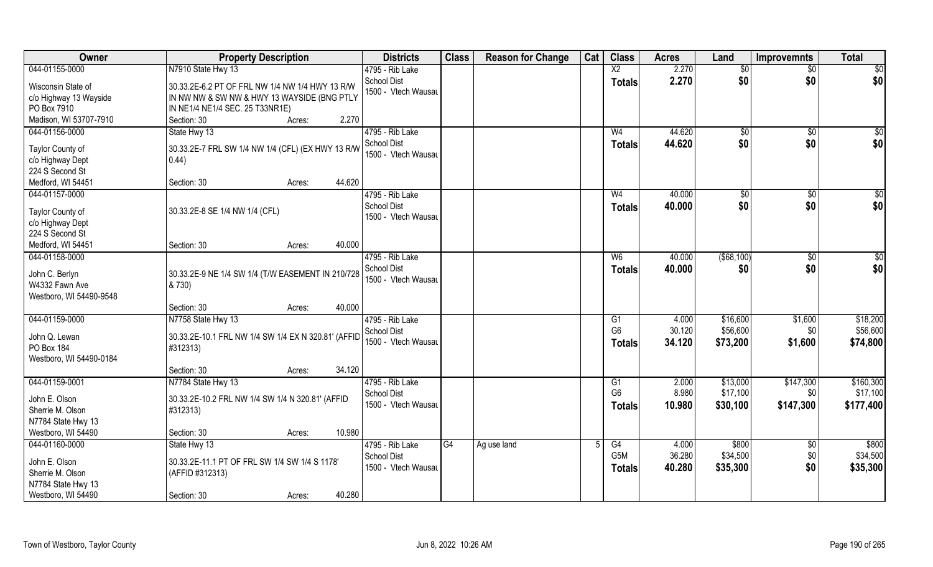| Owner                                                                                           | <b>Property Description</b>                                                                                                       | <b>Districts</b>                                             | <b>Class</b> | <b>Reason for Change</b> | Cat | <b>Class</b>                                      | <b>Acres</b>              | Land                             | <b>Improvemnts</b>            | <b>Total</b>                       |
|-------------------------------------------------------------------------------------------------|-----------------------------------------------------------------------------------------------------------------------------------|--------------------------------------------------------------|--------------|--------------------------|-----|---------------------------------------------------|---------------------------|----------------------------------|-------------------------------|------------------------------------|
| 044-01155-0000                                                                                  | N7910 State Hwy 13                                                                                                                | 4795 - Rib Lake                                              |              |                          |     | $\overline{X2}$                                   | 2.270                     | \$0                              | $\overline{50}$               | \$0                                |
| Wisconsin State of<br>c/o Highway 13 Wayside<br>PO Box 7910                                     | 30.33.2E-6.2 PT OF FRL NW 1/4 NW 1/4 HWY 13 R/W<br>IN NW NW & SW NW & HWY 13 WAYSIDE (BNG PTLY<br>IN NE1/4 NE1/4 SEC. 25 T33NR1E) | School Dist<br>1500 - Vtech Wausau                           |              |                          |     | <b>Totals</b>                                     | 2.270                     | \$0                              | \$0                           | \$0                                |
| Madison, WI 53707-7910                                                                          | 2.270<br>Section: 30<br>Acres:                                                                                                    |                                                              |              |                          |     |                                                   |                           |                                  |                               |                                    |
| 044-01156-0000<br>Taylor County of<br>c/o Highway Dept<br>224 S Second St<br>Medford, WI 54451  | State Hwy 13<br>30.33.2E-7 FRL SW 1/4 NW 1/4 (CFL) (EX HWY 13 R/W<br>0.44)<br>44.620<br>Section: 30<br>Acres:                     | 4795 - Rib Lake<br><b>School Dist</b><br>1500 - Vtech Wausau |              |                          |     | W <sub>4</sub><br>Totals                          | 44.620<br>44.620          | \$0<br>\$0                       | \$0<br>\$0                    | $\sqrt{50}$<br>\$0                 |
| 044-01157-0000                                                                                  |                                                                                                                                   | 4795 - Rib Lake                                              |              |                          |     | W <sub>4</sub>                                    | 40.000                    | $\sqrt{6}$                       | $\sqrt{6}$                    | \$0                                |
| Taylor County of<br>c/o Highway Dept<br>224 S Second St                                         | 30.33.2E-8 SE 1/4 NW 1/4 (CFL)                                                                                                    | <b>School Dist</b><br>1500 - Vtech Wausau                    |              |                          |     | <b>Totals</b>                                     | 40.000                    | \$0                              | \$0                           | \$0                                |
| Medford, WI 54451                                                                               | 40.000<br>Section: 30<br>Acres:                                                                                                   |                                                              |              |                          |     |                                                   |                           |                                  |                               |                                    |
| 044-01158-0000<br>John C. Berlyn<br>W4332 Fawn Ave<br>Westboro, WI 54490-9548                   | 30.33.2E-9 NE 1/4 SW 1/4 (T/W EASEMENT IN 210/728<br>& 730)                                                                       | 4795 - Rib Lake<br><b>School Dist</b><br>1500 - Vtech Wausau |              |                          |     | W <sub>6</sub><br><b>Totals</b>                   | 40.000<br>40.000          | ( \$68, 100)<br>\$0              | \$0<br>\$0                    | \$0<br>\$0                         |
|                                                                                                 | 40.000<br>Section: 30<br>Acres:                                                                                                   |                                                              |              |                          |     |                                                   |                           |                                  |                               |                                    |
| 044-01159-0000<br>John Q. Lewan<br>PO Box 184<br>Westboro, WI 54490-0184                        | N7758 State Hwy 13<br>30.33.2E-10.1 FRL NW 1/4 SW 1/4 EX N 320.81' (AFFID<br>#312313)                                             | 4795 - Rib Lake<br>School Dist<br>1500 - Vtech Wausau        |              |                          |     | G1<br>G <sub>6</sub><br><b>Totals</b>             | 4.000<br>30.120<br>34.120 | \$16,600<br>\$56,600<br>\$73,200 | \$1,600<br>\$0<br>\$1,600     | \$18,200<br>\$56,600<br>\$74,800   |
|                                                                                                 | 34.120<br>Section: 30<br>Acres:                                                                                                   |                                                              |              |                          |     |                                                   |                           |                                  |                               |                                    |
| 044-01159-0001<br>John E. Olson<br>Sherrie M. Olson<br>N7784 State Hwy 13<br>Westboro, WI 54490 | N7784 State Hwy 13<br>30.33.2E-10.2 FRL NW 1/4 SW 1/4 N 320.81' (AFFID<br>#312313)<br>10.980<br>Section: 30<br>Acres:             | 4795 - Rib Lake<br>School Dist<br>1500 - Vtech Wausau        |              |                          |     | G <sub>1</sub><br>G <sub>6</sub><br><b>Totals</b> | 2.000<br>8.980<br>10.980  | \$13,000<br>\$17,100<br>\$30,100 | \$147,300<br>\$0<br>\$147,300 | \$160,300<br>\$17,100<br>\$177,400 |
| 044-01160-0000                                                                                  | State Hwy 13                                                                                                                      | 4795 - Rib Lake                                              | G4           | Ag use land              | 5   | G4                                                | 4.000                     | \$800                            | $\overline{50}$               | \$800                              |
| John E. Olson<br>Sherrie M. Olson<br>N7784 State Hwy 13<br>Westboro, WI 54490                   | 30.33.2E-11.1 PT OF FRL SW 1/4 SW 1/4 S 1178'<br>(AFFID #312313)<br>40.280<br>Section: 30<br>Acres:                               | <b>School Dist</b><br>1500 - Vtech Wausau                    |              |                          |     | G5M<br><b>Totals</b>                              | 36.280<br>40.280          | \$34,500<br>\$35,300             | \$0<br>\$0                    | \$34,500<br>\$35,300               |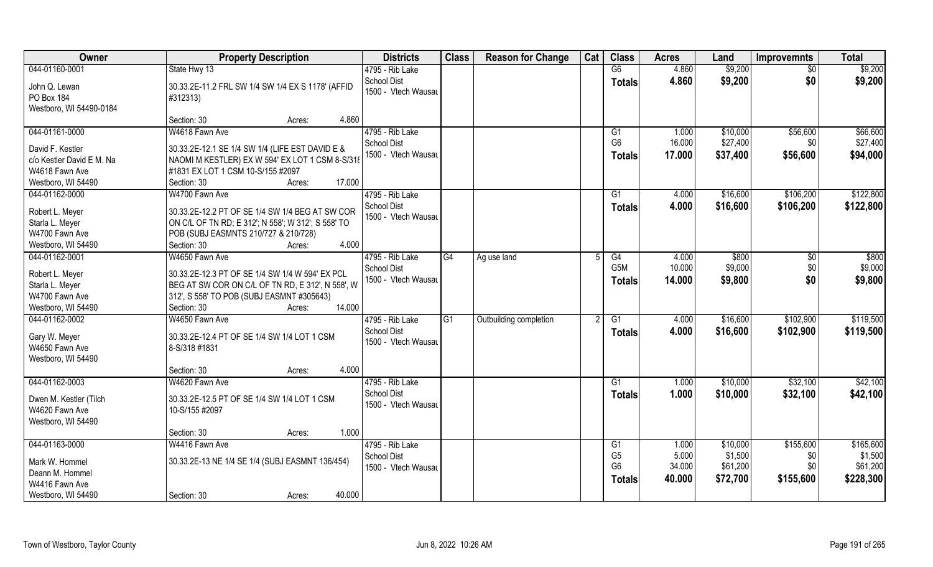| Owner                     | <b>Property Description</b>                        | <b>Districts</b>    | <b>Class</b>    | <b>Reason for Change</b> | Cat | <b>Class</b>    | <b>Acres</b> | Land     | <b>Improvemnts</b> | <b>Total</b> |
|---------------------------|----------------------------------------------------|---------------------|-----------------|--------------------------|-----|-----------------|--------------|----------|--------------------|--------------|
| 044-01160-0001            | State Hwy 13                                       | 4795 - Rib Lake     |                 |                          |     | G6              | 4.860        | \$9,200  | $\sqrt{$0}$        | \$9,200      |
| John Q. Lewan             | 30.33.2E-11.2 FRL SW 1/4 SW 1/4 EX S 1178' (AFFID  | <b>School Dist</b>  |                 |                          |     | <b>Totals</b>   | 4.860        | \$9,200  | \$0                | \$9,200      |
| PO Box 184                | #312313)                                           | 1500 - Vtech Wausau |                 |                          |     |                 |              |          |                    |              |
| Westboro, WI 54490-0184   |                                                    |                     |                 |                          |     |                 |              |          |                    |              |
|                           | 4.860<br>Section: 30<br>Acres:                     |                     |                 |                          |     |                 |              |          |                    |              |
| 044-01161-0000            | W4618 Fawn Ave                                     | 4795 - Rib Lake     |                 |                          |     | G1              | 1.000        | \$10,000 | \$56,600           | \$66,600     |
|                           |                                                    | <b>School Dist</b>  |                 |                          |     | G <sub>6</sub>  | 16.000       | \$27,400 | \$0                | \$27,400     |
| David F. Kestler          | 30.33.2E-12.1 SE 1/4 SW 1/4 (LIFE EST DAVID E &    | 1500 - Vtech Wausau |                 |                          |     | Totals          | 17.000       | \$37,400 | \$56,600           | \$94,000     |
| c/o Kestler David E M. Na | NAOMI M KESTLER) EX W 594' EX LOT 1 CSM 8-S/318    |                     |                 |                          |     |                 |              |          |                    |              |
| W4618 Fawn Ave            | #1831 EX LOT 1 CSM 10-S/155 #2097                  |                     |                 |                          |     |                 |              |          |                    |              |
| Westboro, WI 54490        | 17.000<br>Section: 30<br>Acres:                    |                     |                 |                          |     |                 |              |          |                    |              |
| 044-01162-0000            | W4700 Fawn Ave                                     | 4795 - Rib Lake     |                 |                          |     | G1              | 4.000        | \$16,600 | \$106,200          | \$122,800    |
| Robert L. Meyer           | 30.33.2E-12.2 PT OF SE 1/4 SW 1/4 BEG AT SW COR    | <b>School Dist</b>  |                 |                          |     | <b>Totals</b>   | 4.000        | \$16,600 | \$106,200          | \$122,800    |
| Starla L. Meyer           | ON C/L OF TN RD; E 312'; N 558'; W 312'; S 558' TO | 1500 - Vtech Wausau |                 |                          |     |                 |              |          |                    |              |
| W4700 Fawn Ave            | POB (SUBJ EASMNTS 210/727 & 210/728)               |                     |                 |                          |     |                 |              |          |                    |              |
| Westboro, WI 54490        | 4.000<br>Section: 30<br>Acres:                     |                     |                 |                          |     |                 |              |          |                    |              |
| 044-01162-0001            | W4650 Fawn Ave                                     | 4795 - Rib Lake     | G4              | Ag use land              |     | G4              | 4.000        | \$800    | \$0                | \$800        |
|                           |                                                    | <b>School Dist</b>  |                 |                          |     | G5M             | 10.000       | \$9,000  | \$0                | \$9,000      |
| Robert L. Meyer           | 30.33.2E-12.3 PT OF SE 1/4 SW 1/4 W 594' EX PCL    | 1500 - Vtech Wausau |                 |                          |     | Totals          | 14.000       | \$9,800  | \$0                | \$9,800      |
| Starla L. Meyer           | BEG AT SW COR ON C/L OF TN RD, E 312', N 558', W   |                     |                 |                          |     |                 |              |          |                    |              |
| W4700 Fawn Ave            | 312', S 558' TO POB (SUBJ EASMNT #305643)          |                     |                 |                          |     |                 |              |          |                    |              |
| Westboro, WI 54490        | Section: 30<br>14.000<br>Acres:                    |                     |                 |                          |     |                 |              |          |                    |              |
| 044-01162-0002            | W4650 Fawn Ave                                     | 4795 - Rib Lake     | $\overline{G1}$ | Outbuilding completion   |     | $\overline{G1}$ | 4.000        | \$16,600 | \$102,900          | \$119,500    |
| Gary W. Meyer             | 30.33.2E-12.4 PT OF SE 1/4 SW 1/4 LOT 1 CSM        | <b>School Dist</b>  |                 |                          |     | <b>Totals</b>   | 4.000        | \$16,600 | \$102,900          | \$119,500    |
| W4650 Fawn Ave            | 8-S/318 #1831                                      | 1500 - Vtech Wausau |                 |                          |     |                 |              |          |                    |              |
| Westboro, WI 54490        |                                                    |                     |                 |                          |     |                 |              |          |                    |              |
|                           | 4.000<br>Section: 30<br>Acres:                     |                     |                 |                          |     |                 |              |          |                    |              |
| 044-01162-0003            | W4620 Fawn Ave                                     | 4795 - Rib Lake     |                 |                          |     | G1              | 1.000        | \$10,000 | \$32,100           | \$42,100     |
|                           |                                                    | <b>School Dist</b>  |                 |                          |     |                 |              |          |                    |              |
| Dwen M. Kestler (Tilch    | 30.33.2E-12.5 PT OF SE 1/4 SW 1/4 LOT 1 CSM        |                     |                 |                          |     | <b>Totals</b>   | 1.000        | \$10,000 | \$32,100           | \$42,100     |
| W4620 Fawn Ave            | 10-S/155 #2097                                     | 1500 - Vtech Wausau |                 |                          |     |                 |              |          |                    |              |
| Westboro, WI 54490        |                                                    |                     |                 |                          |     |                 |              |          |                    |              |
|                           | 1.000<br>Section: 30<br>Acres:                     |                     |                 |                          |     |                 |              |          |                    |              |
| 044-01163-0000            | W4416 Fawn Ave                                     | 4795 - Rib Lake     |                 |                          |     | G1              | 1.000        | \$10,000 | \$155,600          | \$165,600    |
|                           |                                                    | <b>School Dist</b>  |                 |                          |     | G <sub>5</sub>  | 5.000        | \$1,500  | \$0                | \$1,500      |
| Mark W. Hommel            | 30.33.2E-13 NE 1/4 SE 1/4 (SUBJ EASMNT 136/454)    | 1500 - Vtech Wausau |                 |                          |     | G <sub>6</sub>  | 34.000       | \$61,200 | \$0                | \$61,200     |
| Deann M. Hommel           |                                                    |                     |                 |                          |     | <b>Totals</b>   | 40.000       | \$72,700 | \$155,600          | \$228,300    |
| W4416 Fawn Ave            |                                                    |                     |                 |                          |     |                 |              |          |                    |              |
| Westboro, WI 54490        | 40.000<br>Section: 30<br>Acres:                    |                     |                 |                          |     |                 |              |          |                    |              |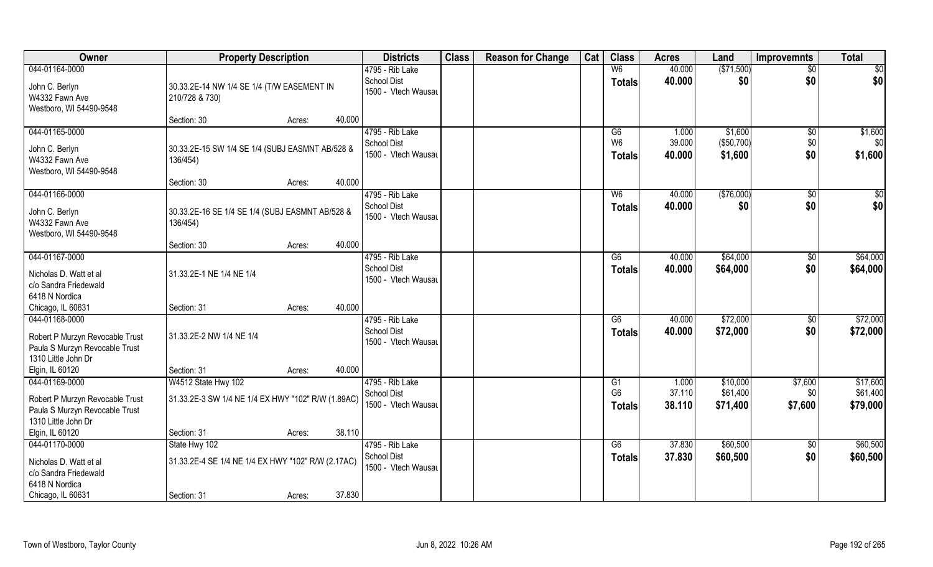| Owner                                                                                    | <b>Property Description</b>                                  |        | <b>Districts</b>                          | <b>Class</b> | <b>Reason for Change</b> | Cat | <b>Class</b>                    | <b>Acres</b>     | Land                  | Improvemnts            | <b>Total</b>         |
|------------------------------------------------------------------------------------------|--------------------------------------------------------------|--------|-------------------------------------------|--------------|--------------------------|-----|---------------------------------|------------------|-----------------------|------------------------|----------------------|
| 044-01164-0000                                                                           |                                                              |        | 4795 - Rib Lake<br><b>School Dist</b>     |              |                          |     | W <sub>6</sub><br><b>Totals</b> | 40.000<br>40.000 | (\$71,500)<br>\$0     | $\overline{50}$<br>\$0 | \$0<br>\$0           |
| John C. Berlyn<br>W4332 Fawn Ave<br>Westboro, WI 54490-9548                              | 30.33.2E-14 NW 1/4 SE 1/4 (T/W EASEMENT IN<br>210/728 & 730) |        | 1500 - Vtech Wausau                       |              |                          |     |                                 |                  |                       |                        |                      |
|                                                                                          | Section: 30<br>Acres:                                        | 40.000 |                                           |              |                          |     |                                 |                  |                       |                        |                      |
| 044-01165-0000                                                                           |                                                              |        | 4795 - Rib Lake                           |              |                          |     | G6                              | 1.000            | \$1,600               | \$0                    | \$1,600              |
| John C. Berlyn<br>W4332 Fawn Ave<br>Westboro, WI 54490-9548                              | 30.33.2E-15 SW 1/4 SE 1/4 (SUBJ EASMNT AB/528 &<br>136/454)  |        | <b>School Dist</b><br>1500 - Vtech Wausau |              |                          |     | W <sub>6</sub><br><b>Totals</b> | 39.000<br>40.000 | (\$50,700)<br>\$1,600 | \$0<br>\$0             | \$0<br>\$1,600       |
|                                                                                          | Section: 30<br>Acres:                                        | 40.000 |                                           |              |                          |     |                                 |                  |                       |                        |                      |
| 044-01166-0000                                                                           |                                                              |        | 4795 - Rib Lake                           |              |                          |     | W <sub>6</sub>                  | 40.000           | (\$76,000)            | \$0                    | \$0                  |
| John C. Berlyn<br>W4332 Fawn Ave<br>Westboro, WI 54490-9548                              | 30.33.2E-16 SE 1/4 SE 1/4 (SUBJ EASMNT AB/528 &<br>136/454)  |        | School Dist<br>1500 - Vtech Wausau        |              |                          |     | <b>Totals</b>                   | 40.000           | \$0                   | \$0                    | \$0                  |
|                                                                                          | Section: 30<br>Acres:                                        | 40.000 |                                           |              |                          |     |                                 |                  |                       |                        |                      |
| 044-01167-0000                                                                           |                                                              |        | 4795 - Rib Lake                           |              |                          |     | G6                              | 40.000           | \$64,000              | $\sqrt[6]{3}$          | \$64,000             |
| Nicholas D. Watt et al<br>c/o Sandra Friedewald<br>6418 N Nordica                        | 31.33.2E-1 NE 1/4 NE 1/4                                     |        | <b>School Dist</b><br>1500 - Vtech Wausau |              |                          |     | <b>Totals</b>                   | 40.000           | \$64,000              | \$0                    | \$64,000             |
| Chicago, IL 60631                                                                        | Section: 31<br>Acres:                                        | 40.000 |                                           |              |                          |     |                                 |                  |                       |                        |                      |
| 044-01168-0000                                                                           |                                                              |        | 4795 - Rib Lake                           |              |                          |     | $\overline{G6}$                 | 40.000           | \$72,000              | \$0                    | \$72,000             |
| Robert P Murzyn Revocable Trust<br>Paula S Murzyn Revocable Trust                        | 31.33.2E-2 NW 1/4 NE 1/4                                     |        | <b>School Dist</b><br>1500 - Vtech Wausau |              |                          |     | <b>Totals</b>                   | 40.000           | \$72,000              | \$0                    | \$72,000             |
| 1310 Little John Dr<br>Elgin, IL 60120                                                   | Section: 31<br>Acres:                                        | 40.000 |                                           |              |                          |     |                                 |                  |                       |                        |                      |
| 044-01169-0000                                                                           | W4512 State Hwy 102                                          |        | 4795 - Rib Lake                           |              |                          |     | G1                              | 1.000            | \$10,000              | \$7,600                | \$17,600             |
| Robert P Murzyn Revocable Trust<br>Paula S Murzyn Revocable Trust<br>1310 Little John Dr | 31.33.2E-3 SW 1/4 NE 1/4 EX HWY "102" R/W (1.89AC)           |        | <b>School Dist</b><br>1500 - Vtech Wausau |              |                          |     | G <sub>6</sub><br><b>Totals</b> | 37.110<br>38.110 | \$61,400<br>\$71,400  | \$0<br>\$7,600         | \$61,400<br>\$79,000 |
| Elgin, IL 60120                                                                          | Section: 31<br>Acres:                                        | 38.110 |                                           |              |                          |     |                                 |                  |                       |                        |                      |
| 044-01170-0000                                                                           | State Hwy 102                                                |        | 4795 - Rib Lake                           |              |                          |     | G6                              | 37.830           | \$60,500              | $\sqrt{$0}$            | \$60,500             |
| Nicholas D. Watt et al<br>c/o Sandra Friedewald                                          | 31.33.2E-4 SE 1/4 NE 1/4 EX HWY "102" R/W (2.17AC)           |        | <b>School Dist</b><br>1500 - Vtech Wausau |              |                          |     | <b>Totals</b>                   | 37.830           | \$60,500              | \$0                    | \$60,500             |
| 6418 N Nordica<br>Chicago, IL 60631                                                      | Section: 31<br>Acres:                                        | 37.830 |                                           |              |                          |     |                                 |                  |                       |                        |                      |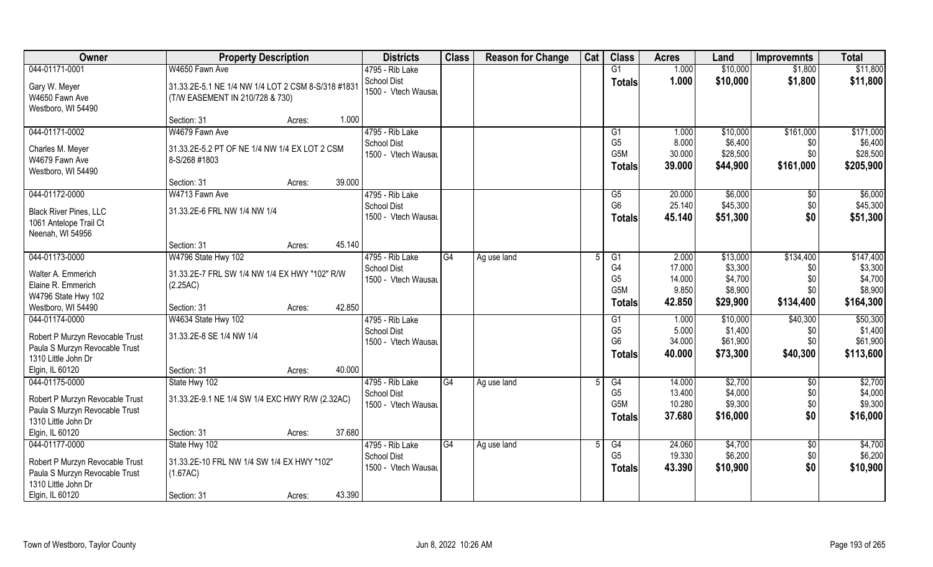| Owner                                                                                                                         | <b>Property Description</b>                                                                                | <b>Districts</b>                                             | <b>Class</b>    | <b>Reason for Change</b> | Cat | <b>Class</b>                                              | <b>Acres</b>                         | Land                                        | <b>Improvemnts</b>                 | <b>Total</b>                                 |
|-------------------------------------------------------------------------------------------------------------------------------|------------------------------------------------------------------------------------------------------------|--------------------------------------------------------------|-----------------|--------------------------|-----|-----------------------------------------------------------|--------------------------------------|---------------------------------------------|------------------------------------|----------------------------------------------|
| 044-01171-0001                                                                                                                | W4650 Fawn Ave                                                                                             | 4795 - Rib Lake                                              |                 |                          |     | G1                                                        | 1.000                                | \$10,000                                    | \$1,800                            | \$11,800                                     |
| Gary W. Meyer<br>W4650 Fawn Ave<br>Westboro, WI 54490                                                                         | 31.33.2E-5.1 NE 1/4 NW 1/4 LOT 2 CSM 8-S/318 #1831<br>(T/W EASEMENT IN 210/728 & 730)                      | School Dist<br>1500 - Vtech Wausau                           |                 |                          |     | <b>Totals</b>                                             | 1.000                                | \$10,000                                    | \$1,800                            | \$11,800                                     |
|                                                                                                                               | Section: 31<br>1.000<br>Acres:                                                                             |                                                              |                 |                          |     |                                                           |                                      |                                             |                                    |                                              |
| 044-01171-0002                                                                                                                | W4679 Fawn Ave                                                                                             | 4795 - Rib Lake                                              |                 |                          |     | G <sub>1</sub>                                            | 1.000                                | \$10,000                                    | \$161,000                          | \$171,000                                    |
| Charles M. Meyer<br>W4679 Fawn Ave<br>Westboro, WI 54490                                                                      | 31.33.2E-5.2 PT OF NE 1/4 NW 1/4 EX LOT 2 CSM<br>8-S/268 #1803                                             | <b>School Dist</b><br>1500 - Vtech Wausau                    |                 |                          |     | G <sub>5</sub><br>G <sub>5</sub> M<br><b>Totals</b>       | 8.000<br>30.000<br>39.000            | \$6,400<br>\$28,500<br>\$44,900             | \$0<br>\$0<br>\$161,000            | \$6,400<br>\$28,500<br>\$205,900             |
|                                                                                                                               | 39.000<br>Section: 31<br>Acres:                                                                            |                                                              |                 |                          |     |                                                           |                                      |                                             |                                    |                                              |
| 044-01172-0000<br><b>Black River Pines, LLC</b><br>1061 Antelope Trail Ct<br>Neenah, WI 54956                                 | W4713 Fawn Ave<br>31.33.2E-6 FRL NW 1/4 NW 1/4                                                             | 4795 - Rib Lake<br><b>School Dist</b><br>1500 - Vtech Wausau |                 |                          |     | G5<br>G <sub>6</sub><br><b>Totals</b>                     | 20.000<br>25.140<br>45.140           | \$6,000<br>\$45,300<br>\$51,300             | \$0<br>\$0<br>\$0                  | \$6,000<br>\$45,300<br>\$51,300              |
|                                                                                                                               | 45.140<br>Section: 31<br>Acres:                                                                            |                                                              |                 |                          |     |                                                           |                                      |                                             |                                    |                                              |
| 044-01173-0000                                                                                                                | W4796 State Hwy 102                                                                                        | 4795 - Rib Lake                                              | G4              | Ag use land              |     | G1                                                        | 2.000                                | \$13,000                                    | \$134,400                          | \$147,400                                    |
| Walter A. Emmerich<br>Elaine R. Emmerich<br>W4796 State Hwy 102                                                               | 31.33.2E-7 FRL SW 1/4 NW 1/4 EX HWY "102" R/W<br>(2.25AC)                                                  | <b>School Dist</b><br>1500 - Vtech Wausau                    |                 |                          |     | G <sub>4</sub><br>G <sub>5</sub><br>G <sub>5</sub> M      | 17.000<br>14.000<br>9.850            | \$3,300<br>\$4,700<br>\$8,900               | \$0<br>\$0<br>\$0                  | \$3,300<br>\$4,700<br>\$8,900                |
| Westboro, WI 54490                                                                                                            | 42.850<br>Section: 31<br>Acres:                                                                            |                                                              |                 |                          |     | <b>Totals</b>                                             | 42.850                               | \$29,900                                    | \$134,400                          | \$164,300                                    |
| 044-01174-0000<br>Robert P Murzyn Revocable Trust<br>Paula S Murzyn Revocable Trust<br>1310 Little John Dr                    | W4634 State Hwy 102<br>31.33.2E-8 SE 1/4 NW 1/4                                                            | 4795 - Rib Lake<br><b>School Dist</b><br>1500 - Vtech Wausau |                 |                          |     | G1<br>G <sub>5</sub><br>G <sub>6</sub><br><b>Totals</b>   | 1.000<br>5.000<br>34.000<br>40.000   | \$10,000<br>\$1,400<br>\$61,900<br>\$73,300 | \$40,300<br>\$0<br>\$0<br>\$40,300 | \$50,300<br>\$1,400<br>\$61,900<br>\$113,600 |
| Elgin, IL 60120                                                                                                               | Section: 31<br>40.000<br>Acres:                                                                            |                                                              |                 |                          |     |                                                           |                                      |                                             |                                    |                                              |
| 044-01175-0000<br>Robert P Murzyn Revocable Trust<br>Paula S Murzyn Revocable Trust<br>1310 Little John Dr                    | State Hwy 102<br>31.33.2E-9.1 NE 1/4 SW 1/4 EXC HWY R/W (2.32AC)                                           | 4795 - Rib Lake<br><b>School Dist</b><br>1500 - Vtech Wausau | $\overline{G4}$ | Ag use land              |     | G4<br>G <sub>5</sub><br>G <sub>5</sub> M<br><b>Totals</b> | 14.000<br>13.400<br>10.280<br>37.680 | \$2,700<br>\$4,000<br>\$9,300<br>\$16,000   | \$0<br>\$0<br>\$0<br>\$0           | \$2,700<br>\$4,000<br>\$9,300<br>\$16,000    |
| Elgin, IL 60120                                                                                                               | 37.680<br>Section: 31<br>Acres:                                                                            |                                                              |                 |                          |     |                                                           |                                      |                                             |                                    |                                              |
| 044-01177-0000<br>Robert P Murzyn Revocable Trust<br>Paula S Murzyn Revocable Trust<br>1310 Little John Dr<br>Elgin, IL 60120 | State Hwy 102<br>31.33.2E-10 FRL NW 1/4 SW 1/4 EX HWY "102"<br>(1.67AC)<br>43.390<br>Section: 31<br>Acres: | 4795 - Rib Lake<br><b>School Dist</b><br>1500 - Vtech Wausau | G4              | Ag use land              | 5   | G4<br>G <sub>5</sub><br><b>Totals</b>                     | 24.060<br>19.330<br>43.390           | \$4,700<br>\$6,200<br>\$10,900              | $\overline{50}$<br>\$0<br>\$0      | \$4,700<br>\$6,200<br>\$10,900               |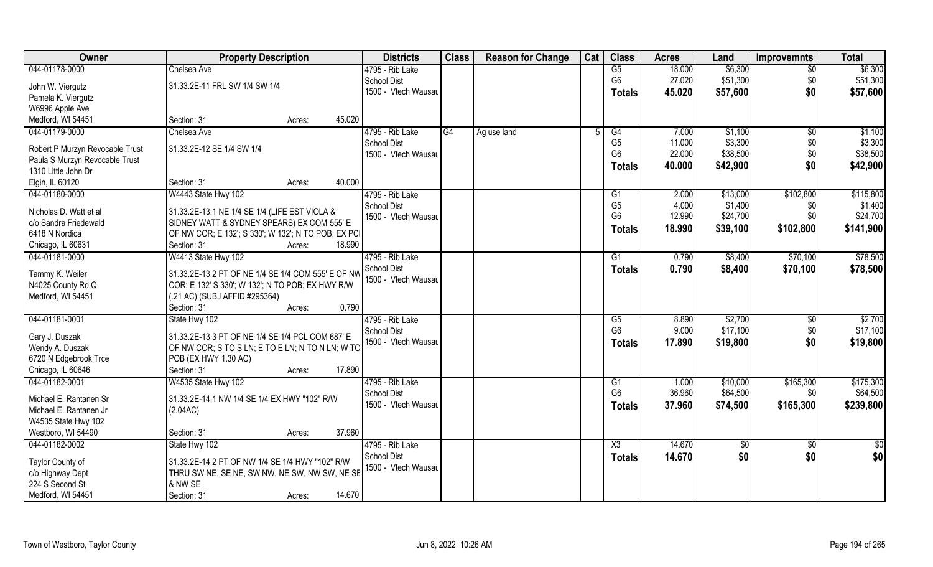| <b>Owner</b>                    | <b>Property Description</b>                              | <b>Districts</b>    | <b>Class</b> | <b>Reason for Change</b> | Cat | <b>Class</b>   | <b>Acres</b> | Land     | <b>Improvemnts</b> | <b>Total</b> |
|---------------------------------|----------------------------------------------------------|---------------------|--------------|--------------------------|-----|----------------|--------------|----------|--------------------|--------------|
| 044-01178-0000                  | Chelsea Ave                                              | 4795 - Rib Lake     |              |                          |     | G5             | 18.000       | \$6,300  | \$0                | \$6,300      |
| John W. Viergutz                | 31.33.2E-11 FRL SW 1/4 SW 1/4                            | <b>School Dist</b>  |              |                          |     | G <sub>6</sub> | 27.020       | \$51,300 | \$0                | \$51,300     |
| Pamela K. Viergutz              |                                                          | 1500 - Vtech Wausau |              |                          |     | <b>Totals</b>  | 45.020       | \$57,600 | \$0                | \$57,600     |
| W6996 Apple Ave                 |                                                          |                     |              |                          |     |                |              |          |                    |              |
| Medford, WI 54451               | 45.020<br>Section: 31<br>Acres:                          |                     |              |                          |     |                |              |          |                    |              |
| 044-01179-0000                  | Chelsea Ave                                              | 4795 - Rib Lake     | G4           | Ag use land              |     | G4             | 7.000        | \$1,100  | $\overline{50}$    | \$1,100      |
|                                 |                                                          | <b>School Dist</b>  |              |                          |     | G <sub>5</sub> | 11.000       | \$3,300  | \$0                | \$3,300      |
| Robert P Murzyn Revocable Trust | 31.33.2E-12 SE 1/4 SW 1/4                                | 1500 - Vtech Wausau |              |                          |     | G <sub>6</sub> | 22.000       | \$38,500 | \$0                | \$38,500     |
| Paula S Murzyn Revocable Trust  |                                                          |                     |              |                          |     | <b>Totals</b>  | 40.000       | \$42,900 | \$0                | \$42,900     |
| 1310 Little John Dr             |                                                          |                     |              |                          |     |                |              |          |                    |              |
| Elgin, IL 60120                 | 40.000<br>Section: 31<br>Acres:                          |                     |              |                          |     |                |              |          |                    |              |
| 044-01180-0000                  | W4443 State Hwy 102                                      | 4795 - Rib Lake     |              |                          |     | G <sub>1</sub> | 2.000        | \$13,000 | \$102,800          | \$115,800    |
| Nicholas D. Watt et al          | 31.33.2E-13.1 NE 1/4 SE 1/4 (LIFE EST VIOLA &            | School Dist         |              |                          |     | G <sub>5</sub> | 4.000        | \$1,400  | \$0                | \$1,400      |
| c/o Sandra Friedewald           | SIDNEY WATT & SYDNEY SPEARS) EX COM 555' E               | 1500 - Vtech Wausau |              |                          |     | G <sub>6</sub> | 12.990       | \$24,700 | \$0                | \$24,700     |
| 6418 N Nordica                  | OF NW COR; E 132'; S 330'; W 132'; N TO POB; EX PCI      |                     |              |                          |     | <b>Totals</b>  | 18.990       | \$39,100 | \$102,800          | \$141,900    |
| Chicago, IL 60631               | 18.990<br>Section: 31<br>Acres:                          |                     |              |                          |     |                |              |          |                    |              |
| 044-01181-0000                  | W4413 State Hwy 102                                      | 4795 - Rib Lake     |              |                          |     | G1             | 0.790        | \$8,400  | \$70,100           | \$78,500     |
|                                 |                                                          | <b>School Dist</b>  |              |                          |     |                | 0.790        | \$8,400  | \$70,100           |              |
| Tammy K. Weiler                 | 31.33.2E-13.2 PT OF NE 1/4 SE 1/4 COM 555' E OF NW       | 1500 - Vtech Wausau |              |                          |     | <b>Totals</b>  |              |          |                    | \$78,500     |
| N4025 County Rd Q               | COR; E 132' S 330'; W 132'; N TO POB; EX HWY R/W         |                     |              |                          |     |                |              |          |                    |              |
| Medford, WI 54451               | (.21 AC) (SUBJ AFFID #295364)                            |                     |              |                          |     |                |              |          |                    |              |
|                                 | Section: 31<br>Acres:                                    | 0.790               |              |                          |     |                |              |          |                    |              |
| 044-01181-0001                  | State Hwy 102                                            | 4795 - Rib Lake     |              |                          |     | G5             | 8.890        | \$2,700  | $\sqrt[6]{30}$     | \$2,700      |
| Gary J. Duszak                  | 31.33.2E-13.3 PT OF NE 1/4 SE 1/4 PCL COM 687' E         | <b>School Dist</b>  |              |                          |     | G <sub>6</sub> | 9.000        | \$17,100 | \$0                | \$17,100     |
| Wendy A. Duszak                 | OF NW COR; S TO S LN; E TO E LN; N TO N LN; W TO         | 1500 - Vtech Wausau |              |                          |     | <b>Totals</b>  | 17.890       | \$19,800 | \$0                | \$19,800     |
| 6720 N Edgebrook Trce           | POB (EX HWY 1.30 AC)                                     |                     |              |                          |     |                |              |          |                    |              |
| Chicago, IL 60646               | 17.890<br>Section: 31<br>Acres:                          |                     |              |                          |     |                |              |          |                    |              |
| 044-01182-0001                  | W4535 State Hwy 102                                      | 4795 - Rib Lake     |              |                          |     | G1             | 1.000        | \$10,000 | \$165,300          | \$175,300    |
|                                 |                                                          | School Dist         |              |                          |     | G <sub>6</sub> | 36.960       | \$64,500 | \$0                | \$64,500     |
| Michael E. Rantanen Sr          | 31.33.2E-14.1 NW 1/4 SE 1/4 EX HWY "102" R/W             | 1500 - Vtech Wausau |              |                          |     |                |              |          |                    |              |
| Michael E. Rantanen Jr          | (2.04AC)                                                 |                     |              |                          |     | <b>Totals</b>  | 37.960       | \$74,500 | \$165,300          | \$239,800    |
| W4535 State Hwy 102             |                                                          |                     |              |                          |     |                |              |          |                    |              |
| Westboro, WI 54490              | 37.960<br>Section: 31<br>Acres:                          |                     |              |                          |     |                |              |          |                    |              |
| 044-01182-0002                  | State Hwy 102                                            | 4795 - Rib Lake     |              |                          |     | X3             | 14.670       | \$0      | $\sqrt{$0}$        | \$0          |
|                                 |                                                          | <b>School Dist</b>  |              |                          |     | <b>Totals</b>  | 14.670       | \$0      | \$0                | \$0          |
| Taylor County of                | 31.33.2E-14.2 PT OF NW 1/4 SE 1/4 HWY "102" R/W          | 1500 - Vtech Wausau |              |                          |     |                |              |          |                    |              |
| c/o Highway Dept                | THRU SW NE, SE NE, SW NW, NE SW, NW SW, NE SE<br>& NW SE |                     |              |                          |     |                |              |          |                    |              |
| 224 S Second St                 |                                                          |                     |              |                          |     |                |              |          |                    |              |
| Medford, WI 54451               | 14.670<br>Section: 31<br>Acres:                          |                     |              |                          |     |                |              |          |                    |              |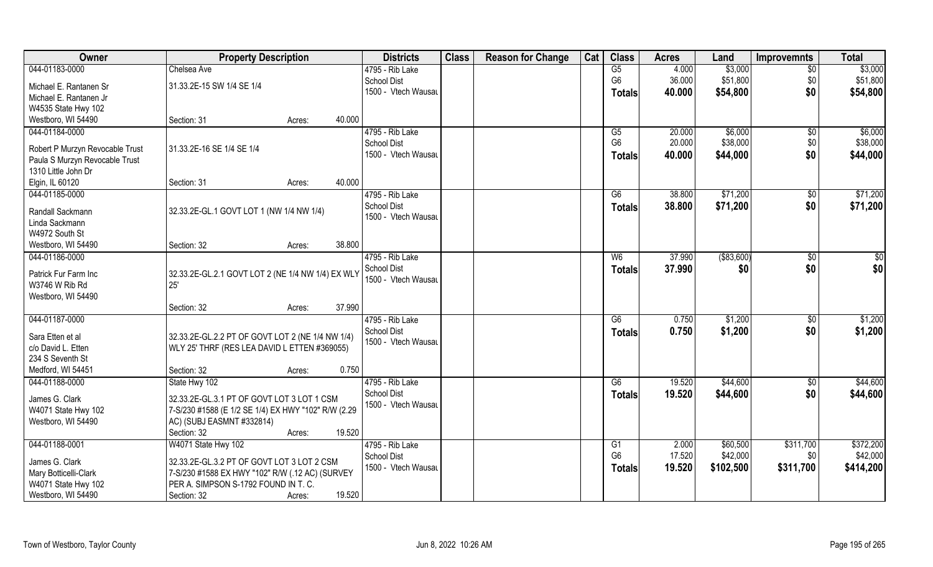| Owner                           | <b>Property Description</b>                         | <b>Districts</b>    | <b>Class</b> | <b>Reason for Change</b> | Cat | <b>Class</b>    | <b>Acres</b> | Land        | <b>Improvemnts</b> | <b>Total</b> |
|---------------------------------|-----------------------------------------------------|---------------------|--------------|--------------------------|-----|-----------------|--------------|-------------|--------------------|--------------|
| 044-01183-0000                  | Chelsea Ave                                         | 4795 - Rib Lake     |              |                          |     | G5              | 4.000        | \$3,000     | $\overline{50}$    | \$3,000      |
| Michael E. Rantanen Sr          | 31.33.2E-15 SW 1/4 SE 1/4                           | <b>School Dist</b>  |              |                          |     | G <sub>6</sub>  | 36.000       | \$51,800    | \$0                | \$51,800     |
| Michael E. Rantanen Jr          |                                                     | 1500 - Vtech Wausau |              |                          |     | <b>Totals</b>   | 40.000       | \$54,800    | \$0                | \$54,800     |
| W4535 State Hwy 102             |                                                     |                     |              |                          |     |                 |              |             |                    |              |
| Westboro, WI 54490              | Section: 31<br>Acres:                               | 40.000              |              |                          |     |                 |              |             |                    |              |
| 044-01184-0000                  |                                                     | 4795 - Rib Lake     |              |                          |     | $\overline{G5}$ | 20.000       | \$6,000     | $\overline{50}$    | \$6,000      |
|                                 |                                                     | <b>School Dist</b>  |              |                          |     | G <sub>6</sub>  | 20.000       | \$38,000    | \$0                | \$38,000     |
| Robert P Murzyn Revocable Trust | 31.33.2E-16 SE 1/4 SE 1/4                           | 1500 - Vtech Wausau |              |                          |     | Totals          | 40.000       | \$44,000    | \$0                | \$44,000     |
| Paula S Murzyn Revocable Trust  |                                                     |                     |              |                          |     |                 |              |             |                    |              |
| 1310 Little John Dr             |                                                     |                     |              |                          |     |                 |              |             |                    |              |
| Elgin, IL 60120                 | Section: 31<br>Acres:                               | 40.000              |              |                          |     |                 |              |             |                    |              |
| 044-01185-0000                  |                                                     | 4795 - Rib Lake     |              |                          |     | G6              | 38.800       | \$71,200    | \$0                | \$71,200     |
| Randall Sackmann                | 32.33.2E-GL.1 GOVT LOT 1 (NW 1/4 NW 1/4)            | <b>School Dist</b>  |              |                          |     | <b>Totals</b>   | 38.800       | \$71,200    | \$0                | \$71,200     |
| Linda Sackmann                  |                                                     | 1500 - Vtech Wausau |              |                          |     |                 |              |             |                    |              |
| W4972 South St                  |                                                     |                     |              |                          |     |                 |              |             |                    |              |
| Westboro, WI 54490              | Section: 32<br>Acres:                               | 38.800              |              |                          |     |                 |              |             |                    |              |
| 044-01186-0000                  |                                                     | 4795 - Rib Lake     |              |                          |     | W <sub>6</sub>  | 37.990       | ( \$83,600) | \$0                | \$           |
|                                 |                                                     | <b>School Dist</b>  |              |                          |     | <b>Totals</b>   | 37.990       | \$0         | \$0                | \$0          |
| Patrick Fur Farm Inc            | 32.33.2E-GL.2.1 GOVT LOT 2 (NE 1/4 NW 1/4) EX WLY   | 1500 - Vtech Wausau |              |                          |     |                 |              |             |                    |              |
| W3746 W Rib Rd                  | 25'                                                 |                     |              |                          |     |                 |              |             |                    |              |
| Westboro, WI 54490              |                                                     |                     |              |                          |     |                 |              |             |                    |              |
|                                 | Section: 32<br>Acres:                               | 37.990              |              |                          |     |                 |              |             |                    |              |
| 044-01187-0000                  |                                                     | 4795 - Rib Lake     |              |                          |     | G6              | 0.750        | \$1,200     | \$0                | \$1,200      |
| Sara Etten et al                | 32.33.2E-GL.2.2 PT OF GOVT LOT 2 (NE 1/4 NW 1/4)    | <b>School Dist</b>  |              |                          |     | <b>Totals</b>   | 0.750        | \$1,200     | \$0                | \$1,200      |
| c/o David L. Etten              | WLY 25' THRF (RES LEA DAVID L ETTEN #369055)        | 1500 - Vtech Wausau |              |                          |     |                 |              |             |                    |              |
| 234 S Seventh St                |                                                     |                     |              |                          |     |                 |              |             |                    |              |
| Medford, WI 54451               | Section: 32<br>Acres:                               | 0.750               |              |                          |     |                 |              |             |                    |              |
| 044-01188-0000                  | State Hwy 102                                       | 4795 - Rib Lake     |              |                          |     | G6              | 19.520       | \$44,600    | \$0                | \$44,600     |
|                                 |                                                     | <b>School Dist</b>  |              |                          |     | <b>Totals</b>   | 19.520       | \$44,600    | \$0                | \$44,600     |
| James G. Clark                  | 32.33.2E-GL.3.1 PT OF GOVT LOT 3 LOT 1 CSM          | 1500 - Vtech Wausau |              |                          |     |                 |              |             |                    |              |
| W4071 State Hwy 102             | 7-S/230 #1588 (E 1/2 SE 1/4) EX HWY "102" R/W (2.29 |                     |              |                          |     |                 |              |             |                    |              |
| Westboro, WI 54490              | AC) (SUBJ EASMNT #332814)                           |                     |              |                          |     |                 |              |             |                    |              |
|                                 | Section: 32<br>Acres:                               | 19.520              |              |                          |     |                 |              |             |                    |              |
| 044-01188-0001                  | W4071 State Hwy 102                                 | 4795 - Rib Lake     |              |                          |     | G1              | 2.000        | \$60,500    | \$311,700          | \$372,200    |
| James G. Clark                  | 32.33.2E-GL.3.2 PT OF GOVT LOT 3 LOT 2 CSM          | <b>School Dist</b>  |              |                          |     | G <sub>6</sub>  | 17.520       | \$42,000    | \$0                | \$42,000     |
| Mary Botticelli-Clark           | 7-S/230 #1588 EX HWY "102" R/W (.12 AC) (SURVEY     | 1500 - Vtech Wausau |              |                          |     | <b>Totals</b>   | 19.520       | \$102,500   | \$311,700          | \$414,200    |
| W4071 State Hwy 102             | PER A. SIMPSON S-1792 FOUND IN T. C.                |                     |              |                          |     |                 |              |             |                    |              |
| Westboro, WI 54490              | Section: 32<br>Acres:                               | 19.520              |              |                          |     |                 |              |             |                    |              |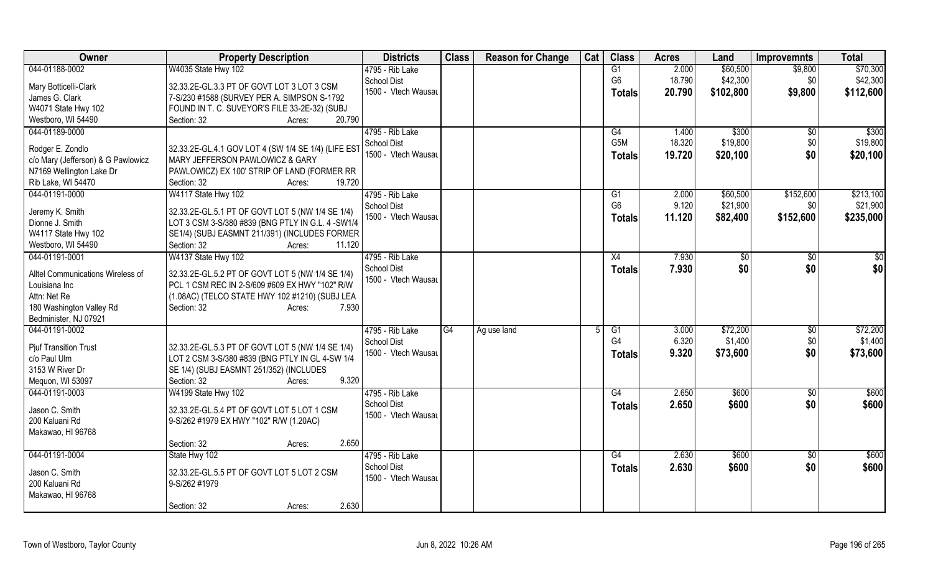| <b>Owner</b>                       | <b>Property Description</b>                         | <b>Districts</b>    | <b>Class</b> | <b>Reason for Change</b> | Cat | <b>Class</b>   | <b>Acres</b> | Land           | <b>Improvemnts</b> | <b>Total</b> |
|------------------------------------|-----------------------------------------------------|---------------------|--------------|--------------------------|-----|----------------|--------------|----------------|--------------------|--------------|
| 044-01188-0002                     | W4035 State Hwy 102                                 | 4795 - Rib Lake     |              |                          |     | G1             | 2.000        | \$60,500       | \$9,800            | \$70,300     |
| Mary Botticelli-Clark              | 32.33.2E-GL.3.3 PT OF GOVT LOT 3 LOT 3 CSM          | School Dist         |              |                          |     | G <sub>6</sub> | 18.790       | \$42,300       | \$0                | \$42,300     |
| James G. Clark                     | 7-S/230 #1588 (SURVEY PER A. SIMPSON S-1792         | 1500 - Vtech Wausau |              |                          |     | <b>Totals</b>  | 20.790       | \$102,800      | \$9,800            | \$112,600    |
| W4071 State Hwy 102                | FOUND IN T. C. SUVEYOR'S FILE 33-2E-32) (SUBJ       |                     |              |                          |     |                |              |                |                    |              |
| Westboro, WI 54490                 | 20.790<br>Section: 32<br>Acres:                     |                     |              |                          |     |                |              |                |                    |              |
| 044-01189-0000                     |                                                     | 4795 - Rib Lake     |              |                          |     | G4             | 1.400        | \$300          | \$0                | \$300        |
|                                    |                                                     | <b>School Dist</b>  |              |                          |     | G5M            | 18.320       | \$19,800       | \$0                | \$19,800     |
| Rodger E. Zondlo                   | 32.33.2E-GL.4.1 GOV LOT 4 (SW 1/4 SE 1/4) (LIFE EST | 1500 - Vtech Wausau |              |                          |     | <b>Totals</b>  | 19.720       | \$20,100       | \$0                | \$20,100     |
| c/o Mary (Jefferson) & G Pawlowicz | MARY JEFFERSON PAWLOWICZ & GARY                     |                     |              |                          |     |                |              |                |                    |              |
| N7169 Wellington Lake Dr           | PAWLOWICZ) EX 100' STRIP OF LAND (FORMER RR         |                     |              |                          |     |                |              |                |                    |              |
| Rib Lake, WI 54470                 | 19.720<br>Section: 32<br>Acres:                     |                     |              |                          |     |                |              |                |                    |              |
| 044-01191-0000                     | W4117 State Hwy 102                                 | 4795 - Rib Lake     |              |                          |     | G1             | 2.000        | \$60,500       | \$152,600          | \$213,100    |
| Jeremy K. Smith                    | 32.33.2E-GL.5.1 PT OF GOVT LOT 5 (NW 1/4 SE 1/4)    | School Dist         |              |                          |     | G <sub>6</sub> | 9.120        | \$21,900       | \$0                | \$21,900     |
| Dionne J. Smith                    | LOT 3 CSM 3-S/380 #839 (BNG PTLY IN G.L. 4 - SW1/4  | 1500 - Vtech Wausau |              |                          |     | <b>Totals</b>  | 11.120       | \$82,400       | \$152,600          | \$235,000    |
| W4117 State Hwy 102                | SE1/4) (SUBJ EASMNT 211/391) (INCLUDES FORMER       |                     |              |                          |     |                |              |                |                    |              |
| Westboro, WI 54490                 | 11.120<br>Section: 32<br>Acres:                     |                     |              |                          |     |                |              |                |                    |              |
| 044-01191-0001                     | W4137 State Hwy 102                                 | 4795 - Rib Lake     |              |                          |     | X4             | 7.930        | $\frac{1}{20}$ | \$0                | \$0          |
|                                    |                                                     | School Dist         |              |                          |     |                |              |                |                    |              |
| Alltel Communications Wireless of  | 32.33.2E-GL.5.2 PT OF GOVT LOT 5 (NW 1/4 SE 1/4)    | 1500 - Vtech Wausau |              |                          |     | <b>Totals</b>  | 7.930        | \$0            | \$0                | \$0          |
| Louisiana Inc                      | PCL 1 CSM REC IN 2-S/609 #609 EX HWY "102" R/W      |                     |              |                          |     |                |              |                |                    |              |
| Attn: Net Re                       | (1.08AC) (TELCO STATE HWY 102 #1210) (SUBJ LEA      |                     |              |                          |     |                |              |                |                    |              |
| 180 Washington Valley Rd           | 7.930<br>Section: 32<br>Acres:                      |                     |              |                          |     |                |              |                |                    |              |
| Bedminister, NJ 07921              |                                                     |                     |              |                          |     |                |              |                |                    |              |
| 044-01191-0002                     |                                                     | 4795 - Rib Lake     | G4           | Ag use land              |     | G <sub>1</sub> | 3.000        | \$72,200       | \$0                | \$72,200     |
| <b>Pjuf Transition Trust</b>       | 32.33.2E-GL.5.3 PT OF GOVT LOT 5 (NW 1/4 SE 1/4)    | <b>School Dist</b>  |              |                          |     | G <sub>4</sub> | 6.320        | \$1,400        | \$0                | \$1,400      |
| c/o Paul Ulm                       | LOT 2 CSM 3-S/380 #839 (BNG PTLY IN GL 4-SW 1/4     | 1500 - Vtech Wausau |              |                          |     | <b>Totals</b>  | 9.320        | \$73,600       | \$0                | \$73,600     |
| 3153 W River Dr                    | SE 1/4) (SUBJ EASMNT 251/352) (INCLUDES             |                     |              |                          |     |                |              |                |                    |              |
| Mequon, WI 53097                   | 9.320<br>Section: 32<br>Acres:                      |                     |              |                          |     |                |              |                |                    |              |
| 044-01191-0003                     | W4199 State Hwy 102                                 | 4795 - Rib Lake     |              |                          |     | G4             | 2.650        | \$600          |                    | \$600        |
|                                    |                                                     | <b>School Dist</b>  |              |                          |     |                | 2.650        | \$600          | \$0<br>\$0         | \$600        |
| Jason C. Smith                     | 32.33.2E-GL.5.4 PT OF GOVT LOT 5 LOT 1 CSM          | 1500 - Vtech Wausau |              |                          |     | <b>Totals</b>  |              |                |                    |              |
| 200 Kaluani Rd                     | 9-S/262 #1979 EX HWY "102" R/W (1.20AC)             |                     |              |                          |     |                |              |                |                    |              |
| Makawao, HI 96768                  |                                                     |                     |              |                          |     |                |              |                |                    |              |
|                                    | 2.650<br>Section: 32<br>Acres:                      |                     |              |                          |     |                |              |                |                    |              |
| 044-01191-0004                     | State Hwy 102                                       | 4795 - Rib Lake     |              |                          |     | G4             | 2.630        | \$600          | $\sqrt{$0}$        | \$600        |
| Jason C. Smith                     | 32.33.2E-GL.5.5 PT OF GOVT LOT 5 LOT 2 CSM          | <b>School Dist</b>  |              |                          |     | <b>Totals</b>  | 2.630        | \$600          | \$0                | \$600        |
| 200 Kaluani Rd                     | 9-S/262 #1979                                       | 1500 - Vtech Wausau |              |                          |     |                |              |                |                    |              |
|                                    |                                                     |                     |              |                          |     |                |              |                |                    |              |
| Makawao, HI 96768                  | 2.630                                               |                     |              |                          |     |                |              |                |                    |              |
|                                    | Section: 32<br>Acres:                               |                     |              |                          |     |                |              |                |                    |              |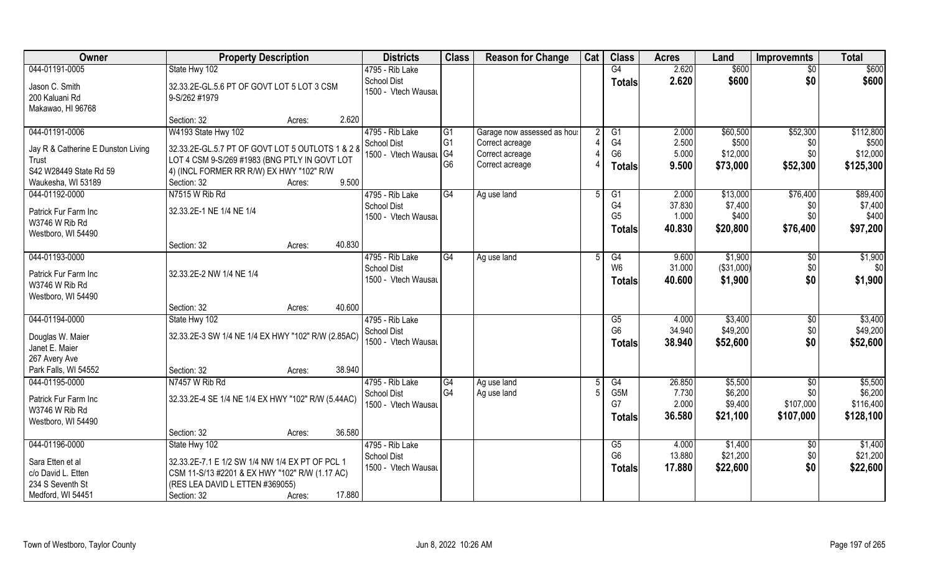| Owner                                       | <b>Property Description</b>                        | <b>Districts</b>                          | <b>Class</b>   | <b>Reason for Change</b>    | Cat | <b>Class</b>         | <b>Acres</b>    | Land        | <b>Improvemnts</b> | <b>Total</b> |
|---------------------------------------------|----------------------------------------------------|-------------------------------------------|----------------|-----------------------------|-----|----------------------|-----------------|-------------|--------------------|--------------|
| 044-01191-0005                              | State Hwy 102                                      | 4795 - Rib Lake                           |                |                             |     | G4                   | 2.620           | \$600       | $\overline{30}$    | \$600        |
| Jason C. Smith                              | 32.33.2E-GL.5.6 PT OF GOVT LOT 5 LOT 3 CSM         | <b>School Dist</b>                        |                |                             |     | <b>Totals</b>        | 2.620           | \$600       | \$0                | \$600        |
| 200 Kaluani Rd                              | 9-S/262 #1979                                      | 1500 - Vtech Wausau                       |                |                             |     |                      |                 |             |                    |              |
| Makawao, HI 96768                           |                                                    |                                           |                |                             |     |                      |                 |             |                    |              |
|                                             | 2.620<br>Section: 32<br>Acres:                     |                                           |                |                             |     |                      |                 |             |                    |              |
| 044-01191-0006                              | W4193 State Hwy 102                                | 4795 - Rib Lake                           | G1             | Garage now assessed as hous |     | G1                   | 2.000           | \$60,500    | \$52,300           | \$112,800    |
|                                             | 32.33.2E-GL.5.7 PT OF GOVT LOT 5 OUTLOTS 1 & 2 &   | <b>School Dist</b>                        | G <sub>1</sub> | Correct acreage             |     | G4                   | 2.500           | \$500       | \$0                | \$500        |
| Jay R & Catherine E Dunston Living<br>Trust | LOT 4 CSM 9-S/269 #1983 (BNG PTLY IN GOVT LOT      | 1500 - Vtech Wausal G4                    |                | Correct acreage             |     | G <sub>6</sub>       | 5.000           | \$12,000    | \$0                | \$12,000     |
| S42 W28449 State Rd 59                      | 4) (INCL FORMER RR R/W) EX HWY "102" R/W           |                                           | G <sub>6</sub> | Correct acreage             |     | <b>Totals</b>        | 9.500           | \$73,000    | \$52,300           | \$125,300    |
| Waukesha, WI 53189                          | 9.500<br>Section: 32<br>Acres:                     |                                           |                |                             |     |                      |                 |             |                    |              |
| 044-01192-0000                              | N7515 W Rib Rd                                     | 4795 - Rib Lake                           | G4             | Ag use land                 | 5   | G <sub>1</sub>       | 2.000           | \$13,000    | \$76,400           | \$89,400     |
|                                             |                                                    | <b>School Dist</b>                        |                |                             |     | G4                   | 37.830          | \$7,400     | \$0                | \$7,400      |
| Patrick Fur Farm Inc                        | 32.33.2E-1 NE 1/4 NE 1/4                           | 1500 - Vtech Wausau                       |                |                             |     | G <sub>5</sub>       | 1.000           | \$400       | \$0                | \$400        |
| W3746 W Rib Rd                              |                                                    |                                           |                |                             |     | Totals               | 40.830          | \$20,800    | \$76,400           | \$97,200     |
| Westboro, WI 54490                          |                                                    |                                           |                |                             |     |                      |                 |             |                    |              |
|                                             | 40.830<br>Section: 32<br>Acres:                    |                                           |                |                             |     |                      |                 |             |                    |              |
| 044-01193-0000                              |                                                    | 4795 - Rib Lake                           | G4             | Ag use land                 |     | G4<br>W <sub>6</sub> | 9.600<br>31.000 | \$1,900     | \$0                | \$1,900      |
| Patrick Fur Farm Inc                        | 32.33.2E-2 NW 1/4 NE 1/4                           | <b>School Dist</b><br>1500 - Vtech Wausau |                |                             |     |                      |                 | ( \$31,000) | \$0                | \$0          |
| W3746 W Rib Rd                              |                                                    |                                           |                |                             |     | <b>Totals</b>        | 40.600          | \$1,900     | \$0                | \$1,900      |
| Westboro, WI 54490                          |                                                    |                                           |                |                             |     |                      |                 |             |                    |              |
|                                             | 40.600<br>Section: 32<br>Acres:                    |                                           |                |                             |     |                      |                 |             |                    |              |
| 044-01194-0000                              | State Hwy 102                                      | 4795 - Rib Lake                           |                |                             |     | G5                   | 4.000           | \$3,400     | \$0                | \$3,400      |
| Douglas W. Maier                            | 32.33.2E-3 SW 1/4 NE 1/4 EX HWY "102" R/W (2.85AC) | <b>School Dist</b>                        |                |                             |     | G <sub>6</sub>       | 34.940          | \$49,200    | \$0                | \$49,200     |
| Janet E. Maier                              |                                                    | 1500 - Vtech Wausau                       |                |                             |     | <b>Totals</b>        | 38.940          | \$52,600    | \$0                | \$52,600     |
| 267 Avery Ave                               |                                                    |                                           |                |                             |     |                      |                 |             |                    |              |
| Park Falls, WI 54552                        | 38.940<br>Section: 32<br>Acres:                    |                                           |                |                             |     |                      |                 |             |                    |              |
| 044-01195-0000                              | N7457 W Rib Rd                                     | 4795 - Rib Lake                           | G4             | Ag use land                 | 5   | G4                   | 26.850          | \$5,500     | \$0                | \$5,500      |
| Patrick Fur Farm Inc                        | 32.33.2E-4 SE 1/4 NE 1/4 EX HWY "102" R/W (5.44AC) | <b>School Dist</b>                        | G <sub>4</sub> | Ag use land                 |     | G5M                  | 7.730           | \$6,200     | \$0                | \$6,200      |
| W3746 W Rib Rd                              |                                                    | 1500 - Vtech Wausau                       |                |                             |     | G7                   | 2.000           | \$9,400     | \$107,000          | \$116,400    |
| Westboro, WI 54490                          |                                                    |                                           |                |                             |     | <b>Totals</b>        | 36.580          | \$21,100    | \$107,000          | \$128,100    |
|                                             | 36.580<br>Section: 32<br>Acres:                    |                                           |                |                             |     |                      |                 |             |                    |              |
| 044-01196-0000                              | State Hwy 102                                      | 4795 - Rib Lake                           |                |                             |     | G5                   | 4.000           | \$1,400     | \$0                | \$1,400      |
|                                             |                                                    | School Dist                               |                |                             |     | G <sub>6</sub>       | 13.880          | \$21,200    | \$0                | \$21,200     |
| Sara Etten et al                            | 32.33.2E-7.1 E 1/2 SW 1/4 NW 1/4 EX PT OF PCL 1    | 1500 - Vtech Wausau                       |                |                             |     | <b>Totals</b>        | 17.880          | \$22,600    | \$0                | \$22,600     |
| c/o David L. Etten                          | CSM 11-S/13 #2201 & EX HWY "102" R/W (1.17 AC)     |                                           |                |                             |     |                      |                 |             |                    |              |
| 234 S Seventh St                            | (RES LEA DAVID L ETTEN #369055)                    |                                           |                |                             |     |                      |                 |             |                    |              |
| Medford, WI 54451                           | 17.880<br>Section: 32<br>Acres:                    |                                           |                |                             |     |                      |                 |             |                    |              |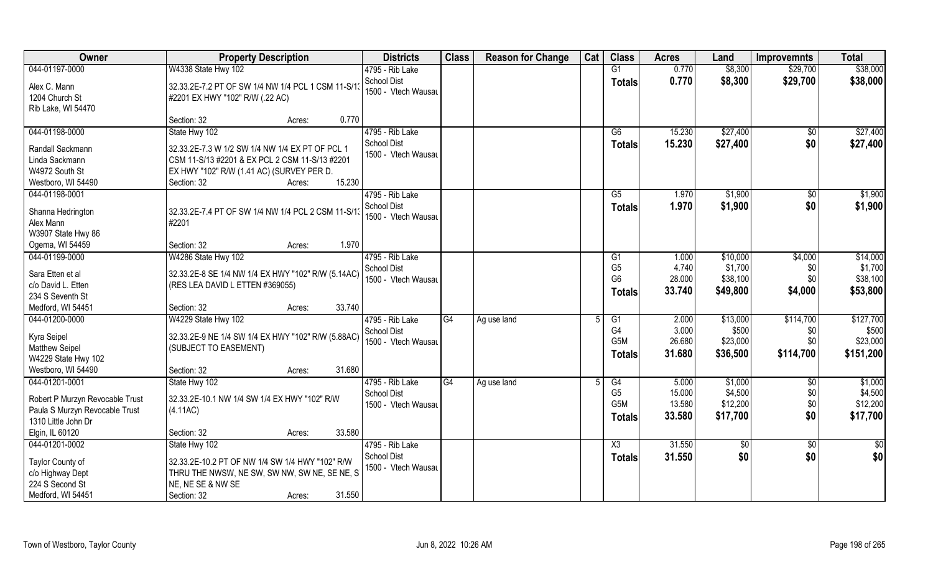| Owner                                                | <b>Property Description</b>                                                           | <b>Districts</b>                      | <b>Class</b>    | <b>Reason for Change</b> | Cat          | <b>Class</b>   | <b>Acres</b>     | Land                 | <b>Improvemnts</b> | <b>Total</b>         |
|------------------------------------------------------|---------------------------------------------------------------------------------------|---------------------------------------|-----------------|--------------------------|--------------|----------------|------------------|----------------------|--------------------|----------------------|
| 044-01197-0000                                       | W4338 State Hwy 102                                                                   | 4795 - Rib Lake                       |                 |                          |              | G1             | 0.770            | \$8,300              | \$29,700           | \$38,000             |
| Alex C. Mann<br>1204 Church St<br>Rib Lake, WI 54470 | 32.33.2E-7.2 PT OF SW 1/4 NW 1/4 PCL 1 CSM 11-S/13<br>#2201 EX HWY "102" R/W (.22 AC) | School Dist<br>1500 - Vtech Wausau    |                 |                          |              | <b>Totals</b>  | 0.770            | \$8,300              | \$29,700           | \$38,000             |
|                                                      | 0.770<br>Section: 32<br>Acres:                                                        |                                       |                 |                          |              |                |                  |                      |                    |                      |
| 044-01198-0000                                       | State Hwy 102                                                                         | 4795 - Rib Lake<br><b>School Dist</b> |                 |                          |              | G6             | 15.230<br>15.230 | \$27,400<br>\$27,400 | \$0<br>\$0         | \$27,400<br>\$27,400 |
| Randall Sackmann                                     | 32.33.2E-7.3 W 1/2 SW 1/4 NW 1/4 EX PT OF PCL 1                                       | 1500 - Vtech Wausau                   |                 |                          |              | <b>Totals</b>  |                  |                      |                    |                      |
| Linda Sackmann                                       | CSM 11-S/13 #2201 & EX PCL 2 CSM 11-S/13 #2201                                        |                                       |                 |                          |              |                |                  |                      |                    |                      |
| W4972 South St                                       | EX HWY "102" R/W (1.41 AC) (SURVEY PER D.                                             |                                       |                 |                          |              |                |                  |                      |                    |                      |
| Westboro, WI 54490                                   | 15.230<br>Section: 32<br>Acres:                                                       |                                       |                 |                          |              |                |                  |                      |                    |                      |
| 044-01198-0001                                       |                                                                                       | 4795 - Rib Lake                       |                 |                          |              | G5             | 1.970            | \$1,900              | \$0                | \$1,900              |
| Shanna Hedrington                                    | 32.33.2E-7.4 PT OF SW 1/4 NW 1/4 PCL 2 CSM 11-S/13                                    | <b>School Dist</b>                    |                 |                          |              | <b>Totals</b>  | 1.970            | \$1,900              | \$0                | \$1,900              |
| Alex Mann                                            | #2201                                                                                 | 1500 - Vtech Wausau                   |                 |                          |              |                |                  |                      |                    |                      |
| W3907 State Hwy 86                                   |                                                                                       |                                       |                 |                          |              |                |                  |                      |                    |                      |
| Ogema, WI 54459                                      | 1.970<br>Section: 32<br>Acres:                                                        |                                       |                 |                          |              |                |                  |                      |                    |                      |
| 044-01199-0000                                       | W4286 State Hwy 102                                                                   | 4795 - Rib Lake                       |                 |                          |              | G <sub>1</sub> | 1.000            | \$10,000             | \$4,000            | \$14,000             |
|                                                      |                                                                                       | <b>School Dist</b>                    |                 |                          |              | G <sub>5</sub> | 4.740            | \$1,700              | \$0                | \$1,700              |
| Sara Etten et al                                     | 32.33.2E-8 SE 1/4 NW 1/4 EX HWY "102" R/W (5.14AC)                                    | 1500 - Vtech Wausau                   |                 |                          |              | G <sub>6</sub> | 28.000           | \$38,100             | \$0                | \$38,100             |
| c/o David L. Etten                                   | (RES LEA DAVID L ETTEN #369055)                                                       |                                       |                 |                          |              | <b>Totals</b>  | 33.740           | \$49,800             | \$4,000            | \$53,800             |
| 234 S Seventh St                                     |                                                                                       |                                       |                 |                          |              |                |                  |                      |                    |                      |
| Medford, WI 54451                                    | 33.740<br>Section: 32<br>Acres:                                                       |                                       |                 |                          |              |                |                  |                      |                    |                      |
| 044-01200-0000                                       | W4229 State Hwy 102                                                                   | 4795 - Rib Lake                       | $\overline{G4}$ | Ag use land              | $\mathbf{5}$ | G1             | 2.000            | \$13,000             | \$114,700          | \$127,700            |
| Kyra Seipel                                          | 32.33.2E-9 NE 1/4 SW 1/4 EX HWY "102" R/W (5.88AC)                                    | <b>School Dist</b>                    |                 |                          |              | G <sub>4</sub> | 3.000            | \$500                | \$0                | \$500                |
| <b>Matthew Seipel</b>                                | (SUBJECT TO EASEMENT)                                                                 | 1500 - Vtech Wausau                   |                 |                          |              | G5M            | 26.680           | \$23,000             | \$0                | \$23,000             |
| W4229 State Hwy 102                                  |                                                                                       |                                       |                 |                          |              | <b>Totals</b>  | 31.680           | \$36,500             | \$114,700          | \$151,200            |
| Westboro, WI 54490                                   | 31.680<br>Section: 32<br>Acres:                                                       |                                       |                 |                          |              |                |                  |                      |                    |                      |
| 044-01201-0001                                       | State Hwy 102                                                                         | 4795 - Rib Lake                       | G4              | Ag use land              |              | G4             | 5.000            | \$1,000              | \$0                | \$1,000              |
|                                                      |                                                                                       | School Dist                           |                 |                          |              | G <sub>5</sub> | 15.000           | \$4,500              | \$0                | \$4,500              |
| Robert P Murzyn Revocable Trust                      | 32.33.2E-10.1 NW 1/4 SW 1/4 EX HWY "102" R/W                                          | 1500 - Vtech Wausau                   |                 |                          |              | G5M            | 13.580           | \$12,200             | \$0                | \$12,200             |
| Paula S Murzyn Revocable Trust                       | (4.11AC)                                                                              |                                       |                 |                          |              | <b>Totals</b>  | 33.580           | \$17,700             | \$0                | \$17,700             |
| 1310 Little John Dr                                  |                                                                                       |                                       |                 |                          |              |                |                  |                      |                    |                      |
| Elgin, IL 60120                                      | 33.580<br>Section: 32<br>Acres:                                                       |                                       |                 |                          |              |                |                  |                      |                    |                      |
| 044-01201-0002                                       | State Hwy 102                                                                         | 4795 - Rib Lake                       |                 |                          |              | X3             | 31.550           | \$0                  | $\overline{50}$    | \$0                  |
| Taylor County of                                     | 32.33.2E-10.2 PT OF NW 1/4 SW 1/4 HWY "102" R/W                                       | <b>School Dist</b>                    |                 |                          |              | <b>Totals</b>  | 31.550           | \$0                  | \$0                | \$0                  |
| c/o Highway Dept                                     | THRU THE NWSW, NE SW, SW NW, SW NE, SE NE, S                                          | 1500 - Vtech Wausau                   |                 |                          |              |                |                  |                      |                    |                      |
| 224 S Second St                                      | NE, NE SE & NW SE                                                                     |                                       |                 |                          |              |                |                  |                      |                    |                      |
| Medford, WI 54451                                    | Section: 32<br>31.550<br>Acres:                                                       |                                       |                 |                          |              |                |                  |                      |                    |                      |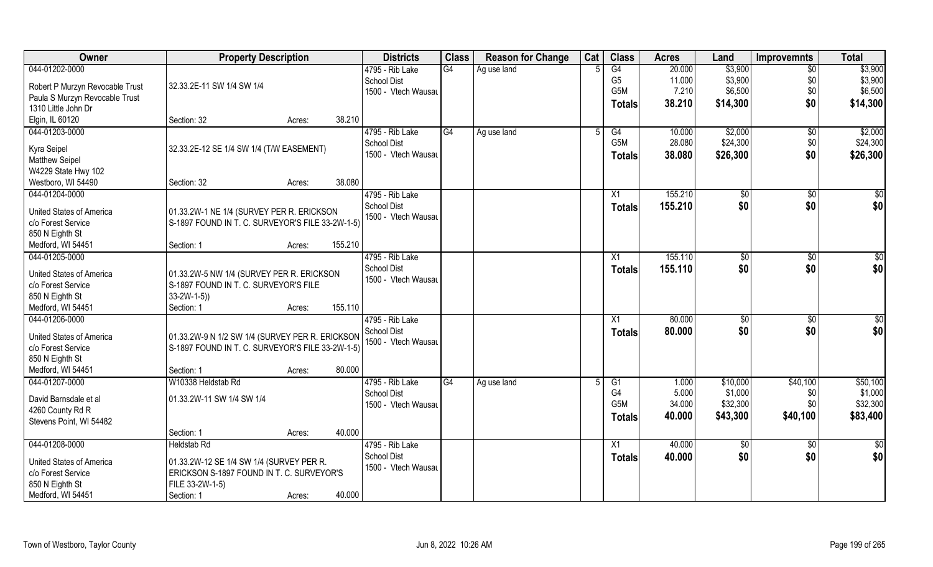| Owner                           | <b>Property Description</b>                      |                   | <b>Districts</b>    | <b>Class</b> | <b>Reason for Change</b> | Cat | <b>Class</b>     | <b>Acres</b> | Land         | <b>Improvemnts</b> | <b>Total</b>    |
|---------------------------------|--------------------------------------------------|-------------------|---------------------|--------------|--------------------------|-----|------------------|--------------|--------------|--------------------|-----------------|
| 044-01202-0000                  |                                                  |                   | 4795 - Rib Lake     | G4           | Ag use land              |     | G4               | 20.000       | \$3,900      | $\sqrt{6}$         | \$3,900         |
| Robert P Murzyn Revocable Trust | 32.33.2E-11 SW 1/4 SW 1/4                        |                   | <b>School Dist</b>  |              |                          |     | G <sub>5</sub>   | 11.000       | \$3,900      | \$0                | \$3,900         |
| Paula S Murzyn Revocable Trust  |                                                  |                   | 1500 - Vtech Wausau |              |                          |     | G5M              | 7.210        | \$6,500      | \$0\$              | \$6,500         |
| 1310 Little John Dr             |                                                  |                   |                     |              |                          |     | <b>Totals</b>    | 38.210       | \$14,300     | \$0                | \$14,300        |
| Elgin, IL 60120                 | Section: 32                                      | 38.210            |                     |              |                          |     |                  |              |              |                    |                 |
| 044-01203-0000                  |                                                  | Acres:            | 4795 - Rib Lake     | G4           |                          |     |                  | 10.000       | \$2,000      |                    |                 |
|                                 |                                                  |                   |                     |              | Ag use land              |     | G4<br>G5M        | 28.080       |              | \$0                | \$2,000         |
| Kyra Seipel                     | 32.33.2E-12 SE 1/4 SW 1/4 (T/W EASEMENT)         |                   | <b>School Dist</b>  |              |                          |     |                  |              | \$24,300     | \$0                | \$24,300        |
| <b>Matthew Seipel</b>           |                                                  |                   | 1500 - Vtech Wausau |              |                          |     | Totals           | 38.080       | \$26,300     | \$0                | \$26,300        |
| W4229 State Hwy 102             |                                                  |                   |                     |              |                          |     |                  |              |              |                    |                 |
| Westboro, WI 54490              | Section: 32                                      | 38.080<br>Acres:  |                     |              |                          |     |                  |              |              |                    |                 |
| 044-01204-0000                  |                                                  |                   | 4795 - Rib Lake     |              |                          |     | X1               | 155.210      | $\sqrt[6]{}$ | $\overline{50}$    | $\overline{50}$ |
|                                 |                                                  |                   | <b>School Dist</b>  |              |                          |     | <b>Totals</b>    | 155.210      | \$0          | \$0                | \$0             |
| United States of America        | 01.33.2W-1 NE 1/4 (SURVEY PER R. ERICKSON        |                   | 1500 - Vtech Wausau |              |                          |     |                  |              |              |                    |                 |
| c/o Forest Service              | S-1897 FOUND IN T. C. SURVEYOR'S FILE 33-2W-1-5  |                   |                     |              |                          |     |                  |              |              |                    |                 |
| 850 N Eighth St                 |                                                  |                   |                     |              |                          |     |                  |              |              |                    |                 |
| Medford, WI 54451               | Section: 1                                       | 155.210<br>Acres: |                     |              |                          |     |                  |              |              |                    |                 |
| 044-01205-0000                  |                                                  |                   | 4795 - Rib Lake     |              |                          |     | X1               | 155.110      | \$0          | \$0                | \$0             |
| United States of America        | 01.33.2W-5 NW 1/4 (SURVEY PER R. ERICKSON        |                   | <b>School Dist</b>  |              |                          |     | <b>Totals</b>    | 155.110      | \$0          | \$0                | \$0             |
| c/o Forest Service              | S-1897 FOUND IN T. C. SURVEYOR'S FILE            |                   | 1500 - Vtech Wausau |              |                          |     |                  |              |              |                    |                 |
| 850 N Eighth St                 | $33-2W-1-5)$                                     |                   |                     |              |                          |     |                  |              |              |                    |                 |
| Medford, WI 54451               | Section: 1                                       | 155.110<br>Acres: |                     |              |                          |     |                  |              |              |                    |                 |
| 044-01206-0000                  |                                                  |                   | 4795 - Rib Lake     |              |                          |     | $\overline{X1}$  | 80.000       | \$0          | $\overline{50}$    | $\overline{30}$ |
|                                 |                                                  |                   | <b>School Dist</b>  |              |                          |     |                  | 80.000       | \$0          | \$0                | \$0             |
| United States of America        | 01.33.2W-9 N 1/2 SW 1/4 (SURVEY PER R. ERICKSON  |                   | 1500 - Vtech Wausau |              |                          |     | Totals           |              |              |                    |                 |
| c/o Forest Service              | S-1897 FOUND IN T. C. SURVEYOR'S FILE 33-2W-1-5) |                   |                     |              |                          |     |                  |              |              |                    |                 |
| 850 N Eighth St                 |                                                  |                   |                     |              |                          |     |                  |              |              |                    |                 |
| Medford, WI 54451               | Section: 1                                       | 80.000<br>Acres:  |                     |              |                          |     |                  |              |              |                    |                 |
| 044-01207-0000                  | W10338 Heldstab Rd                               |                   | 4795 - Rib Lake     | G4           | Ag use land              |     | G1               | 1.000        | \$10,000     | \$40,100           | \$50,100        |
|                                 | 01.33.2W-11 SW 1/4 SW 1/4                        |                   | <b>School Dist</b>  |              |                          |     | G4               | 5.000        | \$1,000      | \$0                | \$1,000         |
| David Barnsdale et al           |                                                  |                   | 1500 - Vtech Wausau |              |                          |     | G <sub>5</sub> M | 34.000       | \$32,300     | \$0                | \$32,300        |
| 4260 County Rd R                |                                                  |                   |                     |              |                          |     | Totals           | 40.000       | \$43,300     | \$40,100           | \$83,400        |
| Stevens Point, WI 54482         |                                                  |                   |                     |              |                          |     |                  |              |              |                    |                 |
|                                 | Section: 1                                       | 40.000<br>Acres:  |                     |              |                          |     |                  |              |              |                    |                 |
| 044-01208-0000                  | <b>Heldstab Rd</b>                               |                   | 4795 - Rib Lake     |              |                          |     | X1               | 40.000       | \$0          | $\sqrt[6]{}$       | $\frac{1}{2}$   |
| United States of America        | 01.33.2W-12 SE 1/4 SW 1/4 (SURVEY PER R.         |                   | <b>School Dist</b>  |              |                          |     | <b>Totals</b>    | 40.000       | \$0          | \$0                | \$0             |
| c/o Forest Service              | ERICKSON S-1897 FOUND IN T. C. SURVEYOR'S        |                   | 1500 - Vtech Wausau |              |                          |     |                  |              |              |                    |                 |
| 850 N Eighth St                 | FILE 33-2W-1-5)                                  |                   |                     |              |                          |     |                  |              |              |                    |                 |
| Medford, WI 54451               | Section: 1                                       | 40.000<br>Acres:  |                     |              |                          |     |                  |              |              |                    |                 |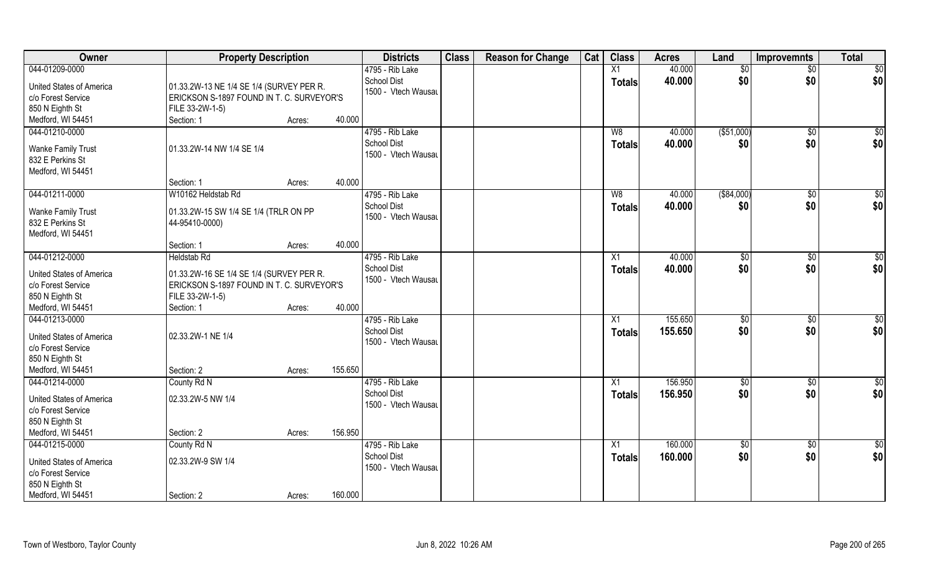| <b>Owner</b>                                                                               | <b>Property Description</b>                                                                              |                   | <b>Districts</b>                                      | <b>Class</b> | <b>Reason for Change</b> | Cat | <b>Class</b>        | <b>Acres</b>       | Land          | <b>Improvemnts</b>   | <b>Total</b>    |
|--------------------------------------------------------------------------------------------|----------------------------------------------------------------------------------------------------------|-------------------|-------------------------------------------------------|--------------|--------------------------|-----|---------------------|--------------------|---------------|----------------------|-----------------|
| 044-01209-0000                                                                             |                                                                                                          |                   | 4795 - Rib Lake                                       |              |                          |     | X1                  | 40.000             | \$0           | $\overline{50}$      | \$0             |
| <b>United States of America</b><br>c/o Forest Service<br>850 N Eighth St                   | 01.33.2W-13 NE 1/4 SE 1/4 (SURVEY PER R.<br>ERICKSON S-1897 FOUND IN T. C. SURVEYOR'S<br>FILE 33-2W-1-5) |                   | <b>School Dist</b><br>1500 - Vtech Wausau             |              |                          |     | <b>Totals</b>       | 40.000             | \$0           | \$0                  | \$0             |
| Medford, WI 54451                                                                          | Section: 1                                                                                               | 40.000<br>Acres:  |                                                       |              |                          |     |                     |                    |               |                      |                 |
| 044-01210-0000                                                                             |                                                                                                          |                   | 4795 - Rib Lake                                       |              |                          |     | W8                  | 40.000             | ( \$51,000)   | $\sqrt{$0}$          | $\sqrt{50}$     |
| <b>Wanke Family Trust</b><br>832 E Perkins St<br>Medford, WI 54451                         | 01.33.2W-14 NW 1/4 SE 1/4                                                                                |                   | <b>School Dist</b><br>1500 - Vtech Wausau             |              |                          |     | <b>Totals</b>       | 40.000             | \$0           | \$0                  | \$0             |
|                                                                                            | Section: 1                                                                                               | 40.000<br>Acres:  |                                                       |              |                          |     |                     |                    |               |                      |                 |
| 044-01211-0000                                                                             | W10162 Heldstab Rd                                                                                       |                   | 4795 - Rib Lake                                       |              |                          |     | W <sub>8</sub>      | 40.000             | ( \$84,000)   | $\sqrt[6]{30}$       | \$0             |
| <b>Wanke Family Trust</b><br>832 E Perkins St<br>Medford, WI 54451                         | 01.33.2W-15 SW 1/4 SE 1/4 (TRLR ON PP<br>44-95410-0000)                                                  |                   | <b>School Dist</b><br>1500 - Vtech Wausau             |              |                          |     | <b>Totals</b>       | 40.000             | \$0           | \$0                  | \$0             |
|                                                                                            | Section: 1                                                                                               | 40.000<br>Acres:  |                                                       |              |                          |     |                     |                    |               |                      |                 |
| 044-01212-0000                                                                             | <b>Heldstab Rd</b>                                                                                       |                   | 4795 - Rib Lake                                       |              |                          |     | X1                  | 40.000             | $\sqrt[6]{3}$ | $\sqrt[6]{3}$        | \$0             |
| United States of America<br>c/o Forest Service<br>850 N Eighth St                          | 01.33.2W-16 SE 1/4 SE 1/4 (SURVEY PER R.<br>ERICKSON S-1897 FOUND IN T. C. SURVEYOR'S<br>FILE 33-2W-1-5) |                   | <b>School Dist</b><br>1500 - Vtech Wausau             |              |                          |     | <b>Totals</b>       | 40.000             | \$0           | \$0                  | \$0             |
| Medford, WI 54451                                                                          | Section: 1                                                                                               | 40.000<br>Acres:  |                                                       |              |                          |     |                     |                    |               |                      |                 |
| 044-01213-0000<br><b>United States of America</b><br>c/o Forest Service<br>850 N Eighth St | 02.33.2W-1 NE 1/4                                                                                        |                   | 4795 - Rib Lake<br>School Dist<br>1500 - Vtech Wausau |              |                          |     | X1<br><b>Totals</b> | 155.650<br>155.650 | \$0<br>\$0    | $\sqrt[6]{3}$<br>\$0 | \$0<br>\$0      |
| Medford, WI 54451                                                                          | Section: 2                                                                                               | 155.650<br>Acres: |                                                       |              |                          |     |                     |                    |               |                      |                 |
| 044-01214-0000                                                                             | County Rd N                                                                                              |                   | 4795 - Rib Lake                                       |              |                          |     | X1                  | 156.950            | \$0           | \$0                  | \$0             |
| <b>United States of America</b><br>c/o Forest Service<br>850 N Eighth St                   | 02.33.2W-5 NW 1/4                                                                                        |                   | <b>School Dist</b><br>1500 - Vtech Wausau             |              |                          |     | <b>Totals</b>       | 156.950            | \$0           | \$0                  | \$0             |
| Medford, WI 54451                                                                          | Section: 2                                                                                               | 156.950<br>Acres: |                                                       |              |                          |     |                     |                    |               |                      |                 |
| 044-01215-0000                                                                             | County Rd N                                                                                              |                   | 4795 - Rib Lake                                       |              |                          |     | X1                  | 160.000            | $\sqrt{6}$    | $\sqrt{$0}$          | $\overline{50}$ |
| United States of America<br>c/o Forest Service<br>850 N Eighth St                          | 02.33.2W-9 SW 1/4                                                                                        |                   | School Dist<br>1500 - Vtech Wausau                    |              |                          |     | <b>Totals</b>       | 160.000            | \$0           | \$0                  | \$0             |
| Medford, WI 54451                                                                          | Section: 2                                                                                               | 160.000<br>Acres: |                                                       |              |                          |     |                     |                    |               |                      |                 |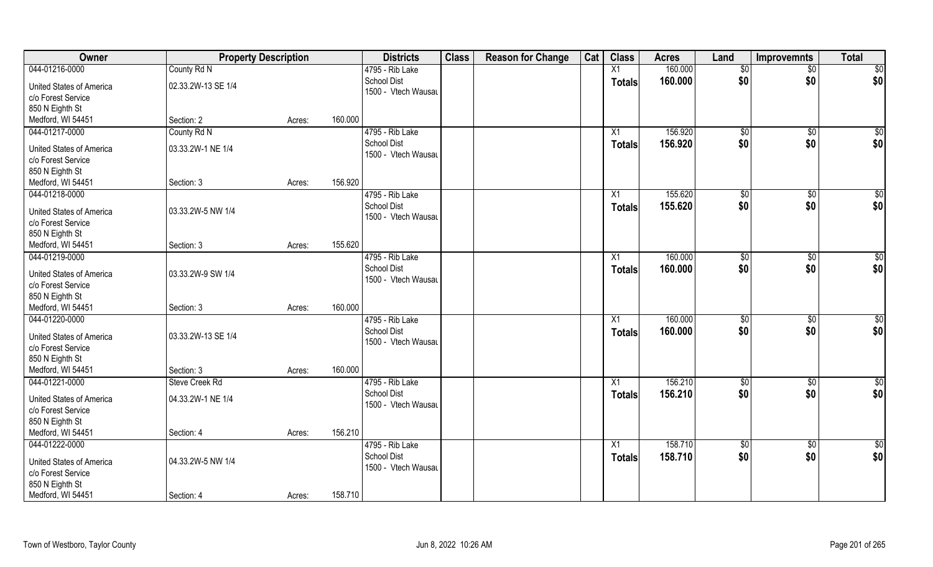| Owner                    | <b>Property Description</b> |        |         | <b>Districts</b>    | <b>Class</b> | <b>Reason for Change</b> | Cat | <b>Class</b>  | <b>Acres</b> | Land            | <b>Improvemnts</b> | <b>Total</b>    |
|--------------------------|-----------------------------|--------|---------|---------------------|--------------|--------------------------|-----|---------------|--------------|-----------------|--------------------|-----------------|
| 044-01216-0000           | County Rd N                 |        |         | 4795 - Rib Lake     |              |                          |     | X1            | 160.000      | \$0             | $\overline{50}$    | \$0             |
| United States of America | 02.33.2W-13 SE 1/4          |        |         | <b>School Dist</b>  |              |                          |     | <b>Totals</b> | 160.000      | \$0             | \$0                | \$0             |
| c/o Forest Service       |                             |        |         | 1500 - Vtech Wausau |              |                          |     |               |              |                 |                    |                 |
| 850 N Eighth St          |                             |        |         |                     |              |                          |     |               |              |                 |                    |                 |
| Medford, WI 54451        | Section: 2                  | Acres: | 160.000 |                     |              |                          |     |               |              |                 |                    |                 |
| 044-01217-0000           | County Rd N                 |        |         | 4795 - Rib Lake     |              |                          |     | X1            | 156.920      | $\sqrt[6]{}$    | $\sqrt{$0}$        | $\sqrt{50}$     |
|                          |                             |        |         | <b>School Dist</b>  |              |                          |     | <b>Totals</b> | 156.920      | \$0             | \$0                | \$0             |
| United States of America | 03.33.2W-1 NE 1/4           |        |         | 1500 - Vtech Wausau |              |                          |     |               |              |                 |                    |                 |
| c/o Forest Service       |                             |        |         |                     |              |                          |     |               |              |                 |                    |                 |
| 850 N Eighth St          |                             |        |         |                     |              |                          |     |               |              |                 |                    |                 |
| Medford, WI 54451        | Section: 3                  | Acres: | 156.920 |                     |              |                          |     |               |              |                 |                    |                 |
| 044-01218-0000           |                             |        |         | 4795 - Rib Lake     |              |                          |     | X1            | 155.620      | \$0             | $\sqrt[6]{3}$      | \$0             |
| United States of America | 03.33.2W-5 NW 1/4           |        |         | <b>School Dist</b>  |              |                          |     | <b>Totals</b> | 155.620      | \$0             | \$0                | \$0             |
| c/o Forest Service       |                             |        |         | 1500 - Vtech Wausau |              |                          |     |               |              |                 |                    |                 |
| 850 N Eighth St          |                             |        |         |                     |              |                          |     |               |              |                 |                    |                 |
| Medford, WI 54451        | Section: 3                  | Acres: | 155.620 |                     |              |                          |     |               |              |                 |                    |                 |
| 044-01219-0000           |                             |        |         | 4795 - Rib Lake     |              |                          |     | X1            | 160.000      | $\frac{1}{20}$  | $\sqrt[6]{3}$      | \$0             |
| United States of America | 03.33.2W-9 SW 1/4           |        |         | School Dist         |              |                          |     | <b>Totals</b> | 160.000      | \$0             | \$0                | \$0             |
| c/o Forest Service       |                             |        |         | 1500 - Vtech Wausau |              |                          |     |               |              |                 |                    |                 |
| 850 N Eighth St          |                             |        |         |                     |              |                          |     |               |              |                 |                    |                 |
| Medford, WI 54451        | Section: 3                  | Acres: | 160.000 |                     |              |                          |     |               |              |                 |                    |                 |
| 044-01220-0000           |                             |        |         | 4795 - Rib Lake     |              |                          |     | X1            | 160.000      | \$0             | $\sqrt[6]{3}$      | \$0             |
|                          |                             |        |         | <b>School Dist</b>  |              |                          |     | <b>Totals</b> | 160.000      | \$0             | \$0                | \$0             |
| United States of America | 03.33.2W-13 SE 1/4          |        |         | 1500 - Vtech Wausau |              |                          |     |               |              |                 |                    |                 |
| c/o Forest Service       |                             |        |         |                     |              |                          |     |               |              |                 |                    |                 |
| 850 N Eighth St          |                             |        |         |                     |              |                          |     |               |              |                 |                    |                 |
| Medford, WI 54451        | Section: 3                  | Acres: | 160.000 |                     |              |                          |     |               |              |                 |                    |                 |
| 044-01221-0000           | Steve Creek Rd              |        |         | 4795 - Rib Lake     |              |                          |     | X1            | 156.210      | \$0             | \$0                | \$0             |
| United States of America | 04.33.2W-1 NE 1/4           |        |         | <b>School Dist</b>  |              |                          |     | <b>Totals</b> | 156.210      | \$0             | \$0                | \$0             |
| c/o Forest Service       |                             |        |         | 1500 - Vtech Wausau |              |                          |     |               |              |                 |                    |                 |
| 850 N Eighth St          |                             |        |         |                     |              |                          |     |               |              |                 |                    |                 |
| Medford, WI 54451        | Section: 4                  | Acres: | 156.210 |                     |              |                          |     |               |              |                 |                    |                 |
| 044-01222-0000           |                             |        |         | 4795 - Rib Lake     |              |                          |     | X1            | 158.710      | $\overline{50}$ | $\sqrt{$0}$        | $\overline{50}$ |
| United States of America | 04.33.2W-5 NW 1/4           |        |         | <b>School Dist</b>  |              |                          |     | <b>Totals</b> | 158.710      | \$0             | \$0                | \$0             |
| c/o Forest Service       |                             |        |         | 1500 - Vtech Wausau |              |                          |     |               |              |                 |                    |                 |
| 850 N Eighth St          |                             |        |         |                     |              |                          |     |               |              |                 |                    |                 |
| Medford, WI 54451        | Section: 4                  | Acres: | 158.710 |                     |              |                          |     |               |              |                 |                    |                 |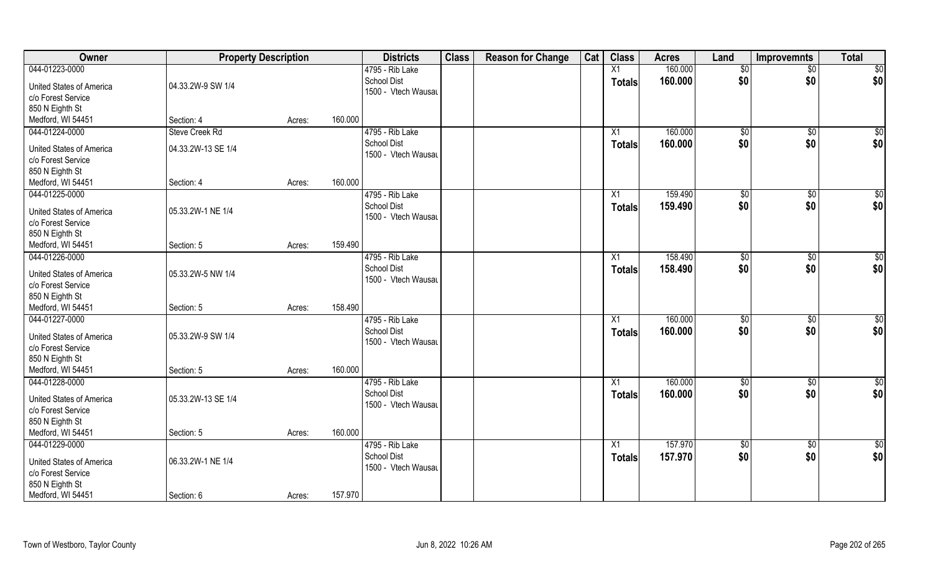| 160.000<br>4795 - Rib Lake<br>X1<br>$\overline{50}$<br>\$0<br><b>School Dist</b><br>160.000<br>\$0<br>\$0<br><b>Totals</b><br>04.33.2W-9 SW 1/4<br><b>United States of America</b><br>1500 - Vtech Wausau<br>c/o Forest Service<br>850 N Eighth St<br>160.000<br>Medford, WI 54451<br>Section: 4<br>Acres:<br>044-01224-0000<br>4795 - Rib Lake<br>160.000<br>Steve Creek Rd<br>$\sqrt{50}$<br>\$0<br>X1<br><b>School Dist</b><br>\$0<br>160.000<br>\$0<br>Totals<br>04.33.2W-13 SE 1/4<br>United States of America<br>1500 - Vtech Wausau<br>c/o Forest Service<br>850 N Eighth St<br>160.000<br>Medford, WI 54451<br>Section: 4<br>Acres:<br>159.490<br>4795 - Rib Lake<br>\$0<br>$\sqrt[6]{3}$<br>X1<br>\$0<br><b>School Dist</b><br>\$0<br>159.490<br><b>Totals</b><br><b>United States of America</b><br>05.33.2W-1 NE 1/4<br>1500 - Vtech Wausau<br>c/o Forest Service<br>850 N Eighth St<br>159.490<br>Medford, WI 54451<br>Section: 5<br>Acres:<br>158.490<br>044-01226-0000<br>4795 - Rib Lake<br>$\sqrt[6]{3}$<br>X1<br>\$0<br><b>School Dist</b><br>\$0<br>\$0<br>158.490<br><b>Totals</b><br><b>United States of America</b><br>05.33.2W-5 NW 1/4<br>1500 - Vtech Wausau<br>850 N Eighth St<br>158.490<br>Section: 5<br>Acres:<br>044-01227-0000<br>160.000<br>4795 - Rib Lake<br>$\overline{X1}$<br>$\sqrt{50}$<br>\$0<br><b>School Dist</b><br>160.000<br>\$0<br>\$0<br><b>Totals</b><br><b>United States of America</b><br>05.33.2W-9 SW 1/4<br>1500 - Vtech Wausau<br>c/o Forest Service<br>850 N Eighth St<br>160.000<br>Medford, WI 54451<br>Section: 5<br>Acres:<br>044-01228-0000<br>160.000<br>4795 - Rib Lake<br>$\overline{X1}$<br>$\sqrt{$0}$<br>\$0<br>\$0<br><b>School Dist</b><br>\$0<br>160.000<br><b>Totals</b><br><b>United States of America</b><br>05.33.2W-13 SE 1/4<br>1500 - Vtech Wausau<br>c/o Forest Service<br>160.000<br>Section: 5<br>Acres:<br>044-01229-0000<br>4795 - Rib Lake<br>157.970<br>$\overline{60}$<br>$\overline{X1}$<br>$\sqrt{50}$<br><b>School Dist</b><br>\$0<br>\$0<br>157.970<br><b>Totals</b><br>06.33.2W-1 NE 1/4<br>United States of America<br>1500 - Vtech Wausau<br>c/o Forest Service | Owner              | <b>Property Description</b> |  | <b>Districts</b> | <b>Class</b> | <b>Reason for Change</b> | Cat | <b>Class</b> | <b>Acres</b> | Land | <b>Improvemnts</b> | <b>Total</b> |
|----------------------------------------------------------------------------------------------------------------------------------------------------------------------------------------------------------------------------------------------------------------------------------------------------------------------------------------------------------------------------------------------------------------------------------------------------------------------------------------------------------------------------------------------------------------------------------------------------------------------------------------------------------------------------------------------------------------------------------------------------------------------------------------------------------------------------------------------------------------------------------------------------------------------------------------------------------------------------------------------------------------------------------------------------------------------------------------------------------------------------------------------------------------------------------------------------------------------------------------------------------------------------------------------------------------------------------------------------------------------------------------------------------------------------------------------------------------------------------------------------------------------------------------------------------------------------------------------------------------------------------------------------------------------------------------------------------------------------------------------------------------------------------------------------------------------------------------------------------------------------------------------------------------------------------------------------------------------------------------------------------------------------------------------------------------------------------------------------------------------------------------------------------|--------------------|-----------------------------|--|------------------|--------------|--------------------------|-----|--------------|--------------|------|--------------------|--------------|
| \$0 <br>$\sqrt{50}$<br>\$0 <br>\$0<br>\$0 <br>\$0<br>\$0 <br>$\overline{50}$<br>\$0 <br>\$0<br>\$0 <br>\$0<br>\$0                                                                                                                                                                                                                                                                                                                                                                                                                                                                                                                                                                                                                                                                                                                                                                                                                                                                                                                                                                                                                                                                                                                                                                                                                                                                                                                                                                                                                                                                                                                                                                                                                                                                                                                                                                                                                                                                                                                                                                                                                                        | 044-01223-0000     |                             |  |                  |              |                          |     |              |              |      |                    | $\sqrt{50}$  |
|                                                                                                                                                                                                                                                                                                                                                                                                                                                                                                                                                                                                                                                                                                                                                                                                                                                                                                                                                                                                                                                                                                                                                                                                                                                                                                                                                                                                                                                                                                                                                                                                                                                                                                                                                                                                                                                                                                                                                                                                                                                                                                                                                          |                    |                             |  |                  |              |                          |     |              |              |      |                    |              |
|                                                                                                                                                                                                                                                                                                                                                                                                                                                                                                                                                                                                                                                                                                                                                                                                                                                                                                                                                                                                                                                                                                                                                                                                                                                                                                                                                                                                                                                                                                                                                                                                                                                                                                                                                                                                                                                                                                                                                                                                                                                                                                                                                          |                    |                             |  |                  |              |                          |     |              |              |      |                    |              |
|                                                                                                                                                                                                                                                                                                                                                                                                                                                                                                                                                                                                                                                                                                                                                                                                                                                                                                                                                                                                                                                                                                                                                                                                                                                                                                                                                                                                                                                                                                                                                                                                                                                                                                                                                                                                                                                                                                                                                                                                                                                                                                                                                          |                    |                             |  |                  |              |                          |     |              |              |      |                    |              |
|                                                                                                                                                                                                                                                                                                                                                                                                                                                                                                                                                                                                                                                                                                                                                                                                                                                                                                                                                                                                                                                                                                                                                                                                                                                                                                                                                                                                                                                                                                                                                                                                                                                                                                                                                                                                                                                                                                                                                                                                                                                                                                                                                          |                    |                             |  |                  |              |                          |     |              |              |      |                    |              |
|                                                                                                                                                                                                                                                                                                                                                                                                                                                                                                                                                                                                                                                                                                                                                                                                                                                                                                                                                                                                                                                                                                                                                                                                                                                                                                                                                                                                                                                                                                                                                                                                                                                                                                                                                                                                                                                                                                                                                                                                                                                                                                                                                          |                    |                             |  |                  |              |                          |     |              |              |      |                    |              |
|                                                                                                                                                                                                                                                                                                                                                                                                                                                                                                                                                                                                                                                                                                                                                                                                                                                                                                                                                                                                                                                                                                                                                                                                                                                                                                                                                                                                                                                                                                                                                                                                                                                                                                                                                                                                                                                                                                                                                                                                                                                                                                                                                          |                    |                             |  |                  |              |                          |     |              |              |      |                    |              |
|                                                                                                                                                                                                                                                                                                                                                                                                                                                                                                                                                                                                                                                                                                                                                                                                                                                                                                                                                                                                                                                                                                                                                                                                                                                                                                                                                                                                                                                                                                                                                                                                                                                                                                                                                                                                                                                                                                                                                                                                                                                                                                                                                          |                    |                             |  |                  |              |                          |     |              |              |      |                    |              |
|                                                                                                                                                                                                                                                                                                                                                                                                                                                                                                                                                                                                                                                                                                                                                                                                                                                                                                                                                                                                                                                                                                                                                                                                                                                                                                                                                                                                                                                                                                                                                                                                                                                                                                                                                                                                                                                                                                                                                                                                                                                                                                                                                          |                    |                             |  |                  |              |                          |     |              |              |      |                    |              |
|                                                                                                                                                                                                                                                                                                                                                                                                                                                                                                                                                                                                                                                                                                                                                                                                                                                                                                                                                                                                                                                                                                                                                                                                                                                                                                                                                                                                                                                                                                                                                                                                                                                                                                                                                                                                                                                                                                                                                                                                                                                                                                                                                          |                    |                             |  |                  |              |                          |     |              |              |      |                    |              |
|                                                                                                                                                                                                                                                                                                                                                                                                                                                                                                                                                                                                                                                                                                                                                                                                                                                                                                                                                                                                                                                                                                                                                                                                                                                                                                                                                                                                                                                                                                                                                                                                                                                                                                                                                                                                                                                                                                                                                                                                                                                                                                                                                          |                    |                             |  |                  |              |                          |     |              |              |      |                    |              |
|                                                                                                                                                                                                                                                                                                                                                                                                                                                                                                                                                                                                                                                                                                                                                                                                                                                                                                                                                                                                                                                                                                                                                                                                                                                                                                                                                                                                                                                                                                                                                                                                                                                                                                                                                                                                                                                                                                                                                                                                                                                                                                                                                          | 044-01225-0000     |                             |  |                  |              |                          |     |              |              |      |                    |              |
|                                                                                                                                                                                                                                                                                                                                                                                                                                                                                                                                                                                                                                                                                                                                                                                                                                                                                                                                                                                                                                                                                                                                                                                                                                                                                                                                                                                                                                                                                                                                                                                                                                                                                                                                                                                                                                                                                                                                                                                                                                                                                                                                                          |                    |                             |  |                  |              |                          |     |              |              |      |                    |              |
|                                                                                                                                                                                                                                                                                                                                                                                                                                                                                                                                                                                                                                                                                                                                                                                                                                                                                                                                                                                                                                                                                                                                                                                                                                                                                                                                                                                                                                                                                                                                                                                                                                                                                                                                                                                                                                                                                                                                                                                                                                                                                                                                                          |                    |                             |  |                  |              |                          |     |              |              |      |                    |              |
|                                                                                                                                                                                                                                                                                                                                                                                                                                                                                                                                                                                                                                                                                                                                                                                                                                                                                                                                                                                                                                                                                                                                                                                                                                                                                                                                                                                                                                                                                                                                                                                                                                                                                                                                                                                                                                                                                                                                                                                                                                                                                                                                                          |                    |                             |  |                  |              |                          |     |              |              |      |                    |              |
|                                                                                                                                                                                                                                                                                                                                                                                                                                                                                                                                                                                                                                                                                                                                                                                                                                                                                                                                                                                                                                                                                                                                                                                                                                                                                                                                                                                                                                                                                                                                                                                                                                                                                                                                                                                                                                                                                                                                                                                                                                                                                                                                                          |                    |                             |  |                  |              |                          |     |              |              |      |                    |              |
|                                                                                                                                                                                                                                                                                                                                                                                                                                                                                                                                                                                                                                                                                                                                                                                                                                                                                                                                                                                                                                                                                                                                                                                                                                                                                                                                                                                                                                                                                                                                                                                                                                                                                                                                                                                                                                                                                                                                                                                                                                                                                                                                                          |                    |                             |  |                  |              |                          |     |              |              |      |                    |              |
|                                                                                                                                                                                                                                                                                                                                                                                                                                                                                                                                                                                                                                                                                                                                                                                                                                                                                                                                                                                                                                                                                                                                                                                                                                                                                                                                                                                                                                                                                                                                                                                                                                                                                                                                                                                                                                                                                                                                                                                                                                                                                                                                                          |                    |                             |  |                  |              |                          |     |              |              |      |                    |              |
|                                                                                                                                                                                                                                                                                                                                                                                                                                                                                                                                                                                                                                                                                                                                                                                                                                                                                                                                                                                                                                                                                                                                                                                                                                                                                                                                                                                                                                                                                                                                                                                                                                                                                                                                                                                                                                                                                                                                                                                                                                                                                                                                                          |                    |                             |  |                  |              |                          |     |              |              |      |                    |              |
|                                                                                                                                                                                                                                                                                                                                                                                                                                                                                                                                                                                                                                                                                                                                                                                                                                                                                                                                                                                                                                                                                                                                                                                                                                                                                                                                                                                                                                                                                                                                                                                                                                                                                                                                                                                                                                                                                                                                                                                                                                                                                                                                                          | c/o Forest Service |                             |  |                  |              |                          |     |              |              |      |                    |              |
|                                                                                                                                                                                                                                                                                                                                                                                                                                                                                                                                                                                                                                                                                                                                                                                                                                                                                                                                                                                                                                                                                                                                                                                                                                                                                                                                                                                                                                                                                                                                                                                                                                                                                                                                                                                                                                                                                                                                                                                                                                                                                                                                                          |                    |                             |  |                  |              |                          |     |              |              |      |                    |              |
|                                                                                                                                                                                                                                                                                                                                                                                                                                                                                                                                                                                                                                                                                                                                                                                                                                                                                                                                                                                                                                                                                                                                                                                                                                                                                                                                                                                                                                                                                                                                                                                                                                                                                                                                                                                                                                                                                                                                                                                                                                                                                                                                                          | Medford, WI 54451  |                             |  |                  |              |                          |     |              |              |      |                    |              |
|                                                                                                                                                                                                                                                                                                                                                                                                                                                                                                                                                                                                                                                                                                                                                                                                                                                                                                                                                                                                                                                                                                                                                                                                                                                                                                                                                                                                                                                                                                                                                                                                                                                                                                                                                                                                                                                                                                                                                                                                                                                                                                                                                          |                    |                             |  |                  |              |                          |     |              |              |      |                    |              |
|                                                                                                                                                                                                                                                                                                                                                                                                                                                                                                                                                                                                                                                                                                                                                                                                                                                                                                                                                                                                                                                                                                                                                                                                                                                                                                                                                                                                                                                                                                                                                                                                                                                                                                                                                                                                                                                                                                                                                                                                                                                                                                                                                          |                    |                             |  |                  |              |                          |     |              |              |      |                    |              |
|                                                                                                                                                                                                                                                                                                                                                                                                                                                                                                                                                                                                                                                                                                                                                                                                                                                                                                                                                                                                                                                                                                                                                                                                                                                                                                                                                                                                                                                                                                                                                                                                                                                                                                                                                                                                                                                                                                                                                                                                                                                                                                                                                          |                    |                             |  |                  |              |                          |     |              |              |      |                    |              |
|                                                                                                                                                                                                                                                                                                                                                                                                                                                                                                                                                                                                                                                                                                                                                                                                                                                                                                                                                                                                                                                                                                                                                                                                                                                                                                                                                                                                                                                                                                                                                                                                                                                                                                                                                                                                                                                                                                                                                                                                                                                                                                                                                          |                    |                             |  |                  |              |                          |     |              |              |      |                    |              |
|                                                                                                                                                                                                                                                                                                                                                                                                                                                                                                                                                                                                                                                                                                                                                                                                                                                                                                                                                                                                                                                                                                                                                                                                                                                                                                                                                                                                                                                                                                                                                                                                                                                                                                                                                                                                                                                                                                                                                                                                                                                                                                                                                          |                    |                             |  |                  |              |                          |     |              |              |      |                    |              |
|                                                                                                                                                                                                                                                                                                                                                                                                                                                                                                                                                                                                                                                                                                                                                                                                                                                                                                                                                                                                                                                                                                                                                                                                                                                                                                                                                                                                                                                                                                                                                                                                                                                                                                                                                                                                                                                                                                                                                                                                                                                                                                                                                          |                    |                             |  |                  |              |                          |     |              |              |      |                    |              |
|                                                                                                                                                                                                                                                                                                                                                                                                                                                                                                                                                                                                                                                                                                                                                                                                                                                                                                                                                                                                                                                                                                                                                                                                                                                                                                                                                                                                                                                                                                                                                                                                                                                                                                                                                                                                                                                                                                                                                                                                                                                                                                                                                          |                    |                             |  |                  |              |                          |     |              |              |      |                    |              |
|                                                                                                                                                                                                                                                                                                                                                                                                                                                                                                                                                                                                                                                                                                                                                                                                                                                                                                                                                                                                                                                                                                                                                                                                                                                                                                                                                                                                                                                                                                                                                                                                                                                                                                                                                                                                                                                                                                                                                                                                                                                                                                                                                          |                    |                             |  |                  |              |                          |     |              |              |      |                    |              |
|                                                                                                                                                                                                                                                                                                                                                                                                                                                                                                                                                                                                                                                                                                                                                                                                                                                                                                                                                                                                                                                                                                                                                                                                                                                                                                                                                                                                                                                                                                                                                                                                                                                                                                                                                                                                                                                                                                                                                                                                                                                                                                                                                          |                    |                             |  |                  |              |                          |     |              |              |      |                    |              |
|                                                                                                                                                                                                                                                                                                                                                                                                                                                                                                                                                                                                                                                                                                                                                                                                                                                                                                                                                                                                                                                                                                                                                                                                                                                                                                                                                                                                                                                                                                                                                                                                                                                                                                                                                                                                                                                                                                                                                                                                                                                                                                                                                          | 850 N Eighth St    |                             |  |                  |              |                          |     |              |              |      |                    |              |
|                                                                                                                                                                                                                                                                                                                                                                                                                                                                                                                                                                                                                                                                                                                                                                                                                                                                                                                                                                                                                                                                                                                                                                                                                                                                                                                                                                                                                                                                                                                                                                                                                                                                                                                                                                                                                                                                                                                                                                                                                                                                                                                                                          | Medford, WI 54451  |                             |  |                  |              |                          |     |              |              |      |                    |              |
|                                                                                                                                                                                                                                                                                                                                                                                                                                                                                                                                                                                                                                                                                                                                                                                                                                                                                                                                                                                                                                                                                                                                                                                                                                                                                                                                                                                                                                                                                                                                                                                                                                                                                                                                                                                                                                                                                                                                                                                                                                                                                                                                                          |                    |                             |  |                  |              |                          |     |              |              |      |                    |              |
|                                                                                                                                                                                                                                                                                                                                                                                                                                                                                                                                                                                                                                                                                                                                                                                                                                                                                                                                                                                                                                                                                                                                                                                                                                                                                                                                                                                                                                                                                                                                                                                                                                                                                                                                                                                                                                                                                                                                                                                                                                                                                                                                                          |                    |                             |  |                  |              |                          |     |              |              |      |                    |              |
|                                                                                                                                                                                                                                                                                                                                                                                                                                                                                                                                                                                                                                                                                                                                                                                                                                                                                                                                                                                                                                                                                                                                                                                                                                                                                                                                                                                                                                                                                                                                                                                                                                                                                                                                                                                                                                                                                                                                                                                                                                                                                                                                                          |                    |                             |  |                  |              |                          |     |              |              |      |                    |              |
|                                                                                                                                                                                                                                                                                                                                                                                                                                                                                                                                                                                                                                                                                                                                                                                                                                                                                                                                                                                                                                                                                                                                                                                                                                                                                                                                                                                                                                                                                                                                                                                                                                                                                                                                                                                                                                                                                                                                                                                                                                                                                                                                                          | 850 N Eighth St    |                             |  |                  |              |                          |     |              |              |      |                    |              |
| 157.970<br>Section: 6<br>Acres:                                                                                                                                                                                                                                                                                                                                                                                                                                                                                                                                                                                                                                                                                                                                                                                                                                                                                                                                                                                                                                                                                                                                                                                                                                                                                                                                                                                                                                                                                                                                                                                                                                                                                                                                                                                                                                                                                                                                                                                                                                                                                                                          | Medford, WI 54451  |                             |  |                  |              |                          |     |              |              |      |                    |              |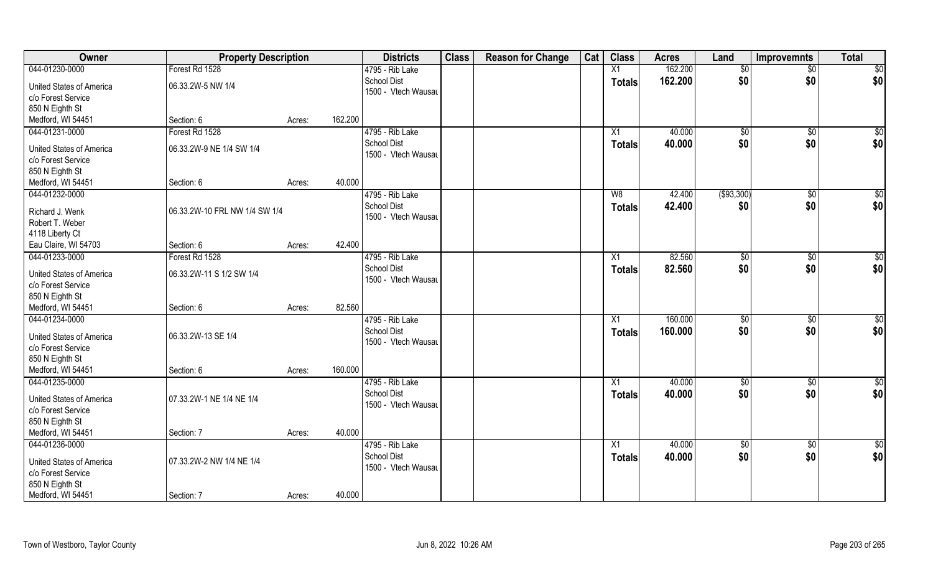| Owner                           | <b>Property Description</b>   |                   | <b>Districts</b>                      | <b>Class</b> | <b>Reason for Change</b> | Cat | <b>Class</b>    | <b>Acres</b> | Land         | <b>Improvemnts</b> | <b>Total</b> |
|---------------------------------|-------------------------------|-------------------|---------------------------------------|--------------|--------------------------|-----|-----------------|--------------|--------------|--------------------|--------------|
| 044-01230-0000                  | Forest Rd 1528                |                   | 4795 - Rib Lake                       |              |                          |     | X1              | 162.200      | \$0          | $\sqrt{$0}$        | \$0          |
| <b>United States of America</b> | 06.33.2W-5 NW 1/4             |                   | <b>School Dist</b>                    |              |                          |     | <b>Totals</b>   | 162.200      | \$0          | \$0                | \$0          |
| c/o Forest Service              |                               |                   | 1500 - Vtech Wausau                   |              |                          |     |                 |              |              |                    |              |
| 850 N Eighth St                 |                               |                   |                                       |              |                          |     |                 |              |              |                    |              |
| Medford, WI 54451               | Section: 6                    | 162.200<br>Acres: |                                       |              |                          |     |                 |              |              |                    |              |
| 044-01231-0000                  | Forest Rd 1528                |                   | 4795 - Rib Lake                       |              |                          |     | X1              | 40.000       | \$0          | $\sqrt[6]{}$       | $\sqrt{50}$  |
|                                 |                               |                   | <b>School Dist</b>                    |              |                          |     | Totals          | 40.000       | \$0          | \$0                | \$0          |
| <b>United States of America</b> | 06.33.2W-9 NE 1/4 SW 1/4      |                   | 1500 - Vtech Wausau                   |              |                          |     |                 |              |              |                    |              |
| c/o Forest Service              |                               |                   |                                       |              |                          |     |                 |              |              |                    |              |
| 850 N Eighth St                 |                               | 40.000            |                                       |              |                          |     |                 |              |              |                    |              |
| Medford, WI 54451               | Section: 6                    | Acres:            |                                       |              |                          |     |                 |              |              |                    |              |
| 044-01232-0000                  |                               |                   | 4795 - Rib Lake<br><b>School Dist</b> |              |                          |     | W8              | 42.400       | ( \$93, 300) | $\overline{50}$    | $\sqrt{50}$  |
| Richard J. Wenk                 | 06.33.2W-10 FRL NW 1/4 SW 1/4 |                   | 1500 - Vtech Wausau                   |              |                          |     | <b>Totals</b>   | 42.400       | \$0          | \$0                | \$0          |
| Robert T. Weber                 |                               |                   |                                       |              |                          |     |                 |              |              |                    |              |
| 4118 Liberty Ct                 |                               |                   |                                       |              |                          |     |                 |              |              |                    |              |
| Eau Claire, WI 54703            | Section: 6                    | 42.400<br>Acres:  |                                       |              |                          |     |                 |              |              |                    |              |
| 044-01233-0000                  | Forest Rd 1528                |                   | 4795 - Rib Lake                       |              |                          |     | X1              | 82.560       | \$0          | $\sqrt[6]{3}$      | $\sqrt{50}$  |
| United States of America        | 06.33.2W-11 S 1/2 SW 1/4      |                   | <b>School Dist</b>                    |              |                          |     | <b>Totals</b>   | 82.560       | \$0          | \$0                | \$0          |
| c/o Forest Service              |                               |                   | 1500 - Vtech Wausau                   |              |                          |     |                 |              |              |                    |              |
| 850 N Eighth St                 |                               |                   |                                       |              |                          |     |                 |              |              |                    |              |
| Medford, WI 54451               | Section: 6                    | 82.560<br>Acres:  |                                       |              |                          |     |                 |              |              |                    |              |
| 044-01234-0000                  |                               |                   | 4795 - Rib Lake                       |              |                          |     | X1              | 160.000      | \$0          | $\overline{50}$    | $\sqrt{50}$  |
|                                 |                               |                   | <b>School Dist</b>                    |              |                          |     | <b>Totals</b>   | 160.000      | \$0          | \$0                | \$0          |
| <b>United States of America</b> | 06.33.2W-13 SE 1/4            |                   | 1500 - Vtech Wausau                   |              |                          |     |                 |              |              |                    |              |
| c/o Forest Service              |                               |                   |                                       |              |                          |     |                 |              |              |                    |              |
| 850 N Eighth St                 |                               |                   |                                       |              |                          |     |                 |              |              |                    |              |
| Medford, WI 54451               | Section: 6                    | 160.000<br>Acres: |                                       |              |                          |     |                 |              |              |                    |              |
| 044-01235-0000                  |                               |                   | 4795 - Rib Lake                       |              |                          |     | X1              | 40.000       | \$0          | $\sqrt{$0}$        | \$0          |
| <b>United States of America</b> | 07.33.2W-1 NE 1/4 NE 1/4      |                   | <b>School Dist</b>                    |              |                          |     | <b>Totals</b>   | 40.000       | \$0          | \$0                | \$0          |
| c/o Forest Service              |                               |                   | 1500 - Vtech Wausau                   |              |                          |     |                 |              |              |                    |              |
| 850 N Eighth St                 |                               |                   |                                       |              |                          |     |                 |              |              |                    |              |
| Medford, WI 54451               | Section: 7                    | 40.000<br>Acres:  |                                       |              |                          |     |                 |              |              |                    |              |
| 044-01236-0000                  |                               |                   | 4795 - Rib Lake                       |              |                          |     | $\overline{X1}$ | 40.000       | $\sqrt{50}$  | $\overline{60}$    | \$0          |
| United States of America        | 07.33.2W-2 NW 1/4 NE 1/4      |                   | <b>School Dist</b>                    |              |                          |     | <b>Totals</b>   | 40.000       | \$0          | \$0                | \$0          |
| c/o Forest Service              |                               |                   | 1500 - Vtech Wausau                   |              |                          |     |                 |              |              |                    |              |
| 850 N Eighth St                 |                               |                   |                                       |              |                          |     |                 |              |              |                    |              |
| Medford, WI 54451               | Section: 7                    | 40.000<br>Acres:  |                                       |              |                          |     |                 |              |              |                    |              |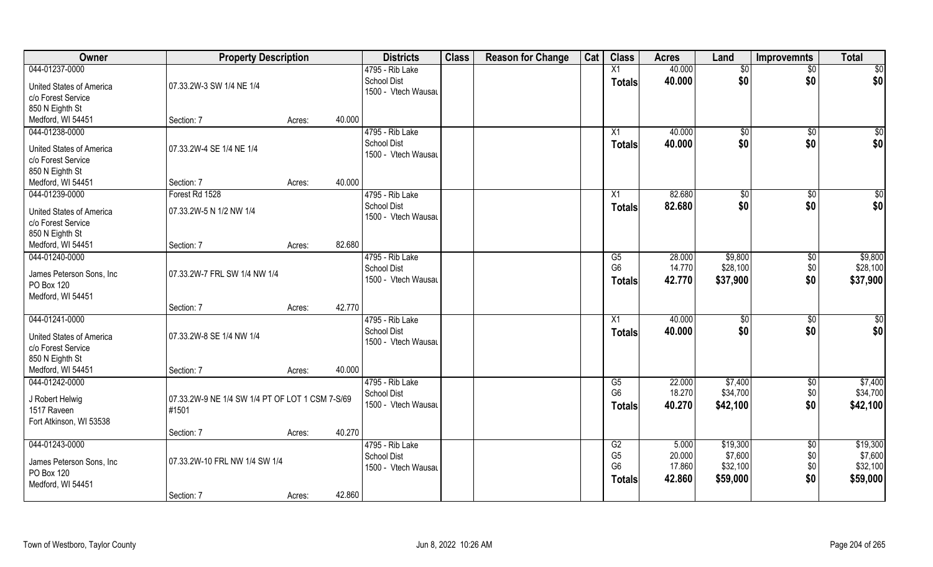| Owner                                  | <b>Property Description</b>                     |                  | <b>Districts</b>    | <b>Class</b> | <b>Reason for Change</b> | Cat | <b>Class</b>    | <b>Acres</b> | Land          | <b>Improvemnts</b> | <b>Total</b> |
|----------------------------------------|-------------------------------------------------|------------------|---------------------|--------------|--------------------------|-----|-----------------|--------------|---------------|--------------------|--------------|
| 044-01237-0000                         |                                                 |                  | 4795 - Rib Lake     |              |                          |     | $\overline{X1}$ | 40.000       | $\sqrt[6]{}$  | $\overline{50}$    | \$0          |
| United States of America               | 07.33.2W-3 SW 1/4 NE 1/4                        |                  | <b>School Dist</b>  |              |                          |     | <b>Totals</b>   | 40.000       | \$0           | \$0                | \$0          |
| c/o Forest Service                     |                                                 |                  | 1500 - Vtech Wausau |              |                          |     |                 |              |               |                    |              |
| 850 N Eighth St                        |                                                 |                  |                     |              |                          |     |                 |              |               |                    |              |
| Medford, WI 54451                      | Section: 7                                      | 40.000<br>Acres: |                     |              |                          |     |                 |              |               |                    |              |
| 044-01238-0000                         |                                                 |                  | 4795 - Rib Lake     |              |                          |     | X1              | 40.000       | \$0           | \$0                | $\sqrt{50}$  |
| United States of America               | 07.33.2W-4 SE 1/4 NE 1/4                        |                  | <b>School Dist</b>  |              |                          |     | Totals          | 40.000       | \$0           | \$0                | \$0          |
| c/o Forest Service                     |                                                 |                  | 1500 - Vtech Wausau |              |                          |     |                 |              |               |                    |              |
| 850 N Eighth St                        |                                                 |                  |                     |              |                          |     |                 |              |               |                    |              |
| Medford, WI 54451                      | Section: 7                                      | 40.000<br>Acres: |                     |              |                          |     |                 |              |               |                    |              |
| 044-01239-0000                         | Forest Rd 1528                                  |                  | 4795 - Rib Lake     |              |                          |     | X1              | 82.680       | $\sqrt[6]{3}$ | $\sqrt[6]{3}$      | \$0          |
| United States of America               | 07.33.2W-5 N 1/2 NW 1/4                         |                  | <b>School Dist</b>  |              |                          |     | <b>Totals</b>   | 82.680       | \$0           | \$0                | \$0          |
| c/o Forest Service                     |                                                 |                  | 1500 - Vtech Wausau |              |                          |     |                 |              |               |                    |              |
| 850 N Eighth St                        |                                                 |                  |                     |              |                          |     |                 |              |               |                    |              |
| Medford, WI 54451                      | Section: 7                                      | 82.680<br>Acres: |                     |              |                          |     |                 |              |               |                    |              |
| 044-01240-0000                         |                                                 |                  | 4795 - Rib Lake     |              |                          |     | G5              | 28.000       | \$9,800       | \$0                | \$9,800      |
| James Peterson Sons, Inc.              | 07.33.2W-7 FRL SW 1/4 NW 1/4                    |                  | <b>School Dist</b>  |              |                          |     | G <sub>6</sub>  | 14.770       | \$28,100      | \$0                | \$28,100     |
| PO Box 120                             |                                                 |                  | 1500 - Vtech Wausau |              |                          |     | <b>Totals</b>   | 42.770       | \$37,900      | \$0                | \$37,900     |
| Medford, WI 54451                      |                                                 |                  |                     |              |                          |     |                 |              |               |                    |              |
|                                        | Section: 7                                      | 42.770<br>Acres: |                     |              |                          |     |                 |              |               |                    |              |
| 044-01241-0000                         |                                                 |                  | 4795 - Rib Lake     |              |                          |     | X1              | 40.000       | \$0           | \$0                | \$0          |
| <b>United States of America</b>        | 07.33.2W-8 SE 1/4 NW 1/4                        |                  | <b>School Dist</b>  |              |                          |     | <b>Totals</b>   | 40.000       | \$0           | \$0                | \$0          |
| c/o Forest Service                     |                                                 |                  | 1500 - Vtech Wausau |              |                          |     |                 |              |               |                    |              |
| 850 N Eighth St                        |                                                 |                  |                     |              |                          |     |                 |              |               |                    |              |
| Medford, WI 54451                      | Section: 7                                      | 40.000<br>Acres: |                     |              |                          |     |                 |              |               |                    |              |
| 044-01242-0000                         |                                                 |                  | 4795 - Rib Lake     |              |                          |     | G5              | 22.000       | \$7,400       | \$0                | \$7,400      |
|                                        |                                                 |                  | <b>School Dist</b>  |              |                          |     | G <sub>6</sub>  | 18.270       | \$34,700      | \$0                | \$34,700     |
| J Robert Helwig                        | 07.33.2W-9 NE 1/4 SW 1/4 PT OF LOT 1 CSM 7-S/69 |                  | 1500 - Vtech Wausau |              |                          |     | <b>Totals</b>   | 40.270       | \$42,100      | \$0                | \$42,100     |
| 1517 Raveen<br>Fort Atkinson, WI 53538 | #1501                                           |                  |                     |              |                          |     |                 |              |               |                    |              |
|                                        | Section: 7                                      | 40.270<br>Acres: |                     |              |                          |     |                 |              |               |                    |              |
| 044-01243-0000                         |                                                 |                  | 4795 - Rib Lake     |              |                          |     | G2              | 5.000        | \$19,300      | $\overline{50}$    | \$19,300     |
|                                        |                                                 |                  | <b>School Dist</b>  |              |                          |     | G <sub>5</sub>  | 20.000       | \$7,600       | \$0                | \$7,600      |
| James Peterson Sons, Inc.              | 07.33.2W-10 FRL NW 1/4 SW 1/4                   |                  | 1500 - Vtech Wausau |              |                          |     | G <sub>6</sub>  | 17.860       | \$32,100      | \$0                | \$32,100     |
| PO Box 120                             |                                                 |                  |                     |              |                          |     | <b>Totals</b>   | 42.860       | \$59,000      | \$0                | \$59,000     |
| Medford, WI 54451                      |                                                 | 42.860           |                     |              |                          |     |                 |              |               |                    |              |
|                                        | Section: 7                                      | Acres:           |                     |              |                          |     |                 |              |               |                    |              |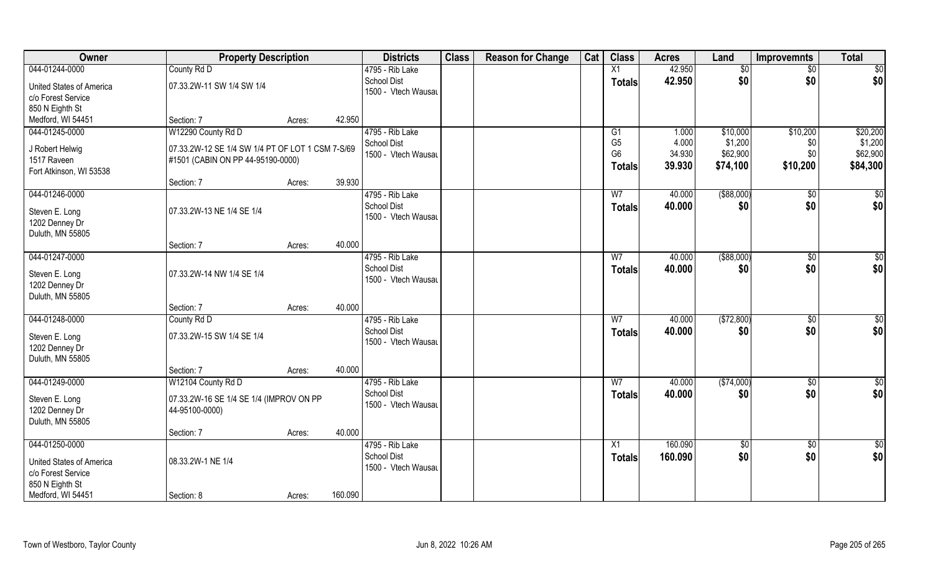| Owner                           | <b>Property Description</b>                      |        |         | <b>Districts</b>    | <b>Class</b> | <b>Reason for Change</b> | Cat | <b>Class</b>    | <b>Acres</b> | Land        | <b>Improvemnts</b> | <b>Total</b>    |
|---------------------------------|--------------------------------------------------|--------|---------|---------------------|--------------|--------------------------|-----|-----------------|--------------|-------------|--------------------|-----------------|
| 044-01244-0000                  | County Rd D                                      |        |         | 4795 - Rib Lake     |              |                          |     | X1              | 42.950       | \$0         | $\sqrt{$0}$        | $\sqrt{50}$     |
| United States of America        | 07.33.2W-11 SW 1/4 SW 1/4                        |        |         | <b>School Dist</b>  |              |                          |     | <b>Totals</b>   | 42.950       | \$0         | \$0                | \$0             |
| c/o Forest Service              |                                                  |        |         | 1500 - Vtech Wausau |              |                          |     |                 |              |             |                    |                 |
| 850 N Eighth St                 |                                                  |        |         |                     |              |                          |     |                 |              |             |                    |                 |
| Medford, WI 54451               | Section: 7                                       | Acres: | 42.950  |                     |              |                          |     |                 |              |             |                    |                 |
| 044-01245-0000                  | W12290 County Rd D                               |        |         | 4795 - Rib Lake     |              |                          |     | G1              | 1.000        | \$10,000    | \$10,200           | \$20,200        |
|                                 |                                                  |        |         | <b>School Dist</b>  |              |                          |     | G <sub>5</sub>  | 4.000        | \$1,200     | \$0                | \$1,200         |
| J Robert Helwig                 | 07.33.2W-12 SE 1/4 SW 1/4 PT OF LOT 1 CSM 7-S/69 |        |         | 1500 - Vtech Wausau |              |                          |     | G <sub>6</sub>  | 34.930       | \$62,900    | \$0                | \$62,900        |
| 1517 Raveen                     | #1501 (CABIN ON PP 44-95190-0000)                |        |         |                     |              |                          |     | <b>Totals</b>   | 39.930       | \$74,100    | \$10,200           | \$84,300        |
| Fort Atkinson, WI 53538         |                                                  |        |         |                     |              |                          |     |                 |              |             |                    |                 |
|                                 | Section: 7                                       | Acres: | 39.930  |                     |              |                          |     |                 |              |             |                    |                 |
| 044-01246-0000                  |                                                  |        |         | 4795 - Rib Lake     |              |                          |     | W7              | 40.000       | ( \$88,000) | $\sqrt{50}$        | $\sqrt{50}$     |
| Steven E. Long                  | 07.33.2W-13 NE 1/4 SE 1/4                        |        |         | <b>School Dist</b>  |              |                          |     | <b>Totals</b>   | 40.000       | \$0         | \$0                | \$0             |
| 1202 Denney Dr                  |                                                  |        |         | 1500 - Vtech Wausau |              |                          |     |                 |              |             |                    |                 |
| Duluth, MN 55805                |                                                  |        |         |                     |              |                          |     |                 |              |             |                    |                 |
|                                 | Section: 7                                       | Acres: | 40.000  |                     |              |                          |     |                 |              |             |                    |                 |
| 044-01247-0000                  |                                                  |        |         | 4795 - Rib Lake     |              |                          |     | W7              | 40.000       | ( \$88,000) | \$0                | $\sqrt{50}$     |
|                                 |                                                  |        |         | <b>School Dist</b>  |              |                          |     | <b>Totals</b>   | 40.000       | \$0         | \$0                | \$0             |
| Steven E. Long                  | 07.33.2W-14 NW 1/4 SE 1/4                        |        |         | 1500 - Vtech Wausau |              |                          |     |                 |              |             |                    |                 |
| 1202 Denney Dr                  |                                                  |        |         |                     |              |                          |     |                 |              |             |                    |                 |
| Duluth, MN 55805                |                                                  |        |         |                     |              |                          |     |                 |              |             |                    |                 |
|                                 | Section: 7                                       | Acres: | 40.000  |                     |              |                          |     |                 |              |             |                    |                 |
| 044-01248-0000                  | County Rd D                                      |        |         | 4795 - Rib Lake     |              |                          |     | W <sub>7</sub>  | 40.000       | (\$72,800)  | $\overline{50}$    | $\overline{50}$ |
| Steven E. Long                  | 07.33.2W-15 SW 1/4 SE 1/4                        |        |         | <b>School Dist</b>  |              |                          |     | <b>Totals</b>   | 40.000       | \$0         | \$0                | \$0             |
| 1202 Denney Dr                  |                                                  |        |         | 1500 - Vtech Wausau |              |                          |     |                 |              |             |                    |                 |
| Duluth, MN 55805                |                                                  |        |         |                     |              |                          |     |                 |              |             |                    |                 |
|                                 | Section: 7                                       | Acres: | 40.000  |                     |              |                          |     |                 |              |             |                    |                 |
| 044-01249-0000                  | W12104 County Rd D                               |        |         | 4795 - Rib Lake     |              |                          |     | W <sub>7</sub>  | 40.000       | (\$74,000)  | $\sqrt{$0}$        | \$0             |
|                                 |                                                  |        |         | <b>School Dist</b>  |              |                          |     | <b>Totals</b>   | 40.000       | \$0         | \$0                | \$0             |
| Steven E. Long                  | 07.33.2W-16 SE 1/4 SE 1/4 (IMPROV ON PP          |        |         | 1500 - Vtech Wausau |              |                          |     |                 |              |             |                    |                 |
| 1202 Denney Dr                  | 44-95100-0000)                                   |        |         |                     |              |                          |     |                 |              |             |                    |                 |
| Duluth, MN 55805                |                                                  |        |         |                     |              |                          |     |                 |              |             |                    |                 |
|                                 | Section: 7                                       | Acres: | 40.000  |                     |              |                          |     |                 |              |             |                    |                 |
| 044-01250-0000                  |                                                  |        |         | 4795 - Rib Lake     |              |                          |     | $\overline{X1}$ | 160.090      | $\sqrt{6}$  | $\overline{60}$    | $\overline{50}$ |
| <b>United States of America</b> | 08.33.2W-1 NE 1/4                                |        |         | <b>School Dist</b>  |              |                          |     | <b>Totals</b>   | 160.090      | \$0         | \$0                | \$0             |
| c/o Forest Service              |                                                  |        |         | 1500 - Vtech Wausau |              |                          |     |                 |              |             |                    |                 |
| 850 N Eighth St                 |                                                  |        |         |                     |              |                          |     |                 |              |             |                    |                 |
| Medford, WI 54451               | Section: 8                                       | Acres: | 160.090 |                     |              |                          |     |                 |              |             |                    |                 |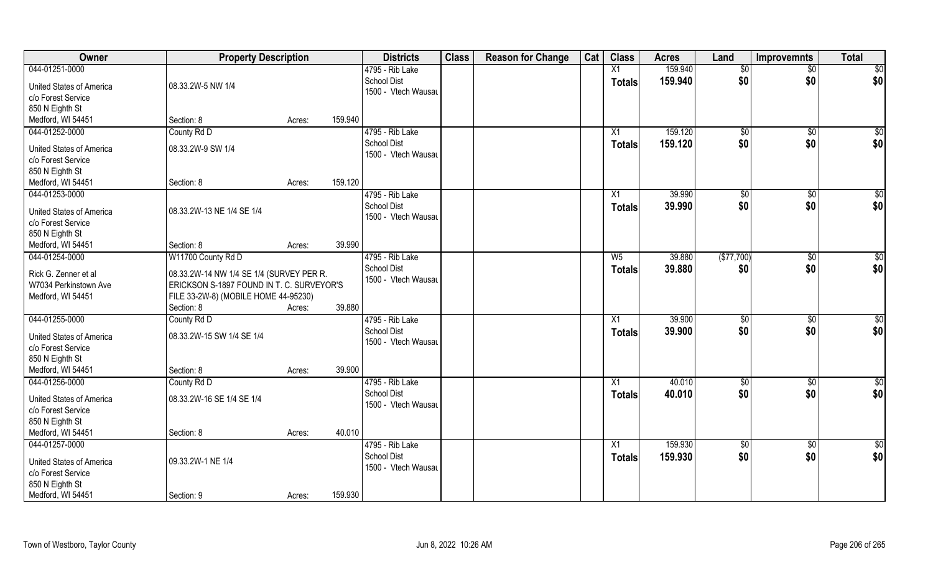| Owner                    | <b>Property Description</b>               |        | <b>Districts</b>    | <b>Class</b> | <b>Reason for Change</b> | Cat | <b>Class</b>  | <b>Acres</b> | Land            | <b>Improvemnts</b> | <b>Total</b>    |
|--------------------------|-------------------------------------------|--------|---------------------|--------------|--------------------------|-----|---------------|--------------|-----------------|--------------------|-----------------|
| 044-01251-0000           |                                           |        | 4795 - Rib Lake     |              |                          |     | X1            | 159.940      | $\sqrt{6}$      | $\overline{50}$    | \$0             |
| United States of America | 08.33.2W-5 NW 1/4                         |        | <b>School Dist</b>  |              |                          |     | <b>Totals</b> | 159.940      | \$0             | \$0                | \$0             |
| c/o Forest Service       |                                           |        | 1500 - Vtech Wausau |              |                          |     |               |              |                 |                    |                 |
| 850 N Eighth St          |                                           |        |                     |              |                          |     |               |              |                 |                    |                 |
| Medford, WI 54451        | Section: 8                                | Acres: | 159.940             |              |                          |     |               |              |                 |                    |                 |
| 044-01252-0000           | County Rd D                               |        | 4795 - Rib Lake     |              |                          |     | X1            | 159.120      | \$0             | \$0                | $\sqrt{50}$     |
|                          |                                           |        | <b>School Dist</b>  |              |                          |     |               | 159.120      | \$0             | \$0                | \$0             |
| United States of America | 08.33.2W-9 SW 1/4                         |        | 1500 - Vtech Wausau |              |                          |     | <b>Totals</b> |              |                 |                    |                 |
| c/o Forest Service       |                                           |        |                     |              |                          |     |               |              |                 |                    |                 |
| 850 N Eighth St          |                                           |        |                     |              |                          |     |               |              |                 |                    |                 |
| Medford, WI 54451        | Section: 8                                | Acres: | 159.120             |              |                          |     |               |              |                 |                    |                 |
| 044-01253-0000           |                                           |        | 4795 - Rib Lake     |              |                          |     | X1            | 39.990       | $\sqrt[6]{3}$   | $\sqrt[6]{3}$      | \$0             |
| United States of America | 08.33.2W-13 NE 1/4 SE 1/4                 |        | <b>School Dist</b>  |              |                          |     | <b>Totals</b> | 39.990       | \$0             | \$0                | \$0             |
| c/o Forest Service       |                                           |        | 1500 - Vtech Wausau |              |                          |     |               |              |                 |                    |                 |
| 850 N Eighth St          |                                           |        |                     |              |                          |     |               |              |                 |                    |                 |
| Medford, WI 54451        | Section: 8                                | Acres: | 39.990              |              |                          |     |               |              |                 |                    |                 |
| 044-01254-0000           | W11700 County Rd D                        |        | 4795 - Rib Lake     |              |                          |     | $W_5$         | 39.880       | (\$77,700)      |                    | \$0             |
|                          |                                           |        | <b>School Dist</b>  |              |                          |     |               |              |                 | \$0                |                 |
| Rick G. Zenner et al     | 08.33.2W-14 NW 1/4 SE 1/4 (SURVEY PER R.  |        | 1500 - Vtech Wausau |              |                          |     | Totals        | 39.880       | \$0             | \$0                | \$0             |
| W7034 Perkinstown Ave    | ERICKSON S-1897 FOUND IN T. C. SURVEYOR'S |        |                     |              |                          |     |               |              |                 |                    |                 |
| Medford, WI 54451        | FILE 33-2W-8) (MOBILE HOME 44-95230)      |        |                     |              |                          |     |               |              |                 |                    |                 |
|                          | Section: 8                                | Acres: | 39.880              |              |                          |     |               |              |                 |                    |                 |
| 044-01255-0000           | County Rd D                               |        | 4795 - Rib Lake     |              |                          |     | X1            | 39.900       | \$0             | \$0                | \$0             |
|                          |                                           |        | <b>School Dist</b>  |              |                          |     | <b>Totals</b> | 39.900       | \$0             | \$0                | \$0             |
| United States of America | 08.33.2W-15 SW 1/4 SE 1/4                 |        | 1500 - Vtech Wausau |              |                          |     |               |              |                 |                    |                 |
| c/o Forest Service       |                                           |        |                     |              |                          |     |               |              |                 |                    |                 |
| 850 N Eighth St          |                                           |        |                     |              |                          |     |               |              |                 |                    |                 |
| Medford, WI 54451        | Section: 8                                | Acres: | 39.900              |              |                          |     |               |              |                 |                    |                 |
| 044-01256-0000           | County Rd D                               |        | 4795 - Rib Lake     |              |                          |     | X1            | 40.010       | $\overline{50}$ | \$0                | $\overline{50}$ |
| United States of America | 08.33.2W-16 SE 1/4 SE 1/4                 |        | <b>School Dist</b>  |              |                          |     | <b>Totals</b> | 40.010       | \$0             | \$0                | \$0             |
| c/o Forest Service       |                                           |        | 1500 - Vtech Wausau |              |                          |     |               |              |                 |                    |                 |
| 850 N Eighth St          |                                           |        |                     |              |                          |     |               |              |                 |                    |                 |
| Medford, WI 54451        | Section: 8                                | Acres: | 40.010              |              |                          |     |               |              |                 |                    |                 |
| 044-01257-0000           |                                           |        | 4795 - Rib Lake     |              |                          |     | X1            | 159.930      | $\overline{50}$ | $\sqrt{$0}$        | $\overline{50}$ |
|                          |                                           |        | <b>School Dist</b>  |              |                          |     | <b>Totals</b> | 159.930      | \$0             | \$0                | \$0             |
| United States of America | 09.33.2W-1 NE 1/4                         |        | 1500 - Vtech Wausau |              |                          |     |               |              |                 |                    |                 |
| c/o Forest Service       |                                           |        |                     |              |                          |     |               |              |                 |                    |                 |
| 850 N Eighth St          |                                           |        |                     |              |                          |     |               |              |                 |                    |                 |
| Medford, WI 54451        | Section: 9                                | Acres: | 159.930             |              |                          |     |               |              |                 |                    |                 |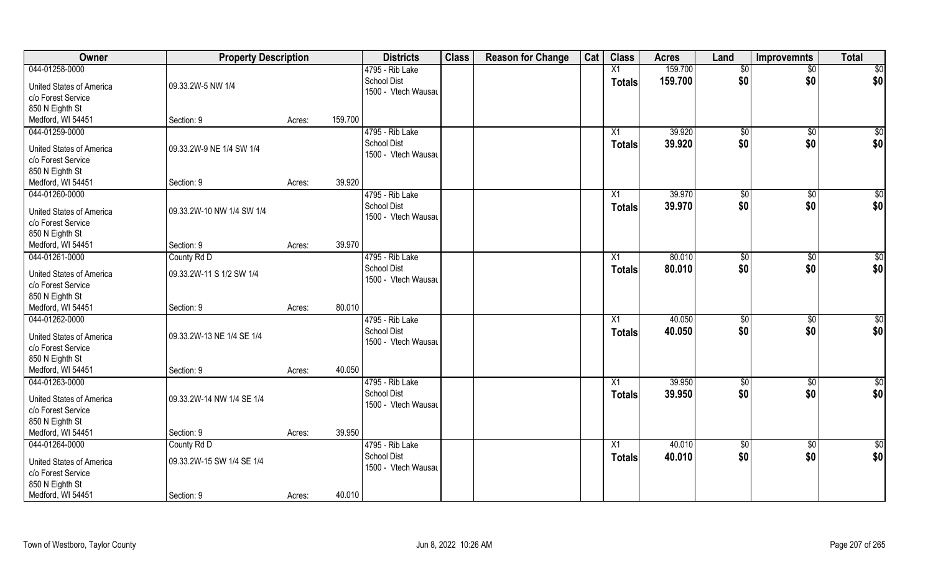| Owner                                                 | <b>Property Description</b> |        |         | <b>Districts</b>                          | <b>Class</b> | <b>Reason for Change</b> | Cat | <b>Class</b>    | <b>Acres</b> | Land        | <b>Improvemnts</b> | <b>Total</b>    |
|-------------------------------------------------------|-----------------------------|--------|---------|-------------------------------------------|--------------|--------------------------|-----|-----------------|--------------|-------------|--------------------|-----------------|
| 044-01258-0000                                        |                             |        |         | 4795 - Rib Lake                           |              |                          |     | X1              | 159.700      | \$0         | $\sqrt{$0}$        | \$0             |
| <b>United States of America</b><br>c/o Forest Service | 09.33.2W-5 NW 1/4           |        |         | <b>School Dist</b><br>1500 - Vtech Wausau |              |                          |     | <b>Totals</b>   | 159.700      | \$0         | \$0                | \$0             |
| 850 N Eighth St                                       |                             |        |         |                                           |              |                          |     |                 |              |             |                    |                 |
| Medford, WI 54451                                     | Section: 9                  | Acres: | 159.700 |                                           |              |                          |     |                 |              |             |                    |                 |
| 044-01259-0000                                        |                             |        |         | 4795 - Rib Lake                           |              |                          |     | X1              | 39.920       | \$0         | $\sqrt{$0}$        | \$0             |
|                                                       | 09.33.2W-9 NE 1/4 SW 1/4    |        |         | <b>School Dist</b>                        |              |                          |     | Totals          | 39.920       | \$0         | \$0                | \$0             |
| United States of America<br>c/o Forest Service        |                             |        |         | 1500 - Vtech Wausau                       |              |                          |     |                 |              |             |                    |                 |
| 850 N Eighth St                                       |                             |        |         |                                           |              |                          |     |                 |              |             |                    |                 |
| Medford, WI 54451                                     | Section: 9                  | Acres: | 39.920  |                                           |              |                          |     |                 |              |             |                    |                 |
| 044-01260-0000                                        |                             |        |         | 4795 - Rib Lake                           |              |                          |     | X1              | 39.970       | \$0         | $\overline{50}$    | $\sqrt{50}$     |
|                                                       |                             |        |         | <b>School Dist</b>                        |              |                          |     | <b>Totals</b>   | 39.970       | \$0         | \$0                | \$0             |
| <b>United States of America</b>                       | 09.33.2W-10 NW 1/4 SW 1/4   |        |         | 1500 - Vtech Wausau                       |              |                          |     |                 |              |             |                    |                 |
| c/o Forest Service                                    |                             |        |         |                                           |              |                          |     |                 |              |             |                    |                 |
| 850 N Eighth St                                       |                             |        |         |                                           |              |                          |     |                 |              |             |                    |                 |
| Medford, WI 54451                                     | Section: 9                  | Acres: | 39.970  |                                           |              |                          |     |                 |              |             |                    |                 |
| 044-01261-0000                                        | County Rd D                 |        |         | 4795 - Rib Lake                           |              |                          |     | X1              | 80.010       | \$0         | \$0                | $\sqrt{50}$     |
| United States of America                              | 09.33.2W-11 S 1/2 SW 1/4    |        |         | <b>School Dist</b>                        |              |                          |     | <b>Totals</b>   | 80.010       | \$0         | \$0                | \$0             |
| c/o Forest Service                                    |                             |        |         | 1500 - Vtech Wausau                       |              |                          |     |                 |              |             |                    |                 |
| 850 N Eighth St                                       |                             |        |         |                                           |              |                          |     |                 |              |             |                    |                 |
| Medford, WI 54451                                     | Section: 9                  | Acres: | 80.010  |                                           |              |                          |     |                 |              |             |                    |                 |
| 044-01262-0000                                        |                             |        |         | 4795 - Rib Lake                           |              |                          |     | X1              | 40.050       | \$0         | $\overline{50}$    | $\overline{50}$ |
| <b>United States of America</b>                       | 09.33.2W-13 NE 1/4 SE 1/4   |        |         | <b>School Dist</b>                        |              |                          |     | <b>Totals</b>   | 40.050       | \$0         | \$0                | \$0             |
| c/o Forest Service                                    |                             |        |         | 1500 - Vtech Wausau                       |              |                          |     |                 |              |             |                    |                 |
| 850 N Eighth St                                       |                             |        |         |                                           |              |                          |     |                 |              |             |                    |                 |
| Medford, WI 54451                                     | Section: 9                  | Acres: | 40.050  |                                           |              |                          |     |                 |              |             |                    |                 |
| 044-01263-0000                                        |                             |        |         | 4795 - Rib Lake                           |              |                          |     | $\overline{X1}$ | 39.950       | \$0         | $\sqrt{$0}$        | \$0             |
|                                                       |                             |        |         | <b>School Dist</b>                        |              |                          |     | Totals          | 39.950       | \$0         | \$0                | \$0             |
| <b>United States of America</b>                       | 09.33.2W-14 NW 1/4 SE 1/4   |        |         | 1500 - Vtech Wausau                       |              |                          |     |                 |              |             |                    |                 |
| c/o Forest Service                                    |                             |        |         |                                           |              |                          |     |                 |              |             |                    |                 |
| 850 N Eighth St                                       |                             |        |         |                                           |              |                          |     |                 |              |             |                    |                 |
| Medford, WI 54451                                     | Section: 9                  | Acres: | 39.950  |                                           |              |                          |     |                 |              |             |                    |                 |
| 044-01264-0000                                        | County Rd D                 |        |         | 4795 - Rib Lake                           |              |                          |     | $\overline{X1}$ | 40.010       | $\sqrt{50}$ | $\overline{60}$    | \$0             |
| United States of America                              | 09.33.2W-15 SW 1/4 SE 1/4   |        |         | <b>School Dist</b>                        |              |                          |     | <b>Totals</b>   | 40.010       | \$0         | \$0                | \$0             |
| c/o Forest Service                                    |                             |        |         | 1500 - Vtech Wausau                       |              |                          |     |                 |              |             |                    |                 |
| 850 N Eighth St                                       |                             |        |         |                                           |              |                          |     |                 |              |             |                    |                 |
| Medford, WI 54451                                     | Section: 9                  | Acres: | 40.010  |                                           |              |                          |     |                 |              |             |                    |                 |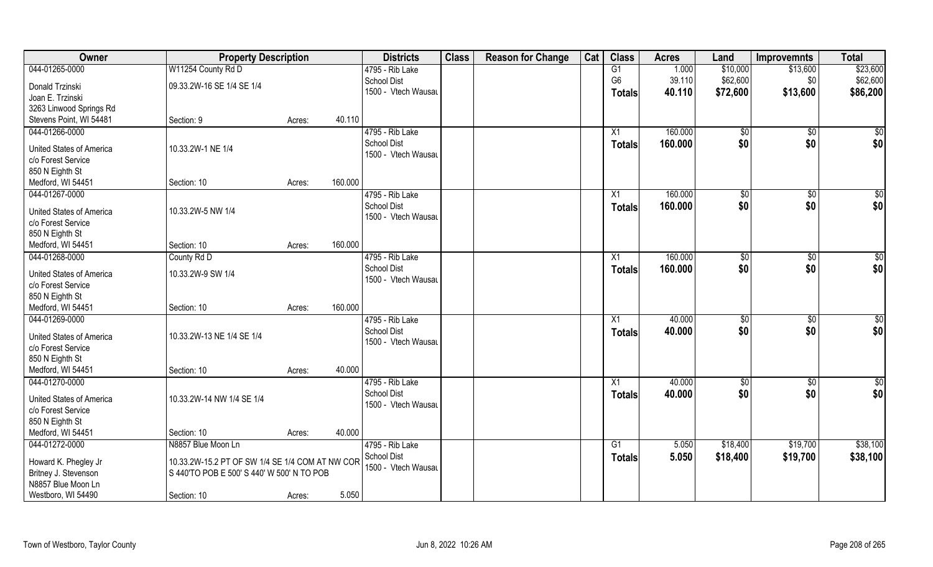| Owner                               | <b>Property Description</b>                                                                   |        |         | <b>Districts</b>                      | <b>Class</b> | <b>Reason for Change</b> | Cat | <b>Class</b>   | <b>Acres</b> | Land          | <b>Improvemnts</b> | <b>Total</b> |
|-------------------------------------|-----------------------------------------------------------------------------------------------|--------|---------|---------------------------------------|--------------|--------------------------|-----|----------------|--------------|---------------|--------------------|--------------|
| 044-01265-0000                      | W11254 County Rd D                                                                            |        |         | 4795 - Rib Lake                       |              |                          |     | G1             | 1.000        | \$10,000      | \$13,600           | \$23,600     |
| Donald Trzinski                     | 09.33.2W-16 SE 1/4 SE 1/4                                                                     |        |         | School Dist                           |              |                          |     | G <sub>6</sub> | 39.110       | \$62,600      | \$0                | \$62,600     |
| Joan E. Trzinski                    |                                                                                               |        |         | 1500 - Vtech Wausau                   |              |                          |     | <b>Totals</b>  | 40.110       | \$72,600      | \$13,600           | \$86,200     |
| 3263 Linwood Springs Rd             |                                                                                               |        |         |                                       |              |                          |     |                |              |               |                    |              |
| Stevens Point, WI 54481             | Section: 9                                                                                    | Acres: | 40.110  |                                       |              |                          |     |                |              |               |                    |              |
| 044-01266-0000                      |                                                                                               |        |         | 4795 - Rib Lake                       |              |                          |     | X1             | 160.000      | \$0           | \$0                | \$0          |
|                                     |                                                                                               |        |         | <b>School Dist</b>                    |              |                          |     | Totals         | 160.000      | \$0           | \$0                | \$0          |
| United States of America            | 10.33.2W-1 NE 1/4                                                                             |        |         | 1500 - Vtech Wausau                   |              |                          |     |                |              |               |                    |              |
| c/o Forest Service                  |                                                                                               |        |         |                                       |              |                          |     |                |              |               |                    |              |
| 850 N Eighth St                     |                                                                                               |        | 160.000 |                                       |              |                          |     |                |              |               |                    |              |
| Medford, WI 54451<br>044-01267-0000 | Section: 10                                                                                   | Acres: |         |                                       |              |                          |     |                | 160.000      |               |                    |              |
|                                     |                                                                                               |        |         | 4795 - Rib Lake<br><b>School Dist</b> |              |                          |     | X1             |              | $\sqrt[6]{2}$ | $\sqrt[6]{3}$      | \$0          |
| <b>United States of America</b>     | 10.33.2W-5 NW 1/4                                                                             |        |         | 1500 - Vtech Wausau                   |              |                          |     | <b>Totals</b>  | 160.000      | \$0           | \$0                | \$0          |
| c/o Forest Service                  |                                                                                               |        |         |                                       |              |                          |     |                |              |               |                    |              |
| 850 N Eighth St                     |                                                                                               |        |         |                                       |              |                          |     |                |              |               |                    |              |
| Medford, WI 54451                   | Section: 10                                                                                   | Acres: | 160.000 |                                       |              |                          |     |                |              |               |                    |              |
| 044-01268-0000                      | County Rd D                                                                                   |        |         | 4795 - Rib Lake                       |              |                          |     | X1             | 160.000      | $\sqrt[6]{3}$ | \$0                | \$0          |
| <b>United States of America</b>     | 10.33.2W-9 SW 1/4                                                                             |        |         | <b>School Dist</b>                    |              |                          |     | <b>Totals</b>  | 160.000      | \$0           | \$0                | \$0          |
| c/o Forest Service                  |                                                                                               |        |         | 1500 - Vtech Wausau                   |              |                          |     |                |              |               |                    |              |
| 850 N Eighth St                     |                                                                                               |        |         |                                       |              |                          |     |                |              |               |                    |              |
| Medford, WI 54451                   | Section: 10                                                                                   | Acres: | 160.000 |                                       |              |                          |     |                |              |               |                    |              |
| 044-01269-0000                      |                                                                                               |        |         | 4795 - Rib Lake                       |              |                          |     | X1             | 40.000       | $\sqrt[6]{3}$ | $\sqrt[6]{30}$     | \$0          |
|                                     |                                                                                               |        |         | <b>School Dist</b>                    |              |                          |     | <b>Totals</b>  | 40.000       | \$0           | \$0                | \$0          |
| <b>United States of America</b>     | 10.33.2W-13 NE 1/4 SE 1/4                                                                     |        |         | 1500 - Vtech Wausau                   |              |                          |     |                |              |               |                    |              |
| c/o Forest Service                  |                                                                                               |        |         |                                       |              |                          |     |                |              |               |                    |              |
| 850 N Eighth St                     |                                                                                               |        |         |                                       |              |                          |     |                |              |               |                    |              |
| Medford, WI 54451                   | Section: 10                                                                                   | Acres: | 40.000  |                                       |              |                          |     |                |              |               |                    |              |
| 044-01270-0000                      |                                                                                               |        |         | 4795 - Rib Lake                       |              |                          |     | X1             | 40.000       | $\sqrt{$0}$   | $\sqrt{$0}$        | \$0          |
| <b>United States of America</b>     | 10.33.2W-14 NW 1/4 SE 1/4                                                                     |        |         | <b>School Dist</b>                    |              |                          |     | <b>Totals</b>  | 40.000       | \$0           | \$0                | \$0          |
| c/o Forest Service                  |                                                                                               |        |         | 1500 - Vtech Wausau                   |              |                          |     |                |              |               |                    |              |
| 850 N Eighth St                     |                                                                                               |        |         |                                       |              |                          |     |                |              |               |                    |              |
| Medford, WI 54451                   | Section: 10                                                                                   | Acres: | 40.000  |                                       |              |                          |     |                |              |               |                    |              |
| 044-01272-0000                      | N8857 Blue Moon Ln                                                                            |        |         | 4795 - Rib Lake                       |              |                          |     | G1             | 5.050        | \$18,400      | \$19,700           | \$38,100     |
| Howard K. Phegley Jr                |                                                                                               |        |         | <b>School Dist</b>                    |              |                          |     | <b>Totals</b>  | 5.050        | \$18,400      | \$19,700           | \$38,100     |
| Britney J. Stevenson                | 10.33.2W-15.2 PT OF SW 1/4 SE 1/4 COM AT NW COR<br>S 440'TO POB E 500' S 440' W 500' N TO POB |        |         | 1500 - Vtech Wausau                   |              |                          |     |                |              |               |                    |              |
| N8857 Blue Moon Ln                  |                                                                                               |        |         |                                       |              |                          |     |                |              |               |                    |              |
| Westboro, WI 54490                  | Section: 10                                                                                   | Acres: | 5.050   |                                       |              |                          |     |                |              |               |                    |              |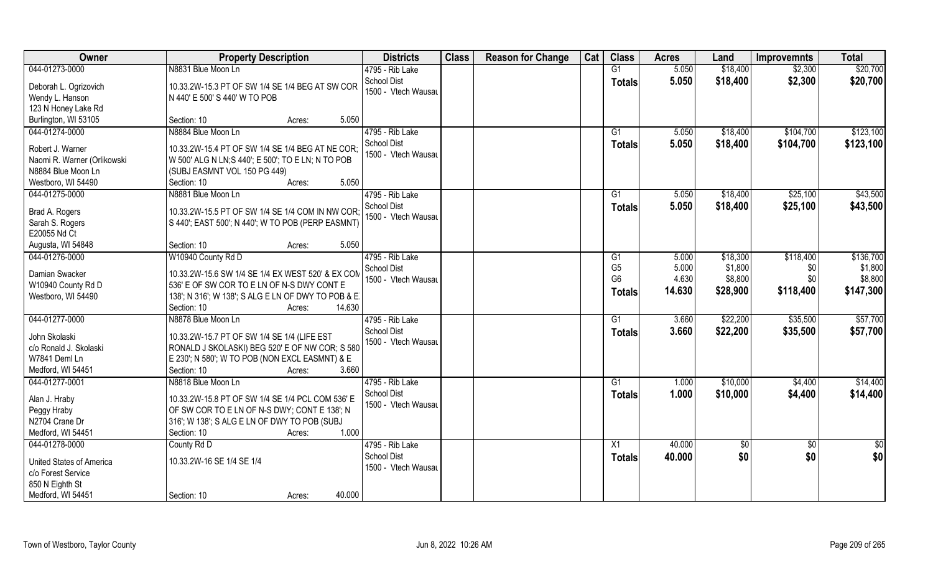| 044-01273-0000<br>N8831 Blue Moon Ln<br>G1<br>5.050<br>\$18,400<br>\$2,300<br>\$20,700<br>4795 - Rib Lake<br><b>School Dist</b><br>5.050<br>\$18,400<br>\$2,300<br>\$20,700<br><b>Totals</b><br>10.33.2W-15.3 PT OF SW 1/4 SE 1/4 BEG AT SW COR<br>Deborah L. Ogrizovich<br>1500 - Vtech Wausau<br>Wendy L. Hanson<br>N 440' E 500' S 440' W TO POB<br>123 N Honey Lake Rd<br>Burlington, WI 53105<br>5.050<br>Section: 10<br>Acres:<br>4795 - Rib Lake<br>\$123,100<br>044-01274-0000<br>N8884 Blue Moon Ln<br>\$104,700<br>G1<br>5.050<br>\$18,400<br><b>School Dist</b><br>5.050<br>\$18,400<br>\$104,700<br>\$123,100<br><b>Totals</b><br>Robert J. Warner<br>10.33.2W-15.4 PT OF SW 1/4 SE 1/4 BEG AT NE COR;<br>1500 - Vtech Wausau<br>Naomi R. Warner (Orlikowski<br>W 500' ALG N LN; S 440'; E 500'; TO E LN; N TO POB<br>N8884 Blue Moon Ln<br>(SUBJ EASMNT VOL 150 PG 449)<br>Westboro, WI 54490<br>5.050<br>Section: 10<br>Acres:<br>4795 - Rib Lake<br>\$43,500<br>044-01275-0000<br>N8881 Blue Moon Ln<br>G1<br>5.050<br>\$18,400<br>\$25,100<br>School Dist<br>5.050<br>\$18,400<br>\$25,100<br>\$43,500<br><b>Totals</b><br>Brad A. Rogers<br>10.33.2W-15.5 PT OF SW 1/4 SE 1/4 COM IN NW COR;<br>1500 - Vtech Wausau<br>S 440'; EAST 500'; N 440'; W TO POB (PERP EASMNT)<br>Sarah S. Rogers<br>E20055 Nd Ct<br>5.050<br>Augusta, WI 54848<br>Section: 10<br>Acres:<br>W10940 County Rd D<br>4795 - Rib Lake<br>\$118,400<br>\$136,700<br>044-01276-0000<br>5.000<br>\$18,300<br>G1<br>G <sub>5</sub><br>5.000<br>\$1,800<br>\$1,800<br><b>School Dist</b><br>\$0<br>Damian Swacker<br>10.33.2W-15.6 SW 1/4 SE 1/4 EX WEST 520' & EX COM<br>4.630<br>G <sub>6</sub><br>\$8,800<br>\$0<br>\$8,800<br>1500 - Vtech Wausau<br>W10940 County Rd D<br>536' E OF SW COR TO E LN OF N-S DWY CONT E<br>\$118,400<br>14.630<br>\$28,900<br>\$147,300<br><b>Totals</b><br>Westboro, WI 54490<br>138'; N 316'; W 138'; S ALG E LN OF DWY TO POB & E.<br>Section: 10<br>14.630<br>Acres:<br>044-01277-0000<br>N8878 Blue Moon Ln<br>3.660<br>\$22,200<br>\$35,500<br>\$57,700<br>4795 - Rib Lake<br>G1<br><b>School Dist</b><br>3.660<br>\$22,200<br>\$35,500<br>\$57,700<br><b>Totals</b><br>John Skolaski<br>10.33.2W-15.7 PT OF SW 1/4 SE 1/4 (LIFE EST<br>1500 - Vtech Wausau<br>RONALD J SKOLASKI) BEG 520' E OF NW COR; S 580<br>c/o Ronald J. Skolaski<br>W7841 Deml Ln<br>E 230'; N 580'; W TO POB (NON EXCL EASMNT) & E<br>Medford, WI 54451<br>3.660<br>Section: 10<br>Acres:<br>\$14,400<br>044-01277-0001<br>N8818 Blue Moon Ln<br>4795 - Rib Lake<br>\$10,000<br>\$4,400<br>G1<br>1.000<br>\$4,400<br><b>School Dist</b><br>1.000<br>\$10,000<br>\$14,400<br><b>Totals</b><br>Alan J. Hraby<br>10.33.2W-15.8 PT OF SW 1/4 SE 1/4 PCL COM 536' E<br>1500 - Vtech Wausau | Owner             | <b>Property Description</b>                  | <b>Districts</b> | <b>Class</b> | <b>Reason for Change</b> | Cat | <b>Class</b> | <b>Acres</b> | Land | <b>Improvemnts</b> | <b>Total</b> |
|-----------------------------------------------------------------------------------------------------------------------------------------------------------------------------------------------------------------------------------------------------------------------------------------------------------------------------------------------------------------------------------------------------------------------------------------------------------------------------------------------------------------------------------------------------------------------------------------------------------------------------------------------------------------------------------------------------------------------------------------------------------------------------------------------------------------------------------------------------------------------------------------------------------------------------------------------------------------------------------------------------------------------------------------------------------------------------------------------------------------------------------------------------------------------------------------------------------------------------------------------------------------------------------------------------------------------------------------------------------------------------------------------------------------------------------------------------------------------------------------------------------------------------------------------------------------------------------------------------------------------------------------------------------------------------------------------------------------------------------------------------------------------------------------------------------------------------------------------------------------------------------------------------------------------------------------------------------------------------------------------------------------------------------------------------------------------------------------------------------------------------------------------------------------------------------------------------------------------------------------------------------------------------------------------------------------------------------------------------------------------------------------------------------------------------------------------------------------------------------------------------------------------------------------------------------------------------------------------------------------------------------------------------------------------------------------------------------------------------------------------------------------------------------------|-------------------|----------------------------------------------|------------------|--------------|--------------------------|-----|--------------|--------------|------|--------------------|--------------|
|                                                                                                                                                                                                                                                                                                                                                                                                                                                                                                                                                                                                                                                                                                                                                                                                                                                                                                                                                                                                                                                                                                                                                                                                                                                                                                                                                                                                                                                                                                                                                                                                                                                                                                                                                                                                                                                                                                                                                                                                                                                                                                                                                                                                                                                                                                                                                                                                                                                                                                                                                                                                                                                                                                                                                                                         |                   |                                              |                  |              |                          |     |              |              |      |                    |              |
|                                                                                                                                                                                                                                                                                                                                                                                                                                                                                                                                                                                                                                                                                                                                                                                                                                                                                                                                                                                                                                                                                                                                                                                                                                                                                                                                                                                                                                                                                                                                                                                                                                                                                                                                                                                                                                                                                                                                                                                                                                                                                                                                                                                                                                                                                                                                                                                                                                                                                                                                                                                                                                                                                                                                                                                         |                   |                                              |                  |              |                          |     |              |              |      |                    |              |
|                                                                                                                                                                                                                                                                                                                                                                                                                                                                                                                                                                                                                                                                                                                                                                                                                                                                                                                                                                                                                                                                                                                                                                                                                                                                                                                                                                                                                                                                                                                                                                                                                                                                                                                                                                                                                                                                                                                                                                                                                                                                                                                                                                                                                                                                                                                                                                                                                                                                                                                                                                                                                                                                                                                                                                                         |                   |                                              |                  |              |                          |     |              |              |      |                    |              |
|                                                                                                                                                                                                                                                                                                                                                                                                                                                                                                                                                                                                                                                                                                                                                                                                                                                                                                                                                                                                                                                                                                                                                                                                                                                                                                                                                                                                                                                                                                                                                                                                                                                                                                                                                                                                                                                                                                                                                                                                                                                                                                                                                                                                                                                                                                                                                                                                                                                                                                                                                                                                                                                                                                                                                                                         |                   |                                              |                  |              |                          |     |              |              |      |                    |              |
|                                                                                                                                                                                                                                                                                                                                                                                                                                                                                                                                                                                                                                                                                                                                                                                                                                                                                                                                                                                                                                                                                                                                                                                                                                                                                                                                                                                                                                                                                                                                                                                                                                                                                                                                                                                                                                                                                                                                                                                                                                                                                                                                                                                                                                                                                                                                                                                                                                                                                                                                                                                                                                                                                                                                                                                         |                   |                                              |                  |              |                          |     |              |              |      |                    |              |
|                                                                                                                                                                                                                                                                                                                                                                                                                                                                                                                                                                                                                                                                                                                                                                                                                                                                                                                                                                                                                                                                                                                                                                                                                                                                                                                                                                                                                                                                                                                                                                                                                                                                                                                                                                                                                                                                                                                                                                                                                                                                                                                                                                                                                                                                                                                                                                                                                                                                                                                                                                                                                                                                                                                                                                                         |                   |                                              |                  |              |                          |     |              |              |      |                    |              |
|                                                                                                                                                                                                                                                                                                                                                                                                                                                                                                                                                                                                                                                                                                                                                                                                                                                                                                                                                                                                                                                                                                                                                                                                                                                                                                                                                                                                                                                                                                                                                                                                                                                                                                                                                                                                                                                                                                                                                                                                                                                                                                                                                                                                                                                                                                                                                                                                                                                                                                                                                                                                                                                                                                                                                                                         |                   |                                              |                  |              |                          |     |              |              |      |                    |              |
|                                                                                                                                                                                                                                                                                                                                                                                                                                                                                                                                                                                                                                                                                                                                                                                                                                                                                                                                                                                                                                                                                                                                                                                                                                                                                                                                                                                                                                                                                                                                                                                                                                                                                                                                                                                                                                                                                                                                                                                                                                                                                                                                                                                                                                                                                                                                                                                                                                                                                                                                                                                                                                                                                                                                                                                         |                   |                                              |                  |              |                          |     |              |              |      |                    |              |
|                                                                                                                                                                                                                                                                                                                                                                                                                                                                                                                                                                                                                                                                                                                                                                                                                                                                                                                                                                                                                                                                                                                                                                                                                                                                                                                                                                                                                                                                                                                                                                                                                                                                                                                                                                                                                                                                                                                                                                                                                                                                                                                                                                                                                                                                                                                                                                                                                                                                                                                                                                                                                                                                                                                                                                                         |                   |                                              |                  |              |                          |     |              |              |      |                    |              |
|                                                                                                                                                                                                                                                                                                                                                                                                                                                                                                                                                                                                                                                                                                                                                                                                                                                                                                                                                                                                                                                                                                                                                                                                                                                                                                                                                                                                                                                                                                                                                                                                                                                                                                                                                                                                                                                                                                                                                                                                                                                                                                                                                                                                                                                                                                                                                                                                                                                                                                                                                                                                                                                                                                                                                                                         |                   |                                              |                  |              |                          |     |              |              |      |                    |              |
|                                                                                                                                                                                                                                                                                                                                                                                                                                                                                                                                                                                                                                                                                                                                                                                                                                                                                                                                                                                                                                                                                                                                                                                                                                                                                                                                                                                                                                                                                                                                                                                                                                                                                                                                                                                                                                                                                                                                                                                                                                                                                                                                                                                                                                                                                                                                                                                                                                                                                                                                                                                                                                                                                                                                                                                         |                   |                                              |                  |              |                          |     |              |              |      |                    |              |
|                                                                                                                                                                                                                                                                                                                                                                                                                                                                                                                                                                                                                                                                                                                                                                                                                                                                                                                                                                                                                                                                                                                                                                                                                                                                                                                                                                                                                                                                                                                                                                                                                                                                                                                                                                                                                                                                                                                                                                                                                                                                                                                                                                                                                                                                                                                                                                                                                                                                                                                                                                                                                                                                                                                                                                                         |                   |                                              |                  |              |                          |     |              |              |      |                    |              |
|                                                                                                                                                                                                                                                                                                                                                                                                                                                                                                                                                                                                                                                                                                                                                                                                                                                                                                                                                                                                                                                                                                                                                                                                                                                                                                                                                                                                                                                                                                                                                                                                                                                                                                                                                                                                                                                                                                                                                                                                                                                                                                                                                                                                                                                                                                                                                                                                                                                                                                                                                                                                                                                                                                                                                                                         |                   |                                              |                  |              |                          |     |              |              |      |                    |              |
|                                                                                                                                                                                                                                                                                                                                                                                                                                                                                                                                                                                                                                                                                                                                                                                                                                                                                                                                                                                                                                                                                                                                                                                                                                                                                                                                                                                                                                                                                                                                                                                                                                                                                                                                                                                                                                                                                                                                                                                                                                                                                                                                                                                                                                                                                                                                                                                                                                                                                                                                                                                                                                                                                                                                                                                         |                   |                                              |                  |              |                          |     |              |              |      |                    |              |
|                                                                                                                                                                                                                                                                                                                                                                                                                                                                                                                                                                                                                                                                                                                                                                                                                                                                                                                                                                                                                                                                                                                                                                                                                                                                                                                                                                                                                                                                                                                                                                                                                                                                                                                                                                                                                                                                                                                                                                                                                                                                                                                                                                                                                                                                                                                                                                                                                                                                                                                                                                                                                                                                                                                                                                                         |                   |                                              |                  |              |                          |     |              |              |      |                    |              |
|                                                                                                                                                                                                                                                                                                                                                                                                                                                                                                                                                                                                                                                                                                                                                                                                                                                                                                                                                                                                                                                                                                                                                                                                                                                                                                                                                                                                                                                                                                                                                                                                                                                                                                                                                                                                                                                                                                                                                                                                                                                                                                                                                                                                                                                                                                                                                                                                                                                                                                                                                                                                                                                                                                                                                                                         |                   |                                              |                  |              |                          |     |              |              |      |                    |              |
|                                                                                                                                                                                                                                                                                                                                                                                                                                                                                                                                                                                                                                                                                                                                                                                                                                                                                                                                                                                                                                                                                                                                                                                                                                                                                                                                                                                                                                                                                                                                                                                                                                                                                                                                                                                                                                                                                                                                                                                                                                                                                                                                                                                                                                                                                                                                                                                                                                                                                                                                                                                                                                                                                                                                                                                         |                   |                                              |                  |              |                          |     |              |              |      |                    |              |
|                                                                                                                                                                                                                                                                                                                                                                                                                                                                                                                                                                                                                                                                                                                                                                                                                                                                                                                                                                                                                                                                                                                                                                                                                                                                                                                                                                                                                                                                                                                                                                                                                                                                                                                                                                                                                                                                                                                                                                                                                                                                                                                                                                                                                                                                                                                                                                                                                                                                                                                                                                                                                                                                                                                                                                                         |                   |                                              |                  |              |                          |     |              |              |      |                    |              |
|                                                                                                                                                                                                                                                                                                                                                                                                                                                                                                                                                                                                                                                                                                                                                                                                                                                                                                                                                                                                                                                                                                                                                                                                                                                                                                                                                                                                                                                                                                                                                                                                                                                                                                                                                                                                                                                                                                                                                                                                                                                                                                                                                                                                                                                                                                                                                                                                                                                                                                                                                                                                                                                                                                                                                                                         |                   |                                              |                  |              |                          |     |              |              |      |                    |              |
|                                                                                                                                                                                                                                                                                                                                                                                                                                                                                                                                                                                                                                                                                                                                                                                                                                                                                                                                                                                                                                                                                                                                                                                                                                                                                                                                                                                                                                                                                                                                                                                                                                                                                                                                                                                                                                                                                                                                                                                                                                                                                                                                                                                                                                                                                                                                                                                                                                                                                                                                                                                                                                                                                                                                                                                         |                   |                                              |                  |              |                          |     |              |              |      |                    |              |
|                                                                                                                                                                                                                                                                                                                                                                                                                                                                                                                                                                                                                                                                                                                                                                                                                                                                                                                                                                                                                                                                                                                                                                                                                                                                                                                                                                                                                                                                                                                                                                                                                                                                                                                                                                                                                                                                                                                                                                                                                                                                                                                                                                                                                                                                                                                                                                                                                                                                                                                                                                                                                                                                                                                                                                                         |                   |                                              |                  |              |                          |     |              |              |      |                    |              |
|                                                                                                                                                                                                                                                                                                                                                                                                                                                                                                                                                                                                                                                                                                                                                                                                                                                                                                                                                                                                                                                                                                                                                                                                                                                                                                                                                                                                                                                                                                                                                                                                                                                                                                                                                                                                                                                                                                                                                                                                                                                                                                                                                                                                                                                                                                                                                                                                                                                                                                                                                                                                                                                                                                                                                                                         |                   |                                              |                  |              |                          |     |              |              |      |                    |              |
|                                                                                                                                                                                                                                                                                                                                                                                                                                                                                                                                                                                                                                                                                                                                                                                                                                                                                                                                                                                                                                                                                                                                                                                                                                                                                                                                                                                                                                                                                                                                                                                                                                                                                                                                                                                                                                                                                                                                                                                                                                                                                                                                                                                                                                                                                                                                                                                                                                                                                                                                                                                                                                                                                                                                                                                         |                   |                                              |                  |              |                          |     |              |              |      |                    |              |
|                                                                                                                                                                                                                                                                                                                                                                                                                                                                                                                                                                                                                                                                                                                                                                                                                                                                                                                                                                                                                                                                                                                                                                                                                                                                                                                                                                                                                                                                                                                                                                                                                                                                                                                                                                                                                                                                                                                                                                                                                                                                                                                                                                                                                                                                                                                                                                                                                                                                                                                                                                                                                                                                                                                                                                                         |                   |                                              |                  |              |                          |     |              |              |      |                    |              |
|                                                                                                                                                                                                                                                                                                                                                                                                                                                                                                                                                                                                                                                                                                                                                                                                                                                                                                                                                                                                                                                                                                                                                                                                                                                                                                                                                                                                                                                                                                                                                                                                                                                                                                                                                                                                                                                                                                                                                                                                                                                                                                                                                                                                                                                                                                                                                                                                                                                                                                                                                                                                                                                                                                                                                                                         |                   |                                              |                  |              |                          |     |              |              |      |                    |              |
|                                                                                                                                                                                                                                                                                                                                                                                                                                                                                                                                                                                                                                                                                                                                                                                                                                                                                                                                                                                                                                                                                                                                                                                                                                                                                                                                                                                                                                                                                                                                                                                                                                                                                                                                                                                                                                                                                                                                                                                                                                                                                                                                                                                                                                                                                                                                                                                                                                                                                                                                                                                                                                                                                                                                                                                         |                   |                                              |                  |              |                          |     |              |              |      |                    |              |
|                                                                                                                                                                                                                                                                                                                                                                                                                                                                                                                                                                                                                                                                                                                                                                                                                                                                                                                                                                                                                                                                                                                                                                                                                                                                                                                                                                                                                                                                                                                                                                                                                                                                                                                                                                                                                                                                                                                                                                                                                                                                                                                                                                                                                                                                                                                                                                                                                                                                                                                                                                                                                                                                                                                                                                                         |                   |                                              |                  |              |                          |     |              |              |      |                    |              |
|                                                                                                                                                                                                                                                                                                                                                                                                                                                                                                                                                                                                                                                                                                                                                                                                                                                                                                                                                                                                                                                                                                                                                                                                                                                                                                                                                                                                                                                                                                                                                                                                                                                                                                                                                                                                                                                                                                                                                                                                                                                                                                                                                                                                                                                                                                                                                                                                                                                                                                                                                                                                                                                                                                                                                                                         |                   |                                              |                  |              |                          |     |              |              |      |                    |              |
|                                                                                                                                                                                                                                                                                                                                                                                                                                                                                                                                                                                                                                                                                                                                                                                                                                                                                                                                                                                                                                                                                                                                                                                                                                                                                                                                                                                                                                                                                                                                                                                                                                                                                                                                                                                                                                                                                                                                                                                                                                                                                                                                                                                                                                                                                                                                                                                                                                                                                                                                                                                                                                                                                                                                                                                         | Peggy Hraby       | OF SW COR TO E LN OF N-S DWY; CONT E 138'; N |                  |              |                          |     |              |              |      |                    |              |
| N2704 Crane Dr<br>316'; W 138'; S ALG E LN OF DWY TO POB (SUBJ                                                                                                                                                                                                                                                                                                                                                                                                                                                                                                                                                                                                                                                                                                                                                                                                                                                                                                                                                                                                                                                                                                                                                                                                                                                                                                                                                                                                                                                                                                                                                                                                                                                                                                                                                                                                                                                                                                                                                                                                                                                                                                                                                                                                                                                                                                                                                                                                                                                                                                                                                                                                                                                                                                                          |                   |                                              |                  |              |                          |     |              |              |      |                    |              |
| Medford, WI 54451<br>1.000<br>Section: 10<br>Acres:                                                                                                                                                                                                                                                                                                                                                                                                                                                                                                                                                                                                                                                                                                                                                                                                                                                                                                                                                                                                                                                                                                                                                                                                                                                                                                                                                                                                                                                                                                                                                                                                                                                                                                                                                                                                                                                                                                                                                                                                                                                                                                                                                                                                                                                                                                                                                                                                                                                                                                                                                                                                                                                                                                                                     |                   |                                              |                  |              |                          |     |              |              |      |                    |              |
| County Rd D<br>4795 - Rib Lake<br>$\overline{X1}$<br>40.000<br>$\overline{50}$<br>$\sqrt{6}$<br>$\frac{1}{2}$                                                                                                                                                                                                                                                                                                                                                                                                                                                                                                                                                                                                                                                                                                                                                                                                                                                                                                                                                                                                                                                                                                                                                                                                                                                                                                                                                                                                                                                                                                                                                                                                                                                                                                                                                                                                                                                                                                                                                                                                                                                                                                                                                                                                                                                                                                                                                                                                                                                                                                                                                                                                                                                                           | 044-01278-0000    |                                              |                  |              |                          |     |              |              |      |                    |              |
| \$0<br>\$0<br><b>School Dist</b><br>40.000<br>\$0<br><b>Totals</b>                                                                                                                                                                                                                                                                                                                                                                                                                                                                                                                                                                                                                                                                                                                                                                                                                                                                                                                                                                                                                                                                                                                                                                                                                                                                                                                                                                                                                                                                                                                                                                                                                                                                                                                                                                                                                                                                                                                                                                                                                                                                                                                                                                                                                                                                                                                                                                                                                                                                                                                                                                                                                                                                                                                      |                   |                                              |                  |              |                          |     |              |              |      |                    |              |
| 10.33.2W-16 SE 1/4 SE 1/4<br><b>United States of America</b><br>1500 - Vtech Wausau<br>c/o Forest Service                                                                                                                                                                                                                                                                                                                                                                                                                                                                                                                                                                                                                                                                                                                                                                                                                                                                                                                                                                                                                                                                                                                                                                                                                                                                                                                                                                                                                                                                                                                                                                                                                                                                                                                                                                                                                                                                                                                                                                                                                                                                                                                                                                                                                                                                                                                                                                                                                                                                                                                                                                                                                                                                               |                   |                                              |                  |              |                          |     |              |              |      |                    |              |
|                                                                                                                                                                                                                                                                                                                                                                                                                                                                                                                                                                                                                                                                                                                                                                                                                                                                                                                                                                                                                                                                                                                                                                                                                                                                                                                                                                                                                                                                                                                                                                                                                                                                                                                                                                                                                                                                                                                                                                                                                                                                                                                                                                                                                                                                                                                                                                                                                                                                                                                                                                                                                                                                                                                                                                                         | 850 N Eighth St   |                                              |                  |              |                          |     |              |              |      |                    |              |
| 40.000<br>Section: 10<br>Acres:                                                                                                                                                                                                                                                                                                                                                                                                                                                                                                                                                                                                                                                                                                                                                                                                                                                                                                                                                                                                                                                                                                                                                                                                                                                                                                                                                                                                                                                                                                                                                                                                                                                                                                                                                                                                                                                                                                                                                                                                                                                                                                                                                                                                                                                                                                                                                                                                                                                                                                                                                                                                                                                                                                                                                         | Medford, WI 54451 |                                              |                  |              |                          |     |              |              |      |                    |              |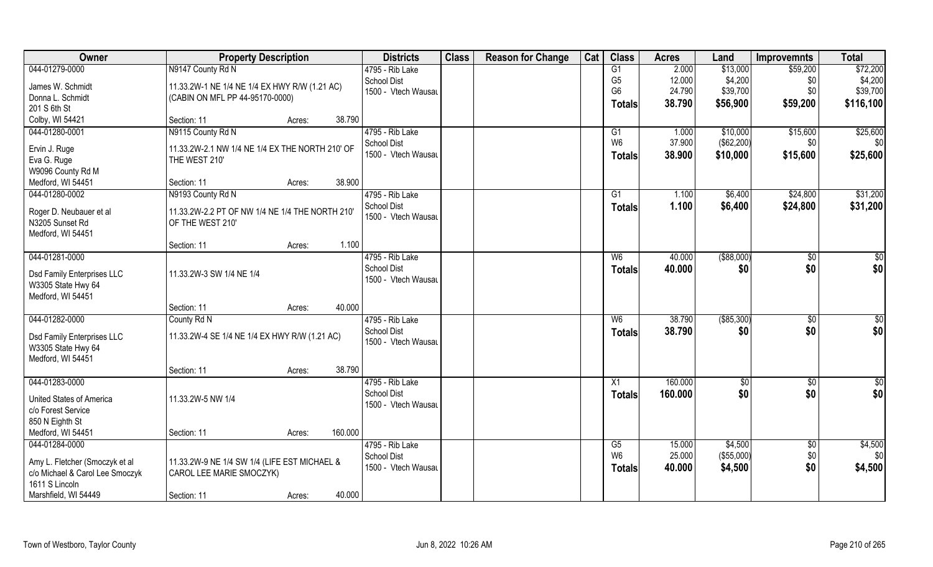| Owner                                                 | <b>Property Description</b>                     |        |         | <b>Districts</b>    | <b>Class</b> | <b>Reason for Change</b> | Cat | <b>Class</b>   | <b>Acres</b> | Land         | <b>Improvemnts</b> | <b>Total</b> |
|-------------------------------------------------------|-------------------------------------------------|--------|---------|---------------------|--------------|--------------------------|-----|----------------|--------------|--------------|--------------------|--------------|
| 044-01279-0000                                        | N9147 County Rd N                               |        |         | 4795 - Rib Lake     |              |                          |     | G1             | 2.000        | \$13,000     | \$59,200           | \$72,200     |
| James W. Schmidt                                      | 11.33.2W-1 NE 1/4 NE 1/4 EX HWY R/W (1.21 AC)   |        |         | <b>School Dist</b>  |              |                          |     | G <sub>5</sub> | 12.000       | \$4,200      | \$0                | \$4,200      |
| Donna L. Schmidt                                      | (CABIN ON MFL PP 44-95170-0000)                 |        |         | 1500 - Vtech Wausau |              |                          |     | G <sub>6</sub> | 24.790       | \$39,700     | \$0                | \$39,700     |
| 201 S 6th St                                          |                                                 |        |         |                     |              |                          |     | Totals         | 38.790       | \$56,900     | \$59,200           | \$116,100    |
| Colby, WI 54421                                       | Section: 11                                     | Acres: | 38.790  |                     |              |                          |     |                |              |              |                    |              |
| 044-01280-0001                                        | N9115 County Rd N                               |        |         | 4795 - Rib Lake     |              |                          |     | G1             | 1.000        | \$10,000     | \$15,600           | \$25,600     |
|                                                       |                                                 |        |         | <b>School Dist</b>  |              |                          |     | W <sub>6</sub> | 37.900       | (\$62,200)   | \$0 <sub>1</sub>   | \$0          |
| Ervin J. Ruge                                         | 11.33.2W-2.1 NW 1/4 NE 1/4 EX THE NORTH 210' OF |        |         | 1500 - Vtech Wausau |              |                          |     | <b>Totals</b>  | 38.900       | \$10,000     | \$15,600           | \$25,600     |
| Eva G. Ruge<br>W9096 County Rd M                      | THE WEST 210'                                   |        |         |                     |              |                          |     |                |              |              |                    |              |
| Medford, WI 54451                                     | Section: 11                                     | Acres: | 38.900  |                     |              |                          |     |                |              |              |                    |              |
| 044-01280-0002                                        | N9193 County Rd N                               |        |         | 4795 - Rib Lake     |              |                          |     | G1             | 1.100        | \$6,400      | \$24,800           | \$31,200     |
|                                                       |                                                 |        |         | School Dist         |              |                          |     |                | 1.100        | \$6,400      | \$24,800           | \$31,200     |
| Roger D. Neubauer et al                               | 11.33.2W-2.2 PT OF NW 1/4 NE 1/4 THE NORTH 210' |        |         | 1500 - Vtech Wausau |              |                          |     | <b>Totals</b>  |              |              |                    |              |
| N3205 Sunset Rd                                       | OF THE WEST 210'                                |        |         |                     |              |                          |     |                |              |              |                    |              |
| Medford, WI 54451                                     |                                                 |        |         |                     |              |                          |     |                |              |              |                    |              |
|                                                       | Section: 11                                     | Acres: | 1.100   |                     |              |                          |     |                |              |              |                    |              |
| 044-01281-0000                                        |                                                 |        |         | 4795 - Rib Lake     |              |                          |     | W <sub>6</sub> | 40.000       | ( \$88,000)  | $\sqrt[6]{3}$      | $\sqrt{50}$  |
| Dsd Family Enterprises LLC                            | 11.33.2W-3 SW 1/4 NE 1/4                        |        |         | <b>School Dist</b>  |              |                          |     | <b>Totals</b>  | 40.000       | \$0          | \$0                | \$0          |
| W3305 State Hwy 64                                    |                                                 |        |         | 1500 - Vtech Wausau |              |                          |     |                |              |              |                    |              |
| Medford, WI 54451                                     |                                                 |        |         |                     |              |                          |     |                |              |              |                    |              |
|                                                       | Section: 11                                     | Acres: | 40.000  |                     |              |                          |     |                |              |              |                    |              |
| 044-01282-0000                                        | County Rd N                                     |        |         | 4795 - Rib Lake     |              |                          |     | W6             | 38.790       | ( \$85, 300) | $\overline{50}$    | $\sqrt{50}$  |
| Dsd Family Enterprises LLC                            | 11.33.2W-4 SE 1/4 NE 1/4 EX HWY R/W (1.21 AC)   |        |         | <b>School Dist</b>  |              |                          |     | <b>Totals</b>  | 38.790       | \$0          | \$0                | \$0          |
| W3305 State Hwy 64                                    |                                                 |        |         | 1500 - Vtech Wausau |              |                          |     |                |              |              |                    |              |
| Medford, WI 54451                                     |                                                 |        |         |                     |              |                          |     |                |              |              |                    |              |
|                                                       | Section: 11                                     | Acres: | 38.790  |                     |              |                          |     |                |              |              |                    |              |
| 044-01283-0000                                        |                                                 |        |         | 4795 - Rib Lake     |              |                          |     | X1             | 160.000      | \$0          | $\sqrt{$0}$        | \$0          |
|                                                       | 11.33.2W-5 NW 1/4                               |        |         | <b>School Dist</b>  |              |                          |     | <b>Totals</b>  | 160.000      | \$0          | \$0                | \$0          |
| <b>United States of America</b><br>c/o Forest Service |                                                 |        |         | 1500 - Vtech Wausau |              |                          |     |                |              |              |                    |              |
| 850 N Eighth St                                       |                                                 |        |         |                     |              |                          |     |                |              |              |                    |              |
| Medford, WI 54451                                     | Section: 11                                     | Acres: | 160.000 |                     |              |                          |     |                |              |              |                    |              |
| 044-01284-0000                                        |                                                 |        |         | 4795 - Rib Lake     |              |                          |     | G5             | 15.000       | \$4,500      | $\sqrt{$0}$        | \$4,500      |
|                                                       |                                                 |        |         | <b>School Dist</b>  |              |                          |     | W <sub>6</sub> | 25.000       | (\$55,000)   | \$0                | \$0          |
| Amy L. Fletcher (Smoczyk et al                        | 11.33.2W-9 NE 1/4 SW 1/4 (LIFE EST MICHAEL &    |        |         | 1500 - Vtech Wausau |              |                          |     | <b>Totals</b>  | 40.000       | \$4,500      | \$0                | \$4,500      |
| c/o Michael & Carol Lee Smoczyk                       | CAROL LEE MARIE SMOCZYK)                        |        |         |                     |              |                          |     |                |              |              |                    |              |
| 1611 S Lincoln                                        |                                                 |        |         |                     |              |                          |     |                |              |              |                    |              |
| Marshfield, WI 54449                                  | Section: 11                                     | Acres: | 40.000  |                     |              |                          |     |                |              |              |                    |              |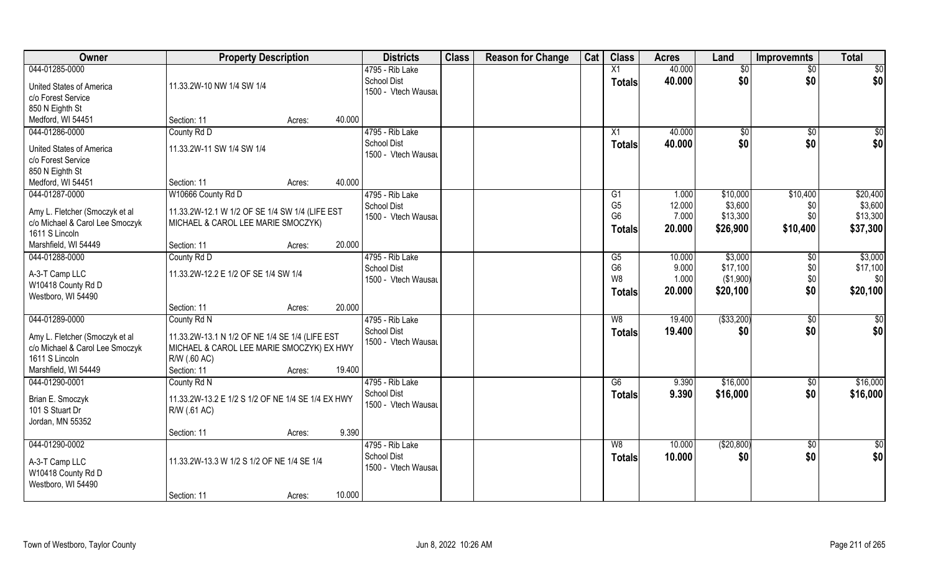| Owner                           | <b>Property Description</b>                       |        |        | <b>Districts</b>                      | <b>Class</b> | <b>Reason for Change</b> | Cat | <b>Class</b>    | <b>Acres</b> | Land            | <b>Improvemnts</b> | <b>Total</b>    |
|---------------------------------|---------------------------------------------------|--------|--------|---------------------------------------|--------------|--------------------------|-----|-----------------|--------------|-----------------|--------------------|-----------------|
| 044-01285-0000                  |                                                   |        |        | 4795 - Rib Lake                       |              |                          |     | X1              | 40.000       | $\overline{50}$ | $\overline{50}$    | \$0             |
| United States of America        | 11.33.2W-10 NW 1/4 SW 1/4                         |        |        | <b>School Dist</b>                    |              |                          |     | <b>Totals</b>   | 40.000       | \$0             | \$0                | \$0             |
| c/o Forest Service              |                                                   |        |        | 1500 - Vtech Wausau                   |              |                          |     |                 |              |                 |                    |                 |
| 850 N Eighth St                 |                                                   |        |        |                                       |              |                          |     |                 |              |                 |                    |                 |
| Medford, WI 54451               | Section: 11                                       | Acres: | 40.000 |                                       |              |                          |     |                 |              |                 |                    |                 |
| 044-01286-0000                  | County Rd D                                       |        |        | 4795 - Rib Lake                       |              |                          |     | X1              | 40.000       | \$0             | $\overline{50}$    | $\sqrt{50}$     |
|                                 |                                                   |        |        | <b>School Dist</b>                    |              |                          |     | <b>Totals</b>   | 40.000       | \$0             | \$0                | \$0             |
| United States of America        | 11.33.2W-11 SW 1/4 SW 1/4                         |        |        | 1500 - Vtech Wausau                   |              |                          |     |                 |              |                 |                    |                 |
| c/o Forest Service              |                                                   |        |        |                                       |              |                          |     |                 |              |                 |                    |                 |
| 850 N Eighth St                 |                                                   |        |        |                                       |              |                          |     |                 |              |                 |                    |                 |
| Medford, WI 54451               | Section: 11                                       | Acres: | 40.000 |                                       |              |                          |     |                 |              |                 |                    |                 |
| 044-01287-0000                  | W10666 County Rd D                                |        |        | 4795 - Rib Lake                       |              |                          |     | G1              | 1.000        | \$10,000        | \$10,400           | \$20,400        |
| Amy L. Fletcher (Smoczyk et al  | 11.33.2W-12.1 W 1/2 OF SE 1/4 SW 1/4 (LIFE EST    |        |        | <b>School Dist</b>                    |              |                          |     | G <sub>5</sub>  | 12.000       | \$3,600         | \$0                | \$3,600         |
| c/o Michael & Carol Lee Smoczyk | MICHAEL & CAROL LEE MARIE SMOCZYK)                |        |        | 1500 - Vtech Wausau                   |              |                          |     | G <sub>6</sub>  | 7.000        | \$13,300        | \$0                | \$13,300        |
| 1611 S Lincoln                  |                                                   |        |        |                                       |              |                          |     | <b>Totals</b>   | 20.000       | \$26,900        | \$10,400           | \$37,300        |
| Marshfield, WI 54449            | Section: 11                                       | Acres: | 20.000 |                                       |              |                          |     |                 |              |                 |                    |                 |
| 044-01288-0000                  | County Rd D                                       |        |        | 4795 - Rib Lake                       |              |                          |     | G5              | 10.000       | \$3,000         | \$0                | \$3,000         |
|                                 |                                                   |        |        | <b>School Dist</b>                    |              |                          |     | G <sub>6</sub>  | 9.000        | \$17,100        | \$0                | \$17,100        |
| A-3-T Camp LLC                  | 11.33.2W-12.2 E 1/2 OF SE 1/4 SW 1/4              |        |        | 1500 - Vtech Wausau                   |              |                          |     | W <sub>8</sub>  | 1.000        | (\$1,900)       | \$0                | \$0             |
| W10418 County Rd D              |                                                   |        |        |                                       |              |                          |     | <b>Totals</b>   | 20.000       | \$20,100        | \$0                | \$20,100        |
| Westboro, WI 54490              |                                                   |        | 20.000 |                                       |              |                          |     |                 |              |                 |                    |                 |
| 044-01289-0000                  | Section: 11                                       | Acres: |        |                                       |              |                          |     | $\overline{W8}$ | 19.400       | ( \$33,200)     |                    |                 |
|                                 | County Rd N                                       |        |        | 4795 - Rib Lake<br><b>School Dist</b> |              |                          |     |                 |              |                 | \$0                | $\overline{50}$ |
| Amy L. Fletcher (Smoczyk et al  | 11.33.2W-13.1 N 1/2 OF NE 1/4 SE 1/4 (LIFE EST    |        |        | 1500 - Vtech Wausau                   |              |                          |     | <b>Totals</b>   | 19.400       | \$0             | \$0                | \$0             |
| c/o Michael & Carol Lee Smoczyk | MICHAEL & CAROL LEE MARIE SMOCZYK) EX HWY         |        |        |                                       |              |                          |     |                 |              |                 |                    |                 |
| 1611 S Lincoln                  | R/W (.60 AC)                                      |        |        |                                       |              |                          |     |                 |              |                 |                    |                 |
| Marshfield, WI 54449            | Section: 11                                       | Acres: | 19.400 |                                       |              |                          |     |                 |              |                 |                    |                 |
| 044-01290-0001                  | County Rd N                                       |        |        | 4795 - Rib Lake                       |              |                          |     | G6              | 9.390        | \$16,000        | \$0                | \$16,000        |
| Brian E. Smoczyk                | 11.33.2W-13.2 E 1/2 S 1/2 OF NE 1/4 SE 1/4 EX HWY |        |        | <b>School Dist</b>                    |              |                          |     | <b>Totals</b>   | 9.390        | \$16,000        | \$0                | \$16,000        |
| 101 S Stuart Dr                 | R/W (.61 AC)                                      |        |        | 1500 - Vtech Wausau                   |              |                          |     |                 |              |                 |                    |                 |
| Jordan, MN 55352                |                                                   |        |        |                                       |              |                          |     |                 |              |                 |                    |                 |
|                                 | Section: 11                                       | Acres: | 9.390  |                                       |              |                          |     |                 |              |                 |                    |                 |
| 044-01290-0002                  |                                                   |        |        | 4795 - Rib Lake                       |              |                          |     | W8              | 10.000       | (\$20,800)      | $\sqrt{6}$         | $\overline{50}$ |
|                                 |                                                   |        |        | <b>School Dist</b>                    |              |                          |     |                 | 10.000       | \$0             | \$0                | \$0             |
| A-3-T Camp LLC                  | 11.33.2W-13.3 W 1/2 S 1/2 OF NE 1/4 SE 1/4        |        |        | 1500 - Vtech Wausau                   |              |                          |     | <b>Totals</b>   |              |                 |                    |                 |
| W10418 County Rd D              |                                                   |        |        |                                       |              |                          |     |                 |              |                 |                    |                 |
| Westboro, WI 54490              |                                                   |        |        |                                       |              |                          |     |                 |              |                 |                    |                 |
|                                 | Section: 11                                       | Acres: | 10.000 |                                       |              |                          |     |                 |              |                 |                    |                 |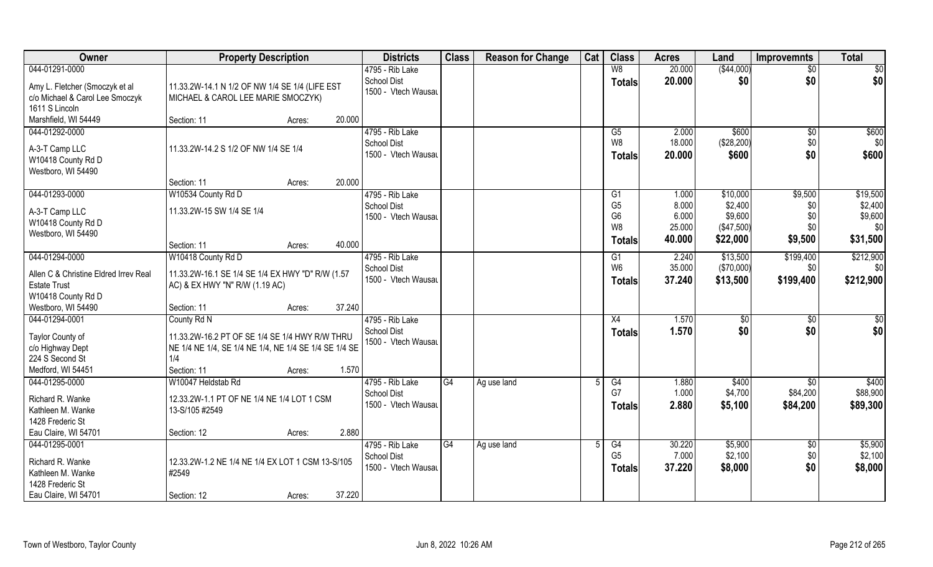| <b>Owner</b>                                                                                         | <b>Property Description</b>                                                                                                                            | <b>Districts</b>                                                       | <b>Class</b> | <b>Reason for Change</b> | Cat | <b>Class</b>                                                         | <b>Acres</b>                      | Land                                         | <b>Improvemnts</b>            | <b>Total</b>                          |
|------------------------------------------------------------------------------------------------------|--------------------------------------------------------------------------------------------------------------------------------------------------------|------------------------------------------------------------------------|--------------|--------------------------|-----|----------------------------------------------------------------------|-----------------------------------|----------------------------------------------|-------------------------------|---------------------------------------|
| 044-01291-0000                                                                                       |                                                                                                                                                        | 4795 - Rib Lake                                                        |              |                          |     | W8                                                                   | 20.000                            | ( \$44,000)                                  | $\overline{50}$               | \$0                                   |
| Amy L. Fletcher (Smoczyk et al<br>c/o Michael & Carol Lee Smoczyk<br>1611 S Lincoln                  | 11.33.2W-14.1 N 1/2 OF NW 1/4 SE 1/4 (LIFE EST<br>MICHAEL & CAROL LEE MARIE SMOCZYK)                                                                   | <b>School Dist</b><br>1500 - Vtech Wausau                              |              |                          |     | <b>Totals</b>                                                        | 20.000                            | \$0                                          | \$0                           | \$0                                   |
| Marshfield, WI 54449                                                                                 | Section: 11<br>Acres:                                                                                                                                  | 20.000                                                                 |              |                          |     |                                                                      |                                   |                                              |                               |                                       |
| 044-01292-0000<br>A-3-T Camp LLC<br>W10418 County Rd D<br>Westboro, WI 54490                         | 11.33.2W-14.2 S 1/2 OF NW 1/4 SE 1/4                                                                                                                   | 4795 - Rib Lake<br>School Dist<br>1500 - Vtech Wausau                  |              |                          |     | G5<br>W8<br><b>Totals</b>                                            | 2.000<br>18.000<br>20.000         | \$600<br>(\$28,200)<br>\$600                 | \$0<br>\$0<br>\$0             | \$600<br>\$0<br>\$600                 |
|                                                                                                      | Section: 11<br>Acres:                                                                                                                                  | 20.000                                                                 |              |                          |     |                                                                      |                                   |                                              |                               |                                       |
| 044-01293-0000<br>A-3-T Camp LLC<br>W10418 County Rd D<br>Westboro, WI 54490                         | W10534 County Rd D<br>11.33.2W-15 SW 1/4 SE 1/4                                                                                                        | 4795 - Rib Lake<br><b>School Dist</b><br>1500 - Vtech Wausau           |              |                          |     | G <sub>1</sub><br>G <sub>5</sub><br>G <sub>6</sub><br>W <sub>8</sub> | 1.000<br>8.000<br>6.000<br>25.000 | \$10,000<br>\$2,400<br>\$9,600<br>(\$47,500) | \$9,500<br>\$0<br>\$0<br>\$0  | \$19,500<br>\$2,400<br>\$9,600<br>\$0 |
|                                                                                                      | Section: 11<br>Acres:                                                                                                                                  | 40.000                                                                 |              |                          |     | <b>Totals</b>                                                        | 40.000                            | \$22,000                                     | \$9,500                       | \$31,500                              |
| 044-01294-0000<br>Allen C & Christine Eldred Irrev Real<br><b>Estate Trust</b><br>W10418 County Rd D | W10418 County Rd D<br>11.33.2W-16.1 SE 1/4 SE 1/4 EX HWY "D" R/W (1.57<br>AC) & EX HWY "N" R/W (1.19 AC)                                               | 4795 - Rib Lake<br>School Dist<br>1500 - Vtech Wausau                  |              |                          |     | G <sub>1</sub><br>W <sub>6</sub><br><b>Totals</b>                    | 2.240<br>35.000<br>37.240         | \$13,500<br>(\$70,000)<br>\$13,500           | \$199,400<br>\$0<br>\$199,400 | \$212,900<br>\$0<br>\$212,900         |
| Westboro, WI 54490                                                                                   | Section: 11<br>Acres:                                                                                                                                  | 37.240                                                                 |              |                          |     |                                                                      |                                   |                                              |                               |                                       |
| 044-01294-0001<br>Taylor County of<br>c/o Highway Dept<br>224 S Second St<br>Medford, WI 54451       | County Rd N<br>11.33.2W-16.2 PT OF SE 1/4 SE 1/4 HWY R/W THRU<br>NE 1/4 NE 1/4, SE 1/4 NE 1/4, NE 1/4 SE 1/4 SE 1/4 SE<br>1/4<br>Section: 11<br>Acres: | 4795 - Rib Lake<br><b>School Dist</b><br>1500 - Vtech Wausau<br>1.570  |              |                          |     | X4<br><b>Totals</b>                                                  | 1.570<br>1.570                    | $\sqrt[6]{}$<br>\$0                          | \$0<br>\$0                    | \$0<br>\$0                            |
| 044-01295-0000<br>Richard R. Wanke<br>Kathleen M. Wanke<br>1428 Frederic St<br>Eau Claire, WI 54701  | W10047 Heldstab Rd<br>12.33.2W-1.1 PT OF NE 1/4 NE 1/4 LOT 1 CSM<br>13-S/105 #2549<br>Section: 12<br>Acres:                                            | 4795 - Rib Lake<br>School Dist<br>1500 - Vtech Wausau<br>2.880         | G4           | Ag use land              |     | G4<br>G7<br><b>Totals</b>                                            | 1.880<br>1.000<br>2.880           | \$400<br>\$4,700<br>\$5,100                  | \$0<br>\$84,200<br>\$84,200   | \$400<br>\$88,900<br>\$89,300         |
| 044-01295-0001<br>Richard R. Wanke<br>Kathleen M. Wanke<br>1428 Frederic St<br>Eau Claire, WI 54701  | 12.33.2W-1.2 NE 1/4 NE 1/4 EX LOT 1 CSM 13-S/105<br>#2549<br>Section: 12<br>Acres:                                                                     | 4795 - Rib Lake<br><b>School Dist</b><br>1500 - Vtech Wausau<br>37.220 | G4           | Ag use land              |     | G4<br>G <sub>5</sub><br>Totals                                       | 30.220<br>7.000<br>37.220         | \$5,900<br>\$2,100<br>\$8,000                | $\sqrt{6}$<br>\$0<br>\$0      | \$5,900<br>\$2,100<br>\$8,000         |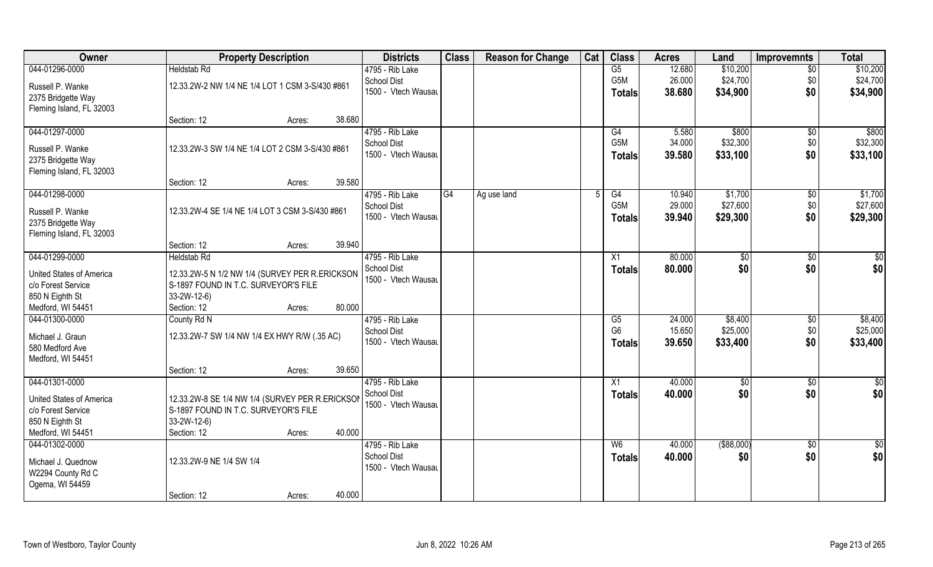| Owner                    | <b>Property Description</b>                     | <b>Districts</b>    | <b>Class</b> | <b>Reason for Change</b> | Cat | <b>Class</b>    | <b>Acres</b> | Land           | <b>Improvemnts</b> | <b>Total</b>    |
|--------------------------|-------------------------------------------------|---------------------|--------------|--------------------------|-----|-----------------|--------------|----------------|--------------------|-----------------|
| 044-01296-0000           | <b>Heldstab Rd</b>                              | 4795 - Rib Lake     |              |                          |     | $\overline{G5}$ | 12.680       | \$10,200       | \$0                | \$10,200        |
| Russell P. Wanke         | 12.33.2W-2 NW 1/4 NE 1/4 LOT 1 CSM 3-S/430 #861 | <b>School Dist</b>  |              |                          |     | G5M             | 26.000       | \$24,700       | \$0                | \$24,700        |
| 2375 Bridgette Way       |                                                 | 1500 - Vtech Wausau |              |                          |     | <b>Totals</b>   | 38.680       | \$34,900       | \$0                | \$34,900        |
| Fleming Island, FL 32003 |                                                 |                     |              |                          |     |                 |              |                |                    |                 |
|                          | Section: 12<br>Acres:                           | 38.680              |              |                          |     |                 |              |                |                    |                 |
| 044-01297-0000           |                                                 | 4795 - Rib Lake     |              |                          |     | G4              | 5.580        | \$800          | $\overline{50}$    | \$800           |
| Russell P. Wanke         | 12.33.2W-3 SW 1/4 NE 1/4 LOT 2 CSM 3-S/430 #861 | <b>School Dist</b>  |              |                          |     | G5M             | 34.000       | \$32,300       | \$0                | \$32,300        |
| 2375 Bridgette Way       |                                                 | 1500 - Vtech Wausau |              |                          |     | <b>Totals</b>   | 39.580       | \$33,100       | \$0                | \$33,100        |
| Fleming Island, FL 32003 |                                                 |                     |              |                          |     |                 |              |                |                    |                 |
|                          | Section: 12<br>Acres:                           | 39.580              |              |                          |     |                 |              |                |                    |                 |
| 044-01298-0000           |                                                 | 4795 - Rib Lake     | G4           | Ag use land              | 5   | G4              | 10.940       | \$1,700        | $\sqrt[6]{30}$     | \$1,700         |
| Russell P. Wanke         | 12.33.2W-4 SE 1/4 NE 1/4 LOT 3 CSM 3-S/430 #861 | <b>School Dist</b>  |              |                          |     | G5M             | 29.000       | \$27,600       | \$0                | \$27,600        |
| 2375 Bridgette Way       |                                                 | 1500 - Vtech Wausau |              |                          |     | <b>Totals</b>   | 39.940       | \$29,300       | \$0                | \$29,300        |
| Fleming Island, FL 32003 |                                                 |                     |              |                          |     |                 |              |                |                    |                 |
|                          | Section: 12<br>Acres:                           | 39.940              |              |                          |     |                 |              |                |                    |                 |
| 044-01299-0000           | <b>Heldstab Rd</b>                              | 4795 - Rib Lake     |              |                          |     | X1              | 80.000       | $\frac{1}{20}$ | \$0                | \$0             |
| United States of America | 12.33.2W-5 N 1/2 NW 1/4 (SURVEY PER R.ERICKSON  | <b>School Dist</b>  |              |                          |     | <b>Totals</b>   | 80.000       | \$0            | \$0                | \$0             |
| c/o Forest Service       | S-1897 FOUND IN T.C. SURVEYOR'S FILE            | 1500 - Vtech Wausau |              |                          |     |                 |              |                |                    |                 |
| 850 N Eighth St          | $33-2W-12-6$                                    |                     |              |                          |     |                 |              |                |                    |                 |
| Medford, WI 54451        | Section: 12<br>Acres:                           | 80.000              |              |                          |     |                 |              |                |                    |                 |
| 044-01300-0000           | County Rd N                                     | 4795 - Rib Lake     |              |                          |     | G5              | 24.000       | \$8,400        | $\sqrt[6]{30}$     | \$8,400         |
| Michael J. Graun         | 12.33.2W-7 SW 1/4 NW 1/4 EX HWY R/W (.35 AC)    | <b>School Dist</b>  |              |                          |     | G <sub>6</sub>  | 15.650       | \$25,000       | \$0                | \$25,000        |
| 580 Medford Ave          |                                                 | 1500 - Vtech Wausau |              |                          |     | Totals          | 39.650       | \$33,400       | \$0                | \$33,400        |
| Medford, WI 54451        |                                                 |                     |              |                          |     |                 |              |                |                    |                 |
|                          | Section: 12<br>Acres:                           | 39.650              |              |                          |     |                 |              |                |                    |                 |
| 044-01301-0000           |                                                 | 4795 - Rib Lake     |              |                          |     | X1              | 40.000       | \$0            | \$0                | $rac{1}{6}$     |
| United States of America | 12.33.2W-8 SE 1/4 NW 1/4 (SURVEY PER R.ERICKSON | School Dist         |              |                          |     | <b>Totals</b>   | 40.000       | \$0            | \$0                | \$0             |
| c/o Forest Service       | S-1897 FOUND IN T.C. SURVEYOR'S FILE            | 1500 - Vtech Wausau |              |                          |     |                 |              |                |                    |                 |
| 850 N Eighth St          | 33-2W-12-6)                                     |                     |              |                          |     |                 |              |                |                    |                 |
| Medford, WI 54451        | Section: 12<br>Acres:                           | 40.000              |              |                          |     |                 |              |                |                    |                 |
| 044-01302-0000           |                                                 | 4795 - Rib Lake     |              |                          |     | W <sub>6</sub>  | 40.000       | ( \$88,000)    | $\overline{50}$    | $\overline{50}$ |
| Michael J. Quednow       | 12.33.2W-9 NE 1/4 SW 1/4                        | <b>School Dist</b>  |              |                          |     | <b>Totals</b>   | 40.000       | \$0            | \$0                | \$0             |
| W2294 County Rd C        |                                                 | 1500 - Vtech Wausau |              |                          |     |                 |              |                |                    |                 |
| Ogema, WI 54459          |                                                 |                     |              |                          |     |                 |              |                |                    |                 |
|                          | Section: 12<br>Acres:                           | 40.000              |              |                          |     |                 |              |                |                    |                 |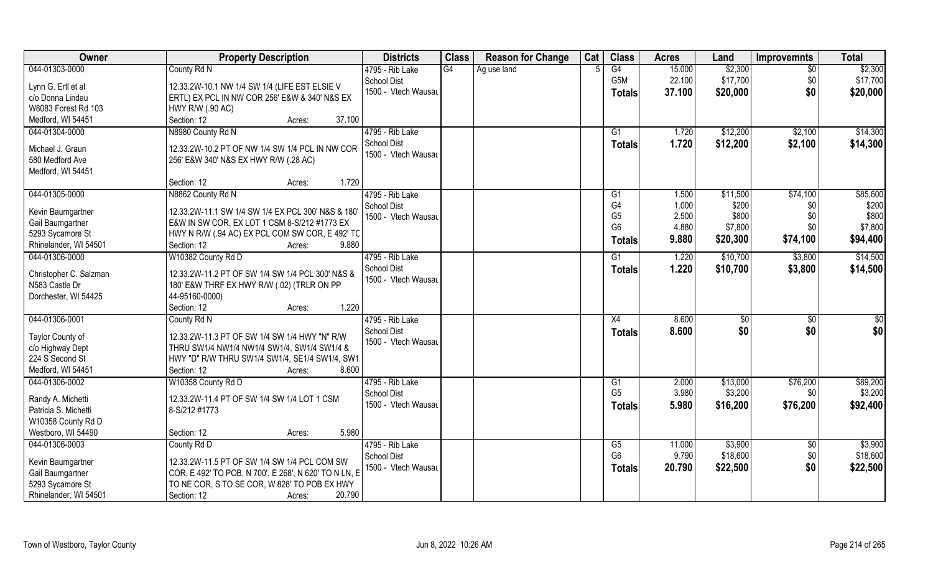| <b>Owner</b>           | <b>Property Description</b>                           | <b>Districts</b>                      | <b>Class</b> | <b>Reason for Change</b> | Cat | <b>Class</b>         | <b>Acres</b>   | Land                | <b>Improvemnts</b> | <b>Total</b>        |
|------------------------|-------------------------------------------------------|---------------------------------------|--------------|--------------------------|-----|----------------------|----------------|---------------------|--------------------|---------------------|
| 044-01303-0000         | County Rd N                                           | 4795 - Rib Lake                       | G4           | Ag use land              |     | G4                   | 15.000         | \$2,300             | $\overline{50}$    | \$2,300             |
| Lynn G. Ertl et al     | 12.33.2W-10.1 NW 1/4 SW 1/4 (LIFE EST ELSIE V         | <b>School Dist</b>                    |              |                          |     | G5M                  | 22.100         | \$17,700            | \$0                | \$17,700            |
| c/o Donna Lindau       | ERTL) EX PCL IN NW COR 256' E&W & 340' N&S EX         | 1500 - Vtech Wausau                   |              |                          |     | <b>Totals</b>        | 37.100         | \$20,000            | \$0                | \$20,000            |
| W8083 Forest Rd 103    | HWY R/W (.90 AC)                                      |                                       |              |                          |     |                      |                |                     |                    |                     |
| Medford, WI 54451      | 37.100<br>Section: 12<br>Acres:                       |                                       |              |                          |     |                      |                |                     |                    |                     |
| 044-01304-0000         | N8980 County Rd N                                     | 4795 - Rib Lake                       |              |                          |     | G1                   | 1.720          | \$12,200            | \$2,100            | \$14,300            |
|                        |                                                       | School Dist                           |              |                          |     | Totals               | 1.720          | \$12,200            | \$2,100            | \$14,300            |
| Michael J. Graun       | 12.33.2W-10.2 PT OF NW 1/4 SW 1/4 PCL IN NW COR       | 1500 - Vtech Wausau                   |              |                          |     |                      |                |                     |                    |                     |
| 580 Medford Ave        | 256' E&W 340' N&S EX HWY R/W (.28 AC)                 |                                       |              |                          |     |                      |                |                     |                    |                     |
| Medford, WI 54451      | Section: 12<br>1.720                                  |                                       |              |                          |     |                      |                |                     |                    |                     |
| 044-01305-0000         | Acres:<br>N8862 County Rd N                           | 4795 - Rib Lake                       |              |                          |     | G1                   | 1.500          | \$11,500            | \$74,100           | \$85,600            |
|                        |                                                       | School Dist                           |              |                          |     | G <sub>4</sub>       | 1.000          | \$200               | \$0                | \$200               |
| Kevin Baumgartner      | 12.33.2W-11.1 SW 1/4 SW 1/4 EX PCL 300' N&S & 180     | 1500 - Vtech Wausau                   |              |                          |     | G <sub>5</sub>       | 2.500          | \$800               | \$0                | \$800               |
| Gail Baumgartner       | E&W IN SW COR, EX LOT 1 CSM 8-S/212 #1773 EX          |                                       |              |                          |     | G <sub>6</sub>       | 4.880          | \$7,800             | \$0                | \$7,800             |
| 5293 Sycamore St       | HWY N R/W (.94 AC) EX PCL COM SW COR, E 492' TC       |                                       |              |                          |     | <b>Totals</b>        | 9.880          | \$20,300            | \$74,100           | \$94,400            |
| Rhinelander, WI 54501  | 9.880<br>Section: 12<br>Acres:                        |                                       |              |                          |     |                      |                |                     |                    |                     |
| 044-01306-0000         | W10382 County Rd D                                    | 4795 - Rib Lake                       |              |                          |     | G1                   | 1.220          | \$10,700            | \$3,800            | \$14,500            |
| Christopher C. Salzman | 12.33.2W-11.2 PT OF SW 1/4 SW 1/4 PCL 300' N&S &      | <b>School Dist</b>                    |              |                          |     | <b>Totals</b>        | 1.220          | \$10,700            | \$3,800            | \$14,500            |
| N583 Castle Dr         | 180' E&W THRF EX HWY R/W (.02) (TRLR ON PP            | 1500 - Vtech Wausau                   |              |                          |     |                      |                |                     |                    |                     |
| Dorchester, WI 54425   | 44-95160-0000)                                        |                                       |              |                          |     |                      |                |                     |                    |                     |
|                        | 1.220<br>Section: 12<br>Acres:                        |                                       |              |                          |     |                      |                |                     |                    |                     |
| 044-01306-0001         | County Rd N                                           | 4795 - Rib Lake                       |              |                          |     | X4                   | 8.600          | $\sqrt[6]{3}$       | \$0                | \$0                 |
|                        |                                                       | School Dist                           |              |                          |     | <b>Totals</b>        | 8.600          | \$0                 | \$0                | \$0                 |
| Taylor County of       | 12.33.2W-11.3 PT OF SW 1/4 SW 1/4 HWY "N" R/W         | 1500 - Vtech Wausau                   |              |                          |     |                      |                |                     |                    |                     |
| c/o Highway Dept       | THRU SW1/4 NW1/4 NW1/4 SW1/4, SW1/4 SW1/4 &           |                                       |              |                          |     |                      |                |                     |                    |                     |
| 224 S Second St        | HWY "D" R/W THRU SW1/4 SW1/4, SE1/4 SW1/4, SW1.       |                                       |              |                          |     |                      |                |                     |                    |                     |
| Medford, WI 54451      | 8.600<br>Section: 12<br>Acres:                        |                                       |              |                          |     |                      |                |                     |                    |                     |
| 044-01306-0002         | W10358 County Rd D                                    | 4795 - Rib Lake<br><b>School Dist</b> |              |                          |     | G1<br>G <sub>5</sub> | 2.000<br>3.980 | \$13,000<br>\$3,200 | \$76,200<br>\$0    | \$89,200<br>\$3,200 |
| Randy A. Michetti      | 12.33.2W-11.4 PT OF SW 1/4 SW 1/4 LOT 1 CSM           | 1500 - Vtech Wausau                   |              |                          |     |                      |                |                     |                    |                     |
| Patricia S. Michetti   | 8-S/212 #1773                                         |                                       |              |                          |     | <b>Totals</b>        | 5.980          | \$16,200            | \$76,200           | \$92,400            |
| W10358 County Rd D     |                                                       |                                       |              |                          |     |                      |                |                     |                    |                     |
| Westboro, WI 54490     | 5.980<br>Section: 12<br>Acres:                        |                                       |              |                          |     |                      |                |                     |                    |                     |
| 044-01306-0003         | County Rd D                                           | 4795 - Rib Lake                       |              |                          |     | G5                   | 11.000         | \$3,900             | \$0                | \$3,900             |
| Kevin Baumgartner      | 12.33.2W-11.5 PT OF SW 1/4 SW 1/4 PCL COM SW          | School Dist                           |              |                          |     | G <sub>6</sub>       | 9.790          | \$18,600            | \$0                | \$18,600            |
| Gail Baumgartner       | COR, E 492' TO POB, N 700', E 268', N 620' TO N LN, E | 1500 - Vtech Wausau                   |              |                          |     | <b>Totals</b>        | 20.790         | \$22,500            | \$0                | \$22,500            |
| 5293 Sycamore St       | TO NE COR, S TO SE COR, W 828' TO POB EX HWY          |                                       |              |                          |     |                      |                |                     |                    |                     |
| Rhinelander, WI 54501  | 20.790<br>Section: 12<br>Acres:                       |                                       |              |                          |     |                      |                |                     |                    |                     |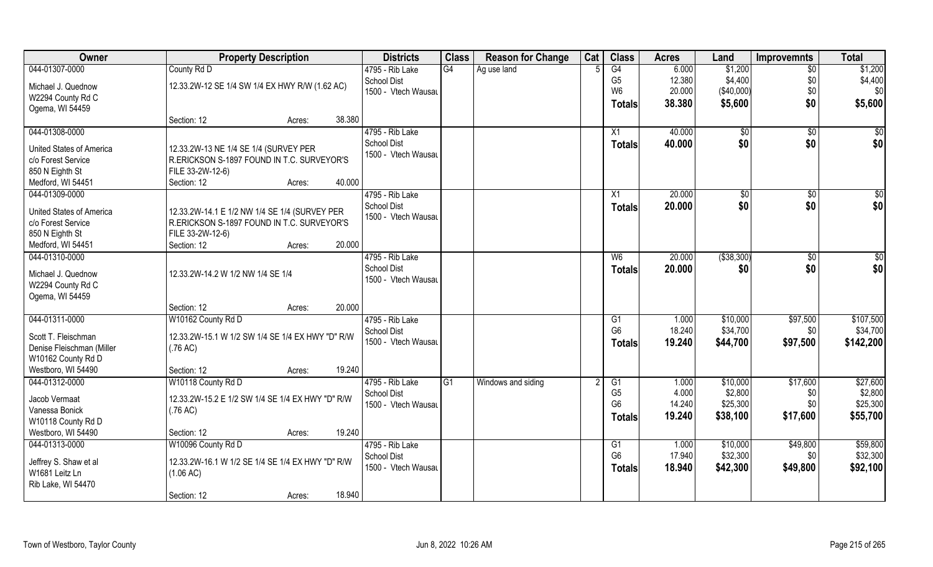| Owner                           | <b>Property Description</b>                      | <b>Districts</b>    | <b>Class</b> | <b>Reason for Change</b> | Cat | <b>Class</b>    | <b>Acres</b> | Land         | <b>Improvemnts</b> | <b>Total</b> |
|---------------------------------|--------------------------------------------------|---------------------|--------------|--------------------------|-----|-----------------|--------------|--------------|--------------------|--------------|
| 044-01307-0000                  | County Rd D                                      | 4795 - Rib Lake     | G4           | Ag use land              |     | $\overline{G4}$ | 6.000        | \$1,200      | $\overline{50}$    | \$1,200      |
| Michael J. Quednow              | 12.33.2W-12 SE 1/4 SW 1/4 EX HWY R/W (1.62 AC)   | <b>School Dist</b>  |              |                          |     | G <sub>5</sub>  | 12.380       | \$4,400      | \$0                | \$4,400      |
| W2294 County Rd C               |                                                  | 1500 - Vtech Wausau |              |                          |     | W <sub>6</sub>  | 20.000       | (\$40,000)   | \$0                | \$0          |
| Ogema, WI 54459                 |                                                  |                     |              |                          |     | <b>Totals</b>   | 38.380       | \$5,600      | \$0                | \$5,600      |
|                                 | 38.380<br>Section: 12<br>Acres:                  |                     |              |                          |     |                 |              |              |                    |              |
| 044-01308-0000                  |                                                  | 4795 - Rib Lake     |              |                          |     | X1              | 40.000       | $\sqrt{50}$  | \$0                | $\sqrt{50}$  |
|                                 |                                                  | <b>School Dist</b>  |              |                          |     | Totals          | 40.000       | \$0          | \$0                | \$0          |
| United States of America        | 12.33.2W-13 NE 1/4 SE 1/4 (SURVEY PER            | 1500 - Vtech Wausau |              |                          |     |                 |              |              |                    |              |
| c/o Forest Service              | R.ERICKSON S-1897 FOUND IN T.C. SURVEYOR'S       |                     |              |                          |     |                 |              |              |                    |              |
| 850 N Eighth St                 | FILE 33-2W-12-6)<br>40.000                       |                     |              |                          |     |                 |              |              |                    |              |
| Medford, WI 54451               | Section: 12<br>Acres:                            |                     |              |                          |     |                 |              |              |                    |              |
| 044-01309-0000                  |                                                  | 4795 - Rib Lake     |              |                          |     | X1              | 20.000       | $\sqrt{50}$  | \$0                | $\sqrt{50}$  |
| <b>United States of America</b> | 12.33.2W-14.1 E 1/2 NW 1/4 SE 1/4 (SURVEY PER    | School Dist         |              |                          |     | Totals          | 20.000       | \$0          | \$0                | \$0          |
| c/o Forest Service              | R.ERICKSON S-1897 FOUND IN T.C. SURVEYOR'S       | 1500 - Vtech Wausau |              |                          |     |                 |              |              |                    |              |
| 850 N Eighth St                 | FILE 33-2W-12-6)                                 |                     |              |                          |     |                 |              |              |                    |              |
| Medford, WI 54451               | 20.000<br>Section: 12<br>Acres:                  |                     |              |                          |     |                 |              |              |                    |              |
| 044-01310-0000                  |                                                  | 4795 - Rib Lake     |              |                          |     | W <sub>6</sub>  | 20.000       | ( \$38, 300) | $\sqrt[6]{3}$      | $\sqrt{50}$  |
|                                 |                                                  | <b>School Dist</b>  |              |                          |     | <b>Totals</b>   | 20.000       | \$0          | \$0                | \$0          |
| Michael J. Quednow              | 12.33.2W-14.2 W 1/2 NW 1/4 SE 1/4                | 1500 - Vtech Wausau |              |                          |     |                 |              |              |                    |              |
| W2294 County Rd C               |                                                  |                     |              |                          |     |                 |              |              |                    |              |
| Ogema, WI 54459                 |                                                  |                     |              |                          |     |                 |              |              |                    |              |
|                                 | 20.000<br>Section: 12<br>Acres:                  |                     |              |                          |     |                 |              |              |                    |              |
| 044-01311-0000                  | W10162 County Rd D                               | 4795 - Rib Lake     |              |                          |     | $\overline{G1}$ | 1.000        | \$10,000     | \$97,500           | \$107,500    |
| Scott T. Fleischman             | 12.33.2W-15.1 W 1/2 SW 1/4 SE 1/4 EX HWY "D" R/W | <b>School Dist</b>  |              |                          |     | G <sub>6</sub>  | 18.240       | \$34,700     | \$0                | \$34,700     |
| Denise Fleischman (Miller       | (.76 AC)                                         | 1500 - Vtech Wausau |              |                          |     | Totals          | 19.240       | \$44,700     | \$97,500           | \$142,200    |
| W10162 County Rd D              |                                                  |                     |              |                          |     |                 |              |              |                    |              |
| Westboro, WI 54490              | 19.240<br>Section: 12<br>Acres:                  |                     |              |                          |     |                 |              |              |                    |              |
| 044-01312-0000                  | W10118 County Rd D                               | 4795 - Rib Lake     | G1           | Windows and siding       |     | G1              | 1.000        | \$10,000     | \$17,600           | \$27,600     |
|                                 |                                                  | <b>School Dist</b>  |              |                          |     | G <sub>5</sub>  | 4.000        | \$2,800      | \$0                | \$2,800      |
| Jacob Vermaat                   | 12.33.2W-15.2 E 1/2 SW 1/4 SE 1/4 EX HWY "D" R/W | 1500 - Vtech Wausau |              |                          |     | G <sub>6</sub>  | 14.240       | \$25,300     | \$0                | \$25,300     |
| Vanessa Bonick                  | (.76 AC)                                         |                     |              |                          |     | Totals          | 19.240       | \$38,100     | \$17,600           | \$55,700     |
| W10118 County Rd D              |                                                  |                     |              |                          |     |                 |              |              |                    |              |
| Westboro, WI 54490              | 19.240<br>Section: 12<br>Acres:                  |                     |              |                          |     |                 |              |              |                    |              |
| 044-01313-0000                  | W10096 County Rd D                               | 4795 - Rib Lake     |              |                          |     | G1              | 1.000        | \$10,000     | \$49,800           | \$59,800     |
| Jeffrey S. Shaw et al           | 12.33.2W-16.1 W 1/2 SE 1/4 SE 1/4 EX HWY "D" R/W | <b>School Dist</b>  |              |                          |     | G <sub>6</sub>  | 17.940       | \$32,300     | \$0                | \$32,300     |
| W1681 Leitz Ln                  | (1.06 AC)                                        | 1500 - Vtech Wausau |              |                          |     | <b>Totals</b>   | 18.940       | \$42,300     | \$49,800           | \$92,100     |
| Rib Lake, WI 54470              |                                                  |                     |              |                          |     |                 |              |              |                    |              |
|                                 | 18.940<br>Section: 12<br>Acres:                  |                     |              |                          |     |                 |              |              |                    |              |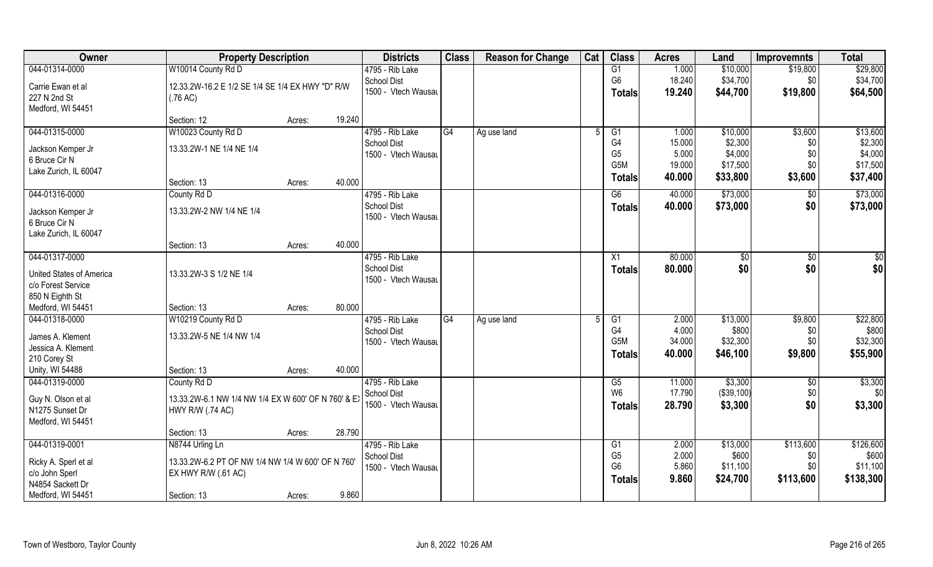| Owner                              | <b>Property Description</b>                         |        |        | <b>Districts</b>    | <b>Class</b>    | <b>Reason for Change</b> | Cat | <b>Class</b>                     | <b>Acres</b>   | Land          | <b>Improvemnts</b> | <b>Total</b>      |
|------------------------------------|-----------------------------------------------------|--------|--------|---------------------|-----------------|--------------------------|-----|----------------------------------|----------------|---------------|--------------------|-------------------|
| 044-01314-0000                     | W10014 County Rd D                                  |        |        | 4795 - Rib Lake     |                 |                          |     | $\overline{G1}$                  | 1.000          | \$10,000      | \$19,800           | \$29,800          |
| Carrie Ewan et al                  | 12.33.2W-16.2 E 1/2 SE 1/4 SE 1/4 EX HWY "D" R/W    |        |        | School Dist         |                 |                          |     | G <sub>6</sub>                   | 18.240         | \$34,700      | \$0                | \$34,700          |
| 227 N 2nd St                       | (.76 AC)                                            |        |        | 1500 - Vtech Wausau |                 |                          |     | <b>Totals</b>                    | 19.240         | \$44,700      | \$19,800           | \$64,500          |
| Medford, WI 54451                  |                                                     |        |        |                     |                 |                          |     |                                  |                |               |                    |                   |
|                                    | Section: 12                                         | Acres: | 19.240 |                     |                 |                          |     |                                  |                |               |                    |                   |
| 044-01315-0000                     | W10023 County Rd D                                  |        |        | 4795 - Rib Lake     | G4              | Ag use land              |     | $\overline{G1}$                  | 1.000          | \$10,000      | \$3,600            | \$13,600          |
| Jackson Kemper Jr                  | 13.33.2W-1 NE 1/4 NE 1/4                            |        |        | <b>School Dist</b>  |                 |                          |     | G4                               | 15.000         | \$2,300       | \$0                | \$2,300           |
| 6 Bruce Cir N                      |                                                     |        |        | 1500 - Vtech Wausau |                 |                          |     | G <sub>5</sub>                   | 5.000          | \$4,000       | \$0                | \$4,000           |
| Lake Zurich, IL 60047              |                                                     |        |        |                     |                 |                          |     | G5M                              | 19.000         | \$17,500      | \$0                | \$17,500          |
|                                    | Section: 13                                         | Acres: | 40.000 |                     |                 |                          |     | <b>Totals</b>                    | 40.000         | \$33,800      | \$3,600            | \$37,400          |
| 044-01316-0000                     | County Rd D                                         |        |        | 4795 - Rib Lake     |                 |                          |     | G6                               | 40.000         | \$73,000      | \$0                | \$73,000          |
| Jackson Kemper Jr                  | 13.33.2W-2 NW 1/4 NE 1/4                            |        |        | <b>School Dist</b>  |                 |                          |     | <b>Totals</b>                    | 40.000         | \$73,000      | \$0                | \$73,000          |
| 6 Bruce Cir N                      |                                                     |        |        | 1500 - Vtech Wausau |                 |                          |     |                                  |                |               |                    |                   |
| Lake Zurich, IL 60047              |                                                     |        |        |                     |                 |                          |     |                                  |                |               |                    |                   |
|                                    | Section: 13                                         | Acres: | 40.000 |                     |                 |                          |     |                                  |                |               |                    |                   |
| 044-01317-0000                     |                                                     |        |        | 4795 - Rib Lake     |                 |                          |     | X1                               | 80.000         | $\sqrt[6]{3}$ | $\sqrt[6]{3}$      | \$0               |
| <b>United States of America</b>    | 13.33.2W-3 S 1/2 NE 1/4                             |        |        | School Dist         |                 |                          |     | <b>Totals</b>                    | 80.000         | \$0           | \$0                | \$0               |
| c/o Forest Service                 |                                                     |        |        | 1500 - Vtech Wausau |                 |                          |     |                                  |                |               |                    |                   |
| 850 N Eighth St                    |                                                     |        |        |                     |                 |                          |     |                                  |                |               |                    |                   |
| Medford, WI 54451                  | Section: 13                                         | Acres: | 80.000 |                     |                 |                          |     |                                  |                |               |                    |                   |
| 044-01318-0000                     | W10219 County Rd D                                  |        |        | 4795 - Rib Lake     | $\overline{G4}$ | Ag use land              | 5   | G <sub>1</sub>                   | 2.000          | \$13,000      | \$9,800            | \$22,800          |
|                                    |                                                     |        |        | <b>School Dist</b>  |                 |                          |     | G4                               | 4.000          | \$800         | \$0                | \$800             |
| James A. Klement                   | 13.33.2W-5 NE 1/4 NW 1/4                            |        |        | 1500 - Vtech Wausau |                 |                          |     | G5M                              | 34.000         | \$32,300      | \$0                | \$32,300          |
| Jessica A. Klement<br>210 Corey St |                                                     |        |        |                     |                 |                          |     | <b>Totals</b>                    | 40.000         | \$46,100      | \$9,800            | \$55,900          |
| Unity, WI 54488                    | Section: 13                                         | Acres: | 40.000 |                     |                 |                          |     |                                  |                |               |                    |                   |
| 044-01319-0000                     | County Rd D                                         |        |        | 4795 - Rib Lake     |                 |                          |     | G5                               | 11.000         | \$3,300       | \$0                | \$3,300           |
|                                    |                                                     |        |        | <b>School Dist</b>  |                 |                          |     | W <sub>6</sub>                   | 17.790         | (\$39,100)    | \$0                | \$0               |
| Guy N. Olson et al                 | 13.33.2W-6.1 NW 1/4 NW 1/4 EX W 600' OF N 760' & EX |        |        | 1500 - Vtech Wausau |                 |                          |     | <b>Totals</b>                    | 28.790         | \$3,300       | \$0                | \$3,300           |
| N1275 Sunset Dr                    | <b>HWY R/W (.74 AC)</b>                             |        |        |                     |                 |                          |     |                                  |                |               |                    |                   |
| Medford, WI 54451                  |                                                     |        |        |                     |                 |                          |     |                                  |                |               |                    |                   |
|                                    | Section: 13                                         | Acres: | 28.790 |                     |                 |                          |     |                                  |                |               |                    |                   |
| 044-01319-0001                     | N8744 Urling Ln                                     |        |        | 4795 - Rib Lake     |                 |                          |     | G1                               | 2.000          | \$13,000      | \$113,600          | \$126,600         |
| Ricky A. Sperl et al               | 13.33.2W-6.2 PT OF NW 1/4 NW 1/4 W 600' OF N 760'   |        |        | School Dist         |                 |                          |     | G <sub>5</sub><br>G <sub>6</sub> | 2.000<br>5.860 | \$600         | \$0                | \$600<br>\$11,100 |
| c/o John Sperl                     | EX HWY R/W (.61 AC)                                 |        |        | 1500 - Vtech Wausau |                 |                          |     |                                  |                | \$11,100      | \$0                |                   |
| N4854 Sackett Dr                   |                                                     |        |        |                     |                 |                          |     | <b>Totals</b>                    | 9.860          | \$24,700      | \$113,600          | \$138,300         |
| Medford, WI 54451                  | Section: 13                                         | Acres: | 9.860  |                     |                 |                          |     |                                  |                |               |                    |                   |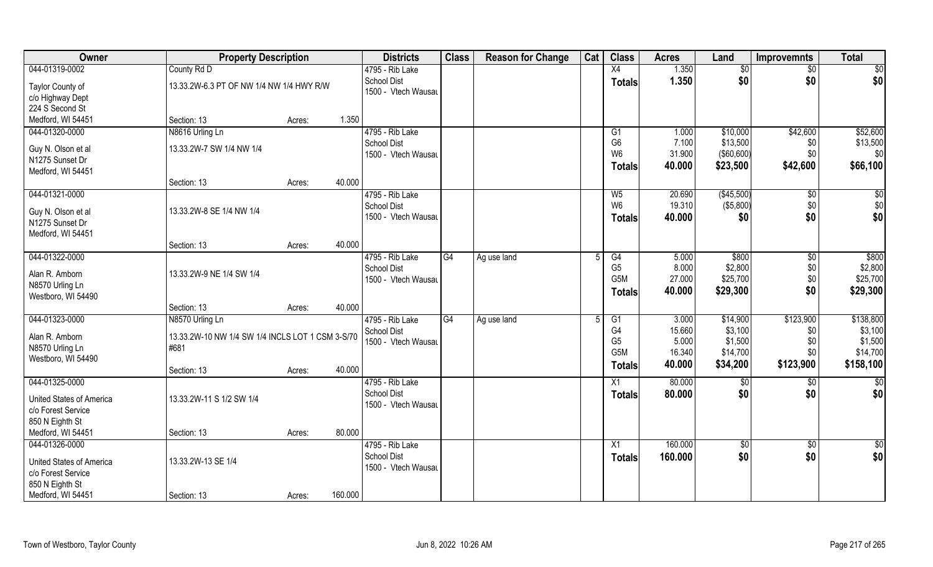| Owner                                          | <b>Property Description</b>                      |        |         | <b>Districts</b>    | <b>Class</b> | <b>Reason for Change</b> | Cat | <b>Class</b>     | <b>Acres</b> | Land       | <b>Improvemnts</b> | <b>Total</b>    |
|------------------------------------------------|--------------------------------------------------|--------|---------|---------------------|--------------|--------------------------|-----|------------------|--------------|------------|--------------------|-----------------|
| 044-01319-0002                                 | County Rd D                                      |        |         | 4795 - Rib Lake     |              |                          |     | X4               | 1.350        | \$0        | $\sqrt{6}$         | \$0             |
| Taylor County of                               | 13.33.2W-6.3 PT OF NW 1/4 NW 1/4 HWY R/W         |        |         | <b>School Dist</b>  |              |                          |     | <b>Totals</b>    | 1.350        | \$0        | \$0                | \$0             |
| c/o Highway Dept                               |                                                  |        |         | 1500 - Vtech Wausau |              |                          |     |                  |              |            |                    |                 |
| 224 S Second St                                |                                                  |        |         |                     |              |                          |     |                  |              |            |                    |                 |
| Medford, WI 54451                              | Section: 13                                      | Acres: | 1.350   |                     |              |                          |     |                  |              |            |                    |                 |
| 044-01320-0000                                 | N8616 Urling Ln                                  |        |         | 4795 - Rib Lake     |              |                          |     | G1               | 1.000        | \$10,000   | \$42,600           | \$52,600        |
|                                                |                                                  |        |         | <b>School Dist</b>  |              |                          |     | G <sub>6</sub>   | 7.100        | \$13,500   | \$0                | \$13,500        |
| Guy N. Olson et al                             | 13.33.2W-7 SW 1/4 NW 1/4                         |        |         | 1500 - Vtech Wausau |              |                          |     | W <sub>6</sub>   | 31.900       | (\$60,600) | \$0                | \$0             |
| N1275 Sunset Dr                                |                                                  |        |         |                     |              |                          |     | <b>Totals</b>    | 40.000       | \$23,500   | \$42,600           | \$66,100        |
| Medford, WI 54451                              |                                                  |        |         |                     |              |                          |     |                  |              |            |                    |                 |
|                                                | Section: 13                                      | Acres: | 40.000  |                     |              |                          |     |                  |              |            |                    |                 |
| 044-01321-0000                                 |                                                  |        |         | 4795 - Rib Lake     |              |                          |     | W <sub>5</sub>   | 20.690       | (\$45,500) | $\sqrt[6]{}$       | \$0             |
| Guy N. Olson et al                             | 13.33.2W-8 SE 1/4 NW 1/4                         |        |         | <b>School Dist</b>  |              |                          |     | W <sub>6</sub>   | 19.310       | (\$5,800)  | \$0                | \$0             |
| N1275 Sunset Dr                                |                                                  |        |         | 1500 - Vtech Wausau |              |                          |     | <b>Totals</b>    | 40.000       | \$0        | \$0                | \$0             |
| Medford, WI 54451                              |                                                  |        |         |                     |              |                          |     |                  |              |            |                    |                 |
|                                                | Section: 13                                      | Acres: | 40.000  |                     |              |                          |     |                  |              |            |                    |                 |
| 044-01322-0000                                 |                                                  |        |         | 4795 - Rib Lake     | G4           | Ag use land              |     | G4               | 5.000        | \$800      | \$0                | \$800           |
| Alan R. Amborn                                 | 13.33.2W-9 NE 1/4 SW 1/4                         |        |         | <b>School Dist</b>  |              |                          |     | G <sub>5</sub>   | 8.000        | \$2,800    | \$0                | \$2,800         |
| N8570 Urling Ln                                |                                                  |        |         | 1500 - Vtech Wausau |              |                          |     | G <sub>5</sub> M | 27.000       | \$25,700   | \$0                | \$25,700        |
| Westboro, WI 54490                             |                                                  |        |         |                     |              |                          |     | <b>Totals</b>    | 40.000       | \$29,300   | \$0                | \$29,300        |
|                                                | Section: 13                                      | Acres: | 40.000  |                     |              |                          |     |                  |              |            |                    |                 |
| 044-01323-0000                                 | N8570 Urling Ln                                  |        |         | 4795 - Rib Lake     | G4           | Ag use land              | 5   | G1               | 3.000        | \$14,900   | \$123,900          | \$138,800       |
|                                                |                                                  |        |         | <b>School Dist</b>  |              |                          |     | G4               | 15.660       | \$3,100    | \$0                | \$3,100         |
| Alan R. Amborn                                 | 13.33.2W-10 NW 1/4 SW 1/4 INCLS LOT 1 CSM 3-S/70 |        |         | 1500 - Vtech Wausau |              |                          |     | G <sub>5</sub>   | 5.000        | \$1,500    | \$0                | \$1,500         |
| N8570 Urling Ln                                | #681                                             |        |         |                     |              |                          |     | G <sub>5</sub> M | 16.340       | \$14,700   | \$0                | \$14,700        |
| Westboro, WI 54490                             |                                                  |        |         |                     |              |                          |     | <b>Totals</b>    | 40.000       | \$34,200   | \$123,900          | \$158,100       |
|                                                | Section: 13                                      | Acres: | 40.000  |                     |              |                          |     |                  |              |            |                    |                 |
| 044-01325-0000                                 |                                                  |        |         | 4795 - Rib Lake     |              |                          |     | X1               | 80.000       | \$0        | \$0                | $\overline{50}$ |
| <b>United States of America</b>                | 13.33.2W-11 S 1/2 SW 1/4                         |        |         | <b>School Dist</b>  |              |                          |     | <b>Totals</b>    | 80.000       | \$0        | \$0                | \$0             |
| c/o Forest Service                             |                                                  |        |         | 1500 - Vtech Wausau |              |                          |     |                  |              |            |                    |                 |
| 850 N Eighth St                                |                                                  |        |         |                     |              |                          |     |                  |              |            |                    |                 |
| Medford, WI 54451                              | Section: 13                                      | Acres: | 80.000  |                     |              |                          |     |                  |              |            |                    |                 |
| 044-01326-0000                                 |                                                  |        |         | 4795 - Rib Lake     |              |                          |     | X1               | 160.000      | $\sqrt{6}$ | $\sqrt{6}$         | \$0             |
|                                                |                                                  |        |         | <b>School Dist</b>  |              |                          |     | <b>Totals</b>    | 160.000      | \$0        | \$0                | \$0             |
| United States of America<br>c/o Forest Service | 13.33.2W-13 SE 1/4                               |        |         | 1500 - Vtech Wausau |              |                          |     |                  |              |            |                    |                 |
| 850 N Eighth St                                |                                                  |        |         |                     |              |                          |     |                  |              |            |                    |                 |
|                                                |                                                  |        |         |                     |              |                          |     |                  |              |            |                    |                 |
| Medford, WI 54451                              | Section: 13                                      | Acres: | 160.000 |                     |              |                          |     |                  |              |            |                    |                 |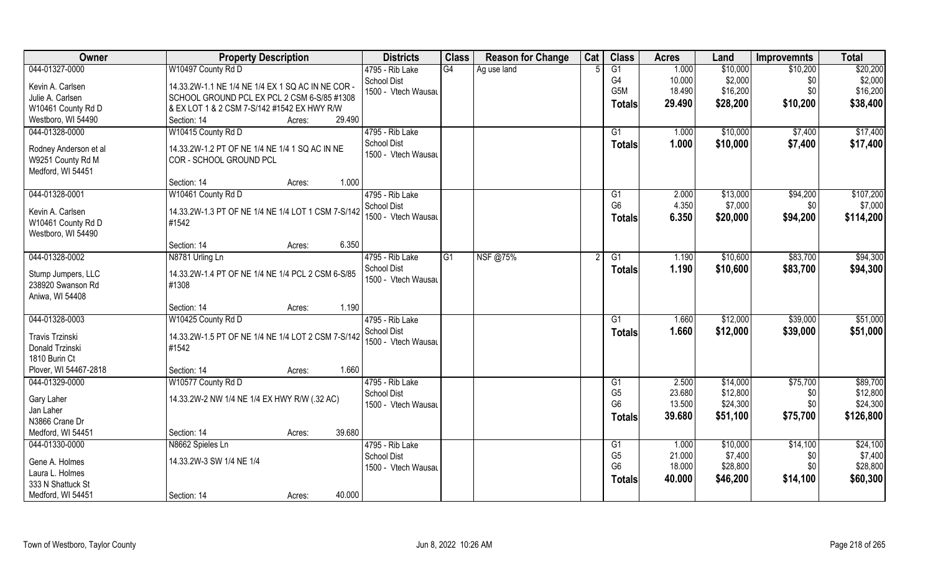| Owner                 | <b>Property Description</b>                        | <b>Districts</b>                          | <b>Class</b>   | <b>Reason for Change</b> | Cat | <b>Class</b>    | <b>Acres</b> | Land     | <b>Improvemnts</b> | <b>Total</b> |
|-----------------------|----------------------------------------------------|-------------------------------------------|----------------|--------------------------|-----|-----------------|--------------|----------|--------------------|--------------|
| 044-01327-0000        | W10497 County Rd D                                 | 4795 - Rib Lake                           | G4             | Ag use land              |     | $\overline{G1}$ | 1.000        | \$10,000 | \$10,200           | \$20,200     |
| Kevin A. Carlsen      | 14.33.2W-1.1 NE 1/4 NE 1/4 EX 1 SQ AC IN NE COR -  | <b>School Dist</b>                        |                |                          |     | G <sub>4</sub>  | 10.000       | \$2,000  | \$0                | \$2,000      |
| Julie A. Carlsen      | SCHOOL GROUND PCL EX PCL 2 CSM 6-S/85 #1308        | 1500 - Vtech Wausau                       |                |                          |     | G5M             | 18.490       | \$16,200 | \$0                | \$16,200     |
| W10461 County Rd D    | & EX LOT 1 & 2 CSM 7-S/142 #1542 EX HWY R/W        |                                           |                |                          |     | <b>Totals</b>   | 29.490       | \$28,200 | \$10,200           | \$38,400     |
| Westboro, WI 54490    | 29.490<br>Section: 14<br>Acres:                    |                                           |                |                          |     |                 |              |          |                    |              |
| 044-01328-0000        | W10415 County Rd D                                 | 4795 - Rib Lake                           |                |                          |     | G <sub>1</sub>  | 1.000        | \$10,000 | \$7,400            | \$17,400     |
|                       |                                                    | <b>School Dist</b>                        |                |                          |     | <b>Totals</b>   | 1.000        | \$10,000 | \$7,400            | \$17,400     |
| Rodney Anderson et al | 14.33.2W-1.2 PT OF NE 1/4 NE 1/4 1 SQ AC IN NE     | 1500 - Vtech Wausau                       |                |                          |     |                 |              |          |                    |              |
| W9251 County Rd M     | COR - SCHOOL GROUND PCL                            |                                           |                |                          |     |                 |              |          |                    |              |
| Medford, WI 54451     |                                                    |                                           |                |                          |     |                 |              |          |                    |              |
|                       | 1.000<br>Section: 14<br>Acres:                     |                                           |                |                          |     |                 |              |          |                    |              |
| 044-01328-0001        | W10461 County Rd D                                 | 4795 - Rib Lake                           |                |                          |     | G1              | 2.000        | \$13,000 | \$94,200           | \$107,200    |
| Kevin A. Carlsen      | 14.33.2W-1.3 PT OF NE 1/4 NE 1/4 LOT 1 CSM 7-S/142 | <b>School Dist</b>                        |                |                          |     | G <sub>6</sub>  | 4.350        | \$7,000  | \$0                | \$7,000      |
| W10461 County Rd D    | #1542                                              | 1500 - Vtech Wausau                       |                |                          |     | <b>Totals</b>   | 6.350        | \$20,000 | \$94,200           | \$114,200    |
| Westboro, WI 54490    |                                                    |                                           |                |                          |     |                 |              |          |                    |              |
|                       | 6.350<br>Section: 14<br>Acres:                     |                                           |                |                          |     |                 |              |          |                    |              |
| 044-01328-0002        | N8781 Urling Ln                                    | 4795 - Rib Lake                           | G <sub>1</sub> | NSF @75%                 |     | G1              | 1.190        | \$10,600 | \$83,700           | \$94,300     |
|                       |                                                    | <b>School Dist</b>                        |                |                          |     | <b>Totals</b>   | 1.190        | \$10,600 | \$83,700           | \$94,300     |
| Stump Jumpers, LLC    | 14.33.2W-1.4 PT OF NE 1/4 NE 1/4 PCL 2 CSM 6-S/85  | 1500 - Vtech Wausau                       |                |                          |     |                 |              |          |                    |              |
| 238920 Swanson Rd     | #1308                                              |                                           |                |                          |     |                 |              |          |                    |              |
| Aniwa, WI 54408       | 1.190                                              |                                           |                |                          |     |                 |              |          |                    |              |
|                       | Section: 14<br>Acres:                              |                                           |                |                          |     |                 |              |          |                    |              |
| 044-01328-0003        | W10425 County Rd D                                 | 4795 - Rib Lake                           |                |                          |     | G1              | 1.660        | \$12,000 | \$39,000           | \$51,000     |
| Travis Trzinski       | 14.33.2W-1.5 PT OF NE 1/4 NE 1/4 LOT 2 CSM 7-S/142 | <b>School Dist</b><br>1500 - Vtech Wausau |                |                          |     | <b>Totals</b>   | 1.660        | \$12,000 | \$39,000           | \$51,000     |
| Donald Trzinski       | #1542                                              |                                           |                |                          |     |                 |              |          |                    |              |
| 1810 Burin Ct         |                                                    |                                           |                |                          |     |                 |              |          |                    |              |
| Plover, WI 54467-2818 | 1.660<br>Section: 14<br>Acres:                     |                                           |                |                          |     |                 |              |          |                    |              |
| 044-01329-0000        | W10577 County Rd D                                 | 4795 - Rib Lake                           |                |                          |     | G1              | 2.500        | \$14,000 | \$75,700           | \$89,700     |
| Gary Laher            | 14.33.2W-2 NW 1/4 NE 1/4 EX HWY R/W (.32 AC)       | <b>School Dist</b>                        |                |                          |     | G <sub>5</sub>  | 23.680       | \$12,800 | \$0                | \$12,800     |
| Jan Laher             |                                                    | 1500 - Vtech Wausau                       |                |                          |     | G <sub>6</sub>  | 13.500       | \$24,300 | \$0                | \$24,300     |
| N3866 Crane Dr        |                                                    |                                           |                |                          |     | <b>Totals</b>   | 39.680       | \$51,100 | \$75,700           | \$126,800    |
| Medford, WI 54451     | 39.680<br>Section: 14<br>Acres:                    |                                           |                |                          |     |                 |              |          |                    |              |
| 044-01330-0000        | N8662 Spieles Ln                                   | 4795 - Rib Lake                           |                |                          |     | G1              | 1.000        | \$10,000 | \$14,100           | \$24,100     |
|                       |                                                    | <b>School Dist</b>                        |                |                          |     | G <sub>5</sub>  | 21.000       | \$7,400  | \$0                | \$7,400      |
| Gene A. Holmes        | 14.33.2W-3 SW 1/4 NE 1/4                           | 1500 - Vtech Wausau                       |                |                          |     | G <sub>6</sub>  | 18.000       | \$28,800 | \$0                | \$28,800     |
| Laura L. Holmes       |                                                    |                                           |                |                          |     |                 | 40.000       | \$46,200 | \$14,100           | \$60,300     |
| 333 N Shattuck St     |                                                    |                                           |                |                          |     | <b>Totals</b>   |              |          |                    |              |
| Medford, WI 54451     | 40.000<br>Section: 14<br>Acres:                    |                                           |                |                          |     |                 |              |          |                    |              |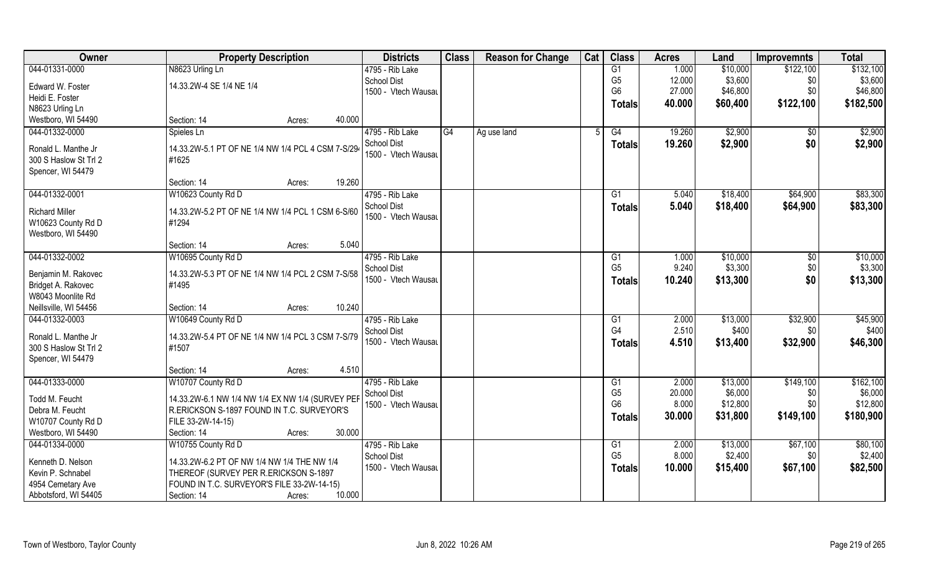| Owner                                   | <b>Property Description</b>                           | <b>Districts</b>                          | <b>Class</b> | <b>Reason for Change</b> | Cat | <b>Class</b>                      | <b>Acres</b> | Land              | <b>Improvemnts</b> | <b>Total</b>      |
|-----------------------------------------|-------------------------------------------------------|-------------------------------------------|--------------|--------------------------|-----|-----------------------------------|--------------|-------------------|--------------------|-------------------|
| 044-01331-0000                          | N8623 Urling Ln                                       | 4795 - Rib Lake                           |              |                          |     | G1                                | 1.000        | \$10,000          | \$122,100          | \$132,100         |
| Edward W. Foster                        | 14.33.2W-4 SE 1/4 NE 1/4                              | <b>School Dist</b>                        |              |                          |     | G <sub>5</sub>                    | 12.000       | \$3,600           | \$0                | \$3,600           |
| Heidi E. Foster                         |                                                       | 1500 - Vtech Wausau                       |              |                          |     | G <sub>6</sub>                    | 27.000       | \$46,800          | \$0                | \$46,800          |
| N8623 Urling Ln                         |                                                       |                                           |              |                          |     | <b>Totals</b>                     | 40.000       | \$60,400          | \$122,100          | \$182,500         |
| Westboro, WI 54490                      | 40.000<br>Section: 14<br>Acres:                       |                                           |              |                          |     |                                   |              |                   |                    |                   |
| 044-01332-0000                          | Spieles Ln                                            | 4795 - Rib Lake                           | G4           | Ag use land              |     | G4                                | 19.260       | \$2,900           | $\sqrt{$0}$        | \$2,900           |
|                                         |                                                       | <b>School Dist</b>                        |              |                          |     | Totals                            | 19.260       | \$2,900           | \$0                | \$2,900           |
| Ronald L. Manthe Jr                     | 14.33.2W-5.1 PT OF NE 1/4 NW 1/4 PCL 4 CSM 7-S/294    | 1500 - Vtech Wausau                       |              |                          |     |                                   |              |                   |                    |                   |
| 300 S Haslow St Trl 2                   | #1625                                                 |                                           |              |                          |     |                                   |              |                   |                    |                   |
| Spencer, WI 54479                       |                                                       |                                           |              |                          |     |                                   |              |                   |                    |                   |
|                                         | 19.260<br>Section: 14<br>Acres:                       |                                           |              |                          |     |                                   |              |                   |                    |                   |
| 044-01332-0001                          | W10623 County Rd D                                    | 4795 - Rib Lake                           |              |                          |     | G1                                | 5.040        | \$18,400          | \$64,900           | \$83,300          |
| <b>Richard Miller</b>                   | 14.33.2W-5.2 PT OF NE 1/4 NW 1/4 PCL 1 CSM 6-S/60     | <b>School Dist</b>                        |              |                          |     | <b>Totals</b>                     | 5.040        | \$18,400          | \$64,900           | \$83,300          |
| W10623 County Rd D                      | #1294                                                 | 1500 - Vtech Wausau                       |              |                          |     |                                   |              |                   |                    |                   |
| Westboro, WI 54490                      |                                                       |                                           |              |                          |     |                                   |              |                   |                    |                   |
|                                         | 5.040<br>Section: 14<br>Acres:                        |                                           |              |                          |     |                                   |              |                   |                    |                   |
| 044-01332-0002                          | W10695 County Rd D                                    | 4795 - Rib Lake                           |              |                          |     | G1                                | 1.000        | \$10,000          | $\sqrt[6]{3}$      | \$10,000          |
|                                         |                                                       | <b>School Dist</b>                        |              |                          |     | G <sub>5</sub>                    | 9.240        | \$3,300           | \$0                | \$3,300           |
| Benjamin M. Rakovec                     | 14.33.2W-5.3 PT OF NE 1/4 NW 1/4 PCL 2 CSM 7-S/58     | 1500 - Vtech Wausau                       |              |                          |     | <b>Totals</b>                     | 10.240       | \$13,300          | \$0                | \$13,300          |
| Bridget A. Rakovec                      | #1495                                                 |                                           |              |                          |     |                                   |              |                   |                    |                   |
| W8043 Moonlite Rd                       |                                                       |                                           |              |                          |     |                                   |              |                   |                    |                   |
| Neillsville, WI 54456<br>044-01332-0003 | 10.240<br>Section: 14<br>Acres:<br>W10649 County Rd D |                                           |              |                          |     |                                   | 2.000        |                   |                    |                   |
|                                         |                                                       | 4795 - Rib Lake                           |              |                          |     | $\overline{G1}$<br>G <sub>4</sub> | 2.510        | \$13,000<br>\$400 | \$32,900           | \$45,900<br>\$400 |
| Ronald L. Manthe Jr                     | 14.33.2W-5.4 PT OF NE 1/4 NW 1/4 PCL 3 CSM 7-S/79     | <b>School Dist</b><br>1500 - Vtech Wausau |              |                          |     |                                   |              |                   | \$0                |                   |
| 300 S Haslow St Trl 2                   | #1507                                                 |                                           |              |                          |     | <b>Totals</b>                     | 4.510        | \$13,400          | \$32,900           | \$46,300          |
| Spencer, WI 54479                       |                                                       |                                           |              |                          |     |                                   |              |                   |                    |                   |
|                                         | 4.510<br>Section: 14<br>Acres:                        |                                           |              |                          |     |                                   |              |                   |                    |                   |
| 044-01333-0000                          | W10707 County Rd D                                    | 4795 - Rib Lake                           |              |                          |     | G1                                | 2.000        | \$13,000          | \$149,100          | \$162,100         |
| Todd M. Feucht                          | 14.33.2W-6.1 NW 1/4 NW 1/4 EX NW 1/4 (SURVEY PEF      | <b>School Dist</b>                        |              |                          |     | G <sub>5</sub>                    | 20.000       | \$6,000           | \$0                | \$6,000           |
| Debra M. Feucht                         | R.ERICKSON S-1897 FOUND IN T.C. SURVEYOR'S            | 1500 - Vtech Wausau                       |              |                          |     | G <sub>6</sub>                    | 8.000        | \$12,800          | \$0                | \$12,800          |
| W10707 County Rd D                      | FILE 33-2W-14-15)                                     |                                           |              |                          |     | <b>Totals</b>                     | 30.000       | \$31,800          | \$149,100          | \$180,900         |
| Westboro, WI 54490                      | 30.000<br>Section: 14<br>Acres:                       |                                           |              |                          |     |                                   |              |                   |                    |                   |
| 044-01334-0000                          | W10755 County Rd D                                    | 4795 - Rib Lake                           |              |                          |     | G1                                | 2.000        | \$13,000          | \$67,100           | \$80,100          |
|                                         |                                                       | <b>School Dist</b>                        |              |                          |     | G <sub>5</sub>                    | 8.000        | \$2,400           | \$0                | \$2,400           |
| Kenneth D. Nelson                       | 14.33.2W-6.2 PT OF NW 1/4 NW 1/4 THE NW 1/4           | 1500 - Vtech Wausau                       |              |                          |     | <b>Totals</b>                     | 10.000       | \$15,400          | \$67,100           | \$82,500          |
| Kevin P. Schnabel                       | THEREOF (SURVEY PER R.ERICKSON S-1897                 |                                           |              |                          |     |                                   |              |                   |                    |                   |
| 4954 Cemetary Ave                       | FOUND IN T.C. SURVEYOR'S FILE 33-2W-14-15)            |                                           |              |                          |     |                                   |              |                   |                    |                   |
| Abbotsford, WI 54405                    | 10.000<br>Section: 14<br>Acres:                       |                                           |              |                          |     |                                   |              |                   |                    |                   |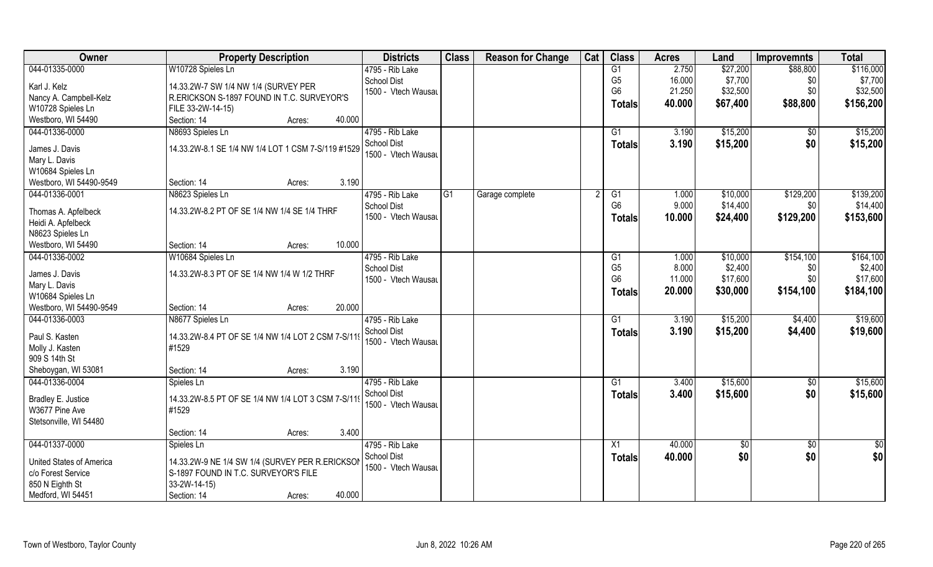| Owner                                  | <b>Property Description</b>                        |                  | <b>Districts</b>    | <b>Class</b>   | <b>Reason for Change</b> | Cat | <b>Class</b>    | <b>Acres</b> | Land     | <b>Improvemnts</b> | <b>Total</b> |
|----------------------------------------|----------------------------------------------------|------------------|---------------------|----------------|--------------------------|-----|-----------------|--------------|----------|--------------------|--------------|
| 044-01335-0000                         | W10728 Spieles Ln                                  |                  | 4795 - Rib Lake     |                |                          |     | G1              | 2.750        | \$27,200 | \$88,800           | \$116,000    |
| Karl J. Kelz                           | 14.33.2W-7 SW 1/4 NW 1/4 (SURVEY PER               |                  | <b>School Dist</b>  |                |                          |     | G <sub>5</sub>  | 16.000       | \$7,700  | \$0                | \$7,700      |
| Nancy A. Campbell-Kelz                 | R.ERICKSON S-1897 FOUND IN T.C. SURVEYOR'S         |                  | 1500 - Vtech Wausau |                |                          |     | G <sub>6</sub>  | 21.250       | \$32,500 | \$0                | \$32,500     |
| W10728 Spieles Ln                      | FILE 33-2W-14-15)                                  |                  |                     |                |                          |     | Totals          | 40.000       | \$67,400 | \$88,800           | \$156,200    |
| Westboro, WI 54490                     | Section: 14                                        | 40.000<br>Acres: |                     |                |                          |     |                 |              |          |                    |              |
| 044-01336-0000                         | N8693 Spieles Ln                                   |                  | 4795 - Rib Lake     |                |                          |     | $\overline{G1}$ | 3.190        | \$15,200 | \$0                | \$15,200     |
|                                        |                                                    |                  | <b>School Dist</b>  |                |                          |     |                 | 3.190        | \$15,200 | \$0                | \$15,200     |
| James J. Davis                         | 14.33.2W-8.1 SE 1/4 NW 1/4 LOT 1 CSM 7-S/119 #1529 |                  | 1500 - Vtech Wausau |                |                          |     | Totals          |              |          |                    |              |
| Mary L. Davis                          |                                                    |                  |                     |                |                          |     |                 |              |          |                    |              |
| W10684 Spieles Ln                      |                                                    |                  |                     |                |                          |     |                 |              |          |                    |              |
| Westboro, WI 54490-9549                | Section: 14                                        | 3.190<br>Acres:  |                     |                |                          |     |                 |              |          |                    |              |
| 044-01336-0001                         | N8623 Spieles Ln                                   |                  | 4795 - Rib Lake     | G <sub>1</sub> | Garage complete          |     | G1              | 1.000        | \$10,000 | \$129,200          | \$139,200    |
|                                        | 14.33.2W-8.2 PT OF SE 1/4 NW 1/4 SE 1/4 THRF       |                  | School Dist         |                |                          |     | G <sub>6</sub>  | 9.000        | \$14,400 | \$0                | \$14,400     |
| Thomas A. Apfelbeck                    |                                                    |                  | 1500 - Vtech Wausau |                |                          |     | Totals          | 10.000       | \$24,400 | \$129,200          | \$153,600    |
| Heidi A. Apfelbeck<br>N8623 Spieles Ln |                                                    |                  |                     |                |                          |     |                 |              |          |                    |              |
| Westboro, WI 54490                     | Section: 14                                        | 10.000<br>Acres: |                     |                |                          |     |                 |              |          |                    |              |
| 044-01336-0002                         | W10684 Spieles Ln                                  |                  | 4795 - Rib Lake     |                |                          |     | G1              | 1.000        | \$10,000 | \$154,100          | \$164,100    |
|                                        |                                                    |                  | <b>School Dist</b>  |                |                          |     | G <sub>5</sub>  | 8.000        | \$2,400  | \$0                | \$2,400      |
| James J. Davis                         | 14.33.2W-8.3 PT OF SE 1/4 NW 1/4 W 1/2 THRF        |                  | 1500 - Vtech Wausau |                |                          |     | G <sub>6</sub>  | 11.000       | \$17,600 | \$0                | \$17,600     |
| Mary L. Davis                          |                                                    |                  |                     |                |                          |     |                 |              |          |                    |              |
| W10684 Spieles Ln                      |                                                    |                  |                     |                |                          |     | <b>Totals</b>   | 20.000       | \$30,000 | \$154,100          | \$184,100    |
| Westboro, WI 54490-9549                | Section: 14                                        | 20.000<br>Acres: |                     |                |                          |     |                 |              |          |                    |              |
| 044-01336-0003                         | N8677 Spieles Ln                                   |                  | 4795 - Rib Lake     |                |                          |     | $\overline{G1}$ | 3.190        | \$15,200 | \$4,400            | \$19,600     |
| Paul S. Kasten                         | 14.33.2W-8.4 PT OF SE 1/4 NW 1/4 LOT 2 CSM 7-S/119 |                  | <b>School Dist</b>  |                |                          |     | Totals          | 3.190        | \$15,200 | \$4,400            | \$19,600     |
| Molly J. Kasten                        | #1529                                              |                  | 1500 - Vtech Wausau |                |                          |     |                 |              |          |                    |              |
| 909 S 14th St                          |                                                    |                  |                     |                |                          |     |                 |              |          |                    |              |
| Sheboygan, WI 53081                    | Section: 14                                        | 3.190<br>Acres:  |                     |                |                          |     |                 |              |          |                    |              |
| 044-01336-0004                         | Spieles Ln                                         |                  | 4795 - Rib Lake     |                |                          |     | G1              | 3.400        | \$15,600 | $\overline{30}$    | \$15,600     |
|                                        |                                                    |                  | <b>School Dist</b>  |                |                          |     |                 | 3.400        | \$15,600 | \$0                | \$15,600     |
| Bradley E. Justice                     | 14.33.2W-8.5 PT OF SE 1/4 NW 1/4 LOT 3 CSM 7-S/119 |                  | 1500 - Vtech Wausau |                |                          |     | <b>Totals</b>   |              |          |                    |              |
| W3677 Pine Ave                         | #1529                                              |                  |                     |                |                          |     |                 |              |          |                    |              |
| Stetsonville, WI 54480                 |                                                    |                  |                     |                |                          |     |                 |              |          |                    |              |
|                                        | Section: 14                                        | 3.400<br>Acres:  |                     |                |                          |     |                 |              |          |                    |              |
| 044-01337-0000                         | Spieles Ln                                         |                  | 4795 - Rib Lake     |                |                          |     | X1              | 40.000       | \$0      | $\sqrt{$0}$        | \$0          |
| <b>United States of America</b>        | 14.33.2W-9 NE 1/4 SW 1/4 (SURVEY PER R.ERICKSON    |                  | <b>School Dist</b>  |                |                          |     | <b>Totals</b>   | 40.000       | \$0      | \$0                | \$0          |
| c/o Forest Service                     | S-1897 FOUND IN T.C. SURVEYOR'S FILE               |                  | 1500 - Vtech Wausau |                |                          |     |                 |              |          |                    |              |
| 850 N Eighth St                        | 33-2W-14-15)                                       |                  |                     |                |                          |     |                 |              |          |                    |              |
| Medford, WI 54451                      | Section: 14                                        | 40.000<br>Acres: |                     |                |                          |     |                 |              |          |                    |              |
|                                        |                                                    |                  |                     |                |                          |     |                 |              |          |                    |              |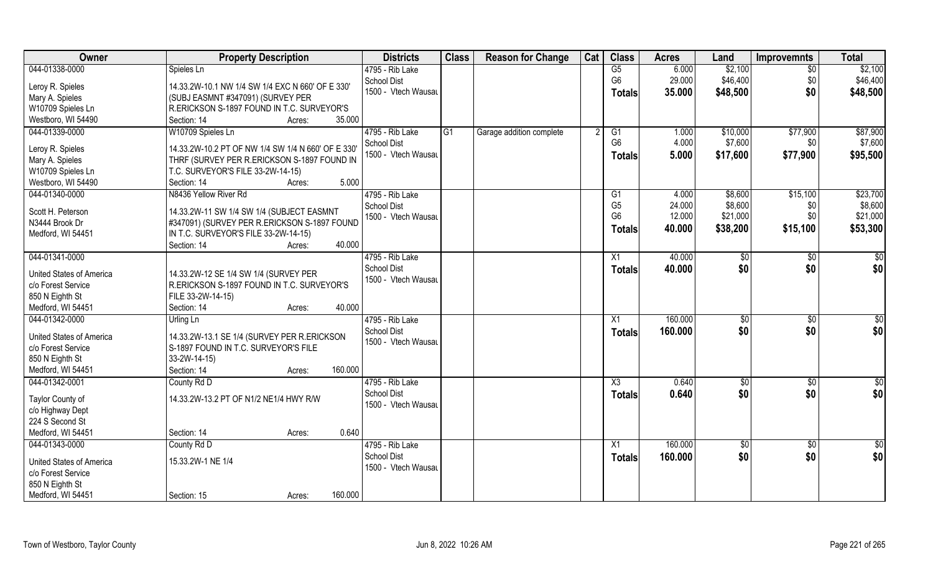| Owner                           | <b>Property Description</b>                                                         | <b>Districts</b>    | <b>Class</b> | <b>Reason for Change</b> | Cat | <b>Class</b>    | <b>Acres</b> | Land        | <b>Improvemnts</b> | <b>Total</b>    |
|---------------------------------|-------------------------------------------------------------------------------------|---------------------|--------------|--------------------------|-----|-----------------|--------------|-------------|--------------------|-----------------|
| 044-01338-0000                  | Spieles Ln                                                                          | 4795 - Rib Lake     |              |                          |     | G5              | 6.000        | \$2,100     | $\sqrt{6}$         | \$2,100         |
| Leroy R. Spieles                | 14.33.2W-10.1 NW 1/4 SW 1/4 EXC N 660' OF E 330'                                    | <b>School Dist</b>  |              |                          |     | G <sub>6</sub>  | 29.000       | \$46,400    | \$0                | \$46,400        |
| Mary A. Spieles                 | (SUBJ EASMNT #347091) (SURVEY PER                                                   | 1500 - Vtech Wausau |              |                          |     | Totals          | 35.000       | \$48,500    | \$0                | \$48,500        |
| W10709 Spieles Ln               | R.ERICKSON S-1897 FOUND IN T.C. SURVEYOR'S                                          |                     |              |                          |     |                 |              |             |                    |                 |
| Westboro, WI 54490              | 35.000<br>Section: 14<br>Acres:                                                     |                     |              |                          |     |                 |              |             |                    |                 |
| 044-01339-0000                  | W10709 Spieles Ln                                                                   | 4795 - Rib Lake     | G1           | Garage addition complete |     | G1              | 1.000        | \$10,000    | \$77,900           | \$87,900        |
|                                 |                                                                                     | <b>School Dist</b>  |              |                          |     | G <sub>6</sub>  | 4.000        | \$7,600     | \$0 <sub>1</sub>   | \$7,600         |
| Leroy R. Spieles                | 14.33.2W-10.2 PT OF NW 1/4 SW 1/4 N 660' OF E 330'                                  | 1500 - Vtech Wausau |              |                          |     | <b>Totals</b>   | 5.000        | \$17,600    | \$77,900           | \$95,500        |
| Mary A. Spieles                 | THRF (SURVEY PER R.ERICKSON S-1897 FOUND IN                                         |                     |              |                          |     |                 |              |             |                    |                 |
| W10709 Spieles Ln               | T.C. SURVEYOR'S FILE 33-2W-14-15)                                                   |                     |              |                          |     |                 |              |             |                    |                 |
| Westboro, WI 54490              | 5.000<br>Section: 14<br>Acres:                                                      |                     |              |                          |     |                 |              |             |                    |                 |
| 044-01340-0000                  | N8436 Yellow River Rd                                                               | 4795 - Rib Lake     |              |                          |     | G1              | 4.000        | \$8,600     | \$15,100           | \$23,700        |
| Scott H. Peterson               | 14.33.2W-11 SW 1/4 SW 1/4 (SUBJECT EASMNT                                           | <b>School Dist</b>  |              |                          |     | G <sub>5</sub>  | 24.000       | \$8,600     | \$0                | \$8,600         |
| N3444 Brook Dr                  | #347091) (SURVEY PER R.ERICKSON S-1897 FOUND                                        | 1500 - Vtech Wausau |              |                          |     | G <sub>6</sub>  | 12.000       | \$21,000    | \$0                | \$21,000        |
| Medford, WI 54451               | IN T.C. SURVEYOR'S FILE 33-2W-14-15)                                                |                     |              |                          |     | <b>Totals</b>   | 40.000       | \$38,200    | \$15,100           | \$53,300        |
|                                 | 40.000<br>Section: 14<br>Acres:                                                     |                     |              |                          |     |                 |              |             |                    |                 |
| 044-01341-0000                  |                                                                                     | 4795 - Rib Lake     |              |                          |     | X1              | 40.000       | \$0         | $\sqrt[6]{3}$      | \$0             |
| United States of America        |                                                                                     | <b>School Dist</b>  |              |                          |     | <b>Totals</b>   | 40.000       | \$0         | \$0                | \$0             |
| c/o Forest Service              | 14.33.2W-12 SE 1/4 SW 1/4 (SURVEY PER<br>R.ERICKSON S-1897 FOUND IN T.C. SURVEYOR'S | 1500 - Vtech Wausau |              |                          |     |                 |              |             |                    |                 |
| 850 N Eighth St                 | FILE 33-2W-14-15)                                                                   |                     |              |                          |     |                 |              |             |                    |                 |
| Medford, WI 54451               | 40.000<br>Section: 14<br>Acres:                                                     |                     |              |                          |     |                 |              |             |                    |                 |
| 044-01342-0000                  | Urling Ln                                                                           | 4795 - Rib Lake     |              |                          |     | X1              | 160.000      | \$0         | \$0                | $\overline{50}$ |
|                                 |                                                                                     | <b>School Dist</b>  |              |                          |     |                 | 160.000      | \$0         |                    | \$0             |
| <b>United States of America</b> | 14.33.2W-13.1 SE 1/4 (SURVEY PER R.ERICKSON                                         | 1500 - Vtech Wausau |              |                          |     | <b>Totals</b>   |              |             | \$0                |                 |
| c/o Forest Service              | S-1897 FOUND IN T.C. SURVEYOR'S FILE                                                |                     |              |                          |     |                 |              |             |                    |                 |
| 850 N Eighth St                 | 33-2W-14-15)                                                                        |                     |              |                          |     |                 |              |             |                    |                 |
| Medford, WI 54451               | 160.000<br>Section: 14<br>Acres:                                                    |                     |              |                          |     |                 |              |             |                    |                 |
| 044-01342-0001                  | County Rd D                                                                         | 4795 - Rib Lake     |              |                          |     | X3              | 0.640        | \$0         | $\sqrt{$0}$        | \$0             |
| Taylor County of                | 14.33.2W-13.2 PT OF N1/2 NE1/4 HWY R/W                                              | <b>School Dist</b>  |              |                          |     | <b>Totals</b>   | 0.640        | \$0         | \$0                | \$0             |
| c/o Highway Dept                |                                                                                     | 1500 - Vtech Wausau |              |                          |     |                 |              |             |                    |                 |
| 224 S Second St                 |                                                                                     |                     |              |                          |     |                 |              |             |                    |                 |
| Medford, WI 54451               | 0.640<br>Section: 14<br>Acres:                                                      |                     |              |                          |     |                 |              |             |                    |                 |
| 044-01343-0000                  | County Rd D                                                                         | 4795 - Rib Lake     |              |                          |     | $\overline{X1}$ | 160.000      | $\sqrt{50}$ | $\sqrt{$0}$        | $\overline{50}$ |
|                                 |                                                                                     | <b>School Dist</b>  |              |                          |     | <b>Totals</b>   | 160.000      | \$0         | \$0                | \$0             |
| United States of America        | 15.33.2W-1 NE 1/4                                                                   | 1500 - Vtech Wausau |              |                          |     |                 |              |             |                    |                 |
| c/o Forest Service              |                                                                                     |                     |              |                          |     |                 |              |             |                    |                 |
| 850 N Eighth St                 |                                                                                     |                     |              |                          |     |                 |              |             |                    |                 |
| Medford, WI 54451               | 160.000<br>Section: 15<br>Acres:                                                    |                     |              |                          |     |                 |              |             |                    |                 |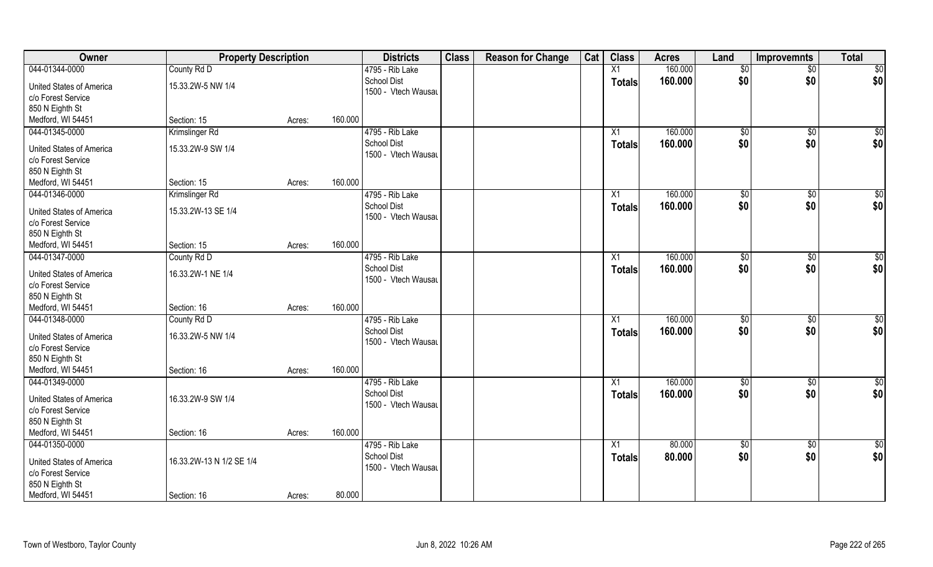| Owner                    | <b>Property Description</b> |        |         | <b>Districts</b>    | <b>Class</b> | <b>Reason for Change</b> | Cat | <b>Class</b>  | <b>Acres</b> | Land            | <b>Improvemnts</b> | <b>Total</b>    |
|--------------------------|-----------------------------|--------|---------|---------------------|--------------|--------------------------|-----|---------------|--------------|-----------------|--------------------|-----------------|
| 044-01344-0000           | County Rd D                 |        |         | 4795 - Rib Lake     |              |                          |     | X1            | 160.000      | \$0             | $\overline{50}$    | \$0             |
| United States of America | 15.33.2W-5 NW 1/4           |        |         | <b>School Dist</b>  |              |                          |     | <b>Totals</b> | 160.000      | \$0             | \$0                | \$0             |
| c/o Forest Service       |                             |        |         | 1500 - Vtech Wausau |              |                          |     |               |              |                 |                    |                 |
| 850 N Eighth St          |                             |        |         |                     |              |                          |     |               |              |                 |                    |                 |
| Medford, WI 54451        | Section: 15                 | Acres: | 160.000 |                     |              |                          |     |               |              |                 |                    |                 |
| 044-01345-0000           | Krimslinger Rd              |        |         | 4795 - Rib Lake     |              |                          |     |               | 160.000      |                 |                    |                 |
|                          |                             |        |         | <b>School Dist</b>  |              |                          |     | X1            |              | $\sqrt[6]{}$    | $\sqrt{$0}$        | $\sqrt{50}$     |
| United States of America | 15.33.2W-9 SW 1/4           |        |         | 1500 - Vtech Wausau |              |                          |     | <b>Totals</b> | 160.000      | \$0             | \$0                | \$0             |
| c/o Forest Service       |                             |        |         |                     |              |                          |     |               |              |                 |                    |                 |
| 850 N Eighth St          |                             |        |         |                     |              |                          |     |               |              |                 |                    |                 |
| Medford, WI 54451        | Section: 15                 | Acres: | 160.000 |                     |              |                          |     |               |              |                 |                    |                 |
| 044-01346-0000           | Krimslinger Rd              |        |         | 4795 - Rib Lake     |              |                          |     | X1            | 160.000      | \$0             | $\sqrt[6]{3}$      | \$0             |
|                          |                             |        |         | <b>School Dist</b>  |              |                          |     | <b>Totals</b> | 160.000      | \$0             | \$0                | \$0             |
| United States of America | 15.33.2W-13 SE 1/4          |        |         | 1500 - Vtech Wausau |              |                          |     |               |              |                 |                    |                 |
| c/o Forest Service       |                             |        |         |                     |              |                          |     |               |              |                 |                    |                 |
| 850 N Eighth St          |                             |        |         |                     |              |                          |     |               |              |                 |                    |                 |
| Medford, WI 54451        | Section: 15                 | Acres: | 160.000 |                     |              |                          |     |               |              |                 |                    |                 |
| 044-01347-0000           | County Rd D                 |        |         | 4795 - Rib Lake     |              |                          |     | X1            | 160.000      | $\frac{1}{20}$  | $\sqrt[6]{3}$      | \$0             |
| United States of America | 16.33.2W-1 NE 1/4           |        |         | School Dist         |              |                          |     | <b>Totals</b> | 160.000      | \$0             | \$0                | \$0             |
| c/o Forest Service       |                             |        |         | 1500 - Vtech Wausau |              |                          |     |               |              |                 |                    |                 |
| 850 N Eighth St          |                             |        |         |                     |              |                          |     |               |              |                 |                    |                 |
| Medford, WI 54451        | Section: 16                 | Acres: | 160.000 |                     |              |                          |     |               |              |                 |                    |                 |
| 044-01348-0000           | County Rd D                 |        |         | 4795 - Rib Lake     |              |                          |     | X1            | 160.000      | \$0             | $\sqrt[6]{3}$      | \$0             |
|                          |                             |        |         | <b>School Dist</b>  |              |                          |     | <b>Totals</b> | 160.000      | \$0             | \$0                | \$0             |
| United States of America | 16.33.2W-5 NW 1/4           |        |         | 1500 - Vtech Wausau |              |                          |     |               |              |                 |                    |                 |
| c/o Forest Service       |                             |        |         |                     |              |                          |     |               |              |                 |                    |                 |
| 850 N Eighth St          |                             |        |         |                     |              |                          |     |               |              |                 |                    |                 |
| Medford, WI 54451        | Section: 16                 | Acres: | 160.000 |                     |              |                          |     |               |              |                 |                    |                 |
| 044-01349-0000           |                             |        |         | 4795 - Rib Lake     |              |                          |     | X1            | 160.000      | \$0             | \$0                | \$0             |
| United States of America | 16.33.2W-9 SW 1/4           |        |         | <b>School Dist</b>  |              |                          |     | <b>Totals</b> | 160.000      | \$0             | \$0                | \$0             |
| c/o Forest Service       |                             |        |         | 1500 - Vtech Wausau |              |                          |     |               |              |                 |                    |                 |
| 850 N Eighth St          |                             |        |         |                     |              |                          |     |               |              |                 |                    |                 |
| Medford, WI 54451        | Section: 16                 | Acres: | 160.000 |                     |              |                          |     |               |              |                 |                    |                 |
| 044-01350-0000           |                             |        |         | 4795 - Rib Lake     |              |                          |     | X1            | 80.000       | $\overline{50}$ | $\sqrt{$0}$        | $\overline{50}$ |
|                          |                             |        |         | <b>School Dist</b>  |              |                          |     | <b>Totals</b> | 80.000       | \$0             | \$0                | \$0             |
| United States of America | 16.33.2W-13 N 1/2 SE 1/4    |        |         | 1500 - Vtech Wausau |              |                          |     |               |              |                 |                    |                 |
| c/o Forest Service       |                             |        |         |                     |              |                          |     |               |              |                 |                    |                 |
| 850 N Eighth St          |                             |        |         |                     |              |                          |     |               |              |                 |                    |                 |
| Medford, WI 54451        | Section: 16                 | Acres: | 80.000  |                     |              |                          |     |               |              |                 |                    |                 |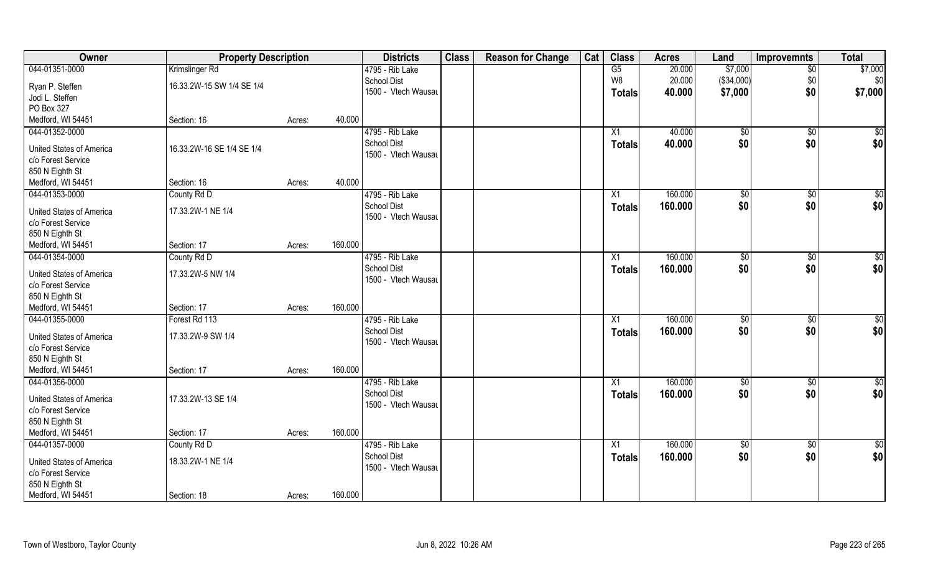| Owner                                 | <b>Property Description</b> |        |         | <b>Districts</b>    | <b>Class</b> | <b>Reason for Change</b> | Cat | <b>Class</b>    | <b>Acres</b> | Land          | Improvemnts     | <b>Total</b>    |
|---------------------------------------|-----------------------------|--------|---------|---------------------|--------------|--------------------------|-----|-----------------|--------------|---------------|-----------------|-----------------|
| 044-01351-0000                        | Krimslinger Rd              |        |         | 4795 - Rib Lake     |              |                          |     | G5              | 20.000       | \$7,000       | $\overline{50}$ | \$7,000         |
| Ryan P. Steffen                       | 16.33.2W-15 SW 1/4 SE 1/4   |        |         | School Dist         |              |                          |     | W8              | 20.000       | (\$34,000)    | \$0             | \$0             |
| Jodi L. Steffen                       |                             |        |         | 1500 - Vtech Wausau |              |                          |     | <b>Totals</b>   | 40.000       | \$7,000       | \$0             | \$7,000         |
| PO Box 327                            |                             |        |         |                     |              |                          |     |                 |              |               |                 |                 |
| Medford, WI 54451                     | Section: 16                 | Acres: | 40.000  |                     |              |                          |     |                 |              |               |                 |                 |
| 044-01352-0000                        |                             |        |         | 4795 - Rib Lake     |              |                          |     | X1              | 40.000       | \$0           | \$0             | $\sqrt{50}$     |
|                                       |                             |        |         | School Dist         |              |                          |     | Totals          | 40.000       | \$0           | \$0             | \$0             |
| <b>United States of America</b>       | 16.33.2W-16 SE 1/4 SE 1/4   |        |         | 1500 - Vtech Wausau |              |                          |     |                 |              |               |                 |                 |
| c/o Forest Service                    |                             |        |         |                     |              |                          |     |                 |              |               |                 |                 |
| 850 N Eighth St                       |                             |        |         |                     |              |                          |     |                 |              |               |                 |                 |
| Medford, WI 54451                     | Section: 16                 | Acres: | 40.000  |                     |              |                          |     |                 |              |               |                 |                 |
| 044-01353-0000                        | County Rd D                 |        |         | 4795 - Rib Lake     |              |                          |     | X <sub>1</sub>  | 160.000      | $\sqrt[6]{2}$ | $\sqrt[6]{3}$   | \$0             |
| United States of America              | 17.33.2W-1 NE 1/4           |        |         | School Dist         |              |                          |     | <b>Totals</b>   | 160.000      | \$0           | \$0             | \$0             |
| c/o Forest Service                    |                             |        |         | 1500 - Vtech Wausau |              |                          |     |                 |              |               |                 |                 |
| 850 N Eighth St                       |                             |        |         |                     |              |                          |     |                 |              |               |                 |                 |
| Medford, WI 54451                     | Section: 17                 | Acres: | 160.000 |                     |              |                          |     |                 |              |               |                 |                 |
| 044-01354-0000                        | County Rd D                 |        |         | 4795 - Rib Lake     |              |                          |     | X1              | 160.000      | \$0           | \$0             | \$0             |
|                                       | 17.33.2W-5 NW 1/4           |        |         | School Dist         |              |                          |     | <b>Totals</b>   | 160.000      | \$0           | \$0             | \$0             |
| United States of America              |                             |        |         | 1500 - Vtech Wausau |              |                          |     |                 |              |               |                 |                 |
| c/o Forest Service<br>850 N Eighth St |                             |        |         |                     |              |                          |     |                 |              |               |                 |                 |
| Medford, WI 54451                     | Section: 17                 | Acres: | 160.000 |                     |              |                          |     |                 |              |               |                 |                 |
| 044-01355-0000                        | Forest Rd 113               |        |         | 4795 - Rib Lake     |              |                          |     | X1              | 160.000      | \$0           | $\overline{50}$ | $\overline{50}$ |
|                                       |                             |        |         | School Dist         |              |                          |     |                 | 160.000      | \$0           | \$0             | \$0             |
| United States of America              | 17.33.2W-9 SW 1/4           |        |         | 1500 - Vtech Wausau |              |                          |     | <b>Totals</b>   |              |               |                 |                 |
| c/o Forest Service                    |                             |        |         |                     |              |                          |     |                 |              |               |                 |                 |
| 850 N Eighth St                       |                             |        |         |                     |              |                          |     |                 |              |               |                 |                 |
| Medford, WI 54451                     | Section: 17                 | Acres: | 160.000 |                     |              |                          |     |                 |              |               |                 |                 |
| 044-01356-0000                        |                             |        |         | 4795 - Rib Lake     |              |                          |     | X1              | 160.000      | $\sqrt{$0}$   | \$0             | $\overline{50}$ |
| <b>United States of America</b>       | 17.33.2W-13 SE 1/4          |        |         | <b>School Dist</b>  |              |                          |     | <b>Totals</b>   | 160.000      | \$0           | \$0             | \$0             |
| c/o Forest Service                    |                             |        |         | 1500 - Vtech Wausau |              |                          |     |                 |              |               |                 |                 |
| 850 N Eighth St                       |                             |        |         |                     |              |                          |     |                 |              |               |                 |                 |
| Medford, WI 54451                     | Section: 17                 | Acres: | 160.000 |                     |              |                          |     |                 |              |               |                 |                 |
| 044-01357-0000                        | County Rd D                 |        |         | 4795 - Rib Lake     |              |                          |     | $\overline{X1}$ | 160.000      | $\sqrt{$0}$   | $\sqrt{$0}$     | $\overline{50}$ |
|                                       |                             |        |         | <b>School Dist</b>  |              |                          |     | <b>Totals</b>   | 160.000      | \$0           | \$0             | \$0             |
| <b>United States of America</b>       | 18.33.2W-1 NE 1/4           |        |         | 1500 - Vtech Wausau |              |                          |     |                 |              |               |                 |                 |
| c/o Forest Service                    |                             |        |         |                     |              |                          |     |                 |              |               |                 |                 |
| 850 N Eighth St                       |                             |        |         |                     |              |                          |     |                 |              |               |                 |                 |
| Medford, WI 54451                     | Section: 18                 | Acres: | 160.000 |                     |              |                          |     |                 |              |               |                 |                 |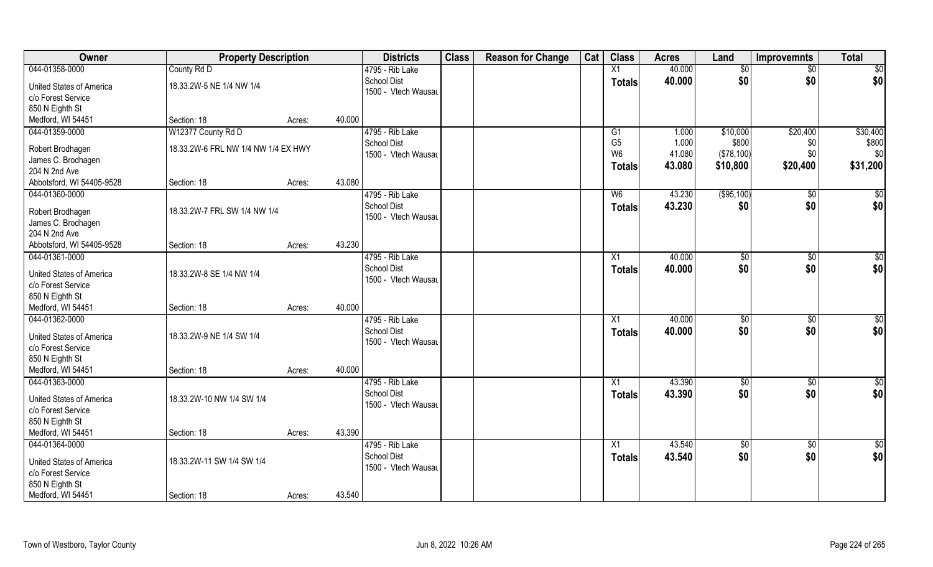| Owner                                                                                                           | <b>Property Description</b>              |        | <b>Districts</b>                                                       | <b>Class</b> | <b>Reason for Change</b> | Cat | <b>Class</b>                                      | <b>Acres</b>              | Land                            | <b>Improvemnts</b>     | <b>Total</b>             |
|-----------------------------------------------------------------------------------------------------------------|------------------------------------------|--------|------------------------------------------------------------------------|--------------|--------------------------|-----|---------------------------------------------------|---------------------------|---------------------------------|------------------------|--------------------------|
| 044-01358-0000                                                                                                  | County Rd D                              |        | 4795 - Rib Lake                                                        |              |                          |     | X1                                                | 40.000                    | \$0                             | \$0                    | \$0                      |
| <b>United States of America</b><br>c/o Forest Service<br>850 N Eighth St                                        | 18.33.2W-5 NE 1/4 NW 1/4                 |        | <b>School Dist</b><br>1500 - Vtech Wausau                              |              |                          |     | <b>Totals</b>                                     | 40.000                    | \$0                             | \$0                    | \$0                      |
| Medford, WI 54451                                                                                               | Section: 18                              | Acres: | 40.000                                                                 |              |                          |     |                                                   |                           |                                 |                        |                          |
| 044-01359-0000                                                                                                  | W12377 County Rd D                       |        | 4795 - Rib Lake                                                        |              |                          |     | G1                                                | 1.000                     | \$10,000                        | \$20,400               | \$30,400                 |
| Robert Brodhagen<br>James C. Brodhagen<br>204 N 2nd Ave                                                         | 18.33.2W-6 FRL NW 1/4 NW 1/4 EX HWY      |        | <b>School Dist</b><br>1500 - Vtech Wausau                              |              |                          |     | G <sub>5</sub><br>W <sub>6</sub><br><b>Totals</b> | 1.000<br>41.080<br>43.080 | \$800<br>(\$78,100)<br>\$10,800 | \$0<br>\$0<br>\$20,400 | \$800<br>\$0<br>\$31,200 |
| Abbotsford, WI 54405-9528                                                                                       | Section: 18                              | Acres: | 43.080                                                                 |              |                          |     |                                                   |                           |                                 |                        |                          |
| 044-01360-0000<br>Robert Brodhagen<br>James C. Brodhagen<br>204 N 2nd Ave                                       | 18.33.2W-7 FRL SW 1/4 NW 1/4             |        | 4795 - Rib Lake<br><b>School Dist</b><br>1500 - Vtech Wausau           |              |                          |     | W <sub>6</sub><br><b>Totals</b>                   | 43.230<br>43.230          | ( \$95, 100)<br>\$0             | \$0<br>\$0             | \$0<br>\$0               |
| Abbotsford, WI 54405-9528                                                                                       | Section: 18                              | Acres: | 43.230                                                                 |              |                          |     |                                                   |                           |                                 |                        |                          |
| 044-01361-0000<br><b>United States of America</b><br>c/o Forest Service<br>850 N Eighth St                      | 18.33.2W-8 SE 1/4 NW 1/4                 |        | 4795 - Rib Lake<br><b>School Dist</b><br>1500 - Vtech Wausau           |              |                          |     | X1<br><b>Totals</b>                               | 40.000<br>40.000          | $\sqrt[6]{3}$<br>\$0            | \$0<br>\$0             | \$0<br>\$0               |
| Medford, WI 54451                                                                                               | Section: 18                              | Acres: | 40.000                                                                 |              |                          |     |                                                   |                           |                                 |                        |                          |
| 044-01362-0000<br><b>United States of America</b><br>c/o Forest Service<br>850 N Eighth St                      | 18.33.2W-9 NE 1/4 SW 1/4                 |        | 4795 - Rib Lake<br><b>School Dist</b><br>1500 - Vtech Wausau           |              |                          |     | X1<br><b>Totals</b>                               | 40.000<br>40.000          | \$0<br>\$0                      | $\overline{50}$<br>\$0 | \$0<br>\$0               |
| Medford, WI 54451                                                                                               | Section: 18                              | Acres: | 40.000                                                                 |              |                          |     |                                                   |                           |                                 |                        |                          |
| 044-01363-0000<br><b>United States of America</b><br>c/o Forest Service<br>850 N Eighth St                      | 18.33.2W-10 NW 1/4 SW 1/4                |        | 4795 - Rib Lake<br><b>School Dist</b><br>1500 - Vtech Wausau           |              |                          |     | X1<br><b>Totals</b>                               | 43.390<br>43.390          | \$0<br>\$0                      | $\overline{50}$<br>\$0 | $\frac{1}{2}$<br>\$0     |
| Medford, WI 54451                                                                                               | Section: 18                              | Acres: | 43.390                                                                 |              |                          |     |                                                   |                           |                                 |                        |                          |
| 044-01364-0000<br><b>United States of America</b><br>c/o Forest Service<br>850 N Eighth St<br>Medford, WI 54451 | 18.33.2W-11 SW 1/4 SW 1/4<br>Section: 18 | Acres: | 4795 - Rib Lake<br><b>School Dist</b><br>1500 - Vtech Wausau<br>43.540 |              |                          |     | $\overline{X1}$<br><b>Totals</b>                  | 43.540<br>43.540          | $\sqrt{$0}$<br>\$0              | $\overline{50}$<br>\$0 | $\frac{1}{2}$<br>\$0     |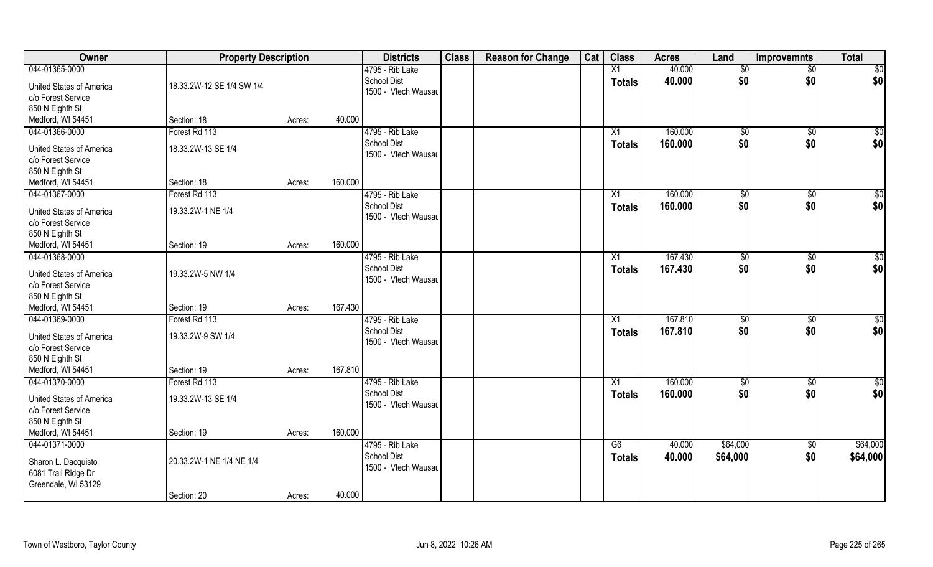| <b>Owner</b>                                                             | <b>Property Description</b> |        |         | <b>Districts</b>                          | <b>Class</b> | <b>Reason for Change</b> | Cat | <b>Class</b>    | <b>Acres</b> | Land          | <b>Improvemnts</b> | <b>Total</b> |
|--------------------------------------------------------------------------|-----------------------------|--------|---------|-------------------------------------------|--------------|--------------------------|-----|-----------------|--------------|---------------|--------------------|--------------|
| 044-01365-0000                                                           |                             |        |         | 4795 - Rib Lake                           |              |                          |     | X1              | 40.000       | \$0           | $\overline{50}$    | \$0          |
| <b>United States of America</b><br>c/o Forest Service                    | 18.33.2W-12 SE 1/4 SW 1/4   |        |         | <b>School Dist</b><br>1500 - Vtech Wausau |              |                          |     | <b>Totals</b>   | 40.000       | \$0           | \$0                | \$0          |
| 850 N Eighth St                                                          |                             |        |         |                                           |              |                          |     |                 |              |               |                    |              |
| Medford, WI 54451                                                        | Section: 18                 | Acres: | 40.000  |                                           |              |                          |     |                 |              |               |                    |              |
| 044-01366-0000                                                           | Forest Rd 113               |        |         | 4795 - Rib Lake                           |              |                          |     | $\overline{X1}$ | 160.000      | $\sqrt[6]{}$  | $\sqrt{$0}$        | $\sqrt{50}$  |
| <b>United States of America</b>                                          | 18.33.2W-13 SE 1/4          |        |         | <b>School Dist</b>                        |              |                          |     | Totals          | 160.000      | \$0           | \$0                | \$0          |
| c/o Forest Service                                                       |                             |        |         | 1500 - Vtech Wausau                       |              |                          |     |                 |              |               |                    |              |
| 850 N Eighth St                                                          |                             |        |         |                                           |              |                          |     |                 |              |               |                    |              |
| Medford, WI 54451                                                        | Section: 18                 | Acres: | 160.000 |                                           |              |                          |     |                 |              |               |                    |              |
| 044-01367-0000                                                           | Forest Rd 113               |        |         | 4795 - Rib Lake                           |              |                          |     | X1              | 160.000      | \$0           | $\sqrt[6]{3}$      | \$0          |
| <b>United States of America</b><br>c/o Forest Service                    | 19.33.2W-1 NE 1/4           |        |         | <b>School Dist</b><br>1500 - Vtech Wausau |              |                          |     | <b>Totals</b>   | 160.000      | \$0           | \$0                | \$0          |
| 850 N Eighth St                                                          |                             |        |         |                                           |              |                          |     |                 |              |               |                    |              |
| Medford, WI 54451                                                        | Section: 19                 | Acres: | 160.000 |                                           |              |                          |     |                 |              |               |                    |              |
| 044-01368-0000                                                           |                             |        |         | 4795 - Rib Lake                           |              |                          |     | X1              | 167.430      | $\sqrt[6]{3}$ | $\sqrt[6]{3}$      | \$0          |
| <b>United States of America</b><br>c/o Forest Service<br>850 N Eighth St | 19.33.2W-5 NW 1/4           |        |         | <b>School Dist</b><br>1500 - Vtech Wausau |              |                          |     | <b>Totals</b>   | 167.430      | \$0           | \$0                | \$0          |
| Medford, WI 54451                                                        | Section: 19                 | Acres: | 167.430 |                                           |              |                          |     |                 |              |               |                    |              |
| 044-01369-0000                                                           | Forest Rd 113               |        |         | 4795 - Rib Lake                           |              |                          |     | X1              | 167.810      | \$0           | $\sqrt[6]{3}$      | \$0          |
| <b>United States of America</b><br>c/o Forest Service<br>850 N Eighth St | 19.33.2W-9 SW 1/4           |        |         | School Dist<br>1500 - Vtech Wausau        |              |                          |     | <b>Totals</b>   | 167.810      | \$0           | \$0                | \$0          |
| Medford, WI 54451                                                        | Section: 19                 | Acres: | 167.810 |                                           |              |                          |     |                 |              |               |                    |              |
| 044-01370-0000                                                           | Forest Rd 113               |        |         | 4795 - Rib Lake                           |              |                          |     | X1              | 160.000      | \$0           | \$0                | \$0          |
| <b>United States of America</b><br>c/o Forest Service<br>850 N Eighth St | 19.33.2W-13 SE 1/4          |        |         | <b>School Dist</b><br>1500 - Vtech Wausau |              |                          |     | <b>Totals</b>   | 160.000      | \$0           | \$0                | \$0          |
| Medford, WI 54451                                                        | Section: 19                 | Acres: | 160.000 |                                           |              |                          |     |                 |              |               |                    |              |
| 044-01371-0000                                                           |                             |        |         | 4795 - Rib Lake                           |              |                          |     | G6              | 40.000       | \$64,000      | $\sqrt{$0}$        | \$64,000     |
| Sharon L. Dacquisto<br>6081 Trail Ridge Dr<br>Greendale, WI 53129        | 20.33.2W-1 NE 1/4 NE 1/4    |        |         | <b>School Dist</b><br>1500 - Vtech Wausau |              |                          |     | <b>Totals</b>   | 40.000       | \$64,000      | \$0                | \$64,000     |
|                                                                          | Section: 20                 | Acres: | 40.000  |                                           |              |                          |     |                 |              |               |                    |              |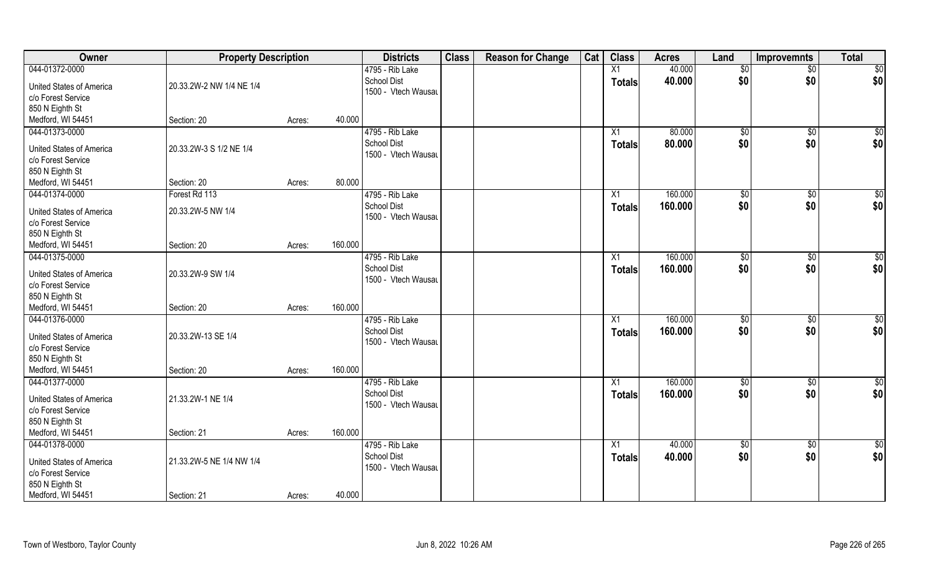| Owner                    | <b>Property Description</b> |        |         | <b>Districts</b>    | <b>Class</b> | <b>Reason for Change</b> | Cat | <b>Class</b>  | <b>Acres</b> | Land            | <b>Improvemnts</b> | <b>Total</b> |
|--------------------------|-----------------------------|--------|---------|---------------------|--------------|--------------------------|-----|---------------|--------------|-----------------|--------------------|--------------|
| 044-01372-0000           |                             |        |         | 4795 - Rib Lake     |              |                          |     | X1            | 40.000       | \$0             | $\overline{50}$    | \$0          |
| United States of America | 20.33.2W-2 NW 1/4 NE 1/4    |        |         | <b>School Dist</b>  |              |                          |     | <b>Totals</b> | 40.000       | \$0             | \$0                | \$0          |
| c/o Forest Service       |                             |        |         | 1500 - Vtech Wausau |              |                          |     |               |              |                 |                    |              |
| 850 N Eighth St          |                             |        |         |                     |              |                          |     |               |              |                 |                    |              |
| Medford, WI 54451        | Section: 20                 | Acres: | 40.000  |                     |              |                          |     |               |              |                 |                    |              |
| 044-01373-0000           |                             |        |         | 4795 - Rib Lake     |              |                          |     | X1            | 80.000       | $\sqrt[6]{}$    | $\sqrt{$0}$        | \$0          |
|                          |                             |        |         | <b>School Dist</b>  |              |                          |     |               | 80.000       | \$0             |                    | \$0          |
| United States of America | 20.33.2W-3 S 1/2 NE 1/4     |        |         | 1500 - Vtech Wausau |              |                          |     | Totals        |              |                 | \$0                |              |
| c/o Forest Service       |                             |        |         |                     |              |                          |     |               |              |                 |                    |              |
| 850 N Eighth St          |                             |        |         |                     |              |                          |     |               |              |                 |                    |              |
| Medford, WI 54451        | Section: 20                 | Acres: | 80.000  |                     |              |                          |     |               |              |                 |                    |              |
| 044-01374-0000           | Forest Rd 113               |        |         | 4795 - Rib Lake     |              |                          |     | X1            | 160.000      | \$0             | $\sqrt[6]{30}$     | \$0          |
|                          |                             |        |         | <b>School Dist</b>  |              |                          |     | <b>Totals</b> | 160.000      | \$0             | \$0                | \$0          |
| United States of America | 20.33.2W-5 NW 1/4           |        |         | 1500 - Vtech Wausau |              |                          |     |               |              |                 |                    |              |
| c/o Forest Service       |                             |        |         |                     |              |                          |     |               |              |                 |                    |              |
| 850 N Eighth St          |                             |        | 160.000 |                     |              |                          |     |               |              |                 |                    |              |
| Medford, WI 54451        | Section: 20                 | Acres: |         |                     |              |                          |     |               |              |                 |                    |              |
| 044-01375-0000           |                             |        |         | 4795 - Rib Lake     |              |                          |     | X1            | 160.000      | $\frac{1}{20}$  | $\sqrt[6]{3}$      | \$0          |
| United States of America | 20.33.2W-9 SW 1/4           |        |         | School Dist         |              |                          |     | <b>Totals</b> | 160.000      | \$0             | \$0                | \$0          |
| c/o Forest Service       |                             |        |         | 1500 - Vtech Wausau |              |                          |     |               |              |                 |                    |              |
| 850 N Eighth St          |                             |        |         |                     |              |                          |     |               |              |                 |                    |              |
| Medford, WI 54451        | Section: 20                 | Acres: | 160.000 |                     |              |                          |     |               |              |                 |                    |              |
| 044-01376-0000           |                             |        |         | 4795 - Rib Lake     |              |                          |     | X1            | 160.000      | \$0             | $\sqrt[6]{3}$      | \$0          |
|                          |                             |        |         | <b>School Dist</b>  |              |                          |     | <b>Totals</b> | 160.000      | \$0             | \$0                | \$0          |
| United States of America | 20.33.2W-13 SE 1/4          |        |         | 1500 - Vtech Wausau |              |                          |     |               |              |                 |                    |              |
| c/o Forest Service       |                             |        |         |                     |              |                          |     |               |              |                 |                    |              |
| 850 N Eighth St          |                             |        |         |                     |              |                          |     |               |              |                 |                    |              |
| Medford, WI 54451        | Section: 20                 | Acres: | 160.000 |                     |              |                          |     |               |              |                 |                    |              |
| 044-01377-0000           |                             |        |         | 4795 - Rib Lake     |              |                          |     | X1            | 160.000      | \$0             | \$0                | \$0          |
| United States of America | 21.33.2W-1 NE 1/4           |        |         | <b>School Dist</b>  |              |                          |     | <b>Totals</b> | 160.000      | \$0             | \$0                | \$0          |
| c/o Forest Service       |                             |        |         | 1500 - Vtech Wausau |              |                          |     |               |              |                 |                    |              |
| 850 N Eighth St          |                             |        |         |                     |              |                          |     |               |              |                 |                    |              |
| Medford, WI 54451        | Section: 21                 | Acres: | 160.000 |                     |              |                          |     |               |              |                 |                    |              |
| 044-01378-0000           |                             |        |         | 4795 - Rib Lake     |              |                          |     | X1            | 40.000       | $\overline{50}$ | $\sqrt{$0}$        | \$0          |
|                          |                             |        |         | <b>School Dist</b>  |              |                          |     | <b>Totals</b> | 40.000       | \$0             | \$0                | \$0          |
| United States of America | 21.33.2W-5 NE 1/4 NW 1/4    |        |         | 1500 - Vtech Wausau |              |                          |     |               |              |                 |                    |              |
| c/o Forest Service       |                             |        |         |                     |              |                          |     |               |              |                 |                    |              |
| 850 N Eighth St          |                             |        |         |                     |              |                          |     |               |              |                 |                    |              |
| Medford, WI 54451        | Section: 21                 | Acres: | 40.000  |                     |              |                          |     |               |              |                 |                    |              |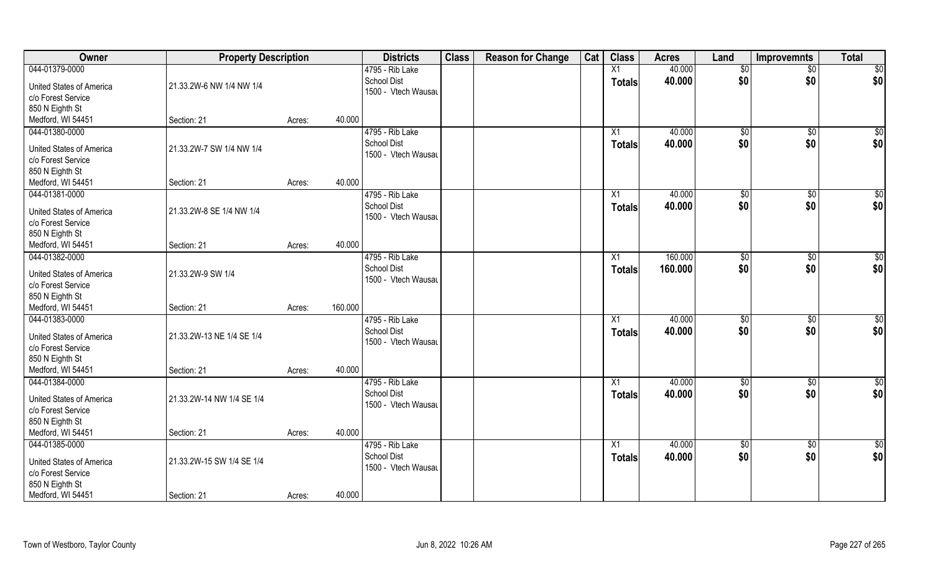| Owner                           | <b>Property Description</b> |        |         | <b>Districts</b>                      | <b>Class</b> | <b>Reason for Change</b> | Cat | <b>Class</b>    | <b>Acres</b> | Land            | <b>Improvemnts</b> | <b>Total</b>    |
|---------------------------------|-----------------------------|--------|---------|---------------------------------------|--------------|--------------------------|-----|-----------------|--------------|-----------------|--------------------|-----------------|
| 044-01379-0000                  |                             |        |         | 4795 - Rib Lake                       |              |                          |     | X1              | 40.000       | \$0             | $\overline{50}$    | \$0             |
| <b>United States of America</b> | 21.33.2W-6 NW 1/4 NW 1/4    |        |         | School Dist                           |              |                          |     | <b>Totals</b>   | 40.000       | \$0             | \$0                | \$0             |
| c/o Forest Service              |                             |        |         | 1500 - Vtech Wausau                   |              |                          |     |                 |              |                 |                    |                 |
| 850 N Eighth St                 |                             |        |         |                                       |              |                          |     |                 |              |                 |                    |                 |
| Medford, WI 54451               | Section: 21                 | Acres: | 40.000  |                                       |              |                          |     |                 |              |                 |                    |                 |
| 044-01380-0000                  |                             |        |         | 4795 - Rib Lake                       |              |                          |     | $\overline{X1}$ | 40.000       | $\sqrt[6]{}$    | $\sqrt{$0}$        | \$0             |
| <b>United States of America</b> | 21.33.2W-7 SW 1/4 NW 1/4    |        |         | <b>School Dist</b>                    |              |                          |     | Totals          | 40.000       | \$0             | \$0                | \$0             |
| c/o Forest Service              |                             |        |         | 1500 - Vtech Wausau                   |              |                          |     |                 |              |                 |                    |                 |
| 850 N Eighth St                 |                             |        |         |                                       |              |                          |     |                 |              |                 |                    |                 |
| Medford, WI 54451               | Section: 21                 | Acres: | 40.000  |                                       |              |                          |     |                 |              |                 |                    |                 |
| 044-01381-0000                  |                             |        |         | 4795 - Rib Lake                       |              |                          |     | X1              | 40.000       | \$0             | $\sqrt[6]{30}$     | \$0             |
|                                 |                             |        |         | <b>School Dist</b>                    |              |                          |     | <b>Totals</b>   | 40.000       | \$0             | \$0                | \$0             |
| <b>United States of America</b> | 21.33.2W-8 SE 1/4 NW 1/4    |        |         | 1500 - Vtech Wausau                   |              |                          |     |                 |              |                 |                    |                 |
| c/o Forest Service              |                             |        |         |                                       |              |                          |     |                 |              |                 |                    |                 |
| 850 N Eighth St                 |                             |        |         |                                       |              |                          |     |                 |              |                 |                    |                 |
| Medford, WI 54451               | Section: 21                 | Acres: | 40.000  |                                       |              |                          |     |                 |              |                 |                    |                 |
| 044-01382-0000                  |                             |        |         | 4795 - Rib Lake<br><b>School Dist</b> |              |                          |     | X1              | 160.000      | $\sqrt[6]{3}$   | $\sqrt[6]{3}$      | $\overline{50}$ |
| <b>United States of America</b> | 21.33.2W-9 SW 1/4           |        |         | 1500 - Vtech Wausau                   |              |                          |     | <b>Totals</b>   | 160.000      | \$0             | \$0                | \$0             |
| c/o Forest Service              |                             |        |         |                                       |              |                          |     |                 |              |                 |                    |                 |
| 850 N Eighth St                 |                             |        |         |                                       |              |                          |     |                 |              |                 |                    |                 |
| Medford, WI 54451               | Section: 21                 | Acres: | 160.000 |                                       |              |                          |     |                 |              |                 |                    |                 |
| 044-01383-0000                  |                             |        |         | 4795 - Rib Lake                       |              |                          |     | X1              | 40.000       | \$0             | \$0                | \$0             |
| <b>United States of America</b> | 21.33.2W-13 NE 1/4 SE 1/4   |        |         | <b>School Dist</b>                    |              |                          |     | <b>Totals</b>   | 40.000       | \$0             | \$0                | \$0             |
| c/o Forest Service              |                             |        |         | 1500 - Vtech Wausau                   |              |                          |     |                 |              |                 |                    |                 |
| 850 N Eighth St                 |                             |        |         |                                       |              |                          |     |                 |              |                 |                    |                 |
| Medford, WI 54451               | Section: 21                 | Acres: | 40.000  |                                       |              |                          |     |                 |              |                 |                    |                 |
| 044-01384-0000                  |                             |        |         | 4795 - Rib Lake                       |              |                          |     | X1              | 40.000       | \$0             | \$0                | \$0             |
| <b>United States of America</b> | 21.33.2W-14 NW 1/4 SE 1/4   |        |         | <b>School Dist</b>                    |              |                          |     | <b>Totals</b>   | 40.000       | \$0             | \$0                | \$0             |
| c/o Forest Service              |                             |        |         | 1500 - Vtech Wausau                   |              |                          |     |                 |              |                 |                    |                 |
| 850 N Eighth St                 |                             |        |         |                                       |              |                          |     |                 |              |                 |                    |                 |
| Medford, WI 54451               | Section: 21                 | Acres: | 40.000  |                                       |              |                          |     |                 |              |                 |                    |                 |
| 044-01385-0000                  |                             |        |         | 4795 - Rib Lake                       |              |                          |     | $\overline{X1}$ | 40.000       | $\overline{50}$ | $\sqrt{$0}$        | $\overline{50}$ |
|                                 |                             |        |         | <b>School Dist</b>                    |              |                          |     | <b>Totals</b>   | 40.000       | \$0             | \$0                | \$0             |
| <b>United States of America</b> | 21.33.2W-15 SW 1/4 SE 1/4   |        |         | 1500 - Vtech Wausau                   |              |                          |     |                 |              |                 |                    |                 |
| c/o Forest Service              |                             |        |         |                                       |              |                          |     |                 |              |                 |                    |                 |
| 850 N Eighth St                 |                             |        |         |                                       |              |                          |     |                 |              |                 |                    |                 |
| Medford, WI 54451               | Section: 21                 | Acres: | 40.000  |                                       |              |                          |     |                 |              |                 |                    |                 |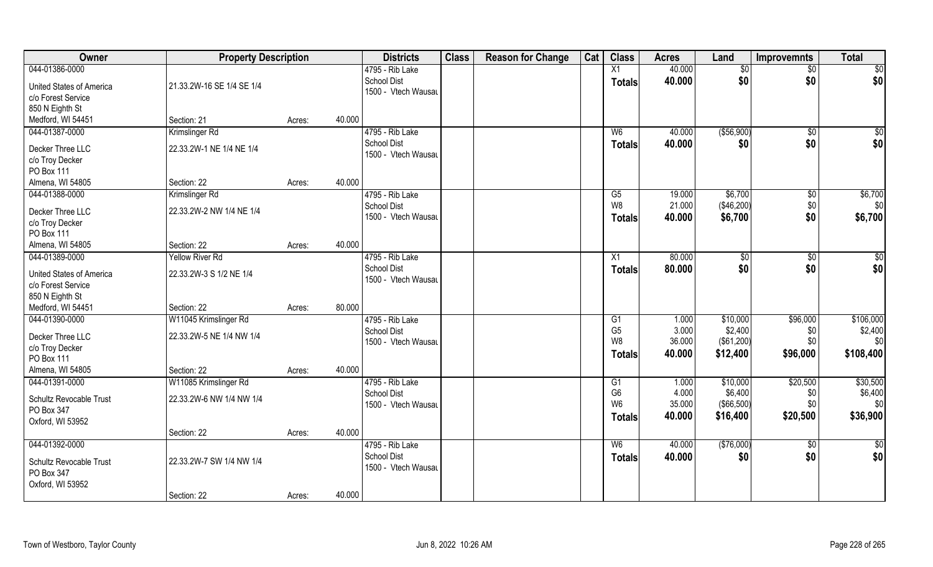| Owner                           | <b>Property Description</b> |        |        | <b>Districts</b>    | <b>Class</b> | <b>Reason for Change</b> | Cat | <b>Class</b>                     | <b>Acres</b>    | Land         | <b>Improvemnts</b> | <b>Total</b>    |
|---------------------------------|-----------------------------|--------|--------|---------------------|--------------|--------------------------|-----|----------------------------------|-----------------|--------------|--------------------|-----------------|
| 044-01386-0000                  |                             |        |        | 4795 - Rib Lake     |              |                          |     | X1                               | 40.000          | \$0          | $\sqrt{$0}$        | $\overline{50}$ |
| <b>United States of America</b> | 21.33.2W-16 SE 1/4 SE 1/4   |        |        | <b>School Dist</b>  |              |                          |     | <b>Totals</b>                    | 40.000          | \$0          | \$0                | \$0             |
| c/o Forest Service              |                             |        |        | 1500 - Vtech Wausau |              |                          |     |                                  |                 |              |                    |                 |
| 850 N Eighth St                 |                             |        |        |                     |              |                          |     |                                  |                 |              |                    |                 |
| Medford, WI 54451               | Section: 21                 | Acres: | 40.000 |                     |              |                          |     |                                  |                 |              |                    |                 |
| 044-01387-0000                  | Krimslinger Rd              |        |        | 4795 - Rib Lake     |              |                          |     | W <sub>6</sub>                   | 40.000          | ( \$56, 900) | \$0                | \$0             |
|                                 |                             |        |        | <b>School Dist</b>  |              |                          |     | Totals                           | 40.000          | \$0          | \$0                | \$0             |
| Decker Three LLC                | 22.33.2W-1 NE 1/4 NE 1/4    |        |        | 1500 - Vtech Wausau |              |                          |     |                                  |                 |              |                    |                 |
| c/o Troy Decker                 |                             |        |        |                     |              |                          |     |                                  |                 |              |                    |                 |
| PO Box 111                      |                             |        |        |                     |              |                          |     |                                  |                 |              |                    |                 |
| Almena, WI 54805                | Section: 22                 | Acres: | 40.000 |                     |              |                          |     |                                  |                 |              |                    |                 |
| 044-01388-0000                  | Krimslinger Rd              |        |        | 4795 - Rib Lake     |              |                          |     | G5                               | 19.000          | \$6,700      | $\sqrt[6]{3}$      | \$6,700         |
| Decker Three LLC                | 22.33.2W-2 NW 1/4 NE 1/4    |        |        | <b>School Dist</b>  |              |                          |     | W8                               | 21.000          | (\$46,200)   | \$0                | \$0             |
| c/o Troy Decker                 |                             |        |        | 1500 - Vtech Wausau |              |                          |     | Totals                           | 40.000          | \$6,700      | \$0                | \$6,700         |
| PO Box 111                      |                             |        |        |                     |              |                          |     |                                  |                 |              |                    |                 |
| Almena, WI 54805                | Section: 22                 | Acres: | 40.000 |                     |              |                          |     |                                  |                 |              |                    |                 |
| 044-01389-0000                  | <b>Yellow River Rd</b>      |        |        | 4795 - Rib Lake     |              |                          |     | X1                               | 80.000          | \$0          | \$0                | \$0             |
|                                 |                             |        |        | <b>School Dist</b>  |              |                          |     | Totals                           | 80.000          | \$0          | \$0                | \$0             |
| United States of America        | 22.33.2W-3 S 1/2 NE 1/4     |        |        | 1500 - Vtech Wausau |              |                          |     |                                  |                 |              |                    |                 |
| c/o Forest Service              |                             |        |        |                     |              |                          |     |                                  |                 |              |                    |                 |
| 850 N Eighth St                 |                             |        |        |                     |              |                          |     |                                  |                 |              |                    |                 |
| Medford, WI 54451               | Section: 22                 | Acres: | 80.000 |                     |              |                          |     |                                  |                 |              |                    |                 |
| 044-01390-0000                  | W11045 Krimslinger Rd       |        |        | 4795 - Rib Lake     |              |                          |     | $\overline{G1}$                  | 1.000           | \$10,000     | \$96,000           | \$106,000       |
| Decker Three LLC                | 22.33.2W-5 NE 1/4 NW 1/4    |        |        | <b>School Dist</b>  |              |                          |     | G <sub>5</sub><br>W <sub>8</sub> | 3.000<br>36.000 | \$2,400      | \$0<br>\$0         | \$2,400<br>\$0  |
| c/o Troy Decker                 |                             |        |        | 1500 - Vtech Wausau |              |                          |     |                                  |                 | (\$61,200)   |                    |                 |
| PO Box 111                      |                             |        |        |                     |              |                          |     | <b>Totals</b>                    | 40.000          | \$12,400     | \$96,000           | \$108,400       |
| Almena, WI 54805                | Section: 22                 | Acres: | 40.000 |                     |              |                          |     |                                  |                 |              |                    |                 |
| 044-01391-0000                  | W11085 Krimslinger Rd       |        |        | 4795 - Rib Lake     |              |                          |     | G1                               | 1.000           | \$10,000     | \$20,500           | \$30,500        |
| Schultz Revocable Trust         | 22.33.2W-6 NW 1/4 NW 1/4    |        |        | <b>School Dist</b>  |              |                          |     | G <sub>6</sub>                   | 4.000           | \$6,400      | \$0                | \$6,400         |
| PO Box 347                      |                             |        |        | 1500 - Vtech Wausau |              |                          |     | W <sub>6</sub>                   | 35.000          | (\$66,500)   | \$0                | \$0             |
| Oxford, WI 53952                |                             |        |        |                     |              |                          |     | <b>Totals</b>                    | 40.000          | \$16,400     | \$20,500           | \$36,900        |
|                                 | Section: 22                 | Acres: | 40.000 |                     |              |                          |     |                                  |                 |              |                    |                 |
| 044-01392-0000                  |                             |        |        | 4795 - Rib Lake     |              |                          |     | W6                               | 40.000          | (\$76,000)   | $\sqrt{$0}$        | $\overline{50}$ |
|                                 |                             |        |        | <b>School Dist</b>  |              |                          |     | <b>Totals</b>                    | 40.000          | \$0          | \$0                | \$0             |
| Schultz Revocable Trust         | 22.33.2W-7 SW 1/4 NW 1/4    |        |        | 1500 - Vtech Wausau |              |                          |     |                                  |                 |              |                    |                 |
| PO Box 347                      |                             |        |        |                     |              |                          |     |                                  |                 |              |                    |                 |
| Oxford, WI 53952                |                             |        |        |                     |              |                          |     |                                  |                 |              |                    |                 |
|                                 | Section: 22                 | Acres: | 40.000 |                     |              |                          |     |                                  |                 |              |                    |                 |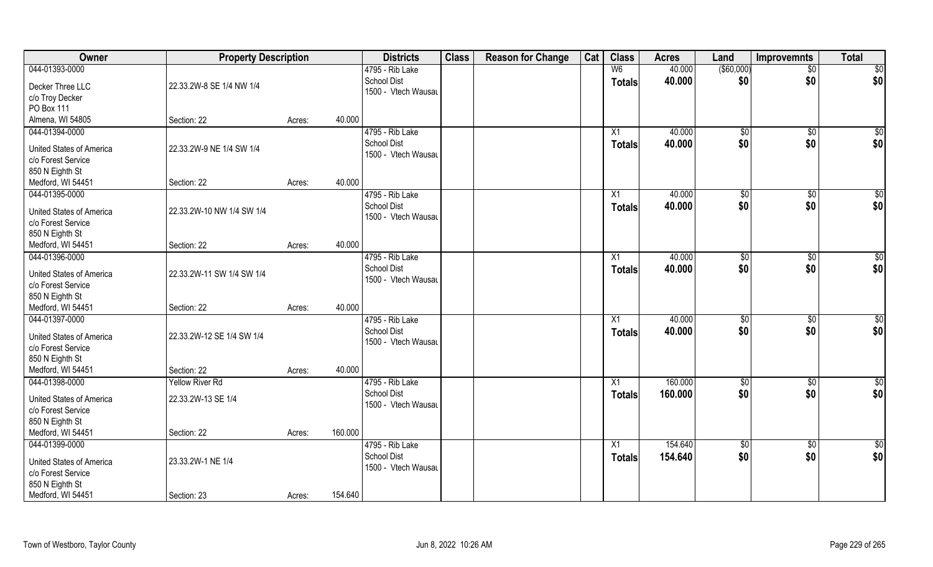| Owner                               | <b>Property Description</b> |        |         | <b>Districts</b>                          | <b>Class</b> | <b>Reason for Change</b> | Cat | <b>Class</b>    | <b>Acres</b> | Land              | <b>Improvemnts</b> | <b>Total</b>    |
|-------------------------------------|-----------------------------|--------|---------|-------------------------------------------|--------------|--------------------------|-----|-----------------|--------------|-------------------|--------------------|-----------------|
| 044-01393-0000                      |                             |        |         | 4795 - Rib Lake                           |              |                          |     | W <sub>6</sub>  | 40.000       | $($ \$60,000) $ $ | $\sqrt{$0}$        | $\sqrt{50}$     |
| Decker Three LLC                    | 22.33.2W-8 SE 1/4 NW 1/4    |        |         | <b>School Dist</b>                        |              |                          |     | <b>Totals</b>   | 40.000       | \$0               | \$0                | \$0             |
| c/o Troy Decker                     |                             |        |         | 1500 - Vtech Wausau                       |              |                          |     |                 |              |                   |                    |                 |
| <b>PO Box 111</b>                   |                             |        |         |                                           |              |                          |     |                 |              |                   |                    |                 |
| Almena, WI 54805                    | Section: 22                 | Acres: | 40.000  |                                           |              |                          |     |                 |              |                   |                    |                 |
| 044-01394-0000                      |                             |        |         | 4795 - Rib Lake                           |              |                          |     | X1              | 40.000       | $\sqrt{50}$       | \$0                | $\sqrt{50}$     |
|                                     |                             |        |         | <b>School Dist</b>                        |              |                          |     | Totals          | 40.000       | \$0               | \$0                | \$0             |
| <b>United States of America</b>     | 22.33.2W-9 NE 1/4 SW 1/4    |        |         | 1500 - Vtech Wausau                       |              |                          |     |                 |              |                   |                    |                 |
| c/o Forest Service                  |                             |        |         |                                           |              |                          |     |                 |              |                   |                    |                 |
| 850 N Eighth St                     |                             |        |         |                                           |              |                          |     |                 |              |                   |                    |                 |
| Medford, WI 54451                   | Section: 22                 | Acres: | 40.000  |                                           |              |                          |     |                 |              |                   |                    |                 |
| 044-01395-0000                      |                             |        |         | 4795 - Rib Lake                           |              |                          |     | X1              | 40.000       | \$0               | $\sqrt[6]{3}$      | \$0             |
| United States of America            | 22.33.2W-10 NW 1/4 SW 1/4   |        |         | <b>School Dist</b>                        |              |                          |     | <b>Totals</b>   | 40.000       | \$0               | \$0                | \$0             |
| c/o Forest Service                  |                             |        |         | 1500 - Vtech Wausau                       |              |                          |     |                 |              |                   |                    |                 |
| 850 N Eighth St                     |                             |        |         |                                           |              |                          |     |                 |              |                   |                    |                 |
| Medford, WI 54451                   | Section: 22                 | Acres: | 40.000  |                                           |              |                          |     |                 |              |                   |                    |                 |
| 044-01396-0000                      |                             |        |         | 4795 - Rib Lake                           |              |                          |     | X1              | 40.000       | \$0               | $\sqrt[6]{3}$      | \$0             |
|                                     |                             |        |         | <b>School Dist</b>                        |              |                          |     | <b>Totals</b>   | 40.000       | \$0               | \$0                | \$0             |
| United States of America            | 22.33.2W-11 SW 1/4 SW 1/4   |        |         | 1500 - Vtech Wausau                       |              |                          |     |                 |              |                   |                    |                 |
| c/o Forest Service                  |                             |        |         |                                           |              |                          |     |                 |              |                   |                    |                 |
| 850 N Eighth St                     |                             |        | 40.000  |                                           |              |                          |     |                 |              |                   |                    |                 |
| Medford, WI 54451<br>044-01397-0000 | Section: 22                 | Acres: |         |                                           |              |                          |     |                 | 40.000       |                   |                    |                 |
|                                     |                             |        |         | 4795 - Rib Lake                           |              |                          |     | X1              |              | $\sqrt{50}$       | \$0                | $\overline{50}$ |
| United States of America            | 22.33.2W-12 SE 1/4 SW 1/4   |        |         | <b>School Dist</b><br>1500 - Vtech Wausau |              |                          |     | <b>Totals</b>   | 40.000       | \$0               | \$0                | \$0             |
| c/o Forest Service                  |                             |        |         |                                           |              |                          |     |                 |              |                   |                    |                 |
| 850 N Eighth St                     |                             |        |         |                                           |              |                          |     |                 |              |                   |                    |                 |
| Medford, WI 54451                   | Section: 22                 | Acres: | 40.000  |                                           |              |                          |     |                 |              |                   |                    |                 |
| 044-01398-0000                      | <b>Yellow River Rd</b>      |        |         | 4795 - Rib Lake                           |              |                          |     | $\overline{X1}$ | 160.000      | \$0               | $\sqrt{$0}$        | \$0             |
| <b>United States of America</b>     | 22.33.2W-13 SE 1/4          |        |         | <b>School Dist</b>                        |              |                          |     | <b>Totals</b>   | 160.000      | \$0               | \$0                | \$0             |
| c/o Forest Service                  |                             |        |         | 1500 - Vtech Wausau                       |              |                          |     |                 |              |                   |                    |                 |
| 850 N Eighth St                     |                             |        |         |                                           |              |                          |     |                 |              |                   |                    |                 |
| Medford, WI 54451                   | Section: 22                 | Acres: | 160.000 |                                           |              |                          |     |                 |              |                   |                    |                 |
| 044-01399-0000                      |                             |        |         | 4795 - Rib Lake                           |              |                          |     | $\overline{X1}$ | 154.640      | $\sqrt{6}$        | $\overline{60}$    | $\overline{50}$ |
|                                     |                             |        |         | <b>School Dist</b>                        |              |                          |     | <b>Totals</b>   | 154.640      | \$0               | \$0                | \$0             |
| <b>United States of America</b>     | 23.33.2W-1 NE 1/4           |        |         | 1500 - Vtech Wausau                       |              |                          |     |                 |              |                   |                    |                 |
| c/o Forest Service                  |                             |        |         |                                           |              |                          |     |                 |              |                   |                    |                 |
| 850 N Eighth St                     |                             |        |         |                                           |              |                          |     |                 |              |                   |                    |                 |
| Medford, WI 54451                   | Section: 23                 | Acres: | 154.640 |                                           |              |                          |     |                 |              |                   |                    |                 |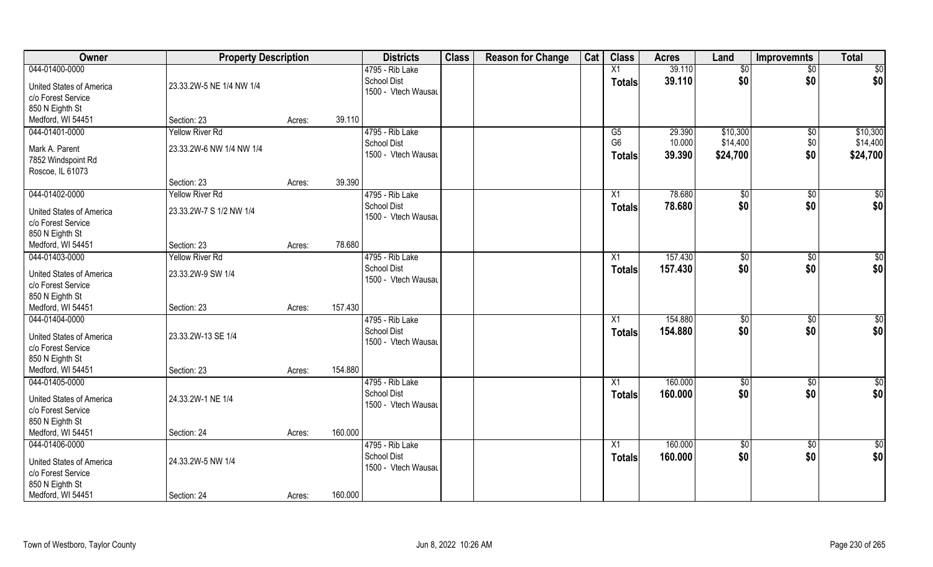| Owner                                                                                                           | <b>Property Description</b> |        |         | <b>Districts</b>                                             | <b>Class</b> | <b>Reason for Change</b> | Cat | <b>Class</b>                     | <b>Acres</b>       | Land                 | <b>Improvemnts</b>     | <b>Total</b>         |
|-----------------------------------------------------------------------------------------------------------------|-----------------------------|--------|---------|--------------------------------------------------------------|--------------|--------------------------|-----|----------------------------------|--------------------|----------------------|------------------------|----------------------|
| 044-01400-0000                                                                                                  |                             |        |         | 4795 - Rib Lake                                              |              |                          |     | X1                               | 39.110             | \$0                  | $\sqrt{$0}$            | \$0                  |
| <b>United States of America</b><br>c/o Forest Service                                                           | 23.33.2W-5 NE 1/4 NW 1/4    |        |         | <b>School Dist</b><br>1500 - Vtech Wausau                    |              |                          |     | <b>Totals</b>                    | 39.110             | \$0                  | \$0                    | \$0                  |
| 850 N Eighth St                                                                                                 |                             |        | 39.110  |                                                              |              |                          |     |                                  |                    |                      |                        |                      |
| Medford, WI 54451                                                                                               | Section: 23                 | Acres: |         |                                                              |              |                          |     |                                  |                    |                      |                        |                      |
| 044-01401-0000                                                                                                  | <b>Yellow River Rd</b>      |        |         | 4795 - Rib Lake                                              |              |                          |     | G5                               | 29.390             | \$10,300             | $\sqrt[6]{}$           | \$10,300             |
| Mark A. Parent<br>7852 Windspoint Rd<br>Roscoe, IL 61073                                                        | 23.33.2W-6 NW 1/4 NW 1/4    |        |         | <b>School Dist</b><br>1500 - Vtech Wausau                    |              |                          |     | G <sub>6</sub><br><b>Totals</b>  | 10.000<br>39.390   | \$14,400<br>\$24,700 | \$0<br>\$0             | \$14,400<br>\$24,700 |
|                                                                                                                 | Section: 23                 | Acres: | 39.390  |                                                              |              |                          |     |                                  |                    |                      |                        |                      |
| 044-01402-0000                                                                                                  | <b>Yellow River Rd</b>      |        |         | 4795 - Rib Lake                                              |              |                          |     | X1                               | 78.680             | \$0                  | $\overline{50}$        | $\sqrt{50}$          |
| <b>United States of America</b><br>c/o Forest Service<br>850 N Eighth St                                        | 23.33.2W-7 S 1/2 NW 1/4     |        |         | <b>School Dist</b><br>1500 - Vtech Wausau                    |              |                          |     | <b>Totals</b>                    | 78.680             | \$0                  | \$0                    | \$0                  |
| Medford, WI 54451                                                                                               | Section: 23                 | Acres: | 78.680  |                                                              |              |                          |     |                                  |                    |                      |                        |                      |
| 044-01403-0000                                                                                                  | <b>Yellow River Rd</b>      |        |         | 4795 - Rib Lake                                              |              |                          |     | X1                               | 157.430            | \$0                  | $\sqrt[6]{3}$          | $\sqrt{50}$          |
| <b>United States of America</b><br>c/o Forest Service<br>850 N Eighth St                                        | 23.33.2W-9 SW 1/4           |        |         | <b>School Dist</b><br>1500 - Vtech Wausau                    |              |                          |     | <b>Totals</b>                    | 157.430            | \$0                  | \$0                    | \$0                  |
| Medford, WI 54451                                                                                               | Section: 23                 | Acres: | 157.430 |                                                              |              |                          |     |                                  |                    |                      |                        |                      |
| 044-01404-0000<br><b>United States of America</b><br>c/o Forest Service<br>850 N Eighth St                      | 23.33.2W-13 SE 1/4          |        |         | 4795 - Rib Lake<br><b>School Dist</b><br>1500 - Vtech Wausau |              |                          |     | X1<br><b>Totals</b>              | 154.880<br>154.880 | \$0<br>\$0           | $\overline{50}$<br>\$0 | $\sqrt{50}$<br>\$0   |
| Medford, WI 54451                                                                                               | Section: 23                 | Acres: | 154.880 |                                                              |              |                          |     |                                  |                    |                      |                        |                      |
| 044-01405-0000<br><b>United States of America</b><br>c/o Forest Service<br>850 N Eighth St                      | 24.33.2W-1 NE 1/4           |        |         | 4795 - Rib Lake<br><b>School Dist</b><br>1500 - Vtech Wausau |              |                          |     | X1<br>Totals                     | 160.000<br>160.000 | \$0<br>\$0           | $\sqrt{$0}$<br>\$0     | \$0<br>\$0           |
| Medford, WI 54451                                                                                               | Section: 24                 | Acres: | 160.000 |                                                              |              |                          |     |                                  |                    |                      |                        |                      |
| 044-01406-0000<br><b>United States of America</b><br>c/o Forest Service<br>850 N Eighth St<br>Medford, WI 54451 | 24.33.2W-5 NW 1/4           |        | 160.000 | 4795 - Rib Lake<br><b>School Dist</b><br>1500 - Vtech Wausau |              |                          |     | $\overline{X1}$<br><b>Totals</b> | 160.000<br>160.000 | $\sqrt{50}$<br>\$0   | $\overline{60}$<br>\$0 | \$0<br>\$0           |
|                                                                                                                 | Section: 24                 | Acres: |         |                                                              |              |                          |     |                                  |                    |                      |                        |                      |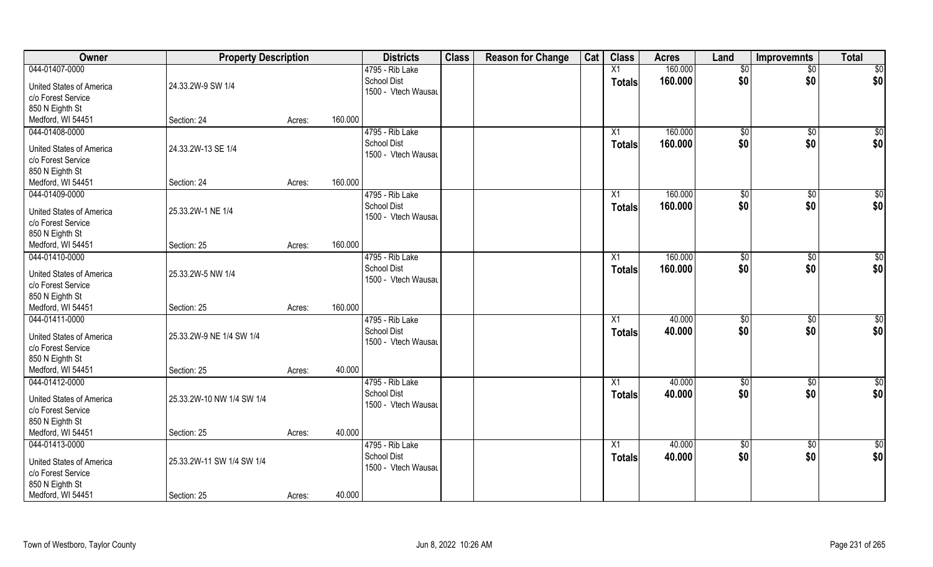| 160.000<br>\$0<br>044-01407-0000<br>4795 - Rib Lake<br>$\overline{X1}$<br>$\overline{50}$<br>$\overline{50}$<br>\$0<br>\$0<br>School Dist<br>160.000<br>\$0<br><b>Totals</b><br>24.33.2W-9 SW 1/4<br><b>United States of America</b><br>1500 - Vtech Wausau<br>c/o Forest Service<br>850 N Eighth St<br>Medford, WI 54451<br>160.000<br>Section: 24<br>Acres:<br>160.000<br>044-01408-0000<br>4795 - Rib Lake<br>\$0<br>\$0<br>$\sqrt{50}$<br>X1<br>\$0<br>School Dist<br>\$0<br>\$0<br>160.000<br>Totals<br>24.33.2W-13 SE 1/4<br><b>United States of America</b><br>1500 - Vtech Wausau<br>c/o Forest Service<br>850 N Eighth St<br>160.000<br>Medford, WI 54451<br>Section: 24<br>Acres:<br>160.000<br>\$0<br>044-01409-0000<br>4795 - Rib Lake<br>$\sqrt[6]{2}$<br>$\sqrt[6]{3}$<br>X1<br>\$0<br>\$0<br>\$0<br><b>School Dist</b><br>160.000<br><b>Totals</b><br>United States of America<br>25.33.2W-1 NE 1/4<br>1500 - Vtech Wausau<br>c/o Forest Service<br>850 N Eighth St<br>160.000<br>Medford, WI 54451<br>Section: 25<br>Acres:<br>160.000<br>\$0<br>044-01410-0000<br>4795 - Rib Lake<br>\$0<br>\$0<br>X1<br>\$0<br>\$0<br><b>School Dist</b><br>\$0<br>160.000<br><b>Totals</b><br><b>United States of America</b><br>25.33.2W-5 NW 1/4<br>1500 - Vtech Wausau<br>c/o Forest Service<br>850 N Eighth St<br>160.000<br>Medford, WI 54451<br>Section: 25<br>Acres:<br>044-01411-0000<br>40.000<br>$\overline{50}$<br>4795 - Rib Lake<br>\$0<br>\$0<br>X1<br>\$0<br>40.000<br>\$0<br>\$0<br><b>School Dist</b><br><b>Totals</b><br>United States of America<br>25.33.2W-9 NE 1/4 SW 1/4<br>1500 - Vtech Wausau<br>c/o Forest Service<br>850 N Eighth St<br>Medford, WI 54451<br>40.000<br>Section: 25<br>Acres:<br>044-01412-0000<br>\$0<br>4795 - Rib Lake<br>40.000<br>$\sqrt{$0}$<br>X1<br>\$0<br>\$0<br>\$0<br>\$0<br><b>School Dist</b><br>40.000<br><b>Totals</b><br><b>United States of America</b><br>25.33.2W-10 NW 1/4 SW 1/4<br>1500 - Vtech Wausau<br>c/o Forest Service<br>850 N Eighth St | Owner             | <b>Property Description</b> |        |        | <b>Districts</b> | <b>Class</b> | <b>Reason for Change</b> | Cat | <b>Class</b> | <b>Acres</b> | Land | Improvemnts | <b>Total</b> |
|--------------------------------------------------------------------------------------------------------------------------------------------------------------------------------------------------------------------------------------------------------------------------------------------------------------------------------------------------------------------------------------------------------------------------------------------------------------------------------------------------------------------------------------------------------------------------------------------------------------------------------------------------------------------------------------------------------------------------------------------------------------------------------------------------------------------------------------------------------------------------------------------------------------------------------------------------------------------------------------------------------------------------------------------------------------------------------------------------------------------------------------------------------------------------------------------------------------------------------------------------------------------------------------------------------------------------------------------------------------------------------------------------------------------------------------------------------------------------------------------------------------------------------------------------------------------------------------------------------------------------------------------------------------------------------------------------------------------------------------------------------------------------------------------------------------------------------------------------------------------------------------------------------------------------------------------------------------------------------------------------------------------|-------------------|-----------------------------|--------|--------|------------------|--------------|--------------------------|-----|--------------|--------------|------|-------------|--------------|
|                                                                                                                                                                                                                                                                                                                                                                                                                                                                                                                                                                                                                                                                                                                                                                                                                                                                                                                                                                                                                                                                                                                                                                                                                                                                                                                                                                                                                                                                                                                                                                                                                                                                                                                                                                                                                                                                                                                                                                                                                    |                   |                             |        |        |                  |              |                          |     |              |              |      |             |              |
|                                                                                                                                                                                                                                                                                                                                                                                                                                                                                                                                                                                                                                                                                                                                                                                                                                                                                                                                                                                                                                                                                                                                                                                                                                                                                                                                                                                                                                                                                                                                                                                                                                                                                                                                                                                                                                                                                                                                                                                                                    |                   |                             |        |        |                  |              |                          |     |              |              |      |             |              |
|                                                                                                                                                                                                                                                                                                                                                                                                                                                                                                                                                                                                                                                                                                                                                                                                                                                                                                                                                                                                                                                                                                                                                                                                                                                                                                                                                                                                                                                                                                                                                                                                                                                                                                                                                                                                                                                                                                                                                                                                                    |                   |                             |        |        |                  |              |                          |     |              |              |      |             |              |
|                                                                                                                                                                                                                                                                                                                                                                                                                                                                                                                                                                                                                                                                                                                                                                                                                                                                                                                                                                                                                                                                                                                                                                                                                                                                                                                                                                                                                                                                                                                                                                                                                                                                                                                                                                                                                                                                                                                                                                                                                    |                   |                             |        |        |                  |              |                          |     |              |              |      |             |              |
|                                                                                                                                                                                                                                                                                                                                                                                                                                                                                                                                                                                                                                                                                                                                                                                                                                                                                                                                                                                                                                                                                                                                                                                                                                                                                                                                                                                                                                                                                                                                                                                                                                                                                                                                                                                                                                                                                                                                                                                                                    |                   |                             |        |        |                  |              |                          |     |              |              |      |             |              |
|                                                                                                                                                                                                                                                                                                                                                                                                                                                                                                                                                                                                                                                                                                                                                                                                                                                                                                                                                                                                                                                                                                                                                                                                                                                                                                                                                                                                                                                                                                                                                                                                                                                                                                                                                                                                                                                                                                                                                                                                                    |                   |                             |        |        |                  |              |                          |     |              |              |      |             |              |
|                                                                                                                                                                                                                                                                                                                                                                                                                                                                                                                                                                                                                                                                                                                                                                                                                                                                                                                                                                                                                                                                                                                                                                                                                                                                                                                                                                                                                                                                                                                                                                                                                                                                                                                                                                                                                                                                                                                                                                                                                    |                   |                             |        |        |                  |              |                          |     |              |              |      |             |              |
|                                                                                                                                                                                                                                                                                                                                                                                                                                                                                                                                                                                                                                                                                                                                                                                                                                                                                                                                                                                                                                                                                                                                                                                                                                                                                                                                                                                                                                                                                                                                                                                                                                                                                                                                                                                                                                                                                                                                                                                                                    |                   |                             |        |        |                  |              |                          |     |              |              |      |             |              |
|                                                                                                                                                                                                                                                                                                                                                                                                                                                                                                                                                                                                                                                                                                                                                                                                                                                                                                                                                                                                                                                                                                                                                                                                                                                                                                                                                                                                                                                                                                                                                                                                                                                                                                                                                                                                                                                                                                                                                                                                                    |                   |                             |        |        |                  |              |                          |     |              |              |      |             |              |
|                                                                                                                                                                                                                                                                                                                                                                                                                                                                                                                                                                                                                                                                                                                                                                                                                                                                                                                                                                                                                                                                                                                                                                                                                                                                                                                                                                                                                                                                                                                                                                                                                                                                                                                                                                                                                                                                                                                                                                                                                    |                   |                             |        |        |                  |              |                          |     |              |              |      |             |              |
|                                                                                                                                                                                                                                                                                                                                                                                                                                                                                                                                                                                                                                                                                                                                                                                                                                                                                                                                                                                                                                                                                                                                                                                                                                                                                                                                                                                                                                                                                                                                                                                                                                                                                                                                                                                                                                                                                                                                                                                                                    |                   |                             |        |        |                  |              |                          |     |              |              |      |             |              |
|                                                                                                                                                                                                                                                                                                                                                                                                                                                                                                                                                                                                                                                                                                                                                                                                                                                                                                                                                                                                                                                                                                                                                                                                                                                                                                                                                                                                                                                                                                                                                                                                                                                                                                                                                                                                                                                                                                                                                                                                                    |                   |                             |        |        |                  |              |                          |     |              |              |      |             |              |
|                                                                                                                                                                                                                                                                                                                                                                                                                                                                                                                                                                                                                                                                                                                                                                                                                                                                                                                                                                                                                                                                                                                                                                                                                                                                                                                                                                                                                                                                                                                                                                                                                                                                                                                                                                                                                                                                                                                                                                                                                    |                   |                             |        |        |                  |              |                          |     |              |              |      |             |              |
|                                                                                                                                                                                                                                                                                                                                                                                                                                                                                                                                                                                                                                                                                                                                                                                                                                                                                                                                                                                                                                                                                                                                                                                                                                                                                                                                                                                                                                                                                                                                                                                                                                                                                                                                                                                                                                                                                                                                                                                                                    |                   |                             |        |        |                  |              |                          |     |              |              |      |             |              |
|                                                                                                                                                                                                                                                                                                                                                                                                                                                                                                                                                                                                                                                                                                                                                                                                                                                                                                                                                                                                                                                                                                                                                                                                                                                                                                                                                                                                                                                                                                                                                                                                                                                                                                                                                                                                                                                                                                                                                                                                                    |                   |                             |        |        |                  |              |                          |     |              |              |      |             |              |
|                                                                                                                                                                                                                                                                                                                                                                                                                                                                                                                                                                                                                                                                                                                                                                                                                                                                                                                                                                                                                                                                                                                                                                                                                                                                                                                                                                                                                                                                                                                                                                                                                                                                                                                                                                                                                                                                                                                                                                                                                    |                   |                             |        |        |                  |              |                          |     |              |              |      |             |              |
|                                                                                                                                                                                                                                                                                                                                                                                                                                                                                                                                                                                                                                                                                                                                                                                                                                                                                                                                                                                                                                                                                                                                                                                                                                                                                                                                                                                                                                                                                                                                                                                                                                                                                                                                                                                                                                                                                                                                                                                                                    |                   |                             |        |        |                  |              |                          |     |              |              |      |             |              |
|                                                                                                                                                                                                                                                                                                                                                                                                                                                                                                                                                                                                                                                                                                                                                                                                                                                                                                                                                                                                                                                                                                                                                                                                                                                                                                                                                                                                                                                                                                                                                                                                                                                                                                                                                                                                                                                                                                                                                                                                                    |                   |                             |        |        |                  |              |                          |     |              |              |      |             |              |
|                                                                                                                                                                                                                                                                                                                                                                                                                                                                                                                                                                                                                                                                                                                                                                                                                                                                                                                                                                                                                                                                                                                                                                                                                                                                                                                                                                                                                                                                                                                                                                                                                                                                                                                                                                                                                                                                                                                                                                                                                    |                   |                             |        |        |                  |              |                          |     |              |              |      |             |              |
|                                                                                                                                                                                                                                                                                                                                                                                                                                                                                                                                                                                                                                                                                                                                                                                                                                                                                                                                                                                                                                                                                                                                                                                                                                                                                                                                                                                                                                                                                                                                                                                                                                                                                                                                                                                                                                                                                                                                                                                                                    |                   |                             |        |        |                  |              |                          |     |              |              |      |             |              |
|                                                                                                                                                                                                                                                                                                                                                                                                                                                                                                                                                                                                                                                                                                                                                                                                                                                                                                                                                                                                                                                                                                                                                                                                                                                                                                                                                                                                                                                                                                                                                                                                                                                                                                                                                                                                                                                                                                                                                                                                                    |                   |                             |        |        |                  |              |                          |     |              |              |      |             |              |
|                                                                                                                                                                                                                                                                                                                                                                                                                                                                                                                                                                                                                                                                                                                                                                                                                                                                                                                                                                                                                                                                                                                                                                                                                                                                                                                                                                                                                                                                                                                                                                                                                                                                                                                                                                                                                                                                                                                                                                                                                    |                   |                             |        |        |                  |              |                          |     |              |              |      |             |              |
|                                                                                                                                                                                                                                                                                                                                                                                                                                                                                                                                                                                                                                                                                                                                                                                                                                                                                                                                                                                                                                                                                                                                                                                                                                                                                                                                                                                                                                                                                                                                                                                                                                                                                                                                                                                                                                                                                                                                                                                                                    |                   |                             |        |        |                  |              |                          |     |              |              |      |             |              |
|                                                                                                                                                                                                                                                                                                                                                                                                                                                                                                                                                                                                                                                                                                                                                                                                                                                                                                                                                                                                                                                                                                                                                                                                                                                                                                                                                                                                                                                                                                                                                                                                                                                                                                                                                                                                                                                                                                                                                                                                                    |                   |                             |        |        |                  |              |                          |     |              |              |      |             |              |
|                                                                                                                                                                                                                                                                                                                                                                                                                                                                                                                                                                                                                                                                                                                                                                                                                                                                                                                                                                                                                                                                                                                                                                                                                                                                                                                                                                                                                                                                                                                                                                                                                                                                                                                                                                                                                                                                                                                                                                                                                    |                   |                             |        |        |                  |              |                          |     |              |              |      |             |              |
|                                                                                                                                                                                                                                                                                                                                                                                                                                                                                                                                                                                                                                                                                                                                                                                                                                                                                                                                                                                                                                                                                                                                                                                                                                                                                                                                                                                                                                                                                                                                                                                                                                                                                                                                                                                                                                                                                                                                                                                                                    |                   |                             |        |        |                  |              |                          |     |              |              |      |             |              |
|                                                                                                                                                                                                                                                                                                                                                                                                                                                                                                                                                                                                                                                                                                                                                                                                                                                                                                                                                                                                                                                                                                                                                                                                                                                                                                                                                                                                                                                                                                                                                                                                                                                                                                                                                                                                                                                                                                                                                                                                                    |                   |                             |        |        |                  |              |                          |     |              |              |      |             |              |
|                                                                                                                                                                                                                                                                                                                                                                                                                                                                                                                                                                                                                                                                                                                                                                                                                                                                                                                                                                                                                                                                                                                                                                                                                                                                                                                                                                                                                                                                                                                                                                                                                                                                                                                                                                                                                                                                                                                                                                                                                    |                   |                             |        |        |                  |              |                          |     |              |              |      |             |              |
|                                                                                                                                                                                                                                                                                                                                                                                                                                                                                                                                                                                                                                                                                                                                                                                                                                                                                                                                                                                                                                                                                                                                                                                                                                                                                                                                                                                                                                                                                                                                                                                                                                                                                                                                                                                                                                                                                                                                                                                                                    |                   |                             |        |        |                  |              |                          |     |              |              |      |             |              |
|                                                                                                                                                                                                                                                                                                                                                                                                                                                                                                                                                                                                                                                                                                                                                                                                                                                                                                                                                                                                                                                                                                                                                                                                                                                                                                                                                                                                                                                                                                                                                                                                                                                                                                                                                                                                                                                                                                                                                                                                                    |                   |                             |        |        |                  |              |                          |     |              |              |      |             |              |
|                                                                                                                                                                                                                                                                                                                                                                                                                                                                                                                                                                                                                                                                                                                                                                                                                                                                                                                                                                                                                                                                                                                                                                                                                                                                                                                                                                                                                                                                                                                                                                                                                                                                                                                                                                                                                                                                                                                                                                                                                    |                   |                             |        |        |                  |              |                          |     |              |              |      |             |              |
|                                                                                                                                                                                                                                                                                                                                                                                                                                                                                                                                                                                                                                                                                                                                                                                                                                                                                                                                                                                                                                                                                                                                                                                                                                                                                                                                                                                                                                                                                                                                                                                                                                                                                                                                                                                                                                                                                                                                                                                                                    | Medford, WI 54451 | Section: 25                 | Acres: | 40.000 |                  |              |                          |     |              |              |      |             |              |
| 044-01413-0000<br>4795 - Rib Lake<br>40.000<br>$\overline{50}$<br>$\overline{X1}$<br>$\overline{50}$<br>$\sqrt{$0}$                                                                                                                                                                                                                                                                                                                                                                                                                                                                                                                                                                                                                                                                                                                                                                                                                                                                                                                                                                                                                                                                                                                                                                                                                                                                                                                                                                                                                                                                                                                                                                                                                                                                                                                                                                                                                                                                                                |                   |                             |        |        |                  |              |                          |     |              |              |      |             |              |
| \$0<br>\$0<br><b>School Dist</b><br>40.000<br>\$0<br><b>Totals</b><br>25.33.2W-11 SW 1/4 SW 1/4                                                                                                                                                                                                                                                                                                                                                                                                                                                                                                                                                                                                                                                                                                                                                                                                                                                                                                                                                                                                                                                                                                                                                                                                                                                                                                                                                                                                                                                                                                                                                                                                                                                                                                                                                                                                                                                                                                                    |                   |                             |        |        |                  |              |                          |     |              |              |      |             |              |
| <b>United States of America</b><br>1500 - Vtech Wausau<br>c/o Forest Service                                                                                                                                                                                                                                                                                                                                                                                                                                                                                                                                                                                                                                                                                                                                                                                                                                                                                                                                                                                                                                                                                                                                                                                                                                                                                                                                                                                                                                                                                                                                                                                                                                                                                                                                                                                                                                                                                                                                       |                   |                             |        |        |                  |              |                          |     |              |              |      |             |              |
| 850 N Eighth St                                                                                                                                                                                                                                                                                                                                                                                                                                                                                                                                                                                                                                                                                                                                                                                                                                                                                                                                                                                                                                                                                                                                                                                                                                                                                                                                                                                                                                                                                                                                                                                                                                                                                                                                                                                                                                                                                                                                                                                                    |                   |                             |        |        |                  |              |                          |     |              |              |      |             |              |
| Medford, WI 54451<br>40.000<br>Section: 25<br>Acres:                                                                                                                                                                                                                                                                                                                                                                                                                                                                                                                                                                                                                                                                                                                                                                                                                                                                                                                                                                                                                                                                                                                                                                                                                                                                                                                                                                                                                                                                                                                                                                                                                                                                                                                                                                                                                                                                                                                                                               |                   |                             |        |        |                  |              |                          |     |              |              |      |             |              |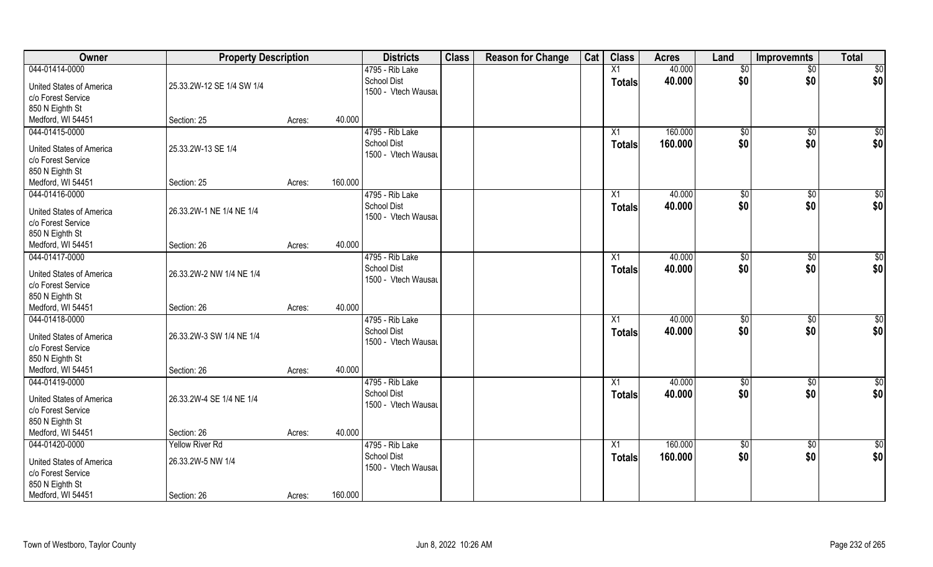| Owner                           | <b>Property Description</b> |        |         | <b>Districts</b>                          | <b>Class</b> | <b>Reason for Change</b> | Cat | <b>Class</b>    | <b>Acres</b> | Land            | <b>Improvemnts</b> | <b>Total</b>    |
|---------------------------------|-----------------------------|--------|---------|-------------------------------------------|--------------|--------------------------|-----|-----------------|--------------|-----------------|--------------------|-----------------|
| 044-01414-0000                  |                             |        |         | 4795 - Rib Lake                           |              |                          |     | X1              | 40.000       | \$0             | $\overline{50}$    | \$0             |
| <b>United States of America</b> | 25.33.2W-12 SE 1/4 SW 1/4   |        |         | <b>School Dist</b><br>1500 - Vtech Wausau |              |                          |     | <b>Totals</b>   | 40.000       | \$0             | \$0                | \$0             |
| c/o Forest Service              |                             |        |         |                                           |              |                          |     |                 |              |                 |                    |                 |
| 850 N Eighth St                 |                             |        |         |                                           |              |                          |     |                 |              |                 |                    |                 |
| Medford, WI 54451               | Section: 25                 | Acres: | 40.000  |                                           |              |                          |     |                 |              |                 |                    |                 |
| 044-01415-0000                  |                             |        |         | 4795 - Rib Lake                           |              |                          |     | $\overline{X1}$ | 160.000      | $\sqrt[6]{}$    | $\sqrt{$0}$        | $\sqrt{50}$     |
| <b>United States of America</b> | 25.33.2W-13 SE 1/4          |        |         | <b>School Dist</b>                        |              |                          |     | Totals          | 160.000      | \$0             | \$0                | \$0             |
| c/o Forest Service              |                             |        |         | 1500 - Vtech Wausau                       |              |                          |     |                 |              |                 |                    |                 |
| 850 N Eighth St                 |                             |        |         |                                           |              |                          |     |                 |              |                 |                    |                 |
| Medford, WI 54451               | Section: 25                 | Acres: | 160.000 |                                           |              |                          |     |                 |              |                 |                    |                 |
| 044-01416-0000                  |                             |        |         | 4795 - Rib Lake                           |              |                          |     | X1              | 40.000       | \$0             | $\sqrt[6]{30}$     | \$0             |
|                                 |                             |        |         | <b>School Dist</b>                        |              |                          |     | <b>Totals</b>   | 40.000       | \$0             | \$0                | \$0             |
| <b>United States of America</b> | 26.33.2W-1 NE 1/4 NE 1/4    |        |         | 1500 - Vtech Wausau                       |              |                          |     |                 |              |                 |                    |                 |
| c/o Forest Service              |                             |        |         |                                           |              |                          |     |                 |              |                 |                    |                 |
| 850 N Eighth St                 |                             |        |         |                                           |              |                          |     |                 |              |                 |                    |                 |
| Medford, WI 54451               | Section: 26                 | Acres: | 40.000  |                                           |              |                          |     |                 |              |                 |                    |                 |
| 044-01417-0000                  |                             |        |         | 4795 - Rib Lake                           |              |                          |     | X1              | 40.000       | $\sqrt[6]{3}$   | $\sqrt[6]{3}$      | $\overline{50}$ |
| <b>United States of America</b> | 26.33.2W-2 NW 1/4 NE 1/4    |        |         | <b>School Dist</b><br>1500 - Vtech Wausau |              |                          |     | <b>Totals</b>   | 40.000       | \$0             | \$0                | \$0             |
| c/o Forest Service              |                             |        |         |                                           |              |                          |     |                 |              |                 |                    |                 |
| 850 N Eighth St                 |                             |        |         |                                           |              |                          |     |                 |              |                 |                    |                 |
| Medford, WI 54451               | Section: 26                 | Acres: | 40.000  |                                           |              |                          |     |                 |              |                 |                    |                 |
| 044-01418-0000                  |                             |        |         | 4795 - Rib Lake                           |              |                          |     | X1              | 40.000       | \$0             | \$0                | \$0             |
| <b>United States of America</b> | 26.33.2W-3 SW 1/4 NE 1/4    |        |         | <b>School Dist</b>                        |              |                          |     | <b>Totals</b>   | 40.000       | \$0             | \$0                | \$0             |
| c/o Forest Service              |                             |        |         | 1500 - Vtech Wausau                       |              |                          |     |                 |              |                 |                    |                 |
| 850 N Eighth St                 |                             |        |         |                                           |              |                          |     |                 |              |                 |                    |                 |
| Medford, WI 54451               | Section: 26                 | Acres: | 40.000  |                                           |              |                          |     |                 |              |                 |                    |                 |
| 044-01419-0000                  |                             |        |         | 4795 - Rib Lake                           |              |                          |     | X1              | 40.000       | \$0             | \$0                | \$0             |
|                                 |                             |        |         | School Dist                               |              |                          |     | <b>Totals</b>   | 40.000       | \$0             | \$0                | \$0             |
| <b>United States of America</b> | 26.33.2W-4 SE 1/4 NE 1/4    |        |         | 1500 - Vtech Wausau                       |              |                          |     |                 |              |                 |                    |                 |
| c/o Forest Service              |                             |        |         |                                           |              |                          |     |                 |              |                 |                    |                 |
| 850 N Eighth St                 |                             |        |         |                                           |              |                          |     |                 |              |                 |                    |                 |
| Medford, WI 54451               | Section: 26                 | Acres: | 40.000  |                                           |              |                          |     |                 |              |                 |                    |                 |
| 044-01420-0000                  | <b>Yellow River Rd</b>      |        |         | 4795 - Rib Lake                           |              |                          |     | $\overline{X1}$ | 160.000      | $\overline{50}$ | $\sqrt{$0}$        | $\overline{50}$ |
| <b>United States of America</b> | 26.33.2W-5 NW 1/4           |        |         | <b>School Dist</b>                        |              |                          |     | <b>Totals</b>   | 160.000      | \$0             | \$0                | \$0             |
| c/o Forest Service              |                             |        |         | 1500 - Vtech Wausau                       |              |                          |     |                 |              |                 |                    |                 |
| 850 N Eighth St                 |                             |        |         |                                           |              |                          |     |                 |              |                 |                    |                 |
| Medford, WI 54451               | Section: 26                 | Acres: | 160.000 |                                           |              |                          |     |                 |              |                 |                    |                 |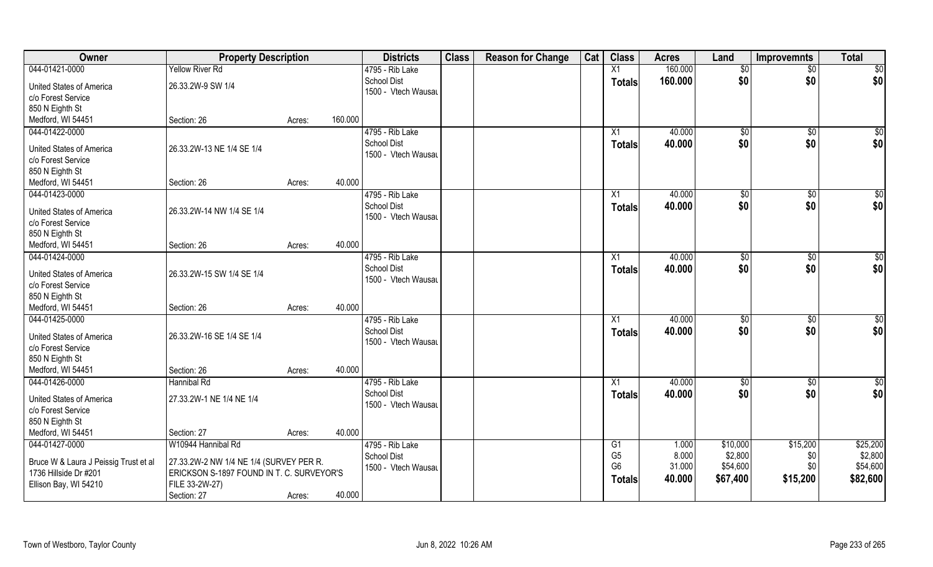| <b>Owner</b>                                                                                              | <b>Property Description</b>                                                                                                                 |        |         | <b>Districts</b>                                             | <b>Class</b> | <b>Reason for Change</b> | Cat | <b>Class</b>                                                        | <b>Acres</b>                       | Land                                        | <b>Improvemnts</b>                 | <b>Total</b>                                |
|-----------------------------------------------------------------------------------------------------------|---------------------------------------------------------------------------------------------------------------------------------------------|--------|---------|--------------------------------------------------------------|--------------|--------------------------|-----|---------------------------------------------------------------------|------------------------------------|---------------------------------------------|------------------------------------|---------------------------------------------|
| 044-01421-0000                                                                                            | <b>Yellow River Rd</b>                                                                                                                      |        |         | 4795 - Rib Lake                                              |              |                          |     | X1                                                                  | 160.000                            | \$0                                         | $\overline{50}$                    | \$0                                         |
| <b>United States of America</b><br>c/o Forest Service                                                     | 26.33.2W-9 SW 1/4                                                                                                                           |        |         | <b>School Dist</b><br>1500 - Vtech Wausau                    |              |                          |     | <b>Totals</b>                                                       | 160.000                            | \$0                                         | \$0                                | \$0                                         |
| 850 N Eighth St                                                                                           |                                                                                                                                             |        |         |                                                              |              |                          |     |                                                                     |                                    |                                             |                                    |                                             |
| Medford, WI 54451                                                                                         | Section: 26                                                                                                                                 | Acres: | 160.000 |                                                              |              |                          |     |                                                                     |                                    |                                             |                                    |                                             |
| 044-01422-0000<br>United States of America<br>c/o Forest Service<br>850 N Eighth St                       | 26.33.2W-13 NE 1/4 SE 1/4                                                                                                                   |        |         | 4795 - Rib Lake<br><b>School Dist</b><br>1500 - Vtech Wausau |              |                          |     | X1<br><b>Totals</b>                                                 | 40.000<br>40.000                   | $\sqrt{6}$<br>\$0                           | \$0<br>\$0                         | \$0<br>\$0                                  |
| Medford, WI 54451                                                                                         | Section: 26                                                                                                                                 | Acres: | 40.000  |                                                              |              |                          |     |                                                                     |                                    |                                             |                                    |                                             |
| 044-01423-0000                                                                                            |                                                                                                                                             |        |         | 4795 - Rib Lake                                              |              |                          |     | $\overline{X1}$                                                     | 40.000                             | \$0                                         | \$0                                | $\overline{50}$                             |
| <b>United States of America</b><br>c/o Forest Service<br>850 N Eighth St                                  | 26.33.2W-14 NW 1/4 SE 1/4                                                                                                                   |        |         | <b>School Dist</b><br>1500 - Vtech Wausau                    |              |                          |     | <b>Totals</b>                                                       | 40.000                             | \$0                                         | \$0                                | \$0                                         |
| Medford, WI 54451                                                                                         | Section: 26                                                                                                                                 | Acres: | 40.000  |                                                              |              |                          |     |                                                                     |                                    |                                             |                                    |                                             |
| 044-01424-0000                                                                                            |                                                                                                                                             |        |         | 4795 - Rib Lake<br>School Dist                               |              |                          |     | X1<br><b>Totals</b>                                                 | 40.000<br>40.000                   | $\frac{1}{20}$<br>\$0                       | $\sqrt[6]{3}$<br>\$0               | \$0<br>\$0                                  |
| <b>United States of America</b><br>c/o Forest Service<br>850 N Eighth St                                  | 26.33.2W-15 SW 1/4 SE 1/4                                                                                                                   |        |         | 1500 - Vtech Wausau                                          |              |                          |     |                                                                     |                                    |                                             |                                    |                                             |
| Medford, WI 54451                                                                                         | Section: 26                                                                                                                                 | Acres: | 40.000  |                                                              |              |                          |     |                                                                     |                                    |                                             |                                    |                                             |
| 044-01425-0000<br>United States of America<br>c/o Forest Service<br>850 N Eighth St                       | 26.33.2W-16 SE 1/4 SE 1/4                                                                                                                   |        |         | 4795 - Rib Lake<br><b>School Dist</b><br>1500 - Vtech Wausau |              |                          |     | X1<br>Totals                                                        | 40.000<br>40.000                   | \$0<br>\$0                                  | $\sqrt[6]{30}$<br>\$0              | \$0<br>\$0                                  |
| Medford, WI 54451                                                                                         | Section: 26                                                                                                                                 | Acres: | 40.000  |                                                              |              |                          |     |                                                                     |                                    |                                             |                                    |                                             |
| 044-01426-0000                                                                                            | Hannibal Rd                                                                                                                                 |        |         | 4795 - Rib Lake                                              |              |                          |     | X1                                                                  | 40.000                             | \$0                                         | \$0                                | \$0                                         |
| <b>United States of America</b><br>c/o Forest Service<br>850 N Eighth St                                  | 27.33.2W-1 NE 1/4 NE 1/4                                                                                                                    |        |         | <b>School Dist</b><br>1500 - Vtech Wausau                    |              |                          |     | <b>Totals</b>                                                       | 40.000                             | \$0                                         | \$0                                | \$0                                         |
| Medford, WI 54451                                                                                         | Section: 27                                                                                                                                 | Acres: | 40.000  |                                                              |              |                          |     |                                                                     |                                    |                                             |                                    |                                             |
| 044-01427-0000<br>Bruce W & Laura J Peissig Trust et al<br>1736 Hillside Dr #201<br>Ellison Bay, WI 54210 | W10944 Hannibal Rd<br>27.33.2W-2 NW 1/4 NE 1/4 (SURVEY PER R.<br>ERICKSON S-1897 FOUND IN T. C. SURVEYOR'S<br>FILE 33-2W-27)<br>Section: 27 | Acres: | 40.000  | 4795 - Rib Lake<br><b>School Dist</b><br>1500 - Vtech Wausau |              |                          |     | G <sub>1</sub><br>G <sub>5</sub><br>G <sub>6</sub><br><b>Totals</b> | 1.000<br>8.000<br>31.000<br>40.000 | \$10,000<br>\$2,800<br>\$54,600<br>\$67,400 | \$15,200<br>\$0<br>\$0<br>\$15,200 | \$25,200<br>\$2,800<br>\$54,600<br>\$82,600 |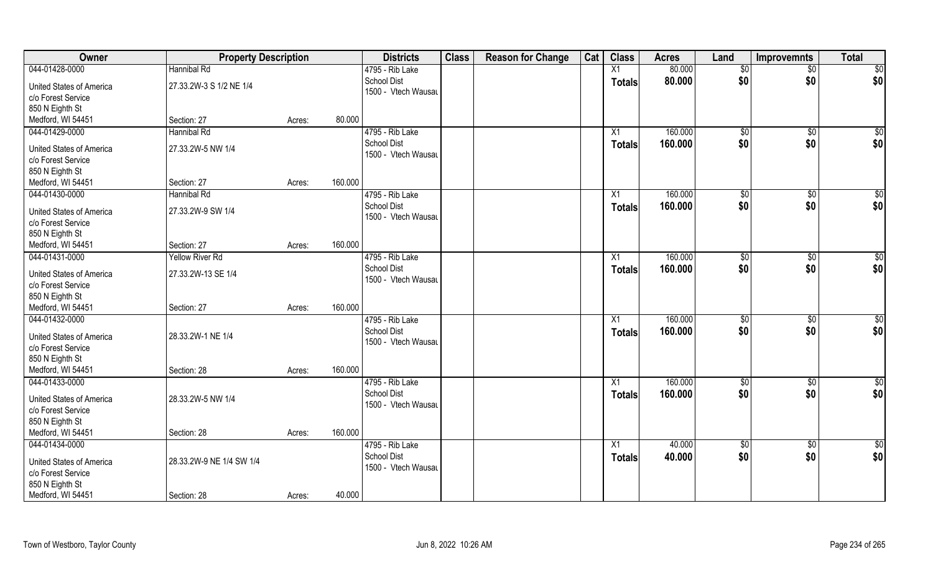| Owner                    | <b>Property Description</b> |        |         | <b>Districts</b>    | <b>Class</b> | <b>Reason for Change</b> | Cat | <b>Class</b>  | <b>Acres</b> | Land            | <b>Improvemnts</b> | <b>Total</b> |
|--------------------------|-----------------------------|--------|---------|---------------------|--------------|--------------------------|-----|---------------|--------------|-----------------|--------------------|--------------|
| 044-01428-0000           | Hannibal Rd                 |        |         | 4795 - Rib Lake     |              |                          |     | X1            | 80.000       | \$0             | $\overline{50}$    | \$0          |
| United States of America | 27.33.2W-3 S 1/2 NE 1/4     |        |         | <b>School Dist</b>  |              |                          |     | <b>Totals</b> | 80.000       | \$0             | \$0                | \$0          |
| c/o Forest Service       |                             |        |         | 1500 - Vtech Wausau |              |                          |     |               |              |                 |                    |              |
| 850 N Eighth St          |                             |        |         |                     |              |                          |     |               |              |                 |                    |              |
| Medford, WI 54451        | Section: 27                 | Acres: | 80.000  |                     |              |                          |     |               |              |                 |                    |              |
| 044-01429-0000           | Hannibal Rd                 |        |         | 4795 - Rib Lake     |              |                          |     | X1            | 160.000      | $\sqrt[6]{}$    | $\sqrt{$0}$        | $\sqrt{50}$  |
|                          |                             |        |         | <b>School Dist</b>  |              |                          |     | <b>Totals</b> | 160.000      | \$0             | \$0                | \$0          |
| United States of America | 27.33.2W-5 NW 1/4           |        |         | 1500 - Vtech Wausau |              |                          |     |               |              |                 |                    |              |
| c/o Forest Service       |                             |        |         |                     |              |                          |     |               |              |                 |                    |              |
| 850 N Eighth St          |                             |        |         |                     |              |                          |     |               |              |                 |                    |              |
| Medford, WI 54451        | Section: 27                 | Acres: | 160.000 |                     |              |                          |     |               |              |                 |                    |              |
| 044-01430-0000           | Hannibal Rd                 |        |         | 4795 - Rib Lake     |              |                          |     | X1            | 160.000      | \$0             | $\sqrt[6]{30}$     | \$0          |
| United States of America | 27.33.2W-9 SW 1/4           |        |         | <b>School Dist</b>  |              |                          |     | <b>Totals</b> | 160.000      | \$0             | \$0                | \$0          |
| c/o Forest Service       |                             |        |         | 1500 - Vtech Wausau |              |                          |     |               |              |                 |                    |              |
| 850 N Eighth St          |                             |        |         |                     |              |                          |     |               |              |                 |                    |              |
| Medford, WI 54451        | Section: 27                 | Acres: | 160.000 |                     |              |                          |     |               |              |                 |                    |              |
| 044-01431-0000           | <b>Yellow River Rd</b>      |        |         | 4795 - Rib Lake     |              |                          |     | X1            | 160.000      | $\frac{1}{20}$  | $\sqrt[6]{3}$      | \$0          |
|                          |                             |        |         | <b>School Dist</b>  |              |                          |     | <b>Totals</b> | 160.000      | \$0             | \$0                | \$0          |
| United States of America | 27.33.2W-13 SE 1/4          |        |         | 1500 - Vtech Wausau |              |                          |     |               |              |                 |                    |              |
| c/o Forest Service       |                             |        |         |                     |              |                          |     |               |              |                 |                    |              |
| 850 N Eighth St          |                             |        |         |                     |              |                          |     |               |              |                 |                    |              |
| Medford, WI 54451        | Section: 27                 | Acres: | 160.000 |                     |              |                          |     |               |              |                 |                    |              |
| 044-01432-0000           |                             |        |         | 4795 - Rib Lake     |              |                          |     | X1            | 160.000      | \$0             | $\sqrt[6]{3}$      | \$0          |
| United States of America | 28.33.2W-1 NE 1/4           |        |         | <b>School Dist</b>  |              |                          |     | <b>Totals</b> | 160.000      | \$0             | \$0                | \$0          |
| c/o Forest Service       |                             |        |         | 1500 - Vtech Wausau |              |                          |     |               |              |                 |                    |              |
| 850 N Eighth St          |                             |        |         |                     |              |                          |     |               |              |                 |                    |              |
| Medford, WI 54451        | Section: 28                 | Acres: | 160.000 |                     |              |                          |     |               |              |                 |                    |              |
| 044-01433-0000           |                             |        |         | 4795 - Rib Lake     |              |                          |     | X1            | 160.000      | \$0             | \$0                | \$0          |
|                          |                             |        |         | <b>School Dist</b>  |              |                          |     | <b>Totals</b> | 160.000      | \$0             | \$0                | \$0          |
| United States of America | 28.33.2W-5 NW 1/4           |        |         | 1500 - Vtech Wausau |              |                          |     |               |              |                 |                    |              |
| c/o Forest Service       |                             |        |         |                     |              |                          |     |               |              |                 |                    |              |
| 850 N Eighth St          |                             |        |         |                     |              |                          |     |               |              |                 |                    |              |
| Medford, WI 54451        | Section: 28                 | Acres: | 160.000 |                     |              |                          |     |               |              |                 |                    |              |
| 044-01434-0000           |                             |        |         | 4795 - Rib Lake     |              |                          |     | X1            | 40.000       | $\overline{50}$ | $\sqrt{$0}$        | \$0          |
| United States of America | 28.33.2W-9 NE 1/4 SW 1/4    |        |         | <b>School Dist</b>  |              |                          |     | <b>Totals</b> | 40.000       | \$0             | \$0                | \$0          |
| c/o Forest Service       |                             |        |         | 1500 - Vtech Wausau |              |                          |     |               |              |                 |                    |              |
| 850 N Eighth St          |                             |        |         |                     |              |                          |     |               |              |                 |                    |              |
| Medford, WI 54451        | Section: 28                 | Acres: | 40.000  |                     |              |                          |     |               |              |                 |                    |              |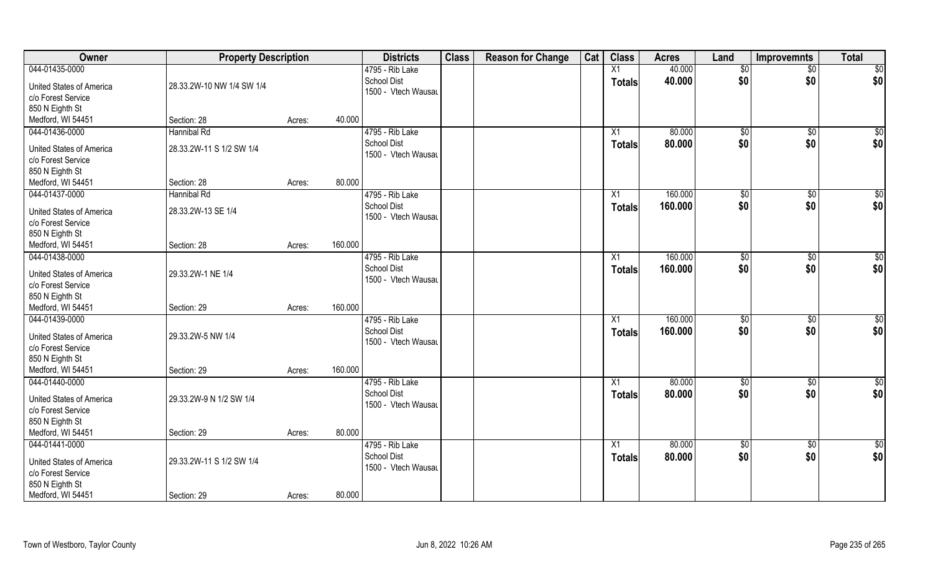| Owner                    | <b>Property Description</b> |        |         | <b>Districts</b>                      | <b>Class</b> | <b>Reason for Change</b> | Cat | <b>Class</b>  | <b>Acres</b> | Land            | <b>Improvemnts</b> | <b>Total</b>    |
|--------------------------|-----------------------------|--------|---------|---------------------------------------|--------------|--------------------------|-----|---------------|--------------|-----------------|--------------------|-----------------|
| 044-01435-0000           |                             |        |         | 4795 - Rib Lake                       |              |                          |     | X1            | 40.000       | $\overline{50}$ | $\overline{50}$    | \$0             |
| United States of America | 28.33.2W-10 NW 1/4 SW 1/4   |        |         | <b>School Dist</b>                    |              |                          |     | <b>Totals</b> | 40.000       | \$0             | \$0                | \$0             |
| c/o Forest Service       |                             |        |         | 1500 - Vtech Wausau                   |              |                          |     |               |              |                 |                    |                 |
| 850 N Eighth St          |                             |        |         |                                       |              |                          |     |               |              |                 |                    |                 |
| Medford, WI 54451        | Section: 28                 | Acres: | 40.000  |                                       |              |                          |     |               |              |                 |                    |                 |
| 044-01436-0000           | <b>Hannibal Rd</b>          |        |         | 4795 - Rib Lake                       |              |                          |     | X1            | 80.000       | \$0             | \$0                | $\sqrt{50}$     |
|                          |                             |        |         | <b>School Dist</b>                    |              |                          |     | <b>Totals</b> | 80.000       | \$0             | \$0                | \$0             |
| United States of America | 28.33.2W-11 S 1/2 SW 1/4    |        |         | 1500 - Vtech Wausau                   |              |                          |     |               |              |                 |                    |                 |
| c/o Forest Service       |                             |        |         |                                       |              |                          |     |               |              |                 |                    |                 |
| 850 N Eighth St          | Section: 28                 |        | 80.000  |                                       |              |                          |     |               |              |                 |                    |                 |
| Medford, WI 54451        |                             | Acres: |         |                                       |              |                          |     |               | 160.000      |                 |                    |                 |
| 044-01437-0000           | Hannibal Rd                 |        |         | 4795 - Rib Lake<br><b>School Dist</b> |              |                          |     | X1            |              | $\sqrt[6]{3}$   | $\sqrt[6]{3}$      | \$0             |
| United States of America | 28.33.2W-13 SE 1/4          |        |         | 1500 - Vtech Wausau                   |              |                          |     | <b>Totals</b> | 160.000      | \$0             | \$0                | \$0             |
| c/o Forest Service       |                             |        |         |                                       |              |                          |     |               |              |                 |                    |                 |
| 850 N Eighth St          |                             |        |         |                                       |              |                          |     |               |              |                 |                    |                 |
| Medford, WI 54451        | Section: 28                 | Acres: | 160.000 |                                       |              |                          |     |               |              |                 |                    |                 |
| 044-01438-0000           |                             |        |         | 4795 - Rib Lake                       |              |                          |     | X1            | 160.000      | $\frac{1}{20}$  | \$0                | \$0             |
| United States of America | 29.33.2W-1 NE 1/4           |        |         | <b>School Dist</b>                    |              |                          |     | <b>Totals</b> | 160.000      | \$0             | \$0                | \$0             |
| c/o Forest Service       |                             |        |         | 1500 - Vtech Wausau                   |              |                          |     |               |              |                 |                    |                 |
| 850 N Eighth St          |                             |        |         |                                       |              |                          |     |               |              |                 |                    |                 |
| Medford, WI 54451        | Section: 29                 | Acres: | 160.000 |                                       |              |                          |     |               |              |                 |                    |                 |
| 044-01439-0000           |                             |        |         | 4795 - Rib Lake                       |              |                          |     | X1            | 160.000      | \$0             | \$0                | \$0             |
|                          |                             |        |         | <b>School Dist</b>                    |              |                          |     | <b>Totals</b> | 160.000      | \$0             | \$0                | \$0             |
| United States of America | 29.33.2W-5 NW 1/4           |        |         | 1500 - Vtech Wausau                   |              |                          |     |               |              |                 |                    |                 |
| c/o Forest Service       |                             |        |         |                                       |              |                          |     |               |              |                 |                    |                 |
| 850 N Eighth St          |                             |        |         |                                       |              |                          |     |               |              |                 |                    |                 |
| Medford, WI 54451        | Section: 29                 | Acres: | 160.000 |                                       |              |                          |     |               |              |                 |                    |                 |
| 044-01440-0000           |                             |        |         | 4795 - Rib Lake                       |              |                          |     | X1            | 80.000       | $\overline{50}$ | \$0                | $\overline{50}$ |
| United States of America | 29.33.2W-9 N 1/2 SW 1/4     |        |         | <b>School Dist</b>                    |              |                          |     | <b>Totals</b> | 80.000       | \$0             | \$0                | \$0             |
| c/o Forest Service       |                             |        |         | 1500 - Vtech Wausau                   |              |                          |     |               |              |                 |                    |                 |
| 850 N Eighth St          |                             |        |         |                                       |              |                          |     |               |              |                 |                    |                 |
| Medford, WI 54451        | Section: 29                 | Acres: | 80.000  |                                       |              |                          |     |               |              |                 |                    |                 |
| 044-01441-0000           |                             |        |         | 4795 - Rib Lake                       |              |                          |     | X1            | 80.000       | $\overline{50}$ | $\sqrt{$0}$        | $\overline{50}$ |
|                          |                             |        |         | <b>School Dist</b>                    |              |                          |     | <b>Totals</b> | 80.000       | \$0             | \$0                | \$0             |
| United States of America | 29.33.2W-11 S 1/2 SW 1/4    |        |         | 1500 - Vtech Wausau                   |              |                          |     |               |              |                 |                    |                 |
| c/o Forest Service       |                             |        |         |                                       |              |                          |     |               |              |                 |                    |                 |
| 850 N Eighth St          |                             |        |         |                                       |              |                          |     |               |              |                 |                    |                 |
| Medford, WI 54451        | Section: 29                 | Acres: | 80.000  |                                       |              |                          |     |               |              |                 |                    |                 |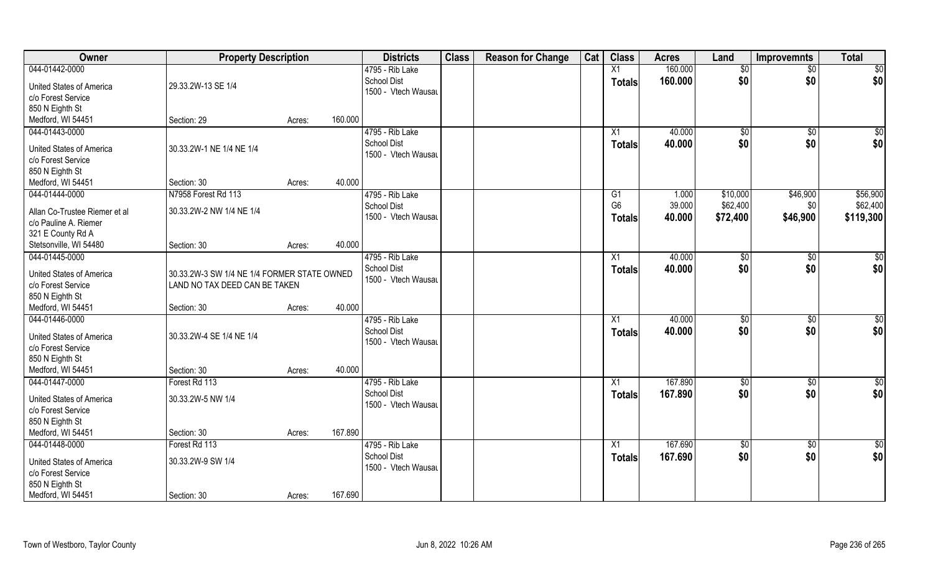| Owner                                                 | <b>Property Description</b>                                                  |        |         | <b>Districts</b>    | <b>Class</b> | <b>Reason for Change</b> | Cat | <b>Class</b>    | <b>Acres</b> | Land        | <b>Improvemnts</b> | <b>Total</b>  |
|-------------------------------------------------------|------------------------------------------------------------------------------|--------|---------|---------------------|--------------|--------------------------|-----|-----------------|--------------|-------------|--------------------|---------------|
| 044-01442-0000                                        |                                                                              |        |         | 4795 - Rib Lake     |              |                          |     | X1              | 160.000      | \$0         | $\sqrt{6}$         | \$0           |
| United States of America                              | 29.33.2W-13 SE 1/4                                                           |        |         | <b>School Dist</b>  |              |                          |     | <b>Totals</b>   | 160.000      | \$0         | \$0                | \$0           |
| c/o Forest Service                                    |                                                                              |        |         | 1500 - Vtech Wausau |              |                          |     |                 |              |             |                    |               |
| 850 N Eighth St                                       |                                                                              |        |         |                     |              |                          |     |                 |              |             |                    |               |
| Medford, WI 54451                                     | Section: 29                                                                  | Acres: | 160.000 |                     |              |                          |     |                 |              |             |                    |               |
| 044-01443-0000                                        |                                                                              |        |         | 4795 - Rib Lake     |              |                          |     | X1              | 40.000       | $\sqrt{$0}$ | \$0                | \$0           |
|                                                       |                                                                              |        |         | <b>School Dist</b>  |              |                          |     | Totals          | 40.000       | \$0         | \$0                | \$0           |
| <b>United States of America</b>                       | 30.33.2W-1 NE 1/4 NE 1/4                                                     |        |         | 1500 - Vtech Wausau |              |                          |     |                 |              |             |                    |               |
| c/o Forest Service                                    |                                                                              |        |         |                     |              |                          |     |                 |              |             |                    |               |
| 850 N Eighth St                                       |                                                                              |        |         |                     |              |                          |     |                 |              |             |                    |               |
| Medford, WI 54451                                     | Section: 30                                                                  | Acres: | 40.000  |                     |              |                          |     |                 |              |             |                    |               |
| 044-01444-0000                                        | N7958 Forest Rd 113                                                          |        |         | 4795 - Rib Lake     |              |                          |     | G1              | 1.000        | \$10,000    | \$46,900           | \$56,900      |
| Allan Co-Trustee Riemer et al                         | 30.33.2W-2 NW 1/4 NE 1/4                                                     |        |         | <b>School Dist</b>  |              |                          |     | G <sub>6</sub>  | 39.000       | \$62,400    | \$0                | \$62,400      |
| c/o Pauline A. Riemer                                 |                                                                              |        |         | 1500 - Vtech Wausau |              |                          |     | <b>Totals</b>   | 40.000       | \$72,400    | \$46,900           | \$119,300     |
| 321 E County Rd A                                     |                                                                              |        |         |                     |              |                          |     |                 |              |             |                    |               |
| Stetsonville, WI 54480                                | Section: 30                                                                  | Acres: | 40.000  |                     |              |                          |     |                 |              |             |                    |               |
| 044-01445-0000                                        |                                                                              |        |         | 4795 - Rib Lake     |              |                          |     | X1              | 40.000       | \$0         | $\sqrt{50}$        | \$0           |
| United States of America                              |                                                                              |        |         | <b>School Dist</b>  |              |                          |     | <b>Totals</b>   | 40.000       | \$0         | \$0                | \$0           |
| c/o Forest Service                                    | 30.33.2W-3 SW 1/4 NE 1/4 FORMER STATE OWNED<br>LAND NO TAX DEED CAN BE TAKEN |        |         | 1500 - Vtech Wausau |              |                          |     |                 |              |             |                    |               |
| 850 N Eighth St                                       |                                                                              |        |         |                     |              |                          |     |                 |              |             |                    |               |
| Medford, WI 54451                                     | Section: 30                                                                  | Acres: | 40.000  |                     |              |                          |     |                 |              |             |                    |               |
| 044-01446-0000                                        |                                                                              |        |         | 4795 - Rib Lake     |              |                          |     | $\overline{X1}$ | 40.000       | \$0         | $\overline{50}$    | \$0           |
|                                                       |                                                                              |        |         | <b>School Dist</b>  |              |                          |     |                 | 40.000       | \$0         | \$0                | \$0           |
| United States of America                              | 30.33.2W-4 SE 1/4 NE 1/4                                                     |        |         | 1500 - Vtech Wausau |              |                          |     | <b>Totals</b>   |              |             |                    |               |
| c/o Forest Service                                    |                                                                              |        |         |                     |              |                          |     |                 |              |             |                    |               |
| 850 N Eighth St                                       |                                                                              |        |         |                     |              |                          |     |                 |              |             |                    |               |
| Medford, WI 54451                                     | Section: 30                                                                  | Acres: | 40.000  |                     |              |                          |     |                 |              |             |                    |               |
| 044-01447-0000                                        | Forest Rd 113                                                                |        |         | 4795 - Rib Lake     |              |                          |     | $\overline{X1}$ | 167.890      | \$0         | $\sqrt{6}$         | $\frac{1}{2}$ |
| United States of America                              | 30.33.2W-5 NW 1/4                                                            |        |         | <b>School Dist</b>  |              |                          |     | <b>Totals</b>   | 167.890      | \$0         | \$0                | \$0           |
| c/o Forest Service                                    |                                                                              |        |         | 1500 - Vtech Wausau |              |                          |     |                 |              |             |                    |               |
| 850 N Eighth St                                       |                                                                              |        |         |                     |              |                          |     |                 |              |             |                    |               |
| Medford, WI 54451                                     | Section: 30                                                                  | Acres: | 167.890 |                     |              |                          |     |                 |              |             |                    |               |
| 044-01448-0000                                        | Forest Rd 113                                                                |        |         | 4795 - Rib Lake     |              |                          |     | $\overline{X1}$ | 167.690      | $\sqrt{$0}$ | $\overline{50}$    | $\frac{1}{2}$ |
|                                                       |                                                                              |        |         | <b>School Dist</b>  |              |                          |     | <b>Totals</b>   | 167.690      | \$0         | \$0                | \$0           |
| <b>United States of America</b><br>c/o Forest Service | 30.33.2W-9 SW 1/4                                                            |        |         | 1500 - Vtech Wausau |              |                          |     |                 |              |             |                    |               |
| 850 N Eighth St                                       |                                                                              |        |         |                     |              |                          |     |                 |              |             |                    |               |
| Medford, WI 54451                                     | Section: 30                                                                  |        | 167.690 |                     |              |                          |     |                 |              |             |                    |               |
|                                                       |                                                                              | Acres: |         |                     |              |                          |     |                 |              |             |                    |               |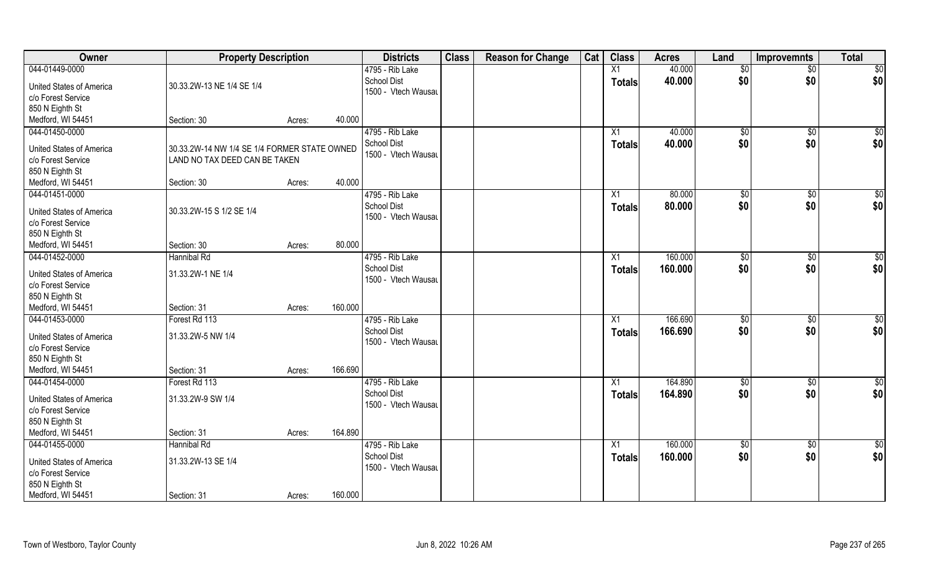| Owner                                                 | <b>Property Description</b>                  |        |         | <b>Districts</b>                          | <b>Class</b> | <b>Reason for Change</b> | Cat | <b>Class</b>    | <b>Acres</b> | Land         | <b>Improvemnts</b> | <b>Total</b>    |
|-------------------------------------------------------|----------------------------------------------|--------|---------|-------------------------------------------|--------------|--------------------------|-----|-----------------|--------------|--------------|--------------------|-----------------|
| 044-01449-0000                                        |                                              |        |         | 4795 - Rib Lake                           |              |                          |     | X1              | 40.000       | \$0          | $\sqrt{$0}$        | $\sqrt{50}$     |
| <b>United States of America</b><br>c/o Forest Service | 30.33.2W-13 NE 1/4 SE 1/4                    |        |         | <b>School Dist</b><br>1500 - Vtech Wausau |              |                          |     | <b>Totals</b>   | 40.000       | \$0          | \$0                | \$0             |
| 850 N Eighth St                                       |                                              |        |         |                                           |              |                          |     |                 |              |              |                    |                 |
| Medford, WI 54451                                     | Section: 30                                  | Acres: | 40.000  |                                           |              |                          |     |                 |              |              |                    |                 |
| 044-01450-0000                                        |                                              |        |         | 4795 - Rib Lake                           |              |                          |     | X1              | 40.000       | $\sqrt[6]{}$ | $\sqrt{$0}$        | \$0             |
|                                                       |                                              |        |         | <b>School Dist</b>                        |              |                          |     | Totals          | 40.000       | \$0          | \$0                | \$0             |
| United States of America                              | 30.33.2W-14 NW 1/4 SE 1/4 FORMER STATE OWNED |        |         | 1500 - Vtech Wausau                       |              |                          |     |                 |              |              |                    |                 |
| c/o Forest Service                                    | LAND NO TAX DEED CAN BE TAKEN                |        |         |                                           |              |                          |     |                 |              |              |                    |                 |
| 850 N Eighth St                                       |                                              |        |         |                                           |              |                          |     |                 |              |              |                    |                 |
| Medford, WI 54451                                     | Section: 30                                  | Acres: | 40.000  |                                           |              |                          |     |                 |              |              |                    |                 |
| 044-01451-0000                                        |                                              |        |         | 4795 - Rib Lake                           |              |                          |     | X1              | 80.000       | \$0          | $\overline{50}$    | $\sqrt{50}$     |
| <b>United States of America</b>                       | 30.33.2W-15 S 1/2 SE 1/4                     |        |         | <b>School Dist</b>                        |              |                          |     | <b>Totals</b>   | 80.000       | \$0          | \$0                | \$0             |
| c/o Forest Service                                    |                                              |        |         | 1500 - Vtech Wausau                       |              |                          |     |                 |              |              |                    |                 |
| 850 N Eighth St                                       |                                              |        |         |                                           |              |                          |     |                 |              |              |                    |                 |
| Medford, WI 54451                                     | Section: 30                                  | Acres: | 80.000  |                                           |              |                          |     |                 |              |              |                    |                 |
| 044-01452-0000                                        | Hannibal Rd                                  |        |         | 4795 - Rib Lake                           |              |                          |     | X1              | 160.000      | \$0          | $\sqrt[6]{3}$      | $\sqrt{50}$     |
|                                                       |                                              |        |         | <b>School Dist</b>                        |              |                          |     | <b>Totals</b>   | 160.000      | \$0          | \$0                | \$0             |
| <b>United States of America</b>                       | 31.33.2W-1 NE 1/4                            |        |         | 1500 - Vtech Wausau                       |              |                          |     |                 |              |              |                    |                 |
| c/o Forest Service                                    |                                              |        |         |                                           |              |                          |     |                 |              |              |                    |                 |
| 850 N Eighth St                                       |                                              |        |         |                                           |              |                          |     |                 |              |              |                    |                 |
| Medford, WI 54451                                     | Section: 31                                  | Acres: | 160.000 |                                           |              |                          |     |                 |              |              |                    |                 |
| 044-01453-0000                                        | Forest Rd 113                                |        |         | 4795 - Rib Lake                           |              |                          |     | X1              | 166.690      | \$0          | \$0                | $\sqrt{50}$     |
| <b>United States of America</b>                       | 31.33.2W-5 NW 1/4                            |        |         | <b>School Dist</b>                        |              |                          |     | <b>Totals</b>   | 166.690      | \$0          | \$0                | \$0             |
| c/o Forest Service                                    |                                              |        |         | 1500 - Vtech Wausau                       |              |                          |     |                 |              |              |                    |                 |
| 850 N Eighth St                                       |                                              |        |         |                                           |              |                          |     |                 |              |              |                    |                 |
| Medford, WI 54451                                     | Section: 31                                  | Acres: | 166.690 |                                           |              |                          |     |                 |              |              |                    |                 |
| 044-01454-0000                                        | Forest Rd 113                                |        |         | 4795 - Rib Lake                           |              |                          |     | X1              | 164.890      | \$0          | $\sqrt{$0}$        | \$0             |
| <b>United States of America</b>                       | 31.33.2W-9 SW 1/4                            |        |         | <b>School Dist</b><br>1500 - Vtech Wausau |              |                          |     | Totals          | 164.890      | \$0          | \$0                | \$0             |
| c/o Forest Service                                    |                                              |        |         |                                           |              |                          |     |                 |              |              |                    |                 |
| 850 N Eighth St                                       |                                              |        |         |                                           |              |                          |     |                 |              |              |                    |                 |
| Medford, WI 54451                                     | Section: 31                                  | Acres: | 164.890 |                                           |              |                          |     |                 |              |              |                    |                 |
| 044-01455-0000                                        | Hannibal Rd                                  |        |         | 4795 - Rib Lake                           |              |                          |     | $\overline{X1}$ | 160.000      | $\sqrt{6}$   | $\overline{60}$    | $\overline{50}$ |
| United States of America                              | 31.33.2W-13 SE 1/4                           |        |         | <b>School Dist</b>                        |              |                          |     | <b>Totals</b>   | 160.000      | \$0          | \$0                | \$0             |
| c/o Forest Service                                    |                                              |        |         | 1500 - Vtech Wausau                       |              |                          |     |                 |              |              |                    |                 |
| 850 N Eighth St                                       |                                              |        |         |                                           |              |                          |     |                 |              |              |                    |                 |
| Medford, WI 54451                                     | Section: 31                                  | Acres: | 160.000 |                                           |              |                          |     |                 |              |              |                    |                 |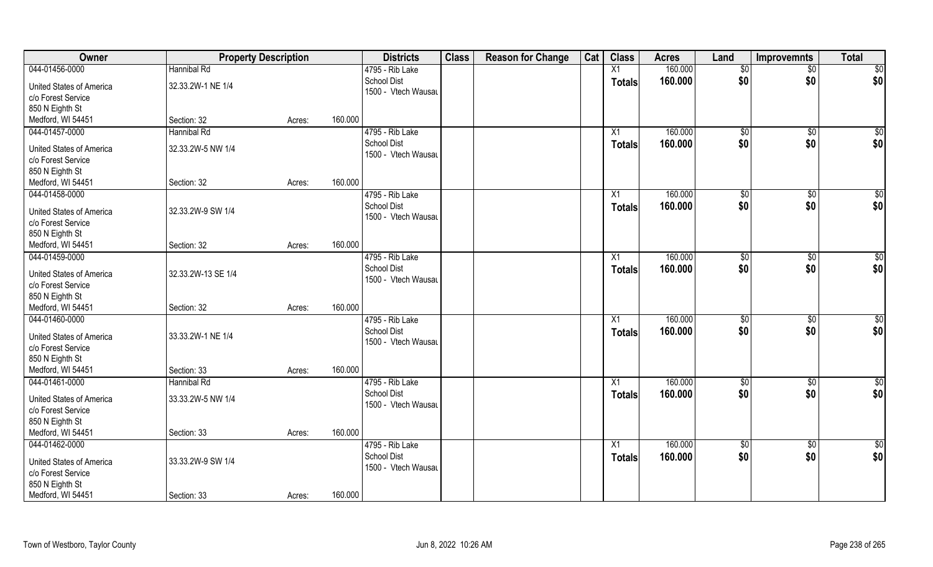| 160.000<br>044-01456-0000<br>Hannibal Rd<br>4795 - Rib Lake<br>X1<br>$\overline{50}$<br>\$0<br><b>School Dist</b><br>160.000<br>\$0<br>\$0<br>Totals<br>32.33.2W-1 NE 1/4<br><b>United States of America</b><br>1500 - Vtech Wausau<br>c/o Forest Service<br>850 N Eighth St<br>160.000<br>Medford, WI 54451<br>Section: 32<br>Acres:<br>160.000<br>044-01457-0000<br>Hannibal Rd<br>4795 - Rib Lake<br>\$0<br>\$0<br>X1<br><b>School Dist</b> |                                 |                   | <b>Property Description</b> | <b>Districts</b> | <b>Class</b> | <b>Reason for Change</b> | Cat | <b>Class</b> | <b>Acres</b> | Land | <b>Improvemnts</b> | <b>Total</b>    |
|------------------------------------------------------------------------------------------------------------------------------------------------------------------------------------------------------------------------------------------------------------------------------------------------------------------------------------------------------------------------------------------------------------------------------------------------|---------------------------------|-------------------|-----------------------------|------------------|--------------|--------------------------|-----|--------------|--------------|------|--------------------|-----------------|
|                                                                                                                                                                                                                                                                                                                                                                                                                                                |                                 |                   |                             |                  |              |                          |     |              |              |      |                    | $\sqrt{50}$     |
|                                                                                                                                                                                                                                                                                                                                                                                                                                                |                                 |                   |                             |                  |              |                          |     |              |              |      |                    | \$0             |
|                                                                                                                                                                                                                                                                                                                                                                                                                                                |                                 |                   |                             |                  |              |                          |     |              |              |      |                    |                 |
|                                                                                                                                                                                                                                                                                                                                                                                                                                                |                                 |                   |                             |                  |              |                          |     |              |              |      |                    |                 |
|                                                                                                                                                                                                                                                                                                                                                                                                                                                |                                 |                   |                             |                  |              |                          |     |              |              |      |                    | $\sqrt{50}$     |
|                                                                                                                                                                                                                                                                                                                                                                                                                                                | <b>United States of America</b> | 32.33.2W-5 NW 1/4 |                             |                  |              |                          |     | Totals       | 160.000      | \$0  | \$0                | \$0             |
| 1500 - Vtech Wausau<br>c/o Forest Service                                                                                                                                                                                                                                                                                                                                                                                                      |                                 |                   |                             |                  |              |                          |     |              |              |      |                    |                 |
| 850 N Eighth St                                                                                                                                                                                                                                                                                                                                                                                                                                |                                 |                   |                             |                  |              |                          |     |              |              |      |                    |                 |
| 160.000<br>Medford, WI 54451<br>Section: 32<br>Acres:                                                                                                                                                                                                                                                                                                                                                                                          |                                 |                   |                             |                  |              |                          |     |              |              |      |                    |                 |
| 160.000<br>044-01458-0000<br>4795 - Rib Lake<br>\$0<br>$\sqrt[6]{3}$<br>X1                                                                                                                                                                                                                                                                                                                                                                     |                                 |                   |                             |                  |              |                          |     |              |              |      |                    | \$0             |
| \$0<br><b>School Dist</b><br>\$0<br>160.000<br><b>Totals</b>                                                                                                                                                                                                                                                                                                                                                                                   |                                 |                   |                             |                  |              |                          |     |              |              |      |                    | \$0             |
| 32.33.2W-9 SW 1/4<br><b>United States of America</b><br>1500 - Vtech Wausau                                                                                                                                                                                                                                                                                                                                                                    |                                 |                   |                             |                  |              |                          |     |              |              |      |                    |                 |
| c/o Forest Service                                                                                                                                                                                                                                                                                                                                                                                                                             |                                 |                   |                             |                  |              |                          |     |              |              |      |                    |                 |
| 850 N Eighth St<br>160.000                                                                                                                                                                                                                                                                                                                                                                                                                     |                                 |                   |                             |                  |              |                          |     |              |              |      |                    |                 |
| Medford, WI 54451<br>Section: 32<br>Acres:<br>160.000<br>044-01459-0000<br>4795 - Rib Lake<br>X1                                                                                                                                                                                                                                                                                                                                               |                                 |                   |                             |                  |              |                          |     |              |              |      |                    |                 |
| $\sqrt[6]{3}$<br>\$0<br><b>School Dist</b><br>\$0<br>\$0<br>160.000                                                                                                                                                                                                                                                                                                                                                                            |                                 |                   |                             |                  |              |                          |     |              |              |      |                    | \$0             |
| Totals<br><b>United States of America</b><br>32.33.2W-13 SE 1/4<br>1500 - Vtech Wausau                                                                                                                                                                                                                                                                                                                                                         |                                 |                   |                             |                  |              |                          |     |              |              |      |                    | \$0             |
| c/o Forest Service                                                                                                                                                                                                                                                                                                                                                                                                                             |                                 |                   |                             |                  |              |                          |     |              |              |      |                    |                 |
| 850 N Eighth St                                                                                                                                                                                                                                                                                                                                                                                                                                |                                 |                   |                             |                  |              |                          |     |              |              |      |                    |                 |
| 160.000<br>Medford, WI 54451<br>Section: 32<br>Acres:                                                                                                                                                                                                                                                                                                                                                                                          |                                 |                   |                             |                  |              |                          |     |              |              |      |                    |                 |
| 044-01460-0000<br>160.000<br>4795 - Rib Lake<br>$\overline{X1}$<br>$\sqrt{50}$<br>\$0                                                                                                                                                                                                                                                                                                                                                          |                                 |                   |                             |                  |              |                          |     |              |              |      |                    | $\overline{50}$ |
| <b>School Dist</b><br>160.000<br>\$0<br>\$0<br><b>Totals</b><br><b>United States of America</b><br>33.33.2W-1 NE 1/4                                                                                                                                                                                                                                                                                                                           |                                 |                   |                             |                  |              |                          |     |              |              |      |                    | \$0             |
| 1500 - Vtech Wausau<br>c/o Forest Service                                                                                                                                                                                                                                                                                                                                                                                                      |                                 |                   |                             |                  |              |                          |     |              |              |      |                    |                 |
| 850 N Eighth St                                                                                                                                                                                                                                                                                                                                                                                                                                |                                 |                   |                             |                  |              |                          |     |              |              |      |                    |                 |
| 160.000<br>Medford, WI 54451<br>Section: 33<br>Acres:                                                                                                                                                                                                                                                                                                                                                                                          |                                 |                   |                             |                  |              |                          |     |              |              |      |                    |                 |
| 044-01461-0000<br>160.000<br>Hannibal Rd<br>4795 - Rib Lake<br>$\overline{X1}$<br>$\sqrt{$0}$<br>\$0                                                                                                                                                                                                                                                                                                                                           |                                 |                   |                             |                  |              |                          |     |              |              |      |                    | \$0             |
| \$0<br><b>School Dist</b><br>\$0<br>160.000<br><b>Totals</b><br><b>United States of America</b><br>33.33.2W-5 NW 1/4                                                                                                                                                                                                                                                                                                                           |                                 |                   |                             |                  |              |                          |     |              |              |      |                    | \$0             |
| 1500 - Vtech Wausau<br>c/o Forest Service                                                                                                                                                                                                                                                                                                                                                                                                      |                                 |                   |                             |                  |              |                          |     |              |              |      |                    |                 |
| 850 N Eighth St                                                                                                                                                                                                                                                                                                                                                                                                                                |                                 |                   |                             |                  |              |                          |     |              |              |      |                    |                 |
| 160.000<br>Medford, WI 54451<br>Section: 33<br>Acres:                                                                                                                                                                                                                                                                                                                                                                                          |                                 |                   |                             |                  |              |                          |     |              |              |      |                    |                 |
| 044-01462-0000<br>4795 - Rib Lake<br>160.000<br>$\overline{60}$<br>$\overline{X1}$<br>$\sqrt{6}$                                                                                                                                                                                                                                                                                                                                               |                                 |                   |                             |                  |              |                          |     |              |              |      |                    | \$0             |
| <b>School Dist</b><br>\$0<br>\$0<br>160.000<br><b>Totals</b>                                                                                                                                                                                                                                                                                                                                                                                   |                                 |                   |                             |                  |              |                          |     |              |              |      |                    | \$0             |
| 33.33.2W-9 SW 1/4<br>United States of America<br>1500 - Vtech Wausau<br>c/o Forest Service                                                                                                                                                                                                                                                                                                                                                     |                                 |                   |                             |                  |              |                          |     |              |              |      |                    |                 |
| 850 N Eighth St                                                                                                                                                                                                                                                                                                                                                                                                                                |                                 |                   |                             |                  |              |                          |     |              |              |      |                    |                 |
| 160.000<br>Medford, WI 54451<br>Section: 33<br>Acres:                                                                                                                                                                                                                                                                                                                                                                                          |                                 |                   |                             |                  |              |                          |     |              |              |      |                    |                 |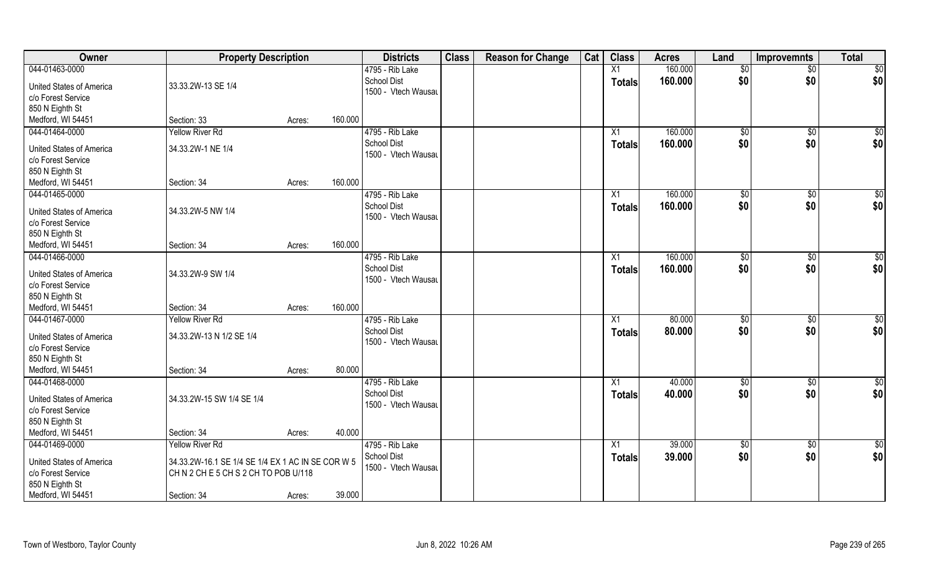| <b>Owner</b>                                          | <b>Property Description</b>                       |        |         | <b>Districts</b>                   | <b>Class</b> | <b>Reason for Change</b> | Cat | <b>Class</b>  | <b>Acres</b> | Land            | <b>Improvemnts</b> | <b>Total</b>  |
|-------------------------------------------------------|---------------------------------------------------|--------|---------|------------------------------------|--------------|--------------------------|-----|---------------|--------------|-----------------|--------------------|---------------|
| 044-01463-0000                                        |                                                   |        |         | 4795 - Rib Lake                    |              |                          |     | X1            | 160.000      | \$0             | $\overline{50}$    | \$0           |
| <b>United States of America</b><br>c/o Forest Service | 33.33.2W-13 SE 1/4                                |        |         | School Dist<br>1500 - Vtech Wausau |              |                          |     | <b>Totals</b> | 160.000      | \$0             | \$0                | \$0           |
| 850 N Eighth St                                       |                                                   |        |         |                                    |              |                          |     |               |              |                 |                    |               |
| Medford, WI 54451                                     | Section: 33                                       | Acres: | 160.000 |                                    |              |                          |     |               |              |                 |                    |               |
| 044-01464-0000                                        | <b>Yellow River Rd</b>                            |        |         | 4795 - Rib Lake                    |              |                          |     | X1            | 160.000      | \$0             | \$0                | \$0           |
| United States of America                              | 34.33.2W-1 NE 1/4                                 |        |         | <b>School Dist</b>                 |              |                          |     | Totals        | 160.000      | \$0             | \$0                | \$0           |
| c/o Forest Service                                    |                                                   |        |         | 1500 - Vtech Wausau                |              |                          |     |               |              |                 |                    |               |
| 850 N Eighth St                                       |                                                   |        |         |                                    |              |                          |     |               |              |                 |                    |               |
| Medford, WI 54451                                     | Section: 34                                       | Acres: | 160.000 |                                    |              |                          |     |               |              |                 |                    |               |
| 044-01465-0000                                        |                                                   |        |         | 4795 - Rib Lake                    |              |                          |     | X1            | 160.000      | \$0             | $\sqrt[6]{3}$      | \$0           |
| <b>United States of America</b>                       | 34.33.2W-5 NW 1/4                                 |        |         | <b>School Dist</b>                 |              |                          |     | <b>Totals</b> | 160.000      | \$0             | \$0                | \$0           |
| c/o Forest Service                                    |                                                   |        |         | 1500 - Vtech Wausau                |              |                          |     |               |              |                 |                    |               |
|                                                       |                                                   |        |         |                                    |              |                          |     |               |              |                 |                    |               |
| 850 N Eighth St<br>Medford, WI 54451                  | Section: 34                                       | Acres: | 160.000 |                                    |              |                          |     |               |              |                 |                    |               |
|                                                       |                                                   |        |         |                                    |              |                          |     |               |              |                 |                    |               |
| 044-01466-0000                                        |                                                   |        |         | 4795 - Rib Lake<br>School Dist     |              |                          |     | X1            | 160.000      | $\frac{1}{20}$  | \$0                | \$0           |
| <b>United States of America</b>                       | 34.33.2W-9 SW 1/4                                 |        |         | 1500 - Vtech Wausau                |              |                          |     | <b>Totals</b> | 160.000      | \$0             | \$0                | \$0           |
| c/o Forest Service                                    |                                                   |        |         |                                    |              |                          |     |               |              |                 |                    |               |
| 850 N Eighth St                                       |                                                   |        |         |                                    |              |                          |     |               |              |                 |                    |               |
| Medford, WI 54451                                     | Section: 34                                       | Acres: | 160.000 |                                    |              |                          |     |               |              |                 |                    |               |
| 044-01467-0000                                        | <b>Yellow River Rd</b>                            |        |         | 4795 - Rib Lake                    |              |                          |     | X1            | 80.000       | $\sqrt[6]{}$    | $\sqrt[6]{30}$     | \$0           |
| <b>United States of America</b>                       | 34.33.2W-13 N 1/2 SE 1/4                          |        |         | <b>School Dist</b>                 |              |                          |     | <b>Totals</b> | 80.000       | \$0             | \$0                | \$0           |
| c/o Forest Service                                    |                                                   |        |         | 1500 - Vtech Wausau                |              |                          |     |               |              |                 |                    |               |
| 850 N Eighth St                                       |                                                   |        |         |                                    |              |                          |     |               |              |                 |                    |               |
| Medford, WI 54451                                     | Section: 34                                       | Acres: | 80.000  |                                    |              |                          |     |               |              |                 |                    |               |
| 044-01468-0000                                        |                                                   |        |         | 4795 - Rib Lake                    |              |                          |     | X1            | 40.000       | $\sqrt{6}$      | $\sqrt{$0}$        | \$0           |
|                                                       |                                                   |        |         | <b>School Dist</b>                 |              |                          |     |               | 40.000       | \$0             | \$0                | \$0           |
| <b>United States of America</b>                       | 34.33.2W-15 SW 1/4 SE 1/4                         |        |         | 1500 - Vtech Wausau                |              |                          |     | <b>Totals</b> |              |                 |                    |               |
| c/o Forest Service                                    |                                                   |        |         |                                    |              |                          |     |               |              |                 |                    |               |
| 850 N Eighth St                                       |                                                   |        |         |                                    |              |                          |     |               |              |                 |                    |               |
| Medford, WI 54451                                     | Section: 34                                       | Acres: | 40.000  |                                    |              |                          |     |               |              |                 |                    |               |
| 044-01469-0000                                        | <b>Yellow River Rd</b>                            |        |         | 4795 - Rib Lake                    |              |                          |     | X1            | 39.000       | $\overline{50}$ | \$0                | $\frac{6}{3}$ |
| <b>United States of America</b>                       | 34.33.2W-16.1 SE 1/4 SE 1/4 EX 1 AC IN SE COR W 5 |        |         | School Dist                        |              |                          |     | <b>Totals</b> | 39.000       | \$0             | \$0                | \$0           |
| c/o Forest Service                                    | CHN 2 CHE 5 CHS 2 CHTO POB U/118                  |        |         | 1500 - Vtech Wausau                |              |                          |     |               |              |                 |                    |               |
| 850 N Eighth St                                       |                                                   |        |         |                                    |              |                          |     |               |              |                 |                    |               |
| Medford, WI 54451                                     | Section: 34                                       | Acres: | 39.000  |                                    |              |                          |     |               |              |                 |                    |               |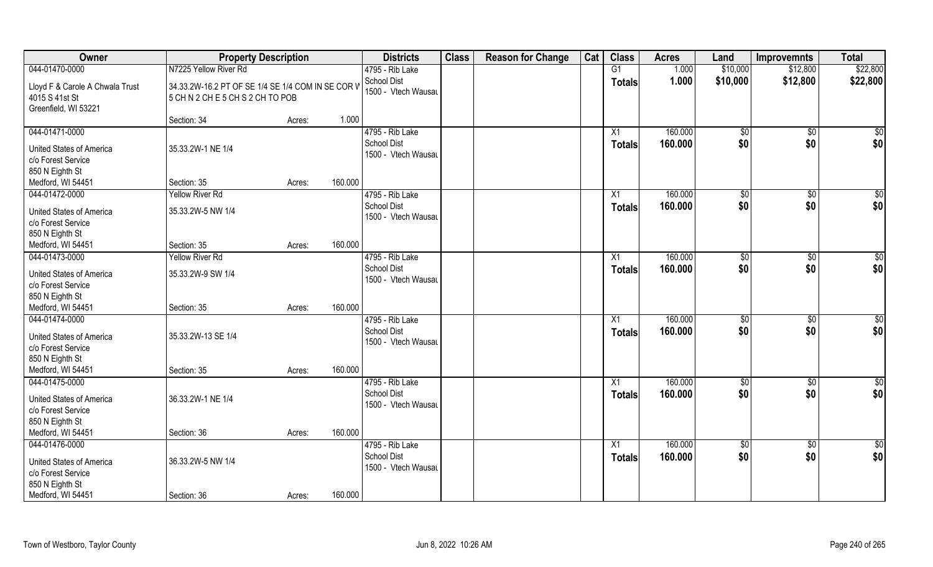| Owner                                                                                                    | <b>Property Description</b>                                                       |        |         | <b>Districts</b>                                             | <b>Class</b> | <b>Reason for Change</b> | Cat | <b>Class</b>                     | <b>Acres</b>       | Land                 | <b>Improvemnts</b>    | <b>Total</b>       |
|----------------------------------------------------------------------------------------------------------|-----------------------------------------------------------------------------------|--------|---------|--------------------------------------------------------------|--------------|--------------------------|-----|----------------------------------|--------------------|----------------------|-----------------------|--------------------|
| 044-01470-0000                                                                                           | N7225 Yellow River Rd                                                             |        |         | 4795 - Rib Lake                                              |              |                          |     | G1                               | 1.000              | \$10,000             | \$12,800              | \$22,800           |
| Lloyd F & Carole A Chwala Trust<br>4015 S 41st St<br>Greenfield, WI 53221                                | 34.33.2W-16.2 PT OF SE 1/4 SE 1/4 COM IN SE COR V<br>5 CHN 2 CHE 5 CHS 2 CHTO POB |        |         | School Dist<br>1500 - Vtech Wausau                           |              |                          |     | <b>Totals</b>                    | 1.000              | \$10,000             | \$12,800              | \$22,800           |
|                                                                                                          | Section: 34                                                                       | Acres: | 1.000   |                                                              |              |                          |     |                                  |                    |                      |                       |                    |
| 044-01471-0000<br><b>United States of America</b><br>c/o Forest Service<br>850 N Eighth St               | 35.33.2W-1 NE 1/4                                                                 |        |         | 4795 - Rib Lake<br><b>School Dist</b><br>1500 - Vtech Wausau |              |                          |     | X1<br><b>Totals</b>              | 160.000<br>160.000 | $\sqrt[6]{}$<br>\$0  | $\sqrt{$0}$<br>\$0    | $\sqrt{50}$<br>\$0 |
| Medford, WI 54451                                                                                        | Section: 35                                                                       | Acres: | 160.000 |                                                              |              |                          |     |                                  |                    |                      |                       |                    |
| 044-01472-0000<br><b>United States of America</b><br>c/o Forest Service<br>850 N Eighth St               | <b>Yellow River Rd</b><br>35.33.2W-5 NW 1/4                                       |        |         | 4795 - Rib Lake<br><b>School Dist</b><br>1500 - Vtech Wausau |              |                          |     | X1<br><b>Totals</b>              | 160.000<br>160.000 | \$0<br>\$0           | $\sqrt[6]{30}$<br>\$0 | \$0<br>\$0         |
| Medford, WI 54451                                                                                        | Section: 35                                                                       | Acres: | 160.000 |                                                              |              |                          |     |                                  |                    |                      |                       |                    |
| 044-01473-0000                                                                                           | <b>Yellow River Rd</b>                                                            |        |         | 4795 - Rib Lake                                              |              |                          |     | X1                               | 160.000            | $\sqrt[6]{3}$        | $\sqrt[6]{3}$         | \$0                |
| <b>United States of America</b><br>c/o Forest Service<br>850 N Eighth St                                 | 35.33.2W-9 SW 1/4                                                                 |        |         | <b>School Dist</b><br>1500 - Vtech Wausau                    |              |                          |     | <b>Totals</b>                    | 160.000            | \$0                  | \$0                   | \$0                |
| Medford, WI 54451                                                                                        | Section: 35                                                                       | Acres: | 160.000 |                                                              |              |                          |     |                                  |                    |                      |                       |                    |
| 044-01474-0000<br><b>United States of America</b><br>c/o Forest Service<br>850 N Eighth St               | 35.33.2W-13 SE 1/4                                                                |        |         | 4795 - Rib Lake<br>School Dist<br>1500 - Vtech Wausau        |              |                          |     | X1<br><b>Totals</b>              | 160.000<br>160.000 | $\sqrt[6]{3}$<br>\$0 | $\sqrt[6]{3}$<br>\$0  | \$0<br>\$0         |
| Medford, WI 54451                                                                                        | Section: 35                                                                       | Acres: | 160.000 |                                                              |              |                          |     |                                  |                    |                      |                       |                    |
| 044-01475-0000<br><b>United States of America</b><br>c/o Forest Service<br>850 N Eighth St               | 36.33.2W-1 NE 1/4                                                                 |        |         | 4795 - Rib Lake<br><b>School Dist</b><br>1500 - Vtech Wausau |              |                          |     | X1<br><b>Totals</b>              | 160.000<br>160.000 | \$0<br>\$0           | \$0<br>\$0            | \$0<br>\$0         |
| Medford, WI 54451                                                                                        | Section: 36                                                                       | Acres: | 160.000 |                                                              |              |                          |     |                                  |                    |                      |                       |                    |
| 044-01476-0000<br>United States of America<br>c/o Forest Service<br>850 N Eighth St<br>Medford, WI 54451 | 36.33.2W-5 NW 1/4<br>Section: 36                                                  | Acres: | 160.000 | 4795 - Rib Lake<br>School Dist<br>1500 - Vtech Wausau        |              |                          |     | $\overline{X1}$<br><b>Totals</b> | 160.000<br>160.000 | $\sqrt{6}$<br>\$0    | $\sqrt{$0}$<br>\$0    | \$0<br>\$0         |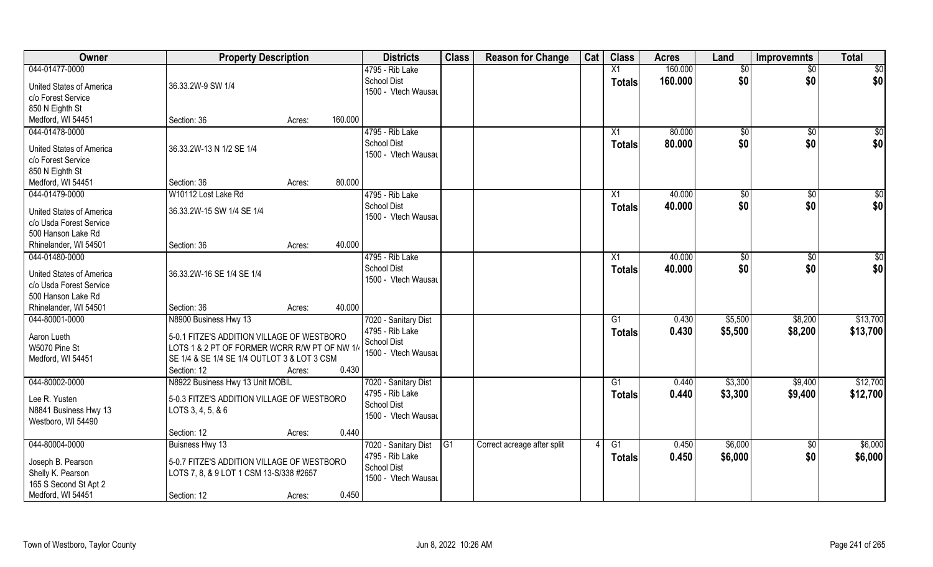| Owner                    | <b>Property Description</b>                   |        | <b>Districts</b>                          | <b>Class</b>    | <b>Reason for Change</b>    | Cat | <b>Class</b>  | <b>Acres</b> | Land           | <b>Improvemnts</b> | <b>Total</b>    |
|--------------------------|-----------------------------------------------|--------|-------------------------------------------|-----------------|-----------------------------|-----|---------------|--------------|----------------|--------------------|-----------------|
| 044-01477-0000           |                                               |        | 4795 - Rib Lake                           |                 |                             |     | X1            | 160.000      | \$0            | $\overline{50}$    | $\overline{50}$ |
| United States of America | 36.33.2W-9 SW 1/4                             |        | <b>School Dist</b>                        |                 |                             |     | <b>Totals</b> | 160,000      | \$0            | \$0                | \$0             |
| c/o Forest Service       |                                               |        | 1500 - Vtech Wausau                       |                 |                             |     |               |              |                |                    |                 |
| 850 N Eighth St          |                                               |        |                                           |                 |                             |     |               |              |                |                    |                 |
| Medford, WI 54451        | Section: 36                                   | Acres: | 160.000                                   |                 |                             |     |               |              |                |                    |                 |
| 044-01478-0000           |                                               |        | 4795 - Rib Lake                           |                 |                             |     | X1            | 80.000       | \$0            | \$0                | \$0             |
| United States of America | 36.33.2W-13 N 1/2 SE 1/4                      |        | <b>School Dist</b><br>1500 - Vtech Wausau |                 |                             |     | <b>Totals</b> | 80.000       | \$0            | \$0                | \$0             |
| c/o Forest Service       |                                               |        |                                           |                 |                             |     |               |              |                |                    |                 |
| 850 N Eighth St          |                                               |        |                                           |                 |                             |     |               |              |                |                    |                 |
| Medford, WI 54451        | Section: 36                                   | Acres: | 80.000                                    |                 |                             |     |               |              |                |                    |                 |
| 044-01479-0000           | W10112 Lost Lake Rd                           |        | 4795 - Rib Lake                           |                 |                             |     | X1            | 40.000       | \$0            | $\sqrt{6}$         | \$0             |
| United States of America | 36.33.2W-15 SW 1/4 SE 1/4                     |        | <b>School Dist</b>                        |                 |                             |     | <b>Totals</b> | 40.000       | \$0            | \$0                | \$0             |
| c/o Usda Forest Service  |                                               |        | 1500 - Vtech Wausau                       |                 |                             |     |               |              |                |                    |                 |
| 500 Hanson Lake Rd       |                                               |        |                                           |                 |                             |     |               |              |                |                    |                 |
| Rhinelander, WI 54501    | Section: 36                                   | Acres: | 40.000                                    |                 |                             |     |               |              |                |                    |                 |
| 044-01480-0000           |                                               |        | 4795 - Rib Lake                           |                 |                             |     | X1            | 40.000       | $\frac{1}{20}$ | \$0                | \$0             |
| United States of America | 36.33.2W-16 SE 1/4 SE 1/4                     |        | School Dist                               |                 |                             |     | <b>Totals</b> | 40.000       | \$0            | \$0                | \$0             |
| c/o Usda Forest Service  |                                               |        | 1500 - Vtech Wausau                       |                 |                             |     |               |              |                |                    |                 |
| 500 Hanson Lake Rd       |                                               |        |                                           |                 |                             |     |               |              |                |                    |                 |
| Rhinelander, WI 54501    | Section: 36                                   | Acres: | 40.000                                    |                 |                             |     |               |              |                |                    |                 |
| 044-80001-0000           | N8900 Business Hwy 13                         |        | 7020 - Sanitary Dist                      |                 |                             |     | G1            | 0.430        | \$5,500        | \$8,200            | \$13,700        |
| Aaron Lueth              | 5-0.1 FITZE'S ADDITION VILLAGE OF WESTBORO    |        | 4795 - Rib Lake                           |                 |                             |     | <b>Totals</b> | 0.430        | \$5,500        | \$8,200            | \$13,700        |
| W5070 Pine St            | LOTS 1 & 2 PT OF FORMER WCRR R/W PT OF NW 1/4 |        | <b>School Dist</b>                        |                 |                             |     |               |              |                |                    |                 |
| Medford, WI 54451        | SE 1/4 & SE 1/4 SE 1/4 OUTLOT 3 & LOT 3 CSM   |        | 1500 - Vtech Wausau                       |                 |                             |     |               |              |                |                    |                 |
|                          | Section: 12                                   | Acres: | 0.430                                     |                 |                             |     |               |              |                |                    |                 |
| 044-80002-0000           | N8922 Business Hwy 13 Unit MOBIL              |        | 7020 - Sanitary Dist                      |                 |                             |     | G1            | 0.440        | \$3,300        | \$9,400            | \$12,700        |
| Lee R. Yusten            | 5-0.3 FITZE'S ADDITION VILLAGE OF WESTBORO    |        | 4795 - Rib Lake                           |                 |                             |     | <b>Totals</b> | 0.440        | \$3,300        | \$9,400            | \$12,700        |
| N8841 Business Hwy 13    | LOTS 3, 4, 5, & 6                             |        | <b>School Dist</b>                        |                 |                             |     |               |              |                |                    |                 |
| Westboro, WI 54490       |                                               |        | 1500 - Vtech Wausau                       |                 |                             |     |               |              |                |                    |                 |
|                          | Section: 12                                   | Acres: | 0.440                                     |                 |                             |     |               |              |                |                    |                 |
| 044-80004-0000           | Buisness Hwy 13                               |        | 7020 - Sanitary Dist                      | $\overline{G1}$ | Correct acreage after split |     | G1            | 0.450        | \$6,000        | $\overline{50}$    | \$6,000         |
| Joseph B. Pearson        | 5-0.7 FITZE'S ADDITION VILLAGE OF WESTBORO    |        | 4795 - Rib Lake                           |                 |                             |     | <b>Totals</b> | 0.450        | \$6,000        | \$0                | \$6,000         |
| Shelly K. Pearson        | LOTS 7, 8, & 9 LOT 1 CSM 13-S/338 #2657       |        | <b>School Dist</b>                        |                 |                             |     |               |              |                |                    |                 |
| 165 S Second St Apt 2    |                                               |        | 1500 - Vtech Wausau                       |                 |                             |     |               |              |                |                    |                 |
| Medford, WI 54451        | Section: 12                                   | Acres: | 0.450                                     |                 |                             |     |               |              |                |                    |                 |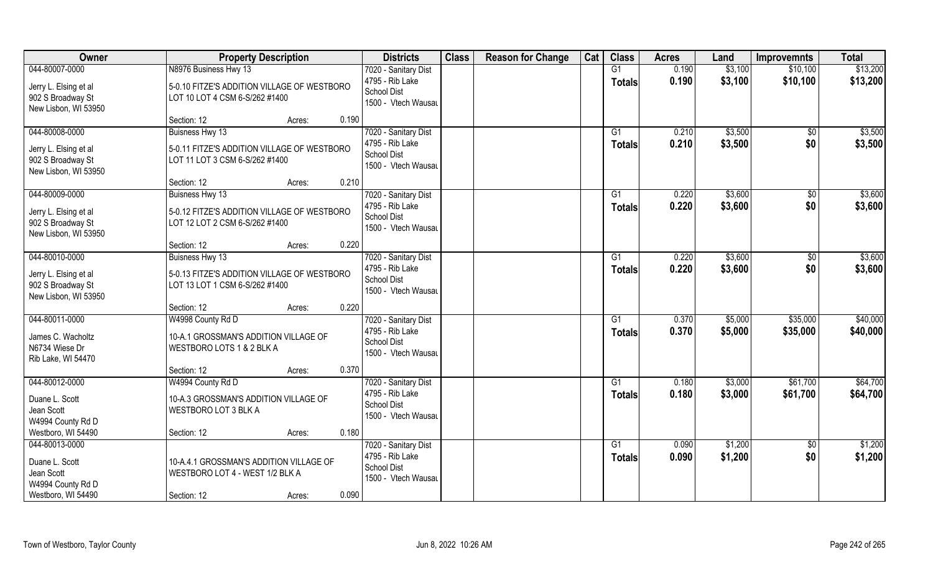| Owner                                                                                     | <b>Property Description</b>                                                                                  | <b>Districts</b>                                                                     | <b>Class</b> | <b>Reason for Change</b> | Cat | <b>Class</b>              | <b>Acres</b>   | Land               | <b>Improvemnts</b>   | <b>Total</b>         |
|-------------------------------------------------------------------------------------------|--------------------------------------------------------------------------------------------------------------|--------------------------------------------------------------------------------------|--------------|--------------------------|-----|---------------------------|----------------|--------------------|----------------------|----------------------|
| 044-80007-0000                                                                            | N8976 Business Hwy 13                                                                                        | 7020 - Sanitary Dist                                                                 |              |                          |     | G1                        | 0.190          | \$3,100            | \$10,100             | \$13,200             |
| Jerry L. Elsing et al<br>902 S Broadway St<br>New Lisbon, WI 53950                        | 5-0.10 FITZE'S ADDITION VILLAGE OF WESTBORO<br>LOT 10 LOT 4 CSM 6-S/262 #1400                                | 4795 - Rib Lake<br><b>School Dist</b><br>1500 - Vtech Wausau                         |              |                          |     | <b>Totals</b>             | 0.190          | \$3,100            | \$10,100             | \$13,200             |
|                                                                                           | 0.190<br>Section: 12<br>Acres:                                                                               |                                                                                      |              |                          |     |                           |                |                    |                      |                      |
| 044-80008-0000<br>Jerry L. Elsing et al<br>902 S Broadway St<br>New Lisbon, WI 53950      | Buisness Hwy 13<br>5-0.11 FITZE'S ADDITION VILLAGE OF WESTBORO<br>LOT 11 LOT 3 CSM 6-S/262 #1400             | 7020 - Sanitary Dist<br>4795 - Rib Lake<br>School Dist<br>1500 - Vtech Wausau        |              |                          |     | $\overline{G1}$<br>Totals | 0.210<br>0.210 | \$3,500<br>\$3,500 | \$0<br>\$0           | \$3,500<br>\$3,500   |
|                                                                                           | 0.210<br>Section: 12<br>Acres:                                                                               |                                                                                      |              |                          |     |                           |                |                    |                      |                      |
| 044-80009-0000<br>Jerry L. Elsing et al<br>902 S Broadway St<br>New Lisbon, WI 53950      | Buisness Hwy 13<br>5-0.12 FITZE'S ADDITION VILLAGE OF WESTBORO<br>LOT 12 LOT 2 CSM 6-S/262 #1400             | 7020 - Sanitary Dist<br>4795 - Rib Lake<br>School Dist<br>1500 - Vtech Wausau        |              |                          |     | G1<br>Totals              | 0.220<br>0.220 | \$3,600<br>\$3,600 | \$0<br>\$0           | \$3,600<br>\$3,600   |
|                                                                                           | 0.220<br>Section: 12<br>Acres:                                                                               |                                                                                      |              |                          |     |                           |                |                    |                      |                      |
| 044-80010-0000<br>Jerry L. Elsing et al<br>902 S Broadway St<br>New Lisbon, WI 53950      | Buisness Hwy 13<br>5-0.13 FITZE'S ADDITION VILLAGE OF WESTBORO<br>LOT 13 LOT 1 CSM 6-S/262 #1400             | 7020 - Sanitary Dist<br>4795 - Rib Lake<br>School Dist<br>1500 - Vtech Wausau        |              |                          |     | G1<br><b>Totals</b>       | 0.220<br>0.220 | \$3,600<br>\$3,600 | $\sqrt[6]{3}$<br>\$0 | \$3,600<br>\$3,600   |
|                                                                                           | 0.220<br>Section: 12<br>Acres:                                                                               |                                                                                      |              |                          |     |                           |                |                    |                      |                      |
| 044-80011-0000<br>James C. Wacholtz<br>N6734 Wiese Dr<br>Rib Lake, WI 54470               | W4998 County Rd D<br>10-A.1 GROSSMAN'S ADDITION VILLAGE OF<br>WESTBORO LOTS 1 & 2 BLK A                      | 7020 - Sanitary Dist<br>4795 - Rib Lake<br><b>School Dist</b><br>1500 - Vtech Wausau |              |                          |     | $\overline{G1}$<br>Totals | 0.370<br>0.370 | \$5,000<br>\$5,000 | \$35,000<br>\$35,000 | \$40,000<br>\$40,000 |
|                                                                                           | 0.370<br>Section: 12<br>Acres:                                                                               |                                                                                      |              |                          |     |                           |                |                    |                      |                      |
| 044-80012-0000<br>Duane L. Scott<br>Jean Scott<br>W4994 County Rd D                       | W4994 County Rd D<br>10-A.3 GROSSMAN'S ADDITION VILLAGE OF<br>WESTBORO LOT 3 BLK A                           | 7020 - Sanitary Dist<br>4795 - Rib Lake<br><b>School Dist</b><br>1500 - Vtech Wausau |              |                          |     | G1<br><b>Totals</b>       | 0.180<br>0.180 | \$3,000<br>\$3,000 | \$61,700<br>\$61,700 | \$64,700<br>\$64,700 |
| Westboro, WI 54490                                                                        | 0.180<br>Section: 12<br>Acres:                                                                               |                                                                                      |              |                          |     |                           |                |                    |                      |                      |
| 044-80013-0000<br>Duane L. Scott<br>Jean Scott<br>W4994 County Rd D<br>Westboro, WI 54490 | 10-A.4.1 GROSSMAN'S ADDITION VILLAGE OF<br>WESTBORO LOT 4 - WEST 1/2 BLK A<br>0.090<br>Section: 12<br>Acres: | 7020 - Sanitary Dist<br>4795 - Rib Lake<br><b>School Dist</b><br>1500 - Vtech Wausau |              |                          |     | G1<br>Totals              | 0.090<br>0.090 | \$1,200<br>\$1,200 | $\sqrt{$0}$<br>\$0   | \$1,200<br>\$1,200   |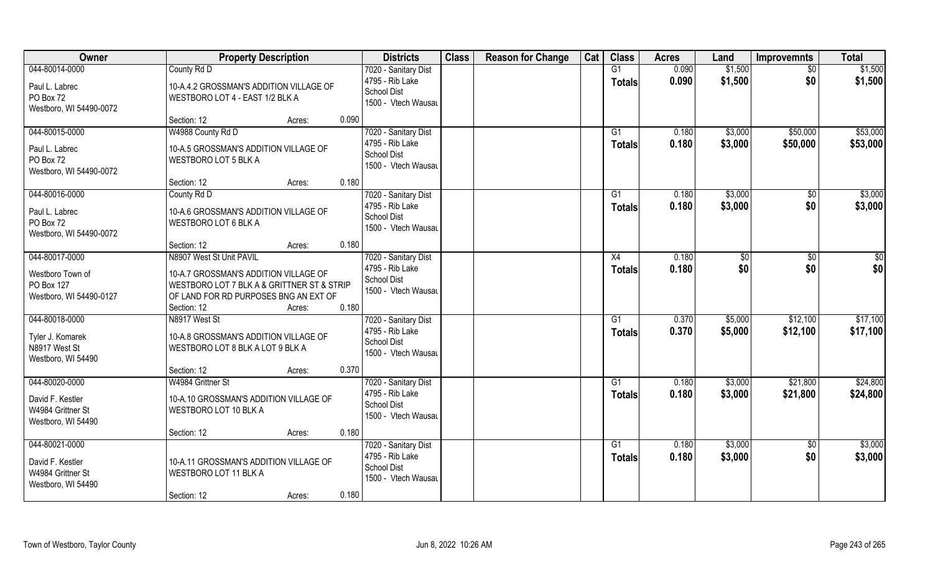| Owner                                                                         | <b>Property Description</b>                                                                                                  |        |       | <b>Districts</b>                                                                     | <b>Class</b> | <b>Reason for Change</b> | Cat | <b>Class</b>                     | <b>Acres</b>   | Land               | <b>Improvemnts</b>     | <b>Total</b>       |
|-------------------------------------------------------------------------------|------------------------------------------------------------------------------------------------------------------------------|--------|-------|--------------------------------------------------------------------------------------|--------------|--------------------------|-----|----------------------------------|----------------|--------------------|------------------------|--------------------|
| 044-80014-0000                                                                | County Rd D                                                                                                                  |        |       | 7020 - Sanitary Dist                                                                 |              |                          |     | G1                               | 0.090          | \$1,500            | \$0                    | \$1,500            |
| Paul L. Labrec<br>PO Box 72<br>Westboro, WI 54490-0072                        | 10-A.4.2 GROSSMAN'S ADDITION VILLAGE OF<br>WESTBORO LOT 4 - EAST 1/2 BLK A                                                   |        |       | 4795 - Rib Lake<br><b>School Dist</b><br>1500 - Vtech Wausau                         |              |                          |     | <b>Totals</b>                    | 0.090          | \$1,500            | \$0                    | \$1,500            |
|                                                                               | Section: 12                                                                                                                  | Acres: | 0.090 |                                                                                      |              |                          |     |                                  |                |                    |                        |                    |
| 044-80015-0000                                                                | W4988 County Rd D                                                                                                            |        |       | 7020 - Sanitary Dist                                                                 |              |                          |     | G1                               | 0.180          | \$3,000            | \$50,000               | \$53,000           |
| Paul L. Labrec<br>PO Box 72<br>Westboro, WI 54490-0072                        | 10-A.5 GROSSMAN'S ADDITION VILLAGE OF<br><b>WESTBORO LOT 5 BLK A</b>                                                         |        |       | 4795 - Rib Lake<br><b>School Dist</b><br>1500 - Vtech Wausau                         |              |                          |     | <b>Totals</b>                    | 0.180          | \$3,000            | \$50,000               | \$53,000           |
|                                                                               | Section: 12                                                                                                                  | Acres: | 0.180 |                                                                                      |              |                          |     |                                  |                |                    |                        |                    |
| 044-80016-0000                                                                | County Rd D                                                                                                                  |        |       | 7020 - Sanitary Dist                                                                 |              |                          |     | G1                               | 0.180          | \$3,000            | \$0                    | \$3,000            |
| Paul L. Labrec<br>PO Box 72<br>Westboro, WI 54490-0072                        | 10-A.6 GROSSMAN'S ADDITION VILLAGE OF<br><b>WESTBORO LOT 6 BLK A</b>                                                         |        |       | 4795 - Rib Lake<br>School Dist<br>1500 - Vtech Wausau                                |              |                          |     | <b>Totals</b>                    | 0.180          | \$3,000            | \$0                    | \$3,000            |
|                                                                               | Section: 12                                                                                                                  | Acres: | 0.180 |                                                                                      |              |                          |     |                                  |                |                    |                        |                    |
| 044-80017-0000                                                                | N8907 West St Unit PAVIL                                                                                                     |        |       | 7020 - Sanitary Dist                                                                 |              |                          |     | X4                               | 0.180          | \$0                | \$0                    | \$0                |
| Westboro Town of<br>PO Box 127<br>Westboro, WI 54490-0127                     | 10-A.7 GROSSMAN'S ADDITION VILLAGE OF<br>WESTBORO LOT 7 BLK A & GRITTNER ST & STRIP<br>OF LAND FOR RD PURPOSES BNG AN EXT OF |        |       | 4795 - Rib Lake<br><b>School Dist</b><br>1500 - Vtech Wausau                         |              |                          |     | <b>Totals</b>                    | 0.180          | \$0                | \$0                    | \$0                |
|                                                                               | Section: 12                                                                                                                  | Acres: | 0.180 |                                                                                      |              |                          |     |                                  |                |                    |                        |                    |
| 044-80018-0000                                                                | N8917 West St                                                                                                                |        |       | 7020 - Sanitary Dist                                                                 |              |                          |     | G1                               | 0.370          | \$5,000            | \$12,100               | \$17,100           |
| Tyler J. Komarek<br>N8917 West St<br>Westboro, WI 54490                       | 10-A.8 GROSSMAN'S ADDITION VILLAGE OF<br>WESTBORO LOT 8 BLK A LOT 9 BLK A                                                    |        |       | 4795 - Rib Lake<br>School Dist<br>1500 - Vtech Wausau                                |              |                          |     | <b>Totals</b>                    | 0.370          | \$5,000            | \$12,100               | \$17,100           |
|                                                                               | Section: 12                                                                                                                  | Acres: | 0.370 |                                                                                      |              |                          |     |                                  |                |                    |                        |                    |
| 044-80020-0000                                                                | W4984 Grittner St                                                                                                            |        |       | 7020 - Sanitary Dist                                                                 |              |                          |     | G1                               | 0.180          | \$3,000            | \$21,800               | \$24,800           |
| David F. Kestler<br>W4984 Grittner St<br>Westboro, WI 54490                   | 10-A.10 GROSSMAN'S ADDITION VILLAGE OF<br>WESTBORO LOT 10 BLK A                                                              |        |       | 4795 - Rib Lake<br><b>School Dist</b><br>1500 - Vtech Wausau                         |              |                          |     | <b>Totals</b>                    | 0.180          | \$3,000            | \$21,800               | \$24,800           |
|                                                                               | Section: 12                                                                                                                  | Acres: | 0.180 |                                                                                      |              |                          |     |                                  |                |                    |                        |                    |
| 044-80021-0000<br>David F. Kestler<br>W4984 Grittner St<br>Westboro, WI 54490 | 10-A.11 GROSSMAN'S ADDITION VILLAGE OF<br>WESTBORO LOT 11 BLK A<br>Section: 12                                               | Acres: | 0.180 | 7020 - Sanitary Dist<br>4795 - Rib Lake<br><b>School Dist</b><br>1500 - Vtech Wausau |              |                          |     | $\overline{G1}$<br><b>Totals</b> | 0.180<br>0.180 | \$3,000<br>\$3,000 | $\overline{50}$<br>\$0 | \$3,000<br>\$3,000 |
|                                                                               |                                                                                                                              |        |       |                                                                                      |              |                          |     |                                  |                |                    |                        |                    |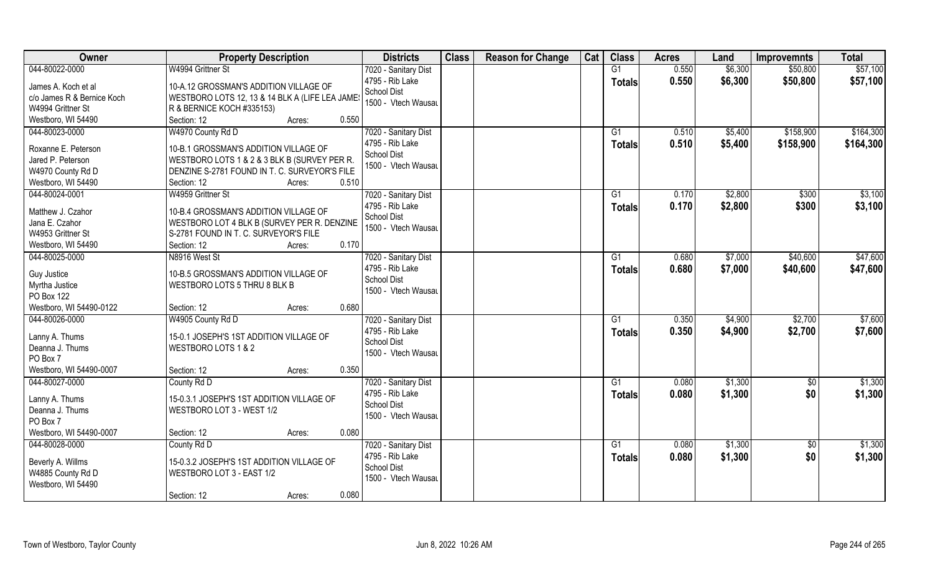| Owner                                 | <b>Property Description</b>                     | <b>Districts</b>                        | <b>Class</b> | <b>Reason for Change</b> | Cat | <b>Class</b>  | <b>Acres</b> | Land    | <b>Improvemnts</b> | <b>Total</b> |
|---------------------------------------|-------------------------------------------------|-----------------------------------------|--------------|--------------------------|-----|---------------|--------------|---------|--------------------|--------------|
| 044-80022-0000                        | W4994 Grittner St                               | 7020 - Sanitary Dist                    |              |                          |     | G1            | 0.550        | \$6,300 | \$50,800           | \$57,100     |
| James A. Koch et al                   | 10-A.12 GROSSMAN'S ADDITION VILLAGE OF          | 4795 - Rib Lake<br>School Dist          |              |                          |     | <b>Totals</b> | 0.550        | \$6,300 | \$50,800           | \$57,100     |
| c/o James R & Bernice Koch            | WESTBORO LOTS 12, 13 & 14 BLK A (LIFE LEA JAMES | 1500 - Vtech Wausau                     |              |                          |     |               |              |         |                    |              |
| W4994 Grittner St                     | R & BERNICE KOCH #335153)                       |                                         |              |                          |     |               |              |         |                    |              |
| Westboro, WI 54490                    | 0.550<br>Section: 12<br>Acres:                  |                                         |              |                          |     |               |              |         |                    |              |
| 044-80023-0000                        | W4970 County Rd D                               | 7020 - Sanitary Dist                    |              |                          |     | G1            | 0.510        | \$5,400 | \$158,900          | \$164,300    |
| Roxanne E. Peterson                   | 10-B.1 GROSSMAN'S ADDITION VILLAGE OF           | 4795 - Rib Lake                         |              |                          |     | <b>Totals</b> | 0.510        | \$5,400 | \$158,900          | \$164,300    |
| Jared P. Peterson                     | WESTBORO LOTS 1 & 2 & 3 BLK B (SURVEY PER R.    | <b>School Dist</b>                      |              |                          |     |               |              |         |                    |              |
| W4970 County Rd D                     | DENZINE S-2781 FOUND IN T. C. SURVEYOR'S FILE   | 1500 - Vtech Wausau                     |              |                          |     |               |              |         |                    |              |
| Westboro, WI 54490                    | 0.510<br>Section: 12<br>Acres:                  |                                         |              |                          |     |               |              |         |                    |              |
| 044-80024-0001                        | W4959 Grittner St                               | 7020 - Sanitary Dist                    |              |                          |     | G1            | 0.170        | \$2,800 | \$300              | \$3,100      |
| Matthew J. Czahor                     | 10-B.4 GROSSMAN'S ADDITION VILLAGE OF           | 4795 - Rib Lake                         |              |                          |     | <b>Totals</b> | 0.170        | \$2,800 | \$300              | \$3,100      |
| Jana E. Czahor                        | WESTBORO LOT 4 BLK B (SURVEY PER R. DENZINE     | School Dist                             |              |                          |     |               |              |         |                    |              |
| W4953 Grittner St                     | S-2781 FOUND IN T. C. SURVEYOR'S FILE           | 1500 - Vtech Wausau                     |              |                          |     |               |              |         |                    |              |
| Westboro, WI 54490                    | 0.170<br>Section: 12<br>Acres:                  |                                         |              |                          |     |               |              |         |                    |              |
| 044-80025-0000                        | N8916 West St                                   | 7020 - Sanitary Dist                    |              |                          |     | G1            | 0.680        | \$7,000 | \$40,600           | \$47,600     |
|                                       |                                                 | 4795 - Rib Lake                         |              |                          |     | <b>Totals</b> | 0.680        | \$7,000 | \$40,600           | \$47,600     |
| Guy Justice                           | 10-B.5 GROSSMAN'S ADDITION VILLAGE OF           | <b>School Dist</b>                      |              |                          |     |               |              |         |                    |              |
| Myrtha Justice                        | WESTBORO LOTS 5 THRU 8 BLK B                    | 1500 - Vtech Wausau                     |              |                          |     |               |              |         |                    |              |
| PO Box 122<br>Westboro, WI 54490-0122 | 0.680<br>Section: 12                            |                                         |              |                          |     |               |              |         |                    |              |
| 044-80026-0000                        | Acres:<br>W4905 County Rd D                     |                                         |              |                          |     | G1            | 0.350        | \$4,900 | \$2,700            | \$7,600      |
|                                       |                                                 | 7020 - Sanitary Dist<br>4795 - Rib Lake |              |                          |     |               |              |         |                    |              |
| Lanny A. Thums                        | 15-0.1 JOSEPH'S 1ST ADDITION VILLAGE OF         | School Dist                             |              |                          |     | <b>Totals</b> | 0.350        | \$4,900 | \$2,700            | \$7,600      |
| Deanna J. Thums                       | WESTBORO LOTS 1 & 2                             | 1500 - Vtech Wausau                     |              |                          |     |               |              |         |                    |              |
| PO Box 7                              |                                                 |                                         |              |                          |     |               |              |         |                    |              |
| Westboro, WI 54490-0007               | 0.350<br>Section: 12<br>Acres:                  |                                         |              |                          |     |               |              |         |                    |              |
| 044-80027-0000                        | County Rd D                                     | 7020 - Sanitary Dist                    |              |                          |     | G1            | 0.080        | \$1,300 | $\overline{30}$    | \$1,300      |
| Lanny A. Thums                        | 15-0.3.1 JOSEPH'S 1ST ADDITION VILLAGE OF       | 4795 - Rib Lake                         |              |                          |     | <b>Totals</b> | 0.080        | \$1,300 | \$0                | \$1,300      |
| Deanna J. Thums                       | WESTBORO LOT 3 - WEST 1/2                       | <b>School Dist</b>                      |              |                          |     |               |              |         |                    |              |
| PO Box 7                              |                                                 | 1500 - Vtech Wausau                     |              |                          |     |               |              |         |                    |              |
| Westboro, WI 54490-0007               | 0.080<br>Section: 12<br>Acres:                  |                                         |              |                          |     |               |              |         |                    |              |
| 044-80028-0000                        | County Rd D                                     | 7020 - Sanitary Dist                    |              |                          |     | G1            | 0.080        | \$1,300 | $\sqrt{$0}$        | \$1,300      |
|                                       |                                                 | 4795 - Rib Lake                         |              |                          |     | <b>Totals</b> | 0.080        | \$1,300 | \$0                | \$1,300      |
| Beverly A. Willms                     | 15-0.3.2 JOSEPH'S 1ST ADDITION VILLAGE OF       | <b>School Dist</b>                      |              |                          |     |               |              |         |                    |              |
| W4885 County Rd D                     | WESTBORO LOT 3 - EAST 1/2                       | 1500 - Vtech Wausau                     |              |                          |     |               |              |         |                    |              |
| Westboro, WI 54490                    |                                                 |                                         |              |                          |     |               |              |         |                    |              |
|                                       | 0.080<br>Section: 12<br>Acres:                  |                                         |              |                          |     |               |              |         |                    |              |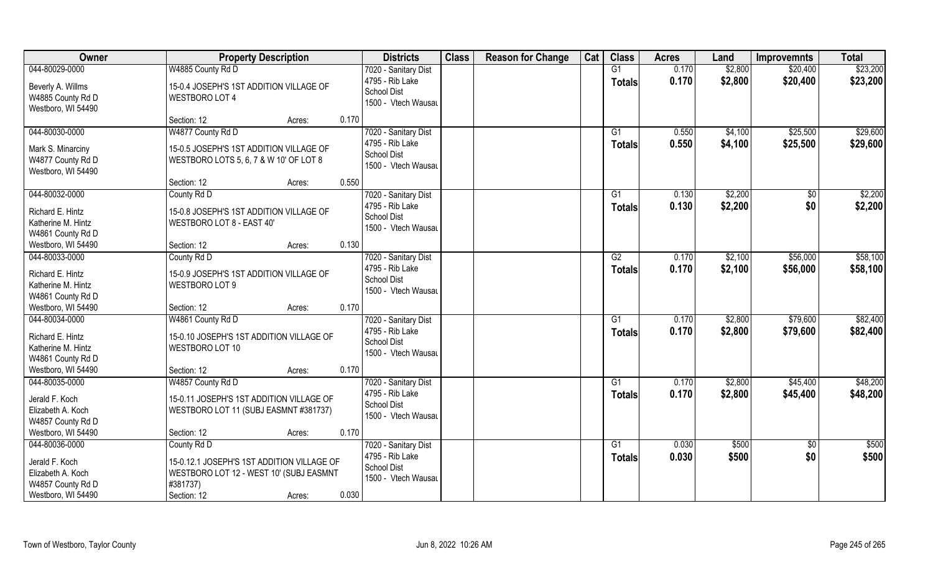| Owner                                                                         | <b>Property Description</b>                                                                                      |       | <b>Districts</b>                                                                     | <b>Class</b> | <b>Reason for Change</b> | Cat | <b>Class</b>        | <b>Acres</b>   | Land               | <b>Improvemnts</b>     | <b>Total</b>         |
|-------------------------------------------------------------------------------|------------------------------------------------------------------------------------------------------------------|-------|--------------------------------------------------------------------------------------|--------------|--------------------------|-----|---------------------|----------------|--------------------|------------------------|----------------------|
| 044-80029-0000                                                                | W4885 County Rd D                                                                                                |       | 7020 - Sanitary Dist                                                                 |              |                          |     | G1                  | 0.170          | \$2,800            | \$20,400               | \$23,200             |
| Beverly A. Willms<br>W4885 County Rd D<br>Westboro, WI 54490                  | 15-0.4 JOSEPH'S 1ST ADDITION VILLAGE OF<br><b>WESTBORO LOT 4</b>                                                 |       | 4795 - Rib Lake<br><b>School Dist</b><br>1500 - Vtech Wausau                         |              |                          |     | <b>Totals</b>       | 0.170          | \$2,800            | \$20,400               | \$23,200             |
|                                                                               | Section: 12<br>Acres:                                                                                            | 0.170 |                                                                                      |              |                          |     |                     |                |                    |                        |                      |
| 044-80030-0000<br>Mark S. Minarciny                                           | W4877 County Rd D<br>15-0.5 JOSEPH'S 1ST ADDITION VILLAGE OF                                                     |       | 7020 - Sanitary Dist<br>4795 - Rib Lake                                              |              |                          |     | G1<br>Totals        | 0.550<br>0.550 | \$4,100<br>\$4,100 | \$25,500<br>\$25,500   | \$29,600<br>\$29,600 |
| W4877 County Rd D<br>Westboro, WI 54490                                       | WESTBORO LOTS 5, 6, 7 & W 10' OF LOT 8                                                                           |       | <b>School Dist</b><br>1500 - Vtech Wausau                                            |              |                          |     |                     |                |                    |                        |                      |
|                                                                               | Section: 12<br>Acres:                                                                                            | 0.550 |                                                                                      |              |                          |     |                     |                |                    |                        |                      |
| 044-80032-0000                                                                | County Rd D                                                                                                      |       | 7020 - Sanitary Dist                                                                 |              |                          |     | G1                  | 0.130          | \$2,200            | \$0                    | \$2,200              |
| Richard E. Hintz<br>Katherine M. Hintz<br>W4861 County Rd D                   | 15-0.8 JOSEPH'S 1ST ADDITION VILLAGE OF<br>WESTBORO LOT 8 - EAST 40'                                             |       | 4795 - Rib Lake<br><b>School Dist</b><br>1500 - Vtech Wausau                         |              |                          |     | <b>Totals</b>       | 0.130          | \$2,200            | \$0                    | \$2,200              |
| Westboro, WI 54490                                                            | Section: 12<br>Acres:                                                                                            | 0.130 |                                                                                      |              |                          |     |                     |                |                    |                        |                      |
| 044-80033-0000                                                                | County Rd D                                                                                                      |       | 7020 - Sanitary Dist                                                                 |              |                          |     | G2                  | 0.170          | \$2,100            | \$56,000               | \$58,100             |
| Richard E. Hintz<br>Katherine M. Hintz<br>W4861 County Rd D                   | 15-0.9 JOSEPH'S 1ST ADDITION VILLAGE OF<br>WESTBORO LOT 9                                                        |       | 4795 - Rib Lake<br><b>School Dist</b><br>1500 - Vtech Wausau                         |              |                          |     | <b>Totals</b>       | 0.170          | \$2,100            | \$56,000               | \$58,100             |
| Westboro, WI 54490                                                            | Section: 12<br>Acres:                                                                                            | 0.170 |                                                                                      |              |                          |     |                     |                |                    |                        |                      |
| 044-80034-0000<br>Richard E. Hintz<br>Katherine M. Hintz<br>W4861 County Rd D | W4861 County Rd D<br>15-0.10 JOSEPH'S 1ST ADDITION VILLAGE OF<br>WESTBORO LOT 10                                 |       | 7020 - Sanitary Dist<br>4795 - Rib Lake<br><b>School Dist</b><br>1500 - Vtech Wausau |              |                          |     | G1<br><b>Totals</b> | 0.170<br>0.170 | \$2,800<br>\$2,800 | \$79,600<br>\$79,600   | \$82,400<br>\$82,400 |
| Westboro, WI 54490                                                            | Section: 12<br>Acres:                                                                                            | 0.170 |                                                                                      |              |                          |     |                     |                |                    |                        |                      |
| 044-80035-0000                                                                | W4857 County Rd D                                                                                                |       | 7020 - Sanitary Dist                                                                 |              |                          |     | G1                  | 0.170          | \$2,800            | \$45,400               | \$48,200             |
| Jerald F. Koch<br>Elizabeth A. Koch<br>W4857 County Rd D                      | 15-0.11 JOSEPH'S 1ST ADDITION VILLAGE OF<br>WESTBORO LOT 11 (SUBJ EASMNT #381737)                                |       | 4795 - Rib Lake<br><b>School Dist</b><br>1500 - Vtech Wausau                         |              |                          |     | <b>Totals</b>       | 0.170          | \$2,800            | \$45,400               | \$48,200             |
| Westboro, WI 54490                                                            | Section: 12<br>Acres:                                                                                            | 0.170 |                                                                                      |              |                          |     |                     |                |                    |                        |                      |
| 044-80036-0000<br>Jerald F. Koch<br>Elizabeth A. Koch<br>W4857 County Rd D    | County Rd D<br>15-0.12.1 JOSEPH'S 1ST ADDITION VILLAGE OF<br>WESTBORO LOT 12 - WEST 10' (SUBJ EASMNT<br>#381737) |       | 7020 - Sanitary Dist<br>4795 - Rib Lake<br><b>School Dist</b><br>1500 - Vtech Wausau |              |                          |     | G1<br><b>Totals</b> | 0.030<br>0.030 | \$500<br>\$500     | $\overline{50}$<br>\$0 | \$500<br>\$500       |
| Westboro, WI 54490                                                            | Section: 12<br>Acres:                                                                                            | 0.030 |                                                                                      |              |                          |     |                     |                |                    |                        |                      |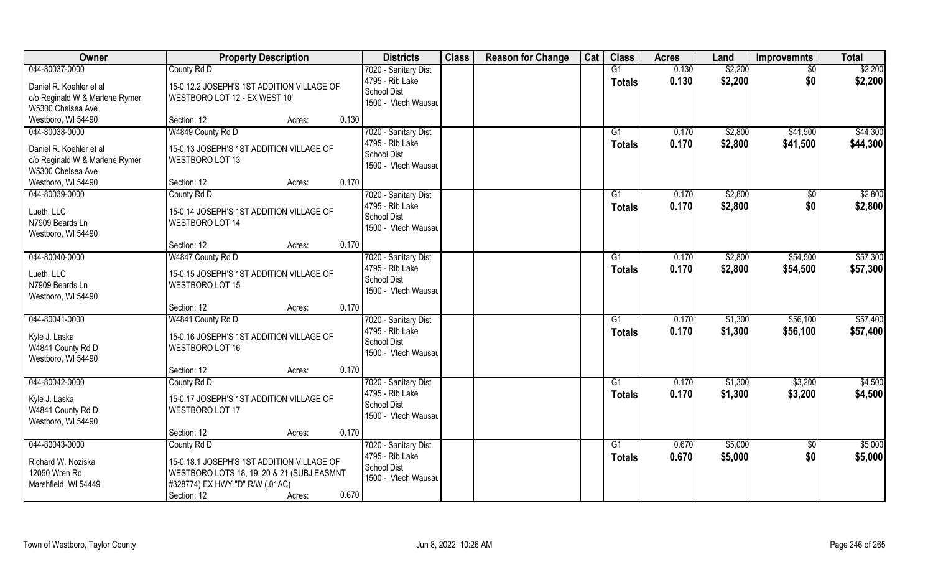| Owner                          | <b>Property Description</b>                | <b>Districts</b>                      | <b>Class</b> | <b>Reason for Change</b> | Cat | <b>Class</b>   | <b>Acres</b> | Land    | <b>Improvemnts</b> | <b>Total</b> |
|--------------------------------|--------------------------------------------|---------------------------------------|--------------|--------------------------|-----|----------------|--------------|---------|--------------------|--------------|
| 044-80037-0000                 | County Rd D                                | 7020 - Sanitary Dist                  |              |                          |     | G1             | 0.130        | \$2,200 | $\overline{30}$    | \$2,200      |
| Daniel R. Koehler et al        | 15-0.12.2 JOSEPH'S 1ST ADDITION VILLAGE OF | 4795 - Rib Lake                       |              |                          |     | Totals         | 0.130        | \$2,200 | \$0                | \$2,200      |
| c/o Reginald W & Marlene Rymer | WESTBORO LOT 12 - EX WEST 10'              | <b>School Dist</b>                    |              |                          |     |                |              |         |                    |              |
| W5300 Chelsea Ave              |                                            | 1500 - Vtech Wausau                   |              |                          |     |                |              |         |                    |              |
| Westboro, WI 54490             | Section: 12<br>Acres:                      | 0.130                                 |              |                          |     |                |              |         |                    |              |
| 044-80038-0000                 | W4849 County Rd D                          | 7020 - Sanitary Dist                  |              |                          |     | G <sub>1</sub> | 0.170        | \$2,800 | \$41,500           | \$44,300     |
| Daniel R. Koehler et al        | 15-0.13 JOSEPH'S 1ST ADDITION VILLAGE OF   | 4795 - Rib Lake                       |              |                          |     | <b>Totals</b>  | 0.170        | \$2,800 | \$41,500           | \$44,300     |
| c/o Reginald W & Marlene Rymer | WESTBORO LOT 13                            | <b>School Dist</b>                    |              |                          |     |                |              |         |                    |              |
| W5300 Chelsea Ave              |                                            | 1500 - Vtech Wausau                   |              |                          |     |                |              |         |                    |              |
| Westboro, WI 54490             | Section: 12<br>Acres:                      | 0.170                                 |              |                          |     |                |              |         |                    |              |
| 044-80039-0000                 | County Rd D                                | 7020 - Sanitary Dist                  |              |                          |     | G1             | 0.170        | \$2,800 | $\sqrt[6]{30}$     | \$2,800      |
|                                |                                            | 4795 - Rib Lake                       |              |                          |     | <b>Totals</b>  | 0.170        | \$2,800 | \$0                | \$2,800      |
| Lueth, LLC                     | 15-0.14 JOSEPH'S 1ST ADDITION VILLAGE OF   | <b>School Dist</b>                    |              |                          |     |                |              |         |                    |              |
| N7909 Beards Ln                | WESTBORO LOT 14                            | 1500 - Vtech Wausau                   |              |                          |     |                |              |         |                    |              |
| Westboro, WI 54490             |                                            |                                       |              |                          |     |                |              |         |                    |              |
|                                | Section: 12<br>Acres:                      | 0.170                                 |              |                          |     |                |              |         |                    |              |
| 044-80040-0000                 | W4847 County Rd D                          | 7020 - Sanitary Dist                  |              |                          |     | G1             | 0.170        | \$2,800 | \$54,500           | \$57,300     |
| Lueth, LLC                     | 15-0.15 JOSEPH'S 1ST ADDITION VILLAGE OF   | 4795 - Rib Lake<br><b>School Dist</b> |              |                          |     | <b>Totals</b>  | 0.170        | \$2,800 | \$54,500           | \$57,300     |
| N7909 Beards Ln                | <b>WESTBORO LOT 15</b>                     | 1500 - Vtech Wausau                   |              |                          |     |                |              |         |                    |              |
| Westboro, WI 54490             |                                            |                                       |              |                          |     |                |              |         |                    |              |
|                                | Section: 12<br>Acres:                      | 0.170                                 |              |                          |     |                |              |         |                    |              |
| 044-80041-0000                 | W4841 County Rd D                          | 7020 - Sanitary Dist                  |              |                          |     | G1             | 0.170        | \$1,300 | \$56,100           | \$57,400     |
| Kyle J. Laska                  | 15-0.16 JOSEPH'S 1ST ADDITION VILLAGE OF   | 4795 - Rib Lake                       |              |                          |     | Totals         | 0.170        | \$1,300 | \$56,100           | \$57,400     |
| W4841 County Rd D              | WESTBORO LOT 16                            | <b>School Dist</b>                    |              |                          |     |                |              |         |                    |              |
| Westboro, WI 54490             |                                            | 1500 - Vtech Wausau                   |              |                          |     |                |              |         |                    |              |
|                                | Section: 12<br>Acres:                      | 0.170                                 |              |                          |     |                |              |         |                    |              |
| 044-80042-0000                 | County Rd D                                | 7020 - Sanitary Dist                  |              |                          |     | G1             | 0.170        | \$1,300 | \$3,200            | \$4,500      |
| Kyle J. Laska                  | 15-0.17 JOSEPH'S 1ST ADDITION VILLAGE OF   | 4795 - Rib Lake                       |              |                          |     | <b>Totals</b>  | 0.170        | \$1,300 | \$3,200            | \$4,500      |
| W4841 County Rd D              | WESTBORO LOT 17                            | <b>School Dist</b>                    |              |                          |     |                |              |         |                    |              |
| Westboro, WI 54490             |                                            | 1500 - Vtech Wausau                   |              |                          |     |                |              |         |                    |              |
|                                | Section: 12<br>Acres:                      | 0.170                                 |              |                          |     |                |              |         |                    |              |
| 044-80043-0000                 | County Rd D                                | 7020 - Sanitary Dist                  |              |                          |     | G1             | 0.670        | \$5,000 | \$0                | \$5,000      |
|                                |                                            | 4795 - Rib Lake                       |              |                          |     | <b>Totals</b>  | 0.670        | \$5,000 | \$0                | \$5,000      |
| Richard W. Noziska             | 15-0.18.1 JOSEPH'S 1ST ADDITION VILLAGE OF | <b>School Dist</b>                    |              |                          |     |                |              |         |                    |              |
| 12050 Wren Rd                  | WESTBORO LOTS 18, 19, 20 & 21 (SUBJ EASMNT | 1500 - Vtech Wausau                   |              |                          |     |                |              |         |                    |              |
| Marshfield, WI 54449           | #328774) EX HWY "D" R/W (.01AC)            |                                       |              |                          |     |                |              |         |                    |              |
|                                | Section: 12<br>Acres:                      | 0.670                                 |              |                          |     |                |              |         |                    |              |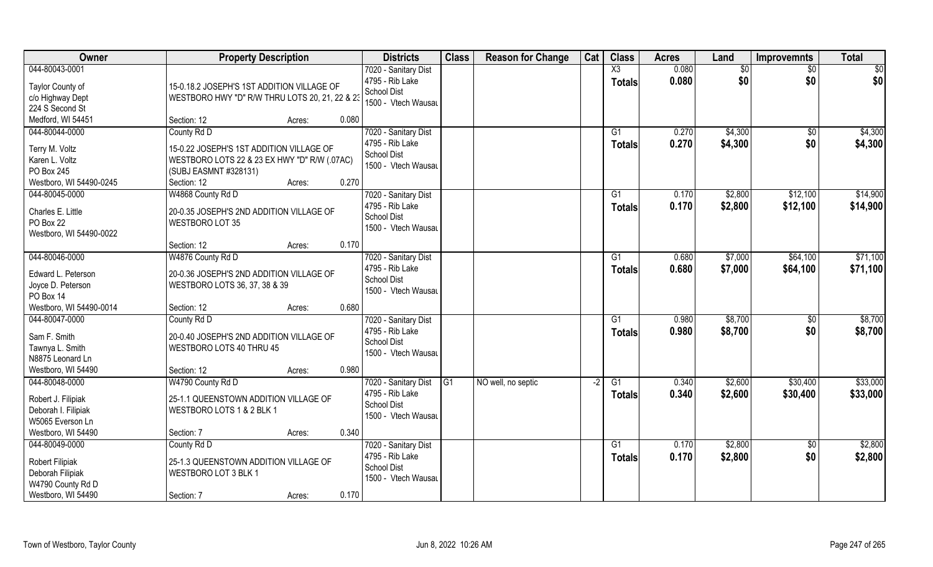| Owner                                                                                                                  | <b>Property Description</b>                                                                                                                                                                 | <b>Districts</b>                                                                        | <b>Class</b> | <b>Reason for Change</b> | Cat  | <b>Class</b>                            | <b>Acres</b>   | Land               | <b>Improvemnts</b>   | <b>Total</b>         |
|------------------------------------------------------------------------------------------------------------------------|---------------------------------------------------------------------------------------------------------------------------------------------------------------------------------------------|-----------------------------------------------------------------------------------------|--------------|--------------------------|------|-----------------------------------------|----------------|--------------------|----------------------|----------------------|
| 044-80043-0001<br>Taylor County of<br>c/o Highway Dept<br>224 S Second St<br>Medford, WI 54451                         | 15-0.18.2 JOSEPH'S 1ST ADDITION VILLAGE OF<br>WESTBORO HWY "D" R/W THRU LOTS 20, 21, 22 & 23<br>0.080                                                                                       | 7020 - Sanitary Dist<br>4795 - Rib Lake<br>School Dist<br>1500 - Vtech Wausau           |              |                          |      | $\overline{\text{X3}}$<br><b>Totals</b> | 0.080<br>0.080 | \$0<br>\$0         | $\sqrt{6}$<br>\$0    | \$0<br>\$0           |
| 044-80044-0000<br>Terry M. Voltz<br>Karen L. Voltz<br>PO Box 245<br>Westboro, WI 54490-0245                            | Section: 12<br>Acres:<br>County Rd D<br>15-0.22 JOSEPH'S 1ST ADDITION VILLAGE OF<br>WESTBORO LOTS 22 & 23 EX HWY "D" R/W (.07AC)<br>(SUBJ EASMNT #328131)<br>0.270<br>Section: 12<br>Acres: | 7020 - Sanitary Dist<br>4795 - Rib Lake<br><b>School Dist</b><br>1500 - Vtech Wausau    |              |                          |      | $\overline{G1}$<br>Totals               | 0.270<br>0.270 | \$4,300<br>\$4,300 | \$0<br>\$0           | \$4,300<br>\$4,300   |
| 044-80045-0000<br>Charles E. Little<br>PO Box 22<br>Westboro, WI 54490-0022                                            | W4868 County Rd D<br>20-0.35 JOSEPH'S 2ND ADDITION VILLAGE OF<br>WESTBORO LOT 35<br>0.170<br>Section: 12<br>Acres:                                                                          | 7020 - Sanitary Dist<br>4795 - Rib Lake<br>School Dist<br>1500 - Vtech Wausau           |              |                          |      | G1<br><b>Totals</b>                     | 0.170<br>0.170 | \$2,800<br>\$2,800 | \$12,100<br>\$12,100 | \$14,900<br>\$14,900 |
| 044-80046-0000<br>Edward L. Peterson<br>Joyce D. Peterson<br>PO Box 14                                                 | W4876 County Rd D<br>20-0.36 JOSEPH'S 2ND ADDITION VILLAGE OF<br>WESTBORO LOTS 36, 37, 38 & 39                                                                                              | 7020 - Sanitary Dist<br>4795 - Rib Lake<br><b>School Dist</b><br>1500 - Vtech Wausau    |              |                          |      | G1<br><b>Totals</b>                     | 0.680<br>0.680 | \$7,000<br>\$7,000 | \$64,100<br>\$64,100 | \$71,100<br>\$71,100 |
| Westboro, WI 54490-0014<br>044-80047-0000<br>Sam F. Smith<br>Tawnya L. Smith<br>N8875 Leonard Ln<br>Westboro, WI 54490 | 0.680<br>Section: 12<br>Acres:<br>County Rd D<br>20-0.40 JOSEPH'S 2ND ADDITION VILLAGE OF<br>WESTBORO LOTS 40 THRU 45<br>0.980<br>Section: 12<br>Acres:                                     | 7020 - Sanitary Dist<br>4795 - Rib Lake<br><b>School Dist</b><br>1500 - Vtech Wausau    |              |                          |      | $\overline{G1}$<br>Totals               | 0.980<br>0.980 | \$8,700<br>\$8,700 | $\sqrt[6]{}$<br>\$0  | \$8,700<br>\$8,700   |
| 044-80048-0000<br>Robert J. Filipiak<br>Deborah I. Filipiak<br>W5065 Everson Ln<br>Westboro, WI 54490                  | W4790 County Rd D<br>25-1.1 QUEENSTOWN ADDITION VILLAGE OF<br>WESTBORO LOTS 1 & 2 BLK 1<br>0.340<br>Section: 7<br>Acres:                                                                    | 7020 - Sanitary Dist G1<br>4795 - Rib Lake<br><b>School Dist</b><br>1500 - Vtech Wausau |              | NO well, no septic       | $-2$ | G1<br><b>Totals</b>                     | 0.340<br>0.340 | \$2,600<br>\$2,600 | \$30,400<br>\$30,400 | \$33,000<br>\$33,000 |
| 044-80049-0000<br><b>Robert Filipiak</b><br>Deborah Filipiak<br>W4790 County Rd D<br>Westboro, WI 54490                | County Rd D<br>25-1.3 QUEENSTOWN ADDITION VILLAGE OF<br>WESTBORO LOT 3 BLK 1<br>0.170<br>Section: 7<br>Acres:                                                                               | 7020 - Sanitary Dist<br>4795 - Rib Lake<br><b>School Dist</b><br>1500 - Vtech Wausau    |              |                          |      | G1<br><b>Totals</b>                     | 0.170<br>0.170 | \$2,800<br>\$2,800 | $\sqrt{6}$<br>\$0    | \$2,800<br>\$2,800   |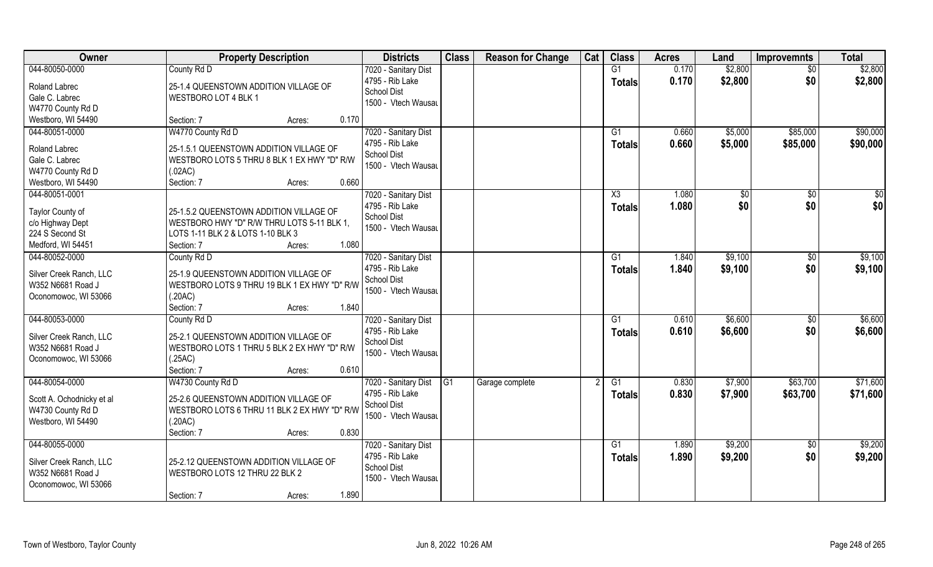| Owner                     | <b>Property Description</b>                  | <b>Districts</b>                        | <b>Class</b>   | <b>Reason for Change</b> | Cat | <b>Class</b>    | <b>Acres</b>   | Land               | <b>Improvemnts</b>   | <b>Total</b> |
|---------------------------|----------------------------------------------|-----------------------------------------|----------------|--------------------------|-----|-----------------|----------------|--------------------|----------------------|--------------|
| 044-80050-0000            | County Rd D                                  | 7020 - Sanitary Dist                    |                |                          |     | G1              | 0.170          | \$2,800            | $\sqrt{6}$           | \$2,800      |
| Roland Labrec             | 25-1.4 QUEENSTOWN ADDITION VILLAGE OF        | 4795 - Rib Lake<br><b>School Dist</b>   |                |                          |     | <b>Totals</b>   | 0.170          | \$2,800            | \$0                  | \$2,800      |
| Gale C. Labrec            | WESTBORO LOT 4 BLK 1                         | 1500 - Vtech Wausau                     |                |                          |     |                 |                |                    |                      |              |
| W4770 County Rd D         |                                              |                                         |                |                          |     |                 |                |                    |                      |              |
| Westboro, WI 54490        | 0.170<br>Section: 7<br>Acres:                |                                         |                |                          |     |                 |                |                    |                      |              |
| 044-80051-0000            | W4770 County Rd D                            | 7020 - Sanitary Dist<br>4795 - Rib Lake |                |                          |     | G1              | 0.660<br>0.660 | \$5,000<br>\$5,000 | \$85,000<br>\$85,000 | \$90,000     |
| Roland Labrec             | 25-1.5.1 QUEENSTOWN ADDITION VILLAGE OF      | <b>School Dist</b>                      |                |                          |     | <b>Totals</b>   |                |                    |                      | \$90,000     |
| Gale C. Labrec            | WESTBORO LOTS 5 THRU 8 BLK 1 EX HWY "D" R/W  | 1500 - Vtech Wausau                     |                |                          |     |                 |                |                    |                      |              |
| W4770 County Rd D         | (.02AC)                                      |                                         |                |                          |     |                 |                |                    |                      |              |
| Westboro, WI 54490        | 0.660<br>Section: 7<br>Acres:                |                                         |                |                          |     |                 |                |                    |                      |              |
| 044-80051-0001            |                                              | 7020 - Sanitary Dist                    |                |                          |     | X3              | 1.080          | \$0                | $\sqrt{50}$          | $\sqrt{50}$  |
|                           |                                              | 4795 - Rib Lake                         |                |                          |     | <b>Totals</b>   | 1.080          | \$0                | \$0                  | \$0          |
| Taylor County of          | 25-1.5.2 QUEENSTOWN ADDITION VILLAGE OF      | School Dist                             |                |                          |     |                 |                |                    |                      |              |
| c/o Highway Dept          | WESTBORO HWY "D" R/W THRU LOTS 5-11 BLK 1,   | 1500 - Vtech Wausau                     |                |                          |     |                 |                |                    |                      |              |
| 224 S Second St           | LOTS 1-11 BLK 2 & LOTS 1-10 BLK 3            |                                         |                |                          |     |                 |                |                    |                      |              |
| Medford, WI 54451         | 1.080<br>Section: 7<br>Acres:                |                                         |                |                          |     |                 |                |                    |                      |              |
| 044-80052-0000            | County Rd D                                  | 7020 - Sanitary Dist                    |                |                          |     | G1              | 1.840          | \$9,100            | $\sqrt[6]{3}$        | \$9,100      |
| Silver Creek Ranch, LLC   | 25-1.9 QUEENSTOWN ADDITION VILLAGE OF        | 4795 - Rib Lake                         |                |                          |     | <b>Totals</b>   | 1.840          | \$9,100            | \$0                  | \$9,100      |
| W352 N6681 Road J         | WESTBORO LOTS 9 THRU 19 BLK 1 EX HWY "D" R/W | <b>School Dist</b>                      |                |                          |     |                 |                |                    |                      |              |
| Oconomowoc, WI 53066      | (.20AC)                                      | 1500 - Vtech Wausau                     |                |                          |     |                 |                |                    |                      |              |
|                           | 1.840<br>Section: 7<br>Acres:                |                                         |                |                          |     |                 |                |                    |                      |              |
| 044-80053-0000            | County Rd D                                  | 7020 - Sanitary Dist                    |                |                          |     | G1              | 0.610          | \$6,600            | $\sqrt[6]{30}$       | \$6,600      |
|                           |                                              | 4795 - Rib Lake                         |                |                          |     |                 | 0.610          | \$6,600            | \$0                  | \$6,600      |
| Silver Creek Ranch, LLC   | 25-2.1 QUEENSTOWN ADDITION VILLAGE OF        | <b>School Dist</b>                      |                |                          |     | <b>Totals</b>   |                |                    |                      |              |
| W352 N6681 Road J         | WESTBORO LOTS 1 THRU 5 BLK 2 EX HWY "D" R/W  | 1500 - Vtech Wausau                     |                |                          |     |                 |                |                    |                      |              |
| Oconomowoc, WI 53066      | (.25AC)                                      |                                         |                |                          |     |                 |                |                    |                      |              |
|                           | 0.610<br>Section: 7<br>Acres:                |                                         |                |                          |     |                 |                |                    |                      |              |
| 044-80054-0000            | W4730 County Rd D                            | 7020 - Sanitary Dist                    | G <sub>1</sub> | Garage complete          |     | G1              | 0.830          | \$7,900            | \$63,700             | \$71,600     |
|                           |                                              | 4795 - Rib Lake                         |                |                          |     | <b>Totals</b>   | 0.830          | \$7,900            | \$63,700             | \$71,600     |
| Scott A. Ochodnicky et al | 25-2.6 QUEENSTOWN ADDITION VILLAGE OF        | <b>School Dist</b>                      |                |                          |     |                 |                |                    |                      |              |
| W4730 County Rd D         | WESTBORO LOTS 6 THRU 11 BLK 2 EX HWY "D" R/W | 1500 - Vtech Wausau                     |                |                          |     |                 |                |                    |                      |              |
| Westboro, WI 54490        | (.20AC)                                      |                                         |                |                          |     |                 |                |                    |                      |              |
|                           | 0.830<br>Section: 7<br>Acres:                |                                         |                |                          |     |                 |                |                    |                      |              |
| 044-80055-0000            |                                              | 7020 - Sanitary Dist                    |                |                          |     | $\overline{G1}$ | 1.890          | \$9,200            | $\sqrt{$0}$          | \$9,200      |
| Silver Creek Ranch, LLC   | 25-2.12 QUEENSTOWN ADDITION VILLAGE OF       | 4795 - Rib Lake                         |                |                          |     | Totals          | 1.890          | \$9,200            | \$0                  | \$9,200      |
| W352 N6681 Road J         | WESTBORO LOTS 12 THRU 22 BLK 2               | <b>School Dist</b>                      |                |                          |     |                 |                |                    |                      |              |
| Oconomowoc, WI 53066      |                                              | 1500 - Vtech Wausau                     |                |                          |     |                 |                |                    |                      |              |
|                           | 1.890<br>Section: 7<br>Acres:                |                                         |                |                          |     |                 |                |                    |                      |              |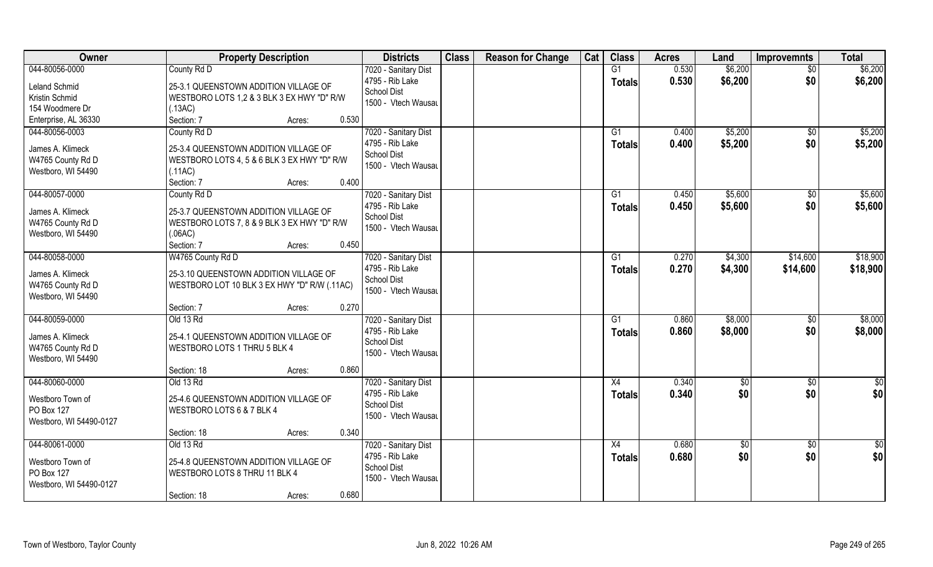| Owner                   | <b>Property Description</b>                  | <b>Districts</b>                      | <b>Class</b> | <b>Reason for Change</b> | Cat | <b>Class</b>   | <b>Acres</b> | Land    | <b>Improvemnts</b> | <b>Total</b> |
|-------------------------|----------------------------------------------|---------------------------------------|--------------|--------------------------|-----|----------------|--------------|---------|--------------------|--------------|
| 044-80056-0000          | County Rd D                                  | 7020 - Sanitary Dist                  |              |                          |     | G1             | 0.530        | \$6,200 | $\overline{50}$    | \$6,200      |
| <b>Leland Schmid</b>    | 25-3.1 QUEENSTOWN ADDITION VILLAGE OF        | 4795 - Rib Lake<br><b>School Dist</b> |              |                          |     | <b>Totals</b>  | 0.530        | \$6,200 | \$0                | \$6,200      |
| Kristin Schmid          | WESTBORO LOTS 1,2 & 3 BLK 3 EX HWY "D" R/W   | 1500 - Vtech Wausau                   |              |                          |     |                |              |         |                    |              |
| 154 Woodmere Dr         | (.13AC)                                      |                                       |              |                          |     |                |              |         |                    |              |
| Enterprise, AL 36330    | 0.530<br>Section: 7<br>Acres:                |                                       |              |                          |     |                |              |         |                    |              |
| 044-80056-0003          | County Rd D                                  | 7020 - Sanitary Dist                  |              |                          |     | G1             | 0.400        | \$5,200 | $\overline{50}$    | \$5,200      |
| James A. Klimeck        | 25-3.4 QUEENSTOWN ADDITION VILLAGE OF        | 4795 - Rib Lake                       |              |                          |     | Totals         | 0.400        | \$5,200 | \$0                | \$5,200      |
| W4765 County Rd D       | WESTBORO LOTS 4, 5 & 6 BLK 3 EX HWY "D" R/W  | <b>School Dist</b>                    |              |                          |     |                |              |         |                    |              |
| Westboro, WI 54490      | (.11AC)                                      | 1500 - Vtech Wausau                   |              |                          |     |                |              |         |                    |              |
|                         | 0.400<br>Section: 7<br>Acres:                |                                       |              |                          |     |                |              |         |                    |              |
| 044-80057-0000          | County Rd D                                  | 7020 - Sanitary Dist                  |              |                          |     | G1             | 0.450        | \$5,600 | $\sqrt[6]{30}$     | \$5,600      |
|                         |                                              | 4795 - Rib Lake                       |              |                          |     |                |              |         | \$0                |              |
| James A. Klimeck        | 25-3.7 QUEENSTOWN ADDITION VILLAGE OF        | School Dist                           |              |                          |     | <b>Totals</b>  | 0.450        | \$5,600 |                    | \$5,600      |
| W4765 County Rd D       | WESTBORO LOTS 7, 8 & 9 BLK 3 EX HWY "D" R/W  | 1500 - Vtech Wausau                   |              |                          |     |                |              |         |                    |              |
| Westboro, WI 54490      | (.06AC)                                      |                                       |              |                          |     |                |              |         |                    |              |
|                         | Section: 7<br>0.450<br>Acres:                |                                       |              |                          |     |                |              |         |                    |              |
| 044-80058-0000          | W4765 County Rd D                            | 7020 - Sanitary Dist                  |              |                          |     | G <sub>1</sub> | 0.270        | \$4,300 | \$14,600           | \$18,900     |
| James A. Klimeck        | 25-3.10 QUEENSTOWN ADDITION VILLAGE OF       | 4795 - Rib Lake                       |              |                          |     | <b>Totals</b>  | 0.270        | \$4,300 | \$14,600           | \$18,900     |
| W4765 County Rd D       | WESTBORO LOT 10 BLK 3 EX HWY "D" R/W (.11AC) | School Dist                           |              |                          |     |                |              |         |                    |              |
| Westboro, WI 54490      |                                              | 1500 - Vtech Wausau                   |              |                          |     |                |              |         |                    |              |
|                         | 0.270<br>Section: 7<br>Acres:                |                                       |              |                          |     |                |              |         |                    |              |
| 044-80059-0000          | Old 13 Rd                                    | 7020 - Sanitary Dist                  |              |                          |     | G1             | 0.860        | \$8,000 | \$0                | \$8,000      |
|                         |                                              | 4795 - Rib Lake                       |              |                          |     | <b>Totals</b>  | 0.860        | \$8,000 | \$0                | \$8,000      |
| James A. Klimeck        | 25-4.1 QUEENSTOWN ADDITION VILLAGE OF        | School Dist                           |              |                          |     |                |              |         |                    |              |
| W4765 County Rd D       | WESTBORO LOTS 1 THRU 5 BLK 4                 | 1500 - Vtech Wausau                   |              |                          |     |                |              |         |                    |              |
| Westboro, WI 54490      |                                              |                                       |              |                          |     |                |              |         |                    |              |
|                         | 0.860<br>Section: 18<br>Acres:               |                                       |              |                          |     |                |              |         |                    |              |
| 044-80060-0000          | Old 13 Rd                                    | 7020 - Sanitary Dist                  |              |                          |     | X4             | 0.340        | \$0     | \$0                | \$0          |
| Westboro Town of        | 25-4.6 QUEENSTOWN ADDITION VILLAGE OF        | 4795 - Rib Lake                       |              |                          |     | <b>Totals</b>  | 0.340        | \$0     | \$0                | \$0          |
| PO Box 127              | WESTBORO LOTS 6 & 7 BLK 4                    | <b>School Dist</b>                    |              |                          |     |                |              |         |                    |              |
| Westboro, WI 54490-0127 |                                              | 1500 - Vtech Wausau                   |              |                          |     |                |              |         |                    |              |
|                         | 0.340<br>Section: 18<br>Acres:               |                                       |              |                          |     |                |              |         |                    |              |
| 044-80061-0000          | Old 13 Rd                                    | 7020 - Sanitary Dist                  |              |                          |     | X4             | 0.680        | \$0     | $\sqrt{6}$         | \$0          |
|                         |                                              | 4795 - Rib Lake                       |              |                          |     | <b>Totals</b>  | 0.680        | \$0     | \$0                | \$0          |
| Westboro Town of        | 25-4.8 QUEENSTOWN ADDITION VILLAGE OF        | <b>School Dist</b>                    |              |                          |     |                |              |         |                    |              |
| PO Box 127              | WESTBORO LOTS 8 THRU 11 BLK 4                | 1500 - Vtech Wausau                   |              |                          |     |                |              |         |                    |              |
| Westboro, WI 54490-0127 |                                              |                                       |              |                          |     |                |              |         |                    |              |
|                         | 0.680<br>Section: 18<br>Acres:               |                                       |              |                          |     |                |              |         |                    |              |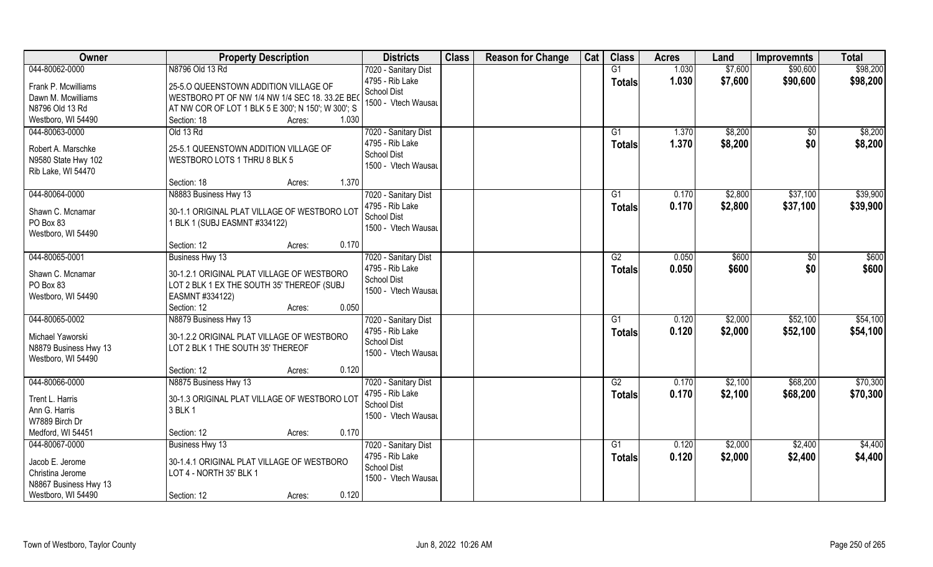| Owner                 | <b>Property Description</b>                        | <b>Districts</b>                          | <b>Class</b> | <b>Reason for Change</b> | Cat | <b>Class</b>  | <b>Acres</b> | Land    | <b>Improvemnts</b> | <b>Total</b> |
|-----------------------|----------------------------------------------------|-------------------------------------------|--------------|--------------------------|-----|---------------|--------------|---------|--------------------|--------------|
| 044-80062-0000        | N8796 Old 13 Rd                                    | 7020 - Sanitary Dist                      |              |                          |     | G1            | 1.030        | \$7,600 | \$90,600           | \$98,200     |
| Frank P. Mcwilliams   | 25-5.0 QUEENSTOWN ADDITION VILLAGE OF              | 4795 - Rib Lake                           |              |                          |     | <b>Totals</b> | 1.030        | \$7,600 | \$90,600           | \$98,200     |
| Dawn M. Mcwilliams    | WESTBORO PT OF NW 1/4 NW 1/4 SEC 18. 33.2E BEO     | School Dist                               |              |                          |     |               |              |         |                    |              |
| N8796 Old 13 Rd       | AT NW COR OF LOT 1 BLK 5 E 300'; N 150'; W 300'; S | 1500 - Vtech Wausau                       |              |                          |     |               |              |         |                    |              |
| Westboro, WI 54490    | 1.030<br>Section: 18<br>Acres:                     |                                           |              |                          |     |               |              |         |                    |              |
| 044-80063-0000        | Old 13 Rd                                          | 7020 - Sanitary Dist                      |              |                          |     | G1            | 1.370        | \$8,200 | \$0                | \$8,200      |
|                       |                                                    | 4795 - Rib Lake                           |              |                          |     | Totals        | 1.370        | \$8,200 | \$0                | \$8,200      |
| Robert A. Marschke    | 25-5.1 QUEENSTOWN ADDITION VILLAGE OF              | <b>School Dist</b>                        |              |                          |     |               |              |         |                    |              |
| N9580 State Hwy 102   | WESTBORO LOTS 1 THRU 8 BLK 5                       | 1500 - Vtech Wausau                       |              |                          |     |               |              |         |                    |              |
| Rib Lake, WI 54470    | 1.370                                              |                                           |              |                          |     |               |              |         |                    |              |
|                       | Section: 18<br>Acres:                              |                                           |              |                          |     |               |              |         | \$37,100           | \$39,900     |
| 044-80064-0000        | N8883 Business Hwy 13                              | 7020 - Sanitary Dist<br>4795 - Rib Lake   |              |                          |     | G1            | 0.170        | \$2,800 |                    |              |
| Shawn C. Mcnamar      | 30-1.1 ORIGINAL PLAT VILLAGE OF WESTBORO LOT       | School Dist                               |              |                          |     | <b>Totals</b> | 0.170        | \$2,800 | \$37,100           | \$39,900     |
| PO Box 83             | 1 BLK 1 (SUBJ EASMNT #334122)                      | 1500 - Vtech Wausau                       |              |                          |     |               |              |         |                    |              |
| Westboro, WI 54490    |                                                    |                                           |              |                          |     |               |              |         |                    |              |
|                       | 0.170<br>Section: 12<br>Acres:                     |                                           |              |                          |     |               |              |         |                    |              |
| 044-80065-0001        | Business Hwy 13                                    | 7020 - Sanitary Dist                      |              |                          |     | G2            | 0.050        | \$600   | \$0                | \$600        |
| Shawn C. Mcnamar      | 30-1.2.1 ORIGINAL PLAT VILLAGE OF WESTBORO         | 4795 - Rib Lake                           |              |                          |     | <b>Totals</b> | 0.050        | \$600   | \$0                | \$600        |
| PO Box 83             | LOT 2 BLK 1 EX THE SOUTH 35' THEREOF (SUBJ         | <b>School Dist</b>                        |              |                          |     |               |              |         |                    |              |
| Westboro, WI 54490    | EASMNT #334122)                                    | 1500 - Vtech Wausau                       |              |                          |     |               |              |         |                    |              |
|                       | 0.050<br>Section: 12<br>Acres:                     |                                           |              |                          |     |               |              |         |                    |              |
| 044-80065-0002        | N8879 Business Hwy 13                              | 7020 - Sanitary Dist                      |              |                          |     | G1            | 0.120        | \$2,000 | \$52,100           | \$54,100     |
|                       |                                                    | 4795 - Rib Lake                           |              |                          |     | <b>Totals</b> | 0.120        | \$2,000 | \$52,100           | \$54,100     |
| Michael Yaworski      | 30-1.2.2 ORIGINAL PLAT VILLAGE OF WESTBORO         | <b>School Dist</b>                        |              |                          |     |               |              |         |                    |              |
| N8879 Business Hwy 13 | LOT 2 BLK 1 THE SOUTH 35' THEREOF                  | 1500 - Vtech Wausau                       |              |                          |     |               |              |         |                    |              |
| Westboro, WI 54490    |                                                    |                                           |              |                          |     |               |              |         |                    |              |
|                       | 0.120<br>Section: 12<br>Acres:                     |                                           |              |                          |     |               |              |         |                    |              |
| 044-80066-0000        | N8875 Business Hwy 13                              | 7020 - Sanitary Dist                      |              |                          |     | G2            | 0.170        | \$2,100 | \$68,200           | \$70,300     |
| Trent L. Harris       | 30-1.3 ORIGINAL PLAT VILLAGE OF WESTBORO LOT       | 4795 - Rib Lake                           |              |                          |     | <b>Totals</b> | 0.170        | \$2,100 | \$68,200           | \$70,300     |
| Ann G. Harris         | 3 BLK 1                                            | <b>School Dist</b><br>1500 - Vtech Wausau |              |                          |     |               |              |         |                    |              |
| W7889 Birch Dr        |                                                    |                                           |              |                          |     |               |              |         |                    |              |
| Medford, WI 54451     | 0.170<br>Section: 12<br>Acres:                     |                                           |              |                          |     |               |              |         |                    |              |
| 044-80067-0000        | Business Hwy 13                                    | 7020 - Sanitary Dist                      |              |                          |     | G1            | 0.120        | \$2,000 | \$2,400            | \$4,400      |
| Jacob E. Jerome       | 30-1.4.1 ORIGINAL PLAT VILLAGE OF WESTBORO         | 4795 - Rib Lake                           |              |                          |     | Totals        | 0.120        | \$2,000 | \$2,400            | \$4,400      |
| Christina Jerome      | LOT 4 - NORTH 35' BLK 1                            | <b>School Dist</b>                        |              |                          |     |               |              |         |                    |              |
| N8867 Business Hwy 13 |                                                    | 1500 - Vtech Wausau                       |              |                          |     |               |              |         |                    |              |
| Westboro, WI 54490    | 0.120<br>Section: 12<br>Acres:                     |                                           |              |                          |     |               |              |         |                    |              |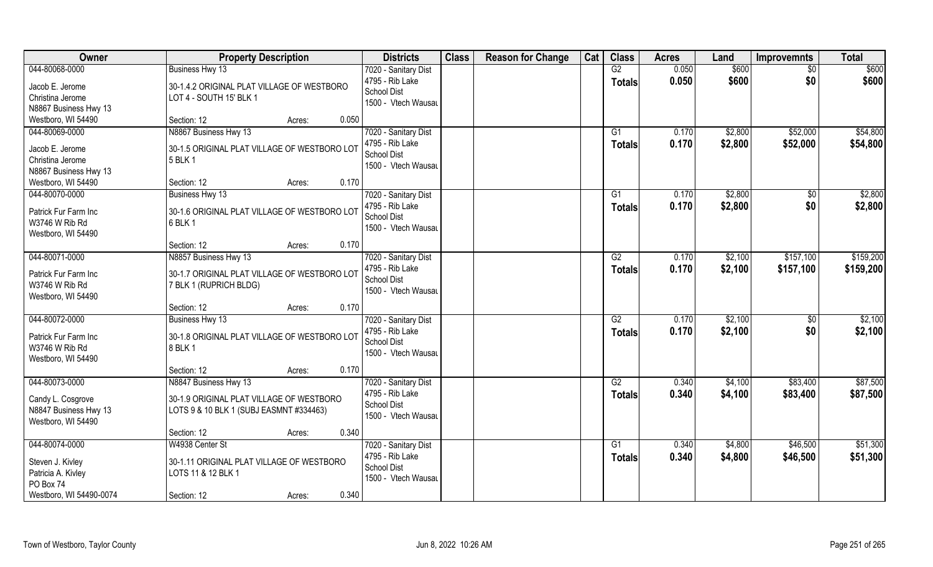| Owner                   | <b>Property Description</b>                  | <b>Districts</b>     | <b>Class</b> | <b>Reason for Change</b> | Cat | <b>Class</b>    | <b>Acres</b> | Land    | <b>Improvemnts</b> | <b>Total</b> |
|-------------------------|----------------------------------------------|----------------------|--------------|--------------------------|-----|-----------------|--------------|---------|--------------------|--------------|
| 044-80068-0000          | Business Hwy 13                              | 7020 - Sanitary Dist |              |                          |     | G2              | 0.050        | \$600   | $\sqrt{6}$         | \$600        |
| Jacob E. Jerome         | 30-1.4.2 ORIGINAL PLAT VILLAGE OF WESTBORO   | 4795 - Rib Lake      |              |                          |     | <b>Totals</b>   | 0.050        | \$600   | \$0                | \$600        |
| Christina Jerome        | LOT 4 - SOUTH 15' BLK 1                      | <b>School Dist</b>   |              |                          |     |                 |              |         |                    |              |
| N8867 Business Hwy 13   |                                              | 1500 - Vtech Wausau  |              |                          |     |                 |              |         |                    |              |
| Westboro, WI 54490      | 0.050<br>Section: 12<br>Acres:               |                      |              |                          |     |                 |              |         |                    |              |
| 044-80069-0000          | N8867 Business Hwy 13                        | 7020 - Sanitary Dist |              |                          |     | G1              | 0.170        | \$2,800 | \$52,000           | \$54,800     |
| Jacob E. Jerome         | 30-1.5 ORIGINAL PLAT VILLAGE OF WESTBORO LOT | 4795 - Rib Lake      |              |                          |     | Totals          | 0.170        | \$2,800 | \$52,000           | \$54,800     |
| Christina Jerome        | 5 BLK 1                                      | <b>School Dist</b>   |              |                          |     |                 |              |         |                    |              |
| N8867 Business Hwy 13   |                                              | 1500 - Vtech Wausau  |              |                          |     |                 |              |         |                    |              |
| Westboro, WI 54490      | 0.170<br>Section: 12<br>Acres:               |                      |              |                          |     |                 |              |         |                    |              |
| 044-80070-0000          | Business Hwy 13                              | 7020 - Sanitary Dist |              |                          |     | G1              | 0.170        | \$2,800 | $\sqrt[6]{}$       | \$2,800      |
|                         |                                              | 4795 - Rib Lake      |              |                          |     | <b>Totals</b>   | 0.170        | \$2,800 | \$0                | \$2,800      |
| Patrick Fur Farm Inc    | 30-1.6 ORIGINAL PLAT VILLAGE OF WESTBORO LOT | School Dist          |              |                          |     |                 |              |         |                    |              |
| W3746 W Rib Rd          | 6 BLK 1                                      | 1500 - Vtech Wausau  |              |                          |     |                 |              |         |                    |              |
| Westboro, WI 54490      | 0.170<br>Section: 12                         |                      |              |                          |     |                 |              |         |                    |              |
| 044-80071-0000          | Acres:<br>N8857 Business Hwy 13              | 7020 - Sanitary Dist |              |                          |     | G2              | 0.170        | \$2,100 | \$157,100          | \$159,200    |
|                         |                                              | 4795 - Rib Lake      |              |                          |     |                 | 0.170        |         |                    |              |
| Patrick Fur Farm Inc    | 30-1.7 ORIGINAL PLAT VILLAGE OF WESTBORO LOT | <b>School Dist</b>   |              |                          |     | <b>Totals</b>   |              | \$2,100 | \$157,100          | \$159,200    |
| W3746 W Rib Rd          | 7 BLK 1 (RUPRICH BLDG)                       | 1500 - Vtech Wausau  |              |                          |     |                 |              |         |                    |              |
| Westboro, WI 54490      |                                              |                      |              |                          |     |                 |              |         |                    |              |
|                         | 0.170<br>Section: 12<br>Acres:               |                      |              |                          |     |                 |              |         |                    |              |
| 044-80072-0000          | Business Hwy 13                              | 7020 - Sanitary Dist |              |                          |     | $\overline{G2}$ | 0.170        | \$2,100 | $\sqrt[6]{}$       | \$2,100      |
| Patrick Fur Farm Inc    | 30-1.8 ORIGINAL PLAT VILLAGE OF WESTBORO LOT | 4795 - Rib Lake      |              |                          |     | Totals          | 0.170        | \$2,100 | \$0                | \$2,100      |
| W3746 W Rib Rd          | 8 BLK 1                                      | <b>School Dist</b>   |              |                          |     |                 |              |         |                    |              |
| Westboro, WI 54490      |                                              | 1500 - Vtech Wausau  |              |                          |     |                 |              |         |                    |              |
|                         | 0.170<br>Section: 12<br>Acres:               |                      |              |                          |     |                 |              |         |                    |              |
| 044-80073-0000          | N8847 Business Hwy 13                        | 7020 - Sanitary Dist |              |                          |     | G2              | 0.340        | \$4,100 | \$83,400           | \$87,500     |
| Candy L. Cosgrove       | 30-1.9 ORIGINAL PLAT VILLAGE OF WESTBORO     | 4795 - Rib Lake      |              |                          |     | <b>Totals</b>   | 0.340        | \$4,100 | \$83,400           | \$87,500     |
| N8847 Business Hwy 13   | LOTS 9 & 10 BLK 1 (SUBJ EASMNT #334463)      | <b>School Dist</b>   |              |                          |     |                 |              |         |                    |              |
| Westboro, WI 54490      |                                              | 1500 - Vtech Wausau  |              |                          |     |                 |              |         |                    |              |
|                         | 0.340<br>Section: 12<br>Acres:               |                      |              |                          |     |                 |              |         |                    |              |
| 044-80074-0000          | W4938 Center St                              | 7020 - Sanitary Dist |              |                          |     | G1              | 0.340        | \$4,800 | \$46,500           | \$51,300     |
|                         |                                              | 4795 - Rib Lake      |              |                          |     | <b>Totals</b>   | 0.340        | \$4,800 | \$46,500           | \$51,300     |
| Steven J. Kivley        | 30-1.11 ORIGINAL PLAT VILLAGE OF WESTBORO    | <b>School Dist</b>   |              |                          |     |                 |              |         |                    |              |
| Patricia A. Kivley      | LOTS 11 & 12 BLK 1                           | 1500 - Vtech Wausau  |              |                          |     |                 |              |         |                    |              |
| PO Box 74               |                                              |                      |              |                          |     |                 |              |         |                    |              |
| Westboro, WI 54490-0074 | 0.340<br>Section: 12<br>Acres:               |                      |              |                          |     |                 |              |         |                    |              |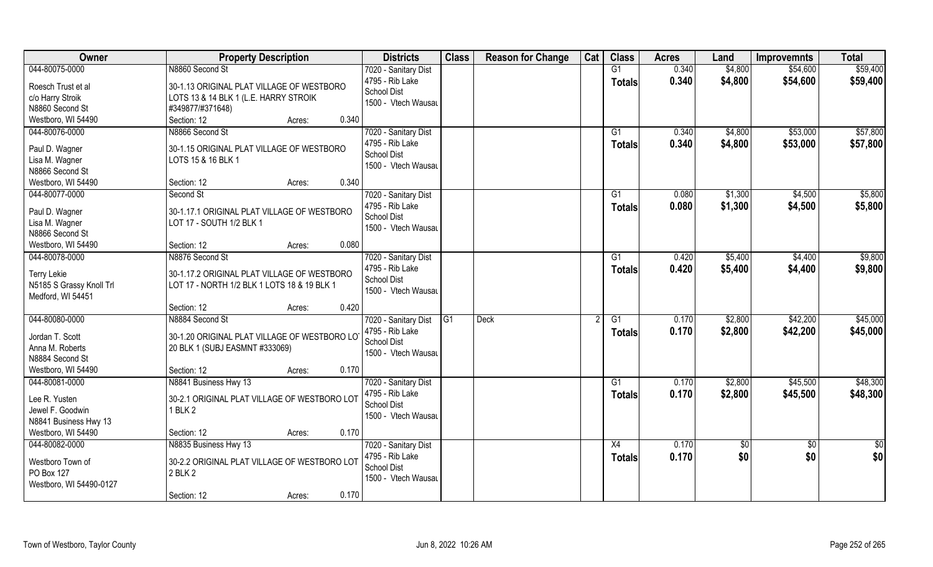| Owner                                                                       | <b>Property Description</b>                                                                            | <b>Districts</b>                                                                     | <b>Class</b>    | <b>Reason for Change</b> | Cat | <b>Class</b>        | <b>Acres</b>   | Land               | <b>Improvemnts</b>   | <b>Total</b>         |
|-----------------------------------------------------------------------------|--------------------------------------------------------------------------------------------------------|--------------------------------------------------------------------------------------|-----------------|--------------------------|-----|---------------------|----------------|--------------------|----------------------|----------------------|
| 044-80075-0000                                                              | N8860 Second St                                                                                        | 7020 - Sanitary Dist                                                                 |                 |                          |     | G1                  | 0.340          | \$4,800            | \$54,600             | \$59,400             |
| Roesch Trust et al<br>c/o Harry Stroik<br>N8860 Second St                   | 30-1.13 ORIGINAL PLAT VILLAGE OF WESTBORO<br>LOTS 13 & 14 BLK 1 (L.E. HARRY STROIK<br>#349877/#371648) | 4795 - Rib Lake<br><b>School Dist</b><br>1500 - Vtech Wausau                         |                 |                          |     | <b>Totals</b>       | 0.340          | \$4,800            | \$54,600             | \$59,400             |
| Westboro, WI 54490                                                          | Section: 12<br>0.340<br>Acres:                                                                         |                                                                                      |                 |                          |     |                     |                |                    |                      |                      |
| 044-80076-0000<br>Paul D. Wagner<br>Lisa M. Wagner<br>N8866 Second St       | N8866 Second St<br>30-1.15 ORIGINAL PLAT VILLAGE OF WESTBORO<br>LOTS 15 & 16 BLK 1                     | 7020 - Sanitary Dist<br>4795 - Rib Lake<br>School Dist<br>1500 - Vtech Wausau        |                 |                          |     | G1<br>Totals        | 0.340<br>0.340 | \$4,800<br>\$4,800 | \$53,000<br>\$53,000 | \$57,800<br>\$57,800 |
| Westboro, WI 54490                                                          | 0.340<br>Section: 12<br>Acres:                                                                         |                                                                                      |                 |                          |     |                     |                |                    |                      |                      |
| 044-80077-0000                                                              | Second St                                                                                              | 7020 - Sanitary Dist                                                                 |                 |                          |     | G1                  | 0.080          | \$1,300            | \$4,500              | \$5,800              |
| Paul D. Wagner<br>Lisa M. Wagner<br>N8866 Second St                         | 30-1.17.1 ORIGINAL PLAT VILLAGE OF WESTBORO<br>LOT 17 - SOUTH 1/2 BLK 1                                | 4795 - Rib Lake<br>School Dist<br>1500 - Vtech Wausau                                |                 |                          |     | <b>Totals</b>       | 0.080          | \$1,300            | \$4,500              | \$5,800              |
| Westboro, WI 54490                                                          | 0.080<br>Section: 12<br>Acres:                                                                         |                                                                                      |                 |                          |     |                     |                |                    |                      |                      |
| 044-80078-0000                                                              | N8876 Second St                                                                                        | 7020 - Sanitary Dist                                                                 |                 |                          |     | G1                  | 0.420          | \$5,400            | \$4,400              | \$9,800              |
| <b>Terry Lekie</b><br>N5185 S Grassy Knoll Trl<br>Medford, WI 54451         | 30-1.17.2 ORIGINAL PLAT VILLAGE OF WESTBORO<br>LOT 17 - NORTH 1/2 BLK 1 LOTS 18 & 19 BLK 1             | 4795 - Rib Lake<br><b>School Dist</b><br>1500 - Vtech Wausau                         |                 |                          |     | Totals              | 0.420          | \$5,400            | \$4,400              | \$9,800              |
|                                                                             | 0.420<br>Section: 12<br>Acres:                                                                         |                                                                                      |                 |                          |     |                     |                |                    |                      |                      |
| 044-80080-0000<br>Jordan T. Scott<br>Anna M. Roberts<br>N8884 Second St     | N8884 Second St<br>30-1.20 ORIGINAL PLAT VILLAGE OF WESTBORO LO<br>20 BLK 1 (SUBJ EASMNT #333069)      | 7020 - Sanitary Dist<br>4795 - Rib Lake<br><b>School Dist</b><br>1500 - Vtech Wausau | $\overline{G1}$ | <b>Deck</b>              |     | G1<br><b>Totals</b> | 0.170<br>0.170 | \$2,800<br>\$2,800 | \$42,200<br>\$42,200 | \$45,000<br>\$45,000 |
| Westboro, WI 54490                                                          | 0.170<br>Section: 12<br>Acres:                                                                         |                                                                                      |                 |                          |     |                     |                |                    |                      |                      |
| 044-80081-0000                                                              | N8841 Business Hwy 13                                                                                  | 7020 - Sanitary Dist                                                                 |                 |                          |     | G1                  | 0.170          | \$2,800            | \$45,500             | \$48,300             |
| Lee R. Yusten<br>Jewel F. Goodwin<br>N8841 Business Hwy 13                  | 30-2.1 ORIGINAL PLAT VILLAGE OF WESTBORO LOT<br>1 BLK 2                                                | 4795 - Rib Lake<br><b>School Dist</b><br>1500 - Vtech Wausau                         |                 |                          |     | <b>Totals</b>       | 0.170          | \$2,800            | \$45,500             | \$48,300             |
| Westboro, WI 54490                                                          | 0.170<br>Section: 12<br>Acres:                                                                         |                                                                                      |                 |                          |     |                     |                |                    |                      |                      |
| 044-80082-0000<br>Westboro Town of<br>PO Box 127<br>Westboro, WI 54490-0127 | N8835 Business Hwy 13<br>30-2.2 ORIGINAL PLAT VILLAGE OF WESTBORO LOT<br>2 BLK 2<br>0.170              | 7020 - Sanitary Dist<br>4795 - Rib Lake<br><b>School Dist</b><br>1500 - Vtech Wausau |                 |                          |     | X4<br><b>Totals</b> | 0.170<br>0.170 | \$0<br>\$0         | $\sqrt{6}$<br>\$0    | \$0<br>\$0           |
|                                                                             | Section: 12<br>Acres:                                                                                  |                                                                                      |                 |                          |     |                     |                |                    |                      |                      |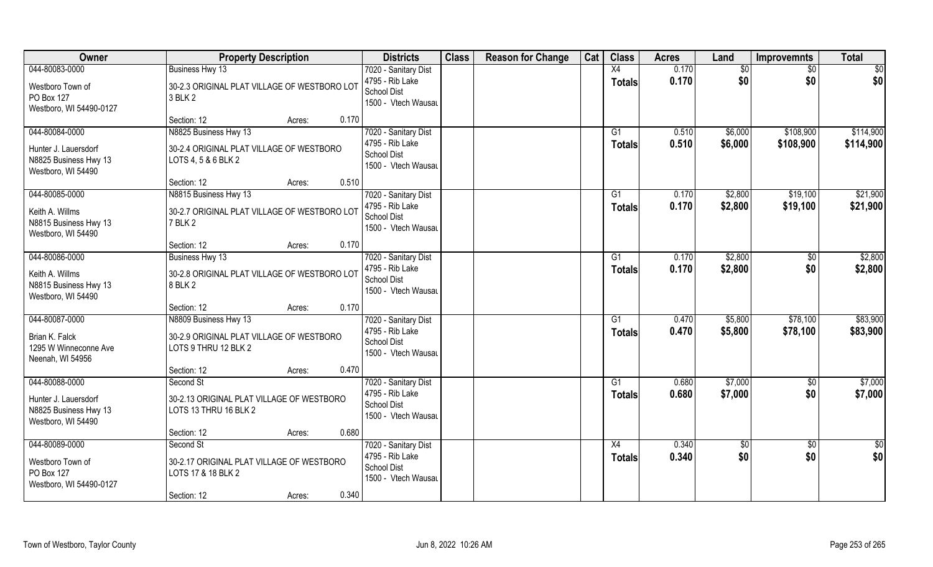| Owner                                                                                 | <b>Property Description</b>                                                                                      | <b>Districts</b>                                                                     | <b>Class</b> | <b>Reason for Change</b> | Cat | <b>Class</b>                     | <b>Acres</b>   | Land               | <b>Improvemnts</b>     | <b>Total</b>           |
|---------------------------------------------------------------------------------------|------------------------------------------------------------------------------------------------------------------|--------------------------------------------------------------------------------------|--------------|--------------------------|-----|----------------------------------|----------------|--------------------|------------------------|------------------------|
| 044-80083-0000<br>Westboro Town of<br>PO Box 127<br>Westboro, WI 54490-0127           | Business Hwy 13<br>30-2.3 ORIGINAL PLAT VILLAGE OF WESTBORO LOT<br>3 BLK 2                                       | 7020 - Sanitary Dist<br>4795 - Rib Lake<br><b>School Dist</b><br>1500 - Vtech Wausau |              |                          |     | $\overline{X4}$<br><b>Totals</b> | 0.170<br>0.170 | \$0<br>\$0         | $\sqrt{6}$<br>\$0      | \$0<br>\$0             |
|                                                                                       | 0.170<br>Section: 12<br>Acres:                                                                                   |                                                                                      |              |                          |     |                                  |                |                    |                        |                        |
| 044-80084-0000<br>Hunter J. Lauersdorf<br>N8825 Business Hwy 13<br>Westboro, WI 54490 | N8825 Business Hwy 13<br>30-2.4 ORIGINAL PLAT VILLAGE OF WESTBORO<br>LOTS 4, 5 & 6 BLK 2<br>0.510<br>Section: 12 | 7020 - Sanitary Dist<br>4795 - Rib Lake<br>School Dist<br>1500 - Vtech Wausau        |              |                          |     | G1<br>Totals                     | 0.510<br>0.510 | \$6,000<br>\$6,000 | \$108,900<br>\$108,900 | \$114,900<br>\$114,900 |
| 044-80085-0000                                                                        | Acres:<br>N8815 Business Hwy 13                                                                                  | 7020 - Sanitary Dist                                                                 |              |                          |     | G1                               | 0.170          | \$2,800            | \$19,100               | \$21,900               |
| Keith A. Willms<br>N8815 Business Hwy 13<br>Westboro, WI 54490                        | 30-2.7 ORIGINAL PLAT VILLAGE OF WESTBORO LOT<br>7 BLK 2                                                          | 4795 - Rib Lake<br>School Dist<br>1500 - Vtech Wausau                                |              |                          |     | <b>Totals</b>                    | 0.170          | \$2,800            | \$19,100               | \$21,900               |
|                                                                                       | 0.170<br>Section: 12<br>Acres:                                                                                   |                                                                                      |              |                          |     |                                  |                |                    |                        |                        |
| 044-80086-0000<br>Keith A. Willms<br>N8815 Business Hwy 13<br>Westboro, WI 54490      | Business Hwy 13<br>30-2.8 ORIGINAL PLAT VILLAGE OF WESTBORO LOT<br>8 BLK 2                                       | 7020 - Sanitary Dist<br>4795 - Rib Lake<br><b>School Dist</b><br>1500 - Vtech Wausau |              |                          |     | G1<br><b>Totals</b>              | 0.170<br>0.170 | \$2,800<br>\$2,800 | $\sqrt[6]{30}$<br>\$0  | \$2,800<br>\$2,800     |
|                                                                                       | 0.170<br>Section: 12<br>Acres:                                                                                   |                                                                                      |              |                          |     |                                  |                |                    |                        |                        |
| 044-80087-0000<br>Brian K. Falck<br>1295 W Winneconne Ave<br>Neenah, WI 54956         | N8809 Business Hwy 13<br>30-2.9 ORIGINAL PLAT VILLAGE OF WESTBORO<br>LOTS 9 THRU 12 BLK 2                        | 7020 - Sanitary Dist<br>4795 - Rib Lake<br><b>School Dist</b><br>1500 - Vtech Wausau |              |                          |     | G1<br>Totals                     | 0.470<br>0.470 | \$5,800<br>\$5,800 | \$78,100<br>\$78,100   | \$83,900<br>\$83,900   |
|                                                                                       | 0.470<br>Section: 12<br>Acres:                                                                                   |                                                                                      |              |                          |     |                                  |                |                    |                        |                        |
| 044-80088-0000<br>Hunter J. Lauersdorf<br>N8825 Business Hwy 13<br>Westboro, WI 54490 | Second St<br>30-2.13 ORIGINAL PLAT VILLAGE OF WESTBORO<br>LOTS 13 THRU 16 BLK 2                                  | 7020 - Sanitary Dist<br>4795 - Rib Lake<br><b>School Dist</b><br>1500 - Vtech Wausau |              |                          |     | G1<br><b>Totals</b>              | 0.680<br>0.680 | \$7,000<br>\$7,000 | $\sqrt{6}$<br>\$0      | \$7,000<br>\$7,000     |
| 044-80089-0000                                                                        | 0.680<br>Section: 12<br>Acres:<br>Second St                                                                      |                                                                                      |              |                          |     |                                  | 0.340          |                    |                        |                        |
| Westboro Town of<br>PO Box 127<br>Westboro, WI 54490-0127                             | 30-2.17 ORIGINAL PLAT VILLAGE OF WESTBORO<br>LOTS 17 & 18 BLK 2<br>0.340<br>Section: 12<br>Acres:                | 7020 - Sanitary Dist<br>4795 - Rib Lake<br><b>School Dist</b><br>1500 - Vtech Wausau |              |                          |     | X4<br><b>Totals</b>              | 0.340          | $\sqrt{6}$<br>\$0  | $\sqrt[6]{30}$<br>\$0  | $\frac{1}{2}$<br>\$0   |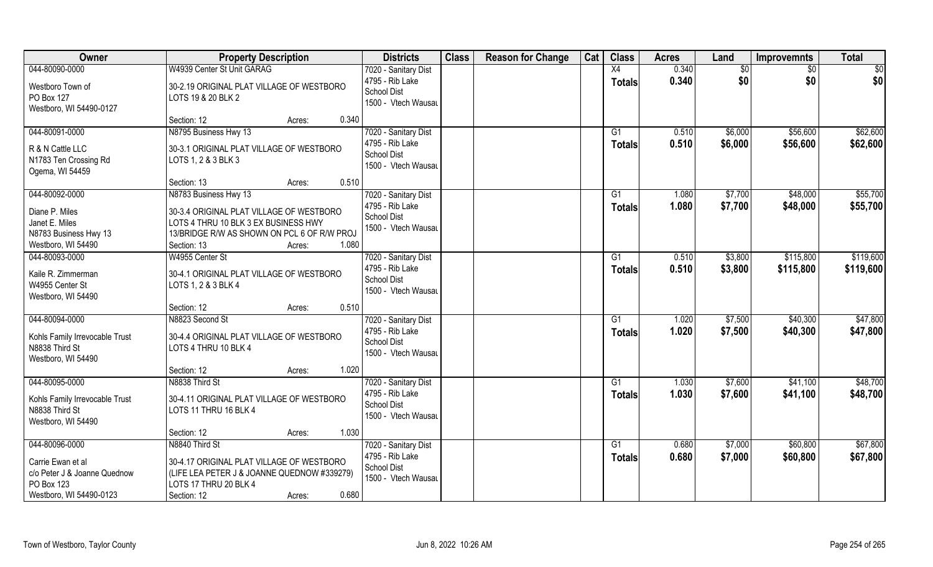| Owner                                                                                    | <b>Property Description</b>                                                                                                                                       | <b>Districts</b>                                                                     | <b>Class</b> | <b>Reason for Change</b> | Cat | <b>Class</b>        | <b>Acres</b>   | Land               | <b>Improvemnts</b>   | <b>Total</b>         |
|------------------------------------------------------------------------------------------|-------------------------------------------------------------------------------------------------------------------------------------------------------------------|--------------------------------------------------------------------------------------|--------------|--------------------------|-----|---------------------|----------------|--------------------|----------------------|----------------------|
| 044-80090-0000                                                                           | W4939 Center St Unit GARAG                                                                                                                                        | 7020 - Sanitary Dist                                                                 |              |                          |     | X4                  | 0.340          | \$0                | $\sqrt{6}$           | \$0                  |
| Westboro Town of<br>PO Box 127<br>Westboro, WI 54490-0127                                | 30-2.19 ORIGINAL PLAT VILLAGE OF WESTBORO<br>LOTS 19 & 20 BLK 2                                                                                                   | 4795 - Rib Lake<br><b>School Dist</b><br>1500 - Vtech Wausau                         |              |                          |     | <b>Totals</b>       | 0.340          | \$0                | \$0                  | \$0                  |
|                                                                                          | 0.340<br>Section: 12<br>Acres:                                                                                                                                    |                                                                                      |              |                          |     |                     |                |                    |                      |                      |
| 044-80091-0000<br>R & N Cattle LLC<br>N1783 Ten Crossing Rd<br>Ogema, WI 54459           | N8795 Business Hwy 13<br>30-3.1 ORIGINAL PLAT VILLAGE OF WESTBORO<br>LOTS 1, 2 & 3 BLK 3                                                                          | 7020 - Sanitary Dist<br>4795 - Rib Lake<br><b>School Dist</b><br>1500 - Vtech Wausau |              |                          |     | G1<br>Totals        | 0.510<br>0.510 | \$6,000<br>\$6,000 | \$56,600<br>\$56,600 | \$62,600<br>\$62,600 |
|                                                                                          | 0.510<br>Section: 13<br>Acres:                                                                                                                                    |                                                                                      |              |                          |     |                     |                |                    |                      |                      |
| 044-80092-0000                                                                           | N8783 Business Hwy 13                                                                                                                                             | 7020 - Sanitary Dist                                                                 |              |                          |     | G1                  | 1.080          | \$7,700            | \$48,000             | \$55,700             |
| Diane P. Miles<br>Janet E. Miles<br>N8783 Business Hwy 13<br>Westboro, WI 54490          | 30-3.4 ORIGINAL PLAT VILLAGE OF WESTBORO<br>LOTS 4 THRU 10 BLK 3 EX BUSINESS HWY<br>13/BRIDGE R/W AS SHOWN ON PCL 6 OF R/W PROJ<br>1.080<br>Section: 13<br>Acres: | 4795 - Rib Lake<br>School Dist<br>1500 - Vtech Wausau                                |              |                          |     | <b>Totals</b>       | 1.080          | \$7,700            | \$48,000             | \$55,700             |
| 044-80093-0000                                                                           | W4955 Center St                                                                                                                                                   | 7020 - Sanitary Dist                                                                 |              |                          |     | G1                  | 0.510          | \$3,800            | \$115,800            | \$119,600            |
| Kaile R. Zimmerman<br>W4955 Center St<br>Westboro, WI 54490                              | 30-4.1 ORIGINAL PLAT VILLAGE OF WESTBORO<br>LOTS 1, 2 & 3 BLK 4                                                                                                   | 4795 - Rib Lake<br>School Dist<br>1500 - Vtech Wausau                                |              |                          |     | <b>Totals</b>       | 0.510          | \$3,800            | \$115,800            | \$119,600            |
|                                                                                          | 0.510<br>Section: 12<br>Acres:                                                                                                                                    |                                                                                      |              |                          |     |                     |                |                    |                      |                      |
| 044-80094-0000<br>Kohls Family Irrevocable Trust<br>N8838 Third St<br>Westboro, WI 54490 | N8823 Second St<br>30-4.4 ORIGINAL PLAT VILLAGE OF WESTBORO<br>LOTS 4 THRU 10 BLK 4                                                                               | 7020 - Sanitary Dist<br>4795 - Rib Lake<br><b>School Dist</b><br>1500 - Vtech Wausau |              |                          |     | G1<br><b>Totals</b> | 1.020<br>1.020 | \$7,500<br>\$7,500 | \$40,300<br>\$40,300 | \$47,800<br>\$47,800 |
|                                                                                          | 1.020<br>Section: 12<br>Acres:                                                                                                                                    |                                                                                      |              |                          |     |                     |                |                    |                      |                      |
| 044-80095-0000                                                                           | N8838 Third St                                                                                                                                                    | 7020 - Sanitary Dist                                                                 |              |                          |     | G1                  | 1.030          | \$7,600            | \$41,100             | \$48,700             |
| Kohls Family Irrevocable Trust<br>N8838 Third St<br>Westboro, WI 54490                   | 30-4.11 ORIGINAL PLAT VILLAGE OF WESTBORO<br>LOTS 11 THRU 16 BLK 4                                                                                                | 4795 - Rib Lake<br><b>School Dist</b><br>1500 - Vtech Wausau                         |              |                          |     | <b>Totals</b>       | 1.030          | \$7,600            | \$41,100             | \$48,700             |
|                                                                                          | 1.030<br>Section: 12<br>Acres:                                                                                                                                    |                                                                                      |              |                          |     |                     |                |                    |                      |                      |
| 044-80096-0000<br>Carrie Ewan et al<br>c/o Peter J & Joanne Quednow<br>PO Box 123        | N8840 Third St<br>30-4.17 ORIGINAL PLAT VILLAGE OF WESTBORO<br>(LIFE LEA PETER J & JOANNE QUEDNOW #339279)<br>LOTS 17 THRU 20 BLK 4                               | 7020 - Sanitary Dist<br>4795 - Rib Lake<br><b>School Dist</b><br>1500 - Vtech Wausau |              |                          |     | G1<br>Totals        | 0.680<br>0.680 | \$7,000<br>\$7,000 | \$60,800<br>\$60,800 | \$67,800<br>\$67,800 |
| Westboro, WI 54490-0123                                                                  | 0.680<br>Section: 12<br>Acres:                                                                                                                                    |                                                                                      |              |                          |     |                     |                |                    |                      |                      |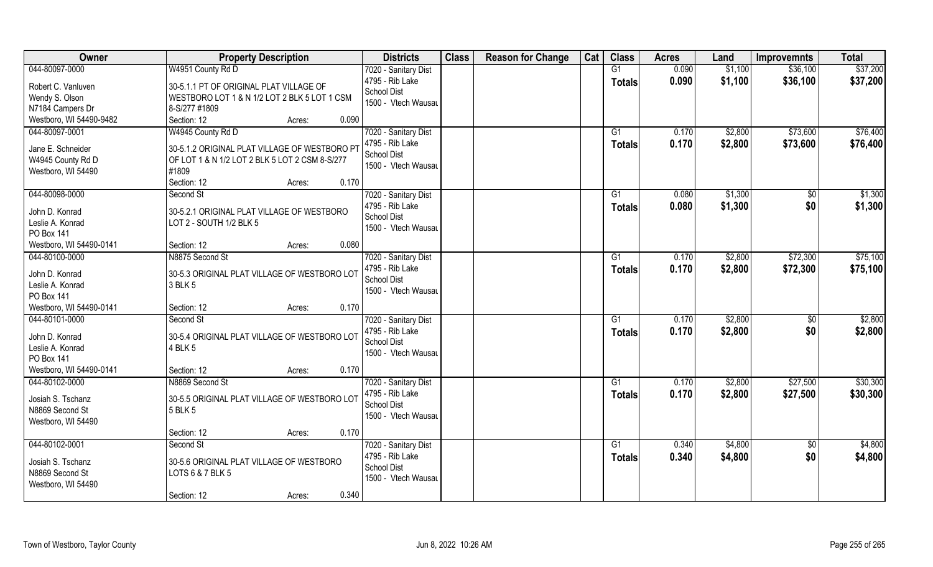| Owner                   | <b>Property Description</b>                                           |                 | <b>Districts</b>     | <b>Class</b> | <b>Reason for Change</b> | Cat | <b>Class</b>    | <b>Acres</b> | Land    | <b>Improvemnts</b> | <b>Total</b> |
|-------------------------|-----------------------------------------------------------------------|-----------------|----------------------|--------------|--------------------------|-----|-----------------|--------------|---------|--------------------|--------------|
| 044-80097-0000          | W4951 County Rd D                                                     |                 | 7020 - Sanitary Dist |              |                          |     | G1              | 0.090        | \$1,100 | \$36,100           | \$37,200     |
| Robert C. Vanluven      | 30-5.1.1 PT OF ORIGINAL PLAT VILLAGE OF                               |                 | 4795 - Rib Lake      |              |                          |     | <b>Totals</b>   | 0.090        | \$1,100 | \$36,100           | \$37,200     |
| Wendy S. Olson          | WESTBORO LOT 1 & N 1/2 LOT 2 BLK 5 LOT 1 CSM                          |                 | School Dist          |              |                          |     |                 |              |         |                    |              |
| N7184 Campers Dr        | 8-S/277 #1809                                                         |                 | 1500 - Vtech Wausau  |              |                          |     |                 |              |         |                    |              |
| Westboro, WI 54490-9482 | Section: 12                                                           | 0.090<br>Acres: |                      |              |                          |     |                 |              |         |                    |              |
| 044-80097-0001          | W4945 County Rd D                                                     |                 | 7020 - Sanitary Dist |              |                          |     | G1              | 0.170        | \$2,800 | \$73,600           | \$76,400     |
| Jane E. Schneider       | 30-5.1.2 ORIGINAL PLAT VILLAGE OF WESTBORO PT                         |                 | 4795 - Rib Lake      |              |                          |     | Totals          | 0.170        | \$2,800 | \$73,600           | \$76,400     |
| W4945 County Rd D       | OF LOT 1 & N 1/2 LOT 2 BLK 5 LOT 2 CSM 8-S/277                        |                 | School Dist          |              |                          |     |                 |              |         |                    |              |
| Westboro, WI 54490      | #1809                                                                 |                 | 1500 - Vtech Wausau  |              |                          |     |                 |              |         |                    |              |
|                         | Section: 12                                                           | 0.170<br>Acres: |                      |              |                          |     |                 |              |         |                    |              |
| 044-80098-0000          | Second St                                                             |                 | 7020 - Sanitary Dist |              |                          |     | G1              | 0.080        | \$1,300 | $\sqrt[6]{}$       | \$1,300      |
| John D. Konrad          |                                                                       |                 | 4795 - Rib Lake      |              |                          |     | <b>Totals</b>   | 0.080        | \$1,300 | \$0                | \$1,300      |
| Leslie A. Konrad        | 30-5.2.1 ORIGINAL PLAT VILLAGE OF WESTBORO<br>LOT 2 - SOUTH 1/2 BLK 5 |                 | School Dist          |              |                          |     |                 |              |         |                    |              |
| <b>PO Box 141</b>       |                                                                       |                 | 1500 - Vtech Wausau  |              |                          |     |                 |              |         |                    |              |
| Westboro, WI 54490-0141 | Section: 12                                                           | 0.080<br>Acres: |                      |              |                          |     |                 |              |         |                    |              |
| 044-80100-0000          | N8875 Second St                                                       |                 | 7020 - Sanitary Dist |              |                          |     | G1              | 0.170        | \$2,800 | \$72,300           | \$75,100     |
|                         |                                                                       |                 | 4795 - Rib Lake      |              |                          |     | <b>Totals</b>   | 0.170        | \$2,800 | \$72,300           | \$75,100     |
| John D. Konrad          | 30-5.3 ORIGINAL PLAT VILLAGE OF WESTBORO LOT                          |                 | School Dist          |              |                          |     |                 |              |         |                    |              |
| Leslie A. Konrad        | 3 BLK 5                                                               |                 | 1500 - Vtech Wausau  |              |                          |     |                 |              |         |                    |              |
| <b>PO Box 141</b>       |                                                                       |                 |                      |              |                          |     |                 |              |         |                    |              |
| Westboro, WI 54490-0141 | Section: 12                                                           | 0.170<br>Acres: |                      |              |                          |     |                 |              |         |                    |              |
| 044-80101-0000          | Second St                                                             |                 | 7020 - Sanitary Dist |              |                          |     | $\overline{G1}$ | 0.170        | \$2,800 | \$0                | \$2,800      |
| John D. Konrad          | 30-5.4 ORIGINAL PLAT VILLAGE OF WESTBORO LOT                          |                 | 4795 - Rib Lake      |              |                          |     | <b>Totals</b>   | 0.170        | \$2,800 | \$0                | \$2,800      |
| Leslie A. Konrad        | 4 BLK 5                                                               |                 | <b>School Dist</b>   |              |                          |     |                 |              |         |                    |              |
| PO Box 141              |                                                                       |                 | 1500 - Vtech Wausau  |              |                          |     |                 |              |         |                    |              |
| Westboro, WI 54490-0141 | Section: 12                                                           | 0.170<br>Acres: |                      |              |                          |     |                 |              |         |                    |              |
| 044-80102-0000          | N8869 Second St                                                       |                 | 7020 - Sanitary Dist |              |                          |     | G1              | 0.170        | \$2,800 | \$27,500           | \$30,300     |
| Josiah S. Tschanz       | 30-5.5 ORIGINAL PLAT VILLAGE OF WESTBORO LOT                          |                 | 4795 - Rib Lake      |              |                          |     | <b>Totals</b>   | 0.170        | \$2,800 | \$27,500           | \$30,300     |
| N8869 Second St         | 5 BLK 5                                                               |                 | <b>School Dist</b>   |              |                          |     |                 |              |         |                    |              |
| Westboro, WI 54490      |                                                                       |                 | 1500 - Vtech Wausau  |              |                          |     |                 |              |         |                    |              |
|                         | Section: 12                                                           | 0.170<br>Acres: |                      |              |                          |     |                 |              |         |                    |              |
| 044-80102-0001          | Second St                                                             |                 | 7020 - Sanitary Dist |              |                          |     | G1              | 0.340        | \$4,800 | $\sqrt{6}$         | \$4,800      |
| Josiah S. Tschanz       | 30-5.6 ORIGINAL PLAT VILLAGE OF WESTBORO                              |                 | 4795 - Rib Lake      |              |                          |     | Totals          | 0.340        | \$4,800 | \$0                | \$4,800      |
| N8869 Second St         | LOTS 6 & 7 BLK 5                                                      |                 | <b>School Dist</b>   |              |                          |     |                 |              |         |                    |              |
| Westboro, WI 54490      |                                                                       |                 | 1500 - Vtech Wausau  |              |                          |     |                 |              |         |                    |              |
|                         | Section: 12                                                           | 0.340<br>Acres: |                      |              |                          |     |                 |              |         |                    |              |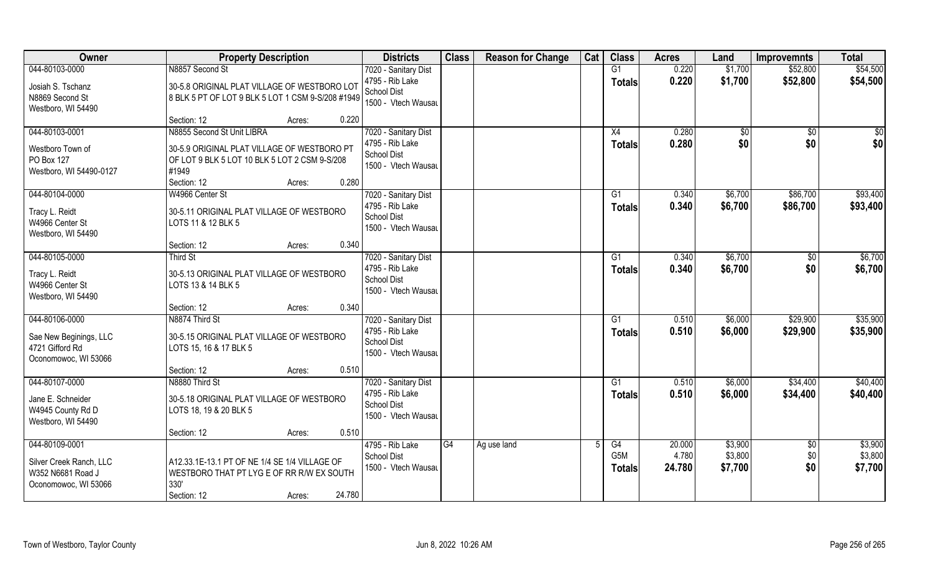| <b>Owner</b>                                                                           | <b>Property Description</b>                                                                                                           | <b>Districts</b>                                                                     | <b>Class</b> | <b>Reason for Change</b> | Cat | <b>Class</b>               | <b>Acres</b>              | Land                          | <b>Improvemnts</b>            | <b>Total</b>                  |
|----------------------------------------------------------------------------------------|---------------------------------------------------------------------------------------------------------------------------------------|--------------------------------------------------------------------------------------|--------------|--------------------------|-----|----------------------------|---------------------------|-------------------------------|-------------------------------|-------------------------------|
| 044-80103-0000                                                                         | N8857 Second St                                                                                                                       | 7020 - Sanitary Dist                                                                 |              |                          |     | G1                         | 0.220                     | \$1,700                       | \$52,800                      | \$54,500                      |
| Josiah S. Tschanz<br>N8869 Second St<br>Westboro, WI 54490                             | 30-5.8 ORIGINAL PLAT VILLAGE OF WESTBORO LOT<br>8 BLK 5 PT OF LOT 9 BLK 5 LOT 1 CSM 9-S/208 #1949                                     | 4795 - Rib Lake<br>School Dist<br>1500 - Vtech Wausau                                |              |                          |     | <b>Totals</b>              | 0.220                     | \$1,700                       | \$52,800                      | \$54,500                      |
|                                                                                        | Section: 12<br>0.220<br>Acres:                                                                                                        |                                                                                      |              |                          |     |                            |                           |                               |                               |                               |
| 044-80103-0001<br>Westboro Town of<br>PO Box 127                                       | N8855 Second St Unit LIBRA<br>30-5.9 ORIGINAL PLAT VILLAGE OF WESTBORO PT<br>OF LOT 9 BLK 5 LOT 10 BLK 5 LOT 2 CSM 9-S/208            | 7020 - Sanitary Dist<br>4795 - Rib Lake<br><b>School Dist</b><br>1500 - Vtech Wausau |              |                          |     | X4<br>Totals               | 0.280<br>0.280            | \$0<br>\$0                    | \$0<br>\$0                    | \$0<br>\$0                    |
| Westboro, WI 54490-0127                                                                | #1949<br>0.280<br>Section: 12<br>Acres:                                                                                               |                                                                                      |              |                          |     |                            |                           |                               |                               |                               |
| 044-80104-0000                                                                         | W4966 Center St                                                                                                                       | 7020 - Sanitary Dist                                                                 |              |                          |     | G1                         | 0.340                     | \$6,700                       | \$86,700                      | \$93,400                      |
| Tracy L. Reidt<br>W4966 Center St<br>Westboro, WI 54490                                | 30-5.11 ORIGINAL PLAT VILLAGE OF WESTBORO<br>LOTS 11 & 12 BLK 5                                                                       | 4795 - Rib Lake<br><b>School Dist</b><br>1500 - Vtech Wausau                         |              |                          |     | <b>Totals</b>              | 0.340                     | \$6,700                       | \$86,700                      | \$93,400                      |
|                                                                                        | 0.340<br>Section: 12<br>Acres:                                                                                                        |                                                                                      |              |                          |     |                            |                           |                               |                               |                               |
| 044-80105-0000                                                                         | Third St                                                                                                                              | 7020 - Sanitary Dist                                                                 |              |                          |     | G <sub>1</sub>             | 0.340                     | \$6,700                       | \$0                           | \$6,700                       |
| Tracy L. Reidt<br>W4966 Center St<br>Westboro, WI 54490                                | 30-5.13 ORIGINAL PLAT VILLAGE OF WESTBORO<br>LOTS 13 & 14 BLK 5                                                                       | 4795 - Rib Lake<br>School Dist<br>1500 - Vtech Wausau                                |              |                          |     | <b>Totals</b>              | 0.340                     | \$6,700                       | \$0                           | \$6,700                       |
|                                                                                        | 0.340<br>Section: 12<br>Acres:                                                                                                        |                                                                                      |              |                          |     |                            |                           |                               |                               |                               |
| 044-80106-0000<br>Sae New Beginings, LLC<br>4721 Gifford Rd<br>Oconomowoc, WI 53066    | N8874 Third St<br>30-5.15 ORIGINAL PLAT VILLAGE OF WESTBORO<br>LOTS 15, 16 & 17 BLK 5                                                 | 7020 - Sanitary Dist<br>4795 - Rib Lake<br>School Dist<br>1500 - Vtech Wausau        |              |                          |     | G1<br><b>Totals</b>        | 0.510<br>0.510            | \$6,000<br>\$6,000            | \$29,900<br>\$29,900          | \$35,900<br>\$35,900          |
|                                                                                        | Section: 12<br>0.510<br>Acres:                                                                                                        |                                                                                      |              |                          |     |                            |                           |                               |                               |                               |
| 044-80107-0000                                                                         | N8880 Third St                                                                                                                        | 7020 - Sanitary Dist                                                                 |              |                          |     | G <sub>1</sub>             | 0.510                     | \$6,000                       | \$34,400                      | \$40,400                      |
| Jane E. Schneider<br>W4945 County Rd D<br>Westboro, WI 54490                           | 30-5.18 ORIGINAL PLAT VILLAGE OF WESTBORO<br>LOTS 18, 19 & 20 BLK 5                                                                   | 4795 - Rib Lake<br><b>School Dist</b><br>1500 - Vtech Wausau                         |              |                          |     | <b>Totals</b>              | 0.510                     | \$6,000                       | \$34,400                      | \$40,400                      |
|                                                                                        | 0.510<br>Section: 12<br>Acres:                                                                                                        |                                                                                      |              |                          |     |                            |                           |                               |                               |                               |
| 044-80109-0001<br>Silver Creek Ranch, LLC<br>W352 N6681 Road J<br>Oconomowoc, WI 53066 | A12.33.1E-13.1 PT OF NE 1/4 SE 1/4 VILLAGE OF<br>WESTBORO THAT PT LYG E OF RR R/W EX SOUTH<br>330'<br>24.780<br>Section: 12<br>Acres: | 4795 - Rib Lake<br><b>School Dist</b><br>1500 - Vtech Wausau                         | G4           | Ag use land              | 5   | G4<br>G5M<br><b>Totals</b> | 20.000<br>4.780<br>24.780 | \$3,900<br>\$3,800<br>\$7,700 | $\overline{50}$<br>\$0<br>\$0 | \$3,900<br>\$3,800<br>\$7,700 |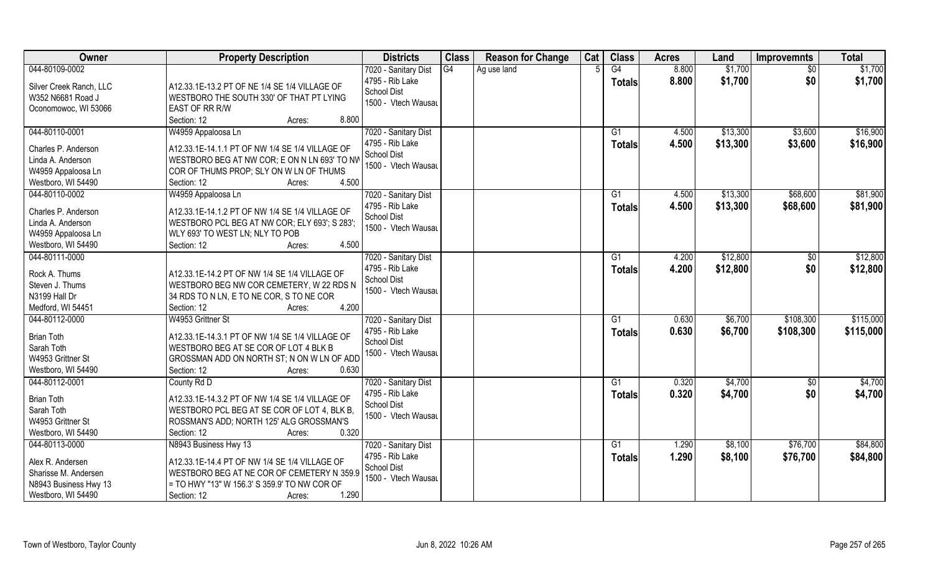| Owner                   | <b>Property Description</b>                      | <b>Districts</b>     | <b>Class</b> | <b>Reason for Change</b> | Cat | <b>Class</b>    | <b>Acres</b> | Land     | <b>Improvemnts</b> | <b>Total</b> |
|-------------------------|--------------------------------------------------|----------------------|--------------|--------------------------|-----|-----------------|--------------|----------|--------------------|--------------|
| 044-80109-0002          |                                                  | 7020 - Sanitary Dist | G4           | Ag use land              |     | G4              | 8.800        | \$1,700  | $\sqrt{50}$        | \$1,700      |
| Silver Creek Ranch, LLC | A12.33.1E-13.2 PT OF NE 1/4 SE 1/4 VILLAGE OF    | 4795 - Rib Lake      |              |                          |     | <b>Totals</b>   | 8.800        | \$1,700  | \$0                | \$1,700      |
| W352 N6681 Road J       | WESTBORO THE SOUTH 330' OF THAT PT LYING         | <b>School Dist</b>   |              |                          |     |                 |              |          |                    |              |
| Oconomowoc, WI 53066    | EAST OF RR R/W                                   | 1500 - Vtech Wausau  |              |                          |     |                 |              |          |                    |              |
|                         | 8.800<br>Section: 12<br>Acres:                   |                      |              |                          |     |                 |              |          |                    |              |
| 044-80110-0001          | W4959 Appaloosa Ln                               | 7020 - Sanitary Dist |              |                          |     | G1              | 4.500        | \$13,300 | \$3,600            | \$16,900     |
|                         |                                                  | 4795 - Rib Lake      |              |                          |     | Totals          | 4.500        | \$13,300 | \$3,600            | \$16,900     |
| Charles P. Anderson     | A12.33.1E-14.1.1 PT OF NW 1/4 SE 1/4 VILLAGE OF  | School Dist          |              |                          |     |                 |              |          |                    |              |
| Linda A. Anderson       | WESTBORO BEG AT NW COR; E ON N LN 693' TO NW     | 1500 - Vtech Wausau  |              |                          |     |                 |              |          |                    |              |
| W4959 Appaloosa Ln      | COR OF THUMS PROP; SLY ON W LN OF THUMS<br>4.500 |                      |              |                          |     |                 |              |          |                    |              |
| Westboro, WI 54490      | Section: 12<br>Acres:                            |                      |              |                          |     |                 |              |          |                    |              |
| 044-80110-0002          | W4959 Appaloosa Ln                               | 7020 - Sanitary Dist |              |                          |     | G1              | 4.500        | \$13,300 | \$68,600           | \$81,900     |
| Charles P. Anderson     | A12.33.1E-14.1.2 PT OF NW 1/4 SE 1/4 VILLAGE OF  | 4795 - Rib Lake      |              |                          |     | <b>Totals</b>   | 4.500        | \$13,300 | \$68,600           | \$81,900     |
| Linda A. Anderson       | WESTBORO PCL BEG AT NW COR; ELY 693'; S 283';    | School Dist          |              |                          |     |                 |              |          |                    |              |
| W4959 Appaloosa Ln      | WLY 693' TO WEST LN; NLY TO POB                  | 1500 - Vtech Wausau  |              |                          |     |                 |              |          |                    |              |
| Westboro, WI 54490      | 4.500<br>Section: 12<br>Acres:                   |                      |              |                          |     |                 |              |          |                    |              |
| 044-80111-0000          |                                                  | 7020 - Sanitary Dist |              |                          |     | G1              | 4.200        | \$12,800 | \$0                | \$12,800     |
|                         |                                                  | 4795 - Rib Lake      |              |                          |     | <b>Totals</b>   | 4.200        | \$12,800 | \$0                | \$12,800     |
| Rock A. Thums           | A12.33.1E-14.2 PT OF NW 1/4 SE 1/4 VILLAGE OF    | School Dist          |              |                          |     |                 |              |          |                    |              |
| Steven J. Thums         | WESTBORO BEG NW COR CEMETERY, W 22 RDS N         | 1500 - Vtech Wausau  |              |                          |     |                 |              |          |                    |              |
| N3199 Hall Dr           | 34 RDS TO N LN, E TO NE COR, S TO NE COR         |                      |              |                          |     |                 |              |          |                    |              |
| Medford, WI 54451       | 4.200<br>Section: 12<br>Acres:                   |                      |              |                          |     |                 |              |          |                    |              |
| 044-80112-0000          | W4953 Grittner St                                | 7020 - Sanitary Dist |              |                          |     | $\overline{G1}$ | 0.630        | \$6,700  | \$108,300          | \$115,000    |
| <b>Brian Toth</b>       | A12.33.1E-14.3.1 PT OF NW 1/4 SE 1/4 VILLAGE OF  | 4795 - Rib Lake      |              |                          |     | <b>Totals</b>   | 0.630        | \$6,700  | \$108,300          | \$115,000    |
| Sarah Toth              | WESTBORO BEG AT SE COR OF LOT 4 BLK B            | <b>School Dist</b>   |              |                          |     |                 |              |          |                    |              |
| W4953 Grittner St       | GROSSMAN ADD ON NORTH ST; N ON W LN OF ADD       | 1500 - Vtech Wausau  |              |                          |     |                 |              |          |                    |              |
| Westboro, WI 54490      | Section: 12<br>0.630<br>Acres:                   |                      |              |                          |     |                 |              |          |                    |              |
| 044-80112-0001          | County Rd D                                      | 7020 - Sanitary Dist |              |                          |     | G1              | 0.320        | \$4,700  | $\overline{60}$    | \$4,700      |
|                         |                                                  | 4795 - Rib Lake      |              |                          |     | <b>Totals</b>   | 0.320        | \$4,700  | \$0                | \$4,700      |
| <b>Brian Toth</b>       | A12.33.1E-14.3.2 PT OF NW 1/4 SE 1/4 VILLAGE OF  | School Dist          |              |                          |     |                 |              |          |                    |              |
| Sarah Toth              | WESTBORO PCL BEG AT SE COR OF LOT 4, BLK B,      | 1500 - Vtech Wausau  |              |                          |     |                 |              |          |                    |              |
| W4953 Grittner St       | ROSSMAN'S ADD; NORTH 125' ALG GROSSMAN'S         |                      |              |                          |     |                 |              |          |                    |              |
| Westboro, WI 54490      | 0.320<br>Section: 12<br>Acres:                   |                      |              |                          |     |                 |              |          |                    |              |
| 044-80113-0000          | N8943 Business Hwy 13                            | 7020 - Sanitary Dist |              |                          |     | G1              | 1.290        | \$8,100  | \$76,700           | \$84,800     |
| Alex R. Andersen        | A12.33.1E-14.4 PT OF NW 1/4 SE 1/4 VILLAGE OF    | 4795 - Rib Lake      |              |                          |     | <b>Totals</b>   | 1.290        | \$8,100  | \$76,700           | \$84,800     |
| Sharisse M. Andersen    | WESTBORO BEG AT NE COR OF CEMETERY N 359.9       | School Dist          |              |                          |     |                 |              |          |                    |              |
| N8943 Business Hwy 13   | = TO HWY "13" W 156.3' S 359.9' TO NW COR OF     | 1500 - Vtech Wausau  |              |                          |     |                 |              |          |                    |              |
| Westboro, WI 54490      | 1.290<br>Section: 12<br>Acres:                   |                      |              |                          |     |                 |              |          |                    |              |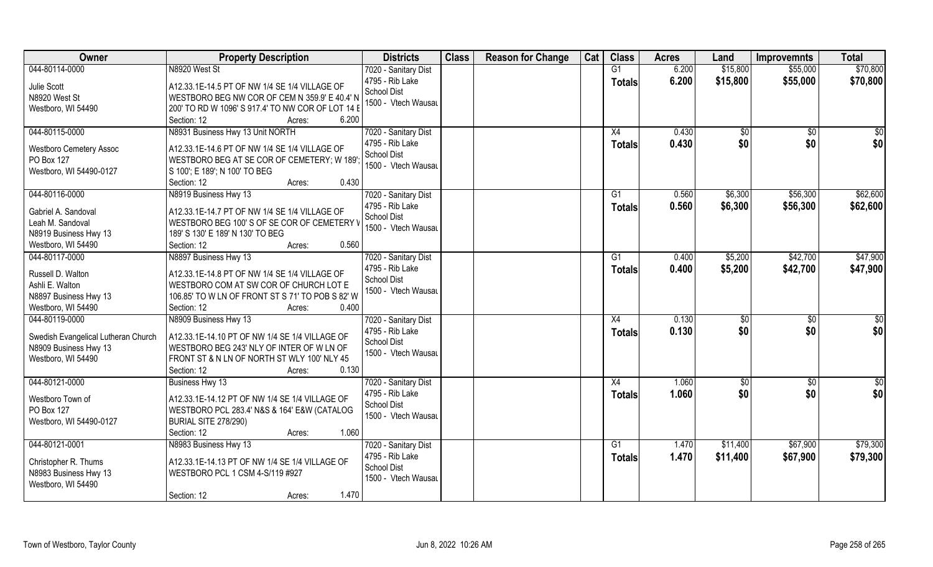| Owner                               | <b>Property Description</b>                       | <b>Districts</b>     | <b>Class</b> | <b>Reason for Change</b> | Cat | <b>Class</b>   | <b>Acres</b> | Land         | <b>Improvemnts</b> | <b>Total</b>  |
|-------------------------------------|---------------------------------------------------|----------------------|--------------|--------------------------|-----|----------------|--------------|--------------|--------------------|---------------|
| 044-80114-0000                      | N8920 West St                                     | 7020 - Sanitary Dist |              |                          |     | G1             | 6.200        | \$15,800     | \$55,000           | \$70,800      |
| Julie Scott                         | A12.33.1E-14.5 PT OF NW 1/4 SE 1/4 VILLAGE OF     | 4795 - Rib Lake      |              |                          |     | <b>Totals</b>  | 6.200        | \$15,800     | \$55,000           | \$70,800      |
| N8920 West St                       | WESTBORO BEG NW COR OF CEM N 359.9' E 40.4' N     | School Dist          |              |                          |     |                |              |              |                    |               |
| Westboro, WI 54490                  | 200' TO RD W 1096' S 917.4' TO NW COR OF LOT 14 E | 1500 - Vtech Wausau  |              |                          |     |                |              |              |                    |               |
|                                     | Section: 12<br>6.200<br>Acres:                    |                      |              |                          |     |                |              |              |                    |               |
| 044-80115-0000                      | N8931 Business Hwy 13 Unit NORTH                  | 7020 - Sanitary Dist |              |                          |     | X4             | 0.430        | $\sqrt[6]{}$ | $\overline{50}$    | \$0           |
|                                     |                                                   | 4795 - Rib Lake      |              |                          |     | <b>Totals</b>  | 0.430        | \$0          | \$0                | \$0           |
| <b>Westboro Cemetery Assoc</b>      | A12.33.1E-14.6 PT OF NW 1/4 SE 1/4 VILLAGE OF     | School Dist          |              |                          |     |                |              |              |                    |               |
| PO Box 127                          | WESTBORO BEG AT SE COR OF CEMETERY; W 189';       | 1500 - Vtech Wausau  |              |                          |     |                |              |              |                    |               |
| Westboro, WI 54490-0127             | S 100'; E 189'; N 100' TO BEG                     |                      |              |                          |     |                |              |              |                    |               |
|                                     | 0.430<br>Section: 12<br>Acres:                    |                      |              |                          |     |                |              |              |                    |               |
| 044-80116-0000                      | N8919 Business Hwy 13                             | 7020 - Sanitary Dist |              |                          |     | G <sub>1</sub> | 0.560        | \$6,300      | \$56,300           | \$62,600      |
| Gabriel A. Sandoval                 | A12.33.1E-14.7 PT OF NW 1/4 SE 1/4 VILLAGE OF     | 4795 - Rib Lake      |              |                          |     | <b>Totals</b>  | 0.560        | \$6,300      | \$56,300           | \$62,600      |
| Leah M. Sandoval                    | WESTBORO BEG 100'S OF SE COR OF CEMETERY \        | School Dist          |              |                          |     |                |              |              |                    |               |
| N8919 Business Hwy 13               | 189' S 130' E 189' N 130' TO BEG                  | 1500 - Vtech Wausau  |              |                          |     |                |              |              |                    |               |
| Westboro, WI 54490                  | 0.560<br>Section: 12<br>Acres:                    |                      |              |                          |     |                |              |              |                    |               |
| 044-80117-0000                      | N8897 Business Hwy 13                             | 7020 - Sanitary Dist |              |                          |     | G <sub>1</sub> | 0.400        | \$5,200      | \$42,700           | \$47,900      |
|                                     |                                                   | 4795 - Rib Lake      |              |                          |     | <b>Totals</b>  | 0.400        | \$5,200      | \$42,700           | \$47,900      |
| Russell D. Walton                   | A12.33.1E-14.8 PT OF NW 1/4 SE 1/4 VILLAGE OF     | <b>School Dist</b>   |              |                          |     |                |              |              |                    |               |
| Ashli E. Walton                     | WESTBORO COM AT SW COR OF CHURCH LOT E            | 1500 - Vtech Wausau  |              |                          |     |                |              |              |                    |               |
| N8897 Business Hwy 13               | 106.85' TO W LN OF FRONT ST S 71' TO POB S 82' W  |                      |              |                          |     |                |              |              |                    |               |
| Westboro, WI 54490                  | Section: 12<br>0.400<br>Acres:                    |                      |              |                          |     |                |              |              |                    |               |
| 044-80119-0000                      | N8909 Business Hwy 13                             | 7020 - Sanitary Dist |              |                          |     | X4             | 0.130        | \$0          | \$0                | \$0           |
| Swedish Evangelical Lutheran Church | A12.33.1E-14.10 PT OF NW 1/4 SE 1/4 VILLAGE OF    | 4795 - Rib Lake      |              |                          |     | <b>Totals</b>  | 0.130        | \$0          | \$0                | \$0           |
| N8909 Business Hwy 13               | WESTBORO BEG 243' NLY OF INTER OF W LN OF         | School Dist          |              |                          |     |                |              |              |                    |               |
| Westboro, WI 54490                  | FRONT ST & N LN OF NORTH ST WLY 100' NLY 45       | 1500 - Vtech Wausau  |              |                          |     |                |              |              |                    |               |
|                                     | Section: 12<br>0.130<br>Acres:                    |                      |              |                          |     |                |              |              |                    |               |
| 044-80121-0000                      | Business Hwy 13                                   | 7020 - Sanitary Dist |              |                          |     | X4             | 1.060        | \$0          | \$0                | $\frac{6}{3}$ |
|                                     |                                                   | 4795 - Rib Lake      |              |                          |     | <b>Totals</b>  | 1.060        | \$0          | \$0                | \$0           |
| Westboro Town of                    | A12.33.1E-14.12 PT OF NW 1/4 SE 1/4 VILLAGE OF    | <b>School Dist</b>   |              |                          |     |                |              |              |                    |               |
| PO Box 127                          | WESTBORO PCL 283.4' N&S & 164' E&W (CATALOG       | 1500 - Vtech Wausau  |              |                          |     |                |              |              |                    |               |
| Westboro, WI 54490-0127             | <b>BURIAL SITE 278/290)</b>                       |                      |              |                          |     |                |              |              |                    |               |
|                                     | Section: 12<br>1.060<br>Acres:                    |                      |              |                          |     |                |              |              |                    |               |
| 044-80121-0001                      | N8983 Business Hwy 13                             | 7020 - Sanitary Dist |              |                          |     | G1             | 1.470        | \$11,400     | \$67,900           | \$79,300      |
| Christopher R. Thums                | A12.33.1E-14.13 PT OF NW 1/4 SE 1/4 VILLAGE OF    | 4795 - Rib Lake      |              |                          |     | <b>Totals</b>  | 1.470        | \$11,400     | \$67,900           | \$79,300      |
| N8983 Business Hwy 13               | WESTBORO PCL 1 CSM 4-S/119 #927                   | <b>School Dist</b>   |              |                          |     |                |              |              |                    |               |
| Westboro, WI 54490                  |                                                   | 1500 - Vtech Wausau  |              |                          |     |                |              |              |                    |               |
|                                     | 1.470<br>Section: 12<br>Acres:                    |                      |              |                          |     |                |              |              |                    |               |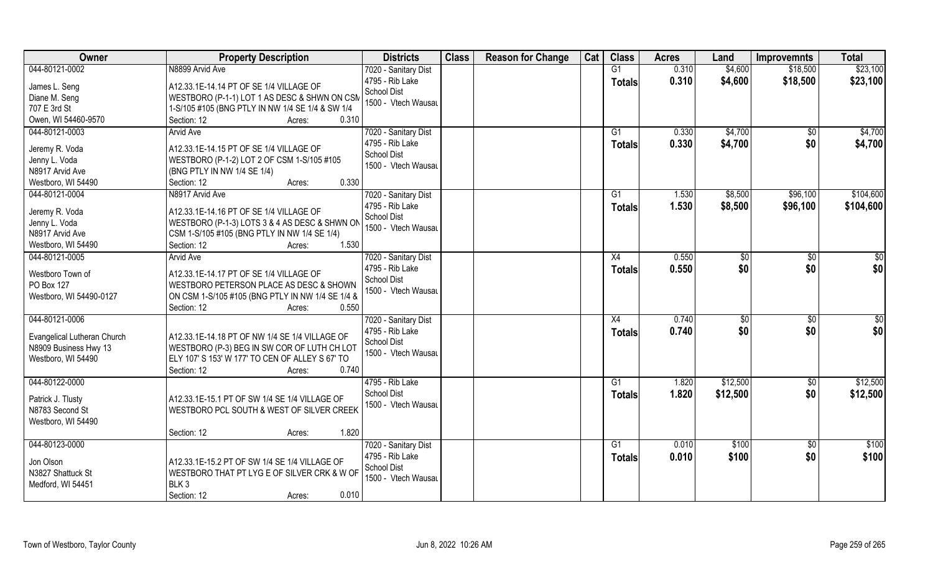| Owner                          | <b>Property Description</b>                                                        | <b>Districts</b>     | <b>Class</b> | <b>Reason for Change</b> | Cat | <b>Class</b>    | <b>Acres</b> | Land     | <b>Improvemnts</b> | <b>Total</b>    |
|--------------------------------|------------------------------------------------------------------------------------|----------------------|--------------|--------------------------|-----|-----------------|--------------|----------|--------------------|-----------------|
| 044-80121-0002                 | N8899 Arvid Ave                                                                    | 7020 - Sanitary Dist |              |                          |     | G1              | 0.310        | \$4,600  | \$18,500           | \$23,100        |
| James L. Seng                  | A12.33.1E-14.14 PT OF SE 1/4 VILLAGE OF                                            | 4795 - Rib Lake      |              |                          |     | <b>Totals</b>   | 0.310        | \$4,600  | \$18,500           | \$23,100        |
| Diane M. Seng                  | WESTBORO (P-1-1) LOT 1 AS DESC & SHWN ON CSM                                       | <b>School Dist</b>   |              |                          |     |                 |              |          |                    |                 |
| 707 E 3rd St                   | 1-S/105 #105 (BNG PTLY IN NW 1/4 SE 1/4 & SW 1/4                                   | 1500 - Vtech Wausau  |              |                          |     |                 |              |          |                    |                 |
| Owen, WI 54460-9570            | 0.310<br>Section: 12<br>Acres:                                                     |                      |              |                          |     |                 |              |          |                    |                 |
| 044-80121-0003                 | <b>Arvid Ave</b>                                                                   | 7020 - Sanitary Dist |              |                          |     | G1              | 0.330        | \$4,700  | $\sqrt{$0}$        | \$4,700         |
|                                |                                                                                    | 4795 - Rib Lake      |              |                          |     | <b>Totals</b>   | 0.330        | \$4,700  | \$0                | \$4,700         |
| Jeremy R. Voda                 | A12.33.1E-14.15 PT OF SE 1/4 VILLAGE OF                                            | <b>School Dist</b>   |              |                          |     |                 |              |          |                    |                 |
| Jenny L. Voda                  | WESTBORO (P-1-2) LOT 2 OF CSM 1-S/105 #105                                         | 1500 - Vtech Wausau  |              |                          |     |                 |              |          |                    |                 |
| N8917 Arvid Ave                | (BNG PTLY IN NW 1/4 SE 1/4)                                                        |                      |              |                          |     |                 |              |          |                    |                 |
| Westboro, WI 54490             | 0.330<br>Section: 12<br>Acres:                                                     |                      |              |                          |     |                 |              |          |                    |                 |
| 044-80121-0004                 | N8917 Arvid Ave                                                                    | 7020 - Sanitary Dist |              |                          |     | G1              | 1.530        | \$8,500  | \$96,100           | \$104,600       |
| Jeremy R. Voda                 | A12.33.1E-14.16 PT OF SE 1/4 VILLAGE OF                                            | 4795 - Rib Lake      |              |                          |     | <b>Totals</b>   | 1.530        | \$8,500  | \$96,100           | \$104,600       |
| Jenny L. Voda                  | WESTBORO (P-1-3) LOTS 3 & 4 AS DESC & SHWN ON                                      | <b>School Dist</b>   |              |                          |     |                 |              |          |                    |                 |
| N8917 Arvid Ave                | CSM 1-S/105 #105 (BNG PTLY IN NW 1/4 SE 1/4)                                       | 1500 - Vtech Wausau  |              |                          |     |                 |              |          |                    |                 |
| Westboro, WI 54490             | 1.530<br>Section: 12<br>Acres:                                                     |                      |              |                          |     |                 |              |          |                    |                 |
| 044-80121-0005                 | <b>Arvid Ave</b>                                                                   | 7020 - Sanitary Dist |              |                          |     | X4              | 0.550        | \$0      | \$0                | \$0             |
|                                |                                                                                    | 4795 - Rib Lake      |              |                          |     | Totals          | 0.550        | \$0      | \$0                | \$0             |
| Westboro Town of<br>PO Box 127 | A12.33.1E-14.17 PT OF SE 1/4 VILLAGE OF<br>WESTBORO PETERSON PLACE AS DESC & SHOWN | <b>School Dist</b>   |              |                          |     |                 |              |          |                    |                 |
| Westboro, WI 54490-0127        | ON CSM 1-S/105 #105 (BNG PTLY IN NW 1/4 SE 1/4 &                                   | 1500 - Vtech Wausau  |              |                          |     |                 |              |          |                    |                 |
|                                | Section: 12<br>0.550<br>Acres:                                                     |                      |              |                          |     |                 |              |          |                    |                 |
| 044-80121-0006                 |                                                                                    | 7020 - Sanitary Dist |              |                          |     | X4              | 0.740        | \$0      | \$0                | $\overline{50}$ |
|                                |                                                                                    | 4795 - Rib Lake      |              |                          |     |                 | 0.740        | \$0      | \$0                | \$0             |
| Evangelical Lutheran Church    | A12.33.1E-14.18 PT OF NW 1/4 SE 1/4 VILLAGE OF                                     | School Dist          |              |                          |     | <b>Totals</b>   |              |          |                    |                 |
| N8909 Business Hwy 13          | WESTBORO (P-3) BEG IN SW COR OF LUTH CH LOT                                        | 1500 - Vtech Wausau  |              |                          |     |                 |              |          |                    |                 |
| Westboro, WI 54490             | ELY 107' S 153' W 177' TO CEN OF ALLEY S 67' TO                                    |                      |              |                          |     |                 |              |          |                    |                 |
|                                | Section: 12<br>0.740<br>Acres:                                                     |                      |              |                          |     |                 |              |          |                    |                 |
| 044-80122-0000                 |                                                                                    | 4795 - Rib Lake      |              |                          |     | G1              | 1.820        | \$12,500 | \$0                | \$12,500        |
| Patrick J. Tlusty              | A12.33.1E-15.1 PT OF SW 1/4 SE 1/4 VILLAGE OF                                      | <b>School Dist</b>   |              |                          |     | <b>Totals</b>   | 1.820        | \$12,500 | \$0                | \$12,500        |
| N8783 Second St                | WESTBORO PCL SOUTH & WEST OF SILVER CREEK                                          | 1500 - Vtech Wausau  |              |                          |     |                 |              |          |                    |                 |
| Westboro, WI 54490             |                                                                                    |                      |              |                          |     |                 |              |          |                    |                 |
|                                | 1.820<br>Section: 12<br>Acres:                                                     |                      |              |                          |     |                 |              |          |                    |                 |
| 044-80123-0000                 |                                                                                    | 7020 - Sanitary Dist |              |                          |     | $\overline{G1}$ | 0.010        | \$100    | $\sqrt{$0}$        | \$100           |
|                                |                                                                                    | 4795 - Rib Lake      |              |                          |     | <b>Totals</b>   | 0.010        | \$100    | \$0                | \$100           |
| Jon Olson                      | A12.33.1E-15.2 PT OF SW 1/4 SE 1/4 VILLAGE OF                                      | <b>School Dist</b>   |              |                          |     |                 |              |          |                    |                 |
| N3827 Shattuck St              | WESTBORO THAT PT LYG E OF SILVER CRK & W OF                                        | 1500 - Vtech Wausau  |              |                          |     |                 |              |          |                    |                 |
| Medford, WI 54451              | BLK <sub>3</sub><br>0.010                                                          |                      |              |                          |     |                 |              |          |                    |                 |
|                                | Section: 12<br>Acres:                                                              |                      |              |                          |     |                 |              |          |                    |                 |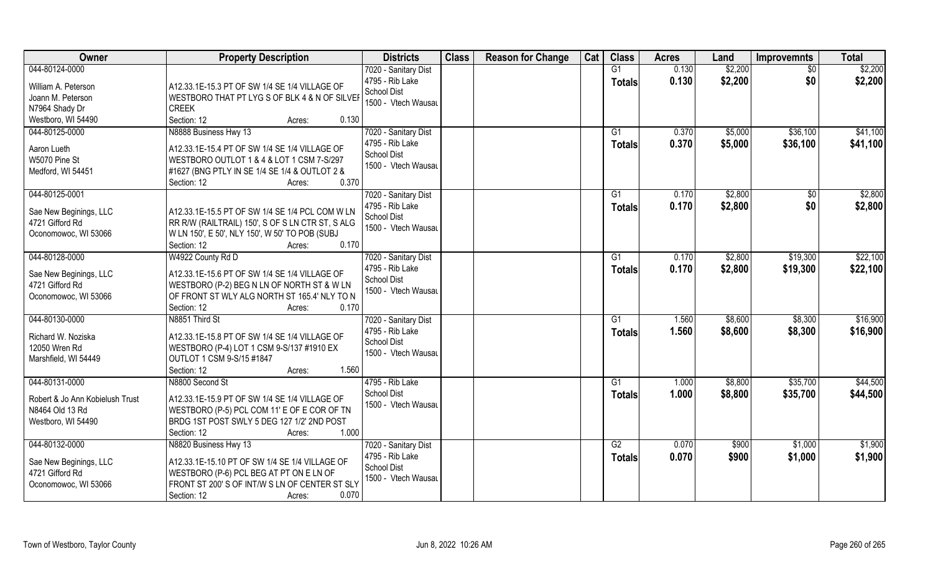| Owner                                              | <b>Property Description</b>                      | <b>Districts</b>               | <b>Class</b> | <b>Reason for Change</b> | Cat | <b>Class</b>  | <b>Acres</b> | Land    | <b>Improvemnts</b> | <b>Total</b> |
|----------------------------------------------------|--------------------------------------------------|--------------------------------|--------------|--------------------------|-----|---------------|--------------|---------|--------------------|--------------|
| 044-80124-0000                                     |                                                  | 7020 - Sanitary Dist           |              |                          |     | G1            | 0.130        | \$2,200 | $\sqrt{6}$         | \$2,200      |
| William A. Peterson                                | A12.33.1E-15.3 PT OF SW 1/4 SE 1/4 VILLAGE OF    | 4795 - Rib Lake                |              |                          |     | <b>Totals</b> | 0.130        | \$2,200 | \$0                | \$2,200      |
| Joann M. Peterson                                  | WESTBORO THAT PT LYG S OF BLK 4 & N OF SILVER    | School Dist                    |              |                          |     |               |              |         |                    |              |
| N7964 Shady Dr                                     | <b>CREEK</b>                                     | 1500 - Vtech Wausau            |              |                          |     |               |              |         |                    |              |
| Westboro, WI 54490                                 | Section: 12<br>0.130<br>Acres:                   |                                |              |                          |     |               |              |         |                    |              |
| 044-80125-0000                                     | N8888 Business Hwy 13                            | 7020 - Sanitary Dist           |              |                          |     | G1            | 0.370        | \$5,000 | \$36,100           | \$41,100     |
|                                                    |                                                  | 4795 - Rib Lake                |              |                          |     | Totals        | 0.370        | \$5,000 | \$36,100           | \$41,100     |
| Aaron Lueth                                        | A12.33.1E-15.4 PT OF SW 1/4 SE 1/4 VILLAGE OF    | <b>School Dist</b>             |              |                          |     |               |              |         |                    |              |
| W5070 Pine St                                      | WESTBORO OUTLOT 1 & 4 & LOT 1 CSM 7-S/297        | 1500 - Vtech Wausau            |              |                          |     |               |              |         |                    |              |
| Medford, WI 54451                                  | #1627 (BNG PTLY IN SE 1/4 SE 1/4 & OUTLOT 2 &    |                                |              |                          |     |               |              |         |                    |              |
|                                                    | 0.370<br>Section: 12<br>Acres:                   |                                |              |                          |     |               |              |         |                    |              |
| 044-80125-0001                                     |                                                  | 7020 - Sanitary Dist           |              |                          |     | G1            | 0.170        | \$2,800 | $\sqrt[6]{30}$     | \$2,800      |
| Sae New Beginings, LLC                             | A12.33.1E-15.5 PT OF SW 1/4 SE 1/4 PCL COM W LN  | 4795 - Rib Lake                |              |                          |     | <b>Totals</b> | 0.170        | \$2,800 | \$0                | \$2,800      |
| 4721 Gifford Rd                                    | RR R/W (RAILTRAIL) 150', S OF S LN CTR ST, S ALG | <b>School Dist</b>             |              |                          |     |               |              |         |                    |              |
| Oconomowoc, WI 53066                               | W LN 150', E 50', NLY 150', W 50' TO POB (SUBJ   | 1500 - Vtech Wausau            |              |                          |     |               |              |         |                    |              |
|                                                    | 0.170<br>Section: 12<br>Acres:                   |                                |              |                          |     |               |              |         |                    |              |
| 044-80128-0000                                     | W4922 County Rd D                                | 7020 - Sanitary Dist           |              |                          |     | G1            | 0.170        | \$2,800 | \$19,300           | \$22,100     |
|                                                    |                                                  | 4795 - Rib Lake                |              |                          |     | <b>Totals</b> | 0.170        | \$2,800 | \$19,300           | \$22,100     |
| Sae New Beginings, LLC                             | A12.33.1E-15.6 PT OF SW 1/4 SE 1/4 VILLAGE OF    | School Dist                    |              |                          |     |               |              |         |                    |              |
| 4721 Gifford Rd                                    | WESTBORO (P-2) BEG N LN OF NORTH ST & W LN       | 1500 - Vtech Wausau            |              |                          |     |               |              |         |                    |              |
| Oconomowoc, WI 53066                               | OF FRONT ST WLY ALG NORTH ST 165.4' NLY TO N     |                                |              |                          |     |               |              |         |                    |              |
|                                                    | Section: 12<br>0.170<br>Acres:                   |                                |              |                          |     |               |              |         |                    |              |
| 044-80130-0000                                     | N8851 Third St                                   | 7020 - Sanitary Dist           |              |                          |     | G1            | 1.560        | \$8,600 | \$8,300            | \$16,900     |
| Richard W. Noziska                                 | A12.33.1E-15.8 PT OF SW 1/4 SE 1/4 VILLAGE OF    | 4795 - Rib Lake                |              |                          |     | Totals        | 1.560        | \$8,600 | \$8,300            | \$16,900     |
| 12050 Wren Rd                                      | WESTBORO (P-4) LOT 1 CSM 9-S/137 #1910 EX        | <b>School Dist</b>             |              |                          |     |               |              |         |                    |              |
| Marshfield, WI 54449                               | OUTLOT 1 CSM 9-S/15 #1847                        | 1500 - Vtech Wausau            |              |                          |     |               |              |         |                    |              |
|                                                    | Section: 12<br>1.560<br>Acres:                   |                                |              |                          |     |               |              |         |                    |              |
| 044-80131-0000                                     | N8800 Second St                                  | 4795 - Rib Lake                |              |                          |     | G1            | 1.000        | \$8,800 | \$35,700           | \$44,500     |
|                                                    | A12.33.1E-15.9 PT OF SW 1/4 SE 1/4 VILLAGE OF    | <b>School Dist</b>             |              |                          |     | <b>Totals</b> | 1.000        | \$8,800 | \$35,700           | \$44,500     |
| Robert & Jo Ann Kobielush Trust<br>N8464 Old 13 Rd | WESTBORO (P-5) PCL COM 11' E OF E COR OF TN      | 1500 - Vtech Wausau            |              |                          |     |               |              |         |                    |              |
|                                                    | BRDG 1ST POST SWLY 5 DEG 127 1/2' 2ND POST       |                                |              |                          |     |               |              |         |                    |              |
| Westboro, WI 54490                                 | Section: 12<br>1.000                             |                                |              |                          |     |               |              |         |                    |              |
| 044-80132-0000                                     | Acres:<br>N8820 Business Hwy 13                  | 7020 - Sanitary Dist           |              |                          |     | G2            | 0.070        | \$900   | \$1,000            | \$1,900      |
|                                                    |                                                  |                                |              |                          |     |               |              |         |                    |              |
| Sae New Beginings, LLC                             | A12.33.1E-15.10 PT OF SW 1/4 SE 1/4 VILLAGE OF   | 4795 - Rib Lake<br>School Dist |              |                          |     | <b>Totals</b> | 0.070        | \$900   | \$1,000            | \$1,900      |
| 4721 Gifford Rd                                    | WESTBORO (P-6) PCL BEG AT PT ON E LN OF          | 1500 - Vtech Wausau            |              |                          |     |               |              |         |                    |              |
| Oconomowoc, WI 53066                               | FRONT ST 200'S OF INT/W S LN OF CENTER ST SLY    |                                |              |                          |     |               |              |         |                    |              |
|                                                    | 0.070<br>Section: 12<br>Acres:                   |                                |              |                          |     |               |              |         |                    |              |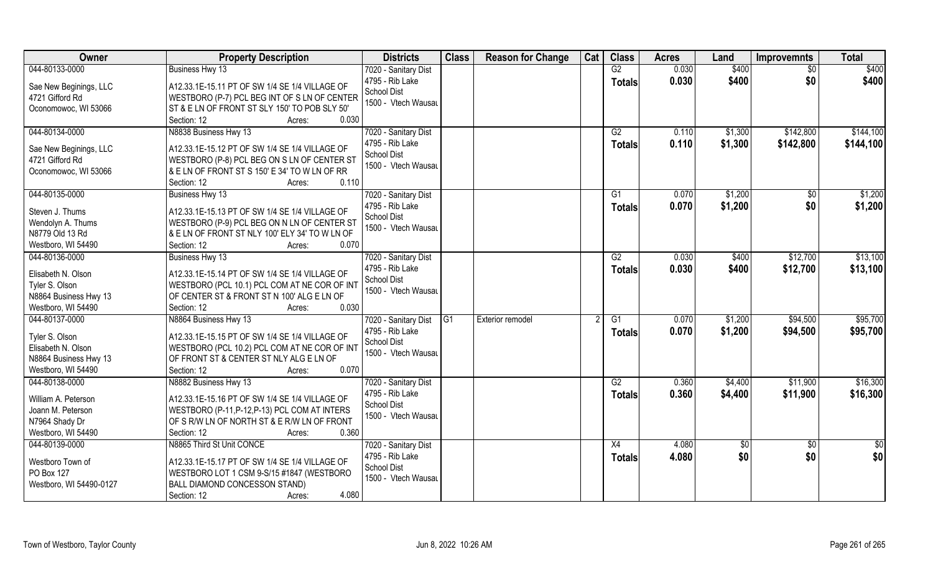| Owner                   | <b>Property Description</b>                    | <b>Districts</b>     | <b>Class</b> | <b>Reason for Change</b> | Cat | <b>Class</b>    | <b>Acres</b> | Land    | <b>Improvemnts</b> | <b>Total</b> |
|-------------------------|------------------------------------------------|----------------------|--------------|--------------------------|-----|-----------------|--------------|---------|--------------------|--------------|
| 044-80133-0000          | Business Hwy 13                                | 7020 - Sanitary Dist |              |                          |     | G2              | 0.030        | \$400   | $\overline{50}$    | \$400        |
| Sae New Beginings, LLC  | A12.33.1E-15.11 PT OF SW 1/4 SE 1/4 VILLAGE OF | 4795 - Rib Lake      |              |                          |     | <b>Totals</b>   | 0.030        | \$400   | \$0                | \$400        |
| 4721 Gifford Rd         | WESTBORO (P-7) PCL BEG INT OF S LN OF CENTER   | School Dist          |              |                          |     |                 |              |         |                    |              |
| Oconomowoc, WI 53066    | ST & E LN OF FRONT ST SLY 150' TO POB SLY 50'  | 1500 - Vtech Wausau  |              |                          |     |                 |              |         |                    |              |
|                         | Section: 12<br>0.030<br>Acres:                 |                      |              |                          |     |                 |              |         |                    |              |
| 044-80134-0000          | N8838 Business Hwy 13                          | 7020 - Sanitary Dist |              |                          |     | G2              | 0.110        | \$1,300 | \$142,800          | \$144,100    |
|                         |                                                | 4795 - Rib Lake      |              |                          |     | Totals          | 0.110        | \$1,300 | \$142,800          | \$144,100    |
| Sae New Beginings, LLC  | A12.33.1E-15.12 PT OF SW 1/4 SE 1/4 VILLAGE OF | School Dist          |              |                          |     |                 |              |         |                    |              |
| 4721 Gifford Rd         | WESTBORO (P-8) PCL BEG ON S LN OF CENTER ST    | 1500 - Vtech Wausau  |              |                          |     |                 |              |         |                    |              |
| Oconomowoc, WI 53066    | & E LN OF FRONT ST S 150' E 34' TO W LN OF RR  |                      |              |                          |     |                 |              |         |                    |              |
|                         | 0.110<br>Section: 12<br>Acres:                 |                      |              |                          |     |                 |              |         |                    |              |
| 044-80135-0000          | Business Hwy 13                                | 7020 - Sanitary Dist |              |                          |     | G1              | 0.070        | \$1,200 | $\sqrt{6}$         | \$1,200      |
| Steven J. Thums         | A12.33.1E-15.13 PT OF SW 1/4 SE 1/4 VILLAGE OF | 4795 - Rib Lake      |              |                          |     | <b>Totals</b>   | 0.070        | \$1,200 | \$0                | \$1,200      |
| Wendolyn A. Thums       | WESTBORO (P-9) PCL BEG ON N LN OF CENTER ST    | School Dist          |              |                          |     |                 |              |         |                    |              |
| N8779 Old 13 Rd         | & E LN OF FRONT ST NLY 100' ELY 34' TO W LN OF | 1500 - Vtech Wausau  |              |                          |     |                 |              |         |                    |              |
| Westboro, WI 54490      | Section: 12<br>0.070<br>Acres:                 |                      |              |                          |     |                 |              |         |                    |              |
| 044-80136-0000          | Business Hwy 13                                | 7020 - Sanitary Dist |              |                          |     | G2              | 0.030        | \$400   | \$12,700           | \$13,100     |
|                         |                                                | 4795 - Rib Lake      |              |                          |     | <b>Totals</b>   | 0.030        | \$400   | \$12,700           | \$13,100     |
| Elisabeth N. Olson      | A12.33.1E-15.14 PT OF SW 1/4 SE 1/4 VILLAGE OF | <b>School Dist</b>   |              |                          |     |                 |              |         |                    |              |
| Tyler S. Olson          | WESTBORO (PCL 10.1) PCL COM AT NE COR OF INT   | 1500 - Vtech Wausau  |              |                          |     |                 |              |         |                    |              |
| N8864 Business Hwy 13   | OF CENTER ST & FRONT ST N 100' ALG E LN OF     |                      |              |                          |     |                 |              |         |                    |              |
| Westboro, WI 54490      | Section: 12<br>0.030<br>Acres:                 |                      |              |                          |     |                 |              |         |                    |              |
| 044-80137-0000          | N8864 Business Hwy 13                          | 7020 - Sanitary Dist | G1           | <b>Exterior remodel</b>  |     | G1              | 0.070        | \$1,200 | \$94,500           | \$95,700     |
| Tyler S. Olson          | A12.33.1E-15.15 PT OF SW 1/4 SE 1/4 VILLAGE OF | 4795 - Rib Lake      |              |                          |     | Totals          | 0.070        | \$1,200 | \$94,500           | \$95,700     |
| Elisabeth N. Olson      | WESTBORO (PCL 10.2) PCL COM AT NE COR OF INT   | School Dist          |              |                          |     |                 |              |         |                    |              |
| N8864 Business Hwy 13   | OF FRONT ST & CENTER ST NLY ALG E LN OF        | 1500 - Vtech Wausau  |              |                          |     |                 |              |         |                    |              |
| Westboro, WI 54490      | 0.070<br>Section: 12<br>Acres:                 |                      |              |                          |     |                 |              |         |                    |              |
| 044-80138-0000          | N8882 Business Hwy 13                          | 7020 - Sanitary Dist |              |                          |     | G2              | 0.360        | \$4,400 | \$11,900           | \$16,300     |
|                         |                                                | 4795 - Rib Lake      |              |                          |     | <b>Totals</b>   | 0.360        | \$4,400 | \$11,900           | \$16,300     |
| William A. Peterson     | A12.33.1E-15.16 PT OF SW 1/4 SE 1/4 VILLAGE OF | School Dist          |              |                          |     |                 |              |         |                    |              |
| Joann M. Peterson       | WESTBORO (P-11, P-12, P-13) PCL COM AT INTERS  | 1500 - Vtech Wausau  |              |                          |     |                 |              |         |                    |              |
| N7964 Shady Dr          | OF S R/W LN OF NORTH ST & E R/W LN OF FRONT    |                      |              |                          |     |                 |              |         |                    |              |
| Westboro, WI 54490      | 0.360<br>Section: 12<br>Acres:                 |                      |              |                          |     |                 |              |         |                    |              |
| 044-80139-0000          | N8865 Third St Unit CONCE                      | 7020 - Sanitary Dist |              |                          |     | $\overline{X4}$ | 4.080        | \$0     | $\overline{50}$    | \$0          |
| Westboro Town of        | A12.33.1E-15.17 PT OF SW 1/4 SE 1/4 VILLAGE OF | 4795 - Rib Lake      |              |                          |     | Totals          | 4.080        | \$0     | \$0                | \$0          |
| PO Box 127              | WESTBORO LOT 1 CSM 9-S/15 #1847 (WESTBORO      | School Dist          |              |                          |     |                 |              |         |                    |              |
| Westboro, WI 54490-0127 | BALL DIAMOND CONCESSON STAND)                  | 1500 - Vtech Wausau  |              |                          |     |                 |              |         |                    |              |
|                         | 4.080<br>Section: 12<br>Acres:                 |                      |              |                          |     |                 |              |         |                    |              |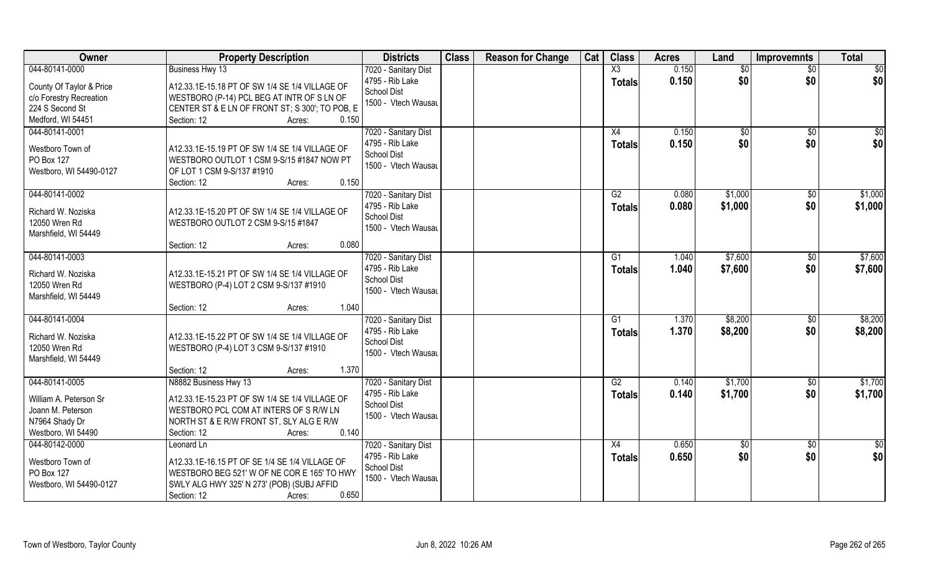| Owner                                                                                                         | <b>Property Description</b>                                                                                                                                                                          | <b>Districts</b>                                                                     | <b>Class</b> | <b>Reason for Change</b> | Cat | <b>Class</b>                            | <b>Acres</b>   | Land               | <b>Improvemnts</b>     | <b>Total</b>            |
|---------------------------------------------------------------------------------------------------------------|------------------------------------------------------------------------------------------------------------------------------------------------------------------------------------------------------|--------------------------------------------------------------------------------------|--------------|--------------------------|-----|-----------------------------------------|----------------|--------------------|------------------------|-------------------------|
| 044-80141-0000<br>County Of Taylor & Price<br>c/o Forestry Recreation<br>224 S Second St<br>Medford, WI 54451 | Business Hwy 13<br>A12.33.1E-15.18 PT OF SW 1/4 SE 1/4 VILLAGE OF<br>WESTBORO (P-14) PCL BEG AT INTR OF S LN OF<br>CENTER ST & E LN OF FRONT ST; S 300'; TO POB, E<br>Section: 12<br>0.150<br>Acres: | 7020 - Sanitary Dist<br>4795 - Rib Lake<br><b>School Dist</b><br>1500 - Vtech Wausau |              |                          |     | $\overline{\text{X3}}$<br><b>Totals</b> | 0.150<br>0.150 | \$0<br>\$0         | $\sqrt{6}$<br>\$0      | $\sqrt{50}$<br>\$0      |
| 044-80141-0001<br>Westboro Town of<br>PO Box 127<br>Westboro, WI 54490-0127                                   | A12.33.1E-15.19 PT OF SW 1/4 SE 1/4 VILLAGE OF<br>WESTBORO OUTLOT 1 CSM 9-S/15 #1847 NOW PT<br>OF LOT 1 CSM 9-S/137 #1910<br>0.150<br>Section: 12<br>Acres:                                          | 7020 - Sanitary Dist<br>4795 - Rib Lake<br><b>School Dist</b><br>1500 - Vtech Wausau |              |                          |     | X4<br>Totals                            | 0.150<br>0.150 | \$0<br>\$0         | \$0<br>\$0             | $\overline{\$0}$<br>\$0 |
| 044-80141-0002<br>Richard W. Noziska<br>12050 Wren Rd<br>Marshfield, WI 54449                                 | A12.33.1E-15.20 PT OF SW 1/4 SE 1/4 VILLAGE OF<br>WESTBORO OUTLOT 2 CSM 9-S/15 #1847<br>0.080<br>Section: 12<br>Acres:                                                                               | 7020 - Sanitary Dist<br>4795 - Rib Lake<br><b>School Dist</b><br>1500 - Vtech Wausau |              |                          |     | G2<br><b>Totals</b>                     | 0.080<br>0.080 | \$1,000<br>\$1,000 | $\sqrt[6]{3}$<br>\$0   | \$1,000<br>\$1,000      |
| 044-80141-0003<br>Richard W. Noziska<br>12050 Wren Rd<br>Marshfield, WI 54449                                 | A12.33.1E-15.21 PT OF SW 1/4 SE 1/4 VILLAGE OF<br>WESTBORO (P-4) LOT 2 CSM 9-S/137 #1910<br>1.040<br>Section: 12<br>Acres:                                                                           | 7020 - Sanitary Dist<br>4795 - Rib Lake<br>School Dist<br>1500 - Vtech Wausau        |              |                          |     | G1<br><b>Totals</b>                     | 1.040<br>1.040 | \$7,600<br>\$7,600 | $\sqrt[6]{3}$<br>\$0   | \$7,600<br>\$7,600      |
| 044-80141-0004<br>Richard W. Noziska<br>12050 Wren Rd<br>Marshfield, WI 54449                                 | A12.33.1E-15.22 PT OF SW 1/4 SE 1/4 VILLAGE OF<br>WESTBORO (P-4) LOT 3 CSM 9-S/137 #1910<br>1.370<br>Section: 12<br>Acres:                                                                           | 7020 - Sanitary Dist<br>4795 - Rib Lake<br>School Dist<br>1500 - Vtech Wausau        |              |                          |     | G1<br><b>Totals</b>                     | 1.370<br>1.370 | \$8,200<br>\$8,200 | \$0<br>\$0             | \$8,200<br>\$8,200      |
| 044-80141-0005<br>William A. Peterson Sr<br>Joann M. Peterson<br>N7964 Shady Dr<br>Westboro, WI 54490         | N8882 Business Hwy 13<br>A12.33.1E-15.23 PT OF SW 1/4 SE 1/4 VILLAGE OF<br>WESTBORO PCL COM AT INTERS OF S R/W LN<br>NORTH ST & E R/W FRONT ST, SLY ALG E R/W<br>0.140<br>Section: 12<br>Acres:      | 7020 - Sanitary Dist<br>4795 - Rib Lake<br>School Dist<br>1500 - Vtech Wausau        |              |                          |     | G2<br><b>Totals</b>                     | 0.140<br>0.140 | \$1,700<br>\$1,700 | $\sqrt{$0}$<br>\$0     | \$1,700<br>\$1,700      |
| 044-80142-0000<br>Westboro Town of<br>PO Box 127<br>Westboro, WI 54490-0127                                   | Leonard Ln<br>A12.33.1E-16.15 PT OF SE 1/4 SE 1/4 VILLAGE OF<br>WESTBORO BEG 521' W OF NE COR E 165' TO HWY<br>SWLY ALG HWY 325' N 273' (POB) (SUBJ AFFID<br>0.650<br>Section: 12<br>Acres:          | 7020 - Sanitary Dist<br>4795 - Rib Lake<br>School Dist<br>1500 - Vtech Wausau        |              |                          |     | X4<br>Totals                            | 0.650<br>0.650 | \$0<br>\$0         | $\overline{50}$<br>\$0 | \$0<br>\$0              |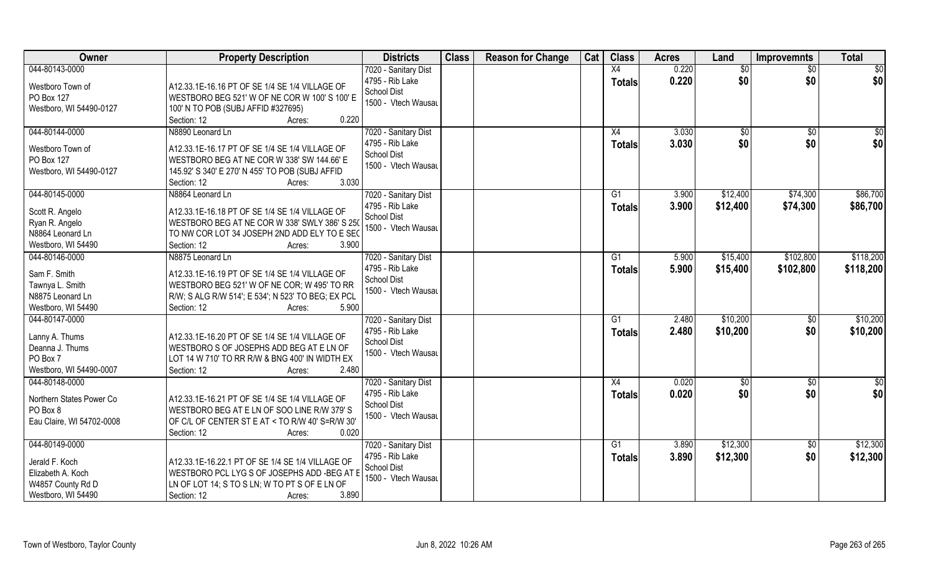| Owner                                                                                            | <b>Property Description</b>                                                                                                                                                                               | <b>Districts</b>                                                                     | <b>Class</b> | <b>Reason for Change</b> | Cat | <b>Class</b>              | <b>Acres</b>   | Land                 | <b>Improvemnts</b>     | <b>Total</b>           |
|--------------------------------------------------------------------------------------------------|-----------------------------------------------------------------------------------------------------------------------------------------------------------------------------------------------------------|--------------------------------------------------------------------------------------|--------------|--------------------------|-----|---------------------------|----------------|----------------------|------------------------|------------------------|
| 044-80143-0000<br>Westboro Town of<br>PO Box 127<br>Westboro, WI 54490-0127                      | A12.33.1E-16.16 PT OF SE 1/4 SE 1/4 VILLAGE OF<br>WESTBORO BEG 521' W OF NE COR W 100' S 100' E<br>100' N TO POB (SUBJ AFFID #327695)<br>0.220<br>Section: 12<br>Acres:                                   | 7020 - Sanitary Dist<br>4795 - Rib Lake<br>School Dist<br>1500 - Vtech Wausau        |              |                          |     | X4<br><b>Totals</b>       | 0.220<br>0.220 | \$0<br>\$0           | $\sqrt{$0}$<br>\$0     | $\sqrt{50}$<br> \$0    |
| 044-80144-0000<br>Westboro Town of<br>PO Box 127<br>Westboro, WI 54490-0127                      | N8890 Leonard Ln<br>A12.33.1E-16.17 PT OF SE 1/4 SE 1/4 VILLAGE OF<br>WESTBORO BEG AT NE COR W 338' SW 144.66' E<br>145.92' S 340' E 270' N 455' TO POB (SUBJ AFFID<br>3.030<br>Section: 12<br>Acres:     | 7020 - Sanitary Dist<br>4795 - Rib Lake<br>School Dist<br>1500 - Vtech Wausau        |              |                          |     | X4<br>Totals              | 3.030<br>3.030 | \$0<br>\$0           | \$0<br>\$0             | \$0<br>\$0             |
| 044-80145-0000<br>Scott R. Angelo<br>Ryan R. Angelo<br>N8864 Leonard Ln<br>Westboro, WI 54490    | N8864 Leonard Ln<br>A12.33.1E-16.18 PT OF SE 1/4 SE 1/4 VILLAGE OF<br>WESTBORO BEG AT NE COR W 338' SWLY 386' S 250<br>TO NW COR LOT 34 JOSEPH 2ND ADD ELY TO E SEC<br>Section: 12<br>3.900<br>Acres:     | 7020 - Sanitary Dist<br>4795 - Rib Lake<br>School Dist<br>1500 - Vtech Wausau        |              |                          |     | G1<br><b>Totals</b>       | 3.900<br>3.900 | \$12,400<br>\$12,400 | \$74,300<br>\$74,300   | \$86,700<br>\$86,700   |
| 044-80146-0000<br>Sam F. Smith<br>Tawnya L. Smith<br>N8875 Leonard Ln<br>Westboro, WI 54490      | N8875 Leonard Ln<br>A12.33.1E-16.19 PT OF SE 1/4 SE 1/4 VILLAGE OF<br>WESTBORO BEG 521' W OF NE COR; W 495' TO RR<br>R/W; S ALG R/W 514'; E 534'; N 523' TO BEG; EX PCL<br>Section: 12<br>5.900<br>Acres: | 7020 - Sanitary Dist<br>4795 - Rib Lake<br>School Dist<br>1500 - Vtech Wausau        |              |                          |     | G1<br><b>Totals</b>       | 5.900<br>5.900 | \$15,400<br>\$15,400 | \$102,800<br>\$102,800 | \$118,200<br>\$118,200 |
| 044-80147-0000<br>Lanny A. Thums<br>Deanna J. Thums<br>PO Box 7<br>Westboro, WI 54490-0007       | A12.33.1E-16.20 PT OF SE 1/4 SE 1/4 VILLAGE OF<br>WESTBORO S OF JOSEPHS ADD BEG AT E LN OF<br>LOT 14 W 710' TO RR R/W & BNG 400' IN WIDTH EX<br>Section: 12<br>2.480<br>Acres:                            | 7020 - Sanitary Dist<br>4795 - Rib Lake<br><b>School Dist</b><br>1500 - Vtech Wausau |              |                          |     | $\overline{G1}$<br>Totals | 2.480<br>2.480 | \$10,200<br>\$10,200 | $\sqrt[6]{30}$<br>\$0  | \$10,200<br>\$10,200   |
| 044-80148-0000<br>Northern States Power Co<br>PO Box 8<br>Eau Claire, WI 54702-0008              | A12.33.1E-16.21 PT OF SE 1/4 SE 1/4 VILLAGE OF<br>WESTBORO BEG AT E LN OF SOO LINE R/W 379'S<br>OF C/L OF CENTER ST E AT < TO R/W 40' S=R/W 30'<br>0.020<br>Section: 12<br>Acres:                         | 7020 - Sanitary Dist<br>4795 - Rib Lake<br>School Dist<br>1500 - Vtech Wausau        |              |                          |     | X4<br><b>Totals</b>       | 0.020<br>0.020 | \$0<br>\$0           | $\sqrt{6}$<br>\$0      | \$0<br>\$0             |
| 044-80149-0000<br>Jerald F. Koch<br>Elizabeth A. Koch<br>W4857 County Rd D<br>Westboro, WI 54490 | A12.33.1E-16.22.1 PT OF SE 1/4 SE 1/4 VILLAGE OF<br>WESTBORO PCL LYG S OF JOSEPHS ADD -BEG AT E<br>LN OF LOT 14; S TO S LN; W TO PT S OF E LN OF<br>3.890<br>Section: 12<br>Acres:                        | 7020 - Sanitary Dist<br>4795 - Rib Lake<br>School Dist<br>1500 - Vtech Wausau        |              |                          |     | G1<br><b>Totals</b>       | 3.890<br>3.890 | \$12,300<br>\$12,300 | $\sqrt[6]{}$<br>\$0    | \$12,300<br>\$12,300   |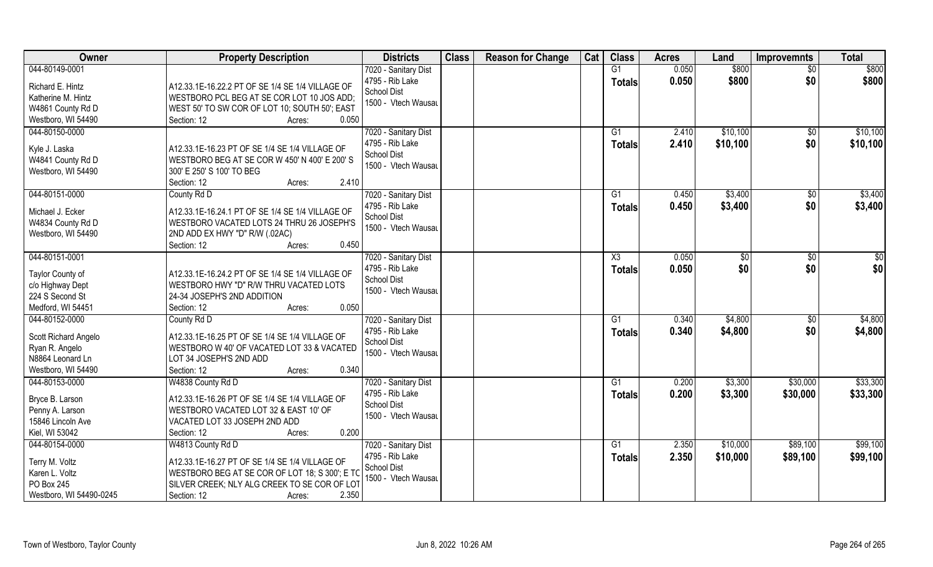| Owner                               | <b>Property Description</b>                                                                | <b>Districts</b>                        | <b>Class</b> | <b>Reason for Change</b> | Cat | <b>Class</b>   | <b>Acres</b> | Land           | <b>Improvemnts</b> | <b>Total</b> |
|-------------------------------------|--------------------------------------------------------------------------------------------|-----------------------------------------|--------------|--------------------------|-----|----------------|--------------|----------------|--------------------|--------------|
| 044-80149-0001                      |                                                                                            | 7020 - Sanitary Dist                    |              |                          |     | G1             | 0.050        | \$800          | $\overline{30}$    | \$800        |
| Richard E. Hintz                    | A12.33.1E-16.22.2 PT OF SE 1/4 SE 1/4 VILLAGE OF                                           | 4795 - Rib Lake                         |              |                          |     | <b>Totals</b>  | 0.050        | \$800          | \$0                | \$800        |
| Katherine M. Hintz                  | WESTBORO PCL BEG AT SE COR LOT 10 JOS ADD;                                                 | <b>School Dist</b>                      |              |                          |     |                |              |                |                    |              |
| W4861 County Rd D                   | WEST 50' TO SW COR OF LOT 10; SOUTH 50'; EAST                                              | 1500 - Vtech Wausau                     |              |                          |     |                |              |                |                    |              |
| Westboro, WI 54490                  | 0.050<br>Section: 12<br>Acres:                                                             |                                         |              |                          |     |                |              |                |                    |              |
| 044-80150-0000                      |                                                                                            | 7020 - Sanitary Dist                    |              |                          |     | G1             | 2.410        | \$10,100       | $\overline{50}$    | \$10,100     |
|                                     |                                                                                            | 4795 - Rib Lake                         |              |                          |     | Totals         | 2.410        | \$10,100       | \$0                | \$10,100     |
| Kyle J. Laska                       | A12.33.1E-16.23 PT OF SE 1/4 SE 1/4 VILLAGE OF                                             | School Dist                             |              |                          |     |                |              |                |                    |              |
| W4841 County Rd D                   | WESTBORO BEG AT SE COR W 450' N 400' E 200' S                                              | 1500 - Vtech Wausau                     |              |                          |     |                |              |                |                    |              |
| Westboro, WI 54490                  | 300' E 250' S 100' TO BEG                                                                  |                                         |              |                          |     |                |              |                |                    |              |
|                                     | 2.410<br>Section: 12<br>Acres:                                                             |                                         |              |                          |     |                |              |                |                    |              |
| 044-80151-0000                      | County Rd D                                                                                | 7020 - Sanitary Dist                    |              |                          |     | G <sub>1</sub> | 0.450        | \$3,400        | \$0                | \$3,400      |
| Michael J. Ecker                    | A12.33.1E-16.24.1 PT OF SE 1/4 SE 1/4 VILLAGE OF                                           | 4795 - Rib Lake                         |              |                          |     | <b>Totals</b>  | 0.450        | \$3,400        | \$0                | \$3,400      |
| W4834 County Rd D                   | WESTBORO VACATED LOTS 24 THRU 26 JOSEPH'S                                                  | <b>School Dist</b>                      |              |                          |     |                |              |                |                    |              |
| Westboro, WI 54490                  | 2ND ADD EX HWY "D" R/W (.02AC)                                                             | 1500 - Vtech Wausau                     |              |                          |     |                |              |                |                    |              |
|                                     | 0.450<br>Section: 12<br>Acres:                                                             |                                         |              |                          |     |                |              |                |                    |              |
| 044-80151-0001                      |                                                                                            | 7020 - Sanitary Dist                    |              |                          |     | X3             | 0.050        | $\frac{1}{20}$ | \$0                | \$0          |
|                                     |                                                                                            | 4795 - Rib Lake                         |              |                          |     | <b>Totals</b>  | 0.050        | \$0            | \$0                | \$0          |
| Taylor County of                    | A12.33.1E-16.24.2 PT OF SE 1/4 SE 1/4 VILLAGE OF<br>WESTBORO HWY "D" R/W THRU VACATED LOTS | School Dist                             |              |                          |     |                |              |                |                    |              |
| c/o Highway Dept<br>224 S Second St | 24-34 JOSEPH'S 2ND ADDITION                                                                | 1500 - Vtech Wausau                     |              |                          |     |                |              |                |                    |              |
| Medford, WI 54451                   | 0.050<br>Section: 12                                                                       |                                         |              |                          |     |                |              |                |                    |              |
| 044-80152-0000                      | Acres:<br>County Rd D                                                                      |                                         |              |                          |     | G1             | 0.340        | \$4,800        | \$0                | \$4,800      |
|                                     |                                                                                            | 7020 - Sanitary Dist<br>4795 - Rib Lake |              |                          |     |                | 0.340        |                |                    |              |
| Scott Richard Angelo                | A12.33.1E-16.25 PT OF SE 1/4 SE 1/4 VILLAGE OF                                             | <b>School Dist</b>                      |              |                          |     | <b>Totals</b>  |              | \$4,800        | \$0                | \$4,800      |
| Ryan R. Angelo                      | WESTBORO W 40' OF VACATED LOT 33 & VACATED                                                 | 1500 - Vtech Wausau                     |              |                          |     |                |              |                |                    |              |
| N8864 Leonard Ln                    | LOT 34 JOSEPH'S 2ND ADD                                                                    |                                         |              |                          |     |                |              |                |                    |              |
| Westboro, WI 54490                  | 0.340<br>Section: 12<br>Acres:                                                             |                                         |              |                          |     |                |              |                |                    |              |
| 044-80153-0000                      | W4838 County Rd D                                                                          | 7020 - Sanitary Dist                    |              |                          |     | G1             | 0.200        | \$3,300        | \$30,000           | \$33,300     |
| Bryce B. Larson                     | A12.33.1E-16.26 PT OF SE 1/4 SE 1/4 VILLAGE OF                                             | 4795 - Rib Lake                         |              |                          |     | <b>Totals</b>  | 0.200        | \$3,300        | \$30,000           | \$33,300     |
| Penny A. Larson                     | WESTBORO VACATED LOT 32 & EAST 10' OF                                                      | <b>School Dist</b>                      |              |                          |     |                |              |                |                    |              |
| 15846 Lincoln Ave                   | VACATED LOT 33 JOSEPH 2ND ADD                                                              | 1500 - Vtech Wausau                     |              |                          |     |                |              |                |                    |              |
| Kiel, WI 53042                      | 0.200<br>Section: 12<br>Acres:                                                             |                                         |              |                          |     |                |              |                |                    |              |
| 044-80154-0000                      | W4813 County Rd D                                                                          | 7020 - Sanitary Dist                    |              |                          |     | G <sub>1</sub> | 2.350        | \$10,000       | \$89,100           | \$99,100     |
|                                     |                                                                                            | 4795 - Rib Lake                         |              |                          |     | <b>Totals</b>  | 2.350        | \$10,000       | \$89,100           | \$99,100     |
| Terry M. Voltz                      | A12.33.1E-16.27 PT OF SE 1/4 SE 1/4 VILLAGE OF                                             | School Dist                             |              |                          |     |                |              |                |                    |              |
| Karen L. Voltz                      | WESTBORO BEG AT SE COR OF LOT 18; S 300'; E TC                                             | 1500 - Vtech Wausau                     |              |                          |     |                |              |                |                    |              |
| PO Box 245                          | SILVER CREEK; NLY ALG CREEK TO SE COR OF LOT                                               |                                         |              |                          |     |                |              |                |                    |              |
| Westboro, WI 54490-0245             | 2.350<br>Section: 12<br>Acres:                                                             |                                         |              |                          |     |                |              |                |                    |              |